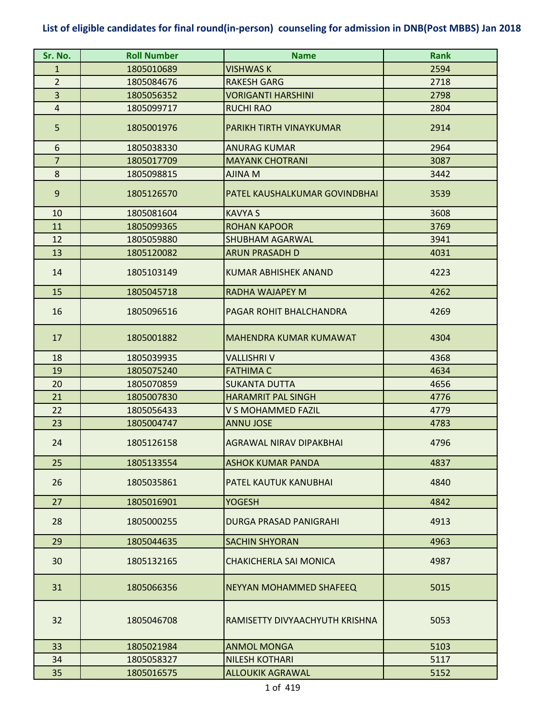| Sr. No.                 | <b>Roll Number</b> | <b>Name</b>                    | <b>Rank</b> |
|-------------------------|--------------------|--------------------------------|-------------|
| $\mathbf{1}$            | 1805010689         | <b>VISHWAS K</b>               | 2594        |
| $\overline{2}$          | 1805084676         | <b>RAKESH GARG</b>             | 2718        |
| $\overline{\mathbf{3}}$ | 1805056352         | <b>VORIGANTI HARSHINI</b>      | 2798        |
| 4                       | 1805099717         | <b>RUCHI RAO</b>               | 2804        |
| 5                       | 1805001976         | PARIKH TIRTH VINAYKUMAR        | 2914        |
| 6                       | 1805038330         | <b>ANURAG KUMAR</b>            | 2964        |
| $\overline{7}$          | 1805017709         | <b>MAYANK CHOTRANI</b>         | 3087        |
| 8                       | 1805098815         | <b>AJINA M</b>                 | 3442        |
| 9                       | 1805126570         | PATEL KAUSHALKUMAR GOVINDBHAI  | 3539        |
| 10                      | 1805081604         | <b>KAVYA S</b>                 | 3608        |
| 11                      | 1805099365         | <b>ROHAN KAPOOR</b>            | 3769        |
| 12                      | 1805059880         | <b>SHUBHAM AGARWAL</b>         | 3941        |
| 13                      | 1805120082         | <b>ARUN PRASADH D</b>          | 4031        |
| 14                      | 1805103149         | <b>KUMAR ABHISHEK ANAND</b>    | 4223        |
| 15                      | 1805045718         | <b>RADHA WAJAPEY M</b>         | 4262        |
| 16                      | 1805096516         | PAGAR ROHIT BHALCHANDRA        | 4269        |
| 17                      | 1805001882         | <b>MAHENDRA KUMAR KUMAWAT</b>  | 4304        |
| 18                      | 1805039935         | <b>VALLISHRI V</b>             | 4368        |
| 19                      | 1805075240         | <b>FATHIMA C</b>               | 4634        |
| 20                      | 1805070859         | <b>SUKANTA DUTTA</b>           | 4656        |
| 21                      | 1805007830         | <b>HARAMRIT PAL SINGH</b>      | 4776        |
| 22                      | 1805056433         | V S MOHAMMED FAZIL             | 4779        |
| 23                      | 1805004747         | <b>ANNU JOSE</b>               | 4783        |
| 24                      | 1805126158         | <b>AGRAWAL NIRAV DIPAKBHAI</b> | 4796        |
| 25                      | 1805133554         | ASHOK KUMAR PANDA              | 4837        |
| 26                      | 1805035861         | PATEL KAUTUK KANUBHAI          | 4840        |
| 27                      | 1805016901         | <b>YOGESH</b>                  | 4842        |
| 28                      | 1805000255         | <b>DURGA PRASAD PANIGRAHI</b>  | 4913        |
| 29                      | 1805044635         | <b>SACHIN SHYORAN</b>          | 4963        |
| 30                      | 1805132165         | <b>CHAKICHERLA SAI MONICA</b>  | 4987        |
| 31                      | 1805066356         | NEYYAN MOHAMMED SHAFEEQ        | 5015        |
| 32                      | 1805046708         | RAMISETTY DIVYAACHYUTH KRISHNA | 5053        |
| 33                      | 1805021984         | <b>ANMOL MONGA</b>             | 5103        |
| 34                      | 1805058327         | <b>NILESH KOTHARI</b>          | 5117        |
| 35                      | 1805016575         | <b>ALLOUKIK AGRAWAL</b>        | 5152        |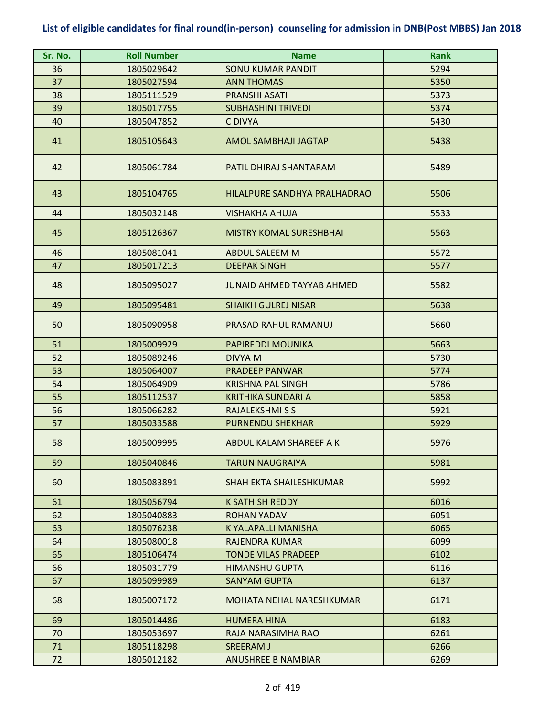| Sr. No. | <b>Roll Number</b> | <b>Name</b>                      | <b>Rank</b> |
|---------|--------------------|----------------------------------|-------------|
| 36      | 1805029642         | SONU KUMAR PANDIT                | 5294        |
| 37      | 1805027594         | <b>ANN THOMAS</b>                | 5350        |
| 38      | 1805111529         | <b>PRANSHI ASATI</b>             | 5373        |
| 39      | 1805017755         | <b>SUBHASHINI TRIVEDI</b>        | 5374        |
| 40      | 1805047852         | C DIVYA                          | 5430        |
| 41      | 1805105643         | <b>AMOL SAMBHAJI JAGTAP</b>      | 5438        |
| 42      | 1805061784         | PATIL DHIRAJ SHANTARAM           | 5489        |
| 43      | 1805104765         | HILALPURE SANDHYA PRALHADRAO     | 5506        |
| 44      | 1805032148         | VISHAKHA AHUJA                   | 5533        |
| 45      | 1805126367         | <b>MISTRY KOMAL SURESHBHAI</b>   | 5563        |
| 46      | 1805081041         | <b>ABDUL SALEEM M</b>            | 5572        |
| 47      | 1805017213         | <b>DEEPAK SINGH</b>              | 5577        |
| 48      | 1805095027         | <b>JUNAID AHMED TAYYAB AHMED</b> | 5582        |
| 49      | 1805095481         | <b>SHAIKH GULREJ NISAR</b>       | 5638        |
| 50      | 1805090958         | PRASAD RAHUL RAMANUJ             | 5660        |
| 51      | 1805009929         | <b>PAPIREDDI MOUNIKA</b>         | 5663        |
| 52      | 1805089246         | <b>DIVYA M</b>                   | 5730        |
| 53      | 1805064007         | <b>PRADEEP PANWAR</b>            | 5774        |
| 54      | 1805064909         | <b>KRISHNA PAL SINGH</b>         | 5786        |
| 55      | 1805112537         | <b>KRITHIKA SUNDARI A</b>        | 5858        |
| 56      | 1805066282         | <b>RAJALEKSHMI S S</b>           | 5921        |
| 57      | 1805033588         | <b>PURNENDU SHEKHAR</b>          | 5929        |
| 58      | 1805009995         | ABDUL KALAM SHAREEF A K          | 5976        |
| 59      | 1805040846         | TARUN NAUGRAIYA                  | 5981        |
| 60      | 1805083891         | SHAH EKTA SHAILESHKUMAR          | 5992        |
| 61      | 1805056794         | <b>K SATHISH REDDY</b>           | 6016        |
| 62      | 1805040883         | <b>ROHAN YADAV</b>               | 6051        |
| 63      | 1805076238         | K YALAPALLI MANISHA              | 6065        |
| 64      | 1805080018         | <b>RAJENDRA KUMAR</b>            | 6099        |
| 65      | 1805106474         | <b>TONDE VILAS PRADEEP</b>       | 6102        |
| 66      | 1805031779         | <b>HIMANSHU GUPTA</b>            | 6116        |
| 67      | 1805099989         | <b>SANYAM GUPTA</b>              | 6137        |
| 68      | 1805007172         | MOHATA NEHAL NARESHKUMAR         | 6171        |
| 69      | 1805014486         | <b>HUMERA HINA</b>               | 6183        |
| 70      | 1805053697         | RAJA NARASIMHA RAO               | 6261        |
| 71      | 1805118298         | <b>SREERAM J</b>                 | 6266        |
| 72      | 1805012182         | <b>ANUSHREE B NAMBIAR</b>        | 6269        |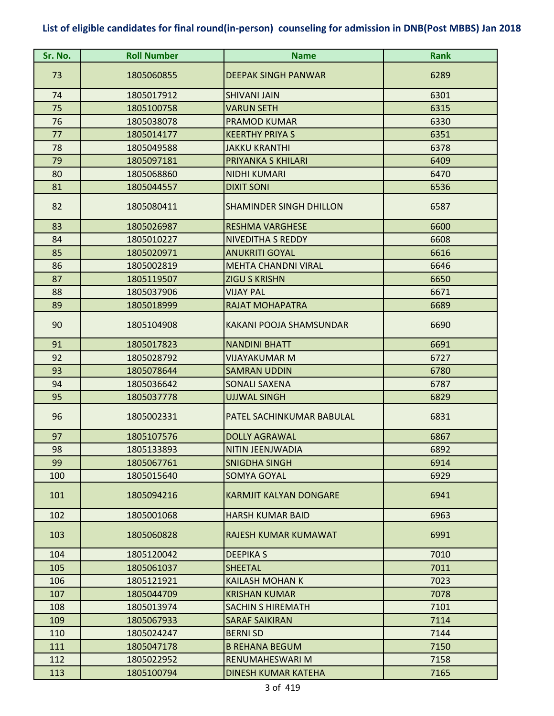| Sr. No. | <b>Roll Number</b> | <b>Name</b>                    | <b>Rank</b> |
|---------|--------------------|--------------------------------|-------------|
| 73      | 1805060855         | <b>DEEPAK SINGH PANWAR</b>     | 6289        |
| 74      | 1805017912         | <b>SHIVANI JAIN</b>            | 6301        |
| 75      | 1805100758         | <b>VARUN SETH</b>              | 6315        |
| 76      | 1805038078         | <b>PRAMOD KUMAR</b>            | 6330        |
| 77      | 1805014177         | <b>KEERTHY PRIYA S</b>         | 6351        |
| 78      | 1805049588         | <b>JAKKU KRANTHI</b>           | 6378        |
| 79      | 1805097181         | PRIYANKA S KHILARI             | 6409        |
| 80      | 1805068860         | <b>NIDHI KUMARI</b>            | 6470        |
| 81      | 1805044557         | <b>DIXIT SONI</b>              | 6536        |
| 82      | 1805080411         | <b>SHAMINDER SINGH DHILLON</b> | 6587        |
| 83      | 1805026987         | <b>RESHMA VARGHESE</b>         | 6600        |
| 84      | 1805010227         | <b>NIVEDITHA S REDDY</b>       | 6608        |
| 85      | 1805020971         | <b>ANUKRITI GOYAL</b>          | 6616        |
| 86      | 1805002819         | <b>MEHTA CHANDNI VIRAL</b>     | 6646        |
| 87      | 1805119507         | <b>ZIGU S KRISHN</b>           | 6650        |
| 88      | 1805037906         | <b>VIJAY PAL</b>               | 6671        |
| 89      | 1805018999         | <b>RAJAT MOHAPATRA</b>         | 6689        |
| 90      | 1805104908         | KAKANI POOJA SHAMSUNDAR        | 6690        |
| 91      | 1805017823         | <b>NANDINI BHATT</b>           | 6691        |
| 92      | 1805028792         | <b>VIJAYAKUMAR M</b>           | 6727        |
| 93      | 1805078644         | <b>SAMRAN UDDIN</b>            | 6780        |
| 94      | 1805036642         | <b>SONALI SAXENA</b>           | 6787        |
| 95      | 1805037778         | <b>UJJWAL SINGH</b>            | 6829        |
| 96      | 1805002331         | PATEL SACHINKUMAR BABULAL      | 6831        |
| 97      | 1805107576         | <b>DOLLY AGRAWAL</b>           | 6867        |
| 98      | 1805133893         | NITIN JEENJWADIA               | 6892        |
| 99      | 1805067761         | <b>SNIGDHA SINGH</b>           | 6914        |
| 100     | 1805015640         | SOMYA GOYAL                    | 6929        |
| 101     | 1805094216         | <b>KARMJIT KALYAN DONGARE</b>  | 6941        |
| 102     | 1805001068         | <b>HARSH KUMAR BAID</b>        | 6963        |
| 103     | 1805060828         | RAJESH KUMAR KUMAWAT           | 6991        |
| 104     | 1805120042         | <b>DEEPIKAS</b>                | 7010        |
| 105     | 1805061037         | <b>SHEETAL</b>                 | 7011        |
| 106     | 1805121921         | <b>KAILASH MOHAN K</b>         | 7023        |
| 107     | 1805044709         | <b>KRISHAN KUMAR</b>           | 7078        |
| 108     | 1805013974         | <b>SACHIN S HIREMATH</b>       | 7101        |
| 109     | 1805067933         | <b>SARAF SAIKIRAN</b>          | 7114        |
| 110     | 1805024247         | <b>BERNISD</b>                 | 7144        |
| 111     | 1805047178         | <b>B REHANA BEGUM</b>          | 7150        |
| 112     | 1805022952         | RENUMAHESWARI M                | 7158        |
| 113     | 1805100794         | DINESH KUMAR KATEHA            | 7165        |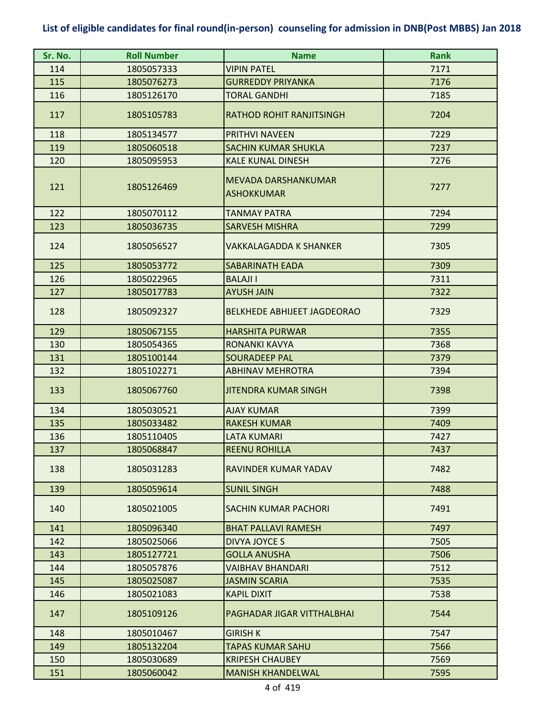| Sr. No. | <b>Roll Number</b> | <b>Name</b>                              | <b>Rank</b> |
|---------|--------------------|------------------------------------------|-------------|
| 114     | 1805057333         | <b>VIPIN PATEL</b>                       | 7171        |
| 115     | 1805076273         | <b>GURREDDY PRIYANKA</b>                 | 7176        |
| 116     | 1805126170         | <b>TORAL GANDHI</b>                      | 7185        |
| 117     | 1805105783         | <b>RATHOD ROHIT RANJITSINGH</b>          | 7204        |
| 118     | 1805134577         | <b>PRITHVI NAVEEN</b>                    | 7229        |
| 119     | 1805060518         | <b>SACHIN KUMAR SHUKLA</b>               | 7237        |
| 120     | 1805095953         | <b>KALE KUNAL DINESH</b>                 | 7276        |
| 121     | 1805126469         | MEVADA DARSHANKUMAR<br><b>ASHOKKUMAR</b> | 7277        |
| 122     | 1805070112         | <b>TANMAY PATRA</b>                      | 7294        |
| 123     | 1805036735         | <b>SARVESH MISHRA</b>                    | 7299        |
| 124     | 1805056527         | <b>VAKKALAGADDA K SHANKER</b>            | 7305        |
| 125     | 1805053772         | <b>SABARINATH EADA</b>                   | 7309        |
| 126     | 1805022965         | <b>BALAJI I</b>                          | 7311        |
| 127     | 1805017783         | <b>AYUSH JAIN</b>                        | 7322        |
| 128     | 1805092327         | <b>BELKHEDE ABHIJEET JAGDEORAO</b>       | 7329        |
| 129     | 1805067155         | <b>HARSHITA PURWAR</b>                   | 7355        |
| 130     | 1805054365         | RONANKI KAVYA                            | 7368        |
| 131     | 1805100144         | <b>SOURADEEP PAL</b>                     | 7379        |
| 132     | 1805102271         | <b>ABHINAV MEHROTRA</b>                  | 7394        |
| 133     | 1805067760         | <b>JITENDRA KUMAR SINGH</b>              | 7398        |
| 134     | 1805030521         | <b>AJAY KUMAR</b>                        | 7399        |
| 135     | 1805033482         | <b>RAKESH KUMAR</b>                      | 7409        |
| 136     | 1805110405         | <b>LATA KUMARI</b>                       | 7427        |
| 137     | 1805068847         | <b>REENU ROHILLA</b>                     | 7437        |
| 138     | 1805031283         | RAVINDER KUMAR YADAV                     | 7482        |
| 139     | 1805059614         | <b>SUNIL SINGH</b>                       | 7488        |
| 140     | 1805021005         | <b>SACHIN KUMAR PACHORI</b>              | 7491        |
| 141     | 1805096340         | <b>BHAT PALLAVI RAMESH</b>               | 7497        |
| 142     | 1805025066         | DIVYA JOYCE S                            | 7505        |
| 143     | 1805127721         | <b>GOLLA ANUSHA</b>                      | 7506        |
| 144     | 1805057876         | <b>VAIBHAV BHANDARI</b>                  | 7512        |
| 145     | 1805025087         | <b>JASMIN SCARIA</b>                     | 7535        |
| 146     | 1805021083         | <b>KAPIL DIXIT</b>                       | 7538        |
| 147     | 1805109126         | PAGHADAR JIGAR VITTHALBHAI               | 7544        |
| 148     | 1805010467         | <b>GIRISH K</b>                          | 7547        |
| 149     | 1805132204         | <b>TAPAS KUMAR SAHU</b>                  | 7566        |
| 150     | 1805030689         | <b>KRIPESH CHAUBEY</b>                   | 7569        |
| 151     | 1805060042         | <b>MANISH KHANDELWAL</b>                 | 7595        |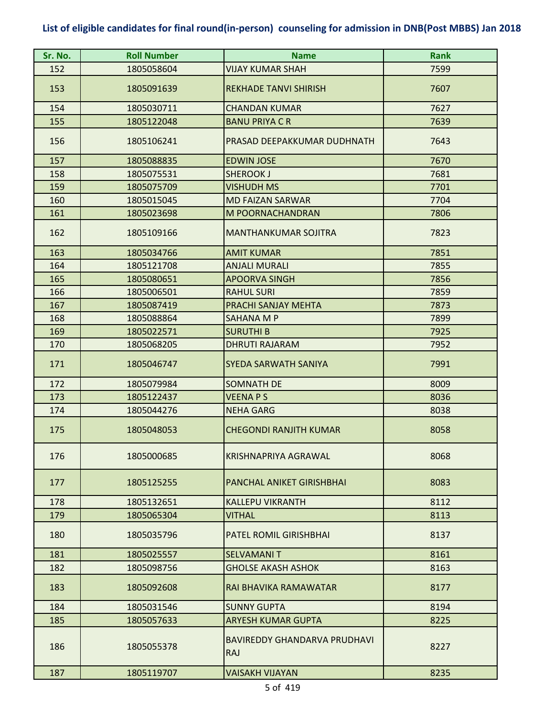| Sr. No. | <b>Roll Number</b> | <b>Name</b>                                | <b>Rank</b> |
|---------|--------------------|--------------------------------------------|-------------|
| 152     | 1805058604         | VIJAY KUMAR SHAH                           | 7599        |
| 153     | 1805091639         | <b>REKHADE TANVI SHIRISH</b>               | 7607        |
| 154     | 1805030711         | <b>CHANDAN KUMAR</b>                       | 7627        |
| 155     | 1805122048         | <b>BANU PRIYA C R</b>                      | 7639        |
| 156     | 1805106241         | PRASAD DEEPAKKUMAR DUDHNATH                | 7643        |
| 157     | 1805088835         | <b>EDWIN JOSE</b>                          | 7670        |
| 158     | 1805075531         | <b>SHEROOK J</b>                           | 7681        |
| 159     | 1805075709         | <b>VISHUDH MS</b>                          | 7701        |
| 160     | 1805015045         | <b>MD FAIZAN SARWAR</b>                    | 7704        |
| 161     | 1805023698         | M POORNACHANDRAN                           | 7806        |
| 162     | 1805109166         | <b>MANTHANKUMAR SOJITRA</b>                | 7823        |
| 163     | 1805034766         | <b>AMIT KUMAR</b>                          | 7851        |
| 164     | 1805121708         | <b>ANJALI MURALI</b>                       | 7855        |
| 165     | 1805080651         | <b>APOORVA SINGH</b>                       | 7856        |
| 166     | 1805006501         | <b>RAHUL SURI</b>                          | 7859        |
| 167     | 1805087419         | PRACHI SANJAY MEHTA                        | 7873        |
| 168     | 1805088864         | SAHANA M P                                 | 7899        |
| 169     | 1805022571         | <b>SURUTHI B</b>                           | 7925        |
| 170     | 1805068205         | <b>DHRUTI RAJARAM</b>                      | 7952        |
| 171     | 1805046747         | SYEDA SARWATH SANIYA                       | 7991        |
| 172     | 1805079984         | <b>SOMNATH DE</b>                          | 8009        |
| 173     | 1805122437         | <b>VEENAPS</b>                             | 8036        |
| 174     | 1805044276         | <b>NEHA GARG</b>                           | 8038        |
| 175     | 1805048053         | <b>CHEGONDI RANJITH KUMAR</b>              | 8058        |
| 176     | 1805000685         | <b>KRISHNAPRIYA AGRAWAL</b>                | 8068        |
| 177     | 1805125255         | PANCHAL ANIKET GIRISHBHAI                  | 8083        |
| 178     | 1805132651         | <b>KALLEPU VIKRANTH</b>                    | 8112        |
| 179     | 1805065304         | <b>VITHAL</b>                              | 8113        |
| 180     | 1805035796         | <b>PATEL ROMIL GIRISHBHAI</b>              | 8137        |
| 181     | 1805025557         | <b>SELVAMANIT</b>                          | 8161        |
| 182     | 1805098756         | <b>GHOLSE AKASH ASHOK</b>                  | 8163        |
| 183     | 1805092608         | RAI BHAVIKA RAMAWATAR                      | 8177        |
| 184     | 1805031546         | <b>SUNNY GUPTA</b>                         | 8194        |
| 185     | 1805057633         | <b>ARYESH KUMAR GUPTA</b>                  | 8225        |
| 186     | 1805055378         | BAVIREDDY GHANDARVA PRUDHAVI<br><b>RAJ</b> | 8227        |
| 187     | 1805119707         | <b>VAISAKH VIJAYAN</b>                     | 8235        |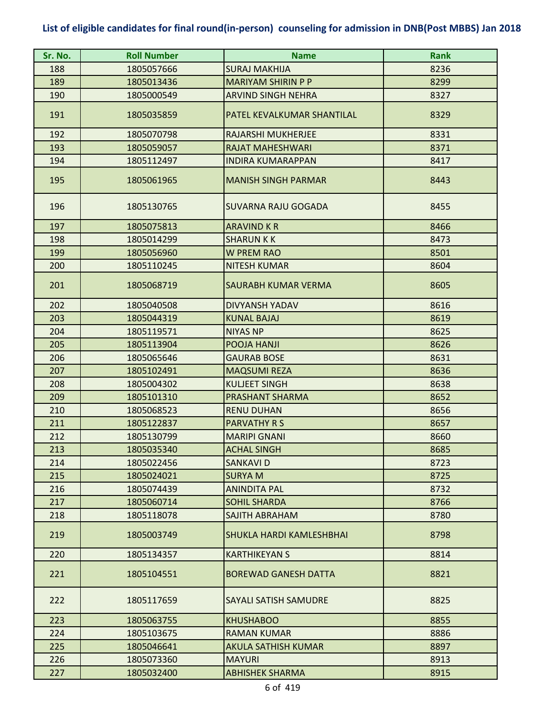| Sr. No. | <b>Roll Number</b> | <b>Name</b>                 | <b>Rank</b> |
|---------|--------------------|-----------------------------|-------------|
| 188     | 1805057666         | <b>SURAJ MAKHIJA</b>        | 8236        |
| 189     | 1805013436         | <b>MARIYAM SHIRIN P P</b>   | 8299        |
| 190     | 1805000549         | <b>ARVIND SINGH NEHRA</b>   | 8327        |
| 191     | 1805035859         | PATEL KEVALKUMAR SHANTILAL  | 8329        |
| 192     | 1805070798         | RAJARSHI MUKHERJEE          | 8331        |
| 193     | 1805059057         | <b>RAJAT MAHESHWARI</b>     | 8371        |
| 194     | 1805112497         | <b>INDIRA KUMARAPPAN</b>    | 8417        |
| 195     | 1805061965         | <b>MANISH SINGH PARMAR</b>  | 8443        |
| 196     | 1805130765         | SUVARNA RAJU GOGADA         | 8455        |
| 197     | 1805075813         | <b>ARAVIND K R</b>          | 8466        |
| 198     | 1805014299         | <b>SHARUN K K</b>           | 8473        |
| 199     | 1805056960         | <b>W PREM RAO</b>           | 8501        |
| 200     | 1805110245         | <b>NITESH KUMAR</b>         | 8604        |
| 201     | 1805068719         | SAURABH KUMAR VERMA         | 8605        |
| 202     | 1805040508         | DIVYANSH YADAV              | 8616        |
| 203     | 1805044319         | <b>KUNAL BAJAJ</b>          | 8619        |
| 204     | 1805119571         | <b>NIYAS NP</b>             | 8625        |
| 205     | 1805113904         | POOJA HANJI                 | 8626        |
| 206     | 1805065646         | <b>GAURAB BOSE</b>          | 8631        |
| 207     | 1805102491         | <b>MAQSUMI REZA</b>         | 8636        |
| 208     | 1805004302         | <b>KULJEET SINGH</b>        | 8638        |
| 209     | 1805101310         | <b>PRASHANT SHARMA</b>      | 8652        |
| 210     | 1805068523         | <b>RENU DUHAN</b>           | 8656        |
| 211     | 1805122837         | <b>PARVATHY R S</b>         | 8657        |
| 212     | 1805130799         | <b>MARIPI GNANI</b>         | 8660        |
| 213     | 1805035340         | <b>ACHAL SINGH</b>          | 8685        |
| 214     | 1805022456         | SANKAVI D                   | 8723        |
| 215     | 1805024021         | <b>SURYAM</b>               | 8725        |
| 216     | 1805074439         | <b>ANINDITA PAL</b>         | 8732        |
| 217     | 1805060714         | <b>SOHIL SHARDA</b>         | 8766        |
| 218     | 1805118078         | SAJITH ABRAHAM              | 8780        |
| 219     | 1805003749         | SHUKLA HARDI KAMLESHBHAI    | 8798        |
| 220     | 1805134357         | <b>KARTHIKEYAN S</b>        | 8814        |
| 221     | 1805104551         | <b>BOREWAD GANESH DATTA</b> | 8821        |
| 222     | 1805117659         | SAYALI SATISH SAMUDRE       | 8825        |
| 223     | 1805063755         | <b>KHUSHABOO</b>            | 8855        |
| 224     | 1805103675         | <b>RAMAN KUMAR</b>          | 8886        |
| 225     | 1805046641         | <b>AKULA SATHISH KUMAR</b>  | 8897        |
| 226     | 1805073360         | <b>MAYURI</b>               | 8913        |
| 227     | 1805032400         | <b>ABHISHEK SHARMA</b>      | 8915        |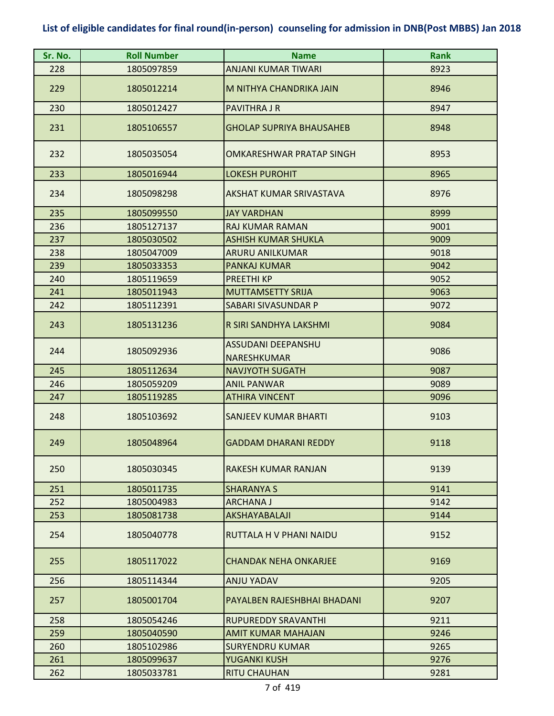| Sr. No. | <b>Roll Number</b> | <b>Name</b>                              | <b>Rank</b> |
|---------|--------------------|------------------------------------------|-------------|
| 228     | 1805097859         | <b>ANJANI KUMAR TIWARI</b>               | 8923        |
| 229     | 1805012214         | M NITHYA CHANDRIKA JAIN                  | 8946        |
| 230     | 1805012427         | <b>PAVITHRA J R</b>                      | 8947        |
| 231     | 1805106557         | <b>GHOLAP SUPRIYA BHAUSAHEB</b>          | 8948        |
| 232     | 1805035054         | OMKARESHWAR PRATAP SINGH                 | 8953        |
| 233     | 1805016944         | <b>LOKESH PUROHIT</b>                    | 8965        |
| 234     | 1805098298         | <b>AKSHAT KUMAR SRIVASTAVA</b>           | 8976        |
| 235     | 1805099550         | <b>JAY VARDHAN</b>                       | 8999        |
| 236     | 1805127137         | <b>RAJ KUMAR RAMAN</b>                   | 9001        |
| 237     | 1805030502         | <b>ASHISH KUMAR SHUKLA</b>               | 9009        |
| 238     | 1805047009         | <b>ARURU ANILKUMAR</b>                   | 9018        |
| 239     | 1805033353         | <b>PANKAJ KUMAR</b>                      | 9042        |
| 240     | 1805119659         | <b>PREETHI KP</b>                        | 9052        |
| 241     | 1805011943         | <b>MUTTAMSETTY SRIJA</b>                 | 9063        |
| 242     | 1805112391         | SABARI SIVASUNDAR P                      | 9072        |
| 243     | 1805131236         | R SIRI SANDHYA LAKSHMI                   | 9084        |
| 244     | 1805092936         | ASSUDANI DEEPANSHU<br><b>NARESHKUMAR</b> | 9086        |
| 245     | 1805112634         | <b>NAVJYOTH SUGATH</b>                   | 9087        |
| 246     | 1805059209         | <b>ANIL PANWAR</b>                       | 9089        |
| 247     | 1805119285         | <b>ATHIRA VINCENT</b>                    | 9096        |
| 248     | 1805103692         | <b>SANJEEV KUMAR BHARTI</b>              | 9103        |
| 249     | 1805048964         | <b>GADDAM DHARANI REDDY</b>              | 9118        |
| 250     | 1805030345         | <b>RAKESH KUMAR RANJAN</b>               | 9139        |
| 251     | 1805011735         | <b>SHARANYA S</b>                        | 9141        |
| 252     | 1805004983         | ARCHANA J                                | 9142        |
| 253     | 1805081738         | <b>AKSHAYABALAJI</b>                     | 9144        |
| 254     | 1805040778         | RUTTALA H V PHANI NAIDU                  | 9152        |
| 255     | 1805117022         | <b>CHANDAK NEHA ONKARJEE</b>             | 9169        |
| 256     | 1805114344         | <b>ANJU YADAV</b>                        | 9205        |
| 257     | 1805001704         | PAYALBEN RAJESHBHAI BHADANI              | 9207        |
| 258     | 1805054246         | <b>RUPUREDDY SRAVANTHI</b>               | 9211        |
| 259     | 1805040590         | <b>AMIT KUMAR MAHAJAN</b>                | 9246        |
| 260     | 1805102986         | <b>SURYENDRU KUMAR</b>                   | 9265        |
| 261     | 1805099637         | YUGANKI KUSH                             | 9276        |
| 262     | 1805033781         | <b>RITU CHAUHAN</b>                      | 9281        |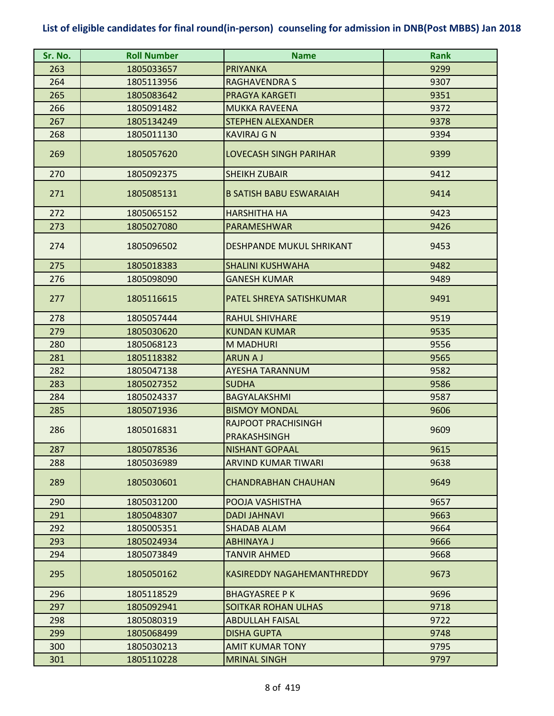| Sr. No. | <b>Roll Number</b> | <b>Name</b>                                | <b>Rank</b> |
|---------|--------------------|--------------------------------------------|-------------|
| 263     | 1805033657         | <b>PRIYANKA</b>                            | 9299        |
| 264     | 1805113956         | <b>RAGHAVENDRA S</b>                       | 9307        |
| 265     | 1805083642         | <b>PRAGYA KARGETI</b>                      | 9351        |
| 266     | 1805091482         | <b>MUKKA RAVEENA</b>                       | 9372        |
| 267     | 1805134249         | <b>STEPHEN ALEXANDER</b>                   | 9378        |
| 268     | 1805011130         | <b>KAVIRAJ G N</b>                         | 9394        |
| 269     | 1805057620         | <b>LOVECASH SINGH PARIHAR</b>              | 9399        |
| 270     | 1805092375         | <b>SHEIKH ZUBAIR</b>                       | 9412        |
| 271     | 1805085131         | <b>B SATISH BABU ESWARAIAH</b>             | 9414        |
| 272     | 1805065152         | <b>HARSHITHA HA</b>                        | 9423        |
| 273     | 1805027080         | PARAMESHWAR                                | 9426        |
| 274     | 1805096502         | <b>DESHPANDE MUKUL SHRIKANT</b>            | 9453        |
| 275     | 1805018383         | <b>SHALINI KUSHWAHA</b>                    | 9482        |
| 276     | 1805098090         | <b>GANESH KUMAR</b>                        | 9489        |
| 277     | 1805116615         | PATEL SHREYA SATISHKUMAR                   | 9491        |
| 278     | 1805057444         | <b>RAHUL SHIVHARE</b>                      | 9519        |
| 279     | 1805030620         | <b>KUNDAN KUMAR</b>                        | 9535        |
| 280     | 1805068123         | <b>M MADHURI</b>                           | 9556        |
| 281     | 1805118382         | <b>ARUNAJ</b>                              | 9565        |
| 282     | 1805047138         | <b>AYESHA TARANNUM</b>                     | 9582        |
| 283     | 1805027352         | <b>SUDHA</b>                               | 9586        |
| 284     | 1805024337         | <b>BAGYALAKSHMI</b>                        | 9587        |
| 285     | 1805071936         | <b>BISMOY MONDAL</b>                       | 9606        |
| 286     | 1805016831         | RAJPOOT PRACHISINGH<br><b>PRAKASHSINGH</b> | 9609        |
| 287     | 1805078536         | <b>NISHANT GOPAAL</b>                      | 9615        |
| 288     | 1805036989         | ARVIND KUMAR TIWARI                        | 9638        |
| 289     | 1805030601         | <b>CHANDRABHAN CHAUHAN</b>                 | 9649        |
| 290     | 1805031200         | POOJA VASHISTHA                            | 9657        |
| 291     | 1805048307         | <b>DADI JAHNAVI</b>                        | 9663        |
| 292     | 1805005351         | <b>SHADAB ALAM</b>                         | 9664        |
| 293     | 1805024934         | <b>ABHINAYA J</b>                          | 9666        |
| 294     | 1805073849         | TANVIR AHMED                               | 9668        |
| 295     | 1805050162         | <b>KASIREDDY NAGAHEMANTHREDDY</b>          | 9673        |
| 296     | 1805118529         | <b>BHAGYASREE P K</b>                      | 9696        |
| 297     | 1805092941         | <b>SOITKAR ROHAN ULHAS</b>                 | 9718        |
| 298     | 1805080319         | <b>ABDULLAH FAISAL</b>                     | 9722        |
| 299     | 1805068499         | <b>DISHA GUPTA</b>                         | 9748        |
| 300     | 1805030213         | <b>AMIT KUMAR TONY</b>                     | 9795        |
| 301     | 1805110228         | <b>MRINAL SINGH</b>                        | 9797        |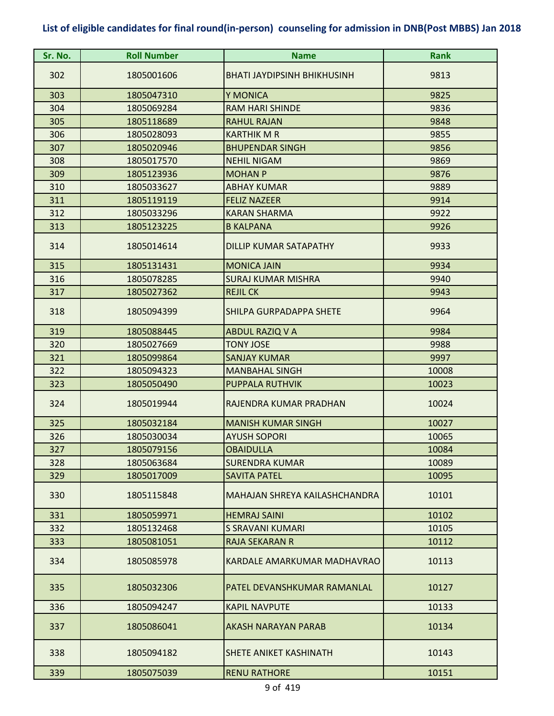| Sr. No. | <b>Roll Number</b> | <b>Name</b>                        | <b>Rank</b> |
|---------|--------------------|------------------------------------|-------------|
| 302     | 1805001606         | <b>BHATI JAYDIPSINH BHIKHUSINH</b> | 9813        |
| 303     | 1805047310         | Y MONICA                           | 9825        |
| 304     | 1805069284         | <b>RAM HARI SHINDE</b>             | 9836        |
| 305     | 1805118689         | <b>RAHUL RAJAN</b>                 | 9848        |
| 306     | 1805028093         | <b>KARTHIK M R</b>                 | 9855        |
| 307     | 1805020946         | <b>BHUPENDAR SINGH</b>             | 9856        |
| 308     | 1805017570         | <b>NEHIL NIGAM</b>                 | 9869        |
| 309     | 1805123936         | <b>MOHAN P</b>                     | 9876        |
| 310     | 1805033627         | <b>ABHAY KUMAR</b>                 | 9889        |
| 311     | 1805119119         | <b>FELIZ NAZEER</b>                | 9914        |
| 312     | 1805033296         | <b>KARAN SHARMA</b>                | 9922        |
| 313     | 1805123225         | <b>B KALPANA</b>                   | 9926        |
| 314     | 1805014614         | DILLIP KUMAR SATAPATHY             | 9933        |
| 315     | 1805131431         | <b>MONICA JAIN</b>                 | 9934        |
| 316     | 1805078285         | <b>SURAJ KUMAR MISHRA</b>          | 9940        |
| 317     | 1805027362         | <b>REJIL CK</b>                    | 9943        |
| 318     | 1805094399         | SHILPA GURPADAPPA SHETE            | 9964        |
| 319     | 1805088445         | <b>ABDUL RAZIQ V A</b>             | 9984        |
| 320     | 1805027669         | <b>TONY JOSE</b>                   | 9988        |
| 321     | 1805099864         | <b>SANJAY KUMAR</b>                | 9997        |
| 322     | 1805094323         | <b>MANBAHAL SINGH</b>              | 10008       |
| 323     | 1805050490         | PUPPALA RUTHVIK                    | 10023       |
| 324     | 1805019944         | RAJENDRA KUMAR PRADHAN             | 10024       |
| 325     | 1805032184         | <b>MANISH KUMAR SINGH</b>          | 10027       |
| 326     | 1805030034         | <b>AYUSH SOPORI</b>                | 10065       |
| 327     | 1805079156         | <b>OBAIDULLA</b>                   | 10084       |
| 328     | 1805063684         | SURENDRA KUMAR                     | 10089       |
| 329     | 1805017009         | <b>SAVITA PATEL</b>                | 10095       |
| 330     | 1805115848         | MAHAJAN SHREYA KAILASHCHANDRA      | 10101       |
| 331     | 1805059971         | <b>HEMRAJ SAINI</b>                | 10102       |
| 332     | 1805132468         | <b>S SRAVANI KUMARI</b>            | 10105       |
| 333     | 1805081051         | <b>RAJA SEKARAN R</b>              | 10112       |
| 334     | 1805085978         | KARDALE AMARKUMAR MADHAVRAO        | 10113       |
| 335     | 1805032306         | PATEL DEVANSHKUMAR RAMANLAL        | 10127       |
| 336     | 1805094247         | <b>KAPIL NAVPUTE</b>               | 10133       |
| 337     | 1805086041         | AKASH NARAYAN PARAB                | 10134       |
| 338     | 1805094182         | SHETE ANIKET KASHINATH             | 10143       |
| 339     | 1805075039         | <b>RENU RATHORE</b>                | 10151       |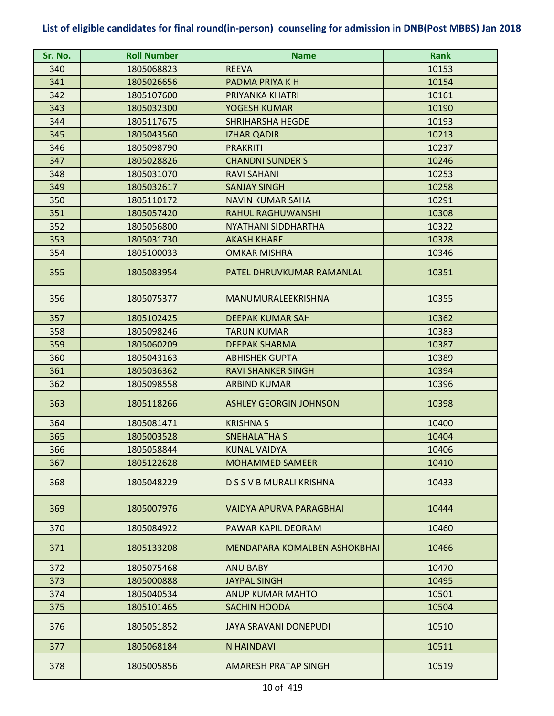| Sr. No. | <b>Roll Number</b> | <b>Name</b>                         | <b>Rank</b> |
|---------|--------------------|-------------------------------------|-------------|
| 340     | 1805068823         | <b>REEVA</b>                        | 10153       |
| 341     | 1805026656         | PADMA PRIYA K H                     | 10154       |
| 342     | 1805107600         | PRIYANKA KHATRI                     | 10161       |
| 343     | 1805032300         | YOGESH KUMAR                        | 10190       |
| 344     | 1805117675         | <b>SHRIHARSHA HEGDE</b>             | 10193       |
| 345     | 1805043560         | <b>IZHAR QADIR</b>                  | 10213       |
| 346     | 1805098790         | <b>PRAKRITI</b>                     | 10237       |
| 347     | 1805028826         | <b>CHANDNI SUNDER S</b>             | 10246       |
| 348     | 1805031070         | <b>RAVI SAHANI</b>                  | 10253       |
| 349     | 1805032617         | <b>SANJAY SINGH</b>                 | 10258       |
| 350     | 1805110172         | <b>NAVIN KUMAR SAHA</b>             | 10291       |
| 351     | 1805057420         | <b>RAHUL RAGHUWANSHI</b>            | 10308       |
| 352     | 1805056800         | <b>NYATHANI SIDDHARTHA</b>          | 10322       |
| 353     | 1805031730         | <b>AKASH KHARE</b>                  | 10328       |
| 354     | 1805100033         | <b>OMKAR MISHRA</b>                 | 10346       |
| 355     | 1805083954         | PATEL DHRUVKUMAR RAMANLAL           | 10351       |
| 356     | 1805075377         | MANUMURALEEKRISHNA                  | 10355       |
| 357     | 1805102425         | <b>DEEPAK KUMAR SAH</b>             | 10362       |
| 358     | 1805098246         | <b>TARUN KUMAR</b>                  | 10383       |
| 359     | 1805060209         | <b>DEEPAK SHARMA</b>                | 10387       |
| 360     | 1805043163         | <b>ABHISHEK GUPTA</b>               | 10389       |
| 361     | 1805036362         | <b>RAVI SHANKER SINGH</b>           | 10394       |
| 362     | 1805098558         | <b>ARBIND KUMAR</b>                 | 10396       |
| 363     | 1805118266         | <b>ASHLEY GEORGIN JOHNSON</b>       | 10398       |
| 364     | 1805081471         | <b>KRISHNA S</b>                    | 10400       |
| 365     | 1805003528         | <b>SNEHALATHA S</b>                 | 10404       |
| 366     | 1805058844         | <b>KUNAL VAIDYA</b>                 | 10406       |
| 367     | 1805122628         | <b>MOHAMMED SAMEER</b>              | 10410       |
| 368     | 1805048229         | D S S V B MURALI KRISHNA            | 10433       |
| 369     | 1805007976         | VAIDYA APURVA PARAGBHAI             | 10444       |
| 370     | 1805084922         | PAWAR KAPIL DEORAM                  | 10460       |
| 371     | 1805133208         | <b>MENDAPARA KOMALBEN ASHOKBHAI</b> | 10466       |
| 372     | 1805075468         | <b>ANU BABY</b>                     | 10470       |
| 373     | 1805000888         | <b>JAYPAL SINGH</b>                 | 10495       |
| 374     | 1805040534         | <b>ANUP KUMAR MAHTO</b>             | 10501       |
| 375     | 1805101465         | SACHIN HOODA                        | 10504       |
| 376     | 1805051852         | <b>JAYA SRAVANI DONEPUDI</b>        | 10510       |
| 377     | 1805068184         | <b>N HAINDAVI</b>                   | 10511       |
| 378     | 1805005856         | <b>AMARESH PRATAP SINGH</b>         | 10519       |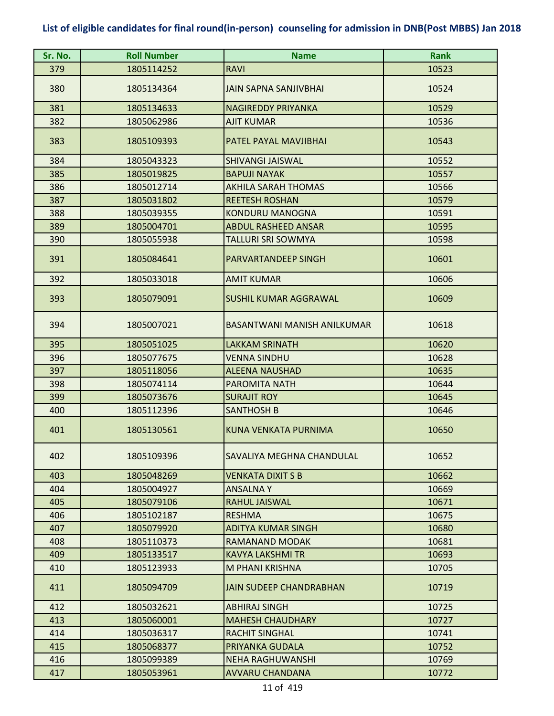| Sr. No. | <b>Roll Number</b> | <b>Name</b>                    | <b>Rank</b> |
|---------|--------------------|--------------------------------|-------------|
| 379     | 1805114252         | <b>RAVI</b>                    | 10523       |
| 380     | 1805134364         | <b>JAIN SAPNA SANJIVBHAI</b>   | 10524       |
| 381     | 1805134633         | <b>NAGIREDDY PRIYANKA</b>      | 10529       |
| 382     | 1805062986         | <b>AJIT KUMAR</b>              | 10536       |
| 383     | 1805109393         | PATEL PAYAL MAVJIBHAI          | 10543       |
| 384     | 1805043323         | <b>SHIVANGI JAISWAL</b>        | 10552       |
| 385     | 1805019825         | <b>BAPUJI NAYAK</b>            | 10557       |
| 386     | 1805012714         | <b>AKHILA SARAH THOMAS</b>     | 10566       |
| 387     | 1805031802         | <b>REETESH ROSHAN</b>          | 10579       |
| 388     | 1805039355         | <b>KONDURU MANOGNA</b>         | 10591       |
| 389     | 1805004701         | <b>ABDUL RASHEED ANSAR</b>     | 10595       |
| 390     | 1805055938         | <b>TALLURI SRI SOWMYA</b>      | 10598       |
| 391     | 1805084641         | <b>PARVARTANDEEP SINGH</b>     | 10601       |
| 392     | 1805033018         | <b>AMIT KUMAR</b>              | 10606       |
| 393     | 1805079091         | <b>SUSHIL KUMAR AGGRAWAL</b>   | 10609       |
| 394     | 1805007021         | BASANTWANI MANISH ANILKUMAR    | 10618       |
| 395     | 1805051025         | <b>LAKKAM SRINATH</b>          | 10620       |
| 396     | 1805077675         | <b>VENNA SINDHU</b>            | 10628       |
| 397     | 1805118056         | <b>ALEENA NAUSHAD</b>          | 10635       |
| 398     | 1805074114         | PAROMITA NATH                  | 10644       |
| 399     | 1805073676         | <b>SURAJIT ROY</b>             | 10645       |
| 400     | 1805112396         | <b>SANTHOSH B</b>              | 10646       |
| 401     | 1805130561         | <b>KUNA VENKATA PURNIMA</b>    | 10650       |
| 402     | 1805109396         | SAVALIYA MEGHNA CHANDULAL      | 10652       |
| 403     | 1805048269         | VENKATA DIXIT S B              | 10662       |
| 404     | 1805004927         | <b>ANSALNAY</b>                | 10669       |
| 405     | 1805079106         | <b>RAHUL JAISWAL</b>           | 10671       |
| 406     | 1805102187         | <b>RESHMA</b>                  | 10675       |
| 407     | 1805079920         | <b>ADITYA KUMAR SINGH</b>      | 10680       |
| 408     | 1805110373         | RAMANAND MODAK                 | 10681       |
| 409     | 1805133517         | <b>KAVYA LAKSHMI TR</b>        | 10693       |
| 410     | 1805123933         | M PHANI KRISHNA                | 10705       |
| 411     | 1805094709         | <b>JAIN SUDEEP CHANDRABHAN</b> | 10719       |
| 412     | 1805032621         | <b>ABHIRAJ SINGH</b>           | 10725       |
| 413     | 1805060001         | <b>MAHESH CHAUDHARY</b>        | 10727       |
| 414     | 1805036317         | <b>RACHIT SINGHAL</b>          | 10741       |
| 415     | 1805068377         | PRIYANKA GUDALA                | 10752       |
| 416     | 1805099389         | <b>NEHA RAGHUWANSHI</b>        | 10769       |
| 417     | 1805053961         | <b>AVVARU CHANDANA</b>         | 10772       |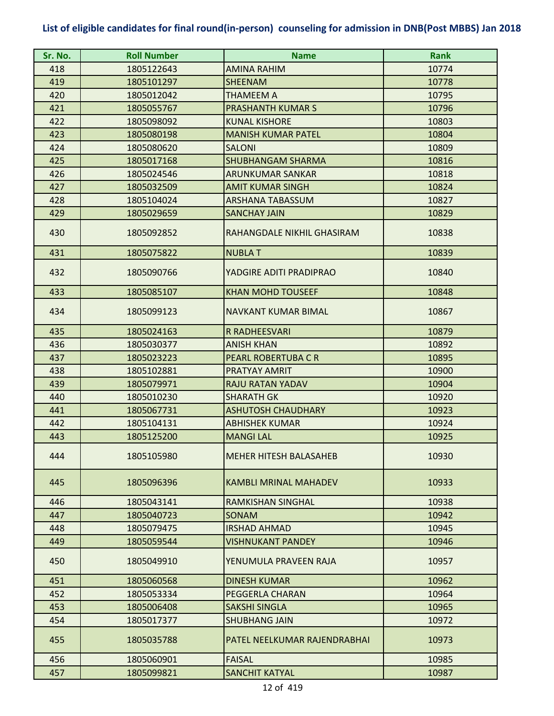| Sr. No. | <b>Roll Number</b> | <b>Name</b>                   | <b>Rank</b> |
|---------|--------------------|-------------------------------|-------------|
| 418     | 1805122643         | AMINA RAHIM                   | 10774       |
| 419     | 1805101297         | <b>SHEENAM</b>                | 10778       |
| 420     | 1805012042         | THAMEEM A                     | 10795       |
| 421     | 1805055767         | <b>PRASHANTH KUMAR S</b>      | 10796       |
| 422     | 1805098092         | <b>KUNAL KISHORE</b>          | 10803       |
| 423     | 1805080198         | <b>MANISH KUMAR PATEL</b>     | 10804       |
| 424     | 1805080620         | <b>SALONI</b>                 | 10809       |
| 425     | 1805017168         | <b>SHUBHANGAM SHARMA</b>      | 10816       |
| 426     | 1805024546         | <b>ARUNKUMAR SANKAR</b>       | 10818       |
| 427     | 1805032509         | <b>AMIT KUMAR SINGH</b>       | 10824       |
| 428     | 1805104024         | <b>ARSHANA TABASSUM</b>       | 10827       |
| 429     | 1805029659         | <b>SANCHAY JAIN</b>           | 10829       |
| 430     | 1805092852         | RAHANGDALE NIKHIL GHASIRAM    | 10838       |
| 431     | 1805075822         | <b>NUBLAT</b>                 | 10839       |
| 432     | 1805090766         | YADGIRE ADITI PRADIPRAO       | 10840       |
| 433     | 1805085107         | <b>KHAN MOHD TOUSEEF</b>      | 10848       |
| 434     | 1805099123         | NAVKANT KUMAR BIMAL           | 10867       |
| 435     | 1805024163         | <b>R RADHEESVARI</b>          | 10879       |
| 436     | 1805030377         | <b>ANISH KHAN</b>             | 10892       |
| 437     | 1805023223         | <b>PEARL ROBERTUBA C R</b>    | 10895       |
| 438     | 1805102881         | PRATYAY AMRIT                 | 10900       |
| 439     | 1805079971         | <b>RAJU RATAN YADAV</b>       | 10904       |
| 440     | 1805010230         | <b>SHARATH GK</b>             | 10920       |
| 441     | 1805067731         | <b>ASHUTOSH CHAUDHARY</b>     | 10923       |
| 442     | 1805104131         | <b>ABHISHEK KUMAR</b>         | 10924       |
| 443     | 1805125200         | <b>MANGI LAL</b>              | 10925       |
| 444     | 1805105980         | <b>MEHER HITESH BALASAHEB</b> | 10930       |
| 445     | 1805096396         | <b>KAMBLI MRINAL MAHADEV</b>  | 10933       |
| 446     | 1805043141         | RAMKISHAN SINGHAL             | 10938       |
| 447     | 1805040723         | <b>SONAM</b>                  | 10942       |
| 448     | 1805079475         | <b>IRSHAD AHMAD</b>           | 10945       |
| 449     | 1805059544         | <b>VISHNUKANT PANDEY</b>      | 10946       |
| 450     | 1805049910         | YENUMULA PRAVEEN RAJA         | 10957       |
| 451     | 1805060568         | <b>DINESH KUMAR</b>           | 10962       |
| 452     | 1805053334         | PEGGERLA CHARAN               | 10964       |
| 453     | 1805006408         | <b>SAKSHI SINGLA</b>          | 10965       |
| 454     | 1805017377         | <b>SHUBHANG JAIN</b>          | 10972       |
| 455     | 1805035788         | PATEL NEELKUMAR RAJENDRABHAI  | 10973       |
| 456     | 1805060901         | <b>FAISAL</b>                 | 10985       |
| 457     | 1805099821         | <b>SANCHIT KATYAL</b>         | 10987       |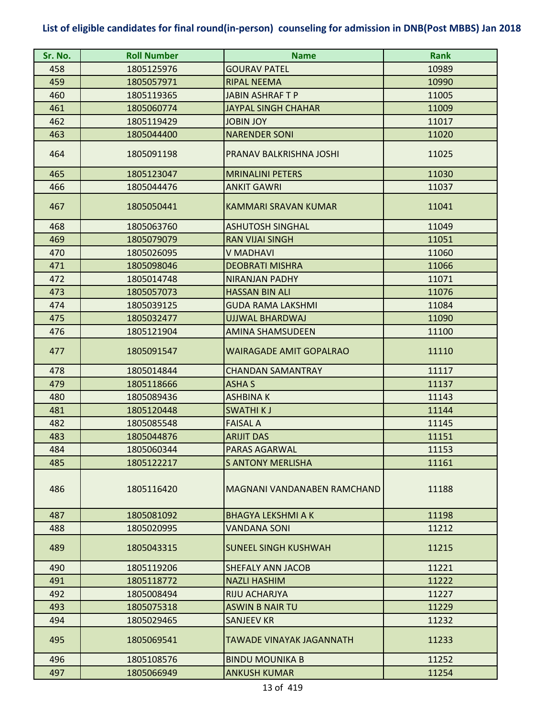| Sr. No. | <b>Roll Number</b> | <b>Name</b>                    | <b>Rank</b> |
|---------|--------------------|--------------------------------|-------------|
| 458     | 1805125976         | <b>GOURAV PATEL</b>            | 10989       |
| 459     | 1805057971         | <b>RIPAL NEEMA</b>             | 10990       |
| 460     | 1805119365         | <b>JABIN ASHRAFT P</b>         | 11005       |
| 461     | 1805060774         | <b>JAYPAL SINGH CHAHAR</b>     | 11009       |
| 462     | 1805119429         | <b>JOBIN JOY</b>               | 11017       |
| 463     | 1805044400         | <b>NARENDER SONI</b>           | 11020       |
| 464     | 1805091198         | PRANAV BALKRISHNA JOSHI        | 11025       |
| 465     | 1805123047         | <b>MRINALINI PETERS</b>        | 11030       |
| 466     | 1805044476         | <b>ANKIT GAWRI</b>             | 11037       |
| 467     | 1805050441         | KAMMARI SRAVAN KUMAR           | 11041       |
| 468     | 1805063760         | <b>ASHUTOSH SINGHAL</b>        | 11049       |
| 469     | 1805079079         | <b>RAN VIJAI SINGH</b>         | 11051       |
| 470     | 1805026095         | <b>V MADHAVI</b>               | 11060       |
| 471     | 1805098046         | <b>DEOBRATI MISHRA</b>         | 11066       |
| 472     | 1805014748         | <b>NIRANJAN PADHY</b>          | 11071       |
| 473     | 1805057073         | <b>HASSAN BIN ALI</b>          | 11076       |
| 474     | 1805039125         | <b>GUDA RAMA LAKSHMI</b>       | 11084       |
| 475     | 1805032477         | UJJWAL BHARDWAJ                | 11090       |
| 476     | 1805121904         | <b>AMINA SHAMSUDEEN</b>        | 11100       |
| 477     | 1805091547         | <b>WAIRAGADE AMIT GOPALRAO</b> | 11110       |
| 478     | 1805014844         | <b>CHANDAN SAMANTRAY</b>       | 11117       |
| 479     | 1805118666         | <b>ASHA S</b>                  | 11137       |
| 480     | 1805089436         | <b>ASHBINAK</b>                | 11143       |
| 481     | 1805120448         | <b>SWATHIKJ</b>                | 11144       |
| 482     | 1805085548         | <b>FAISAL A</b>                | 11145       |
| 483     | 1805044876         | <b>ARIJIT DAS</b>              | 11151       |
| 484     | 1805060344         | PARAS AGARWAL                  | 11153       |
| 485     | 1805122217         | <b>S ANTONY MERLISHA</b>       | 11161       |
| 486     | 1805116420         | MAGNANI VANDANABEN RAMCHAND    | 11188       |
| 487     | 1805081092         | <b>BHAGYA LEKSHMI A K</b>      | 11198       |
| 488     | 1805020995         | <b>VANDANA SONI</b>            | 11212       |
| 489     | 1805043315         | <b>SUNEEL SINGH KUSHWAH</b>    | 11215       |
| 490     | 1805119206         | SHEFALY ANN JACOB              | 11221       |
| 491     | 1805118772         | <b>NAZLI HASHIM</b>            | 11222       |
| 492     | 1805008494         | RIJU ACHARJYA                  | 11227       |
| 493     | 1805075318         | <b>ASWIN B NAIR TU</b>         | 11229       |
| 494     | 1805029465         | SANJEEV KR                     | 11232       |
| 495     | 1805069541         | TAWADE VINAYAK JAGANNATH       | 11233       |
| 496     | 1805108576         | <b>BINDU MOUNIKA B</b>         | 11252       |
| 497     | 1805066949         | <b>ANKUSH KUMAR</b>            | 11254       |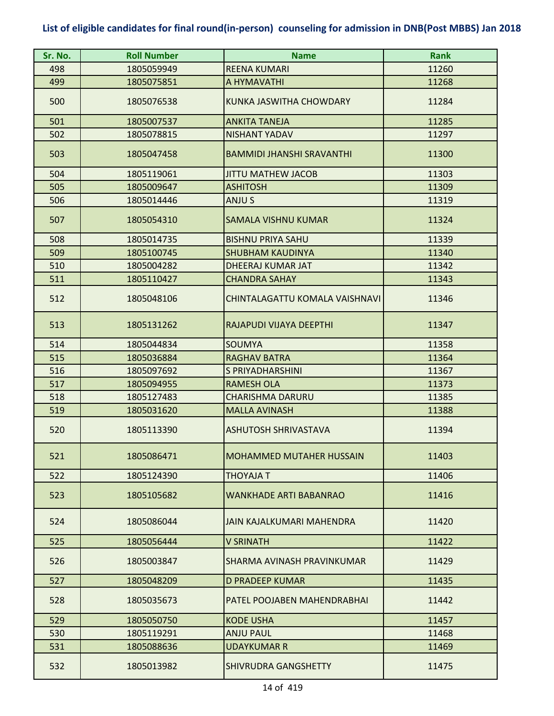| Sr. No. | <b>Roll Number</b> | <b>Name</b>                      | <b>Rank</b> |
|---------|--------------------|----------------------------------|-------------|
| 498     | 1805059949         | <b>REENA KUMARI</b>              | 11260       |
| 499     | 1805075851         | A HYMAVATHI                      | 11268       |
| 500     | 1805076538         | KUNKA JASWITHA CHOWDARY          | 11284       |
| 501     | 1805007537         | <b>ANKITA TANEJA</b>             | 11285       |
| 502     | 1805078815         | <b>NISHANT YADAV</b>             | 11297       |
| 503     | 1805047458         | <b>BAMMIDI JHANSHI SRAVANTHI</b> | 11300       |
| 504     | 1805119061         | <b>JITTU MATHEW JACOB</b>        | 11303       |
| 505     | 1805009647         | <b>ASHITOSH</b>                  | 11309       |
| 506     | 1805014446         | ANJU S                           | 11319       |
| 507     | 1805054310         | <b>SAMALA VISHNU KUMAR</b>       | 11324       |
| 508     | 1805014735         | <b>BISHNU PRIYA SAHU</b>         | 11339       |
| 509     | 1805100745         | <b>SHUBHAM KAUDINYA</b>          | 11340       |
| 510     | 1805004282         | DHEERAJ KUMAR JAT                | 11342       |
| 511     | 1805110427         | <b>CHANDRA SAHAY</b>             | 11343       |
| 512     | 1805048106         | CHINTALAGATTU KOMALA VAISHNAVI   | 11346       |
| 513     | 1805131262         | RAJAPUDI VIJAYA DEEPTHI          | 11347       |
| 514     | 1805044834         | <b>SOUMYA</b>                    | 11358       |
| 515     | 1805036884         | <b>RAGHAV BATRA</b>              | 11364       |
| 516     | 1805097692         | S PRIYADHARSHINI                 | 11367       |
| 517     | 1805094955         | <b>RAMESH OLA</b>                | 11373       |
| 518     | 1805127483         | <b>CHARISHMA DARURU</b>          | 11385       |
| 519     | 1805031620         | <b>MALLA AVINASH</b>             | 11388       |
| 520     | 1805113390         | <b>ASHUTOSH SHRIVASTAVA</b>      | 11394       |
| 521     | 1805086471         | <b>MOHAMMED MUTAHER HUSSAIN</b>  | 11403       |
| 522     | 1805124390         | THOYAJA T                        | 11406       |
| 523     | 1805105682         | <b>WANKHADE ARTI BABANRAO</b>    | 11416       |
| 524     | 1805086044         | JAIN KAJALKUMARI MAHENDRA        | 11420       |
| 525     | 1805056444         | <b>V SRINATH</b>                 | 11422       |
| 526     | 1805003847         | SHARMA AVINASH PRAVINKUMAR       | 11429       |
| 527     | 1805048209         | <b>D PRADEEP KUMAR</b>           | 11435       |
| 528     | 1805035673         | PATEL POOJABEN MAHENDRABHAI      | 11442       |
| 529     | 1805050750         | <b>KODE USHA</b>                 | 11457       |
| 530     | 1805119291         | <b>ANJU PAUL</b>                 | 11468       |
| 531     | 1805088636         | UDAYKUMAR R                      | 11469       |
| 532     | 1805013982         | SHIVRUDRA GANGSHETTY             | 11475       |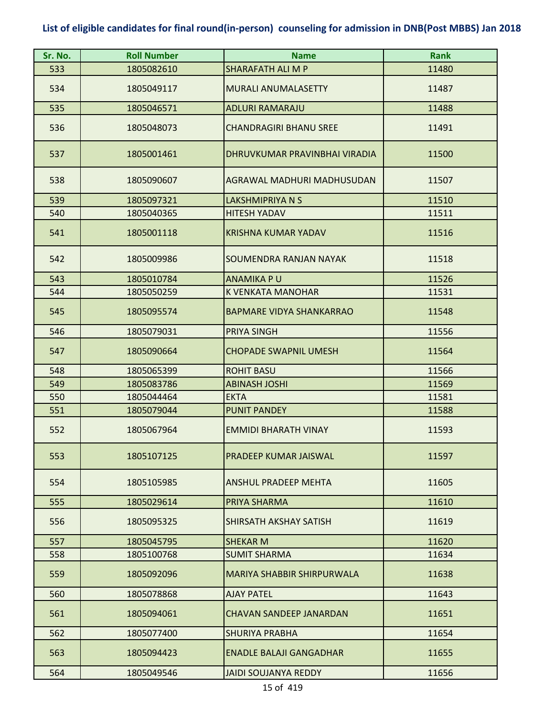| Sr. No. | <b>Roll Number</b> | <b>Name</b>                     | <b>Rank</b> |
|---------|--------------------|---------------------------------|-------------|
| 533     | 1805082610         | SHARAFATH ALI M P               | 11480       |
| 534     | 1805049117         | <b>MURALI ANUMALASETTY</b>      | 11487       |
| 535     | 1805046571         | <b>ADLURI RAMARAJU</b>          | 11488       |
| 536     | 1805048073         | <b>CHANDRAGIRI BHANU SREE</b>   | 11491       |
| 537     | 1805001461         | DHRUVKUMAR PRAVINBHAI VIRADIA   | 11500       |
| 538     | 1805090607         | AGRAWAL MADHURI MADHUSUDAN      | 11507       |
| 539     | 1805097321         | <b>LAKSHMIPRIYA N S</b>         | 11510       |
| 540     | 1805040365         | <b>HITESH YADAV</b>             | 11511       |
| 541     | 1805001118         | <b>KRISHNA KUMAR YADAV</b>      | 11516       |
| 542     | 1805009986         | SOUMENDRA RANJAN NAYAK          | 11518       |
| 543     | 1805010784         | <b>ANAMIKA PU</b>               | 11526       |
| 544     | 1805050259         | K VENKATA MANOHAR               | 11531       |
| 545     | 1805095574         | <b>BAPMARE VIDYA SHANKARRAO</b> | 11548       |
| 546     | 1805079031         | <b>PRIYA SINGH</b>              | 11556       |
| 547     | 1805090664         | <b>CHOPADE SWAPNIL UMESH</b>    | 11564       |
| 548     | 1805065399         | <b>ROHIT BASU</b>               | 11566       |
| 549     | 1805083786         | <b>ABINASH JOSHI</b>            | 11569       |
| 550     | 1805044464         | <b>EKTA</b>                     | 11581       |
| 551     | 1805079044         | <b>PUNIT PANDEY</b>             | 11588       |
| 552     | 1805067964         | <b>EMMIDI BHARATH VINAY</b>     | 11593       |
| 553     | 1805107125         | <b>PRADEEP KUMAR JAISWAL</b>    | 11597       |
| 554     | 1805105985         | <b>ANSHUL PRADEEP MEHTA</b>     | 11605       |
| 555     | 1805029614         | PRIYA SHARMA                    | 11610       |
| 556     | 1805095325         | <b>SHIRSATH AKSHAY SATISH</b>   | 11619       |
| 557     | 1805045795         | <b>SHEKAR M</b>                 | 11620       |
| 558     | 1805100768         | <b>SUMIT SHARMA</b>             | 11634       |
| 559     | 1805092096         | MARIYA SHABBIR SHIRPURWALA      | 11638       |
| 560     | 1805078868         | <b>AJAY PATEL</b>               | 11643       |
| 561     | 1805094061         | <b>CHAVAN SANDEEP JANARDAN</b>  | 11651       |
| 562     | 1805077400         | <b>SHURIYA PRABHA</b>           | 11654       |
| 563     | 1805094423         | <b>ENADLE BALAJI GANGADHAR</b>  | 11655       |
| 564     | 1805049546         | <b>JAIDI SOUJANYA REDDY</b>     | 11656       |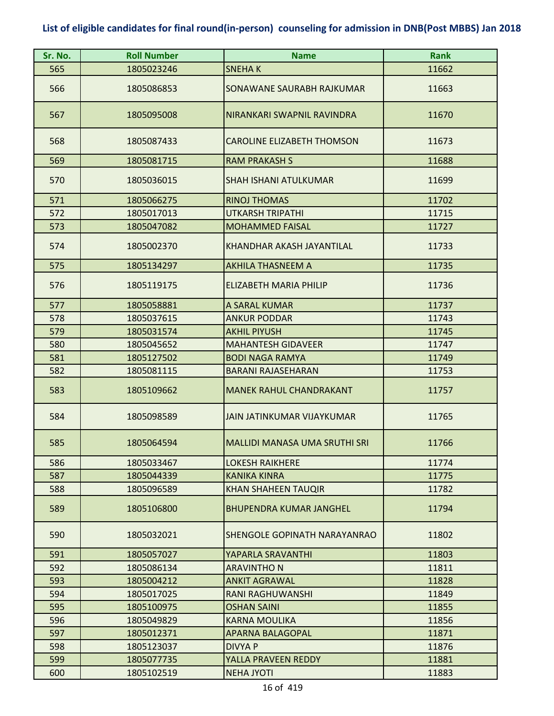| Sr. No. | <b>Roll Number</b> | <b>Name</b>                          | <b>Rank</b> |
|---------|--------------------|--------------------------------------|-------------|
| 565     | 1805023246         | <b>SNEHAK</b>                        | 11662       |
| 566     | 1805086853         | SONAWANE SAURABH RAJKUMAR            | 11663       |
| 567     | 1805095008         | NIRANKARI SWAPNIL RAVINDRA           | 11670       |
| 568     | 1805087433         | <b>CAROLINE ELIZABETH THOMSON</b>    | 11673       |
| 569     | 1805081715         | <b>RAM PRAKASH S</b>                 | 11688       |
| 570     | 1805036015         | <b>SHAH ISHANI ATULKUMAR</b>         | 11699       |
| 571     | 1805066275         | <b>RINOJ THOMAS</b>                  | 11702       |
| 572     | 1805017013         | <b>UTKARSH TRIPATHI</b>              | 11715       |
| 573     | 1805047082         | <b>MOHAMMED FAISAL</b>               | 11727       |
| 574     | 1805002370         | KHANDHAR AKASH JAYANTILAL            | 11733       |
| 575     | 1805134297         | <b>AKHILA THASNEEM A</b>             | 11735       |
| 576     | 1805119175         | <b>ELIZABETH MARIA PHILIP</b>        | 11736       |
| 577     | 1805058881         | A SARAL KUMAR                        | 11737       |
| 578     | 1805037615         | <b>ANKUR PODDAR</b>                  | 11743       |
| 579     | 1805031574         | <b>AKHIL PIYUSH</b>                  | 11745       |
| 580     | 1805045652         | <b>MAHANTESH GIDAVEER</b>            | 11747       |
| 581     | 1805127502         | <b>BODI NAGA RAMYA</b>               | 11749       |
| 582     | 1805081115         | <b>BARANI RAJASEHARAN</b>            | 11753       |
| 583     | 1805109662         | <b>MANEK RAHUL CHANDRAKANT</b>       | 11757       |
| 584     | 1805098589         | JAIN JATINKUMAR VIJAYKUMAR           | 11765       |
| 585     | 1805064594         | <b>MALLIDI MANASA UMA SRUTHI SRI</b> | 11766       |
| 586     | 1805033467         | <b>LOKESH RAIKHERE</b>               | 11774       |
| 587     | 1805044339         | <b>KANIKA KINRA</b>                  | 11775       |
| 588     | 1805096589         | <b>KHAN SHAHEEN TAUQIR</b>           | 11782       |
| 589     | 1805106800         | <b>BHUPENDRA KUMAR JANGHEL</b>       | 11794       |
| 590     | 1805032021         | <b>SHENGOLE GOPINATH NARAYANRAO</b>  | 11802       |
| 591     | 1805057027         | YAPARLA SRAVANTHI                    | 11803       |
| 592     | 1805086134         | <b>ARAVINTHO N</b>                   | 11811       |
| 593     | 1805004212         | <b>ANKIT AGRAWAL</b>                 | 11828       |
| 594     | 1805017025         | RANI RAGHUWANSHI                     | 11849       |
| 595     | 1805100975         | <b>OSHAN SAINI</b>                   | 11855       |
| 596     | 1805049829         | <b>KARNA MOULIKA</b>                 | 11856       |
| 597     | 1805012371         | <b>APARNA BALAGOPAL</b>              | 11871       |
| 598     | 1805123037         | <b>DIVYA P</b>                       | 11876       |
| 599     | 1805077735         | YALLA PRAVEEN REDDY                  | 11881       |
| 600     | 1805102519         | <b>NEHA JYOTI</b>                    | 11883       |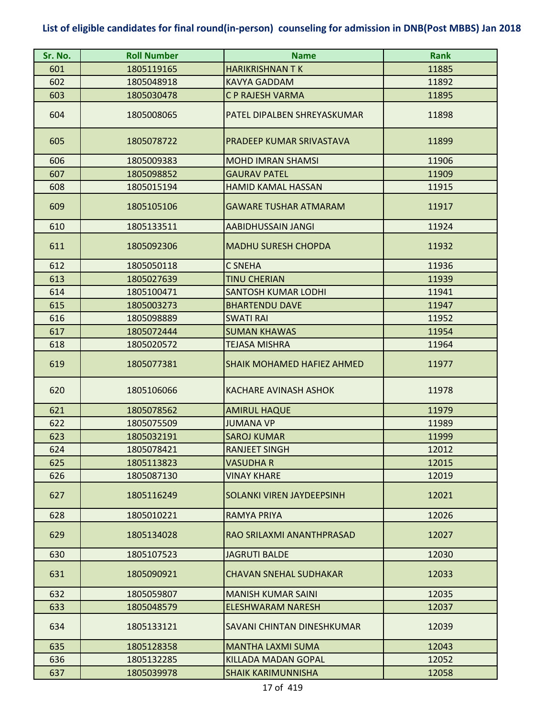| Sr. No. | <b>Roll Number</b> | <b>Name</b>                       | <b>Rank</b> |
|---------|--------------------|-----------------------------------|-------------|
| 601     | 1805119165         | <b>HARIKRISHNAN TK</b>            | 11885       |
| 602     | 1805048918         | <b>KAVYA GADDAM</b>               | 11892       |
| 603     | 1805030478         | C P RAJESH VARMA                  | 11895       |
| 604     | 1805008065         | PATEL DIPALBEN SHREYASKUMAR       | 11898       |
| 605     | 1805078722         | PRADEEP KUMAR SRIVASTAVA          | 11899       |
| 606     | 1805009383         | <b>MOHD IMRAN SHAMSI</b>          | 11906       |
| 607     | 1805098852         | <b>GAURAV PATEL</b>               | 11909       |
| 608     | 1805015194         | <b>HAMID KAMAL HASSAN</b>         | 11915       |
| 609     | 1805105106         | <b>GAWARE TUSHAR ATMARAM</b>      | 11917       |
| 610     | 1805133511         | AABIDHUSSAIN JANGI                | 11924       |
| 611     | 1805092306         | <b>MADHU SURESH CHOPDA</b>        | 11932       |
| 612     | 1805050118         | <b>C SNEHA</b>                    | 11936       |
| 613     | 1805027639         | <b>TINU CHERIAN</b>               | 11939       |
| 614     | 1805100471         | <b>SANTOSH KUMAR LODHI</b>        | 11941       |
| 615     | 1805003273         | <b>BHARTENDU DAVE</b>             | 11947       |
| 616     | 1805098889         | <b>SWATI RAI</b>                  | 11952       |
| 617     | 1805072444         | <b>SUMAN KHAWAS</b>               | 11954       |
| 618     | 1805020572         | <b>TEJASA MISHRA</b>              | 11964       |
| 619     | 1805077381         | <b>SHAIK MOHAMED HAFIEZ AHMED</b> | 11977       |
| 620     | 1805106066         | KACHARE AVINASH ASHOK             | 11978       |
| 621     | 1805078562         | <b>AMIRUL HAQUE</b>               | 11979       |
| 622     | 1805075509         | <b>JUMANA VP</b>                  | 11989       |
| 623     | 1805032191         | <b>SAROJ KUMAR</b>                | 11999       |
| 624     | 1805078421         | <b>RANJEFT SINGH</b>              | 12012       |
| 625     | 1805113823         | <b>VASUDHA R</b>                  | 12015       |
| 626     | 1805087130         | <b>VINAY KHARE</b>                | 12019       |
| 627     | 1805116249         | SOLANKI VIREN JAYDEEPSINH         | 12021       |
| 628     | 1805010221         | <b>RAMYA PRIYA</b>                | 12026       |
| 629     | 1805134028         | RAO SRILAXMI ANANTHPRASAD         | 12027       |
| 630     | 1805107523         | <b>JAGRUTI BALDE</b>              | 12030       |
| 631     | 1805090921         | <b>CHAVAN SNEHAL SUDHAKAR</b>     | 12033       |
| 632     | 1805059807         | <b>MANISH KUMAR SAINI</b>         | 12035       |
| 633     | 1805048579         | ELESHWARAM NARESH                 | 12037       |
| 634     | 1805133121         | <b>SAVANI CHINTAN DINESHKUMAR</b> | 12039       |
| 635     | 1805128358         | <b>MANTHA LAXMI SUMA</b>          | 12043       |
| 636     | 1805132285         | <b>KILLADA MADAN GOPAL</b>        | 12052       |
| 637     | 1805039978         | <b>SHAIK KARIMUNNISHA</b>         | 12058       |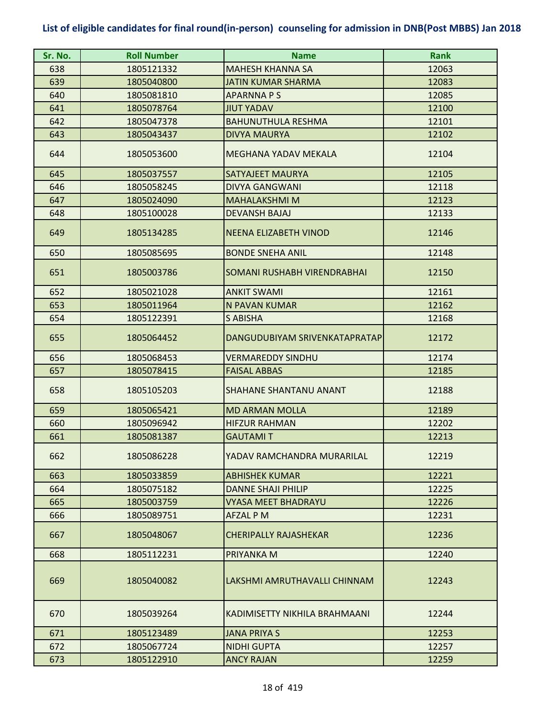| Sr. No. | <b>Roll Number</b> | <b>Name</b>                        | <b>Rank</b> |
|---------|--------------------|------------------------------------|-------------|
| 638     | 1805121332         | <b>MAHESH KHANNA SA</b>            | 12063       |
| 639     | 1805040800         | <b>JATIN KUMAR SHARMA</b>          | 12083       |
| 640     | 1805081810         | <b>APARNNAPS</b>                   | 12085       |
| 641     | 1805078764         | <b>JIUT YADAV</b>                  | 12100       |
| 642     | 1805047378         | <b>BAHUNUTHULA RESHMA</b>          | 12101       |
| 643     | 1805043437         | DIVYA MAURYA                       | 12102       |
| 644     | 1805053600         | MEGHANA YADAV MEKALA               | 12104       |
| 645     | 1805037557         | SATYAJEET MAURYA                   | 12105       |
| 646     | 1805058245         | <b>DIVYA GANGWANI</b>              | 12118       |
| 647     | 1805024090         | <b>MAHALAKSHMI M</b>               | 12123       |
| 648     | 1805100028         | <b>DEVANSH BAJAJ</b>               | 12133       |
| 649     | 1805134285         | <b>NEENA ELIZABETH VINOD</b>       | 12146       |
| 650     | 1805085695         | <b>BONDE SNEHA ANIL</b>            | 12148       |
| 651     | 1805003786         | <b>SOMANI RUSHABH VIRENDRABHAI</b> | 12150       |
| 652     | 1805021028         | <b>ANKIT SWAMI</b>                 | 12161       |
| 653     | 1805011964         | N PAVAN KUMAR                      | 12162       |
| 654     | 1805122391         | <b>S ABISHA</b>                    | 12168       |
| 655     | 1805064452         | DANGUDUBIYAM SRIVENKATAPRATAP      | 12172       |
| 656     | 1805068453         | <b>VERMAREDDY SINDHU</b>           | 12174       |
| 657     | 1805078415         | <b>FAISAL ABBAS</b>                | 12185       |
| 658     | 1805105203         | <b>SHAHANE SHANTANU ANANT</b>      | 12188       |
| 659     | 1805065421         | <b>MD ARMAN MOLLA</b>              | 12189       |
| 660     | 1805096942         | <b>HIFZUR RAHMAN</b>               | 12202       |
| 661     | 1805081387         | <b>GAUTAMIT</b>                    | 12213       |
| 662     | 1805086228         | YADAV RAMCHANDRA MURARILAL         | 12219       |
| 663     | 1805033859         | <b>ABHISHEK KUMAR</b>              | 12221       |
| 664     | 1805075182         | <b>DANNE SHAJI PHILIP</b>          | 12225       |
| 665     | 1805003759         | <b>VYASA MEET BHADRAYU</b>         | 12226       |
| 666     | 1805089751         | AFZAL PM                           | 12231       |
| 667     | 1805048067         | <b>CHERIPALLY RAJASHEKAR</b>       | 12236       |
| 668     | 1805112231         | PRIYANKA M                         | 12240       |
| 669     | 1805040082         | LAKSHMI AMRUTHAVALLI CHINNAM       | 12243       |
| 670     | 1805039264         | KADIMISETTY NIKHILA BRAHMAANI      | 12244       |
| 671     | 1805123489         | <b>JANA PRIYA S</b>                | 12253       |
| 672     | 1805067724         | <b>NIDHI GUPTA</b>                 | 12257       |
| 673     | 1805122910         | <b>ANCY RAJAN</b>                  | 12259       |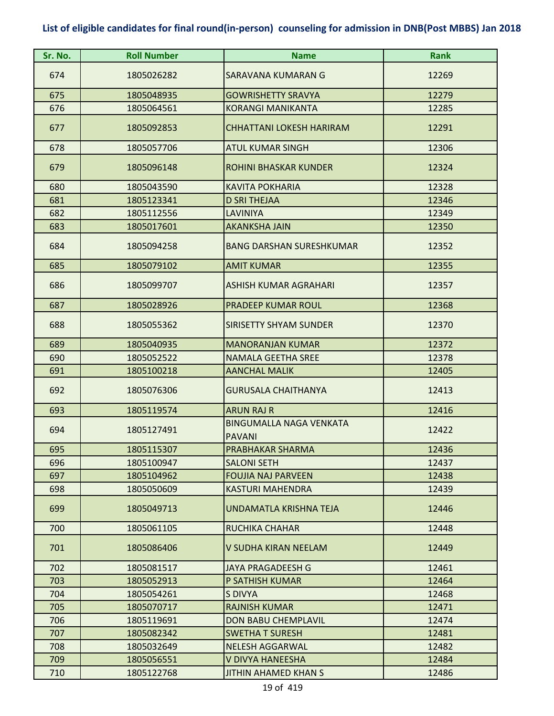| Sr. No. | <b>Roll Number</b> | <b>Name</b>                                     | <b>Rank</b> |
|---------|--------------------|-------------------------------------------------|-------------|
| 674     | 1805026282         | SARAVANA KUMARAN G                              | 12269       |
| 675     | 1805048935         | <b>GOWRISHETTY SRAVYA</b>                       | 12279       |
| 676     | 1805064561         | <b>KORANGI MANIKANTA</b>                        | 12285       |
| 677     | 1805092853         | <b>CHHATTANI LOKESH HARIRAM</b>                 | 12291       |
| 678     | 1805057706         | <b>ATUL KUMAR SINGH</b>                         | 12306       |
| 679     | 1805096148         | <b>ROHINI BHASKAR KUNDER</b>                    | 12324       |
| 680     | 1805043590         | <b>KAVITA POKHARIA</b>                          | 12328       |
| 681     | 1805123341         | <b>D SRI THEJAA</b>                             | 12346       |
| 682     | 1805112556         | LAVINIYA                                        | 12349       |
| 683     | 1805017601         | <b>AKANKSHA JAIN</b>                            | 12350       |
| 684     | 1805094258         | <b>BANG DARSHAN SURESHKUMAR</b>                 | 12352       |
| 685     | 1805079102         | <b>AMIT KUMAR</b>                               | 12355       |
| 686     | 1805099707         | ASHISH KUMAR AGRAHARI                           | 12357       |
| 687     | 1805028926         | <b>PRADEEP KUMAR ROUL</b>                       | 12368       |
| 688     | 1805055362         | <b>SIRISETTY SHYAM SUNDER</b>                   | 12370       |
| 689     | 1805040935         | <b>MANORANJAN KUMAR</b>                         | 12372       |
| 690     | 1805052522         | <b>NAMALA GEETHA SREE</b>                       | 12378       |
| 691     | 1805100218         | <b>AANCHAL MALIK</b>                            | 12405       |
| 692     | 1805076306         | <b>GURUSALA CHAITHANYA</b>                      | 12413       |
| 693     | 1805119574         | <b>ARUN RAJ R</b>                               | 12416       |
| 694     | 1805127491         | <b>BINGUMALLA NAGA VENKATA</b><br><b>PAVANI</b> | 12422       |
| 695     | 1805115307         | PRABHAKAR SHARMA                                | 12436       |
| 696     | 1805100947         | <b>SALONI SETH</b>                              | 12437       |
| 697     | 1805104962         | <b>FOUJIA NAJ PARVEEN</b>                       | 12438       |
| 698     | 1805050609         | <b>KASTURI MAHENDRA</b>                         | 12439       |
| 699     | 1805049713         | UNDAMATLA KRISHNA TEJA                          | 12446       |
| 700     | 1805061105         | RUCHIKA CHAHAR                                  | 12448       |
| 701     | 1805086406         | V SUDHA KIRAN NEELAM                            | 12449       |
| 702     | 1805081517         | <b>JAYA PRAGADEESH G</b>                        | 12461       |
| 703     | 1805052913         | P SATHISH KUMAR                                 | 12464       |
| 704     | 1805054261         | S DIVYA                                         | 12468       |
| 705     | 1805070717         | <b>RAJNISH KUMAR</b>                            | 12471       |
| 706     | 1805119691         | DON BABU CHEMPLAVIL                             | 12474       |
| 707     | 1805082342         | <b>SWETHA T SURESH</b>                          | 12481       |
| 708     | 1805032649         | <b>NELESH AGGARWAL</b>                          | 12482       |
| 709     | 1805056551         | V DIVYA HANEESHA                                | 12484       |
| 710     | 1805122768         | <b>JITHIN AHAMED KHAN S</b>                     | 12486       |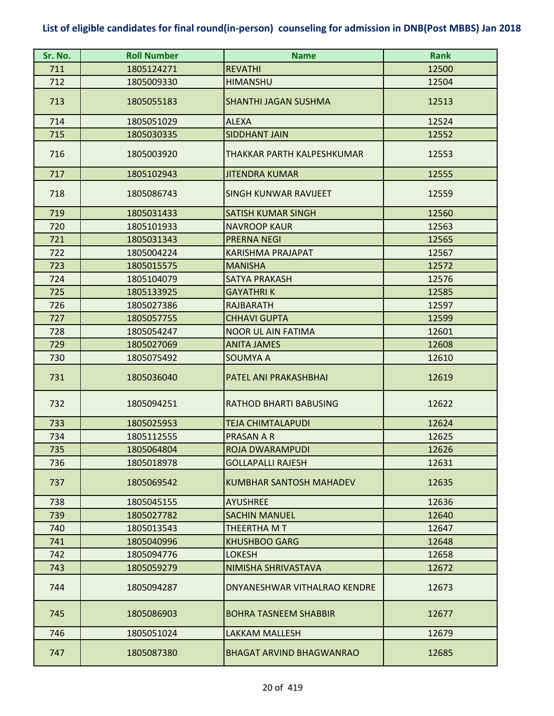| Sr. No. | <b>Roll Number</b> | <b>Name</b>                     | <b>Rank</b> |
|---------|--------------------|---------------------------------|-------------|
| 711     | 1805124271         | <b>REVATHI</b>                  | 12500       |
| 712     | 1805009330         | <b>HIMANSHU</b>                 | 12504       |
| 713     | 1805055183         | <b>SHANTHI JAGAN SUSHMA</b>     | 12513       |
| 714     | 1805051029         | <b>ALEXA</b>                    | 12524       |
| 715     | 1805030335         | <b>SIDDHANT JAIN</b>            | 12552       |
| 716     | 1805003920         | THAKKAR PARTH KALPESHKUMAR      | 12553       |
| 717     | 1805102943         | <b>JITENDRA KUMAR</b>           | 12555       |
| 718     | 1805086743         | <b>SINGH KUNWAR RAVIJEET</b>    | 12559       |
| 719     | 1805031433         | <b>SATISH KUMAR SINGH</b>       | 12560       |
| 720     | 1805101933         | <b>NAVROOP KAUR</b>             | 12563       |
| 721     | 1805031343         | <b>PRERNA NEGI</b>              | 12565       |
| 722     | 1805004224         | <b>KARISHMA PRAJAPAT</b>        | 12567       |
| 723     | 1805015575         | <b>MANISHA</b>                  | 12572       |
| 724     | 1805104079         | <b>SATYA PRAKASH</b>            | 12576       |
| 725     | 1805133925         | <b>GAYATHRIK</b>                | 12585       |
| 726     | 1805027386         | <b>RAJBARATH</b>                | 12597       |
| 727     | 1805057755         | <b>CHHAVI GUPTA</b>             | 12599       |
| 728     | 1805054247         | <b>NOOR UL AIN FATIMA</b>       | 12601       |
| 729     | 1805027069         | <b>ANITA JAMES</b>              | 12608       |
| 730     | 1805075492         | <b>SOUMYA A</b>                 | 12610       |
| 731     | 1805036040         | PATEL ANI PRAKASHBHAI           | 12619       |
| 732     | 1805094251         | <b>RATHOD BHARTI BABUSING</b>   | 12622       |
| 733     | 1805025953         | <b>TEJA CHIMTALAPUDI</b>        | 12624       |
| 734     | 1805112555         | <b>PRASAN A R</b>               | 12625       |
| 735     | 1805064804         | <b>ROJA DWARAMPUDI</b>          | 12626       |
| 736     | 1805018978         | <b>GOLLAPALLI RAJESH</b>        | 12631       |
| 737     | 1805069542         | <b>KUMBHAR SANTOSH MAHADEV</b>  | 12635       |
| 738     | 1805045155         | <b>AYUSHREE</b>                 | 12636       |
| 739     | 1805027782         | <b>SACHIN MANUEL</b>            | 12640       |
| 740     | 1805013543         | THEERTHA M T                    | 12647       |
| 741     | 1805040996         | <b>KHUSHBOO GARG</b>            | 12648       |
| 742     | 1805094776         | <b>LOKESH</b>                   | 12658       |
| 743     | 1805059279         | NIMISHA SHRIVASTAVA             | 12672       |
| 744     | 1805094287         | DNYANESHWAR VITHALRAO KENDRE    | 12673       |
| 745     | 1805086903         | <b>BOHRA TASNEEM SHABBIR</b>    | 12677       |
| 746     | 1805051024         | <b>LAKKAM MALLESH</b>           | 12679       |
| 747     | 1805087380         | <b>BHAGAT ARVIND BHAGWANRAO</b> | 12685       |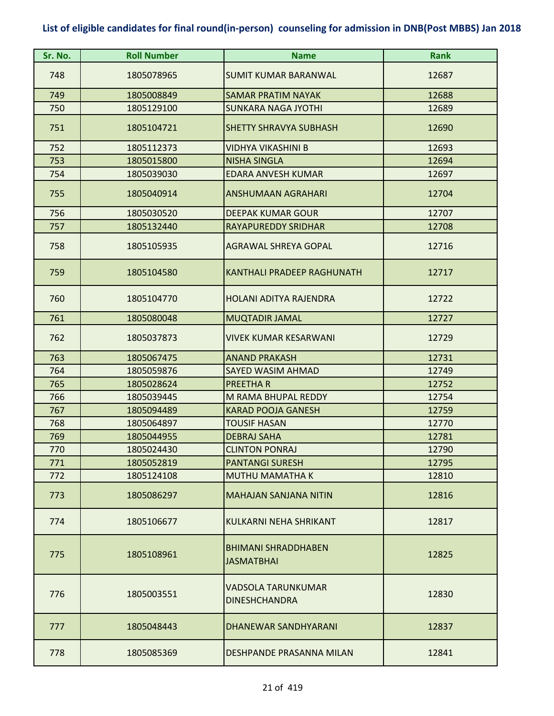| Sr. No.    | <b>Roll Number</b>       | <b>Name</b>                                      | <b>Rank</b>    |
|------------|--------------------------|--------------------------------------------------|----------------|
| 748        | 1805078965               | <b>SUMIT KUMAR BARANWAL</b>                      | 12687          |
| 749        | 1805008849               | <b>SAMAR PRATIM NAYAK</b>                        | 12688          |
| 750        | 1805129100               | <b>SUNKARA NAGA JYOTHI</b>                       | 12689          |
| 751        | 1805104721               | <b>SHETTY SHRAVYA SUBHASH</b>                    | 12690          |
| 752        | 1805112373               | <b>VIDHYA VIKASHINI B</b>                        | 12693          |
| 753        | 1805015800               | <b>NISHA SINGLA</b>                              | 12694          |
| 754        | 1805039030               | <b>EDARA ANVESH KUMAR</b>                        | 12697          |
| 755        | 1805040914               | <b>ANSHUMAAN AGRAHARI</b>                        | 12704          |
| 756        | 1805030520               | <b>DEEPAK KUMAR GOUR</b>                         | 12707          |
| 757        | 1805132440               | <b>RAYAPUREDDY SRIDHAR</b>                       | 12708          |
| 758        | 1805105935               | <b>AGRAWAL SHREYA GOPAL</b>                      | 12716          |
| 759        | 1805104580               | <b>KANTHALI PRADEEP RAGHUNATH</b>                | 12717          |
| 760        | 1805104770               | <b>HOLANI ADITYA RAJENDRA</b>                    | 12722          |
| 761        | 1805080048               | <b>MUQTADIR JAMAL</b>                            | 12727          |
| 762        | 1805037873               | <b>VIVEK KUMAR KESARWANI</b>                     | 12729          |
| 763        | 1805067475               | <b>ANAND PRAKASH</b>                             | 12731          |
| 764        | 1805059876               | <b>SAYED WASIM AHMAD</b>                         | 12749          |
| 765        | 1805028624               | <b>PREETHAR</b>                                  | 12752          |
| 766        | 1805039445               | M RAMA BHUPAL REDDY                              | 12754          |
| 767        | 1805094489               | <b>KARAD POOJA GANESH</b>                        | 12759          |
| 768        | 1805064897               | <b>TOUSIF HASAN</b>                              | 12770          |
| 769        | 1805044955               | <b>DEBRAJ SAHA</b>                               | 12781          |
| 770        | 1805024430               | <b>CLINTON PONRAJ</b>                            | 12790          |
| 771<br>772 | 1805052819<br>1805124108 | <b>PANTANGI SURESH</b><br><b>MUTHU MAMATHA K</b> | 12795<br>12810 |
|            |                          |                                                  |                |
| 773        | 1805086297               | <b>MAHAJAN SANJANA NITIN</b>                     | 12816          |
| 774        | 1805106677               | KULKARNI NEHA SHRIKANT                           | 12817          |
| 775        | 1805108961               | <b>BHIMANI SHRADDHABEN</b><br><b>JASMATBHAI</b>  | 12825          |
| 776        | 1805003551               | VADSOLA TARUNKUMAR<br><b>DINESHCHANDRA</b>       | 12830          |
| 777        | 1805048443               | <b>DHANEWAR SANDHYARANI</b>                      | 12837          |
| 778        | 1805085369               | DESHPANDE PRASANNA MILAN                         | 12841          |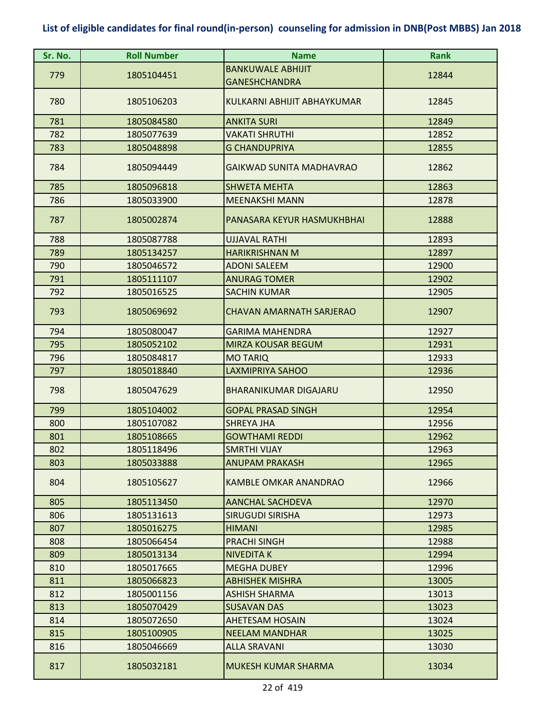| Sr. No. | <b>Roll Number</b> | <b>Name</b>                     | <b>Rank</b> |
|---------|--------------------|---------------------------------|-------------|
| 779     | 1805104451         | <b>BANKUWALE ABHIJIT</b>        | 12844       |
|         |                    | <b>GANESHCHANDRA</b>            |             |
| 780     | 1805106203         | KULKARNI ABHIJIT ABHAYKUMAR     | 12845       |
| 781     | 1805084580         | ANKITA SURI                     | 12849       |
| 782     | 1805077639         | VAKATI SHRUTHI                  | 12852       |
| 783     | 1805048898         | <b>G CHANDUPRIYA</b>            | 12855       |
| 784     | 1805094449         | <b>GAIKWAD SUNITA MADHAVRAO</b> | 12862       |
| 785     | 1805096818         | <b>SHWETA MEHTA</b>             | 12863       |
| 786     | 1805033900         | <b>MEENAKSHI MANN</b>           | 12878       |
| 787     | 1805002874         | PANASARA KEYUR HASMUKHBHAI      | 12888       |
| 788     | 1805087788         | <b>UJJAVAL RATHI</b>            | 12893       |
| 789     | 1805134257         | <b>HARIKRISHNAN M</b>           | 12897       |
| 790     | 1805046572         | <b>ADONI SALEEM</b>             | 12900       |
| 791     | 1805111107         | <b>ANURAG TOMER</b>             | 12902       |
| 792     | 1805016525         | <b>SACHIN KUMAR</b>             | 12905       |
| 793     | 1805069692         | <b>CHAVAN AMARNATH SARJERAO</b> | 12907       |
| 794     | 1805080047         | <b>GARIMA MAHENDRA</b>          | 12927       |
| 795     | 1805052102         | <b>MIRZA KOUSAR BEGUM</b>       | 12931       |
| 796     | 1805084817         | <b>MO TARIQ</b>                 | 12933       |
| 797     | 1805018840         | <b>LAXMIPRIYA SAHOO</b>         | 12936       |
| 798     | 1805047629         | <b>BHARANIKUMAR DIGAJARU</b>    | 12950       |
| 799     | 1805104002         | <b>GOPAL PRASAD SINGH</b>       | 12954       |
| 800     | 1805107082         | <b>SHREYA JHA</b>               | 12956       |
| 801     | 1805108665         | <b>GOWTHAMI REDDI</b>           | 12962       |
| 802     | 1805118496         | <b>SMRTHI VIJAY</b>             | 12963       |
| 803     | 1805033888         | <b>ANUPAM PRAKASH</b>           | 12965       |
| 804     | 1805105627         | <b>KAMBLE OMKAR ANANDRAO</b>    | 12966       |
| 805     | 1805113450         | <b>AANCHAL SACHDEVA</b>         | 12970       |
| 806     | 1805131613         | <b>SIRUGUDI SIRISHA</b>         | 12973       |
| 807     | 1805016275         | <b>HIMANI</b>                   | 12985       |
| 808     | 1805066454         | <b>PRACHI SINGH</b>             | 12988       |
| 809     | 1805013134         | <b>NIVEDITA K</b>               | 12994       |
| 810     | 1805017665         | <b>MEGHA DUBEY</b>              | 12996       |
| 811     | 1805066823         | <b>ABHISHEK MISHRA</b>          | 13005       |
| 812     | 1805001156         | <b>ASHISH SHARMA</b>            | 13013       |
| 813     | 1805070429         | <b>SUSAVAN DAS</b>              | 13023       |
| 814     | 1805072650         | AHETESAM HOSAIN                 | 13024       |
| 815     | 1805100905         | <b>NEELAM MANDHAR</b>           | 13025       |
| 816     | 1805046669         | <b>ALLA SRAVANI</b>             | 13030       |
| 817     | 1805032181         | <b>MUKESH KUMAR SHARMA</b>      | 13034       |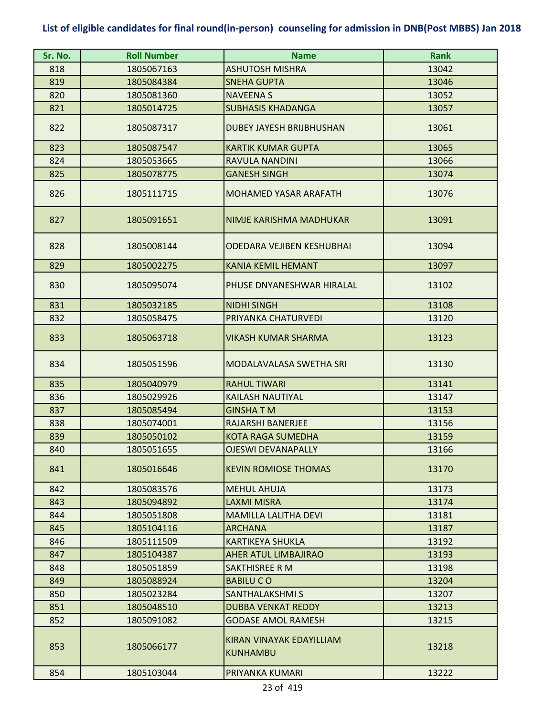| Sr. No. | <b>Roll Number</b> | <b>Name</b>                                 | <b>Rank</b> |
|---------|--------------------|---------------------------------------------|-------------|
| 818     | 1805067163         | <b>ASHUTOSH MISHRA</b>                      | 13042       |
| 819     | 1805084384         | <b>SNEHA GUPTA</b>                          | 13046       |
| 820     | 1805081360         | <b>NAVEENA S</b>                            | 13052       |
| 821     | 1805014725         | <b>SUBHASIS KHADANGA</b>                    | 13057       |
| 822     | 1805087317         | <b>DUBEY JAYESH BRIJBHUSHAN</b>             | 13061       |
| 823     | 1805087547         | <b>KARTIK KUMAR GUPTA</b>                   | 13065       |
| 824     | 1805053665         | RAVULA NANDINI                              | 13066       |
| 825     | 1805078775         | <b>GANESH SINGH</b>                         | 13074       |
| 826     | 1805111715         | MOHAMED YASAR ARAFATH                       | 13076       |
| 827     | 1805091651         | NIMJE KARISHMA MADHUKAR                     | 13091       |
| 828     | 1805008144         | ODEDARA VEJIBEN KESHUBHAI                   | 13094       |
| 829     | 1805002275         | <b>KANIA KEMIL HEMANT</b>                   | 13097       |
| 830     | 1805095074         | PHUSE DNYANESHWAR HIRALAL                   | 13102       |
| 831     | 1805032185         | <b>NIDHI SINGH</b>                          | 13108       |
| 832     | 1805058475         | PRIYANKA CHATURVEDI                         | 13120       |
| 833     | 1805063718         | <b>VIKASH KUMAR SHARMA</b>                  | 13123       |
| 834     | 1805051596         | <b>MODALAVALASA SWETHA SRI</b>              | 13130       |
| 835     | 1805040979         | <b>RAHUL TIWARI</b>                         | 13141       |
| 836     | 1805029926         | <b>KAILASH NAUTIYAL</b>                     | 13147       |
| 837     | 1805085494         | <b>GINSHATM</b>                             | 13153       |
| 838     | 1805074001         | RAJARSHI BANERJEE                           | 13156       |
| 839     | 1805050102         | <b>KOTA RAGA SUMEDHA</b>                    | 13159       |
| 840     | 1805051655         | <b>OJESWI DEVANAPALLY</b>                   | 13166       |
| 841     | 1805016646         | <b>KEVIN ROMIOSE THOMAS</b>                 | 13170       |
| 842     | 1805083576         | <b>MEHUL AHUJA</b>                          | 13173       |
| 843     | 1805094892         | <b>LAXMI MISRA</b>                          | 13174       |
| 844     | 1805051808         | <b>MAMILLA LALITHA DEVI</b>                 | 13181       |
| 845     | 1805104116         | <b>ARCHANA</b>                              | 13187       |
| 846     | 1805111509         | <b>KARTIKEYA SHUKLA</b>                     | 13192       |
| 847     | 1805104387         | <b>AHER ATUL LIMBAJIRAO</b>                 | 13193       |
| 848     | 1805051859         | <b>SAKTHISREE R M</b>                       | 13198       |
| 849     | 1805088924         | <b>BABILUCO</b>                             | 13204       |
| 850     | 1805023284         | <b>SANTHALAKSHMI S</b>                      | 13207       |
| 851     | 1805048510         | <b>DUBBA VENKAT REDDY</b>                   | 13213       |
| 852     | 1805091082         | <b>GODASE AMOL RAMESH</b>                   | 13215       |
| 853     | 1805066177         | KIRAN VINAYAK EDAYILLIAM<br><b>KUNHAMBU</b> | 13218       |
| 854     | 1805103044         | PRIYANKA KUMARI                             | 13222       |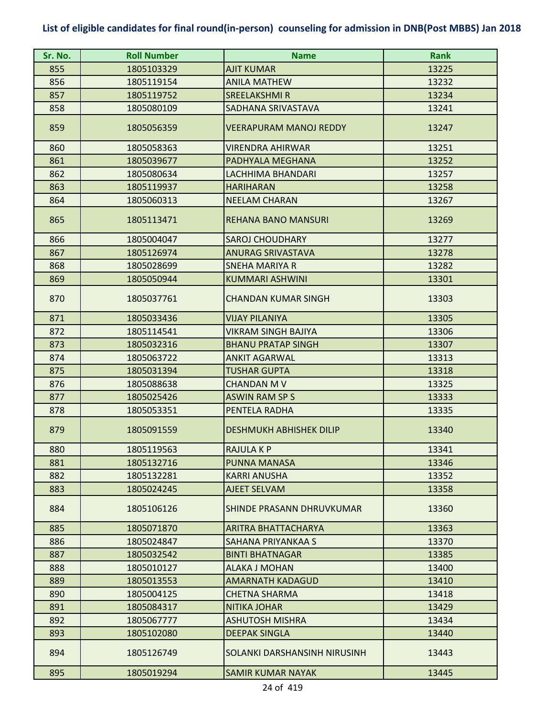| Sr. No. | <b>Roll Number</b> | <b>Name</b>                    | <b>Rank</b> |
|---------|--------------------|--------------------------------|-------------|
| 855     | 1805103329         | <b>AJIT KUMAR</b>              | 13225       |
| 856     | 1805119154         | <b>ANILA MATHEW</b>            | 13232       |
| 857     | 1805119752         | <b>SREELAKSHMIR</b>            | 13234       |
| 858     | 1805080109         | SADHANA SRIVASTAVA             | 13241       |
| 859     | 1805056359         | <b>VEERAPURAM MANOJ REDDY</b>  | 13247       |
| 860     | 1805058363         | <b>VIRENDRA AHIRWAR</b>        | 13251       |
| 861     | 1805039677         | PADHYALA MEGHANA               | 13252       |
| 862     | 1805080634         | LACHHIMA BHANDARI              | 13257       |
| 863     | 1805119937         | <b>HARIHARAN</b>               | 13258       |
| 864     | 1805060313         | <b>NEELAM CHARAN</b>           | 13267       |
| 865     | 1805113471         | <b>REHANA BANO MANSURI</b>     | 13269       |
| 866     | 1805004047         | <b>SAROJ CHOUDHARY</b>         | 13277       |
| 867     | 1805126974         | ANURAG SRIVASTAVA              | 13278       |
| 868     | 1805028699         | <b>SNEHA MARIYA R</b>          | 13282       |
| 869     | 1805050944         | <b>KUMMARI ASHWINI</b>         | 13301       |
| 870     | 1805037761         | <b>CHANDAN KUMAR SINGH</b>     | 13303       |
| 871     | 1805033436         | <b>VIJAY PILANIYA</b>          | 13305       |
| 872     | 1805114541         | <b>VIKRAM SINGH BAJIYA</b>     | 13306       |
| 873     | 1805032316         | <b>BHANU PRATAP SINGH</b>      | 13307       |
| 874     | 1805063722         | <b>ANKIT AGARWAL</b>           | 13313       |
| 875     | 1805031394         | <b>TUSHAR GUPTA</b>            | 13318       |
| 876     | 1805088638         | <b>CHANDAN M V</b>             | 13325       |
| 877     | 1805025426         | <b>ASWIN RAM SP S</b>          | 13333       |
| 878     | 1805053351         | PENTELA RADHA                  | 13335       |
| 879     | 1805091559         | <b>DESHMUKH ABHISHEK DILIP</b> | 13340       |
| 880     | 1805119563         | <b>RAJULA K P</b>              | 13341       |
| 881     | 1805132716         | PUNNA MANASA                   | 13346       |
| 882     | 1805132281         | KARRI ANUSHA                   | 13352       |
| 883     | 1805024245         | AJEET SELVAM                   | 13358       |
| 884     | 1805106126         | SHINDE PRASANN DHRUVKUMAR      | 13360       |
| 885     | 1805071870         | ARITRA BHATTACHARYA            | 13363       |
| 886     | 1805024847         | SAHANA PRIYANKAA S             | 13370       |
| 887     | 1805032542         | <b>BINTI BHATNAGAR</b>         | 13385       |
| 888     | 1805010127         | ALAKA J MOHAN                  | 13400       |
| 889     | 1805013553         | <b>AMARNATH KADAGUD</b>        | 13410       |
| 890     | 1805004125         | <b>CHETNA SHARMA</b>           | 13418       |
| 891     | 1805084317         | <b>NITIKA JOHAR</b>            | 13429       |
| 892     | 1805067777         | ASHUTOSH MISHRA                | 13434       |
| 893     | 1805102080         | <b>DEEPAK SINGLA</b>           | 13440       |
| 894     | 1805126749         | SOLANKI DARSHANSINH NIRUSINH   | 13443       |
| 895     | 1805019294         | <b>SAMIR KUMAR NAYAK</b>       | 13445       |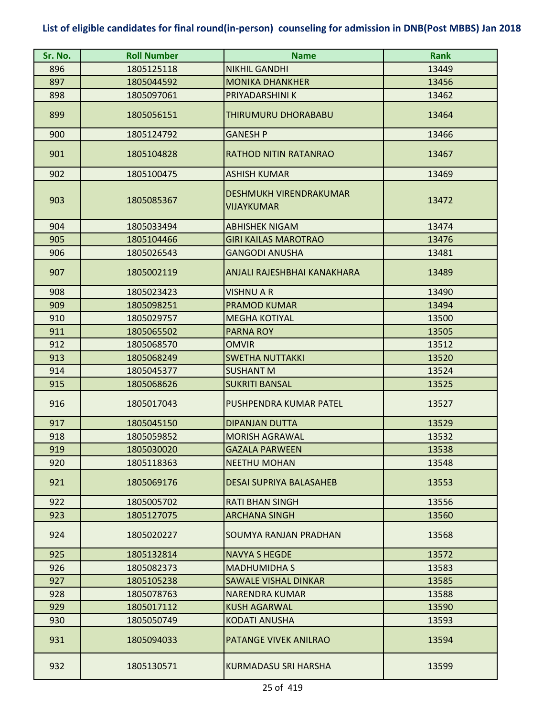| Sr. No. | <b>Roll Number</b> | <b>Name</b>                                 | <b>Rank</b> |
|---------|--------------------|---------------------------------------------|-------------|
| 896     | 1805125118         | <b>NIKHIL GANDHI</b>                        | 13449       |
| 897     | 1805044592         | <b>MONIKA DHANKHER</b>                      | 13456       |
| 898     | 1805097061         | PRIYADARSHINI K                             | 13462       |
| 899     | 1805056151         | THIRUMURU DHORABABU                         | 13464       |
| 900     | 1805124792         | GANESH P                                    | 13466       |
| 901     | 1805104828         | <b>RATHOD NITIN RATANRAO</b>                | 13467       |
| 902     | 1805100475         | <b>ASHISH KUMAR</b>                         | 13469       |
| 903     | 1805085367         | DESHMUKH VIRENDRAKUMAR<br><b>VIJAYKUMAR</b> | 13472       |
| 904     | 1805033494         | <b>ABHISHEK NIGAM</b>                       | 13474       |
| 905     | 1805104466         | <b>GIRI KAILAS MAROTRAO</b>                 | 13476       |
| 906     | 1805026543         | <b>GANGODI ANUSHA</b>                       | 13481       |
| 907     | 1805002119         | ANJALI RAJESHBHAI KANAKHARA                 | 13489       |
| 908     | 1805023423         | <b>VISHNU A R</b>                           | 13490       |
| 909     | 1805098251         | <b>PRAMOD KUMAR</b>                         | 13494       |
| 910     | 1805029757         | <b>MEGHA KOTIYAL</b>                        | 13500       |
| 911     | 1805065502         | <b>PARNA ROY</b>                            | 13505       |
| 912     | 1805068570         | OMVIR                                       | 13512       |
| 913     | 1805068249         | <b>SWETHA NUTTAKKI</b>                      | 13520       |
| 914     | 1805045377         | <b>SUSHANT M</b>                            | 13524       |
| 915     | 1805068626         | <b>SUKRITI BANSAL</b>                       | 13525       |
| 916     | 1805017043         | PUSHPENDRA KUMAR PATEL                      | 13527       |
| 917     | 1805045150         | <b>DIPANJAN DUTTA</b>                       | 13529       |
| 918     | 1805059852         | <b>MORISH AGRAWAL</b>                       | 13532       |
| 919     | 1805030020         | <b>GAZALA PARWEEN</b>                       | 13538       |
| 920     | 1805118363         | <b>NEETHU MOHAN</b>                         | 13548       |
| 921     | 1805069176         | <b>DESAI SUPRIYA BALASAHEB</b>              | 13553       |
| 922     | 1805005702         | <b>RATI BHAN SINGH</b>                      | 13556       |
| 923     | 1805127075         | <b>ARCHANA SINGH</b>                        | 13560       |
| 924     | 1805020227         | <b>SOUMYA RANJAN PRADHAN</b>                | 13568       |
| 925     | 1805132814         | <b>NAVYA S HEGDE</b>                        | 13572       |
| 926     | 1805082373         | <b>MADHUMIDHA S</b>                         | 13583       |
| 927     | 1805105238         | <b>SAWALE VISHAL DINKAR</b>                 | 13585       |
| 928     | 1805078763         | NARENDRA KUMAR                              | 13588       |
| 929     | 1805017112         | <b>KUSH AGARWAL</b>                         | 13590       |
| 930     | 1805050749         | KODATI ANUSHA                               | 13593       |
| 931     | 1805094033         | <b>PATANGE VIVEK ANILRAO</b>                | 13594       |
| 932     | 1805130571         | KURMADASU SRI HARSHA                        | 13599       |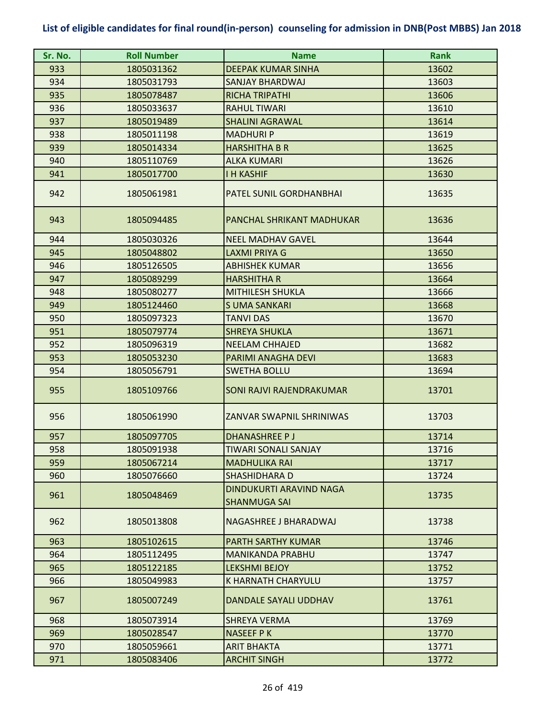| Sr. No. | <b>Roll Number</b> | <b>Name</b>                                    | <b>Rank</b> |
|---------|--------------------|------------------------------------------------|-------------|
| 933     | 1805031362         | <b>DEEPAK KUMAR SINHA</b>                      | 13602       |
| 934     | 1805031793         | SANJAY BHARDWAJ                                | 13603       |
| 935     | 1805078487         | <b>RICHA TRIPATHI</b>                          | 13606       |
| 936     | 1805033637         | <b>RAHUL TIWARI</b>                            | 13610       |
| 937     | 1805019489         | <b>SHALINI AGRAWAL</b>                         | 13614       |
| 938     | 1805011198         | <b>MADHURIP</b>                                | 13619       |
| 939     | 1805014334         | <b>HARSHITHA B R</b>                           | 13625       |
| 940     | 1805110769         | <b>ALKA KUMARI</b>                             | 13626       |
| 941     | 1805017700         | <b>I H KASHIF</b>                              | 13630       |
| 942     | 1805061981         | PATEL SUNIL GORDHANBHAI                        | 13635       |
| 943     | 1805094485         | PANCHAL SHRIKANT MADHUKAR                      | 13636       |
| 944     | 1805030326         | <b>NEEL MADHAV GAVEL</b>                       | 13644       |
| 945     | 1805048802         | <b>LAXMI PRIYA G</b>                           | 13650       |
| 946     | 1805126505         | <b>ABHISHEK KUMAR</b>                          | 13656       |
| 947     | 1805089299         | <b>HARSHITHA R</b>                             | 13664       |
| 948     | 1805080277         | <b>MITHILESH SHUKLA</b>                        | 13666       |
| 949     | 1805124460         | <b>SUMA SANKARI</b>                            | 13668       |
| 950     | 1805097323         | <b>TANVI DAS</b>                               | 13670       |
| 951     | 1805079774         | <b>SHREYA SHUKLA</b>                           | 13671       |
| 952     | 1805096319         | <b>NEELAM CHHAJED</b>                          | 13682       |
| 953     | 1805053230         | PARIMI ANAGHA DEVI                             | 13683       |
| 954     | 1805056791         | <b>SWETHA BOLLU</b>                            | 13694       |
| 955     | 1805109766         | SONI RAJVI RAJENDRAKUMAR                       | 13701       |
| 956     | 1805061990         | ZANVAR SWAPNIL SHRINIWAS                       | 13703       |
| 957     | 1805097705         | <b>DHANASHREE PJ</b>                           | 13714       |
| 958     | 1805091938         | <b>TIWARI SONALI SANJAY</b>                    | 13716       |
| 959     | 1805067214         | <b>MADHULIKA RAI</b>                           | 13717       |
| 960     | 1805076660         | <b>SHASHIDHARA D</b>                           | 13724       |
| 961     | 1805048469         | DINDUKURTI ARAVIND NAGA<br><b>SHANMUGA SAI</b> | 13735       |
| 962     | 1805013808         | NAGASHREE J BHARADWAJ                          | 13738       |
| 963     | 1805102615         | <b>PARTH SARTHY KUMAR</b>                      | 13746       |
| 964     | 1805112495         | <b>MANIKANDA PRABHU</b>                        | 13747       |
| 965     | 1805122185         | <b>LEKSHMI BEJOY</b>                           | 13752       |
| 966     | 1805049983         | <b>K HARNATH CHARYULU</b>                      | 13757       |
| 967     | 1805007249         | <b>DANDALE SAYALI UDDHAV</b>                   | 13761       |
| 968     | 1805073914         | <b>SHREYA VERMA</b>                            | 13769       |
| 969     | 1805028547         | <b>NASEEF PK</b>                               | 13770       |
| 970     | 1805059661         | <b>ARIT BHAKTA</b>                             | 13771       |
| 971     | 1805083406         | <b>ARCHIT SINGH</b>                            | 13772       |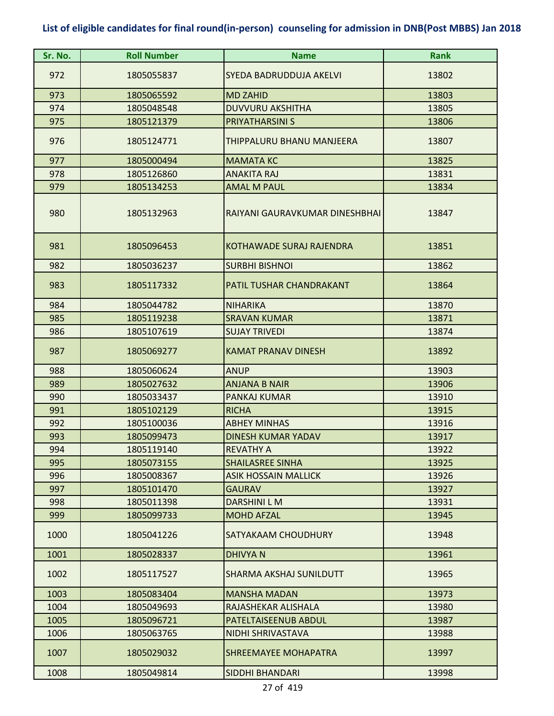| Sr. No. | <b>Roll Number</b> | <b>Name</b>                     | <b>Rank</b> |
|---------|--------------------|---------------------------------|-------------|
| 972     | 1805055837         | <b>SYEDA BADRUDDUJA AKELVI</b>  | 13802       |
| 973     | 1805065592         | <b>MD ZAHID</b>                 | 13803       |
| 974     | 1805048548         | <b>DUVVURU AKSHITHA</b>         | 13805       |
| 975     | 1805121379         | <b>PRIYATHARSINI S</b>          | 13806       |
| 976     | 1805124771         | THIPPALURU BHANU MANJEERA       | 13807       |
| 977     | 1805000494         | <b>MAMATA KC</b>                | 13825       |
| 978     | 1805126860         | <b>ANAKITA RAJ</b>              | 13831       |
| 979     | 1805134253         | <b>AMAL M PAUL</b>              | 13834       |
| 980     | 1805132963         | RAIYANI GAURAVKUMAR DINESHBHAI  | 13847       |
| 981     | 1805096453         | <b>KOTHAWADE SURAJ RAJENDRA</b> | 13851       |
| 982     | 1805036237         | <b>SURBHI BISHNOI</b>           | 13862       |
| 983     | 1805117332         | <b>PATIL TUSHAR CHANDRAKANT</b> | 13864       |
| 984     | 1805044782         | <b>NIHARIKA</b>                 | 13870       |
| 985     | 1805119238         | <b>SRAVAN KUMAR</b>             | 13871       |
| 986     | 1805107619         | <b>SUJAY TRIVEDI</b>            | 13874       |
| 987     | 1805069277         | <b>KAMAT PRANAV DINESH</b>      | 13892       |
| 988     | 1805060624         | <b>ANUP</b>                     | 13903       |
| 989     | 1805027632         | <b>ANJANA B NAIR</b>            | 13906       |
| 990     | 1805033437         | PANKAJ KUMAR                    | 13910       |
| 991     | 1805102129         | <b>RICHA</b>                    | 13915       |
| 992     | 1805100036         | <b>ABHEY MINHAS</b>             | 13916       |
| 993     | 1805099473         | <b>DINESH KUMAR YADAV</b>       | 13917       |
| 994     | 1805119140         | <b>REVATHY A</b>                | 13922       |
| 995     | 1805073155         | <b>SHAILASREE SINHA</b>         | 13925       |
| 996     | 1805008367         | <b>ASIK HOSSAIN MALLICK</b>     | 13926       |
| 997     | 1805101470         | <b>GAURAV</b>                   | 13927       |
| 998     | 1805011398         | <b>DARSHINI L M</b>             | 13931       |
| 999     | 1805099733         | <b>MOHD AFZAL</b>               | 13945       |
| 1000    | 1805041226         | SATYAKAAM CHOUDHURY             | 13948       |
| 1001    | 1805028337         | <b>DHIVYAN</b>                  | 13961       |
| 1002    | 1805117527         | SHARMA AKSHAJ SUNILDUTT         | 13965       |
| 1003    | 1805083404         | <b>MANSHA MADAN</b>             | 13973       |
| 1004    | 1805049693         | RAJASHEKAR ALISHALA             | 13980       |
| 1005    | 1805096721         | <b>PATELTAISEENUB ABDUL</b>     | 13987       |
| 1006    | 1805063765         | NIDHI SHRIVASTAVA               | 13988       |
| 1007    | 1805029032         | <b>SHREEMAYEE MOHAPATRA</b>     | 13997       |
| 1008    | 1805049814         | <b>SIDDHI BHANDARI</b>          | 13998       |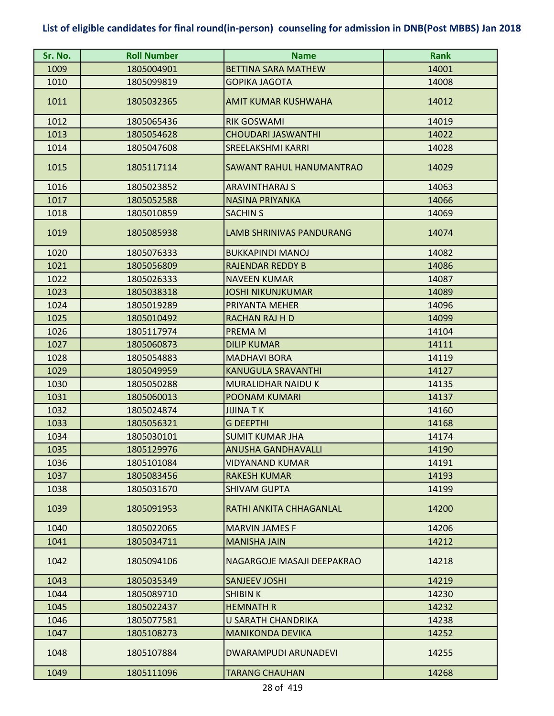| Sr. No. | <b>Roll Number</b> | <b>Name</b>                 | <b>Rank</b> |
|---------|--------------------|-----------------------------|-------------|
| 1009    | 1805004901         | <b>BETTINA SARA MATHEW</b>  | 14001       |
| 1010    | 1805099819         | <b>GOPIKA JAGOTA</b>        | 14008       |
| 1011    | 1805032365         | <b>AMIT KUMAR KUSHWAHA</b>  | 14012       |
| 1012    | 1805065436         | <b>RIK GOSWAMI</b>          | 14019       |
| 1013    | 1805054628         | <b>CHOUDARI JASWANTHI</b>   | 14022       |
| 1014    | 1805047608         | <b>SREELAKSHMI KARRI</b>    | 14028       |
| 1015    | 1805117114         | SAWANT RAHUL HANUMANTRAO    | 14029       |
| 1016    | 1805023852         | <b>ARAVINTHARAJ S</b>       | 14063       |
| 1017    | 1805052588         | <b>NASINA PRIYANKA</b>      | 14066       |
| 1018    | 1805010859         | <b>SACHIN S</b>             | 14069       |
| 1019    | 1805085938         | LAMB SHRINIVAS PANDURANG    | 14074       |
| 1020    | 1805076333         | <b>BUKKAPINDI MANOJ</b>     | 14082       |
| 1021    | 1805056809         | <b>RAJENDAR REDDY B</b>     | 14086       |
| 1022    | 1805026333         | <b>NAVEEN KUMAR</b>         | 14087       |
| 1023    | 1805038318         | <b>JOSHI NIKUNJKUMAR</b>    | 14089       |
| 1024    | 1805019289         | PRIYANTA MEHER              | 14096       |
| 1025    | 1805010492         | RACHAN RAJ H D              | 14099       |
| 1026    | 1805117974         | PREMA M                     | 14104       |
| 1027    | 1805060873         | <b>DILIP KUMAR</b>          | 14111       |
| 1028    | 1805054883         | <b>MADHAVI BORA</b>         | 14119       |
| 1029    | 1805049959         | <b>KANUGULA SRAVANTHI</b>   | 14127       |
| 1030    | 1805050288         | MURALIDHAR NAIDU K          | 14135       |
| 1031    | 1805060013         | <b>POONAM KUMARI</b>        | 14137       |
| 1032    | 1805024874         | <b>JIJINA TK</b>            | 14160       |
| 1033    | 1805056321         | <b>G DEEPTHI</b>            | 14168       |
| 1034    | 1805030101         | <b>SUMIT KUMAR JHA</b>      | 14174       |
| 1035    | 1805129976         | <b>ANUSHA GANDHAVALLI</b>   | 14190       |
| 1036    | 1805101084         | <b>VIDYANAND KUMAR</b>      | 14191       |
| 1037    | 1805083456         | RAKESH KUMAR                | 14193       |
| 1038    | 1805031670         | <b>SHIVAM GUPTA</b>         | 14199       |
| 1039    | 1805091953         | RATHI ANKITA CHHAGANLAL     | 14200       |
| 1040    | 1805022065         | <b>MARVIN JAMES F</b>       | 14206       |
| 1041    | 1805034711         | <b>MANISHA JAIN</b>         | 14212       |
| 1042    | 1805094106         | NAGARGOJE MASAJI DEEPAKRAO  | 14218       |
| 1043    | 1805035349         | <b>SANJEEV JOSHI</b>        | 14219       |
| 1044    | 1805089710         | <b>SHIBIN K</b>             | 14230       |
| 1045    | 1805022437         | <b>HEMNATH R</b>            | 14232       |
| 1046    | 1805077581         | <b>U SARATH CHANDRIKA</b>   | 14238       |
| 1047    | 1805108273         | <b>MANIKONDA DEVIKA</b>     | 14252       |
| 1048    | 1805107884         | <b>DWARAMPUDI ARUNADEVI</b> | 14255       |
| 1049    | 1805111096         | <b>TARANG CHAUHAN</b>       | 14268       |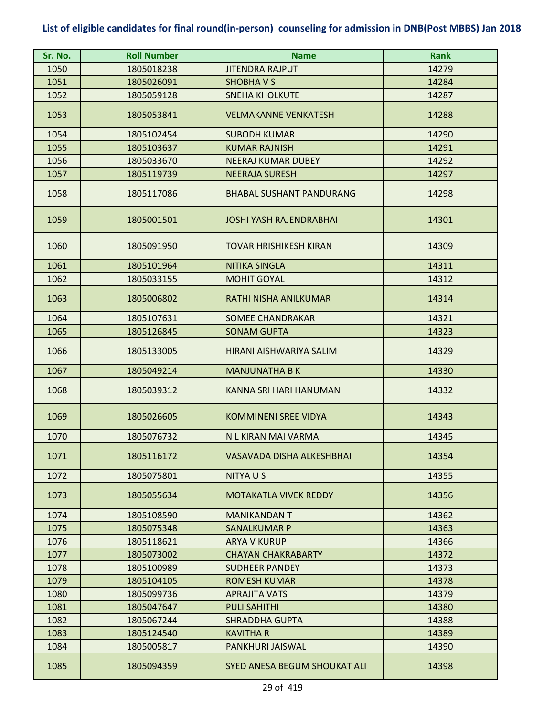| Sr. No. | <b>Roll Number</b> | <b>Name</b>                         | <b>Rank</b> |
|---------|--------------------|-------------------------------------|-------------|
| 1050    | 1805018238         | <b>JITENDRA RAJPUT</b>              | 14279       |
| 1051    | 1805026091         | <b>SHOBHAVS</b>                     | 14284       |
| 1052    | 1805059128         | <b>SNEHA KHOLKUTE</b>               | 14287       |
| 1053    | 1805053841         | <b>VELMAKANNE VENKATESH</b>         | 14288       |
| 1054    | 1805102454         | <b>SUBODH KUMAR</b>                 | 14290       |
| 1055    | 1805103637         | <b>KUMAR RAJNISH</b>                | 14291       |
| 1056    | 1805033670         | <b>NEERAJ KUMAR DUBEY</b>           | 14292       |
| 1057    | 1805119739         | <b>NEERAJA SURESH</b>               | 14297       |
| 1058    | 1805117086         | <b>BHABAL SUSHANT PANDURANG</b>     | 14298       |
| 1059    | 1805001501         | JOSHI YASH RAJENDRABHAI             | 14301       |
| 1060    | 1805091950         | <b>TOVAR HRISHIKESH KIRAN</b>       | 14309       |
| 1061    | 1805101964         | <b>NITIKA SINGLA</b>                | 14311       |
| 1062    | 1805033155         | <b>MOHIT GOYAL</b>                  | 14312       |
| 1063    | 1805006802         | RATHI NISHA ANILKUMAR               | 14314       |
| 1064    | 1805107631         | <b>SOMEE CHANDRAKAR</b>             | 14321       |
| 1065    | 1805126845         | <b>SONAM GUPTA</b>                  | 14323       |
| 1066    | 1805133005         | HIRANI AISHWARIYA SALIM             | 14329       |
| 1067    | 1805049214         | <b>MANJUNATHA B K</b>               | 14330       |
| 1068    | 1805039312         | KANNA SRI HARI HANUMAN              | 14332       |
| 1069    | 1805026605         | <b>KOMMINENI SREE VIDYA</b>         | 14343       |
| 1070    | 1805076732         | N L KIRAN MAI VARMA                 | 14345       |
| 1071    | 1805116172         | VASAVADA DISHA ALKESHBHAI           | 14354       |
| 1072    | 1805075801         | <b>NITYAUS</b>                      | 14355       |
| 1073    | 1805055634         | <b>MOTAKATLA VIVEK REDDY</b>        | 14356       |
| 1074    | 1805108590         | <b>MANIKANDAN T</b>                 | 14362       |
| 1075    | 1805075348         | <b>SANALKUMAR P</b>                 | 14363       |
| 1076    | 1805118621         | <b>ARYA V KURUP</b>                 | 14366       |
| 1077    | 1805073002         | <b>CHAYAN CHAKRABARTY</b>           | 14372       |
| 1078    | 1805100989         | <b>SUDHEER PANDEY</b>               | 14373       |
| 1079    | 1805104105         | <b>ROMESH KUMAR</b>                 | 14378       |
| 1080    | 1805099736         | <b>APRAJITA VATS</b>                | 14379       |
| 1081    | 1805047647         | <b>PULI SAHITHI</b>                 | 14380       |
| 1082    | 1805067244         | <b>SHRADDHA GUPTA</b>               | 14388       |
| 1083    | 1805124540         | <b>KAVITHA R</b>                    | 14389       |
| 1084    | 1805005817         | PANKHURI JAISWAL                    | 14390       |
| 1085    | 1805094359         | <b>SYED ANESA BEGUM SHOUKAT ALI</b> | 14398       |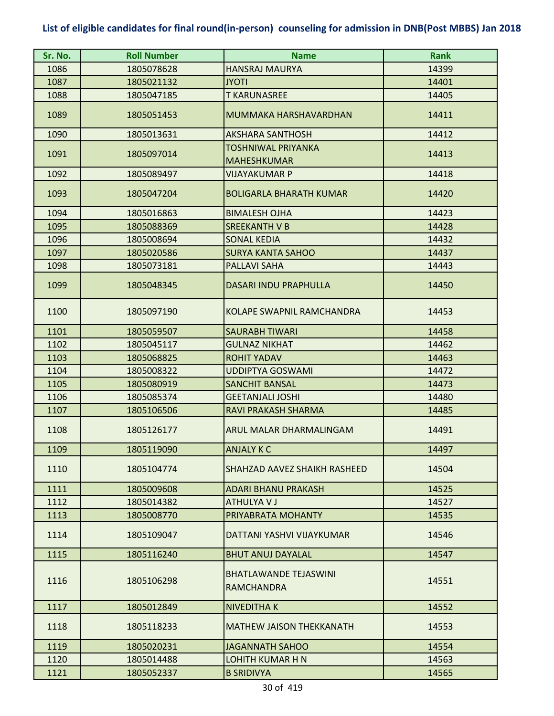| Sr. No. | <b>Roll Number</b> | <b>Name</b>                                       | Rank  |
|---------|--------------------|---------------------------------------------------|-------|
| 1086    | 1805078628         | <b>HANSRAJ MAURYA</b>                             | 14399 |
| 1087    | 1805021132         | <b>ITOYL</b>                                      | 14401 |
| 1088    | 1805047185         | <b>T KARUNASREE</b>                               | 14405 |
| 1089    | 1805051453         | MUMMAKA HARSHAVARDHAN                             | 14411 |
| 1090    | 1805013631         | <b>AKSHARA SANTHOSH</b>                           | 14412 |
| 1091    | 1805097014         | TOSHNIWAL PRIYANKA<br><b>MAHESHKUMAR</b>          | 14413 |
| 1092    | 1805089497         | VIJAYAKUMAR P                                     | 14418 |
| 1093    | 1805047204         | <b>BOLIGARLA BHARATH KUMAR</b>                    | 14420 |
| 1094    | 1805016863         | <b>BIMALESH OJHA</b>                              | 14423 |
| 1095    | 1805088369         | SREEKANTH V B                                     | 14428 |
| 1096    | 1805008694         | <b>SONAL KEDIA</b>                                | 14432 |
| 1097    | 1805020586         | <b>SURYA KANTA SAHOO</b>                          | 14437 |
| 1098    | 1805073181         | <b>PALLAVI SAHA</b>                               | 14443 |
| 1099    | 1805048345         | <b>DASARI INDU PRAPHULLA</b>                      | 14450 |
| 1100    | 1805097190         | KOLAPE SWAPNIL RAMCHANDRA                         | 14453 |
| 1101    | 1805059507         | <b>SAURABH TIWARI</b>                             | 14458 |
| 1102    | 1805045117         | <b>GULNAZ NIKHAT</b>                              | 14462 |
| 1103    | 1805068825         | <b>ROHIT YADAV</b>                                | 14463 |
| 1104    | 1805008322         | <b>UDDIPTYA GOSWAMI</b>                           | 14472 |
| 1105    | 1805080919         | <b>SANCHIT BANSAL</b>                             | 14473 |
| 1106    | 1805085374         | <b>GEETANJALI JOSHI</b>                           | 14480 |
| 1107    | 1805106506         | RAVI PRAKASH SHARMA                               | 14485 |
| 1108    | 1805126177         | ARUL MALAR DHARMALINGAM                           | 14491 |
| 1109    | 1805119090         | ANJALY K C                                        | 14497 |
| 1110    | 1805104774         | SHAHZAD AAVEZ SHAIKH RASHEED                      | 14504 |
| 1111    | 1805009608         | <b>ADARI BHANU PRAKASH</b>                        | 14525 |
| 1112    | 1805014382         | <b>ATHULYAVJ</b>                                  | 14527 |
| 1113    | 1805008770         | PRIYABRATA MOHANTY                                | 14535 |
| 1114    | 1805109047         | DATTANI YASHVI VIJAYKUMAR                         | 14546 |
| 1115    | 1805116240         | <b>BHUT ANUJ DAYALAL</b>                          | 14547 |
| 1116    | 1805106298         | <b>BHATLAWANDE TEJASWINI</b><br><b>RAMCHANDRA</b> | 14551 |
| 1117    | 1805012849         | <b>NIVEDITHAK</b>                                 | 14552 |
| 1118    | 1805118233         | <b>MATHEW JAISON THEKKANATH</b>                   | 14553 |
| 1119    | 1805020231         | <b>JAGANNATH SAHOO</b>                            | 14554 |
| 1120    | 1805014488         | <b>LOHITH KUMAR H N</b>                           | 14563 |
| 1121    | 1805052337         | <b>B SRIDIVYA</b>                                 | 14565 |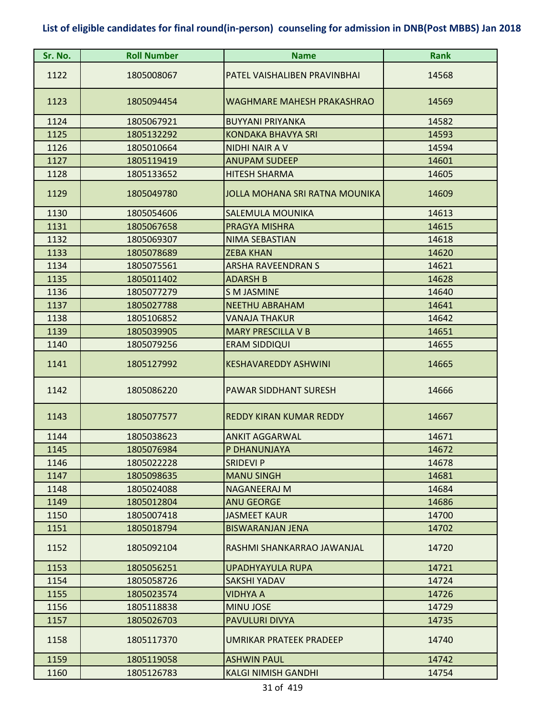| Sr. No. | <b>Roll Number</b> | <b>Name</b>                    | <b>Rank</b> |
|---------|--------------------|--------------------------------|-------------|
| 1122    | 1805008067         | PATEL VAISHALIBEN PRAVINBHAI   | 14568       |
| 1123    | 1805094454         | WAGHMARE MAHESH PRAKASHRAO     | 14569       |
| 1124    | 1805067921         | <b>BUYYANI PRIYANKA</b>        | 14582       |
| 1125    | 1805132292         | <b>KONDAKA BHAVYA SRI</b>      | 14593       |
| 1126    | 1805010664         | <b>NIDHI NAIR AV</b>           | 14594       |
| 1127    | 1805119419         | <b>ANUPAM SUDEEP</b>           | 14601       |
| 1128    | 1805133652         | <b>HITESH SHARMA</b>           | 14605       |
| 1129    | 1805049780         | JOLLA MOHANA SRI RATNA MOUNIKA | 14609       |
| 1130    | 1805054606         | SALEMULA MOUNIKA               | 14613       |
| 1131    | 1805067658         | PRAGYA MISHRA                  | 14615       |
| 1132    | 1805069307         | NIMA SEBASTIAN                 | 14618       |
| 1133    | 1805078689         | <b>ZEBA KHAN</b>               | 14620       |
| 1134    | 1805075561         | <b>ARSHA RAVEENDRAN S</b>      | 14621       |
| 1135    | 1805011402         | <b>ADARSH B</b>                | 14628       |
| 1136    | 1805077279         | <b>S M JASMINE</b>             | 14640       |
| 1137    | 1805027788         | <b>NEETHU ABRAHAM</b>          | 14641       |
| 1138    | 1805106852         | <b>VANAJA THAKUR</b>           | 14642       |
| 1139    | 1805039905         | <b>MARY PRESCILLA V B</b>      | 14651       |
| 1140    | 1805079256         | <b>ERAM SIDDIQUI</b>           | 14655       |
| 1141    | 1805127992         | <b>KESHAVAREDDY ASHWINI</b>    | 14665       |
| 1142    | 1805086220         | <b>PAWAR SIDDHANT SURESH</b>   | 14666       |
| 1143    | 1805077577         | <b>REDDY KIRAN KUMAR REDDY</b> | 14667       |
| 1144    | 1805038623         | <b>ANKIT AGGARWAL</b>          | 14671       |
| 1145    | 1805076984         | P DHANUNJAYA                   | 14672       |
| 1146    | 1805022228         | <b>SRIDEVI P</b>               | 14678       |
| 1147    | 1805098635         | <b>MANU SINGH</b>              | 14681       |
| 1148    | 1805024088         | NAGANEERAJ M                   | 14684       |
| 1149    | 1805012804         | <b>ANU GEORGE</b>              | 14686       |
| 1150    | 1805007418         | <b>JASMEET KAUR</b>            | 14700       |
| 1151    | 1805018794         | <b>BISWARANJAN JENA</b>        | 14702       |
| 1152    | 1805092104         | RASHMI SHANKARRAO JAWANJAL     | 14720       |
| 1153    | 1805056251         | <b>UPADHYAYULA RUPA</b>        | 14721       |
| 1154    | 1805058726         | <b>SAKSHI YADAV</b>            | 14724       |
| 1155    | 1805023574         | VIDHYA A                       | 14726       |
| 1156    | 1805118838         | <b>MINU JOSE</b>               | 14729       |
| 1157    | 1805026703         | PAVULURI DIVYA                 | 14735       |
| 1158    | 1805117370         | UMRIKAR PRATEEK PRADEEP        | 14740       |
| 1159    | 1805119058         | <b>ASHWIN PAUL</b>             | 14742       |
| 1160    | 1805126783         | <b>KALGI NIMISH GANDHI</b>     | 14754       |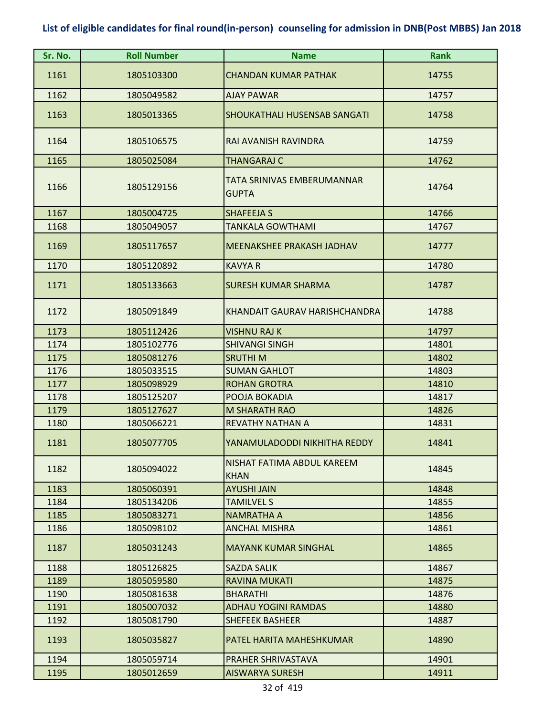| Sr. No.      | <b>Roll Number</b>       | <b>Name</b>                                         | <b>Rank</b>    |
|--------------|--------------------------|-----------------------------------------------------|----------------|
| 1161         | 1805103300               | <b>CHANDAN KUMAR PATHAK</b>                         | 14755          |
| 1162         | 1805049582               | <b>AJAY PAWAR</b>                                   | 14757          |
| 1163         | 1805013365               | SHOUKATHALI HUSENSAB SANGATI                        | 14758          |
| 1164         | 1805106575               | RAI AVANISH RAVINDRA                                | 14759          |
| 1165         | 1805025084               | <b>THANGARAJ C</b>                                  | 14762          |
| 1166         | 1805129156               | TATA SRINIVAS EMBERUMANNAR<br><b>GUPTA</b>          | 14764          |
| 1167         | 1805004725               | <b>SHAFEEJA S</b>                                   | 14766          |
| 1168         | 1805049057               | <b>TANKALA GOWTHAMI</b>                             | 14767          |
| 1169         | 1805117657               | MEENAKSHEE PRAKASH JADHAV                           | 14777          |
| 1170         | 1805120892               | <b>KAVYA R</b>                                      | 14780          |
| 1171         | 1805133663               | <b>SURESH KUMAR SHARMA</b>                          | 14787          |
| 1172         | 1805091849               | KHANDAIT GAURAV HARISHCHANDRA                       | 14788          |
| 1173         | 1805112426               | <b>VISHNU RAJ K</b>                                 | 14797          |
| 1174         | 1805102776               | <b>SHIVANGI SINGH</b>                               | 14801          |
| 1175         | 1805081276               | <b>SRUTHIM</b>                                      | 14802          |
| 1176         | 1805033515               | <b>SUMAN GAHLOT</b>                                 | 14803          |
| 1177         | 1805098929               | <b>ROHAN GROTRA</b>                                 | 14810          |
| 1178         | 1805125207               | POOJA BOKADIA                                       | 14817          |
| 1179         | 1805127627               | <b>M SHARATH RAO</b>                                | 14826          |
| 1180         | 1805066221               | <b>REVATHY NATHAN A</b>                             | 14831          |
| 1181         | 1805077705               | YANAMULADODDI NIKHITHA REDDY                        | 14841          |
| 1182         | 1805094022               | NISHAT FATIMA ABDUL KAREEM                          | 14845          |
|              |                          | <b>KHAN</b>                                         |                |
| 1183         | 1805060391               | <b>AYUSHI JAIN</b>                                  | 14848          |
| 1184         | 1805134206               | <b>TAMILVEL S</b>                                   | 14855          |
| 1185         | 1805083271               | <b>NAMRATHA A</b>                                   | 14856          |
| 1186<br>1187 | 1805098102<br>1805031243 | <b>ANCHAL MISHRA</b><br><b>MAYANK KUMAR SINGHAL</b> | 14861<br>14865 |
| 1188         | 1805126825               | <b>SAZDA SALIK</b>                                  | 14867          |
| 1189         | 1805059580               | <b>RAVINA MUKATI</b>                                | 14875          |
| 1190         | 1805081638               | <b>BHARATHI</b>                                     | 14876          |
| 1191         | 1805007032               | <b>ADHAU YOGINI RAMDAS</b>                          | 14880          |
| 1192         | 1805081790               | <b>SHEFEEK BASHEER</b>                              | 14887          |
| 1193         | 1805035827               | PATEL HARITA MAHESHKUMAR                            | 14890          |
| 1194         | 1805059714               | PRAHER SHRIVASTAVA                                  | 14901          |
| 1195         | 1805012659               | <b>AISWARYA SURESH</b>                              | 14911          |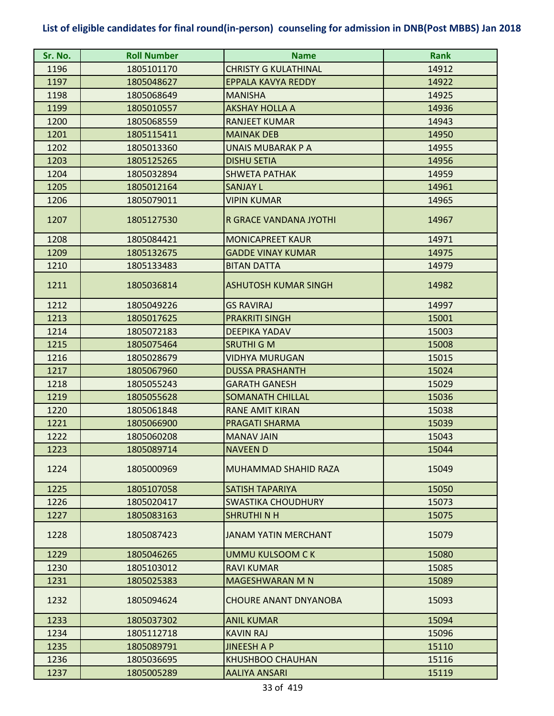| Sr. No. | <b>Roll Number</b> | <b>Name</b>                  | <b>Rank</b> |
|---------|--------------------|------------------------------|-------------|
| 1196    | 1805101170         | <b>CHRISTY G KULATHINAL</b>  | 14912       |
| 1197    | 1805048627         | EPPALA KAVYA REDDY           | 14922       |
| 1198    | 1805068649         | <b>MANISHA</b>               | 14925       |
| 1199    | 1805010557         | <b>AKSHAY HOLLA A</b>        | 14936       |
| 1200    | 1805068559         | <b>RANJEET KUMAR</b>         | 14943       |
| 1201    | 1805115411         | <b>MAINAK DEB</b>            | 14950       |
| 1202    | 1805013360         | <b>UNAIS MUBARAK P A</b>     | 14955       |
| 1203    | 1805125265         | <b>DISHU SETIA</b>           | 14956       |
| 1204    | 1805032894         | <b>SHWETA PATHAK</b>         | 14959       |
| 1205    | 1805012164         | <b>SANJAY L</b>              | 14961       |
| 1206    | 1805079011         | <b>VIPIN KUMAR</b>           | 14965       |
| 1207    | 1805127530         | R GRACE VANDANA JYOTHI       | 14967       |
| 1208    | 1805084421         | <b>MONICAPREET KAUR</b>      | 14971       |
| 1209    | 1805132675         | <b>GADDE VINAY KUMAR</b>     | 14975       |
| 1210    | 1805133483         | <b>BITAN DATTA</b>           | 14979       |
| 1211    | 1805036814         | <b>ASHUTOSH KUMAR SINGH</b>  | 14982       |
| 1212    | 1805049226         | <b>GS RAVIRAJ</b>            | 14997       |
| 1213    | 1805017625         | <b>PRAKRITI SINGH</b>        | 15001       |
| 1214    | 1805072183         | <b>DEEPIKA YADAV</b>         | 15003       |
| 1215    | 1805075464         | <b>SRUTHI G M</b>            | 15008       |
| 1216    | 1805028679         | <b>VIDHYA MURUGAN</b>        | 15015       |
| 1217    | 1805067960         | <b>DUSSA PRASHANTH</b>       | 15024       |
| 1218    | 1805055243         | <b>GARATH GANESH</b>         | 15029       |
| 1219    | 1805055628         | <b>SOMANATH CHILLAL</b>      | 15036       |
| 1220    | 1805061848         | <b>RANE AMIT KIRAN</b>       | 15038       |
| 1221    | 1805066900         | <b>PRAGATI SHARMA</b>        | 15039       |
| 1222    | 1805060208         | <b>MANAV JAIN</b>            | 15043       |
| 1223    | 1805089714         | <b>NAVEEN D</b>              | 15044       |
| 1224    | 1805000969         | MUHAMMAD SHAHID RAZA         | 15049       |
| 1225    | 1805107058         | SATISH TAPARIYA              | 15050       |
| 1226    | 1805020417         | <b>SWASTIKA CHOUDHURY</b>    | 15073       |
| 1227    | 1805083163         | <b>SHRUTHINH</b>             | 15075       |
| 1228    | 1805087423         | <b>JANAM YATIN MERCHANT</b>  | 15079       |
| 1229    | 1805046265         | <b>UMMU KULSOOM CK</b>       | 15080       |
| 1230    | 1805103012         | <b>RAVI KUMAR</b>            | 15085       |
| 1231    | 1805025383         | <b>MAGESHWARAN M N</b>       | 15089       |
| 1232    | 1805094624         | <b>CHOURE ANANT DNYANOBA</b> | 15093       |
| 1233    | 1805037302         | <b>ANIL KUMAR</b>            | 15094       |
| 1234    | 1805112718         | <b>KAVIN RAJ</b>             | 15096       |
| 1235    | 1805089791         | <b>JINEESH A P</b>           | 15110       |
| 1236    | 1805036695         | KHUSHBOO CHAUHAN             | 15116       |
| 1237    | 1805005289         | <b>AALIYA ANSARI</b>         | 15119       |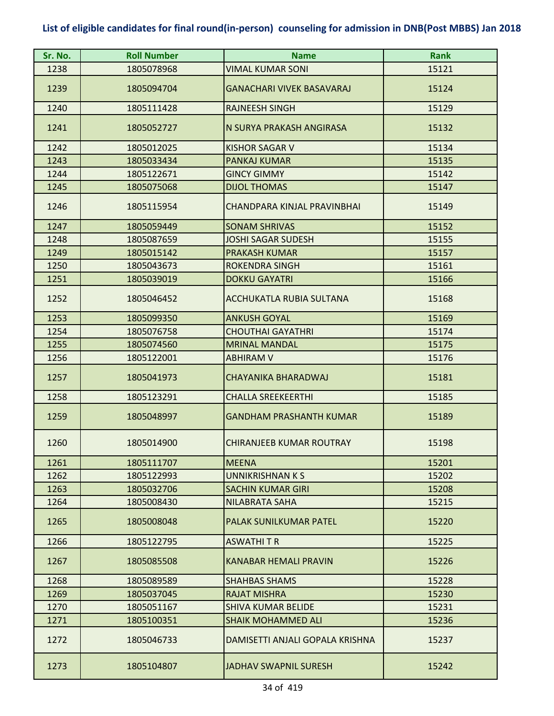| Sr. No. | <b>Roll Number</b> | <b>Name</b>                      | <b>Rank</b> |
|---------|--------------------|----------------------------------|-------------|
| 1238    | 1805078968         | VIMAL KUMAR SONI                 | 15121       |
| 1239    | 1805094704         | <b>GANACHARI VIVEK BASAVARAJ</b> | 15124       |
| 1240    | 1805111428         | <b>RAJNEESH SINGH</b>            | 15129       |
| 1241    | 1805052727         | N SURYA PRAKASH ANGIRASA         | 15132       |
| 1242    | 1805012025         | <b>KISHOR SAGAR V</b>            | 15134       |
| 1243    | 1805033434         | <b>PANKAJ KUMAR</b>              | 15135       |
| 1244    | 1805122671         | <b>GINCY GIMMY</b>               | 15142       |
| 1245    | 1805075068         | <b>DIJOL THOMAS</b>              | 15147       |
| 1246    | 1805115954         | CHANDPARA KINJAL PRAVINBHAI      | 15149       |
| 1247    | 1805059449         | <b>SONAM SHRIVAS</b>             | 15152       |
| 1248    | 1805087659         | <b>JOSHI SAGAR SUDESH</b>        | 15155       |
| 1249    | 1805015142         | <b>PRAKASH KUMAR</b>             | 15157       |
| 1250    | 1805043673         | <b>ROKENDRA SINGH</b>            | 15161       |
| 1251    | 1805039019         | <b>DOKKU GAYATRI</b>             | 15166       |
| 1252    | 1805046452         | ACCHUKATLA RUBIA SULTANA         | 15168       |
| 1253    | 1805099350         | <b>ANKUSH GOYAL</b>              | 15169       |
| 1254    | 1805076758         | <b>CHOUTHAI GAYATHRI</b>         | 15174       |
| 1255    | 1805074560         | <b>MRINAL MANDAL</b>             | 15175       |
| 1256    | 1805122001         | <b>ABHIRAM V</b>                 | 15176       |
| 1257    | 1805041973         | CHAYANIKA BHARADWAJ              | 15181       |
| 1258    | 1805123291         | <b>CHALLA SREEKEERTHI</b>        | 15185       |
| 1259    | 1805048997         | <b>GANDHAM PRASHANTH KUMAR</b>   | 15189       |
| 1260    | 1805014900         | CHIRANJEEB KUMAR ROUTRAY         | 15198       |
| 1261    | 1805111707         | <b>MEENA</b>                     | 15201       |
| 1262    | 1805122993         | UNNIKRISHNAN K S                 | 15202       |
| 1263    | 1805032706         | <b>SACHIN KUMAR GIRI</b>         | 15208       |
| 1264    | 1805008430         | <b>NILABRATA SAHA</b>            | 15215       |
| 1265    | 1805008048         | <b>PALAK SUNILKUMAR PATEL</b>    | 15220       |
| 1266    | 1805122795         | <b>ASWATHIT R</b>                | 15225       |
| 1267    | 1805085508         | KANABAR HEMALI PRAVIN            | 15226       |
| 1268    | 1805089589         | <b>SHAHBAS SHAMS</b>             | 15228       |
| 1269    | 1805037045         | <b>RAJAT MISHRA</b>              | 15230       |
| 1270    | 1805051167         | <b>SHIVA KUMAR BELIDE</b>        | 15231       |
| 1271    | 1805100351         | SHAIK MOHAMMED ALI               | 15236       |
| 1272    | 1805046733         | DAMISETTI ANJALI GOPALA KRISHNA  | 15237       |
| 1273    | 1805104807         | JADHAV SWAPNIL SURESH            | 15242       |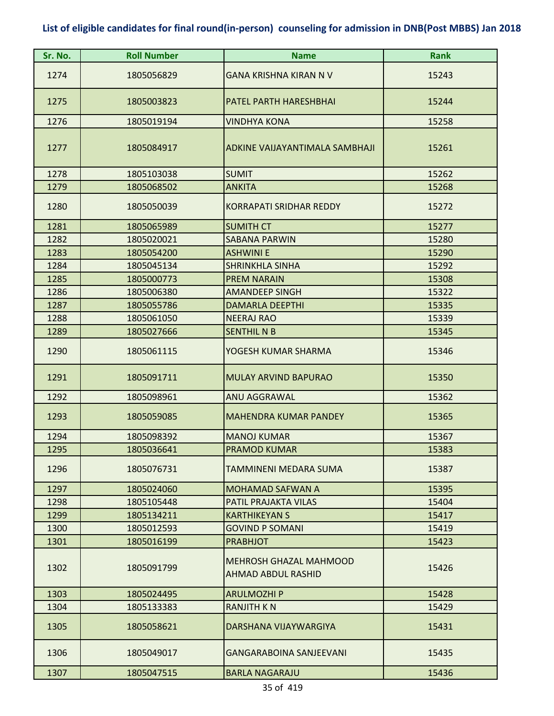| Sr. No. | <b>Roll Number</b> | <b>Name</b>                                                | <b>Rank</b> |
|---------|--------------------|------------------------------------------------------------|-------------|
| 1274    | 1805056829         | <b>GANA KRISHNA KIRAN N V</b>                              | 15243       |
| 1275    | 1805003823         | PATEL PARTH HARESHBHAI                                     | 15244       |
| 1276    | 1805019194         | <b>VINDHYA KONA</b>                                        | 15258       |
| 1277    | 1805084917         | ADKINE VAIJAYANTIMALA SAMBHAJI                             | 15261       |
| 1278    | 1805103038         | <b>SUMIT</b>                                               | 15262       |
| 1279    | 1805068502         | <b>ANKITA</b>                                              | 15268       |
| 1280    | 1805050039         | <b>KORRAPATI SRIDHAR REDDY</b>                             | 15272       |
| 1281    | 1805065989         | <b>SUMITH CT</b>                                           | 15277       |
| 1282    | 1805020021         | <b>SABANA PARWIN</b>                                       | 15280       |
| 1283    | 1805054200         | <b>ASHWINI E</b>                                           | 15290       |
| 1284    | 1805045134         | <b>SHRINKHLA SINHA</b>                                     | 15292       |
| 1285    | 1805000773         | <b>PREM NARAIN</b>                                         | 15308       |
| 1286    | 1805006380         | <b>AMANDEEP SINGH</b>                                      | 15322       |
| 1287    | 1805055786         | <b>DAMARLA DEEPTHI</b>                                     | 15335       |
| 1288    | 1805061050         | <b>NEERAJ RAO</b>                                          | 15339       |
| 1289    | 1805027666         | <b>SENTHIL N B</b>                                         | 15345       |
| 1290    | 1805061115         | YOGESH KUMAR SHARMA                                        | 15346       |
| 1291    | 1805091711         | <b>MULAY ARVIND BAPURAO</b>                                | 15350       |
| 1292    | 1805098961         | <b>ANU AGGRAWAL</b>                                        | 15362       |
| 1293    | 1805059085         | <b>MAHENDRA KUMAR PANDEY</b>                               | 15365       |
| 1294    | 1805098392         | <b>MANOJ KUMAR</b>                                         | 15367       |
| 1295    | 1805036641         | PRAMOD KUMAR                                               | 15383       |
| 1296    | 1805076731         | TAMMINENI MEDARA SUMA                                      | 15387       |
| 1297    | 1805024060         | <b>MOHAMAD SAFWAN A</b>                                    | 15395       |
| 1298    | 1805105448         | PATIL PRAJAKTA VILAS                                       | 15404       |
| 1299    | 1805134211         | <b>KARTHIKEYAN S</b>                                       | 15417       |
| 1300    | 1805012593         | <b>GOVIND P SOMANI</b>                                     | 15419       |
| 1301    | 1805016199         | <b>PRABHJOT</b>                                            | 15423       |
| 1302    | 1805091799         | <b>MEHROSH GHAZAL MAHMOOD</b><br><b>AHMAD ABDUL RASHID</b> | 15426       |
| 1303    | 1805024495         | <b>ARULMOZHI P</b>                                         | 15428       |
| 1304    | 1805133383         | <b>RANJITH KN</b>                                          | 15429       |
| 1305    | 1805058621         | DARSHANA VIJAYWARGIYA                                      | 15431       |
| 1306    | 1805049017         | <b>GANGARABOINA SANJEEVANI</b>                             | 15435       |
| 1307    | 1805047515         | <b>BARLA NAGARAJU</b>                                      | 15436       |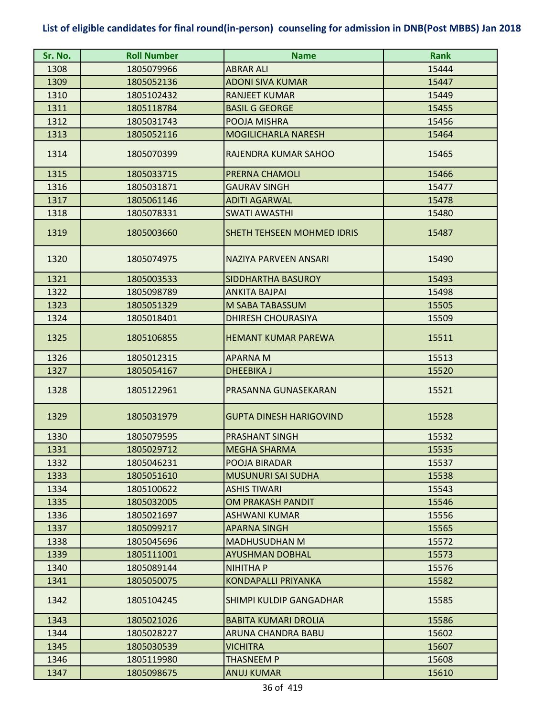| Sr. No. | <b>Roll Number</b> | <b>Name</b>                    | <b>Rank</b> |
|---------|--------------------|--------------------------------|-------------|
| 1308    | 1805079966         | <b>ABRAR ALI</b>               | 15444       |
| 1309    | 1805052136         | <b>ADONI SIVA KUMAR</b>        | 15447       |
| 1310    | 1805102432         | <b>RANJEET KUMAR</b>           | 15449       |
| 1311    | 1805118784         | <b>BASIL G GEORGE</b>          | 15455       |
| 1312    | 1805031743         | POOJA MISHRA                   | 15456       |
| 1313    | 1805052116         | <b>MOGILICHARLA NARESH</b>     | 15464       |
| 1314    | 1805070399         | RAJENDRA KUMAR SAHOO           | 15465       |
| 1315    | 1805033715         | <b>PRERNA CHAMOLI</b>          | 15466       |
| 1316    | 1805031871         | <b>GAURAV SINGH</b>            | 15477       |
| 1317    | 1805061146         | <b>ADITI AGARWAL</b>           | 15478       |
| 1318    | 1805078331         | <b>SWATI AWASTHI</b>           | 15480       |
| 1319    | 1805003660         | SHETH TEHSEEN MOHMED IDRIS     | 15487       |
| 1320    | 1805074975         | <b>NAZIYA PARVEEN ANSARI</b>   | 15490       |
| 1321    | 1805003533         | <b>SIDDHARTHA BASUROY</b>      | 15493       |
| 1322    | 1805098789         | <b>ANKITA BAJPAI</b>           | 15498       |
| 1323    | 1805051329         | M SABA TABASSUM                | 15505       |
| 1324    | 1805018401         | <b>DHIRESH CHOURASIYA</b>      | 15509       |
| 1325    | 1805106855         | <b>HEMANT KUMAR PAREWA</b>     | 15511       |
| 1326    | 1805012315         | <b>APARNA M</b>                | 15513       |
| 1327    | 1805054167         | <b>DHEEBIKA J</b>              | 15520       |
| 1328    | 1805122961         | PRASANNA GUNASEKARAN           | 15521       |
| 1329    | 1805031979         | <b>GUPTA DINESH HARIGOVIND</b> | 15528       |
| 1330    | 1805079595         | <b>PRASHANT SINGH</b>          | 15532       |
| 1331    | 1805029712         | <b>MEGHA SHARMA</b>            | 15535       |
| 1332    | 1805046231         | POOJA BIRADAR                  | 15537       |
| 1333    | 1805051610         | <b>MUSUNURI SAI SUDHA</b>      | 15538       |
| 1334    | 1805100622         | <b>ASHIS TIWARI</b>            | 15543       |
| 1335    | 1805032005         | <b>OM PRAKASH PANDIT</b>       | 15546       |
| 1336    | 1805021697         | <b>ASHWANI KUMAR</b>           | 15556       |
| 1337    | 1805099217         | <b>APARNA SINGH</b>            | 15565       |
| 1338    | 1805045696         | <b>MADHUSUDHAN M</b>           | 15572       |
| 1339    | 1805111001         | <b>AYUSHMAN DOBHAL</b>         | 15573       |
| 1340    | 1805089144         | <b>NIHITHA P</b>               | 15576       |
| 1341    | 1805050075         | <b>KONDAPALLI PRIYANKA</b>     | 15582       |
| 1342    | 1805104245         | SHIMPI KULDIP GANGADHAR        | 15585       |
| 1343    | 1805021026         | <b>BABITA KUMARI DROLIA</b>    | 15586       |
| 1344    | 1805028227         | ARUNA CHANDRA BABU             | 15602       |
| 1345    | 1805030539         | <b>VICHITRA</b>                | 15607       |
| 1346    | 1805119980         | <b>THASNEEM P</b>              | 15608       |
| 1347    | 1805098675         | <b>ANUJ KUMAR</b>              | 15610       |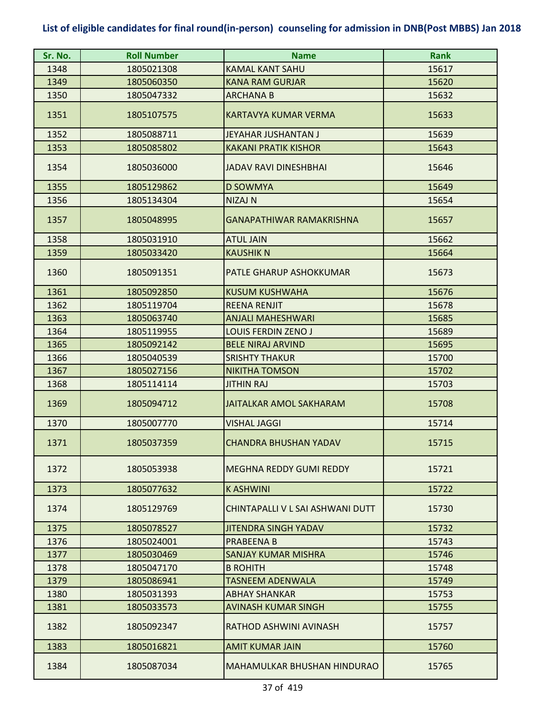| Sr. No. | <b>Roll Number</b> | <b>Name</b>                      | <b>Rank</b> |
|---------|--------------------|----------------------------------|-------------|
| 1348    | 1805021308         | <b>KAMAL KANT SAHU</b>           | 15617       |
| 1349    | 1805060350         | <b>KANA RAM GURJAR</b>           | 15620       |
| 1350    | 1805047332         | <b>ARCHANA B</b>                 | 15632       |
| 1351    | 1805107575         | <b>KARTAVYA KUMAR VERMA</b>      | 15633       |
| 1352    | 1805088711         | JEYAHAR JUSHANTAN J              | 15639       |
| 1353    | 1805085802         | <b>KAKANI PRATIK KISHOR</b>      | 15643       |
| 1354    | 1805036000         | <b>JADAV RAVI DINESHBHAI</b>     | 15646       |
| 1355    | 1805129862         | <b>D SOWMYA</b>                  | 15649       |
| 1356    | 1805134304         | NIZAJ N                          | 15654       |
| 1357    | 1805048995         | <b>GANAPATHIWAR RAMAKRISHNA</b>  | 15657       |
| 1358    | 1805031910         | <b>ATUL JAIN</b>                 | 15662       |
| 1359    | 1805033420         | <b>KAUSHIK N</b>                 | 15664       |
| 1360    | 1805091351         | PATLE GHARUP ASHOKKUMAR          | 15673       |
| 1361    | 1805092850         | <b>KUSUM KUSHWAHA</b>            | 15676       |
| 1362    | 1805119704         | <b>REENA RENJIT</b>              | 15678       |
| 1363    | 1805063740         | ANJALI MAHESHWARI                | 15685       |
| 1364    | 1805119955         | <b>LOUIS FERDIN ZENO J</b>       | 15689       |
| 1365    | 1805092142         | <b>BELE NIRAJ ARVIND</b>         | 15695       |
| 1366    | 1805040539         | <b>SRISHTY THAKUR</b>            | 15700       |
| 1367    | 1805027156         | <b>NIKITHA TOMSON</b>            | 15702       |
| 1368    | 1805114114         | <b>JITHIN RAJ</b>                | 15703       |
| 1369    | 1805094712         | <b>JAITALKAR AMOL SAKHARAM</b>   | 15708       |
| 1370    | 1805007770         | <b>VISHAL JAGGI</b>              | 15714       |
| 1371    | 1805037359         | <b>CHANDRA BHUSHAN YADAV</b>     | 15715       |
| 1372    | 1805053938         | MEGHNA REDDY GUMI REDDY          | 15721       |
| 1373    | 1805077632         | <b>KASHWINI</b>                  | 15722       |
| 1374    | 1805129769         | CHINTAPALLI V L SAI ASHWANI DUTT | 15730       |
| 1375    | 1805078527         | <b>JITENDRA SINGH YADAV</b>      | 15732       |
| 1376    | 1805024001         | <b>PRABEENA B</b>                | 15743       |
| 1377    | 1805030469         | <b>SANJAY KUMAR MISHRA</b>       | 15746       |
| 1378    | 1805047170         | <b>B ROHITH</b>                  | 15748       |
| 1379    | 1805086941         | <b>TASNEEM ADENWALA</b>          | 15749       |
| 1380    | 1805031393         | <b>ABHAY SHANKAR</b>             | 15753       |
| 1381    | 1805033573         | <b>AVINASH KUMAR SINGH</b>       | 15755       |
| 1382    | 1805092347         | RATHOD ASHWINI AVINASH           | 15757       |
| 1383    | 1805016821         | <b>AMIT KUMAR JAIN</b>           | 15760       |
| 1384    | 1805087034         | MAHAMULKAR BHUSHAN HINDURAO      | 15765       |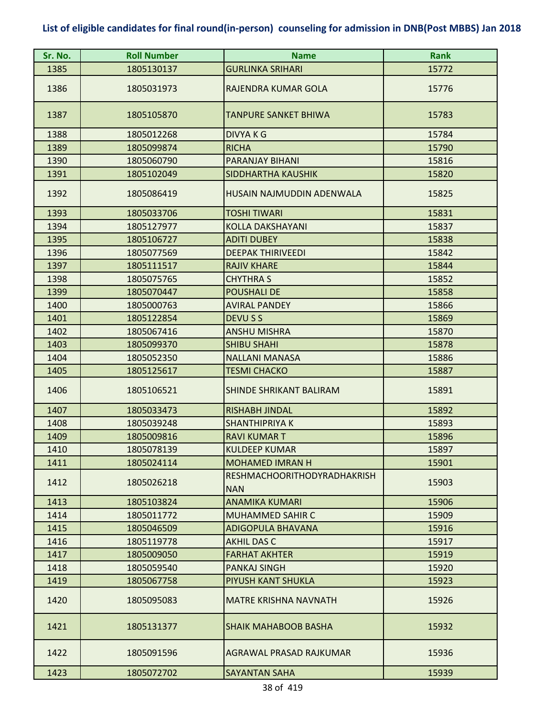| Sr. No. | <b>Roll Number</b> | <b>Name</b>                                      | <b>Rank</b> |
|---------|--------------------|--------------------------------------------------|-------------|
| 1385    | 1805130137         | <b>GURLINKA SRIHARI</b>                          | 15772       |
| 1386    | 1805031973         | RAJENDRA KUMAR GOLA                              | 15776       |
| 1387    | 1805105870         | TANPURE SANKET BHIWA                             | 15783       |
| 1388    | 1805012268         | <b>DIVYAKG</b>                                   | 15784       |
| 1389    | 1805099874         | <b>RICHA</b>                                     | 15790       |
| 1390    | 1805060790         | PARANJAY BIHANI                                  | 15816       |
| 1391    | 1805102049         | <b>SIDDHARTHA KAUSHIK</b>                        | 15820       |
| 1392    | 1805086419         | HUSAIN NAJMUDDIN ADENWALA                        | 15825       |
| 1393    | 1805033706         | <b>TOSHI TIWARI</b>                              | 15831       |
| 1394    | 1805127977         | <b>KOLLA DAKSHAYANI</b>                          | 15837       |
| 1395    | 1805106727         | <b>ADITI DUBEY</b>                               | 15838       |
| 1396    | 1805077569         | <b>DEEPAK THIRIVEEDI</b>                         | 15842       |
| 1397    | 1805111517         | <b>RAJIV KHARE</b>                               | 15844       |
| 1398    | 1805075765         | <b>CHYTHRA S</b>                                 | 15852       |
| 1399    | 1805070447         | <b>POUSHALI DE</b>                               | 15858       |
| 1400    | 1805000763         | <b>AVIRAL PANDEY</b>                             | 15866       |
| 1401    | 1805122854         | DEVU S S                                         | 15869       |
| 1402    | 1805067416         | <b>ANSHU MISHRA</b>                              | 15870       |
| 1403    | 1805099370         | <b>SHIBU SHAHI</b>                               | 15878       |
| 1404    | 1805052350         | <b>NALLANI MANASA</b>                            | 15886       |
| 1405    | 1805125617         | <b>TESMI CHACKO</b>                              | 15887       |
| 1406    | 1805106521         | SHINDE SHRIKANT BALIRAM                          | 15891       |
| 1407    | 1805033473         | <b>RISHABH JINDAL</b>                            | 15892       |
| 1408    | 1805039248         | <b>SHANTHIPRIYA K</b>                            | 15893       |
| 1409    | 1805009816         | <b>RAVI KUMAR T</b>                              | 15896       |
| 1410    | 1805078139         | <b>KULDEEP KUMAR</b>                             | 15897       |
| 1411    | 1805024114         | <b>MOHAMED IMRAN H</b>                           | 15901       |
| 1412    | 1805026218         | <b>RESHMACHOORITHODYRADHAKRISH</b><br><b>NAN</b> | 15903       |
| 1413    | 1805103824         | ANAMIKA KUMARI                                   | 15906       |
| 1414    | 1805011772         | MUHAMMED SAHIR C                                 | 15909       |
| 1415    | 1805046509         | <b>ADIGOPULA BHAVANA</b>                         | 15916       |
| 1416    | 1805119778         | <b>AKHIL DAS C</b>                               | 15917       |
| 1417    | 1805009050         | <b>FARHAT AKHTER</b>                             | 15919       |
| 1418    | 1805059540         | <b>PANKAJ SINGH</b>                              | 15920       |
| 1419    | 1805067758         | PIYUSH KANT SHUKLA                               | 15923       |
| 1420    | 1805095083         | MATRE KRISHNA NAVNATH                            | 15926       |
| 1421    | 1805131377         | SHAIK MAHABOOB BASHA                             | 15932       |
| 1422    | 1805091596         | AGRAWAL PRASAD RAJKUMAR                          | 15936       |
| 1423    | 1805072702         | <b>SAYANTAN SAHA</b>                             | 15939       |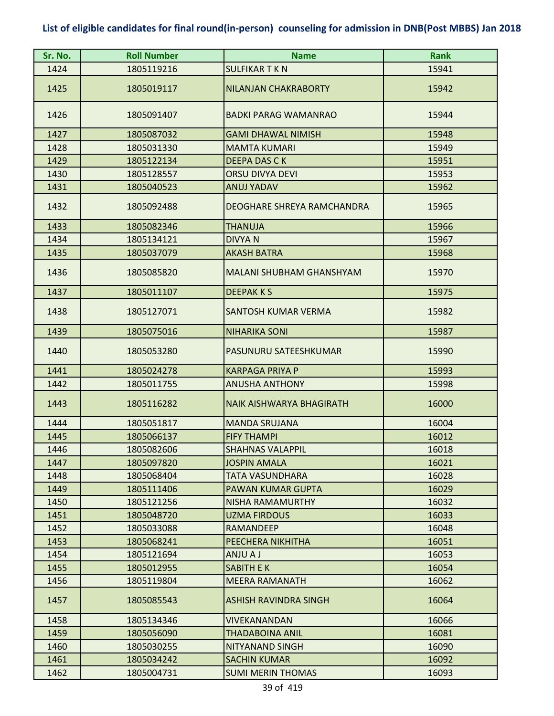| Sr. No. | <b>Roll Number</b> | <b>Name</b>                     | <b>Rank</b> |
|---------|--------------------|---------------------------------|-------------|
| 1424    | 1805119216         | <b>SULFIKAR T K N</b>           | 15941       |
| 1425    | 1805019117         | <b>NILANJAN CHAKRABORTY</b>     | 15942       |
| 1426    | 1805091407         | <b>BADKI PARAG WAMANRAO</b>     | 15944       |
| 1427    | 1805087032         | <b>GAMI DHAWAL NIMISH</b>       | 15948       |
| 1428    | 1805031330         | <b>MAMTA KUMARI</b>             | 15949       |
| 1429    | 1805122134         | <b>DEEPA DAS CK</b>             | 15951       |
| 1430    | 1805128557         | <b>ORSU DIVYA DEVI</b>          | 15953       |
| 1431    | 1805040523         | <b>ANUJ YADAV</b>               | 15962       |
| 1432    | 1805092488         | DEOGHARE SHREYA RAMCHANDRA      | 15965       |
| 1433    | 1805082346         | <b>THANUJA</b>                  | 15966       |
| 1434    | 1805134121         | <b>DIVYAN</b>                   | 15967       |
| 1435    | 1805037079         | <b>AKASH BATRA</b>              | 15968       |
| 1436    | 1805085820         | <b>MALANI SHUBHAM GHANSHYAM</b> | 15970       |
| 1437    | 1805011107         | <b>DEEPAKKS</b>                 | 15975       |
| 1438    | 1805127071         | SANTOSH KUMAR VERMA             | 15982       |
| 1439    | 1805075016         | <b>NIHARIKA SONI</b>            | 15987       |
| 1440    | 1805053280         | PASUNURU SATEESHKUMAR           | 15990       |
| 1441    | 1805024278         | <b>KARPAGA PRIYA P</b>          | 15993       |
| 1442    | 1805011755         | <b>ANUSHA ANTHONY</b>           | 15998       |
| 1443    | 1805116282         | <b>NAIK AISHWARYA BHAGIRATH</b> | 16000       |
| 1444    | 1805051817         | <b>MANDA SRUJANA</b>            | 16004       |
| 1445    | 1805066137         | <b>FIFY THAMPI</b>              | 16012       |
| 1446    | 1805082606         | <b>SHAHNAS VALAPPIL</b>         | 16018       |
| 1447    | 1805097820         | <b>JOSPIN AMALA</b>             | 16021       |
| 1448    | 1805068404         | TATA VASUNDHARA                 | 16028       |
| 1449    | 1805111406         | <b>PAWAN KUMAR GUPTA</b>        | 16029       |
| 1450    | 1805121256         | NISHA RAMAMURTHY                | 16032       |
| 1451    | 1805048720         | <b>UZMA FIRDOUS</b>             | 16033       |
| 1452    | 1805033088         | RAMANDEEP                       | 16048       |
| 1453    | 1805068241         | PEECHERA NIKHITHA               | 16051       |
| 1454    | 1805121694         | <b>LA UINA</b>                  | 16053       |
| 1455    | 1805012955         | <b>SABITH E K</b>               | 16054       |
| 1456    | 1805119804         | <b>MEERA RAMANATH</b>           | 16062       |
| 1457    | 1805085543         | ASHISH RAVINDRA SINGH           | 16064       |
| 1458    | 1805134346         | <b>VIVEKANANDAN</b>             | 16066       |
| 1459    | 1805056090         | THADABOINA ANIL                 | 16081       |
| 1460    | 1805030255         | NITYANAND SINGH                 | 16090       |
| 1461    | 1805034242         | <b>SACHIN KUMAR</b>             | 16092       |
| 1462    | 1805004731         | <b>SUMI MERIN THOMAS</b>        | 16093       |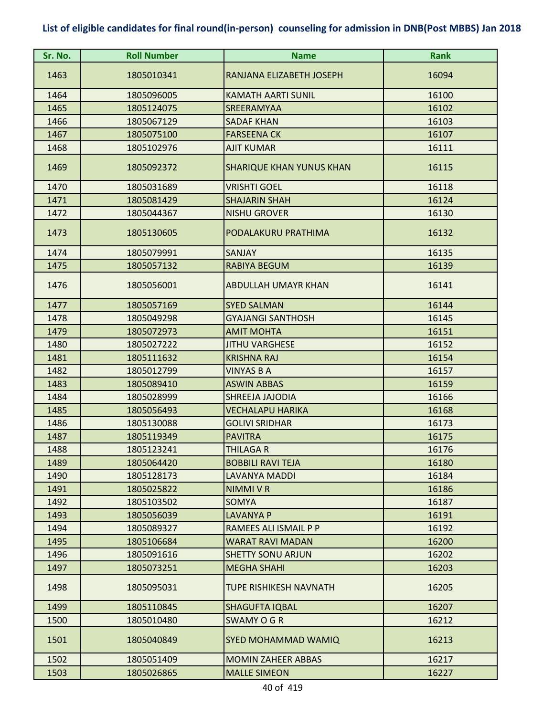| Sr. No. | <b>Roll Number</b> | <b>Name</b>                     | Rank  |
|---------|--------------------|---------------------------------|-------|
| 1463    | 1805010341         | RANJANA ELIZABETH JOSEPH        | 16094 |
| 1464    | 1805096005         | <b>KAMATH AARTI SUNIL</b>       | 16100 |
| 1465    | 1805124075         | SREERAMYAA                      | 16102 |
| 1466    | 1805067129         | <b>SADAF KHAN</b>               | 16103 |
| 1467    | 1805075100         | <b>FARSEENA CK</b>              | 16107 |
| 1468    | 1805102976         | <b>AJIT KUMAR</b>               | 16111 |
| 1469    | 1805092372         | <b>SHARIQUE KHAN YUNUS KHAN</b> | 16115 |
| 1470    | 1805031689         | <b>VRISHTI GOEL</b>             | 16118 |
| 1471    | 1805081429         | <b>SHAJARIN SHAH</b>            | 16124 |
| 1472    | 1805044367         | <b>NISHU GROVER</b>             | 16130 |
| 1473    | 1805130605         | PODALAKURU PRATHIMA             | 16132 |
| 1474    | 1805079991         | <b>SANJAY</b>                   | 16135 |
| 1475    | 1805057132         | <b>RABIYA BEGUM</b>             | 16139 |
| 1476    | 1805056001         | <b>ABDULLAH UMAYR KHAN</b>      | 16141 |
| 1477    | 1805057169         | <b>SYED SALMAN</b>              | 16144 |
| 1478    | 1805049298         | <b>GYAJANGI SANTHOSH</b>        | 16145 |
| 1479    | 1805072973         | <b>AMIT MOHTA</b>               | 16151 |
| 1480    | 1805027222         | <b>JITHU VARGHESE</b>           | 16152 |
| 1481    | 1805111632         | <b>KRISHNA RAJ</b>              | 16154 |
| 1482    | 1805012799         | VINYAS B A                      | 16157 |
| 1483    | 1805089410         | <b>ASWIN ABBAS</b>              | 16159 |
| 1484    | 1805028999         | SHREEJA JAJODIA                 | 16166 |
| 1485    | 1805056493         | <b>VECHALAPU HARIKA</b>         | 16168 |
| 1486    | 1805130088         | <b>GOLIVI SRIDHAR</b>           | 16173 |
| 1487    | 1805119349         | <b>PAVITRA</b>                  | 16175 |
| 1488    | 1805123241         | <b>THILAGA R</b>                | 16176 |
| 1489    | 1805064420         | <b>BOBBILI RAVI TEJA</b>        | 16180 |
| 1490    | 1805128173         | LAVANYA MADDI                   | 16184 |
| 1491    | 1805025822         | <b>NIMMI V R</b>                | 16186 |
| 1492    | 1805103502         | SOMYA                           | 16187 |
| 1493    | 1805056039         | <b>LAVANYA P</b>                | 16191 |
| 1494    | 1805089327         | RAMEES ALI ISMAIL P P           | 16192 |
| 1495    | 1805106684         | <b>WARAT RAVI MADAN</b>         | 16200 |
| 1496    | 1805091616         | <b>SHETTY SONU ARJUN</b>        | 16202 |
| 1497    | 1805073251         | <b>MEGHA SHAHI</b>              | 16203 |
| 1498    | 1805095031         | <b>TUPE RISHIKESH NAVNATH</b>   | 16205 |
| 1499    | 1805110845         | <b>SHAGUFTA IQBAL</b>           | 16207 |
| 1500    | 1805010480         | SWAMY O G R                     | 16212 |
| 1501    | 1805040849         | <b>SYED MOHAMMAD WAMIQ</b>      | 16213 |
| 1502    | 1805051409         | <b>MOMIN ZAHEER ABBAS</b>       | 16217 |
| 1503    | 1805026865         | <b>MALLE SIMEON</b>             | 16227 |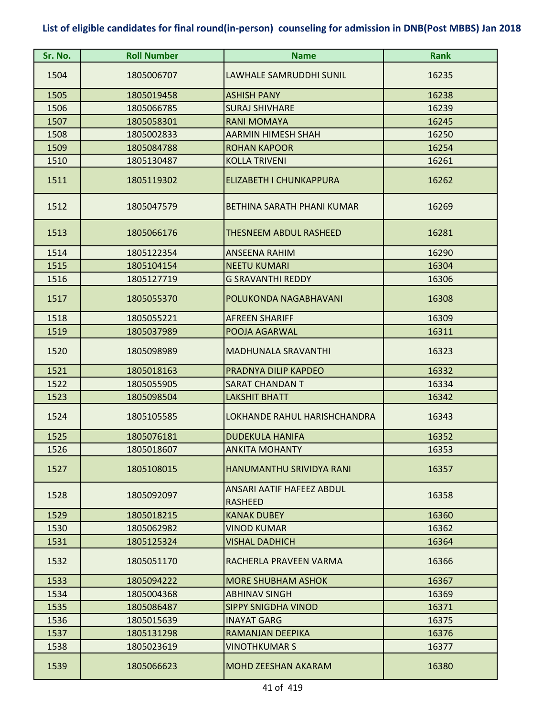| Sr. No. | <b>Roll Number</b> | <b>Name</b>                                        | <b>Rank</b> |
|---------|--------------------|----------------------------------------------------|-------------|
| 1504    | 1805006707         | LAWHALE SAMRUDDHI SUNIL                            | 16235       |
| 1505    | 1805019458         | <b>ASHISH PANY</b>                                 | 16238       |
| 1506    | 1805066785         | <b>SURAJ SHIVHARE</b>                              | 16239       |
| 1507    | 1805058301         | <b>RANI MOMAYA</b>                                 | 16245       |
| 1508    | 1805002833         | <b>AARMIN HIMESH SHAH</b>                          | 16250       |
| 1509    | 1805084788         | <b>ROHAN KAPOOR</b>                                | 16254       |
| 1510    | 1805130487         | <b>KOLLA TRIVENI</b>                               | 16261       |
| 1511    | 1805119302         | ELIZABETH I CHUNKAPPURA                            | 16262       |
| 1512    | 1805047579         | BETHINA SARATH PHANI KUMAR                         | 16269       |
| 1513    | 1805066176         | <b>THESNEEM ABDUL RASHEED</b>                      | 16281       |
| 1514    | 1805122354         | <b>ANSEENA RAHIM</b>                               | 16290       |
| 1515    | 1805104154         | <b>NEETU KUMARI</b>                                | 16304       |
| 1516    | 1805127719         | <b>G SRAVANTHI REDDY</b>                           | 16306       |
| 1517    | 1805055370         | POLUKONDA NAGABHAVANI                              | 16308       |
| 1518    | 1805055221         | <b>AFREEN SHARIFF</b>                              | 16309       |
| 1519    | 1805037989         | POOJA AGARWAL                                      | 16311       |
| 1520    | 1805098989         | <b>MADHUNALA SRAVANTHI</b>                         | 16323       |
| 1521    | 1805018163         | PRADNYA DILIP KAPDEO                               | 16332       |
| 1522    | 1805055905         | <b>SARAT CHANDAN T</b>                             | 16334       |
| 1523    | 1805098504         | <b>LAKSHIT BHATT</b>                               | 16342       |
| 1524    | 1805105585         | LOKHANDE RAHUL HARISHCHANDRA                       | 16343       |
| 1525    | 1805076181         | <b>DUDEKULA HANIFA</b>                             | 16352       |
| 1526    | 1805018607         | <b>ANKITA MOHANTY</b>                              | 16353       |
| 1527    | 1805108015         | HANUMANTHU SRIVIDYA RANI                           | 16357       |
| 1528    | 1805092097         | <b>ANSARI AATIF HAFEEZ ABDUL</b><br><b>RASHEED</b> | 16358       |
| 1529    | 1805018215         | <b>KANAK DUBEY</b>                                 | 16360       |
| 1530    | 1805062982         | <b>VINOD KUMAR</b>                                 | 16362       |
| 1531    | 1805125324         | <b>VISHAL DADHICH</b>                              | 16364       |
| 1532    | 1805051170         | RACHERLA PRAVEEN VARMA                             | 16366       |
| 1533    | 1805094222         | <b>MORE SHUBHAM ASHOK</b>                          | 16367       |
| 1534    | 1805004368         | <b>ABHINAV SINGH</b>                               | 16369       |
| 1535    | 1805086487         | <b>SIPPY SNIGDHA VINOD</b>                         | 16371       |
| 1536    | 1805015639         | <b>INAYAT GARG</b>                                 | 16375       |
| 1537    | 1805131298         | RAMANJAN DEEPIKA                                   | 16376       |
| 1538    | 1805023619         | <b>VINOTHKUMAR S</b>                               | 16377       |
| 1539    | 1805066623         | <b>MOHD ZEESHAN AKARAM</b>                         | 16380       |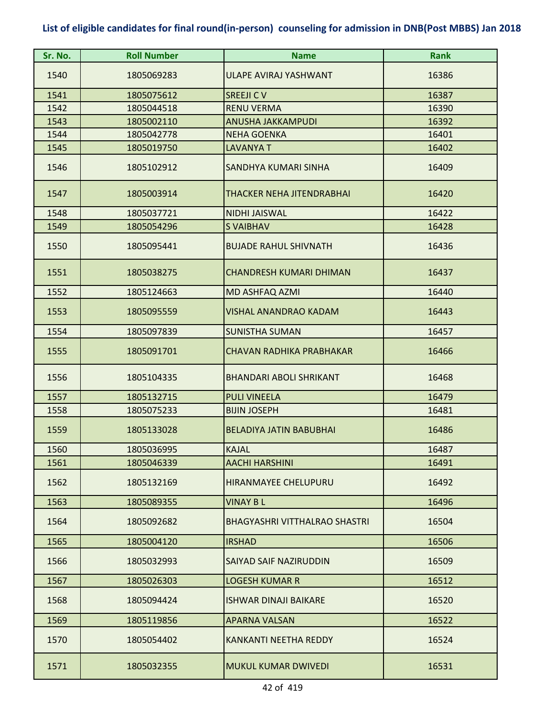| Sr. No. | <b>Roll Number</b> | <b>Name</b>                          | <b>Rank</b> |
|---------|--------------------|--------------------------------------|-------------|
| 1540    | 1805069283         | <b>ULAPE AVIRAJ YASHWANT</b>         | 16386       |
| 1541    | 1805075612         | <b>SREEJI CV</b>                     | 16387       |
| 1542    | 1805044518         | <b>RENU VERMA</b>                    | 16390       |
| 1543    | 1805002110         | <b>ANUSHA JAKKAMPUDI</b>             | 16392       |
| 1544    | 1805042778         | <b>NEHA GOENKA</b>                   | 16401       |
| 1545    | 1805019750         | <b>LAVANYA T</b>                     | 16402       |
| 1546    | 1805102912         | SANDHYA KUMARI SINHA                 | 16409       |
| 1547    | 1805003914         | <b>THACKER NEHA JITENDRABHAI</b>     | 16420       |
| 1548    | 1805037721         | <b>NIDHI JAISWAL</b>                 | 16422       |
| 1549    | 1805054296         | <b>SVAIBHAV</b>                      | 16428       |
| 1550    | 1805095441         | <b>BUJADE RAHUL SHIVNATH</b>         | 16436       |
| 1551    | 1805038275         | <b>CHANDRESH KUMARI DHIMAN</b>       | 16437       |
| 1552    | 1805124663         | MD ASHFAQ AZMI                       | 16440       |
| 1553    | 1805095559         | <b>VISHAL ANANDRAO KADAM</b>         | 16443       |
| 1554    | 1805097839         | <b>SUNISTHA SUMAN</b>                | 16457       |
| 1555    | 1805091701         | <b>CHAVAN RADHIKA PRABHAKAR</b>      | 16466       |
| 1556    | 1805104335         | <b>BHANDARI ABOLI SHRIKANT</b>       | 16468       |
| 1557    | 1805132715         | <b>PULI VINEELA</b>                  | 16479       |
| 1558    | 1805075233         | <b>BIJIN JOSEPH</b>                  | 16481       |
| 1559    | 1805133028         | <b>BELADIYA JATIN BABUBHAI</b>       | 16486       |
| 1560    | 1805036995         | <b>KAJAL</b>                         | 16487       |
| 1561    | 1805046339         | <b>AACHI HARSHINI</b>                | 16491       |
| 1562    | 1805132169         | HIRANMAYEE CHELUPURU                 | 16492       |
| 1563    | 1805089355         | <b>VINAY BL</b>                      | 16496       |
| 1564    | 1805092682         | <b>BHAGYASHRI VITTHALRAO SHASTRI</b> | 16504       |
| 1565    | 1805004120         | <b>IRSHAD</b>                        | 16506       |
| 1566    | 1805032993         | SAIYAD SAIF NAZIRUDDIN               | 16509       |
| 1567    | 1805026303         | <b>LOGESH KUMAR R</b>                | 16512       |
| 1568    | 1805094424         | <b>ISHWAR DINAJI BAIKARE</b>         | 16520       |
| 1569    | 1805119856         | <b>APARNA VALSAN</b>                 | 16522       |
| 1570    | 1805054402         | <b>KANKANTI NEETHA REDDY</b>         | 16524       |
| 1571    | 1805032355         | <b>MUKUL KUMAR DWIVEDI</b>           | 16531       |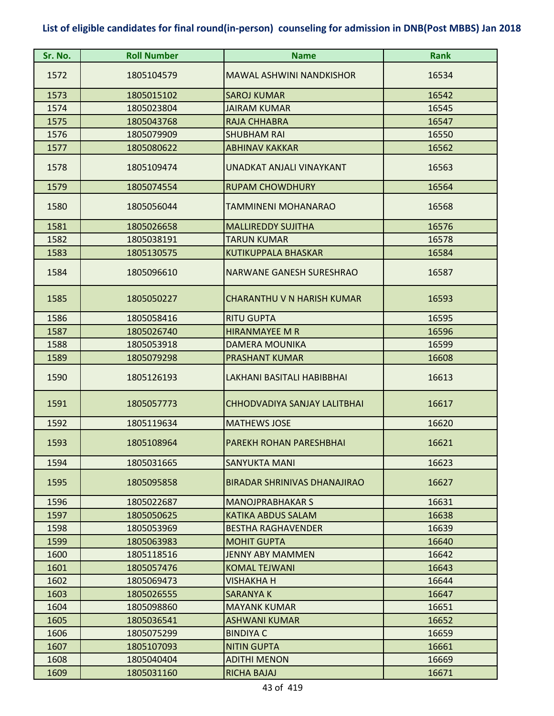| Sr. No. | <b>Roll Number</b> | <b>Name</b>                       | <b>Rank</b> |
|---------|--------------------|-----------------------------------|-------------|
| 1572    | 1805104579         | <b>MAWAL ASHWINI NANDKISHOR</b>   | 16534       |
| 1573    | 1805015102         | <b>SAROJ KUMAR</b>                | 16542       |
| 1574    | 1805023804         | <b>JAIRAM KUMAR</b>               | 16545       |
| 1575    | 1805043768         | RAJA CHHABRA                      | 16547       |
| 1576    | 1805079909         | <b>SHUBHAM RAI</b>                | 16550       |
| 1577    | 1805080622         | <b>ABHINAV KAKKAR</b>             | 16562       |
| 1578    | 1805109474         | UNADKAT ANJALI VINAYKANT          | 16563       |
| 1579    | 1805074554         | <b>RUPAM CHOWDHURY</b>            | 16564       |
| 1580    | 1805056044         | TAMMINENI MOHANARAO               | 16568       |
| 1581    | 1805026658         | <b>MALLIREDDY SUJITHA</b>         | 16576       |
| 1582    | 1805038191         | <b>TARUN KUMAR</b>                | 16578       |
| 1583    | 1805130575         | <b>KUTIKUPPALA BHASKAR</b>        | 16584       |
| 1584    | 1805096610         | NARWANE GANESH SURESHRAO          | 16587       |
| 1585    | 1805050227         | <b>CHARANTHU V N HARISH KUMAR</b> | 16593       |
| 1586    | 1805058416         | <b>RITU GUPTA</b>                 | 16595       |
| 1587    | 1805026740         | <b>HIRANMAYEE M R</b>             | 16596       |
| 1588    | 1805053918         | DAMERA MOUNIKA                    | 16599       |
| 1589    | 1805079298         | <b>PRASHANT KUMAR</b>             | 16608       |
| 1590    | 1805126193         | LAKHANI BASITALI HABIBBHAI        | 16613       |
| 1591    | 1805057773         | CHHODVADIYA SANJAY LALITBHAI      | 16617       |
| 1592    | 1805119634         | <b>MATHEWS JOSE</b>               | 16620       |
| 1593    | 1805108964         | PAREKH ROHAN PARESHBHAI           | 16621       |
| 1594    | 1805031665         | SANYUKTA MANI                     | 16623       |
| 1595    | 1805095858         | BIRADAR SHRINIVAS DHANAJIRAO      | 16627       |
| 1596    | 1805022687         | <b>MANOJPRABHAKAR S</b>           | 16631       |
| 1597    | 1805050625         | <b>KATIKA ABDUS SALAM</b>         | 16638       |
| 1598    | 1805053969         | <b>BESTHA RAGHAVENDER</b>         | 16639       |
| 1599    | 1805063983         | <b>MOHIT GUPTA</b>                | 16640       |
| 1600    | 1805118516         | <b>JENNY ABY MAMMEN</b>           | 16642       |
| 1601    | 1805057476         | <b>KOMAL TEJWANI</b>              | 16643       |
| 1602    | 1805069473         | VISHAKHA H                        | 16644       |
| 1603    | 1805026555         | SARANYA K                         | 16647       |
| 1604    | 1805098860         | <b>MAYANK KUMAR</b>               | 16651       |
| 1605    | 1805036541         | ASHWANI KUMAR                     | 16652       |
| 1606    | 1805075299         | <b>BINDIYA C</b>                  | 16659       |
| 1607    | 1805107093         | <b>NITIN GUPTA</b>                | 16661       |
| 1608    | 1805040404         | <b>ADITHI MENON</b>               | 16669       |
| 1609    | 1805031160         | RICHA BAJAJ                       | 16671       |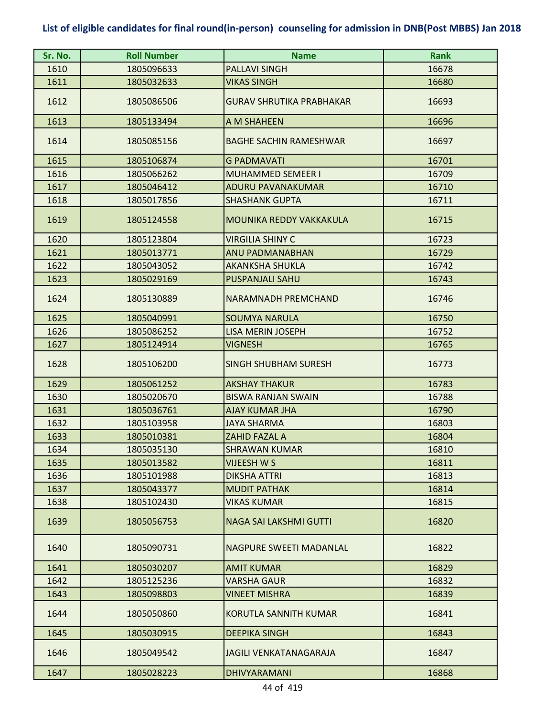| Sr. No. | <b>Roll Number</b> | <b>Name</b>                     | <b>Rank</b> |
|---------|--------------------|---------------------------------|-------------|
| 1610    | 1805096633         | <b>PALLAVI SINGH</b>            | 16678       |
| 1611    | 1805032633         | <b>VIKAS SINGH</b>              | 16680       |
| 1612    | 1805086506         | <b>GURAV SHRUTIKA PRABHAKAR</b> | 16693       |
| 1613    | 1805133494         | A M SHAHEEN                     | 16696       |
| 1614    | 1805085156         | <b>BAGHE SACHIN RAMESHWAR</b>   | 16697       |
| 1615    | 1805106874         | <b>G PADMAVATI</b>              | 16701       |
| 1616    | 1805066262         | <b>MUHAMMED SEMEER I</b>        | 16709       |
| 1617    | 1805046412         | <b>ADURU PAVANAKUMAR</b>        | 16710       |
| 1618    | 1805017856         | <b>SHASHANK GUPTA</b>           | 16711       |
| 1619    | 1805124558         | MOUNIKA REDDY VAKKAKULA         | 16715       |
| 1620    | 1805123804         | <b>VIRGILIA SHINY C</b>         | 16723       |
| 1621    | 1805013771         | <b>ANU PADMANABHAN</b>          | 16729       |
| 1622    | 1805043052         | <b>AKANKSHA SHUKLA</b>          | 16742       |
| 1623    | 1805029169         | <b>PUSPANJALI SAHU</b>          | 16743       |
| 1624    | 1805130889         | NARAMNADH PREMCHAND             | 16746       |
| 1625    | 1805040991         | <b>SOUMYA NARULA</b>            | 16750       |
| 1626    | 1805086252         | <b>LISA MERIN JOSEPH</b>        | 16752       |
| 1627    | 1805124914         | VIGNESH                         | 16765       |
| 1628    | 1805106200         | <b>SINGH SHUBHAM SURESH</b>     | 16773       |
| 1629    | 1805061252         | <b>AKSHAY THAKUR</b>            | 16783       |
| 1630    | 1805020670         | <b>BISWA RANJAN SWAIN</b>       | 16788       |
| 1631    | 1805036761         | <b>AJAY KUMAR JHA</b>           | 16790       |
| 1632    | 1805103958         | <b>JAYA SHARMA</b>              | 16803       |
| 1633    | 1805010381         | <b>ZAHID FAZAL A</b>            | 16804       |
| 1634    | 1805035130         | <b>SHRAWAN KUMAR</b>            | 16810       |
| 1635    | 1805013582         | VIJEESH W S                     | 16811       |
| 1636    | 1805101988         | <b>DIKSHA ATTRI</b>             | 16813       |
| 1637    | 1805043377         | <b>MUDIT PATHAK</b>             | 16814       |
| 1638    | 1805102430         | <b>VIKAS KUMAR</b>              | 16815       |
| 1639    | 1805056753         | <b>NAGA SAI LAKSHMI GUTTI</b>   | 16820       |
| 1640    | 1805090731         | NAGPURE SWEETI MADANLAL         | 16822       |
| 1641    | 1805030207         | <b>AMIT KUMAR</b>               | 16829       |
| 1642    | 1805125236         | <b>VARSHA GAUR</b>              | 16832       |
| 1643    | 1805098803         | <b>VINEET MISHRA</b>            | 16839       |
| 1644    | 1805050860         | <b>KORUTLA SANNITH KUMAR</b>    | 16841       |
| 1645    | 1805030915         | <b>DEEPIKA SINGH</b>            | 16843       |
| 1646    | 1805049542         | <b>JAGILI VENKATANAGARAJA</b>   | 16847       |
| 1647    | 1805028223         | <b>DHIVYARAMANI</b>             | 16868       |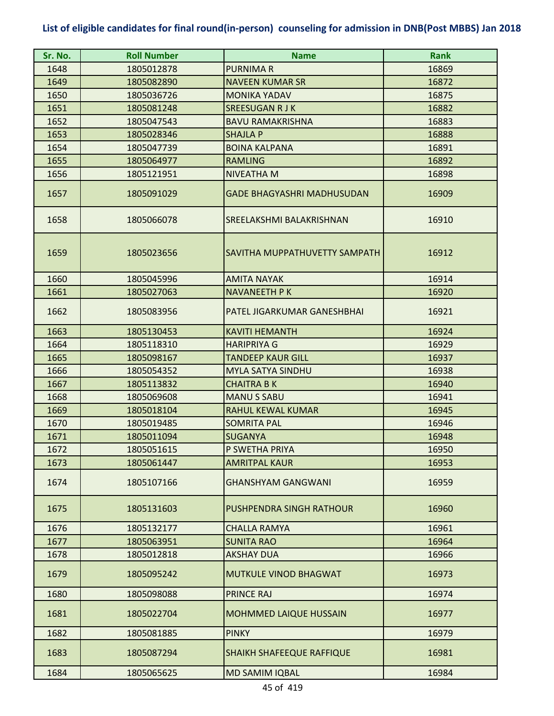| Sr. No. | <b>Roll Number</b> | <b>Name</b>                       | <b>Rank</b> |
|---------|--------------------|-----------------------------------|-------------|
| 1648    | 1805012878         | <b>PURNIMAR</b>                   | 16869       |
| 1649    | 1805082890         | <b>NAVEEN KUMAR SR</b>            | 16872       |
| 1650    | 1805036726         | <b>MONIKA YADAV</b>               | 16875       |
| 1651    | 1805081248         | <b>SREESUGAN R J K</b>            | 16882       |
| 1652    | 1805047543         | <b>BAVU RAMAKRISHNA</b>           | 16883       |
| 1653    | 1805028346         | <b>SHAJLA P</b>                   | 16888       |
| 1654    | 1805047739         | <b>BOINA KALPANA</b>              | 16891       |
| 1655    | 1805064977         | <b>RAMLING</b>                    | 16892       |
| 1656    | 1805121951         | <b>NIVEATHA M</b>                 | 16898       |
| 1657    | 1805091029         | <b>GADE BHAGYASHRI MADHUSUDAN</b> | 16909       |
| 1658    | 1805066078         | SREELAKSHMI BALAKRISHNAN          | 16910       |
| 1659    | 1805023656         | SAVITHA MUPPATHUVETTY SAMPATH     | 16912       |
| 1660    | 1805045996         | <b>AMITA NAYAK</b>                | 16914       |
| 1661    | 1805027063         | <b>NAVANEETH P K</b>              | 16920       |
| 1662    | 1805083956         | PATEL JIGARKUMAR GANESHBHAI       | 16921       |
| 1663    | 1805130453         | <b>KAVITI HEMANTH</b>             | 16924       |
| 1664    | 1805118310         | <b>HARIPRIYA G</b>                | 16929       |
| 1665    | 1805098167         | <b>TANDEEP KAUR GILL</b>          | 16937       |
| 1666    | 1805054352         | <b>MYLA SATYA SINDHU</b>          | 16938       |
| 1667    | 1805113832         | <b>CHAITRA B K</b>                | 16940       |
| 1668    | 1805069608         | <b>MANU S SABU</b>                | 16941       |
| 1669    | 1805018104         | RAHUL KEWAL KUMAR                 | 16945       |
| 1670    | 1805019485         | <b>SOMRITA PAL</b>                | 16946       |
| 1671    | 1805011094         | <b>SUGANYA</b>                    | 16948       |
| 1672    | 1805051615         | P SWETHA PRIYA                    | 16950       |
| 1673    | 1805061447         | <b>AMRITPAL KAUR</b>              | 16953       |
| 1674    | 1805107166         | <b>GHANSHYAM GANGWANI</b>         | 16959       |
| 1675    | 1805131603         | PUSHPENDRA SINGH RATHOUR          | 16960       |
| 1676    | 1805132177         | <b>CHALLA RAMYA</b>               | 16961       |
| 1677    | 1805063951         | <b>SUNITA RAO</b>                 | 16964       |
| 1678    | 1805012818         | AKSHAY DUA                        | 16966       |
| 1679    | 1805095242         | <b>MUTKULE VINOD BHAGWAT</b>      | 16973       |
| 1680    | 1805098088         | <b>PRINCE RAJ</b>                 | 16974       |
| 1681    | 1805022704         | <b>MOHMMED LAIQUE HUSSAIN</b>     | 16977       |
| 1682    | 1805081885         | <b>PINKY</b>                      | 16979       |
| 1683    | 1805087294         | SHAIKH SHAFEEQUE RAFFIQUE         | 16981       |
| 1684    | 1805065625         | <b>MD SAMIM IQBAL</b>             | 16984       |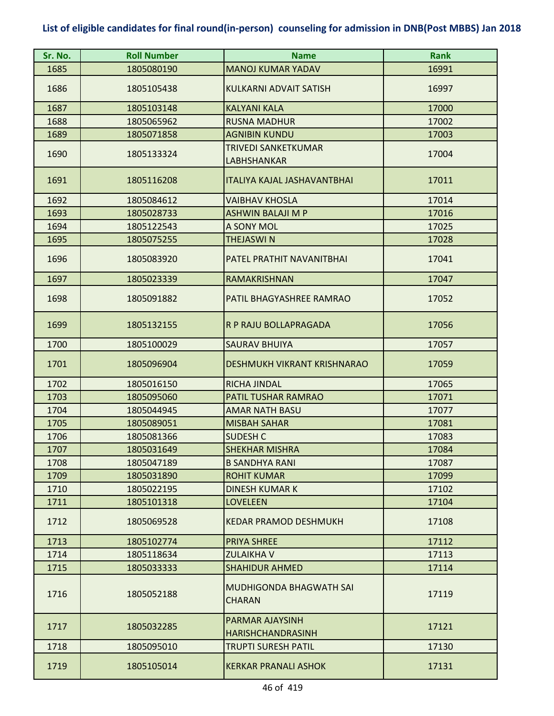| Sr. No. | <b>Roll Number</b> | <b>Name</b>                                     | <b>Rank</b> |
|---------|--------------------|-------------------------------------------------|-------------|
| 1685    | 1805080190         | <b>MANOJ KUMAR YADAV</b>                        | 16991       |
| 1686    | 1805105438         | <b>KULKARNI ADVAIT SATISH</b>                   | 16997       |
| 1687    | 1805103148         | <b>KALYANI KALA</b>                             | 17000       |
| 1688    | 1805065962         | <b>RUSNA MADHUR</b>                             | 17002       |
| 1689    | 1805071858         | <b>AGNIBIN KUNDU</b>                            | 17003       |
|         |                    | TRIVEDI SANKETKUMAR                             |             |
| 1690    | 1805133324         | LABHSHANKAR                                     | 17004       |
| 1691    | 1805116208         | <b>ITALIYA KAJAL JASHAVANTBHAI</b>              | 17011       |
| 1692    | 1805084612         | <b>VAIBHAV KHOSLA</b>                           | 17014       |
| 1693    | 1805028733         | <b>ASHWIN BALAJI M P</b>                        | 17016       |
| 1694    | 1805122543         | A SONY MOL                                      | 17025       |
| 1695    | 1805075255         | <b>THEJASWIN</b>                                | 17028       |
| 1696    | 1805083920         | PATEL PRATHIT NAVANITBHAI                       | 17041       |
| 1697    | 1805023339         | RAMAKRISHNAN                                    | 17047       |
| 1698    | 1805091882         | PATIL BHAGYASHREE RAMRAO                        | 17052       |
| 1699    | 1805132155         | R P RAJU BOLLAPRAGADA                           | 17056       |
| 1700    | 1805100029         | <b>SAURAV BHUIYA</b>                            | 17057       |
| 1701    | 1805096904         | DESHMUKH VIKRANT KRISHNARAO                     | 17059       |
| 1702    | 1805016150         | <b>RICHA JINDAL</b>                             | 17065       |
| 1703    | 1805095060         | PATIL TUSHAR RAMRAO                             | 17071       |
| 1704    | 1805044945         | <b>AMAR NATH BASU</b>                           | 17077       |
| 1705    | 1805089051         | <b>MISBAH SAHAR</b>                             | 17081       |
| 1706    | 1805081366         | <b>SUDESH C</b>                                 | 17083       |
| 1707    | 1805031649         | <b>SHEKHAR MISHRA</b>                           | 17084       |
| 1708    | 1805047189         | <b>B SANDHYA RANI</b>                           | 17087       |
| 1709    | 1805031890         | <b>ROHIT KUMAR</b>                              | 17099       |
| 1710    | 1805022195         | <b>DINESH KUMAR K</b>                           | 17102       |
| 1711    | 1805101318         | <b>LOVELEEN</b>                                 | 17104       |
| 1712    | 1805069528         | <b>KEDAR PRAMOD DESHMUKH</b>                    | 17108       |
| 1713    | 1805102774         | <b>PRIYA SHREE</b>                              | 17112       |
| 1714    | 1805118634         | <b>ZULAIKHA V</b>                               | 17113       |
| 1715    | 1805033333         | <b>SHAHIDUR AHMED</b>                           | 17114       |
| 1716    | 1805052188         | <b>MUDHIGONDA BHAGWATH SAI</b><br><b>CHARAN</b> | 17119       |
| 1717    | 1805032285         | PARMAR AJAYSINH<br><b>HARISHCHANDRASINH</b>     | 17121       |
| 1718    | 1805095010         | <b>TRUPTI SURESH PATIL</b>                      | 17130       |
| 1719    | 1805105014         | <b>KERKAR PRANALI ASHOK</b>                     | 17131       |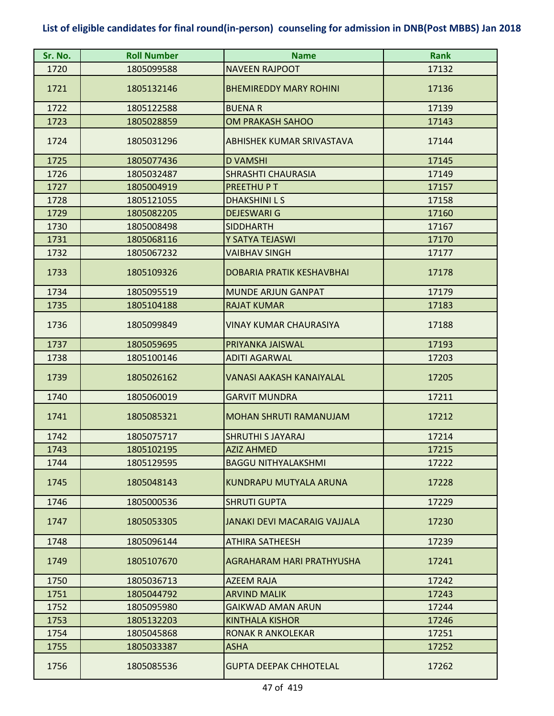| Sr. No. | <b>Roll Number</b> | <b>Name</b>                      | <b>Rank</b> |
|---------|--------------------|----------------------------------|-------------|
| 1720    | 1805099588         | <b>NAVEEN RAJPOOT</b>            | 17132       |
| 1721    | 1805132146         | <b>BHEMIREDDY MARY ROHINI</b>    | 17136       |
| 1722    | 1805122588         | <b>BUENAR</b>                    | 17139       |
| 1723    | 1805028859         | <b>OM PRAKASH SAHOO</b>          | 17143       |
| 1724    | 1805031296         | ABHISHEK KUMAR SRIVASTAVA        | 17144       |
| 1725    | 1805077436         | <b>D VAMSHI</b>                  | 17145       |
| 1726    | 1805032487         | <b>SHRASHTI CHAURASIA</b>        | 17149       |
| 1727    | 1805004919         | PREETHUPT                        | 17157       |
| 1728    | 1805121055         | <b>DHAKSHINILS</b>               | 17158       |
| 1729    | 1805082205         | <b>DEJESWARI G</b>               | 17160       |
| 1730    | 1805008498         | <b>SIDDHARTH</b>                 | 17167       |
| 1731    | 1805068116         | Y SATYA TEJASWI                  | 17170       |
| 1732    | 1805067232         | <b>VAIBHAV SINGH</b>             | 17177       |
| 1733    | 1805109326         | <b>DOBARIA PRATIK KESHAVBHAI</b> | 17178       |
| 1734    | 1805095519         | <b>MUNDE ARJUN GANPAT</b>        | 17179       |
| 1735    | 1805104188         | <b>RAJAT KUMAR</b>               | 17183       |
| 1736    | 1805099849         | <b>VINAY KUMAR CHAURASIYA</b>    | 17188       |
| 1737    | 1805059695         | PRIYANKA JAISWAL                 | 17193       |
| 1738    | 1805100146         | <b>ADITI AGARWAL</b>             | 17203       |
| 1739    | 1805026162         | <b>VANASI AAKASH KANAIYALAL</b>  | 17205       |
| 1740    | 1805060019         | <b>GARVIT MUNDRA</b>             | 17211       |
| 1741    | 1805085321         | MOHAN SHRUTI RAMANUJAM           | 17212       |
| 1742    | 1805075717         | <b>SHRUTHI S JAYARAJ</b>         | 17214       |
| 1743    | 1805102195         | <b>AZIZ AHMED</b>                | 17215       |
| 1744    | 1805129595         | <b>BAGGU NITHYALAKSHMI</b>       | 17222       |
| 1745    | 1805048143         | KUNDRAPU MUTYALA ARUNA           | 17228       |
| 1746    | 1805000536         | <b>SHRUTI GUPTA</b>              | 17229       |
| 1747    | 1805053305         | JANAKI DEVI MACARAIG VAJJALA     | 17230       |
| 1748    | 1805096144         | <b>ATHIRA SATHEESH</b>           | 17239       |
| 1749    | 1805107670         | AGRAHARAM HARI PRATHYUSHA        | 17241       |
| 1750    | 1805036713         | <b>AZEEM RAJA</b>                | 17242       |
| 1751    | 1805044792         | <b>ARVIND MALIK</b>              | 17243       |
| 1752    | 1805095980         | <b>GAIKWAD AMAN ARUN</b>         | 17244       |
| 1753    | 1805132203         | <b>KINTHALA KISHOR</b>           | 17246       |
| 1754    | 1805045868         | RONAK R ANKOLEKAR                | 17251       |
| 1755    | 1805033387         | <b>ASHA</b>                      | 17252       |
| 1756    | 1805085536         | <b>GUPTA DEEPAK CHHOTELAL</b>    | 17262       |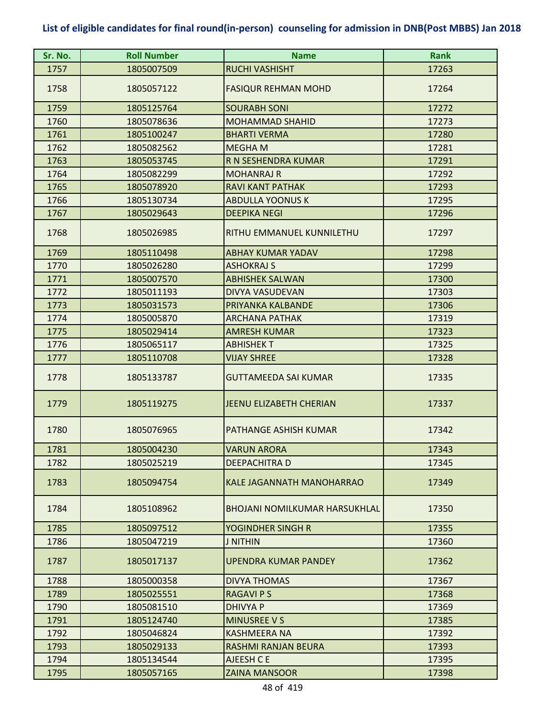| Sr. No. | <b>Roll Number</b> | <b>Name</b>                          | <b>Rank</b> |
|---------|--------------------|--------------------------------------|-------------|
| 1757    | 1805007509         | <b>RUCHI VASHISHT</b>                | 17263       |
| 1758    | 1805057122         | <b>FASIQUR REHMAN MOHD</b>           | 17264       |
| 1759    | 1805125764         | <b>SOURABH SONI</b>                  | 17272       |
| 1760    | 1805078636         | <b>MOHAMMAD SHAHID</b>               | 17273       |
| 1761    | 1805100247         | <b>BHARTI VERMA</b>                  | 17280       |
| 1762    | 1805082562         | <b>MEGHAM</b>                        | 17281       |
| 1763    | 1805053745         | R N SESHENDRA KUMAR                  | 17291       |
| 1764    | 1805082299         | <b>MOHANRAJ R</b>                    | 17292       |
| 1765    | 1805078920         | <b>RAVI KANT PATHAK</b>              | 17293       |
| 1766    | 1805130734         | <b>ABDULLA YOONUS K</b>              | 17295       |
| 1767    | 1805029643         | <b>DEEPIKA NEGI</b>                  | 17296       |
| 1768    | 1805026985         | RITHU EMMANUEL KUNNILETHU            | 17297       |
| 1769    | 1805110498         | <b>ABHAY KUMAR YADAV</b>             | 17298       |
| 1770    | 1805026280         | <b>ASHOKRAJ S</b>                    | 17299       |
| 1771    | 1805007570         | <b>ABHISHEK SALWAN</b>               | 17300       |
| 1772    | 1805011193         | DIVYA VASUDEVAN                      | 17303       |
| 1773    | 1805031573         | PRIYANKA KALBANDE                    | 17306       |
| 1774    | 1805005870         | ARCHANA PATHAK                       | 17319       |
| 1775    | 1805029414         | <b>AMRESH KUMAR</b>                  | 17323       |
| 1776    | 1805065117         | <b>ABHISHEKT</b>                     | 17325       |
| 1777    | 1805110708         | <b>VIJAY SHREE</b>                   | 17328       |
| 1778    | 1805133787         | <b>GUTTAMEEDA SAI KUMAR</b>          | 17335       |
| 1779    | 1805119275         | <b>JEENU ELIZABETH CHERIAN</b>       | 17337       |
| 1780    | 1805076965         | PATHANGE ASHISH KUMAR                | 17342       |
| 1781    | 1805004230         | <b>VARUN ARORA</b>                   | 17343       |
| 1782    | 1805025219         | DEEPACHITRA D                        | 17345       |
| 1783    | 1805094754         | KALE JAGANNATH MANOHARRAO            | 17349       |
| 1784    | 1805108962         | <b>BHOJANI NOMILKUMAR HARSUKHLAL</b> | 17350       |
| 1785    | 1805097512         | YOGINDHER SINGH R                    | 17355       |
| 1786    | 1805047219         | <b>J NITHIN</b>                      | 17360       |
| 1787    | 1805017137         | UPENDRA KUMAR PANDEY                 | 17362       |
| 1788    | 1805000358         | <b>DIVYA THOMAS</b>                  | 17367       |
| 1789    | 1805025551         | <b>RAGAVI P S</b>                    | 17368       |
| 1790    | 1805081510         | <b>DHIVYA P</b>                      | 17369       |
| 1791    | 1805124740         | <b>MINUSREE V S</b>                  | 17385       |
| 1792    | 1805046824         | KASHMEERA NA                         | 17392       |
| 1793    | 1805029133         | RASHMI RANJAN BEURA                  | 17393       |
| 1794    | 1805134544         | AJEESH C E                           | 17395       |
| 1795    | 1805057165         | <b>ZAINA MANSOOR</b>                 | 17398       |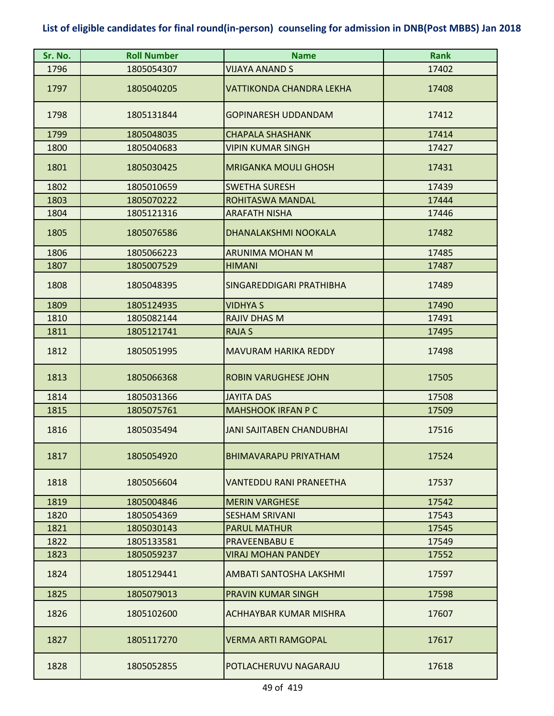| Sr. No. | <b>Roll Number</b> | <b>Name</b>                      | <b>Rank</b> |
|---------|--------------------|----------------------------------|-------------|
| 1796    | 1805054307         | VIJAYA ANAND S                   | 17402       |
| 1797    | 1805040205         | <b>VATTIKONDA CHANDRA LEKHA</b>  | 17408       |
| 1798    | 1805131844         | <b>GOPINARESH UDDANDAM</b>       | 17412       |
| 1799    | 1805048035         | <b>CHAPALA SHASHANK</b>          | 17414       |
| 1800    | 1805040683         | <b>VIPIN KUMAR SINGH</b>         | 17427       |
| 1801    | 1805030425         | <b>MRIGANKA MOULI GHOSH</b>      | 17431       |
| 1802    | 1805010659         | <b>SWETHA SURESH</b>             | 17439       |
| 1803    | 1805070222         | ROHITASWA MANDAL                 | 17444       |
| 1804    | 1805121316         | <b>ARAFATH NISHA</b>             | 17446       |
| 1805    | 1805076586         | DHANALAKSHMI NOOKALA             | 17482       |
| 1806    | 1805066223         | <b>ARUNIMA MOHAN M</b>           | 17485       |
| 1807    | 1805007529         | <b>HIMANI</b>                    | 17487       |
| 1808    | 1805048395         | SINGAREDDIGARI PRATHIBHA         | 17489       |
| 1809    | 1805124935         | <b>VIDHYA S</b>                  | 17490       |
| 1810    | 1805082144         | <b>RAJIV DHAS M</b>              | 17491       |
| 1811    | 1805121741         | <b>RAJA S</b>                    | 17495       |
| 1812    | 1805051995         | <b>MAVURAM HARIKA REDDY</b>      | 17498       |
| 1813    | 1805066368         | <b>ROBIN VARUGHESE JOHN</b>      | 17505       |
| 1814    | 1805031366         | <b>JAYITA DAS</b>                | 17508       |
| 1815    | 1805075761         | <b>MAHSHOOK IRFAN P C</b>        | 17509       |
| 1816    | 1805035494         | <b>JANI SAJITABEN CHANDUBHAI</b> | 17516       |
| 1817    | 1805054920         | <b>BHIMAVARAPU PRIYATHAM</b>     | 17524       |
| 1818    | 1805056604         | VANTEDDU RANI PRANEETHA          | 17537       |
| 1819    | 1805004846         | <b>MERIN VARGHESE</b>            | 17542       |
| 1820    | 1805054369         | <b>SESHAM SRIVANI</b>            | 17543       |
| 1821    | 1805030143         | <b>PARUL MATHUR</b>              | 17545       |
| 1822    | 1805133581         | <b>PRAVEENBABU E</b>             | 17549       |
| 1823    | 1805059237         | <b>VIRAJ MOHAN PANDEY</b>        | 17552       |
| 1824    | 1805129441         | AMBATI SANTOSHA LAKSHMI          | 17597       |
| 1825    | 1805079013         | PRAVIN KUMAR SINGH               | 17598       |
| 1826    | 1805102600         | ACHHAYBAR KUMAR MISHRA           | 17607       |
| 1827    | 1805117270         | <b>VERMA ARTI RAMGOPAL</b>       | 17617       |
| 1828    | 1805052855         | POTLACHERUVU NAGARAJU            | 17618       |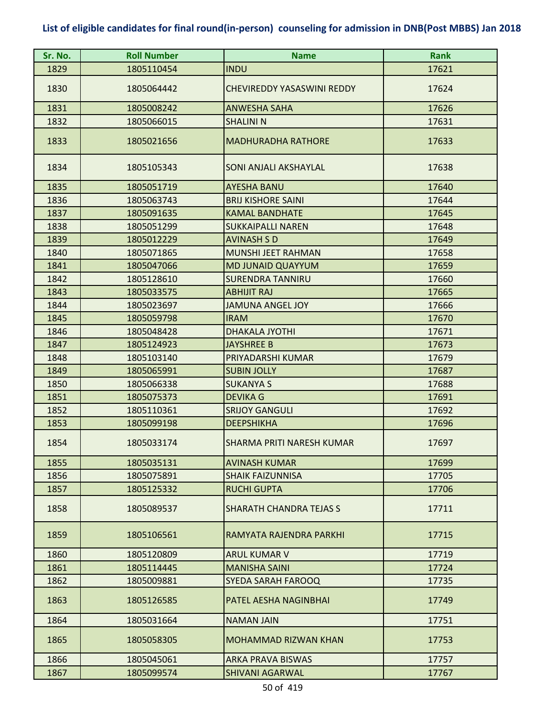| Sr. No. | <b>Roll Number</b> | <b>Name</b>                       | <b>Rank</b> |
|---------|--------------------|-----------------------------------|-------------|
| 1829    | 1805110454         | <b>INDU</b>                       | 17621       |
| 1830    | 1805064442         | <b>CHEVIREDDY YASASWINI REDDY</b> | 17624       |
| 1831    | 1805008242         | <b>ANWESHA SAHA</b>               | 17626       |
| 1832    | 1805066015         | <b>SHALINI N</b>                  | 17631       |
| 1833    | 1805021656         | <b>MADHURADHA RATHORE</b>         | 17633       |
| 1834    | 1805105343         | SONI ANJALI AKSHAYLAL             | 17638       |
| 1835    | 1805051719         | <b>AYESHA BANU</b>                | 17640       |
| 1836    | 1805063743         | <b>BRIJ KISHORE SAINI</b>         | 17644       |
| 1837    | 1805091635         | <b>KAMAL BANDHATE</b>             | 17645       |
| 1838    | 1805051299         | <b>SUKKAIPALLI NAREN</b>          | 17648       |
| 1839    | 1805012229         | <b>AVINASH S D</b>                | 17649       |
| 1840    | 1805071865         | MUNSHI JEET RAHMAN                | 17658       |
| 1841    | 1805047066         | <b>MD JUNAID QUAYYUM</b>          | 17659       |
| 1842    | 1805128610         | <b>SURENDRA TANNIRU</b>           | 17660       |
| 1843    | 1805033575         | <b>ABHIJIT RAJ</b>                | 17665       |
| 1844    | 1805023697         | <b>JAMUNA ANGEL JOY</b>           | 17666       |
| 1845    | 1805059798         | <b>IRAM</b>                       | 17670       |
| 1846    | 1805048428         | <b>DHAKALA JYOTHI</b>             | 17671       |
| 1847    | 1805124923         | <b>JAYSHREE B</b>                 | 17673       |
| 1848    | 1805103140         | PRIYADARSHI KUMAR                 | 17679       |
| 1849    | 1805065991         | <b>SUBIN JOLLY</b>                | 17687       |
| 1850    | 1805066338         | <b>SUKANYA S</b>                  | 17688       |
| 1851    | 1805075373         | <b>DEVIKA G</b>                   | 17691       |
| 1852    | 1805110361         | <b>SRIJOY GANGULI</b>             | 17692       |
| 1853    | 1805099198         | <b>DEEPSHIKHA</b>                 | 17696       |
| 1854    | 1805033174         | SHARMA PRITI NARESH KUMAR         | 17697       |
| 1855    | 1805035131         | <b>AVINASH KUMAR</b>              | 17699       |
| 1856    | 1805075891         | <b>SHAIK FAIZUNNISA</b>           | 17705       |
| 1857    | 1805125332         | <b>RUCHI GUPTA</b>                | 17706       |
| 1858    | 1805089537         | <b>SHARATH CHANDRA TEJAS S</b>    | 17711       |
| 1859    | 1805106561         | RAMYATA RAJENDRA PARKHI           | 17715       |
| 1860    | 1805120809         | <b>ARUL KUMAR V</b>               | 17719       |
| 1861    | 1805114445         | <b>MANISHA SAINI</b>              | 17724       |
| 1862    | 1805009881         | SYEDA SARAH FAROOQ                | 17735       |
| 1863    | 1805126585         | PATEL AESHA NAGINBHAI             | 17749       |
| 1864    | 1805031664         | <b>NAMAN JAIN</b>                 | 17751       |
| 1865    | 1805058305         | <b>MOHAMMAD RIZWAN KHAN</b>       | 17753       |
| 1866    | 1805045061         | <b>ARKA PRAVA BISWAS</b>          | 17757       |
| 1867    | 1805099574         | <b>SHIVANI AGARWAL</b>            | 17767       |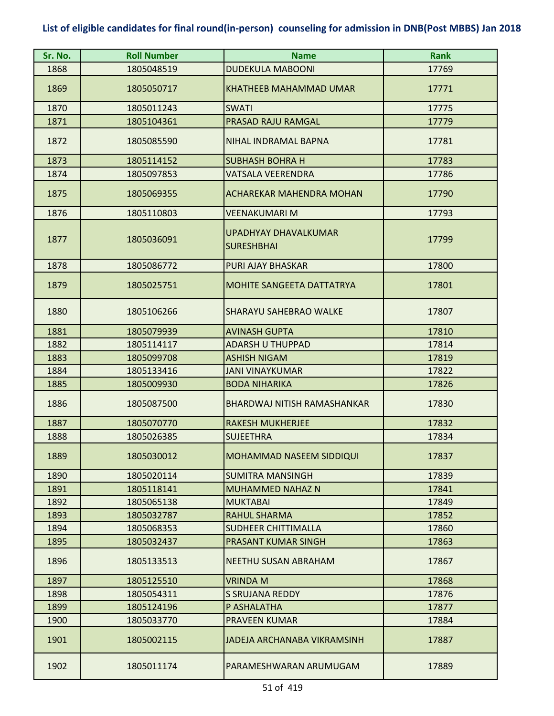| Sr. No. | <b>Roll Number</b> | <b>Name</b>                               | <b>Rank</b> |
|---------|--------------------|-------------------------------------------|-------------|
| 1868    | 1805048519         | <b>DUDEKULA MABOONI</b>                   | 17769       |
| 1869    | 1805050717         | <b>KHATHEEB MAHAMMAD UMAR</b>             | 17771       |
| 1870    | 1805011243         | <b>SWATI</b>                              | 17775       |
| 1871    | 1805104361         | PRASAD RAJU RAMGAL                        | 17779       |
| 1872    | 1805085590         | NIHAL INDRAMAL BAPNA                      | 17781       |
| 1873    | 1805114152         | <b>SUBHASH BOHRA H</b>                    | 17783       |
| 1874    | 1805097853         | VATSALA VEERENDRA                         | 17786       |
| 1875    | 1805069355         | <b>ACHAREKAR MAHENDRA MOHAN</b>           | 17790       |
| 1876    | 1805110803         | <b>VEENAKUMARI M</b>                      | 17793       |
| 1877    | 1805036091         | UPADHYAY DHAVALKUMAR<br><b>SURESHBHAI</b> | 17799       |
| 1878    | 1805086772         | <b>PURI AJAY BHASKAR</b>                  | 17800       |
| 1879    | 1805025751         | <b>MOHITE SANGEETA DATTATRYA</b>          | 17801       |
| 1880    | 1805106266         | SHARAYU SAHEBRAO WALKE                    | 17807       |
| 1881    | 1805079939         | <b>AVINASH GUPTA</b>                      | 17810       |
| 1882    | 1805114117         | <b>ADARSH U THUPPAD</b>                   | 17814       |
| 1883    | 1805099708         | <b>ASHISH NIGAM</b>                       | 17819       |
| 1884    | 1805133416         | <b>JANI VINAYKUMAR</b>                    | 17822       |
| 1885    | 1805009930         | <b>BODA NIHARIKA</b>                      | 17826       |
| 1886    | 1805087500         | BHARDWAJ NITISH RAMASHANKAR               | 17830       |
| 1887    | 1805070770         | <b>RAKESH MUKHERJEE</b>                   | 17832       |
| 1888    | 1805026385         | <b>SUJEETHRA</b>                          | 17834       |
| 1889    | 1805030012         | <b>MOHAMMAD NASEEM SIDDIQUI</b>           | 17837       |
| 1890    | 1805020114         | <b>SUMITRA MANSINGH</b>                   | 17839       |
| 1891    | 1805118141         | <b>MUHAMMED NAHAZ N</b>                   | 17841       |
| 1892    | 1805065138         | <b>MUKTABAI</b>                           | 17849       |
| 1893    | 1805032787         | <b>RAHUL SHARMA</b>                       | 17852       |
| 1894    | 1805068353         | SUDHEER CHITTIMALLA                       | 17860       |
| 1895    | 1805032437         | <b>PRASANT KUMAR SINGH</b>                | 17863       |
| 1896    | 1805133513         | NEETHU SUSAN ABRAHAM                      | 17867       |
| 1897    | 1805125510         | <b>VRINDA M</b>                           | 17868       |
| 1898    | 1805054311         | <b>S SRUJANA REDDY</b>                    | 17876       |
| 1899    | 1805124196         | P ASHALATHA                               | 17877       |
| 1900    | 1805033770         | <b>PRAVEEN KUMAR</b>                      | 17884       |
| 1901    | 1805002115         | <b>JADEJA ARCHANABA VIKRAMSINH</b>        | 17887       |
| 1902    | 1805011174         | PARAMESHWARAN ARUMUGAM                    | 17889       |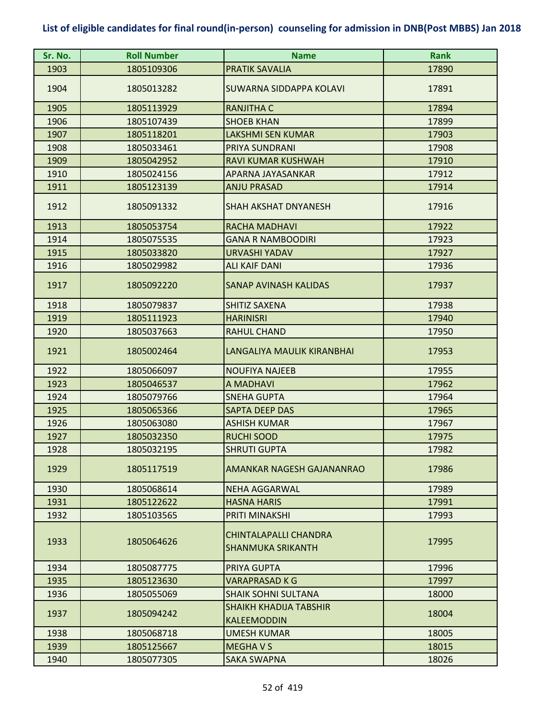| Sr. No. | <b>Roll Number</b> | <b>Name</b>                                              | <b>Rank</b> |
|---------|--------------------|----------------------------------------------------------|-------------|
| 1903    | 1805109306         | <b>PRATIK SAVALIA</b>                                    | 17890       |
| 1904    | 1805013282         | SUWARNA SIDDAPPA KOLAVI                                  | 17891       |
| 1905    | 1805113929         | <b>RANJITHA C</b>                                        | 17894       |
| 1906    | 1805107439         | <b>SHOEB KHAN</b>                                        | 17899       |
| 1907    | 1805118201         | <b>LAKSHMI SEN KUMAR</b>                                 | 17903       |
| 1908    | 1805033461         | PRIYA SUNDRANI                                           | 17908       |
| 1909    | 1805042952         | RAVI KUMAR KUSHWAH                                       | 17910       |
| 1910    | 1805024156         | APARNA JAYASANKAR                                        | 17912       |
| 1911    | 1805123139         | <b>ANJU PRASAD</b>                                       | 17914       |
| 1912    | 1805091332         | <b>SHAH AKSHAT DNYANESH</b>                              | 17916       |
| 1913    | 1805053754         | <b>RACHA MADHAVI</b>                                     | 17922       |
| 1914    | 1805075535         | <b>GANA R NAMBOODIRI</b>                                 | 17923       |
| 1915    | 1805033820         | URVASHI YADAV                                            | 17927       |
| 1916    | 1805029982         | <b>ALI KAIF DANI</b>                                     | 17936       |
| 1917    | 1805092220         | SANAP AVINASH KALIDAS                                    | 17937       |
| 1918    | 1805079837         | <b>SHITIZ SAXENA</b>                                     | 17938       |
| 1919    | 1805111923         | <b>HARINISRI</b>                                         | 17940       |
| 1920    | 1805037663         | <b>RAHUL CHAND</b>                                       | 17950       |
| 1921    | 1805002464         | LANGALIYA MAULIK KIRANBHAI                               | 17953       |
| 1922    | 1805066097         | <b>NOUFIYA NAJEEB</b>                                    | 17955       |
| 1923    | 1805046537         | A MADHAVI                                                | 17962       |
| 1924    | 1805079766         | <b>SNEHA GUPTA</b>                                       | 17964       |
| 1925    | 1805065366         | SAPTA DEEP DAS                                           | 17965       |
| 1926    | 1805063080         | <b>ASHISH KUMAR</b>                                      | 17967       |
| 1927    | 1805032350         | <b>RUCHI SOOD</b>                                        | 17975       |
| 1928    | 1805032195         | <b>SHRUTI GUPTA</b>                                      | 17982       |
| 1929    | 1805117519         | AMANKAR NAGESH GAJANANRAO                                | 17986       |
| 1930    | 1805068614         | <b>NEHA AGGARWAL</b>                                     | 17989       |
| 1931    | 1805122622         | <b>HASNA HARIS</b>                                       | 17991       |
| 1932    | 1805103565         | PRITI MINAKSHI                                           | 17993       |
| 1933    | 1805064626         | <b>CHINTALAPALLI CHANDRA</b><br><b>SHANMUKA SRIKANTH</b> | 17995       |
| 1934    | 1805087775         | PRIYA GUPTA                                              | 17996       |
| 1935    | 1805123630         | <b>VARAPRASAD K G</b>                                    | 17997       |
| 1936    | 1805055069         | <b>SHAIK SOHNI SULTANA</b>                               | 18000       |
| 1937    | 1805094242         | <b>SHAIKH KHADIJA TABSHIR</b><br><b>KALEEMODDIN</b>      | 18004       |
| 1938    | 1805068718         | <b>UMESH KUMAR</b>                                       | 18005       |
| 1939    | 1805125667         | <b>MEGHAVS</b>                                           | 18015       |
| 1940    | 1805077305         | <b>SAKA SWAPNA</b>                                       | 18026       |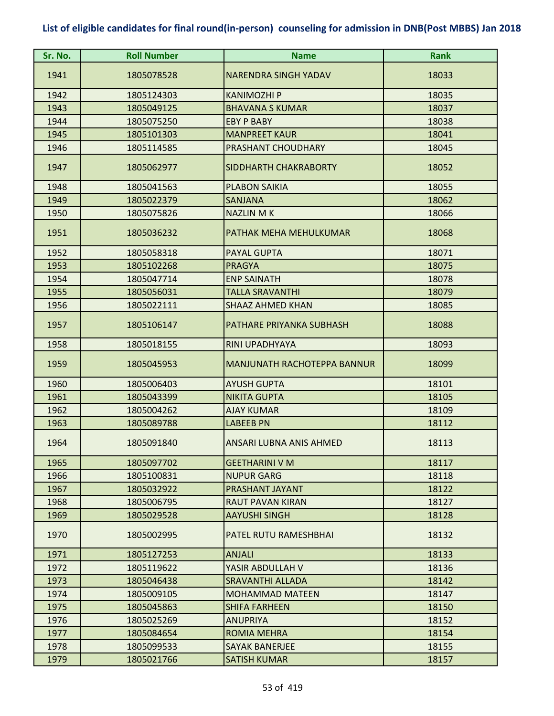| Sr. No. | <b>Roll Number</b> | <b>Name</b>                        | <b>Rank</b> |
|---------|--------------------|------------------------------------|-------------|
| 1941    | 1805078528         | <b>NARENDRA SINGH YADAV</b>        | 18033       |
| 1942    | 1805124303         | <b>KANIMOZHI P</b>                 | 18035       |
| 1943    | 1805049125         | <b>BHAVANA S KUMAR</b>             | 18037       |
| 1944    | 1805075250         | <b>EBY P BABY</b>                  | 18038       |
| 1945    | 1805101303         | <b>MANPREET KAUR</b>               | 18041       |
| 1946    | 1805114585         | PRASHANT CHOUDHARY                 | 18045       |
| 1947    | 1805062977         | SIDDHARTH CHAKRABORTY              | 18052       |
| 1948    | 1805041563         | <b>PLABON SAIKIA</b>               | 18055       |
| 1949    | 1805022379         | <b>SANJANA</b>                     | 18062       |
| 1950    | 1805075826         | <b>NAZLIN MK</b>                   | 18066       |
| 1951    | 1805036232         | PATHAK MEHA MEHULKUMAR             | 18068       |
| 1952    | 1805058318         | PAYAL GUPTA                        | 18071       |
| 1953    | 1805102268         | <b>PRAGYA</b>                      | 18075       |
| 1954    | 1805047714         | <b>ENP SAINATH</b>                 | 18078       |
| 1955    | 1805056031         | <b>TALLA SRAVANTHI</b>             | 18079       |
| 1956    | 1805022111         | <b>SHAAZ AHMED KHAN</b>            | 18085       |
| 1957    | 1805106147         | PATHARE PRIYANKA SUBHASH           | 18088       |
| 1958    | 1805018155         | <b>RINI UPADHYAYA</b>              | 18093       |
| 1959    | 1805045953         | <b>MANJUNATH RACHOTEPPA BANNUR</b> | 18099       |
| 1960    | 1805006403         | <b>AYUSH GUPTA</b>                 | 18101       |
| 1961    | 1805043399         | <b>NIKITA GUPTA</b>                | 18105       |
| 1962    | 1805004262         | <b>AJAY KUMAR</b>                  | 18109       |
| 1963    | 1805089788         | <b>LABEEB PN</b>                   | 18112       |
| 1964    | 1805091840         | ANSARI LUBNA ANIS AHMED            | 18113       |
| 1965    | 1805097702         | <b>GEETHARINI V M</b>              | 18117       |
| 1966    | 1805100831         | <b>NUPUR GARG</b>                  | 18118       |
| 1967    | 1805032922         | PRASHANT JAYANT                    | 18122       |
| 1968    | 1805006795         | RAUT PAVAN KIRAN                   | 18127       |
| 1969    | 1805029528         | <b>AAYUSHI SINGH</b>               | 18128       |
| 1970    | 1805002995         | PATEL RUTU RAMESHBHAI              | 18132       |
| 1971    | 1805127253         | <b>ANJALI</b>                      | 18133       |
| 1972    | 1805119622         | YASIR ABDULLAH V                   | 18136       |
| 1973    | 1805046438         | <b>SRAVANTHI ALLADA</b>            | 18142       |
| 1974    | 1805009105         | <b>MOHAMMAD MATEEN</b>             | 18147       |
| 1975    | 1805045863         | <b>SHIFA FARHEEN</b>               | 18150       |
| 1976    | 1805025269         | <b>ANUPRIYA</b>                    | 18152       |
| 1977    | 1805084654         | <b>ROMIA MEHRA</b>                 | 18154       |
| 1978    | 1805099533         | <b>SAYAK BANERJEE</b>              | 18155       |
| 1979    | 1805021766         | <b>SATISH KUMAR</b>                | 18157       |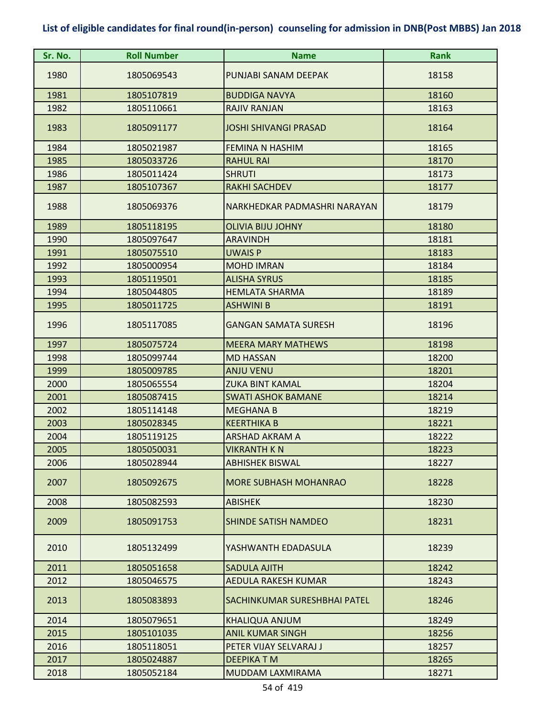| Sr. No. | <b>Roll Number</b> | <b>Name</b>                  | <b>Rank</b> |
|---------|--------------------|------------------------------|-------------|
| 1980    | 1805069543         | PUNJABI SANAM DEEPAK         | 18158       |
| 1981    | 1805107819         | <b>BUDDIGA NAVYA</b>         | 18160       |
| 1982    | 1805110661         | <b>RAJIV RANJAN</b>          | 18163       |
| 1983    | 1805091177         | <b>JOSHI SHIVANGI PRASAD</b> | 18164       |
| 1984    | 1805021987         | FEMINA N HASHIM              | 18165       |
| 1985    | 1805033726         | <b>RAHUL RAI</b>             | 18170       |
| 1986    | 1805011424         | <b>SHRUTI</b>                | 18173       |
| 1987    | 1805107367         | <b>RAKHI SACHDEV</b>         | 18177       |
| 1988    | 1805069376         | NARKHEDKAR PADMASHRI NARAYAN | 18179       |
| 1989    | 1805118195         | <b>OLIVIA BIJU JOHNY</b>     | 18180       |
| 1990    | 1805097647         | <b>ARAVINDH</b>              | 18181       |
| 1991    | 1805075510         | <b>UWAIS P</b>               | 18183       |
| 1992    | 1805000954         | <b>MOHD IMRAN</b>            | 18184       |
| 1993    | 1805119501         | <b>ALISHA SYRUS</b>          | 18185       |
| 1994    | 1805044805         | <b>HEMLATA SHARMA</b>        | 18189       |
| 1995    | 1805011725         | <b>ASHWINI B</b>             | 18191       |
| 1996    | 1805117085         | <b>GANGAN SAMATA SURESH</b>  | 18196       |
| 1997    | 1805075724         | <b>MEERA MARY MATHEWS</b>    | 18198       |
| 1998    | 1805099744         | <b>MD HASSAN</b>             | 18200       |
| 1999    | 1805009785         | <b>ANJU VENU</b>             | 18201       |
| 2000    | 1805065554         | <b>ZUKA BINT KAMAL</b>       | 18204       |
| 2001    | 1805087415         | <b>SWATI ASHOK BAMANE</b>    | 18214       |
| 2002    | 1805114148         | <b>MEGHANA B</b>             | 18219       |
| 2003    | 1805028345         | <b>KEERTHIKA B</b>           | 18221       |
| 2004    | 1805119125         | <b>ARSHAD AKRAM A</b>        | 18222       |
| 2005    | 1805050031         | <b>VIKRANTH K N</b>          | 18223       |
| 2006    | 1805028944         | <b>ABHISHEK BISWAL</b>       | 18227       |
| 2007    | 1805092675         | <b>MORE SUBHASH MOHANRAO</b> | 18228       |
| 2008    | 1805082593         | <b>ABISHEK</b>               | 18230       |
| 2009    | 1805091753         | <b>SHINDE SATISH NAMDEO</b>  | 18231       |
| 2010    | 1805132499         | YASHWANTH EDADASULA          | 18239       |
| 2011    | 1805051658         | <b>SADULA AJITH</b>          | 18242       |
| 2012    | 1805046575         | <b>AEDULA RAKESH KUMAR</b>   | 18243       |
| 2013    | 1805083893         | SACHINKUMAR SURESHBHAI PATEL | 18246       |
| 2014    | 1805079651         | <b>KHALIQUA ANJUM</b>        | 18249       |
| 2015    | 1805101035         | <b>ANIL KUMAR SINGH</b>      | 18256       |
| 2016    | 1805118051         | PETER VIJAY SELVARAJ J       | 18257       |
| 2017    | 1805024887         | <b>DEEPIKATM</b>             | 18265       |
| 2018    | 1805052184         | MUDDAM LAXMIRAMA             | 18271       |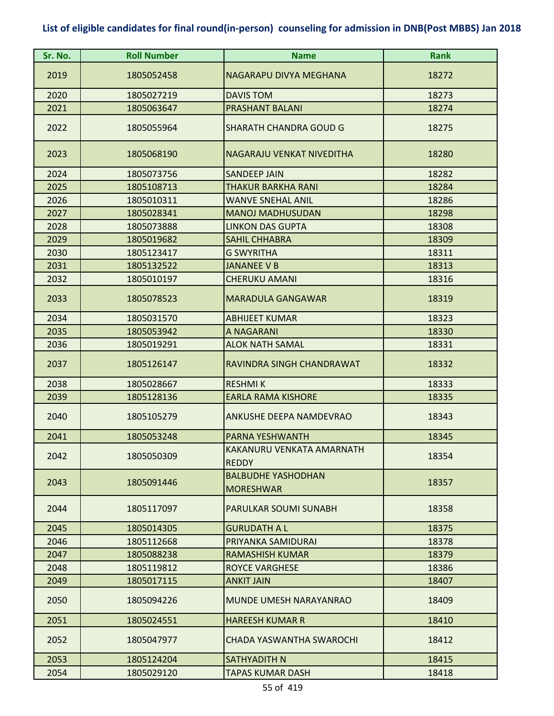| Sr. No. | <b>Roll Number</b> | <b>Name</b>                                   | Rank  |
|---------|--------------------|-----------------------------------------------|-------|
| 2019    | 1805052458         | NAGARAPU DIVYA MEGHANA                        | 18272 |
| 2020    | 1805027219         | <b>DAVIS TOM</b>                              | 18273 |
| 2021    | 1805063647         | <b>PRASHANT BALANI</b>                        | 18274 |
| 2022    | 1805055964         | SHARATH CHANDRA GOUD G                        | 18275 |
| 2023    | 1805068190         | NAGARAJU VENKAT NIVEDITHA                     | 18280 |
| 2024    | 1805073756         | <b>SANDEEP JAIN</b>                           | 18282 |
| 2025    | 1805108713         | THAKUR BARKHA RANI                            | 18284 |
| 2026    | 1805010311         | <b>WANVE SNEHAL ANIL</b>                      | 18286 |
| 2027    | 1805028341         | <b>MANOJ MADHUSUDAN</b>                       | 18298 |
| 2028    | 1805073888         | <b>LINKON DAS GUPTA</b>                       | 18308 |
| 2029    | 1805019682         | <b>SAHIL CHHABRA</b>                          | 18309 |
| 2030    | 1805123417         | <b>G SWYRITHA</b>                             | 18311 |
| 2031    | 1805132522         | <b>JANANEE V B</b>                            | 18313 |
| 2032    | 1805010197         | CHERUKU AMANI                                 | 18316 |
| 2033    | 1805078523         | <b>MARADULA GANGAWAR</b>                      | 18319 |
| 2034    | 1805031570         | <b>ABHIJEET KUMAR</b>                         | 18323 |
| 2035    | 1805053942         | A NAGARANI                                    | 18330 |
| 2036    | 1805019291         | <b>ALOK NATH SAMAL</b>                        | 18331 |
| 2037    | 1805126147         | RAVINDRA SINGH CHANDRAWAT                     | 18332 |
| 2038    | 1805028667         | <b>RESHMIK</b>                                | 18333 |
| 2039    | 1805128136         | <b>EARLA RAMA KISHORE</b>                     | 18335 |
| 2040    | 1805105279         | <b>ANKUSHE DEEPA NAMDEVRAO</b>                | 18343 |
| 2041    | 1805053248         | PARNA YESHWANTH                               | 18345 |
| 2042    | 1805050309         | KAKANURU VENKATA AMARNATH<br><b>REDDY</b>     | 18354 |
| 2043    | 1805091446         | <b>BALBUDHE YASHODHAN</b><br><b>MORESHWAR</b> | 18357 |
| 2044    | 1805117097         | PARULKAR SOUMI SUNABH                         | 18358 |
| 2045    | 1805014305         | <b>GURUDATH A L</b>                           | 18375 |
| 2046    | 1805112668         | PRIYANKA SAMIDURAI                            | 18378 |
| 2047    | 1805088238         | RAMASHISH KUMAR                               | 18379 |
| 2048    | 1805119812         | <b>ROYCE VARGHESE</b>                         | 18386 |
| 2049    | 1805017115         | <b>ANKIT JAIN</b>                             | 18407 |
| 2050    | 1805094226         | MUNDE UMESH NARAYANRAO                        | 18409 |
| 2051    | 1805024551         | <b>HAREESH KUMAR R</b>                        | 18410 |
| 2052    | 1805047977         | CHADA YASWANTHA SWAROCHI                      | 18412 |
| 2053    | 1805124204         | SATHYADITH N                                  | 18415 |
| 2054    | 1805029120         | TAPAS KUMAR DASH                              | 18418 |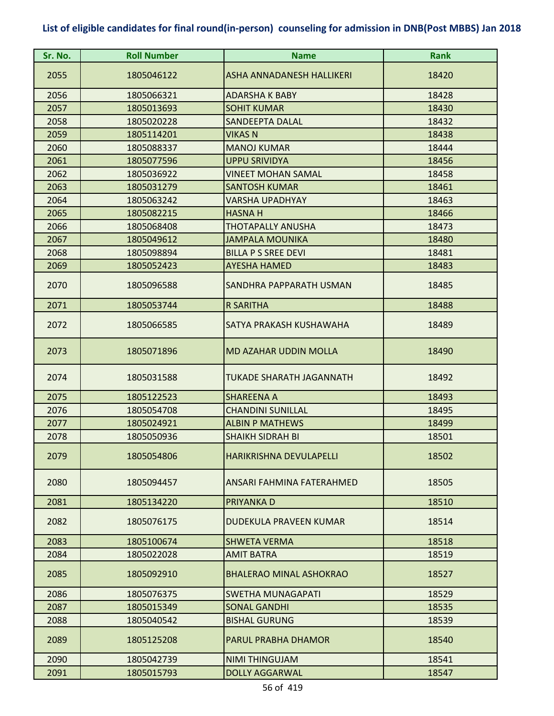| Sr. No. | <b>Roll Number</b> | <b>Name</b>                      | <b>Rank</b> |
|---------|--------------------|----------------------------------|-------------|
| 2055    | 1805046122         | <b>ASHA ANNADANESH HALLIKERI</b> | 18420       |
| 2056    | 1805066321         | <b>ADARSHA K BABY</b>            | 18428       |
| 2057    | 1805013693         | <b>SOHIT KUMAR</b>               | 18430       |
| 2058    | 1805020228         | SANDEEPTA DALAL                  | 18432       |
| 2059    | 1805114201         | <b>VIKAS N</b>                   | 18438       |
| 2060    | 1805088337         | <b>MANOJ KUMAR</b>               | 18444       |
| 2061    | 1805077596         | <b>UPPU SRIVIDYA</b>             | 18456       |
| 2062    | 1805036922         | <b>VINEET MOHAN SAMAL</b>        | 18458       |
| 2063    | 1805031279         | <b>SANTOSH KUMAR</b>             | 18461       |
| 2064    | 1805063242         | <b>VARSHA UPADHYAY</b>           | 18463       |
| 2065    | 1805082215         | <b>HASNA H</b>                   | 18466       |
| 2066    | 1805068408         | <b>THOTAPALLY ANUSHA</b>         | 18473       |
| 2067    | 1805049612         | <b>JAMPALA MOUNIKA</b>           | 18480       |
| 2068    | 1805098894         | <b>BILLA P S SREE DEVI</b>       | 18481       |
| 2069    | 1805052423         | <b>AYESHA HAMED</b>              | 18483       |
| 2070    | 1805096588         | SANDHRA PAPPARATH USMAN          | 18485       |
| 2071    | 1805053744         | <b>R SARITHA</b>                 | 18488       |
| 2072    | 1805066585         | SATYA PRAKASH KUSHAWAHA          | 18489       |
| 2073    | 1805071896         | <b>MD AZAHAR UDDIN MOLLA</b>     | 18490       |
| 2074    | 1805031588         | <b>TUKADE SHARATH JAGANNATH</b>  | 18492       |
| 2075    | 1805122523         | <b>SHAREENA A</b>                | 18493       |
| 2076    | 1805054708         | <b>CHANDINI SUNILLAL</b>         | 18495       |
| 2077    | 1805024921         | <b>ALBIN P MATHEWS</b>           | 18499       |
| 2078    | 1805050936         | <b>SHAIKH SIDRAH BI</b>          | 18501       |
| 2079    | 1805054806         | <b>HARIKRISHNA DEVULAPELLI</b>   | 18502       |
| 2080    | 1805094457         | ANSARI FAHMINA FATERAHMED        | 18505       |
| 2081    | 1805134220         | PRIYANKA D                       | 18510       |
| 2082    | 1805076175         | DUDEKULA PRAVEEN KUMAR           | 18514       |
| 2083    | 1805100674         | <b>SHWETA VERMA</b>              | 18518       |
| 2084    | 1805022028         | <b>AMIT BATRA</b>                | 18519       |
| 2085    | 1805092910         | <b>BHALERAO MINAL ASHOKRAO</b>   | 18527       |
| 2086    | 1805076375         | <b>SWETHA MUNAGAPATI</b>         | 18529       |
| 2087    | 1805015349         | <b>SONAL GANDHI</b>              | 18535       |
| 2088    | 1805040542         | <b>BISHAL GURUNG</b>             | 18539       |
| 2089    | 1805125208         | <b>PARUL PRABHA DHAMOR</b>       | 18540       |
| 2090    | 1805042739         | NIMI THINGUJAM                   | 18541       |
| 2091    | 1805015793         | <b>DOLLY AGGARWAL</b>            | 18547       |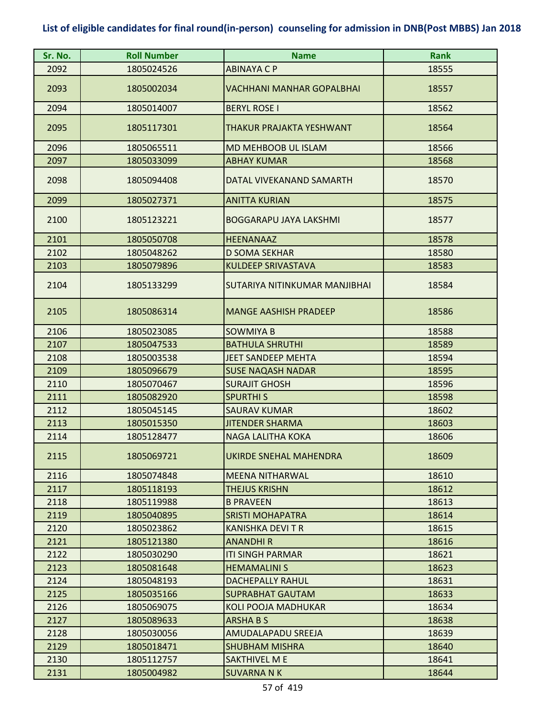| Sr. No. | <b>Roll Number</b> | <b>Name</b>                      | <b>Rank</b> |
|---------|--------------------|----------------------------------|-------------|
| 2092    | 1805024526         | <b>ABINAYA C P</b>               | 18555       |
| 2093    | 1805002034         | <b>VACHHANI MANHAR GOPALBHAI</b> | 18557       |
| 2094    | 1805014007         | <b>BERYL ROSE I</b>              | 18562       |
| 2095    | 1805117301         | THAKUR PRAJAKTA YESHWANT         | 18564       |
| 2096    | 1805065511         | <b>MD MEHBOOB UL ISLAM</b>       | 18566       |
| 2097    | 1805033099         | <b>ABHAY KUMAR</b>               | 18568       |
| 2098    | 1805094408         | DATAL VIVEKANAND SAMARTH         | 18570       |
| 2099    | 1805027371         | <b>ANITTA KURIAN</b>             | 18575       |
| 2100    | 1805123221         | <b>BOGGARAPU JAYA LAKSHMI</b>    | 18577       |
| 2101    | 1805050708         | <b>HEENANAAZ</b>                 | 18578       |
| 2102    | 1805048262         | <b>D SOMA SEKHAR</b>             | 18580       |
| 2103    | 1805079896         | <b>KULDEEP SRIVASTAVA</b>        | 18583       |
| 2104    | 1805133299         | SUTARIYA NITINKUMAR MANJIBHAI    | 18584       |
| 2105    | 1805086314         | <b>MANGE AASHISH PRADEEP</b>     | 18586       |
| 2106    | 1805023085         | <b>SOWMIYA B</b>                 | 18588       |
| 2107    | 1805047533         | <b>BATHULA SHRUTHI</b>           | 18589       |
| 2108    | 1805003538         | <b>JEET SANDEEP MEHTA</b>        | 18594       |
| 2109    | 1805096679         | <b>SUSE NAQASH NADAR</b>         | 18595       |
| 2110    | 1805070467         | <b>SURAJIT GHOSH</b>             | 18596       |
| 2111    | 1805082920         | <b>SPURTHI S</b>                 | 18598       |
| 2112    | 1805045145         | <b>SAURAV KUMAR</b>              | 18602       |
| 2113    | 1805015350         | <b>JITENDER SHARMA</b>           | 18603       |
| 2114    | 1805128477         | <b>NAGA LALITHA KOKA</b>         | 18606       |
| 2115    | 1805069721         | UKIRDE SNEHAL MAHENDRA           | 18609       |
| 2116    | 1805074848         | <b>MEENA NITHARWAL</b>           | 18610       |
| 2117    | 1805118193         | <b>THEJUS KRISHN</b>             | 18612       |
| 2118    | 1805119988         | <b>B PRAVEEN</b>                 | 18613       |
| 2119    | 1805040895         | <b>SRISTI MOHAPATRA</b>          | 18614       |
| 2120    | 1805023862         | KANISHKA DEVI T R                | 18615       |
| 2121    | 1805121380         | <b>ANANDHIR</b>                  | 18616       |
| 2122    | 1805030290         | <b>ITI SINGH PARMAR</b>          | 18621       |
| 2123    | 1805081648         | <b>HEMAMALINI S</b>              | 18623       |
| 2124    | 1805048193         | <b>DACHEPALLY RAHUL</b>          | 18631       |
| 2125    | 1805035166         | SUPRABHAT GAUTAM                 | 18633       |
| 2126    | 1805069075         | KOLI POOJA MADHUKAR              | 18634       |
| 2127    | 1805089633         | <b>ARSHABS</b>                   | 18638       |
| 2128    | 1805030056         | AMUDALAPADU SREEJA               | 18639       |
| 2129    | 1805018471         | <b>SHUBHAM MISHRA</b>            | 18640       |
| 2130    | 1805112757         | <b>SAKTHIVEL M E</b>             | 18641       |
| 2131    | 1805004982         | <b>SUVARNA N K</b>               | 18644       |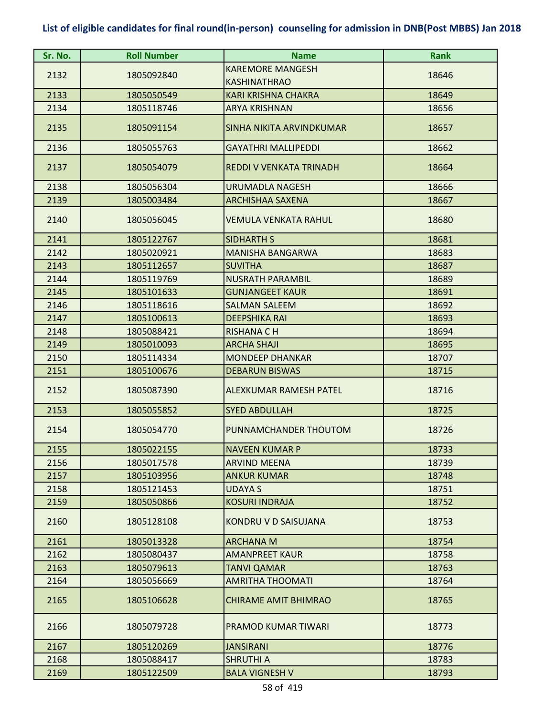| Sr. No. | <b>Roll Number</b> | <b>Name</b>                    | <b>Rank</b> |
|---------|--------------------|--------------------------------|-------------|
| 2132    | 1805092840         | <b>KAREMORE MANGESH</b>        | 18646       |
|         |                    | <b>KASHINATHRAO</b>            |             |
| 2133    | 1805050549         | <b>KARI KRISHNA CHAKRA</b>     | 18649       |
| 2134    | 1805118746         | <b>ARYA KRISHNAN</b>           | 18656       |
| 2135    | 1805091154         | SINHA NIKITA ARVINDKUMAR       | 18657       |
| 2136    | 1805055763         | <b>GAYATHRI MALLIPEDDI</b>     | 18662       |
| 2137    | 1805054079         | <b>REDDI V VENKATA TRINADH</b> | 18664       |
| 2138    | 1805056304         | <b>URUMADLA NAGESH</b>         | 18666       |
| 2139    | 1805003484         | <b>ARCHISHAA SAXENA</b>        | 18667       |
| 2140    | 1805056045         | <b>VEMULA VENKATA RAHUL</b>    | 18680       |
| 2141    | 1805122767         | <b>SIDHARTH S</b>              | 18681       |
| 2142    | 1805020921         | <b>MANISHA BANGARWA</b>        | 18683       |
| 2143    | 1805112657         | <b>SUVITHA</b>                 | 18687       |
| 2144    | 1805119769         | <b>NUSRATH PARAMBIL</b>        | 18689       |
| 2145    | 1805101633         | <b>GUNJANGEET KAUR</b>         | 18691       |
| 2146    | 1805118616         | <b>SALMAN SALEEM</b>           | 18692       |
| 2147    | 1805100613         | <b>DEEPSHIKA RAI</b>           | 18693       |
| 2148    | 1805088421         | <b>RISHANA CH</b>              | 18694       |
| 2149    | 1805010093         | <b>ARCHA SHAJI</b>             | 18695       |
| 2150    | 1805114334         | <b>MONDEEP DHANKAR</b>         | 18707       |
| 2151    | 1805100676         | <b>DEBARUN BISWAS</b>          | 18715       |
| 2152    | 1805087390         | ALEXKUMAR RAMESH PATEL         | 18716       |
| 2153    | 1805055852         | <b>SYED ABDULLAH</b>           | 18725       |
| 2154    | 1805054770         | PUNNAMCHANDER THOUTOM          | 18726       |
| 2155    | 1805022155         | <b>NAVEEN KUMAR P</b>          | 18733       |
| 2156    | 1805017578         | <b>ARVIND MEENA</b>            | 18739       |
| 2157    | 1805103956         | <b>ANKUR KUMAR</b>             | 18748       |
| 2158    | 1805121453         | UDAYA S                        | 18751       |
| 2159    | 1805050866         | <b>KOSURI INDRAJA</b>          | 18752       |
| 2160    | 1805128108         | KONDRU V D SAISUJANA           | 18753       |
| 2161    | 1805013328         | <b>ARCHANA M</b>               | 18754       |
| 2162    | 1805080437         | <b>AMANPREET KAUR</b>          | 18758       |
| 2163    | 1805079613         | TANVI QAMAR                    | 18763       |
| 2164    | 1805056669         | <b>AMRITHA THOOMATI</b>        | 18764       |
| 2165    | 1805106628         | <b>CHIRAME AMIT BHIMRAO</b>    | 18765       |
| 2166    | 1805079728         | PRAMOD KUMAR TIWARI            | 18773       |
| 2167    | 1805120269         | <b>JANSIRANI</b>               | 18776       |
| 2168    | 1805088417         | <b>SHRUTHI A</b>               | 18783       |
| 2169    | 1805122509         | <b>BALA VIGNESH V</b>          | 18793       |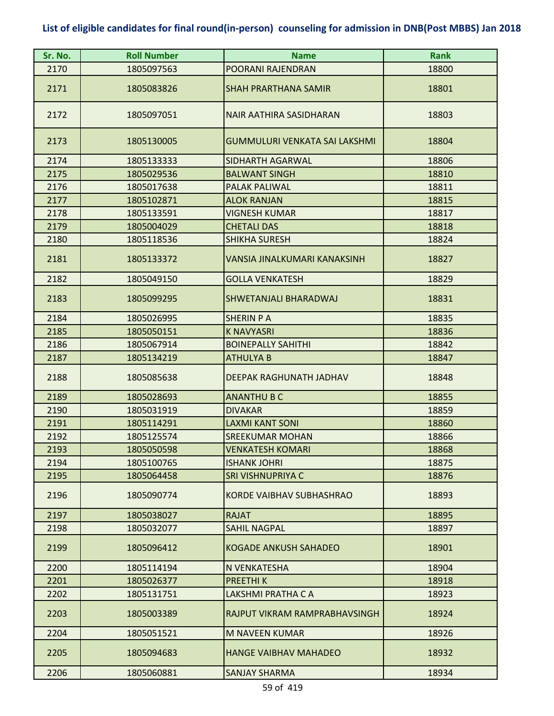| Sr. No. | <b>Roll Number</b> | <b>Name</b>                          | <b>Rank</b> |
|---------|--------------------|--------------------------------------|-------------|
| 2170    | 1805097563         | POORANI RAJENDRAN                    | 18800       |
| 2171    | 1805083826         | <b>SHAH PRARTHANA SAMIR</b>          | 18801       |
| 2172    | 1805097051         | NAIR AATHIRA SASIDHARAN              | 18803       |
| 2173    | 1805130005         | <b>GUMMULURI VENKATA SAI LAKSHMI</b> | 18804       |
| 2174    | 1805133333         | <b>SIDHARTH AGARWAL</b>              | 18806       |
| 2175    | 1805029536         | <b>BALWANT SINGH</b>                 | 18810       |
| 2176    | 1805017638         | <b>PALAK PALIWAL</b>                 | 18811       |
| 2177    | 1805102871         | <b>ALOK RANJAN</b>                   | 18815       |
| 2178    | 1805133591         | <b>VIGNESH KUMAR</b>                 | 18817       |
| 2179    | 1805004029         | <b>CHETALI DAS</b>                   | 18818       |
| 2180    | 1805118536         | <b>SHIKHA SURESH</b>                 | 18824       |
| 2181    | 1805133372         | <b>VANSIA JINALKUMARI KANAKSINH</b>  | 18827       |
| 2182    | 1805049150         | <b>GOLLA VENKATESH</b>               | 18829       |
| 2183    | 1805099295         | SHWETANJALI BHARADWAJ                | 18831       |
| 2184    | 1805026995         | <b>SHERIN P A</b>                    | 18835       |
| 2185    | 1805050151         | <b>K NAVYASRI</b>                    | 18836       |
| 2186    | 1805067914         | <b>BOINEPALLY SAHITHI</b>            | 18842       |
| 2187    | 1805134219         | <b>ATHULYA B</b>                     | 18847       |
| 2188    | 1805085638         | DEEPAK RAGHUNATH JADHAV              | 18848       |
| 2189    | 1805028693         | <b>ANANTHU B C</b>                   | 18855       |
| 2190    | 1805031919         | <b>DIVAKAR</b>                       | 18859       |
| 2191    | 1805114291         | <b>LAXMI KANT SONI</b>               | 18860       |
| 2192    | 1805125574         | <b>SREEKUMAR MOHAN</b>               | 18866       |
| 2193    | 1805050598         | <b>VENKATESH KOMARI</b>              | 18868       |
| 2194    | 1805100765         | <b>ISHANK JOHRI</b>                  | 18875       |
| 2195    | 1805064458         | SRI VISHNUPRIYA C                    | 18876       |
| 2196    | 1805090774         | <b>KORDE VAIBHAV SUBHASHRAO</b>      | 18893       |
| 2197    | 1805038027         | <b>RAJAT</b>                         | 18895       |
| 2198    | 1805032077         | <b>SAHIL NAGPAL</b>                  | 18897       |
| 2199    | 1805096412         | <b>KOGADE ANKUSH SAHADEO</b>         | 18901       |
| 2200    | 1805114194         | N VENKATESHA                         | 18904       |
| 2201    | 1805026377         | <b>PREETHIK</b>                      | 18918       |
| 2202    | 1805131751         | LAKSHMI PRATHA C A                   | 18923       |
| 2203    | 1805003389         | RAJPUT VIKRAM RAMPRABHAVSINGH        | 18924       |
| 2204    | 1805051521         | M NAVEEN KUMAR                       | 18926       |
| 2205    | 1805094683         | <b>HANGE VAIBHAV MAHADEO</b>         | 18932       |
| 2206    | 1805060881         | <b>SANJAY SHARMA</b>                 | 18934       |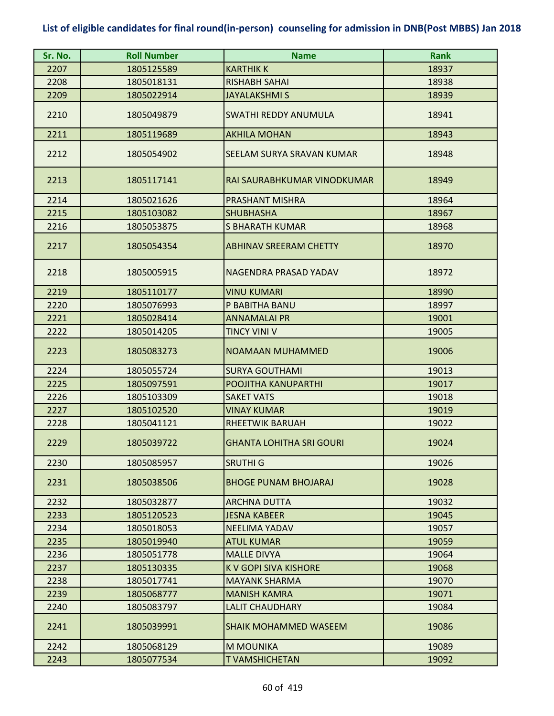| Sr. No. | <b>Roll Number</b> | <b>Name</b>                     | <b>Rank</b> |
|---------|--------------------|---------------------------------|-------------|
| 2207    | 1805125589         | <b>KARTHIK K</b>                | 18937       |
| 2208    | 1805018131         | <b>RISHABH SAHAI</b>            | 18938       |
| 2209    | 1805022914         | JAYALAKSHMI S                   | 18939       |
| 2210    | 1805049879         | <b>SWATHI REDDY ANUMULA</b>     | 18941       |
| 2211    | 1805119689         | <b>AKHILA MOHAN</b>             | 18943       |
| 2212    | 1805054902         | SEELAM SURYA SRAVAN KUMAR       | 18948       |
| 2213    | 1805117141         | RAI SAURABHKUMAR VINODKUMAR     | 18949       |
| 2214    | 1805021626         | PRASHANT MISHRA                 | 18964       |
| 2215    | 1805103082         | <b>SHUBHASHA</b>                | 18967       |
| 2216    | 1805053875         | <b>S BHARATH KUMAR</b>          | 18968       |
| 2217    | 1805054354         | <b>ABHINAV SREERAM CHETTY</b>   | 18970       |
| 2218    | 1805005915         | NAGENDRA PRASAD YADAV           | 18972       |
| 2219    | 1805110177         | <b>VINU KUMARI</b>              | 18990       |
| 2220    | 1805076993         | P BABITHA BANU                  | 18997       |
| 2221    | 1805028414         | <b>ANNAMALAI PR</b>             | 19001       |
| 2222    | 1805014205         | <b>TINCY VINI V</b>             | 19005       |
| 2223    | 1805083273         | <b>NOAMAAN MUHAMMED</b>         | 19006       |
| 2224    | 1805055724         | <b>SURYA GOUTHAMI</b>           | 19013       |
| 2225    | 1805097591         | POOJITHA KANUPARTHI             | 19017       |
| 2226    | 1805103309         | <b>SAKET VATS</b>               | 19018       |
| 2227    | 1805102520         | <b>VINAY KUMAR</b>              | 19019       |
| 2228    | 1805041121         | <b>RHEETWIK BARUAH</b>          | 19022       |
| 2229    | 1805039722         | <b>GHANTA LOHITHA SRI GOURI</b> | 19024       |
| 2230    | 1805085957         | <b>SRUTHI G</b>                 | 19026       |
| 2231    | 1805038506         | <b>BHOGE PUNAM BHOJARAJ</b>     | 19028       |
| 2232    | 1805032877         | <b>ARCHNA DUTTA</b>             | 19032       |
| 2233    | 1805120523         | <b>JESNA KABEER</b>             | 19045       |
| 2234    | 1805018053         | <b>NEELIMA YADAV</b>            | 19057       |
| 2235    | 1805019940         | <b>ATUL KUMAR</b>               | 19059       |
| 2236    | 1805051778         | <b>MALLE DIVYA</b>              | 19064       |
| 2237    | 1805130335         | <b>K V GOPI SIVA KISHORE</b>    | 19068       |
| 2238    | 1805017741         | <b>MAYANK SHARMA</b>            | 19070       |
| 2239    | 1805068777         | <b>MANISH KAMRA</b>             | 19071       |
| 2240    | 1805083797         | LALIT CHAUDHARY                 | 19084       |
| 2241    | 1805039991         | <b>SHAIK MOHAMMED WASEEM</b>    | 19086       |
| 2242    | 1805068129         | <b>M MOUNIKA</b>                | 19089       |
| 2243    | 1805077534         | <b>TVAMSHICHETAN</b>            | 19092       |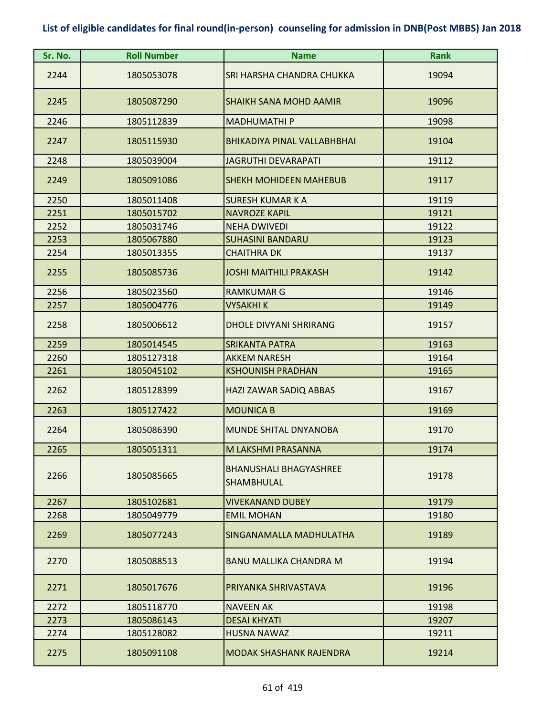| Sr. No. | <b>Roll Number</b> | <b>Name</b>                                 | <b>Rank</b> |
|---------|--------------------|---------------------------------------------|-------------|
| 2244    | 1805053078         | SRI HARSHA CHANDRA CHUKKA                   | 19094       |
| 2245    | 1805087290         | <b>SHAIKH SANA MOHD AAMIR</b>               | 19096       |
| 2246    | 1805112839         | <b>MADHUMATHIP</b>                          | 19098       |
| 2247    | 1805115930         | <b>BHIKADIYA PINAL VALLABHBHAI</b>          | 19104       |
| 2248    | 1805039004         | <b>JAGRUTHI DEVARAPATI</b>                  | 19112       |
| 2249    | 1805091086         | <b>SHEKH MOHIDEEN MAHEBUB</b>               | 19117       |
| 2250    | 1805011408         | <b>SURESH KUMAR K A</b>                     | 19119       |
| 2251    | 1805015702         | <b>NAVROZE KAPIL</b>                        | 19121       |
| 2252    | 1805031746         | <b>NEHA DWIVEDI</b>                         | 19122       |
| 2253    | 1805067880         | <b>SUHASINI BANDARU</b>                     | 19123       |
| 2254    | 1805013355         | <b>CHAITHRA DK</b>                          | 19137       |
| 2255    | 1805085736         | <b>JOSHI MAITHILI PRAKASH</b>               | 19142       |
| 2256    | 1805023560         | <b>RAMKUMAR G</b>                           | 19146       |
| 2257    | 1805004776         | VYSAKHI K                                   | 19149       |
| 2258    | 1805006612         | <b>DHOLE DIVYANI SHRIRANG</b>               | 19157       |
| 2259    | 1805014545         | <b>SRIKANTA PATRA</b>                       | 19163       |
| 2260    | 1805127318         | <b>AKKEM NARESH</b>                         | 19164       |
| 2261    | 1805045102         | <b>KSHOUNISH PRADHAN</b>                    | 19165       |
| 2262    | 1805128399         | HAZI ZAWAR SADIQ ABBAS                      | 19167       |
| 2263    | 1805127422         | <b>MOUNICA B</b>                            | 19169       |
| 2264    | 1805086390         | MUNDE SHITAL DNYANOBA                       | 19170       |
| 2265    | 1805051311         | M LAKSHMI PRASANNA                          | 19174       |
| 2266    | 1805085665         | <b>BHANUSHALI BHAGYASHREE</b><br>SHAMBHULAL | 19178       |
| 2267    | 1805102681         | <b>VIVEKANAND DUBEY</b>                     | 19179       |
| 2268    | 1805049779         | <b>EMIL MOHAN</b>                           | 19180       |
| 2269    | 1805077243         | SINGANAMALLA MADHULATHA                     | 19189       |
| 2270    | 1805088513         | <b>BANU MALLIKA CHANDRA M</b>               | 19194       |
| 2271    | 1805017676         | PRIYANKA SHRIVASTAVA                        | 19196       |
| 2272    | 1805118770         | <b>NAVEEN AK</b>                            | 19198       |
| 2273    | 1805086143         | <b>DESAI KHYATI</b>                         | 19207       |
| 2274    | 1805128082         | <b>HUSNA NAWAZ</b>                          | 19211       |
| 2275    | 1805091108         | <b>MODAK SHASHANK RAJENDRA</b>              | 19214       |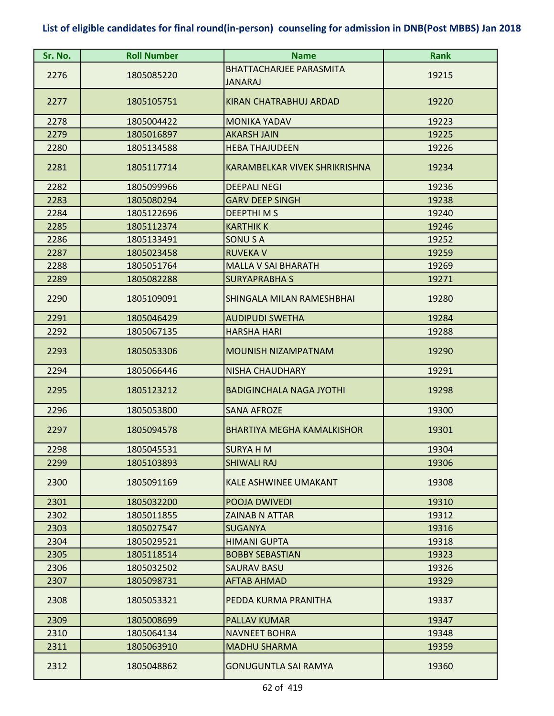| Sr. No. | <b>Roll Number</b> | <b>Name</b>                          | <b>Rank</b> |
|---------|--------------------|--------------------------------------|-------------|
|         |                    | <b>BHATTACHARJEE PARASMITA</b>       |             |
| 2276    | 1805085220         | <b>JANARAJ</b>                       | 19215       |
| 2277    | 1805105751         | KIRAN CHATRABHUJ ARDAD               | 19220       |
| 2278    | 1805004422         | <b>MONIKA YADAV</b>                  | 19223       |
| 2279    | 1805016897         | <b>AKARSH JAIN</b>                   | 19225       |
| 2280    | 1805134588         | <b>HEBA THAJUDEEN</b>                | 19226       |
| 2281    | 1805117714         | <b>KARAMBELKAR VIVEK SHRIKRISHNA</b> | 19234       |
| 2282    | 1805099966         | <b>DEEPALI NEGI</b>                  | 19236       |
| 2283    | 1805080294         | <b>GARV DEEP SINGH</b>               | 19238       |
| 2284    | 1805122696         | <b>DEEPTHIMS</b>                     | 19240       |
| 2285    | 1805112374         | <b>KARTHIK K</b>                     | 19246       |
| 2286    | 1805133491         | <b>SONUSA</b>                        | 19252       |
| 2287    | 1805023458         | <b>RUVEKA V</b>                      | 19259       |
| 2288    | 1805051764         | <b>MALLA V SAI BHARATH</b>           | 19269       |
| 2289    | 1805082288         | <b>SURYAPRABHAS</b>                  | 19271       |
| 2290    | 1805109091         | SHINGALA MILAN RAMESHBHAI            | 19280       |
| 2291    | 1805046429         | <b>AUDIPUDI SWETHA</b>               | 19284       |
| 2292    | 1805067135         | <b>HARSHA HARI</b>                   | 19288       |
| 2293    | 1805053306         | <b>MOUNISH NIZAMPATNAM</b>           | 19290       |
| 2294    | 1805066446         | <b>NISHA CHAUDHARY</b>               | 19291       |
| 2295    | 1805123212         | <b>BADIGINCHALA NAGA JYOTHI</b>      | 19298       |
| 2296    | 1805053800         | <b>SANA AFROZE</b>                   | 19300       |
| 2297    | 1805094578         | <b>BHARTIYA MEGHA KAMALKISHOR</b>    | 19301       |
| 2298    | 1805045531         | <b>SURYA H M</b>                     | 19304       |
| 2299    | 1805103893         | <b>SHIWALI RAJ</b>                   | 19306       |
| 2300    | 1805091169         | <b>KALE ASHWINEE UMAKANT</b>         | 19308       |
| 2301    | 1805032200         | <b>POOJA DWIVEDI</b>                 | 19310       |
| 2302    | 1805011855         | <b>ZAINAB N ATTAR</b>                | 19312       |
| 2303    | 1805027547         | <b>SUGANYA</b>                       | 19316       |
| 2304    | 1805029521         | <b>HIMANI GUPTA</b>                  | 19318       |
| 2305    | 1805118514         | <b>BOBBY SEBASTIAN</b>               | 19323       |
| 2306    | 1805032502         | <b>SAURAV BASU</b>                   | 19326       |
| 2307    | 1805098731         | <b>AFTAB AHMAD</b>                   | 19329       |
| 2308    | 1805053321         | PEDDA KURMA PRANITHA                 | 19337       |
| 2309    | 1805008699         | <b>PALLAV KUMAR</b>                  | 19347       |
| 2310    | 1805064134         | <b>NAVNEET BOHRA</b>                 | 19348       |
| 2311    | 1805063910         | <b>MADHU SHARMA</b>                  | 19359       |
| 2312    | 1805048862         | <b>GONUGUNTLA SAI RAMYA</b>          | 19360       |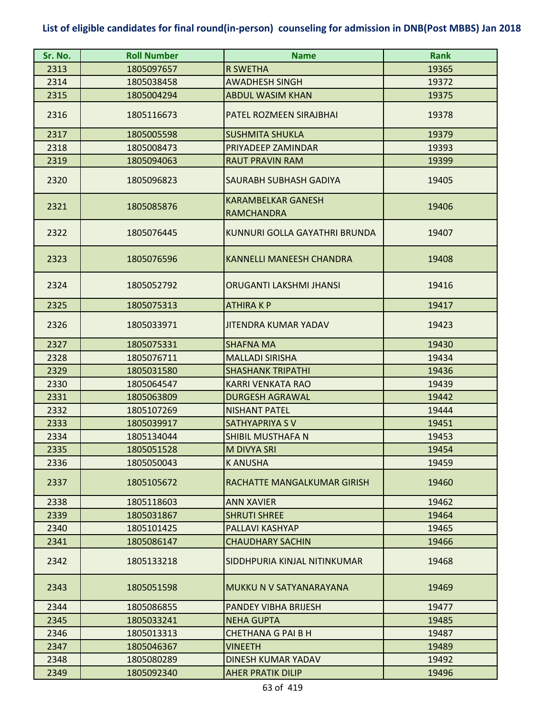| Sr. No. | <b>Roll Number</b> | <b>Name</b>                                    | <b>Rank</b> |
|---------|--------------------|------------------------------------------------|-------------|
| 2313    | 1805097657         | <b>R SWETHA</b>                                | 19365       |
| 2314    | 1805038458         | <b>AWADHESH SINGH</b>                          | 19372       |
| 2315    | 1805004294         | <b>ABDUL WASIM KHAN</b>                        | 19375       |
| 2316    | 1805116673         | PATEL ROZMEEN SIRAJBHAI                        | 19378       |
| 2317    | 1805005598         | <b>SUSHMITA SHUKLA</b>                         | 19379       |
| 2318    | 1805008473         | PRIYADEEP ZAMINDAR                             | 19393       |
| 2319    | 1805094063         | <b>RAUT PRAVIN RAM</b>                         | 19399       |
| 2320    | 1805096823         | SAURABH SUBHASH GADIYA                         | 19405       |
| 2321    | 1805085876         | <b>KARAMBELKAR GANESH</b><br><b>RAMCHANDRA</b> | 19406       |
| 2322    | 1805076445         | KUNNURI GOLLA GAYATHRI BRUNDA                  | 19407       |
| 2323    | 1805076596         | KANNELLI MANEESH CHANDRA                       | 19408       |
| 2324    | 1805052792         | ORUGANTI LAKSHMI JHANSI                        | 19416       |
| 2325    | 1805075313         | <b>ATHIRAKP</b>                                | 19417       |
| 2326    | 1805033971         | <b>JITENDRA KUMAR YADAV</b>                    | 19423       |
| 2327    | 1805075331         | <b>SHAFNA MA</b>                               | 19430       |
| 2328    | 1805076711         | <b>MALLADI SIRISHA</b>                         | 19434       |
| 2329    | 1805031580         | <b>SHASHANK TRIPATHI</b>                       | 19436       |
| 2330    | 1805064547         | <b>KARRI VENKATA RAO</b>                       | 19439       |
| 2331    | 1805063809         | <b>DURGESH AGRAWAL</b>                         | 19442       |
| 2332    | 1805107269         | <b>NISHANT PATEL</b>                           | 19444       |
| 2333    | 1805039917         | SATHYAPRIYA SV                                 | 19451       |
| 2334    | 1805134044         | SHIBIL MUSTHAFA N                              | 19453       |
| 2335    | 1805051528         | M DIVYA SRI                                    | 19454       |
| 2336    | 1805050043         | <b>KANUSHA</b>                                 | 19459       |
| 2337    | 1805105672         | RACHATTE MANGALKUMAR GIRISH                    | 19460       |
| 2338    | 1805118603         | <b>ANN XAVIER</b>                              | 19462       |
| 2339    | 1805031867         | <b>SHRUTI SHREE</b>                            | 19464       |
| 2340    | 1805101425         | PALLAVI KASHYAP                                | 19465       |
| 2341    | 1805086147         | <b>CHAUDHARY SACHIN</b>                        | 19466       |
| 2342    | 1805133218         | SIDDHPURIA KINJAL NITINKUMAR                   | 19468       |
| 2343    | 1805051598         | MUKKU N V SATYANARAYANA                        | 19469       |
| 2344    | 1805086855         | PANDEY VIBHA BRIJESH                           | 19477       |
| 2345    | 1805033241         | <b>NEHA GUPTA</b>                              | 19485       |
| 2346    | 1805013313         | <b>CHETHANA G PAI B H</b>                      | 19487       |
| 2347    | 1805046367         | <b>VINEETH</b>                                 | 19489       |
| 2348    | 1805080289         | DINESH KUMAR YADAV                             | 19492       |
| 2349    | 1805092340         | <b>AHER PRATIK DILIP</b>                       | 19496       |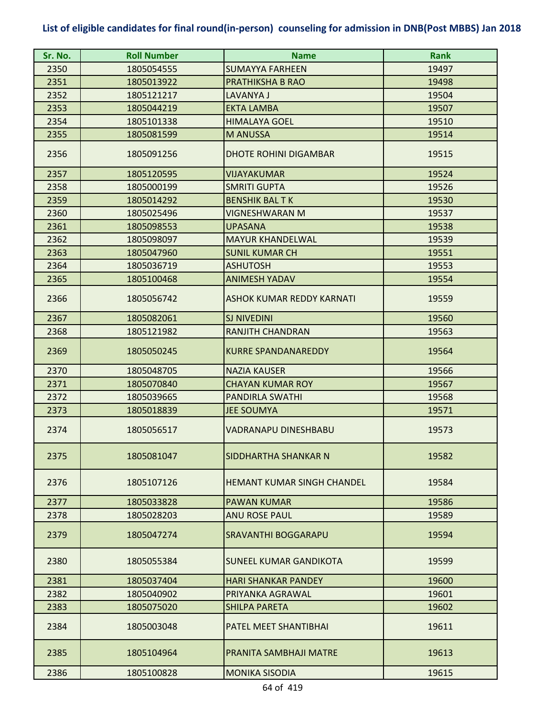| Sr. No. | <b>Roll Number</b> | <b>Name</b>                       | <b>Rank</b> |
|---------|--------------------|-----------------------------------|-------------|
| 2350    | 1805054555         | <b>SUMAYYA FARHEEN</b>            | 19497       |
| 2351    | 1805013922         | <b>PRATHIKSHA B RAO</b>           | 19498       |
| 2352    | 1805121217         | LAVANYA J                         | 19504       |
| 2353    | 1805044219         | <b>EKTA LAMBA</b>                 | 19507       |
| 2354    | 1805101338         | <b>HIMALAYA GOEL</b>              | 19510       |
| 2355    | 1805081599         | <b>M ANUSSA</b>                   | 19514       |
| 2356    | 1805091256         | <b>DHOTE ROHINI DIGAMBAR</b>      | 19515       |
| 2357    | 1805120595         | VIJAYAKUMAR                       | 19524       |
| 2358    | 1805000199         | <b>SMRITI GUPTA</b>               | 19526       |
| 2359    | 1805014292         | <b>BENSHIK BALTK</b>              | 19530       |
| 2360    | 1805025496         | VIGNESHWARAN M                    | 19537       |
| 2361    | 1805098553         | <b>UPASANA</b>                    | 19538       |
| 2362    | 1805098097         | <b>MAYUR KHANDELWAL</b>           | 19539       |
| 2363    | 1805047960         | <b>SUNIL KUMAR CH</b>             | 19551       |
| 2364    | 1805036719         | <b>ASHUTOSH</b>                   | 19553       |
| 2365    | 1805100468         | <b>ANIMESH YADAV</b>              | 19554       |
| 2366    | 1805056742         | <b>ASHOK KUMAR REDDY KARNATI</b>  | 19559       |
| 2367    | 1805082061         | <b>SJ NIVEDINI</b>                | 19560       |
| 2368    | 1805121982         | <b>RANJITH CHANDRAN</b>           | 19563       |
| 2369    | 1805050245         | <b>KURRE SPANDANAREDDY</b>        | 19564       |
| 2370    | 1805048705         | <b>NAZIA KAUSER</b>               | 19566       |
| 2371    | 1805070840         | <b>CHAYAN KUMAR ROY</b>           | 19567       |
| 2372    | 1805039665         | <b>PANDIRLA SWATHI</b>            | 19568       |
| 2373    | 1805018839         | <b>JEE SOUMYA</b>                 | 19571       |
| 2374    | 1805056517         | VADRANAPU DINESHBABU              | 19573       |
| 2375    | 1805081047         | SIDDHARTHA SHANKAR N              | 19582       |
| 2376    | 1805107126         | <b>HEMANT KUMAR SINGH CHANDEL</b> | 19584       |
| 2377    | 1805033828         | <b>PAWAN KUMAR</b>                | 19586       |
| 2378    | 1805028203         | <b>ANU ROSE PAUL</b>              | 19589       |
| 2379    | 1805047274         | <b>SRAVANTHI BOGGARAPU</b>        | 19594       |
| 2380    | 1805055384         | SUNEEL KUMAR GANDIKOTA            | 19599       |
| 2381    | 1805037404         | <b>HARI SHANKAR PANDEY</b>        | 19600       |
| 2382    | 1805040902         | PRIYANKA AGRAWAL                  | 19601       |
| 2383    | 1805075020         | <b>SHILPA PARETA</b>              | 19602       |
| 2384    | 1805003048         | <b>PATEL MEET SHANTIBHAI</b>      | 19611       |
| 2385    | 1805104964         | PRANITA SAMBHAJI MATRE            | 19613       |
| 2386    | 1805100828         | <b>MONIKA SISODIA</b>             | 19615       |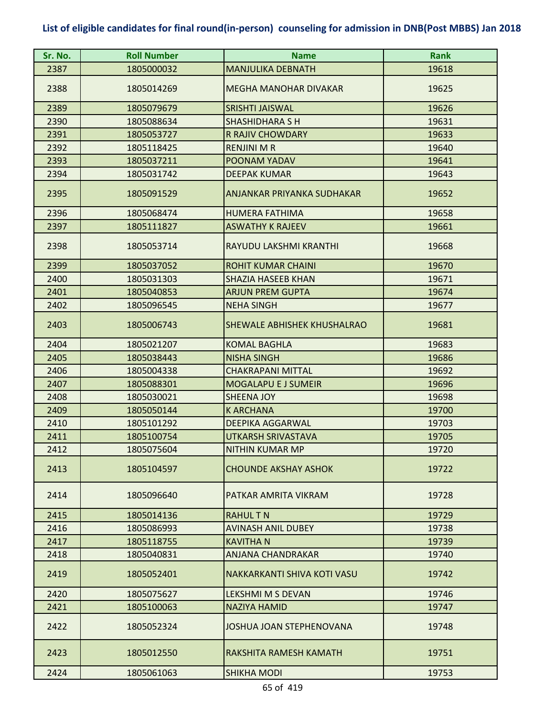| Sr. No. | <b>Roll Number</b> | <b>Name</b>                  | <b>Rank</b> |
|---------|--------------------|------------------------------|-------------|
| 2387    | 1805000032         | <b>MANJULIKA DEBNATH</b>     | 19618       |
| 2388    | 1805014269         | <b>MEGHA MANOHAR DIVAKAR</b> | 19625       |
| 2389    | 1805079679         | <b>SRISHTI JAISWAL</b>       | 19626       |
| 2390    | 1805088634         | <b>SHASHIDHARA S H</b>       | 19631       |
| 2391    | 1805053727         | <b>R RAJIV CHOWDARY</b>      | 19633       |
| 2392    | 1805118425         | <b>RENJINI M R</b>           | 19640       |
| 2393    | 1805037211         | POONAM YADAV                 | 19641       |
| 2394    | 1805031742         | <b>DEEPAK KUMAR</b>          | 19643       |
| 2395    | 1805091529         | ANJANKAR PRIYANKA SUDHAKAR   | 19652       |
| 2396    | 1805068474         | <b>HUMERA FATHIMA</b>        | 19658       |
| 2397    | 1805111827         | <b>ASWATHY K RAJEEV</b>      | 19661       |
| 2398    | 1805053714         | RAYUDU LAKSHMI KRANTHI       | 19668       |
| 2399    | 1805037052         | <b>ROHIT KUMAR CHAINI</b>    | 19670       |
| 2400    | 1805031303         | SHAZIA HASEEB KHAN           | 19671       |
| 2401    | 1805040853         | <b>ARJUN PREM GUPTA</b>      | 19674       |
| 2402    | 1805096545         | <b>NEHA SINGH</b>            | 19677       |
| 2403    | 1805006743         | SHEWALE ABHISHEK KHUSHALRAO  | 19681       |
| 2404    | 1805021207         | <b>KOMAL BAGHLA</b>          | 19683       |
| 2405    | 1805038443         | <b>NISHA SINGH</b>           | 19686       |
| 2406    | 1805004338         | <b>CHAKRAPANI MITTAL</b>     | 19692       |
| 2407    | 1805088301         | <b>MOGALAPU E J SUMEIR</b>   | 19696       |
| 2408    | 1805030021         | <b>SHEENA JOY</b>            | 19698       |
| 2409    | 1805050144         | K ARCHANA                    | 19700       |
| 2410    | 1805101292         | <b>DEEPIKA AGGARWAL</b>      | 19703       |
| 2411    | 1805100754         | UTKARSH SRIVASTAVA           | 19705       |
| 2412    | 1805075604         | <b>NITHIN KUMAR MP</b>       | 19720       |
| 2413    | 1805104597         | <b>CHOUNDE AKSHAY ASHOK</b>  | 19722       |
| 2414    | 1805096640         | PATKAR AMRITA VIKRAM         | 19728       |
| 2415    | 1805014136         | <b>RAHULTN</b>               | 19729       |
| 2416    | 1805086993         | <b>AVINASH ANIL DUBEY</b>    | 19738       |
| 2417    | 1805118755         | <b>KAVITHA N</b>             | 19739       |
| 2418    | 1805040831         | ANJANA CHANDRAKAR            | 19740       |
| 2419    | 1805052401         | NAKKARKANTI SHIVA KOTI VASU  | 19742       |
| 2420    | 1805075627         | LEKSHMI M S DEVAN            | 19746       |
| 2421    | 1805100063         | NAZIYA HAMID                 | 19747       |
| 2422    | 1805052324         | JOSHUA JOAN STEPHENOVANA     | 19748       |
| 2423    | 1805012550         | RAKSHITA RAMESH KAMATH       | 19751       |
| 2424    | 1805061063         | <b>SHIKHA MODI</b>           | 19753       |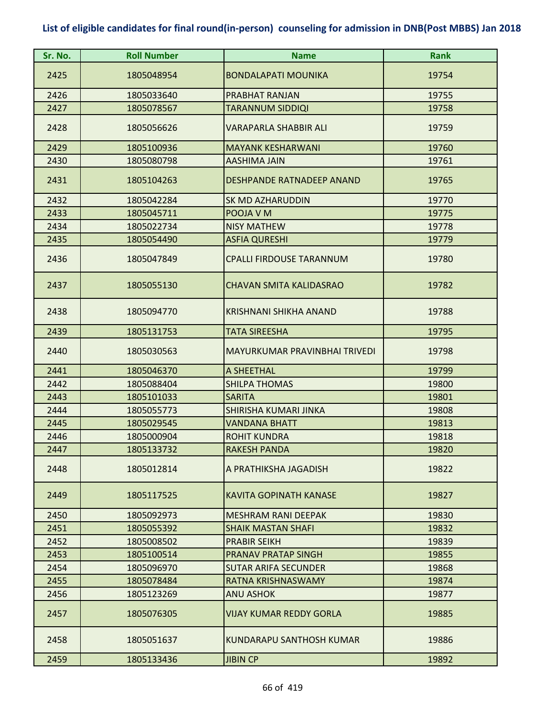| Sr. No. | <b>Roll Number</b> | <b>Name</b>                     | <b>Rank</b> |
|---------|--------------------|---------------------------------|-------------|
| 2425    | 1805048954         | <b>BONDALAPATI MOUNIKA</b>      | 19754       |
| 2426    | 1805033640         | PRABHAT RANJAN                  | 19755       |
| 2427    | 1805078567         | <b>TARANNUM SIDDIQI</b>         | 19758       |
| 2428    | 1805056626         | VARAPARLA SHABBIR ALI           | 19759       |
| 2429    | 1805100936         | <b>MAYANK KESHARWANI</b>        | 19760       |
| 2430    | 1805080798         | <b>AASHIMA JAIN</b>             | 19761       |
| 2431    | 1805104263         | DESHPANDE RATNADEEP ANAND       | 19765       |
| 2432    | 1805042284         | SK MD AZHARUDDIN                | 19770       |
| 2433    | 1805045711         | POOJA V M                       | 19775       |
| 2434    | 1805022734         | <b>NISY MATHEW</b>              | 19778       |
| 2435    | 1805054490         | <b>ASFIA QURESHI</b>            | 19779       |
| 2436    | 1805047849         | <b>CPALLI FIRDOUSE TARANNUM</b> | 19780       |
| 2437    | 1805055130         | <b>CHAVAN SMITA KALIDASRAO</b>  | 19782       |
| 2438    | 1805094770         | <b>KRISHNANI SHIKHA ANAND</b>   | 19788       |
| 2439    | 1805131753         | <b>TATA SIREESHA</b>            | 19795       |
| 2440    | 1805030563         | MAYURKUMAR PRAVINBHAI TRIVEDI   | 19798       |
| 2441    | 1805046370         | A SHEETHAL                      | 19799       |
| 2442    | 1805088404         | <b>SHILPA THOMAS</b>            | 19800       |
| 2443    | 1805101033         | <b>SARITA</b>                   | 19801       |
| 2444    | 1805055773         | SHIRISHA KUMARI JINKA           | 19808       |
| 2445    | 1805029545         | <b>VANDANA BHATT</b>            | 19813       |
| 2446    | 1805000904         | <b>ROHIT KUNDRA</b>             | 19818       |
| 2447    | 1805133732         | <b>RAKESH PANDA</b>             | 19820       |
| 2448    | 1805012814         | A PRATHIKSHA JAGADISH           | 19822       |
| 2449    | 1805117525         | KAVITA GOPINATH KANASE          | 19827       |
| 2450    | 1805092973         | <b>MESHRAM RANI DEEPAK</b>      | 19830       |
| 2451    | 1805055392         | <b>SHAIK MASTAN SHAFI</b>       | 19832       |
| 2452    | 1805008502         | <b>PRABIR SEIKH</b>             | 19839       |
| 2453    | 1805100514         | PRANAV PRATAP SINGH             | 19855       |
| 2454    | 1805096970         | <b>SUTAR ARIFA SECUNDER</b>     | 19868       |
| 2455    | 1805078484         | RATNA KRISHNASWAMY              | 19874       |
| 2456    | 1805123269         | <b>ANU ASHOK</b>                | 19877       |
| 2457    | 1805076305         | VIJAY KUMAR REDDY GORLA         | 19885       |
| 2458    | 1805051637         | KUNDARAPU SANTHOSH KUMAR        | 19886       |
| 2459    | 1805133436         | <b>JIBIN CP</b>                 | 19892       |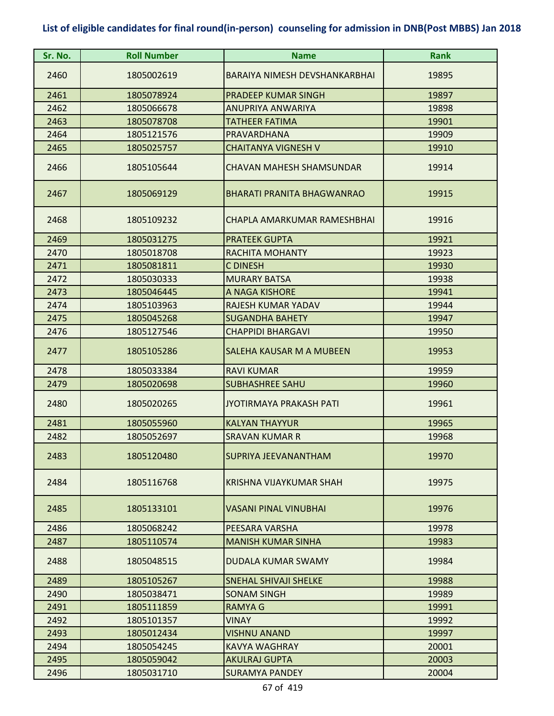| Sr. No. | <b>Roll Number</b> | <b>Name</b>                     | <b>Rank</b> |
|---------|--------------------|---------------------------------|-------------|
| 2460    | 1805002619         | BARAIYA NIMESH DEVSHANKARBHAI   | 19895       |
| 2461    | 1805078924         | <b>PRADEEP KUMAR SINGH</b>      | 19897       |
| 2462    | 1805066678         | ANUPRIYA ANWARIYA               | 19898       |
| 2463    | 1805078708         | <b>TATHEER FATIMA</b>           | 19901       |
| 2464    | 1805121576         | PRAVARDHANA                     | 19909       |
| 2465    | 1805025757         | <b>CHAITANYA VIGNESH V</b>      | 19910       |
| 2466    | 1805105644         | <b>CHAVAN MAHESH SHAMSUNDAR</b> | 19914       |
| 2467    | 1805069129         | BHARATI PRANITA BHAGWANRAO      | 19915       |
| 2468    | 1805109232         | CHAPLA AMARKUMAR RAMESHBHAI     | 19916       |
| 2469    | 1805031275         | <b>PRATEEK GUPTA</b>            | 19921       |
| 2470    | 1805018708         | <b>RACHITA MOHANTY</b>          | 19923       |
| 2471    | 1805081811         | C DINESH                        | 19930       |
| 2472    | 1805030333         | <b>MURARY BATSA</b>             | 19938       |
| 2473    | 1805046445         | A NAGA KISHORE                  | 19941       |
| 2474    | 1805103963         | RAJESH KUMAR YADAV              | 19944       |
| 2475    | 1805045268         | <b>SUGANDHA BAHETY</b>          | 19947       |
| 2476    | 1805127546         | <b>CHAPPIDI BHARGAVI</b>        | 19950       |
| 2477    | 1805105286         | SALEHA KAUSAR M A MUBEEN        | 19953       |
| 2478    | 1805033384         | <b>RAVI KUMAR</b>               | 19959       |
| 2479    | 1805020698         | <b>SUBHASHREE SAHU</b>          | 19960       |
| 2480    | 1805020265         | <b>JYOTIRMAYA PRAKASH PATI</b>  | 19961       |
| 2481    | 1805055960         | <b>KALYAN THAYYUR</b>           | 19965       |
| 2482    | 1805052697         | SRAVAN KUMAR R                  | 19968       |
| 2483    | 1805120480         | <b>SUPRIYA JEEVANANTHAM</b>     | 19970       |
| 2484    | 1805116768         | KRISHNA VIJAYKUMAR SHAH         | 19975       |
| 2485    | 1805133101         | <b>VASANI PINAL VINUBHAI</b>    | 19976       |
| 2486    | 1805068242         | PFFSARA VARSHA                  | 19978       |
| 2487    | 1805110574         | <b>MANISH KUMAR SINHA</b>       | 19983       |
| 2488    | 1805048515         | <b>DUDALA KUMAR SWAMY</b>       | 19984       |
| 2489    | 1805105267         | <b>SNEHAL SHIVAJI SHELKE</b>    | 19988       |
| 2490    | 1805038471         | <b>SONAM SINGH</b>              | 19989       |
| 2491    | 1805111859         | <b>RAMYA G</b>                  | 19991       |
| 2492    | 1805101357         | VINAY                           | 19992       |
| 2493    | 1805012434         | <b>VISHNU ANAND</b>             | 19997       |
| 2494    | 1805054245         | KAVYA WAGHRAY                   | 20001       |
| 2495    | 1805059042         | <b>AKULRAJ GUPTA</b>            | 20003       |
| 2496    | 1805031710         | <b>SURAMYA PANDEY</b>           | 20004       |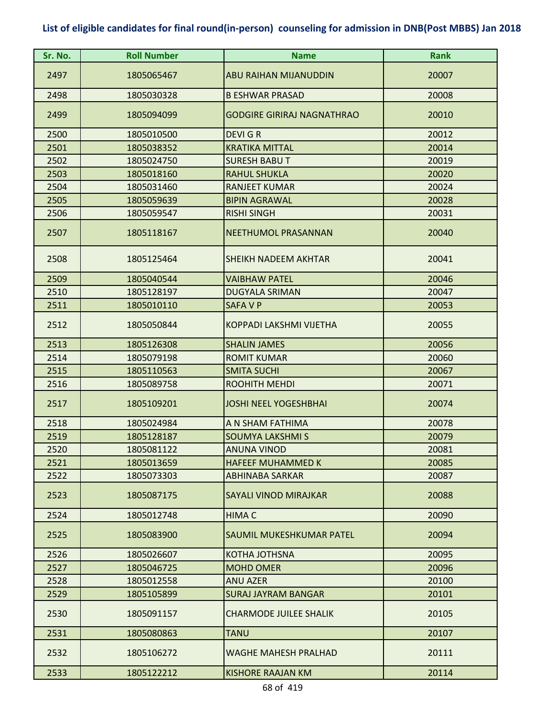| Sr. No. | <b>Roll Number</b> | <b>Name</b>                       | <b>Rank</b> |
|---------|--------------------|-----------------------------------|-------------|
| 2497    | 1805065467         | <b>ABU RAIHAN MIJANUDDIN</b>      | 20007       |
| 2498    | 1805030328         | <b>B ESHWAR PRASAD</b>            | 20008       |
| 2499    | 1805094099         | <b>GODGIRE GIRIRAJ NAGNATHRAO</b> | 20010       |
| 2500    | 1805010500         | <b>DEVIGR</b>                     | 20012       |
| 2501    | 1805038352         | <b>KRATIKA MITTAL</b>             | 20014       |
| 2502    | 1805024750         | <b>SURESH BABUT</b>               | 20019       |
| 2503    | 1805018160         | <b>RAHUL SHUKLA</b>               | 20020       |
| 2504    | 1805031460         | <b>RANJEET KUMAR</b>              | 20024       |
| 2505    | 1805059639         | <b>BIPIN AGRAWAL</b>              | 20028       |
| 2506    | 1805059547         | <b>RISHI SINGH</b>                | 20031       |
| 2507    | 1805118167         | NEETHUMOL PRASANNAN               | 20040       |
| 2508    | 1805125464         | SHEIKH NADEEM AKHTAR              | 20041       |
| 2509    | 1805040544         | <b>VAIBHAW PATEL</b>              | 20046       |
| 2510    | 1805128197         | <b>DUGYALA SRIMAN</b>             | 20047       |
| 2511    | 1805010110         | <b>SAFAVP</b>                     | 20053       |
| 2512    | 1805050844         | <b>KOPPADI LAKSHMI VIJETHA</b>    | 20055       |
| 2513    | 1805126308         | <b>SHALIN JAMES</b>               | 20056       |
| 2514    | 1805079198         | <b>ROMIT KUMAR</b>                | 20060       |
| 2515    | 1805110563         | <b>SMITA SUCHI</b>                | 20067       |
| 2516    | 1805089758         | ROOHITH MEHDI                     | 20071       |
| 2517    | 1805109201         | <b>JOSHI NEEL YOGESHBHAI</b>      | 20074       |
| 2518    | 1805024984         | A N SHAM FATHIMA                  | 20078       |
| 2519    | 1805128187         | <b>SOUMYA LAKSHMI S</b>           | 20079       |
| 2520    | 1805081122         | <b>ANUNA VINOD</b>                | 20081       |
| 2521    | 1805013659         | <b>HAFEEF MUHAMMED K</b>          | 20085       |
| 2522    | 1805073303         | <b>ABHINABA SARKAR</b>            | 20087       |
| 2523    | 1805087175         | SAYALI VINOD MIRAJKAR             | 20088       |
| 2524    | 1805012748         | <b>HIMA C</b>                     | 20090       |
| 2525    | 1805083900         | SAUMIL MUKESHKUMAR PATEL          | 20094       |
| 2526    | 1805026607         | <b>KOTHA JOTHSNA</b>              | 20095       |
| 2527    | 1805046725         | <b>MOHD OMER</b>                  | 20096       |
| 2528    | 1805012558         | <b>ANU AZER</b>                   | 20100       |
| 2529    | 1805105899         | <b>SURAJ JAYRAM BANGAR</b>        | 20101       |
| 2530    | 1805091157         | <b>CHARMODE JUILEE SHALIK</b>     | 20105       |
| 2531    | 1805080863         | <b>TANU</b>                       | 20107       |
| 2532    | 1805106272         | <b>WAGHE MAHESH PRALHAD</b>       | 20111       |
| 2533    | 1805122212         | <b>KISHORE RAAJAN KM</b>          | 20114       |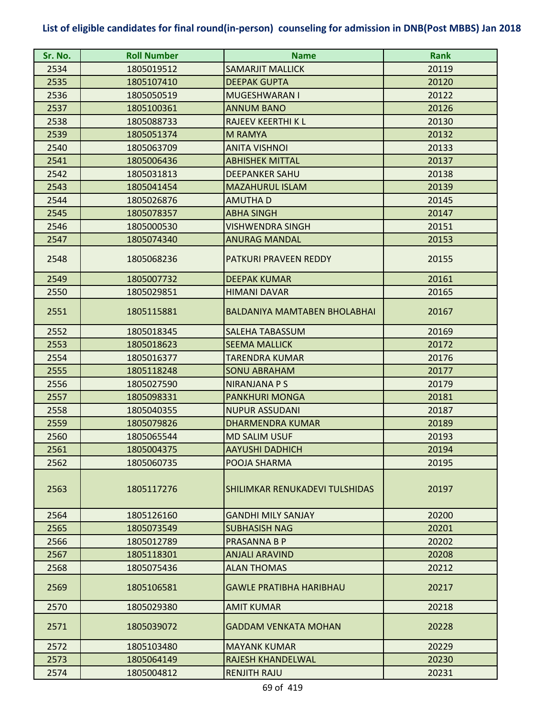| Sr. No. | <b>Roll Number</b> | <b>Name</b>                    | <b>Rank</b> |
|---------|--------------------|--------------------------------|-------------|
| 2534    | 1805019512         | <b>SAMARJIT MALLICK</b>        | 20119       |
| 2535    | 1805107410         | <b>DEEPAK GUPTA</b>            | 20120       |
| 2536    | 1805050519         | <b>MUGESHWARAN I</b>           | 20122       |
| 2537    | 1805100361         | <b>ANNUM BANO</b>              | 20126       |
| 2538    | 1805088733         | <b>RAJEEV KEERTHI K L</b>      | 20130       |
| 2539    | 1805051374         | <b>M RAMYA</b>                 | 20132       |
| 2540    | 1805063709         | <b>ANITA VISHNOI</b>           | 20133       |
| 2541    | 1805006436         | <b>ABHISHEK MITTAL</b>         | 20137       |
| 2542    | 1805031813         | <b>DEEPANKER SAHU</b>          | 20138       |
| 2543    | 1805041454         | <b>MAZAHURUL ISLAM</b>         | 20139       |
| 2544    | 1805026876         | <b>AMUTHAD</b>                 | 20145       |
| 2545    | 1805078357         | <b>ABHA SINGH</b>              | 20147       |
| 2546    | 1805000530         | <b>VISHWENDRA SINGH</b>        | 20151       |
| 2547    | 1805074340         | <b>ANURAG MANDAL</b>           | 20153       |
| 2548    | 1805068236         | PATKURI PRAVEEN REDDY          | 20155       |
| 2549    | 1805007732         | <b>DEEPAK KUMAR</b>            | 20161       |
| 2550    | 1805029851         | <b>HIMANI DAVAR</b>            | 20165       |
| 2551    | 1805115881         | BALDANIYA MAMTABEN BHOLABHAI   | 20167       |
| 2552    | 1805018345         | <b>SALEHA TABASSUM</b>         | 20169       |
| 2553    | 1805018623         | <b>SEEMA MALLICK</b>           | 20172       |
| 2554    | 1805016377         | <b>TARENDRA KUMAR</b>          | 20176       |
| 2555    | 1805118248         | <b>SONU ABRAHAM</b>            | 20177       |
| 2556    | 1805027590         | NIRANJANA P S                  | 20179       |
| 2557    | 1805098331         | <b>PANKHURI MONGA</b>          | 20181       |
| 2558    | 1805040355         | <b>NUPUR ASSUDANI</b>          | 20187       |
| 2559    | 1805079826         | <b>DHARMENDRA KUMAR</b>        | 20189       |
| 2560    | 1805065544         | <b>MD SALIM USUF</b>           | 20193       |
| 2561    | 1805004375         | <b>AAYUSHI DADHICH</b>         | 20194       |
| 2562    | 1805060735         | POOJA SHARMA                   | 20195       |
| 2563    | 1805117276         | SHILIMKAR RENUKADEVI TULSHIDAS | 20197       |
| 2564    | 1805126160         | <b>GANDHI MILY SANJAY</b>      | 20200       |
| 2565    | 1805073549         | <b>SUBHASISH NAG</b>           | 20201       |
| 2566    | 1805012789         | PRASANNA B P                   | 20202       |
| 2567    | 1805118301         | <b>ANJALI ARAVIND</b>          | 20208       |
| 2568    | 1805075436         | <b>ALAN THOMAS</b>             | 20212       |
| 2569    | 1805106581         | <b>GAWLE PRATIBHA HARIBHAU</b> | 20217       |
| 2570    | 1805029380         | <b>AMIT KUMAR</b>              | 20218       |
| 2571    | 1805039072         | <b>GADDAM VENKATA MOHAN</b>    | 20228       |
| 2572    | 1805103480         | <b>MAYANK KUMAR</b>            | 20229       |
| 2573    | 1805064149         | RAJESH KHANDELWAL              | 20230       |
| 2574    | 1805004812         | <b>RENJITH RAJU</b>            | 20231       |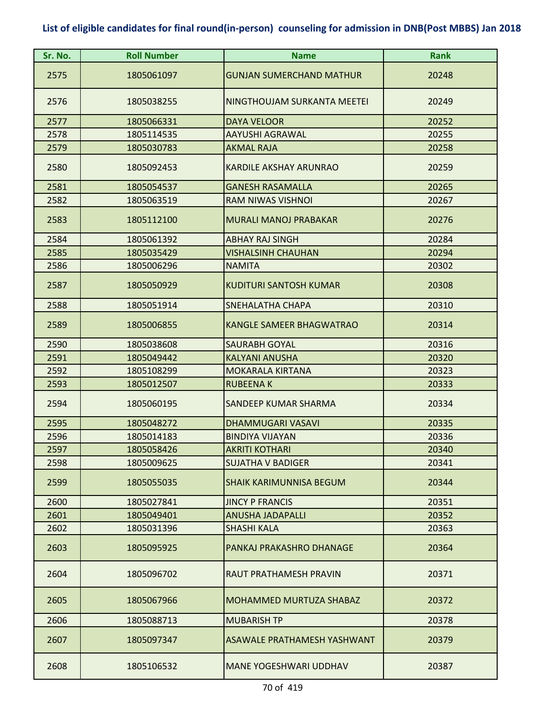| Sr. No. | <b>Roll Number</b> | <b>Name</b>                        | <b>Rank</b> |
|---------|--------------------|------------------------------------|-------------|
| 2575    | 1805061097         | <b>GUNJAN SUMERCHAND MATHUR</b>    | 20248       |
| 2576    | 1805038255         | NINGTHOUJAM SURKANTA MEETEI        | 20249       |
| 2577    | 1805066331         | <b>DAYA VELOOR</b>                 | 20252       |
| 2578    | 1805114535         | <b>AAYUSHI AGRAWAL</b>             | 20255       |
| 2579    | 1805030783         | <b>AKMAL RAJA</b>                  | 20258       |
| 2580    | 1805092453         | KARDILE AKSHAY ARUNRAO             | 20259       |
| 2581    | 1805054537         | <b>GANESH RASAMALLA</b>            | 20265       |
| 2582    | 1805063519         | RAM NIWAS VISHNOI                  | 20267       |
| 2583    | 1805112100         | <b>MURALI MANOJ PRABAKAR</b>       | 20276       |
| 2584    | 1805061392         | <b>ABHAY RAJ SINGH</b>             | 20284       |
| 2585    | 1805035429         | <b>VISHALSINH CHAUHAN</b>          | 20294       |
| 2586    | 1805006296         | <b>NAMITA</b>                      | 20302       |
| 2587    | 1805050929         | <b>KUDITURI SANTOSH KUMAR</b>      | 20308       |
| 2588    | 1805051914         | SNEHALATHA CHAPA                   | 20310       |
| 2589    | 1805006855         | <b>KANGLE SAMEER BHAGWATRAO</b>    | 20314       |
| 2590    | 1805038608         | <b>SAURABH GOYAL</b>               | 20316       |
| 2591    | 1805049442         | <b>KALYANI ANUSHA</b>              | 20320       |
| 2592    | 1805108299         | <b>MOKARALA KIRTANA</b>            | 20323       |
| 2593    | 1805012507         | <b>RUBEENAK</b>                    | 20333       |
| 2594    | 1805060195         | SANDEEP KUMAR SHARMA               | 20334       |
| 2595    | 1805048272         | <b>DHAMMUGARI VASAVI</b>           | 20335       |
| 2596    | 1805014183         | <b>BINDIYA VIJAYAN</b>             | 20336       |
| 2597    | 1805058426         | <b>AKRITI KOTHARI</b>              | 20340       |
| 2598    | 1805009625         | SUJATHA V BADIGER                  | 20341       |
| 2599    | 1805055035         | <b>SHAIK KARIMUNNISA BEGUM</b>     | 20344       |
| 2600    | 1805027841         | <b>JINCY P FRANCIS</b>             | 20351       |
| 2601    | 1805049401         | <b>ANUSHA JADAPALLI</b>            | 20352       |
| 2602    | 1805031396         | <b>SHASHI KALA</b>                 | 20363       |
| 2603    | 1805095925         | PANKAJ PRAKASHRO DHANAGE           | 20364       |
| 2604    | 1805096702         | RAUT PRATHAMESH PRAVIN             | 20371       |
| 2605    | 1805067966         | <b>MOHAMMED MURTUZA SHABAZ</b>     | 20372       |
| 2606    | 1805088713         | <b>MUBARISH TP</b>                 | 20378       |
| 2607    | 1805097347         | <b>ASAWALE PRATHAMESH YASHWANT</b> | 20379       |
| 2608    | 1805106532         | <b>MANE YOGESHWARI UDDHAV</b>      | 20387       |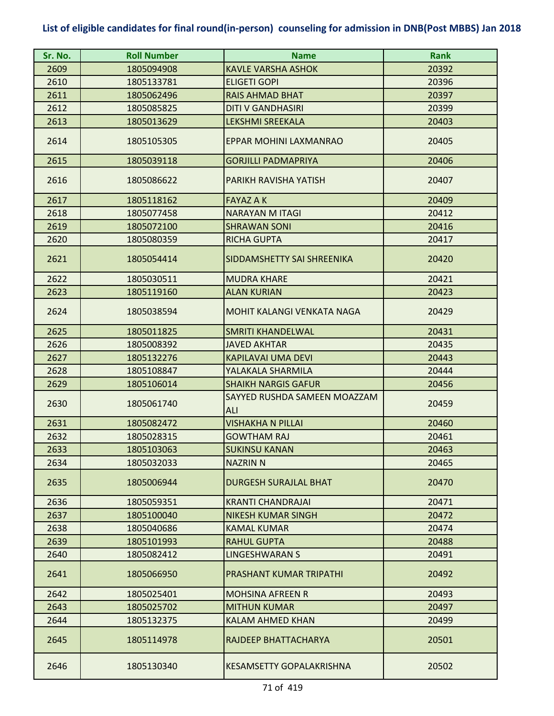| Sr. No. | <b>Roll Number</b> | <b>Name</b>                         | <b>Rank</b> |
|---------|--------------------|-------------------------------------|-------------|
| 2609    | 1805094908         | <b>KAVLE VARSHA ASHOK</b>           | 20392       |
| 2610    | 1805133781         | <b>ELIGETI GOPI</b>                 | 20396       |
| 2611    | 1805062496         | <b>RAIS AHMAD BHAT</b>              | 20397       |
| 2612    | 1805085825         | <b>DITI V GANDHASIRI</b>            | 20399       |
| 2613    | 1805013629         | <b>LEKSHMI SREEKALA</b>             | 20403       |
| 2614    | 1805105305         | EPPAR MOHINI LAXMANRAO              | 20405       |
| 2615    | 1805039118         | <b>GORJILLI PADMAPRIYA</b>          | 20406       |
| 2616    | 1805086622         | PARIKH RAVISHA YATISH               | 20407       |
| 2617    | 1805118162         | <b>FAYAZ A K</b>                    | 20409       |
| 2618    | 1805077458         | <b>NARAYAN M ITAGI</b>              | 20412       |
| 2619    | 1805072100         | <b>SHRAWAN SONI</b>                 | 20416       |
| 2620    | 1805080359         | <b>RICHA GUPTA</b>                  | 20417       |
| 2621    | 1805054414         | SIDDAMSHETTY SAI SHREENIKA          | 20420       |
| 2622    | 1805030511         | <b>MUDRA KHARE</b>                  | 20421       |
| 2623    | 1805119160         | <b>ALAN KURIAN</b>                  | 20423       |
| 2624    | 1805038594         | MOHIT KALANGI VENKATA NAGA          | 20429       |
| 2625    | 1805011825         | <b>SMRITI KHANDELWAL</b>            | 20431       |
| 2626    | 1805008392         | <b>JAVED AKHTAR</b>                 | 20435       |
| 2627    | 1805132276         | <b>KAPILAVAI UMA DEVI</b>           | 20443       |
| 2628    | 1805108847         | YALAKALA SHARMILA                   | 20444       |
| 2629    | 1805106014         | <b>SHAIKH NARGIS GAFUR</b>          | 20456       |
| 2630    | 1805061740         | SAYYED RUSHDA SAMEEN MOAZZAM<br>ALI | 20459       |
| 2631    | 1805082472         | <b>VISHAKHA N PILLAI</b>            | 20460       |
| 2632    | 1805028315         | <b>GOWTHAM RAJ</b>                  | 20461       |
| 2633    | 1805103063         | <b>SUKINSU KANAN</b>                | 20463       |
| 2634    | 1805032033         | <b>NAZRIN N</b>                     | 20465       |
| 2635    | 1805006944         | <b>DURGESH SURAJLAL BHAT</b>        | 20470       |
| 2636    | 1805059351         | <b>KRANTI CHANDRAJAI</b>            | 20471       |
| 2637    | 1805100040         | <b>NIKESH KUMAR SINGH</b>           | 20472       |
| 2638    | 1805040686         | <b>KAMAL KUMAR</b>                  | 20474       |
| 2639    | 1805101993         | <b>RAHUL GUPTA</b>                  | 20488       |
| 2640    | 1805082412         | <b>LINGESHWARAN S</b>               | 20491       |
| 2641    | 1805066950         | PRASHANT KUMAR TRIPATHI             | 20492       |
| 2642    | 1805025401         | <b>MOHSINA AFREEN R</b>             | 20493       |
| 2643    | 1805025702         | <b>MITHUN KUMAR</b>                 | 20497       |
| 2644    | 1805132375         | <b>KALAM AHMED KHAN</b>             | 20499       |
| 2645    | 1805114978         | RAJDEEP BHATTACHARYA                | 20501       |
| 2646    | 1805130340         | <b>KESAMSETTY GOPALAKRISHNA</b>     | 20502       |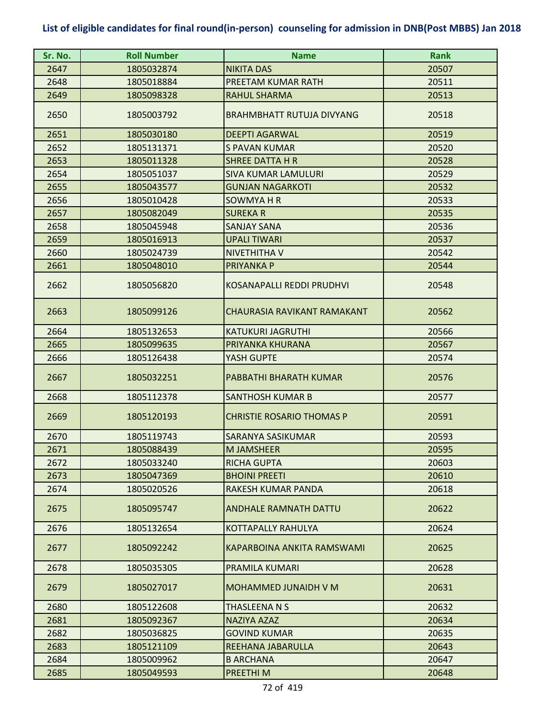| Sr. No. | <b>Roll Number</b> | <b>Name</b>                      | <b>Rank</b> |
|---------|--------------------|----------------------------------|-------------|
| 2647    | 1805032874         | <b>NIKITA DAS</b>                | 20507       |
| 2648    | 1805018884         | PREETAM KUMAR RATH               | 20511       |
| 2649    | 1805098328         | <b>RAHUL SHARMA</b>              | 20513       |
| 2650    | 1805003792         | <b>BRAHMBHATT RUTUJA DIVYANG</b> | 20518       |
| 2651    | 1805030180         | <b>DEEPTI AGARWAL</b>            | 20519       |
| 2652    | 1805131371         | <b>S PAVAN KUMAR</b>             | 20520       |
| 2653    | 1805011328         | <b>SHREE DATTA H R</b>           | 20528       |
| 2654    | 1805051037         | <b>SIVA KUMAR LAMULURI</b>       | 20529       |
| 2655    | 1805043577         | <b>GUNJAN NAGARKOTI</b>          | 20532       |
| 2656    | 1805010428         | SOWMYA H R                       | 20533       |
| 2657    | 1805082049         | <b>SUREKAR</b>                   | 20535       |
| 2658    | 1805045948         | <b>SANJAY SANA</b>               | 20536       |
| 2659    | 1805016913         | <b>UPALI TIWARI</b>              | 20537       |
| 2660    | 1805024739         | <b>NIVETHITHA V</b>              | 20542       |
| 2661    | 1805048010         | <b>PRIYANKA P</b>                | 20544       |
| 2662    | 1805056820         | <b>KOSANAPALLI REDDI PRUDHVI</b> | 20548       |
| 2663    | 1805099126         | CHAURASIA RAVIKANT RAMAKANT      | 20562       |
| 2664    | 1805132653         | <b>KATUKURI JAGRUTHI</b>         | 20566       |
| 2665    | 1805099635         | PRIYANKA KHURANA                 | 20567       |
| 2666    | 1805126438         | YASH GUPTE                       | 20574       |
| 2667    | 1805032251         | PABBATHI BHARATH KUMAR           | 20576       |
| 2668    | 1805112378         | <b>SANTHOSH KUMAR B</b>          | 20577       |
| 2669    | 1805120193         | <b>CHRISTIE ROSARIO THOMAS P</b> | 20591       |
| 2670    | 1805119743         | SARANYA SASIKUMAR                | 20593       |
| 2671    | 1805088439         | M JAMSHEER                       | 20595       |
| 2672    | 1805033240         | RICHA GUPTA                      | 20603       |
| 2673    | 1805047369         | <b>BHOINI PREETI</b>             | 20610       |
| 2674    | 1805020526         | RAKESH KUMAR PANDA               | 20618       |
| 2675    | 1805095747         | <b>ANDHALE RAMNATH DATTU</b>     | 20622       |
| 2676    | 1805132654         | <b>KOTTAPALLY RAHULYA</b>        | 20624       |
| 2677    | 1805092242         | KAPARBOINA ANKITA RAMSWAMI       | 20625       |
| 2678    | 1805035305         | PRAMILA KUMARI                   | 20628       |
| 2679    | 1805027017         | <b>MOHAMMED JUNAIDH V M</b>      | 20631       |
| 2680    | 1805122608         | THASLEENA N S                    | 20632       |
| 2681    | 1805092367         | <b>NAZIYA AZAZ</b>               | 20634       |
| 2682    | 1805036825         | <b>GOVIND KUMAR</b>              | 20635       |
| 2683    | 1805121109         | REEHANA JABARULLA                | 20643       |
| 2684    | 1805009962         | <b>B ARCHANA</b>                 | 20647       |
| 2685    | 1805049593         | PREETHI M                        | 20648       |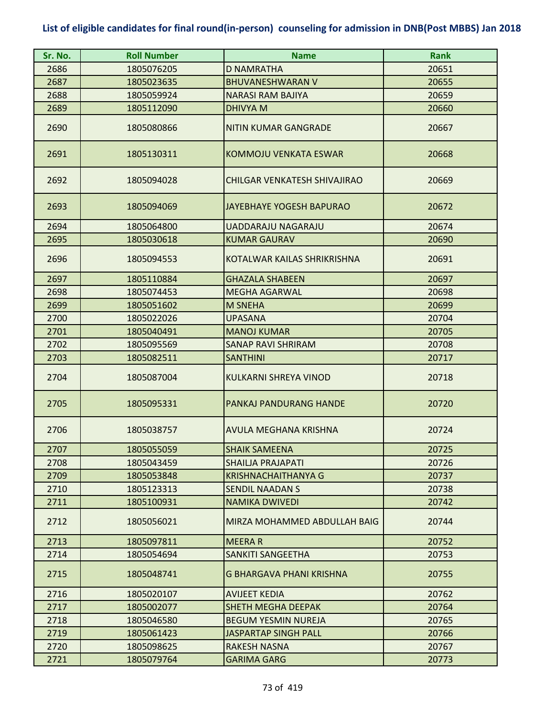| Sr. No. | <b>Roll Number</b> | <b>Name</b>                     | <b>Rank</b> |
|---------|--------------------|---------------------------------|-------------|
| 2686    | 1805076205         | <b>D NAMRATHA</b>               | 20651       |
| 2687    | 1805023635         | <b>BHUVANESHWARAN V</b>         | 20655       |
| 2688    | 1805059924         | <b>NARASI RAM BAJIYA</b>        | 20659       |
| 2689    | 1805112090         | <b>DHIVYA M</b>                 | 20660       |
| 2690    | 1805080866         | <b>NITIN KUMAR GANGRADE</b>     | 20667       |
| 2691    | 1805130311         | KOMMOJU VENKATA ESWAR           | 20668       |
| 2692    | 1805094028         | CHILGAR VENKATESH SHIVAJIRAO    | 20669       |
| 2693    | 1805094069         | <b>JAYEBHAYE YOGESH BAPURAO</b> | 20672       |
| 2694    | 1805064800         | <b>UADDARAJU NAGARAJU</b>       | 20674       |
| 2695    | 1805030618         | <b>KUMAR GAURAV</b>             | 20690       |
| 2696    | 1805094553         | KOTALWAR KAILAS SHRIKRISHNA     | 20691       |
| 2697    | 1805110884         | <b>GHAZALA SHABEEN</b>          | 20697       |
| 2698    | 1805074453         | <b>MEGHA AGARWAL</b>            | 20698       |
| 2699    | 1805051602         | <b>M SNEHA</b>                  | 20699       |
| 2700    | 1805022026         | <b>UPASANA</b>                  | 20704       |
| 2701    | 1805040491         | <b>MANOJ KUMAR</b>              | 20705       |
| 2702    | 1805095569         | <b>SANAP RAVI SHRIRAM</b>       | 20708       |
| 2703    | 1805082511         | <b>SANTHINI</b>                 | 20717       |
| 2704    | 1805087004         | <b>KULKARNI SHREYA VINOD</b>    | 20718       |
| 2705    | 1805095331         | <b>PANKAJ PANDURANG HANDE</b>   | 20720       |
| 2706    | 1805038757         | <b>AVULA MEGHANA KRISHNA</b>    | 20724       |
| 2707    | 1805055059         | <b>SHAIK SAMEENA</b>            | 20725       |
| 2708    | 1805043459         | SHAILJA PRAJAPATI               | 20726       |
| 2709    | 1805053848         | KRISHNACHAITHANYA G             | 20737       |
| 2710    | 1805123313         | <b>SENDIL NAADAN S</b>          | 20738       |
| 2711    | 1805100931         | <b>NAMIKA DWIVEDI</b>           | 20742       |
| 2712    | 1805056021         | MIRZA MOHAMMED ABDULLAH BAIG    | 20744       |
| 2713    | 1805097811         | <b>MEERAR</b>                   | 20752       |
| 2714    | 1805054694         | SANKITI SANGEETHA               | 20753       |
| 2715    | 1805048741         | <b>G BHARGAVA PHANI KRISHNA</b> | 20755       |
| 2716    | 1805020107         | <b>AVIJEET KEDIA</b>            | 20762       |
| 2717    | 1805002077         | <b>SHETH MEGHA DEEPAK</b>       | 20764       |
| 2718    | 1805046580         | <b>BEGUM YESMIN NUREJA</b>      | 20765       |
| 2719    | 1805061423         | <b>JASPARTAP SINGH PALL</b>     | 20766       |
| 2720    | 1805098625         | <b>RAKESH NASNA</b>             | 20767       |
| 2721    | 1805079764         | <b>GARIMA GARG</b>              | 20773       |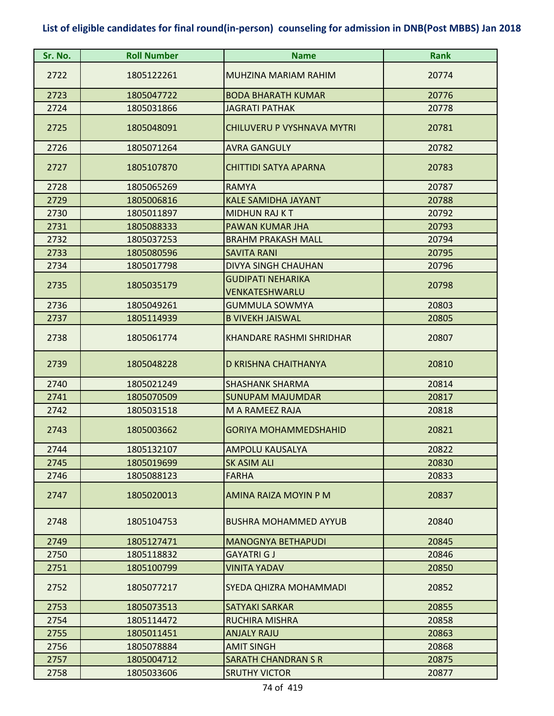| Sr. No. | <b>Roll Number</b> | <b>Name</b>                                | <b>Rank</b> |
|---------|--------------------|--------------------------------------------|-------------|
| 2722    | 1805122261         | MUHZINA MARIAM RAHIM                       | 20774       |
| 2723    | 1805047722         | <b>BODA BHARATH KUMAR</b>                  | 20776       |
| 2724    | 1805031866         | <b>JAGRATI PATHAK</b>                      | 20778       |
| 2725    | 1805048091         | <b>CHILUVERU P VYSHNAVA MYTRI</b>          | 20781       |
| 2726    | 1805071264         | <b>AVRA GANGULY</b>                        | 20782       |
| 2727    | 1805107870         | <b>CHITTIDI SATYA APARNA</b>               | 20783       |
| 2728    | 1805065269         | <b>RAMYA</b>                               | 20787       |
| 2729    | 1805006816         | <b>KALE SAMIDHA JAYANT</b>                 | 20788       |
| 2730    | 1805011897         | <b>MIDHUN RAJ KT</b>                       | 20792       |
| 2731    | 1805088333         | PAWAN KUMAR JHA                            | 20793       |
| 2732    | 1805037253         | <b>BRAHM PRAKASH MALL</b>                  | 20794       |
| 2733    | 1805080596         | <b>SAVITA RANI</b>                         | 20795       |
| 2734    | 1805017798         | <b>DIVYA SINGH CHAUHAN</b>                 | 20796       |
| 2735    | 1805035179         | <b>GUDIPATI NEHARIKA</b><br>VENKATESHWARLU | 20798       |
| 2736    | 1805049261         | <b>GUMMULA SOWMYA</b>                      | 20803       |
| 2737    | 1805114939         | <b>B VIVEKH JAISWAL</b>                    | 20805       |
| 2738    | 1805061774         | KHANDARE RASHMI SHRIDHAR                   | 20807       |
| 2739    | 1805048228         | D KRISHNA CHAITHANYA                       | 20810       |
| 2740    | 1805021249         | <b>SHASHANK SHARMA</b>                     | 20814       |
| 2741    | 1805070509         | <b>SUNUPAM MAJUMDAR</b>                    | 20817       |
| 2742    | 1805031518         | M A RAMEEZ RAJA                            | 20818       |
| 2743    | 1805003662         | <b>GORIYA MOHAMMEDSHAHID</b>               | 20821       |
| 2744    | 1805132107         | AMPOLU KAUSALYA                            | 20822       |
| 2745    | 1805019699         | SK ASIM ALI                                | 20830       |
| 2746    | 1805088123         | <b>FARHA</b>                               | 20833       |
| 2747    | 1805020013         | AMINA RAIZA MOYIN P M                      | 20837       |
| 2748    | 1805104753         | <b>BUSHRA MOHAMMED AYYUB</b>               | 20840       |
| 2749    | 1805127471         | <b>MANOGNYA BETHAPUDI</b>                  | 20845       |
| 2750    | 1805118832         | <b>GAYATRI G J</b>                         | 20846       |
| 2751    | 1805100799         | <b>VINITA YADAV</b>                        | 20850       |
| 2752    | 1805077217         | SYEDA QHIZRA MOHAMMADI                     | 20852       |
| 2753    | 1805073513         | <b>SATYAKI SARKAR</b>                      | 20855       |
| 2754    | 1805114472         | <b>RUCHIRA MISHRA</b>                      | 20858       |
| 2755    | 1805011451         | <b>ANJALY RAJU</b>                         | 20863       |
| 2756    | 1805078884         | <b>AMIT SINGH</b>                          | 20868       |
| 2757    | 1805004712         | <b>SARATH CHANDRAN S R</b>                 | 20875       |
| 2758    | 1805033606         | <b>SRUTHY VICTOR</b>                       | 20877       |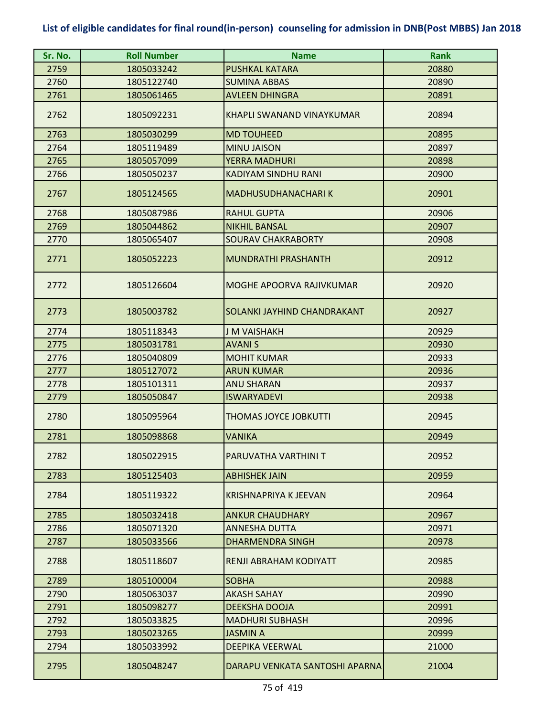| Sr. No. | <b>Roll Number</b> | <b>Name</b>                    | <b>Rank</b> |
|---------|--------------------|--------------------------------|-------------|
| 2759    | 1805033242         | <b>PUSHKAL KATARA</b>          | 20880       |
| 2760    | 1805122740         | <b>SUMINA ABBAS</b>            | 20890       |
| 2761    | 1805061465         | <b>AVLEEN DHINGRA</b>          | 20891       |
| 2762    | 1805092231         | KHAPLI SWANAND VINAYKUMAR      | 20894       |
| 2763    | 1805030299         | <b>MD TOUHEED</b>              | 20895       |
| 2764    | 1805119489         | <b>MINU JAISON</b>             | 20897       |
| 2765    | 1805057099         | <b>YERRA MADHURI</b>           | 20898       |
| 2766    | 1805050237         | <b>KADIYAM SINDHU RANI</b>     | 20900       |
| 2767    | 1805124565         | <b>MADHUSUDHANACHARIK</b>      | 20901       |
| 2768    | 1805087986         | <b>RAHUL GUPTA</b>             | 20906       |
| 2769    | 1805044862         | <b>NIKHIL BANSAL</b>           | 20907       |
| 2770    | 1805065407         | <b>SOURAV CHAKRABORTY</b>      | 20908       |
| 2771    | 1805052223         | <b>MUNDRATHI PRASHANTH</b>     | 20912       |
| 2772    | 1805126604         | MOGHE APOORVA RAJIVKUMAR       | 20920       |
| 2773    | 1805003782         | SOLANKI JAYHIND CHANDRAKANT    | 20927       |
| 2774    | 1805118343         | <b>J M VAISHAKH</b>            | 20929       |
| 2775    | 1805031781         | <b>AVANIS</b>                  | 20930       |
| 2776    | 1805040809         | <b>MOHIT KUMAR</b>             | 20933       |
| 2777    | 1805127072         | <b>ARUN KUMAR</b>              | 20936       |
| 2778    | 1805101311         | <b>ANU SHARAN</b>              | 20937       |
| 2779    | 1805050847         | <b>ISWARYADEVI</b>             | 20938       |
| 2780    | 1805095964         | <b>THOMAS JOYCE JOBKUTTI</b>   | 20945       |
| 2781    | 1805098868         | <b>VANIKA</b>                  | 20949       |
| 2782    | 1805022915         | PARUVATHA VARTHINI T           | 20952       |
| 2783    | 1805125403         | <b>ABHISHEK JAIN</b>           | 20959       |
| 2784    | 1805119322         | <b>KRISHNAPRIYA K JEEVAN</b>   | 20964       |
| 2785    | 1805032418         | <b>ANKUR CHAUDHARY</b>         | 20967       |
| 2786    | 1805071320         | <b>ANNESHA DUTTA</b>           | 20971       |
| 2787    | 1805033566         | <b>DHARMENDRA SINGH</b>        | 20978       |
| 2788    | 1805118607         | <b>RENJI ABRAHAM KODIYATT</b>  | 20985       |
| 2789    | 1805100004         | <b>SOBHA</b>                   | 20988       |
| 2790    | 1805063037         | <b>AKASH SAHAY</b>             | 20990       |
| 2791    | 1805098277         | DEEKSHA DOOJA                  | 20991       |
| 2792    | 1805033825         | <b>MADHURI SUBHASH</b>         | 20996       |
| 2793    | 1805023265         | <b>JASMIN A</b>                | 20999       |
| 2794    | 1805033992         | <b>DEEPIKA VEERWAL</b>         | 21000       |
| 2795    | 1805048247         | DARAPU VENKATA SANTOSHI APARNA | 21004       |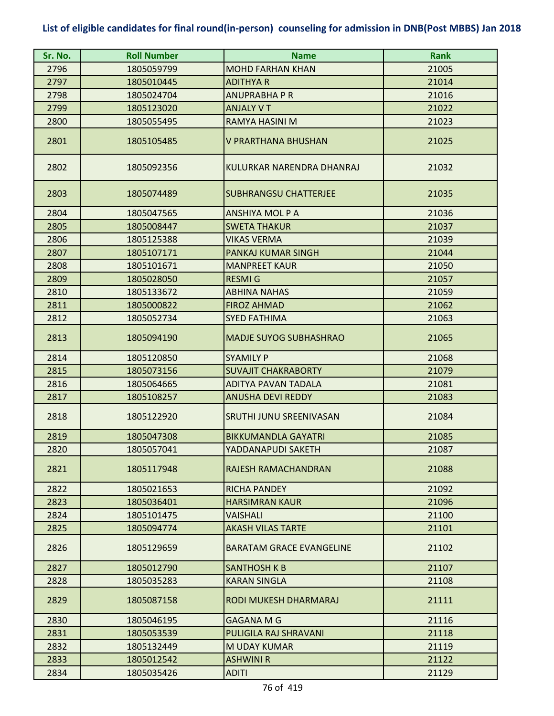| Sr. No. | <b>Roll Number</b> | <b>Name</b>                     | <b>Rank</b> |
|---------|--------------------|---------------------------------|-------------|
| 2796    | 1805059799         | MOHD FARHAN KHAN                | 21005       |
| 2797    | 1805010445         | <b>ADITHYA R</b>                | 21014       |
| 2798    | 1805024704         | ANUPRABHA P R                   | 21016       |
| 2799    | 1805123020         | <b>ANJALY V T</b>               | 21022       |
| 2800    | 1805055495         | RAMYA HASINI M                  | 21023       |
| 2801    | 1805105485         | <b>V PRARTHANA BHUSHAN</b>      | 21025       |
| 2802    | 1805092356         | KULURKAR NARENDRA DHANRAJ       | 21032       |
| 2803    | 1805074489         | <b>SUBHRANGSU CHATTERJEE</b>    | 21035       |
| 2804    | 1805047565         | <b>ANSHIYA MOL P A</b>          | 21036       |
| 2805    | 1805008447         | <b>SWETA THAKUR</b>             | 21037       |
| 2806    | 1805125388         | <b>VIKAS VERMA</b>              | 21039       |
| 2807    | 1805107171         | PANKAJ KUMAR SINGH              | 21044       |
| 2808    | 1805101671         | <b>MANPREET KAUR</b>            | 21050       |
| 2809    | 1805028050         | <b>RESMIG</b>                   | 21057       |
| 2810    | 1805133672         | <b>ABHINA NAHAS</b>             | 21059       |
| 2811    | 1805000822         | <b>FIROZ AHMAD</b>              | 21062       |
| 2812    | 1805052734         | <b>SYED FATHIMA</b>             | 21063       |
| 2813    | 1805094190         | <b>MADJE SUYOG SUBHASHRAO</b>   | 21065       |
| 2814    | 1805120850         | <b>SYAMILY P</b>                | 21068       |
| 2815    | 1805073156         | <b>SUVAJIT CHAKRABORTY</b>      | 21079       |
| 2816    | 1805064665         | ADITYA PAVAN TADALA             | 21081       |
| 2817    | 1805108257         | <b>ANUSHA DEVI REDDY</b>        | 21083       |
| 2818    | 1805122920         | SRUTHI JUNU SREENIVASAN         | 21084       |
| 2819    | 1805047308         | <b>BIKKUMANDLA GAYATRI</b>      | 21085       |
| 2820    | 1805057041         | YADDANAPUDI SAKETH              | 21087       |
| 2821    | 1805117948         | RAJESH RAMACHANDRAN             | 21088       |
| 2822    | 1805021653         | <b>RICHA PANDEY</b>             | 21092       |
| 2823    | 1805036401         | <b>HARSIMRAN KAUR</b>           | 21096       |
| 2824    | 1805101475         | <b>VAISHALI</b>                 | 21100       |
| 2825    | 1805094774         | <b>AKASH VILAS TARTE</b>        | 21101       |
| 2826    | 1805129659         | <b>BARATAM GRACE EVANGELINE</b> | 21102       |
| 2827    | 1805012790         | <b>SANTHOSH K B</b>             | 21107       |
| 2828    | 1805035283         | <b>KARAN SINGLA</b>             | 21108       |
| 2829    | 1805087158         | RODI MUKESH DHARMARAJ           | 21111       |
| 2830    | 1805046195         | <b>GAGANA M G</b>               | 21116       |
| 2831    | 1805053539         | PULIGILA RAJ SHRAVANI           | 21118       |
| 2832    | 1805132449         | M UDAY KUMAR                    | 21119       |
| 2833    | 1805012542         | <b>ASHWINI R</b>                | 21122       |
| 2834    | 1805035426         | <b>ADITI</b>                    | 21129       |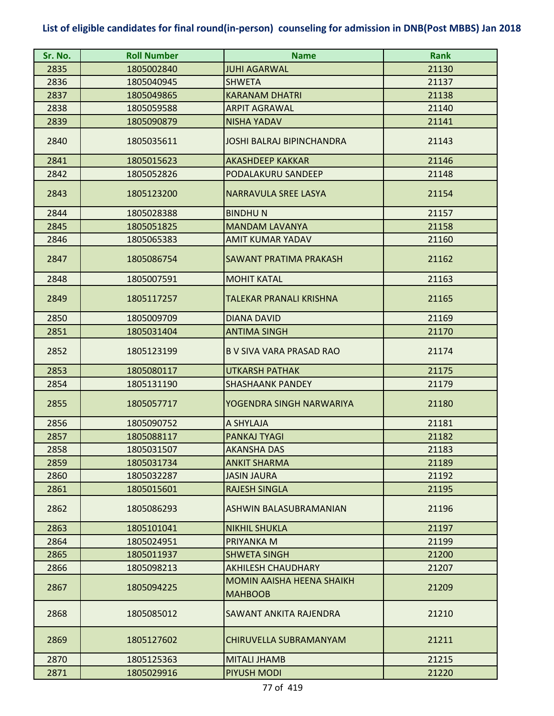| Sr. No. | <b>Roll Number</b> | <b>Name</b>                                        | <b>Rank</b> |
|---------|--------------------|----------------------------------------------------|-------------|
| 2835    | 1805002840         | JUHI AGARWAL                                       | 21130       |
| 2836    | 1805040945         | SHWETA                                             | 21137       |
| 2837    | 1805049865         | <b>KARANAM DHATRI</b>                              | 21138       |
| 2838    | 1805059588         | <b>ARPIT AGRAWAL</b>                               | 21140       |
| 2839    | 1805090879         | <b>NISHA YADAV</b>                                 | 21141       |
| 2840    | 1805035611         | JOSHI BALRAJ BIPINCHANDRA                          | 21143       |
| 2841    | 1805015623         | <b>AKASHDEEP KAKKAR</b>                            | 21146       |
| 2842    | 1805052826         | PODALAKURU SANDEEP                                 | 21148       |
| 2843    | 1805123200         | <b>NARRAVULA SREE LASYA</b>                        | 21154       |
| 2844    | 1805028388         | <b>BINDHUN</b>                                     | 21157       |
| 2845    | 1805051825         | <b>MANDAM LAVANYA</b>                              | 21158       |
| 2846    | 1805065383         | <b>AMIT KUMAR YADAV</b>                            | 21160       |
| 2847    | 1805086754         | SAWANT PRATIMA PRAKASH                             | 21162       |
| 2848    | 1805007591         | <b>MOHIT KATAL</b>                                 | 21163       |
| 2849    | 1805117257         | TALEKAR PRANALI KRISHNA                            | 21165       |
| 2850    | 1805009709         | <b>DIANA DAVID</b>                                 | 21169       |
| 2851    | 1805031404         | <b>ANTIMA SINGH</b>                                | 21170       |
| 2852    | 1805123199         | <b>B V SIVA VARA PRASAD RAO</b>                    | 21174       |
| 2853    | 1805080117         | <b>UTKARSH PATHAK</b>                              | 21175       |
| 2854    | 1805131190         | <b>SHASHAANK PANDEY</b>                            | 21179       |
| 2855    | 1805057717         | YOGENDRA SINGH NARWARIYA                           | 21180       |
| 2856    | 1805090752         | A SHYLAJA                                          | 21181       |
| 2857    | 1805088117         | PANKAJ TYAGI                                       | 21182       |
| 2858    | 1805031507         | <b>AKANSHA DAS</b>                                 | 21183       |
| 2859    | 1805031734         | <b>ANKIT SHARMA</b>                                | 21189       |
| 2860    | 1805032287         | <b>JASIN JAURA</b>                                 | 21192       |
| 2861    | 1805015601         | <b>RAJESH SINGLA</b>                               | 21195       |
| 2862    | 1805086293         | ASHWIN BALASUBRAMANIAN                             | 21196       |
| 2863    | 1805101041         | <b>NIKHIL SHUKLA</b>                               | 21197       |
| 2864    | 1805024951         | PRIYANKA M                                         | 21199       |
| 2865    | 1805011937         | <b>SHWETA SINGH</b>                                | 21200       |
| 2866    | 1805098213         | <b>AKHILESH CHAUDHARY</b>                          | 21207       |
| 2867    | 1805094225         | <b>MOMIN AAISHA HEENA SHAIKH</b><br><b>MAHBOOB</b> | 21209       |
| 2868    | 1805085012         | SAWANT ANKITA RAJENDRA                             | 21210       |
| 2869    | 1805127602         | CHIRUVELLA SUBRAMANYAM                             | 21211       |
| 2870    | 1805125363         | <b>MITALI JHAMB</b>                                | 21215       |
| 2871    | 1805029916         | PIYUSH MODI                                        | 21220       |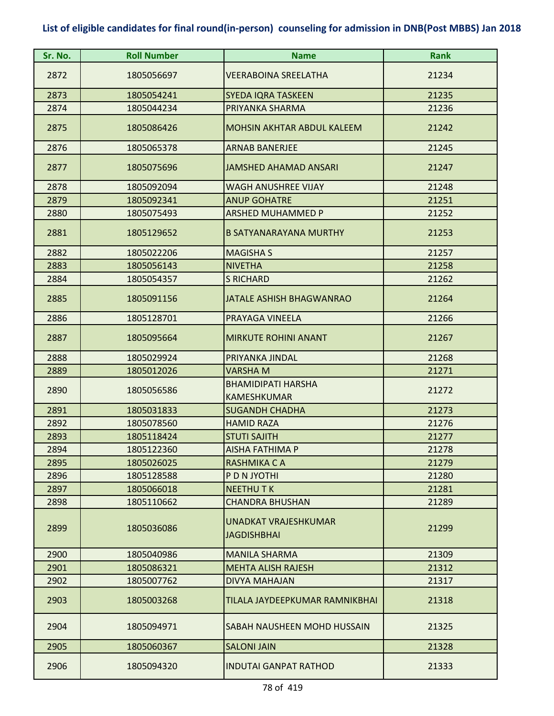| Sr. No. | <b>Roll Number</b> | <b>Name</b>                                     | <b>Rank</b> |
|---------|--------------------|-------------------------------------------------|-------------|
| 2872    | 1805056697         | <b>VEERABOINA SREELATHA</b>                     | 21234       |
| 2873    | 1805054241         | <b>SYEDA IQRA TASKEEN</b>                       | 21235       |
| 2874    | 1805044234         | PRIYANKA SHARMA                                 | 21236       |
| 2875    | 1805086426         | <b>MOHSIN AKHTAR ABDUL KALEEM</b>               | 21242       |
| 2876    | 1805065378         | <b>ARNAB BANERJEE</b>                           | 21245       |
| 2877    | 1805075696         | JAMSHED AHAMAD ANSARI                           | 21247       |
| 2878    | 1805092094         | WAGH ANUSHREE VIJAY                             | 21248       |
| 2879    | 1805092341         | <b>ANUP GOHATRE</b>                             | 21251       |
| 2880    | 1805075493         | <b>ARSHED MUHAMMED P</b>                        | 21252       |
| 2881    | 1805129652         | <b>B SATYANARAYANA MURTHY</b>                   | 21253       |
| 2882    | 1805022206         | <b>MAGISHA S</b>                                | 21257       |
| 2883    | 1805056143         | <b>NIVETHA</b>                                  | 21258       |
| 2884    | 1805054357         | <b>S RICHARD</b>                                | 21262       |
| 2885    | 1805091156         | <b>JATALE ASHISH BHAGWANRAO</b>                 | 21264       |
| 2886    | 1805128701         | PRAYAGA VINEELA                                 | 21266       |
| 2887    | 1805095664         | <b>MIRKUTE ROHINI ANANT</b>                     | 21267       |
| 2888    | 1805029924         | PRIYANKA JINDAL                                 | 21268       |
| 2889    | 1805012026         | VARSHA M                                        | 21271       |
| 2890    | 1805056586         | <b>BHAMIDIPATI HARSHA</b><br><b>KAMESHKUMAR</b> | 21272       |
| 2891    | 1805031833         | <b>SUGANDH CHADHA</b>                           | 21273       |
| 2892    | 1805078560         | <b>HAMID RAZA</b>                               | 21276       |
| 2893    | 1805118424         | <b>STUTI SAJITH</b>                             | 21277       |
| 2894    | 1805122360         | <b>AISHA FATHIMA P</b>                          | 21278       |
| 2895    | 1805026025         | RASHMIKA C A                                    | 21279       |
| 2896    | 1805128588         | P D N JYOTHI                                    | 21280       |
| 2897    | 1805066018         | <b>NEETHUTK</b>                                 | 21281       |
| 2898    | 1805110662         | <b>CHANDRA BHUSHAN</b>                          | 21289       |
| 2899    | 1805036086         | <b>UNADKAT VRAJESHKUMAR</b><br>JAGDISHBHAI      | 21299       |
| 2900    | 1805040986         | <b>MANILA SHARMA</b>                            | 21309       |
| 2901    | 1805086321         | <b>MEHTA ALISH RAJESH</b>                       | 21312       |
| 2902    | 1805007762         | DIVYA MAHAJAN                                   | 21317       |
| 2903    | 1805003268         | TILALA JAYDEEPKUMAR RAMNIKBHAI                  | 21318       |
| 2904    | 1805094971         | SABAH NAUSHEEN MOHD HUSSAIN                     | 21325       |
| 2905    | 1805060367         | <b>SALONI JAIN</b>                              | 21328       |
| 2906    | 1805094320         | <b>INDUTAI GANPAT RATHOD</b>                    | 21333       |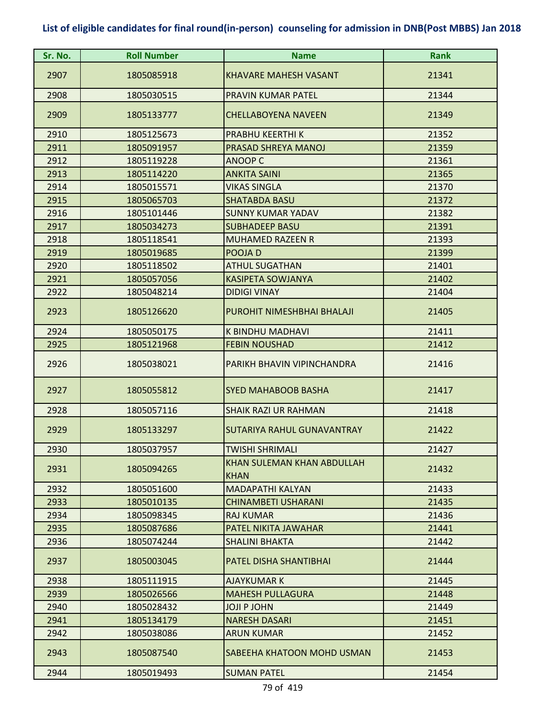| Sr. No. | <b>Roll Number</b> | <b>Name</b>                               | <b>Rank</b> |
|---------|--------------------|-------------------------------------------|-------------|
| 2907    | 1805085918         | <b>KHAVARE MAHESH VASANT</b>              | 21341       |
| 2908    | 1805030515         | <b>PRAVIN KUMAR PATEL</b>                 | 21344       |
| 2909    | 1805133777         | <b>CHELLABOYENA NAVEEN</b>                | 21349       |
| 2910    | 1805125673         | PRABHU KEERTHI K                          | 21352       |
| 2911    | 1805091957         | PRASAD SHREYA MANOJ                       | 21359       |
| 2912    | 1805119228         | <b>ANOOP C</b>                            | 21361       |
| 2913    | 1805114220         | <b>ANKITA SAINI</b>                       | 21365       |
| 2914    | 1805015571         | <b>VIKAS SINGLA</b>                       | 21370       |
| 2915    | 1805065703         | <b>SHATABDA BASU</b>                      | 21372       |
| 2916    | 1805101446         | <b>SUNNY KUMAR YADAV</b>                  | 21382       |
| 2917    | 1805034273         | <b>SUBHADEEP BASU</b>                     | 21391       |
| 2918    | 1805118541         | <b>MUHAMED RAZEEN R</b>                   | 21393       |
| 2919    | 1805019685         | POOJA D                                   | 21399       |
| 2920    | 1805118502         | <b>ATHUL SUGATHAN</b>                     | 21401       |
| 2921    | 1805057056         | <b>KASIPETA SOWJANYA</b>                  | 21402       |
| 2922    | 1805048214         | <b>DIDIGI VINAY</b>                       | 21404       |
| 2923    | 1805126620         | PUROHIT NIMESHBHAI BHALAJI                | 21405       |
| 2924    | 1805050175         | K BINDHU MADHAVI                          | 21411       |
| 2925    | 1805121968         | <b>FEBIN NOUSHAD</b>                      | 21412       |
| 2926    | 1805038021         | PARIKH BHAVIN VIPINCHANDRA                | 21416       |
| 2927    | 1805055812         | <b>SYED MAHABOOB BASHA</b>                | 21417       |
| 2928    | 1805057116         | <b>SHAIK RAZI UR RAHMAN</b>               | 21418       |
| 2929    | 1805133297         | SUTARIYA RAHUL GUNAVANTRAY                | 21422       |
| 2930    | 1805037957         | <b>TWISHI SHRIMALI</b>                    | 21427       |
| 2931    | 1805094265         | KHAN SULEMAN KHAN ABDULLAH<br><b>KHAN</b> | 21432       |
| 2932    | 1805051600         | <b>MADAPATHI KALYAN</b>                   | 21433       |
| 2933    | 1805010135         | <b>CHINAMBETI USHARANI</b>                | 21435       |
| 2934    | 1805098345         | <b>RAJ KUMAR</b>                          | 21436       |
| 2935    | 1805087686         | PATEL NIKITA JAWAHAR                      | 21441       |
| 2936    | 1805074244         | <b>SHALINI BHAKTA</b>                     | 21442       |
| 2937    | 1805003045         | PATEL DISHA SHANTIBHAI                    | 21444       |
| 2938    | 1805111915         | <b>AJAYKUMAR K</b>                        | 21445       |
| 2939    | 1805026566         | <b>MAHESH PULLAGURA</b>                   | 21448       |
| 2940    | 1805028432         | <b>JOJI P JOHN</b>                        | 21449       |
| 2941    | 1805134179         | <b>NARESH DASARI</b>                      | 21451       |
| 2942    | 1805038086         | <b>ARUN KUMAR</b>                         | 21452       |
| 2943    | 1805087540         | SABEEHA KHATOON MOHD USMAN                | 21453       |
| 2944    | 1805019493         | <b>SUMAN PATEL</b>                        | 21454       |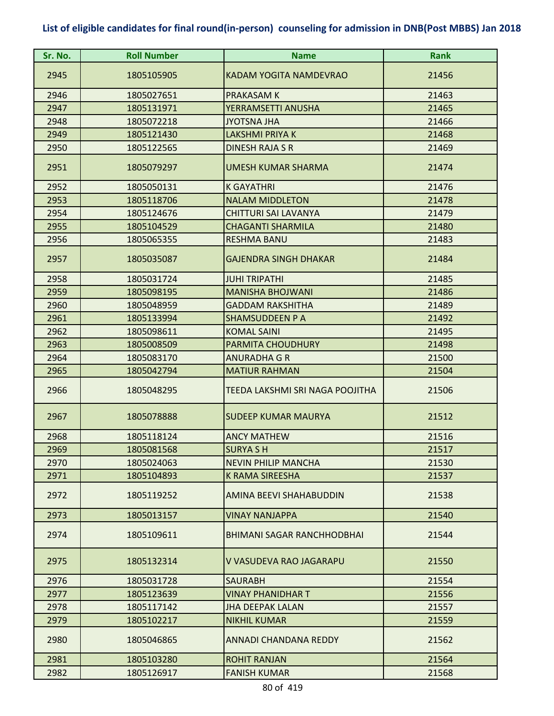| Sr. No. | <b>Roll Number</b> | <b>Name</b>                       | <b>Rank</b> |
|---------|--------------------|-----------------------------------|-------------|
| 2945    | 1805105905         | <b>KADAM YOGITA NAMDEVRAO</b>     | 21456       |
| 2946    | 1805027651         | <b>PRAKASAM K</b>                 | 21463       |
| 2947    | 1805131971         | YERRAMSETTI ANUSHA                | 21465       |
| 2948    | 1805072218         | <b>JYOTSNA JHA</b>                | 21466       |
| 2949    | 1805121430         | <b>LAKSHMI PRIYA K</b>            | 21468       |
| 2950    | 1805122565         | DINESH RAJA S R                   | 21469       |
| 2951    | 1805079297         | <b>UMESH KUMAR SHARMA</b>         | 21474       |
| 2952    | 1805050131         | <b>K GAYATHRI</b>                 | 21476       |
| 2953    | 1805118706         | <b>NALAM MIDDLETON</b>            | 21478       |
| 2954    | 1805124676         | <b>CHITTURI SAI LAVANYA</b>       | 21479       |
| 2955    | 1805104529         | <b>CHAGANTI SHARMILA</b>          | 21480       |
| 2956    | 1805065355         | <b>RESHMA BANU</b>                | 21483       |
| 2957    | 1805035087         | <b>GAJENDRA SINGH DHAKAR</b>      | 21484       |
| 2958    | 1805031724         | <b>JUHI TRIPATHI</b>              | 21485       |
| 2959    | 1805098195         | <b>MANISHA BHOJWANI</b>           | 21486       |
| 2960    | 1805048959         | <b>GADDAM RAKSHITHA</b>           | 21489       |
| 2961    | 1805133994         | <b>SHAMSUDDEEN P A</b>            | 21492       |
| 2962    | 1805098611         | <b>KOMAL SAINI</b>                | 21495       |
| 2963    | 1805008509         | <b>PARMITA CHOUDHURY</b>          | 21498       |
| 2964    | 1805083170         | <b>ANURADHA G R</b>               | 21500       |
| 2965    | 1805042794         | <b>MATIUR RAHMAN</b>              | 21504       |
| 2966    | 1805048295         | TEEDA LAKSHMI SRI NAGA POOJITHA   | 21506       |
| 2967    | 1805078888         | <b>SUDEEP KUMAR MAURYA</b>        | 21512       |
| 2968    | 1805118124         | <b>ANCY MATHEW</b>                | 21516       |
| 2969    | 1805081568         | <b>SURYA SH</b>                   | 21517       |
| 2970    | 1805024063         | <b>NEVIN PHILIP MANCHA</b>        | 21530       |
| 2971    | 1805104893         | <b>K RAMA SIREESHA</b>            | 21537       |
| 2972    | 1805119252         | AMINA BEEVI SHAHABUDDIN           | 21538       |
| 2973    | 1805013157         | <b>VINAY NANJAPPA</b>             | 21540       |
| 2974    | 1805109611         | <b>BHIMANI SAGAR RANCHHODBHAI</b> | 21544       |
| 2975    | 1805132314         | V VASUDEVA RAO JAGARAPU           | 21550       |
| 2976    | 1805031728         | <b>SAURABH</b>                    | 21554       |
| 2977    | 1805123639         | VINAY PHANIDHAR T                 | 21556       |
| 2978    | 1805117142         | <b>JHA DEEPAK LALAN</b>           | 21557       |
| 2979    | 1805102217         | <b>NIKHIL KUMAR</b>               | 21559       |
| 2980    | 1805046865         | <b>ANNADI CHANDANA REDDY</b>      | 21562       |
| 2981    | 1805103280         | <b>ROHIT RANJAN</b>               | 21564       |
| 2982    | 1805126917         | <b>FANISH KUMAR</b>               | 21568       |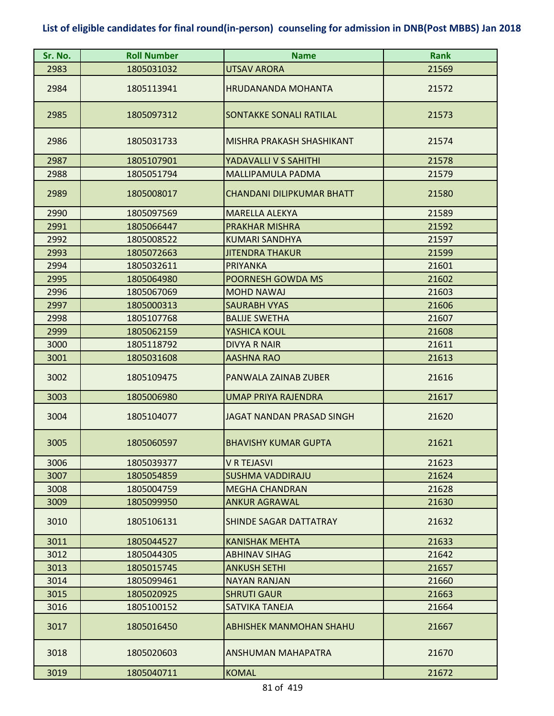| Sr. No. | <b>Roll Number</b> | <b>Name</b>                    | <b>Rank</b> |
|---------|--------------------|--------------------------------|-------------|
| 2983    | 1805031032         | <b>UTSAV ARORA</b>             | 21569       |
| 2984    | 1805113941         | <b>HRUDANANDA MOHANTA</b>      | 21572       |
| 2985    | 1805097312         | SONTAKKE SONALI RATILAL        | 21573       |
| 2986    | 1805031733         | MISHRA PRAKASH SHASHIKANT      | 21574       |
| 2987    | 1805107901         | YADAVALLI V S SAHITHI          | 21578       |
| 2988    | 1805051794         | MALLIPAMULA PADMA              | 21579       |
| 2989    | 1805008017         | CHANDANI DILIPKUMAR BHATT      | 21580       |
| 2990    | 1805097569         | <b>MARELLA ALEKYA</b>          | 21589       |
| 2991    | 1805066447         | PRAKHAR MISHRA                 | 21592       |
| 2992    | 1805008522         | <b>KUMARI SANDHYA</b>          | 21597       |
| 2993    | 1805072663         | JITENDRA THAKUR                | 21599       |
| 2994    | 1805032611         | <b>PRIYANKA</b>                | 21601       |
| 2995    | 1805064980         | POORNESH GOWDA MS              | 21602       |
| 2996    | 1805067069         | <b>MOHD NAWAJ</b>              | 21603       |
| 2997    | 1805000313         | <b>SAURABH VYAS</b>            | 21606       |
| 2998    | 1805107768         | <b>BALIJE SWETHA</b>           | 21607       |
| 2999    | 1805062159         | YASHICA KOUL                   | 21608       |
| 3000    | 1805118792         | <b>DIVYA R NAIR</b>            | 21611       |
| 3001    | 1805031608         | <b>AASHNA RAO</b>              | 21613       |
| 3002    | 1805109475         | PANWALA ZAINAB ZUBER           | 21616       |
| 3003    | 1805006980         | <b>UMAP PRIYA RAJENDRA</b>     | 21617       |
| 3004    | 1805104077         | JAGAT NANDAN PRASAD SINGH      | 21620       |
| 3005    | 1805060597         | <b>BHAVISHY KUMAR GUPTA</b>    | 21621       |
| 3006    | 1805039377         | <b>V R TEJASVI</b>             | 21623       |
| 3007    | 1805054859         | <b>SUSHMA VADDIRAJU</b>        | 21624       |
| 3008    | 1805004759         | <b>MEGHA CHANDRAN</b>          | 21628       |
| 3009    | 1805099950         | ANKUR AGRAWAL                  | 21630       |
| 3010    | 1805106131         | <b>SHINDE SAGAR DATTATRAY</b>  | 21632       |
| 3011    | 1805044527         | <b>KANISHAK MEHTA</b>          | 21633       |
| 3012    | 1805044305         | <b>ABHINAV SIHAG</b>           | 21642       |
| 3013    | 1805015745         | <b>ANKUSH SETHI</b>            | 21657       |
| 3014    | 1805099461         | <b>NAYAN RANJAN</b>            | 21660       |
| 3015    | 1805020925         | <b>SHRUTI GAUR</b>             | 21663       |
| 3016    | 1805100152         | SATVIKA TANEJA                 | 21664       |
| 3017    | 1805016450         | <b>ABHISHEK MANMOHAN SHAHU</b> | 21667       |
| 3018    | 1805020603         | ANSHUMAN MAHAPATRA             | 21670       |
| 3019    | 1805040711         | <b>KOMAL</b>                   | 21672       |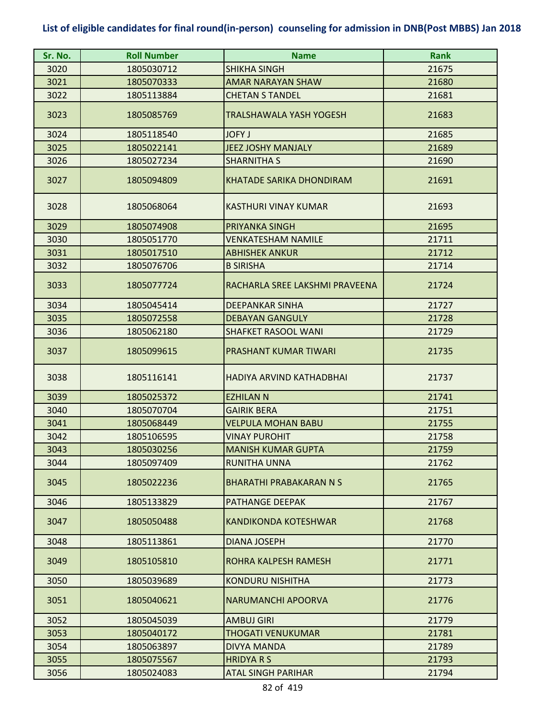| Sr. No. | <b>Roll Number</b> | <b>Name</b>                     | <b>Rank</b> |
|---------|--------------------|---------------------------------|-------------|
| 3020    | 1805030712         | <b>SHIKHA SINGH</b>             | 21675       |
| 3021    | 1805070333         | <b>AMAR NARAYAN SHAW</b>        | 21680       |
| 3022    | 1805113884         | <b>CHETAN S TANDEL</b>          | 21681       |
| 3023    | 1805085769         | TRALSHAWALA YASH YOGESH         | 21683       |
| 3024    | 1805118540         | <b>JOFY J</b>                   | 21685       |
| 3025    | 1805022141         | <b>JEEZ JOSHY MANJALY</b>       | 21689       |
| 3026    | 1805027234         | <b>SHARNITHA S</b>              | 21690       |
| 3027    | 1805094809         | <b>KHATADE SARIKA DHONDIRAM</b> | 21691       |
| 3028    | 1805068064         | <b>KASTHURI VINAY KUMAR</b>     | 21693       |
| 3029    | 1805074908         | <b>PRIYANKA SINGH</b>           | 21695       |
| 3030    | 1805051770         | <b>VENKATESHAM NAMILE</b>       | 21711       |
| 3031    | 1805017510         | <b>ABHISHEK ANKUR</b>           | 21712       |
| 3032    | 1805076706         | <b>B SIRISHA</b>                | 21714       |
| 3033    | 1805077724         | RACHARLA SREE LAKSHMI PRAVEENA  | 21724       |
| 3034    | 1805045414         | <b>DEEPANKAR SINHA</b>          | 21727       |
| 3035    | 1805072558         | <b>DEBAYAN GANGULY</b>          | 21728       |
| 3036    | 1805062180         | <b>SHAFKET RASOOL WANI</b>      | 21729       |
| 3037    | 1805099615         | PRASHANT KUMAR TIWARI           | 21735       |
| 3038    | 1805116141         | HADIYA ARVIND KATHADBHAI        | 21737       |
| 3039    | 1805025372         | <b>EZHILAN N</b>                | 21741       |
| 3040    | 1805070704         | <b>GAIRIK BERA</b>              | 21751       |
| 3041    | 1805068449         | <b>VELPULA MOHAN BABU</b>       | 21755       |
| 3042    | 1805106595         | <b>VINAY PUROHIT</b>            | 21758       |
| 3043    | 1805030256         | <b>MANISH KUMAR GUPTA</b>       | 21759       |
| 3044    | 1805097409         | <b>RUNITHA UNNA</b>             | 21762       |
| 3045    | 1805022236         | <b>BHARATHI PRABAKARAN N S</b>  | 21765       |
| 3046    | 1805133829         | PATHANGE DEEPAK                 | 21767       |
| 3047    | 1805050488         | <b>KANDIKONDA KOTESHWAR</b>     | 21768       |
| 3048    | 1805113861         | <b>DIANA JOSEPH</b>             | 21770       |
| 3049    | 1805105810         | ROHRA KALPESH RAMESH            | 21771       |
| 3050    | 1805039689         | <b>KONDURU NISHITHA</b>         | 21773       |
| 3051    | 1805040621         | NARUMANCHI APOORVA              | 21776       |
| 3052    | 1805045039         | <b>AMBUJ GIRI</b>               | 21779       |
| 3053    | 1805040172         | <b>THOGATI VENUKUMAR</b>        | 21781       |
| 3054    | 1805063897         | <b>DIVYA MANDA</b>              | 21789       |
| 3055    | 1805075567         | <b>HRIDYARS</b>                 | 21793       |
| 3056    | 1805024083         | <b>ATAL SINGH PARIHAR</b>       | 21794       |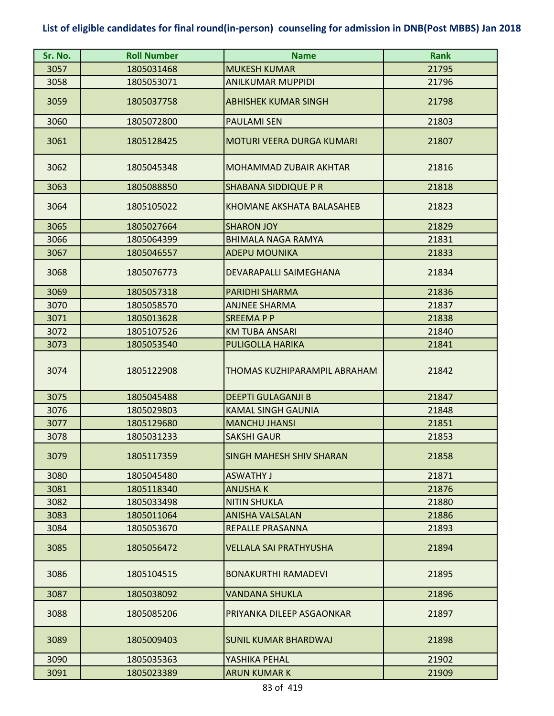| Sr. No. | <b>Roll Number</b> | <b>Name</b>                      | <b>Rank</b> |
|---------|--------------------|----------------------------------|-------------|
| 3057    | 1805031468         | <b>MUKESH KUMAR</b>              | 21795       |
| 3058    | 1805053071         | <b>ANILKUMAR MUPPIDI</b>         | 21796       |
| 3059    | 1805037758         | <b>ABHISHEK KUMAR SINGH</b>      | 21798       |
| 3060    | 1805072800         | <b>PAULAMI SEN</b>               | 21803       |
| 3061    | 1805128425         | <b>MOTURI VEERA DURGA KUMARI</b> | 21807       |
| 3062    | 1805045348         | <b>MOHAMMAD ZUBAIR AKHTAR</b>    | 21816       |
| 3063    | 1805088850         | <b>SHABANA SIDDIQUE P R</b>      | 21818       |
| 3064    | 1805105022         | KHOMANE AKSHATA BALASAHEB        | 21823       |
| 3065    | 1805027664         | <b>SHARON JOY</b>                | 21829       |
| 3066    | 1805064399         | <b>BHIMALA NAGA RAMYA</b>        | 21831       |
| 3067    | 1805046557         | <b>ADEPU MOUNIKA</b>             | 21833       |
| 3068    | 1805076773         | DEVARAPALLI SAIMEGHANA           | 21834       |
| 3069    | 1805057318         | <b>PARIDHI SHARMA</b>            | 21836       |
| 3070    | 1805058570         | <b>ANJNEE SHARMA</b>             | 21837       |
| 3071    | 1805013628         | <b>SREEMAPP</b>                  | 21838       |
| 3072    | 1805107526         | <b>KM TUBA ANSARI</b>            | 21840       |
| 3073    | 1805053540         | <b>PULIGOLLA HARIKA</b>          | 21841       |
| 3074    | 1805122908         | THOMAS KUZHIPARAMPIL ABRAHAM     | 21842       |
| 3075    | 1805045488         | <b>DEEPTI GULAGANJI B</b>        | 21847       |
| 3076    | 1805029803         | <b>KAMAL SINGH GAUNIA</b>        | 21848       |
| 3077    | 1805129680         | <b>MANCHU JHANSI</b>             | 21851       |
| 3078    | 1805031233         | <b>SAKSHI GAUR</b>               | 21853       |
| 3079    | 1805117359         | <b>SINGH MAHESH SHIV SHARAN</b>  | 21858       |
| 3080    | 1805045480         | <b>ASWATHY J</b>                 | 21871       |
| 3081    | 1805118340         | <b>ANUSHAK</b>                   | 21876       |
| 3082    | 1805033498         | <b>NITIN SHUKLA</b>              | 21880       |
| 3083    | 1805011064         | <b>ANISHA VALSALAN</b>           | 21886       |
| 3084    | 1805053670         | REPALLE PRASANNA                 | 21893       |
| 3085    | 1805056472         | <b>VELLALA SAI PRATHYUSHA</b>    | 21894       |
| 3086    | 1805104515         | <b>BONAKURTHI RAMADEVI</b>       | 21895       |
| 3087    | 1805038092         | <b>VANDANA SHUKLA</b>            | 21896       |
| 3088    | 1805085206         | PRIYANKA DILEEP ASGAONKAR        | 21897       |
| 3089    | 1805009403         | ISUNIL KUMAR BHARDWAJ            | 21898       |
| 3090    | 1805035363         | YASHIKA PEHAL                    | 21902       |
| 3091    | 1805023389         | <b>ARUN KUMAR K</b>              | 21909       |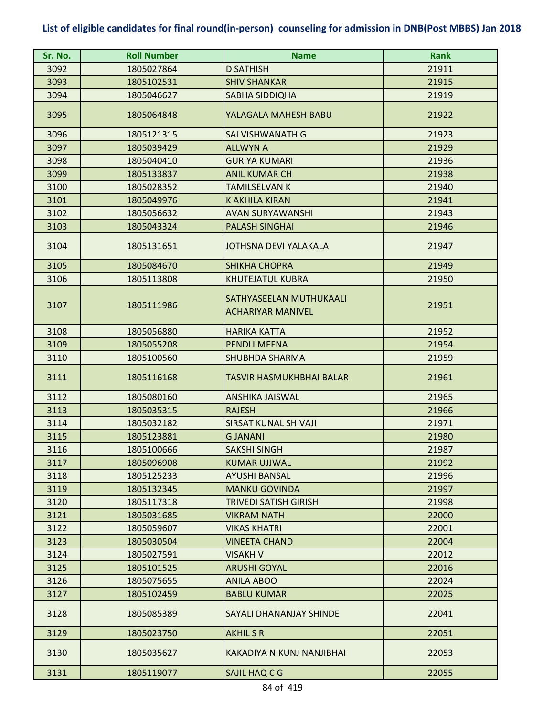| Sr. No. | <b>Roll Number</b> | <b>Name</b>                                         | <b>Rank</b> |
|---------|--------------------|-----------------------------------------------------|-------------|
| 3092    | 1805027864         | <b>D SATHISH</b>                                    | 21911       |
| 3093    | 1805102531         | <b>SHIV SHANKAR</b>                                 | 21915       |
| 3094    | 1805046627         | SABHA SIDDIQHA                                      | 21919       |
| 3095    | 1805064848         | YALAGALA MAHESH BABU                                | 21922       |
| 3096    | 1805121315         | SAI VISHWANATH G                                    | 21923       |
| 3097    | 1805039429         | <b>ALLWYN A</b>                                     | 21929       |
| 3098    | 1805040410         | <b>GURIYA KUMARI</b>                                | 21936       |
| 3099    | 1805133837         | <b>ANIL KUMAR CH</b>                                | 21938       |
| 3100    | 1805028352         | <b>TAMILSELVAN K</b>                                | 21940       |
| 3101    | 1805049976         | <b>K AKHILA KIRAN</b>                               | 21941       |
| 3102    | 1805056632         | <b>AVAN SURYAWANSHI</b>                             | 21943       |
| 3103    | 1805043324         | <b>PALASH SINGHAI</b>                               | 21946       |
| 3104    | 1805131651         | <b>JOTHSNA DEVI YALAKALA</b>                        | 21947       |
| 3105    | 1805084670         | <b>SHIKHA CHOPRA</b>                                | 21949       |
| 3106    | 1805113808         | KHUTEJATUL KUBRA                                    | 21950       |
| 3107    | 1805111986         | SATHYASEELAN MUTHUKAALI<br><b>ACHARIYAR MANIVEL</b> | 21951       |
| 3108    | 1805056880         | <b>HARIKA KATTA</b>                                 | 21952       |
| 3109    | 1805055208         | <b>PENDLI MEENA</b>                                 | 21954       |
| 3110    | 1805100560         | <b>SHUBHDA SHARMA</b>                               | 21959       |
| 3111    | 1805116168         | TASVIR HASMUKHBHAI BALAR                            | 21961       |
| 3112    | 1805080160         | <b>ANSHIKA JAISWAL</b>                              | 21965       |
| 3113    | 1805035315         | <b>RAJESH</b>                                       | 21966       |
| 3114    | 1805032182         | <b>SIRSAT KUNAL SHIVAJI</b>                         | 21971       |
| 3115    | 1805123881         | <b>GJANANI</b>                                      | 21980       |
| 3116    | 1805100666         | <b>SAKSHI SINGH</b>                                 | 21987       |
| 3117    | 1805096908         | <b>KUMAR UJJWAL</b>                                 | 21992       |
| 3118    | 1805125233         | <b>AYUSHI BANSAL</b>                                | 21996       |
| 3119    | 1805132345         | <b>MANKU GOVINDA</b>                                | 21997       |
| 3120    | 1805117318         | TRIVEDI SATISH GIRISH                               | 21998       |
| 3121    | 1805031685         | <b>VIKRAM NATH</b>                                  | 22000       |
| 3122    | 1805059607         | <b>VIKAS KHATRI</b>                                 | 22001       |
| 3123    | 1805030504         | <b>VINEETA CHAND</b>                                | 22004       |
| 3124    | 1805027591         | VISAKH V                                            | 22012       |
| 3125    | 1805101525         | <b>ARUSHI GOYAL</b>                                 | 22016       |
| 3126    | 1805075655         | <b>ANILA ABOO</b>                                   | 22024       |
| 3127    | 1805102459         | <b>BABLU KUMAR</b>                                  | 22025       |
| 3128    | 1805085389         | SAYALI DHANANJAY SHINDE                             | 22041       |
| 3129    | 1805023750         | <b>AKHILSR</b>                                      | 22051       |
| 3130    | 1805035627         | KAKADIYA NIKUNJ NANJIBHAI                           | 22053       |
| 3131    | 1805119077         | SAJIL HAQ C G                                       | 22055       |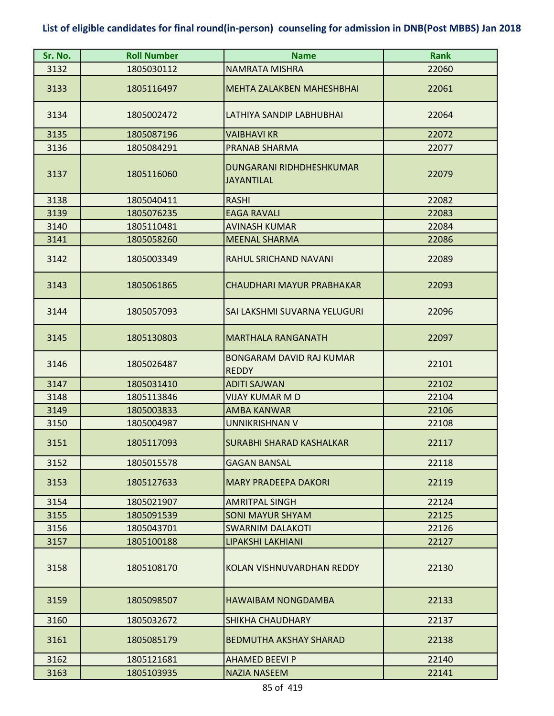| Sr. No. | <b>Roll Number</b> | <b>Name</b>                                          | <b>Rank</b> |
|---------|--------------------|------------------------------------------------------|-------------|
| 3132    | 1805030112         | <b>NAMRATA MISHRA</b>                                | 22060       |
| 3133    | 1805116497         | <b>MEHTA ZALAKBEN MAHESHBHAI</b>                     | 22061       |
| 3134    | 1805002472         | LATHIYA SANDIP LABHUBHAI                             | 22064       |
| 3135    | 1805087196         | <b>VAIBHAVI KR</b>                                   | 22072       |
| 3136    | 1805084291         | <b>PRANAB SHARMA</b>                                 | 22077       |
| 3137    | 1805116060         | <b>DUNGARANI RIDHDHESHKUMAR</b><br><b>JAYANTILAL</b> | 22079       |
| 3138    | 1805040411         | <b>RASHI</b>                                         | 22082       |
| 3139    | 1805076235         | <b>EAGA RAVALI</b>                                   | 22083       |
| 3140    | 1805110481         | <b>AVINASH KUMAR</b>                                 | 22084       |
| 3141    | 1805058260         | <b>MEENAL SHARMA</b>                                 | 22086       |
| 3142    | 1805003349         | RAHUL SRICHAND NAVANI                                | 22089       |
| 3143    | 1805061865         | CHAUDHARI MAYUR PRABHAKAR                            | 22093       |
| 3144    | 1805057093         | SAI LAKSHMI SUVARNA YELUGURI                         | 22096       |
| 3145    | 1805130803         | <b>MARTHALA RANGANATH</b>                            | 22097       |
| 3146    | 1805026487         | <b>BONGARAM DAVID RAJ KUMAR</b><br><b>REDDY</b>      | 22101       |
| 3147    | 1805031410         | <b>ADITI SAJWAN</b>                                  | 22102       |
| 3148    | 1805113846         | VIJAY KUMAR M D                                      | 22104       |
| 3149    | 1805003833         | <b>AMBA KANWAR</b>                                   | 22106       |
| 3150    | 1805004987         | <b>UNNIKRISHNAN V</b>                                | 22108       |
| 3151    | 1805117093         | <b>SURABHI SHARAD KASHALKAR</b>                      | 22117       |
| 3152    | 1805015578         | <b>GAGAN BANSAL</b>                                  | 22118       |
| 3153    | 1805127633         | <b>MARY PRADEEPA DAKORI</b>                          | 22119       |
| 3154    | 1805021907         | <b>AMRITPAL SINGH</b>                                | 22124       |
| 3155    | 1805091539         | <b>SONI MAYUR SHYAM</b>                              | 22125       |
| 3156    | 1805043701         | <b>SWARNIM DALAKOTI</b>                              | 22126       |
| 3157    | 1805100188         | LIPAKSHI LAKHIANI                                    | 22127       |
| 3158    | 1805108170         | KOLAN VISHNUVARDHAN REDDY                            | 22130       |
| 3159    | 1805098507         | <b>HAWAIBAM NONGDAMBA</b>                            | 22133       |
| 3160    | 1805032672         | <b>SHIKHA CHAUDHARY</b>                              | 22137       |
| 3161    | 1805085179         | <b>BEDMUTHA AKSHAY SHARAD</b>                        | 22138       |
| 3162    | 1805121681         | <b>AHAMED BEEVI P</b>                                | 22140       |
| 3163    | 1805103935         | <b>NAZIA NASEEM</b>                                  | 22141       |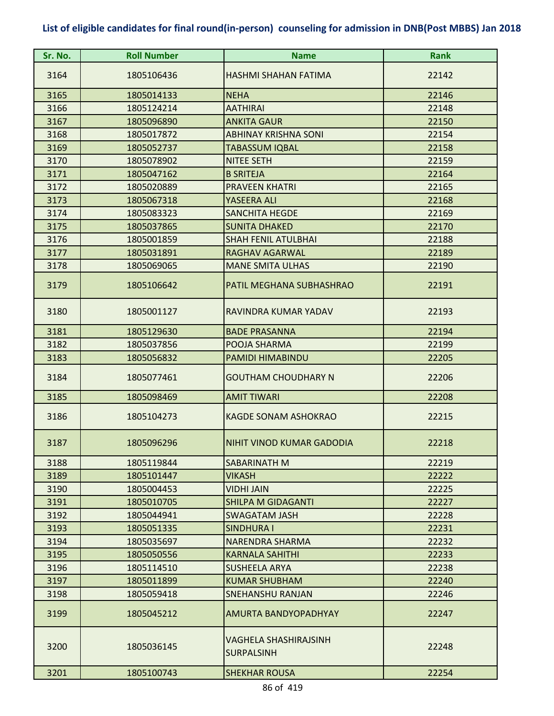| Sr. No. | <b>Roll Number</b> | <b>Name</b>                                | <b>Rank</b> |
|---------|--------------------|--------------------------------------------|-------------|
| 3164    | 1805106436         | HASHMI SHAHAN FATIMA                       | 22142       |
| 3165    | 1805014133         | <b>NEHA</b>                                | 22146       |
| 3166    | 1805124214         | <b>AATHIRAI</b>                            | 22148       |
| 3167    | 1805096890         | <b>ANKITA GAUR</b>                         | 22150       |
| 3168    | 1805017872         | <b>ABHINAY KRISHNA SONI</b>                | 22154       |
| 3169    | 1805052737         | <b>TABASSUM IQBAL</b>                      | 22158       |
| 3170    | 1805078902         | <b>NITEE SETH</b>                          | 22159       |
| 3171    | 1805047162         | <b>B SRITEJA</b>                           | 22164       |
| 3172    | 1805020889         | <b>PRAVEEN KHATRI</b>                      | 22165       |
| 3173    | 1805067318         | YASEERA ALI                                | 22168       |
| 3174    | 1805083323         | <b>SANCHITA HEGDE</b>                      | 22169       |
| 3175    | 1805037865         | <b>SUNITA DHAKED</b>                       | 22170       |
| 3176    | 1805001859         | <b>SHAH FENIL ATULBHAI</b>                 | 22188       |
| 3177    | 1805031891         | <b>RAGHAV AGARWAL</b>                      | 22189       |
| 3178    | 1805069065         | <b>MANE SMITA ULHAS</b>                    | 22190       |
| 3179    | 1805106642         | <b>PATIL MEGHANA SUBHASHRAO</b>            | 22191       |
| 3180    | 1805001127         | RAVINDRA KUMAR YADAV                       | 22193       |
| 3181    | 1805129630         | <b>BADE PRASANNA</b>                       | 22194       |
| 3182    | 1805037856         | POOJA SHARMA                               | 22199       |
| 3183    | 1805056832         | PAMIDI HIMABINDU                           | 22205       |
| 3184    | 1805077461         | <b>GOUTHAM CHOUDHARY N</b>                 | 22206       |
| 3185    | 1805098469         | <b>AMIT TIWARI</b>                         | 22208       |
| 3186    | 1805104273         | <b>KAGDE SONAM ASHOKRAO</b>                | 22215       |
| 3187    | 1805096296         | INIHIT VINOD KUMAR GADODIA                 | 22218       |
| 3188    | 1805119844         | SABARINATH M                               | 22219       |
| 3189    | 1805101447         | <b>VIKASH</b>                              | 22222       |
| 3190    | 1805004453         | <b>VIDHI JAIN</b>                          | 22225       |
| 3191    | 1805010705         | <b>SHILPA M GIDAGANTI</b>                  | 22227       |
| 3192    | 1805044941         | <b>SWAGATAM JASH</b>                       | 22228       |
| 3193    | 1805051335         | SINDHURA I                                 | 22231       |
| 3194    | 1805035697         | <b>NARENDRA SHARMA</b>                     | 22232       |
| 3195    | 1805050556         | <b>KARNALA SAHITHI</b>                     | 22233       |
| 3196    | 1805114510         | <b>SUSHEELA ARYA</b>                       | 22238       |
| 3197    | 1805011899         | <b>KUMAR SHUBHAM</b>                       | 22240       |
| 3198    | 1805059418         | SNEHANSHU RANJAN                           | 22246       |
| 3199    | 1805045212         | <b>AMURTA BANDYOPADHYAY</b>                | 22247       |
| 3200    | 1805036145         | VAGHELA SHASHIRAJSINH<br><b>SURPALSINH</b> | 22248       |
| 3201    | 1805100743         | <b>SHEKHAR ROUSA</b>                       | 22254       |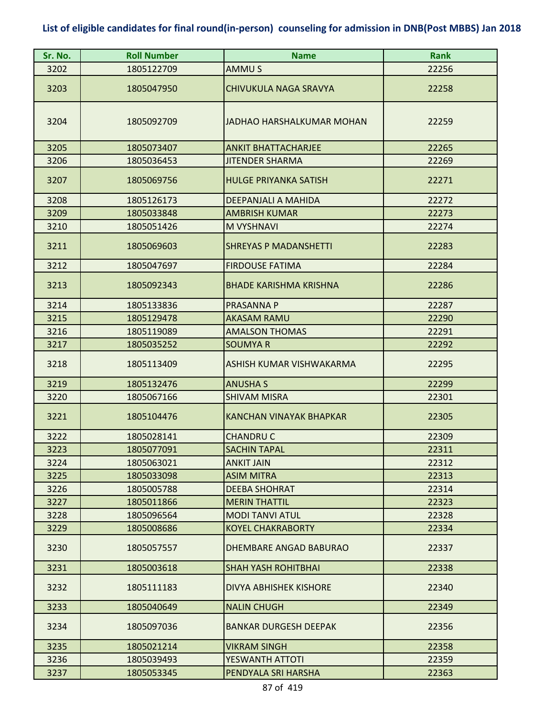| Sr. No. | <b>Roll Number</b> | <b>Name</b>                    | <b>Rank</b> |
|---------|--------------------|--------------------------------|-------------|
| 3202    | 1805122709         | AMMU S                         | 22256       |
| 3203    | 1805047950         | <b>CHIVUKULA NAGA SRAVYA</b>   | 22258       |
| 3204    | 1805092709         | JADHAO HARSHALKUMAR MOHAN      | 22259       |
| 3205    | 1805073407         | <b>ANKIT BHATTACHARJEE</b>     | 22265       |
| 3206    | 1805036453         | <b>JITENDER SHARMA</b>         | 22269       |
| 3207    | 1805069756         | <b>HULGE PRIYANKA SATISH</b>   | 22271       |
| 3208    | 1805126173         | DEEPANJALI A MAHIDA            | 22272       |
| 3209    | 1805033848         | <b>AMBRISH KUMAR</b>           | 22273       |
| 3210    | 1805051426         | M VYSHNAVI                     | 22274       |
| 3211    | 1805069603         | <b>SHREYAS P MADANSHETTI</b>   | 22283       |
| 3212    | 1805047697         | <b>FIRDOUSE FATIMA</b>         | 22284       |
| 3213    | 1805092343         | <b>BHADE KARISHMA KRISHNA</b>  | 22286       |
| 3214    | 1805133836         | PRASANNA P                     | 22287       |
| 3215    | 1805129478         | <b>AKASAM RAMU</b>             | 22290       |
| 3216    | 1805119089         | <b>AMALSON THOMAS</b>          | 22291       |
| 3217    | 1805035252         | <b>SOUMYAR</b>                 | 22292       |
| 3218    | 1805113409         | ASHISH KUMAR VISHWAKARMA       | 22295       |
| 3219    | 1805132476         | <b>ANUSHA S</b>                | 22299       |
| 3220    | 1805067166         | <b>SHIVAM MISRA</b>            | 22301       |
| 3221    | 1805104476         | <b>KANCHAN VINAYAK BHAPKAR</b> | 22305       |
| 3222    | 1805028141         | <b>CHANDRU C</b>               | 22309       |
| 3223    | 1805077091         | <b>SACHIN TAPAL</b>            | 22311       |
| 3224    | 1805063021         | <b>ANKIT JAIN</b>              | 22312       |
| 3225    | 1805033098         | <b>ASIM MITRA</b>              | 22313       |
| 3226    | 1805005788         | <b>DEEBA SHOHRAT</b>           | 22314       |
| 3227    | 1805011866         | <b>MERIN THATTIL</b>           | 22323       |
| 3228    | 1805096564         | <b>MODI TANVI ATUL</b>         | 22328       |
| 3229    | 1805008686         | <b>KOYEL CHAKRABORTY</b>       | 22334       |
| 3230    | 1805057557         | DHEMBARE ANGAD BABURAO         | 22337       |
| 3231    | 1805003618         | <b>SHAH YASH ROHITBHAI</b>     | 22338       |
| 3232    | 1805111183         | <b>DIVYA ABHISHEK KISHORE</b>  | 22340       |
| 3233    | 1805040649         | <b>NALIN CHUGH</b>             | 22349       |
| 3234    | 1805097036         | <b>BANKAR DURGESH DEEPAK</b>   | 22356       |
| 3235    | 1805021214         | <b>VIKRAM SINGH</b>            | 22358       |
| 3236    | 1805039493         | <b>YESWANTH ATTOTI</b>         | 22359       |
| 3237    | 1805053345         | PENDYALA SRI HARSHA            | 22363       |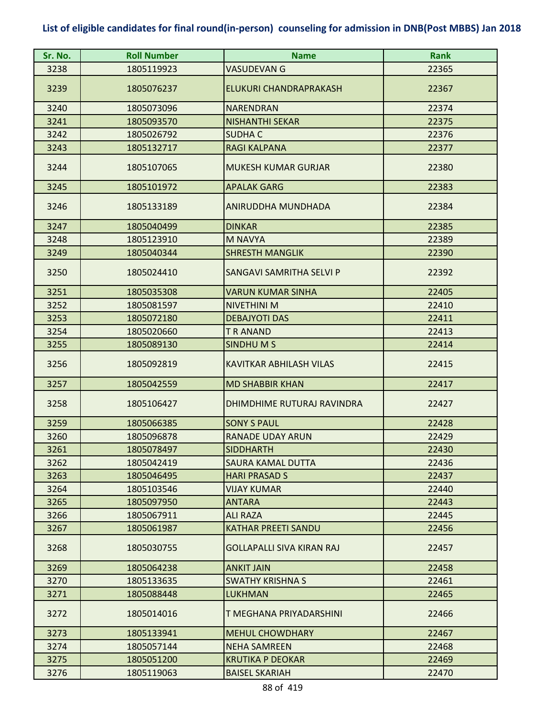| Sr. No. | <b>Roll Number</b> | <b>Name</b>                      | <b>Rank</b> |
|---------|--------------------|----------------------------------|-------------|
| 3238    | 1805119923         | <b>VASUDEVAN G</b>               | 22365       |
| 3239    | 1805076237         | ELUKURI CHANDRAPRAKASH           | 22367       |
| 3240    | 1805073096         | <b>NARENDRAN</b>                 | 22374       |
| 3241    | 1805093570         | <b>NISHANTHI SEKAR</b>           | 22375       |
| 3242    | 1805026792         | <b>SUDHAC</b>                    | 22376       |
| 3243    | 1805132717         | <b>RAGI KALPANA</b>              | 22377       |
| 3244    | 1805107065         | <b>MUKESH KUMAR GURJAR</b>       | 22380       |
| 3245    | 1805101972         | <b>APALAK GARG</b>               | 22383       |
| 3246    | 1805133189         | ANIRUDDHA MUNDHADA               | 22384       |
| 3247    | 1805040499         | <b>DINKAR</b>                    | 22385       |
| 3248    | 1805123910         | <b>M NAVYA</b>                   | 22389       |
| 3249    | 1805040344         | <b>SHRESTH MANGLIK</b>           | 22390       |
| 3250    | 1805024410         | SANGAVI SAMRITHA SELVI P         | 22392       |
| 3251    | 1805035308         | <b>VARUN KUMAR SINHA</b>         | 22405       |
| 3252    | 1805081597         | <b>NIVETHINI M</b>               | 22410       |
| 3253    | 1805072180         | <b>DEBAJYOTI DAS</b>             | 22411       |
| 3254    | 1805020660         | <b>T R ANAND</b>                 | 22413       |
| 3255    | 1805089130         | SINDHUM <sub>S</sub>             | 22414       |
| 3256    | 1805092819         | <b>KAVITKAR ABHILASH VILAS</b>   | 22415       |
| 3257    | 1805042559         | <b>MD SHABBIR KHAN</b>           | 22417       |
| 3258    | 1805106427         | DHIMDHIME RUTURAJ RAVINDRA       | 22427       |
| 3259    | 1805066385         | <b>SONY S PAUL</b>               | 22428       |
| 3260    | 1805096878         | <b>RANADE UDAY ARUN</b>          | 22429       |
| 3261    | 1805078497         | <b>SIDDHARTH</b>                 | 22430       |
| 3262    | 1805042419         | <b>SAURA KAMAL DUTTA</b>         | 22436       |
| 3263    | 1805046495         | <b>HARI PRASAD S</b>             | 22437       |
| 3264    | 1805103546         | <b>VIJAY KUMAR</b>               | 22440       |
| 3265    | 1805097950         | <b>ANTARA</b>                    | 22443       |
| 3266    | 1805067911         | <b>ALI RAZA</b>                  | 22445       |
| 3267    | 1805061987         | <b>KATHAR PREETI SANDU</b>       | 22456       |
| 3268    | 1805030755         | <b>GOLLAPALLI SIVA KIRAN RAJ</b> | 22457       |
| 3269    | 1805064238         | <b>ANKIT JAIN</b>                | 22458       |
| 3270    | 1805133635         | <b>SWATHY KRISHNA S</b>          | 22461       |
| 3271    | 1805088448         | <b>LUKHMAN</b>                   | 22465       |
| 3272    | 1805014016         | T MEGHANA PRIYADARSHINI          | 22466       |
| 3273    | 1805133941         | <b>MEHUL CHOWDHARY</b>           | 22467       |
| 3274    | 1805057144         | <b>NEHA SAMREEN</b>              | 22468       |
| 3275    | 1805051200         | <b>KRUTIKA P DEOKAR</b>          | 22469       |
| 3276    | 1805119063         | <b>BAISEL SKARIAH</b>            | 22470       |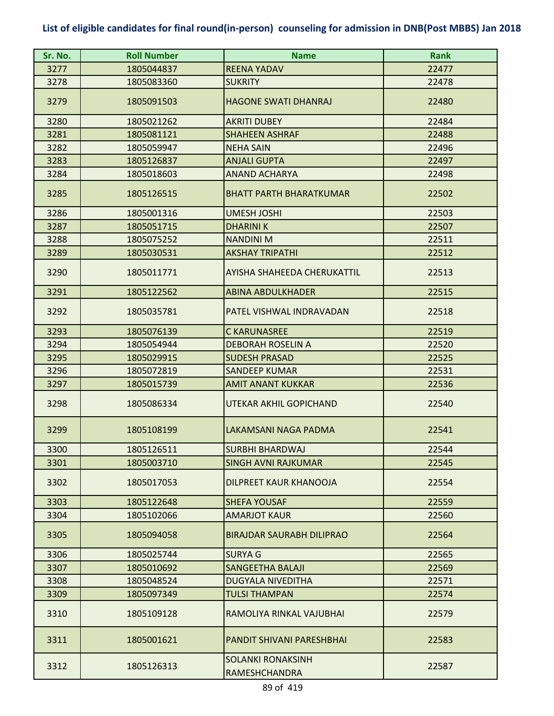| Sr. No. | <b>Roll Number</b> | <b>Name</b>                               | <b>Rank</b> |
|---------|--------------------|-------------------------------------------|-------------|
| 3277    | 1805044837         | <b>REENA YADAV</b>                        | 22477       |
| 3278    | 1805083360         | <b>SUKRITY</b>                            | 22478       |
| 3279    | 1805091503         | <b>HAGONE SWATI DHANRAJ</b>               | 22480       |
| 3280    | 1805021262         | <b>AKRITI DUBEY</b>                       | 22484       |
| 3281    | 1805081121         | <b>SHAHEEN ASHRAF</b>                     | 22488       |
| 3282    | 1805059947         | <b>NEHA SAIN</b>                          | 22496       |
| 3283    | 1805126837         | <b>ANJALI GUPTA</b>                       | 22497       |
| 3284    | 1805018603         | <b>ANAND ACHARYA</b>                      | 22498       |
| 3285    | 1805126515         | <b>BHATT PARTH BHARATKUMAR</b>            | 22502       |
| 3286    | 1805001316         | <b>UMESH JOSHI</b>                        | 22503       |
| 3287    | 1805051715         | <b>DHARINIK</b>                           | 22507       |
| 3288    | 1805075252         | <b>NANDINI M</b>                          | 22511       |
| 3289    | 1805030531         | <b>AKSHAY TRIPATHI</b>                    | 22512       |
| 3290    | 1805011771         | AYISHA SHAHEEDA CHERUKATTIL               | 22513       |
| 3291    | 1805122562         | <b>ABINA ABDULKHADER</b>                  | 22515       |
| 3292    | 1805035781         | PATEL VISHWAL INDRAVADAN                  | 22518       |
| 3293    | 1805076139         | <b>C KARUNASREE</b>                       | 22519       |
| 3294    | 1805054944         | <b>DEBORAH ROSELIN A</b>                  | 22520       |
| 3295    | 1805029915         | <b>SUDESH PRASAD</b>                      | 22525       |
| 3296    | 1805072819         | <b>SANDEEP KUMAR</b>                      | 22531       |
| 3297    | 1805015739         | <b>AMIT ANANT KUKKAR</b>                  | 22536       |
| 3298    | 1805086334         | UTEKAR AKHIL GOPICHAND                    | 22540       |
| 3299    | 1805108199         | <b>LAKAMSANI NAGA PADMA</b>               | 22541       |
| 3300    | 1805126511         | <b>SURBHI BHARDWAJ</b>                    | 22544       |
| 3301    | 1805003710         | <b>SINGH AVNI RAJKUMAR</b>                | 22545       |
| 3302    | 1805017053         | DILPREET KAUR KHANOOJA                    | 22554       |
| 3303    | 1805122648         | <b>SHEFA YOUSAF</b>                       | 22559       |
| 3304    | 1805102066         | <b>AMARJOT KAUR</b>                       | 22560       |
| 3305    | 1805094058         | <b>BIRAJDAR SAURABH DILIPRAO</b>          | 22564       |
| 3306    | 1805025744         | <b>SURYA G</b>                            | 22565       |
| 3307    | 1805010692         | <b>SANGEETHA BALAJI</b>                   | 22569       |
| 3308    | 1805048524         | <b>DUGYALA NIVEDITHA</b>                  | 22571       |
| 3309    | 1805097349         | <b>TULSI THAMPAN</b>                      | 22574       |
| 3310    | 1805109128         | RAMOLIYA RINKAL VAJUBHAI                  | 22579       |
| 3311    | 1805001621         | PANDIT SHIVANI PARESHBHAI                 | 22583       |
| 3312    | 1805126313         | <b>SOLANKI RONAKSINH</b><br>RAMESHCHANDRA | 22587       |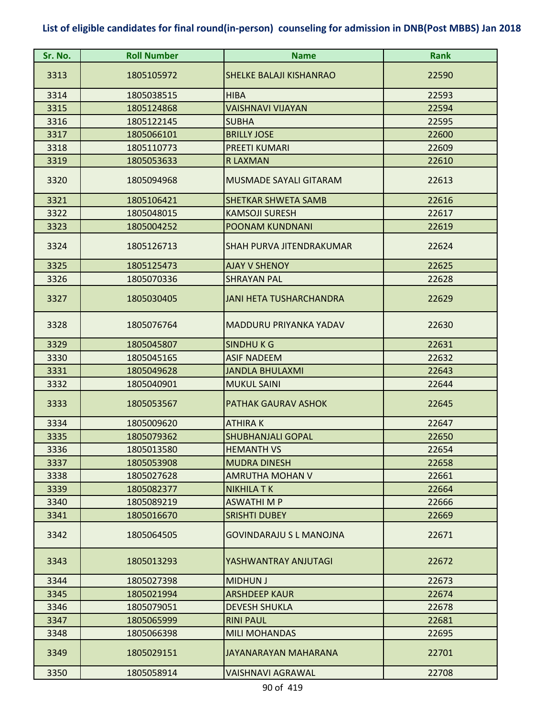| Sr. No. | <b>Roll Number</b> | <b>Name</b>                     | <b>Rank</b> |
|---------|--------------------|---------------------------------|-------------|
| 3313    | 1805105972         | <b>SHELKE BALAJI KISHANRAO</b>  | 22590       |
| 3314    | 1805038515         | <b>HIBA</b>                     | 22593       |
| 3315    | 1805124868         | <b>VAISHNAVI VIJAYAN</b>        | 22594       |
| 3316    | 1805122145         | <b>SUBHA</b>                    | 22595       |
| 3317    | 1805066101         | <b>BRILLY JOSE</b>              | 22600       |
| 3318    | 1805110773         | <b>PREETI KUMARI</b>            | 22609       |
| 3319    | 1805053633         | <b>R LAXMAN</b>                 | 22610       |
| 3320    | 1805094968         | <b>MUSMADE SAYALI GITARAM</b>   | 22613       |
| 3321    | 1805106421         | <b>SHETKAR SHWETA SAMB</b>      | 22616       |
| 3322    | 1805048015         | <b>KAMSOJI SURESH</b>           | 22617       |
| 3323    | 1805004252         | <b>POONAM KUNDNANI</b>          | 22619       |
| 3324    | 1805126713         | <b>SHAH PURVA JITENDRAKUMAR</b> | 22624       |
| 3325    | 1805125473         | <b>AJAY V SHENOY</b>            | 22625       |
| 3326    | 1805070336         | <b>SHRAYAN PAL</b>              | 22628       |
| 3327    | 1805030405         | <b>JANI HETA TUSHARCHANDRA</b>  | 22629       |
| 3328    | 1805076764         | MADDURU PRIYANKA YADAV          | 22630       |
| 3329    | 1805045807         | SINDHUKG                        | 22631       |
| 3330    | 1805045165         | <b>ASIF NADEEM</b>              | 22632       |
| 3331    | 1805049628         | <b>JANDLA BHULAXMI</b>          | 22643       |
| 3332    | 1805040901         | <b>MUKUL SAINI</b>              | 22644       |
| 3333    | 1805053567         | <b>PATHAK GAURAV ASHOK</b>      | 22645       |
| 3334    | 1805009620         | <b>ATHIRAK</b>                  | 22647       |
| 3335    | 1805079362         | <b>SHUBHANJALI GOPAL</b>        | 22650       |
| 3336    | 1805013580         | <b>HEMANTH VS</b>               | 22654       |
| 3337    | 1805053908         | <b>MUDRA DINESH</b>             | 22658       |
| 3338    | 1805027628         | <b>AMRUTHA MOHAN V</b>          | 22661       |
| 3339    | 1805082377         | <b>NIKHILA T K</b>              | 22664       |
| 3340    | 1805089219         | <b>ASWATHIMP</b>                | 22666       |
| 3341    | 1805016670         | <b>SRISHTI DUBEY</b>            | 22669       |
| 3342    | 1805064505         | <b>GOVINDARAJU S L MANOJNA</b>  | 22671       |
| 3343    | 1805013293         | YASHWANTRAY ANJUTAGI            | 22672       |
| 3344    | 1805027398         | <b>MIDHUN J</b>                 | 22673       |
| 3345    | 1805021994         | <b>ARSHDEEP KAUR</b>            | 22674       |
| 3346    | 1805079051         | <b>DEVESH SHUKLA</b>            | 22678       |
| 3347    | 1805065999         | <b>RINI PAUL</b>                | 22681       |
| 3348    | 1805066398         | <b>MILI MOHANDAS</b>            | 22695       |
| 3349    | 1805029151         | JAYANARAYAN MAHARANA            | 22701       |
| 3350    | 1805058914         | VAISHNAVI AGRAWAL               | 22708       |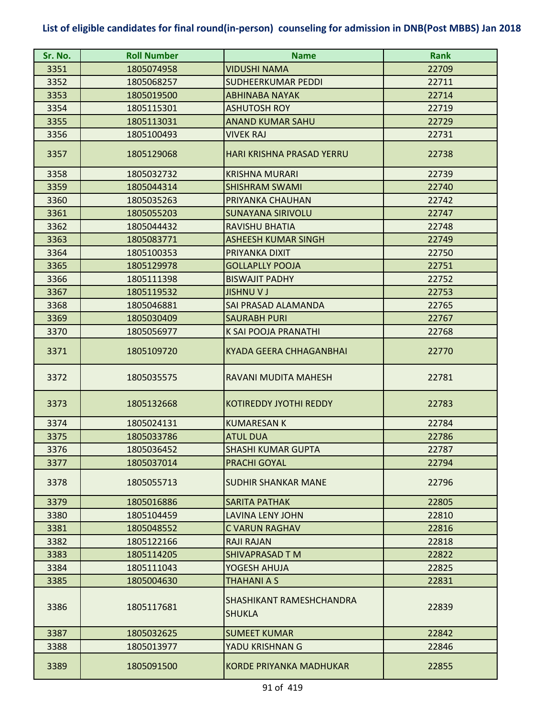| Sr. No. | <b>Roll Number</b> | <b>Name</b>                               | <b>Rank</b> |
|---------|--------------------|-------------------------------------------|-------------|
| 3351    | 1805074958         | <b>VIDUSHI NAMA</b>                       | 22709       |
| 3352    | 1805068257         | <b>SUDHEERKUMAR PEDDI</b>                 | 22711       |
| 3353    | 1805019500         | <b>ABHINABA NAYAK</b>                     | 22714       |
| 3354    | 1805115301         | <b>ASHUTOSH ROY</b>                       | 22719       |
| 3355    | 1805113031         | <b>ANAND KUMAR SAHU</b>                   | 22729       |
| 3356    | 1805100493         | <b>VIVEK RAJ</b>                          | 22731       |
| 3357    | 1805129068         | <b>HARI KRISHNA PRASAD YERRU</b>          | 22738       |
| 3358    | 1805032732         | <b>KRISHNA MURARI</b>                     | 22739       |
| 3359    | 1805044314         | <b>SHISHRAM SWAMI</b>                     | 22740       |
| 3360    | 1805035263         | PRIYANKA CHAUHAN                          | 22742       |
| 3361    | 1805055203         | <b>SUNAYANA SIRIVOLU</b>                  | 22747       |
| 3362    | 1805044432         | <b>RAVISHU BHATIA</b>                     | 22748       |
| 3363    | 1805083771         | <b>ASHEESH KUMAR SINGH</b>                | 22749       |
| 3364    | 1805100353         | PRIYANKA DIXIT                            | 22750       |
| 3365    | 1805129978         | <b>GOLLAPLLY POOJA</b>                    | 22751       |
| 3366    | 1805111398         | <b>BISWAJIT PADHY</b>                     | 22752       |
| 3367    | 1805119532         | <b>JISHNUVJ</b>                           | 22753       |
| 3368    | 1805046881         | SAI PRASAD ALAMANDA                       | 22765       |
| 3369    | 1805030409         | <b>SAURABH PURI</b>                       | 22767       |
| 3370    | 1805056977         | K SAI POOJA PRANATHI                      | 22768       |
| 3371    | 1805109720         | <b>KYADA GEERA CHHAGANBHAI</b>            | 22770       |
| 3372    | 1805035575         | RAVANI MUDITA MAHESH                      | 22781       |
| 3373    | 1805132668         | <b>KOTIREDDY JYOTHI REDDY</b>             | 22783       |
| 3374    | 1805024131         | <b>KUMARESAN K</b>                        | 22784       |
| 3375    | 1805033786         | <b>ATUL DUA</b>                           | 22786       |
| 3376    | 1805036452         | <b>SHASHI KUMAR GUPTA</b>                 | 22787       |
| 3377    | 1805037014         | PRACHI GOYAL                              | 22794       |
| 3378    | 1805055713         | <b>SUDHIR SHANKAR MANE</b>                | 22796       |
| 3379    | 1805016886         | <b>SARITA PATHAK</b>                      | 22805       |
| 3380    | 1805104459         | <b>LAVINA LENY JOHN</b>                   | 22810       |
| 3381    | 1805048552         | <b>C VARUN RAGHAV</b>                     | 22816       |
| 3382    | 1805122166         | <b>RAJI RAJAN</b>                         | 22818       |
| 3383    | 1805114205         | <b>SHIVAPRASAD TM</b>                     | 22822       |
| 3384    | 1805111043         | YOGESH AHUJA                              | 22825       |
| 3385    | 1805004630         | <b>THAHANI A S</b>                        | 22831       |
| 3386    | 1805117681         | SHASHIKANT RAMESHCHANDRA<br><b>SHUKLA</b> | 22839       |
| 3387    | 1805032625         | <b>SUMEET KUMAR</b>                       | 22842       |
| 3388    | 1805013977         | YADU KRISHNAN G                           | 22846       |
| 3389    | 1805091500         | <b>KORDE PRIYANKA MADHUKAR</b>            | 22855       |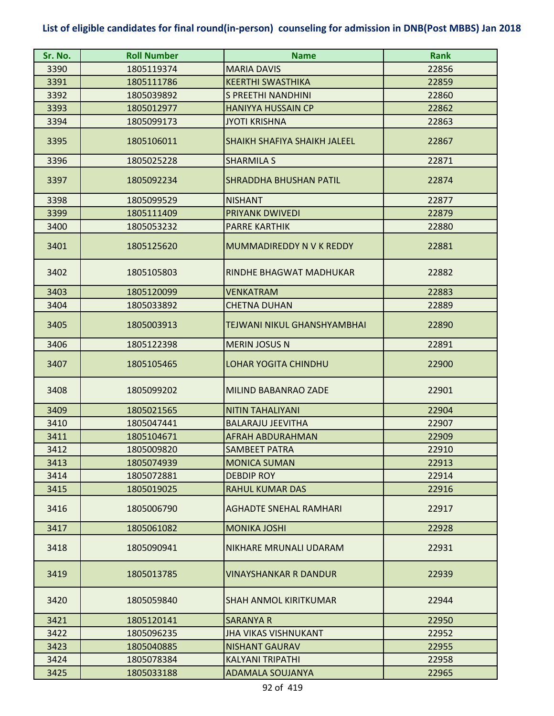| Sr. No. | <b>Roll Number</b> | <b>Name</b>                         | <b>Rank</b> |
|---------|--------------------|-------------------------------------|-------------|
| 3390    | 1805119374         | <b>MARIA DAVIS</b>                  | 22856       |
| 3391    | 1805111786         | <b>KEERTHI SWASTHIKA</b>            | 22859       |
| 3392    | 1805039892         | S PREETHI NANDHINI                  | 22860       |
| 3393    | 1805012977         | <b>HANIYYA HUSSAIN CP</b>           | 22862       |
| 3394    | 1805099173         | <b>JYOTI KRISHNA</b>                | 22863       |
| 3395    | 1805106011         | <b>SHAIKH SHAFIYA SHAIKH JALEEL</b> | 22867       |
| 3396    | 1805025228         | <b>SHARMILA S</b>                   | 22871       |
| 3397    | 1805092234         | <b>SHRADDHA BHUSHAN PATIL</b>       | 22874       |
| 3398    | 1805099529         | <b>NISHANT</b>                      | 22877       |
| 3399    | 1805111409         | <b>PRIYANK DWIVEDI</b>              | 22879       |
| 3400    | 1805053232         | <b>PARRE KARTHIK</b>                | 22880       |
| 3401    | 1805125620         | MUMMADIREDDY N V K REDDY            | 22881       |
| 3402    | 1805105803         | RINDHE BHAGWAT MADHUKAR             | 22882       |
| 3403    | 1805120099         | <b>VENKATRAM</b>                    | 22883       |
| 3404    | 1805033892         | <b>CHETNA DUHAN</b>                 | 22889       |
| 3405    | 1805003913         | <b>TEJWANI NIKUL GHANSHYAMBHAI</b>  | 22890       |
| 3406    | 1805122398         | <b>MERIN JOSUS N</b>                | 22891       |
| 3407    | 1805105465         | <b>LOHAR YOGITA CHINDHU</b>         | 22900       |
| 3408    | 1805099202         | <b>MILIND BABANRAO ZADE</b>         | 22901       |
| 3409    | 1805021565         | <b>NITIN TAHALIYANI</b>             | 22904       |
| 3410    | 1805047441         | <b>BALARAJU JEEVITHA</b>            | 22907       |
| 3411    | 1805104671         | <b>AFRAH ABDURAHMAN</b>             | 22909       |
| 3412    | 1805009820         | SAMBEET PATRA                       | 22910       |
| 3413    | 1805074939         | <b>MONICA SUMAN</b>                 | 22913       |
| 3414    | 1805072881         | <b>DEBDIP ROY</b>                   | 22914       |
| 3415    | 1805019025         | <b>RAHUL KUMAR DAS</b>              | 22916       |
| 3416    | 1805006790         | <b>AGHADTE SNEHAL RAMHARI</b>       | 22917       |
| 3417    | 1805061082         | <b>MONIKA JOSHI</b>                 | 22928       |
| 3418    | 1805090941         | NIKHARE MRUNALI UDARAM              | 22931       |
| 3419    | 1805013785         | <b>VINAYSHANKAR R DANDUR</b>        | 22939       |
| 3420    | 1805059840         | <b>SHAH ANMOL KIRITKUMAR</b>        | 22944       |
| 3421    | 1805120141         | <b>SARANYA R</b>                    | 22950       |
| 3422    | 1805096235         | <b>JHA VIKAS VISHNUKANT</b>         | 22952       |
| 3423    | 1805040885         | <b>NISHANT GAURAV</b>               | 22955       |
| 3424    | 1805078384         | <b>KALYANI TRIPATHI</b>             | 22958       |
| 3425    | 1805033188         | <b>ADAMALA SOUJANYA</b>             | 22965       |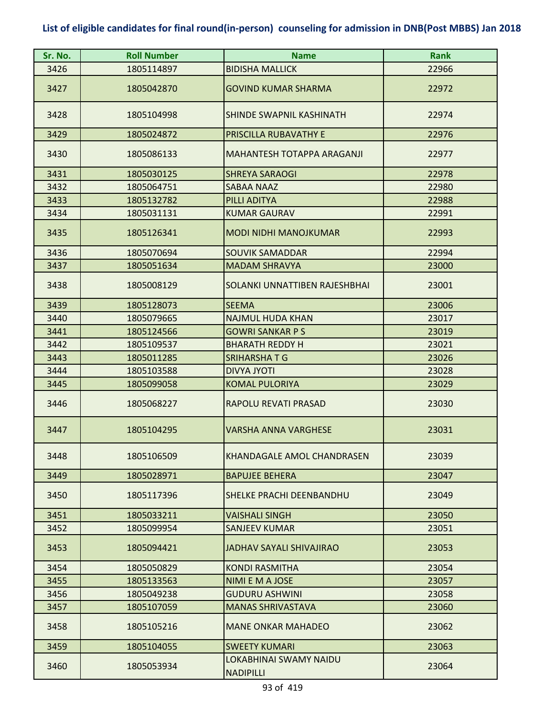| Sr. No. | <b>Roll Number</b> | <b>Name</b>                                | <b>Rank</b> |
|---------|--------------------|--------------------------------------------|-------------|
| 3426    | 1805114897         | <b>BIDISHA MALLICK</b>                     | 22966       |
| 3427    | 1805042870         | <b>GOVIND KUMAR SHARMA</b>                 | 22972       |
| 3428    | 1805104998         | SHINDE SWAPNIL KASHINATH                   | 22974       |
| 3429    | 1805024872         | PRISCILLA RUBAVATHY E                      | 22976       |
| 3430    | 1805086133         | <b>MAHANTESH TOTAPPA ARAGANJI</b>          | 22977       |
| 3431    | 1805030125         | <b>SHREYA SARAOGI</b>                      | 22978       |
| 3432    | 1805064751         | <b>SABAA NAAZ</b>                          | 22980       |
| 3433    | 1805132782         | PILLI ADITYA                               | 22988       |
| 3434    | 1805031131         | <b>KUMAR GAURAV</b>                        | 22991       |
| 3435    | 1805126341         | <b>MODI NIDHI MANOJKUMAR</b>               | 22993       |
| 3436    | 1805070694         | <b>SOUVIK SAMADDAR</b>                     | 22994       |
| 3437    | 1805051634         | <b>MADAM SHRAVYA</b>                       | 23000       |
| 3438    | 1805008129         | SOLANKI UNNATTIBEN RAJESHBHAI              | 23001       |
| 3439    | 1805128073         | <b>SEEMA</b>                               | 23006       |
| 3440    | 1805079665         | <b>NAJMUL HUDA KHAN</b>                    | 23017       |
| 3441    | 1805124566         | <b>GOWRI SANKAR P S</b>                    | 23019       |
| 3442    | 1805109537         | <b>BHARATH REDDY H</b>                     | 23021       |
| 3443    | 1805011285         | <b>SRIHARSHATG</b>                         | 23026       |
| 3444    | 1805103588         | <b>DIVYA JYOTI</b>                         | 23028       |
| 3445    | 1805099058         | <b>KOMAL PULORIYA</b>                      | 23029       |
| 3446    | 1805068227         | RAPOLU REVATI PRASAD                       | 23030       |
| 3447    | 1805104295         | <b>VARSHA ANNA VARGHESE</b>                | 23031       |
| 3448    | 1805106509         | <b>KHANDAGALE AMOL CHANDRASEN</b>          | 23039       |
| 3449    | 1805028971         | <b>BAPUJEE BEHERA</b>                      | 23047       |
| 3450    | 1805117396         | SHELKE PRACHI DEENBANDHU                   | 23049       |
| 3451    | 1805033211         | <b>VAISHALI SINGH</b>                      | 23050       |
| 3452    | 1805099954         | <b>SANJEEV KUMAR</b>                       | 23051       |
| 3453    | 1805094421         | JADHAV SAYALI SHIVAJIRAO                   | 23053       |
| 3454    | 1805050829         | <b>KONDI RASMITHA</b>                      | 23054       |
| 3455    | 1805133563         | NIMI E M A JOSE                            | 23057       |
| 3456    | 1805049238         | <b>GUDURU ASHWINI</b>                      | 23058       |
| 3457    | 1805107059         | <b>MANAS SHRIVASTAVA</b>                   | 23060       |
| 3458    | 1805105216         | <b>MANE ONKAR MAHADEO</b>                  | 23062       |
| 3459    | 1805104055         | <b>SWEETY KUMARI</b>                       | 23063       |
| 3460    | 1805053934         | LOKABHINAI SWAMY NAIDU<br><b>NADIPILLI</b> | 23064       |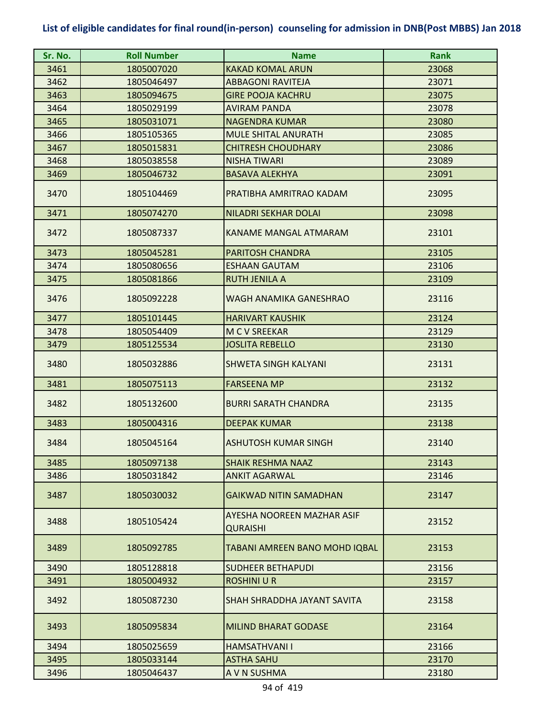| Sr. No. | <b>Roll Number</b> | <b>Name</b>                            | <b>Rank</b> |
|---------|--------------------|----------------------------------------|-------------|
| 3461    | 1805007020         | <b>KAKAD KOMAL ARUN</b>                | 23068       |
| 3462    | 1805046497         | <b>ABBAGONI RAVITEJA</b>               | 23071       |
| 3463    | 1805094675         | <b>GIRE POOJA KACHRU</b>               | 23075       |
| 3464    | 1805029199         | <b>AVIRAM PANDA</b>                    | 23078       |
| 3465    | 1805031071         | <b>NAGENDRA KUMAR</b>                  | 23080       |
| 3466    | 1805105365         | <b>MULE SHITAL ANURATH</b>             | 23085       |
| 3467    | 1805015831         | <b>CHITRESH CHOUDHARY</b>              | 23086       |
| 3468    | 1805038558         | <b>NISHA TIWARI</b>                    | 23089       |
| 3469    | 1805046732         | <b>BASAVA ALEKHYA</b>                  | 23091       |
| 3470    | 1805104469         | PRATIBHA AMRITRAO KADAM                | 23095       |
| 3471    | 1805074270         | <b>NILADRI SEKHAR DOLAI</b>            | 23098       |
| 3472    | 1805087337         | <b>KANAME MANGAL ATMARAM</b>           | 23101       |
| 3473    | 1805045281         | <b>PARITOSH CHANDRA</b>                | 23105       |
| 3474    | 1805080656         | <b>ESHAAN GAUTAM</b>                   | 23106       |
| 3475    | 1805081866         | <b>RUTH JENILA A</b>                   | 23109       |
| 3476    | 1805092228         | WAGH ANAMIKA GANESHRAO                 | 23116       |
| 3477    | 1805101445         | <b>HARIVART KAUSHIK</b>                | 23124       |
| 3478    | 1805054409         | <b>M C V SREEKAR</b>                   | 23129       |
| 3479    | 1805125534         | <b>JOSLITA REBELLO</b>                 | 23130       |
| 3480    | 1805032886         | <b>SHWETA SINGH KALYANI</b>            | 23131       |
| 3481    | 1805075113         | <b>FARSEENA MP</b>                     | 23132       |
| 3482    | 1805132600         | <b>BURRI SARATH CHANDRA</b>            | 23135       |
| 3483    | 1805004316         | <b>DEEPAK KUMAR</b>                    | 23138       |
| 3484    | 1805045164         | ASHUTOSH KUMAR SINGH                   | 23140       |
| 3485    | 1805097138         | <b>SHAIK RESHMA NAAZ</b>               | 23143       |
| 3486    | 1805031842         | <b>ANKIT AGARWAL</b>                   | 23146       |
| 3487    | 1805030032         | <b>GAIKWAD NITIN SAMADHAN</b>          | 23147       |
| 3488    | 1805105424         | AYESHA NOOREEN MAZHAR ASIF<br>QURAISHI | 23152       |
| 3489    | 1805092785         | TABANI AMREEN BANO MOHD IQBAL          | 23153       |
| 3490    | 1805128818         | <b>SUDHEER BETHAPUDI</b>               | 23156       |
| 3491    | 1805004932         | <b>ROSHINI U R</b>                     | 23157       |
| 3492    | 1805087230         | SHAH SHRADDHA JAYANT SAVITA            | 23158       |
| 3493    | 1805095834         | <b>MILIND BHARAT GODASE</b>            | 23164       |
| 3494    | 1805025659         | <b>HAMSATHVANII</b>                    | 23166       |
| 3495    | 1805033144         | <b>ASTHA SAHU</b>                      | 23170       |
| 3496    | 1805046437         | A V N SUSHMA                           | 23180       |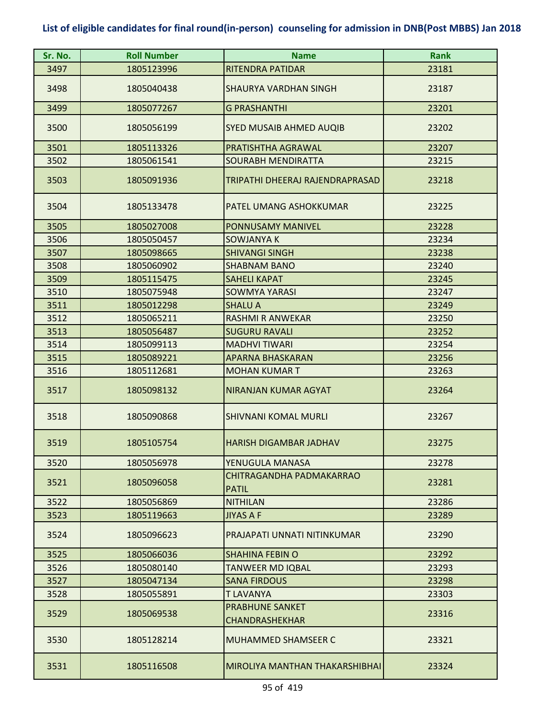| Sr. No. | <b>Roll Number</b> | <b>Name</b>                                     | <b>Rank</b> |
|---------|--------------------|-------------------------------------------------|-------------|
| 3497    | 1805123996         | RITENDRA PATIDAR                                | 23181       |
| 3498    | 1805040438         | <b>SHAURYA VARDHAN SINGH</b>                    | 23187       |
| 3499    | 1805077267         | <b>G PRASHANTHI</b>                             | 23201       |
| 3500    | 1805056199         | SYED MUSAIB AHMED AUQIB                         | 23202       |
| 3501    | 1805113326         | PRATISHTHA AGRAWAL                              | 23207       |
| 3502    | 1805061541         | <b>SOURABH MENDIRATTA</b>                       | 23215       |
| 3503    | 1805091936         | TRIPATHI DHEERAJ RAJENDRAPRASAD                 | 23218       |
| 3504    | 1805133478         | PATEL UMANG ASHOKKUMAR                          | 23225       |
| 3505    | 1805027008         | <b>PONNUSAMY MANIVEL</b>                        | 23228       |
| 3506    | 1805050457         | SOWJANYA K                                      | 23234       |
| 3507    | 1805098665         | <b>SHIVANGI SINGH</b>                           | 23238       |
| 3508    | 1805060902         | <b>SHABNAM BANO</b>                             | 23240       |
| 3509    | 1805115475         | <b>SAHELI KAPAT</b>                             | 23245       |
| 3510    | 1805075948         | <b>SOWMYA YARASI</b>                            | 23247       |
| 3511    | 1805012298         | <b>SHALU A</b>                                  | 23249       |
| 3512    | 1805065211         | <b>RASHMI R ANWEKAR</b>                         | 23250       |
| 3513    | 1805056487         | <b>SUGURU RAVALI</b>                            | 23252       |
| 3514    | 1805099113         | <b>MADHVI TIWARI</b>                            | 23254       |
| 3515    | 1805089221         | <b>APARNA BHASKARAN</b>                         | 23256       |
| 3516    | 1805112681         | <b>MOHAN KUMAR T</b>                            | 23263       |
| 3517    | 1805098132         | NIRANJAN KUMAR AGYAT                            | 23264       |
| 3518    | 1805090868         | <b>SHIVNANI KOMAL MURLI</b>                     | 23267       |
| 3519    | 1805105754         | <b>HARISH DIGAMBAR JADHAV</b>                   | 23275       |
| 3520    | 1805056978         | YENUGULA MANASA                                 | 23278       |
| 3521    | 1805096058         | CHITRAGANDHA PADMAKARRAO<br><b>PATIL</b>        | 23281       |
| 3522    | 1805056869         | <b>NITHILAN</b>                                 | 23286       |
| 3523    | 1805119663         | <b>JIYAS A F</b>                                | 23289       |
| 3524    | 1805096623         | PRAJAPATI UNNATI NITINKUMAR                     | 23290       |
| 3525    | 1805066036         | <b>SHAHINA FEBIN O</b>                          | 23292       |
| 3526    | 1805080140         | <b>TANWEER MD IQBAL</b>                         | 23293       |
| 3527    | 1805047134         | <b>SANA FIRDOUS</b>                             | 23298       |
| 3528    | 1805055891         | <b>T LAVANYA</b>                                | 23303       |
| 3529    | 1805069538         | <b>PRABHUNE SANKET</b><br><b>CHANDRASHEKHAR</b> | 23316       |
| 3530    | 1805128214         | <b>MUHAMMED SHAMSEER C</b>                      | 23321       |
| 3531    | 1805116508         | MIROLIYA MANTHAN THAKARSHIBHAI                  | 23324       |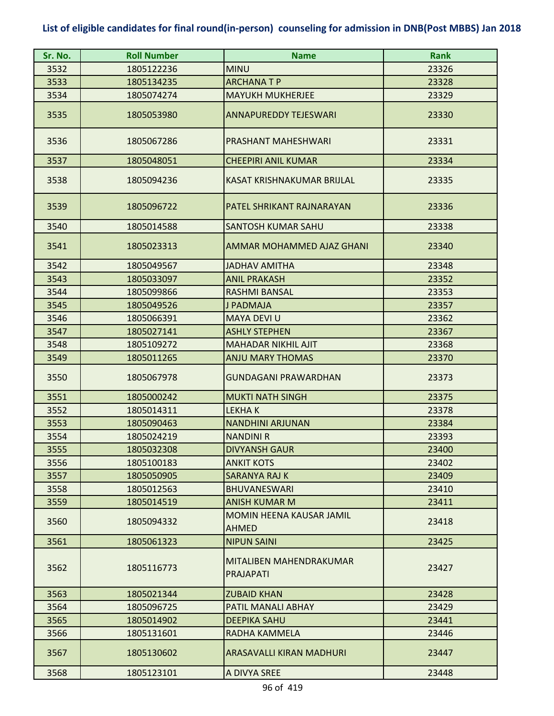| Sr. No. | <b>Roll Number</b> | <b>Name</b>                                 | <b>Rank</b> |
|---------|--------------------|---------------------------------------------|-------------|
| 3532    | 1805122236         | <b>MINU</b>                                 | 23326       |
| 3533    | 1805134235         | <b>ARCHANATP</b>                            | 23328       |
| 3534    | 1805074274         | <b>MAYUKH MUKHERJEE</b>                     | 23329       |
| 3535    | 1805053980         | <b>ANNAPUREDDY TEJESWARI</b>                | 23330       |
| 3536    | 1805067286         | PRASHANT MAHESHWARI                         | 23331       |
| 3537    | 1805048051         | <b>CHEEPIRI ANIL KUMAR</b>                  | 23334       |
| 3538    | 1805094236         | KASAT KRISHNAKUMAR BRIJLAL                  | 23335       |
| 3539    | 1805096722         | PATEL SHRIKANT RAJNARAYAN                   | 23336       |
| 3540    | 1805014588         | <b>SANTOSH KUMAR SAHU</b>                   | 23338       |
| 3541    | 1805023313         | AMMAR MOHAMMED AJAZ GHANI                   | 23340       |
| 3542    | 1805049567         | <b>JADHAV AMITHA</b>                        | 23348       |
| 3543    | 1805033097         | <b>ANIL PRAKASH</b>                         | 23352       |
| 3544    | 1805099866         | <b>RASHMI BANSAL</b>                        | 23353       |
| 3545    | 1805049526         | <b>J PADMAJA</b>                            | 23357       |
| 3546    | 1805066391         | <b>MAYA DEVI U</b>                          | 23362       |
| 3547    | 1805027141         | <b>ASHLY STEPHEN</b>                        | 23367       |
| 3548    | 1805109272         | <b>MAHADAR NIKHIL AJIT</b>                  | 23368       |
| 3549    | 1805011265         | <b>ANJU MARY THOMAS</b>                     | 23370       |
| 3550    | 1805067978         | <b>GUNDAGANI PRAWARDHAN</b>                 | 23373       |
| 3551    | 1805000242         | <b>MUKTI NATH SINGH</b>                     | 23375       |
| 3552    | 1805014311         | <b>LEKHAK</b>                               | 23378       |
| 3553    | 1805090463         | <b>NANDHINI ARJUNAN</b>                     | 23384       |
| 3554    | 1805024219         | <b>NANDINI R</b>                            | 23393       |
| 3555    | 1805032308         | <b>DIVYANSH GAUR</b>                        | 23400       |
| 3556    | 1805100183         | <b>ANKIT KOTS</b>                           | 23402       |
| 3557    | 1805050905         | <b>SARANYA RAJ K</b>                        | 23409       |
| 3558    | 1805012563         | <b>BHUVANESWARI</b>                         | 23410       |
| 3559    | 1805014519         | ANISH KUMAR M                               | 23411       |
| 3560    | 1805094332         | MOMIN HEENA KAUSAR JAMIL<br>AHMED           | 23418       |
| 3561    | 1805061323         | <b>NIPUN SAINI</b>                          | 23425       |
| 3562    | 1805116773         | MITALIBEN MAHENDRAKUMAR<br><b>PRAJAPATI</b> | 23427       |
| 3563    | 1805021344         | <b>ZUBAID KHAN</b>                          | 23428       |
| 3564    | 1805096725         | PATIL MANALI ABHAY                          | 23429       |
| 3565    | 1805014902         | <b>DEEPIKA SAHU</b>                         | 23441       |
| 3566    | 1805131601         | RADHA KAMMELA                               | 23446       |
| 3567    | 1805130602         | <b>ARASAVALLI KIRAN MADHURI</b>             | 23447       |
| 3568    | 1805123101         | A DIVYA SREE                                | 23448       |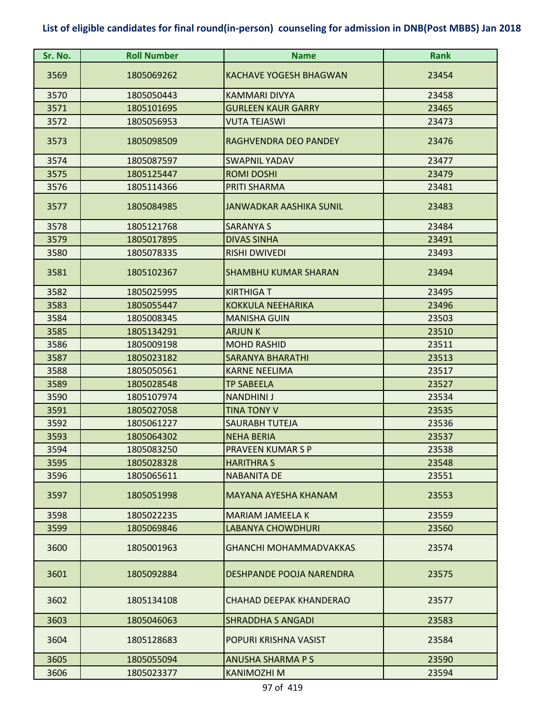| Sr. No. | <b>Roll Number</b> | <b>Name</b>                   | <b>Rank</b> |
|---------|--------------------|-------------------------------|-------------|
| 3569    | 1805069262         | <b>KACHAVE YOGESH BHAGWAN</b> | 23454       |
| 3570    | 1805050443         | <b>KAMMARI DIVYA</b>          | 23458       |
| 3571    | 1805101695         | <b>GURLEEN KAUR GARRY</b>     | 23465       |
| 3572    | 1805056953         | <b>VUTA TEJASWI</b>           | 23473       |
| 3573    | 1805098509         | RAGHVENDRA DEO PANDEY         | 23476       |
| 3574    | 1805087597         | <b>SWAPNIL YADAV</b>          | 23477       |
| 3575    | 1805125447         | <b>ROMI DOSHI</b>             | 23479       |
| 3576    | 1805114366         | PRITI SHARMA                  | 23481       |
| 3577    | 1805084985         | JANWADKAR AASHIKA SUNIL       | 23483       |
| 3578    | 1805121768         | <b>SARANYA S</b>              | 23484       |
| 3579    | 1805017895         | <b>DIVAS SINHA</b>            | 23491       |
| 3580    | 1805078335         | <b>RISHI DWIVEDI</b>          | 23493       |
| 3581    | 1805102367         | <b>SHAMBHU KUMAR SHARAN</b>   | 23494       |
| 3582    | 1805025995         | <b>KIRTHIGAT</b>              | 23495       |
| 3583    | 1805055447         | <b>KOKKULA NEEHARIKA</b>      | 23496       |
| 3584    | 1805008345         | <b>MANISHA GUIN</b>           | 23503       |
| 3585    | 1805134291         | <b>ARJUNK</b>                 | 23510       |
| 3586    | 1805009198         | <b>MOHD RASHID</b>            | 23511       |
| 3587    | 1805023182         | <b>SARANYA BHARATHI</b>       | 23513       |
| 3588    | 1805050561         | <b>KARNE NEELIMA</b>          | 23517       |
| 3589    | 1805028548         | <b>TP SABEELA</b>             | 23527       |
| 3590    | 1805107974         | <b>NANDHINI J</b>             | 23534       |
| 3591    | 1805027058         | <b>TINA TONY V</b>            | 23535       |
| 3592    | 1805061227         | <b>SAURABH TUTEJA</b>         | 23536       |
| 3593    | 1805064302         | <b>NEHA BERIA</b>             | 23537       |
| 3594    | 1805083250         | <b>PRAVEEN KUMARSP</b>        | 23538       |
| 3595    | 1805028328         | <b>HARITHRA S</b>             | 23548       |
| 3596    | 1805065611         | <b>NABANITA DE</b>            | 23551       |
| 3597    | 1805051998         | <b>MAYANA AYESHA KHANAM</b>   | 23553       |
| 3598    | 1805022235         | <b>MARIAM JAMEELA K</b>       | 23559       |
| 3599    | 1805069846         | <b>LABANYA CHOWDHURI</b>      | 23560       |
| 3600    | 1805001963         | <b>GHANCHI MOHAMMADVAKKAS</b> | 23574       |
| 3601    | 1805092884         | DESHPANDE POOJA NARENDRA      | 23575       |
| 3602    | 1805134108         | CHAHAD DEEPAK KHANDERAO       | 23577       |
| 3603    | 1805046063         | <b>SHRADDHA S ANGADI</b>      | 23583       |
| 3604    | 1805128683         | POPURI KRISHNA VASIST         | 23584       |
| 3605    | 1805055094         | <b>ANUSHA SHARMA P S</b>      | 23590       |
| 3606    | 1805023377         | KANIMOZHI M                   | 23594       |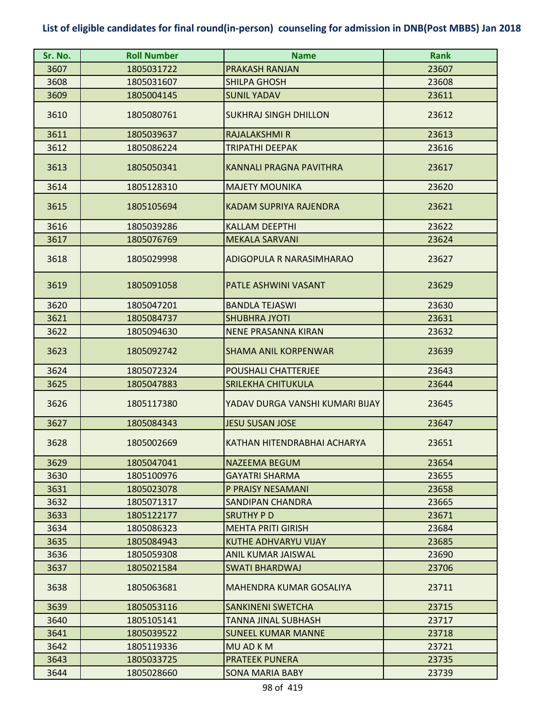| Sr. No. | <b>Roll Number</b> | <b>Name</b>                     | Rank  |
|---------|--------------------|---------------------------------|-------|
| 3607    | 1805031722         | <b>PRAKASH RANJAN</b>           | 23607 |
| 3608    | 1805031607         | <b>SHILPA GHOSH</b>             | 23608 |
| 3609    | 1805004145         | <b>SUNIL YADAV</b>              | 23611 |
| 3610    | 1805080761         | <b>SUKHRAJ SINGH DHILLON</b>    | 23612 |
| 3611    | 1805039637         | <b>RAJALAKSHMI R</b>            | 23613 |
| 3612    | 1805086224         | <b>TRIPATHI DEEPAK</b>          | 23616 |
| 3613    | 1805050341         | <b>KANNALI PRAGNA PAVITHRA</b>  | 23617 |
| 3614    | 1805128310         | <b>MAJETY MOUNIKA</b>           | 23620 |
| 3615    | 1805105694         | KADAM SUPRIYA RAJENDRA          | 23621 |
| 3616    | 1805039286         | <b>KALLAM DEEPTHI</b>           | 23622 |
| 3617    | 1805076769         | <b>MEKALA SARVANI</b>           | 23624 |
| 3618    | 1805029998         | ADIGOPULA R NARASIMHARAO        | 23627 |
| 3619    | 1805091058         | PATLE ASHWINI VASANT            | 23629 |
| 3620    | 1805047201         | <b>BANDLA TEJASWI</b>           | 23630 |
| 3621    | 1805084737         | <b>SHUBHRA JYOTI</b>            | 23631 |
| 3622    | 1805094630         | <b>NENE PRASANNA KIRAN</b>      | 23632 |
| 3623    | 1805092742         | <b>SHAMA ANIL KORPENWAR</b>     | 23639 |
| 3624    | 1805072324         | <b>POUSHALI CHATTERJEE</b>      | 23643 |
| 3625    | 1805047883         | SRILEKHA CHITUKULA              | 23644 |
| 3626    | 1805117380         | YADAV DURGA VANSHI KUMARI BIJAY | 23645 |
| 3627    | 1805084343         | <b>JESU SUSAN JOSE</b>          | 23647 |
| 3628    | 1805002669         | KATHAN HITENDRABHAI ACHARYA     | 23651 |
| 3629    | 1805047041         | NAZEEMA BEGUM                   | 23654 |
| 3630    | 1805100976         | <b>GAYATRI SHARMA</b>           | 23655 |
| 3631    | 1805023078         | P PRAISY NESAMANI               | 23658 |
| 3632    | 1805071317         | <b>SANDIPAN CHANDRA</b>         | 23665 |
| 3633    | 1805122177         | <b>SRUTHY PD</b>                | 23671 |
| 3634    | 1805086323         | <b>MEHTA PRITI GIRISH</b>       | 23684 |
| 3635    | 1805084943         | KUTHE ADHVARYU VIJAY            | 23685 |
| 3636    | 1805059308         | ANIL KUMAR JAISWAL              | 23690 |
| 3637    | 1805021584         | <b>SWATI BHARDWAJ</b>           | 23706 |
| 3638    | 1805063681         | MAHENDRA KUMAR GOSALIYA         | 23711 |
| 3639    | 1805053116         | <b>SANKINENI SWETCHA</b>        | 23715 |
| 3640    | 1805105141         | TANNA JINAL SUBHASH             | 23717 |
| 3641    | 1805039522         | <b>SUNEEL KUMAR MANNE</b>       | 23718 |
| 3642    | 1805119336         | MU AD K M                       | 23721 |
| 3643    | 1805033725         | <b>PRATEEK PUNERA</b>           | 23735 |
| 3644    | 1805028660         | <b>SONA MARIA BABY</b>          | 23739 |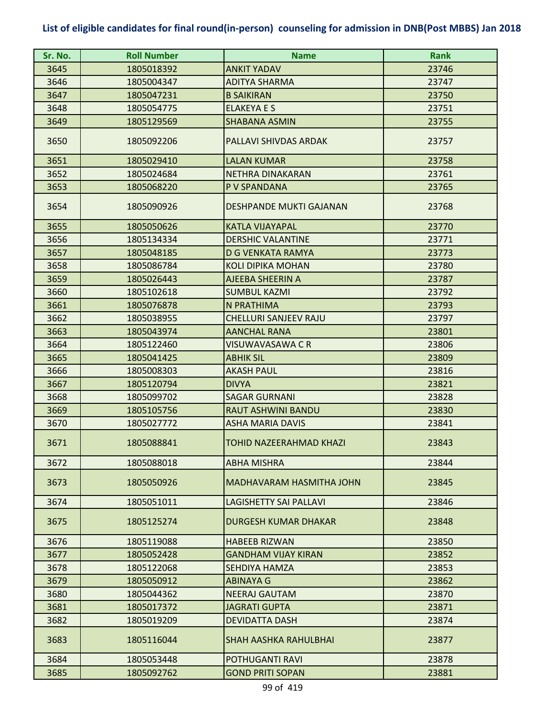| Sr. No. | <b>Roll Number</b> | <b>Name</b>                    | <b>Rank</b> |
|---------|--------------------|--------------------------------|-------------|
| 3645    | 1805018392         | <b>ANKIT YADAV</b>             | 23746       |
| 3646    | 1805004347         | <b>ADITYA SHARMA</b>           | 23747       |
| 3647    | 1805047231         | <b>B SAIKIRAN</b>              | 23750       |
| 3648    | 1805054775         | <b>ELAKEYA E S</b>             | 23751       |
| 3649    | 1805129569         | <b>SHABANA ASMIN</b>           | 23755       |
| 3650    | 1805092206         | PALLAVI SHIVDAS ARDAK          | 23757       |
| 3651    | 1805029410         | <b>LALAN KUMAR</b>             | 23758       |
| 3652    | 1805024684         | NETHRA DINAKARAN               | 23761       |
| 3653    | 1805068220         | P V SPANDANA                   | 23765       |
| 3654    | 1805090926         | <b>DESHPANDE MUKTI GAJANAN</b> | 23768       |
| 3655    | 1805050626         | <b>KATLA VIJAYAPAL</b>         | 23770       |
| 3656    | 1805134334         | <b>DERSHIC VALANTINE</b>       | 23771       |
| 3657    | 1805048185         | <b>D G VENKATA RAMYA</b>       | 23773       |
| 3658    | 1805086784         | <b>KOLI DIPIKA MOHAN</b>       | 23780       |
| 3659    | 1805026443         | AJEEBA SHEERIN A               | 23787       |
| 3660    | 1805102618         | <b>SUMBUL KAZMI</b>            | 23792       |
| 3661    | 1805076878         | N PRATHIMA                     | 23793       |
| 3662    | 1805038955         | <b>CHELLURI SANJEEV RAJU</b>   | 23797       |
| 3663    | 1805043974         | <b>AANCHAL RANA</b>            | 23801       |
| 3664    | 1805122460         | VISUWAVASAWA C R               | 23806       |
| 3665    | 1805041425         | <b>ABHIK SIL</b>               | 23809       |
| 3666    | 1805008303         | <b>AKASH PAUL</b>              | 23816       |
| 3667    | 1805120794         | <b>DIVYA</b>                   | 23821       |
| 3668    | 1805099702         | <b>SAGAR GURNANI</b>           | 23828       |
| 3669    | 1805105756         | RAUT ASHWINI BANDU             | 23830       |
| 3670    | 1805027772         | <b>ASHA MARIA DAVIS</b>        | 23841       |
| 3671    | 1805088841         | TOHID NAZEERAHMAD KHAZI        | 23843       |
| 3672    | 1805088018         | <b>ABHA MISHRA</b>             | 23844       |
| 3673    | 1805050926         | MADHAVARAM HASMITHA JOHN       | 23845       |
| 3674    | 1805051011         | <b>LAGISHETTY SAI PALLAVI</b>  | 23846       |
| 3675    | 1805125274         | DURGESH KUMAR DHAKAR           | 23848       |
| 3676    | 1805119088         | <b>HABEEB RIZWAN</b>           | 23850       |
| 3677    | 1805052428         | <b>GANDHAM VIJAY KIRAN</b>     | 23852       |
| 3678    | 1805122068         | SEHDIYA HAMZA                  | 23853       |
| 3679    | 1805050912         | <b>ABINAYA G</b>               | 23862       |
| 3680    | 1805044362         | <b>NEERAJ GAUTAM</b>           | 23870       |
| 3681    | 1805017372         | <b>JAGRATI GUPTA</b>           | 23871       |
| 3682    | 1805019209         | <b>DEVIDATTA DASH</b>          | 23874       |
| 3683    | 1805116044         | <b>SHAH AASHKA RAHULBHAI</b>   | 23877       |
| 3684    | 1805053448         | POTHUGANTI RAVI                | 23878       |
| 3685    | 1805092762         | <b>GOND PRITI SOPAN</b>        | 23881       |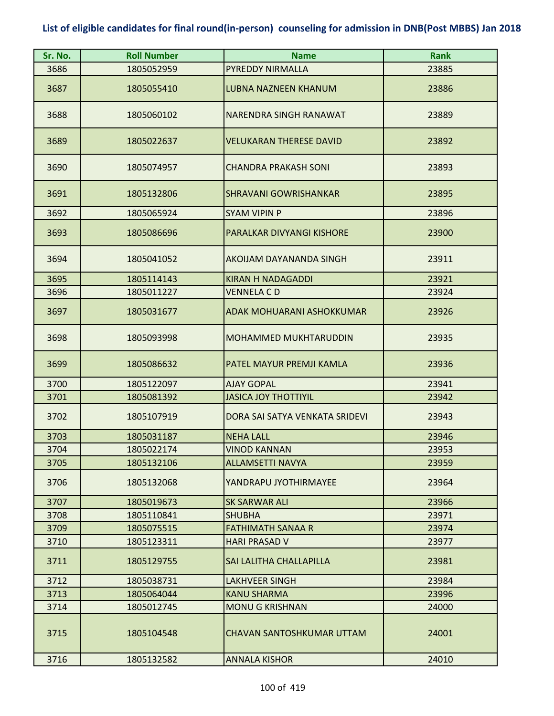| Sr. No. | <b>Roll Number</b> | <b>Name</b>                      | <b>Rank</b> |
|---------|--------------------|----------------------------------|-------------|
| 3686    | 1805052959         | PYREDDY NIRMALLA                 | 23885       |
| 3687    | 1805055410         | <b>LUBNA NAZNEEN KHANUM</b>      | 23886       |
| 3688    | 1805060102         | NARENDRA SINGH RANAWAT           | 23889       |
| 3689    | 1805022637         | <b>VELUKARAN THERESE DAVID</b>   | 23892       |
| 3690    | 1805074957         | <b>CHANDRA PRAKASH SONI</b>      | 23893       |
| 3691    | 1805132806         | <b>SHRAVANI GOWRISHANKAR</b>     | 23895       |
| 3692    | 1805065924         | <b>SYAM VIPIN P</b>              | 23896       |
| 3693    | 1805086696         | PARALKAR DIVYANGI KISHORE        | 23900       |
| 3694    | 1805041052         | AKOIJAM DAYANANDA SINGH          | 23911       |
| 3695    | 1805114143         | <b>KIRAN H NADAGADDI</b>         | 23921       |
| 3696    | 1805011227         | <b>VENNELA CD</b>                | 23924       |
| 3697    | 1805031677         | ADAK MOHUARANI ASHOKKUMAR        | 23926       |
| 3698    | 1805093998         | <b>MOHAMMED MUKHTARUDDIN</b>     | 23935       |
| 3699    | 1805086632         | PATEL MAYUR PREMJI KAMLA         | 23936       |
| 3700    | 1805122097         | <b>AJAY GOPAL</b>                | 23941       |
| 3701    | 1805081392         | <b>JASICA JOY THOTTIYIL</b>      | 23942       |
| 3702    | 1805107919         | DORA SAI SATYA VENKATA SRIDEVI   | 23943       |
| 3703    | 1805031187         | <b>NEHA LALL</b>                 | 23946       |
| 3704    | 1805022174         | <b>VINOD KANNAN</b>              | 23953       |
| 3705    | 1805132106         | <b>ALLAMSETTI NAVYA</b>          | 23959       |
| 3706    | 1805132068         | YANDRAPU JYOTHIRMAYEE            | 23964       |
| 3707    | 1805019673         | <b>SK SARWAR ALI</b>             | 23966       |
| 3708    | 1805110841         | <b>SHUBHA</b>                    | 23971       |
| 3709    | 1805075515         | <b>FATHIMATH SANAA R</b>         | 23974       |
| 3710    | 1805123311         | <b>HARI PRASAD V</b>             | 23977       |
| 3711    | 1805129755         | SAI LALITHA CHALLAPILLA          | 23981       |
| 3712    | 1805038731         | <b>LAKHVEER SINGH</b>            | 23984       |
| 3713    | 1805064044         | <b>KANU SHARMA</b>               | 23996       |
| 3714    | 1805012745         | <b>MONU G KRISHNAN</b>           | 24000       |
| 3715    | 1805104548         | <b>CHAVAN SANTOSHKUMAR UTTAM</b> | 24001       |
| 3716    | 1805132582         | <b>ANNALA KISHOR</b>             | 24010       |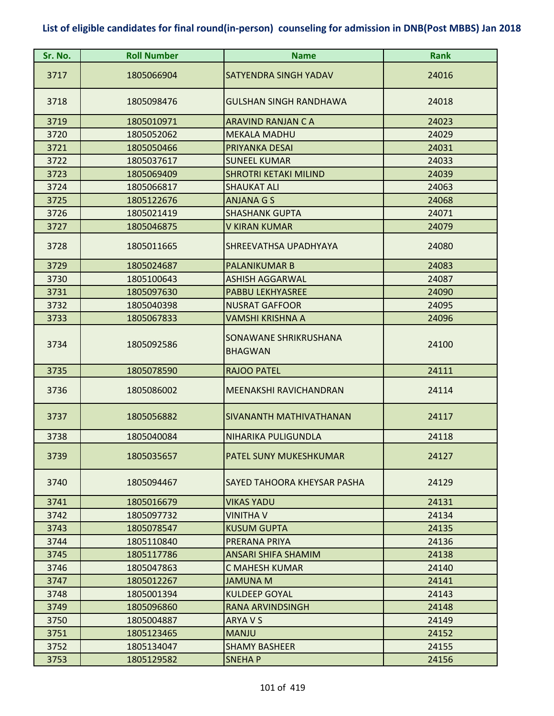| Sr. No. | <b>Roll Number</b> | <b>Name</b>                             | <b>Rank</b> |
|---------|--------------------|-----------------------------------------|-------------|
| 3717    | 1805066904         | SATYENDRA SINGH YADAV                   | 24016       |
| 3718    | 1805098476         | <b>GULSHAN SINGH RANDHAWA</b>           | 24018       |
| 3719    | 1805010971         | ARAVIND RANJAN C A                      | 24023       |
| 3720    | 1805052062         | <b>MEKALA MADHU</b>                     | 24029       |
| 3721    | 1805050466         | PRIYANKA DESAI                          | 24031       |
| 3722    | 1805037617         | <b>SUNEEL KUMAR</b>                     | 24033       |
| 3723    | 1805069409         | <b>SHROTRI KETAKI MILIND</b>            | 24039       |
| 3724    | 1805066817         | <b>SHAUKAT ALI</b>                      | 24063       |
| 3725    | 1805122676         | <b>ANJANA G S</b>                       | 24068       |
| 3726    | 1805021419         | <b>SHASHANK GUPTA</b>                   | 24071       |
| 3727    | 1805046875         | <b>V KIRAN KUMAR</b>                    | 24079       |
| 3728    | 1805011665         | SHREEVATHSA UPADHYAYA                   | 24080       |
| 3729    | 1805024687         | <b>PALANIKUMAR B</b>                    | 24083       |
| 3730    | 1805100643         | <b>ASHISH AGGARWAL</b>                  | 24087       |
| 3731    | 1805097630         | <b>PABBU LEKHYASREE</b>                 | 24090       |
| 3732    | 1805040398         | <b>NUSRAT GAFFOOR</b>                   | 24095       |
| 3733    | 1805067833         | VAMSHI KRISHNA A                        | 24096       |
| 3734    | 1805092586         | SONAWANE SHRIKRUSHANA<br><b>BHAGWAN</b> | 24100       |
| 3735    | 1805078590         | <b>RAJOO PATEL</b>                      | 24111       |
| 3736    | 1805086002         | MEENAKSHI RAVICHANDRAN                  | 24114       |
| 3737    | 1805056882         | <b>SIVANANTH MATHIVATHANAN</b>          | 24117       |
| 3738    | 1805040084         | NIHARIKA PULIGUNDLA                     | 24118       |
| 3739    | 1805035657         | PATEL SUNY MUKESHKUMAR                  | 24127       |
| 3740    | 1805094467         | SAYED TAHOORA KHEYSAR PASHA             | 24129       |
| 3741    | 1805016679         | <b>VIKAS YADU</b>                       | 24131       |
| 3742    | 1805097732         | <b>VINITHA V</b>                        | 24134       |
| 3743    | 1805078547         | <b>KUSUM GUPTA</b>                      | 24135       |
| 3744    | 1805110840         | PRERANA PRIYA                           | 24136       |
| 3745    | 1805117786         | ANSARI SHIFA SHAMIM                     | 24138       |
| 3746    | 1805047863         | <b>C MAHESH KUMAR</b>                   | 24140       |
| 3747    | 1805012267         | <b>JAMUNA M</b>                         | 24141       |
| 3748    | 1805001394         | <b>KULDEEP GOYAL</b>                    | 24143       |
| 3749    | 1805096860         | <b>RANA ARVINDSINGH</b>                 | 24148       |
| 3750    | 1805004887         | ARYA V S                                | 24149       |
| 3751    | 1805123465         | <b>MANJU</b>                            | 24152       |
| 3752    | 1805134047         | <b>SHAMY BASHEER</b>                    | 24155       |
| 3753    | 1805129582         | <b>SNEHAP</b>                           | 24156       |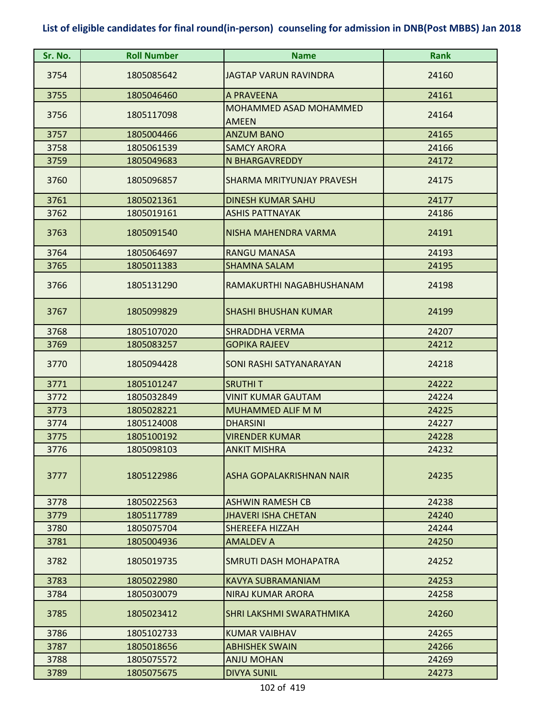| Sr. No. | <b>Roll Number</b> | <b>Name</b>                            | <b>Rank</b> |
|---------|--------------------|----------------------------------------|-------------|
| 3754    | 1805085642         | <b>JAGTAP VARUN RAVINDRA</b>           | 24160       |
| 3755    | 1805046460         | A PRAVEENA                             | 24161       |
| 3756    | 1805117098         | MOHAMMED ASAD MOHAMMED<br><b>AMEEN</b> | 24164       |
| 3757    | 1805004466         | <b>ANZUM BANO</b>                      | 24165       |
| 3758    | 1805061539         | <b>SAMCY ARORA</b>                     | 24166       |
| 3759    | 1805049683         | <b>N BHARGAVREDDY</b>                  | 24172       |
| 3760    | 1805096857         | SHARMA MRITYUNJAY PRAVESH              | 24175       |
| 3761    | 1805021361         | <b>DINESH KUMAR SAHU</b>               | 24177       |
| 3762    | 1805019161         | <b>ASHIS PATTNAYAK</b>                 | 24186       |
| 3763    | 1805091540         | NISHA MAHENDRA VARMA                   | 24191       |
| 3764    | 1805064697         | <b>RANGU MANASA</b>                    | 24193       |
| 3765    | 1805011383         | <b>SHAMNA SALAM</b>                    | 24195       |
| 3766    | 1805131290         | RAMAKURTHI NAGABHUSHANAM               | 24198       |
| 3767    | 1805099829         | <b>SHASHI BHUSHAN KUMAR</b>            | 24199       |
| 3768    | 1805107020         | <b>SHRADDHA VERMA</b>                  | 24207       |
| 3769    | 1805083257         | <b>GOPIKA RAJEEV</b>                   | 24212       |
| 3770    | 1805094428         | SONI RASHI SATYANARAYAN                | 24218       |
| 3771    | 1805101247         | <b>SRUTHIT</b>                         | 24222       |
| 3772    | 1805032849         | VINIT KUMAR GAUTAM                     | 24224       |
| 3773    | 1805028221         | MUHAMMED ALIF M M                      | 24225       |
| 3774    | 1805124008         | <b>DHARSINI</b>                        | 24227       |
| 3775    | 1805100192         | VIRENDER KUMAR                         | 24228       |
| 3776    | 1805098103         | <b>ANKIT MISHRA</b>                    | 24232       |
| 3777    | 1805122986         | ASHA GOPALAKRISHNAN NAIR               | 24235       |
| 3778    | 1805022563         | <b>ASHWIN RAMESH CB</b>                | 24238       |
| 3779    | 1805117789         | <b>JHAVERI ISHA CHETAN</b>             | 24240       |
| 3780    | 1805075704         | SHEREEFA HIZZAH                        | 24244       |
| 3781    | 1805004936         | <b>AMALDEV A</b>                       | 24250       |
| 3782    | 1805019735         | <b>SMRUTI DASH MOHAPATRA</b>           | 24252       |
| 3783    | 1805022980         | KAVYA SUBRAMANIAM                      | 24253       |
| 3784    | 1805030079         | NIRAJ KUMAR ARORA                      | 24258       |
| 3785    | 1805023412         | SHRI LAKSHMI SWARATHMIKA               | 24260       |
| 3786    | 1805102733         | <b>KUMAR VAIBHAV</b>                   | 24265       |
| 3787    | 1805018656         | <b>ABHISHEK SWAIN</b>                  | 24266       |
| 3788    | 1805075572         | <b>ANJU MOHAN</b>                      | 24269       |
| 3789    | 1805075675         | <b>DIVYA SUNIL</b>                     | 24273       |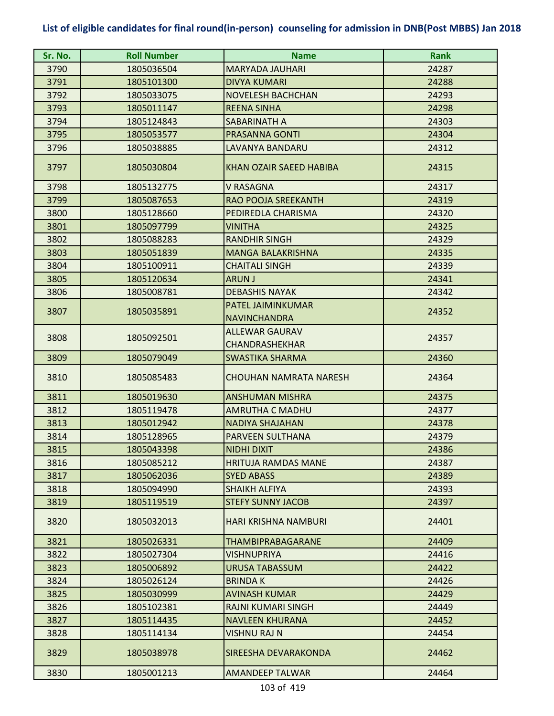| 3790<br>1805036504<br>24287<br>MARYADA JAUHARI<br>3791<br>24288<br>1805101300<br><b>DIVYA KUMARI</b><br>3792<br>1805033075<br><b>NOVELESH BACHCHAN</b><br>24293<br>3793<br>1805011147<br><b>REENA SINHA</b><br>24298<br>3794<br>1805124843<br>SABARINATH A<br>24303<br>3795<br>1805053577<br><b>PRASANNA GONTI</b><br>24304<br>3796<br>1805038885<br>LAVANYA BANDARU<br>24312<br>3797<br>KHAN OZAIR SAEED HABIBA<br>24315<br>1805030804<br>3798<br>24317<br>1805132775<br>V RASAGNA<br>3799<br>RAO POOJA SREEKANTH<br>24319<br>1805087653<br>3800<br>1805128660<br>PEDIREDLA CHARISMA<br>24320<br>3801<br>24325<br>1805097799<br>VINITHA<br>3802<br>24329<br>1805088283<br><b>RANDHIR SINGH</b><br>3803<br>1805051839<br><b>MANGA BALAKRISHNA</b><br>24335<br>3804<br>1805100911<br><b>CHAITALI SINGH</b><br>24339<br>3805<br>1805120634<br><b>ARUN J</b><br>24341<br>3806<br><b>DEBASHIS NAYAK</b><br>24342<br>1805008781<br>PATEL JAIMINKUMAR<br>3807<br>1805035891<br>24352<br><b>NAVINCHANDRA</b><br><b>ALLEWAR GAURAV</b><br>3808<br>24357<br>1805092501<br>CHANDRASHEKHAR<br>3809<br><b>SWASTIKA SHARMA</b><br>24360<br>1805079049<br>3810<br><b>CHOUHAN NAMRATA NARESH</b><br>24364<br>1805085483<br>3811<br>1805019630<br><b>ANSHUMAN MISHRA</b><br>24375<br>3812<br>1805119478<br>AMRUTHA C MADHU<br>24377<br>3813<br>1805012942<br><b>NADIYA SHAJAHAN</b><br>24378<br>3814<br>1805128965<br><b>PARVEEN SULTHANA</b><br>24379<br>3815<br>1805043398<br><b>NIDHI DIXIT</b><br>24386<br>3816<br>1805085212<br><b>HRITUJA RAMDAS MANE</b><br>24387<br>3817<br>1805062036<br><b>SYED ABASS</b><br>24389<br>3818<br>1805094990<br><b>SHAIKH ALFIYA</b><br>24393<br>3819<br><b>STEFY SUNNY JACOB</b><br>1805119519<br>24397<br>3820<br>1805032013<br>24401<br><b>HARI KRISHNA NAMBURI</b><br>3821<br>1805026331<br><b>THAMBIPRABAGARANE</b><br>24409<br>3822<br>1805027304<br>VISHNUPRIYA<br>24416<br>3823<br>1805006892<br>URUSA TABASSUM<br>24422<br>3824<br>24426<br>1805026124<br><b>BRINDAK</b><br>3825<br>1805030999<br><b>AVINASH KUMAR</b><br>24429<br>3826<br>1805102381<br><b>RAJNI KUMARI SINGH</b><br>24449<br>3827<br><b>NAVLEEN KHURANA</b><br>1805114435<br>24452<br>3828<br>24454<br>1805114134<br>VISHNU RAJ N<br>3829<br>1805038978<br>SIREESHA DEVARAKONDA<br>24462<br>3830<br>1805001213<br><b>AMANDEEP TALWAR</b><br>24464 | Sr. No. | <b>Roll Number</b> | <b>Name</b> | <b>Rank</b> |
|----------------------------------------------------------------------------------------------------------------------------------------------------------------------------------------------------------------------------------------------------------------------------------------------------------------------------------------------------------------------------------------------------------------------------------------------------------------------------------------------------------------------------------------------------------------------------------------------------------------------------------------------------------------------------------------------------------------------------------------------------------------------------------------------------------------------------------------------------------------------------------------------------------------------------------------------------------------------------------------------------------------------------------------------------------------------------------------------------------------------------------------------------------------------------------------------------------------------------------------------------------------------------------------------------------------------------------------------------------------------------------------------------------------------------------------------------------------------------------------------------------------------------------------------------------------------------------------------------------------------------------------------------------------------------------------------------------------------------------------------------------------------------------------------------------------------------------------------------------------------------------------------------------------------------------------------------------------------------------------------------------------------------------------------------------------------------------------------------------------------------------------------------------------------------------------------------------------------------------------------------------------------------------------------------------------------------------------------------|---------|--------------------|-------------|-------------|
|                                                                                                                                                                                                                                                                                                                                                                                                                                                                                                                                                                                                                                                                                                                                                                                                                                                                                                                                                                                                                                                                                                                                                                                                                                                                                                                                                                                                                                                                                                                                                                                                                                                                                                                                                                                                                                                                                                                                                                                                                                                                                                                                                                                                                                                                                                                                                    |         |                    |             |             |
|                                                                                                                                                                                                                                                                                                                                                                                                                                                                                                                                                                                                                                                                                                                                                                                                                                                                                                                                                                                                                                                                                                                                                                                                                                                                                                                                                                                                                                                                                                                                                                                                                                                                                                                                                                                                                                                                                                                                                                                                                                                                                                                                                                                                                                                                                                                                                    |         |                    |             |             |
|                                                                                                                                                                                                                                                                                                                                                                                                                                                                                                                                                                                                                                                                                                                                                                                                                                                                                                                                                                                                                                                                                                                                                                                                                                                                                                                                                                                                                                                                                                                                                                                                                                                                                                                                                                                                                                                                                                                                                                                                                                                                                                                                                                                                                                                                                                                                                    |         |                    |             |             |
|                                                                                                                                                                                                                                                                                                                                                                                                                                                                                                                                                                                                                                                                                                                                                                                                                                                                                                                                                                                                                                                                                                                                                                                                                                                                                                                                                                                                                                                                                                                                                                                                                                                                                                                                                                                                                                                                                                                                                                                                                                                                                                                                                                                                                                                                                                                                                    |         |                    |             |             |
|                                                                                                                                                                                                                                                                                                                                                                                                                                                                                                                                                                                                                                                                                                                                                                                                                                                                                                                                                                                                                                                                                                                                                                                                                                                                                                                                                                                                                                                                                                                                                                                                                                                                                                                                                                                                                                                                                                                                                                                                                                                                                                                                                                                                                                                                                                                                                    |         |                    |             |             |
|                                                                                                                                                                                                                                                                                                                                                                                                                                                                                                                                                                                                                                                                                                                                                                                                                                                                                                                                                                                                                                                                                                                                                                                                                                                                                                                                                                                                                                                                                                                                                                                                                                                                                                                                                                                                                                                                                                                                                                                                                                                                                                                                                                                                                                                                                                                                                    |         |                    |             |             |
|                                                                                                                                                                                                                                                                                                                                                                                                                                                                                                                                                                                                                                                                                                                                                                                                                                                                                                                                                                                                                                                                                                                                                                                                                                                                                                                                                                                                                                                                                                                                                                                                                                                                                                                                                                                                                                                                                                                                                                                                                                                                                                                                                                                                                                                                                                                                                    |         |                    |             |             |
|                                                                                                                                                                                                                                                                                                                                                                                                                                                                                                                                                                                                                                                                                                                                                                                                                                                                                                                                                                                                                                                                                                                                                                                                                                                                                                                                                                                                                                                                                                                                                                                                                                                                                                                                                                                                                                                                                                                                                                                                                                                                                                                                                                                                                                                                                                                                                    |         |                    |             |             |
|                                                                                                                                                                                                                                                                                                                                                                                                                                                                                                                                                                                                                                                                                                                                                                                                                                                                                                                                                                                                                                                                                                                                                                                                                                                                                                                                                                                                                                                                                                                                                                                                                                                                                                                                                                                                                                                                                                                                                                                                                                                                                                                                                                                                                                                                                                                                                    |         |                    |             |             |
|                                                                                                                                                                                                                                                                                                                                                                                                                                                                                                                                                                                                                                                                                                                                                                                                                                                                                                                                                                                                                                                                                                                                                                                                                                                                                                                                                                                                                                                                                                                                                                                                                                                                                                                                                                                                                                                                                                                                                                                                                                                                                                                                                                                                                                                                                                                                                    |         |                    |             |             |
|                                                                                                                                                                                                                                                                                                                                                                                                                                                                                                                                                                                                                                                                                                                                                                                                                                                                                                                                                                                                                                                                                                                                                                                                                                                                                                                                                                                                                                                                                                                                                                                                                                                                                                                                                                                                                                                                                                                                                                                                                                                                                                                                                                                                                                                                                                                                                    |         |                    |             |             |
|                                                                                                                                                                                                                                                                                                                                                                                                                                                                                                                                                                                                                                                                                                                                                                                                                                                                                                                                                                                                                                                                                                                                                                                                                                                                                                                                                                                                                                                                                                                                                                                                                                                                                                                                                                                                                                                                                                                                                                                                                                                                                                                                                                                                                                                                                                                                                    |         |                    |             |             |
|                                                                                                                                                                                                                                                                                                                                                                                                                                                                                                                                                                                                                                                                                                                                                                                                                                                                                                                                                                                                                                                                                                                                                                                                                                                                                                                                                                                                                                                                                                                                                                                                                                                                                                                                                                                                                                                                                                                                                                                                                                                                                                                                                                                                                                                                                                                                                    |         |                    |             |             |
|                                                                                                                                                                                                                                                                                                                                                                                                                                                                                                                                                                                                                                                                                                                                                                                                                                                                                                                                                                                                                                                                                                                                                                                                                                                                                                                                                                                                                                                                                                                                                                                                                                                                                                                                                                                                                                                                                                                                                                                                                                                                                                                                                                                                                                                                                                                                                    |         |                    |             |             |
|                                                                                                                                                                                                                                                                                                                                                                                                                                                                                                                                                                                                                                                                                                                                                                                                                                                                                                                                                                                                                                                                                                                                                                                                                                                                                                                                                                                                                                                                                                                                                                                                                                                                                                                                                                                                                                                                                                                                                                                                                                                                                                                                                                                                                                                                                                                                                    |         |                    |             |             |
|                                                                                                                                                                                                                                                                                                                                                                                                                                                                                                                                                                                                                                                                                                                                                                                                                                                                                                                                                                                                                                                                                                                                                                                                                                                                                                                                                                                                                                                                                                                                                                                                                                                                                                                                                                                                                                                                                                                                                                                                                                                                                                                                                                                                                                                                                                                                                    |         |                    |             |             |
|                                                                                                                                                                                                                                                                                                                                                                                                                                                                                                                                                                                                                                                                                                                                                                                                                                                                                                                                                                                                                                                                                                                                                                                                                                                                                                                                                                                                                                                                                                                                                                                                                                                                                                                                                                                                                                                                                                                                                                                                                                                                                                                                                                                                                                                                                                                                                    |         |                    |             |             |
|                                                                                                                                                                                                                                                                                                                                                                                                                                                                                                                                                                                                                                                                                                                                                                                                                                                                                                                                                                                                                                                                                                                                                                                                                                                                                                                                                                                                                                                                                                                                                                                                                                                                                                                                                                                                                                                                                                                                                                                                                                                                                                                                                                                                                                                                                                                                                    |         |                    |             |             |
|                                                                                                                                                                                                                                                                                                                                                                                                                                                                                                                                                                                                                                                                                                                                                                                                                                                                                                                                                                                                                                                                                                                                                                                                                                                                                                                                                                                                                                                                                                                                                                                                                                                                                                                                                                                                                                                                                                                                                                                                                                                                                                                                                                                                                                                                                                                                                    |         |                    |             |             |
|                                                                                                                                                                                                                                                                                                                                                                                                                                                                                                                                                                                                                                                                                                                                                                                                                                                                                                                                                                                                                                                                                                                                                                                                                                                                                                                                                                                                                                                                                                                                                                                                                                                                                                                                                                                                                                                                                                                                                                                                                                                                                                                                                                                                                                                                                                                                                    |         |                    |             |             |
|                                                                                                                                                                                                                                                                                                                                                                                                                                                                                                                                                                                                                                                                                                                                                                                                                                                                                                                                                                                                                                                                                                                                                                                                                                                                                                                                                                                                                                                                                                                                                                                                                                                                                                                                                                                                                                                                                                                                                                                                                                                                                                                                                                                                                                                                                                                                                    |         |                    |             |             |
|                                                                                                                                                                                                                                                                                                                                                                                                                                                                                                                                                                                                                                                                                                                                                                                                                                                                                                                                                                                                                                                                                                                                                                                                                                                                                                                                                                                                                                                                                                                                                                                                                                                                                                                                                                                                                                                                                                                                                                                                                                                                                                                                                                                                                                                                                                                                                    |         |                    |             |             |
|                                                                                                                                                                                                                                                                                                                                                                                                                                                                                                                                                                                                                                                                                                                                                                                                                                                                                                                                                                                                                                                                                                                                                                                                                                                                                                                                                                                                                                                                                                                                                                                                                                                                                                                                                                                                                                                                                                                                                                                                                                                                                                                                                                                                                                                                                                                                                    |         |                    |             |             |
|                                                                                                                                                                                                                                                                                                                                                                                                                                                                                                                                                                                                                                                                                                                                                                                                                                                                                                                                                                                                                                                                                                                                                                                                                                                                                                                                                                                                                                                                                                                                                                                                                                                                                                                                                                                                                                                                                                                                                                                                                                                                                                                                                                                                                                                                                                                                                    |         |                    |             |             |
|                                                                                                                                                                                                                                                                                                                                                                                                                                                                                                                                                                                                                                                                                                                                                                                                                                                                                                                                                                                                                                                                                                                                                                                                                                                                                                                                                                                                                                                                                                                                                                                                                                                                                                                                                                                                                                                                                                                                                                                                                                                                                                                                                                                                                                                                                                                                                    |         |                    |             |             |
|                                                                                                                                                                                                                                                                                                                                                                                                                                                                                                                                                                                                                                                                                                                                                                                                                                                                                                                                                                                                                                                                                                                                                                                                                                                                                                                                                                                                                                                                                                                                                                                                                                                                                                                                                                                                                                                                                                                                                                                                                                                                                                                                                                                                                                                                                                                                                    |         |                    |             |             |
|                                                                                                                                                                                                                                                                                                                                                                                                                                                                                                                                                                                                                                                                                                                                                                                                                                                                                                                                                                                                                                                                                                                                                                                                                                                                                                                                                                                                                                                                                                                                                                                                                                                                                                                                                                                                                                                                                                                                                                                                                                                                                                                                                                                                                                                                                                                                                    |         |                    |             |             |
|                                                                                                                                                                                                                                                                                                                                                                                                                                                                                                                                                                                                                                                                                                                                                                                                                                                                                                                                                                                                                                                                                                                                                                                                                                                                                                                                                                                                                                                                                                                                                                                                                                                                                                                                                                                                                                                                                                                                                                                                                                                                                                                                                                                                                                                                                                                                                    |         |                    |             |             |
|                                                                                                                                                                                                                                                                                                                                                                                                                                                                                                                                                                                                                                                                                                                                                                                                                                                                                                                                                                                                                                                                                                                                                                                                                                                                                                                                                                                                                                                                                                                                                                                                                                                                                                                                                                                                                                                                                                                                                                                                                                                                                                                                                                                                                                                                                                                                                    |         |                    |             |             |
|                                                                                                                                                                                                                                                                                                                                                                                                                                                                                                                                                                                                                                                                                                                                                                                                                                                                                                                                                                                                                                                                                                                                                                                                                                                                                                                                                                                                                                                                                                                                                                                                                                                                                                                                                                                                                                                                                                                                                                                                                                                                                                                                                                                                                                                                                                                                                    |         |                    |             |             |
|                                                                                                                                                                                                                                                                                                                                                                                                                                                                                                                                                                                                                                                                                                                                                                                                                                                                                                                                                                                                                                                                                                                                                                                                                                                                                                                                                                                                                                                                                                                                                                                                                                                                                                                                                                                                                                                                                                                                                                                                                                                                                                                                                                                                                                                                                                                                                    |         |                    |             |             |
|                                                                                                                                                                                                                                                                                                                                                                                                                                                                                                                                                                                                                                                                                                                                                                                                                                                                                                                                                                                                                                                                                                                                                                                                                                                                                                                                                                                                                                                                                                                                                                                                                                                                                                                                                                                                                                                                                                                                                                                                                                                                                                                                                                                                                                                                                                                                                    |         |                    |             |             |
|                                                                                                                                                                                                                                                                                                                                                                                                                                                                                                                                                                                                                                                                                                                                                                                                                                                                                                                                                                                                                                                                                                                                                                                                                                                                                                                                                                                                                                                                                                                                                                                                                                                                                                                                                                                                                                                                                                                                                                                                                                                                                                                                                                                                                                                                                                                                                    |         |                    |             |             |
|                                                                                                                                                                                                                                                                                                                                                                                                                                                                                                                                                                                                                                                                                                                                                                                                                                                                                                                                                                                                                                                                                                                                                                                                                                                                                                                                                                                                                                                                                                                                                                                                                                                                                                                                                                                                                                                                                                                                                                                                                                                                                                                                                                                                                                                                                                                                                    |         |                    |             |             |
|                                                                                                                                                                                                                                                                                                                                                                                                                                                                                                                                                                                                                                                                                                                                                                                                                                                                                                                                                                                                                                                                                                                                                                                                                                                                                                                                                                                                                                                                                                                                                                                                                                                                                                                                                                                                                                                                                                                                                                                                                                                                                                                                                                                                                                                                                                                                                    |         |                    |             |             |
|                                                                                                                                                                                                                                                                                                                                                                                                                                                                                                                                                                                                                                                                                                                                                                                                                                                                                                                                                                                                                                                                                                                                                                                                                                                                                                                                                                                                                                                                                                                                                                                                                                                                                                                                                                                                                                                                                                                                                                                                                                                                                                                                                                                                                                                                                                                                                    |         |                    |             |             |
|                                                                                                                                                                                                                                                                                                                                                                                                                                                                                                                                                                                                                                                                                                                                                                                                                                                                                                                                                                                                                                                                                                                                                                                                                                                                                                                                                                                                                                                                                                                                                                                                                                                                                                                                                                                                                                                                                                                                                                                                                                                                                                                                                                                                                                                                                                                                                    |         |                    |             |             |
|                                                                                                                                                                                                                                                                                                                                                                                                                                                                                                                                                                                                                                                                                                                                                                                                                                                                                                                                                                                                                                                                                                                                                                                                                                                                                                                                                                                                                                                                                                                                                                                                                                                                                                                                                                                                                                                                                                                                                                                                                                                                                                                                                                                                                                                                                                                                                    |         |                    |             |             |
|                                                                                                                                                                                                                                                                                                                                                                                                                                                                                                                                                                                                                                                                                                                                                                                                                                                                                                                                                                                                                                                                                                                                                                                                                                                                                                                                                                                                                                                                                                                                                                                                                                                                                                                                                                                                                                                                                                                                                                                                                                                                                                                                                                                                                                                                                                                                                    |         |                    |             |             |
|                                                                                                                                                                                                                                                                                                                                                                                                                                                                                                                                                                                                                                                                                                                                                                                                                                                                                                                                                                                                                                                                                                                                                                                                                                                                                                                                                                                                                                                                                                                                                                                                                                                                                                                                                                                                                                                                                                                                                                                                                                                                                                                                                                                                                                                                                                                                                    |         |                    |             |             |
|                                                                                                                                                                                                                                                                                                                                                                                                                                                                                                                                                                                                                                                                                                                                                                                                                                                                                                                                                                                                                                                                                                                                                                                                                                                                                                                                                                                                                                                                                                                                                                                                                                                                                                                                                                                                                                                                                                                                                                                                                                                                                                                                                                                                                                                                                                                                                    |         |                    |             |             |
|                                                                                                                                                                                                                                                                                                                                                                                                                                                                                                                                                                                                                                                                                                                                                                                                                                                                                                                                                                                                                                                                                                                                                                                                                                                                                                                                                                                                                                                                                                                                                                                                                                                                                                                                                                                                                                                                                                                                                                                                                                                                                                                                                                                                                                                                                                                                                    |         |                    |             |             |
|                                                                                                                                                                                                                                                                                                                                                                                                                                                                                                                                                                                                                                                                                                                                                                                                                                                                                                                                                                                                                                                                                                                                                                                                                                                                                                                                                                                                                                                                                                                                                                                                                                                                                                                                                                                                                                                                                                                                                                                                                                                                                                                                                                                                                                                                                                                                                    |         |                    |             |             |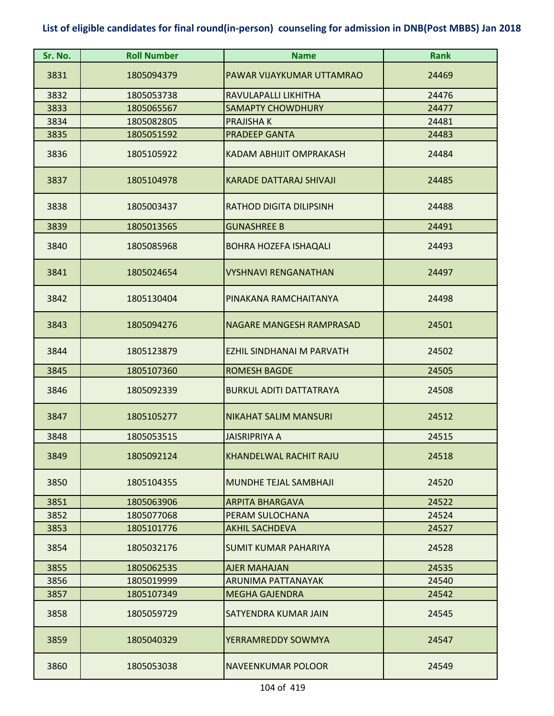| Sr. No. | <b>Roll Number</b> | <b>Name</b>                      | <b>Rank</b> |
|---------|--------------------|----------------------------------|-------------|
| 3831    | 1805094379         | PAWAR VIJAYKUMAR UTTAMRAO        | 24469       |
| 3832    | 1805053738         | RAVULAPALLI LIKHITHA             | 24476       |
| 3833    | 1805065567         | <b>SAMAPTY CHOWDHURY</b>         | 24477       |
| 3834    | 1805082805         | <b>PRAJISHA K</b>                | 24481       |
| 3835    | 1805051592         | <b>PRADEEP GANTA</b>             | 24483       |
| 3836    | 1805105922         | <b>KADAM ABHIJIT OMPRAKASH</b>   | 24484       |
| 3837    | 1805104978         | <b>KARADE DATTARAJ SHIVAJI</b>   | 24485       |
| 3838    | 1805003437         | <b>RATHOD DIGITA DILIPSINH</b>   | 24488       |
| 3839    | 1805013565         | <b>GUNASHREE B</b>               | 24491       |
| 3840    | 1805085968         | <b>BOHRA HOZEFA ISHAQALI</b>     | 24493       |
| 3841    | 1805024654         | <b>VYSHNAVI RENGANATHAN</b>      | 24497       |
| 3842    | 1805130404         | PINAKANA RAMCHAITANYA            | 24498       |
| 3843    | 1805094276         | <b>NAGARE MANGESH RAMPRASAD</b>  | 24501       |
| 3844    | 1805123879         | <b>EZHIL SINDHANAI M PARVATH</b> | 24502       |
| 3845    | 1805107360         | <b>ROMESH BAGDE</b>              | 24505       |
| 3846    | 1805092339         | <b>BURKUL ADITI DATTATRAYA</b>   | 24508       |
| 3847    | 1805105277         | <b>NIKAHAT SALIM MANSURI</b>     | 24512       |
| 3848    | 1805053515         | <b>JAISRIPRIYA A</b>             | 24515       |
| 3849    | 1805092124         | KHANDELWAL RACHIT RAJU           | 24518       |
| 3850    | 1805104355         | MUNDHE TEJAL SAMBHAJI            | 24520       |
| 3851    | 1805063906         | <b>ARPITA BHARGAVA</b>           | 24522       |
| 3852    | 1805077068         | PERAM SULOCHANA                  | 24524       |
| 3853    | 1805101776         | <b>AKHIL SACHDEVA</b>            | 24527       |
| 3854    | 1805032176         | <b>SUMIT KUMAR PAHARIYA</b>      | 24528       |
| 3855    | 1805062535         | <b>AJER MAHAJAN</b>              | 24535       |
| 3856    | 1805019999         | ARUNIMA PATTANAYAK               | 24540       |
| 3857    | 1805107349         | <b>MEGHA GAJENDRA</b>            | 24542       |
| 3858    | 1805059729         | SATYENDRA KUMAR JAIN             | 24545       |
| 3859    | 1805040329         | YERRAMREDDY SOWMYA               | 24547       |
| 3860    | 1805053038         | NAVEENKUMAR POLOOR               | 24549       |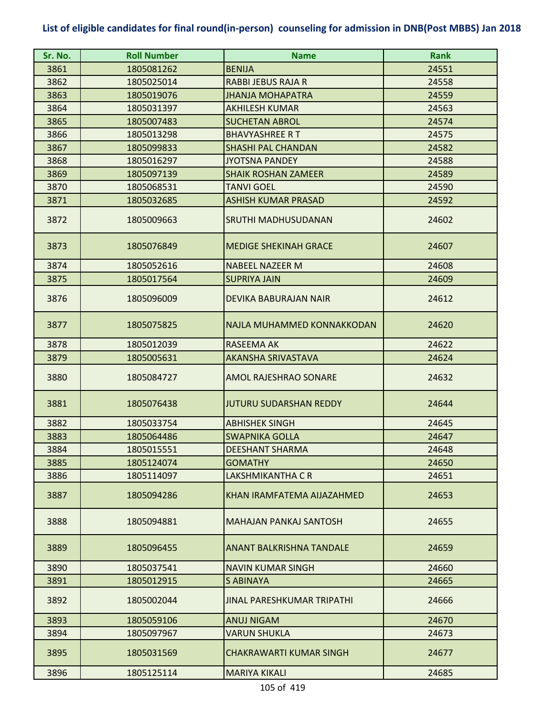| Sr. No. | <b>Roll Number</b> | <b>Name</b>                       | <b>Rank</b> |
|---------|--------------------|-----------------------------------|-------------|
| 3861    | 1805081262         | <b>BENIJA</b>                     | 24551       |
| 3862    | 1805025014         | <b>RABBI JEBUS RAJA R</b>         | 24558       |
| 3863    | 1805019076         | <b>JHANJA MOHAPATRA</b>           | 24559       |
| 3864    | 1805031397         | <b>AKHILESH KUMAR</b>             | 24563       |
| 3865    | 1805007483         | <b>SUCHETAN ABROL</b>             | 24574       |
| 3866    | 1805013298         | <b>BHAVYASHREE RT</b>             | 24575       |
| 3867    | 1805099833         | <b>SHASHI PAL CHANDAN</b>         | 24582       |
| 3868    | 1805016297         | <b>JYOTSNA PANDEY</b>             | 24588       |
| 3869    | 1805097139         | <b>SHAIK ROSHAN ZAMEER</b>        | 24589       |
| 3870    | 1805068531         | <b>TANVI GOEL</b>                 | 24590       |
| 3871    | 1805032685         | <b>ASHISH KUMAR PRASAD</b>        | 24592       |
| 3872    | 1805009663         | SRUTHI MADHUSUDANAN               | 24602       |
| 3873    | 1805076849         | <b>MEDIGE SHEKINAH GRACE</b>      | 24607       |
| 3874    | 1805052616         | <b>NABEEL NAZEER M</b>            | 24608       |
| 3875    | 1805017564         | <b>SUPRIYA JAIN</b>               | 24609       |
| 3876    | 1805096009         | DEVIKA BABURAJAN NAIR             | 24612       |
| 3877    | 1805075825         | NAJLA MUHAMMED KONNAKKODAN        | 24620       |
| 3878    | 1805012039         | RASEEMA AK                        | 24622       |
| 3879    | 1805005631         | <b>AKANSHA SRIVASTAVA</b>         | 24624       |
| 3880    | 1805084727         | AMOL RAJESHRAO SONARE             | 24632       |
| 3881    | 1805076438         | <b>JUTURU SUDARSHAN REDDY</b>     | 24644       |
| 3882    | 1805033754         | <b>ABHISHEK SINGH</b>             | 24645       |
| 3883    | 1805064486         | <b>SWAPNIKA GOLLA</b>             | 24647       |
| 3884    | 1805015551         | <b>DEESHANT SHARMA</b>            | 24648       |
| 3885    | 1805124074         | <b>GOMATHY</b>                    | 24650       |
| 3886    | 1805114097         | LAKSHMIKANTHA C R                 | 24651       |
| 3887    | 1805094286         | KHAN IRAMFATEMA AIJAZAHMED        | 24653       |
| 3888    | 1805094881         | <b>MAHAJAN PANKAJ SANTOSH</b>     | 24655       |
| 3889    | 1805096455         | <b>ANANT BALKRISHNA TANDALE</b>   | 24659       |
| 3890    | 1805037541         | <b>NAVIN KUMAR SINGH</b>          | 24660       |
| 3891    | 1805012915         | S ABINAYA                         | 24665       |
| 3892    | 1805002044         | <b>JINAL PARESHKUMAR TRIPATHI</b> | 24666       |
| 3893    | 1805059106         | <b>ANUJ NIGAM</b>                 | 24670       |
| 3894    | 1805097967         | <b>VARUN SHUKLA</b>               | 24673       |
| 3895    | 1805031569         | <b>CHAKRAWARTI KUMAR SINGH</b>    | 24677       |
| 3896    | 1805125114         | <b>MARIYA KIKALI</b>              | 24685       |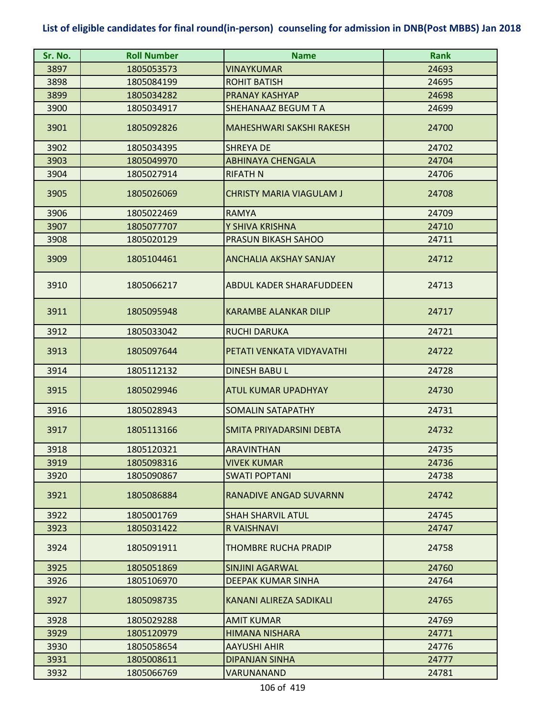| Sr. No. | <b>Roll Number</b> | <b>Name</b>                     | <b>Rank</b> |
|---------|--------------------|---------------------------------|-------------|
| 3897    | 1805053573         | VINAYKUMAR                      | 24693       |
| 3898    | 1805084199         | <b>ROHIT BATISH</b>             | 24695       |
| 3899    | 1805034282         | <b>PRANAY KASHYAP</b>           | 24698       |
| 3900    | 1805034917         | SHEHANAAZ BEGUM T A             | 24699       |
| 3901    | 1805092826         | <b>MAHESHWARI SAKSHI RAKESH</b> | 24700       |
| 3902    | 1805034395         | <b>SHREYA DE</b>                | 24702       |
| 3903    | 1805049970         | <b>ABHINAYA CHENGALA</b>        | 24704       |
| 3904    | 1805027914         | <b>RIFATH N</b>                 | 24706       |
| 3905    | 1805026069         | <b>CHRISTY MARIA VIAGULAM J</b> | 24708       |
| 3906    | 1805022469         | <b>RAMYA</b>                    | 24709       |
| 3907    | 1805077707         | Y SHIVA KRISHNA                 | 24710       |
| 3908    | 1805020129         | PRASUN BIKASH SAHOO             | 24711       |
| 3909    | 1805104461         | <b>ANCHALIA AKSHAY SANJAY</b>   | 24712       |
| 3910    | 1805066217         | <b>ABDUL KADER SHARAFUDDEEN</b> | 24713       |
| 3911    | 1805095948         | <b>KARAMBE ALANKAR DILIP</b>    | 24717       |
| 3912    | 1805033042         | <b>RUCHI DARUKA</b>             | 24721       |
| 3913    | 1805097644         | PETATI VENKATA VIDYAVATHI       | 24722       |
| 3914    | 1805112132         | <b>DINESH BABUL</b>             | 24728       |
| 3915    | 1805029946         | <b>ATUL KUMAR UPADHYAY</b>      | 24730       |
| 3916    | 1805028943         | <b>SOMALIN SATAPATHY</b>        | 24731       |
| 3917    | 1805113166         | SMITA PRIYADARSINI DEBTA        | 24732       |
| 3918    | 1805120321         | <b>ARAVINTHAN</b>               | 24735       |
| 3919    | 1805098316         | <b>VIVEK KUMAR</b>              | 24736       |
| 3920    | 1805090867         | <b>SWATI POPTANI</b>            | 24738       |
| 3921    | 1805086884         | <b>RANADIVE ANGAD SUVARNN</b>   | 24742       |
| 3922    | 1805001769         | <b>SHAH SHARVIL ATUL</b>        | 24745       |
| 3923    | 1805031422         | R VAISHNAVI                     | 24747       |
| 3924    | 1805091911         | <b>THOMBRE RUCHA PRADIP</b>     | 24758       |
| 3925    | 1805051869         | <b>SINJINI AGARWAL</b>          | 24760       |
| 3926    | 1805106970         | <b>DEEPAK KUMAR SINHA</b>       | 24764       |
| 3927    | 1805098735         | KANANI ALIREZA SADIKALI         | 24765       |
| 3928    | 1805029288         | <b>AMIT KUMAR</b>               | 24769       |
| 3929    | 1805120979         | <b>HIMANA NISHARA</b>           | 24771       |
| 3930    | 1805058654         | <b>AAYUSHI AHIR</b>             | 24776       |
| 3931    | 1805008611         | <b>DIPANJAN SINHA</b>           | 24777       |
| 3932    | 1805066769         | VARUNANAND                      | 24781       |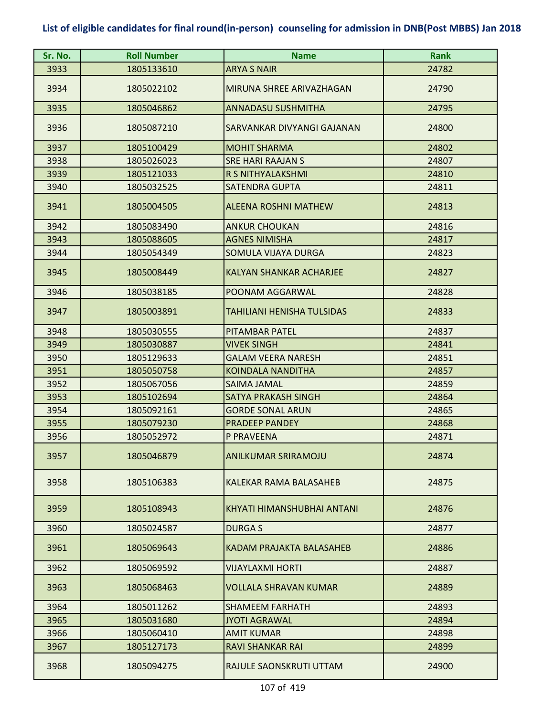| Sr. No. | <b>Roll Number</b> | <b>Name</b>                       | <b>Rank</b> |
|---------|--------------------|-----------------------------------|-------------|
| 3933    | 1805133610         | <b>ARYA S NAIR</b>                | 24782       |
| 3934    | 1805022102         | MIRUNA SHREE ARIVAZHAGAN          | 24790       |
| 3935    | 1805046862         | <b>ANNADASU SUSHMITHA</b>         | 24795       |
| 3936    | 1805087210         | SARVANKAR DIVYANGI GAJANAN        | 24800       |
| 3937    | 1805100429         | <b>MOHIT SHARMA</b>               | 24802       |
| 3938    | 1805026023         | <b>SRE HARI RAAJAN S</b>          | 24807       |
| 3939    | 1805121033         | R S NITHYALAKSHMI                 | 24810       |
| 3940    | 1805032525         | <b>SATENDRA GUPTA</b>             | 24811       |
| 3941    | 1805004505         | <b>ALEENA ROSHNI MATHEW</b>       | 24813       |
| 3942    | 1805083490         | <b>ANKUR CHOUKAN</b>              | 24816       |
| 3943    | 1805088605         | <b>AGNES NIMISHA</b>              | 24817       |
| 3944    | 1805054349         | SOMULA VIJAYA DURGA               | 24823       |
| 3945    | 1805008449         | <b>KALYAN SHANKAR ACHARJEE</b>    | 24827       |
| 3946    | 1805038185         | POONAM AGGARWAL                   | 24828       |
| 3947    | 1805003891         | <b>TAHILIANI HENISHA TULSIDAS</b> | 24833       |
| 3948    | 1805030555         | PITAMBAR PATEL                    | 24837       |
| 3949    | 1805030887         | <b>VIVEK SINGH</b>                | 24841       |
| 3950    | 1805129633         | <b>GALAM VEERA NARESH</b>         | 24851       |
| 3951    | 1805050758         | <b>KOINDALA NANDITHA</b>          | 24857       |
| 3952    | 1805067056         | SAIMA JAMAL                       | 24859       |
| 3953    | 1805102694         | SATYA PRAKASH SINGH               | 24864       |
| 3954    | 1805092161         | <b>GORDE SONAL ARUN</b>           | 24865       |
| 3955    | 1805079230         | <b>PRADEEP PANDEY</b>             | 24868       |
| 3956    | 1805052972         | P PRAVEENA                        | 24871       |
| 3957    | 1805046879         | <b>ANILKUMAR SRIRAMOJU</b>        | 24874       |
| 3958    | 1805106383         | KALEKAR RAMA BALASAHEB            | 24875       |
| 3959    | 1805108943         | KHYATI HIMANSHUBHAI ANTANI        | 24876       |
| 3960    | 1805024587         | <b>DURGAS</b>                     | 24877       |
| 3961    | 1805069643         | KADAM PRAJAKTA BALASAHEB          | 24886       |
| 3962    | 1805069592         | <b>VIJAYLAXMI HORTI</b>           | 24887       |
| 3963    | 1805068463         | <b>VOLLALA SHRAVAN KUMAR</b>      | 24889       |
| 3964    | 1805011262         | <b>SHAMEEM FARHATH</b>            | 24893       |
| 3965    | 1805031680         | <b>JYOTI AGRAWAL</b>              | 24894       |
| 3966    | 1805060410         | <b>AMIT KUMAR</b>                 | 24898       |
| 3967    | 1805127173         | <b>RAVI SHANKAR RAI</b>           | 24899       |
| 3968    | 1805094275         | RAJULE SAONSKRUTI UTTAM           | 24900       |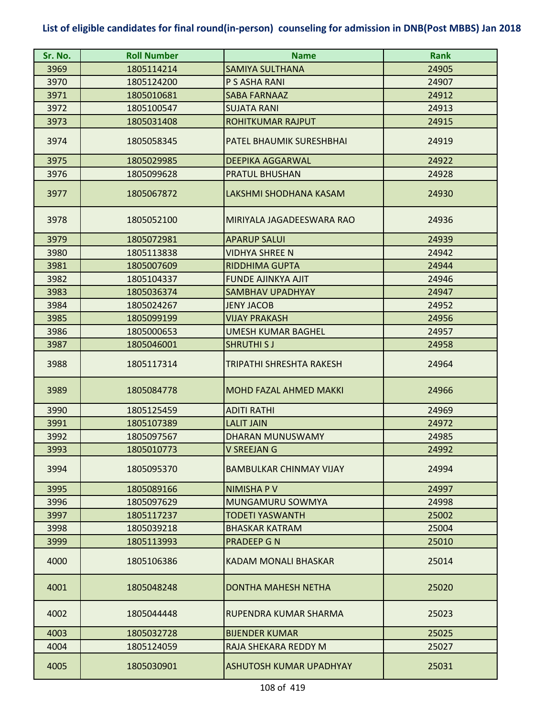| Sr. No. | <b>Roll Number</b> | <b>Name</b>                     | <b>Rank</b> |
|---------|--------------------|---------------------------------|-------------|
| 3969    | 1805114214         | <b>SAMIYA SULTHANA</b>          | 24905       |
| 3970    | 1805124200         | P S ASHA RANI                   | 24907       |
| 3971    | 1805010681         | <b>SABA FARNAAZ</b>             | 24912       |
| 3972    | 1805100547         | <b>SUJATA RANI</b>              | 24913       |
| 3973    | 1805031408         | <b>ROHITKUMAR RAJPUT</b>        | 24915       |
| 3974    | 1805058345         | PATEL BHAUMIK SURESHBHAI        | 24919       |
| 3975    | 1805029985         | <b>DEEPIKA AGGARWAL</b>         | 24922       |
| 3976    | 1805099628         | <b>PRATUL BHUSHAN</b>           | 24928       |
| 3977    | 1805067872         | LAKSHMI SHODHANA KASAM          | 24930       |
| 3978    | 1805052100         | MIRIYALA JAGADEESWARA RAO       | 24936       |
| 3979    | 1805072981         | <b>APARUP SALUI</b>             | 24939       |
| 3980    | 1805113838         | <b>VIDHYA SHREE N</b>           | 24942       |
| 3981    | 1805007609         | <b>RIDDHIMA GUPTA</b>           | 24944       |
| 3982    | 1805104337         | <b>FUNDE AJINKYA AJIT</b>       | 24946       |
| 3983    | 1805036374         | <b>SAMBHAV UPADHYAY</b>         | 24947       |
| 3984    | 1805024267         | <b>JENY JACOB</b>               | 24952       |
| 3985    | 1805099199         | <b>VIJAY PRAKASH</b>            | 24956       |
| 3986    | 1805000653         | <b>UMESH KUMAR BAGHEL</b>       | 24957       |
| 3987    | 1805046001         | <b>SHRUTHI SJ</b>               | 24958       |
| 3988    | 1805117314         | <b>TRIPATHI SHRESHTA RAKESH</b> | 24964       |
| 3989    | 1805084778         | <b>MOHD FAZAL AHMED MAKKI</b>   | 24966       |
| 3990    | 1805125459         | <b>ADITI RATHI</b>              | 24969       |
| 3991    | 1805107389         | <b>LALIT JAIN</b>               | 24972       |
| 3992    | 1805097567         | <b>DHARAN MUNUSWAMY</b>         | 24985       |
| 3993    | 1805010773         | V SREEJAN G                     | 24992       |
| 3994    | 1805095370         | <b>BAMBULKAR CHINMAY VIJAY</b>  | 24994       |
| 3995    | 1805089166         | <b>NIMISHAPV</b>                | 24997       |
| 3996    | 1805097629         | <b>MUNGAMURU SOWMYA</b>         | 24998       |
| 3997    | 1805117237         | <b>TODETI YASWANTH</b>          | 25002       |
| 3998    | 1805039218         | <b>BHASKAR KATRAM</b>           | 25004       |
| 3999    | 1805113993         | <b>PRADEEP G N</b>              | 25010       |
| 4000    | 1805106386         | <b>KADAM MONALI BHASKAR</b>     | 25014       |
| 4001    | 1805048248         | DONTHA MAHESH NETHA             | 25020       |
| 4002    | 1805044448         | RUPENDRA KUMAR SHARMA           | 25023       |
| 4003    | 1805032728         | <b>BIJENDER KUMAR</b>           | 25025       |
| 4004    | 1805124059         | RAJA SHEKARA REDDY M            | 25027       |
| 4005    | 1805030901         | ASHUTOSH KUMAR UPADHYAY         | 25031       |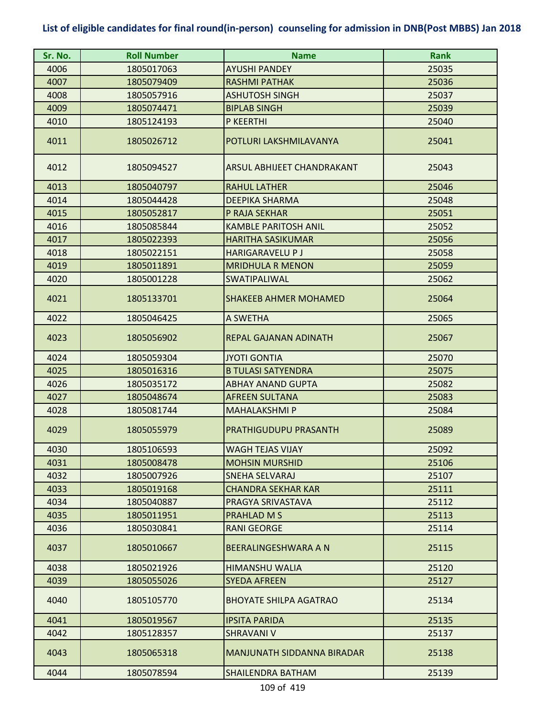| Sr. No. | <b>Roll Number</b> | <b>Name</b>                       | <b>Rank</b> |
|---------|--------------------|-----------------------------------|-------------|
| 4006    | 1805017063         | <b>AYUSHI PANDEY</b>              | 25035       |
| 4007    | 1805079409         | <b>RASHMI PATHAK</b>              | 25036       |
| 4008    | 1805057916         | <b>ASHUTOSH SINGH</b>             | 25037       |
| 4009    | 1805074471         | <b>BIPLAB SINGH</b>               | 25039       |
| 4010    | 1805124193         | P KEERTHI                         | 25040       |
| 4011    | 1805026712         | POTLURI LAKSHMILAVANYA            | 25041       |
| 4012    | 1805094527         | ARSUL ABHIJEET CHANDRAKANT        | 25043       |
| 4013    | 1805040797         | <b>RAHUL LATHER</b>               | 25046       |
| 4014    | 1805044428         | <b>DEEPIKA SHARMA</b>             | 25048       |
| 4015    | 1805052817         | P RAJA SEKHAR                     | 25051       |
| 4016    | 1805085844         | <b>KAMBLE PARITOSH ANIL</b>       | 25052       |
| 4017    | 1805022393         | <b>HARITHA SASIKUMAR</b>          | 25056       |
| 4018    | 1805022151         | <b>HARIGARAVELU P J</b>           | 25058       |
| 4019    | 1805011891         | <b>MRIDHULA R MENON</b>           | 25059       |
| 4020    | 1805001228         | <b>SWATIPALIWAL</b>               | 25062       |
| 4021    | 1805133701         | <b>SHAKEEB AHMER MOHAMED</b>      | 25064       |
| 4022    | 1805046425         | A SWETHA                          | 25065       |
| 4023    | 1805056902         | REPAL GAJANAN ADINATH             | 25067       |
| 4024    | 1805059304         | <b>JYOTI GONTIA</b>               | 25070       |
| 4025    | 1805016316         | <b>B TULASI SATYENDRA</b>         | 25075       |
| 4026    | 1805035172         | <b>ABHAY ANAND GUPTA</b>          | 25082       |
| 4027    | 1805048674         | <b>AFREEN SULTANA</b>             | 25083       |
| 4028    | 1805081744         | <b>MAHALAKSHMI P</b>              | 25084       |
| 4029    | 1805055979         | <b>PRATHIGUDUPU PRASANTH</b>      | 25089       |
| 4030    | 1805106593         | WAGH TEJAS VIJAY                  | 25092       |
| 4031    | 1805008478         | <b>MOHSIN MURSHID</b>             | 25106       |
| 4032    | 1805007926         | <b>SNEHA SELVARAJ</b>             | 25107       |
| 4033    | 1805019168         | <b>CHANDRA SEKHAR KAR</b>         | 25111       |
| 4034    | 1805040887         | PRAGYA SRIVASTAVA                 | 25112       |
| 4035    | 1805011951         | PRAHLAD M S                       | 25113       |
| 4036    | 1805030841         | <b>RANI GEORGE</b>                | 25114       |
| 4037    | 1805010667         | BEERALINGESHWARA A N              | 25115       |
| 4038    | 1805021926         | <b>HIMANSHU WALIA</b>             | 25120       |
| 4039    | 1805055026         | <b>SYEDA AFREEN</b>               | 25127       |
| 4040    | 1805105770         | <b>BHOYATE SHILPA AGATRAO</b>     | 25134       |
| 4041    | 1805019567         | <b>IPSITA PARIDA</b>              | 25135       |
| 4042    | 1805128357         | SHRAVANI V                        | 25137       |
| 4043    | 1805065318         | <b>MANJUNATH SIDDANNA BIRADAR</b> | 25138       |
| 4044    | 1805078594         | <b>SHAILENDRA BATHAM</b>          | 25139       |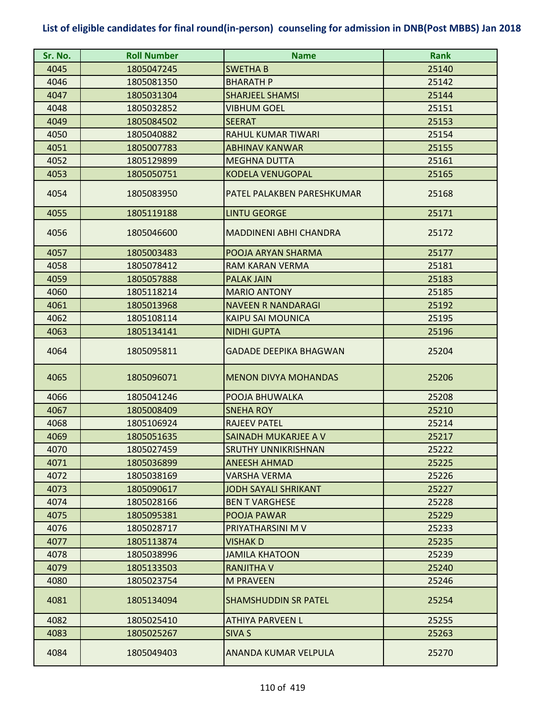| Sr. No. | <b>Roll Number</b> | <b>Name</b>                   | <b>Rank</b> |
|---------|--------------------|-------------------------------|-------------|
| 4045    | 1805047245         | <b>SWETHA B</b>               | 25140       |
| 4046    | 1805081350         | <b>BHARATH P</b>              | 25142       |
| 4047    | 1805031304         | <b>SHARJEEL SHAMSI</b>        | 25144       |
| 4048    | 1805032852         | <b>VIBHUM GOEL</b>            | 25151       |
| 4049    | 1805084502         | <b>SEERAT</b>                 | 25153       |
| 4050    | 1805040882         | <b>RAHUL KUMAR TIWARI</b>     | 25154       |
| 4051    | 1805007783         | <b>ABHINAV KANWAR</b>         | 25155       |
| 4052    | 1805129899         | <b>MEGHNA DUTTA</b>           | 25161       |
| 4053    | 1805050751         | <b>KODELA VENUGOPAL</b>       | 25165       |
| 4054    | 1805083950         | PATEL PALAKBEN PARESHKUMAR    | 25168       |
| 4055    | 1805119188         | <b>LINTU GEORGE</b>           | 25171       |
| 4056    | 1805046600         | <b>MADDINENI ABHI CHANDRA</b> | 25172       |
| 4057    | 1805003483         | POOJA ARYAN SHARMA            | 25177       |
| 4058    | 1805078412         | RAM KARAN VERMA               | 25181       |
| 4059    | 1805057888         | <b>PALAK JAIN</b>             | 25183       |
| 4060    | 1805118214         | <b>MARIO ANTONY</b>           | 25185       |
| 4061    | 1805013968         | <b>NAVEEN R NANDARAGI</b>     | 25192       |
| 4062    | 1805108114         | <b>KAIPU SAI MOUNICA</b>      | 25195       |
| 4063    | 1805134141         | <b>NIDHI GUPTA</b>            | 25196       |
| 4064    | 1805095811         | <b>GADADE DEEPIKA BHAGWAN</b> | 25204       |
| 4065    | 1805096071         | <b>MENON DIVYA MOHANDAS</b>   | 25206       |
| 4066    | 1805041246         | POOJA BHUWALKA                | 25208       |
| 4067    | 1805008409         | <b>SNEHA ROY</b>              | 25210       |
| 4068    | 1805106924         | <b>RAJEEV PATEL</b>           | 25214       |
| 4069    | 1805051635         | SAINADH MUKARJEE A V          | 25217       |
| 4070    | 1805027459         | <b>SRUTHY UNNIKRISHNAN</b>    | 25222       |
| 4071    | 1805036899         | <b>ANEESH AHMAD</b>           | 25225       |
| 4072    | 1805038169         | <b>VARSHA VERMA</b>           | 25226       |
| 4073    | 1805090617         | JODH SAYALI SHRIKANT          | 25227       |
| 4074    | 1805028166         | <b>BEN T VARGHESE</b>         | 25228       |
| 4075    | 1805095381         | POOJA PAWAR                   | 25229       |
| 4076    | 1805028717         | PRIYATHARSINI M V             | 25233       |
| 4077    | 1805113874         | <b>VISHAK D</b>               | 25235       |
| 4078    | 1805038996         | <b>JAMILA KHATOON</b>         | 25239       |
| 4079    | 1805133503         | <b>RANJITHA V</b>             | 25240       |
| 4080    | 1805023754         | <b>M PRAVEEN</b>              | 25246       |
| 4081    | 1805134094         | <b>SHAMSHUDDIN SR PATEL</b>   | 25254       |
| 4082    | 1805025410         | <b>ATHIYA PARVEEN L</b>       | 25255       |
| 4083    | 1805025267         | <b>SIVA S</b>                 | 25263       |
| 4084    | 1805049403         | ANANDA KUMAR VELPULA          | 25270       |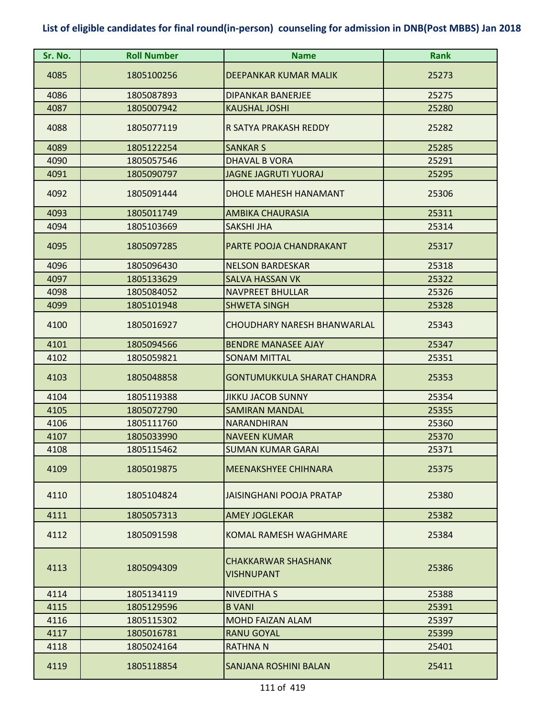| Sr. No. | <b>Roll Number</b> | <b>Name</b>                                     | <b>Rank</b> |
|---------|--------------------|-------------------------------------------------|-------------|
| 4085    | 1805100256         | DEEPANKAR KUMAR MALIK                           | 25273       |
| 4086    | 1805087893         | <b>DIPANKAR BANERJEE</b>                        | 25275       |
| 4087    | 1805007942         | <b>KAUSHAL JOSHI</b>                            | 25280       |
| 4088    | 1805077119         | R SATYA PRAKASH REDDY                           | 25282       |
| 4089    | 1805122254         | <b>SANKAR S</b>                                 | 25285       |
| 4090    | 1805057546         | <b>DHAVAL B VORA</b>                            | 25291       |
| 4091    | 1805090797         | <b>JAGNE JAGRUTI YUORAJ</b>                     | 25295       |
| 4092    | 1805091444         | <b>DHOLE MAHESH HANAMANT</b>                    | 25306       |
| 4093    | 1805011749         | <b>AMBIKA CHAURASIA</b>                         | 25311       |
| 4094    | 1805103669         | <b>SAKSHI JHA</b>                               | 25314       |
| 4095    | 1805097285         | PARTE POOJA CHANDRAKANT                         | 25317       |
| 4096    | 1805096430         | <b>NELSON BARDESKAR</b>                         | 25318       |
| 4097    | 1805133629         | <b>SALVA HASSAN VK</b>                          | 25322       |
| 4098    | 1805084052         | <b>NAVPREET BHULLAR</b>                         | 25326       |
| 4099    | 1805101948         | <b>SHWETA SINGH</b>                             | 25328       |
| 4100    | 1805016927         | <b>CHOUDHARY NARESH BHANWARLAL</b>              | 25343       |
| 4101    | 1805094566         | <b>BENDRE MANASEE AJAY</b>                      | 25347       |
| 4102    | 1805059821         | <b>SONAM MITTAL</b>                             | 25351       |
| 4103    | 1805048858         | <b>GONTUMUKKULA SHARAT CHANDRA</b>              | 25353       |
| 4104    | 1805119388         | <b>JIKKU JACOB SUNNY</b>                        | 25354       |
| 4105    | 1805072790         | <b>SAMIRAN MANDAL</b>                           | 25355       |
| 4106    | 1805111760         | NARANDHIRAN                                     | 25360       |
| 4107    | 1805033990         | <b>NAVEEN KUMAR</b>                             | 25370       |
| 4108    | 1805115462         | <b>SUMAN KUMAR GARAI</b>                        | 25371       |
| 4109    | 1805019875         | MEENAKSHYEE CHIHNARA                            | 25375       |
| 4110    | 1805104824         | JAISINGHANI POOJA PRATAP                        | 25380       |
| 4111    | 1805057313         | <b>AMEY JOGLEKAR</b>                            | 25382       |
| 4112    | 1805091598         | KOMAL RAMESH WAGHMARE                           | 25384       |
| 4113    | 1805094309         | <b>CHAKKARWAR SHASHANK</b><br><b>VISHNUPANT</b> | 25386       |
| 4114    | 1805134119         | NIVEDITHA S                                     | 25388       |
| 4115    | 1805129596         | <b>B VANI</b>                                   | 25391       |
| 4116    | 1805115302         | <b>MOHD FAIZAN ALAM</b>                         | 25397       |
| 4117    | 1805016781         | <b>RANU GOYAL</b>                               | 25399       |
| 4118    | 1805024164         | <b>RATHNA N</b>                                 | 25401       |
| 4119    | 1805118854         | SANJANA ROSHINI BALAN                           | 25411       |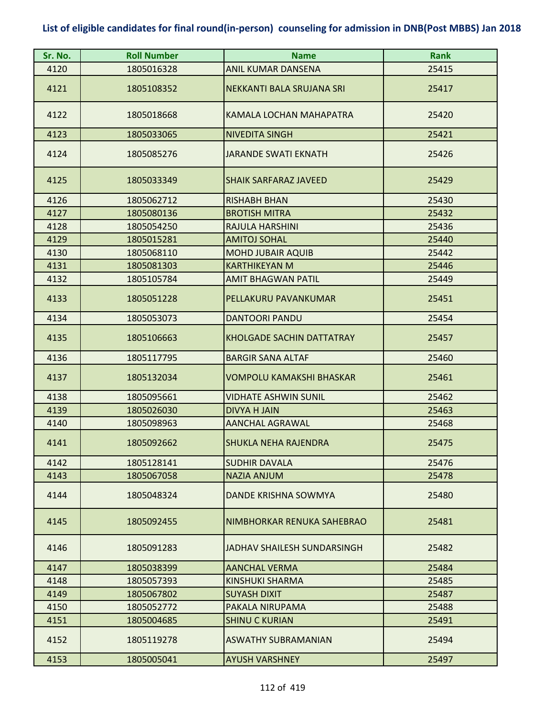| Sr. No. | <b>Roll Number</b> | <b>Name</b>                      | <b>Rank</b> |
|---------|--------------------|----------------------------------|-------------|
| 4120    | 1805016328         | <b>ANIL KUMAR DANSENA</b>        | 25415       |
| 4121    | 1805108352         | NEKKANTI BALA SRUJANA SRI        | 25417       |
| 4122    | 1805018668         | KAMALA LOCHAN MAHAPATRA          | 25420       |
| 4123    | 1805033065         | <b>NIVEDITA SINGH</b>            | 25421       |
| 4124    | 1805085276         | <b>JARANDE SWATI EKNATH</b>      | 25426       |
| 4125    | 1805033349         | <b>SHAIK SARFARAZ JAVEED</b>     | 25429       |
| 4126    | 1805062712         | <b>RISHABH BHAN</b>              | 25430       |
| 4127    | 1805080136         | <b>BROTISH MITRA</b>             | 25432       |
| 4128    | 1805054250         | RAJULA HARSHINI                  | 25436       |
| 4129    | 1805015281         | <b>AMITOJ SOHAL</b>              | 25440       |
| 4130    | 1805068110         | <b>MOHD JUBAIR AQUIB</b>         | 25442       |
| 4131    | 1805081303         | <b>KARTHIKEYAN M</b>             | 25446       |
| 4132    | 1805105784         | <b>AMIT BHAGWAN PATIL</b>        | 25449       |
| 4133    | 1805051228         | PELLAKURU PAVANKUMAR             | 25451       |
| 4134    | 1805053073         | <b>DANTOORI PANDU</b>            | 25454       |
| 4135    | 1805106663         | <b>KHOLGADE SACHIN DATTATRAY</b> | 25457       |
| 4136    | 1805117795         | <b>BARGIR SANA ALTAF</b>         | 25460       |
| 4137    | 1805132034         | <b>VOMPOLU KAMAKSHI BHASKAR</b>  | 25461       |
| 4138    | 1805095661         | <b>VIDHATE ASHWIN SUNIL</b>      | 25462       |
| 4139    | 1805026030         | DIVYA H JAIN                     | 25463       |
| 4140    | 1805098963         | <b>AANCHAL AGRAWAL</b>           | 25468       |
| 4141    | 1805092662         | <b>SHUKLA NEHA RAJENDRA</b>      | 25475       |
| 4142    | 1805128141         | <b>SUDHIR DAVALA</b>             | 25476       |
| 4143    | 1805067058         | <b>NAZIA ANJUM</b>               | 25478       |
| 4144    | 1805048324         | DANDE KRISHNA SOWMYA             | 25480       |
| 4145    | 1805092455         | NIMBHORKAR RENUKA SAHEBRAO       | 25481       |
| 4146    | 1805091283         | JADHAV SHAILESH SUNDARSINGH      | 25482       |
| 4147    | 1805038399         | <b>AANCHAL VERMA</b>             | 25484       |
| 4148    | 1805057393         | KINSHUKI SHARMA                  | 25485       |
| 4149    | 1805067802         | <b>SUYASH DIXIT</b>              | 25487       |
| 4150    | 1805052772         | PAKALA NIRUPAMA                  | 25488       |
| 4151    | 1805004685         | <b>SHINU C KURIAN</b>            | 25491       |
| 4152    | 1805119278         | ASWATHY SUBRAMANIAN              | 25494       |
| 4153    | 1805005041         | <b>AYUSH VARSHNEY</b>            | 25497       |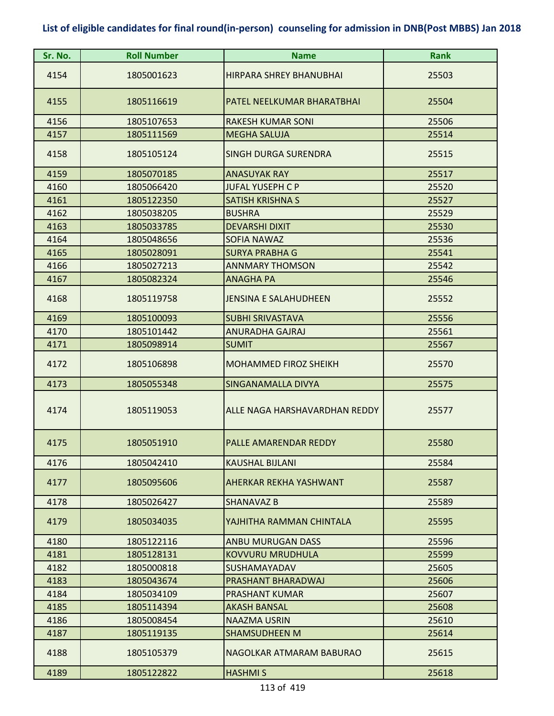| Sr. No. | <b>Roll Number</b> | <b>Name</b>                    | <b>Rank</b> |
|---------|--------------------|--------------------------------|-------------|
| 4154    | 1805001623         | <b>HIRPARA SHREY BHANUBHAI</b> | 25503       |
| 4155    | 1805116619         | PATEL NEELKUMAR BHARATBHAI     | 25504       |
| 4156    | 1805107653         | <b>RAKESH KUMAR SONI</b>       | 25506       |
| 4157    | 1805111569         | <b>MEGHA SALUJA</b>            | 25514       |
| 4158    | 1805105124         | <b>SINGH DURGA SURENDRA</b>    | 25515       |
| 4159    | 1805070185         | <b>ANASUYAK RAY</b>            | 25517       |
| 4160    | 1805066420         | <b>JUFAL YUSEPH C P</b>        | 25520       |
| 4161    | 1805122350         | <b>SATISH KRISHNA S</b>        | 25527       |
| 4162    | 1805038205         | <b>BUSHRA</b>                  | 25529       |
| 4163    | 1805033785         | <b>DEVARSHI DIXIT</b>          | 25530       |
| 4164    | 1805048656         | <b>SOFIA NAWAZ</b>             | 25536       |
| 4165    | 1805028091         | <b>SURYA PRABHA G</b>          | 25541       |
| 4166    | 1805027213         | <b>ANNMARY THOMSON</b>         | 25542       |
| 4167    | 1805082324         | <b>ANAGHA PA</b>               | 25546       |
| 4168    | 1805119758         | <b>JENSINA E SALAHUDHEEN</b>   | 25552       |
| 4169    | 1805100093         | <b>SUBHI SRIVASTAVA</b>        | 25556       |
| 4170    | 1805101442         | <b>ANURADHA GAJRAJ</b>         | 25561       |
| 4171    | 1805098914         | <b>SUMIT</b>                   | 25567       |
| 4172    | 1805106898         | <b>MOHAMMED FIROZ SHEIKH</b>   | 25570       |
| 4173    | 1805055348         | SINGANAMALLA DIVYA             | 25575       |
| 4174    | 1805119053         | ALLE NAGA HARSHAVARDHAN REDDY  | 25577       |
| 4175    | 1805051910         | PALLE AMARENDAR REDDY          | 25580       |
| 4176    | 1805042410         | <b>KAUSHAL BIJLANI</b>         | 25584       |
| 4177    | 1805095606         | AHERKAR REKHA YASHWANT         | 25587       |
| 4178    | 1805026427         | SHANAVAZ B                     | 25589       |
| 4179    | 1805034035         | YAJHITHA RAMMAN CHINTALA       | 25595       |
| 4180    | 1805122116         | <b>ANBU MURUGAN DASS</b>       | 25596       |
| 4181    | 1805128131         | <b>KOVVURU MRUDHULA</b>        | 25599       |
| 4182    | 1805000818         | SUSHAMAYADAV                   | 25605       |
| 4183    | 1805043674         | PRASHANT BHARADWAJ             | 25606       |
| 4184    | 1805034109         | PRASHANT KUMAR                 | 25607       |
| 4185    | 1805114394         | <b>AKASH BANSAL</b>            | 25608       |
| 4186    | 1805008454         | NAAZMA USRIN                   | 25610       |
| 4187    | 1805119135         | <b>SHAMSUDHEEN M</b>           | 25614       |
| 4188    | 1805105379         | NAGOLKAR ATMARAM BABURAO       | 25615       |
| 4189    | 1805122822         | <b>HASHMIS</b>                 | 25618       |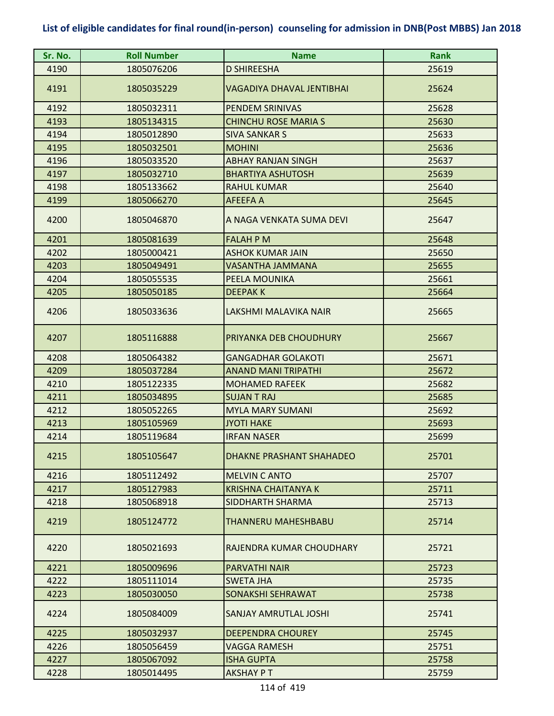| Sr. No. | <b>Roll Number</b> | <b>Name</b>                      | <b>Rank</b> |
|---------|--------------------|----------------------------------|-------------|
| 4190    | 1805076206         | <b>D SHIREESHA</b>               | 25619       |
| 4191    | 1805035229         | <b>VAGADIYA DHAVAL JENTIBHAI</b> | 25624       |
| 4192    | 1805032311         | PENDEM SRINIVAS                  | 25628       |
| 4193    | 1805134315         | <b>CHINCHU ROSE MARIA S</b>      | 25630       |
| 4194    | 1805012890         | <b>SIVA SANKAR S</b>             | 25633       |
| 4195    | 1805032501         | <b>MOHINI</b>                    | 25636       |
| 4196    | 1805033520         | <b>ABHAY RANJAN SINGH</b>        | 25637       |
| 4197    | 1805032710         | <b>BHARTIYA ASHUTOSH</b>         | 25639       |
| 4198    | 1805133662         | <b>RAHUL KUMAR</b>               | 25640       |
| 4199    | 1805066270         | <b>AFEEFA A</b>                  | 25645       |
| 4200    | 1805046870         | A NAGA VENKATA SUMA DEVI         | 25647       |
| 4201    | 1805081639         | <b>FALAH P M</b>                 | 25648       |
| 4202    | 1805000421         | <b>ASHOK KUMAR JAIN</b>          | 25650       |
| 4203    | 1805049491         | VASANTHA JAMMANA                 | 25655       |
| 4204    | 1805055535         | PEELA MOUNIKA                    | 25661       |
| 4205    | 1805050185         | <b>DEEPAKK</b>                   | 25664       |
| 4206    | 1805033636         | LAKSHMI MALAVIKA NAIR            | 25665       |
| 4207    | 1805116888         | PRIYANKA DEB CHOUDHURY           | 25667       |
| 4208    | 1805064382         | <b>GANGADHAR GOLAKOTI</b>        | 25671       |
| 4209    | 1805037284         | <b>ANAND MANI TRIPATHI</b>       | 25672       |
| 4210    | 1805122335         | <b>MOHAMED RAFEEK</b>            | 25682       |
| 4211    | 1805034895         | <b>SUJAN T RAJ</b>               | 25685       |
| 4212    | 1805052265         | <b>MYLA MARY SUMANI</b>          | 25692       |
| 4213    | 1805105969         | <b>JYOTI HAKE</b>                | 25693       |
| 4214    | 1805119684         | <b>IRFAN NASER</b>               | 25699       |
| 4215    | 1805105647         | <b>DHAKNE PRASHANT SHAHADEO</b>  | 25701       |
| 4216    | 1805112492         | <b>MELVIN C ANTO</b>             | 25707       |
| 4217    | 1805127983         | <b>KRISHNA CHAITANYA K</b>       | 25711       |
| 4218    | 1805068918         | <b>SIDDHARTH SHARMA</b>          | 25713       |
| 4219    | 1805124772         | <b>THANNERU MAHESHBABU</b>       | 25714       |
| 4220    | 1805021693         | RAJENDRA KUMAR CHOUDHARY         | 25721       |
| 4221    | 1805009696         | <b>PARVATHI NAIR</b>             | 25723       |
| 4222    | 1805111014         | <b>SWETA JHA</b>                 | 25735       |
| 4223    | 1805030050         | SONAKSHI SEHRAWAT                | 25738       |
| 4224    | 1805084009         | <b>SANJAY AMRUTLAL JOSHI</b>     | 25741       |
| 4225    | 1805032937         | <b>DEEPENDRA CHOUREY</b>         | 25745       |
| 4226    | 1805056459         | VAGGA RAMESH                     | 25751       |
| 4227    | 1805067092         | <b>ISHA GUPTA</b>                | 25758       |
| 4228    | 1805014495         | <b>AKSHAY PT</b>                 | 25759       |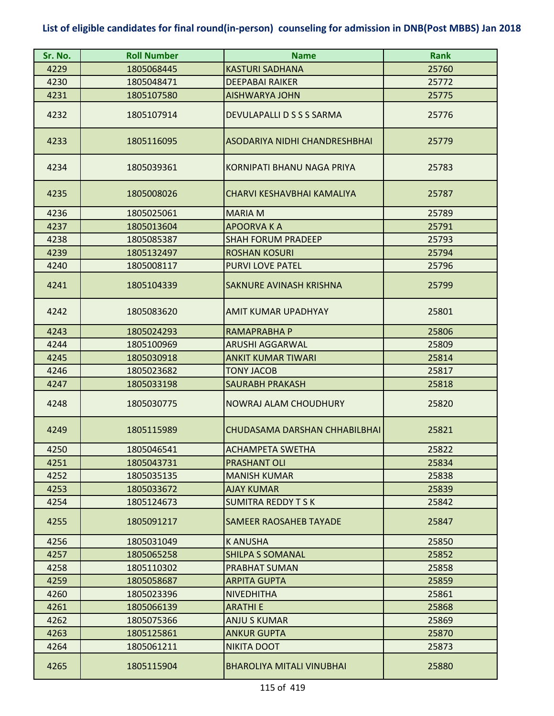| Sr. No. | <b>Roll Number</b> | <b>Name</b>                      | <b>Rank</b> |
|---------|--------------------|----------------------------------|-------------|
| 4229    | 1805068445         | <b>KASTURI SADHANA</b>           | 25760       |
| 4230    | 1805048471         | <b>DEEPABAI RAIKER</b>           | 25772       |
| 4231    | 1805107580         | <b>AISHWARYA JOHN</b>            | 25775       |
| 4232    | 1805107914         | DEVULAPALLI D S S S SARMA        | 25776       |
| 4233    | 1805116095         | ASODARIYA NIDHI CHANDRESHBHAI    | 25779       |
| 4234    | 1805039361         | KORNIPATI BHANU NAGA PRIYA       | 25783       |
| 4235    | 1805008026         | CHARVI KESHAVBHAI KAMALIYA       | 25787       |
| 4236    | 1805025061         | <b>MARIA M</b>                   | 25789       |
| 4237    | 1805013604         | <b>APOORVAKA</b>                 | 25791       |
| 4238    | 1805085387         | <b>SHAH FORUM PRADEEP</b>        | 25793       |
| 4239    | 1805132497         | <b>ROSHAN KOSURI</b>             | 25794       |
| 4240    | 1805008117         | <b>PURVI LOVE PATEL</b>          | 25796       |
| 4241    | 1805104339         | SAKNURE AVINASH KRISHNA          | 25799       |
| 4242    | 1805083620         | AMIT KUMAR UPADHYAY              | 25801       |
| 4243    | 1805024293         | RAMAPRABHA P                     | 25806       |
| 4244    | 1805100969         | <b>ARUSHI AGGARWAL</b>           | 25809       |
| 4245    | 1805030918         | <b>ANKIT KUMAR TIWARI</b>        | 25814       |
| 4246    | 1805023682         | <b>TONY JACOB</b>                | 25817       |
| 4247    | 1805033198         | <b>SAURABH PRAKASH</b>           | 25818       |
| 4248    | 1805030775         | NOWRAJ ALAM CHOUDHURY            | 25820       |
| 4249    | 1805115989         | CHUDASAMA DARSHAN CHHABILBHAI    | 25821       |
| 4250    | 1805046541         | <b>ACHAMPETA SWETHA</b>          | 25822       |
| 4251    | 1805043731         | <b>PRASHANT OLI</b>              | 25834       |
| 4252    | 1805035135         | <b>MANISH KUMAR</b>              | 25838       |
| 4253    | 1805033672         | <b>AJAY KUMAR</b>                | 25839       |
| 4254    | 1805124673         | <b>SUMITRA REDDY T S K</b>       | 25842       |
| 4255    | 1805091217         | <b>SAMEER RAOSAHEB TAYADE</b>    | 25847       |
| 4256    | 1805031049         | <b>KANUSHA</b>                   | 25850       |
| 4257    | 1805065258         | <b>SHILPA S SOMANAL</b>          | 25852       |
| 4258    | 1805110302         | PRABHAT SUMAN                    | 25858       |
| 4259    | 1805058687         | <b>ARPITA GUPTA</b>              | 25859       |
| 4260    | 1805023396         | <b>NIVEDHITHA</b>                | 25861       |
| 4261    | 1805066139         | <b>ARATHIE</b>                   | 25868       |
| 4262    | 1805075366         | <b>ANJU S KUMAR</b>              | 25869       |
| 4263    | 1805125861         | <b>ANKUR GUPTA</b>               | 25870       |
| 4264    | 1805061211         | <b>NIKITA DOOT</b>               | 25873       |
| 4265    | 1805115904         | <b>BHAROLIYA MITALI VINUBHAI</b> | 25880       |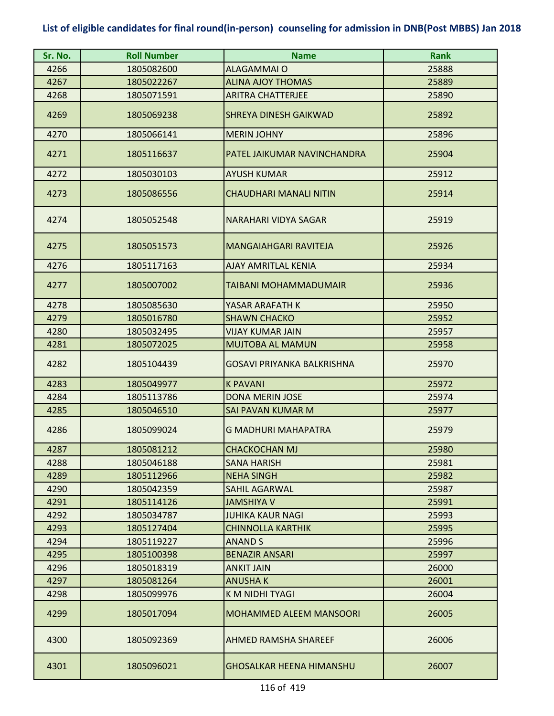| Sr. No. | <b>Roll Number</b> | <b>Name</b>                     | <b>Rank</b> |
|---------|--------------------|---------------------------------|-------------|
| 4266    | 1805082600         | <b>ALAGAMMAI O</b>              | 25888       |
| 4267    | 1805022267         | <b>ALINA AJOY THOMAS</b>        | 25889       |
| 4268    | 1805071591         | <b>ARITRA CHATTERJEE</b>        | 25890       |
| 4269    | 1805069238         | <b>SHREYA DINESH GAIKWAD</b>    | 25892       |
| 4270    | 1805066141         | <b>MERIN JOHNY</b>              | 25896       |
| 4271    | 1805116637         | PATEL JAIKUMAR NAVINCHANDRA     | 25904       |
| 4272    | 1805030103         | <b>AYUSH KUMAR</b>              | 25912       |
| 4273    | 1805086556         | <b>CHAUDHARI MANALI NITIN</b>   | 25914       |
| 4274    | 1805052548         | <b>NARAHARI VIDYA SAGAR</b>     | 25919       |
| 4275    | 1805051573         | MANGAIAHGARI RAVITEJA           | 25926       |
| 4276    | 1805117163         | <b>AJAY AMRITLAL KENIA</b>      | 25934       |
| 4277    | 1805007002         | TAIBANI MOHAMMADUMAIR           | 25936       |
| 4278    | 1805085630         | YASAR ARAFATH K                 | 25950       |
| 4279    | 1805016780         | <b>SHAWN CHACKO</b>             | 25952       |
| 4280    | 1805032495         | VIJAY KUMAR JAIN                | 25957       |
| 4281    | 1805072025         | <b>MUJTOBA AL MAMUN</b>         | 25958       |
| 4282    | 1805104439         | GOSAVI PRIYANKA BALKRISHNA      | 25970       |
| 4283    | 1805049977         | <b>K PAVANI</b>                 | 25972       |
| 4284    | 1805113786         | <b>DONA MERIN JOSE</b>          | 25974       |
| 4285    | 1805046510         | SAI PAVAN KUMAR M               | 25977       |
| 4286    | 1805099024         | <b>G MADHURI MAHAPATRA</b>      | 25979       |
| 4287    | 1805081212         | <b>CHACKOCHAN MJ</b>            | 25980       |
| 4288    | 1805046188         | <b>SANA HARISH</b>              | 25981       |
| 4289    | 1805112966         | <b>NEHA SINGH</b>               | 25982       |
| 4290    | 1805042359         | <b>SAHIL AGARWAL</b>            | 25987       |
| 4291    | 1805114126         | JAMSHIYA V                      | 25991       |
| 4292    | 1805034787         | <b>JUHIKA KAUR NAGI</b>         | 25993       |
| 4293    | 1805127404         | CHINNOLLA KARTHIK               | 25995       |
| 4294    | 1805119227         | <b>ANAND S</b>                  | 25996       |
| 4295    | 1805100398         | <b>BENAZIR ANSARI</b>           | 25997       |
| 4296    | 1805018319         | <b>ANKIT JAIN</b>               | 26000       |
| 4297    | 1805081264         | <b>ANUSHAK</b>                  | 26001       |
| 4298    | 1805099976         | K M NIDHI TYAGI                 | 26004       |
| 4299    | 1805017094         | <b>MOHAMMED ALEEM MANSOORI</b>  | 26005       |
| 4300    | 1805092369         | <b>AHMED RAMSHA SHAREEF</b>     | 26006       |
| 4301    | 1805096021         | <b>GHOSALKAR HEENA HIMANSHU</b> | 26007       |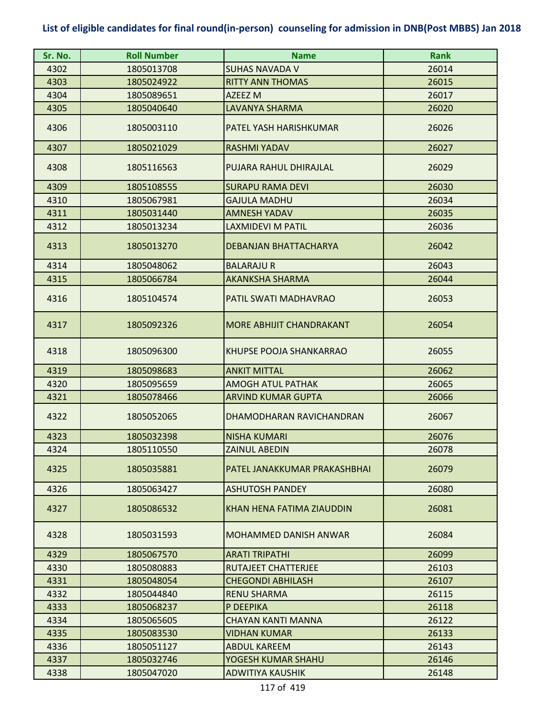| Sr. No. | <b>Roll Number</b> | <b>Name</b>                     | <b>Rank</b> |
|---------|--------------------|---------------------------------|-------------|
| 4302    | 1805013708         | <b>SUHAS NAVADA V</b>           | 26014       |
| 4303    | 1805024922         | <b>RITTY ANN THOMAS</b>         | 26015       |
| 4304    | 1805089651         | AZEEZ M                         | 26017       |
| 4305    | 1805040640         | <b>LAVANYA SHARMA</b>           | 26020       |
| 4306    | 1805003110         | PATEL YASH HARISHKUMAR          | 26026       |
| 4307    | 1805021029         | <b>RASHMI YADAV</b>             | 26027       |
| 4308    | 1805116563         | PUJARA RAHUL DHIRAJLAL          | 26029       |
| 4309    | 1805108555         | <b>SURAPU RAMA DEVI</b>         | 26030       |
| 4310    | 1805067981         | <b>GAJULA MADHU</b>             | 26034       |
| 4311    | 1805031440         | <b>AMNESH YADAV</b>             | 26035       |
| 4312    | 1805013234         | <b>LAXMIDEVI M PATIL</b>        | 26036       |
| 4313    | 1805013270         | <b>DEBANJAN BHATTACHARYA</b>    | 26042       |
| 4314    | 1805048062         | <b>BALARAJU R</b>               | 26043       |
| 4315    | 1805066784         | <b>AKANKSHA SHARMA</b>          | 26044       |
| 4316    | 1805104574         | PATIL SWATI MADHAVRAO           | 26053       |
| 4317    | 1805092326         | <b>MORE ABHIJIT CHANDRAKANT</b> | 26054       |
| 4318    | 1805096300         | KHUPSE POOJA SHANKARRAO         | 26055       |
| 4319    | 1805098683         | <b>ANKIT MITTAL</b>             | 26062       |
| 4320    | 1805095659         | <b>AMOGH ATUL PATHAK</b>        | 26065       |
| 4321    | 1805078466         | <b>ARVIND KUMAR GUPTA</b>       | 26066       |
| 4322    | 1805052065         | DHAMODHARAN RAVICHANDRAN        | 26067       |
| 4323    | 1805032398         | <b>NISHA KUMARI</b>             | 26076       |
| 4324    | 1805110550         | <b>ZAINUL ABEDIN</b>            | 26078       |
| 4325    | 1805035881         | PATEL JANAKKUMAR PRAKASHBHAI    | 26079       |
| 4326    | 1805063427         | <b>ASHUTOSH PANDEY</b>          | 26080       |
| 4327    | 1805086532         | KHAN HENA FATIMA ZIAUDDIN       | 26081       |
| 4328    | 1805031593         | MOHAMMED DANISH ANWAR           | 26084       |
| 4329    | 1805067570         | <b>ARATI TRIPATHI</b>           | 26099       |
| 4330    | 1805080883         | <b>RUTAJEET CHATTERJEE</b>      | 26103       |
| 4331    | 1805048054         | <b>CHEGONDI ABHILASH</b>        | 26107       |
| 4332    | 1805044840         | <b>RENU SHARMA</b>              | 26115       |
| 4333    | 1805068237         | P DEEPIKA                       | 26118       |
| 4334    | 1805065605         | <b>CHAYAN KANTI MANNA</b>       | 26122       |
| 4335    | 1805083530         | <b>VIDHAN KUMAR</b>             | 26133       |
| 4336    | 1805051127         | <b>ABDUL KAREEM</b>             | 26143       |
| 4337    | 1805032746         | YOGESH KUMAR SHAHU              | 26146       |
| 4338    | 1805047020         | <b>ADWITIYA KAUSHIK</b>         | 26148       |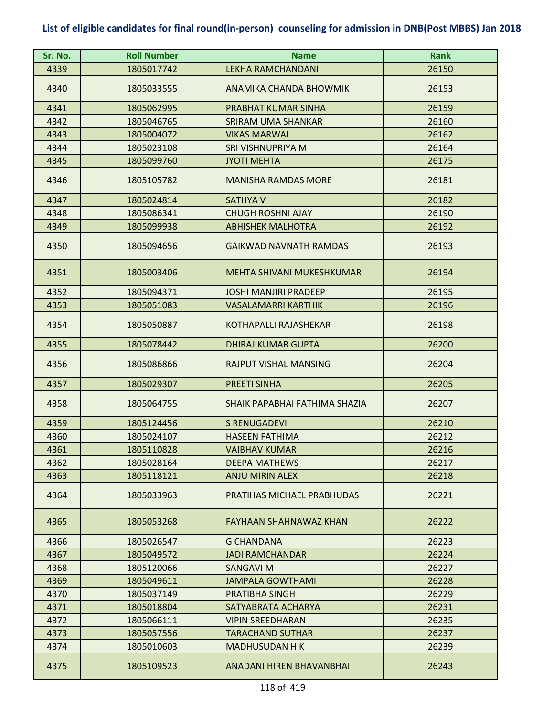| Sr. No. | <b>Roll Number</b> | <b>Name</b>                          | <b>Rank</b> |
|---------|--------------------|--------------------------------------|-------------|
| 4339    | 1805017742         | <b>LEKHA RAMCHANDANI</b>             | 26150       |
| 4340    | 1805033555         | ANAMIKA CHANDA BHOWMIK               | 26153       |
| 4341    | 1805062995         | PRABHAT KUMAR SINHA                  | 26159       |
| 4342    | 1805046765         | SRIRAM UMA SHANKAR                   | 26160       |
| 4343    | 1805004072         | <b>VIKAS MARWAL</b>                  | 26162       |
| 4344    | 1805023108         | SRI VISHNUPRIYA M                    | 26164       |
| 4345    | 1805099760         | <b>JYOTI MEHTA</b>                   | 26175       |
| 4346    | 1805105782         | <b>MANISHA RAMDAS MORE</b>           | 26181       |
| 4347    | 1805024814         | <b>SATHYA V</b>                      | 26182       |
| 4348    | 1805086341         | <b>CHUGH ROSHNI AJAY</b>             | 26190       |
| 4349    | 1805099938         | <b>ABHISHEK MALHOTRA</b>             | 26192       |
| 4350    | 1805094656         | <b>GAIKWAD NAVNATH RAMDAS</b>        | 26193       |
| 4351    | 1805003406         | MEHTA SHIVANI MUKESHKUMAR            | 26194       |
| 4352    | 1805094371         | <b>JOSHI MANJIRI PRADEEP</b>         | 26195       |
| 4353    | 1805051083         | <b>VASALAMARRI KARTHIK</b>           | 26196       |
| 4354    | 1805050887         | KOTHAPALLI RAJASHEKAR                | 26198       |
| 4355    | 1805078442         | <b>DHIRAJ KUMAR GUPTA</b>            | 26200       |
| 4356    | 1805086866         | RAJPUT VISHAL MANSING                | 26204       |
| 4357    | 1805029307         | <b>PREETI SINHA</b>                  | 26205       |
| 4358    | 1805064755         | <b>SHAIK PAPABHAI FATHIMA SHAZIA</b> | 26207       |
| 4359    | 1805124456         | <b>S RENUGADEVI</b>                  | 26210       |
| 4360    | 1805024107         | <b>HASEEN FATHIMA</b>                | 26212       |
| 4361    | 1805110828         | <b>VAIBHAV KUMAR</b>                 | 26216       |
| 4362    | 1805028164         | <b>DEEPA MATHEWS</b>                 | 26217       |
| 4363    | 1805118121         | <b>ANJU MIRIN ALEX</b>               | 26218       |
| 4364    | 1805033963         | PRATIHAS MICHAEL PRABHUDAS           | 26221       |
| 4365    | 1805053268         | <b>FAYHAAN SHAHNAWAZ KHAN</b>        | 26222       |
| 4366    | 1805026547         | <b>G CHANDANA</b>                    | 26223       |
| 4367    | 1805049572         | <b>JADI RAMCHANDAR</b>               | 26224       |
| 4368    | 1805120066         | SANGAVI M                            | 26227       |
| 4369    | 1805049611         | <b>JAMPALA GOWTHAMI</b>              | 26228       |
| 4370    | 1805037149         | PRATIBHA SINGH                       | 26229       |
| 4371    | 1805018804         | SATYABRATA ACHARYA                   | 26231       |
| 4372    | 1805066111         | <b>VIPIN SREEDHARAN</b>              | 26235       |
| 4373    | 1805057556         | <b>TARACHAND SUTHAR</b>              | 26237       |
| 4374    | 1805010603         | <b>MADHUSUDAN H K</b>                | 26239       |
| 4375    | 1805109523         | <b>ANADANI HIREN BHAVANBHAI</b>      | 26243       |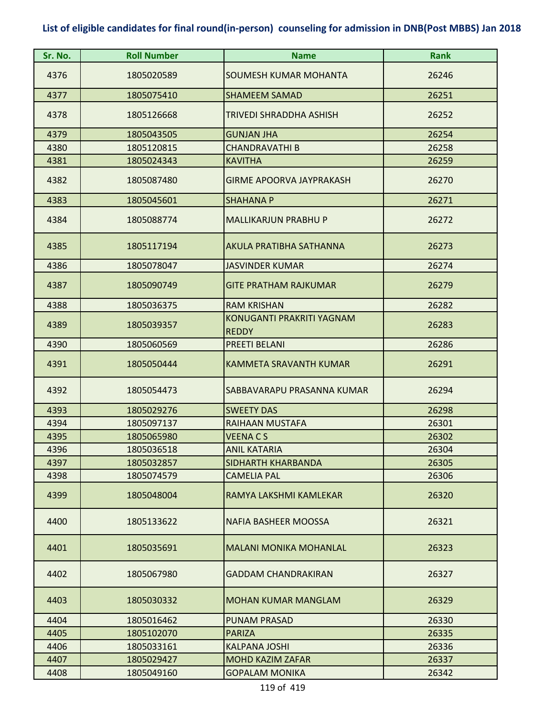| Sr. No. | <b>Roll Number</b> | <b>Name</b>                               | <b>Rank</b> |
|---------|--------------------|-------------------------------------------|-------------|
| 4376    | 1805020589         | SOUMESH KUMAR MOHANTA                     | 26246       |
| 4377    | 1805075410         | <b>SHAMEEM SAMAD</b>                      | 26251       |
| 4378    | 1805126668         | TRIVEDI SHRADDHA ASHISH                   | 26252       |
| 4379    | 1805043505         | <b>GUNJAN JHA</b>                         | 26254       |
| 4380    | 1805120815         | <b>CHANDRAVATHI B</b>                     | 26258       |
| 4381    | 1805024343         | <b>KAVITHA</b>                            | 26259       |
| 4382    | 1805087480         | GIRME APOORVA JAYPRAKASH                  | 26270       |
| 4383    | 1805045601         | <b>SHAHANA P</b>                          | 26271       |
| 4384    | 1805088774         | <b>MALLIKARJUN PRABHU P</b>               | 26272       |
| 4385    | 1805117194         | AKULA PRATIBHA SATHANNA                   | 26273       |
| 4386    | 1805078047         | <b>JASVINDER KUMAR</b>                    | 26274       |
| 4387    | 1805090749         | <b>GITE PRATHAM RAJKUMAR</b>              | 26279       |
| 4388    | 1805036375         | <b>RAM KRISHAN</b>                        | 26282       |
| 4389    | 1805039357         | KONUGANTI PRAKRITI YAGNAM<br><b>REDDY</b> | 26283       |
| 4390    | 1805060569         | PREETI BELANI                             | 26286       |
| 4391    | 1805050444         | <b>KAMMETA SRAVANTH KUMAR</b>             | 26291       |
| 4392    | 1805054473         | SABBAVARAPU PRASANNA KUMAR                | 26294       |
| 4393    | 1805029276         | <b>SWEETY DAS</b>                         | 26298       |
| 4394    | 1805097137         | RAIHAAN MUSTAFA                           | 26301       |
| 4395    | 1805065980         | <b>VEENA CS</b>                           | 26302       |
| 4396    | 1805036518         | <b>ANIL KATARIA</b>                       | 26304       |
| 4397    | 1805032857         | SIDHARTH KHARBANDA                        | 26305       |
| 4398    | 1805074579         | <b>CAMELIA PAL</b>                        | 26306       |
| 4399    | 1805048004         | RAMYA LAKSHMI KAMLEKAR                    | 26320       |
| 4400    | 1805133622         | <b>NAFIA BASHEER MOOSSA</b>               | 26321       |
| 4401    | 1805035691         | <b>MALANI MONIKA MOHANLAL</b>             | 26323       |
| 4402    | 1805067980         | <b>GADDAM CHANDRAKIRAN</b>                | 26327       |
| 4403    | 1805030332         | <b>MOHAN KUMAR MANGLAM</b>                | 26329       |
| 4404    | 1805016462         | <b>PUNAM PRASAD</b>                       | 26330       |
| 4405    | 1805102070         | <b>PARIZA</b>                             | 26335       |
| 4406    | 1805033161         | <b>KALPANA JOSHI</b>                      | 26336       |
| 4407    | 1805029427         | <b>MOHD KAZIM ZAFAR</b>                   | 26337       |
| 4408    | 1805049160         | <b>GOPALAM MONIKA</b>                     | 26342       |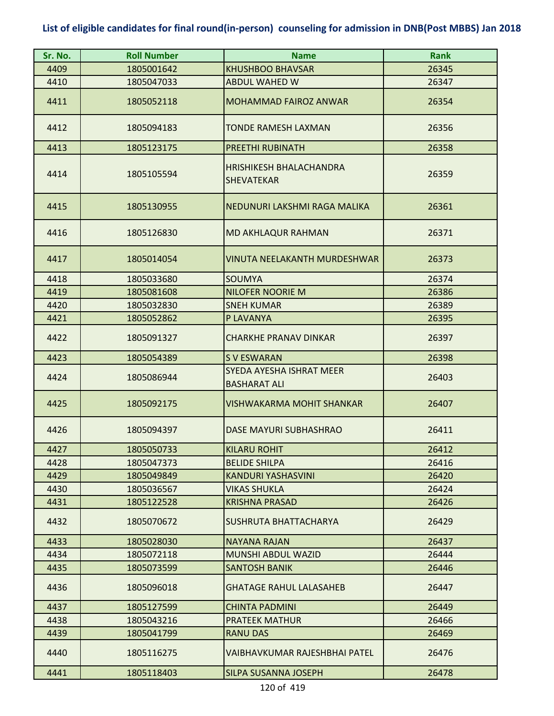| Sr. No. | <b>Roll Number</b> | <b>Name</b>                                         | <b>Rank</b> |
|---------|--------------------|-----------------------------------------------------|-------------|
| 4409    | 1805001642         | <b>KHUSHBOO BHAVSAR</b>                             | 26345       |
| 4410    | 1805047033         | <b>ABDUL WAHED W</b>                                | 26347       |
| 4411    | 1805052118         | <b>MOHAMMAD FAIROZ ANWAR</b>                        | 26354       |
| 4412    | 1805094183         | <b>TONDE RAMESH LAXMAN</b>                          | 26356       |
| 4413    | 1805123175         | PREETHI RUBINATH                                    | 26358       |
| 4414    | 1805105594         | <b>HRISHIKESH BHALACHANDRA</b><br><b>SHEVATEKAR</b> | 26359       |
| 4415    | 1805130955         | NEDUNURI LAKSHMI RAGA MALIKA                        | 26361       |
| 4416    | 1805126830         | <b>MD AKHLAQUR RAHMAN</b>                           | 26371       |
| 4417    | 1805014054         | VINUTA NEELAKANTH MURDESHWAR                        | 26373       |
| 4418    | 1805033680         | <b>SOUMYA</b>                                       | 26374       |
| 4419    | 1805081608         | <b>NILOFER NOORIE M</b>                             | 26386       |
| 4420    | 1805032830         | <b>SNEH KUMAR</b>                                   | 26389       |
| 4421    | 1805052862         | P LAVANYA                                           | 26395       |
| 4422    | 1805091327         | <b>CHARKHE PRANAV DINKAR</b>                        | 26397       |
| 4423    | 1805054389         | <b>SVESWARAN</b>                                    | 26398       |
| 4424    | 1805086944         | SYEDA AYESHA ISHRAT MEER<br><b>BASHARAT ALI</b>     | 26403       |
| 4425    | 1805092175         | <b>VISHWAKARMA MOHIT SHANKAR</b>                    | 26407       |
| 4426    | 1805094397         | <b>DASE MAYURI SUBHASHRAO</b>                       | 26411       |
| 4427    | 1805050733         | <b>KILARU ROHIT</b>                                 | 26412       |
| 4428    | 1805047373         | <b>BELIDE SHILPA</b>                                | 26416       |
| 4429    | 1805049849         | <b>KANDURI YASHASVINI</b>                           | 26420       |
| 4430    | 1805036567         | VIKAS SHUKLA                                        | 26424       |
| 4431    | 1805122528         | <b>KRISHNA PRASAD</b>                               | 26426       |
| 4432    | 1805070672         | SUSHRUTA BHATTACHARYA                               | 26429       |
| 4433    | 1805028030         | NAYANA RAJAN                                        | 26437       |
| 4434    | 1805072118         | <b>MUNSHI ABDUL WAZID</b>                           | 26444       |
| 4435    | 1805073599         | <b>SANTOSH BANIK</b>                                | 26446       |
| 4436    | 1805096018         | <b>GHATAGE RAHUL LALASAHEB</b>                      | 26447       |
| 4437    | 1805127599         | <b>CHINTA PADMINI</b>                               | 26449       |
| 4438    | 1805043216         | <b>PRATEEK MATHUR</b>                               | 26466       |
| 4439    | 1805041799         | <b>RANU DAS</b>                                     | 26469       |
| 4440    | 1805116275         | VAIBHAVKUMAR RAJESHBHAI PATEL                       | 26476       |
| 4441    | 1805118403         | <b>SILPA SUSANNA JOSEPH</b>                         | 26478       |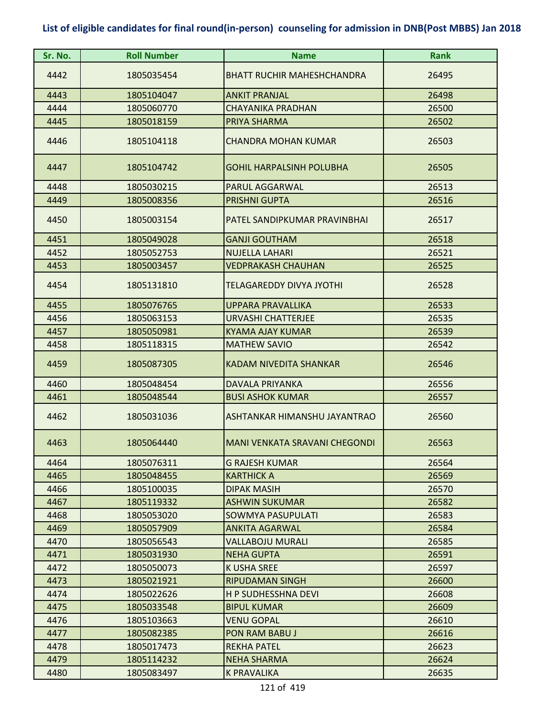| Sr. No. | <b>Roll Number</b> | <b>Name</b>                          | <b>Rank</b> |
|---------|--------------------|--------------------------------------|-------------|
| 4442    | 1805035454         | <b>BHATT RUCHIR MAHESHCHANDRA</b>    | 26495       |
| 4443    | 1805104047         | <b>ANKIT PRANJAL</b>                 | 26498       |
| 4444    | 1805060770         | CHAYANIKA PRADHAN                    | 26500       |
| 4445    | 1805018159         | PRIYA SHARMA                         | 26502       |
| 4446    | 1805104118         | <b>CHANDRA MOHAN KUMAR</b>           | 26503       |
| 4447    | 1805104742         | <b>GOHIL HARPALSINH POLUBHA</b>      | 26505       |
| 4448    | 1805030215         | <b>PARUL AGGARWAL</b>                | 26513       |
| 4449    | 1805008356         | <b>PRISHNI GUPTA</b>                 | 26516       |
| 4450    | 1805003154         | PATEL SANDIPKUMAR PRAVINBHAI         | 26517       |
| 4451    | 1805049028         | <b>GANJI GOUTHAM</b>                 | 26518       |
| 4452    | 1805052753         | <b>NUJELLA LAHARI</b>                | 26521       |
| 4453    | 1805003457         | <b>VEDPRAKASH CHAUHAN</b>            | 26525       |
| 4454    | 1805131810         | <b>TELAGAREDDY DIVYA JYOTHI</b>      | 26528       |
| 4455    | 1805076765         | <b>UPPARA PRAVALLIKA</b>             | 26533       |
| 4456    | 1805063153         | <b>URVASHI CHATTERJEE</b>            | 26535       |
| 4457    | 1805050981         | <b>KYAMA AJAY KUMAR</b>              | 26539       |
| 4458    | 1805118315         | <b>MATHEW SAVIO</b>                  | 26542       |
| 4459    | 1805087305         | <b>KADAM NIVEDITA SHANKAR</b>        | 26546       |
| 4460    | 1805048454         | <b>DAVALA PRIYANKA</b>               | 26556       |
| 4461    | 1805048544         | <b>BUSI ASHOK KUMAR</b>              | 26557       |
| 4462    | 1805031036         | ASHTANKAR HIMANSHU JAYANTRAO         | 26560       |
| 4463    | 1805064440         | <b>MANI VENKATA SRAVANI CHEGONDI</b> | 26563       |
| 4464    | 1805076311         | <b>G RAJESH KUMAR</b>                | 26564       |
| 4465    | 1805048455         | <b>KARTHICK A</b>                    | 26569       |
| 4466    | 1805100035         | <b>DIPAK MASIH</b>                   | 26570       |
| 4467    | 1805119332         | <b>ASHWIN SUKUMAR</b>                | 26582       |
| 4468    | 1805053020         | SOWMYA PASUPULATI                    | 26583       |
| 4469    | 1805057909         | <b>ANKITA AGARWAL</b>                | 26584       |
| 4470    | 1805056543         | <b>VALLABOJU MURALI</b>              | 26585       |
| 4471    | 1805031930         | <b>NEHA GUPTA</b>                    | 26591       |
| 4472    | 1805050073         | K USHA SREE                          | 26597       |
| 4473    | 1805021921         | <b>RIPUDAMAN SINGH</b>               | 26600       |
| 4474    | 1805022626         | H P SUDHESSHNA DEVI                  | 26608       |
| 4475    | 1805033548         | <b>BIPUL KUMAR</b>                   | 26609       |
| 4476    | 1805103663         | VENU GOPAL                           | 26610       |
| 4477    | 1805082385         | <b>PON RAM BABU J</b>                | 26616       |
| 4478    | 1805017473         | <b>REKHA PATEL</b>                   | 26623       |
| 4479    | 1805114232         | <b>NEHA SHARMA</b>                   | 26624       |
| 4480    | 1805083497         | K PRAVALIKA                          | 26635       |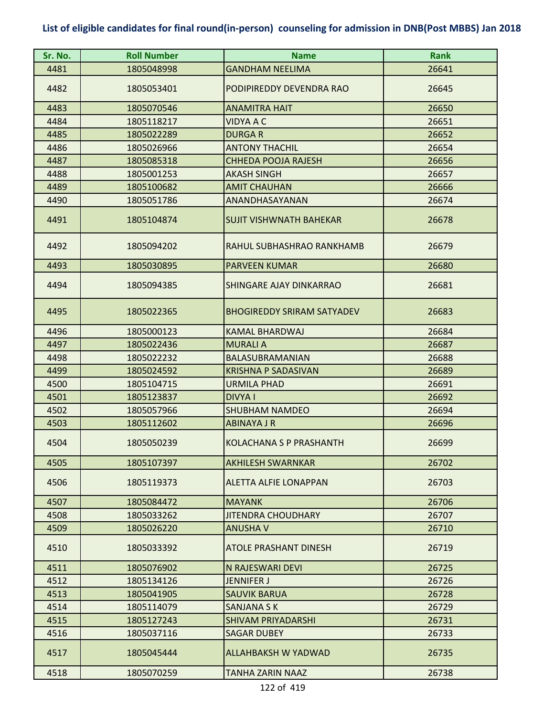| Sr. No. | <b>Roll Number</b> | <b>Name</b>                       | <b>Rank</b> |
|---------|--------------------|-----------------------------------|-------------|
| 4481    | 1805048998         | <b>GANDHAM NEELIMA</b>            | 26641       |
| 4482    | 1805053401         | PODIPIREDDY DEVENDRA RAO          | 26645       |
| 4483    | 1805070546         | <b>ANAMITRA HAIT</b>              | 26650       |
| 4484    | 1805118217         | <b>VIDYA A C</b>                  | 26651       |
| 4485    | 1805022289         | <b>DURGAR</b>                     | 26652       |
| 4486    | 1805026966         | <b>ANTONY THACHIL</b>             | 26654       |
| 4487    | 1805085318         | CHHEDA POOJA RAJESH               | 26656       |
| 4488    | 1805001253         | <b>AKASH SINGH</b>                | 26657       |
| 4489    | 1805100682         | <b>AMIT CHAUHAN</b>               | 26666       |
| 4490    | 1805051786         | ANANDHASAYANAN                    | 26674       |
| 4491    | 1805104874         | <b>SUJIT VISHWNATH BAHEKAR</b>    | 26678       |
| 4492    | 1805094202         | RAHUL SUBHASHRAO RANKHAMB         | 26679       |
| 4493    | 1805030895         | <b>PARVEEN KUMAR</b>              | 26680       |
| 4494    | 1805094385         | <b>SHINGARE AJAY DINKARRAO</b>    | 26681       |
| 4495    | 1805022365         | <b>BHOGIREDDY SRIRAM SATYADEV</b> | 26683       |
| 4496    | 1805000123         | <b>KAMAL BHARDWAJ</b>             | 26684       |
| 4497    | 1805022436         | <b>MURALI A</b>                   | 26687       |
| 4498    | 1805022232         | BALASUBRAMANIAN                   | 26688       |
| 4499    | 1805024592         | <b>KRISHNA P SADASIVAN</b>        | 26689       |
| 4500    | 1805104715         | <b>URMILA PHAD</b>                | 26691       |
| 4501    | 1805123837         | <b>DIVYA I</b>                    | 26692       |
| 4502    | 1805057966         | <b>SHUBHAM NAMDEO</b>             | 26694       |
| 4503    | 1805112602         | <b>ABINAYA J R</b>                | 26696       |
| 4504    | 1805050239         | KOLACHANA S P PRASHANTH           | 26699       |
| 4505    | 1805107397         | <b>AKHILESH SWARNKAR</b>          | 26702       |
| 4506    | 1805119373         | <b>ALETTA ALFIE LONAPPAN</b>      | 26703       |
| 4507    | 1805084472         | <b>MAYANK</b>                     | 26706       |
| 4508    | 1805033262         | <b>JITENDRA CHOUDHARY</b>         | 26707       |
| 4509    | 1805026220         | <b>ANUSHA V</b>                   | 26710       |
| 4510    | 1805033392         | <b>ATOLE PRASHANT DINESH</b>      | 26719       |
| 4511    | 1805076902         | N RAJESWARI DEVI                  | 26725       |
| 4512    | 1805134126         | <b>JENNIFER J</b>                 | 26726       |
| 4513    | 1805041905         | <b>SAUVIK BARUA</b>               | 26728       |
| 4514    | 1805114079         | <b>SANJANA S K</b>                | 26729       |
| 4515    | 1805127243         | <b>SHIVAM PRIYADARSHI</b>         | 26731       |
| 4516    | 1805037116         | <b>SAGAR DUBEY</b>                | 26733       |
| 4517    | 1805045444         | <b>ALLAHBAKSH W YADWAD</b>        | 26735       |
| 4518    | 1805070259         | <b>TANHA ZARIN NAAZ</b>           | 26738       |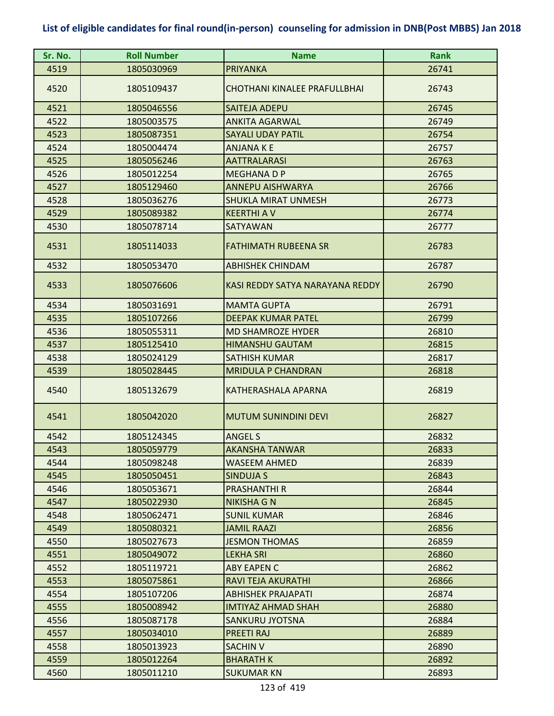| Sr. No. | <b>Roll Number</b> | <b>Name</b>                         | <b>Rank</b> |
|---------|--------------------|-------------------------------------|-------------|
| 4519    | 1805030969         | <b>PRIYANKA</b>                     | 26741       |
| 4520    | 1805109437         | <b>CHOTHANI KINALEE PRAFULLBHAI</b> | 26743       |
| 4521    | 1805046556         | <b>SAITEJA ADEPU</b>                | 26745       |
| 4522    | 1805003575         | <b>ANKITA AGARWAL</b>               | 26749       |
| 4523    | 1805087351         | <b>SAYALI UDAY PATIL</b>            | 26754       |
| 4524    | 1805004474         | <b>ANJANA K E</b>                   | 26757       |
| 4525    | 1805056246         | <b>AATTRALARASI</b>                 | 26763       |
| 4526    | 1805012254         | <b>MEGHANA D P</b>                  | 26765       |
| 4527    | 1805129460         | <b>ANNEPU AISHWARYA</b>             | 26766       |
| 4528    | 1805036276         | <b>SHUKLA MIRAT UNMESH</b>          | 26773       |
| 4529    | 1805089382         | <b>KEERTHI A V</b>                  | 26774       |
| 4530    | 1805078714         | <b>SATYAWAN</b>                     | 26777       |
| 4531    | 1805114033         | <b>FATHIMATH RUBEENA SR</b>         | 26783       |
| 4532    | 1805053470         | <b>ABHISHEK CHINDAM</b>             | 26787       |
| 4533    | 1805076606         | KASI REDDY SATYA NARAYANA REDDY     | 26790       |
| 4534    | 1805031691         | <b>MAMTA GUPTA</b>                  | 26791       |
| 4535    | 1805107266         | <b>DEEPAK KUMAR PATEL</b>           | 26799       |
| 4536    | 1805055311         | <b>MD SHAMROZE HYDER</b>            | 26810       |
| 4537    | 1805125410         | <b>HIMANSHU GAUTAM</b>              | 26815       |
| 4538    | 1805024129         | <b>SATHISH KUMAR</b>                | 26817       |
| 4539    | 1805028445         | <b>MRIDULA P CHANDRAN</b>           | 26818       |
| 4540    | 1805132679         | <b>KATHERASHALA APARNA</b>          | 26819       |
| 4541    | 1805042020         | <b>MUTUM SUNINDINI DEVI</b>         | 26827       |
| 4542    | 1805124345         | <b>ANGEL S</b>                      | 26832       |
| 4543    | 1805059779         | <b>AKANSHA TANWAR</b>               | 26833       |
| 4544    | 1805098248         | <b>WASEEM AHMED</b>                 | 26839       |
| 4545    | 1805050451         | SINDUJA S                           | 26843       |
| 4546    | 1805053671         | <b>PRASHANTHI R</b>                 | 26844       |
| 4547    | 1805022930         | NIKISHA G N                         | 26845       |
| 4548    | 1805062471         | <b>SUNIL KUMAR</b>                  | 26846       |
| 4549    | 1805080321         | <b>JAMIL RAAZI</b>                  | 26856       |
| 4550    | 1805027673         | <b>JESMON THOMAS</b>                | 26859       |
| 4551    | 1805049072         | <b>LEKHA SRI</b>                    | 26860       |
| 4552    | 1805119721         | ABY EAPEN C                         | 26862       |
| 4553    | 1805075861         | RAVI TEJA AKURATHI                  | 26866       |
| 4554    | 1805107206         | <b>ABHISHEK PRAJAPATI</b>           | 26874       |
| 4555    | 1805008942         | <b>IMTIYAZ AHMAD SHAH</b>           | 26880       |
| 4556    | 1805087178         | SANKURU JYOTSNA                     | 26884       |
| 4557    | 1805034010         | PREETI RAJ                          | 26889       |
| 4558    | 1805013923         | <b>SACHIN V</b>                     | 26890       |
| 4559    | 1805012264         | <b>BHARATH K</b>                    | 26892       |
| 4560    | 1805011210         | <b>SUKUMAR KN</b>                   | 26893       |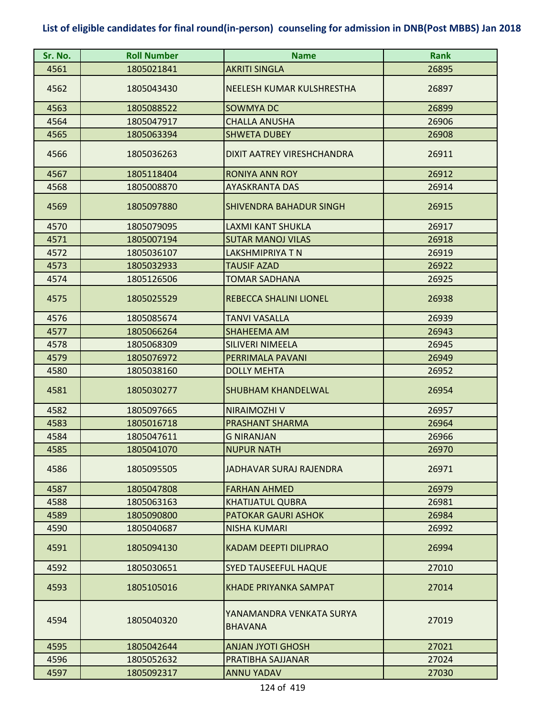| Sr. No. | <b>Roll Number</b> | <b>Name</b>                                | <b>Rank</b> |
|---------|--------------------|--------------------------------------------|-------------|
| 4561    | 1805021841         | <b>AKRITI SINGLA</b>                       | 26895       |
| 4562    | 1805043430         | NEELESH KUMAR KULSHRESTHA                  | 26897       |
| 4563    | 1805088522         | <b>SOWMYA DC</b>                           | 26899       |
| 4564    | 1805047917         | <b>CHALLA ANUSHA</b>                       | 26906       |
| 4565    | 1805063394         | <b>SHWETA DUBEY</b>                        | 26908       |
| 4566    | 1805036263         | DIXIT AATREY VIRESHCHANDRA                 | 26911       |
| 4567    | 1805118404         | <b>RONIYA ANN ROY</b>                      | 26912       |
| 4568    | 1805008870         | <b>AYASKRANTA DAS</b>                      | 26914       |
| 4569    | 1805097880         | <b>SHIVENDRA BAHADUR SINGH</b>             | 26915       |
| 4570    | 1805079095         | <b>LAXMI KANT SHUKLA</b>                   | 26917       |
| 4571    | 1805007194         | <b>SUTAR MANOJ VILAS</b>                   | 26918       |
| 4572    | 1805036107         | <b>LAKSHMIPRIYA T N</b>                    | 26919       |
| 4573    | 1805032933         | <b>TAUSIF AZAD</b>                         | 26922       |
| 4574    | 1805126506         | <b>TOMAR SADHANA</b>                       | 26925       |
| 4575    | 1805025529         | <b>REBECCA SHALINI LIONEL</b>              | 26938       |
| 4576    | 1805085674         | <b>TANVI VASALLA</b>                       | 26939       |
| 4577    | 1805066264         | <b>SHAHEEMA AM</b>                         | 26943       |
| 4578    | 1805068309         | <b>SILIVERI NIMEELA</b>                    | 26945       |
| 4579    | 1805076972         | PERRIMALA PAVANI                           | 26949       |
| 4580    | 1805038160         | <b>DOLLY MEHTA</b>                         | 26952       |
| 4581    | 1805030277         | <b>SHUBHAM KHANDELWAL</b>                  | 26954       |
| 4582    | 1805097665         | NIRAIMOZHI V                               | 26957       |
| 4583    | 1805016718         | PRASHANT SHARMA                            | 26964       |
| 4584    | 1805047611         | <b>G NIRANJAN</b>                          | 26966       |
| 4585    | 1805041070         | <b>NUPUR NATH</b>                          | 26970       |
| 4586    | 1805095505         | JADHAVAR SURAJ RAJENDRA                    | 26971       |
| 4587    | 1805047808         | <b>FARHAN AHMED</b>                        | 26979       |
| 4588    | 1805063163         | <b>KHATIJATUL QUBRA</b>                    | 26981       |
| 4589    | 1805090800         | PATOKAR GAURI ASHOK                        | 26984       |
| 4590    | 1805040687         | <b>NISHA KUMARI</b>                        | 26992       |
| 4591    | 1805094130         | <b>KADAM DEEPTI DILIPRAO</b>               | 26994       |
| 4592    | 1805030651         | <b>SYED TAUSEEFUL HAQUE</b>                | 27010       |
| 4593    | 1805105016         | <b>KHADE PRIYANKA SAMPAT</b>               | 27014       |
| 4594    | 1805040320         | YANAMANDRA VENKATA SURYA<br><b>BHAVANA</b> | 27019       |
| 4595    | 1805042644         | <b>ANJAN JYOTI GHOSH</b>                   | 27021       |
| 4596    | 1805052632         | PRATIBHA SAJJANAR                          | 27024       |
| 4597    | 1805092317         | <b>ANNU YADAV</b>                          | 27030       |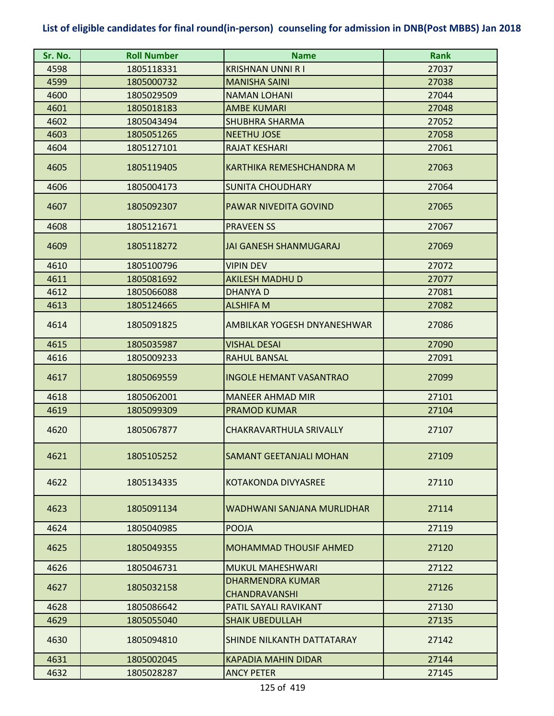| Sr. No. | <b>Roll Number</b> | <b>Name</b>                                     | <b>Rank</b> |
|---------|--------------------|-------------------------------------------------|-------------|
| 4598    | 1805118331         | <b>KRISHNAN UNNI R I</b>                        | 27037       |
| 4599    | 1805000732         | <b>MANISHA SAINI</b>                            | 27038       |
| 4600    | 1805029509         | <b>NAMAN LOHANI</b>                             | 27044       |
| 4601    | 1805018183         | <b>AMBE KUMARI</b>                              | 27048       |
| 4602    | 1805043494         | <b>SHUBHRA SHARMA</b>                           | 27052       |
| 4603    | 1805051265         | <b>NEETHU JOSE</b>                              | 27058       |
| 4604    | 1805127101         | <b>RAJAT KESHARI</b>                            | 27061       |
| 4605    | 1805119405         | KARTHIKA REMESHCHANDRA M                        | 27063       |
| 4606    | 1805004173         | <b>SUNITA CHOUDHARY</b>                         | 27064       |
| 4607    | 1805092307         | PAWAR NIVEDITA GOVIND                           | 27065       |
| 4608    | 1805121671         | <b>PRAVEEN SS</b>                               | 27067       |
| 4609    | 1805118272         | <b>JAI GANESH SHANMUGARAJ</b>                   | 27069       |
| 4610    | 1805100796         | <b>VIPIN DEV</b>                                | 27072       |
| 4611    | 1805081692         | <b>AKILESH MADHU D</b>                          | 27077       |
| 4612    | 1805066088         | <b>DHANYAD</b>                                  | 27081       |
| 4613    | 1805124665         | <b>ALSHIFA M</b>                                | 27082       |
| 4614    | 1805091825         | AMBILKAR YOGESH DNYANESHWAR                     | 27086       |
| 4615    | 1805035987         | <b>VISHAL DESAI</b>                             | 27090       |
| 4616    | 1805009233         | <b>RAHUL BANSAL</b>                             | 27091       |
| 4617    | 1805069559         | <b>INGOLE HEMANT VASANTRAO</b>                  | 27099       |
| 4618    | 1805062001         | <b>MANEER AHMAD MIR</b>                         | 27101       |
| 4619    | 1805099309         | <b>PRAMOD KUMAR</b>                             | 27104       |
| 4620    | 1805067877         | CHAKRAVARTHULA SRIVALLY                         | 27107       |
| 4621    | 1805105252         | <b>SAMANT GEETANJALI MOHAN</b>                  | 27109       |
| 4622    | 1805134335         | KOTAKONDA DIVYASREE                             | 27110       |
| 4623    | 1805091134         | WADHWANI SANJANA MURLIDHAR                      | 27114       |
| 4624    | 1805040985         | <b>POOJA</b>                                    | 27119       |
| 4625    | 1805049355         | <b>MOHAMMAD THOUSIF AHMED</b>                   | 27120       |
| 4626    | 1805046731         | <b>MUKUL MAHESHWARI</b>                         | 27122       |
| 4627    | 1805032158         | <b>DHARMENDRA KUMAR</b><br><b>CHANDRAVANSHI</b> | 27126       |
| 4628    | 1805086642         | PATIL SAYALI RAVIKANT                           | 27130       |
| 4629    | 1805055040         | <b>SHAIK UBEDULLAH</b>                          | 27135       |
| 4630    | 1805094810         | SHINDE NILKANTH DATTATARAY                      | 27142       |
| 4631    | 1805002045         | <b>KAPADIA MAHIN DIDAR</b>                      | 27144       |
| 4632    | 1805028287         | <b>ANCY PETER</b>                               | 27145       |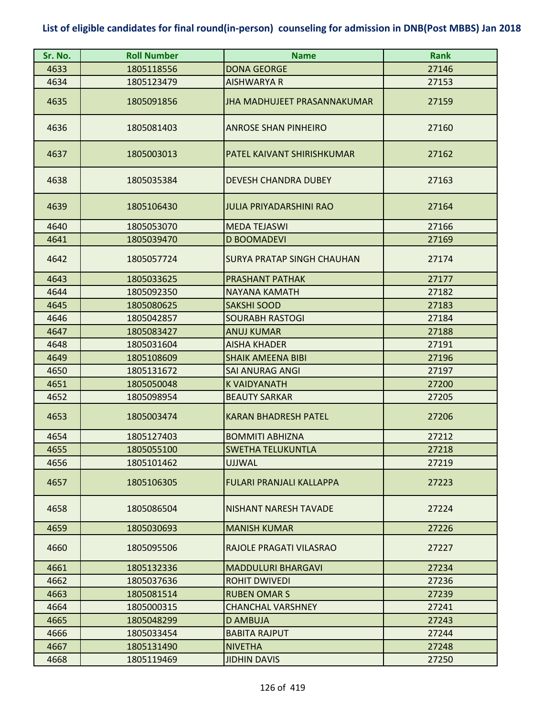| Sr. No. | <b>Roll Number</b> | <b>Name</b>                        | <b>Rank</b> |
|---------|--------------------|------------------------------------|-------------|
| 4633    | 1805118556         | <b>DONA GEORGE</b>                 | 27146       |
| 4634    | 1805123479         | <b>AISHWARYA R</b>                 | 27153       |
| 4635    | 1805091856         | <b>JHA MADHUJEET PRASANNAKUMAR</b> | 27159       |
| 4636    | 1805081403         | <b>ANROSE SHAN PINHEIRO</b>        | 27160       |
| 4637    | 1805003013         | PATEL KAIVANT SHIRISHKUMAR         | 27162       |
| 4638    | 1805035384         | <b>DEVESH CHANDRA DUBEY</b>        | 27163       |
| 4639    | 1805106430         | <b>JULIA PRIYADARSHINI RAO</b>     | 27164       |
| 4640    | 1805053070         | <b>MEDA TEJASWI</b>                | 27166       |
| 4641    | 1805039470         | <b>D BOOMADEVI</b>                 | 27169       |
| 4642    | 1805057724         | <b>SURYA PRATAP SINGH CHAUHAN</b>  | 27174       |
| 4643    | 1805033625         | <b>PRASHANT PATHAK</b>             | 27177       |
| 4644    | 1805092350         | NAYANA KAMATH                      | 27182       |
| 4645    | 1805080625         | <b>SAKSHI SOOD</b>                 | 27183       |
| 4646    | 1805042857         | <b>SOURABH RASTOGI</b>             | 27184       |
| 4647    | 1805083427         | <b>ANUJ KUMAR</b>                  | 27188       |
| 4648    | 1805031604         | <b>AISHA KHADER</b>                | 27191       |
| 4649    | 1805108609         | <b>SHAIK AMEENA BIBI</b>           | 27196       |
| 4650    | 1805131672         | <b>SAI ANURAG ANGI</b>             | 27197       |
| 4651    | 1805050048         | <b>K VAIDYANATH</b>                | 27200       |
| 4652    | 1805098954         | <b>BEAUTY SARKAR</b>               | 27205       |
| 4653    | 1805003474         | <b>KARAN BHADRESH PATEL</b>        | 27206       |
| 4654    | 1805127403         | <b>BOMMITI ABHIZNA</b>             | 27212       |
| 4655    | 1805055100         | ISWETHA TELUKUNTLA                 | 27218       |
| 4656    | 1805101462         | <b>UJJWAL</b>                      | 27219       |
| 4657    | 1805106305         | FULARI PRANJALI KALLAPPA           | 27223       |
| 4658    | 1805086504         | <b>NISHANT NARESH TAVADE</b>       | 27224       |
| 4659    | 1805030693         | <b>MANISH KUMAR</b>                | 27226       |
| 4660    | 1805095506         | RAJOLE PRAGATI VILASRAO            | 27227       |
| 4661    | 1805132336         | <b>MADDULURI BHARGAVI</b>          | 27234       |
| 4662    | 1805037636         | <b>ROHIT DWIVEDI</b>               | 27236       |
| 4663    | 1805081514         | <b>RUBEN OMAR S</b>                | 27239       |
| 4664    | 1805000315         | <b>CHANCHAL VARSHNEY</b>           | 27241       |
| 4665    | 1805048299         | D AMBUJA                           | 27243       |
| 4666    | 1805033454         | <b>BABITA RAJPUT</b>               | 27244       |
| 4667    | 1805131490         | <b>NIVETHA</b>                     | 27248       |
| 4668    | 1805119469         | <b>JIDHIN DAVIS</b>                | 27250       |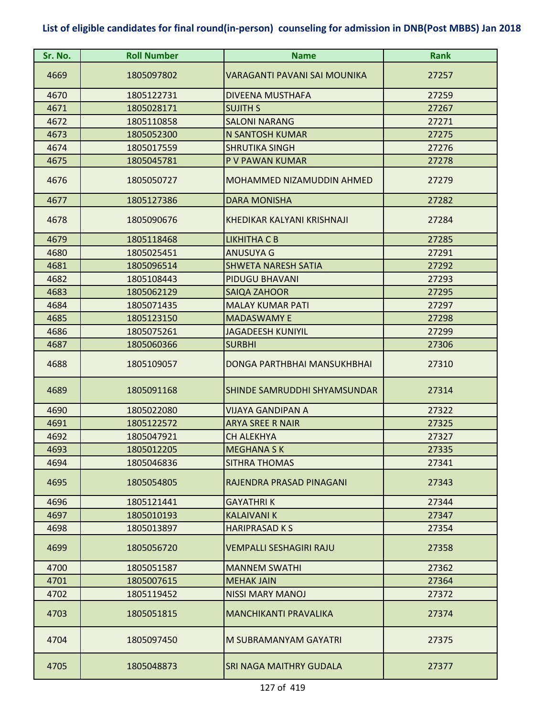| Sr. No. | <b>Roll Number</b> | <b>Name</b>                    | <b>Rank</b> |
|---------|--------------------|--------------------------------|-------------|
| 4669    | 1805097802         | VARAGANTI PAVANI SAI MOUNIKA   | 27257       |
| 4670    | 1805122731         | <b>DIVEENA MUSTHAFA</b>        | 27259       |
| 4671    | 1805028171         | <b>SUJITH S</b>                | 27267       |
| 4672    | 1805110858         | <b>SALONI NARANG</b>           | 27271       |
| 4673    | 1805052300         | <b>N SANTOSH KUMAR</b>         | 27275       |
| 4674    | 1805017559         | <b>SHRUTIKA SINGH</b>          | 27276       |
| 4675    | 1805045781         | P V PAWAN KUMAR                | 27278       |
| 4676    | 1805050727         | MOHAMMED NIZAMUDDIN AHMED      | 27279       |
| 4677    | 1805127386         | <b>DARA MONISHA</b>            | 27282       |
| 4678    | 1805090676         | KHEDIKAR KALYANI KRISHNAJI     | 27284       |
| 4679    | 1805118468         | LIKHITHA C B                   | 27285       |
| 4680    | 1805025451         | <b>ANUSUYA G</b>               | 27291       |
| 4681    | 1805096514         | <b>SHWETA NARESH SATIA</b>     | 27292       |
| 4682    | 1805108443         | PIDUGU BHAVANI                 | 27293       |
| 4683    | 1805062129         | <b>SAIQA ZAHOOR</b>            | 27295       |
| 4684    | 1805071435         | <b>MALAY KUMAR PATI</b>        | 27297       |
| 4685    | 1805123150         | <b>MADASWAMY E</b>             | 27298       |
| 4686    | 1805075261         | <b>JAGADEESH KUNIYIL</b>       | 27299       |
| 4687    | 1805060366         | <b>SURBHI</b>                  | 27306       |
| 4688    | 1805109057         | DONGA PARTHBHAI MANSUKHBHAI    | 27310       |
| 4689    | 1805091168         | SHINDE SAMRUDDHI SHYAMSUNDAR   | 27314       |
| 4690    | 1805022080         | <b>VIJAYA GANDIPAN A</b>       | 27322       |
| 4691    | 1805122572         | <b>ARYA SREE R NAIR</b>        | 27325       |
| 4692    | 1805047921         | <b>CH ALEKHYA</b>              | 27327       |
| 4693    | 1805012205         | <b>MEGHANA SK</b>              | 27335       |
| 4694    | 1805046836         | SITHRA THOMAS                  | 27341       |
| 4695    | 1805054805         | RAJENDRA PRASAD PINAGANI       | 27343       |
| 4696    | 1805121441         | <b>GAYATHRIK</b>               | 27344       |
| 4697    | 1805010193         | <b>KALAIVANI K</b>             | 27347       |
| 4698    | 1805013897         | <b>HARIPRASAD KS</b>           | 27354       |
| 4699    | 1805056720         | <b>VEMPALLI SESHAGIRI RAJU</b> | 27358       |
| 4700    | 1805051587         | <b>MANNEM SWATHI</b>           | 27362       |
| 4701    | 1805007615         | <b>MEHAK JAIN</b>              | 27364       |
| 4702    | 1805119452         | <b>NISSI MARY MANOJ</b>        | 27372       |
| 4703    | 1805051815         | <b>MANCHIKANTI PRAVALIKA</b>   | 27374       |
| 4704    | 1805097450         | M SUBRAMANYAM GAYATRI          | 27375       |
| 4705    | 1805048873         | SRI NAGA MAITHRY GUDALA        | 27377       |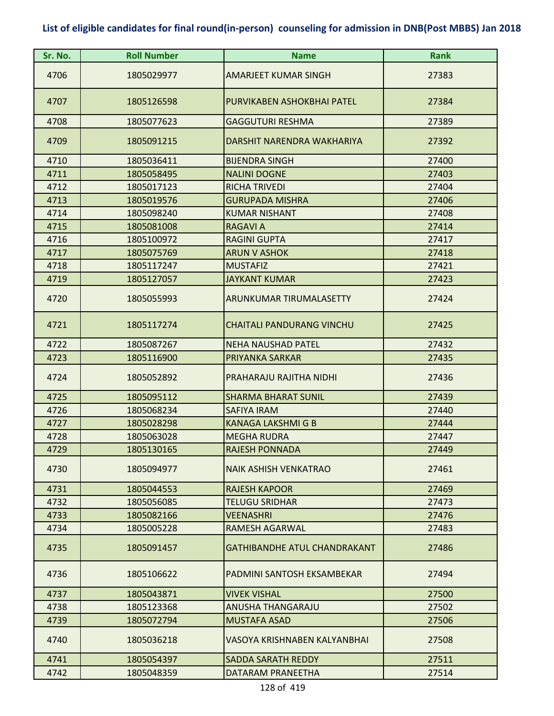| Sr. No. | <b>Roll Number</b> | <b>Name</b>                         | Rank  |
|---------|--------------------|-------------------------------------|-------|
| 4706    | 1805029977         | <b>AMARJEET KUMAR SINGH</b>         | 27383 |
| 4707    | 1805126598         | PURVIKABEN ASHOKBHAI PATEL          | 27384 |
| 4708    | 1805077623         | <b>GAGGUTURI RESHMA</b>             | 27389 |
| 4709    | 1805091215         | DARSHIT NARENDRA WAKHARIYA          | 27392 |
| 4710    | 1805036411         | <b>BIJENDRA SINGH</b>               | 27400 |
| 4711    | 1805058495         | <b>NALINI DOGNE</b>                 | 27403 |
| 4712    | 1805017123         | <b>RICHA TRIVEDI</b>                | 27404 |
| 4713    | 1805019576         | <b>GURUPADA MISHRA</b>              | 27406 |
| 4714    | 1805098240         | <b>KUMAR NISHANT</b>                | 27408 |
| 4715    | 1805081008         | <b>RAGAVI A</b>                     | 27414 |
| 4716    | 1805100972         | <b>RAGINI GUPTA</b>                 | 27417 |
| 4717    | 1805075769         | <b>ARUN V ASHOK</b>                 | 27418 |
| 4718    | 1805117247         | <b>MUSTAFIZ</b>                     | 27421 |
| 4719    | 1805127057         | <b>JAYKANT KUMAR</b>                | 27423 |
| 4720    | 1805055993         | ARUNKUMAR TIRUMALASETTY             | 27424 |
| 4721    | 1805117274         | <b>CHAITALI PANDURANG VINCHU</b>    | 27425 |
| 4722    | 1805087267         | <b>NEHA NAUSHAD PATEL</b>           | 27432 |
| 4723    | 1805116900         | PRIYANKA SARKAR                     | 27435 |
| 4724    | 1805052892         | PRAHARAJU RAJITHA NIDHI             | 27436 |
| 4725    | 1805095112         | <b>SHARMA BHARAT SUNIL</b>          | 27439 |
| 4726    | 1805068234         | <b>SAFIYA IRAM</b>                  | 27440 |
| 4727    | 1805028298         | <b>KANAGA LAKSHMI G B</b>           | 27444 |
| 4728    | 1805063028         | <b>MEGHA RUDRA</b>                  | 27447 |
| 4729    | 1805130165         | <b>RAJESH PONNADA</b>               | 27449 |
| 4730    | 1805094977         | <b>NAIK ASHISH VENKATRAO</b>        | 27461 |
| 4731    | 1805044553         | <b>RAJESH KAPOOR</b>                | 27469 |
| 4732    | 1805056085         | <b>TELUGU SRIDHAR</b>               | 27473 |
| 4733    | 1805082166         | <b>VEENASHRI</b>                    | 27476 |
| 4734    | 1805005228         | RAMESH AGARWAL                      | 27483 |
| 4735    | 1805091457         | <b>GATHIBANDHE ATUL CHANDRAKANT</b> | 27486 |
| 4736    | 1805106622         | PADMINI SANTOSH EKSAMBEKAR          | 27494 |
| 4737    | 1805043871         | <b>VIVEK VISHAL</b>                 | 27500 |
| 4738    | 1805123368         | <b>ANUSHA THANGARAJU</b>            | 27502 |
| 4739    | 1805072794         | <b>MUSTAFA ASAD</b>                 | 27506 |
| 4740    | 1805036218         | VASOYA KRISHNABEN KALYANBHAI        | 27508 |
| 4741    | 1805054397         | <b>SADDA SARATH REDDY</b>           | 27511 |
| 4742    | 1805048359         | DATARAM PRANEETHA                   | 27514 |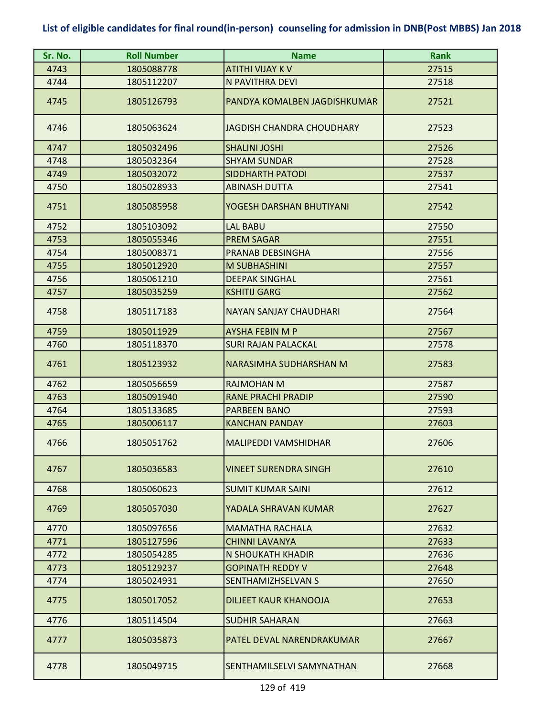| Sr. No. | <b>Roll Number</b> | <b>Name</b>                   | <b>Rank</b> |
|---------|--------------------|-------------------------------|-------------|
| 4743    | 1805088778         | <b>ATITHI VIJAY K V</b>       | 27515       |
| 4744    | 1805112207         | N PAVITHRA DEVI               | 27518       |
| 4745    | 1805126793         | PANDYA KOMALBEN JAGDISHKUMAR  | 27521       |
| 4746    | 1805063624         | JAGDISH CHANDRA CHOUDHARY     | 27523       |
| 4747    | 1805032496         | <b>SHALINI JOSHI</b>          | 27526       |
| 4748    | 1805032364         | <b>SHYAM SUNDAR</b>           | 27528       |
| 4749    | 1805032072         | <b>SIDDHARTH PATODI</b>       | 27537       |
| 4750    | 1805028933         | <b>ABINASH DUTTA</b>          | 27541       |
| 4751    | 1805085958         | YOGESH DARSHAN BHUTIYANI      | 27542       |
| 4752    | 1805103092         | <b>LAL BABU</b>               | 27550       |
| 4753    | 1805055346         | <b>PREM SAGAR</b>             | 27551       |
| 4754    | 1805008371         | PRANAB DEBSINGHA              | 27556       |
| 4755    | 1805012920         | <b>M SUBHASHINI</b>           | 27557       |
| 4756    | 1805061210         | <b>DEEPAK SINGHAL</b>         | 27561       |
| 4757    | 1805035259         | <b>KSHITIJ GARG</b>           | 27562       |
| 4758    | 1805117183         | NAYAN SANJAY CHAUDHARI        | 27564       |
| 4759    | 1805011929         | <b>AYSHA FEBIN M P</b>        | 27567       |
| 4760    | 1805118370         | <b>SURI RAJAN PALACKAL</b>    | 27578       |
| 4761    | 1805123932         | <b>NARASIMHA SUDHARSHAN M</b> | 27583       |
| 4762    | 1805056659         | <b>RAJMOHAN M</b>             | 27587       |
| 4763    | 1805091940         | <b>RANE PRACHI PRADIP</b>     | 27590       |
| 4764    | 1805133685         | <b>PARBEEN BANO</b>           | 27593       |
| 4765    | 1805006117         | <b>KANCHAN PANDAY</b>         | 27603       |
| 4766    | 1805051762         | <b>MALIPEDDI VAMSHIDHAR</b>   | 27606       |
| 4767    | 1805036583         | VINEET SURENDRA SINGH         | 27610       |
| 4768    | 1805060623         | <b>SUMIT KUMAR SAINI</b>      | 27612       |
| 4769    | 1805057030         | YADALA SHRAVAN KUMAR          | 27627       |
| 4770    | 1805097656         | <b>MAMATHA RACHALA</b>        | 27632       |
| 4771    | 1805127596         | <b>CHINNI LAVANYA</b>         | 27633       |
| 4772    | 1805054285         | N SHOUKATH KHADIR             | 27636       |
| 4773    | 1805129237         | <b>GOPINATH REDDY V</b>       | 27648       |
| 4774    | 1805024931         | SENTHAMIZHSELVAN S            | 27650       |
| 4775    | 1805017052         | <b>DILJEET KAUR KHANOOJA</b>  | 27653       |
| 4776    | 1805114504         | <b>SUDHIR SAHARAN</b>         | 27663       |
| 4777    | 1805035873         | PATEL DEVAL NARENDRAKUMAR     | 27667       |
| 4778    | 1805049715         | SENTHAMILSELVI SAMYNATHAN     | 27668       |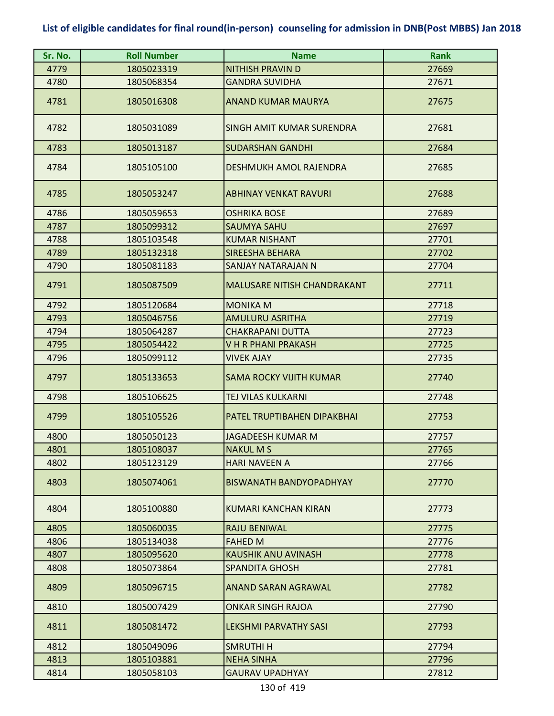| Sr. No. | <b>Roll Number</b> | <b>Name</b>                        | <b>Rank</b> |
|---------|--------------------|------------------------------------|-------------|
| 4779    | 1805023319         | <b>NITHISH PRAVIN D</b>            | 27669       |
| 4780    | 1805068354         | <b>GANDRA SUVIDHA</b>              | 27671       |
| 4781    | 1805016308         | <b>ANAND KUMAR MAURYA</b>          | 27675       |
| 4782    | 1805031089         | SINGH AMIT KUMAR SURENDRA          | 27681       |
| 4783    | 1805013187         | <b>SUDARSHAN GANDHI</b>            | 27684       |
| 4784    | 1805105100         | DESHMUKH AMOL RAJENDRA             | 27685       |
| 4785    | 1805053247         | ABHINAY VENKAT RAVURI              | 27688       |
| 4786    | 1805059653         | <b>OSHRIKA BOSE</b>                | 27689       |
| 4787    | 1805099312         | <b>SAUMYA SAHU</b>                 | 27697       |
| 4788    | 1805103548         | <b>KUMAR NISHANT</b>               | 27701       |
| 4789    | 1805132318         | <b>SIREESHA BEHARA</b>             | 27702       |
| 4790    | 1805081183         | SANJAY NATARAJAN N                 | 27704       |
| 4791    | 1805087509         | <b>MALUSARE NITISH CHANDRAKANT</b> | 27711       |
| 4792    | 1805120684         | <b>MONIKA M</b>                    | 27718       |
| 4793    | 1805046756         | <b>AMULURU ASRITHA</b>             | 27719       |
| 4794    | 1805064287         | <b>CHAKRAPANI DUTTA</b>            | 27723       |
| 4795    | 1805054422         | V H R PHANI PRAKASH                | 27725       |
| 4796    | 1805099112         | <b>VIVEK AJAY</b>                  | 27735       |
| 4797    | 1805133653         | <b>SAMA ROCKY VIJITH KUMAR</b>     | 27740       |
| 4798    | 1805106625         | <b>TEJ VILAS KULKARNI</b>          | 27748       |
| 4799    | 1805105526         | PATEL TRUPTIBAHEN DIPAKBHAI        | 27753       |
| 4800    | 1805050123         | <b>JAGADEESH KUMAR M</b>           | 27757       |
| 4801    | 1805108037         | <b>NAKULMS</b>                     | 27765       |
| 4802    | 1805123129         | <b>HARI NAVEEN A</b>               | 27766       |
| 4803    | 1805074061         | <b>BISWANATH BANDYOPADHYAY</b>     | 27770       |
| 4804    | 1805100880         | KUMARI KANCHAN KIRAN               | 27773       |
| 4805    | 1805060035         | <b>RAJU BENIWAL</b>                | 27775       |
| 4806    | 1805134038         | <b>FAHED M</b>                     | 27776       |
| 4807    | 1805095620         | KAUSHIK ANU AVINASH                | 27778       |
| 4808    | 1805073864         | <b>SPANDITA GHOSH</b>              | 27781       |
| 4809    | 1805096715         | <b>ANAND SARAN AGRAWAL</b>         | 27782       |
| 4810    | 1805007429         | <b>ONKAR SINGH RAJOA</b>           | 27790       |
| 4811    | 1805081472         | LEKSHMI PARVATHY SASI              | 27793       |
| 4812    | 1805049096         | <b>SMRUTHIH</b>                    | 27794       |
| 4813    | 1805103881         | <b>NEHA SINHA</b>                  | 27796       |
| 4814    | 1805058103         | <b>GAURAV UPADHYAY</b>             | 27812       |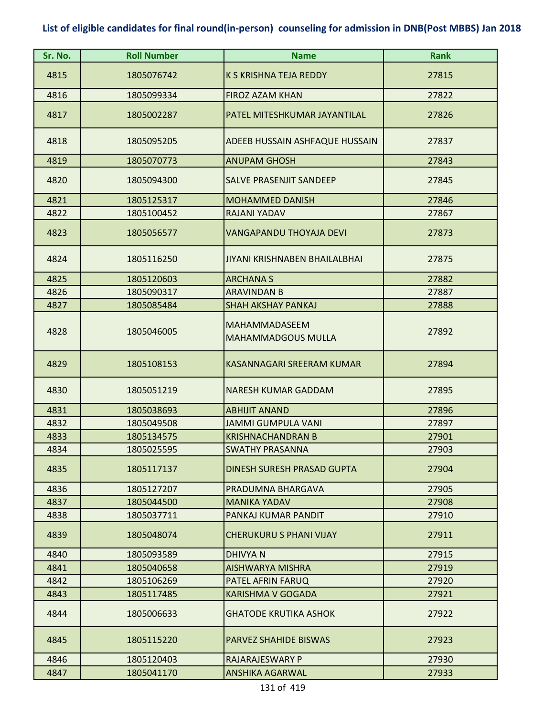| Sr. No. | <b>Roll Number</b> | <b>Name</b>                                       | <b>Rank</b> |
|---------|--------------------|---------------------------------------------------|-------------|
| 4815    | 1805076742         | <b>K S KRISHNA TEJA REDDY</b>                     | 27815       |
| 4816    | 1805099334         | <b>FIROZ AZAM KHAN</b>                            | 27822       |
| 4817    | 1805002287         | PATEL MITESHKUMAR JAYANTILAL                      | 27826       |
| 4818    | 1805095205         | ADEEB HUSSAIN ASHFAQUE HUSSAIN                    | 27837       |
| 4819    | 1805070773         | <b>ANUPAM GHOSH</b>                               | 27843       |
| 4820    | 1805094300         | <b>SALVE PRASENJIT SANDEEP</b>                    | 27845       |
| 4821    | 1805125317         | <b>MOHAMMED DANISH</b>                            | 27846       |
| 4822    | 1805100452         | RAJANI YADAV                                      | 27867       |
| 4823    | 1805056577         | VANGAPANDU THOYAJA DEVI                           | 27873       |
| 4824    | 1805116250         | JIYANI KRISHNABEN BHAILALBHAI                     | 27875       |
| 4825    | 1805120603         | <b>ARCHANA S</b>                                  | 27882       |
| 4826    | 1805090317         | <b>ARAVINDAN B</b>                                | 27887       |
| 4827    | 1805085484         | <b>SHAH AKSHAY PANKAJ</b>                         | 27888       |
| 4828    | 1805046005         | <b>MAHAMMADASEEM</b><br><b>MAHAMMADGOUS MULLA</b> | 27892       |
| 4829    | 1805108153         | <b>KASANNAGARI SREERAM KUMAR</b>                  | 27894       |
| 4830    | 1805051219         | <b>NARESH KUMAR GADDAM</b>                        | 27895       |
| 4831    | 1805038693         | <b>ABHIJIT ANAND</b>                              | 27896       |
| 4832    | 1805049508         | <b>JAMMI GUMPULA VANI</b>                         | 27897       |
| 4833    | 1805134575         | <b>KRISHNACHANDRAN B</b>                          | 27901       |
| 4834    | 1805025595         | SWATHY PRASANNA                                   | 27903       |
| 4835    | 1805117137         | DINESH SURESH PRASAD GUPTA                        | 27904       |
| 4836    | 1805127207         | PRADUMNA BHARGAVA                                 | 27905       |
| 4837    | 1805044500         | <b>MANIKA YADAV</b>                               | 27908       |
| 4838    | 1805037711         | PANKAJ KUMAR PANDIT                               | 27910       |
| 4839    | 1805048074         | <b>CHERUKURU S PHANI VIJAY</b>                    | 27911       |
| 4840    | 1805093589         | <b>DHIVYAN</b>                                    | 27915       |
| 4841    | 1805040658         | <b>AISHWARYA MISHRA</b>                           | 27919       |
| 4842    | 1805106269         | PATEL AFRIN FARUQ                                 | 27920       |
| 4843    | 1805117485         | KARISHMA V GOGADA                                 | 27921       |
| 4844    | 1805006633         | <b>GHATODE KRUTIKA ASHOK</b>                      | 27922       |
| 4845    | 1805115220         | <b>PARVEZ SHAHIDE BISWAS</b>                      | 27923       |
| 4846    | 1805120403         | <b>RAJARAJESWARY P</b>                            | 27930       |
| 4847    | 1805041170         | <b>ANSHIKA AGARWAL</b>                            | 27933       |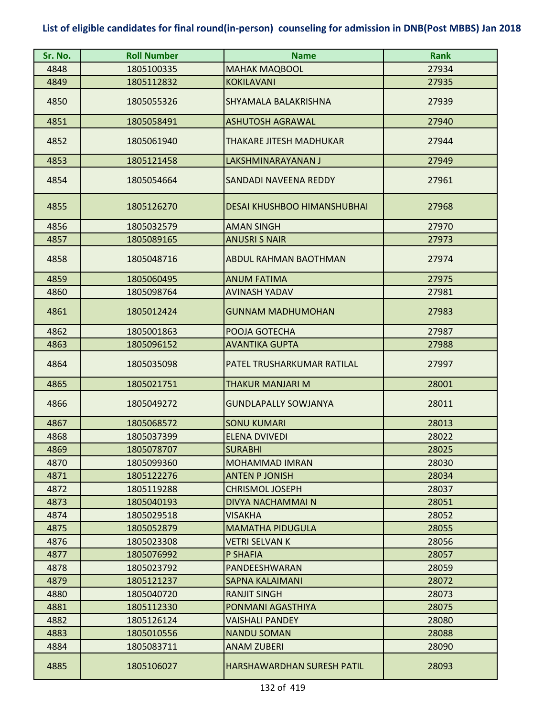| Sr. No. | <b>Roll Number</b> | <b>Name</b>                        | <b>Rank</b> |
|---------|--------------------|------------------------------------|-------------|
| 4848    | 1805100335         | <b>MAHAK MAQBOOL</b>               | 27934       |
| 4849    | 1805112832         | <b>KOKILAVANI</b>                  | 27935       |
| 4850    | 1805055326         | SHYAMALA BALAKRISHNA               | 27939       |
| 4851    | 1805058491         | <b>ASHUTOSH AGRAWAL</b>            | 27940       |
| 4852    | 1805061940         | <b>THAKARE JITESH MADHUKAR</b>     | 27944       |
| 4853    | 1805121458         | LAKSHMINARAYANAN J                 | 27949       |
| 4854    | 1805054664         | SANDADI NAVEENA REDDY              | 27961       |
| 4855    | 1805126270         | <b>DESAI KHUSHBOO HIMANSHUBHAI</b> | 27968       |
| 4856    | 1805032579         | <b>AMAN SINGH</b>                  | 27970       |
| 4857    | 1805089165         | <b>ANUSRI S NAIR</b>               | 27973       |
| 4858    | 1805048716         | ABDUL RAHMAN BAOTHMAN              | 27974       |
| 4859    | 1805060495         | <b>ANUM FATIMA</b>                 | 27975       |
| 4860    | 1805098764         | <b>AVINASH YADAV</b>               | 27981       |
| 4861    | 1805012424         | <b>GUNNAM MADHUMOHAN</b>           | 27983       |
| 4862    | 1805001863         | POOJA GOTECHA                      | 27987       |
| 4863    | 1805096152         | <b>AVANTIKA GUPTA</b>              | 27988       |
| 4864    | 1805035098         | PATEL TRUSHARKUMAR RATILAL         | 27997       |
| 4865    | 1805021751         | <b>THAKUR MANJARI M</b>            | 28001       |
| 4866    | 1805049272         | <b>GUNDLAPALLY SOWJANYA</b>        | 28011       |
| 4867    | 1805068572         | <b>SONU KUMARI</b>                 | 28013       |
| 4868    | 1805037399         | <b>ELENA DVIVEDI</b>               | 28022       |
| 4869    | 1805078707         | <b>SURABHI</b>                     | 28025       |
| 4870    | 1805099360         | <b>MOHAMMAD IMRAN</b>              | 28030       |
| 4871    | 1805122276         | <b>ANTEN P JONISH</b>              | 28034       |
| 4872    | 1805119288         | <b>CHRISMOL JOSEPH</b>             | 28037       |
| 4873    | 1805040193         | DIVYA NACHAMMAI N                  | 28051       |
| 4874    | 1805029518         | <b>VISAKHA</b>                     | 28052       |
| 4875    | 1805052879         | <b>MAMATHA PIDUGULA</b>            | 28055       |
| 4876    | 1805023308         | <b>VETRI SELVAN K</b>              | 28056       |
| 4877    | 1805076992         | P SHAFIA                           | 28057       |
| 4878    | 1805023792         | PANDEESHWARAN                      | 28059       |
| 4879    | 1805121237         | <b>SAPNA KALAIMANI</b>             | 28072       |
| 4880    | 1805040720         | <b>RANJIT SINGH</b>                | 28073       |
| 4881    | 1805112330         | PONMANI AGASTHIYA                  | 28075       |
| 4882    | 1805126124         | <b>VAISHALI PANDEY</b>             | 28080       |
| 4883    | 1805010556         | <b>NANDU SOMAN</b>                 | 28088       |
| 4884    | 1805083711         | <b>ANAM ZUBERI</b>                 | 28090       |
| 4885    | 1805106027         | HARSHAWARDHAN SURESH PATIL         | 28093       |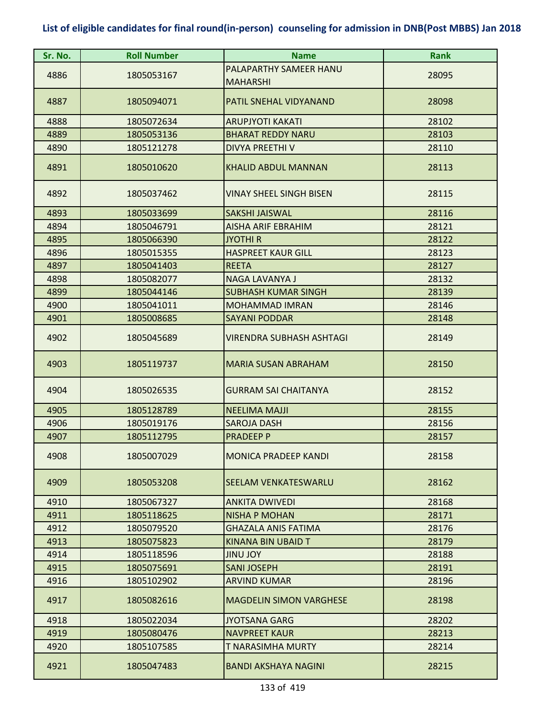| Sr. No. | <b>Roll Number</b> | <b>Name</b>                     | <b>Rank</b> |
|---------|--------------------|---------------------------------|-------------|
|         |                    | PALAPARTHY SAMEER HANU          |             |
| 4886    | 1805053167         | <b>MAHARSHI</b>                 | 28095       |
| 4887    | 1805094071         | PATIL SNEHAL VIDYANAND          | 28098       |
| 4888    | 1805072634         | <b>ARUPJYOTI KAKATI</b>         | 28102       |
| 4889    | 1805053136         | <b>BHARAT REDDY NARU</b>        | 28103       |
| 4890    | 1805121278         | DIVYA PREETHI V                 | 28110       |
| 4891    | 1805010620         | <b>KHALID ABDUL MANNAN</b>      | 28113       |
| 4892    | 1805037462         | VINAY SHEEL SINGH BISEN         | 28115       |
| 4893    | 1805033699         | <b>SAKSHI JAISWAL</b>           | 28116       |
| 4894    | 1805046791         | <b>AISHA ARIF EBRAHIM</b>       | 28121       |
| 4895    | 1805066390         | <b>JYOTHI R</b>                 | 28122       |
| 4896    | 1805015355         | <b>HASPREET KAUR GILL</b>       | 28123       |
| 4897    | 1805041403         | <b>REETA</b>                    | 28127       |
| 4898    | 1805082077         | NAGA LAVANYA J                  | 28132       |
| 4899    | 1805044146         | <b>SUBHASH KUMAR SINGH</b>      | 28139       |
| 4900    | 1805041011         | <b>MOHAMMAD IMRAN</b>           | 28146       |
| 4901    | 1805008685         | <b>SAYANI PODDAR</b>            | 28148       |
| 4902    | 1805045689         | <b>VIRENDRA SUBHASH ASHTAGI</b> | 28149       |
| 4903    | 1805119737         | <b>MARIA SUSAN ABRAHAM</b>      | 28150       |
| 4904    | 1805026535         | <b>GURRAM SAI CHAITANYA</b>     | 28152       |
| 4905    | 1805128789         | <b>NEELIMA MAJJI</b>            | 28155       |
| 4906    | 1805019176         | <b>SAROJA DASH</b>              | 28156       |
| 4907    | 1805112795         | <b>PRADEEP P</b>                | 28157       |
| 4908    | 1805007029         | <b>MONICA PRADEEP KANDI</b>     | 28158       |
| 4909    | 1805053208         | <b>SEELAM VENKATESWARLU</b>     | 28162       |
| 4910    | 1805067327         | <b>ANKITA DWIVEDI</b>           | 28168       |
| 4911    | 1805118625         | <b>NISHA P MOHAN</b>            | 28171       |
| 4912    | 1805079520         | <b>GHAZALA ANIS FATIMA</b>      | 28176       |
| 4913    | 1805075823         | KINANA BIN UBAID T              | 28179       |
| 4914    | 1805118596         | <b>YOL UNIL</b>                 | 28188       |
| 4915    | 1805075691         | <b>SANI JOSEPH</b>              | 28191       |
| 4916    | 1805102902         | <b>ARVIND KUMAR</b>             | 28196       |
| 4917    | 1805082616         | <b>MAGDELIN SIMON VARGHESE</b>  | 28198       |
| 4918    | 1805022034         | <b>JYOTSANA GARG</b>            | 28202       |
| 4919    | 1805080476         | <b>NAVPREET KAUR</b>            | 28213       |
| 4920    | 1805107585         | <b>T NARASIMHA MURTY</b>        | 28214       |
| 4921    | 1805047483         | <b>BANDI AKSHAYA NAGINI</b>     | 28215       |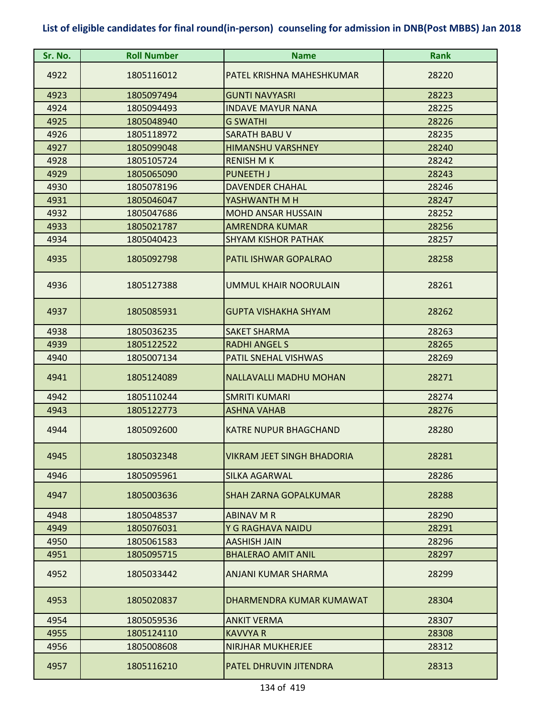| Sr. No. | <b>Roll Number</b> | <b>Name</b>                       | <b>Rank</b> |
|---------|--------------------|-----------------------------------|-------------|
| 4922    | 1805116012         | PATEL KRISHNA MAHESHKUMAR         | 28220       |
| 4923    | 1805097494         | <b>GUNTI NAVYASRI</b>             | 28223       |
| 4924    | 1805094493         | <b>INDAVE MAYUR NANA</b>          | 28225       |
| 4925    | 1805048940         | <b>G SWATHI</b>                   | 28226       |
| 4926    | 1805118972         | <b>SARATH BABU V</b>              | 28235       |
| 4927    | 1805099048         | <b>HIMANSHU VARSHNEY</b>          | 28240       |
| 4928    | 1805105724         | <b>RENISH MK</b>                  | 28242       |
| 4929    | 1805065090         | <b>PUNEETH J</b>                  | 28243       |
| 4930    | 1805078196         | <b>DAVENDER CHAHAL</b>            | 28246       |
| 4931    | 1805046047         | YASHWANTH M H                     | 28247       |
| 4932    | 1805047686         | <b>MOHD ANSAR HUSSAIN</b>         | 28252       |
| 4933    | 1805021787         | <b>AMRENDRA KUMAR</b>             | 28256       |
| 4934    | 1805040423         | <b>SHYAM KISHOR PATHAK</b>        | 28257       |
| 4935    | 1805092798         | PATIL ISHWAR GOPALRAO             | 28258       |
| 4936    | 1805127388         | <b>UMMUL KHAIR NOORULAIN</b>      | 28261       |
| 4937    | 1805085931         | <b>GUPTA VISHAKHA SHYAM</b>       | 28262       |
| 4938    | 1805036235         | <b>SAKET SHARMA</b>               | 28263       |
| 4939    | 1805122522         | <b>RADHI ANGEL S</b>              | 28265       |
| 4940    | 1805007134         | PATIL SNEHAL VISHWAS              | 28269       |
| 4941    | 1805124089         | <b>NALLAVALLI MADHU MOHAN</b>     | 28271       |
| 4942    | 1805110244         | <b>SMRITI KUMARI</b>              | 28274       |
| 4943    | 1805122773         | <b>ASHNA VAHAB</b>                | 28276       |
| 4944    | 1805092600         | <b>KATRE NUPUR BHAGCHAND</b>      | 28280       |
| 4945    | 1805032348         | <b>VIKRAM JEET SINGH BHADORIA</b> | 28281       |
| 4946    | 1805095961         | SILKA AGARWAL                     | 28286       |
| 4947    | 1805003636         | <b>SHAH ZARNA GOPALKUMAR</b>      | 28288       |
| 4948    | 1805048537         | <b>ABINAV M R</b>                 | 28290       |
| 4949    | 1805076031         | Y G RAGHAVA NAIDU                 | 28291       |
| 4950    | 1805061583         | <b>AASHISH JAIN</b>               | 28296       |
| 4951    | 1805095715         | <b>BHALERAO AMIT ANIL</b>         | 28297       |
| 4952    | 1805033442         | ANJANI KUMAR SHARMA               | 28299       |
| 4953    | 1805020837         | DHARMENDRA KUMAR KUMAWAT          | 28304       |
| 4954    | 1805059536         | <b>ANKIT VERMA</b>                | 28307       |
| 4955    | 1805124110         | <b>KAVVYA R</b>                   | 28308       |
| 4956    | 1805008608         | <b>NIRJHAR MUKHERJEE</b>          | 28312       |
| 4957    | 1805116210         | PATEL DHRUVIN JITENDRA            | 28313       |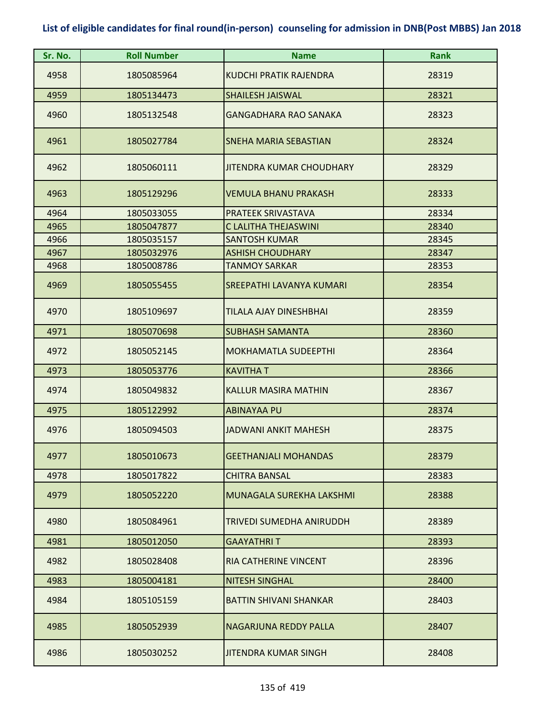| Sr. No. | <b>Roll Number</b> | <b>Name</b>                     | <b>Rank</b> |
|---------|--------------------|---------------------------------|-------------|
| 4958    | 1805085964         | <b>KUDCHI PRATIK RAJENDRA</b>   | 28319       |
| 4959    | 1805134473         | <b>SHAILESH JAISWAL</b>         | 28321       |
| 4960    | 1805132548         | <b>GANGADHARA RAO SANAKA</b>    | 28323       |
| 4961    | 1805027784         | <b>SNEHA MARIA SEBASTIAN</b>    | 28324       |
| 4962    | 1805060111         | <b>JITENDRA KUMAR CHOUDHARY</b> | 28329       |
| 4963    | 1805129296         | <b>VEMULA BHANU PRAKASH</b>     | 28333       |
| 4964    | 1805033055         | PRATEEK SRIVASTAVA              | 28334       |
| 4965    | 1805047877         | C LALITHA THEJASWINI            | 28340       |
| 4966    | 1805035157         | <b>SANTOSH KUMAR</b>            | 28345       |
| 4967    | 1805032976         | <b>ASHISH CHOUDHARY</b>         | 28347       |
| 4968    | 1805008786         | <b>TANMOY SARKAR</b>            | 28353       |
| 4969    | 1805055455         | SREEPATHI LAVANYA KUMARI        | 28354       |
| 4970    | 1805109697         | TILALA AJAY DINESHBHAI          | 28359       |
| 4971    | 1805070698         | <b>SUBHASH SAMANTA</b>          | 28360       |
| 4972    | 1805052145         | <b>MOKHAMATLA SUDEEPTHI</b>     | 28364       |
| 4973    | 1805053776         | <b>KAVITHAT</b>                 | 28366       |
| 4974    | 1805049832         | <b>KALLUR MASIRA MATHIN</b>     | 28367       |
| 4975    | 1805122992         | <b>ABINAYAA PU</b>              | 28374       |
| 4976    | 1805094503         | JADWANI ANKIT MAHESH            | 28375       |
| 4977    | 1805010673         | <b>GEETHANJALI MOHANDAS</b>     | 28379       |
| 4978    | 1805017822         | <b>CHITRA BANSAL</b>            | 28383       |
| 4979    | 1805052220         | MUNAGALA SUREKHA LAKSHMI        | 28388       |
| 4980    | 1805084961         | TRIVEDI SUMEDHA ANIRUDDH        | 28389       |
| 4981    | 1805012050         | <b>GAAYATHRIT</b>               | 28393       |
| 4982    | 1805028408         | RIA CATHERINE VINCENT           | 28396       |
| 4983    | 1805004181         | <b>NITESH SINGHAL</b>           | 28400       |
| 4984    | 1805105159         | BATTIN SHIVANI SHANKAR          | 28403       |
| 4985    | 1805052939         | NAGARJUNA REDDY PALLA           | 28407       |
| 4986    | 1805030252         | JITENDRA KUMAR SINGH            | 28408       |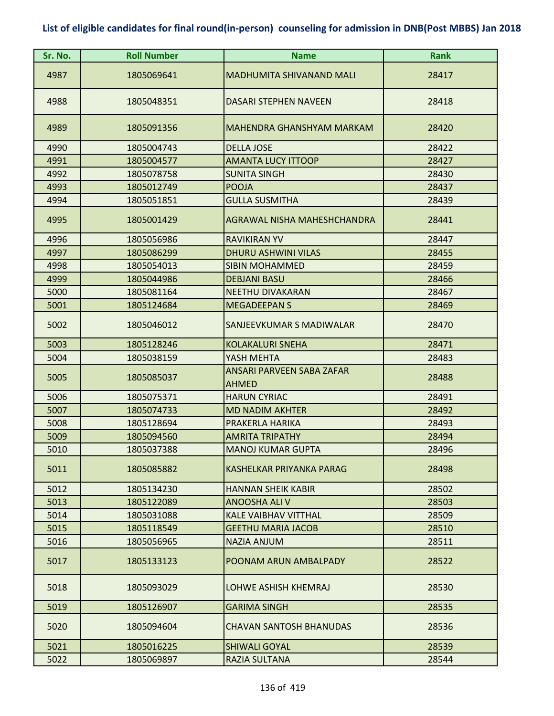| Sr. No. | <b>Roll Number</b> | <b>Name</b>                               | <b>Rank</b> |
|---------|--------------------|-------------------------------------------|-------------|
| 4987    | 1805069641         | <b>MADHUMITA SHIVANAND MALI</b>           | 28417       |
| 4988    | 1805048351         | DASARI STEPHEN NAVEEN                     | 28418       |
| 4989    | 1805091356         | MAHENDRA GHANSHYAM MARKAM                 | 28420       |
| 4990    | 1805004743         | <b>DELLA JOSE</b>                         | 28422       |
| 4991    | 1805004577         | <b>AMANTA LUCY ITTOOP</b>                 | 28427       |
| 4992    | 1805078758         | <b>SUNITA SINGH</b>                       | 28430       |
| 4993    | 1805012749         | <b>POOJA</b>                              | 28437       |
| 4994    | 1805051851         | <b>GULLA SUSMITHA</b>                     | 28439       |
| 4995    | 1805001429         | AGRAWAL NISHA MAHESHCHANDRA               | 28441       |
| 4996    | 1805056986         | <b>RAVIKIRAN YV</b>                       | 28447       |
| 4997    | 1805086299         | <b>DHURU ASHWINI VILAS</b>                | 28455       |
| 4998    | 1805054013         | <b>SIBIN MOHAMMED</b>                     | 28459       |
| 4999    | 1805044986         | <b>DEBJANI BASU</b>                       | 28466       |
| 5000    | 1805081164         | <b>NEETHU DIVAKARAN</b>                   | 28467       |
| 5001    | 1805124684         | <b>MEGADEEPANS</b>                        | 28469       |
| 5002    | 1805046012         | SANJEEVKUMAR S MADIWALAR                  | 28470       |
| 5003    | 1805128246         | <b>KOLAKALURI SNEHA</b>                   | 28471       |
| 5004    | 1805038159         | YASH MEHTA                                | 28483       |
| 5005    | 1805085037         | ANSARI PARVEEN SABA ZAFAR<br><b>AHMED</b> | 28488       |
| 5006    | 1805075371         | <b>HARUN CYRIAC</b>                       | 28491       |
| 5007    | 1805074733         | <b>MD NADIM AKHTER</b>                    | 28492       |
| 5008    | 1805128694         | PRAKERLA HARIKA                           | 28493       |
| 5009    | 1805094560         | <b>AMRITA TRIPATHY</b>                    | 28494       |
| 5010    | 1805037388         | <b>MANOJ KUMAR GUPTA</b>                  | 28496       |
| 5011    | 1805085882         | KASHELKAR PRIYANKA PARAG                  | 28498       |
| 5012    | 1805134230         | <b>HANNAN SHEIK KABIR</b>                 | 28502       |
| 5013    | 1805122089         | <b>ANOOSHA ALI V</b>                      | 28503       |
| 5014    | 1805031088         | <b>KALE VAIBHAV VITTHAL</b>               | 28509       |
| 5015    | 1805118549         | <b>GEETHU MARIA JACOB</b>                 | 28510       |
| 5016    | 1805056965         | <b>NAZIA ANJUM</b>                        | 28511       |
| 5017    | 1805133123         | POONAM ARUN AMBALPADY                     | 28522       |
| 5018    | 1805093029         | <b>LOHWE ASHISH KHEMRAJ</b>               | 28530       |
| 5019    | 1805126907         | <b>GARIMA SINGH</b>                       | 28535       |
| 5020    | 1805094604         | <b>CHAVAN SANTOSH BHANUDAS</b>            | 28536       |
| 5021    | 1805016225         | <b>SHIWALI GOYAL</b>                      | 28539       |
| 5022    | 1805069897         | RAZIA SULTANA                             | 28544       |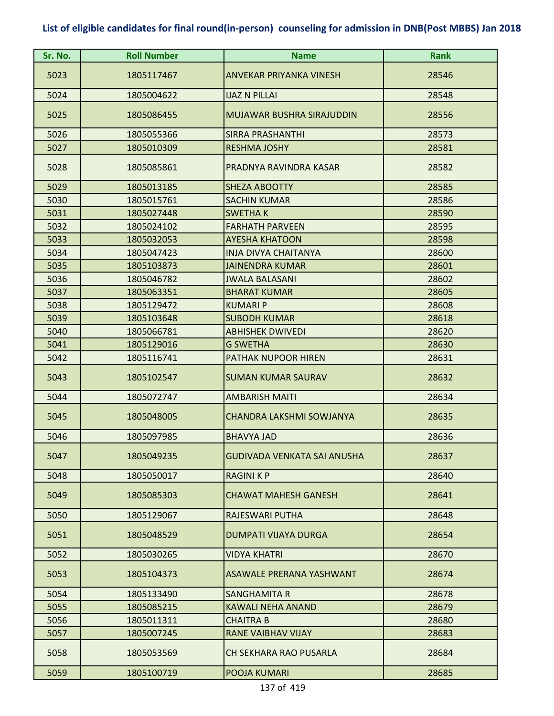| Sr. No. | <b>Roll Number</b> | <b>Name</b>                      | <b>Rank</b> |
|---------|--------------------|----------------------------------|-------------|
| 5023    | 1805117467         | <b>ANVEKAR PRIYANKA VINESH</b>   | 28546       |
| 5024    | 1805004622         | <b>IJAZ N PILLAI</b>             | 28548       |
| 5025    | 1805086455         | <b>MUJAWAR BUSHRA SIRAJUDDIN</b> | 28556       |
| 5026    | 1805055366         | <b>SIRRA PRASHANTHI</b>          | 28573       |
| 5027    | 1805010309         | <b>RESHMA JOSHY</b>              | 28581       |
| 5028    | 1805085861         | PRADNYA RAVINDRA KASAR           | 28582       |
| 5029    | 1805013185         | <b>SHEZA ABOOTTY</b>             | 28585       |
| 5030    | 1805015761         | <b>SACHIN KUMAR</b>              | 28586       |
| 5031    | 1805027448         | <b>SWETHAK</b>                   | 28590       |
| 5032    | 1805024102         | <b>FARHATH PARVEEN</b>           | 28595       |
| 5033    | 1805032053         | <b>AYESHA KHATOON</b>            | 28598       |
| 5034    | 1805047423         | <b>INJA DIVYA CHAITANYA</b>      | 28600       |
| 5035    | 1805103873         | <b>JAINENDRA KUMAR</b>           | 28601       |
| 5036    | 1805046782         | <b>JWALA BALASANI</b>            | 28602       |
| 5037    | 1805063351         | <b>BHARAT KUMAR</b>              | 28605       |
| 5038    | 1805129472         | <b>KUMARI P</b>                  | 28608       |
| 5039    | 1805103648         | <b>SUBODH KUMAR</b>              | 28618       |
| 5040    | 1805066781         | <b>ABHISHEK DWIVEDI</b>          | 28620       |
| 5041    | 1805129016         | <b>G SWETHA</b>                  | 28630       |
| 5042    | 1805116741         | PATHAK NUPOOR HIREN              | 28631       |
| 5043    | 1805102547         | <b>SUMAN KUMAR SAURAV</b>        | 28632       |
| 5044    | 1805072747         | <b>AMBARISH MAITI</b>            | 28634       |
| 5045    | 1805048005         | CHANDRA LAKSHMI SOWJANYA         | 28635       |
| 5046    | 1805097985         | <b>BHAVYA JAD</b>                | 28636       |
| 5047    | 1805049235         | GUDIVADA VENKATA SAI ANUSHA      | 28637       |
| 5048    | 1805050017         | <b>RAGINI K P</b>                | 28640       |
| 5049    | 1805085303         | <b>CHAWAT MAHESH GANESH</b>      | 28641       |
| 5050    | 1805129067         | <b>RAJESWARI PUTHA</b>           | 28648       |
| 5051    | 1805048529         | <b>DUMPATI VIJAYA DURGA</b>      | 28654       |
| 5052    | 1805030265         | <b>VIDYA KHATRI</b>              | 28670       |
| 5053    | 1805104373         | <b>ASAWALE PRERANA YASHWANT</b>  | 28674       |
| 5054    | 1805133490         | SANGHAMITA R                     | 28678       |
| 5055    | 1805085215         | <b>KAWALI NEHA ANAND</b>         | 28679       |
| 5056    | 1805011311         | <b>CHAITRA B</b>                 | 28680       |
| 5057    | 1805007245         | <b>RANE VAIBHAV VIJAY</b>        | 28683       |
| 5058    | 1805053569         | <b>CH SEKHARA RAO PUSARLA</b>    | 28684       |
| 5059    | 1805100719         | POOJA KUMARI                     | 28685       |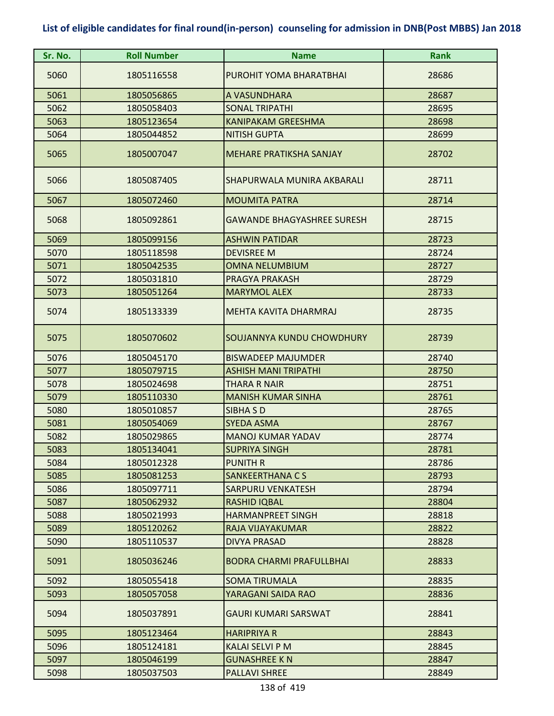| Sr. No. | <b>Roll Number</b> | <b>Name</b>                       | <b>Rank</b> |
|---------|--------------------|-----------------------------------|-------------|
| 5060    | 1805116558         | PUROHIT YOMA BHARATBHAI           | 28686       |
| 5061    | 1805056865         | A VASUNDHARA                      | 28687       |
| 5062    | 1805058403         | <b>SONAL TRIPATHI</b>             | 28695       |
| 5063    | 1805123654         | <b>KANIPAKAM GREESHMA</b>         | 28698       |
| 5064    | 1805044852         | <b>NITISH GUPTA</b>               | 28699       |
| 5065    | 1805007047         | <b>MEHARE PRATIKSHA SANJAY</b>    | 28702       |
| 5066    | 1805087405         | SHAPURWALA MUNIRA AKBARALI        | 28711       |
| 5067    | 1805072460         | <b>MOUMITA PATRA</b>              | 28714       |
| 5068    | 1805092861         | <b>GAWANDE BHAGYASHREE SURESH</b> | 28715       |
| 5069    | 1805099156         | <b>ASHWIN PATIDAR</b>             | 28723       |
| 5070    | 1805118598         | <b>DEVISREE M</b>                 | 28724       |
| 5071    | 1805042535         | <b>OMNA NELUMBIUM</b>             | 28727       |
| 5072    | 1805031810         | PRAGYA PRAKASH                    | 28729       |
| 5073    | 1805051264         | <b>MARYMOL ALEX</b>               | 28733       |
| 5074    | 1805133339         | MEHTA KAVITA DHARMRAJ             | 28735       |
| 5075    | 1805070602         | SOUJANNYA KUNDU CHOWDHURY         | 28739       |
| 5076    | 1805045170         | <b>BISWADEEP MAJUMDER</b>         | 28740       |
| 5077    | 1805079715         | ASHISH MANI TRIPATHI              | 28750       |
| 5078    | 1805024698         | <b>THARA R NAIR</b>               | 28751       |
| 5079    | 1805110330         | <b>MANISH KUMAR SINHA</b>         | 28761       |
| 5080    | 1805010857         | <b>SIBHA SD</b>                   | 28765       |
| 5081    | 1805054069         | <b>SYEDA ASMA</b>                 | 28767       |
| 5082    | 1805029865         | <b>MANOJ KUMAR YADAV</b>          | 28774       |
| 5083    | 1805134041         | <b>SUPRIYA SINGH</b>              | 28781       |
| 5084    | 1805012328         | <b>PUNITH R</b>                   | 28786       |
| 5085    | 1805081253         | <b>SANKEERTHANA CS</b>            | 28793       |
| 5086    | 1805097711         | <b>SARPURU VENKATESH</b>          | 28794       |
| 5087    | 1805062932         | <b>RASHID IQBAL</b>               | 28804       |
| 5088    | 1805021993         | <b>HARMANPREET SINGH</b>          | 28818       |
| 5089    | 1805120262         | RAJA VIJAYAKUMAR                  | 28822       |
| 5090    | 1805110537         | <b>DIVYA PRASAD</b>               | 28828       |
| 5091    | 1805036246         | <b>BODRA CHARMI PRAFULLBHAI</b>   | 28833       |
| 5092    | 1805055418         | SOMA TIRUMALA                     | 28835       |
| 5093    | 1805057058         | YARAGANI SAIDA RAO                | 28836       |
| 5094    | 1805037891         | <b>GAURI KUMARI SARSWAT</b>       | 28841       |
| 5095    | 1805123464         | <b>HARIPRIYA R</b>                | 28843       |
| 5096    | 1805124181         | <b>KALAI SELVI P M</b>            | 28845       |
| 5097    | 1805046199         | <b>GUNASHREE K N</b>              | 28847       |
| 5098    | 1805037503         | <b>PALLAVI SHREE</b>              | 28849       |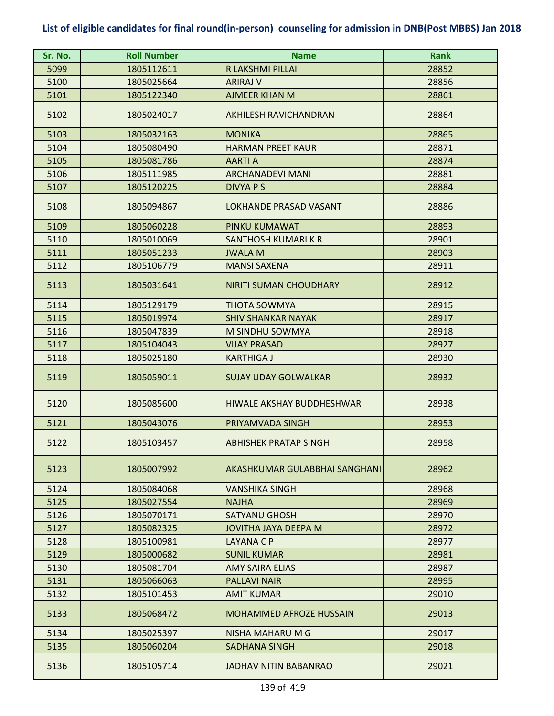| Sr. No. | <b>Roll Number</b> | <b>Name</b>                    | Rank  |
|---------|--------------------|--------------------------------|-------|
| 5099    | 1805112611         | R LAKSHMI PILLAI               | 28852 |
| 5100    | 1805025664         | <b>ARIRAJ V</b>                | 28856 |
| 5101    | 1805122340         | <b>AJMEER KHAN M</b>           | 28861 |
| 5102    | 1805024017         | <b>AKHILESH RAVICHANDRAN</b>   | 28864 |
| 5103    | 1805032163         | <b>MONIKA</b>                  | 28865 |
| 5104    | 1805080490         | <b>HARMAN PREET KAUR</b>       | 28871 |
| 5105    | 1805081786         | <b>AARTI A</b>                 | 28874 |
| 5106    | 1805111985         | <b>ARCHANADEVI MANI</b>        | 28881 |
| 5107    | 1805120225         | DIVYA P S                      | 28884 |
| 5108    | 1805094867         | LOKHANDE PRASAD VASANT         | 28886 |
| 5109    | 1805060228         | PINKU KUMAWAT                  | 28893 |
| 5110    | 1805010069         | SANTHOSH KUMARI K R            | 28901 |
| 5111    | 1805051233         | <b>JWALA M</b>                 | 28903 |
| 5112    | 1805106779         | <b>MANSI SAXENA</b>            | 28911 |
| 5113    | 1805031641         | <b>NIRITI SUMAN CHOUDHARY</b>  | 28912 |
| 5114    | 1805129179         | <b>THOTA SOWMYA</b>            | 28915 |
| 5115    | 1805019974         | <b>SHIV SHANKAR NAYAK</b>      | 28917 |
| 5116    | 1805047839         | M SINDHU SOWMYA                | 28918 |
| 5117    | 1805104043         | <b>VIJAY PRASAD</b>            | 28927 |
| 5118    | 1805025180         | <b>KARTHIGA J</b>              | 28930 |
| 5119    | 1805059011         | <b>SUJAY UDAY GOLWALKAR</b>    | 28932 |
| 5120    | 1805085600         | HIWALE AKSHAY BUDDHESHWAR      | 28938 |
| 5121    | 1805043076         | PRIYAMVADA SINGH               | 28953 |
| 5122    | 1805103457         | <b>ABHISHEK PRATAP SINGH</b>   | 28958 |
| 5123    | 1805007992         | AKASHKUMAR GULABBHAI SANGHANI  | 28962 |
| 5124    | 1805084068         | <b>VANSHIKA SINGH</b>          | 28968 |
| 5125    | 1805027554         | <b>NAJHA</b>                   | 28969 |
| 5126    | 1805070171         | <b>SATYANU GHOSH</b>           | 28970 |
| 5127    | 1805082325         | JOVITHA JAYA DEEPA M           | 28972 |
| 5128    | 1805100981         | LAYANA C P                     | 28977 |
| 5129    | 1805000682         | <b>SUNIL KUMAR</b>             | 28981 |
| 5130    | 1805081704         | <b>AMY SAIRA ELIAS</b>         | 28987 |
| 5131    | 1805066063         | <b>PALLAVI NAIR</b>            | 28995 |
| 5132    | 1805101453         | <b>AMIT KUMAR</b>              | 29010 |
| 5133    | 1805068472         | <b>MOHAMMED AFROZE HUSSAIN</b> | 29013 |
| 5134    | 1805025397         | NISHA MAHARU M G               | 29017 |
| 5135    | 1805060204         | <b>SADHANA SINGH</b>           | 29018 |
| 5136    | 1805105714         | <b>JADHAV NITIN BABANRAO</b>   | 29021 |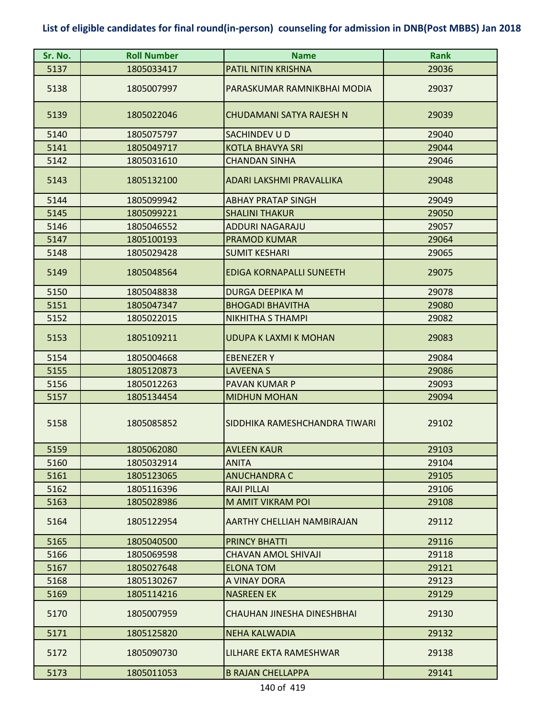| Sr. No. | <b>Roll Number</b> | <b>Name</b>                     | <b>Rank</b> |
|---------|--------------------|---------------------------------|-------------|
| 5137    | 1805033417         | <b>PATIL NITIN KRISHNA</b>      | 29036       |
| 5138    | 1805007997         | PARASKUMAR RAMNIKBHAI MODIA     | 29037       |
| 5139    | 1805022046         | CHUDAMANI SATYA RAJESH N        | 29039       |
| 5140    | 1805075797         | SACHINDEV U D                   | 29040       |
| 5141    | 1805049717         | <b>KOTLA BHAVYA SRI</b>         | 29044       |
| 5142    | 1805031610         | <b>CHANDAN SINHA</b>            | 29046       |
| 5143    | 1805132100         | ADARI LAKSHMI PRAVALLIKA        | 29048       |
| 5144    | 1805099942         | <b>ABHAY PRATAP SINGH</b>       | 29049       |
| 5145    | 1805099221         | <b>SHALINI THAKUR</b>           | 29050       |
| 5146    | 1805046552         | <b>ADDURI NAGARAJU</b>          | 29057       |
| 5147    | 1805100193         | <b>PRAMOD KUMAR</b>             | 29064       |
| 5148    | 1805029428         | <b>SUMIT KESHARI</b>            | 29065       |
| 5149    | 1805048564         | <b>EDIGA KORNAPALLI SUNEETH</b> | 29075       |
| 5150    | 1805048838         | <b>DURGA DEEPIKA M</b>          | 29078       |
| 5151    | 1805047347         | <b>BHOGADI BHAVITHA</b>         | 29080       |
| 5152    | 1805022015         | <b>NIKHITHA S THAMPI</b>        | 29082       |
| 5153    | 1805109211         | <b>UDUPA K LAXMI K MOHAN</b>    | 29083       |
| 5154    | 1805004668         | <b>EBENEZER Y</b>               | 29084       |
| 5155    | 1805120873         | <b>LAVEENA S</b>                | 29086       |
| 5156    | 1805012263         | PAVAN KUMAR P                   | 29093       |
| 5157    | 1805134454         | <b>MIDHUN MOHAN</b>             | 29094       |
| 5158    | 1805085852         | SIDDHIKA RAMESHCHANDRA TIWARI   | 29102       |
| 5159    | 1805062080         | <b>AVLEEN KAUR</b>              | 29103       |
| 5160    | 1805032914         | <b>ANITA</b>                    | 29104       |
| 5161    | 1805123065         | <b>ANUCHANDRA C</b>             | 29105       |
| 5162    | 1805116396         | <b>RAJI PILLAI</b>              | 29106       |
| 5163    | 1805028986         | M AMIT VIKRAM POI               | 29108       |
| 5164    | 1805122954         | AARTHY CHELLIAH NAMBIRAJAN      | 29112       |
| 5165    | 1805040500         | <b>PRINCY BHATTI</b>            | 29116       |
| 5166    | 1805069598         | <b>CHAVAN AMOL SHIVAJI</b>      | 29118       |
| 5167    | 1805027648         | <b>ELONA TOM</b>                | 29121       |
| 5168    | 1805130267         | A VINAY DORA                    | 29123       |
| 5169    | 1805114216         | <b>NASREEN EK</b>               | 29129       |
| 5170    | 1805007959         | CHAUHAN JINESHA DINESHBHAI      | 29130       |
| 5171    | 1805125820         | <b>NEHA KALWADIA</b>            | 29132       |
| 5172    | 1805090730         | LILHARE EKTA RAMESHWAR          | 29138       |
| 5173    | 1805011053         | <b>B RAJAN CHELLAPPA</b>        | 29141       |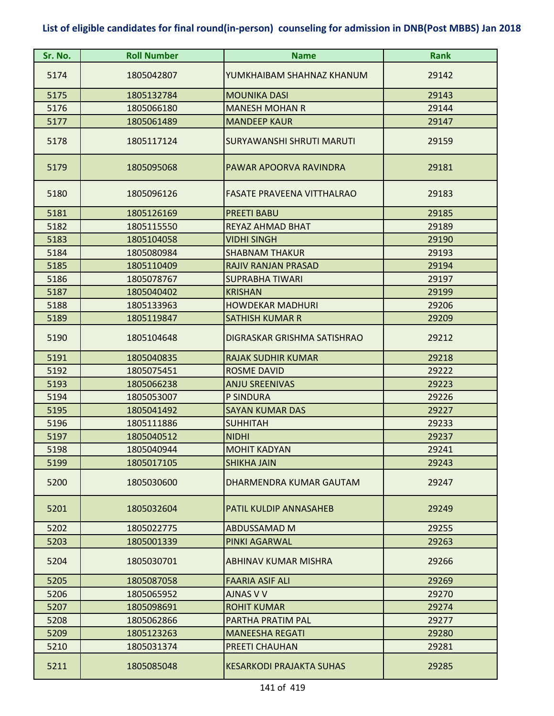| Sr. No. | <b>Roll Number</b> | <b>Name</b>                       | Rank  |
|---------|--------------------|-----------------------------------|-------|
| 5174    | 1805042807         | YUMKHAIBAM SHAHNAZ KHANUM         | 29142 |
| 5175    | 1805132784         | <b>MOUNIKA DASI</b>               | 29143 |
| 5176    | 1805066180         | <b>MANESH MOHAN R</b>             | 29144 |
| 5177    | 1805061489         | <b>MANDEEP KAUR</b>               | 29147 |
| 5178    | 1805117124         | SURYAWANSHI SHRUTI MARUTI         | 29159 |
| 5179    | 1805095068         | PAWAR APOORVA RAVINDRA            | 29181 |
| 5180    | 1805096126         | <b>FASATE PRAVEENA VITTHALRAO</b> | 29183 |
| 5181    | 1805126169         | <b>PREETI BABU</b>                | 29185 |
| 5182    | 1805115550         | <b>REYAZ AHMAD BHAT</b>           | 29189 |
| 5183    | 1805104058         | <b>VIDHI SINGH</b>                | 29190 |
| 5184    | 1805080984         | <b>SHABNAM THAKUR</b>             | 29193 |
| 5185    | 1805110409         | RAJIV RANJAN PRASAD               | 29194 |
| 5186    | 1805078767         | <b>SUPRABHA TIWARI</b>            | 29197 |
| 5187    | 1805040402         | <b>KRISHAN</b>                    | 29199 |
| 5188    | 1805133963         | <b>HOWDEKAR MADHURI</b>           | 29206 |
| 5189    | 1805119847         | <b>SATHISH KUMAR R</b>            | 29209 |
| 5190    | 1805104648         | DIGRASKAR GRISHMA SATISHRAO       | 29212 |
| 5191    | 1805040835         | <b>RAJAK SUDHIR KUMAR</b>         | 29218 |
| 5192    | 1805075451         | <b>ROSME DAVID</b>                | 29222 |
| 5193    | 1805066238         | <b>ANJU SREENIVAS</b>             | 29223 |
| 5194    | 1805053007         | <b>P SINDURA</b>                  | 29226 |
| 5195    | 1805041492         | <b>SAYAN KUMAR DAS</b>            | 29227 |
| 5196    | 1805111886         | <b>SUHHITAH</b>                   | 29233 |
| 5197    | 1805040512         | <b>NIDHI</b>                      | 29237 |
| 5198    | 1805040944         | <b>MOHIT KADYAN</b>               | 29241 |
| 5199    | 1805017105         | <b>SHIKHA JAIN</b>                | 29243 |
| 5200    | 1805030600         | DHARMENDRA KUMAR GAUTAM           | 29247 |
| 5201    | 1805032604         | PATIL KULDIP ANNASAHEB            | 29249 |
| 5202    | 1805022775         | ABDUSSAMAD M                      | 29255 |
| 5203    | 1805001339         | <b>PINKI AGARWAL</b>              | 29263 |
| 5204    | 1805030701         | ABHINAV KUMAR MISHRA              | 29266 |
| 5205    | 1805087058         | <b>FAARIA ASIF ALI</b>            | 29269 |
| 5206    | 1805065952         | AJNAS V V                         | 29270 |
| 5207    | 1805098691         | <b>ROHIT KUMAR</b>                | 29274 |
| 5208    | 1805062866         | PARTHA PRATIM PAL                 | 29277 |
| 5209    | 1805123263         | <b>MANEESHA REGATI</b>            | 29280 |
| 5210    | 1805031374         | PREETI CHAUHAN                    | 29281 |
| 5211    | 1805085048         | <b>KESARKODI PRAJAKTA SUHAS</b>   | 29285 |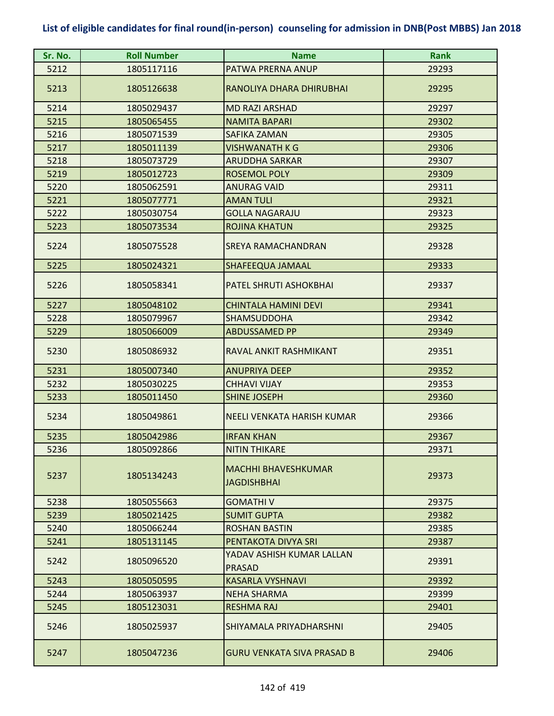| Sr. No. | <b>Roll Number</b> | <b>Name</b>                                      | <b>Rank</b> |
|---------|--------------------|--------------------------------------------------|-------------|
| 5212    | 1805117116         | PATWA PRERNA ANUP                                | 29293       |
| 5213    | 1805126638         | RANOLIYA DHARA DHIRUBHAI                         | 29295       |
| 5214    | 1805029437         | <b>MD RAZI ARSHAD</b>                            | 29297       |
| 5215    | 1805065455         | <b>NAMITA BAPARI</b>                             | 29302       |
| 5216    | 1805071539         | <b>SAFIKA ZAMAN</b>                              | 29305       |
| 5217    | 1805011139         | <b>VISHWANATH K G</b>                            | 29306       |
| 5218    | 1805073729         | <b>ARUDDHA SARKAR</b>                            | 29307       |
| 5219    | 1805012723         | <b>ROSEMOL POLY</b>                              | 29309       |
| 5220    | 1805062591         | <b>ANURAG VAID</b>                               | 29311       |
| 5221    | 1805077771         | <b>AMAN TULI</b>                                 | 29321       |
| 5222    | 1805030754         | <b>GOLLA NAGARAJU</b>                            | 29323       |
| 5223    | 1805073534         | <b>ROJINA KHATUN</b>                             | 29325       |
| 5224    | 1805075528         | <b>SREYA RAMACHANDRAN</b>                        | 29328       |
| 5225    | 1805024321         | SHAFEEQUA JAMAAL                                 | 29333       |
| 5226    | 1805058341         | PATEL SHRUTI ASHOKBHAI                           | 29337       |
| 5227    | 1805048102         | <b>CHINTALA HAMINI DEVI</b>                      | 29341       |
| 5228    | 1805079967         | <b>SHAMSUDDOHA</b>                               | 29342       |
| 5229    | 1805066009         | <b>ABDUSSAMED PP</b>                             | 29349       |
| 5230    | 1805086932         | RAVAL ANKIT RASHMIKANT                           | 29351       |
| 5231    | 1805007340         | <b>ANUPRIYA DEEP</b>                             | 29352       |
| 5232    | 1805030225         | <b>CHHAVI VIJAY</b>                              | 29353       |
| 5233    | 1805011450         | <b>SHINE JOSEPH</b>                              | 29360       |
| 5234    | 1805049861         | NEELI VENKATA HARISH KUMAR                       | 29366       |
| 5235    | 1805042986         | <b>IRFAN KHAN</b>                                | 29367       |
| 5236    | 1805092866         | <b>NITIN THIKARE</b>                             | 29371       |
| 5237    | 1805134243         | <b>MACHHI BHAVESHKUMAR</b><br><b>JAGDISHBHAI</b> | 29373       |
| 5238    | 1805055663         | <b>GOMATHIV</b>                                  | 29375       |
| 5239    | 1805021425         | <b>SUMIT GUPTA</b>                               | 29382       |
| 5240    | 1805066244         | <b>ROSHAN BASTIN</b>                             | 29385       |
| 5241    | 1805131145         | PENTAKOTA DIVYA SRI                              | 29387       |
| 5242    | 1805096520         | YADAV ASHISH KUMAR LALLAN<br><b>PRASAD</b>       | 29391       |
| 5243    | 1805050595         | <b>KASARLA VYSHNAVI</b>                          | 29392       |
| 5244    | 1805063937         | <b>NEHA SHARMA</b>                               | 29399       |
| 5245    | 1805123031         | <b>RESHMA RAJ</b>                                | 29401       |
| 5246    | 1805025937         | SHIYAMALA PRIYADHARSHNI                          | 29405       |
| 5247    | 1805047236         | <b>GURU VENKATA SIVA PRASAD B</b>                | 29406       |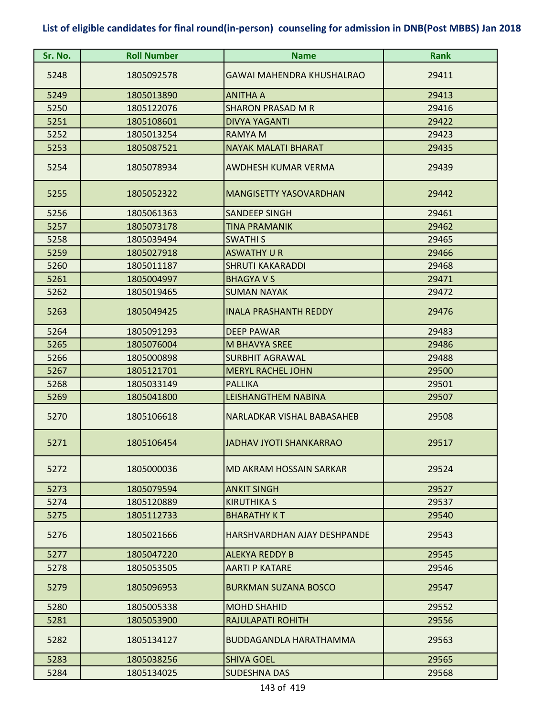| Sr. No. | <b>Roll Number</b> | <b>Name</b>                      | <b>Rank</b> |
|---------|--------------------|----------------------------------|-------------|
| 5248    | 1805092578         | <b>GAWAI MAHENDRA KHUSHALRAO</b> | 29411       |
| 5249    | 1805013890         | <b>ANITHA A</b>                  | 29413       |
| 5250    | 1805122076         | <b>SHARON PRASAD M R</b>         | 29416       |
| 5251    | 1805108601         | <b>DIVYA YAGANTI</b>             | 29422       |
| 5252    | 1805013254         | <b>RAMYA M</b>                   | 29423       |
| 5253    | 1805087521         | <b>NAYAK MALATI BHARAT</b>       | 29435       |
| 5254    | 1805078934         | AWDHESH KUMAR VERMA              | 29439       |
| 5255    | 1805052322         | <b>MANGISETTY YASOVARDHAN</b>    | 29442       |
| 5256    | 1805061363         | <b>SANDEEP SINGH</b>             | 29461       |
| 5257    | 1805073178         | <b>TINA PRAMANIK</b>             | 29462       |
| 5258    | 1805039494         | <b>SWATHIS</b>                   | 29465       |
| 5259    | 1805027918         | <b>ASWATHY U R</b>               | 29466       |
| 5260    | 1805011187         | <b>SHRUTI KAKARADDI</b>          | 29468       |
| 5261    | 1805004997         | <b>BHAGYA V S</b>                | 29471       |
| 5262    | 1805019465         | <b>SUMAN NAYAK</b>               | 29472       |
| 5263    | 1805049425         | <b>INALA PRASHANTH REDDY</b>     | 29476       |
| 5264    | 1805091293         | <b>DEEP PAWAR</b>                | 29483       |
| 5265    | 1805076004         | <b>M BHAVYA SREE</b>             | 29486       |
| 5266    | 1805000898         | <b>SURBHIT AGRAWAL</b>           | 29488       |
| 5267    | 1805121701         | <b>MERYL RACHEL JOHN</b>         | 29500       |
| 5268    | 1805033149         | <b>PALLIKA</b>                   | 29501       |
| 5269    | 1805041800         | LEISHANGTHEM NABINA              | 29507       |
| 5270    | 1805106618         | NARLADKAR VISHAL BABASAHEB       | 29508       |
| 5271    | 1805106454         | JADHAV JYOTI SHANKARRAO          | 29517       |
| 5272    | 1805000036         | MD AKRAM HOSSAIN SARKAR          | 29524       |
| 5273    | 1805079594         | <b>ANKIT SINGH</b>               | 29527       |
| 5274    | 1805120889         | <b>KIRUTHIKA S</b>               | 29537       |
| 5275    | 1805112733         | <b>BHARATHY KT</b>               | 29540       |
| 5276    | 1805021666         | HARSHVARDHAN AJAY DESHPANDE      | 29543       |
| 5277    | 1805047220         | <b>ALEKYA REDDY B</b>            | 29545       |
| 5278    | 1805053505         | <b>AARTI P KATARE</b>            | 29546       |
| 5279    | 1805096953         | <b>BURKMAN SUZANA BOSCO</b>      | 29547       |
| 5280    | 1805005338         | <b>MOHD SHAHID</b>               | 29552       |
| 5281    | 1805053900         | RAJULAPATI ROHITH                | 29556       |
| 5282    | 1805134127         | <b>BUDDAGANDLA HARATHAMMA</b>    | 29563       |
| 5283    | 1805038256         | <b>SHIVA GOEL</b>                | 29565       |
| 5284    | 1805134025         | <b>SUDESHNA DAS</b>              | 29568       |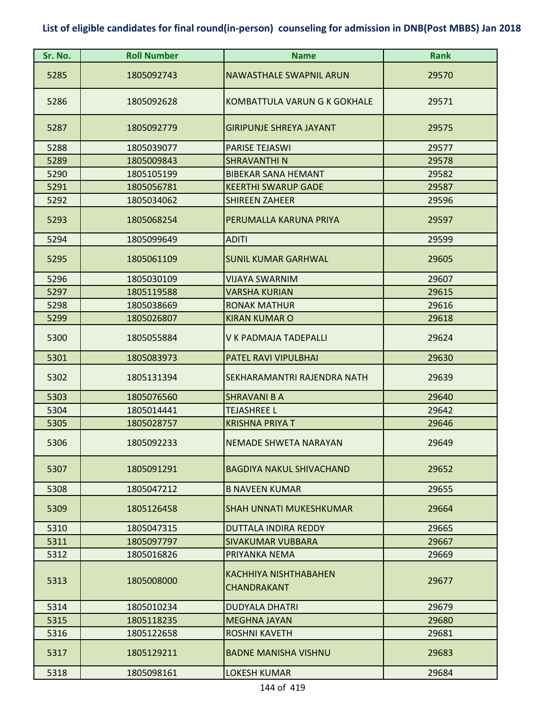| Sr. No. | <b>Roll Number</b> | <b>Name</b>                                        | <b>Rank</b> |
|---------|--------------------|----------------------------------------------------|-------------|
| 5285    | 1805092743         | <b>NAWASTHALE SWAPNIL ARUN</b>                     | 29570       |
| 5286    | 1805092628         | KOMBATTULA VARUN G K GOKHALE                       | 29571       |
| 5287    | 1805092779         | <b>GIRIPUNJE SHREYA JAYANT</b>                     | 29575       |
| 5288    | 1805039077         | <b>PARISE TEJASWI</b>                              | 29577       |
| 5289    | 1805009843         | <b>SHRAVANTHIN</b>                                 | 29578       |
| 5290    | 1805105199         | <b>BIBEKAR SANA HEMANT</b>                         | 29582       |
| 5291    | 1805056781         | <b>KEERTHI SWARUP GADE</b>                         | 29587       |
| 5292    | 1805034062         | <b>SHIREEN ZAHEER</b>                              | 29596       |
| 5293    | 1805068254         | PERUMALLA KARUNA PRIYA                             | 29597       |
| 5294    | 1805099649         | <b>ADITI</b>                                       | 29599       |
| 5295    | 1805061109         | <b>SUNIL KUMAR GARHWAL</b>                         | 29605       |
| 5296    | 1805030109         | <b>VIJAYA SWARNIM</b>                              | 29607       |
| 5297    | 1805119588         | <b>VARSHA KURIAN</b>                               | 29615       |
| 5298    | 1805038669         | <b>RONAK MATHUR</b>                                | 29616       |
| 5299    | 1805026807         | <b>KIRAN KUMAR O</b>                               | 29618       |
| 5300    | 1805055884         | V K PADMAJA TADEPALLI                              | 29624       |
| 5301    | 1805083973         | PATEL RAVI VIPULBHAI                               | 29630       |
| 5302    | 1805131394         | <b>SEKHARAMANTRI RAJENDRA NATH</b>                 | 29639       |
| 5303    | 1805076560         | <b>SHRAVANI B A</b>                                | 29640       |
| 5304    | 1805014441         | <b>TEJASHREE L</b>                                 | 29642       |
| 5305    | 1805028757         | <b>KRISHNA PRIYA T</b>                             | 29646       |
| 5306    | 1805092233         | NEMADE SHWETA NARAYAN                              | 29649       |
| 5307    | 1805091291         | <b>BAGDIYA NAKUL SHIVACHAND</b>                    | 29652       |
| 5308    | 1805047212         | <b>B NAVEEN KUMAR</b>                              | 29655       |
| 5309    | 1805126458         | <b>SHAH UNNATI MUKESHKUMAR</b>                     | 29664       |
| 5310    | 1805047315         | DUTTALA INDIRA REDDY                               | 29665       |
| 5311    | 1805097797         | <b>SIVAKUMAR VUBBARA</b>                           | 29667       |
| 5312    | 1805016826         | PRIYANKA NEMA                                      | 29669       |
| 5313    | 1805008000         | <b>KACHHIYA NISHTHABAHEN</b><br><b>CHANDRAKANT</b> | 29677       |
| 5314    | 1805010234         | <b>DUDYALA DHATRI</b>                              | 29679       |
| 5315    | 1805118235         | <b>MEGHNA JAYAN</b>                                | 29680       |
| 5316    | 1805122658         | <b>ROSHNI KAVETH</b>                               | 29681       |
| 5317    | 1805129211         | <b>BADNE MANISHA VISHNU</b>                        | 29683       |
| 5318    | 1805098161         | <b>LOKESH KUMAR</b>                                | 29684       |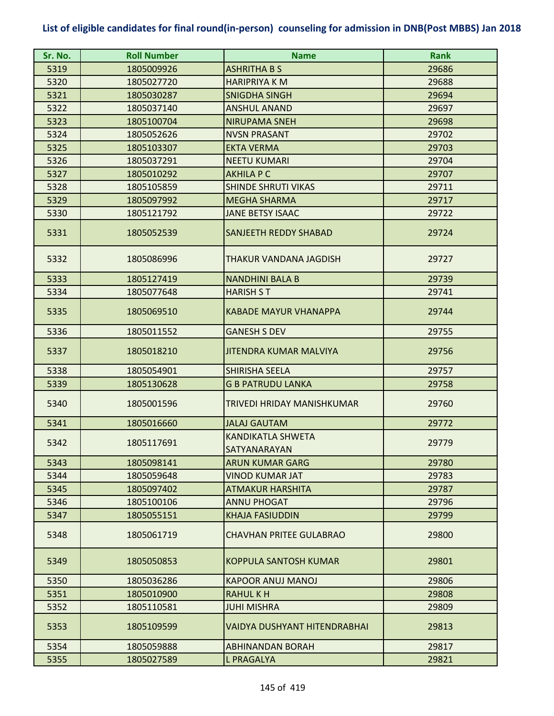| Sr. No. | <b>Roll Number</b> | <b>Name</b>                              | <b>Rank</b> |
|---------|--------------------|------------------------------------------|-------------|
| 5319    | 1805009926         | <b>ASHRITHA B S</b>                      | 29686       |
| 5320    | 1805027720         | <b>HARIPRIYA K M</b>                     | 29688       |
| 5321    | 1805030287         | <b>SNIGDHA SINGH</b>                     | 29694       |
| 5322    | 1805037140         | <b>ANSHUL ANAND</b>                      | 29697       |
| 5323    | 1805100704         | <b>NIRUPAMA SNEH</b>                     | 29698       |
| 5324    | 1805052626         | <b>NVSN PRASANT</b>                      | 29702       |
| 5325    | 1805103307         | <b>EKTA VERMA</b>                        | 29703       |
| 5326    | 1805037291         | <b>NEETU KUMARI</b>                      | 29704       |
| 5327    | 1805010292         | <b>AKHILA P C</b>                        | 29707       |
| 5328    | 1805105859         | <b>SHINDE SHRUTI VIKAS</b>               | 29711       |
| 5329    | 1805097992         | <b>MEGHA SHARMA</b>                      | 29717       |
| 5330    | 1805121792         | <b>JANE BETSY ISAAC</b>                  | 29722       |
| 5331    | 1805052539         | SANJEETH REDDY SHABAD                    | 29724       |
| 5332    | 1805086996         | THAKUR VANDANA JAGDISH                   | 29727       |
| 5333    | 1805127419         | <b>NANDHINI BALA B</b>                   | 29739       |
| 5334    | 1805077648         | <b>HARISH ST</b>                         | 29741       |
| 5335    | 1805069510         | KABADE MAYUR VHANAPPA                    | 29744       |
| 5336    | 1805011552         | <b>GANESH S DEV</b>                      | 29755       |
| 5337    | 1805018210         | <b>JITENDRA KUMAR MALVIYA</b>            | 29756       |
| 5338    | 1805054901         | SHIRISHA SEELA                           | 29757       |
| 5339    | 1805130628         | <b>G B PATRUDU LANKA</b>                 | 29758       |
| 5340    | 1805001596         | TRIVEDI HRIDAY MANISHKUMAR               | 29760       |
| 5341    | 1805016660         | <b>JALAJ GAUTAM</b>                      | 29772       |
| 5342    | 1805117691         | <b>KANDIKATLA SHWETA</b><br>SATYANARAYAN | 29779       |
| 5343    | 1805098141         | <b>ARUN KUMAR GARG</b>                   | 29780       |
| 5344    | 1805059648         | VINOD KUMAR JAT                          | 29783       |
| 5345    | 1805097402         | <b>ATMAKUR HARSHITA</b>                  | 29787       |
| 5346    | 1805100106         | <b>ANNU PHOGAT</b>                       | 29796       |
| 5347    | 1805055151         | <b>KHAJA FASIUDDIN</b>                   | 29799       |
| 5348    | 1805061719         | <b>CHAVHAN PRITEE GULABRAO</b>           | 29800       |
| 5349    | 1805050853         | <b>KOPPULA SANTOSH KUMAR</b>             | 29801       |
| 5350    | 1805036286         | <b>KAPOOR ANUJ MANOJ</b>                 | 29806       |
| 5351    | 1805010900         | <b>RAHULKH</b>                           | 29808       |
| 5352    | 1805110581         | <b>JUHI MISHRA</b>                       | 29809       |
| 5353    | 1805109599         | <b>VAIDYA DUSHYANT HITENDRABHAI</b>      | 29813       |
| 5354    | 1805059888         | <b>ABHINANDAN BORAH</b>                  | 29817       |
| 5355    | 1805027589         | L PRAGALYA                               | 29821       |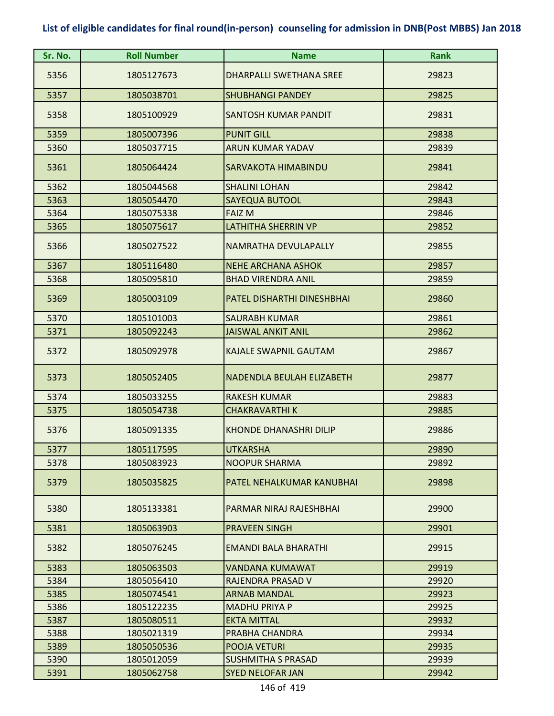| Sr. No. | <b>Roll Number</b> | <b>Name</b>                       | Rank  |
|---------|--------------------|-----------------------------------|-------|
| 5356    | 1805127673         | <b>DHARPALLI SWETHANA SREE</b>    | 29823 |
| 5357    | 1805038701         | <b>SHUBHANGI PANDEY</b>           | 29825 |
| 5358    | 1805100929         | <b>SANTOSH KUMAR PANDIT</b>       | 29831 |
| 5359    | 1805007396         | <b>PUNIT GILL</b>                 | 29838 |
| 5360    | 1805037715         | <b>ARUN KUMAR YADAV</b>           | 29839 |
| 5361    | 1805064424         | <b>SARVAKOTA HIMABINDU</b>        | 29841 |
| 5362    | 1805044568         | <b>SHALINI LOHAN</b>              | 29842 |
| 5363    | 1805054470         | <b>SAYEQUA BUTOOL</b>             | 29843 |
| 5364    | 1805075338         | <b>FAIZ M</b>                     | 29846 |
| 5365    | 1805075617         | <b>LATHITHA SHERRIN VP</b>        | 29852 |
| 5366    | 1805027522         | NAMRATHA DEVULAPALLY              | 29855 |
| 5367    | 1805116480         | <b>NEHE ARCHANA ASHOK</b>         | 29857 |
| 5368    | 1805095810         | <b>BHAD VIRENDRA ANIL</b>         | 29859 |
| 5369    | 1805003109         | <b>PATEL DISHARTHI DINESHBHAI</b> | 29860 |
| 5370    | 1805101003         | <b>SAURABH KUMAR</b>              | 29861 |
| 5371    | 1805092243         | <b>JAISWAL ANKIT ANIL</b>         | 29862 |
| 5372    | 1805092978         | <b>KAJALE SWAPNIL GAUTAM</b>      | 29867 |
| 5373    | 1805052405         | <b>NADENDLA BEULAH ELIZABETH</b>  | 29877 |
| 5374    | 1805033255         | <b>RAKESH KUMAR</b>               | 29883 |
| 5375    | 1805054738         | <b>CHAKRAVARTHI K</b>             | 29885 |
| 5376    | 1805091335         | <b>KHONDE DHANASHRI DILIP</b>     | 29886 |
| 5377    | 1805117595         | <b>UTKARSHA</b>                   | 29890 |
| 5378    | 1805083923         | <b>NOOPUR SHARMA</b>              | 29892 |
| 5379    | 1805035825         | PATEL NEHALKUMAR KANUBHAI         | 29898 |
| 5380    | 1805133381         | PARMAR NIRAJ RAJESHBHAI           | 29900 |
| 5381    | 1805063903         | <b>PRAVEEN SINGH</b>              | 29901 |
| 5382    | 1805076245         | <b>EMANDI BALA BHARATHI</b>       | 29915 |
| 5383    | 1805063503         | VANDANA KUMAWAT                   | 29919 |
| 5384    | 1805056410         | RAJENDRA PRASAD V                 | 29920 |
| 5385    | 1805074541         | <b>ARNAB MANDAL</b>               | 29923 |
| 5386    | 1805122235         | <b>MADHU PRIYA P</b>              | 29925 |
| 5387    | 1805080511         | <b>EKTA MITTAL</b>                | 29932 |
| 5388    | 1805021319         | PRABHA CHANDRA                    | 29934 |
| 5389    | 1805050536         | POOJA VETURI                      | 29935 |
| 5390    | 1805012059         | <b>SUSHMITHA S PRASAD</b>         | 29939 |
| 5391    | 1805062758         | <b>SYED NELOFAR JAN</b>           | 29942 |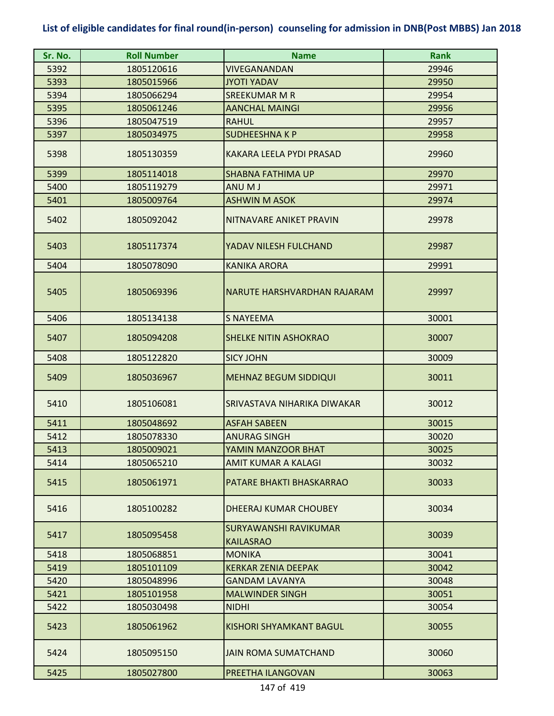| Sr. No. | <b>Roll Number</b> | <b>Name</b>                                      | <b>Rank</b> |
|---------|--------------------|--------------------------------------------------|-------------|
| 5392    | 1805120616         | VIVEGANANDAN                                     | 29946       |
| 5393    | 1805015966         | <b>JYOTI YADAV</b>                               | 29950       |
| 5394    | 1805066294         | <b>SREEKUMAR M R</b>                             | 29954       |
| 5395    | 1805061246         | <b>AANCHAL MAINGI</b>                            | 29956       |
| 5396    | 1805047519         | <b>RAHUL</b>                                     | 29957       |
| 5397    | 1805034975         | <b>SUDHEESHNAKP</b>                              | 29958       |
| 5398    | 1805130359         | KAKARA LEELA PYDI PRASAD                         | 29960       |
| 5399    | 1805114018         | <b>SHABNA FATHIMA UP</b>                         | 29970       |
| 5400    | 1805119279         | ANU M J                                          | 29971       |
| 5401    | 1805009764         | <b>ASHWIN M ASOK</b>                             | 29974       |
| 5402    | 1805092042         | NITNAVARE ANIKET PRAVIN                          | 29978       |
| 5403    | 1805117374         | YADAV NILESH FULCHAND                            | 29987       |
| 5404    | 1805078090         | <b>KANIKA ARORA</b>                              | 29991       |
| 5405    | 1805069396         | NARUTE HARSHVARDHAN RAJARAM                      | 29997       |
| 5406    | 1805134138         | <b>S NAYEEMA</b>                                 | 30001       |
| 5407    | 1805094208         | <b>SHELKE NITIN ASHOKRAO</b>                     | 30007       |
| 5408    | 1805122820         | <b>SICY JOHN</b>                                 | 30009       |
| 5409    | 1805036967         | <b>MEHNAZ BEGUM SIDDIQUI</b>                     | 30011       |
| 5410    | 1805106081         | SRIVASTAVA NIHARIKA DIWAKAR                      | 30012       |
| 5411    | 1805048692         | <b>ASFAH SABEEN</b>                              | 30015       |
| 5412    | 1805078330         | <b>ANURAG SINGH</b>                              | 30020       |
| 5413    | 1805009021         | YAMIN MANZOOR BHAT                               | 30025       |
| 5414    | 1805065210         | AMIT KUMAR A KALAGI                              | 30032       |
| 5415    | 1805061971         | PATARE BHAKTI BHASKARRAO                         | 30033       |
| 5416    | 1805100282         | DHEERAJ KUMAR CHOUBEY                            | 30034       |
| 5417    | 1805095458         | <b>SURYAWANSHI RAVIKUMAR</b><br><b>KAILASRAO</b> | 30039       |
| 5418    | 1805068851         | <b>MONIKA</b>                                    | 30041       |
| 5419    | 1805101109         | <b>KERKAR ZENIA DEEPAK</b>                       | 30042       |
| 5420    | 1805048996         | <b>GANDAM LAVANYA</b>                            | 30048       |
| 5421    | 1805101958         | <b>MALWINDER SINGH</b>                           | 30051       |
| 5422    | 1805030498         | <b>NIDHI</b>                                     | 30054       |
| 5423    | 1805061962         | KISHORI SHYAMKANT BAGUL                          | 30055       |
| 5424    | 1805095150         | <b>JAIN ROMA SUMATCHAND</b>                      | 30060       |
| 5425    | 1805027800         | PREETHA ILANGOVAN                                | 30063       |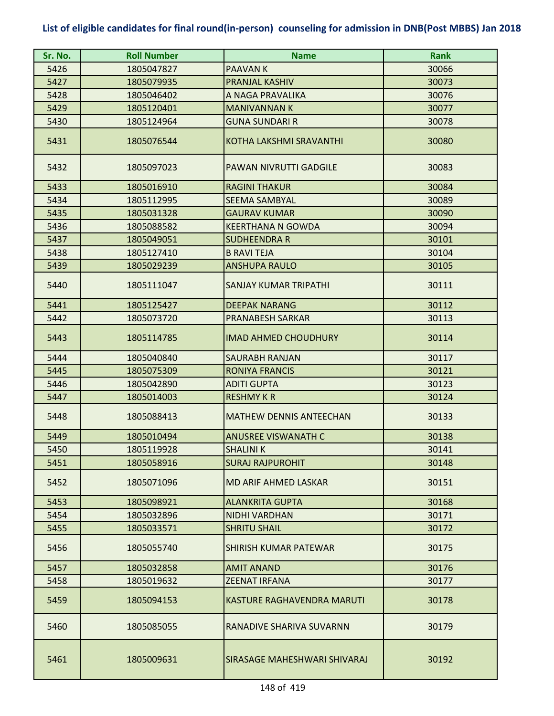| Sr. No. | <b>Roll Number</b> | <b>Name</b>                       | <b>Rank</b> |
|---------|--------------------|-----------------------------------|-------------|
| 5426    | 1805047827         | <b>PAAVANK</b>                    | 30066       |
| 5427    | 1805079935         | <b>PRANJAL KASHIV</b>             | 30073       |
| 5428    | 1805046402         | A NAGA PRAVALIKA                  | 30076       |
| 5429    | 1805120401         | <b>MANIVANNAN K</b>               | 30077       |
| 5430    | 1805124964         | <b>GUNA SUNDARI R</b>             | 30078       |
| 5431    | 1805076544         | <b>KOTHA LAKSHMI SRAVANTHI</b>    | 30080       |
| 5432    | 1805097023         | <b>PAWAN NIVRUTTI GADGILE</b>     | 30083       |
| 5433    | 1805016910         | <b>RAGINI THAKUR</b>              | 30084       |
| 5434    | 1805112995         | <b>SEEMA SAMBYAL</b>              | 30089       |
| 5435    | 1805031328         | <b>GAURAV KUMAR</b>               | 30090       |
| 5436    | 1805088582         | <b>KEERTHANA N GOWDA</b>          | 30094       |
| 5437    | 1805049051         | <b>SUDHEENDRA R</b>               | 30101       |
| 5438    | 1805127410         | <b>B RAVI TEJA</b>                | 30104       |
| 5439    | 1805029239         | <b>ANSHUPA RAULO</b>              | 30105       |
| 5440    | 1805111047         | <b>SANJAY KUMAR TRIPATHI</b>      | 30111       |
| 5441    | 1805125427         | <b>DEEPAK NARANG</b>              | 30112       |
| 5442    | 1805073720         | <b>PRANABESH SARKAR</b>           | 30113       |
| 5443    | 1805114785         | <b>IMAD AHMED CHOUDHURY</b>       | 30114       |
| 5444    | 1805040840         | <b>SAURABH RANJAN</b>             | 30117       |
| 5445    | 1805075309         | <b>RONIYA FRANCIS</b>             | 30121       |
| 5446    | 1805042890         | <b>ADITI GUPTA</b>                | 30123       |
| 5447    | 1805014003         | <b>RESHMY K R</b>                 | 30124       |
| 5448    | 1805088413         | <b>MATHEW DENNIS ANTEECHAN</b>    | 30133       |
| 5449    | 1805010494         | <b>ANUSREE VISWANATH C</b>        | 30138       |
| 5450    | 1805119928         | <b>SHALINIK</b>                   | 30141       |
| 5451    | 1805058916         | <b>SURAJ RAJPUROHIT</b>           | 30148       |
| 5452    | 1805071096         | <b>MD ARIF AHMED LASKAR</b>       | 30151       |
| 5453    | 1805098921         | <b>ALANKRITA GUPTA</b>            | 30168       |
| 5454    | 1805032896         | <b>NIDHI VARDHAN</b>              | 30171       |
| 5455    | 1805033571         | <b>SHRITU SHAIL</b>               | 30172       |
| 5456    | 1805055740         | SHIRISH KUMAR PATEWAR             | 30175       |
| 5457    | 1805032858         | <b>AMIT ANAND</b>                 | 30176       |
| 5458    | 1805019632         | <b>ZEENAT IRFANA</b>              | 30177       |
| 5459    | 1805094153         | <b>KASTURE RAGHAVENDRA MARUTI</b> | 30178       |
| 5460    | 1805085055         | RANADIVE SHARIVA SUVARNN          | 30179       |
| 5461    | 1805009631         | SIRASAGE MAHESHWARI SHIVARAJ      | 30192       |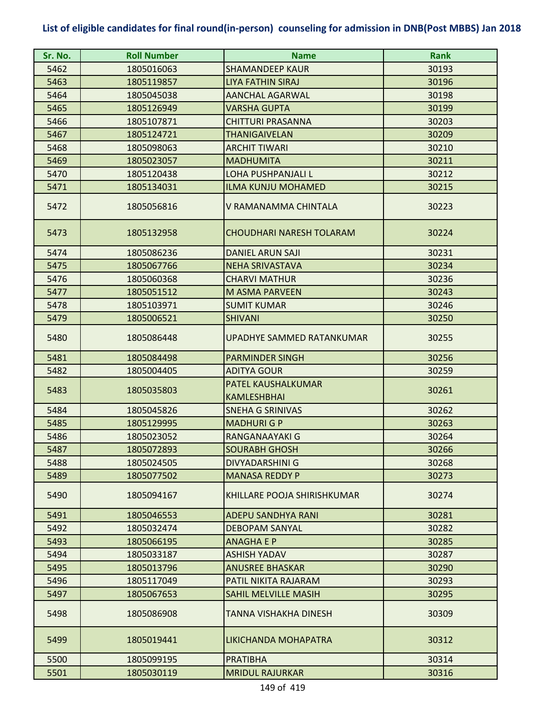| Sr. No. | <b>Roll Number</b> | <b>Name</b>                              | <b>Rank</b> |
|---------|--------------------|------------------------------------------|-------------|
| 5462    | 1805016063         | <b>SHAMANDEEP KAUR</b>                   | 30193       |
| 5463    | 1805119857         | <b>LIYA FATHIN SIRAJ</b>                 | 30196       |
| 5464    | 1805045038         | <b>AANCHAL AGARWAL</b>                   | 30198       |
| 5465    | 1805126949         | <b>VARSHA GUPTA</b>                      | 30199       |
| 5466    | 1805107871         | <b>CHITTURI PRASANNA</b>                 | 30203       |
| 5467    | 1805124721         | <b>THANIGAIVELAN</b>                     | 30209       |
| 5468    | 1805098063         | <b>ARCHIT TIWARI</b>                     | 30210       |
| 5469    | 1805023057         | <b>MADHUMITA</b>                         | 30211       |
| 5470    | 1805120438         | <b>LOHA PUSHPANJALI L</b>                | 30212       |
| 5471    | 1805134031         | <b>ILMA KUNJU MOHAMED</b>                | 30215       |
| 5472    | 1805056816         | V RAMANAMMA CHINTALA                     | 30223       |
| 5473    | 1805132958         | CHOUDHARI NARESH TOLARAM                 | 30224       |
| 5474    | 1805086236         | <b>DANIEL ARUN SAJI</b>                  | 30231       |
| 5475    | 1805067766         | <b>NEHA SRIVASTAVA</b>                   | 30234       |
| 5476    | 1805060368         | <b>CHARVI MATHUR</b>                     | 30236       |
| 5477    | 1805051512         | <b>M ASMA PARVEEN</b>                    | 30243       |
| 5478    | 1805103971         | <b>SUMIT KUMAR</b>                       | 30246       |
| 5479    | 1805006521         | <b>SHIVANI</b>                           | 30250       |
| 5480    | 1805086448         | UPADHYE SAMMED RATANKUMAR                | 30255       |
| 5481    | 1805084498         | <b>PARMINDER SINGH</b>                   | 30256       |
| 5482    | 1805004405         | <b>ADITYA GOUR</b>                       | 30259       |
| 5483    | 1805035803         | PATEL KAUSHALKUMAR<br><b>KAMLESHBHAI</b> | 30261       |
| 5484    | 1805045826         | <b>SNEHA G SRINIVAS</b>                  | 30262       |
| 5485    | 1805129995         | <b>MADHURI G P</b>                       | 30263       |
| 5486    | 1805023052         | RANGANAAYAKI G                           | 30264       |
| 5487    | 1805072893         | <b>SOURABH GHOSH</b>                     | 30266       |
| 5488    | 1805024505         | <b>DIVYADARSHINI G</b>                   | 30268       |
| 5489    | 1805077502         | <b>MANASA REDDY P</b>                    | 30273       |
| 5490    | 1805094167         | KHILLARE POOJA SHIRISHKUMAR              | 30274       |
| 5491    | 1805046553         | <b>ADEPU SANDHYA RANI</b>                | 30281       |
| 5492    | 1805032474         | <b>DEBOPAM SANYAL</b>                    | 30282       |
| 5493    | 1805066195         | <b>ANAGHA E P</b>                        | 30285       |
| 5494    | 1805033187         | <b>ASHISH YADAV</b>                      | 30287       |
| 5495    | 1805013796         | <b>ANUSREE BHASKAR</b>                   | 30290       |
| 5496    | 1805117049         | PATIL NIKITA RAJARAM                     | 30293       |
| 5497    | 1805067653         | SAHIL MELVILLE MASIH                     | 30295       |
| 5498    | 1805086908         | TANNA VISHAKHA DINESH                    | 30309       |
| 5499    | 1805019441         | LIKICHANDA MOHAPATRA                     | 30312       |
| 5500    | 1805099195         | <b>PRATIBHA</b>                          | 30314       |
| 5501    | 1805030119         | <b>MRIDUL RAJURKAR</b>                   | 30316       |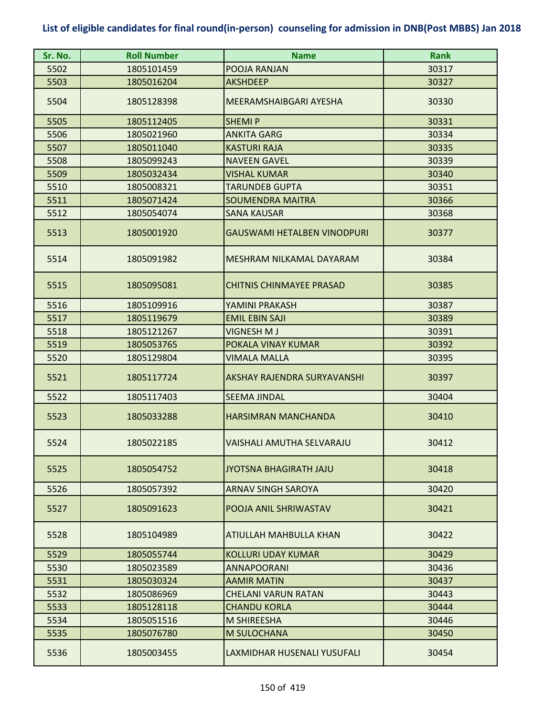| Sr. No. | <b>Roll Number</b> | <b>Name</b>                        | <b>Rank</b> |
|---------|--------------------|------------------------------------|-------------|
| 5502    | 1805101459         | POOJA RANJAN                       | 30317       |
| 5503    | 1805016204         | <b>AKSHDEEP</b>                    | 30327       |
| 5504    | 1805128398         | MEERAMSHAIBGARI AYESHA             | 30330       |
| 5505    | 1805112405         | <b>SHEMIP</b>                      | 30331       |
| 5506    | 1805021960         | <b>ANKITA GARG</b>                 | 30334       |
| 5507    | 1805011040         | <b>KASTURI RAJA</b>                | 30335       |
| 5508    | 1805099243         | <b>NAVEEN GAVEL</b>                | 30339       |
| 5509    | 1805032434         | <b>VISHAL KUMAR</b>                | 30340       |
| 5510    | 1805008321         | <b>TARUNDEB GUPTA</b>              | 30351       |
| 5511    | 1805071424         | <b>SOUMENDRA MAITRA</b>            | 30366       |
| 5512    | 1805054074         | SANA KAUSAR                        | 30368       |
| 5513    | 1805001920         | GAUSWAMI HETALBEN VINODPURI        | 30377       |
| 5514    | 1805091982         | MESHRAM NILKAMAL DAYARAM           | 30384       |
| 5515    | 1805095081         | <b>CHITNIS CHINMAYEE PRASAD</b>    | 30385       |
| 5516    | 1805109916         | YAMINI PRAKASH                     | 30387       |
| 5517    | 1805119679         | <b>EMIL EBIN SAJI</b>              | 30389       |
| 5518    | 1805121267         | <b>VIGNESH M J</b>                 | 30391       |
| 5519    | 1805053765         | POKALA VINAY KUMAR                 | 30392       |
| 5520    | 1805129804         | <b>VIMALA MALLA</b>                | 30395       |
| 5521    | 1805117724         | <b>AKSHAY RAJENDRA SURYAVANSHI</b> | 30397       |
| 5522    | 1805117403         | <b>SEEMA JINDAL</b>                | 30404       |
| 5523    | 1805033288         | <b>HARSIMRAN MANCHANDA</b>         | 30410       |
| 5524    | 1805022185         | VAISHALI AMUTHA SELVARAJU          | 30412       |
| 5525    | 1805054752         | <b>JYOTSNA BHAGIRATH JAJU</b>      | 30418       |
| 5526    | 1805057392         | <b>ARNAV SINGH SAROYA</b>          | 30420       |
| 5527    | 1805091623         | POOJA ANIL SHRIWASTAV              | 30421       |
| 5528    | 1805104989         | ATIULLAH MAHBULLA KHAN             | 30422       |
| 5529    | 1805055744         | <b>KOLLURI UDAY KUMAR</b>          | 30429       |
| 5530    | 1805023589         | <b>ANNAPOORANI</b>                 | 30436       |
| 5531    | 1805030324         | <b>AAMIR MATIN</b>                 | 30437       |
| 5532    | 1805086969         | <b>CHELANI VARUN RATAN</b>         | 30443       |
| 5533    | 1805128118         | <b>CHANDU KORLA</b>                | 30444       |
| 5534    | 1805051516         | <b>M SHIREESHA</b>                 | 30446       |
| 5535    | 1805076780         | M SULOCHANA                        | 30450       |
| 5536    | 1805003455         | LAXMIDHAR HUSENALI YUSUFALI        | 30454       |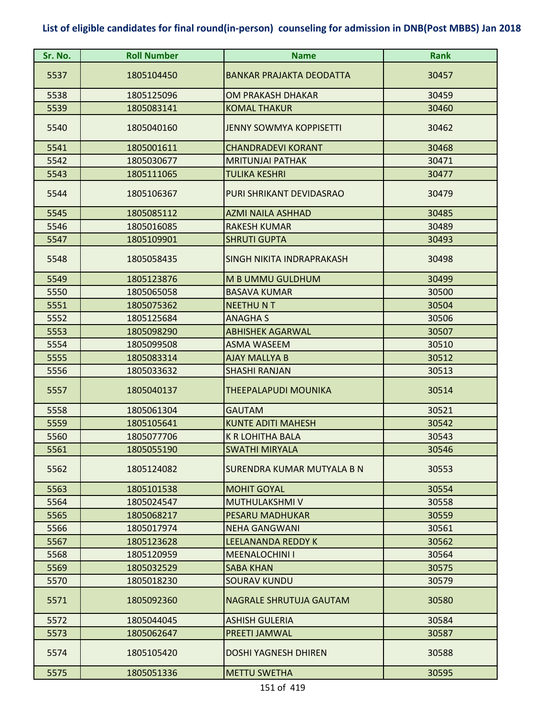| Sr. No. | <b>Roll Number</b> | <b>Name</b>                     | <b>Rank</b> |
|---------|--------------------|---------------------------------|-------------|
| 5537    | 1805104450         | <b>BANKAR PRAJAKTA DEODATTA</b> | 30457       |
| 5538    | 1805125096         | OM PRAKASH DHAKAR               | 30459       |
| 5539    | 1805083141         | <b>KOMAL THAKUR</b>             | 30460       |
| 5540    | 1805040160         | <b>JENNY SOWMYA KOPPISETTI</b>  | 30462       |
| 5541    | 1805001611         | <b>CHANDRADEVI KORANT</b>       | 30468       |
| 5542    | 1805030677         | <b>MRITUNJAI PATHAK</b>         | 30471       |
| 5543    | 1805111065         | <b>TULIKA KESHRI</b>            | 30477       |
| 5544    | 1805106367         | PURI SHRIKANT DEVIDASRAO        | 30479       |
| 5545    | 1805085112         | <b>AZMI NAILA ASHHAD</b>        | 30485       |
| 5546    | 1805016085         | <b>RAKESH KUMAR</b>             | 30489       |
| 5547    | 1805109901         | <b>SHRUTI GUPTA</b>             | 30493       |
| 5548    | 1805058435         | SINGH NIKITA INDRAPRAKASH       | 30498       |
| 5549    | 1805123876         | M B UMMU GULDHUM                | 30499       |
| 5550    | 1805065058         | <b>BASAVA KUMAR</b>             | 30500       |
| 5551    | 1805075362         | <b>NEETHUNT</b>                 | 30504       |
| 5552    | 1805125684         | <b>ANAGHAS</b>                  | 30506       |
| 5553    | 1805098290         | <b>ABHISHEK AGARWAL</b>         | 30507       |
| 5554    | 1805099508         | <b>ASMA WASEEM</b>              | 30510       |
| 5555    | 1805083314         | <b>AJAY MALLYA B</b>            | 30512       |
| 5556    | 1805033632         | <b>SHASHI RANJAN</b>            | 30513       |
| 5557    | 1805040137         | THEEPALAPUDI MOUNIKA            | 30514       |
| 5558    | 1805061304         | <b>GAUTAM</b>                   | 30521       |
| 5559    | 1805105641         | <b>KUNTE ADITI MAHESH</b>       | 30542       |
| 5560    | 1805077706         | <b>K R LOHITHA BALA</b>         | 30543       |
| 5561    | 1805055190         | <b>SWATHI MIRYALA</b>           | 30546       |
| 5562    | 1805124082         | SURENDRA KUMAR MUTYALA B N      | 30553       |
| 5563    | 1805101538         | <b>MOHIT GOYAL</b>              | 30554       |
| 5564    | 1805024547         | <b>MUTHULAKSHMI V</b>           | 30558       |
| 5565    | 1805068217         | <b>PESARU MADHUKAR</b>          | 30559       |
| 5566    | 1805017974         | <b>NEHA GANGWANI</b>            | 30561       |
| 5567    | 1805123628         | <b>LEELANANDA REDDY K</b>       | 30562       |
| 5568    | 1805120959         | <b>MEENALOCHINI I</b>           | 30564       |
| 5569    | 1805032529         | <b>SABA KHAN</b>                | 30575       |
| 5570    | 1805018230         | <b>SOURAV KUNDU</b>             | 30579       |
| 5571    | 1805092360         | <b>NAGRALE SHRUTUJA GAUTAM</b>  | 30580       |
| 5572    | 1805044045         | <b>ASHISH GULERIA</b>           | 30584       |
| 5573    | 1805062647         | <b>PREETI JAMWAL</b>            | 30587       |
| 5574    | 1805105420         | <b>DOSHI YAGNESH DHIREN</b>     | 30588       |
| 5575    | 1805051336         | <b>METTU SWETHA</b>             | 30595       |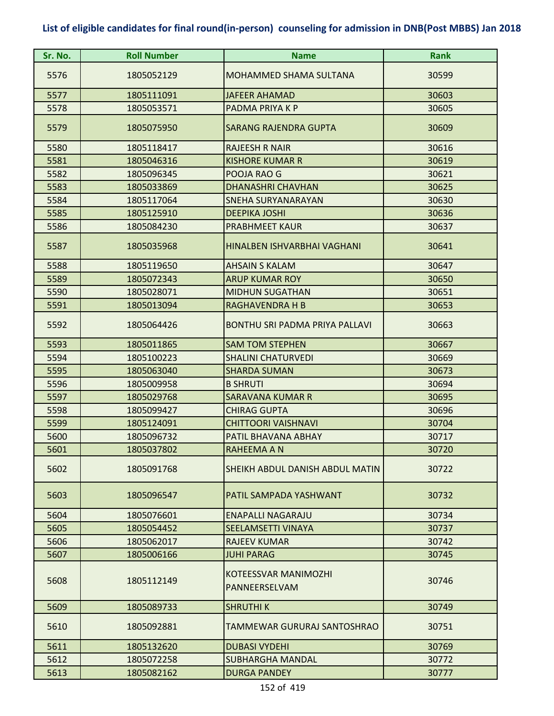| Sr. No. | <b>Roll Number</b> | <b>Name</b>                                  | Rank  |
|---------|--------------------|----------------------------------------------|-------|
| 5576    | 1805052129         | <b>MOHAMMED SHAMA SULTANA</b>                | 30599 |
| 5577    | 1805111091         | <b>JAFEER AHAMAD</b>                         | 30603 |
| 5578    | 1805053571         | PADMA PRIYA K P                              | 30605 |
| 5579    | 1805075950         | <b>SARANG RAJENDRA GUPTA</b>                 | 30609 |
| 5580    | 1805118417         | <b>RAJEESH R NAIR</b>                        | 30616 |
| 5581    | 1805046316         | <b>KISHORE KUMAR R</b>                       | 30619 |
| 5582    | 1805096345         | POOJA RAO G                                  | 30621 |
| 5583    | 1805033869         | <b>DHANASHRI CHAVHAN</b>                     | 30625 |
| 5584    | 1805117064         | <b>SNEHA SURYANARAYAN</b>                    | 30630 |
| 5585    | 1805125910         | <b>DEEPIKA JOSHI</b>                         | 30636 |
| 5586    | 1805084230         | <b>PRABHMEET KAUR</b>                        | 30637 |
| 5587    | 1805035968         | HINALBEN ISHVARBHAI VAGHANI                  | 30641 |
| 5588    | 1805119650         | <b>AHSAIN S KALAM</b>                        | 30647 |
| 5589    | 1805072343         | <b>ARUP KUMAR ROY</b>                        | 30650 |
| 5590    | 1805028071         | <b>MIDHUN SUGATHAN</b>                       | 30651 |
| 5591    | 1805013094         | <b>RAGHAVENDRA H B</b>                       | 30653 |
| 5592    | 1805064426         | <b>BONTHU SRI PADMA PRIYA PALLAVI</b>        | 30663 |
| 5593    | 1805011865         | <b>SAM TOM STEPHEN</b>                       | 30667 |
| 5594    | 1805100223         | <b>SHALINI CHATURVEDI</b>                    | 30669 |
| 5595    | 1805063040         | <b>SHARDA SUMAN</b>                          | 30673 |
| 5596    | 1805009958         | <b>B SHRUTI</b>                              | 30694 |
| 5597    | 1805029768         | <b>SARAVANA KUMAR R</b>                      | 30695 |
| 5598    | 1805099427         | <b>CHIRAG GUPTA</b>                          | 30696 |
| 5599    | 1805124091         | <b>CHITTOORI VAISHNAVI</b>                   | 30704 |
| 5600    | 1805096732         | PATIL BHAVANA ABHAY                          | 30717 |
| 5601    | 1805037802         | <b>RAHEEMA A N</b>                           | 30720 |
| 5602    | 1805091768         | SHEIKH ABDUL DANISH ABDUL MATIN              | 30722 |
| 5603    | 1805096547         | PATIL SAMPADA YASHWANT                       | 30732 |
| 5604    | 1805076601         | <b>ENAPALLI NAGARAJU</b>                     | 30734 |
| 5605    | 1805054452         | <b>SEELAMSETTI VINAYA</b>                    | 30737 |
| 5606    | 1805062017         | <b>RAJEEV KUMAR</b>                          | 30742 |
| 5607    | 1805006166         | <b>JUHI PARAG</b>                            | 30745 |
| 5608    | 1805112149         | <b>KOTEESSVAR MANIMOZHI</b><br>PANNEERSELVAM | 30746 |
| 5609    | 1805089733         | <b>SHRUTHIK</b>                              | 30749 |
| 5610    | 1805092881         | TAMMEWAR GURURAJ SANTOSHRAO                  | 30751 |
| 5611    | 1805132620         | <b>DUBASI VYDEHI</b>                         | 30769 |
| 5612    | 1805072258         | <b>SUBHARGHA MANDAL</b>                      | 30772 |
| 5613    | 1805082162         | <b>DURGA PANDEY</b>                          | 30777 |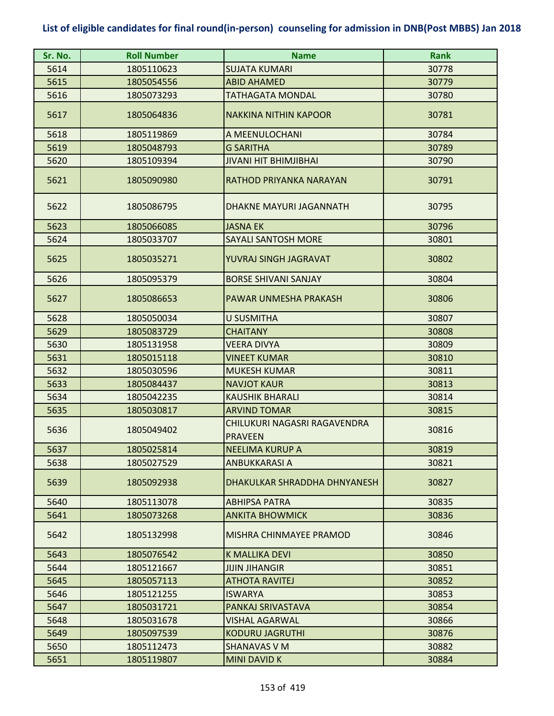| Sr. No. | <b>Roll Number</b> | <b>Name</b>                                    | <b>Rank</b> |
|---------|--------------------|------------------------------------------------|-------------|
| 5614    | 1805110623         | <b>SUJATA KUMARI</b>                           | 30778       |
| 5615    | 1805054556         | <b>ABID AHAMED</b>                             | 30779       |
| 5616    | 1805073293         | <b>TATHAGATA MONDAL</b>                        | 30780       |
| 5617    | 1805064836         | <b>NAKKINA NITHIN KAPOOR</b>                   | 30781       |
| 5618    | 1805119869         | A MEENULOCHANI                                 | 30784       |
| 5619    | 1805048793         | <b>G SARITHA</b>                               | 30789       |
| 5620    | 1805109394         | <b>JIVANI HIT BHIMJIBHAI</b>                   | 30790       |
| 5621    | 1805090980         | RATHOD PRIYANKA NARAYAN                        | 30791       |
| 5622    | 1805086795         | DHAKNE MAYURI JAGANNATH                        | 30795       |
| 5623    | 1805066085         | <b>JASNA EK</b>                                | 30796       |
| 5624    | 1805033707         | <b>SAYALI SANTOSH MORE</b>                     | 30801       |
| 5625    | 1805035271         | YUVRAJ SINGH JAGRAVAT                          | 30802       |
| 5626    | 1805095379         | <b>BORSE SHIVANI SANJAY</b>                    | 30804       |
| 5627    | 1805086653         | PAWAR UNMESHA PRAKASH                          | 30806       |
| 5628    | 1805050034         | <b>U SUSMITHA</b>                              | 30807       |
| 5629    | 1805083729         | <b>CHAITANY</b>                                | 30808       |
| 5630    | 1805131958         | <b>VEERA DIVYA</b>                             | 30809       |
| 5631    | 1805015118         | <b>VINEET KUMAR</b>                            | 30810       |
| 5632    | 1805030596         | <b>MUKESH KUMAR</b>                            | 30811       |
| 5633    | 1805084437         | <b>NAVJOT KAUR</b>                             | 30813       |
| 5634    | 1805042235         | <b>KAUSHIK BHARALI</b>                         | 30814       |
| 5635    | 1805030817         | <b>ARVIND TOMAR</b>                            | 30815       |
| 5636    | 1805049402         | CHILUKURI NAGASRI RAGAVENDRA<br><b>PRAVEEN</b> | 30816       |
| 5637    | 1805025814         | INEELIMA KURUP A                               | 30819       |
| 5638    | 1805027529         | <b>ANBUKKARASI A</b>                           | 30821       |
| 5639    | 1805092938         | DHAKULKAR SHRADDHA DHNYANESH                   | 30827       |
| 5640    | 1805113078         | <b>ABHIPSA PATRA</b>                           | 30835       |
| 5641    | 1805073268         | <b>ANKITA BHOWMICK</b>                         | 30836       |
| 5642    | 1805132998         | MISHRA CHINMAYEE PRAMOD                        | 30846       |
| 5643    | 1805076542         | <b>K MALLIKA DEVI</b>                          | 30850       |
| 5644    | 1805121667         | <b>JIJIN JIHANGIR</b>                          | 30851       |
| 5645    | 1805057113         | <b>ATHOTA RAVITEJ</b>                          | 30852       |
| 5646    | 1805121255         | <b>ISWARYA</b>                                 | 30853       |
| 5647    | 1805031721         | PANKAJ SRIVASTAVA                              | 30854       |
| 5648    | 1805031678         | <b>VISHAL AGARWAL</b>                          | 30866       |
| 5649    | 1805097539         | KODURU JAGRUTHI                                | 30876       |
| 5650    | 1805112473         | <b>SHANAVAS V M</b>                            | 30882       |
| 5651    | 1805119807         | <b>MINI DAVID K</b>                            | 30884       |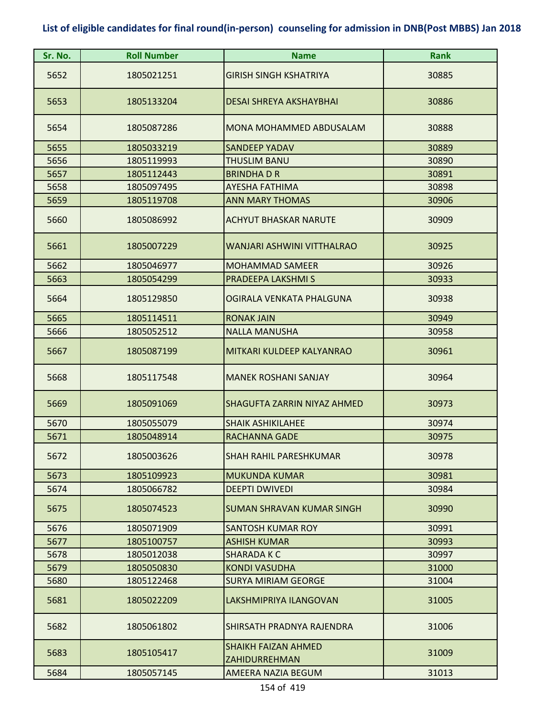| Sr. No. | <b>Roll Number</b> | <b>Name</b>                                        | <b>Rank</b> |
|---------|--------------------|----------------------------------------------------|-------------|
| 5652    | 1805021251         | <b>GIRISH SINGH KSHATRIYA</b>                      | 30885       |
| 5653    | 1805133204         | DESAI SHREYA AKSHAYBHAI                            | 30886       |
| 5654    | 1805087286         | MONA MOHAMMED ABDUSALAM                            | 30888       |
| 5655    | 1805033219         | <b>SANDEEP YADAV</b>                               | 30889       |
| 5656    | 1805119993         | <b>THUSLIM BANU</b>                                | 30890       |
| 5657    | 1805112443         | <b>BRINDHADR</b>                                   | 30891       |
| 5658    | 1805097495         | <b>AYESHA FATHIMA</b>                              | 30898       |
| 5659    | 1805119708         | <b>ANN MARY THOMAS</b>                             | 30906       |
| 5660    | 1805086992         | <b>ACHYUT BHASKAR NARUTE</b>                       | 30909       |
| 5661    | 1805007229         | WANJARI ASHWINI VITTHALRAO                         | 30925       |
| 5662    | 1805046977         | <b>MOHAMMAD SAMEER</b>                             | 30926       |
| 5663    | 1805054299         | PRADEEPA LAKSHMIS                                  | 30933       |
| 5664    | 1805129850         | OGIRALA VENKATA PHALGUNA                           | 30938       |
| 5665    | 1805114511         | <b>RONAK JAIN</b>                                  | 30949       |
| 5666    | 1805052512         | <b>NALLA MANUSHA</b>                               | 30958       |
| 5667    | 1805087199         | MITKARI KULDEEP KALYANRAO                          | 30961       |
| 5668    | 1805117548         | <b>MANEK ROSHANI SANJAY</b>                        | 30964       |
| 5669    | 1805091069         | <b>SHAGUFTA ZARRIN NIYAZ AHMED</b>                 | 30973       |
| 5670    | 1805055079         | <b>SHAIK ASHIKILAHEE</b>                           | 30974       |
| 5671    | 1805048914         | <b>RACHANNA GADE</b>                               | 30975       |
| 5672    | 1805003626         | <b>SHAH RAHIL PARESHKUMAR</b>                      | 30978       |
| 5673    | 1805109923         | <b>MUKUNDA KUMAR</b>                               | 30981       |
| 5674    | 1805066782         | <b>DEEPTI DWIVEDI</b>                              | 30984       |
| 5675    | 1805074523         | SUMAN SHRAVAN KUMAR SINGH                          | 30990       |
| 5676    | 1805071909         | SANTOSH KUMAR ROY                                  | 30991       |
| 5677    | 1805100757         | <b>ASHISH KUMAR</b>                                | 30993       |
| 5678    | 1805012038         | SHARADA K C                                        | 30997       |
| 5679    | 1805050830         | <b>KONDI VASUDHA</b>                               | 31000       |
| 5680    | 1805122468         | <b>SURYA MIRIAM GEORGE</b>                         | 31004       |
| 5681    | 1805022209         | LAKSHMIPRIYA ILANGOVAN                             | 31005       |
| 5682    | 1805061802         | SHIRSATH PRADNYA RAJENDRA                          | 31006       |
| 5683    | 1805105417         | <b>SHAIKH FAIZAN AHMED</b><br><b>ZAHIDURREHMAN</b> | 31009       |
| 5684    | 1805057145         | <b>AMEERA NAZIA BEGUM</b>                          | 31013       |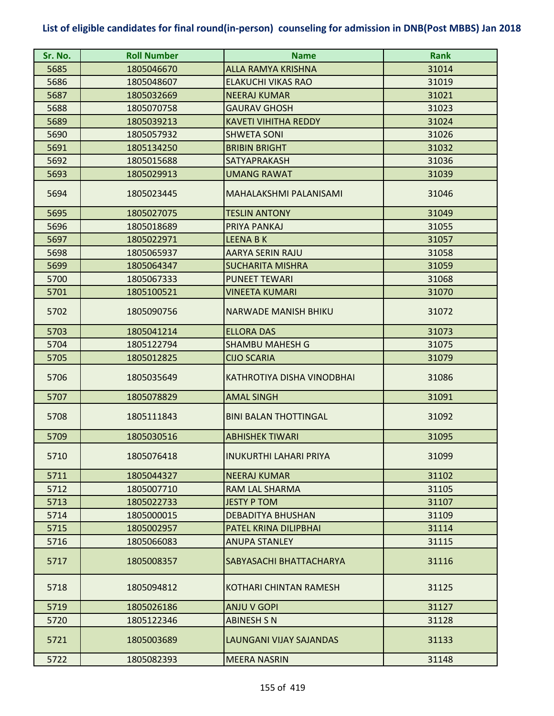| Sr. No. | <b>Roll Number</b> | <b>Name</b>                   | <b>Rank</b> |
|---------|--------------------|-------------------------------|-------------|
| 5685    | 1805046670         | <b>ALLA RAMYA KRISHNA</b>     | 31014       |
| 5686    | 1805048607         | <b>ELAKUCHI VIKAS RAO</b>     | 31019       |
| 5687    | 1805032669         | <b>NEERAJ KUMAR</b>           | 31021       |
| 5688    | 1805070758         | <b>GAURAV GHOSH</b>           | 31023       |
| 5689    | 1805039213         | <b>KAVETI VIHITHA REDDY</b>   | 31024       |
| 5690    | 1805057932         | <b>SHWETA SONI</b>            | 31026       |
| 5691    | 1805134250         | <b>BRIBIN BRIGHT</b>          | 31032       |
| 5692    | 1805015688         | SATYAPRAKASH                  | 31036       |
| 5693    | 1805029913         | <b>UMANG RAWAT</b>            | 31039       |
| 5694    | 1805023445         | MAHALAKSHMI PALANISAMI        | 31046       |
| 5695    | 1805027075         | <b>TESLIN ANTONY</b>          | 31049       |
| 5696    | 1805018689         | PRIYA PANKAJ                  | 31055       |
| 5697    | 1805022971         | <b>LEENA BK</b>               | 31057       |
| 5698    | 1805065937         | AARYA SERIN RAJU              | 31058       |
| 5699    | 1805064347         | <b>SUCHARITA MISHRA</b>       | 31059       |
| 5700    | 1805067333         | <b>PUNEET TEWARI</b>          | 31068       |
| 5701    | 1805100521         | <b>VINEETA KUMARI</b>         | 31070       |
| 5702    | 1805090756         | <b>NARWADE MANISH BHIKU</b>   | 31072       |
| 5703    | 1805041214         | <b>ELLORA DAS</b>             | 31073       |
| 5704    | 1805122794         | <b>SHAMBU MAHESH G</b>        | 31075       |
| 5705    | 1805012825         | <b>CIJO SCARIA</b>            | 31079       |
| 5706    | 1805035649         | KATHROTIYA DISHA VINODBHAI    | 31086       |
| 5707    | 1805078829         | <b>AMAL SINGH</b>             | 31091       |
| 5708    | 1805111843         | <b>BINI BALAN THOTTINGAL</b>  | 31092       |
| 5709    | 1805030516         | <b>ABHISHEK TIWARI</b>        | 31095       |
| 5710    | 1805076418         | <b>INUKURTHI LAHARI PRIYA</b> | 31099       |
| 5711    | 1805044327         | <b>NEERAJ KUMAR</b>           | 31102       |
| 5712    | 1805007710         | RAM LAL SHARMA                | 31105       |
| 5713    | 1805022733         | <b>JESTY P TOM</b>            | 31107       |
| 5714    | 1805000015         | <b>DEBADITYA BHUSHAN</b>      | 31109       |
| 5715    | 1805002957         | PATEL KRINA DILIPBHAI         | 31114       |
| 5716    | 1805066083         | <b>ANUPA STANLEY</b>          | 31115       |
| 5717    | 1805008357         | SABYASACHI BHATTACHARYA       | 31116       |
| 5718    | 1805094812         | KOTHARI CHINTAN RAMESH        | 31125       |
| 5719    | 1805026186         | <b>ANJU V GOPI</b>            | 31127       |
| 5720    | 1805122346         | <b>ABINESH S N</b>            | 31128       |
| 5721    | 1805003689         | LAUNGANI VIJAY SAJANDAS       | 31133       |
| 5722    | 1805082393         | <b>MEERA NASRIN</b>           | 31148       |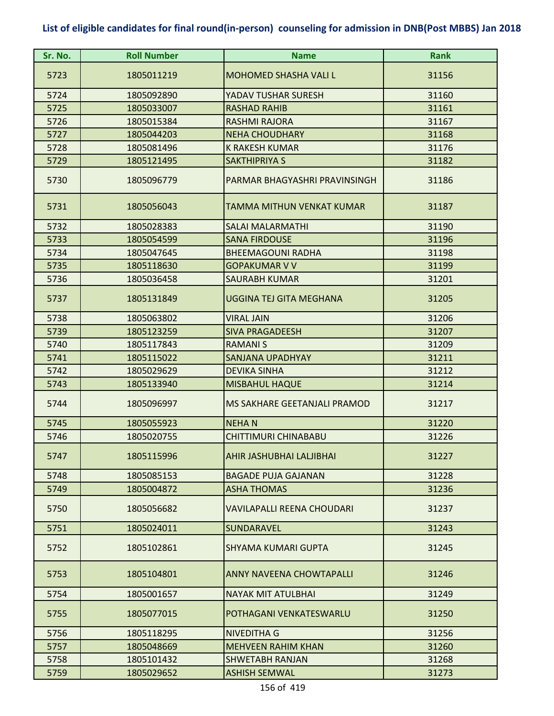| Sr. No. | <b>Roll Number</b> | <b>Name</b>                       | <b>Rank</b> |
|---------|--------------------|-----------------------------------|-------------|
| 5723    | 1805011219         | <b>MOHOMED SHASHA VALI L</b>      | 31156       |
| 5724    | 1805092890         | YADAV TUSHAR SURESH               | 31160       |
| 5725    | 1805033007         | <b>RASHAD RAHIB</b>               | 31161       |
| 5726    | 1805015384         | <b>RASHMI RAJORA</b>              | 31167       |
| 5727    | 1805044203         | <b>NEHA CHOUDHARY</b>             | 31168       |
| 5728    | 1805081496         | <b>K RAKESH KUMAR</b>             | 31176       |
| 5729    | 1805121495         | <b>SAKTHIPRIYA S</b>              | 31182       |
| 5730    | 1805096779         | PARMAR BHAGYASHRI PRAVINSINGH     | 31186       |
| 5731    | 1805056043         | TAMMA MITHUN VENKAT KUMAR         | 31187       |
| 5732    | 1805028383         | <b>SALAI MALARMATHI</b>           | 31190       |
| 5733    | 1805054599         | <b>SANA FIRDOUSE</b>              | 31196       |
| 5734    | 1805047645         | <b>BHEEMAGOUNI RADHA</b>          | 31198       |
| 5735    | 1805118630         | <b>GOPAKUMAR V V</b>              | 31199       |
| 5736    | 1805036458         | <b>SAURABH KUMAR</b>              | 31201       |
| 5737    | 1805131849         | UGGINA TEJ GITA MEGHANA           | 31205       |
| 5738    | 1805063802         | <b>VIRAL JAIN</b>                 | 31206       |
| 5739    | 1805123259         | <b>SIVA PRAGADEESH</b>            | 31207       |
| 5740    | 1805117843         | <b>RAMANIS</b>                    | 31209       |
| 5741    | 1805115022         | <b>SANJANA UPADHYAY</b>           | 31211       |
| 5742    | 1805029629         | <b>DEVIKA SINHA</b>               | 31212       |
| 5743    | 1805133940         | <b>MISBAHUL HAQUE</b>             | 31214       |
| 5744    | 1805096997         | MS SAKHARE GEETANJALI PRAMOD      | 31217       |
| 5745    | 1805055923         | <b>NEHAN</b>                      | 31220       |
| 5746    | 1805020755         | <b>CHITTIMURI CHINABABU</b>       | 31226       |
| 5747    | 1805115996         | AHIR JASHUBHAI LALJIBHAI          | 31227       |
| 5748    | 1805085153         | <b>BAGADE PUJA GAJANAN</b>        | 31228       |
| 5749    | 1805004872         | <b>ASHA THOMAS</b>                | 31236       |
| 5750    | 1805056682         | <b>VAVILAPALLI REENA CHOUDARI</b> | 31237       |
| 5751    | 1805024011         | <b>SUNDARAVEL</b>                 | 31243       |
| 5752    | 1805102861         | SHYAMA KUMARI GUPTA               | 31245       |
| 5753    | 1805104801         | ANNY NAVEENA CHOWTAPALLI          | 31246       |
| 5754    | 1805001657         | NAYAK MIT ATULBHAI                | 31249       |
| 5755    | 1805077015         | POTHAGANI VENKATESWARLU           | 31250       |
| 5756    | 1805118295         | NIVEDITHA G                       | 31256       |
| 5757    | 1805048669         | <b>MEHVEEN RAHIM KHAN</b>         | 31260       |
| 5758    | 1805101432         | <b>SHWETABH RANJAN</b>            | 31268       |
| 5759    | 1805029652         | <b>ASHISH SEMWAL</b>              | 31273       |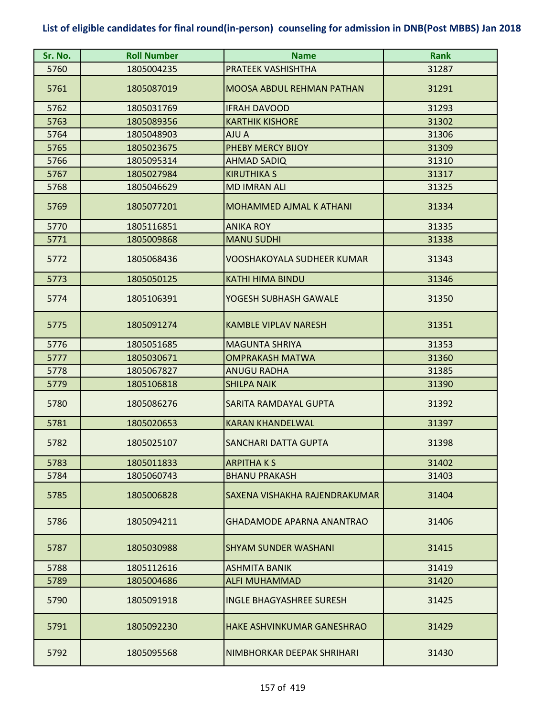| Sr. No. | <b>Roll Number</b> | <b>Name</b>                       | <b>Rank</b> |
|---------|--------------------|-----------------------------------|-------------|
| 5760    | 1805004235         | PRATEEK VASHISHTHA                | 31287       |
| 5761    | 1805087019         | <b>MOOSA ABDUL REHMAN PATHAN</b>  | 31291       |
| 5762    | 1805031769         | <b>IFRAH DAVOOD</b>               | 31293       |
| 5763    | 1805089356         | <b>KARTHIK KISHORE</b>            | 31302       |
| 5764    | 1805048903         | AJU A                             | 31306       |
| 5765    | 1805023675         | PHEBY MERCY BIJOY                 | 31309       |
| 5766    | 1805095314         | <b>AHMAD SADIQ</b>                | 31310       |
| 5767    | 1805027984         | <b>KIRUTHIKA S</b>                | 31317       |
| 5768    | 1805046629         | <b>MD IMRAN ALI</b>               | 31325       |
| 5769    | 1805077201         | <b>MOHAMMED AJMAL K ATHANI</b>    | 31334       |
| 5770    | 1805116851         | <b>ANIKA ROY</b>                  | 31335       |
| 5771    | 1805009868         | <b>MANU SUDHI</b>                 | 31338       |
| 5772    | 1805068436         | <b>VOOSHAKOYALA SUDHEER KUMAR</b> | 31343       |
| 5773    | 1805050125         | <b>KATHI HIMA BINDU</b>           | 31346       |
| 5774    | 1805106391         | YOGESH SUBHASH GAWALE             | 31350       |
| 5775    | 1805091274         | <b>KAMBLE VIPLAV NARESH</b>       | 31351       |
| 5776    | 1805051685         | <b>MAGUNTA SHRIYA</b>             | 31353       |
| 5777    | 1805030671         | <b>OMPRAKASH MATWA</b>            | 31360       |
| 5778    | 1805067827         | <b>ANUGU RADHA</b>                | 31385       |
| 5779    | 1805106818         | <b>SHILPA NAIK</b>                | 31390       |
| 5780    | 1805086276         | SARITA RAMDAYAL GUPTA             | 31392       |
| 5781    | 1805020653         | <b>KARAN KHANDELWAL</b>           | 31397       |
| 5782    | 1805025107         | <b>SANCHARI DATTA GUPTA</b>       | 31398       |
| 5783    | 1805011833         | <b>ARPITHAKS</b>                  | 31402       |
| 5784    | 1805060743         | <b>BHANU PRAKASH</b>              | 31403       |
| 5785    | 1805006828         | SAXENA VISHAKHA RAJENDRAKUMAR     | 31404       |
| 5786    | 1805094211         | <b>GHADAMODE APARNA ANANTRAO</b>  | 31406       |
| 5787    | 1805030988         | <b>SHYAM SUNDER WASHANI</b>       | 31415       |
| 5788    | 1805112616         | <b>ASHMITA BANIK</b>              | 31419       |
| 5789    | 1805004686         | <b>ALFI MUHAMMAD</b>              | 31420       |
| 5790    | 1805091918         | <b>INGLE BHAGYASHREE SURESH</b>   | 31425       |
| 5791    | 1805092230         | HAKE ASHVINKUMAR GANESHRAO        | 31429       |
| 5792    | 1805095568         | NIMBHORKAR DEEPAK SHRIHARI        | 31430       |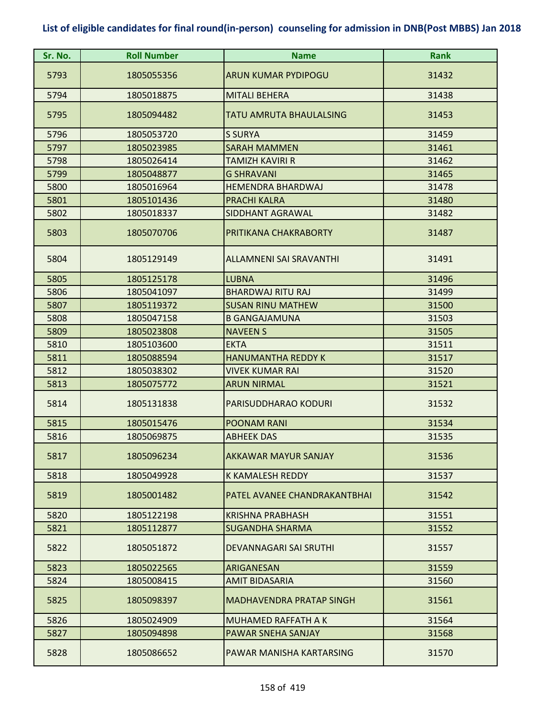| Sr. No. | <b>Roll Number</b> | <b>Name</b>                    | <b>Rank</b> |
|---------|--------------------|--------------------------------|-------------|
| 5793    | 1805055356         | <b>ARUN KUMAR PYDIPOGU</b>     | 31432       |
| 5794    | 1805018875         | <b>MITALI BEHERA</b>           | 31438       |
| 5795    | 1805094482         | <b>TATU AMRUTA BHAULALSING</b> | 31453       |
| 5796    | 1805053720         | <b>S SURYA</b>                 | 31459       |
| 5797    | 1805023985         | <b>SARAH MAMMEN</b>            | 31461       |
| 5798    | 1805026414         | <b>TAMIZH KAVIRI R</b>         | 31462       |
| 5799    | 1805048877         | <b>G SHRAVANI</b>              | 31465       |
| 5800    | 1805016964         | <b>HEMENDRA BHARDWAJ</b>       | 31478       |
| 5801    | 1805101436         | <b>PRACHI KALRA</b>            | 31480       |
| 5802    | 1805018337         | <b>SIDDHANT AGRAWAL</b>        | 31482       |
| 5803    | 1805070706         | PRITIKANA CHAKRABORTY          | 31487       |
| 5804    | 1805129149         | ALLAMNENI SAI SRAVANTHI        | 31491       |
| 5805    | 1805125178         | <b>LUBNA</b>                   | 31496       |
| 5806    | 1805041097         | <b>BHARDWAJ RITU RAJ</b>       | 31499       |
| 5807    | 1805119372         | <b>SUSAN RINU MATHEW</b>       | 31500       |
| 5808    | 1805047158         | <b>B GANGAJAMUNA</b>           | 31503       |
| 5809    | 1805023808         | <b>NAVEEN S</b>                | 31505       |
| 5810    | 1805103600         | <b>EKTA</b>                    | 31511       |
| 5811    | 1805088594         | <b>HANUMANTHA REDDY K</b>      | 31517       |
| 5812    | 1805038302         | VIVEK KUMAR RAI                | 31520       |
| 5813    | 1805075772         | <b>ARUN NIRMAL</b>             | 31521       |
| 5814    | 1805131838         | PARISUDDHARAO KODURI           | 31532       |
| 5815    | 1805015476         | POONAM RANI                    | 31534       |
| 5816    | 1805069875         | <b>ABHEEK DAS</b>              | 31535       |
| 5817    | 1805096234         | AKKAWAR MAYUR SANJAY           | 31536       |
| 5818    | 1805049928         | K KAMALESH REDDY               | 31537       |
| 5819    | 1805001482         | PATEL AVANEE CHANDRAKANTBHAI   | 31542       |
| 5820    | 1805122198         | <b>KRISHNA PRABHASH</b>        | 31551       |
| 5821    | 1805112877         | SUGANDHA SHARMA                | 31552       |
| 5822    | 1805051872         | DEVANNAGARI SAI SRUTHI         | 31557       |
| 5823    | 1805022565         | ARIGANESAN                     | 31559       |
| 5824    | 1805008415         | <b>AMIT BIDASARIA</b>          | 31560       |
| 5825    | 1805098397         | MADHAVENDRA PRATAP SINGH       | 31561       |
| 5826    | 1805024909         | <b>MUHAMED RAFFATH A K</b>     | 31564       |
| 5827    | 1805094898         | PAWAR SNEHA SANJAY             | 31568       |
| 5828    | 1805086652         | PAWAR MANISHA KARTARSING       | 31570       |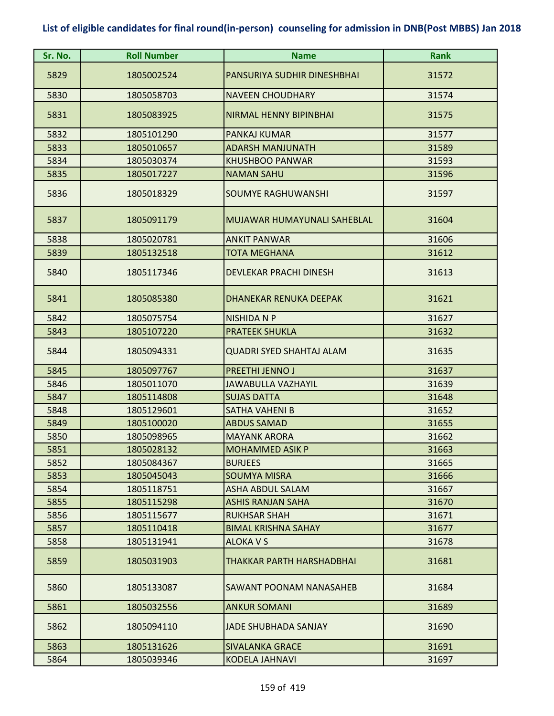| Sr. No.      | <b>Roll Number</b>       | <b>Name</b>                                     | <b>Rank</b>    |
|--------------|--------------------------|-------------------------------------------------|----------------|
| 5829         | 1805002524               | PANSURIYA SUDHIR DINESHBHAI                     | 31572          |
| 5830         | 1805058703               | <b>NAVEEN CHOUDHARY</b>                         | 31574          |
| 5831         | 1805083925               | <b>NIRMAL HENNY BIPINBHAI</b>                   | 31575          |
| 5832         | 1805101290               | <b>PANKAJ KUMAR</b>                             | 31577          |
| 5833         | 1805010657               | <b>ADARSH MANJUNATH</b>                         | 31589          |
| 5834         | 1805030374               | <b>KHUSHBOO PANWAR</b>                          | 31593          |
| 5835         | 1805017227               | <b>NAMAN SAHU</b>                               | 31596          |
| 5836         | 1805018329               | <b>SOUMYE RAGHUWANSHI</b>                       | 31597          |
| 5837         | 1805091179               | MUJAWAR HUMAYUNALI SAHEBLAL                     | 31604          |
| 5838         | 1805020781               | <b>ANKIT PANWAR</b>                             | 31606          |
| 5839         | 1805132518               | <b>TOTA MEGHANA</b>                             | 31612          |
| 5840         | 1805117346               | <b>DEVLEKAR PRACHI DINESH</b>                   | 31613          |
| 5841         | 1805085380               | <b>DHANEKAR RENUKA DEEPAK</b>                   | 31621          |
| 5842         | 1805075754               | <b>NISHIDA N P</b>                              | 31627          |
| 5843         | 1805107220               | <b>PRATEEK SHUKLA</b>                           | 31632          |
| 5844         | 1805094331               | <b>QUADRI SYED SHAHTAJ ALAM</b>                 | 31635          |
| 5845         | 1805097767               | <b>PREETHI JENNO J</b>                          | 31637          |
| 5846         | 1805011070               | <b>JAWABULLA VAZHAYIL</b>                       | 31639          |
| 5847         | 1805114808               | <b>SUJAS DATTA</b>                              | 31648          |
| 5848         | 1805129601               | <b>SATHA VAHENI B</b>                           | 31652          |
| 5849         | 1805100020               | <b>ABDUS SAMAD</b>                              | 31655          |
| 5850         | 1805098965               | <b>MAYANK ARORA</b>                             | 31662          |
| 5851         | 1805028132               | <b>MOHAMMED ASIK P</b>                          | 31663          |
| 5852         | 1805084367               | <b>BURJEES</b>                                  | 31665          |
| 5853         | 1805045043               | <b>SOUMYA MISRA</b>                             | 31666          |
| 5854         | 1805118751               | <b>ASHA ABDUL SALAM</b>                         | 31667          |
| 5855<br>5856 | 1805115298<br>1805115677 | <b>ASHIS RANJAN SAHA</b><br><b>RUKHSAR SHAH</b> | 31670<br>31671 |
| 5857         | 1805110418               | <b>BIMAL KRISHNA SAHAY</b>                      | 31677          |
| 5858         | 1805131941               | <b>ALOKA V S</b>                                | 31678          |
| 5859         | 1805031903               | THAKKAR PARTH HARSHADBHAI                       | 31681          |
| 5860         | 1805133087               | SAWANT POONAM NANASAHEB                         | 31684          |
| 5861         | 1805032556               | <b>ANKUR SOMANI</b>                             | 31689          |
| 5862         | 1805094110               | JADE SHUBHADA SANJAY                            | 31690          |
| 5863         | 1805131626               | <b>SIVALANKA GRACE</b>                          | 31691          |
| 5864         | 1805039346               | <b>KODELA JAHNAVI</b>                           | 31697          |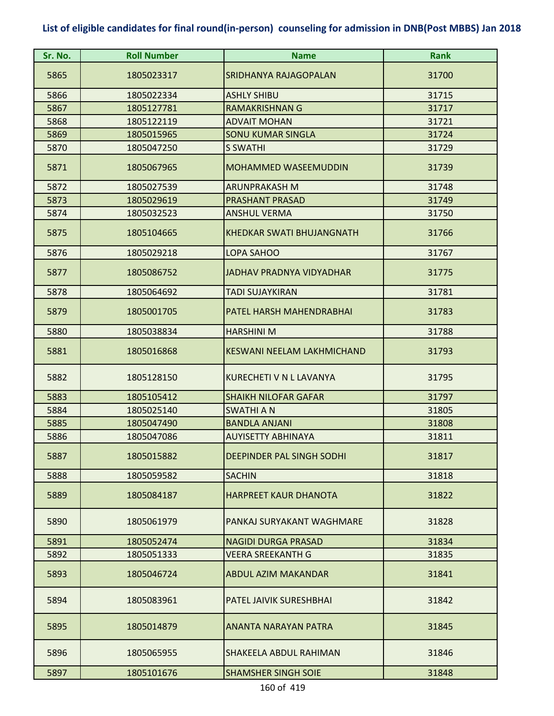| Sr. No. | <b>Roll Number</b> | <b>Name</b>                       | <b>Rank</b> |
|---------|--------------------|-----------------------------------|-------------|
| 5865    | 1805023317         | <b>SRIDHANYA RAJAGOPALAN</b>      | 31700       |
| 5866    | 1805022334         | <b>ASHLY SHIBU</b>                | 31715       |
| 5867    | 1805127781         | <b>RAMAKRISHNAN G</b>             | 31717       |
| 5868    | 1805122119         | <b>ADVAIT MOHAN</b>               | 31721       |
| 5869    | 1805015965         | <b>SONU KUMAR SINGLA</b>          | 31724       |
| 5870    | 1805047250         | S SWATHI                          | 31729       |
| 5871    | 1805067965         | <b>MOHAMMED WASEEMUDDIN</b>       | 31739       |
| 5872    | 1805027539         | <b>ARUNPRAKASH M</b>              | 31748       |
| 5873    | 1805029619         | <b>PRASHANT PRASAD</b>            | 31749       |
| 5874    | 1805032523         | <b>ANSHUL VERMA</b>               | 31750       |
| 5875    | 1805104665         | <b>KHEDKAR SWATI BHUJANGNATH</b>  | 31766       |
| 5876    | 1805029218         | LOPA SAHOO                        | 31767       |
| 5877    | 1805086752         | <b>JADHAV PRADNYA VIDYADHAR</b>   | 31775       |
| 5878    | 1805064692         | <b>TADI SUJAYKIRAN</b>            | 31781       |
| 5879    | 1805001705         | PATEL HARSH MAHENDRABHAI          | 31783       |
| 5880    | 1805038834         | <b>HARSHINI M</b>                 | 31788       |
| 5881    | 1805016868         | <b>KESWANI NEELAM LAKHMICHAND</b> | 31793       |
| 5882    | 1805128150         | KURECHETI V N L LAVANYA           | 31795       |
| 5883    | 1805105412         | <b>SHAIKH NILOFAR GAFAR</b>       | 31797       |
| 5884    | 1805025140         | <b>SWATHI A N</b>                 | 31805       |
| 5885    | 1805047490         | <b>BANDLA ANJANI</b>              | 31808       |
| 5886    | 1805047086         | <b>AUYISETTY ABHINAYA</b>         | 31811       |
| 5887    | 1805015882         | DEEPINDER PAL SINGH SODHI         | 31817       |
| 5888    | 1805059582         | <b>SACHIN</b>                     | 31818       |
| 5889    | 1805084187         | <b>HARPREET KAUR DHANOTA</b>      | 31822       |
| 5890    | 1805061979         | PANKAJ SURYAKANT WAGHMARE         | 31828       |
| 5891    | 1805052474         | <b>NAGIDI DURGA PRASAD</b>        | 31834       |
| 5892    | 1805051333         | VEERA SREEKANTH G                 | 31835       |
| 5893    | 1805046724         | <b>ABDUL AZIM MAKANDAR</b>        | 31841       |
| 5894    | 1805083961         | PATEL JAIVIK SURESHBHAI           | 31842       |
| 5895    | 1805014879         | ANANTA NARAYAN PATRA              | 31845       |
| 5896    | 1805065955         | SHAKEELA ABDUL RAHIMAN            | 31846       |
| 5897    | 1805101676         | <b>SHAMSHER SINGH SOIE</b>        | 31848       |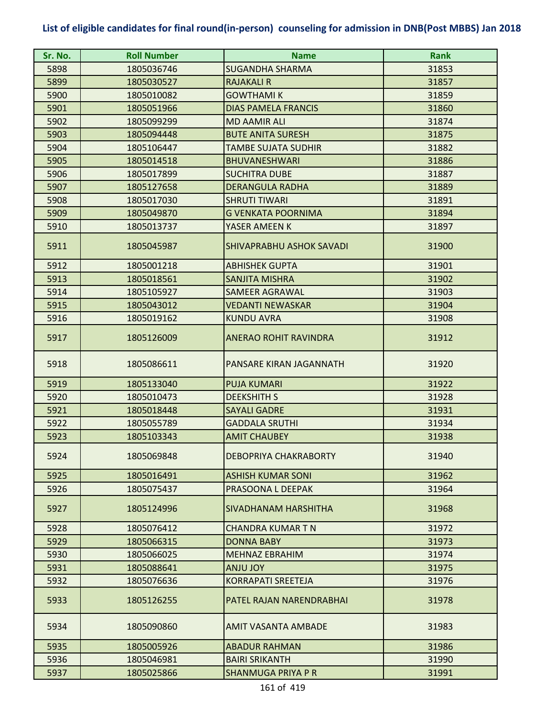| Sr. No. | <b>Roll Number</b> | <b>Name</b>                  | <b>Rank</b> |
|---------|--------------------|------------------------------|-------------|
| 5898    | 1805036746         | <b>SUGANDHA SHARMA</b>       | 31853       |
| 5899    | 1805030527         | <b>RAJAKALI R</b>            | 31857       |
| 5900    | 1805010082         | <b>GOWTHAMI K</b>            | 31859       |
| 5901    | 1805051966         | <b>DIAS PAMELA FRANCIS</b>   | 31860       |
| 5902    | 1805099299         | <b>MD AAMIR ALI</b>          | 31874       |
| 5903    | 1805094448         | <b>BUTE ANITA SURESH</b>     | 31875       |
| 5904    | 1805106447         | <b>TAMBE SUJATA SUDHIR</b>   | 31882       |
| 5905    | 1805014518         | <b>BHUVANESHWARI</b>         | 31886       |
| 5906    | 1805017899         | <b>SUCHITRA DUBE</b>         | 31887       |
| 5907    | 1805127658         | <b>DERANGULA RADHA</b>       | 31889       |
| 5908    | 1805017030         | <b>SHRUTI TIWARI</b>         | 31891       |
| 5909    | 1805049870         | <b>G VENKATA POORNIMA</b>    | 31894       |
| 5910    | 1805013737         | YASER AMEEN K                | 31897       |
| 5911    | 1805045987         | SHIVAPRABHU ASHOK SAVADI     | 31900       |
| 5912    | 1805001218         | <b>ABHISHEK GUPTA</b>        | 31901       |
| 5913    | 1805018561         | SANJITA MISHRA               | 31902       |
| 5914    | 1805105927         | <b>SAMEER AGRAWAL</b>        | 31903       |
| 5915    | 1805043012         | <b>VEDANTI NEWASKAR</b>      | 31904       |
| 5916    | 1805019162         | <b>KUNDU AVRA</b>            | 31908       |
| 5917    | 1805126009         | <b>ANERAO ROHIT RAVINDRA</b> | 31912       |
| 5918    | 1805086611         | PANSARE KIRAN JAGANNATH      | 31920       |
| 5919    | 1805133040         | <b>PUJA KUMARI</b>           | 31922       |
| 5920    | 1805010473         | <b>DEEKSHITH S</b>           | 31928       |
| 5921    | 1805018448         | <b>SAYALI GADRE</b>          | 31931       |
| 5922    | 1805055789         | <b>GADDALA SRUTHI</b>        | 31934       |
| 5923    | 1805103343         | <b>AMIT CHAUBEY</b>          | 31938       |
| 5924    | 1805069848         | <b>DEBOPRIYA CHAKRABORTY</b> | 31940       |
| 5925    | 1805016491         | <b>ASHISH KUMAR SONI</b>     | 31962       |
| 5926    | 1805075437         | PRASOONA L DEEPAK            | 31964       |
| 5927    | 1805124996         | SIVADHANAM HARSHITHA         | 31968       |
| 5928    | 1805076412         | <b>CHANDRA KUMAR T N</b>     | 31972       |
| 5929    | 1805066315         | <b>DONNA BABY</b>            | 31973       |
| 5930    | 1805066025         | <b>MEHNAZ EBRAHIM</b>        | 31974       |
| 5931    | 1805088641         | YOL ULNA                     | 31975       |
| 5932    | 1805076636         | <b>KORRAPATI SREETEJA</b>    | 31976       |
| 5933    | 1805126255         | PATEL RAJAN NARENDRABHAI     | 31978       |
| 5934    | 1805090860         | AMIT VASANTA AMBADE          | 31983       |
| 5935    | 1805005926         | <b>ABADUR RAHMAN</b>         | 31986       |
| 5936    | 1805046981         | <b>BAIRI SRIKANTH</b>        | 31990       |
| 5937    | 1805025866         | <b>SHANMUGA PRIYA P R</b>    | 31991       |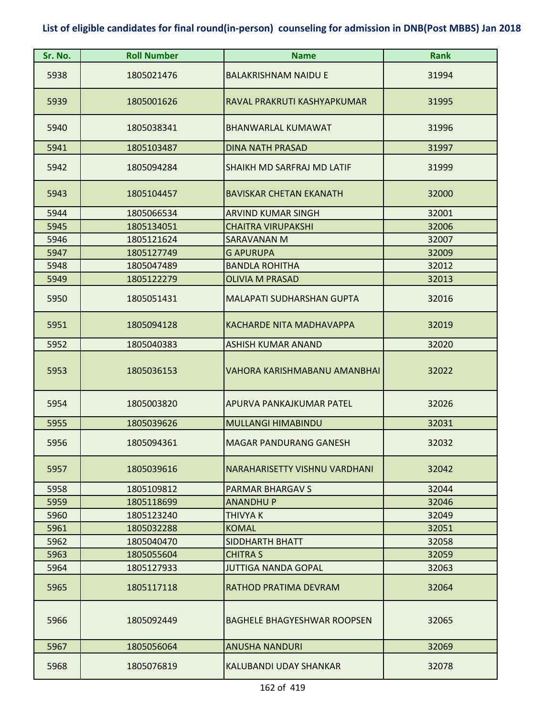| Sr. No. | <b>Roll Number</b> | <b>Name</b>                        | <b>Rank</b> |
|---------|--------------------|------------------------------------|-------------|
| 5938    | 1805021476         | <b>BALAKRISHNAM NAIDU E</b>        | 31994       |
| 5939    | 1805001626         | RAVAL PRAKRUTI KASHYAPKUMAR        | 31995       |
| 5940    | 1805038341         | <b>BHANWARLAL KUMAWAT</b>          | 31996       |
| 5941    | 1805103487         | <b>DINA NATH PRASAD</b>            | 31997       |
| 5942    | 1805094284         | SHAIKH MD SARFRAJ MD LATIF         | 31999       |
| 5943    | 1805104457         | <b>BAVISKAR CHETAN EKANATH</b>     | 32000       |
| 5944    | 1805066534         | <b>ARVIND KUMAR SINGH</b>          | 32001       |
| 5945    | 1805134051         | <b>CHAITRA VIRUPAKSHI</b>          | 32006       |
| 5946    | 1805121624         | SARAVANAN M                        | 32007       |
| 5947    | 1805127749         | <b>G APURUPA</b>                   | 32009       |
| 5948    | 1805047489         | <b>BANDLA ROHITHA</b>              | 32012       |
| 5949    | 1805122279         | <b>OLIVIA M PRASAD</b>             | 32013       |
| 5950    | 1805051431         | <b>MALAPATI SUDHARSHAN GUPTA</b>   | 32016       |
| 5951    | 1805094128         | KACHARDE NITA MADHAVAPPA           | 32019       |
| 5952    | 1805040383         | <b>ASHISH KUMAR ANAND</b>          | 32020       |
| 5953    | 1805036153         | VAHORA KARISHMABANU AMANBHAI       | 32022       |
| 5954    | 1805003820         | APURVA PANKAJKUMAR PATEL           | 32026       |
| 5955    | 1805039626         | <b>MULLANGI HIMABINDU</b>          | 32031       |
| 5956    | 1805094361         | <b>MAGAR PANDURANG GANESH</b>      | 32032       |
| 5957    | 1805039616         | NARAHARISETTY VISHNU VARDHANI      | 32042       |
| 5958    | 1805109812         | <b>PARMAR BHARGAV S</b>            | 32044       |
| 5959    | 1805118699         | <b>ANANDHUP</b>                    | 32046       |
| 5960    | 1805123240         | <b>THIVYA K</b>                    | 32049       |
| 5961    | 1805032288         | <b>KOMAL</b>                       | 32051       |
| 5962    | 1805040470         | <b>SIDDHARTH BHATT</b>             | 32058       |
| 5963    | 1805055604         | <b>CHITRA S</b>                    | 32059       |
| 5964    | 1805127933         | <b>JUTTIGA NANDA GOPAL</b>         | 32063       |
| 5965    | 1805117118         | RATHOD PRATIMA DEVRAM              | 32064       |
| 5966    | 1805092449         | <b>BAGHELE BHAGYESHWAR ROOPSEN</b> | 32065       |
| 5967    | 1805056064         | <b>ANUSHA NANDURI</b>              | 32069       |
| 5968    | 1805076819         | KALUBANDI UDAY SHANKAR             | 32078       |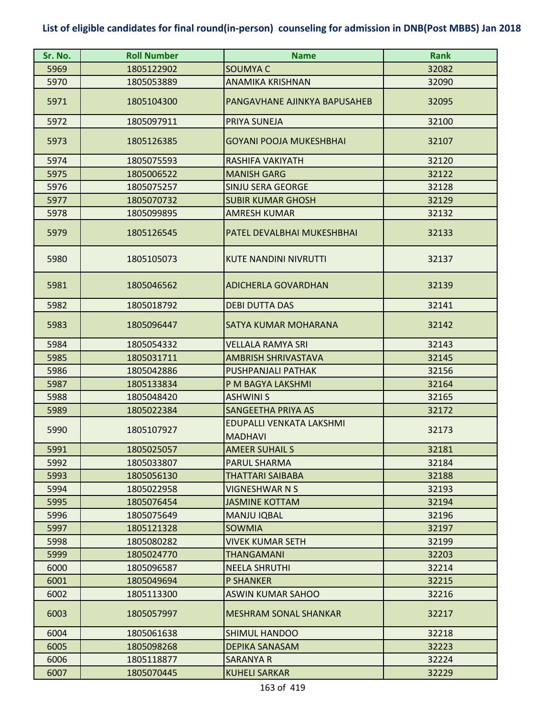| Sr. No. | <b>Roll Number</b> | <b>Name</b>                                | <b>Rank</b> |
|---------|--------------------|--------------------------------------------|-------------|
| 5969    | 1805122902         | <b>SOUMYAC</b>                             | 32082       |
| 5970    | 1805053889         | <b>ANAMIKA KRISHNAN</b>                    | 32090       |
| 5971    | 1805104300         | PANGAVHANE AJINKYA BAPUSAHEB               | 32095       |
| 5972    | 1805097911         | PRIYA SUNEJA                               | 32100       |
| 5973    | 1805126385         | <b>GOYANI POOJA MUKESHBHAI</b>             | 32107       |
| 5974    | 1805075593         | RASHIFA VAKIYATH                           | 32120       |
| 5975    | 1805006522         | <b>MANISH GARG</b>                         | 32122       |
| 5976    | 1805075257         | SINJU SERA GEORGE                          | 32128       |
| 5977    | 1805070732         | <b>SUBIR KUMAR GHOSH</b>                   | 32129       |
| 5978    | 1805099895         | <b>AMRESH KUMAR</b>                        | 32132       |
| 5979    | 1805126545         | PATEL DEVALBHAI MUKESHBHAI                 | 32133       |
| 5980    | 1805105073         | <b>KUTE NANDINI NIVRUTTI</b>               | 32137       |
| 5981    | 1805046562         | <b>ADICHERLA GOVARDHAN</b>                 | 32139       |
| 5982    | 1805018792         | <b>DEBI DUTTA DAS</b>                      | 32141       |
| 5983    | 1805096447         | SATYA KUMAR MOHARANA                       | 32142       |
| 5984    | 1805054332         | VELLALA RAMYA SRI                          | 32143       |
| 5985    | 1805031711         | <b>AMBRISH SHRIVASTAVA</b>                 | 32145       |
| 5986    | 1805042886         | PUSHPANJALI PATHAK                         | 32156       |
| 5987    | 1805133834         | P M BAGYA LAKSHMI                          | 32164       |
| 5988    | 1805048420         | <b>ASHWINI S</b>                           | 32165       |
| 5989    | 1805022384         | <b>SANGEETHA PRIYA AS</b>                  | 32172       |
| 5990    | 1805107927         | EDUPALLI VENKATA LAKSHMI<br><b>MADHAVI</b> | 32173       |
| 5991    | 1805025057         | <b>AMEER SUHAIL S</b>                      | 32181       |
| 5992    | 1805033807         | <b>PARUL SHARMA</b>                        | 32184       |
| 5993    | 1805056130         | <b>THATTARI SAIBABA</b>                    | 32188       |
| 5994    | 1805022958         | VIGNESHWAR N S                             | 32193       |
| 5995    | 1805076454         | <b>JASMINE KOTTAM</b>                      | 32194       |
| 5996    | 1805075649         | <b>MANJU IQBAL</b>                         | 32196       |
| 5997    | 1805121328         | <b>SOWMIA</b>                              | 32197       |
| 5998    | 1805080282         | VIVEK KUMAR SETH                           | 32199       |
| 5999    | 1805024770         | <b>THANGAMANI</b>                          | 32203       |
| 6000    | 1805096587         | <b>NEELA SHRUTHI</b>                       | 32214       |
| 6001    | 1805049694         | <b>P SHANKER</b>                           | 32215       |
| 6002    | 1805113300         | ASWIN KUMAR SAHOO                          | 32216       |
| 6003    | 1805057997         | <b>MESHRAM SONAL SHANKAR</b>               | 32217       |
| 6004    | 1805061638         | <b>SHIMUL HANDOO</b>                       | 32218       |
| 6005    | 1805098268         | <b>DEPIKA SANASAM</b>                      | 32223       |
| 6006    | 1805118877         | SARANYA R                                  | 32224       |
| 6007    | 1805070445         | <b>KUHELI SARKAR</b>                       | 32229       |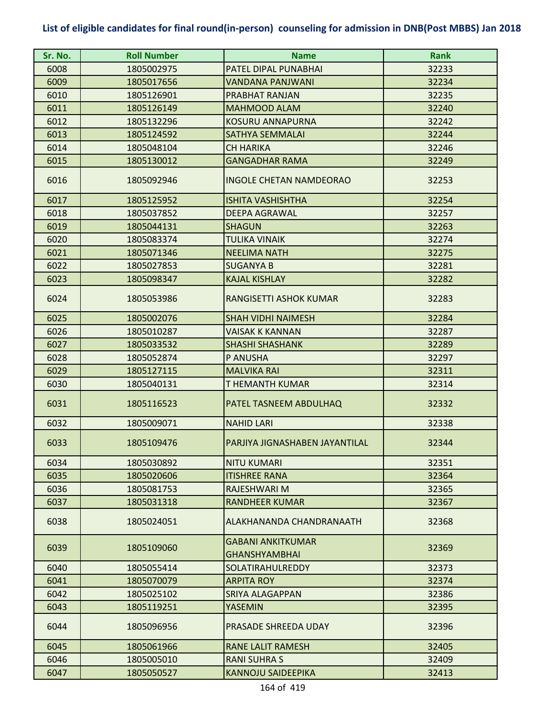| Sr. No. | <b>Roll Number</b> | <b>Name</b>                                      | <b>Rank</b> |
|---------|--------------------|--------------------------------------------------|-------------|
| 6008    | 1805002975         | PATEL DIPAL PUNABHAI                             | 32233       |
| 6009    | 1805017656         | <b>VANDANA PANJWANI</b>                          | 32234       |
| 6010    | 1805126901         | PRABHAT RANJAN                                   | 32235       |
| 6011    | 1805126149         | <b>MAHMOOD ALAM</b>                              | 32240       |
| 6012    | 1805132296         | <b>KOSURU ANNAPURNA</b>                          | 32242       |
| 6013    | 1805124592         | <b>SATHYA SEMMALAI</b>                           | 32244       |
| 6014    | 1805048104         | <b>CH HARIKA</b>                                 | 32246       |
| 6015    | 1805130012         | <b>GANGADHAR RAMA</b>                            | 32249       |
| 6016    | 1805092946         | <b>INGOLE CHETAN NAMDEORAO</b>                   | 32253       |
| 6017    | 1805125952         | <b>ISHITA VASHISHTHA</b>                         | 32254       |
| 6018    | 1805037852         | <b>DEEPA AGRAWAL</b>                             | 32257       |
| 6019    | 1805044131         | <b>SHAGUN</b>                                    | 32263       |
| 6020    | 1805083374         | <b>TULIKA VINAIK</b>                             | 32274       |
| 6021    | 1805071346         | <b>NEELIMA NATH</b>                              | 32275       |
| 6022    | 1805027853         | <b>SUGANYA B</b>                                 | 32281       |
| 6023    | 1805098347         | <b>KAJAL KISHLAY</b>                             | 32282       |
| 6024    | 1805053986         | RANGISETTI ASHOK KUMAR                           | 32283       |
| 6025    | 1805002076         | <b>SHAH VIDHI NAIMESH</b>                        | 32284       |
| 6026    | 1805010287         | <b>VAISAK K KANNAN</b>                           | 32287       |
| 6027    | 1805033532         | <b>SHASHI SHASHANK</b>                           | 32289       |
| 6028    | 1805052874         | P ANUSHA                                         | 32297       |
| 6029    | 1805127115         | <b>MALVIKA RAI</b>                               | 32311       |
| 6030    | 1805040131         | T HEMANTH KUMAR                                  | 32314       |
| 6031    | 1805116523         | PATEL TASNEEM ABDULHAQ                           | 32332       |
| 6032    | 1805009071         | <b>NAHID LARI</b>                                | 32338       |
| 6033    | 1805109476         | PARJIYA JIGNASHABEN JAYANTILAL                   | 32344       |
| 6034    | 1805030892         | <b>NITU KUMARI</b>                               | 32351       |
| 6035    | 1805020606         | <b>ITISHREE RANA</b>                             | 32364       |
| 6036    | 1805081753         | RAJESHWARI M                                     | 32365       |
| 6037    | 1805031318         | <b>RANDHEER KUMAR</b>                            | 32367       |
| 6038    | 1805024051         | ALAKHANANDA CHANDRANAATH                         | 32368       |
| 6039    | 1805109060         | <b>GABANI ANKITKUMAR</b><br><b>GHANSHYAMBHAI</b> | 32369       |
| 6040    | 1805055414         | <b>SOLATIRAHULREDDY</b>                          | 32373       |
| 6041    | 1805070079         | <b>ARPITA ROY</b>                                | 32374       |
| 6042    | 1805025102         | SRIYA ALAGAPPAN                                  | 32386       |
| 6043    | 1805119251         | YASEMIN                                          | 32395       |
| 6044    | 1805096956         | PRASADE SHREEDA UDAY                             | 32396       |
| 6045    | 1805061966         | <b>RANE LALIT RAMESH</b>                         | 32405       |
| 6046    | 1805005010         | <b>RANI SUHRA S</b>                              | 32409       |
| 6047    | 1805050527         | <b>KANNOJU SAIDEEPIKA</b>                        | 32413       |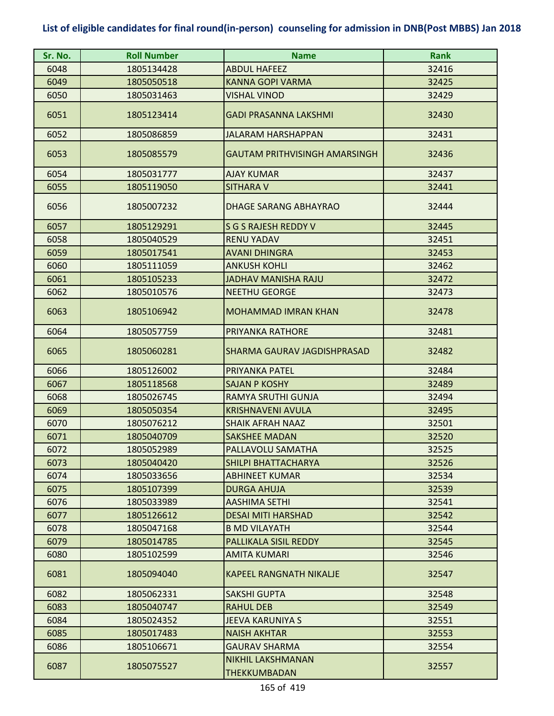| Sr. No. | <b>Roll Number</b> | <b>Name</b>                              | <b>Rank</b> |
|---------|--------------------|------------------------------------------|-------------|
| 6048    | 1805134428         | <b>ABDUL HAFEEZ</b>                      | 32416       |
| 6049    | 1805050518         | <b>KANNA GOPI VARMA</b>                  | 32425       |
| 6050    | 1805031463         | <b>VISHAL VINOD</b>                      | 32429       |
| 6051    | 1805123414         | GADI PRASANNA LAKSHMI                    | 32430       |
| 6052    | 1805086859         | <b>JALARAM HARSHAPPAN</b>                | 32431       |
| 6053    | 1805085579         | <b>GAUTAM PRITHVISINGH AMARSINGH</b>     | 32436       |
| 6054    | 1805031777         | <b>AJAY KUMAR</b>                        | 32437       |
| 6055    | 1805119050         | <b>SITHARA V</b>                         | 32441       |
| 6056    | 1805007232         | <b>DHAGE SARANG ABHAYRAO</b>             | 32444       |
| 6057    | 1805129291         | <b>S G S RAJESH REDDY V</b>              | 32445       |
| 6058    | 1805040529         | <b>RENU YADAV</b>                        | 32451       |
| 6059    | 1805017541         | <b>AVANI DHINGRA</b>                     | 32453       |
| 6060    | 1805111059         | <b>ANKUSH KOHLI</b>                      | 32462       |
| 6061    | 1805105233         | <b>JADHAV MANISHA RAJU</b>               | 32472       |
| 6062    | 1805010576         | <b>NEETHU GEORGE</b>                     | 32473       |
| 6063    | 1805106942         | <b>MOHAMMAD IMRAN KHAN</b>               | 32478       |
| 6064    | 1805057759         | PRIYANKA RATHORE                         | 32481       |
| 6065    | 1805060281         | SHARMA GAURAV JAGDISHPRASAD              | 32482       |
| 6066    | 1805126002         | PRIYANKA PATEL                           | 32484       |
| 6067    | 1805118568         | <b>SAJAN P KOSHY</b>                     | 32489       |
| 6068    | 1805026745         | RAMYA SRUTHI GUNJA                       | 32494       |
| 6069    | 1805050354         | <b>KRISHNAVENI AVULA</b>                 | 32495       |
| 6070    | 1805076212         | <b>SHAIK AFRAH NAAZ</b>                  | 32501       |
| 6071    | 1805040709         | <b>SAKSHEE MADAN</b>                     | 32520       |
| 6072    | 1805052989         | PALLAVOLU SAMATHA                        | 32525       |
| 6073    | 1805040420         | <b>SHILPI BHATTACHARYA</b>               | 32526       |
| 6074    | 1805033656         | <b>ABHINEET KUMAR</b>                    | 32534       |
| 6075    | 1805107399         | <b>DURGA AHUJA</b>                       | 32539       |
| 6076    | 1805033989         | <b>AASHIMA SETHI</b>                     | 32541       |
| 6077    | 1805126612         | <b>DESAI MITI HARSHAD</b>                | 32542       |
| 6078    | 1805047168         | <b>B MD VILAYATH</b>                     | 32544       |
| 6079    | 1805014785         | PALLIKALA SISIL REDDY                    | 32545       |
| 6080    | 1805102599         | <b>AMITA KUMARI</b>                      | 32546       |
| 6081    | 1805094040         | <b>KAPEEL RANGNATH NIKALJE</b>           | 32547       |
| 6082    | 1805062331         | SAKSHI GUPTA                             | 32548       |
| 6083    | 1805040747         | <b>RAHUL DEB</b>                         | 32549       |
| 6084    | 1805024352         | JEEVA KARUNIYA S                         | 32551       |
| 6085    | 1805017483         | <b>NAISH AKHTAR</b>                      | 32553       |
| 6086    | 1805106671         | <b>GAURAV SHARMA</b>                     | 32554       |
| 6087    | 1805075527         | <b>NIKHIL LAKSHMANAN</b><br>THEKKUMBADAN | 32557       |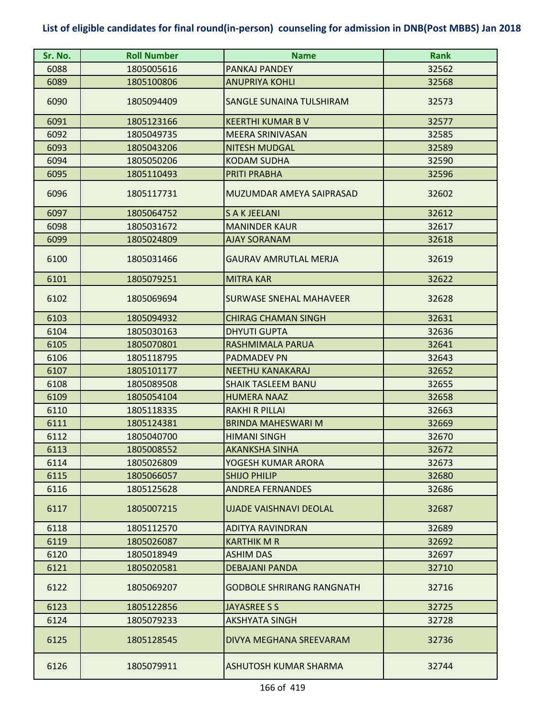| Sr. No. | <b>Roll Number</b> | <b>Name</b>                      | <b>Rank</b> |
|---------|--------------------|----------------------------------|-------------|
| 6088    | 1805005616         | PANKAJ PANDEY                    | 32562       |
| 6089    | 1805100806         | <b>ANUPRIYA KOHLI</b>            | 32568       |
| 6090    | 1805094409         | SANGLE SUNAINA TULSHIRAM         | 32573       |
| 6091    | 1805123166         | <b>KEERTHI KUMAR B V</b>         | 32577       |
| 6092    | 1805049735         | <b>MEERA SRINIVASAN</b>          | 32585       |
| 6093    | 1805043206         | <b>NITESH MUDGAL</b>             | 32589       |
| 6094    | 1805050206         | <b>KODAM SUDHA</b>               | 32590       |
| 6095    | 1805110493         | <b>PRITI PRABHA</b>              | 32596       |
| 6096    | 1805117731         | MUZUMDAR AMEYA SAIPRASAD         | 32602       |
| 6097    | 1805064752         | <b>S A K JEELANI</b>             | 32612       |
| 6098    | 1805031672         | <b>MANINDER KAUR</b>             | 32617       |
| 6099    | 1805024809         | <b>AJAY SORANAM</b>              | 32618       |
| 6100    | 1805031466         | <b>GAURAV AMRUTLAL MERJA</b>     | 32619       |
| 6101    | 1805079251         | <b>MITRA KAR</b>                 | 32622       |
| 6102    | 1805069694         | <b>SURWASE SNEHAL MAHAVEER</b>   | 32628       |
| 6103    | 1805094932         | <b>CHIRAG CHAMAN SINGH</b>       | 32631       |
| 6104    | 1805030163         | <b>DHYUTI GUPTA</b>              | 32636       |
| 6105    | 1805070801         | RASHMIMALA PARUA                 | 32641       |
| 6106    | 1805118795         | <b>PADMADEV PN</b>               | 32643       |
| 6107    | 1805101177         | <b>NEETHU KANAKARAJ</b>          | 32652       |
| 6108    | 1805089508         | <b>SHAIK TASLEEM BANU</b>        | 32655       |
| 6109    | 1805054104         | <b>HUMERA NAAZ</b>               | 32658       |
| 6110    | 1805118335         | <b>RAKHI R PILLAI</b>            | 32663       |
| 6111    | 1805124381         | <b>BRINDA MAHESWARI M</b>        | 32669       |
| 6112    | 1805040700         | <b>HIMANI SINGH</b>              | 32670       |
| 6113    | 1805008552         | <b>AKANKSHA SINHA</b>            | 32672       |
| 6114    | 1805026809         | YOGESH KUMAR ARORA               | 32673       |
| 6115    | 1805066057         | <b>SHIJO PHILIP</b>              | 32680       |
| 6116    | 1805125628         | <b>ANDREA FERNANDES</b>          | 32686       |
| 6117    | 1805007215         | <b>UJADE VAISHNAVI DEOLAL</b>    | 32687       |
| 6118    | 1805112570         | <b>ADITYA RAVINDRAN</b>          | 32689       |
| 6119    | 1805026087         | <b>KARTHIK M R</b>               | 32692       |
| 6120    | 1805018949         | <b>ASHIM DAS</b>                 | 32697       |
| 6121    | 1805020581         | <b>DEBAJANI PANDA</b>            | 32710       |
| 6122    | 1805069207         | <b>GODBOLE SHRIRANG RANGNATH</b> | 32716       |
| 6123    | 1805122856         | <b>JAYASREE S S</b>              | 32725       |
| 6124    | 1805079233         | <b>AKSHYATA SINGH</b>            | 32728       |
| 6125    | 1805128545         | DIVYA MEGHANA SREEVARAM          | 32736       |
| 6126    | 1805079911         | ASHUTOSH KUMAR SHARMA            | 32744       |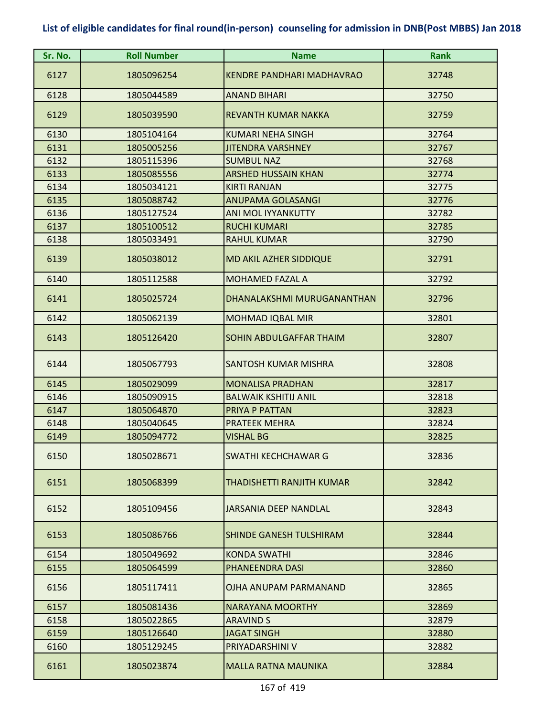| Sr. No. | <b>Roll Number</b> | <b>Name</b>                      | <b>Rank</b> |
|---------|--------------------|----------------------------------|-------------|
| 6127    | 1805096254         | <b>KENDRE PANDHARI MADHAVRAO</b> | 32748       |
| 6128    | 1805044589         | <b>ANAND BIHARI</b>              | 32750       |
| 6129    | 1805039590         | <b>REVANTH KUMAR NAKKA</b>       | 32759       |
| 6130    | 1805104164         | <b>KUMARI NEHA SINGH</b>         | 32764       |
| 6131    | 1805005256         | <b>JITENDRA VARSHNEY</b>         | 32767       |
| 6132    | 1805115396         | <b>SUMBUL NAZ</b>                | 32768       |
| 6133    | 1805085556         | <b>ARSHED HUSSAIN KHAN</b>       | 32774       |
| 6134    | 1805034121         | <b>KIRTI RANJAN</b>              | 32775       |
| 6135    | 1805088742         | <b>ANUPAMA GOLASANGI</b>         | 32776       |
| 6136    | 1805127524         | ANI MOL IYYANKUTTY               | 32782       |
| 6137    | 1805100512         | <b>RUCHI KUMARI</b>              | 32785       |
| 6138    | 1805033491         | <b>RAHUL KUMAR</b>               | 32790       |
| 6139    | 1805038012         | MD AKIL AZHER SIDDIQUE           | 32791       |
| 6140    | 1805112588         | <b>MOHAMED FAZAL A</b>           | 32792       |
| 6141    | 1805025724         | DHANALAKSHMI MURUGANANTHAN       | 32796       |
| 6142    | 1805062139         | <b>MOHMAD IQBAL MIR</b>          | 32801       |
| 6143    | 1805126420         | SOHIN ABDULGAFFAR THAIM          | 32807       |
| 6144    | 1805067793         | <b>SANTOSH KUMAR MISHRA</b>      | 32808       |
| 6145    | 1805029099         | <b>MONALISA PRADHAN</b>          | 32817       |
| 6146    | 1805090915         | <b>BALWAIK KSHITIJ ANIL</b>      | 32818       |
| 6147    | 1805064870         | PRIYA P PATTAN                   | 32823       |
| 6148    | 1805040645         | <b>PRATEEK MEHRA</b>             | 32824       |
| 6149    | 1805094772         | <b>VISHAL BG</b>                 | 32825       |
| 6150    | 1805028671         | <b>SWATHI KECHCHAWAR G</b>       | 32836       |
| 6151    | 1805068399         | THADISHETTI RANJITH KUMAR        | 32842       |
| 6152    | 1805109456         | JARSANIA DEEP NANDLAL            | 32843       |
| 6153    | 1805086766         | <b>SHINDE GANESH TULSHIRAM</b>   | 32844       |
| 6154    | 1805049692         | <b>KONDA SWATHI</b>              | 32846       |
| 6155    | 1805064599         | PHANEENDRA DASI                  | 32860       |
| 6156    | 1805117411         | OJHA ANUPAM PARMANAND            | 32865       |
| 6157    | 1805081436         | <b>NARAYANA MOORTHY</b>          | 32869       |
| 6158    | 1805022865         | <b>ARAVIND S</b>                 | 32879       |
| 6159    | 1805126640         | <b>JAGAT SINGH</b>               | 32880       |
| 6160    | 1805129245         | PRIYADARSHINI V                  | 32882       |
| 6161    | 1805023874         | <b>MALLA RATNA MAUNIKA</b>       | 32884       |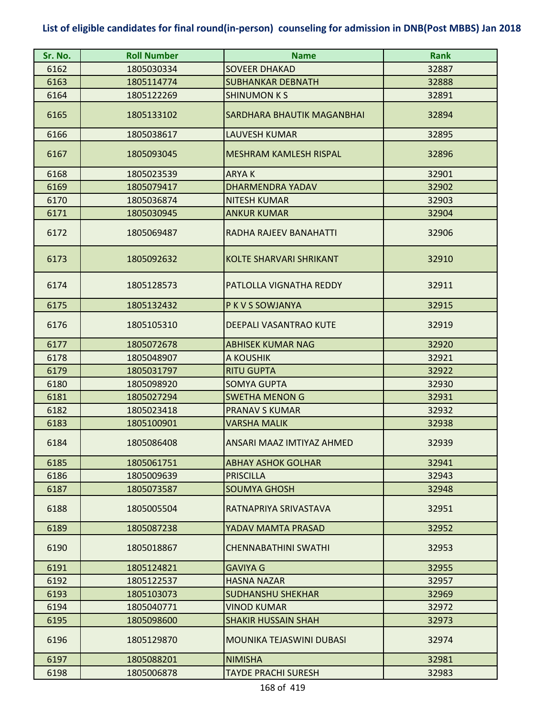| Sr. No. | <b>Roll Number</b> | <b>Name</b>                    | <b>Rank</b> |
|---------|--------------------|--------------------------------|-------------|
| 6162    | 1805030334         | <b>SOVEER DHAKAD</b>           | 32887       |
| 6163    | 1805114774         | <b>SUBHANKAR DEBNATH</b>       | 32888       |
| 6164    | 1805122269         | <b>SHINUMON K S</b>            | 32891       |
| 6165    | 1805133102         | SARDHARA BHAUTIK MAGANBHAI     | 32894       |
| 6166    | 1805038617         | <b>LAUVESH KUMAR</b>           | 32895       |
| 6167    | 1805093045         | <b>MESHRAM KAMLESH RISPAL</b>  | 32896       |
| 6168    | 1805023539         | <b>ARYAK</b>                   | 32901       |
| 6169    | 1805079417         | DHARMENDRA YADAV               | 32902       |
| 6170    | 1805036874         | <b>NITESH KUMAR</b>            | 32903       |
| 6171    | 1805030945         | <b>ANKUR KUMAR</b>             | 32904       |
| 6172    | 1805069487         | RADHA RAJEEV BANAHATTI         | 32906       |
| 6173    | 1805092632         | <b>KOLTE SHARVARI SHRIKANT</b> | 32910       |
| 6174    | 1805128573         | PATLOLLA VIGNATHA REDDY        | 32911       |
| 6175    | 1805132432         | P K V S SOWJANYA               | 32915       |
| 6176    | 1805105310         | DEEPALI VASANTRAO KUTE         | 32919       |
| 6177    | 1805072678         | <b>ABHISEK KUMAR NAG</b>       | 32920       |
| 6178    | 1805048907         | A KOUSHIK                      | 32921       |
| 6179    | 1805031797         | <b>RITU GUPTA</b>              | 32922       |
| 6180    | 1805098920         | <b>SOMYA GUPTA</b>             | 32930       |
| 6181    | 1805027294         | <b>SWETHA MENON G</b>          | 32931       |
| 6182    | 1805023418         | <b>PRANAV S KUMAR</b>          | 32932       |
| 6183    | 1805100901         | <b>VARSHA MALIK</b>            | 32938       |
| 6184    | 1805086408         | ANSARI MAAZ IMTIYAZ AHMED      | 32939       |
| 6185    | 1805061751         | <b>ABHAY ASHOK GOLHAR</b>      | 32941       |
| 6186    | 1805009639         | <b>PRISCILLA</b>               | 32943       |
| 6187    | 1805073587         | <b>SOUMYA GHOSH</b>            | 32948       |
| 6188    | 1805005504         | RATNAPRIYA SRIVASTAVA          | 32951       |
| 6189    | 1805087238         | YADAV MAMTA PRASAD             | 32952       |
| 6190    | 1805018867         | <b>CHENNABATHINI SWATHI</b>    | 32953       |
| 6191    | 1805124821         | <b>GAVIYA G</b>                | 32955       |
| 6192    | 1805122537         | <b>HASNA NAZAR</b>             | 32957       |
| 6193    | 1805103073         | <b>SUDHANSHU SHEKHAR</b>       | 32969       |
| 6194    | 1805040771         | <b>VINOD KUMAR</b>             | 32972       |
| 6195    | 1805098600         | <b>SHAKIR HUSSAIN SHAH</b>     | 32973       |
| 6196    | 1805129870         | MOUNIKA TEJASWINI DUBASI       | 32974       |
| 6197    | 1805088201         | <b>NIMISHA</b>                 | 32981       |
| 6198    | 1805006878         | <b>TAYDE PRACHI SURESH</b>     | 32983       |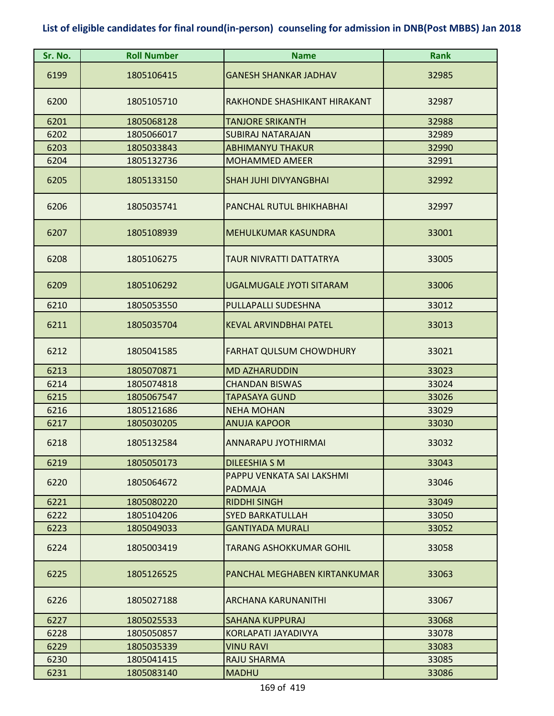| Sr. No. | <b>Roll Number</b> | <b>Name</b>                                 | <b>Rank</b> |
|---------|--------------------|---------------------------------------------|-------------|
| 6199    | 1805106415         | <b>GANESH SHANKAR JADHAV</b>                | 32985       |
| 6200    | 1805105710         | RAKHONDE SHASHIKANT HIRAKANT                | 32987       |
| 6201    | 1805068128         | <b>TANJORE SRIKANTH</b>                     | 32988       |
| 6202    | 1805066017         | <b>SUBIRAJ NATARAJAN</b>                    | 32989       |
| 6203    | 1805033843         | <b>ABHIMANYU THAKUR</b>                     | 32990       |
| 6204    | 1805132736         | <b>MOHAMMED AMEER</b>                       | 32991       |
| 6205    | 1805133150         | <b>SHAH JUHI DIVYANGBHAI</b>                | 32992       |
| 6206    | 1805035741         | PANCHAL RUTUL BHIKHABHAI                    | 32997       |
| 6207    | 1805108939         | <b>MEHULKUMAR KASUNDRA</b>                  | 33001       |
| 6208    | 1805106275         | TAUR NIVRATTI DATTATRYA                     | 33005       |
| 6209    | 1805106292         | <b>UGALMUGALE JYOTI SITARAM</b>             | 33006       |
| 6210    | 1805053550         | PULLAPALLI SUDESHNA                         | 33012       |
| 6211    | 1805035704         | <b>KEVAL ARVINDBHAI PATEL</b>               | 33013       |
| 6212    | 1805041585         | <b>FARHAT QULSUM CHOWDHURY</b>              | 33021       |
| 6213    | 1805070871         | <b>MD AZHARUDDIN</b>                        | 33023       |
| 6214    | 1805074818         | <b>CHANDAN BISWAS</b>                       | 33024       |
| 6215    | 1805067547         | TAPASAYA GUND                               | 33026       |
| 6216    | 1805121686         | <b>NEHA MOHAN</b>                           | 33029       |
| 6217    | 1805030205         | <b>ANUJA KAPOOR</b>                         | 33030       |
| 6218    | 1805132584         | ANNARAPU JYOTHIRMAI                         | 33032       |
| 6219    | 1805050173         | <b>DILEESHIA S M</b>                        | 33043       |
| 6220    | 1805064672         | PAPPU VENKATA SAI LAKSHMI<br><b>PADMAJA</b> | 33046       |
| 6221    | 1805080220         | <b>RIDDHI SINGH</b>                         | 33049       |
| 6222    | 1805104206         | <b>SYED BARKATULLAH</b>                     | 33050       |
| 6223    | 1805049033         | <b>GANTIYADA MURALI</b>                     | 33052       |
| 6224    | 1805003419         | TARANG ASHOKKUMAR GOHIL                     | 33058       |
| 6225    | 1805126525         | PANCHAL MEGHABEN KIRTANKUMAR                | 33063       |
| 6226    | 1805027188         | ARCHANA KARUNANITHI                         | 33067       |
| 6227    | 1805025533         | <b>SAHANA KUPPURAJ</b>                      | 33068       |
| 6228    | 1805050857         | KORLAPATI JAYADIVYA                         | 33078       |
| 6229    | 1805035339         | <b>VINU RAVI</b>                            | 33083       |
| 6230    | 1805041415         | RAJU SHARMA                                 | 33085       |
| 6231    | 1805083140         | <b>MADHU</b>                                | 33086       |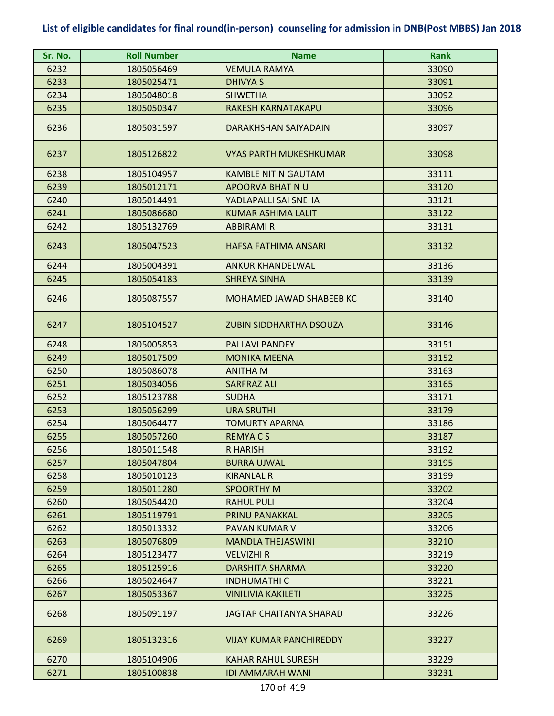| Sr. No. | <b>Roll Number</b> | <b>Name</b>                    | <b>Rank</b> |
|---------|--------------------|--------------------------------|-------------|
| 6232    | 1805056469         | VEMULA RAMYA                   | 33090       |
| 6233    | 1805025471         | DHIVYA S                       | 33091       |
| 6234    | 1805048018         | <b>SHWETHA</b>                 | 33092       |
| 6235    | 1805050347         | RAKESH KARNATAKAPU             | 33096       |
| 6236    | 1805031597         | DARAKHSHAN SAIYADAIN           | 33097       |
| 6237    | 1805126822         | <b>VYAS PARTH MUKESHKUMAR</b>  | 33098       |
| 6238    | 1805104957         | <b>KAMBLE NITIN GAUTAM</b>     | 33111       |
| 6239    | 1805012171         | <b>APOORVA BHAT N U</b>        | 33120       |
| 6240    | 1805014491         | YADLAPALLI SAI SNEHA           | 33121       |
| 6241    | 1805086680         | <b>KUMAR ASHIMA LALIT</b>      | 33122       |
| 6242    | 1805132769         | <b>ABBIRAMI R</b>              | 33131       |
| 6243    | 1805047523         | HAFSA FATHIMA ANSARI           | 33132       |
| 6244    | 1805004391         | ANKUR KHANDELWAL               | 33136       |
| 6245    | 1805054183         | <b>SHREYA SINHA</b>            | 33139       |
| 6246    | 1805087557         | MOHAMED JAWAD SHABEEB KC       | 33140       |
| 6247    | 1805104527         | <b>ZUBIN SIDDHARTHA DSOUZA</b> | 33146       |
| 6248    | 1805005853         | <b>PALLAVI PANDEY</b>          | 33151       |
| 6249    | 1805017509         | <b>MONIKA MEENA</b>            | 33152       |
| 6250    | 1805086078         | <b>ANITHA M</b>                | 33163       |
| 6251    | 1805034056         | <b>SARFRAZ ALI</b>             | 33165       |
| 6252    | 1805123788         | <b>SUDHA</b>                   | 33171       |
| 6253    | 1805056299         | <b>URA SRUTHI</b>              | 33179       |
| 6254    | 1805064477         | <b>TOMURTY APARNA</b>          | 33186       |
| 6255    | 1805057260         | <b>REMYACS</b>                 | 33187       |
| 6256    | 1805011548         | <b>R HARISH</b>                | 33192       |
| 6257    | 1805047804         | <b>BURRA UJWAL</b>             | 33195       |
| 6258    | 1805010123         | <b>KIRANLAL R</b>              | 33199       |
| 6259    | 1805011280         | <b>SPOORTHY M</b>              | 33202       |
| 6260    | 1805054420         | <b>RAHUL PULI</b>              | 33204       |
| 6261    | 1805119791         | PRINU PANAKKAL                 | 33205       |
| 6262    | 1805013332         | PAVAN KUMAR V                  | 33206       |
| 6263    | 1805076809         | <b>MANDLA THEJASWINI</b>       | 33210       |
| 6264    | 1805123477         | VELVIZHI R                     | 33219       |
| 6265    | 1805125916         | DARSHITA SHARMA                | 33220       |
| 6266    | 1805024647         | <b>INDHUMATHI C</b>            | 33221       |
| 6267    | 1805053367         | <b>VINILIVIA KAKILETI</b>      | 33225       |
| 6268    | 1805091197         | JAGTAP CHAITANYA SHARAD        | 33226       |
| 6269    | 1805132316         | <b>VIJAY KUMAR PANCHIREDDY</b> | 33227       |
| 6270    | 1805104906         | <b>KAHAR RAHUL SURESH</b>      | 33229       |
| 6271    | 1805100838         | <b>IDI AMMARAH WANI</b>        | 33231       |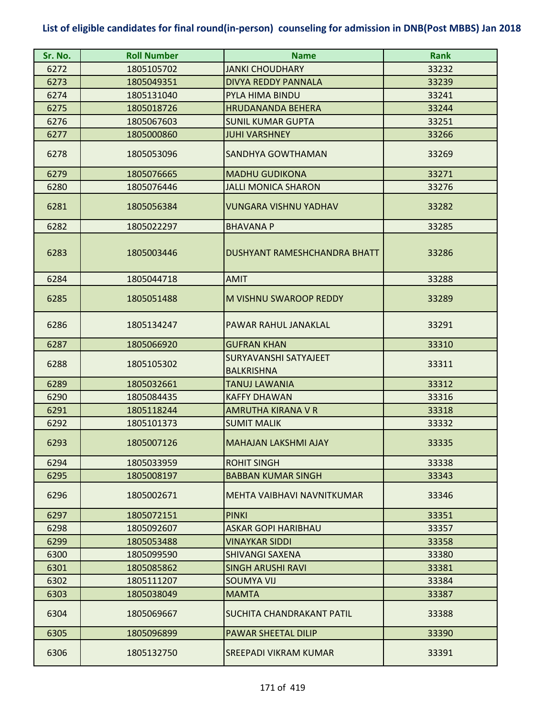| Sr. No. | <b>Roll Number</b> | <b>Name</b>                                | <b>Rank</b> |
|---------|--------------------|--------------------------------------------|-------------|
| 6272    | 1805105702         | <b>JANKI CHOUDHARY</b>                     | 33232       |
| 6273    | 1805049351         | <b>DIVYA REDDY PANNALA</b>                 | 33239       |
| 6274    | 1805131040         | PYLA HIMA BINDU                            | 33241       |
| 6275    | 1805018726         | <b>HRUDANANDA BEHERA</b>                   | 33244       |
| 6276    | 1805067603         | <b>SUNIL KUMAR GUPTA</b>                   | 33251       |
| 6277    | 1805000860         | <b>JUHI VARSHNEY</b>                       | 33266       |
| 6278    | 1805053096         | <b>SANDHYA GOWTHAMAN</b>                   | 33269       |
| 6279    | 1805076665         | <b>MADHU GUDIKONA</b>                      | 33271       |
| 6280    | 1805076446         | <b>JALLI MONICA SHARON</b>                 | 33276       |
| 6281    | 1805056384         | <b>VUNGARA VISHNU YADHAV</b>               | 33282       |
| 6282    | 1805022297         | <b>BHAVANA P</b>                           | 33285       |
| 6283    | 1805003446         | <b>DUSHYANT RAMESHCHANDRA BHATT</b>        | 33286       |
| 6284    | 1805044718         | <b>AMIT</b>                                | 33288       |
| 6285    | 1805051488         | M VISHNU SWAROOP REDDY                     | 33289       |
| 6286    | 1805134247         | PAWAR RAHUL JANAKLAL                       | 33291       |
| 6287    | 1805066920         | <b>GUFRAN KHAN</b>                         | 33310       |
| 6288    | 1805105302         | SURYAVANSHI SATYAJEET<br><b>BALKRISHNA</b> | 33311       |
| 6289    | 1805032661         | <b>TANUJ LAWANIA</b>                       | 33312       |
| 6290    | 1805084435         | <b>KAFFY DHAWAN</b>                        | 33316       |
| 6291    | 1805118244         | AMRUTHA KIRANA V R                         | 33318       |
| 6292    | 1805101373         | <b>SUMIT MALIK</b>                         | 33332       |
| 6293    | 1805007126         | <b>MAHAJAN LAKSHMI AJAY</b>                | 33335       |
| 6294    | 1805033959         | <b>ROHIT SINGH</b>                         | 33338       |
| 6295    | 1805008197         | <b>BABBAN KUMAR SINGH</b>                  | 33343       |
| 6296    | 1805002671         | MEHTA VAIBHAVI NAVNITKUMAR                 | 33346       |
| 6297    | 1805072151         | <b>PINKI</b>                               | 33351       |
| 6298    | 1805092607         | <b>ASKAR GOPI HARIBHAU</b>                 | 33357       |
| 6299    | 1805053488         | <b>VINAYKAR SIDDI</b>                      | 33358       |
| 6300    | 1805099590         | <b>SHIVANGI SAXENA</b>                     | 33380       |
| 6301    | 1805085862         | <b>SINGH ARUSHI RAVI</b>                   | 33381       |
| 6302    | 1805111207         | <b>SOUMYA VIJ</b>                          | 33384       |
| 6303    | 1805038049         | <b>MAMTA</b>                               | 33387       |
| 6304    | 1805069667         | SUCHITA CHANDRAKANT PATIL                  | 33388       |
| 6305    | 1805096899         | PAWAR SHEETAL DILIP                        | 33390       |
| 6306    | 1805132750         | <b>SREEPADI VIKRAM KUMAR</b>               | 33391       |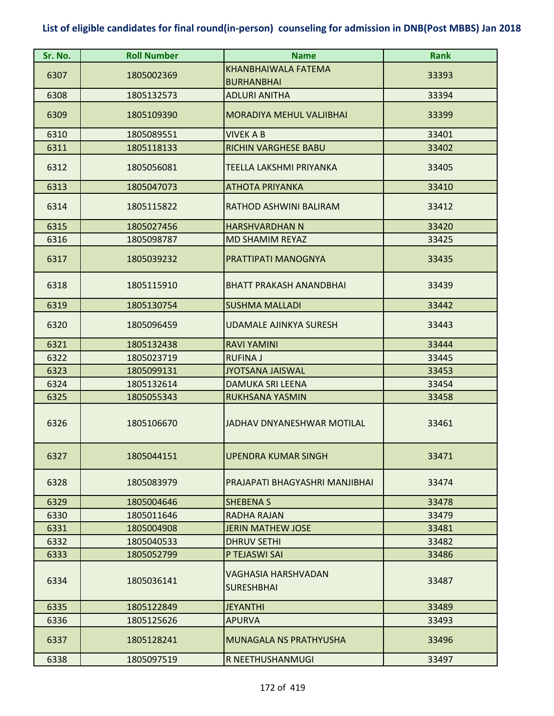| Sr. No. | <b>Roll Number</b> | <b>Name</b>                              | <b>Rank</b> |
|---------|--------------------|------------------------------------------|-------------|
| 6307    | 1805002369         | KHANBHAIWALA FATEMA                      | 33393       |
|         |                    | <b>BURHANBHAI</b>                        |             |
| 6308    | 1805132573         | <b>ADLURI ANITHA</b>                     | 33394       |
| 6309    | 1805109390         | <b>MORADIYA MEHUL VALJIBHAI</b>          | 33399       |
| 6310    | 1805089551         | <b>VIVEK A B</b>                         | 33401       |
| 6311    | 1805118133         | <b>RICHIN VARGHESE BABU</b>              | 33402       |
| 6312    | 1805056081         | TEELLA LAKSHMI PRIYANKA                  | 33405       |
| 6313    | 1805047073         | <b>ATHOTA PRIYANKA</b>                   | 33410       |
| 6314    | 1805115822         | RATHOD ASHWINI BALIRAM                   | 33412       |
| 6315    | 1805027456         | <b>HARSHVARDHAN N</b>                    | 33420       |
| 6316    | 1805098787         | MD SHAMIM REYAZ                          | 33425       |
| 6317    | 1805039232         | PRATTIPATI MANOGNYA                      | 33435       |
| 6318    | 1805115910         | <b>BHATT PRAKASH ANANDBHAI</b>           | 33439       |
| 6319    | 1805130754         | <b>SUSHMA MALLADI</b>                    | 33442       |
| 6320    | 1805096459         | <b>UDAMALE AJINKYA SURESH</b>            | 33443       |
| 6321    | 1805132438         | <b>RAVI YAMINI</b>                       | 33444       |
| 6322    | 1805023719         | <b>RUFINA J</b>                          | 33445       |
| 6323    | 1805099131         | <b>JYOTSANA JAISWAL</b>                  | 33453       |
| 6324    | 1805132614         | <b>DAMUKA SRI LEENA</b>                  | 33454       |
| 6325    | 1805055343         | <b>RUKHSANA YASMIN</b>                   | 33458       |
| 6326    | 1805106670         | JADHAV DNYANFSHWAR MOTILAL               | 33461       |
| 6327    | 1805044151         | <b>UPENDRA KUMAR SINGH</b>               | 33471       |
| 6328    | 1805083979         | PRAJAPATI BHAGYASHRI MANJIBHAI           | 33474       |
| 6329    | 1805004646         | <b>SHEBENA S</b>                         | 33478       |
| 6330    | 1805011646         | <b>RADHA RAJAN</b>                       | 33479       |
| 6331    | 1805004908         | <b>JERIN MATHEW JOSE</b>                 | 33481       |
| 6332    | 1805040533         | <b>DHRUV SETHI</b>                       | 33482       |
| 6333    | 1805052799         | P TEJASWI SAI                            | 33486       |
| 6334    | 1805036141         | VAGHASIA HARSHVADAN<br><b>SURESHBHAI</b> | 33487       |
| 6335    | 1805122849         | <b>JEYANTHI</b>                          | 33489       |
| 6336    | 1805125626         | <b>APURVA</b>                            | 33493       |
| 6337    | 1805128241         | <b>MUNAGALA NS PRATHYUSHA</b>            | 33496       |
| 6338    | 1805097519         | R NEETHUSHANMUGI                         | 33497       |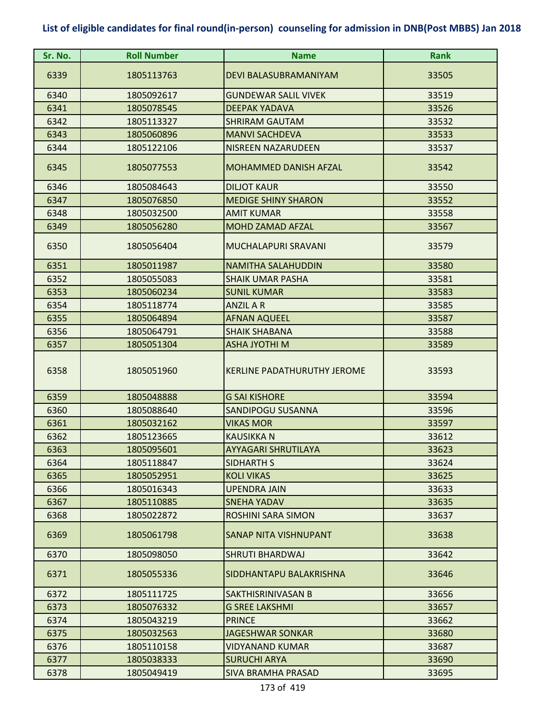| Sr. No. | <b>Roll Number</b> | <b>Name</b>                        | <b>Rank</b> |
|---------|--------------------|------------------------------------|-------------|
| 6339    | 1805113763         | DEVI BALASUBRAMANIYAM              | 33505       |
| 6340    | 1805092617         | <b>GUNDEWAR SALIL VIVEK</b>        | 33519       |
| 6341    | 1805078545         | <b>DEEPAK YADAVA</b>               | 33526       |
| 6342    | 1805113327         | <b>SHRIRAM GAUTAM</b>              | 33532       |
| 6343    | 1805060896         | <b>MANVI SACHDEVA</b>              | 33533       |
| 6344    | 1805122106         | NISREEN NAZARUDEEN                 | 33537       |
| 6345    | 1805077553         | <b>MOHAMMED DANISH AFZAL</b>       | 33542       |
| 6346    | 1805084643         | <b>DILJOT KAUR</b>                 | 33550       |
| 6347    | 1805076850         | <b>MEDIGE SHINY SHARON</b>         | 33552       |
| 6348    | 1805032500         | <b>AMIT KUMAR</b>                  | 33558       |
| 6349    | 1805056280         | <b>MOHD ZAMAD AFZAL</b>            | 33567       |
| 6350    | 1805056404         | MUCHALAPURI SRAVANI                | 33579       |
| 6351    | 1805011987         | <b>NAMITHA SALAHUDDIN</b>          | 33580       |
| 6352    | 1805055083         | <b>SHAIK UMAR PASHA</b>            | 33581       |
| 6353    | 1805060234         | <b>SUNIL KUMAR</b>                 | 33583       |
| 6354    | 1805118774         | <b>ANZIL A R</b>                   | 33585       |
| 6355    | 1805064894         | <b>AFNAN AQUEEL</b>                | 33587       |
| 6356    | 1805064791         | <b>SHAIK SHABANA</b>               | 33588       |
| 6357    | 1805051304         | <b>ASHA JYOTHI M</b>               | 33589       |
| 6358    | 1805051960         | <b>KERLINE PADATHURUTHY JEROME</b> | 33593       |
| 6359    | 1805048888         | <b>G SAI KISHORE</b>               | 33594       |
| 6360    | 1805088640         | SANDIPOGU SUSANNA                  | 33596       |
| 6361    | 1805032162         | <b>VIKAS MOR</b>                   | 33597       |
| 6362    | 1805123665         | <b>KAUSIKKA N</b>                  | 33612       |
| 6363    | 1805095601         | <b>AYYAGARI SHRUTILAYA</b>         | 33623       |
| 6364    | 1805118847         | SIDHARTH S                         | 33624       |
| 6365    | 1805052951         | <b>KOLI VIKAS</b>                  | 33625       |
| 6366    | 1805016343         | <b>UPENDRA JAIN</b>                | 33633       |
| 6367    | 1805110885         | <b>SNEHA YADAV</b>                 | 33635       |
| 6368    | 1805022872         | <b>ROSHINI SARA SIMON</b>          | 33637       |
| 6369    | 1805061798         | SANAP NITA VISHNUPANT              | 33638       |
| 6370    | 1805098050         | <b>SHRUTI BHARDWAJ</b>             | 33642       |
| 6371    | 1805055336         | SIDDHANTAPU BALAKRISHNA            | 33646       |
| 6372    | 1805111725         | SAKTHISRINIVASAN B                 | 33656       |
| 6373    | 1805076332         | <b>G SREE LAKSHMI</b>              | 33657       |
| 6374    | 1805043219         | <b>PRINCE</b>                      | 33662       |
| 6375    | 1805032563         | <b>JAGESHWAR SONKAR</b>            | 33680       |
| 6376    | 1805110158         | VIDYANAND KUMAR                    | 33687       |
| 6377    | 1805038333         | <b>SURUCHI ARYA</b>                | 33690       |
| 6378    | 1805049419         | <b>SIVA BRAMHA PRASAD</b>          | 33695       |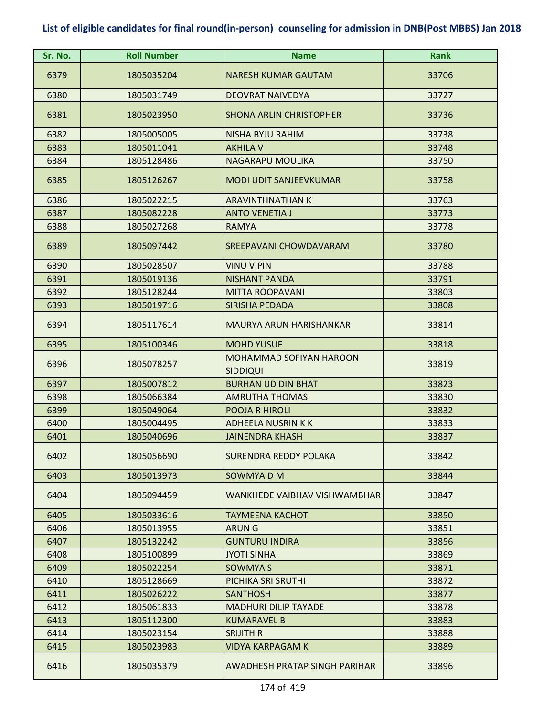| Sr. No. | <b>Roll Number</b> | <b>Name</b>                                | <b>Rank</b> |
|---------|--------------------|--------------------------------------------|-------------|
| 6379    | 1805035204         | <b>NARESH KUMAR GAUTAM</b>                 | 33706       |
| 6380    | 1805031749         | <b>DEOVRAT NAIVEDYA</b>                    | 33727       |
| 6381    | 1805023950         | <b>SHONA ARLIN CHRISTOPHER</b>             | 33736       |
| 6382    | 1805005005         | NISHA BYJU RAHIM                           | 33738       |
| 6383    | 1805011041         | <b>AKHILA V</b>                            | 33748       |
| 6384    | 1805128486         | NAGARAPU MOULIKA                           | 33750       |
| 6385    | 1805126267         | <b>MODI UDIT SANJEEVKUMAR</b>              | 33758       |
| 6386    | 1805022215         | <b>ARAVINTHNATHAN K</b>                    | 33763       |
| 6387    | 1805082228         | <b>ANTO VENETIA J</b>                      | 33773       |
| 6388    | 1805027268         | <b>RAMYA</b>                               | 33778       |
| 6389    | 1805097442         | SREEPAVANI CHOWDAVARAM                     | 33780       |
| 6390    | 1805028507         | <b>VINU VIPIN</b>                          | 33788       |
| 6391    | 1805019136         | <b>NISHANT PANDA</b>                       | 33791       |
| 6392    | 1805128244         | <b>MITTA ROOPAVANI</b>                     | 33803       |
| 6393    | 1805019716         | <b>SIRISHA PEDADA</b>                      | 33808       |
| 6394    | 1805117614         | <b>MAURYA ARUN HARISHANKAR</b>             | 33814       |
| 6395    | 1805100346         | <b>MOHD YUSUF</b>                          | 33818       |
| 6396    | 1805078257         | MOHAMMAD SOFIYAN HAROON<br><b>SIDDIQUI</b> | 33819       |
| 6397    | 1805007812         | <b>BURHAN UD DIN BHAT</b>                  | 33823       |
| 6398    | 1805066384         | <b>AMRUTHA THOMAS</b>                      | 33830       |
| 6399    | 1805049064         | POOJA R HIROLI                             | 33832       |
| 6400    | 1805004495         | <b>ADHEELA NUSRIN K K</b>                  | 33833       |
| 6401    | 1805040696         | <b>JAINENDRA KHASH</b>                     | 33837       |
| 6402    | 1805056690         | <b>SURENDRA REDDY POLAKA</b>               | 33842       |
| 6403    | 1805013973         | SOWMYA D M                                 | 33844       |
| 6404    | 1805094459         | WANKHEDE VAIBHAV VISHWAMBHAR               | 33847       |
| 6405    | 1805033616         | <b>TAYMEENA KACHOT</b>                     | 33850       |
| 6406    | 1805013955         | <b>ARUNG</b>                               | 33851       |
| 6407    | 1805132242         | <b>GUNTURU INDIRA</b>                      | 33856       |
| 6408    | 1805100899         | <b>JYOTI SINHA</b>                         | 33869       |
| 6409    | 1805022254         | <b>SOWMYA S</b>                            | 33871       |
| 6410    | 1805128669         | PICHIKA SRI SRUTHI                         | 33872       |
| 6411    | 1805026222         | <b>SANTHOSH</b>                            | 33877       |
| 6412    | 1805061833         | <b>MADHURI DILIP TAYADE</b>                | 33878       |
| 6413    | 1805112300         | <b>KUMARAVEL B</b>                         | 33883       |
| 6414    | 1805023154         | <b>SRIJITH R</b>                           | 33888       |
| 6415    | 1805023983         | VIDYA KARPAGAM K                           | 33889       |
| 6416    | 1805035379         | AWADHESH PRATAP SINGH PARIHAR              | 33896       |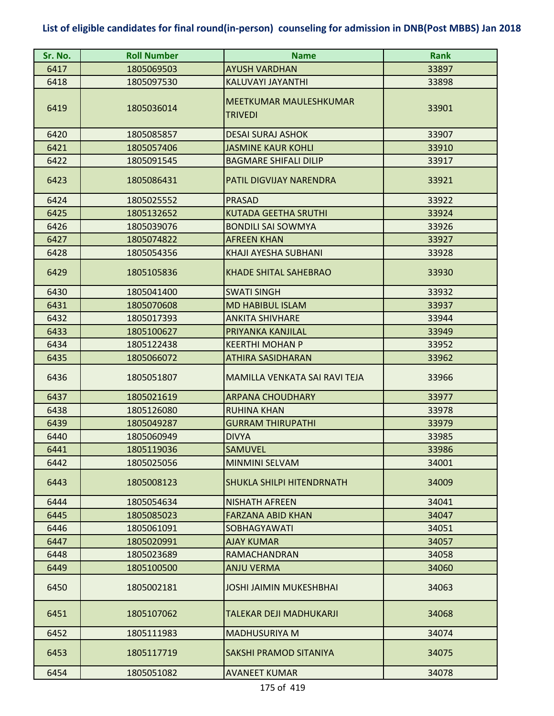| Sr. No. | <b>Roll Number</b> | <b>Name</b>                                     | <b>Rank</b> |
|---------|--------------------|-------------------------------------------------|-------------|
| 6417    | 1805069503         | <b>AYUSH VARDHAN</b>                            | 33897       |
| 6418    | 1805097530         | KALUVAYI JAYANTHI                               | 33898       |
| 6419    | 1805036014         | <b>MEETKUMAR MAULESHKUMAR</b><br><b>TRIVEDI</b> | 33901       |
| 6420    | 1805085857         | <b>DESAI SURAJ ASHOK</b>                        | 33907       |
| 6421    | 1805057406         | <b>JASMINE KAUR KOHLI</b>                       | 33910       |
| 6422    | 1805091545         | <b>BAGMARE SHIFALI DILIP</b>                    | 33917       |
| 6423    | 1805086431         | PATIL DIGVIJAY NARENDRA                         | 33921       |
| 6424    | 1805025552         | <b>PRASAD</b>                                   | 33922       |
| 6425    | 1805132652         | <b>KUTADA GEETHA SRUTHI</b>                     | 33924       |
| 6426    | 1805039076         | <b>BONDILI SAI SOWMYA</b>                       | 33926       |
| 6427    | 1805074822         | <b>AFREEN KHAN</b>                              | 33927       |
| 6428    | 1805054356         | KHAJI AYESHA SUBHANI                            | 33928       |
| 6429    | 1805105836         | <b>KHADE SHITAL SAHEBRAO</b>                    | 33930       |
| 6430    | 1805041400         | <b>SWATI SINGH</b>                              | 33932       |
| 6431    | 1805070608         | <b>MD HABIBUL ISLAM</b>                         | 33937       |
| 6432    | 1805017393         | <b>ANKITA SHIVHARE</b>                          | 33944       |
| 6433    | 1805100627         | PRIYANKA KANJILAL                               | 33949       |
| 6434    | 1805122438         | <b>KEERTHI MOHAN P</b>                          | 33952       |
| 6435    | 1805066072         | <b>ATHIRA SASIDHARAN</b>                        | 33962       |
| 6436    | 1805051807         | MAMILLA VENKATA SAI RAVI TEJA                   | 33966       |
| 6437    | 1805021619         | <b>ARPANA CHOUDHARY</b>                         | 33977       |
| 6438    | 1805126080         | <b>RUHINA KHAN</b>                              | 33978       |
| 6439    | 1805049287         | <b>GURRAM THIRUPATHI</b>                        | 33979       |
| 6440    | 1805060949         | <b>DIVYA</b>                                    | 33985       |
| 6441    | 1805119036         | <b>SAMUVEL</b>                                  | 33986       |
| 6442    | 1805025056         | <b>MINMINI SELVAM</b>                           | 34001       |
| 6443    | 1805008123         | <b>SHUKLA SHILPI HITENDRNATH</b>                | 34009       |
| 6444    | 1805054634         | <b>NISHATH AFREEN</b>                           | 34041       |
| 6445    | 1805085023         | <b>FARZANA ABID KHAN</b>                        | 34047       |
| 6446    | 1805061091         | <b>SOBHAGYAWATI</b>                             | 34051       |
| 6447    | 1805020991         | <b>AJAY KUMAR</b>                               | 34057       |
| 6448    | 1805023689         | <b>RAMACHANDRAN</b>                             | 34058       |
| 6449    | 1805100500         | ANJU VERMA                                      | 34060       |
| 6450    | 1805002181         | <b>JOSHI JAIMIN MUKESHBHAI</b>                  | 34063       |
| 6451    | 1805107062         | <b>TALEKAR DEJI MADHUKARJI</b>                  | 34068       |
| 6452    | 1805111983         | <b>MADHUSURIYA M</b>                            | 34074       |
| 6453    | 1805117719         | SAKSHI PRAMOD SITANIYA                          | 34075       |
| 6454    | 1805051082         | <b>AVANEET KUMAR</b>                            | 34078       |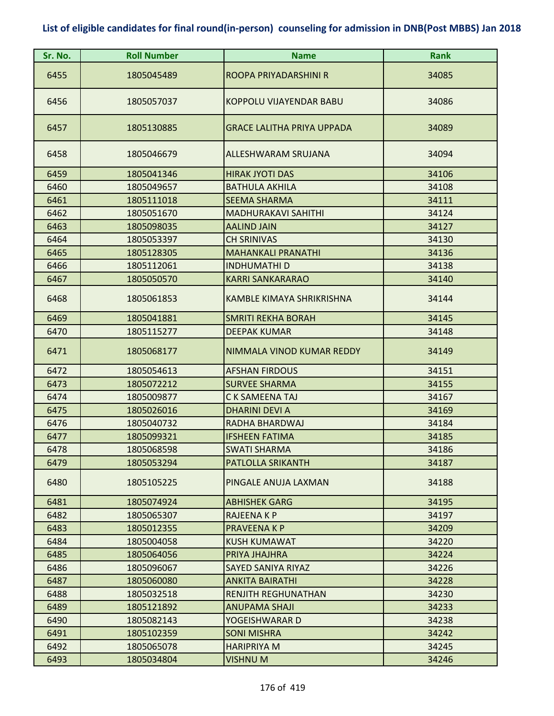| Sr. No. | <b>Roll Number</b> | <b>Name</b>                       | Rank  |
|---------|--------------------|-----------------------------------|-------|
| 6455    | 1805045489         | ROOPA PRIYADARSHINI R             | 34085 |
| 6456    | 1805057037         | KOPPOLU VIJAYENDAR BABU           | 34086 |
| 6457    | 1805130885         | <b>GRACE LALITHA PRIYA UPPADA</b> | 34089 |
| 6458    | 1805046679         | ALLESHWARAM SRUJANA               | 34094 |
| 6459    | 1805041346         | <b>HIRAK JYOTI DAS</b>            | 34106 |
| 6460    | 1805049657         | <b>BATHULA AKHILA</b>             | 34108 |
| 6461    | 1805111018         | <b>SEEMA SHARMA</b>               | 34111 |
| 6462    | 1805051670         | <b>MADHURAKAVI SAHITHI</b>        | 34124 |
| 6463    | 1805098035         | <b>AALIND JAIN</b>                | 34127 |
| 6464    | 1805053397         | <b>CH SRINIVAS</b>                | 34130 |
| 6465    | 1805128305         | <b>MAHANKALI PRANATHI</b>         | 34136 |
| 6466    | 1805112061         | <b>INDHUMATHI D</b>               | 34138 |
| 6467    | 1805050570         | <b>KARRI SANKARARAO</b>           | 34140 |
| 6468    | 1805061853         | KAMBLE KIMAYA SHRIKRISHNA         | 34144 |
| 6469    | 1805041881         | SMRITI REKHA BORAH                | 34145 |
| 6470    | 1805115277         | <b>DEEPAK KUMAR</b>               | 34148 |
| 6471    | 1805068177         | NIMMALA VINOD KUMAR REDDY         | 34149 |
| 6472    | 1805054613         | <b>AFSHAN FIRDOUS</b>             | 34151 |
| 6473    | 1805072212         | <b>SURVEE SHARMA</b>              | 34155 |
| 6474    | 1805009877         | C K SAMEENA TAJ                   | 34167 |
| 6475    | 1805026016         | <b>DHARINI DEVI A</b>             | 34169 |
| 6476    | 1805040732         | RADHA BHARDWAJ                    | 34184 |
| 6477    | 1805099321         | <b>IFSHEEN FATIMA</b>             | 34185 |
| 6478    | 1805068598         | <b>SWATI SHARMA</b>               | 34186 |
| 6479    | 1805053294         | PATLOLLA SRIKANTH                 | 34187 |
| 6480    | 1805105225         | PINGALE ANUJA LAXMAN              | 34188 |
| 6481    | 1805074924         | <b>ABHISHEK GARG</b>              | 34195 |
| 6482    | 1805065307         | <b>RAJEENA K P</b>                | 34197 |
| 6483    | 1805012355         | <b>PRAVEENA K P</b>               | 34209 |
| 6484    | 1805004058         | <b>KUSH KUMAWAT</b>               | 34220 |
| 6485    | 1805064056         | PRIYA JHAJHRA                     | 34224 |
| 6486    | 1805096067         | SAYED SANIYA RIYAZ                | 34226 |
| 6487    | 1805060080         | <b>ANKITA BAIRATHI</b>            | 34228 |
| 6488    | 1805032518         | <b>RENJITH REGHUNATHAN</b>        | 34230 |
| 6489    | 1805121892         | ANUPAMA SHAJI                     | 34233 |
| 6490    | 1805082143         | YOGEISHWARAR D                    | 34238 |
| 6491    | 1805102359         | <b>SONI MISHRA</b>                | 34242 |
| 6492    | 1805065078         | <b>HARIPRIYA M</b>                | 34245 |
| 6493    | 1805034804         | VISHNU M                          | 34246 |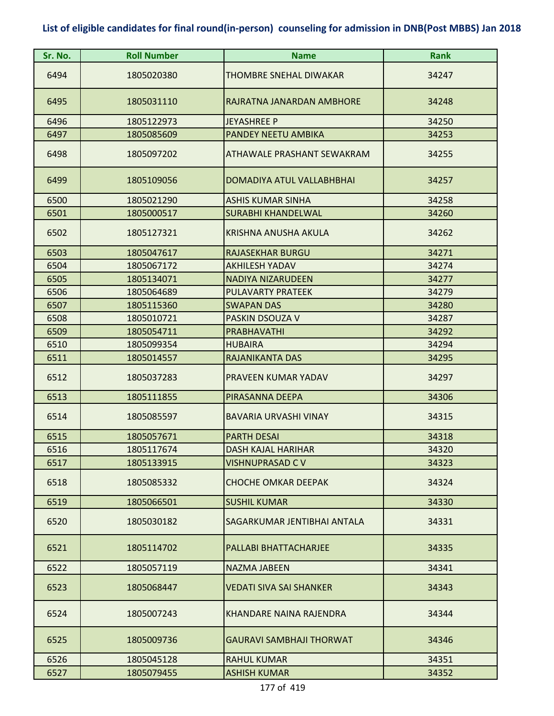| Sr. No. | <b>Roll Number</b> | <b>Name</b>                     | <b>Rank</b> |
|---------|--------------------|---------------------------------|-------------|
| 6494    | 1805020380         | THOMBRE SNEHAL DIWAKAR          | 34247       |
| 6495    | 1805031110         | RAJRATNA JANARDAN AMBHORE       | 34248       |
| 6496    | 1805122973         | JEYASHREE P                     | 34250       |
| 6497    | 1805085609         | PANDEY NEETU AMBIKA             | 34253       |
| 6498    | 1805097202         | ATHAWALE PRASHANT SEWAKRAM      | 34255       |
| 6499    | 1805109056         | DOMADIYA ATUL VALLABHBHAI       | 34257       |
| 6500    | 1805021290         | <b>ASHIS KUMAR SINHA</b>        | 34258       |
| 6501    | 1805000517         | <b>SURABHI KHANDELWAL</b>       | 34260       |
| 6502    | 1805127321         | KRISHNA ANUSHA AKULA            | 34262       |
| 6503    | 1805047617         | <b>RAJASEKHAR BURGU</b>         | 34271       |
| 6504    | 1805067172         | <b>AKHILESH YADAV</b>           | 34274       |
| 6505    | 1805134071         | <b>NADIYA NIZARUDEEN</b>        | 34277       |
| 6506    | 1805064689         | <b>PULAVARTY PRATEEK</b>        | 34279       |
| 6507    | 1805115360         | <b>SWAPAN DAS</b>               | 34280       |
| 6508    | 1805010721         | PASKIN DSOUZA V                 | 34287       |
| 6509    | 1805054711         | <b>PRABHAVATHI</b>              | 34292       |
| 6510    | 1805099354         | <b>HUBAIRA</b>                  | 34294       |
| 6511    | 1805014557         | RAJANIKANTA DAS                 | 34295       |
| 6512    | 1805037283         | PRAVEEN KUMAR YADAV             | 34297       |
| 6513    | 1805111855         | PIRASANNA DEEPA                 | 34306       |
| 6514    | 1805085597         | <b>BAVARIA URVASHI VINAY</b>    | 34315       |
| 6515    | 1805057671         | <b>PARTH DESAI</b>              | 34318       |
| 6516    | 1805117674         | <b>DASH KAJAL HARIHAR</b>       | 34320       |
| 6517    | 1805133915         | VISHNUPRASAD C V                | 34323       |
| 6518    | 1805085332         | <b>CHOCHE OMKAR DEEPAK</b>      | 34324       |
| 6519    | 1805066501         | <b>SUSHIL KUMAR</b>             | 34330       |
| 6520    | 1805030182         | SAGARKUMAR JENTIBHAI ANTALA     | 34331       |
| 6521    | 1805114702         | PALLABI BHATTACHARJEE           | 34335       |
| 6522    | 1805057119         | <b>NAZMA JABEEN</b>             | 34341       |
| 6523    | 1805068447         | <b>VEDATI SIVA SAI SHANKER</b>  | 34343       |
| 6524    | 1805007243         | KHANDARE NAINA RAJENDRA         | 34344       |
| 6525    | 1805009736         | <b>GAURAVI SAMBHAJI THORWAT</b> | 34346       |
| 6526    | 1805045128         | <b>RAHUL KUMAR</b>              | 34351       |
| 6527    | 1805079455         | <b>ASHISH KUMAR</b>             | 34352       |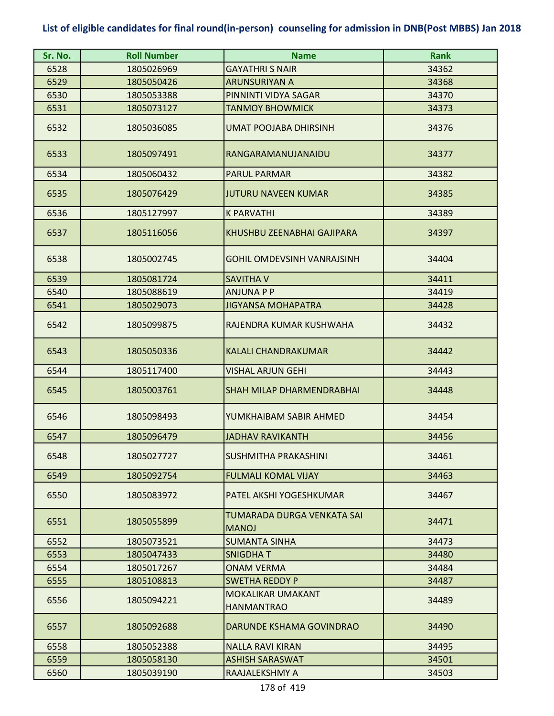| Sr. No. | <b>Roll Number</b> | <b>Name</b>                                | <b>Rank</b> |
|---------|--------------------|--------------------------------------------|-------------|
| 6528    | 1805026969         | <b>GAYATHRI S NAIR</b>                     | 34362       |
| 6529    | 1805050426         | <b>ARUNSURIYAN A</b>                       | 34368       |
| 6530    | 1805053388         | PINNINTI VIDYA SAGAR                       | 34370       |
| 6531    | 1805073127         | <b>TANMOY BHOWMICK</b>                     | 34373       |
| 6532    | 1805036085         | <b>UMAT POOJABA DHIRSINH</b>               | 34376       |
| 6533    | 1805097491         | RANGARAMANUJANAIDU                         | 34377       |
| 6534    | 1805060432         | <b>PARUL PARMAR</b>                        | 34382       |
| 6535    | 1805076429         | <b>JUTURU NAVEEN KUMAR</b>                 | 34385       |
| 6536    | 1805127997         | <b>K PARVATHI</b>                          | 34389       |
| 6537    | 1805116056         | KHUSHBU ZEENABHAI GAJIPARA                 | 34397       |
| 6538    | 1805002745         | <b>GOHIL OMDEVSINH VANRAJSINH</b>          | 34404       |
| 6539    | 1805081724         | <b>SAVITHA V</b>                           | 34411       |
| 6540    | 1805088619         | <b>ANJUNA P P</b>                          | 34419       |
| 6541    | 1805029073         | <b>JIGYANSA MOHAPATRA</b>                  | 34428       |
| 6542    | 1805099875         | RAJENDRA KUMAR KUSHWAHA                    | 34432       |
| 6543    | 1805050336         | <b>KALALI CHANDRAKUMAR</b>                 | 34442       |
| 6544    | 1805117400         | <b>VISHAL ARJUN GEHI</b>                   | 34443       |
| 6545    | 1805003761         | SHAH MILAP DHARMENDRABHAI                  | 34448       |
| 6546    | 1805098493         | YUMKHAIBAM SABIR AHMED                     | 34454       |
| 6547    | 1805096479         | <b>JADHAV RAVIKANTH</b>                    | 34456       |
| 6548    | 1805027727         | <b>SUSHMITHA PRAKASHINI</b>                | 34461       |
| 6549    | 1805092754         | <b>FULMALI KOMAL VIJAY</b>                 | 34463       |
| 6550    | 1805083972         | PATEL AKSHI YOGESHKUMAR                    | 34467       |
| 6551    | 1805055899         | TUMARADA DURGA VENKATA SAI<br><b>MANOJ</b> | 34471       |
| 6552    | 1805073521         | <b>SUMANTA SINHA</b>                       | 34473       |
| 6553    | 1805047433         | <b>SNIGDHAT</b>                            | 34480       |
| 6554    | 1805017267         | <b>ONAM VERMA</b>                          | 34484       |
| 6555    | 1805108813         | <b>SWETHA REDDY P</b>                      | 34487       |
| 6556    | 1805094221         | MOKALIKAR UMAKANT<br><b>HANMANTRAO</b>     | 34489       |
| 6557    | 1805092688         | DARUNDE KSHAMA GOVINDRAO                   | 34490       |
| 6558    | 1805052388         | <b>NALLA RAVI KIRAN</b>                    | 34495       |
| 6559    | 1805058130         | <b>ASHISH SARASWAT</b>                     | 34501       |
| 6560    | 1805039190         | RAAJALEKSHMY A                             | 34503       |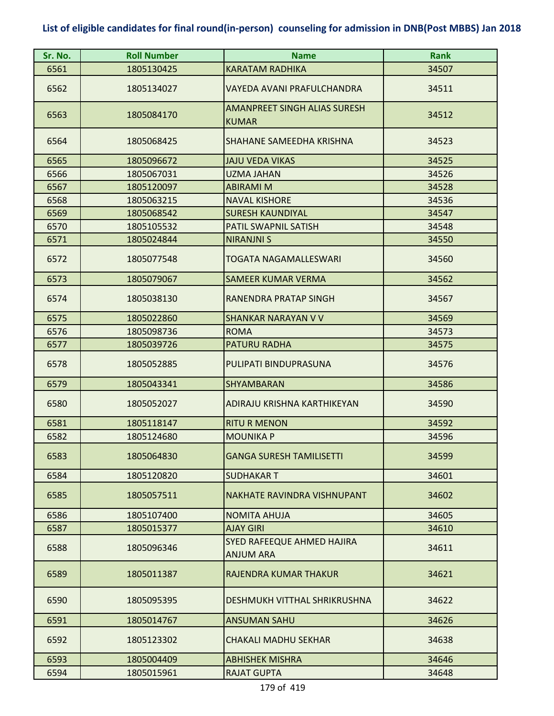| Sr. No. | <b>Roll Number</b> | <b>Name</b>                                         | <b>Rank</b> |
|---------|--------------------|-----------------------------------------------------|-------------|
| 6561    | 1805130425         | <b>KARATAM RADHIKA</b>                              | 34507       |
| 6562    | 1805134027         | VAYEDA AVANI PRAFULCHANDRA                          | 34511       |
| 6563    | 1805084170         | <b>AMANPREET SINGH ALIAS SURESH</b><br><b>KUMAR</b> | 34512       |
| 6564    | 1805068425         | SHAHANE SAMEEDHA KRISHNA                            | 34523       |
| 6565    | 1805096672         | <b>JAJU VEDA VIKAS</b>                              | 34525       |
| 6566    | 1805067031         | <b>UZMA JAHAN</b>                                   | 34526       |
| 6567    | 1805120097         | <b>ABIRAMI M</b>                                    | 34528       |
| 6568    | 1805063215         | <b>NAVAL KISHORE</b>                                | 34536       |
| 6569    | 1805068542         | <b>SURESH KAUNDIYAL</b>                             | 34547       |
| 6570    | 1805105532         | PATIL SWAPNIL SATISH                                | 34548       |
| 6571    | 1805024844         | <b>NIRANJNI S</b>                                   | 34550       |
| 6572    | 1805077548         | TOGATA NAGAMALLESWARI                               | 34560       |
| 6573    | 1805079067         | <b>SAMEER KUMAR VERMA</b>                           | 34562       |
| 6574    | 1805038130         | RANENDRA PRATAP SINGH                               | 34567       |
| 6575    | 1805022860         | <b>SHANKAR NARAYAN V V</b>                          | 34569       |
| 6576    | 1805098736         | <b>ROMA</b>                                         | 34573       |
| 6577    | 1805039726         | <b>PATURU RADHA</b>                                 | 34575       |
| 6578    | 1805052885         | PULIPATI BINDUPRASUNA                               | 34576       |
| 6579    | 1805043341         | SHYAMBARAN                                          | 34586       |
| 6580    | 1805052027         | ADIRAJU KRISHNA KARTHIKEYAN                         | 34590       |
| 6581    | 1805118147         | <b>RITU R MENON</b>                                 | 34592       |
| 6582    | 1805124680         | <b>MOUNIKA P</b>                                    | 34596       |
| 6583    | 1805064830         | <b>GANGA SURESH TAMILISETTI</b>                     | 34599       |
| 6584    | 1805120820         | <b>SUDHAKAR T</b>                                   | 34601       |
| 6585    | 1805057511         | NAKHATE RAVINDRA VISHNUPANT                         | 34602       |
| 6586    | 1805107400         | <b>NOMITA AHUJA</b>                                 | 34605       |
| 6587    | 1805015377         | <b>AJAY GIRI</b>                                    | 34610       |
| 6588    | 1805096346         | SYED RAFEEQUE AHMED HAJIRA<br><b>ANJUM ARA</b>      | 34611       |
| 6589    | 1805011387         | RAJENDRA KUMAR THAKUR                               | 34621       |
| 6590    | 1805095395         | DESHMUKH VITTHAL SHRIKRUSHNA                        | 34622       |
| 6591    | 1805014767         | <b>ANSUMAN SAHU</b>                                 | 34626       |
| 6592    | 1805123302         | CHAKALI MADHU SEKHAR                                | 34638       |
| 6593    | 1805004409         | <b>ABHISHEK MISHRA</b>                              | 34646       |
| 6594    | 1805015961         | <b>RAJAT GUPTA</b>                                  | 34648       |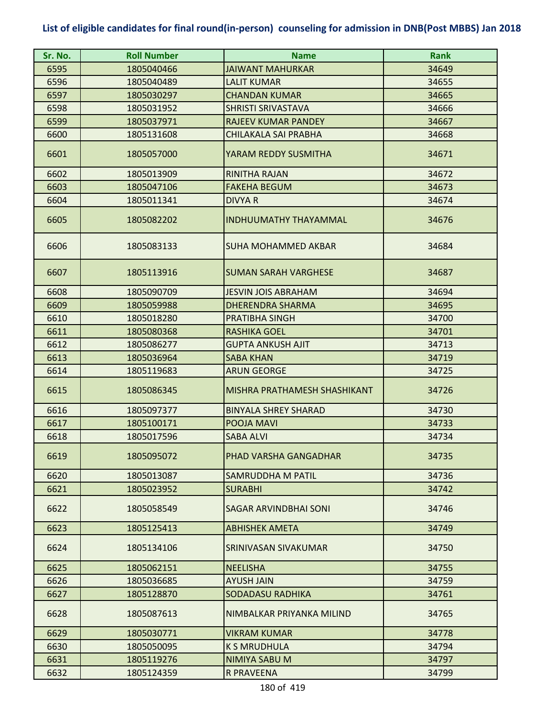| Sr. No. | <b>Roll Number</b> | <b>Name</b>                  | <b>Rank</b> |
|---------|--------------------|------------------------------|-------------|
| 6595    | 1805040466         | <b>JAIWANT MAHURKAR</b>      | 34649       |
| 6596    | 1805040489         | <b>LALIT KUMAR</b>           | 34655       |
| 6597    | 1805030297         | <b>CHANDAN KUMAR</b>         | 34665       |
| 6598    | 1805031952         | <b>SHRISTI SRIVASTAVA</b>    | 34666       |
| 6599    | 1805037971         | <b>RAJEEV KUMAR PANDEY</b>   | 34667       |
| 6600    | 1805131608         | CHILAKALA SAI PRABHA         | 34668       |
| 6601    | 1805057000         | YARAM REDDY SUSMITHA         | 34671       |
| 6602    | 1805013909         | RINITHA RAJAN                | 34672       |
| 6603    | 1805047106         | <b>FAKEHA BEGUM</b>          | 34673       |
| 6604    | 1805011341         | <b>DIVYA R</b>               | 34674       |
| 6605    | 1805082202         | <b>INDHUUMATHY THAYAMMAL</b> | 34676       |
| 6606    | 1805083133         | <b>SUHA MOHAMMED AKBAR</b>   | 34684       |
| 6607    | 1805113916         | <b>SUMAN SARAH VARGHESE</b>  | 34687       |
| 6608    | 1805090709         | <b>JESVIN JOIS ABRAHAM</b>   | 34694       |
| 6609    | 1805059988         | <b>DHERENDRA SHARMA</b>      | 34695       |
| 6610    | 1805018280         | PRATIBHA SINGH               | 34700       |
| 6611    | 1805080368         | <b>RASHIKA GOEL</b>          | 34701       |
| 6612    | 1805086277         | <b>GUPTA ANKUSH AJIT</b>     | 34713       |
| 6613    | 1805036964         | <b>SABA KHAN</b>             | 34719       |
| 6614    | 1805119683         | <b>ARUN GEORGE</b>           | 34725       |
| 6615    | 1805086345         | MISHRA PRATHAMESH SHASHIKANT | 34726       |
| 6616    | 1805097377         | <b>BINYALA SHREY SHARAD</b>  | 34730       |
| 6617    | 1805100171         | POOJA MAVI                   | 34733       |
| 6618    | 1805017596         | <b>SABA ALVI</b>             | 34734       |
| 6619    | 1805095072         | PHAD VARSHA GANGADHAR        | 34735       |
| 6620    | 1805013087         | SAMRUDDHA M PATIL            | 34736       |
| 6621    | 1805023952         | <b>SURABHI</b>               | 34742       |
| 6622    | 1805058549         | SAGAR ARVINDBHAI SONI        | 34746       |
| 6623    | 1805125413         | <b>ABHISHEK AMETA</b>        | 34749       |
| 6624    | 1805134106         | SRINIVASAN SIVAKUMAR         | 34750       |
| 6625    | 1805062151         | <b>NEELISHA</b>              | 34755       |
| 6626    | 1805036685         | <b>AYUSH JAIN</b>            | 34759       |
| 6627    | 1805128870         | SODADASU RADHIKA             | 34761       |
| 6628    | 1805087613         | NIMBALKAR PRIYANKA MILIND    | 34765       |
| 6629    | 1805030771         | <b>VIKRAM KUMAR</b>          | 34778       |
| 6630    | 1805050095         | <b>K S MRUDHULA</b>          | 34794       |
| 6631    | 1805119276         | NIMIYA SABU M                | 34797       |
| 6632    | 1805124359         | <b>R PRAVEENA</b>            | 34799       |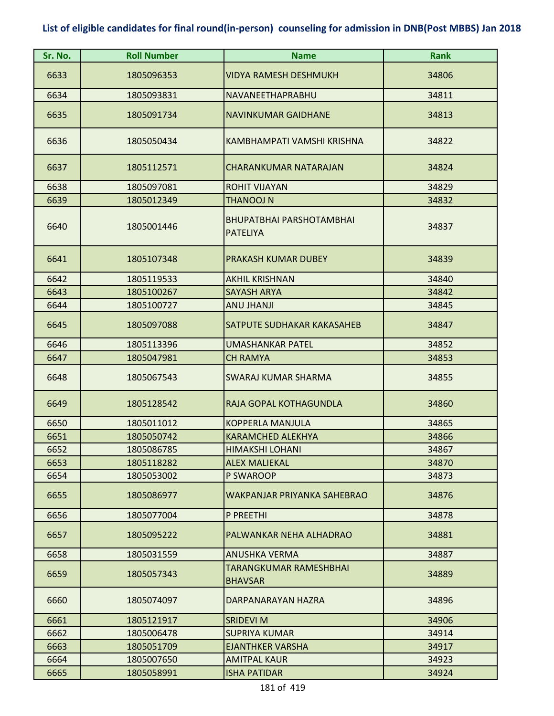| Sr. No. | <b>Roll Number</b> | <b>Name</b>                                        | <b>Rank</b> |
|---------|--------------------|----------------------------------------------------|-------------|
| 6633    | 1805096353         | <b>VIDYA RAMESH DESHMUKH</b>                       | 34806       |
| 6634    | 1805093831         | NAVANEETHAPRABHU                                   | 34811       |
| 6635    | 1805091734         | <b>NAVINKUMAR GAIDHANE</b>                         | 34813       |
| 6636    | 1805050434         | KAMBHAMPATI VAMSHI KRISHNA                         | 34822       |
| 6637    | 1805112571         | <b>CHARANKUMAR NATARAJAN</b>                       | 34824       |
| 6638    | 1805097081         | <b>ROHIT VIJAYAN</b>                               | 34829       |
| 6639    | 1805012349         | <b>THANOOJ N</b>                                   | 34832       |
| 6640    | 1805001446         | <b>BHUPATBHAI PARSHOTAMBHAI</b><br><b>PATELIYA</b> | 34837       |
| 6641    | 1805107348         | PRAKASH KUMAR DUBEY                                | 34839       |
| 6642    | 1805119533         | <b>AKHIL KRISHNAN</b>                              | 34840       |
| 6643    | 1805100267         | <b>SAYASH ARYA</b>                                 | 34842       |
| 6644    | 1805100727         | <b>ANU JHANJI</b>                                  | 34845       |
| 6645    | 1805097088         | SATPUTE SUDHAKAR KAKASAHEB                         | 34847       |
| 6646    | 1805113396         | <b>UMASHANKAR PATEL</b>                            | 34852       |
| 6647    | 1805047981         | <b>CH RAMYA</b>                                    | 34853       |
| 6648    | 1805067543         | SWARAJ KUMAR SHARMA                                | 34855       |
| 6649    | 1805128542         | RAJA GOPAL KOTHAGUNDLA                             | 34860       |
| 6650    | 1805011012         | <b>KOPPERLA MANJULA</b>                            | 34865       |
| 6651    | 1805050742         | <b>KARAMCHED ALEKHYA</b>                           | 34866       |
| 6652    | 1805086785         | <b>HIMAKSHI LOHANI</b>                             | 34867       |
| 6653    | 1805118282         | <b>ALEX MALIEKAL</b>                               | 34870       |
| 6654    | 1805053002         | P SWAROOP                                          | 34873       |
| 6655    | 1805086977         | WAKPANJAR PRIYANKA SAHEBRAO                        | 34876       |
| 6656    | 1805077004         | P PREETHI                                          | 34878       |
| 6657    | 1805095222         | PALWANKAR NEHA ALHADRAO                            | 34881       |
| 6658    | 1805031559         | <b>ANUSHKA VERMA</b>                               | 34887       |
| 6659    | 1805057343         | <b>TARANGKUMAR RAMESHBHAI</b><br><b>BHAVSAR</b>    | 34889       |
| 6660    | 1805074097         | DARPANARAYAN HAZRA                                 | 34896       |
| 6661    | 1805121917         | <b>SRIDEVI M</b>                                   | 34906       |
| 6662    | 1805006478         | <b>SUPRIYA KUMAR</b>                               | 34914       |
| 6663    | 1805051709         | <b>EJANTHKER VARSHA</b>                            | 34917       |
| 6664    | 1805007650         | <b>AMITPAL KAUR</b>                                | 34923       |
| 6665    | 1805058991         | <b>ISHA PATIDAR</b>                                | 34924       |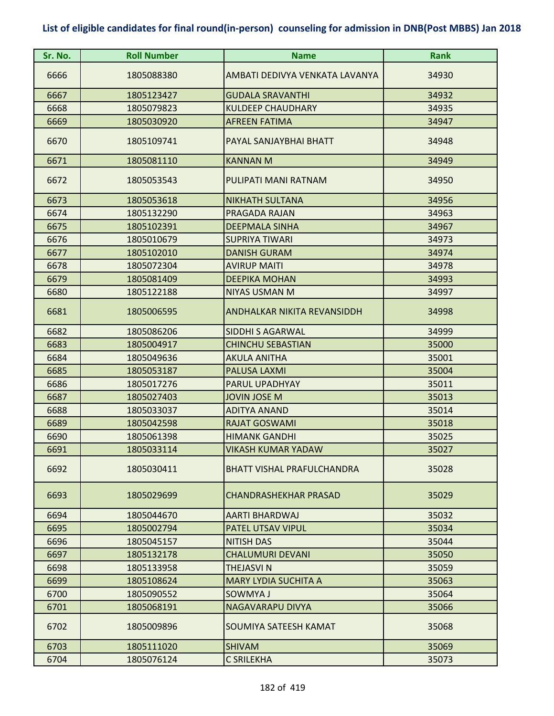| Sr. No. | <b>Roll Number</b> | <b>Name</b>                       | Rank  |
|---------|--------------------|-----------------------------------|-------|
| 6666    | 1805088380         | AMBATI DEDIVYA VENKATA LAVANYA    | 34930 |
| 6667    | 1805123427         | <b>GUDALA SRAVANTHI</b>           | 34932 |
| 6668    | 1805079823         | <b>KULDEEP CHAUDHARY</b>          | 34935 |
| 6669    | 1805030920         | <b>AFREEN FATIMA</b>              | 34947 |
| 6670    | 1805109741         | PAYAL SANJAYBHAI BHATT            | 34948 |
| 6671    | 1805081110         | <b>KANNAN M</b>                   | 34949 |
| 6672    | 1805053543         | PULIPATI MANI RATNAM              | 34950 |
| 6673    | 1805053618         | <b>NIKHATH SULTANA</b>            | 34956 |
| 6674    | 1805132290         | PRAGADA RAJAN                     | 34963 |
| 6675    | 1805102391         | <b>DEEPMALA SINHA</b>             | 34967 |
| 6676    | 1805010679         | SUPRIYA TIWARI                    | 34973 |
| 6677    | 1805102010         | <b>DANISH GURAM</b>               | 34974 |
| 6678    | 1805072304         | <b>AVIRUP MAITI</b>               | 34978 |
| 6679    | 1805081409         | <b>DEEPIKA MOHAN</b>              | 34993 |
| 6680    | 1805122188         | <b>NIYAS USMAN M</b>              | 34997 |
| 6681    | 1805006595         | ANDHALKAR NIKITA REVANSIDDH       | 34998 |
| 6682    | 1805086206         | <b>SIDDHI S AGARWAL</b>           | 34999 |
| 6683    | 1805004917         | <b>CHINCHU SEBASTIAN</b>          | 35000 |
| 6684    | 1805049636         | <b>AKULA ANITHA</b>               | 35001 |
| 6685    | 1805053187         | PALUSA LAXMI                      | 35004 |
| 6686    | 1805017276         | PARUL UPADHYAY                    | 35011 |
| 6687    | 1805027403         | <b>JOVIN JOSE M</b>               | 35013 |
| 6688    | 1805033037         | <b>ADITYA ANAND</b>               | 35014 |
| 6689    | 1805042598         | <b>RAJAT GOSWAMI</b>              | 35018 |
| 6690    | 1805061398         | <b>HIMANK GANDHI</b>              | 35025 |
| 6691    | 1805033114         | <b>VIKASH KUMAR YADAW</b>         | 35027 |
| 6692    | 1805030411         | <b>BHATT VISHAL PRAFULCHANDRA</b> | 35028 |
| 6693    | 1805029699         | CHANDRASHEKHAR PRASAD             | 35029 |
| 6694    | 1805044670         | AARTI BHARDWAJ                    | 35032 |
| 6695    | 1805002794         | PATEL UTSAV VIPUL                 | 35034 |
| 6696    | 1805045157         | <b>NITISH DAS</b>                 | 35044 |
| 6697    | 1805132178         | <b>CHALUMURI DEVANI</b>           | 35050 |
| 6698    | 1805133958         | <b>THEJASVI N</b>                 | 35059 |
| 6699    | 1805108624         | <b>MARY LYDIA SUCHITA A</b>       | 35063 |
| 6700    | 1805090552         | SOWMYA J                          | 35064 |
| 6701    | 1805068191         | NAGAVARAPU DIVYA                  | 35066 |
| 6702    | 1805009896         | SOUMIYA SATEESH KAMAT             | 35068 |
| 6703    | 1805111020         | <b>SHIVAM</b>                     | 35069 |
| 6704    | 1805076124         | <b>C SRILEKHA</b>                 | 35073 |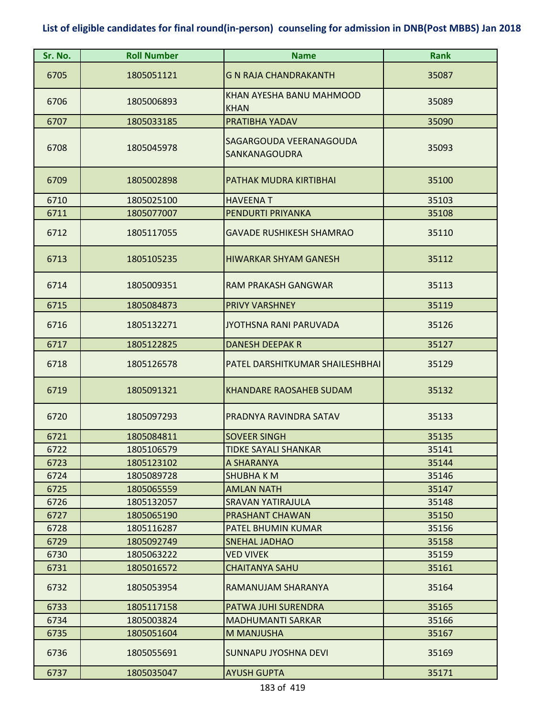| Sr. No. | <b>Roll Number</b> | <b>Name</b>                              | <b>Rank</b> |
|---------|--------------------|------------------------------------------|-------------|
| 6705    | 1805051121         | <b>G N RAJA CHANDRAKANTH</b>             | 35087       |
| 6706    | 1805006893         | KHAN AYESHA BANU MAHMOOD<br><b>KHAN</b>  | 35089       |
| 6707    | 1805033185         | PRATIBHA YADAV                           | 35090       |
| 6708    | 1805045978         | SAGARGOUDA VEERANAGOUDA<br>SANKANAGOUDRA | 35093       |
| 6709    | 1805002898         | PATHAK MUDRA KIRTIBHAI                   | 35100       |
| 6710    | 1805025100         | <b>HAVEENAT</b>                          | 35103       |
| 6711    | 1805077007         | PENDURTI PRIYANKA                        | 35108       |
| 6712    | 1805117055         | <b>GAVADE RUSHIKESH SHAMRAO</b>          | 35110       |
| 6713    | 1805105235         | <b>HIWARKAR SHYAM GANESH</b>             | 35112       |
| 6714    | 1805009351         | <b>RAM PRAKASH GANGWAR</b>               | 35113       |
| 6715    | 1805084873         | <b>PRIVY VARSHNEY</b>                    | 35119       |
| 6716    | 1805132271         | <b>JYOTHSNA RANI PARUVADA</b>            | 35126       |
| 6717    | 1805122825         | <b>DANESH DEEPAK R</b>                   | 35127       |
| 6718    | 1805126578         | PATEL DARSHITKUMAR SHAILESHBHAI          | 35129       |
| 6719    | 1805091321         | <b>KHANDARE RAOSAHEB SUDAM</b>           | 35132       |
| 6720    | 1805097293         | PRADNYA RAVINDRA SATAV                   | 35133       |
| 6721    | 1805084811         | <b>SOVEER SINGH</b>                      | 35135       |
| 6722    | 1805106579         | <b>TIDKE SAYALI SHANKAR</b>              | 35141       |
| 6723    | 1805123102         | A SHARANYA                               | 35144       |
| 6724    | 1805089728         | <b>SHUBHAKM</b>                          | 35146       |
| 6725    | 1805065559         | <b>AMLAN NATH</b>                        | 35147       |
| 6726    | 1805132057         | <b>SRAVAN YATIRAJULA</b>                 | 35148       |
| 6727    | 1805065190         | PRASHANT CHAWAN                          | 35150       |
| 6728    | 1805116287         | PATEL BHUMIN KUMAR                       | 35156       |
| 6729    | 1805092749         | <b>SNEHAL JADHAO</b>                     | 35158       |
| 6730    | 1805063222         | <b>VED VIVEK</b>                         | 35159       |
| 6731    | 1805016572         | <b>CHAITANYA SAHU</b>                    | 35161       |
| 6732    | 1805053954         | RAMANUJAM SHARANYA                       | 35164       |
| 6733    | 1805117158         | PATWA JUHI SURENDRA                      | 35165       |
| 6734    | 1805003824         | <b>MADHUMANTI SARKAR</b>                 | 35166       |
| 6735    | 1805051604         | <b>M MANJUSHA</b>                        | 35167       |
| 6736    | 1805055691         | <b>SUNNAPU JYOSHNA DEVI</b>              | 35169       |
| 6737    | 1805035047         | <b>AYUSH GUPTA</b>                       | 35171       |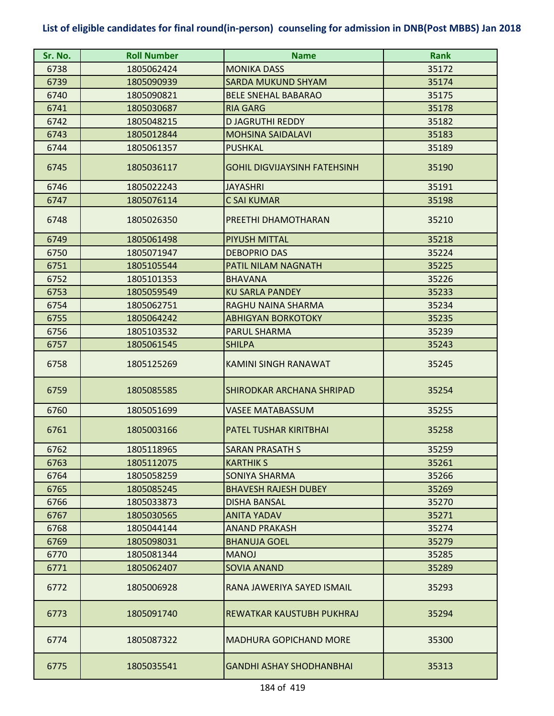| Sr. No. | <b>Roll Number</b> | <b>Name</b>                         | <b>Rank</b> |
|---------|--------------------|-------------------------------------|-------------|
| 6738    | 1805062424         | <b>MONIKA DASS</b>                  | 35172       |
| 6739    | 1805090939         | <b>SARDA MUKUND SHYAM</b>           | 35174       |
| 6740    | 1805090821         | <b>BELE SNEHAL BABARAO</b>          | 35175       |
| 6741    | 1805030687         | <b>RIA GARG</b>                     | 35178       |
| 6742    | 1805048215         | <b>D JAGRUTHI REDDY</b>             | 35182       |
| 6743    | 1805012844         | <b>MOHSINA SAIDALAVI</b>            | 35183       |
| 6744    | 1805061357         | <b>PUSHKAL</b>                      | 35189       |
| 6745    | 1805036117         | <b>GOHIL DIGVIJAYSINH FATEHSINH</b> | 35190       |
| 6746    | 1805022243         | <b>JAYASHRI</b>                     | 35191       |
| 6747    | 1805076114         | <b>C SAI KUMAR</b>                  | 35198       |
| 6748    | 1805026350         | PREETHI DHAMOTHARAN                 | 35210       |
| 6749    | 1805061498         | <b>PIYUSH MITTAL</b>                | 35218       |
| 6750    | 1805071947         | <b>DEBOPRIO DAS</b>                 | 35224       |
| 6751    | 1805105544         | PATIL NILAM NAGNATH                 | 35225       |
| 6752    | 1805101353         | <b>BHAVANA</b>                      | 35226       |
| 6753    | 1805059549         | <b>KU SARLA PANDEY</b>              | 35233       |
| 6754    | 1805062751         | RAGHU NAINA SHARMA                  | 35234       |
| 6755    | 1805064242         | <b>ABHIGYAN BORKOTOKY</b>           | 35235       |
| 6756    | 1805103532         | <b>PARUL SHARMA</b>                 | 35239       |
| 6757    | 1805061545         | <b>SHILPA</b>                       | 35243       |
| 6758    | 1805125269         | KAMINI SINGH RANAWAT                | 35245       |
| 6759    | 1805085585         | SHIRODKAR ARCHANA SHRIPAD           | 35254       |
| 6760    | 1805051699         | <b>VASEE MATABASSUM</b>             | 35255       |
| 6761    | 1805003166         | PATEL TUSHAR KIRITBHAI              | 35258       |
| 6762    | 1805118965         | <b>SARAN PRASATH S</b>              | 35259       |
| 6763    | 1805112075         | <b>KARTHIK S</b>                    | 35261       |
| 6764    | 1805058259         | SONIYA SHARMA                       | 35266       |
| 6765    | 1805085245         | <b>BHAVESH RAJESH DUBEY</b>         | 35269       |
| 6766    | 1805033873         | <b>DISHA BANSAL</b>                 | 35270       |
| 6767    | 1805030565         | <b>ANITA YADAV</b>                  | 35271       |
| 6768    | 1805044144         | <b>ANAND PRAKASH</b>                | 35274       |
| 6769    | 1805098031         | <b>BHANUJA GOEL</b>                 | 35279       |
| 6770    | 1805081344         | <b>MANOJ</b>                        | 35285       |
| 6771    | 1805062407         | <b>SOVIA ANAND</b>                  | 35289       |
| 6772    | 1805006928         | RANA JAWERIYA SAYED ISMAIL          | 35293       |
| 6773    | 1805091740         | REWATKAR KAUSTUBH PUKHRAJ           | 35294       |
| 6774    | 1805087322         | <b>MADHURA GOPICHAND MORE</b>       | 35300       |
| 6775    | 1805035541         | <b>GANDHI ASHAY SHODHANBHAI</b>     | 35313       |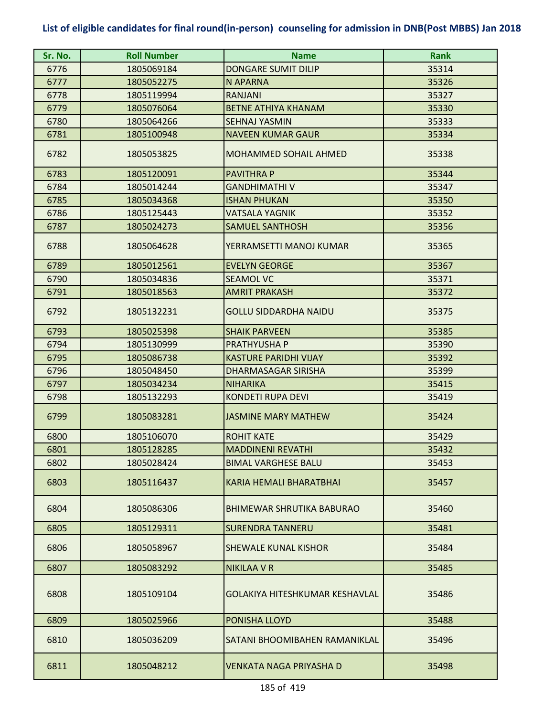| Sr. No. | <b>Roll Number</b> | <b>Name</b>                      | <b>Rank</b> |
|---------|--------------------|----------------------------------|-------------|
| 6776    | 1805069184         | <b>DONGARE SUMIT DILIP</b>       | 35314       |
| 6777    | 1805052275         | N APARNA                         | 35326       |
| 6778    | 1805119994         | <b>RANJANI</b>                   | 35327       |
| 6779    | 1805076064         | <b>BETNE ATHIYA KHANAM</b>       | 35330       |
| 6780    | 1805064266         | <b>SEHNAJ YASMIN</b>             | 35333       |
| 6781    | 1805100948         | <b>NAVEEN KUMAR GAUR</b>         | 35334       |
| 6782    | 1805053825         | <b>MOHAMMED SOHAIL AHMED</b>     | 35338       |
| 6783    | 1805120091         | <b>PAVITHRA P</b>                | 35344       |
| 6784    | 1805014244         | <b>GANDHIMATHI V</b>             | 35347       |
| 6785    | 1805034368         | <b>ISHAN PHUKAN</b>              | 35350       |
| 6786    | 1805125443         | VATSALA YAGNIK                   | 35352       |
| 6787    | 1805024273         | <b>SAMUEL SANTHOSH</b>           | 35356       |
| 6788    | 1805064628         | YERRAMSETTI MANOJ KUMAR          | 35365       |
| 6789    | 1805012561         | <b>EVELYN GEORGE</b>             | 35367       |
| 6790    | 1805034836         | <b>SEAMOL VC</b>                 | 35371       |
| 6791    | 1805018563         | <b>AMRIT PRAKASH</b>             | 35372       |
| 6792    | 1805132231         | <b>GOLLU SIDDARDHA NAIDU</b>     | 35375       |
| 6793    | 1805025398         | <b>SHAIK PARVEEN</b>             | 35385       |
| 6794    | 1805130999         | PRATHYUSHA P                     | 35390       |
| 6795    | 1805086738         | <b>KASTURE PARIDHI VIJAY</b>     | 35392       |
| 6796    | 1805048450         | DHARMASAGAR SIRISHA              | 35399       |
| 6797    | 1805034234         | <b>NIHARIKA</b>                  | 35415       |
| 6798    | 1805132293         | <b>KONDETI RUPA DEVI</b>         | 35419       |
| 6799    | 1805083281         | <b>JASMINE MARY MATHEW</b>       | 35424       |
| 6800    | 1805106070         | <b>ROHIT KATE</b>                | 35429       |
| 6801    | 1805128285         | <b>MADDINENI REVATHI</b>         | 35432       |
| 6802    | 1805028424         | <b>BIMAL VARGHESE BALU</b>       | 35453       |
| 6803    | 1805116437         | <b>KARIA HEMALI BHARATBHAI</b>   | 35457       |
| 6804    | 1805086306         | <b>BHIMEWAR SHRUTIKA BABURAO</b> | 35460       |
| 6805    | 1805129311         | <b>SURENDRA TANNERU</b>          | 35481       |
| 6806    | 1805058967         | <b>SHEWALE KUNAL KISHOR</b>      | 35484       |
| 6807    | 1805083292         | <b>NIKILAA V R</b>               | 35485       |
| 6808    | 1805109104         | GOLAKIYA HITESHKUMAR KESHAVLAL   | 35486       |
| 6809    | 1805025966         | PONISHA LLOYD                    | 35488       |
| 6810    | 1805036209         | SATANI BHOOMIBAHEN RAMANIKLAL    | 35496       |
| 6811    | 1805048212         | VENKATA NAGA PRIYASHA D          | 35498       |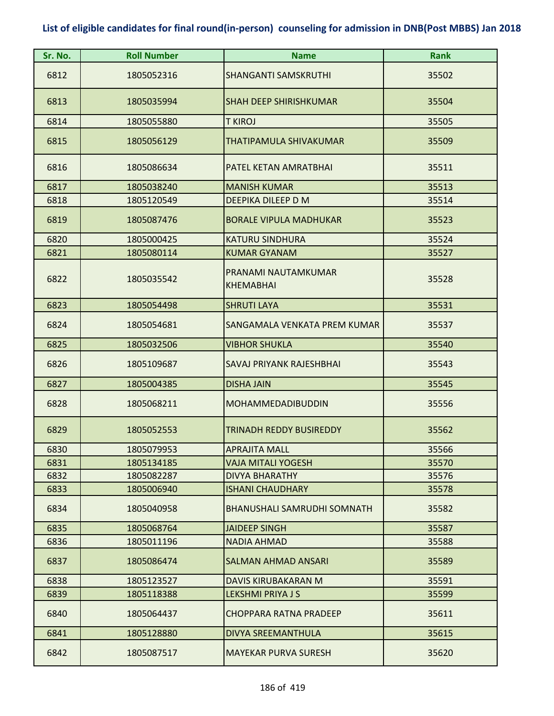| Sr. No. | <b>Roll Number</b> | <b>Name</b>                             | <b>Rank</b> |
|---------|--------------------|-----------------------------------------|-------------|
| 6812    | 1805052316         | <b>SHANGANTI SAMSKRUTHI</b>             | 35502       |
| 6813    | 1805035994         | <b>SHAH DEEP SHIRISHKUMAR</b>           | 35504       |
| 6814    | 1805055880         | T KIROJ                                 | 35505       |
| 6815    | 1805056129         | THATIPAMULA SHIVAKUMAR                  | 35509       |
| 6816    | 1805086634         | PATEL KETAN AMRATBHAI                   | 35511       |
| 6817    | 1805038240         | <b>MANISH KUMAR</b>                     | 35513       |
| 6818    | 1805120549         | DEEPIKA DILEEP D M                      | 35514       |
| 6819    | 1805087476         | <b>BORALE VIPULA MADHUKAR</b>           | 35523       |
| 6820    | 1805000425         | <b>KATURU SINDHURA</b>                  | 35524       |
| 6821    | 1805080114         | <b>KUMAR GYANAM</b>                     | 35527       |
| 6822    | 1805035542         | PRANAMI NAUTAMKUMAR<br><b>KHEMABHAI</b> | 35528       |
| 6823    | 1805054498         | <b>SHRUTI LAYA</b>                      | 35531       |
| 6824    | 1805054681         | SANGAMALA VENKATA PREM KUMAR            | 35537       |
| 6825    | 1805032506         | <b>VIBHOR SHUKLA</b>                    | 35540       |
| 6826    | 1805109687         | SAVAJ PRIYANK RAJESHBHAI                | 35543       |
| 6827    | 1805004385         | <b>DISHA JAIN</b>                       | 35545       |
| 6828    | 1805068211         | <b>MOHAMMEDADIBUDDIN</b>                | 35556       |
| 6829    | 1805052553         | <b>TRINADH REDDY BUSIREDDY</b>          | 35562       |
| 6830    | 1805079953         | <b>APRAJITA MALL</b>                    | 35566       |
| 6831    | 1805134185         | VAJA MITALI YOGESH                      | 35570       |
| 6832    | 1805082287         | <b>DIVYA BHARATHY</b>                   | 35576       |
| 6833    | 1805006940         | <b>ISHANI CHAUDHARY</b>                 | 35578       |
| 6834    | 1805040958         | <b>BHANUSHALI SAMRUDHI SOMNATH</b>      | 35582       |
| 6835    | 1805068764         | JAIDEEP SINGH                           | 35587       |
| 6836    | 1805011196         | <b>NADIA AHMAD</b>                      | 35588       |
| 6837    | 1805086474         | <b>SALMAN AHMAD ANSARI</b>              | 35589       |
| 6838    | 1805123527         | DAVIS KIRUBAKARAN M                     | 35591       |
| 6839    | 1805118388         | <b>LEKSHMI PRIYA J S</b>                | 35599       |
| 6840    | 1805064437         | CHOPPARA RATNA PRADEEP                  | 35611       |
| 6841    | 1805128880         | <b>DIVYA SREEMANTHULA</b>               | 35615       |
| 6842    | 1805087517         | <b>MAYEKAR PURVA SURESH</b>             | 35620       |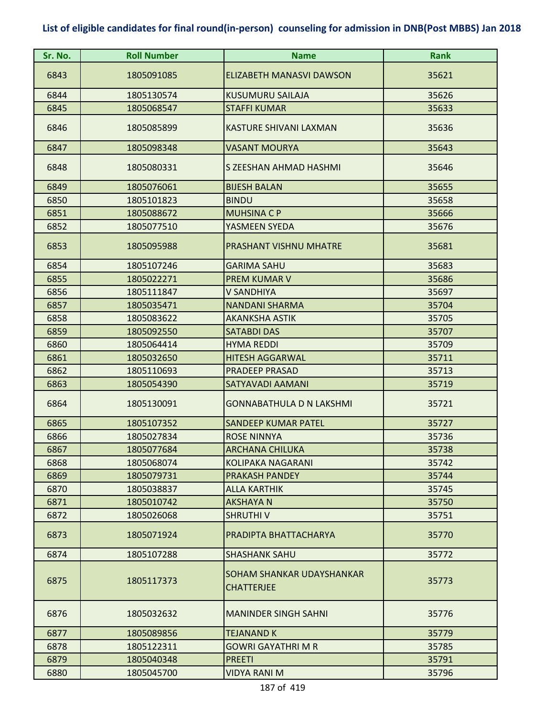| Sr. No. | <b>Roll Number</b> | <b>Name</b>                                    | <b>Rank</b> |
|---------|--------------------|------------------------------------------------|-------------|
| 6843    | 1805091085         | ELIZABETH MANASVI DAWSON                       | 35621       |
| 6844    | 1805130574         | <b>KUSUMURU SAILAJA</b>                        | 35626       |
| 6845    | 1805068547         | <b>STAFFI KUMAR</b>                            | 35633       |
| 6846    | 1805085899         | KASTURE SHIVANI LAXMAN                         | 35636       |
| 6847    | 1805098348         | <b>VASANT MOURYA</b>                           | 35643       |
| 6848    | 1805080331         | S ZEESHAN AHMAD HASHMI                         | 35646       |
| 6849    | 1805076061         | <b>BIJESH BALAN</b>                            | 35655       |
| 6850    | 1805101823         | <b>BINDU</b>                                   | 35658       |
| 6851    | 1805088672         | <b>MUHSINA C P</b>                             | 35666       |
| 6852    | 1805077510         | YASMEEN SYEDA                                  | 35676       |
| 6853    | 1805095988         | PRASHANT VISHNU MHATRE                         | 35681       |
| 6854    | 1805107246         | <b>GARIMA SAHU</b>                             | 35683       |
| 6855    | 1805022271         | <b>PREM KUMAR V</b>                            | 35686       |
| 6856    | 1805111847         | V SANDHIYA                                     | 35697       |
| 6857    | 1805035471         | <b>NANDANI SHARMA</b>                          | 35704       |
| 6858    | 1805083622         | <b>AKANKSHA ASTIK</b>                          | 35705       |
| 6859    | 1805092550         | <b>SATABDI DAS</b>                             | 35707       |
| 6860    | 1805064414         | <b>HYMA REDDI</b>                              | 35709       |
| 6861    | 1805032650         | <b>HITESH AGGARWAL</b>                         | 35711       |
| 6862    | 1805110693         | <b>PRADEEP PRASAD</b>                          | 35713       |
| 6863    | 1805054390         | SATYAVADI AAMANI                               | 35719       |
| 6864    | 1805130091         | <b>GONNABATHULA D N LAKSHMI</b>                | 35721       |
| 6865    | 1805107352         | <b>SANDEEP KUMAR PATEL</b>                     | 35727       |
| 6866    | 1805027834         | <b>ROSE NINNYA</b>                             | 35736       |
| 6867    | 1805077684         | <b>ARCHANA CHILUKA</b>                         | 35738       |
| 6868    | 1805068074         | <b>KOLIPAKA NAGARANI</b>                       | 35742       |
| 6869    | 1805079731         | <b>PRAKASH PANDEY</b>                          | 35744       |
| 6870    | 1805038837         | <b>ALLA KARTHIK</b>                            | 35745       |
| 6871    | 1805010742         | <b>AKSHAYA N</b>                               | 35750       |
| 6872    | 1805026068         | <b>SHRUTHIV</b>                                | 35751       |
| 6873    | 1805071924         | PRADIPTA BHATTACHARYA                          | 35770       |
| 6874    | 1805107288         | <b>SHASHANK SAHU</b>                           | 35772       |
| 6875    | 1805117373         | SOHAM SHANKAR UDAYSHANKAR<br><b>CHATTERJEE</b> | 35773       |
| 6876    | 1805032632         | <b>MANINDER SINGH SAHNI</b>                    | 35776       |
| 6877    | 1805089856         | <b>TEJANAND K</b>                              | 35779       |
| 6878    | 1805122311         | GOWRI GAYATHRI M R                             | 35785       |
| 6879    | 1805040348         | <b>PREETI</b>                                  | 35791       |
| 6880    | 1805045700         | <b>VIDYA RANI M</b>                            | 35796       |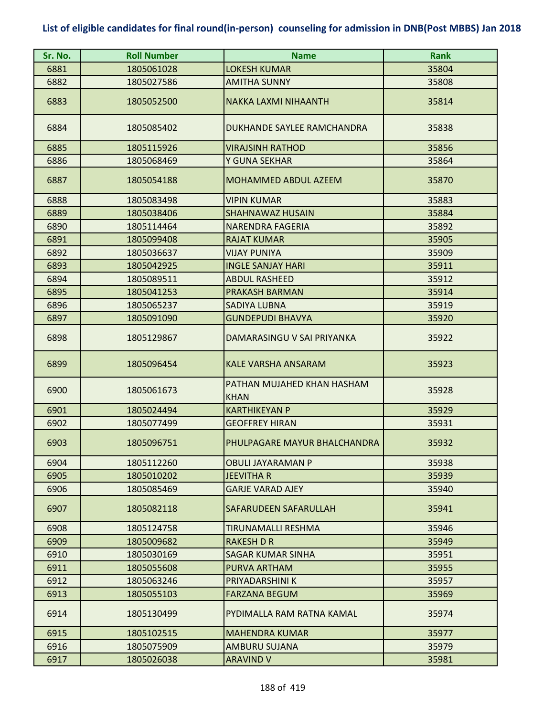| Sr. No. | <b>Roll Number</b> | <b>Name</b>                               | <b>Rank</b> |
|---------|--------------------|-------------------------------------------|-------------|
| 6881    | 1805061028         | <b>LOKESH KUMAR</b>                       | 35804       |
| 6882    | 1805027586         | <b>AMITHA SUNNY</b>                       | 35808       |
| 6883    | 1805052500         | <b>NAKKA LAXMI NIHAANTH</b>               | 35814       |
| 6884    | 1805085402         | DUKHANDE SAYLEE RAMCHANDRA                | 35838       |
| 6885    | 1805115926         | <b>VIRAJSINH RATHOD</b>                   | 35856       |
| 6886    | 1805068469         | Y GUNA SEKHAR                             | 35864       |
| 6887    | 1805054188         | <b>MOHAMMED ABDUL AZEEM</b>               | 35870       |
| 6888    | 1805083498         | <b>VIPIN KUMAR</b>                        | 35883       |
| 6889    | 1805038406         | <b>SHAHNAWAZ HUSAIN</b>                   | 35884       |
| 6890    | 1805114464         | NARENDRA FAGERIA                          | 35892       |
| 6891    | 1805099408         | <b>RAJAT KUMAR</b>                        | 35905       |
| 6892    | 1805036637         | <b>VIJAY PUNIYA</b>                       | 35909       |
| 6893    | 1805042925         | <b>INGLE SANJAY HARI</b>                  | 35911       |
| 6894    | 1805089511         | <b>ABDUL RASHEED</b>                      | 35912       |
| 6895    | 1805041253         | <b>PRAKASH BARMAN</b>                     | 35914       |
| 6896    | 1805065237         | <b>SADIYA LUBNA</b>                       | 35919       |
| 6897    | 1805091090         | <b>GUNDEPUDI BHAVYA</b>                   | 35920       |
| 6898    | 1805129867         | DAMARASINGU V SAI PRIYANKA                | 35922       |
| 6899    | 1805096454         | <b>KALE VARSHA ANSARAM</b>                | 35923       |
| 6900    | 1805061673         | PATHAN MUJAHED KHAN HASHAM<br><b>KHAN</b> | 35928       |
| 6901    | 1805024494         | <b>KARTHIKEYAN P</b>                      | 35929       |
| 6902    | 1805077499         | <b>GEOFFREY HIRAN</b>                     | 35931       |
| 6903    | 1805096751         | PHULPAGARE MAYUR BHALCHANDRA              | 35932       |
| 6904    | 1805112260         | <b>OBULI JAYARAMAN P</b>                  | 35938       |
| 6905    | 1805010202         | JEEVITHA R                                | 35939       |
| 6906    | 1805085469         | <b>GARJE VARAD AJEY</b>                   | 35940       |
| 6907    | 1805082118         | SAFARUDEEN SAFARULLAH                     | 35941       |
| 6908    | 1805124758         | TIRUNAMALLI RESHMA                        | 35946       |
| 6909    | 1805009682         | <b>RAKESH D R</b>                         | 35949       |
| 6910    | 1805030169         | <b>SAGAR KUMAR SINHA</b>                  | 35951       |
| 6911    | 1805055608         | PURVA ARTHAM                              | 35955       |
| 6912    | 1805063246         | PRIYADARSHINI K                           | 35957       |
| 6913    | 1805055103         | <b>FARZANA BEGUM</b>                      | 35969       |
| 6914    | 1805130499         | PYDIMALLA RAM RATNA KAMAL                 | 35974       |
| 6915    | 1805102515         | <b>MAHENDRA KUMAR</b>                     | 35977       |
| 6916    | 1805075909         | <b>AMBURU SUJANA</b>                      | 35979       |
| 6917    | 1805026038         | <b>ARAVIND V</b>                          | 35981       |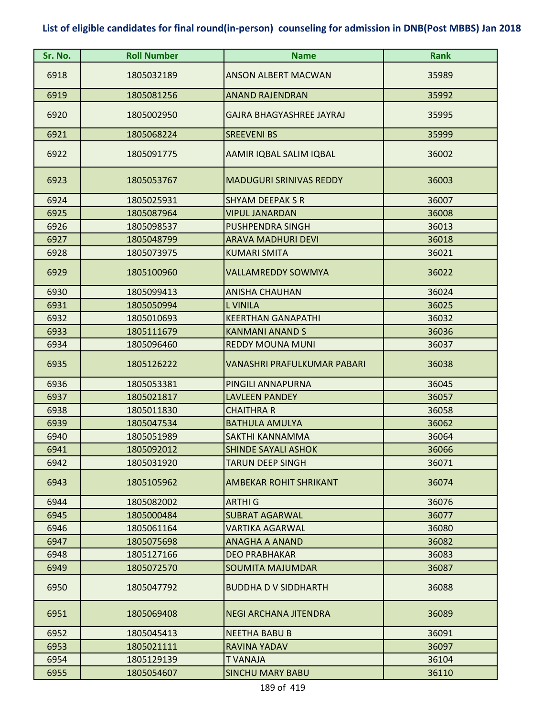| Sr. No. | <b>Roll Number</b> | <b>Name</b>                     | <b>Rank</b> |
|---------|--------------------|---------------------------------|-------------|
| 6918    | 1805032189         | <b>ANSON ALBERT MACWAN</b>      | 35989       |
| 6919    | 1805081256         | <b>ANAND RAJENDRAN</b>          | 35992       |
| 6920    | 1805002950         | <b>GAJRA BHAGYASHREE JAYRAJ</b> | 35995       |
| 6921    | 1805068224         | <b>SREEVENI BS</b>              | 35999       |
| 6922    | 1805091775         | AAMIR IQBAL SALIM IQBAL         | 36002       |
| 6923    | 1805053767         | <b>MADUGURI SRINIVAS REDDY</b>  | 36003       |
| 6924    | 1805025931         | <b>SHYAM DEEPAK S R</b>         | 36007       |
| 6925    | 1805087964         | <b>VIPUL JANARDAN</b>           | 36008       |
| 6926    | 1805098537         | <b>PUSHPENDRA SINGH</b>         | 36013       |
| 6927    | 1805048799         | <b>ARAVA MADHURI DEVI</b>       | 36018       |
| 6928    | 1805073975         | <b>KUMARI SMITA</b>             | 36021       |
| 6929    | 1805100960         | <b>VALLAMREDDY SOWMYA</b>       | 36022       |
| 6930    | 1805099413         | <b>ANISHA CHAUHAN</b>           | 36024       |
| 6931    | 1805050994         | <b>L VINILA</b>                 | 36025       |
| 6932    | 1805010693         | <b>KEERTHAN GANAPATHI</b>       | 36032       |
| 6933    | 1805111679         | <b>KANMANI ANAND S</b>          | 36036       |
| 6934    | 1805096460         | <b>REDDY MOUNA MUNI</b>         | 36037       |
| 6935    | 1805126222         | VANASHRI PRAFULKUMAR PABARI     | 36038       |
| 6936    | 1805053381         | PINGILI ANNAPURNA               | 36045       |
| 6937    | 1805021817         | <b>LAVLEEN PANDEY</b>           | 36057       |
| 6938    | 1805011830         | <b>CHAITHRA R</b>               | 36058       |
| 6939    | 1805047534         | <b>BATHULA AMULYA</b>           | 36062       |
| 6940    | 1805051989         | SAKTHI KANNAMMA                 | 36064       |
| 6941    | 1805092012         | <b>SHINDE SAYALI ASHOK</b>      | 36066       |
| 6942    | 1805031920         | TARUN DEEP SINGH                | 36071       |
| 6943    | 1805105962         | <b>AMBEKAR ROHIT SHRIKANT</b>   | 36074       |
| 6944    | 1805082002         | <b>ARTHI G</b>                  | 36076       |
| 6945    | 1805000484         | <b>SUBRAT AGARWAL</b>           | 36077       |
| 6946    | 1805061164         | <b>VARTIKA AGARWAL</b>          | 36080       |
| 6947    | 1805075698         | <b>ANAGHA A ANAND</b>           | 36082       |
| 6948    | 1805127166         | <b>DEO PRABHAKAR</b>            | 36083       |
| 6949    | 1805072570         | <b>SOUMITA MAJUMDAR</b>         | 36087       |
| 6950    | 1805047792         | <b>BUDDHA D V SIDDHARTH</b>     | 36088       |
| 6951    | 1805069408         | <b>NEGI ARCHANA JITENDRA</b>    | 36089       |
| 6952    | 1805045413         | <b>NEETHA BABU B</b>            | 36091       |
| 6953    | 1805021111         | RAVINA YADAV                    | 36097       |
| 6954    | 1805129139         | <b>TVANAJA</b>                  | 36104       |
| 6955    | 1805054607         | <b>SINCHU MARY BABU</b>         | 36110       |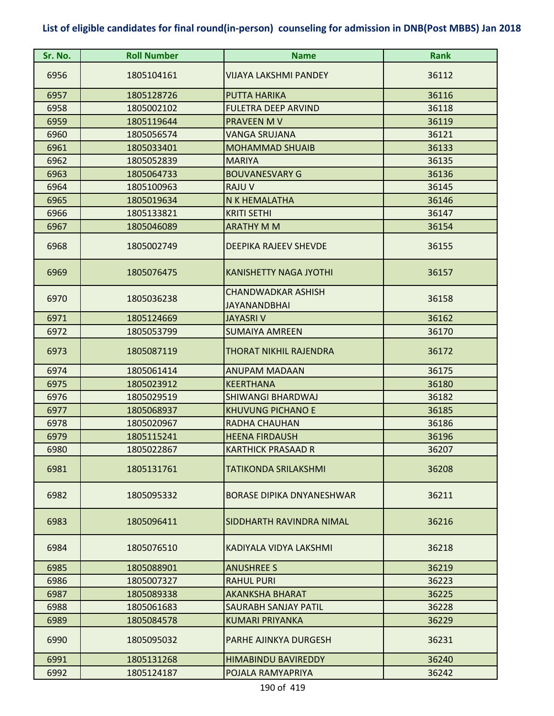| Sr. No. | <b>Roll Number</b> | <b>Name</b>                      | <b>Rank</b> |
|---------|--------------------|----------------------------------|-------------|
| 6956    | 1805104161         | VIJAYA LAKSHMI PANDEY            | 36112       |
| 6957    | 1805128726         | <b>PUTTA HARIKA</b>              | 36116       |
| 6958    | 1805002102         | <b>FULETRA DEEP ARVIND</b>       | 36118       |
| 6959    | 1805119644         | PRAVEEN M V                      | 36119       |
| 6960    | 1805056574         | <b>VANGA SRUJANA</b>             | 36121       |
| 6961    | 1805033401         | <b>MOHAMMAD SHUAIB</b>           | 36133       |
| 6962    | 1805052839         | <b>MARIYA</b>                    | 36135       |
| 6963    | 1805064733         | <b>BOUVANESVARY G</b>            | 36136       |
| 6964    | 1805100963         | RAJU V                           | 36145       |
| 6965    | 1805019634         | N K HEMALATHA                    | 36146       |
| 6966    | 1805133821         | <b>KRITI SETHI</b>               | 36147       |
| 6967    | 1805046089         | <b>ARATHY M M</b>                | 36154       |
| 6968    | 1805002749         | <b>DEEPIKA RAJEEV SHEVDE</b>     | 36155       |
| 6969    | 1805076475         | <b>KANISHETTY NAGA JYOTHI</b>    | 36157       |
| 6970    | 1805036238         | <b>CHANDWADKAR ASHISH</b>        | 36158       |
|         |                    | <b>JAYANANDBHAI</b>              |             |
| 6971    | 1805124669         | <b>JAYASRI V</b>                 | 36162       |
| 6972    | 1805053799         | <b>SUMAIYA AMREEN</b>            | 36170       |
| 6973    | 1805087119         | THORAT NIKHIL RAJENDRA           | 36172       |
| 6974    | 1805061414         | <b>ANUPAM MADAAN</b>             | 36175       |
| 6975    | 1805023912         | <b>KEERTHANA</b>                 | 36180       |
| 6976    | 1805029519         | <b>SHIWANGI BHARDWAJ</b>         | 36182       |
| 6977    | 1805068937         | <b>KHUVUNG PICHANO E</b>         | 36185       |
| 6978    | 1805020967         | <b>RADHA CHAUHAN</b>             | 36186       |
| 6979    | 1805115241         | <b>HEENA FIRDAUSH</b>            | 36196       |
| 6980    | 1805022867         | <b>KARTHICK PRASAAD R</b>        | 36207       |
| 6981    | 1805131761         | TATIKONDA SRILAKSHMI             | 36208       |
| 6982    | 1805095332         | <b>BORASE DIPIKA DNYANESHWAR</b> | 36211       |
| 6983    | 1805096411         | SIDDHARTH RAVINDRA NIMAL         | 36216       |
| 6984    | 1805076510         | KADIYALA VIDYA LAKSHMI           | 36218       |
| 6985    | 1805088901         | <b>ANUSHREE S</b>                | 36219       |
| 6986    | 1805007327         | <b>RAHUL PURI</b>                | 36223       |
| 6987    | 1805089338         | <b>AKANKSHA BHARAT</b>           | 36225       |
| 6988    | 1805061683         | <b>SAURABH SANJAY PATIL</b>      | 36228       |
| 6989    | 1805084578         | <b>KUMARI PRIYANKA</b>           | 36229       |
| 6990    | 1805095032         | PARHE AJINKYA DURGESH            | 36231       |
| 6991    | 1805131268         | <b>HIMABINDU BAVIREDDY</b>       | 36240       |
| 6992    | 1805124187         | POJALA RAMYAPRIYA                | 36242       |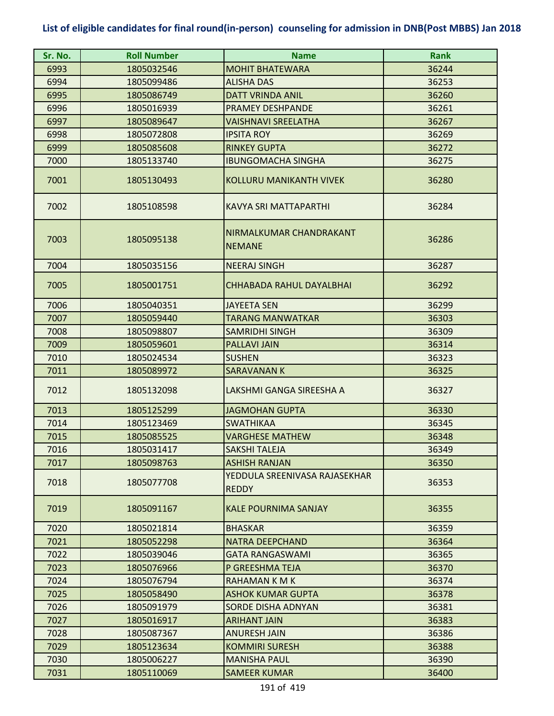| Sr. No. | <b>Roll Number</b> | <b>Name</b>                                   | <b>Rank</b> |
|---------|--------------------|-----------------------------------------------|-------------|
| 6993    | 1805032546         | <b>MOHIT BHATEWARA</b>                        | 36244       |
| 6994    | 1805099486         | <b>ALISHA DAS</b>                             | 36253       |
| 6995    | 1805086749         | <b>DATT VRINDA ANIL</b>                       | 36260       |
| 6996    | 1805016939         | <b>PRAMEY DESHPANDE</b>                       | 36261       |
| 6997    | 1805089647         | <b>VAISHNAVI SREELATHA</b>                    | 36267       |
| 6998    | 1805072808         | <b>IPSITA ROY</b>                             | 36269       |
| 6999    | 1805085608         | <b>RINKEY GUPTA</b>                           | 36272       |
| 7000    | 1805133740         | <b>IBUNGOMACHA SINGHA</b>                     | 36275       |
| 7001    | 1805130493         | <b>KOLLURU MANIKANTH VIVEK</b>                | 36280       |
| 7002    | 1805108598         | <b>KAVYA SRI MATTAPARTHI</b>                  | 36284       |
| 7003    | 1805095138         | NIRMALKUMAR CHANDRAKANT<br><b>NEMANE</b>      | 36286       |
| 7004    | 1805035156         | <b>NEERAJ SINGH</b>                           | 36287       |
| 7005    | 1805001751         | CHHABADA RAHUL DAYALBHAI                      | 36292       |
| 7006    | 1805040351         | <b>JAYEETA SEN</b>                            | 36299       |
| 7007    | 1805059440         | <b>TARANG MANWATKAR</b>                       | 36303       |
| 7008    | 1805098807         | <b>SAMRIDHI SINGH</b>                         | 36309       |
| 7009    | 1805059601         | <b>PALLAVI JAIN</b>                           | 36314       |
| 7010    | 1805024534         | <b>SUSHEN</b>                                 | 36323       |
| 7011    | 1805089972         | <b>SARAVANANK</b>                             | 36325       |
| 7012    | 1805132098         | LAKSHMI GANGA SIREESHA A                      | 36327       |
| 7013    | 1805125299         | <b>JAGMOHAN GUPTA</b>                         | 36330       |
| 7014    | 1805123469         | <b>SWATHIKAA</b>                              | 36345       |
| 7015    | 1805085525         | <b>VARGHESE MATHEW</b>                        | 36348       |
| 7016    | 1805031417         | <b>SAKSHI TALEJA</b>                          | 36349       |
| 7017    | 1805098763         | <b>ASHISH RANJAN</b>                          | 36350       |
| 7018    | 1805077708         | YEDDULA SREENIVASA RAJASEKHAR<br><b>REDDY</b> | 36353       |
| 7019    | 1805091167         | <b>KALE POURNIMA SANJAY</b>                   | 36355       |
| 7020    | 1805021814         | <b>BHASKAR</b>                                | 36359       |
| 7021    | 1805052298         | <b>NATRA DEEPCHAND</b>                        | 36364       |
| 7022    | 1805039046         | <b>GATA RANGASWAMI</b>                        | 36365       |
| 7023    | 1805076966         | P GREESHMA TEJA                               | 36370       |
| 7024    | 1805076794         | RAHAMAN K M K                                 | 36374       |
| 7025    | 1805058490         | <b>ASHOK KUMAR GUPTA</b>                      | 36378       |
| 7026    | 1805091979         | <b>SORDE DISHA ADNYAN</b>                     | 36381       |
| 7027    | 1805016917         | <b>ARIHANT JAIN</b>                           | 36383       |
| 7028    | 1805087367         | <b>ANURESH JAIN</b>                           | 36386       |
| 7029    | 1805123634         | <b>KOMMIRI SURESH</b>                         | 36388       |
| 7030    | 1805006227         | <b>MANISHA PAUL</b>                           | 36390       |
| 7031    | 1805110069         | <b>SAMEER KUMAR</b>                           | 36400       |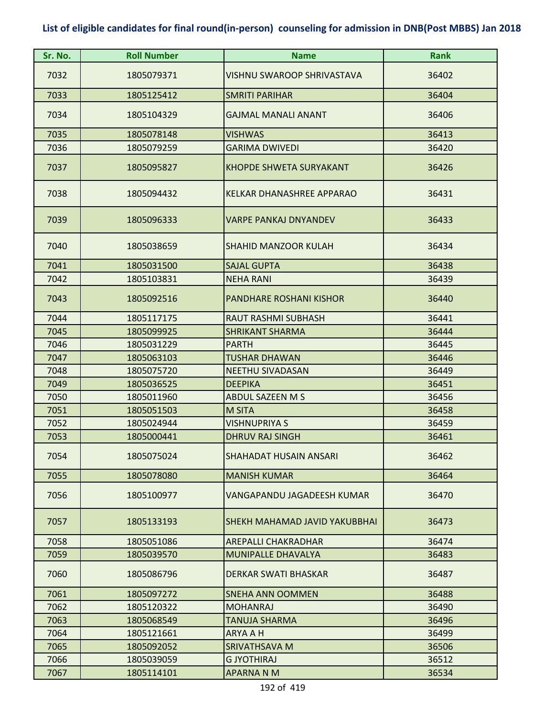| Sr. No. | <b>Roll Number</b> | <b>Name</b>                          | <b>Rank</b> |
|---------|--------------------|--------------------------------------|-------------|
| 7032    | 1805079371         | <b>VISHNU SWAROOP SHRIVASTAVA</b>    | 36402       |
| 7033    | 1805125412         | <b>SMRITI PARIHAR</b>                | 36404       |
| 7034    | 1805104329         | <b>GAJMAL MANALI ANANT</b>           | 36406       |
| 7035    | 1805078148         | <b>VISHWAS</b>                       | 36413       |
| 7036    | 1805079259         | <b>GARIMA DWIVEDI</b>                | 36420       |
| 7037    | 1805095827         | <b>KHOPDE SHWETA SURYAKANT</b>       | 36426       |
| 7038    | 1805094432         | KELKAR DHANASHREE APPARAO            | 36431       |
| 7039    | 1805096333         | <b>VARPE PANKAJ DNYANDEV</b>         | 36433       |
| 7040    | 1805038659         | <b>SHAHID MANZOOR KULAH</b>          | 36434       |
| 7041    | 1805031500         | <b>SAJAL GUPTA</b>                   | 36438       |
| 7042    | 1805103831         | <b>NEHA RANI</b>                     | 36439       |
| 7043    | 1805092516         | <b>PANDHARE ROSHANI KISHOR</b>       | 36440       |
| 7044    | 1805117175         | <b>RAUT RASHMI SUBHASH</b>           | 36441       |
| 7045    | 1805099925         | <b>SHRIKANT SHARMA</b>               | 36444       |
| 7046    | 1805031229         | <b>PARTH</b>                         | 36445       |
| 7047    | 1805063103         | <b>TUSHAR DHAWAN</b>                 | 36446       |
| 7048    | 1805075720         | <b>NEETHU SIVADASAN</b>              | 36449       |
| 7049    | 1805036525         | <b>DEEPIKA</b>                       | 36451       |
| 7050    | 1805011960         | <b>ABDUL SAZEEN M S</b>              | 36456       |
| 7051    | 1805051503         | <b>M SITA</b>                        | 36458       |
| 7052    | 1805024944         | <b>VISHNUPRIYA S</b>                 | 36459       |
| 7053    | 1805000441         | <b>DHRUV RAJ SINGH</b>               | 36461       |
| 7054    | 1805075024         | SHAHADAT HUSAIN ANSARI               | 36462       |
| 7055    | 1805078080         | <b>MANISH KUMAR</b>                  | 36464       |
| 7056    | 1805100977         | VANGAPANDU JAGADEESH KUMAR           | 36470       |
| 7057    | 1805133193         | <b>SHEKH MAHAMAD JAVID YAKUBBHAI</b> | 36473       |
| 7058    | 1805051086         | <b>AREPALLI CHAKRADHAR</b>           | 36474       |
| 7059    | 1805039570         | <b>MUNIPALLE DHAVALYA</b>            | 36483       |
| 7060    | 1805086796         | <b>DERKAR SWATI BHASKAR</b>          | 36487       |
| 7061    | 1805097272         | SNEHA ANN OOMMEN                     | 36488       |
| 7062    | 1805120322         | <b>MOHANRAJ</b>                      | 36490       |
| 7063    | 1805068549         | <b>TANUJA SHARMA</b>                 | 36496       |
| 7064    | 1805121661         | <b>ARYA A H</b>                      | 36499       |
| 7065    | 1805092052         | <b>SRIVATHSAVA M</b>                 | 36506       |
| 7066    | 1805039059         | <b>G JYOTHIRAJ</b>                   | 36512       |
| 7067    | 1805114101         | <b>APARNA N M</b>                    | 36534       |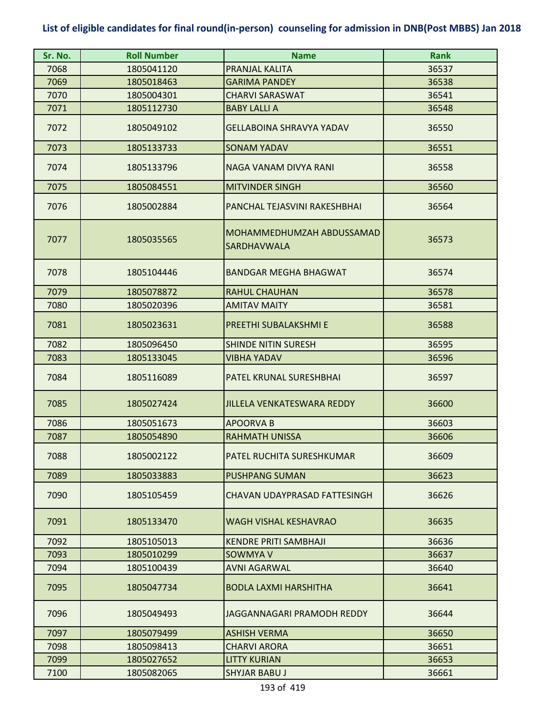| Sr. No. | <b>Roll Number</b> | <b>Name</b>                                     | <b>Rank</b> |
|---------|--------------------|-------------------------------------------------|-------------|
| 7068    | 1805041120         | PRANJAL KALITA                                  | 36537       |
| 7069    | 1805018463         | <b>GARIMA PANDEY</b>                            | 36538       |
| 7070    | 1805004301         | <b>CHARVI SARASWAT</b>                          | 36541       |
| 7071    | 1805112730         | <b>BABY LALLI A</b>                             | 36548       |
| 7072    | 1805049102         | <b>GELLABOINA SHRAVYA YADAV</b>                 | 36550       |
| 7073    | 1805133733         | <b>SONAM YADAV</b>                              | 36551       |
| 7074    | 1805133796         | NAGA VANAM DIVYA RANI                           | 36558       |
| 7075    | 1805084551         | <b>MITVINDER SINGH</b>                          | 36560       |
| 7076    | 1805002884         | PANCHAL TEJASVINI RAKESHBHAI                    | 36564       |
| 7077    | 1805035565         | MOHAMMEDHUMZAH ABDUSSAMAD<br><b>SARDHAVWALA</b> | 36573       |
| 7078    | 1805104446         | <b>BANDGAR MEGHA BHAGWAT</b>                    | 36574       |
| 7079    | 1805078872         | <b>RAHUL CHAUHAN</b>                            | 36578       |
| 7080    | 1805020396         | <b>AMITAV MAITY</b>                             | 36581       |
| 7081    | 1805023631         | PREETHI SUBALAKSHMI E                           | 36588       |
| 7082    | 1805096450         | <b>SHINDE NITIN SURESH</b>                      | 36595       |
| 7083    | 1805133045         | <b>VIBHA YADAV</b>                              | 36596       |
| 7084    | 1805116089         | PATEL KRUNAL SURESHBHAI                         | 36597       |
| 7085    | 1805027424         | <b>JILLELA VENKATESWARA REDDY</b>               | 36600       |
| 7086    | 1805051673         | <b>APOORVA B</b>                                | 36603       |
| 7087    | 1805054890         | <b>RAHMATH UNISSA</b>                           | 36606       |
| 7088    | 1805002122         | <b>PATEL RUCHITA SURESHKUMAR</b>                | 36609       |
| 7089    | 1805033883         | <b>PUSHPANG SUMAN</b>                           | 36623       |
| 7090    | 1805105459         | CHAVAN UDAYPRASAD FATTESINGH                    | 36626       |
| 7091    | 1805133470         | <b>WAGH VISHAL KESHAVRAO</b>                    | 36635       |
| 7092    | 1805105013         | <b>KENDRE PRITI SAMBHAJI</b>                    | 36636       |
| 7093    | 1805010299         | <b>SOWMYA V</b>                                 | 36637       |
| 7094    | 1805100439         | <b>AVNI AGARWAL</b>                             | 36640       |
| 7095    | 1805047734         | <b>BODLA LAXMI HARSHITHA</b>                    | 36641       |
| 7096    | 1805049493         | JAGGANNAGARI PRAMODH REDDY                      | 36644       |
| 7097    | 1805079499         | <b>ASHISH VERMA</b>                             | 36650       |
| 7098    | 1805098413         | <b>CHARVI ARORA</b>                             | 36651       |
| 7099    | 1805027652         | <b>LITTY KURIAN</b>                             | 36653       |
| 7100    | 1805082065         | <b>SHYJAR BABU J</b>                            | 36661       |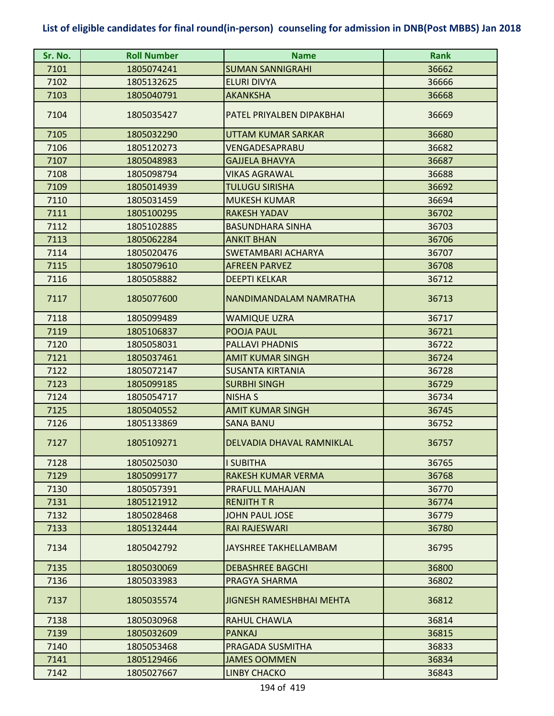| Sr. No. | <b>Roll Number</b> | <b>Name</b>                     | <b>Rank</b> |
|---------|--------------------|---------------------------------|-------------|
| 7101    | 1805074241         | <b>SUMAN SANNIGRAHI</b>         | 36662       |
| 7102    | 1805132625         | <b>ELURI DIVYA</b>              | 36666       |
| 7103    | 1805040791         | <b>AKANKSHA</b>                 | 36668       |
| 7104    | 1805035427         | PATEL PRIYALBEN DIPAKBHAI       | 36669       |
| 7105    | 1805032290         | UTTAM KUMAR SARKAR              | 36680       |
| 7106    | 1805120273         | VENGADESAPRABU                  | 36682       |
| 7107    | 1805048983         | <b>GAJJELA BHAVYA</b>           | 36687       |
| 7108    | 1805098794         | <b>VIKAS AGRAWAL</b>            | 36688       |
| 7109    | 1805014939         | <b>TULUGU SIRISHA</b>           | 36692       |
| 7110    | 1805031459         | <b>MUKESH KUMAR</b>             | 36694       |
| 7111    | 1805100295         | <b>RAKESH YADAV</b>             | 36702       |
| 7112    | 1805102885         | <b>BASUNDHARA SINHA</b>         | 36703       |
| 7113    | 1805062284         | <b>ANKIT BHAN</b>               | 36706       |
| 7114    | 1805020476         | SWETAMBARI ACHARYA              | 36707       |
| 7115    | 1805079610         | <b>AFREEN PARVEZ</b>            | 36708       |
| 7116    | 1805058882         | <b>DEEPTI KELKAR</b>            | 36712       |
| 7117    | 1805077600         | NANDIMANDALAM NAMRATHA          | 36713       |
| 7118    | 1805099489         | <b>WAMIQUE UZRA</b>             | 36717       |
| 7119    | 1805106837         | POOJA PAUL                      | 36721       |
| 7120    | 1805058031         | <b>PALLAVI PHADNIS</b>          | 36722       |
| 7121    | 1805037461         | <b>AMIT KUMAR SINGH</b>         | 36724       |
| 7122    | 1805072147         | <b>SUSANTA KIRTANIA</b>         | 36728       |
| 7123    | 1805099185         | <b>SURBHI SINGH</b>             | 36729       |
| 7124    | 1805054717         | <b>NISHA S</b>                  | 36734       |
| 7125    | 1805040552         | <b>AMIT KUMAR SINGH</b>         | 36745       |
| 7126    | 1805133869         | <b>SANA BANU</b>                | 36752       |
| 7127    | 1805109271         | DELVADIA DHAVAL RAMNIKLAL       | 36757       |
| 7128    | 1805025030         | <b>I SUBITHA</b>                | 36765       |
| 7129    | 1805099177         | <b>RAKESH KUMAR VERMA</b>       | 36768       |
| 7130    | 1805057391         | PRAFULL MAHAJAN                 | 36770       |
| 7131    | 1805121912         | <b>RENJITH T R</b>              | 36774       |
| 7132    | 1805028468         | <b>JOHN PAUL JOSE</b>           | 36779       |
| 7133    | 1805132444         | <b>RAI RAJESWARI</b>            | 36780       |
| 7134    | 1805042792         | JAYSHREE TAKHELLAMBAM           | 36795       |
| 7135    | 1805030069         | <b>DEBASHREE BAGCHI</b>         | 36800       |
| 7136    | 1805033983         | PRAGYA SHARMA                   | 36802       |
| 7137    | 1805035574         | <b>JIGNESH RAMESHBHAI MEHTA</b> | 36812       |
| 7138    | 1805030968         | <b>RAHUL CHAWLA</b>             | 36814       |
| 7139    | 1805032609         | <b>PANKAJ</b>                   | 36815       |
| 7140    | 1805053468         | PRAGADA SUSMITHA                | 36833       |
| 7141    | 1805129466         | <b>JAMES OOMMEN</b>             | 36834       |
| 7142    | 1805027667         | <b>LINBY CHACKO</b>             | 36843       |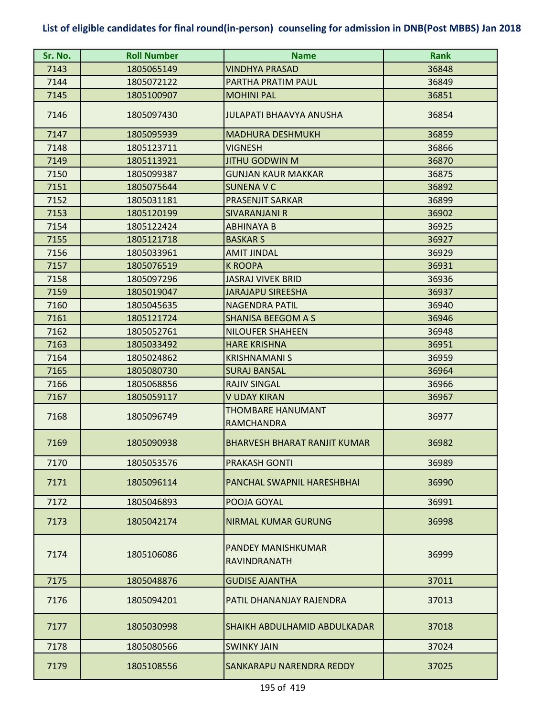| Sr. No. | <b>Roll Number</b> | <b>Name</b>                                   | <b>Rank</b> |
|---------|--------------------|-----------------------------------------------|-------------|
| 7143    | 1805065149         | <b>VINDHYA PRASAD</b>                         | 36848       |
| 7144    | 1805072122         | PARTHA PRATIM PAUL                            | 36849       |
| 7145    | 1805100907         | <b>MOHINI PAL</b>                             | 36851       |
| 7146    | 1805097430         | <b>JULAPATI BHAAVYA ANUSHA</b>                | 36854       |
| 7147    | 1805095939         | <b>MADHURA DESHMUKH</b>                       | 36859       |
| 7148    | 1805123711         | <b>VIGNESH</b>                                | 36866       |
| 7149    | 1805113921         | JITHU GODWIN M                                | 36870       |
| 7150    | 1805099387         | <b>GUNJAN KAUR MAKKAR</b>                     | 36875       |
| 7151    | 1805075644         | <b>SUNENA V C</b>                             | 36892       |
| 7152    | 1805031181         | <b>PRASENJIT SARKAR</b>                       | 36899       |
| 7153    | 1805120199         | <b>SIVARANJANI R</b>                          | 36902       |
| 7154    | 1805122424         | <b>ABHINAYA B</b>                             | 36925       |
| 7155    | 1805121718         | <b>BASKAR S</b>                               | 36927       |
| 7156    | 1805033961         | <b>AMIT JINDAL</b>                            | 36929       |
| 7157    | 1805076519         | <b>K ROOPA</b>                                | 36931       |
| 7158    | 1805097296         | <b>JASRAJ VIVEK BRID</b>                      | 36936       |
| 7159    | 1805019047         | <b>JARAJAPU SIREESHA</b>                      | 36937       |
| 7160    | 1805045635         | <b>NAGENDRA PATIL</b>                         | 36940       |
| 7161    | 1805121724         | <b>SHANISA BEEGOM A S</b>                     | 36946       |
| 7162    | 1805052761         | <b>NILOUFER SHAHEEN</b>                       | 36948       |
| 7163    | 1805033492         | <b>HARE KRISHNA</b>                           | 36951       |
| 7164    | 1805024862         | <b>KRISHNAMANI S</b>                          | 36959       |
| 7165    | 1805080730         | <b>SURAJ BANSAL</b>                           | 36964       |
| 7166    | 1805068856         | <b>RAJIV SINGAL</b>                           | 36966       |
| 7167    | 1805059117         | <b>V UDAY KIRAN</b>                           | 36967       |
| 7168    | 1805096749         | <b>THOMBARE HANUMANT</b><br><b>RAMCHANDRA</b> | 36977       |
| 7169    | 1805090938         | <b>BHARVESH BHARAT RANJIT KUMAR</b>           | 36982       |
| 7170    | 1805053576         | <b>PRAKASH GONTI</b>                          | 36989       |
| 7171    | 1805096114         | PANCHAL SWAPNIL HARESHBHAI                    | 36990       |
| 7172    | 1805046893         | POOJA GOYAL                                   | 36991       |
| 7173    | 1805042174         | <b>NIRMAL KUMAR GURUNG</b>                    | 36998       |
| 7174    | 1805106086         | PANDEY MANISHKUMAR<br>RAVINDRANATH            | 36999       |
| 7175    | 1805048876         | <b>GUDISE AJANTHA</b>                         | 37011       |
| 7176    | 1805094201         | PATIL DHANANJAY RAJENDRA                      | 37013       |
| 7177    | 1805030998         | <b>SHAIKH ABDULHAMID ABDULKADAR</b>           | 37018       |
| 7178    | 1805080566         | <b>SWINKY JAIN</b>                            | 37024       |
| 7179    | 1805108556         | SANKARAPU NARENDRA REDDY                      | 37025       |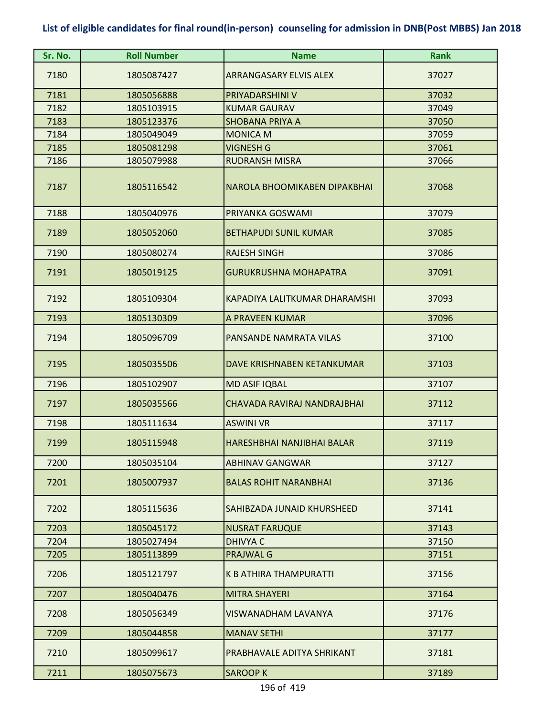| Sr. No. | <b>Roll Number</b> | <b>Name</b>                   | Rank  |
|---------|--------------------|-------------------------------|-------|
| 7180    | 1805087427         | <b>ARRANGASARY ELVIS ALEX</b> | 37027 |
| 7181    | 1805056888         | PRIYADARSHINI V               | 37032 |
| 7182    | 1805103915         | <b>KUMAR GAURAV</b>           | 37049 |
| 7183    | 1805123376         | <b>SHOBANA PRIYA A</b>        | 37050 |
| 7184    | 1805049049         | <b>MONICA M</b>               | 37059 |
| 7185    | 1805081298         | <b>VIGNESH G</b>              | 37061 |
| 7186    | 1805079988         | <b>RUDRANSH MISRA</b>         | 37066 |
| 7187    | 1805116542         | NAROLA BHOOMIKABEN DIPAKBHAI  | 37068 |
| 7188    | 1805040976         | PRIYANKA GOSWAMI              | 37079 |
| 7189    | 1805052060         | <b>BETHAPUDI SUNIL KUMAR</b>  | 37085 |
| 7190    | 1805080274         | <b>RAJESH SINGH</b>           | 37086 |
| 7191    | 1805019125         | <b>GURUKRUSHNA MOHAPATRA</b>  | 37091 |
| 7192    | 1805109304         | KAPADIYA LALITKUMAR DHARAMSHI | 37093 |
| 7193    | 1805130309         | A PRAVEEN KUMAR               | 37096 |
| 7194    | 1805096709         | PANSANDE NAMRATA VILAS        | 37100 |
| 7195    | 1805035506         | DAVE KRISHNABEN KETANKUMAR    | 37103 |
| 7196    | 1805102907         | <b>MD ASIF IQBAL</b>          | 37107 |
| 7197    | 1805035566         | CHAVADA RAVIRAJ NANDRAJBHAI   | 37112 |
| 7198    | 1805111634         | <b>ASWINI VR</b>              | 37117 |
| 7199    | 1805115948         | HARESHBHAI NANJIBHAI BALAR    | 37119 |
| 7200    | 1805035104         | <b>ABHINAV GANGWAR</b>        | 37127 |
| 7201    | 1805007937         | <b>BALAS ROHIT NARANBHAI</b>  | 37136 |
| 7202    | 1805115636         | SAHIBZADA JUNAID KHURSHEED    | 37141 |
| 7203    | 1805045172         | <b>NUSRAT FARUQUE</b>         | 37143 |
| 7204    | 1805027494         | <b>DHIVYA C</b>               | 37150 |
| 7205    | 1805113899         | PRAJWAL G                     | 37151 |
| 7206    | 1805121797         | <b>K B ATHIRA THAMPURATTI</b> | 37156 |
| 7207    | 1805040476         | <b>MITRA SHAYERI</b>          | 37164 |
| 7208    | 1805056349         | VISWANADHAM LAVANYA           | 37176 |
| 7209    | 1805044858         | <b>MANAV SETHI</b>            | 37177 |
| 7210    | 1805099617         | PRABHAVALE ADITYA SHRIKANT    | 37181 |
| 7211    | 1805075673         | <b>SAROOP K</b>               | 37189 |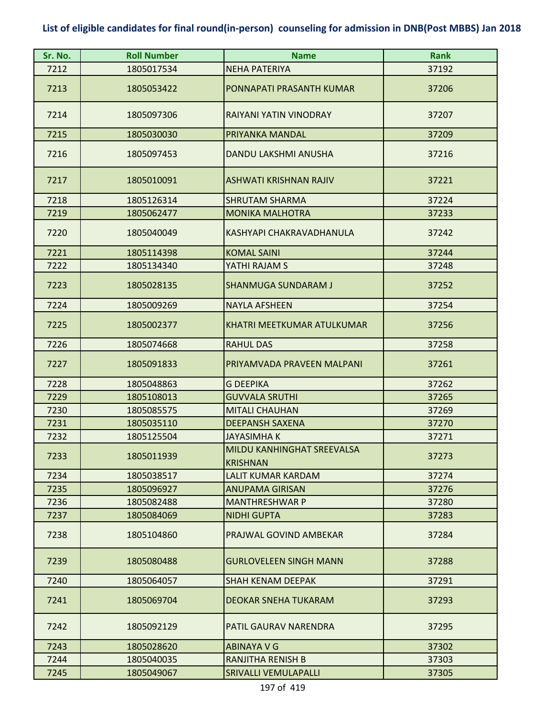| Sr. No. | <b>Roll Number</b> | <b>Name</b>                                   | <b>Rank</b> |
|---------|--------------------|-----------------------------------------------|-------------|
| 7212    | 1805017534         | <b>NEHA PATERIYA</b>                          | 37192       |
| 7213    | 1805053422         | PONNAPATI PRASANTH KUMAR                      | 37206       |
| 7214    | 1805097306         | RAIYANI YATIN VINODRAY                        | 37207       |
| 7215    | 1805030030         | PRIYANKA MANDAL                               | 37209       |
| 7216    | 1805097453         | DANDU LAKSHMI ANUSHA                          | 37216       |
| 7217    | 1805010091         | <b>ASHWATI KRISHNAN RAJIV</b>                 | 37221       |
| 7218    | 1805126314         | <b>SHRUTAM SHARMA</b>                         | 37224       |
| 7219    | 1805062477         | <b>MONIKA MALHOTRA</b>                        | 37233       |
| 7220    | 1805040049         | KASHYAPI CHAKRAVADHANULA                      | 37242       |
| 7221    | 1805114398         | <b>KOMAL SAINI</b>                            | 37244       |
| 7222    | 1805134340         | YATHI RAJAM S                                 | 37248       |
| 7223    | 1805028135         | <b>SHANMUGA SUNDARAM J</b>                    | 37252       |
| 7224    | 1805009269         | <b>NAYLA AFSHEEN</b>                          | 37254       |
| 7225    | 1805002377         | KHATRI MEETKUMAR ATULKUMAR                    | 37256       |
| 7226    | 1805074668         | <b>RAHUL DAS</b>                              | 37258       |
| 7227    | 1805091833         | PRIYAMVADA PRAVEEN MALPANI                    | 37261       |
| 7228    | 1805048863         | <b>G DEEPIKA</b>                              | 37262       |
| 7229    | 1805108013         | <b>GUVVALA SRUTHI</b>                         | 37265       |
| 7230    | 1805085575         | <b>MITALI CHAUHAN</b>                         | 37269       |
| 7231    | 1805035110         | <b>DEEPANSH SAXENA</b>                        | 37270       |
| 7232    | 1805125504         | <b>JAYASIMHAK</b>                             | 37271       |
| 7233    | 1805011939         | MILDU KANHINGHAT SREEVALSA<br><b>KRISHNAN</b> | 37273       |
| 7234    | 1805038517         | LALIT KUMAR KARDAM                            | 37274       |
| 7235    | 1805096927         | <b>ANUPAMA GIRISAN</b>                        | 37276       |
| 7236    | 1805082488         | <b>MANTHRESHWAR P</b>                         | 37280       |
| 7237    | 1805084069         | <b>NIDHI GUPTA</b>                            | 37283       |
| 7238    | 1805104860         | PRAJWAL GOVIND AMBEKAR                        | 37284       |
| 7239    | 1805080488         | <b>GURLOVELEEN SINGH MANN</b>                 | 37288       |
| 7240    | 1805064057         | <b>SHAH KENAM DEEPAK</b>                      | 37291       |
| 7241    | 1805069704         | <b>DEOKAR SNEHA TUKARAM</b>                   | 37293       |
| 7242    | 1805092129         | PATIL GAURAV NARENDRA                         | 37295       |
| 7243    | 1805028620         | ABINAYA V G                                   | 37302       |
| 7244    | 1805040035         | <b>RANJITHA RENISH B</b>                      | 37303       |
| 7245    | 1805049067         | SRIVALLI VEMULAPALLI                          | 37305       |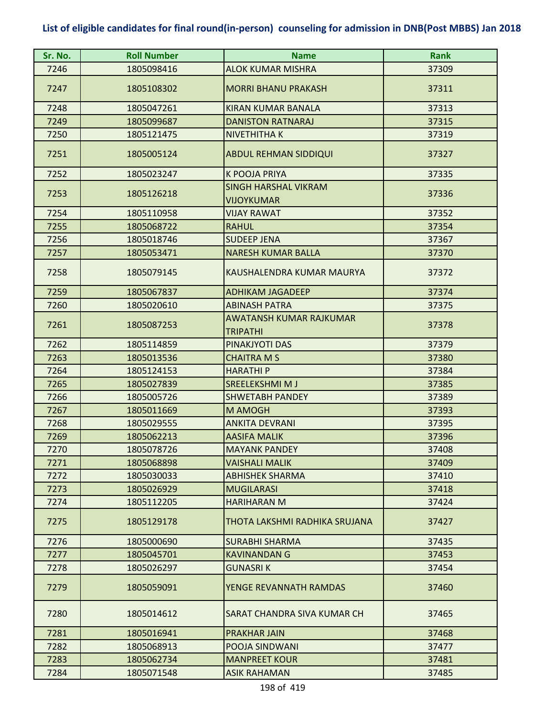| Sr. No. | <b>Roll Number</b> | <b>Name</b>                                      | <b>Rank</b> |
|---------|--------------------|--------------------------------------------------|-------------|
| 7246    | 1805098416         | <b>ALOK KUMAR MISHRA</b>                         | 37309       |
| 7247    | 1805108302         | <b>MORRI BHANU PRAKASH</b>                       | 37311       |
| 7248    | 1805047261         | KIRAN KUMAR BANALA                               | 37313       |
| 7249    | 1805099687         | <b>DANISTON RATNARAJ</b>                         | 37315       |
| 7250    | 1805121475         | NIVETHITHA K                                     | 37319       |
| 7251    | 1805005124         | <b>ABDUL REHMAN SIDDIQUI</b>                     | 37327       |
| 7252    | 1805023247         | <b>K POOJA PRIYA</b>                             | 37335       |
| 7253    | 1805126218         | <b>SINGH HARSHAL VIKRAM</b><br><b>VIJOYKUMAR</b> | 37336       |
| 7254    | 1805110958         | <b>VIJAY RAWAT</b>                               | 37352       |
| 7255    | 1805068722         | <b>RAHUL</b>                                     | 37354       |
| 7256    | 1805018746         | <b>SUDEEP JENA</b>                               | 37367       |
| 7257    | 1805053471         | <b>NARESH KUMAR BALLA</b>                        | 37370       |
| 7258    | 1805079145         | KAUSHALENDRA KUMAR MAURYA                        | 37372       |
| 7259    | 1805067837         | <b>ADHIKAM JAGADEEP</b>                          | 37374       |
| 7260    | 1805020610         | <b>ABINASH PATRA</b>                             | 37375       |
| 7261    | 1805087253         | AWATANSH KUMAR RAJKUMAR<br><b>TRIPATHI</b>       | 37378       |
| 7262    | 1805114859         | PINAKJYOTI DAS                                   | 37379       |
| 7263    | 1805013536         | <b>CHAITRA M S</b>                               | 37380       |
| 7264    | 1805124153         | <b>HARATHIP</b>                                  | 37384       |
| 7265    | 1805027839         | <b>SREELEKSHMIMJ</b>                             | 37385       |
| 7266    | 1805005726         | <b>SHWETABH PANDEY</b>                           | 37389       |
| 7267    | 1805011669         | M AMOGH                                          | 37393       |
| 7268    | 1805029555         | <b>ANKITA DEVRANI</b>                            | 37395       |
| 7269    | 1805062213         | <b>AASIFA MALIK</b>                              | 37396       |
| 7270    | 1805078726         | <b>MAYANK PANDEY</b>                             | 37408       |
| 7271    | 1805068898         | <b>VAISHALI MALIK</b>                            | 37409       |
| 7272    | 1805030033         | ABHISHEK SHARMA                                  | 37410       |
| 7273    | 1805026929         | <b>MUGILARASI</b>                                | 37418       |
| 7274    | 1805112205         | <b>HARIHARAN M</b>                               | 37424       |
| 7275    | 1805129178         | THOTA LAKSHMI RADHIKA SRUJANA                    | 37427       |
| 7276    | 1805000690         | <b>SURABHI SHARMA</b>                            | 37435       |
| 7277    | 1805045701         | <b>KAVINANDAN G</b>                              | 37453       |
| 7278    | 1805026297         | GUNASRI K                                        | 37454       |
| 7279    | 1805059091         | YENGE REVANNATH RAMDAS                           | 37460       |
| 7280    | 1805014612         | SARAT CHANDRA SIVA KUMAR CH                      | 37465       |
| 7281    | 1805016941         | <b>PRAKHAR JAIN</b>                              | 37468       |
| 7282    | 1805068913         | POOJA SINDWANI                                   | 37477       |
| 7283    | 1805062734         | <b>MANPREET KOUR</b>                             | 37481       |
| 7284    | 1805071548         | <b>ASIK RAHAMAN</b>                              | 37485       |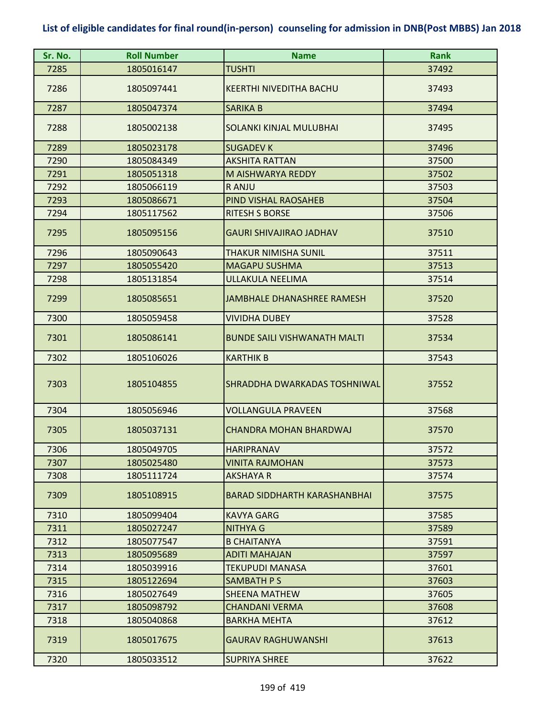| Sr. No. | <b>Roll Number</b> | <b>Name</b>                         | <b>Rank</b> |
|---------|--------------------|-------------------------------------|-------------|
| 7285    | 1805016147         | <b>TUSHTI</b>                       | 37492       |
| 7286    | 1805097441         | <b>KEERTHI NIVEDITHA BACHU</b>      | 37493       |
| 7287    | 1805047374         | <b>SARIKA B</b>                     | 37494       |
| 7288    | 1805002138         | SOLANKI KINJAL MULUBHAI             | 37495       |
| 7289    | 1805023178         | <b>SUGADEV K</b>                    | 37496       |
| 7290    | 1805084349         | <b>AKSHITA RATTAN</b>               | 37500       |
| 7291    | 1805051318         | M AISHWARYA REDDY                   | 37502       |
| 7292    | 1805066119         | R ANJU                              | 37503       |
| 7293    | 1805086671         | PIND VISHAL RAOSAHEB                | 37504       |
| 7294    | 1805117562         | <b>RITESH S BORSE</b>               | 37506       |
| 7295    | 1805095156         | <b>GAURI SHIVAJIRAO JADHAV</b>      | 37510       |
| 7296    | 1805090643         | THAKUR NIMISHA SUNIL                | 37511       |
| 7297    | 1805055420         | <b>MAGAPU SUSHMA</b>                | 37513       |
| 7298    | 1805131854         | ULLAKULA NEELIMA                    | 37514       |
| 7299    | 1805085651         | <b>JAMBHALE DHANASHREE RAMESH</b>   | 37520       |
| 7300    | 1805059458         | <b>VIVIDHA DUBEY</b>                | 37528       |
| 7301    | 1805086141         | <b>BUNDE SAILI VISHWANATH MALTI</b> | 37534       |
| 7302    | 1805106026         | <b>KARTHIK B</b>                    | 37543       |
| 7303    | 1805104855         | SHRADDHA DWARKADAS TOSHNIWAL        | 37552       |
| 7304    | 1805056946         | <b>VOLLANGULA PRAVEEN</b>           | 37568       |
| 7305    | 1805037131         | CHANDRA MOHAN BHARDWAJ              | 37570       |
| 7306    | 1805049705         | <b>HARIPRANAV</b>                   | 37572       |
| 7307    | 1805025480         | VINITA RAJMOHAN                     | 37573       |
| 7308    | 1805111724         | AKSHAYA R                           | 37574       |
| 7309    | 1805108915         | <b>BARAD SIDDHARTH KARASHANBHAI</b> | 37575       |
| 7310    | 1805099404         | <b>KAVYA GARG</b>                   | 37585       |
| 7311    | 1805027247         | <b>NITHYA G</b>                     | 37589       |
| 7312    | 1805077547         | <b>B CHAITANYA</b>                  | 37591       |
| 7313    | 1805095689         | <b>ADITI MAHAJAN</b>                | 37597       |
| 7314    | 1805039916         | TEKUPUDI MANASA                     | 37601       |
| 7315    | 1805122694         | <b>SAMBATH PS</b>                   | 37603       |
| 7316    | 1805027649         | <b>SHEENA MATHEW</b>                | 37605       |
| 7317    | 1805098792         | <b>CHANDANI VERMA</b>               | 37608       |
| 7318    | 1805040868         | <b>BARKHA MEHTA</b>                 | 37612       |
| 7319    | 1805017675         | <b>GAURAV RAGHUWANSHI</b>           | 37613       |
| 7320    | 1805033512         | <b>SUPRIYA SHREE</b>                | 37622       |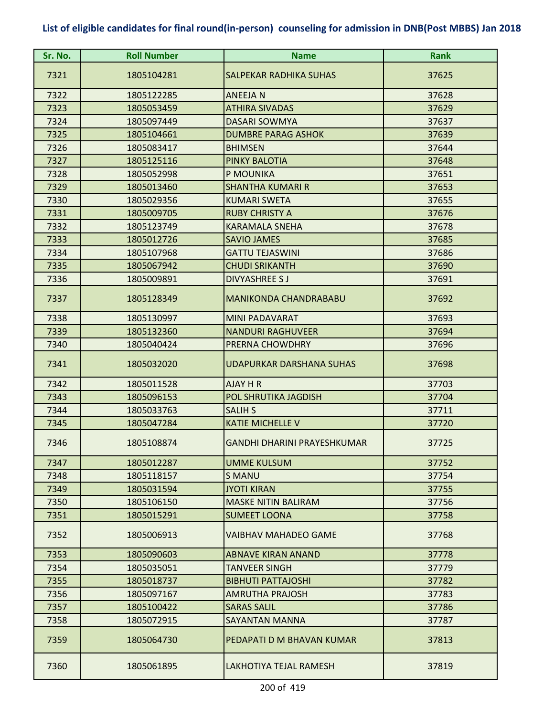| Sr. No. | <b>Roll Number</b> | <b>Name</b>                     | <b>Rank</b> |
|---------|--------------------|---------------------------------|-------------|
| 7321    | 1805104281         | <b>SALPEKAR RADHIKA SUHAS</b>   | 37625       |
| 7322    | 1805122285         | <b>ANEEJAN</b>                  | 37628       |
| 7323    | 1805053459         | <b>ATHIRA SIVADAS</b>           | 37629       |
| 7324    | 1805097449         | <b>DASARI SOWMYA</b>            | 37637       |
| 7325    | 1805104661         | <b>DUMBRE PARAG ASHOK</b>       | 37639       |
| 7326    | 1805083417         | <b>BHIMSEN</b>                  | 37644       |
| 7327    | 1805125116         | <b>PINKY BALOTIA</b>            | 37648       |
| 7328    | 1805052998         | P MOUNIKA                       | 37651       |
| 7329    | 1805013460         | <b>SHANTHA KUMARI R</b>         | 37653       |
| 7330    | 1805029356         | <b>KUMARI SWETA</b>             | 37655       |
| 7331    | 1805009705         | <b>RUBY CHRISTY A</b>           | 37676       |
| 7332    | 1805123749         | <b>KARAMALA SNEHA</b>           | 37678       |
| 7333    | 1805012726         | <b>SAVIO JAMES</b>              | 37685       |
| 7334    | 1805107968         | <b>GATTU TEJASWINI</b>          | 37686       |
| 7335    | 1805067942         | <b>CHUDI SRIKANTH</b>           | 37690       |
| 7336    | 1805009891         | <b>DIVYASHREE SJ</b>            | 37691       |
| 7337    | 1805128349         | <b>MANIKONDA CHANDRABABU</b>    | 37692       |
| 7338    | 1805130997         | <b>MINI PADAVARAT</b>           | 37693       |
| 7339    | 1805132360         | <b>NANDURI RAGHUVEER</b>        | 37694       |
| 7340    | 1805040424         | PRERNA CHOWDHRY                 | 37696       |
| 7341    | 1805032020         | <b>UDAPURKAR DARSHANA SUHAS</b> | 37698       |
| 7342    | 1805011528         | AJAY H R                        | 37703       |
| 7343    | 1805096153         | POL SHRUTIKA JAGDISH            | 37704       |
| 7344    | 1805033763         | <b>SALIH S</b>                  | 37711       |
| 7345    | 1805047284         | <b>KATIE MICHELLE V</b>         | 37720       |
| 7346    | 1805108874         | GANDHI DHARINI PRAYESHKUMAR     | 37725       |
| 7347    | 1805012287         | UMME KULSUM                     | 37752       |
| 7348    | 1805118157         | <b>S MANU</b>                   | 37754       |
| 7349    | 1805031594         | <b>JYOTI KIRAN</b>              | 37755       |
| 7350    | 1805106150         | <b>MASKE NITIN BALIRAM</b>      | 37756       |
| 7351    | 1805015291         | <b>SUMEET LOONA</b>             | 37758       |
| 7352    | 1805006913         | VAIBHAV MAHADEO GAME            | 37768       |
| 7353    | 1805090603         | <b>ABNAVE KIRAN ANAND</b>       | 37778       |
| 7354    | 1805035051         | <b>TANVEER SINGH</b>            | 37779       |
| 7355    | 1805018737         | <b>BIBHUTI PATTAJOSHI</b>       | 37782       |
| 7356    | 1805097167         | AMRUTHA PRAJOSH                 | 37783       |
| 7357    | 1805100422         | <b>SARAS SALIL</b>              | 37786       |
| 7358    | 1805072915         | <b>SAYANTAN MANNA</b>           | 37787       |
| 7359    | 1805064730         | PEDAPATI D M BHAVAN KUMAR       | 37813       |
| 7360    | 1805061895         | LAKHOTIYA TEJAL RAMESH          | 37819       |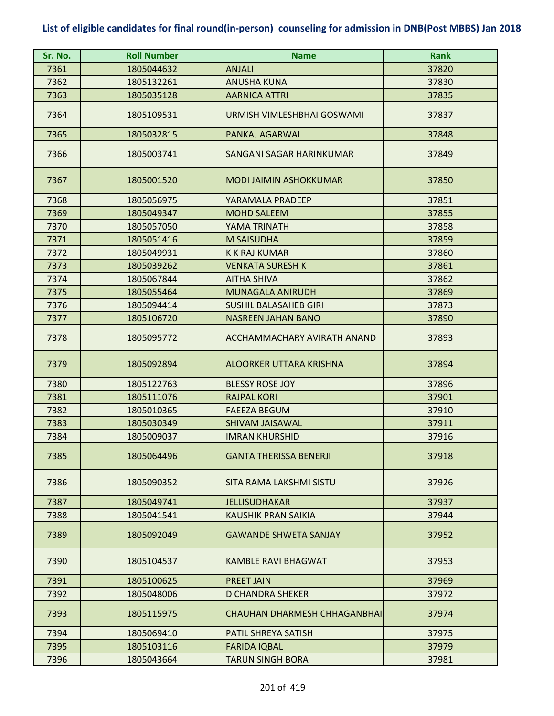| Sr. No. | <b>Roll Number</b> | <b>Name</b>                         | <b>Rank</b> |
|---------|--------------------|-------------------------------------|-------------|
| 7361    | 1805044632         | <b>ANJALI</b>                       | 37820       |
| 7362    | 1805132261         | <b>ANUSHA KUNA</b>                  | 37830       |
| 7363    | 1805035128         | <b>AARNICA ATTRI</b>                | 37835       |
| 7364    | 1805109531         | URMISH VIMLESHBHAI GOSWAMI          | 37837       |
| 7365    | 1805032815         | PANKAJ AGARWAL                      | 37848       |
| 7366    | 1805003741         | <b>SANGANI SAGAR HARINKUMAR</b>     | 37849       |
| 7367    | 1805001520         | <b>MODI JAIMIN ASHOKKUMAR</b>       | 37850       |
| 7368    | 1805056975         | YARAMALA PRADEEP                    | 37851       |
| 7369    | 1805049347         | <b>MOHD SALEEM</b>                  | 37855       |
| 7370    | 1805057050         | YAMA TRINATH                        | 37858       |
| 7371    | 1805051416         | <b>M SAISUDHA</b>                   | 37859       |
| 7372    | 1805049931         | <b>K K RAJ KUMAR</b>                | 37860       |
| 7373    | 1805039262         | <b>VENKATA SURESH K</b>             | 37861       |
| 7374    | 1805067844         | <b>AITHA SHIVA</b>                  | 37862       |
| 7375    | 1805055464         | <b>MUNAGALA ANIRUDH</b>             | 37869       |
| 7376    | 1805094414         | <b>SUSHIL BALASAHEB GIRI</b>        | 37873       |
| 7377    | 1805106720         | <b>NASREEN JAHAN BANO</b>           | 37890       |
| 7378    | 1805095772         | ACCHAMMACHARY AVIRATH ANAND         | 37893       |
| 7379    | 1805092894         | ALOORKER UTTARA KRISHNA             | 37894       |
| 7380    | 1805122763         | <b>BLESSY ROSE JOY</b>              | 37896       |
| 7381    | 1805111076         | <b>RAJPAL KORI</b>                  | 37901       |
| 7382    | 1805010365         | <b>FAEEZA BEGUM</b>                 | 37910       |
| 7383    | 1805030349         | <b>SHIVAM JAISAWAL</b>              | 37911       |
| 7384    | 1805009037         | <b>IMRAN KHURSHID</b>               | 37916       |
| 7385    | 1805064496         | <b>GANTA THERISSA BENERJI</b>       | 37918       |
| 7386    | 1805090352         | SITA RAMA LAKSHMI SISTU             | 37926       |
| 7387    | 1805049741         | <b>JELLISUDHAKAR</b>                | 37937       |
| 7388    | 1805041541         | KAUSHIK PRAN SAIKIA                 | 37944       |
| 7389    | 1805092049         | <b>GAWANDE SHWETA SANJAY</b>        | 37952       |
| 7390    | 1805104537         | <b>KAMBLE RAVI BHAGWAT</b>          | 37953       |
| 7391    | 1805100625         | <b>PREET JAIN</b>                   | 37969       |
| 7392    | 1805048006         | D CHANDRA SHEKER                    | 37972       |
| 7393    | 1805115975         | <b>CHAUHAN DHARMESH CHHAGANBHAI</b> | 37974       |
| 7394    | 1805069410         | PATIL SHREYA SATISH                 | 37975       |
| 7395    | 1805103116         | <b>FARIDA IQBAL</b>                 | 37979       |
| 7396    | 1805043664         | <b>TARUN SINGH BORA</b>             | 37981       |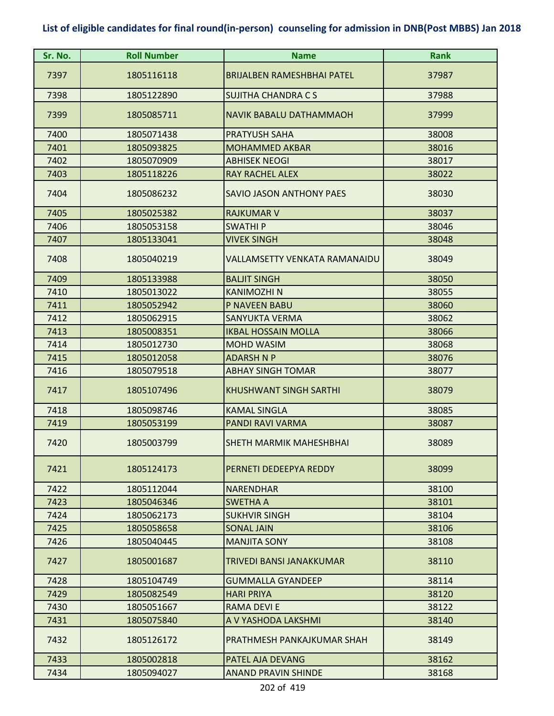| Sr. No. | <b>Roll Number</b> | <b>Name</b>                       | Rank  |
|---------|--------------------|-----------------------------------|-------|
| 7397    | 1805116118         | <b>BRIJALBEN RAMESHBHAI PATEL</b> | 37987 |
| 7398    | 1805122890         | <b>SUJITHA CHANDRA C S</b>        | 37988 |
| 7399    | 1805085711         | <b>NAVIK BABALU DATHAMMAOH</b>    | 37999 |
| 7400    | 1805071438         | <b>PRATYUSH SAHA</b>              | 38008 |
| 7401    | 1805093825         | <b>MOHAMMED AKBAR</b>             | 38016 |
| 7402    | 1805070909         | <b>ABHISEK NEOGI</b>              | 38017 |
| 7403    | 1805118226         | <b>RAY RACHEL ALEX</b>            | 38022 |
| 7404    | 1805086232         | SAVIO JASON ANTHONY PAES          | 38030 |
| 7405    | 1805025382         | <b>RAJKUMAR V</b>                 | 38037 |
| 7406    | 1805053158         | <b>SWATHIP</b>                    | 38046 |
| 7407    | 1805133041         | <b>VIVEK SINGH</b>                | 38048 |
| 7408    | 1805040219         | VALLAMSETTY VENKATA RAMANAIDU     | 38049 |
| 7409    | 1805133988         | <b>BALJIT SINGH</b>               | 38050 |
| 7410    | 1805013022         | <b>KANIMOZHI N</b>                | 38055 |
| 7411    | 1805052942         | <b>P NAVEEN BABU</b>              | 38060 |
| 7412    | 1805062915         | <b>SANYUKTA VERMA</b>             | 38062 |
| 7413    | 1805008351         | <b>IKBAL HOSSAIN MOLLA</b>        | 38066 |
| 7414    | 1805012730         | <b>MOHD WASIM</b>                 | 38068 |
| 7415    | 1805012058         | <b>ADARSH N P</b>                 | 38076 |
| 7416    | 1805079518         | <b>ABHAY SINGH TOMAR</b>          | 38077 |
| 7417    | 1805107496         | <b>KHUSHWANT SINGH SARTHI</b>     | 38079 |
| 7418    | 1805098746         | <b>KAMAL SINGLA</b>               | 38085 |
| 7419    | 1805053199         | PANDI RAVI VARMA                  | 38087 |
| 7420    | 1805003799         | SHETH MARMIK MAHESHBHAI           | 38089 |
| 7421    | 1805124173         | PERNETI DEDEEPYA REDDY            | 38099 |
| 7422    | 1805112044         | <b>NARENDHAR</b>                  | 38100 |
| 7423    | 1805046346         | <b>SWETHA A</b>                   | 38101 |
| 7424    | 1805062173         | <b>SUKHVIR SINGH</b>              | 38104 |
| 7425    | 1805058658         | <b>SONAL JAIN</b>                 | 38106 |
| 7426    | 1805040445         | <b>MANJITA SONY</b>               | 38108 |
| 7427    | 1805001687         | TRIVEDI BANSI JANAKKUMAR          | 38110 |
| 7428    | 1805104749         | <b>GUMMALLA GYANDEEP</b>          | 38114 |
| 7429    | 1805082549         | <b>HARI PRIYA</b>                 | 38120 |
| 7430    | 1805051667         | <b>RAMA DEVI E</b>                | 38122 |
| 7431    | 1805075840         | A V YASHODA LAKSHMI               | 38140 |
| 7432    | 1805126172         | PRATHMESH PANKAJKUMAR SHAH        | 38149 |
| 7433    | 1805002818         | PATEL AJA DEVANG                  | 38162 |
| 7434    | 1805094027         | <b>ANAND PRAVIN SHINDE</b>        | 38168 |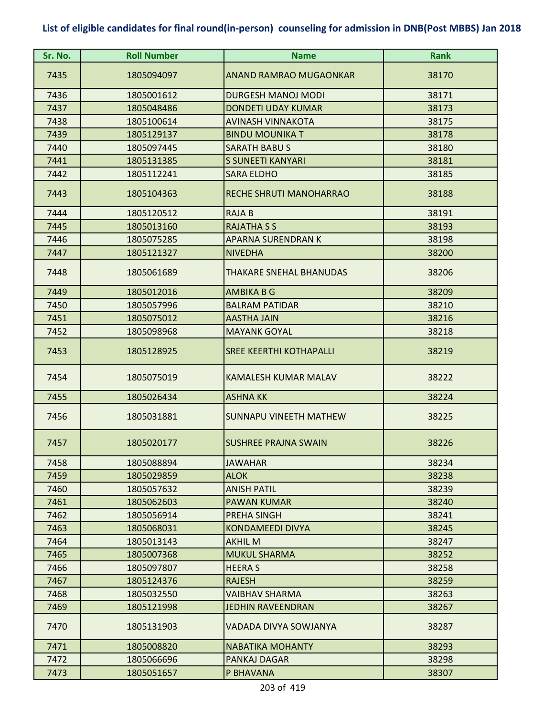| Sr. No. | <b>Roll Number</b> | <b>Name</b>                    | <b>Rank</b> |
|---------|--------------------|--------------------------------|-------------|
| 7435    | 1805094097         | <b>ANAND RAMRAO MUGAONKAR</b>  | 38170       |
| 7436    | 1805001612         | <b>DURGESH MANOJ MODI</b>      | 38171       |
| 7437    | 1805048486         | <b>DONDETI UDAY KUMAR</b>      | 38173       |
| 7438    | 1805100614         | <b>AVINASH VINNAKOTA</b>       | 38175       |
| 7439    | 1805129137         | <b>BINDU MOUNIKA T</b>         | 38178       |
| 7440    | 1805097445         | <b>SARATH BABUS</b>            | 38180       |
| 7441    | 1805131385         | S SUNEETI KANYARI              | 38181       |
| 7442    | 1805112241         | <b>SARA ELDHO</b>              | 38185       |
| 7443    | 1805104363         | RECHE SHRUTI MANOHARRAO        | 38188       |
| 7444    | 1805120512         | <b>RAJAB</b>                   | 38191       |
| 7445    | 1805013160         | <b>RAJATHA S S</b>             | 38193       |
| 7446    | 1805075285         | <b>APARNA SURENDRAN K</b>      | 38198       |
| 7447    | 1805121327         | <b>NIVEDHA</b>                 | 38200       |
| 7448    | 1805061689         | THAKARE SNEHAL BHANUDAS        | 38206       |
| 7449    | 1805012016         | <b>AMBIKA B G</b>              | 38209       |
| 7450    | 1805057996         | <b>BALRAM PATIDAR</b>          | 38210       |
| 7451    | 1805075012         | <b>AASTHA JAIN</b>             | 38216       |
| 7452    | 1805098968         | <b>MAYANK GOYAL</b>            | 38218       |
| 7453    | 1805128925         | <b>SREE KEERTHI KOTHAPALLI</b> | 38219       |
| 7454    | 1805075019         | <b>KAMALESH KUMAR MALAV</b>    | 38222       |
| 7455    | 1805026434         | <b>ASHNA KK</b>                | 38224       |
| 7456    | 1805031881         | <b>SUNNAPU VINEETH MATHEW</b>  | 38225       |
| 7457    | 1805020177         | SUSHREE PRAJNA SWAIN           | 38226       |
| 7458    | 1805088894         | <b>JAWAHAR</b>                 | 38234       |
| 7459    | 1805029859         | <b>ALOK</b>                    | 38238       |
| 7460    | 1805057632         | <b>ANISH PATIL</b>             | 38239       |
| 7461    | 1805062603         | <b>PAWAN KUMAR</b>             | 38240       |
| 7462    | 1805056914         | PREHA SINGH                    | 38241       |
| 7463    | 1805068031         | KONDAMEEDI DIVYA               | 38245       |
| 7464    | 1805013143         | <b>AKHIL M</b>                 | 38247       |
| 7465    | 1805007368         | <b>MUKUL SHARMA</b>            | 38252       |
| 7466    | 1805097807         | <b>HEERA S</b>                 | 38258       |
| 7467    | 1805124376         | <b>RAJESH</b>                  | 38259       |
| 7468    | 1805032550         | VAIBHAV SHARMA                 | 38263       |
| 7469    | 1805121998         | <b>JEDHIN RAVEENDRAN</b>       | 38267       |
| 7470    | 1805131903         | VADADA DIVYA SOWJANYA          | 38287       |
| 7471    | 1805008820         | <b>NABATIKA MOHANTY</b>        | 38293       |
| 7472    | 1805066696         | PANKAJ DAGAR                   | 38298       |
| 7473    | 1805051657         | P BHAVANA                      | 38307       |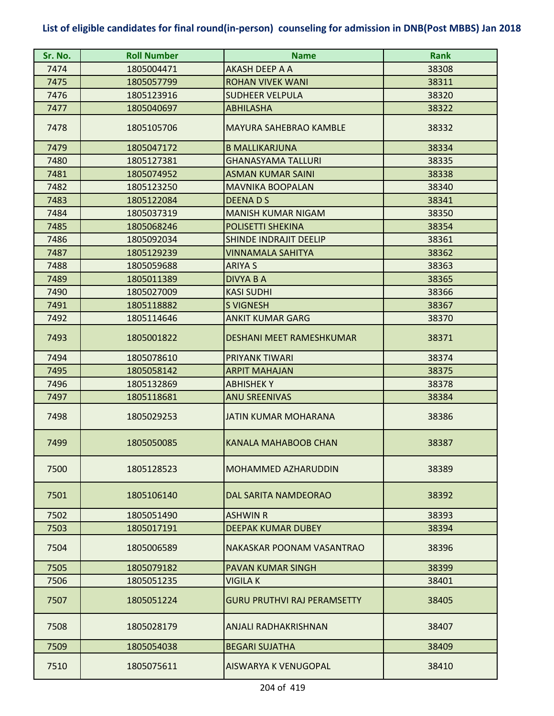| Sr. No. | <b>Roll Number</b> | <b>Name</b>                        | <b>Rank</b> |
|---------|--------------------|------------------------------------|-------------|
| 7474    | 1805004471         | <b>AKASH DEEP A A</b>              | 38308       |
| 7475    | 1805057799         | <b>ROHAN VIVEK WANI</b>            | 38311       |
| 7476    | 1805123916         | <b>SUDHEER VELPULA</b>             | 38320       |
| 7477    | 1805040697         | <b>ABHILASHA</b>                   | 38322       |
| 7478    | 1805105706         | <b>MAYURA SAHEBRAO KAMBLE</b>      | 38332       |
| 7479    | 1805047172         | <b>B MALLIKARJUNA</b>              | 38334       |
| 7480    | 1805127381         | GHANASYAMA TALLURI                 | 38335       |
| 7481    | 1805074952         | <b>ASMAN KUMAR SAINI</b>           | 38338       |
| 7482    | 1805123250         | <b>MAVNIKA BOOPALAN</b>            | 38340       |
| 7483    | 1805122084         | <b>DEENADS</b>                     | 38341       |
| 7484    | 1805037319         | <b>MANISH KUMAR NIGAM</b>          | 38350       |
| 7485    | 1805068246         | <b>POLISETTI SHEKINA</b>           | 38354       |
| 7486    | 1805092034         | <b>SHINDE INDRAJIT DEELIP</b>      | 38361       |
| 7487    | 1805129239         | VINNAMALA SAHITYA                  | 38362       |
| 7488    | 1805059688         | <b>ARIYA S</b>                     | 38363       |
| 7489    | 1805011389         | <b>DIVYA B A</b>                   | 38365       |
| 7490    | 1805027009         | <b>KASI SUDHI</b>                  | 38366       |
| 7491    | 1805118882         | <b>S VIGNESH</b>                   | 38367       |
| 7492    | 1805114646         | <b>ANKIT KUMAR GARG</b>            | 38370       |
| 7493    | 1805001822         | <b>DESHANI MEET RAMESHKUMAR</b>    | 38371       |
| 7494    | 1805078610         | <b>PRIYANK TIWARI</b>              | 38374       |
| 7495    | 1805058142         | <b>ARPIT MAHAJAN</b>               | 38375       |
| 7496    | 1805132869         | <b>ABHISHEKY</b>                   | 38378       |
| 7497    | 1805118681         | <b>ANU SREENIVAS</b>               | 38384       |
| 7498    | 1805029253         | <b>JATIN KUMAR MOHARANA</b>        | 38386       |
| 7499    | 1805050085         | KANALA MAHABOOB CHAN               | 38387       |
| 7500    | 1805128523         | <b>MOHAMMED AZHARUDDIN</b>         | 38389       |
| 7501    | 1805106140         | DAL SARITA NAMDEORAO               | 38392       |
| 7502    | 1805051490         | <b>ASHWIN R</b>                    | 38393       |
| 7503    | 1805017191         | <b>DEEPAK KUMAR DUBEY</b>          | 38394       |
| 7504    | 1805006589         | NAKASKAR POONAM VASANTRAO          | 38396       |
| 7505    | 1805079182         | <b>PAVAN KUMAR SINGH</b>           | 38399       |
| 7506    | 1805051235         | VIGILA K                           | 38401       |
| 7507    | 1805051224         | <b>GURU PRUTHVI RAJ PERAMSETTY</b> | 38405       |
| 7508    | 1805028179         | ANJALI RADHAKRISHNAN               | 38407       |
| 7509    | 1805054038         | <b>BEGARI SUJATHA</b>              | 38409       |
| 7510    | 1805075611         | AISWARYA K VENUGOPAL               | 38410       |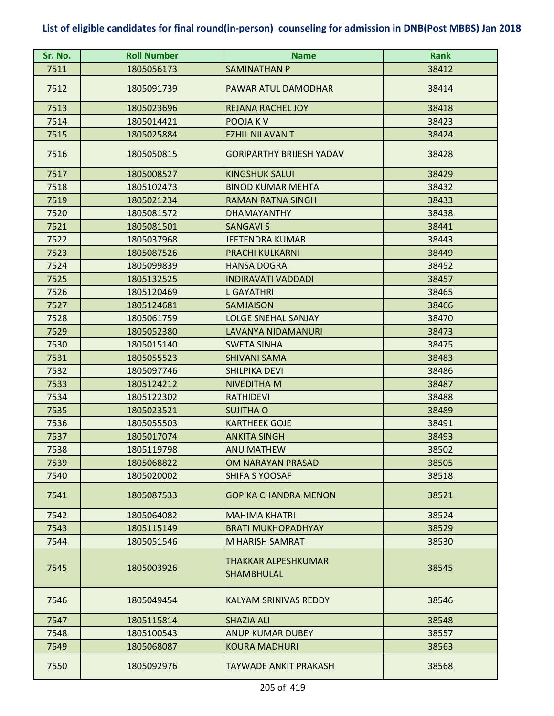| Sr. No. | <b>Roll Number</b> | <b>Name</b>                       | <b>Rank</b> |
|---------|--------------------|-----------------------------------|-------------|
| 7511    | 1805056173         | SAMINATHAN P                      | 38412       |
| 7512    | 1805091739         | PAWAR ATUL DAMODHAR               | 38414       |
| 7513    | 1805023696         | <b>REJANA RACHEL JOY</b>          | 38418       |
| 7514    | 1805014421         | POOJA K V                         | 38423       |
| 7515    | 1805025884         | <b>EZHIL NILAVAN T</b>            | 38424       |
| 7516    | 1805050815         | <b>GORIPARTHY BRIJESH YADAV</b>   | 38428       |
| 7517    | 1805008527         | <b>KINGSHUK SALUI</b>             | 38429       |
| 7518    | 1805102473         | <b>BINOD KUMAR MEHTA</b>          | 38432       |
| 7519    | 1805021234         | <b>RAMAN RATNA SINGH</b>          | 38433       |
| 7520    | 1805081572         | <b>DHAMAYANTHY</b>                | 38438       |
| 7521    | 1805081501         | <b>SANGAVI S</b>                  | 38441       |
| 7522    | 1805037968         | <b>JEETENDRA KUMAR</b>            | 38443       |
| 7523    | 1805087526         | <b>PRACHI KULKARNI</b>            | 38449       |
| 7524    | 1805099839         | <b>HANSA DOGRA</b>                | 38452       |
| 7525    | 1805132525         | <b>INDIRAVATI VADDADI</b>         | 38457       |
| 7526    | 1805120469         | <b>L GAYATHRI</b>                 | 38465       |
| 7527    | 1805124681         | <b>SAMJAISON</b>                  | 38466       |
| 7528    | 1805061759         | <b>LOLGE SNEHAL SANJAY</b>        | 38470       |
| 7529    | 1805052380         | LAVANYA NIDAMANURI                | 38473       |
| 7530    | 1805015140         | <b>SWETA SINHA</b>                | 38475       |
| 7531    | 1805055523         | <b>SHIVANI SAMA</b>               | 38483       |
| 7532    | 1805097746         | <b>SHILPIKA DEVI</b>              | 38486       |
| 7533    | 1805124212         | <b>NIVEDITHA M</b>                | 38487       |
| 7534    | 1805122302         | <b>RATHIDEVI</b>                  | 38488       |
| 7535    | 1805023521         | <b>SUJITHA O</b>                  | 38489       |
| 7536    | 1805055503         | <b>KARTHEEK GOJE</b>              | 38491       |
| 7537    | 1805017074         | <b>ANKITA SINGH</b>               | 38493       |
| 7538    | 1805119798         | <b>ANU MATHEW</b>                 | 38502       |
| 7539    | 1805068822         | OM NARAYAN PRASAD                 | 38505       |
| 7540    | 1805020002         | SHIFA S YOOSAF                    | 38518       |
| 7541    | 1805087533         | <b>GOPIKA CHANDRA MENON</b>       | 38521       |
| 7542    | 1805064082         | <b>MAHIMA KHATRI</b>              | 38524       |
| 7543    | 1805115149         | <b>BRATI MUKHOPADHYAY</b>         | 38529       |
| 7544    | 1805051546         | M HARISH SAMRAT                   | 38530       |
| 7545    | 1805003926         | THAKKAR ALPESHKUMAR<br>SHAMBHULAL | 38545       |
| 7546    | 1805049454         | KALYAM SRINIVAS REDDY             | 38546       |
| 7547    | 1805115814         | <b>SHAZIA ALI</b>                 | 38548       |
| 7548    | 1805100543         | ANUP KUMAR DUBEY                  | 38557       |
| 7549    | 1805068087         | <b>KOURA MADHURI</b>              | 38563       |
| 7550    | 1805092976         | TAYWADE ANKIT PRAKASH             | 38568       |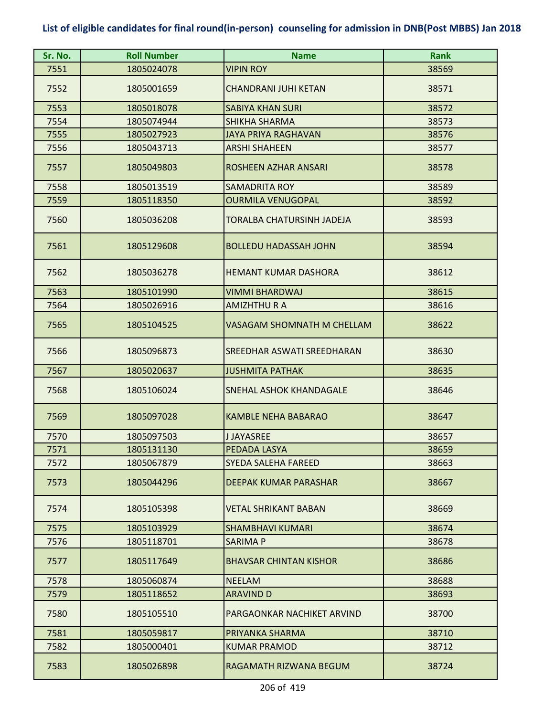| Sr. No. | <b>Roll Number</b> | <b>Name</b>                       | <b>Rank</b> |
|---------|--------------------|-----------------------------------|-------------|
| 7551    | 1805024078         | <b>VIPIN ROY</b>                  | 38569       |
| 7552    | 1805001659         | <b>CHANDRANI JUHI KETAN</b>       | 38571       |
| 7553    | 1805018078         | <b>SABIYA KHAN SURI</b>           | 38572       |
| 7554    | 1805074944         | <b>SHIKHA SHARMA</b>              | 38573       |
| 7555    | 1805027923         | <b>JAYA PRIYA RAGHAVAN</b>        | 38576       |
| 7556    | 1805043713         | <b>ARSHI SHAHEEN</b>              | 38577       |
| 7557    | 1805049803         | ROSHEEN AZHAR ANSARI              | 38578       |
| 7558    | 1805013519         | <b>SAMADRITA ROY</b>              | 38589       |
| 7559    | 1805118350         | <b>OURMILA VENUGOPAL</b>          | 38592       |
| 7560    | 1805036208         | <b>TORALBA CHATURSINH JADEJA</b>  | 38593       |
| 7561    | 1805129608         | <b>BOLLEDU HADASSAH JOHN</b>      | 38594       |
| 7562    | 1805036278         | <b>HEMANT KUMAR DASHORA</b>       | 38612       |
| 7563    | 1805101990         | <b>VIMMI BHARDWAJ</b>             | 38615       |
| 7564    | 1805026916         | <b>AMIZHTHU R A</b>               | 38616       |
| 7565    | 1805104525         | <b>VASAGAM SHOMNATH M CHELLAM</b> | 38622       |
| 7566    | 1805096873         | <b>SREEDHAR ASWATI SREEDHARAN</b> | 38630       |
| 7567    | 1805020637         | <b>JUSHMITA PATHAK</b>            | 38635       |
| 7568    | 1805106024         | SNEHAL ASHOK KHANDAGALE           | 38646       |
| 7569    | 1805097028         | <b>KAMBLE NEHA BABARAO</b>        | 38647       |
| 7570    | 1805097503         | <b>JJAYASREE</b>                  | 38657       |
| 7571    | 1805131130         | PEDADA LASYA                      | 38659       |
| 7572    | 1805067879         | SYEDA SALEHA FAREED               | 38663       |
| 7573    | 1805044296         | <b>DEEPAK KUMAR PARASHAR</b>      | 38667       |
| 7574    | 1805105398         | <b>VETAL SHRIKANT BABAN</b>       | 38669       |
| 7575    | 1805103929         | <b>SHAMBHAVI KUMARI</b>           | 38674       |
| 7576    | 1805118701         | <b>SARIMA P</b>                   | 38678       |
| 7577    | 1805117649         | <b>BHAVSAR CHINTAN KISHOR</b>     | 38686       |
| 7578    | 1805060874         | <b>NEELAM</b>                     | 38688       |
| 7579    | 1805118652         | <b>ARAVIND D</b>                  | 38693       |
| 7580    | 1805105510         | PARGAONKAR NACHIKET ARVIND        | 38700       |
| 7581    | 1805059817         | PRIYANKA SHARMA                   | 38710       |
| 7582    | 1805000401         | <b>KUMAR PRAMOD</b>               | 38712       |
| 7583    | 1805026898         | RAGAMATH RIZWANA BEGUM            | 38724       |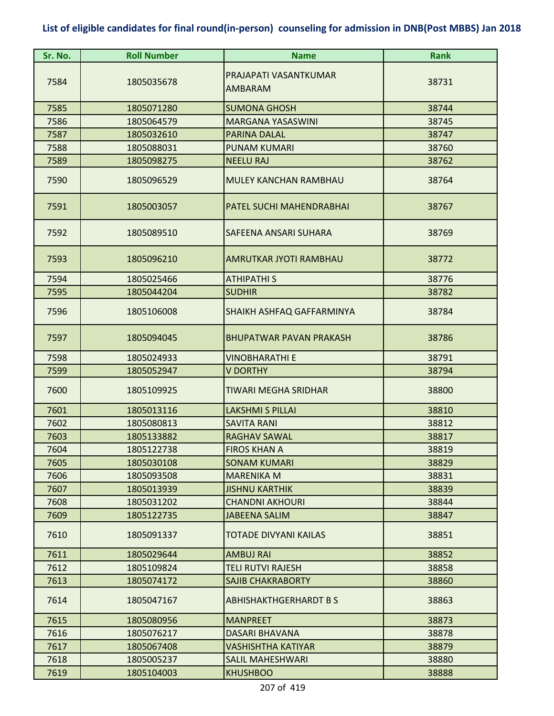| Sr. No. | <b>Roll Number</b> | <b>Name</b>                      | <b>Rank</b> |
|---------|--------------------|----------------------------------|-------------|
| 7584    | 1805035678         | PRAJAPATI VASANTKUMAR<br>AMBARAM | 38731       |
| 7585    | 1805071280         | <b>SUMONA GHOSH</b>              | 38744       |
| 7586    | 1805064579         | <b>MARGANA YASASWINI</b>         | 38745       |
| 7587    | 1805032610         | PARINA DALAL                     | 38747       |
| 7588    | 1805088031         | <b>PUNAM KUMARI</b>              | 38760       |
| 7589    | 1805098275         | <b>NEELU RAJ</b>                 | 38762       |
| 7590    | 1805096529         | MULEY KANCHAN RAMBHAU            | 38764       |
| 7591    | 1805003057         | PATEL SUCHI MAHENDRABHAI         | 38767       |
| 7592    | 1805089510         | SAFEENA ANSARI SUHARA            | 38769       |
| 7593    | 1805096210         | AMRUTKAR JYOTI RAMBHAU           | 38772       |
| 7594    | 1805025466         | <b>ATHIPATHI S</b>               | 38776       |
| 7595    | 1805044204         | <b>SUDHIR</b>                    | 38782       |
| 7596    | 1805106008         | SHAIKH ASHFAQ GAFFARMINYA        | 38784       |
| 7597    | 1805094045         | <b>BHUPATWAR PAVAN PRAKASH</b>   | 38786       |
| 7598    | 1805024933         | <b>VINOBHARATHI E</b>            | 38791       |
| 7599    | 1805052947         | <b>V DORTHY</b>                  | 38794       |
| 7600    | 1805109925         | <b>TIWARI MEGHA SRIDHAR</b>      | 38800       |
| 7601    | 1805013116         | <b>LAKSHMI S PILLAI</b>          | 38810       |
| 7602    | 1805080813         | <b>SAVITA RANI</b>               | 38812       |
| 7603    | 1805133882         | <b>RAGHAV SAWAL</b>              | 38817       |
| 7604    | 1805122738         | <b>FIROS KHAN A</b>              | 38819       |
| 7605    | 1805030108         | <b>SONAM KUMARI</b>              | 38829       |
| 7606    | 1805093508         | <b>MARENIKA M</b>                | 38831       |
| 7607    | 1805013939         | <b>JISHNU KARTHIK</b>            | 38839       |
| 7608    | 1805031202         | <b>CHANDNI AKHOURI</b>           | 38844       |
| 7609    | 1805122735         | <b>JABEENA SALIM</b>             | 38847       |
| 7610    | 1805091337         | TOTADE DIVYANI KAILAS            | 38851       |
| 7611    | 1805029644         | <b>AMBUJ RAI</b>                 | 38852       |
| 7612    | 1805109824         | <b>TELI RUTVI RAJESH</b>         | 38858       |
| 7613    | 1805074172         | <b>SAJIB CHAKRABORTY</b>         | 38860       |
| 7614    | 1805047167         | <b>ABHISHAKTHGERHARDT BS</b>     | 38863       |
| 7615    | 1805080956         | <b>MANPREET</b>                  | 38873       |
| 7616    | 1805076217         | <b>DASARI BHAVANA</b>            | 38878       |
| 7617    | 1805067408         | <b>VASHISHTHA KATIYAR</b>        | 38879       |
| 7618    | 1805005237         | <b>SALIL MAHESHWARI</b>          | 38880       |
| 7619    | 1805104003         | <b>KHUSHBOO</b>                  | 38888       |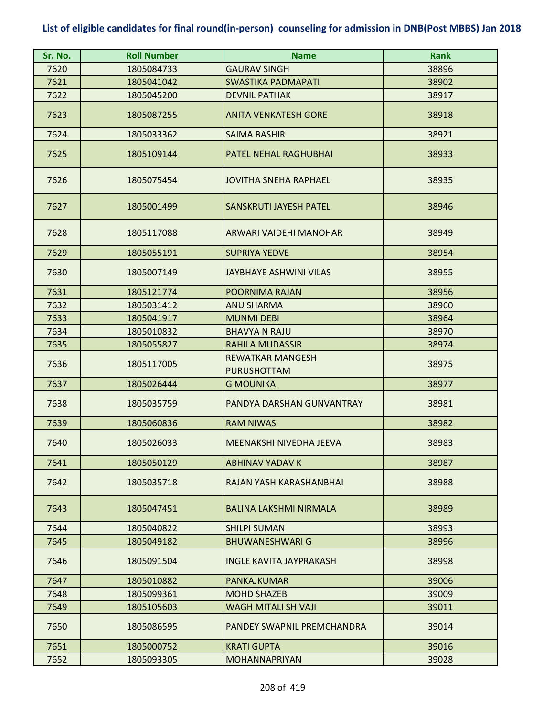| Sr. No. | <b>Roll Number</b> | <b>Name</b>                                   | <b>Rank</b> |
|---------|--------------------|-----------------------------------------------|-------------|
| 7620    | 1805084733         | <b>GAURAV SINGH</b>                           | 38896       |
| 7621    | 1805041042         | <b>SWASTIKA PADMAPATI</b>                     | 38902       |
| 7622    | 1805045200         | <b>DEVNIL PATHAK</b>                          | 38917       |
| 7623    | 1805087255         | <b>ANITA VENKATESH GORE</b>                   | 38918       |
| 7624    | 1805033362         | <b>SAIMA BASHIR</b>                           | 38921       |
| 7625    | 1805109144         | <b>PATEL NEHAL RAGHUBHAI</b>                  | 38933       |
| 7626    | 1805075454         | JOVITHA SNEHA RAPHAEL                         | 38935       |
| 7627    | 1805001499         | SANSKRUTI JAYESH PATEL                        | 38946       |
| 7628    | 1805117088         | ARWARI VAIDEHI MANOHAR                        | 38949       |
| 7629    | 1805055191         | <b>SUPRIYA YEDVE</b>                          | 38954       |
| 7630    | 1805007149         | JAYBHAYE ASHWINI VILAS                        | 38955       |
| 7631    | 1805121774         | <b>POORNIMA RAJAN</b>                         | 38956       |
| 7632    | 1805031412         | <b>ANU SHARMA</b>                             | 38960       |
| 7633    | 1805041917         | <b>MUNMI DEBI</b>                             | 38964       |
| 7634    | 1805010832         | <b>BHAVYA N RAJU</b>                          | 38970       |
| 7635    | 1805055827         | <b>RAHILA MUDASSIR</b>                        | 38974       |
| 7636    | 1805117005         | <b>REWATKAR MANGESH</b><br><b>PURUSHOTTAM</b> | 38975       |
| 7637    | 1805026444         | <b>G MOUNIKA</b>                              | 38977       |
| 7638    | 1805035759         | PANDYA DARSHAN GUNVANTRAY                     | 38981       |
| 7639    | 1805060836         | <b>RAM NIWAS</b>                              | 38982       |
| 7640    | 1805026033         | MEENAKSHI NIVEDHA JEEVA                       | 38983       |
| 7641    | 1805050129         | <b>ABHINAV YADAV K</b>                        | 38987       |
| 7642    | 1805035718         | RAJAN YASH KARASHANBHAI                       | 38988       |
| 7643    | 1805047451         | <b>BALINA LAKSHMI NIRMALA</b>                 | 38989       |
| 7644    | 1805040822         | <b>SHILPI SUMAN</b>                           | 38993       |
| 7645    | 1805049182         | <b>BHUWANESHWARI G</b>                        | 38996       |
| 7646    | 1805091504         | <b>INGLE KAVITA JAYPRAKASH</b>                | 38998       |
| 7647    | 1805010882         | PANKAJKUMAR                                   | 39006       |
| 7648    | 1805099361         | <b>MOHD SHAZEB</b>                            | 39009       |
| 7649    | 1805105603         | <b>WAGH MITALI SHIVAJI</b>                    | 39011       |
| 7650    | 1805086595         | <b>PANDEY SWAPNIL PREMCHANDRA</b>             | 39014       |
| 7651    | 1805000752         | <b>KRATI GUPTA</b>                            | 39016       |
| 7652    | 1805093305         | <b>MOHANNAPRIYAN</b>                          | 39028       |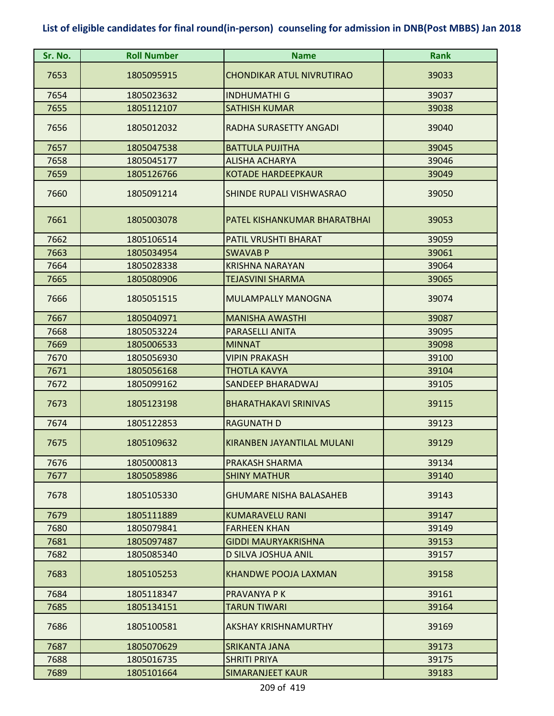| Sr. No. | <b>Roll Number</b> | <b>Name</b>                      | Rank  |
|---------|--------------------|----------------------------------|-------|
| 7653    | 1805095915         | <b>CHONDIKAR ATUL NIVRUTIRAO</b> | 39033 |
| 7654    | 1805023632         | <b>INDHUMATHI G</b>              | 39037 |
| 7655    | 1805112107         | <b>SATHISH KUMAR</b>             | 39038 |
| 7656    | 1805012032         | RADHA SURASETTY ANGADI           | 39040 |
| 7657    | 1805047538         | <b>BATTULA PUJITHA</b>           | 39045 |
| 7658    | 1805045177         | <b>ALISHA ACHARYA</b>            | 39046 |
| 7659    | 1805126766         | <b>KOTADE HARDEEPKAUR</b>        | 39049 |
| 7660    | 1805091214         | SHINDE RUPALI VISHWASRAO         | 39050 |
| 7661    | 1805003078         | PATEL KISHANKUMAR BHARATBHAI     | 39053 |
| 7662    | 1805106514         | PATIL VRUSHTI BHARAT             | 39059 |
| 7663    | 1805034954         | <b>SWAVAB P</b>                  | 39061 |
| 7664    | 1805028338         | <b>KRISHNA NARAYAN</b>           | 39064 |
| 7665    | 1805080906         | TEJASVINI SHARMA                 | 39065 |
| 7666    | 1805051515         | <b>MULAMPALLY MANOGNA</b>        | 39074 |
| 7667    | 1805040971         | <b>MANISHA AWASTHI</b>           | 39087 |
| 7668    | 1805053224         | <b>PARASELLI ANITA</b>           | 39095 |
| 7669    | 1805006533         | <b>MINNAT</b>                    | 39098 |
| 7670    | 1805056930         | <b>VIPIN PRAKASH</b>             | 39100 |
| 7671    | 1805056168         | THOTLA KAVYA                     | 39104 |
| 7672    | 1805099162         | SANDEEP BHARADWAJ                | 39105 |
| 7673    | 1805123198         | <b>BHARATHAKAVI SRINIVAS</b>     | 39115 |
| 7674    | 1805122853         | <b>RAGUNATH D</b>                | 39123 |
| 7675    | 1805109632         | KIRANBEN JAYANTILAL MULANI       | 39129 |
| 7676    | 1805000813         | PRAKASH SHARMA                   | 39134 |
| 7677    | 1805058986         | <b>SHINY MATHUR</b>              | 39140 |
| 7678    | 1805105330         | <b>GHUMARE NISHA BALASAHEB</b>   | 39143 |
| 7679    | 1805111889         | <b>KUMARAVELU RANI</b>           | 39147 |
| 7680    | 1805079841         | <b>FARHEEN KHAN</b>              | 39149 |
| 7681    | 1805097487         | <b>GIDDI MAURYAKRISHNA</b>       | 39153 |
| 7682    | 1805085340         | D SILVA JOSHUA ANIL              | 39157 |
| 7683    | 1805105253         | <b>KHANDWE POOJA LAXMAN</b>      | 39158 |
| 7684    | 1805118347         | PRAVANYA P K                     | 39161 |
| 7685    | 1805134151         | <b>TARUN TIWARI</b>              | 39164 |
| 7686    | 1805100581         | AKSHAY KRISHNAMURTHY             | 39169 |
| 7687    | 1805070629         | SRIKANTA JANA                    | 39173 |
| 7688    | 1805016735         | <b>SHRITI PRIYA</b>              | 39175 |
| 7689    | 1805101664         | SIMARANJEET KAUR                 | 39183 |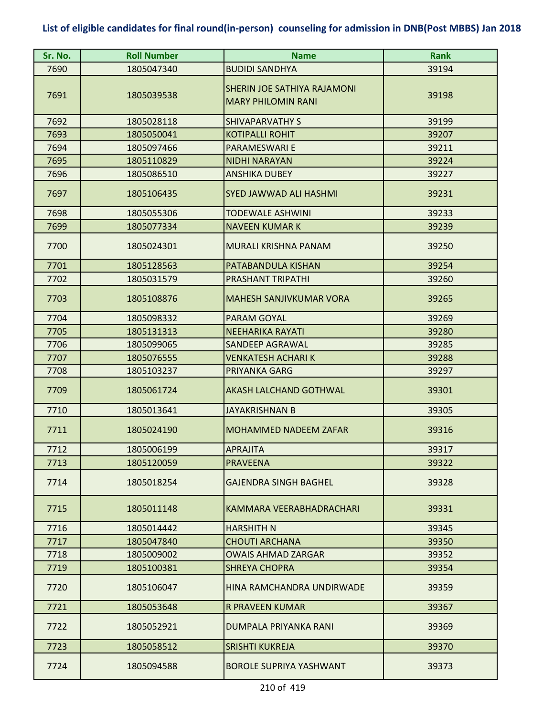| Sr. No. | <b>Roll Number</b> | <b>Name</b>                                                     | <b>Rank</b> |
|---------|--------------------|-----------------------------------------------------------------|-------------|
| 7690    | 1805047340         | <b>BUDIDI SANDHYA</b>                                           | 39194       |
| 7691    | 1805039538         | <b>SHERIN JOE SATHIYA RAJAMONI</b><br><b>MARY PHILOMIN RANI</b> | 39198       |
| 7692    | 1805028118         | <b>SHIVAPARVATHY S</b>                                          | 39199       |
| 7693    | 1805050041         | <b>KOTIPALLI ROHIT</b>                                          | 39207       |
| 7694    | 1805097466         | <b>PARAMESWARI E</b>                                            | 39211       |
| 7695    | 1805110829         | <b>NIDHI NARAYAN</b>                                            | 39224       |
| 7696    | 1805086510         | <b>ANSHIKA DUBEY</b>                                            | 39227       |
| 7697    | 1805106435         | <b>SYED JAWWAD ALI HASHMI</b>                                   | 39231       |
| 7698    | 1805055306         | <b>TODEWALE ASHWINI</b>                                         | 39233       |
| 7699    | 1805077334         | <b>NAVEEN KUMAR K</b>                                           | 39239       |
| 7700    | 1805024301         | MURALI KRISHNA PANAM                                            | 39250       |
| 7701    | 1805128563         | PATABANDULA KISHAN                                              | 39254       |
| 7702    | 1805031579         | PRASHANT TRIPATHI                                               | 39260       |
| 7703    | 1805108876         | <b>MAHESH SANJIVKUMAR VORA</b>                                  | 39265       |
| 7704    | 1805098332         | PARAM GOYAL                                                     | 39269       |
| 7705    | 1805131313         | <b>NEEHARIKA RAYATI</b>                                         | 39280       |
| 7706    | 1805099065         | SANDEEP AGRAWAL                                                 | 39285       |
| 7707    | 1805076555         | <b>VENKATESH ACHARIK</b>                                        | 39288       |
| 7708    | 1805103237         | PRIYANKA GARG                                                   | 39297       |
| 7709    | 1805061724         | AKASH LALCHAND GOTHWAL                                          | 39301       |
| 7710    | 1805013641         | <b>JAYAKRISHNAN B</b>                                           | 39305       |
| 7711    | 1805024190         | MOHAMMED NADEEM ZAFAR                                           | 39316       |
| 7712    | 1805006199         | <b>APRAJITA</b>                                                 | 39317       |
| 7713    | 1805120059         | <b>PRAVEENA</b>                                                 | 39322       |
| 7714    | 1805018254         | <b>GAJENDRA SINGH BAGHEL</b>                                    | 39328       |
| 7715    | 1805011148         | KAMMARA VEERABHADRACHARI                                        | 39331       |
| 7716    | 1805014442         | <b>HARSHITH N</b>                                               | 39345       |
| 7717    | 1805047840         | <b>CHOUTI ARCHANA</b>                                           | 39350       |
| 7718    | 1805009002         | <b>OWAIS AHMAD ZARGAR</b>                                       | 39352       |
| 7719    | 1805100381         | <b>SHREYA CHOPRA</b>                                            | 39354       |
| 7720    | 1805106047         | HINA RAMCHANDRA UNDIRWADE                                       | 39359       |
| 7721    | 1805053648         | R PRAVEEN KUMAR                                                 | 39367       |
| 7722    | 1805052921         | DUMPALA PRIYANKA RANI                                           | 39369       |
| 7723    | 1805058512         | <b>SRISHTI KUKREJA</b>                                          | 39370       |
| 7724    | 1805094588         | <b>BOROLE SUPRIYA YASHWANT</b>                                  | 39373       |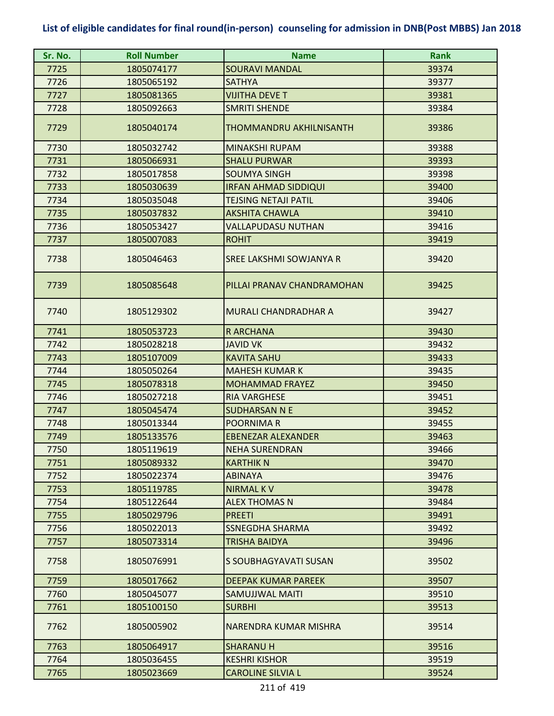| Sr. No. | <b>Roll Number</b> | <b>Name</b>                 | <b>Rank</b> |
|---------|--------------------|-----------------------------|-------------|
| 7725    | 1805074177         | <b>SOURAVI MANDAL</b>       | 39374       |
| 7726    | 1805065192         | <b>SATHYA</b>               | 39377       |
| 7727    | 1805081365         | <b>VIJITHA DEVE T</b>       | 39381       |
| 7728    | 1805092663         | <b>SMRITI SHENDE</b>        | 39384       |
| 7729    | 1805040174         | THOMMANDRU AKHILNISANTH     | 39386       |
| 7730    | 1805032742         | MINAKSHI RUPAM              | 39388       |
| 7731    | 1805066931         | <b>SHALU PURWAR</b>         | 39393       |
| 7732    | 1805017858         | <b>SOUMYA SINGH</b>         | 39398       |
| 7733    | 1805030639         | <b>IRFAN AHMAD SIDDIQUI</b> | 39400       |
| 7734    | 1805035048         | TEJSING NETAJI PATIL        | 39406       |
| 7735    | 1805037832         | <b>AKSHITA CHAWLA</b>       | 39410       |
| 7736    | 1805053427         | VALLAPUDASU NUTHAN          | 39416       |
| 7737    | 1805007083         | <b>ROHIT</b>                | 39419       |
| 7738    | 1805046463         | SREE LAKSHMI SOWJANYA R     | 39420       |
| 7739    | 1805085648         | PILLAI PRANAV CHANDRAMOHAN  | 39425       |
| 7740    | 1805129302         | <b>MURALI CHANDRADHAR A</b> | 39427       |
| 7741    | 1805053723         | <b>RARCHANA</b>             | 39430       |
| 7742    | 1805028218         | JAVID VK                    | 39432       |
| 7743    | 1805107009         | <b>KAVITA SAHU</b>          | 39433       |
| 7744    | 1805050264         | <b>MAHESH KUMAR K</b>       | 39435       |
| 7745    | 1805078318         | <b>MOHAMMAD FRAYEZ</b>      | 39450       |
| 7746    | 1805027218         | <b>RIA VARGHESE</b>         | 39451       |
| 7747    | 1805045474         | <b>SUDHARSAN N E</b>        | 39452       |
| 7748    | 1805013344         | <b>POORNIMAR</b>            | 39455       |
| 7749    | 1805133576         | <b>EBENEZAR ALEXANDER</b>   | 39463       |
| 7750    | 1805119619         | <b>NEHA SURENDRAN</b>       | 39466       |
| 7751    | 1805089332         | <b>KARTHIK N</b>            | 39470       |
| 7752    | 1805022374         | <b>ABINAYA</b>              | 39476       |
| 7753    | 1805119785         | <b>NIRMAL KV</b>            | 39478       |
| 7754    | 1805122644         | <b>ALEX THOMAS N</b>        | 39484       |
| 7755    | 1805029796         | <b>PREETI</b>               | 39491       |
| 7756    | 1805022013         | <b>SSNEGDHA SHARMA</b>      | 39492       |
| 7757    | 1805073314         | TRISHA BAIDYA               | 39496       |
| 7758    | 1805076991         | S SOUBHAGYAVATI SUSAN       | 39502       |
| 7759    | 1805017662         | <b>DEEPAK KUMAR PAREEK</b>  | 39507       |
| 7760    | 1805045077         | SAMUJJWAL MAITI             | 39510       |
| 7761    | 1805100150         | <b>SURBHI</b>               | 39513       |
| 7762    | 1805005902         | NARENDRA KUMAR MISHRA       | 39514       |
| 7763    | 1805064917         | <b>SHARANU H</b>            | 39516       |
| 7764    | 1805036455         | <b>KESHRI KISHOR</b>        | 39519       |
| 7765    | 1805023669         | <b>CAROLINE SILVIA L</b>    | 39524       |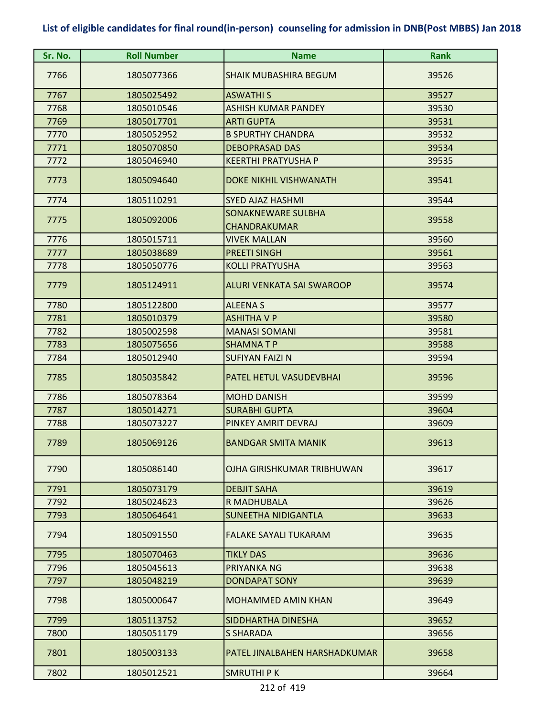| Sr. No. | <b>Roll Number</b> | <b>Name</b>                               | <b>Rank</b> |
|---------|--------------------|-------------------------------------------|-------------|
| 7766    | 1805077366         | <b>SHAIK MUBASHIRA BEGUM</b>              | 39526       |
| 7767    | 1805025492         | <b>ASWATHIS</b>                           | 39527       |
| 7768    | 1805010546         | <b>ASHISH KUMAR PANDEY</b>                | 39530       |
| 7769    | 1805017701         | <b>ARTI GUPTA</b>                         | 39531       |
| 7770    | 1805052952         | <b>B SPURTHY CHANDRA</b>                  | 39532       |
| 7771    | 1805070850         | <b>DEBOPRASAD DAS</b>                     | 39534       |
| 7772    | 1805046940         | <b>KEERTHI PRATYUSHA P</b>                | 39535       |
| 7773    | 1805094640         | <b>DOKE NIKHIL VISHWANATH</b>             | 39541       |
| 7774    | 1805110291         | <b>SYED AJAZ HASHMI</b>                   | 39544       |
| 7775    | 1805092006         | SONAKNEWARE SULBHA<br><b>CHANDRAKUMAR</b> | 39558       |
| 7776    | 1805015711         | <b>VIVEK MALLAN</b>                       | 39560       |
| 7777    | 1805038689         | <b>PREETI SINGH</b>                       | 39561       |
| 7778    | 1805050776         | <b>KOLLI PRATYUSHA</b>                    | 39563       |
| 7779    | 1805124911         | <b>ALURI VENKATA SAI SWAROOP</b>          | 39574       |
| 7780    | 1805122800         | <b>ALEENAS</b>                            | 39577       |
| 7781    | 1805010379         | <b>ASHITHA V P</b>                        | 39580       |
| 7782    | 1805002598         | <b>MANASI SOMANI</b>                      | 39581       |
| 7783    | 1805075656         | <b>SHAMNATP</b>                           | 39588       |
| 7784    | 1805012940         | <b>SUFIYAN FAIZI N</b>                    | 39594       |
| 7785    | 1805035842         | PATEL HETUL VASUDEVBHAI                   | 39596       |
| 7786    | 1805078364         | <b>MOHD DANISH</b>                        | 39599       |
| 7787    | 1805014271         | <b>SURABHI GUPTA</b>                      | 39604       |
| 7788    | 1805073227         | PINKEY AMRIT DEVRAJ                       | 39609       |
| 7789    | 1805069126         | <b>BANDGAR SMITA MANIK</b>                | 39613       |
| 7790    | 1805086140         | OJHA GIRISHKUMAR TRIBHUWAN                | 39617       |
| 7791    | 1805073179         | <b>DEBJIT SAHA</b>                        | 39619       |
| 7792    | 1805024623         | R MADHUBALA                               | 39626       |
| 7793    | 1805064641         | <b>SUNEETHA NIDIGANTLA</b>                | 39633       |
| 7794    | 1805091550         | <b>FALAKE SAYALI TUKARAM</b>              | 39635       |
| 7795    | 1805070463         | <b>TIKLY DAS</b>                          | 39636       |
| 7796    | 1805045613         | PRIYANKA NG                               | 39638       |
| 7797    | 1805048219         | <b>DONDAPAT SONY</b>                      | 39639       |
| 7798    | 1805000647         | <b>MOHAMMED AMIN KHAN</b>                 | 39649       |
| 7799    | 1805113752         | SIDDHARTHA DINESHA                        | 39652       |
| 7800    | 1805051179         | <b>S SHARADA</b>                          | 39656       |
| 7801    | 1805003133         | PATEL JINALBAHEN HARSHADKUMAR             | 39658       |
| 7802    | 1805012521         | <b>SMRUTHIPK</b>                          | 39664       |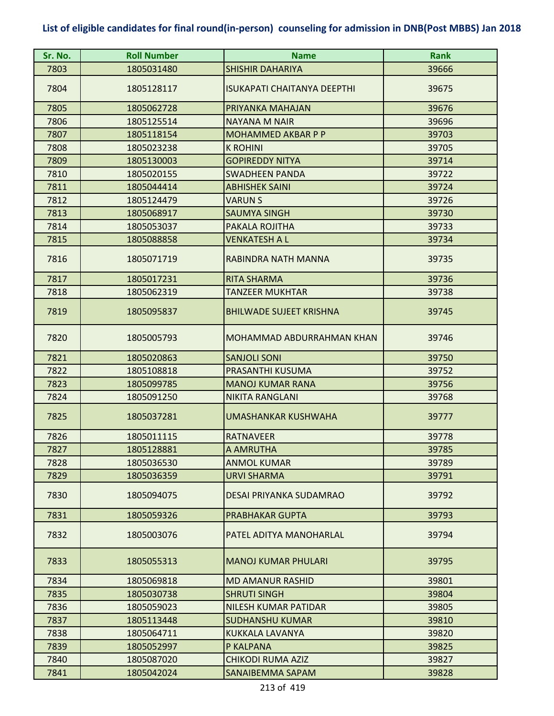| Sr. No. | <b>Roll Number</b> | <b>Name</b>                        | <b>Rank</b> |
|---------|--------------------|------------------------------------|-------------|
| 7803    | 1805031480         | <b>SHISHIR DAHARIYA</b>            | 39666       |
| 7804    | 1805128117         | <b>ISUKAPATI CHAITANYA DEEPTHI</b> | 39675       |
| 7805    | 1805062728         | PRIYANKA MAHAJAN                   | 39676       |
| 7806    | 1805125514         | <b>NAYANA M NAIR</b>               | 39696       |
| 7807    | 1805118154         | <b>MOHAMMED AKBAR P P</b>          | 39703       |
| 7808    | 1805023238         | <b>K ROHINI</b>                    | 39705       |
| 7809    | 1805130003         | <b>GOPIREDDY NITYA</b>             | 39714       |
| 7810    | 1805020155         | <b>SWADHEEN PANDA</b>              | 39722       |
| 7811    | 1805044414         | <b>ABHISHEK SAINI</b>              | 39724       |
| 7812    | 1805124479         | <b>VARUN S</b>                     | 39726       |
| 7813    | 1805068917         | <b>SAUMYA SINGH</b>                | 39730       |
| 7814    | 1805053037         | PAKALA ROJITHA                     | 39733       |
| 7815    | 1805088858         | <b>VENKATESH A L</b>               | 39734       |
| 7816    | 1805071719         | RABINDRA NATH MANNA                | 39735       |
| 7817    | 1805017231         | <b>RITA SHARMA</b>                 | 39736       |
| 7818    | 1805062319         | <b>TANZEER MUKHTAR</b>             | 39738       |
| 7819    | 1805095837         | <b>BHILWADE SUJEET KRISHNA</b>     | 39745       |
| 7820    | 1805005793         | MOHAMMAD ABDURRAHMAN KHAN          | 39746       |
| 7821    | 1805020863         | <b>SANJOLI SONI</b>                | 39750       |
| 7822    | 1805108818         | PRASANTHI KUSUMA                   | 39752       |
| 7823    | 1805099785         | <b>MANOJ KUMAR RANA</b>            | 39756       |
| 7824    | 1805091250         | <b>NIKITA RANGLANI</b>             | 39768       |
| 7825    | 1805037281         | <b>UMASHANKAR KUSHWAHA</b>         | 39777       |
| 7826    | 1805011115         | <b>RATNAVEER</b>                   | 39778       |
| 7827    | 1805128881         | <b>A AMRUTHA</b>                   | 39785       |
| 7828    | 1805036530         | <b>ANMOL KUMAR</b>                 | 39789       |
| 7829    | 1805036359         | <b>URVI SHARMA</b>                 | 39791       |
| 7830    | 1805094075         | DESAI PRIYANKA SUDAMRAO            | 39792       |
| 7831    | 1805059326         | <b>PRABHAKAR GUPTA</b>             | 39793       |
| 7832    | 1805003076         | PATEL ADITYA MANOHARLAL            | 39794       |
| 7833    | 1805055313         | <b>MANOJ KUMAR PHULARI</b>         | 39795       |
| 7834    | 1805069818         | <b>MD AMANUR RASHID</b>            | 39801       |
| 7835    | 1805030738         | <b>SHRUTI SINGH</b>                | 39804       |
| 7836    | 1805059023         | NILESH KUMAR PATIDAR               | 39805       |
| 7837    | 1805113448         | <b>SUDHANSHU KUMAR</b>             | 39810       |
| 7838    | 1805064711         | KUKKALA LAVANYA                    | 39820       |
| 7839    | 1805052997         | P KALPANA                          | 39825       |
| 7840    | 1805087020         | <b>CHIKODI RUMA AZIZ</b>           | 39827       |
| 7841    | 1805042024         | SANAIBEMMA SAPAM                   | 39828       |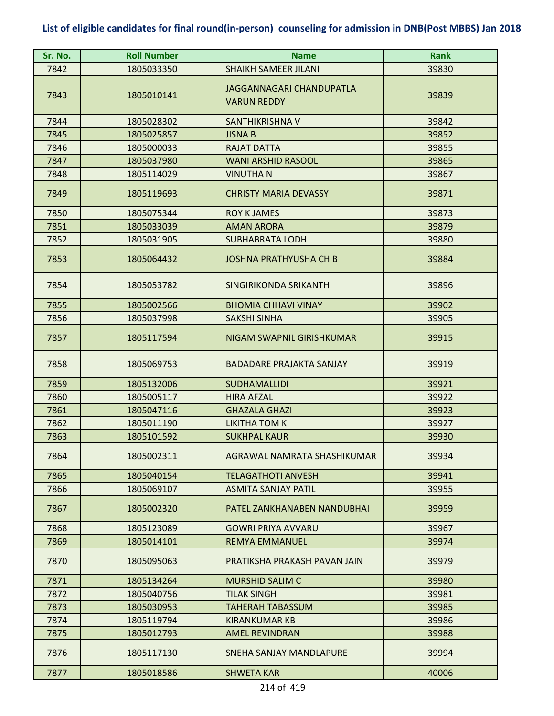| Sr. No. | <b>Roll Number</b> | <b>Name</b>                                    | <b>Rank</b> |
|---------|--------------------|------------------------------------------------|-------------|
| 7842    | 1805033350         | <b>SHAIKH SAMEER JILANI</b>                    | 39830       |
| 7843    | 1805010141         | JAGGANNAGARI CHANDUPATLA<br><b>VARUN REDDY</b> | 39839       |
| 7844    | 1805028302         | SANTHIKRISHNA V                                | 39842       |
| 7845    | 1805025857         | <b>JISNA B</b>                                 | 39852       |
| 7846    | 1805000033         | <b>RAJAT DATTA</b>                             | 39855       |
| 7847    | 1805037980         | <b>WANI ARSHID RASOOL</b>                      | 39865       |
| 7848    | 1805114029         | VINUTHA N                                      | 39867       |
| 7849    | 1805119693         | <b>CHRISTY MARIA DEVASSY</b>                   | 39871       |
| 7850    | 1805075344         | <b>ROY K JAMES</b>                             | 39873       |
| 7851    | 1805033039         | <b>AMAN ARORA</b>                              | 39879       |
| 7852    | 1805031905         | <b>SUBHABRATA LODH</b>                         | 39880       |
| 7853    | 1805064432         | <b>JOSHNA PRATHYUSHA CH B</b>                  | 39884       |
| 7854    | 1805053782         | SINGIRIKONDA SRIKANTH                          | 39896       |
| 7855    | 1805002566         | <b>BHOMIA CHHAVI VINAY</b>                     | 39902       |
| 7856    | 1805037998         | <b>SAKSHI SINHA</b>                            | 39905       |
| 7857    | 1805117594         | NIGAM SWAPNIL GIRISHKUMAR                      | 39915       |
| 7858    | 1805069753         | <b>BADADARE PRAJAKTA SANJAY</b>                | 39919       |
| 7859    | 1805132006         | <b>SUDHAMALLIDI</b>                            | 39921       |
| 7860    | 1805005117         | <b>HIRA AFZAL</b>                              | 39922       |
| 7861    | 1805047116         | <b>GHAZALA GHAZI</b>                           | 39923       |
| 7862    | 1805011190         | <b>LIKITHA TOM K</b>                           | 39927       |
| 7863    | 1805101592         | <b>SUKHPAL KAUR</b>                            | 39930       |
| 7864    | 1805002311         | AGRAWAL NAMRATA SHASHIKUMAR                    | 39934       |
| 7865    | 1805040154         | <b>TELAGATHOTI ANVESH</b>                      | 39941       |
| 7866    | 1805069107         | <b>ASMITA SANJAY PATIL</b>                     | 39955       |
| 7867    | 1805002320         | PATEL ZANKHANABEN NANDUBHAI                    | 39959       |
| 7868    | 1805123089         | <b>GOWRI PRIYA AVVARU</b>                      | 39967       |
| 7869    | 1805014101         | <b>REMYA EMMANUEL</b>                          | 39974       |
| 7870    | 1805095063         | PRATIKSHA PRAKASH PAVAN JAIN                   | 39979       |
| 7871    | 1805134264         | <b>MURSHID SALIM C</b>                         | 39980       |
| 7872    | 1805040756         | <b>TILAK SINGH</b>                             | 39981       |
| 7873    | 1805030953         | <b>TAHERAH TABASSUM</b>                        | 39985       |
| 7874    | 1805119794         | KIRANKUMAR KB                                  | 39986       |
| 7875    | 1805012793         | <b>AMEL REVINDRAN</b>                          | 39988       |
| 7876    | 1805117130         | SNEHA SANJAY MANDLAPURE                        | 39994       |
| 7877    | 1805018586         | <b>SHWETA KAR</b>                              | 40006       |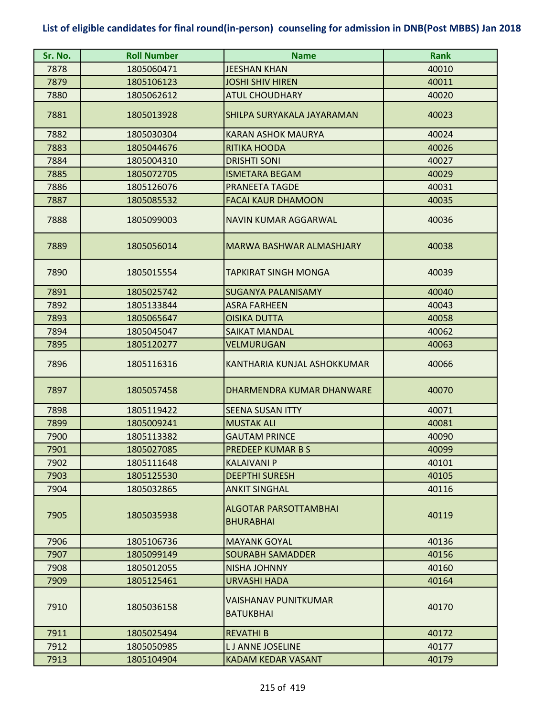| Sr. No. | <b>Roll Number</b> | <b>Name</b>                                      | <b>Rank</b> |
|---------|--------------------|--------------------------------------------------|-------------|
| 7878    | 1805060471         | <b>JEESHAN KHAN</b>                              | 40010       |
| 7879    | 1805106123         | <b>JOSHI SHIV HIREN</b>                          | 40011       |
| 7880    | 1805062612         | <b>ATUL CHOUDHARY</b>                            | 40020       |
| 7881    | 1805013928         | SHILPA SURYAKALA JAYARAMAN                       | 40023       |
| 7882    | 1805030304         | <b>KARAN ASHOK MAURYA</b>                        | 40024       |
| 7883    | 1805044676         | <b>RITIKA HOODA</b>                              | 40026       |
| 7884    | 1805004310         | <b>DRISHTI SONI</b>                              | 40027       |
| 7885    | 1805072705         | <b>ISMETARA BEGAM</b>                            | 40029       |
| 7886    | 1805126076         | PRANEETA TAGDE                                   | 40031       |
| 7887    | 1805085532         | <b>FACAI KAUR DHAMOON</b>                        | 40035       |
| 7888    | 1805099003         | <b>NAVIN KUMAR AGGARWAL</b>                      | 40036       |
| 7889    | 1805056014         | MARWA BASHWAR ALMASHJARY                         | 40038       |
| 7890    | 1805015554         | <b>TAPKIRAT SINGH MONGA</b>                      | 40039       |
| 7891    | 1805025742         | <b>SUGANYA PALANISAMY</b>                        | 40040       |
| 7892    | 1805133844         | <b>ASRA FARHEEN</b>                              | 40043       |
| 7893    | 1805065647         | <b>OISIKA DUTTA</b>                              | 40058       |
| 7894    | 1805045047         | <b>SAIKAT MANDAL</b>                             | 40062       |
| 7895    | 1805120277         | <b>VELMURUGAN</b>                                | 40063       |
| 7896    | 1805116316         | KANTHARIA KUNJAL ASHOKKUMAR                      | 40066       |
| 7897    | 1805057458         | DHARMENDRA KUMAR DHANWARE                        | 40070       |
| 7898    | 1805119422         | <b>SEENA SUSAN ITTY</b>                          | 40071       |
| 7899    | 1805009241         | <b>MUSTAK ALI</b>                                | 40081       |
| 7900    | 1805113382         | <b>GAUTAM PRINCE</b>                             | 40090       |
| 7901    | 1805027085         | <b>PREDEEP KUMAR B S</b>                         | 40099       |
| 7902    | 1805111648         | <b>KALAIVANI P</b>                               | 40101       |
| 7903    | 1805125530         | <b>DEEPTHI SURESH</b>                            | 40105       |
| 7904    | 1805032865         | <b>ANKIT SINGHAL</b>                             | 40116       |
| 7905    | 1805035938         | <b>ALGOTAR PARSOTTAMBHAI</b><br><b>BHURABHAI</b> | 40119       |
| 7906    | 1805106736         | <b>MAYANK GOYAL</b>                              | 40136       |
| 7907    | 1805099149         | <b>SOURABH SAMADDER</b>                          | 40156       |
| 7908    | 1805012055         | <b>NISHA JOHNNY</b>                              | 40160       |
| 7909    | 1805125461         | <b>URVASHI HADA</b>                              | 40164       |
| 7910    | 1805036158         | <b>VAISHANAV PUNITKUMAR</b><br><b>BATUKBHAI</b>  | 40170       |
| 7911    | 1805025494         | <b>REVATHIB</b>                                  | 40172       |
| 7912    | 1805050985         | <b>LJ ANNE JOSELINE</b>                          | 40177       |
| 7913    | 1805104904         | KADAM KEDAR VASANT                               | 40179       |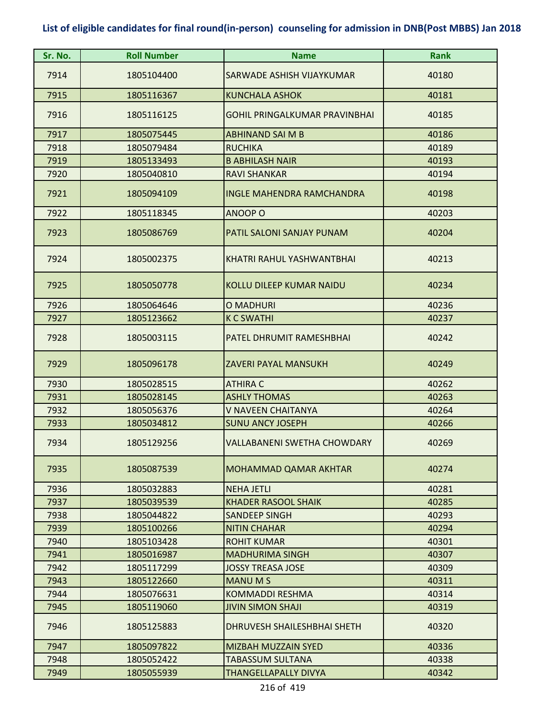| Sr. No. | <b>Roll Number</b> | <b>Name</b>                          | <b>Rank</b> |
|---------|--------------------|--------------------------------------|-------------|
| 7914    | 1805104400         | SARWADE ASHISH VIJAYKUMAR            | 40180       |
| 7915    | 1805116367         | <b>KUNCHALA ASHOK</b>                | 40181       |
| 7916    | 1805116125         | <b>GOHIL PRINGALKUMAR PRAVINBHAI</b> | 40185       |
| 7917    | 1805075445         | <b>ABHINAND SAI M B</b>              | 40186       |
| 7918    | 1805079484         | <b>RUCHIKA</b>                       | 40189       |
| 7919    | 1805133493         | <b>B ABHILASH NAIR</b>               | 40193       |
| 7920    | 1805040810         | <b>RAVI SHANKAR</b>                  | 40194       |
| 7921    | 1805094109         | <b>INGLE MAHENDRA RAMCHANDRA</b>     | 40198       |
| 7922    | 1805118345         | <b>ANOOP O</b>                       | 40203       |
| 7923    | 1805086769         | PATIL SALONI SANJAY PUNAM            | 40204       |
| 7924    | 1805002375         | KHATRI RAHUL YASHWANTBHAI            | 40213       |
| 7925    | 1805050778         | <b>KOLLU DILEEP KUMAR NAIDU</b>      | 40234       |
| 7926    | 1805064646         | O MADHURI                            | 40236       |
| 7927    | 1805123662         | <b>K C SWATHI</b>                    | 40237       |
| 7928    | 1805003115         | PATEL DHRUMIT RAMESHBHAI             | 40242       |
| 7929    | 1805096178         | <b>ZAVERI PAYAL MANSUKH</b>          | 40249       |
| 7930    | 1805028515         | <b>ATHIRA C</b>                      | 40262       |
| 7931    | 1805028145         | <b>ASHLY THOMAS</b>                  | 40263       |
| 7932    | 1805056376         | V NAVEEN CHAITANYA                   | 40264       |
| 7933    | 1805034812         | <b>SUNU ANCY JOSEPH</b>              | 40266       |
| 7934    | 1805129256         | <b>VALLABANENI SWETHA CHOWDARY</b>   | 40269       |
| 7935    | 1805087539         | <b>MOHAMMAD QAMAR AKHTAR</b>         | 40274       |
| 7936    | 1805032883         | <b>NEHA JETLI</b>                    | 40281       |
| 7937    | 1805039539         | <b>KHADER RASOOL SHAIK</b>           | 40285       |
| 7938    | 1805044822         | <b>SANDEEP SINGH</b>                 | 40293       |
| 7939    | 1805100266         | <b>NITIN CHAHAR</b>                  | 40294       |
| 7940    | 1805103428         | <b>ROHIT KUMAR</b>                   | 40301       |
| 7941    | 1805016987         | <b>MADHURIMA SINGH</b>               | 40307       |
| 7942    | 1805117299         | <b>JOSSY TREASA JOSE</b>             | 40309       |
| 7943    | 1805122660         | <b>MANUMS</b>                        | 40311       |
| 7944    | 1805076631         | <b>KOMMADDI RESHMA</b>               | 40314       |
| 7945    | 1805119060         | <b>JIVIN SIMON SHAJI</b>             | 40319       |
| 7946    | 1805125883         | DHRUVESH SHAILESHBHAI SHETH          | 40320       |
| 7947    | 1805097822         | <b>MIZBAH MUZZAIN SYED</b>           | 40336       |
| 7948    | 1805052422         | <b>TABASSUM SULTANA</b>              | 40338       |
| 7949    | 1805055939         | <b>THANGELLAPALLY DIVYA</b>          | 40342       |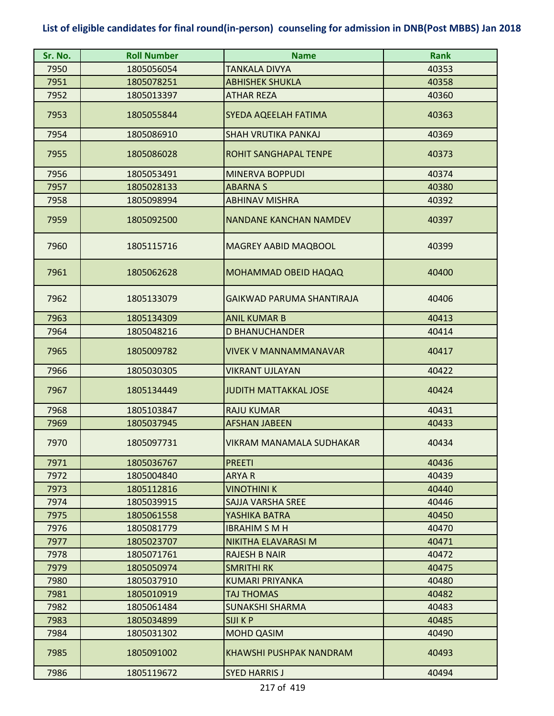| Sr. No. | <b>Roll Number</b> | <b>Name</b>                   | <b>Rank</b> |
|---------|--------------------|-------------------------------|-------------|
| 7950    | 1805056054         | TANKALA DIVYA                 | 40353       |
| 7951    | 1805078251         | <b>ABHISHEK SHUKLA</b>        | 40358       |
| 7952    | 1805013397         | <b>ATHAR REZA</b>             | 40360       |
| 7953    | 1805055844         | SYEDA AQEELAH FATIMA          | 40363       |
| 7954    | 1805086910         | <b>SHAH VRUTIKA PANKAJ</b>    | 40369       |
| 7955    | 1805086028         | <b>ROHIT SANGHAPAL TENPE</b>  | 40373       |
| 7956    | 1805053491         | <b>MINERVA BOPPUDI</b>        | 40374       |
| 7957    | 1805028133         | <b>ABARNAS</b>                | 40380       |
| 7958    | 1805098994         | <b>ABHINAV MISHRA</b>         | 40392       |
| 7959    | 1805092500         | <b>NANDANE KANCHAN NAMDEV</b> | 40397       |
| 7960    | 1805115716         | MAGREY AABID MAQBOOL          | 40399       |
| 7961    | 1805062628         | MOHAMMAD OBEID HAQAQ          | 40400       |
| 7962    | 1805133079         | GAIKWAD PARUMA SHANTIRAJA     | 40406       |
| 7963    | 1805134309         | <b>ANIL KUMAR B</b>           | 40413       |
| 7964    | 1805048216         | <b>D BHANUCHANDER</b>         | 40414       |
| 7965    | 1805009782         | VIVEK V MANNAMMANAVAR         | 40417       |
| 7966    | 1805030305         | <b>VIKRANT UJLAYAN</b>        | 40422       |
| 7967    | 1805134449         | <b>JUDITH MATTAKKAL JOSE</b>  | 40424       |
| 7968    | 1805103847         | <b>RAJU KUMAR</b>             | 40431       |
| 7969    | 1805037945         | <b>AFSHAN JABEEN</b>          | 40433       |
| 7970    | 1805097731         | VIKRAM MANAMALA SUDHAKAR      | 40434       |
| 7971    | 1805036767         | <b>PREETI</b>                 | 40436       |
| 7972    | 1805004840         | ARYA R                        | 40439       |
| 7973    | 1805112816         | <b>VINOTHINI K</b>            | 40440       |
| 7974    | 1805039915         | SAJJA VARSHA SREE             | 40446       |
| 7975    | 1805061558         | YASHIKA BATRA                 | 40450       |
| 7976    | 1805081779         | <b>IBRAHIM S M H</b>          | 40470       |
| 7977    | 1805023707         | NIKITHA ELAVARASI M           | 40471       |
| 7978    | 1805071761         | <b>RAJESH B NAIR</b>          | 40472       |
| 7979    | 1805050974         | SMRITHI RK                    | 40475       |
| 7980    | 1805037910         | <b>KUMARI PRIYANKA</b>        | 40480       |
| 7981    | 1805010919         | TAJ THOMAS                    | 40482       |
| 7982    | 1805061484         | <b>SUNAKSHI SHARMA</b>        | 40483       |
| 7983    | 1805034899         | <b>SIJI K P</b>               | 40485       |
| 7984    | 1805031302         | <b>MOHD QASIM</b>             | 40490       |
| 7985    | 1805091002         | KHAWSHI PUSHPAK NANDRAM       | 40493       |
| 7986    | 1805119672         | <b>SYED HARRIS J</b>          | 40494       |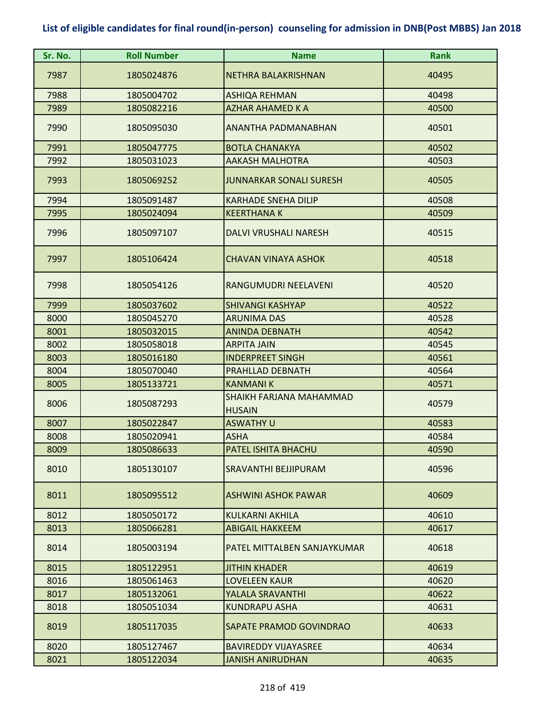| Sr. No. | <b>Roll Number</b> | <b>Name</b>                              | <b>Rank</b> |
|---------|--------------------|------------------------------------------|-------------|
| 7987    | 1805024876         | NETHRA BALAKRISHNAN                      | 40495       |
| 7988    | 1805004702         | <b>ASHIQA REHMAN</b>                     | 40498       |
| 7989    | 1805082216         | <b>AZHAR AHAMED K A</b>                  | 40500       |
| 7990    | 1805095030         | ANANTHA PADMANABHAN                      | 40501       |
| 7991    | 1805047775         | <b>BOTLA CHANAKYA</b>                    | 40502       |
| 7992    | 1805031023         | <b>AAKASH MALHOTRA</b>                   | 40503       |
| 7993    | 1805069252         | <b>JUNNARKAR SONALI SURESH</b>           | 40505       |
| 7994    | 1805091487         | <b>KARHADE SNEHA DILIP</b>               | 40508       |
| 7995    | 1805024094         | <b>KEERTHANA K</b>                       | 40509       |
| 7996    | 1805097107         | DALVI VRUSHALI NARESH                    | 40515       |
| 7997    | 1805106424         | <b>CHAVAN VINAYA ASHOK</b>               | 40518       |
| 7998    | 1805054126         | RANGUMUDRI NEELAVENI                     | 40520       |
| 7999    | 1805037602         | <b>SHIVANGI KASHYAP</b>                  | 40522       |
| 8000    | 1805045270         | <b>ARUNIMA DAS</b>                       | 40528       |
| 8001    | 1805032015         | <b>ANINDA DEBNATH</b>                    | 40542       |
| 8002    | 1805058018         | <b>ARPITA JAIN</b>                       | 40545       |
| 8003    | 1805016180         | <b>INDERPREET SINGH</b>                  | 40561       |
| 8004    | 1805070040         | PRAHLLAD DEBNATH                         | 40564       |
| 8005    | 1805133721         | <b>KANMANIK</b>                          | 40571       |
| 8006    | 1805087293         | SHAIKH FARJANA MAHAMMAD<br><b>HUSAIN</b> | 40579       |
| 8007    | 1805022847         | <b>ASWATHY U</b>                         | 40583       |
| 8008    | 1805020941         | <b>ASHA</b>                              | 40584       |
| 8009    | 1805086633         | PATEL ISHITA BHACHU                      | 40590       |
| 8010    | 1805130107         | <b>SRAVANTHI BEJJIPURAM</b>              | 40596       |
| 8011    | 1805095512         | <b>ASHWINI ASHOK PAWAR</b>               | 40609       |
| 8012    | 1805050172         | <b>KULKARNI AKHILA</b>                   | 40610       |
| 8013    | 1805066281         | <b>ABIGAIL HAKKEEM</b>                   | 40617       |
| 8014    | 1805003194         | PATEL MITTALBEN SANJAYKUMAR              | 40618       |
| 8015    | 1805122951         | <b>JITHIN KHADER</b>                     | 40619       |
| 8016    | 1805061463         | <b>LOVELEEN KAUR</b>                     | 40620       |
| 8017    | 1805132061         | YALALA SRAVANTHI                         | 40622       |
| 8018    | 1805051034         | <b>KUNDRAPU ASHA</b>                     | 40631       |
| 8019    | 1805117035         | SAPATE PRAMOD GOVINDRAO                  | 40633       |
| 8020    | 1805127467         | <b>BAVIREDDY VIJAYASREE</b>              | 40634       |
| 8021    | 1805122034         | <b>JANISH ANIRUDHAN</b>                  | 40635       |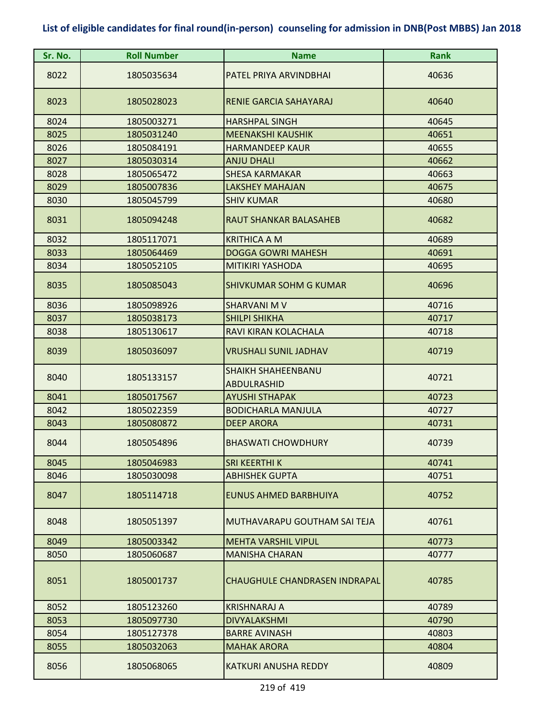| Sr. No. | <b>Roll Number</b> | <b>Name</b>                                     | Rank  |
|---------|--------------------|-------------------------------------------------|-------|
| 8022    | 1805035634         | PATEL PRIYA ARVINDBHAI                          | 40636 |
| 8023    | 1805028023         | RENIE GARCIA SAHAYARAJ                          | 40640 |
| 8024    | 1805003271         | <b>HARSHPAL SINGH</b>                           | 40645 |
| 8025    | 1805031240         | <b>MEENAKSHI KAUSHIK</b>                        | 40651 |
| 8026    | 1805084191         | <b>HARMANDEEP KAUR</b>                          | 40655 |
| 8027    | 1805030314         | <b>ANJU DHALI</b>                               | 40662 |
| 8028    | 1805065472         | <b>SHESA KARMAKAR</b>                           | 40663 |
| 8029    | 1805007836         | <b>LAKSHEY MAHAJAN</b>                          | 40675 |
| 8030    | 1805045799         | <b>SHIV KUMAR</b>                               | 40680 |
| 8031    | 1805094248         | <b>RAUT SHANKAR BALASAHEB</b>                   | 40682 |
| 8032    | 1805117071         | <b>KRITHICA A M</b>                             | 40689 |
| 8033    | 1805064469         | <b>DOGGA GOWRI MAHESH</b>                       | 40691 |
| 8034    | 1805052105         | <b>MITIKIRI YASHODA</b>                         | 40695 |
| 8035    | 1805085043         | <b>SHIVKUMAR SOHM G KUMAR</b>                   | 40696 |
| 8036    | 1805098926         | <b>SHARVANI M V</b>                             | 40716 |
| 8037    | 1805038173         | <b>SHILPI SHIKHA</b>                            | 40717 |
| 8038    | 1805130617         | RAVI KIRAN KOLACHALA                            | 40718 |
| 8039    | 1805036097         | <b>VRUSHALI SUNIL JADHAV</b>                    | 40719 |
| 8040    | 1805133157         | <b>SHAIKH SHAHEENBANU</b><br><b>ABDULRASHID</b> | 40721 |
| 8041    | 1805017567         | <b>AYUSHI STHAPAK</b>                           | 40723 |
| 8042    | 1805022359         | <b>BODICHARLA MANJULA</b>                       | 40727 |
| 8043    | 1805080872         | <b>DEEP ARORA</b>                               | 40731 |
| 8044    | 1805054896         | <b>BHASWATI CHOWDHURY</b>                       | 40739 |
| 8045    | 1805046983         | <b>SRI KEERTHI K</b>                            | 40741 |
| 8046    | 1805030098         | <b>ABHISHEK GUPTA</b>                           | 40751 |
| 8047    | 1805114718         | <b>EUNUS AHMED BARBHUIYA</b>                    | 40752 |
| 8048    | 1805051397         | MUTHAVARAPU GOUTHAM SAI TEJA                    | 40761 |
| 8049    | 1805003342         | <b>MEHTA VARSHIL VIPUL</b>                      | 40773 |
| 8050    | 1805060687         | <b>MANISHA CHARAN</b>                           | 40777 |
| 8051    | 1805001737         | <b>CHAUGHULE CHANDRASEN INDRAPAL</b>            | 40785 |
| 8052    | 1805123260         | <b>KRISHNARAJ A</b>                             | 40789 |
| 8053    | 1805097730         | <b>DIVYALAKSHMI</b>                             | 40790 |
| 8054    | 1805127378         | <b>BARRE AVINASH</b>                            | 40803 |
| 8055    | 1805032063         | <b>MAHAK ARORA</b>                              | 40804 |
| 8056    | 1805068065         | <b>KATKURI ANUSHA REDDY</b>                     | 40809 |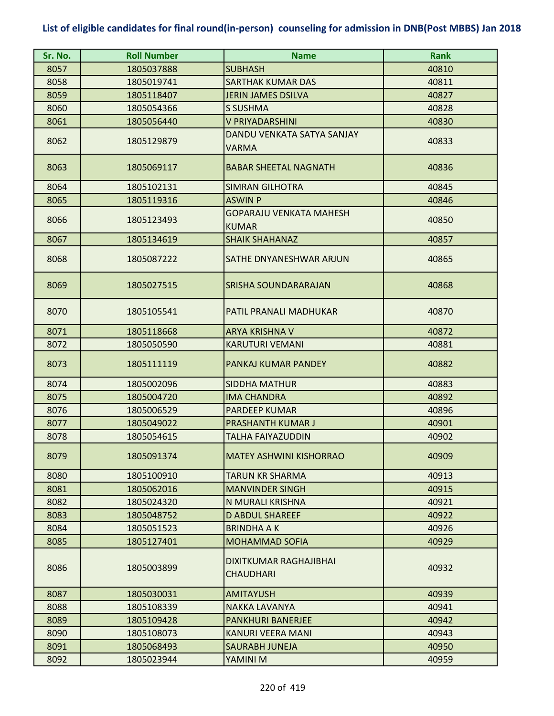| Sr. No. | <b>Roll Number</b> | <b>Name</b>                                       | <b>Rank</b> |
|---------|--------------------|---------------------------------------------------|-------------|
| 8057    | 1805037888         | <b>SUBHASH</b>                                    | 40810       |
| 8058    | 1805019741         | <b>SARTHAK KUMAR DAS</b>                          | 40811       |
| 8059    | 1805118407         | <b>JERIN JAMES DSILVA</b>                         | 40827       |
| 8060    | 1805054366         | <b>S SUSHMA</b>                                   | 40828       |
| 8061    | 1805056440         | <b>V PRIYADARSHINI</b>                            | 40830       |
| 8062    | 1805129879         | DANDU VENKATA SATYA SANJAY<br><b>VARMA</b>        | 40833       |
| 8063    | 1805069117         | <b>BABAR SHEETAL NAGNATH</b>                      | 40836       |
| 8064    | 1805102131         | <b>SIMRAN GILHOTRA</b>                            | 40845       |
| 8065    | 1805119316         | <b>ASWIN P</b>                                    | 40846       |
| 8066    | 1805123493         | <b>GOPARAJU VENKATA MAHESH</b><br><b>KUMAR</b>    | 40850       |
| 8067    | 1805134619         | <b>SHAIK SHAHANAZ</b>                             | 40857       |
| 8068    | 1805087222         | SATHE DNYANESHWAR ARJUN                           | 40865       |
| 8069    | 1805027515         | <b>SRISHA SOUNDARARAJAN</b>                       | 40868       |
| 8070    | 1805105541         | PATIL PRANALI MADHUKAR                            | 40870       |
| 8071    | 1805118668         | <b>ARYA KRISHNA V</b>                             | 40872       |
| 8072    | 1805050590         | <b>KARUTURI VEMANI</b>                            | 40881       |
| 8073    | 1805111119         | PANKAJ KUMAR PANDEY                               | 40882       |
| 8074    | 1805002096         | <b>SIDDHA MATHUR</b>                              | 40883       |
| 8075    | 1805004720         | <b>IMA CHANDRA</b>                                | 40892       |
| 8076    | 1805006529         | <b>PARDEEP KUMAR</b>                              | 40896       |
| 8077    | 1805049022         | <b>PRASHANTH KUMAR J</b>                          | 40901       |
| 8078    | 1805054615         | <b>TALHA FAIYAZUDDIN</b>                          | 40902       |
| 8079    | 1805091374         | IMATEY ASHWINI KISHORRAO                          | 40909       |
| 8080    | 1805100910         | <b>TARUN KR SHARMA</b>                            | 40913       |
| 8081    | 1805062016         | <b>MANVINDER SINGH</b>                            | 40915       |
| 8082    | 1805024320         | N MURALI KRISHNA                                  | 40921       |
| 8083    | 1805048752         | <b>D ABDUL SHAREEF</b>                            | 40922       |
| 8084    | 1805051523         | <b>BRINDHAAK</b>                                  | 40926       |
| 8085    | 1805127401         | <b>MOHAMMAD SOFIA</b>                             | 40929       |
| 8086    | 1805003899         | <b>DIXITKUMAR RAGHAJIBHAI</b><br><b>CHAUDHARI</b> | 40932       |
| 8087    | 1805030031         | AMITAYUSH                                         | 40939       |
| 8088    | 1805108339         | <b>NAKKA LAVANYA</b>                              | 40941       |
| 8089    | 1805109428         | <b>PANKHURI BANERJEE</b>                          | 40942       |
| 8090    | 1805108073         | KANURI VEERA MANI                                 | 40943       |
| 8091    | 1805068493         | SAURABH JUNEJA                                    | 40950       |
| 8092    | 1805023944         | YAMINI M                                          | 40959       |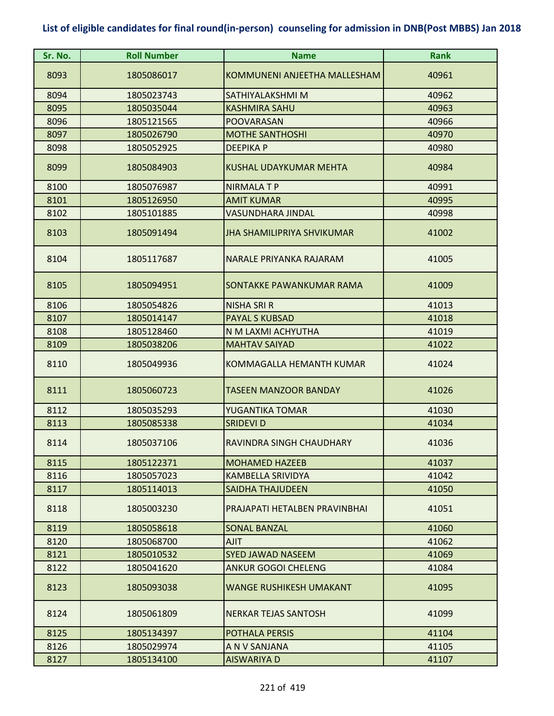| Sr. No. | <b>Roll Number</b> | <b>Name</b>                       | <b>Rank</b> |
|---------|--------------------|-----------------------------------|-------------|
| 8093    | 1805086017         | KOMMUNENI ANJEETHA MALLESHAM      | 40961       |
| 8094    | 1805023743         | SATHIYALAKSHMI M                  | 40962       |
| 8095    | 1805035044         | <b>KASHMIRA SAHU</b>              | 40963       |
| 8096    | 1805121565         | POOVARASAN                        | 40966       |
| 8097    | 1805026790         | <b>MOTHE SANTHOSHI</b>            | 40970       |
| 8098    | 1805052925         | <b>DEEPIKA P</b>                  | 40980       |
| 8099    | 1805084903         | <b>KUSHAL UDAYKUMAR MEHTA</b>     | 40984       |
| 8100    | 1805076987         | <b>NIRMALATP</b>                  | 40991       |
| 8101    | 1805126950         | <b>AMIT KUMAR</b>                 | 40995       |
| 8102    | 1805101885         | VASUNDHARA JINDAL                 | 40998       |
| 8103    | 1805091494         | <b>JHA SHAMILIPRIYA SHVIKUMAR</b> | 41002       |
| 8104    | 1805117687         | NARALE PRIYANKA RAJARAM           | 41005       |
| 8105    | 1805094951         | SONTAKKE PAWANKUMAR RAMA          | 41009       |
| 8106    | 1805054826         | <b>NISHA SRI R</b>                | 41013       |
| 8107    | 1805014147         | <b>PAYAL S KUBSAD</b>             | 41018       |
| 8108    | 1805128460         | N M LAXMI ACHYUTHA                | 41019       |
| 8109    | 1805038206         | <b>MAHTAV SAIYAD</b>              | 41022       |
| 8110    | 1805049936         | KOMMAGALLA HEMANTH KUMAR          | 41024       |
| 8111    | 1805060723         | <b>TASEEN MANZOOR BANDAY</b>      | 41026       |
| 8112    | 1805035293         | YUGANTIKA TOMAR                   | 41030       |
| 8113    | 1805085338         | <b>SRIDEVI D</b>                  | 41034       |
| 8114    | 1805037106         | RAVINDRA SINGH CHAUDHARY          | 41036       |
| 8115    | 1805122371         | <b>MOHAMED HAZEEB</b>             | 41037       |
| 8116    | 1805057023         | KAMBELLA SRIVIDYA                 | 41042       |
| 8117    | 1805114013         | SAIDHA THAJUDEEN                  | 41050       |
| 8118    | 1805003230         | PRAJAPATI HETALBEN PRAVINBHAI     | 41051       |
| 8119    | 1805058618         | <b>SONAL BANZAL</b>               | 41060       |
| 8120    | 1805068700         | <b>AJIT</b>                       | 41062       |
| 8121    | 1805010532         | <b>SYED JAWAD NASEEM</b>          | 41069       |
| 8122    | 1805041620         | <b>ANKUR GOGOI CHELENG</b>        | 41084       |
| 8123    | 1805093038         | <b>WANGE RUSHIKESH UMAKANT</b>    | 41095       |
| 8124    | 1805061809         | NERKAR TEJAS SANTOSH              | 41099       |
| 8125    | 1805134397         | <b>POTHALA PERSIS</b>             | 41104       |
| 8126    | 1805029974         | A N V SANJANA                     | 41105       |
| 8127    | 1805134100         | <b>AISWARIYA D</b>                | 41107       |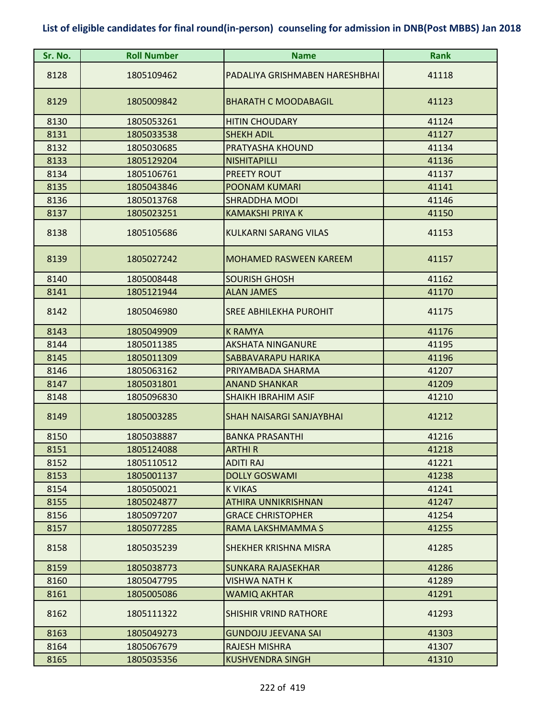| Sr. No. | <b>Roll Number</b> | <b>Name</b>                     | <b>Rank</b> |
|---------|--------------------|---------------------------------|-------------|
| 8128    | 1805109462         | PADALIYA GRISHMABEN HARESHBHAI  | 41118       |
| 8129    | 1805009842         | <b>BHARATH C MOODABAGIL</b>     | 41123       |
| 8130    | 1805053261         | <b>HITIN CHOUDARY</b>           | 41124       |
| 8131    | 1805033538         | <b>SHEKH ADIL</b>               | 41127       |
| 8132    | 1805030685         | PRATYASHA KHOUND                | 41134       |
| 8133    | 1805129204         | <b>NISHITAPILLI</b>             | 41136       |
| 8134    | 1805106761         | PREETY ROUT                     | 41137       |
| 8135    | 1805043846         | <b>POONAM KUMARI</b>            | 41141       |
| 8136    | 1805013768         | <b>SHRADDHA MODI</b>            | 41146       |
| 8137    | 1805023251         | KAMAKSHI PRIYA K                | 41150       |
| 8138    | 1805105686         | <b>KULKARNI SARANG VILAS</b>    | 41153       |
| 8139    | 1805027242         | <b>MOHAMED RASWEEN KAREEM</b>   | 41157       |
| 8140    | 1805008448         | <b>SOURISH GHOSH</b>            | 41162       |
| 8141    | 1805121944         | <b>ALAN JAMES</b>               | 41170       |
| 8142    | 1805046980         | <b>SREE ABHILEKHA PUROHIT</b>   | 41175       |
| 8143    | 1805049909         | <b>K RAMYA</b>                  | 41176       |
| 8144    | 1805011385         | <b>AKSHATA NINGANURE</b>        | 41195       |
| 8145    | 1805011309         | SABBAVARAPU HARIKA              | 41196       |
| 8146    | 1805063162         | PRIYAMBADA SHARMA               | 41207       |
| 8147    | 1805031801         | <b>ANAND SHANKAR</b>            | 41209       |
| 8148    | 1805096830         | <b>SHAIKH IBRAHIM ASIF</b>      | 41210       |
| 8149    | 1805003285         | <b>SHAH NAISARGI SANJAYBHAI</b> | 41212       |
| 8150    | 1805038887         | <b>BANKA PRASANTHI</b>          | 41216       |
| 8151    | 1805124088         | <b>ARTHIR</b>                   | 41218       |
| 8152    | 1805110512         | <b>ADITI RAJ</b>                | 41221       |
| 8153    | 1805001137         | <b>DOLLY GOSWAMI</b>            | 41238       |
| 8154    | 1805050021         | <b>K VIKAS</b>                  | 41241       |
| 8155    | 1805024877         | ATHIRA UNNIKRISHNAN             | 41247       |
| 8156    | 1805097207         | <b>GRACE CHRISTOPHER</b>        | 41254       |
| 8157    | 1805077285         | RAMA LAKSHMAMMA S               | 41255       |
| 8158    | 1805035239         | SHEKHER KRISHNA MISRA           | 41285       |
| 8159    | 1805038773         | <b>SUNKARA RAJASEKHAR</b>       | 41286       |
| 8160    | 1805047795         | <b>VISHWA NATH K</b>            | 41289       |
| 8161    | 1805005086         | WAMIQ AKHTAR                    | 41291       |
| 8162    | 1805111322         | <b>SHISHIR VRIND RATHORE</b>    | 41293       |
| 8163    | 1805049273         | <b>GUNDOJU JEEVANA SAI</b>      | 41303       |
| 8164    | 1805067679         | <b>RAJESH MISHRA</b>            | 41307       |
| 8165    | 1805035356         | <b>KUSHVENDRA SINGH</b>         | 41310       |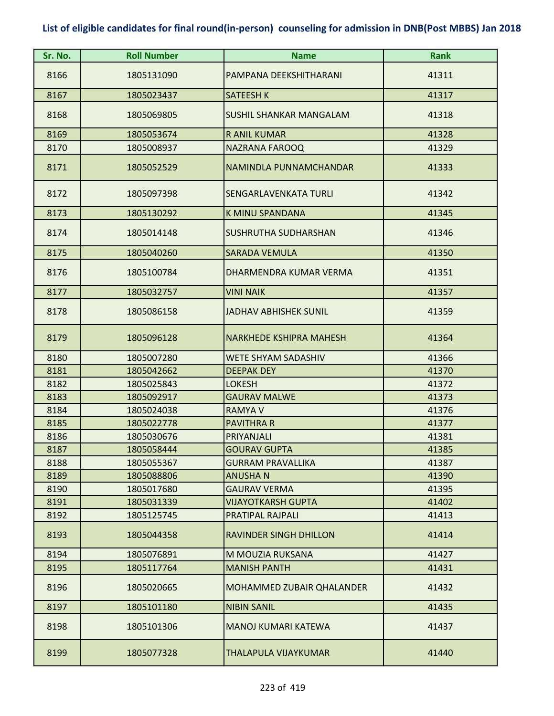| Sr. No.      | <b>Roll Number</b>       | <b>Name</b>                      | <b>Rank</b>    |
|--------------|--------------------------|----------------------------------|----------------|
| 8166         | 1805131090               | PAMPANA DEEKSHITHARANI           | 41311          |
| 8167         | 1805023437               | <b>SATEESH K</b>                 | 41317          |
| 8168         | 1805069805               | <b>SUSHIL SHANKAR MANGALAM</b>   | 41318          |
| 8169         | 1805053674               | <b>R ANIL KUMAR</b>              | 41328          |
| 8170         | 1805008937               | <b>NAZRANA FAROOQ</b>            | 41329          |
| 8171         | 1805052529               | NAMINDLA PUNNAMCHANDAR           | 41333          |
| 8172         | 1805097398               | SENGARLAVENKATA TURLI            | 41342          |
| 8173         | 1805130292               | <b>K MINU SPANDANA</b>           | 41345          |
| 8174         | 1805014148               | SUSHRUTHA SUDHARSHAN             | 41346          |
| 8175         | 1805040260               | <b>SARADA VEMULA</b>             | 41350          |
| 8176         | 1805100784               | DHARMENDRA KUMAR VERMA           | 41351          |
| 8177         | 1805032757               | <b>VINI NAIK</b>                 | 41357          |
| 8178         | 1805086158               | <b>JADHAV ABHISHEK SUNIL</b>     | 41359          |
| 8179         | 1805096128               | <b>NARKHEDE KSHIPRA MAHESH</b>   | 41364          |
| 8180         | 1805007280               | WETE SHYAM SADASHIV              | 41366          |
| 8181         | 1805042662               | <b>DEEPAK DEY</b>                | 41370          |
| 8182         | 1805025843               | <b>LOKESH</b>                    | 41372          |
| 8183         | 1805092917               | <b>GAURAV MALWE</b>              | 41373          |
| 8184         | 1805024038               | <b>RAMYA V</b>                   | 41376          |
| 8185<br>8186 | 1805022778<br>1805030676 | <b>PAVITHRA R</b><br>PRIYANJALI  | 41377<br>41381 |
| 8187         | 1805058444               | <b>GOURAV GUPTA</b>              | 41385          |
| 8188         | 1805055367               | <b>GURRAM PRAVALLIKA</b>         | 41387          |
| 8189         | 1805088806               | <b>ANUSHAN</b>                   | 41390          |
| 8190         | 1805017680               | <b>GAURAV VERMA</b>              | 41395          |
| 8191         | 1805031339               | <b>VIJAYOTKARSH GUPTA</b>        | 41402          |
| 8192         | 1805125745               | PRATIPAL RAJPALI                 | 41413          |
| 8193         | 1805044358               | <b>RAVINDER SINGH DHILLON</b>    | 41414          |
| 8194         | 1805076891               | M MOUZIA RUKSANA                 | 41427          |
| 8195         | 1805117764               | <b>MANISH PANTH</b>              | 41431          |
| 8196         | 1805020665               | <b>MOHAMMED ZUBAIR QHALANDER</b> | 41432          |
| 8197         | 1805101180               | <b>NIBIN SANIL</b>               | 41435          |
| 8198         | 1805101306               | <b>MANOJ KUMARI KATEWA</b>       | 41437          |
| 8199         | 1805077328               | THALAPULA VIJAYKUMAR             | 41440          |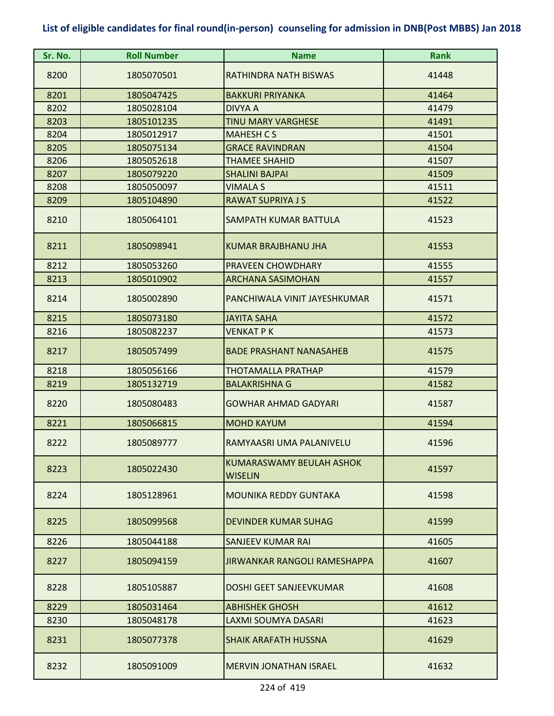| Sr. No. | <b>Roll Number</b> | <b>Name</b>                                | <b>Rank</b> |
|---------|--------------------|--------------------------------------------|-------------|
| 8200    | 1805070501         | RATHINDRA NATH BISWAS                      | 41448       |
| 8201    | 1805047425         | <b>BAKKURI PRIYANKA</b>                    | 41464       |
| 8202    | 1805028104         | <b>DIVYA A</b>                             | 41479       |
| 8203    | 1805101235         | TINU MARY VARGHESE                         | 41491       |
| 8204    | 1805012917         | <b>MAHESH CS</b>                           | 41501       |
| 8205    | 1805075134         | <b>GRACE RAVINDRAN</b>                     | 41504       |
| 8206    | 1805052618         | <b>THAMEE SHAHID</b>                       | 41507       |
| 8207    | 1805079220         | <b>SHALINI BAJPAI</b>                      | 41509       |
| 8208    | 1805050097         | VIMALA S                                   | 41511       |
| 8209    | 1805104890         | <b>RAWAT SUPRIYA J S</b>                   | 41522       |
| 8210    | 1805064101         | SAMPATH KUMAR BATTULA                      | 41523       |
| 8211    | 1805098941         | KUMAR BRAJBHANU JHA                        | 41553       |
| 8212    | 1805053260         | PRAVEEN CHOWDHARY                          | 41555       |
| 8213    | 1805010902         | <b>ARCHANA SASIMOHAN</b>                   | 41557       |
| 8214    | 1805002890         | PANCHIWALA VINIT JAYESHKUMAR               | 41571       |
| 8215    | 1805073180         | <b>JAYITA SAHA</b>                         | 41572       |
| 8216    | 1805082237         | VENKAT P K                                 | 41573       |
| 8217    | 1805057499         | <b>BADE PRASHANT NANASAHEB</b>             | 41575       |
| 8218    | 1805056166         | <b>THOTAMALLA PRATHAP</b>                  | 41579       |
| 8219    | 1805132719         | <b>BALAKRISHNA G</b>                       | 41582       |
| 8220    | 1805080483         | <b>GOWHAR AHMAD GADYARI</b>                | 41587       |
| 8221    | 1805066815         | <b>MOHD KAYUM</b>                          | 41594       |
| 8222    | 1805089777         | RAMYAASRI UMA PALANIVELU                   | 41596       |
| 8223    | 1805022430         | KUMARASWAMY BEULAH ASHOK<br><b>WISELIN</b> | 41597       |
| 8224    | 1805128961         | MOUNIKA REDDY GUNTAKA                      | 41598       |
| 8225    | 1805099568         | <b>DEVINDER KUMAR SUHAG</b>                | 41599       |
| 8226    | 1805044188         | <b>SANJEEV KUMAR RAI</b>                   | 41605       |
| 8227    | 1805094159         | <b>JIRWANKAR RANGOLI RAMESHAPPA</b>        | 41607       |
| 8228    | 1805105887         | DOSHI GEET SANJEEVKUMAR                    | 41608       |
| 8229    | 1805031464         | <b>ABHISHEK GHOSH</b>                      | 41612       |
| 8230    | 1805048178         | LAXMI SOUMYA DASARI                        | 41623       |
| 8231    | 1805077378         | <b>SHAIK ARAFATH HUSSNA</b>                | 41629       |
| 8232    | 1805091009         | <b>MERVIN JONATHAN ISRAEL</b>              | 41632       |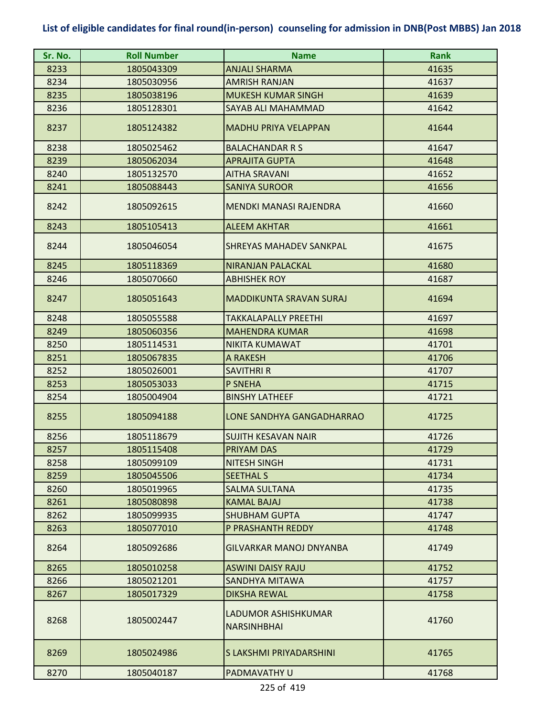| Sr. No. | <b>Roll Number</b> | <b>Name</b>                               | <b>Rank</b> |
|---------|--------------------|-------------------------------------------|-------------|
| 8233    | 1805043309         | <b>ANJALI SHARMA</b>                      | 41635       |
| 8234    | 1805030956         | <b>AMRISH RANJAN</b>                      | 41637       |
| 8235    | 1805038196         | <b>MUKESH KUMAR SINGH</b>                 | 41639       |
| 8236    | 1805128301         | SAYAB ALI MAHAMMAD                        | 41642       |
| 8237    | 1805124382         | <b>MADHU PRIYA VELAPPAN</b>               | 41644       |
| 8238    | 1805025462         | <b>BALACHANDAR R S</b>                    | 41647       |
| 8239    | 1805062034         | <b>APRAJITA GUPTA</b>                     | 41648       |
| 8240    | 1805132570         | <b>AITHA SRAVANI</b>                      | 41652       |
| 8241    | 1805088443         | <b>SANIYA SUROOR</b>                      | 41656       |
| 8242    | 1805092615         | MENDKI MANASI RAJENDRA                    | 41660       |
| 8243    | 1805105413         | <b>ALEEM AKHTAR</b>                       | 41661       |
| 8244    | 1805046054         | SHREYAS MAHADEV SANKPAL                   | 41675       |
| 8245    | 1805118369         | <b>NIRANJAN PALACKAL</b>                  | 41680       |
| 8246    | 1805070660         | <b>ABHISHEK ROY</b>                       | 41687       |
| 8247    | 1805051643         | <b>MADDIKUNTA SRAVAN SURAJ</b>            | 41694       |
| 8248    | 1805055588         | <b>TAKKALAPALLY PREETHI</b>               | 41697       |
| 8249    | 1805060356         | <b>MAHENDRA KUMAR</b>                     | 41698       |
| 8250    | 1805114531         | <b>NIKITA KUMAWAT</b>                     | 41701       |
| 8251    | 1805067835         | A RAKESH                                  | 41706       |
| 8252    | 1805026001         | <b>SAVITHRI R</b>                         | 41707       |
| 8253    | 1805053033         | <b>P SNEHA</b>                            | 41715       |
| 8254    | 1805004904         | <b>BINSHY LATHEEF</b>                     | 41721       |
| 8255    | 1805094188         | LONE SANDHYA GANGADHARRAO                 | 41725       |
| 8256    | 1805118679         | <b>SUJITH KESAVAN NAIR</b>                | 41726       |
| 8257    | 1805115408         | <b>PRIYAM DAS</b>                         | 41729       |
| 8258    | 1805099109         | <b>NITESH SINGH</b>                       | 41731       |
| 8259    | 1805045506         | <b>SEETHAL S</b>                          | 41734       |
| 8260    | 1805019965         | <b>SALMA SULTANA</b>                      | 41735       |
| 8261    | 1805080898         | <b>KAMAL BAJAJ</b>                        | 41738       |
| 8262    | 1805099935         | <b>SHUBHAM GUPTA</b>                      | 41747       |
| 8263    | 1805077010         | P PRASHANTH REDDY                         | 41748       |
| 8264    | 1805092686         | <b>GILVARKAR MANOJ DNYANBA</b>            | 41749       |
| 8265    | 1805010258         | <b>ASWINI DAISY RAJU</b>                  | 41752       |
| 8266    | 1805021201         | SANDHYA MITAWA                            | 41757       |
| 8267    | 1805017329         | <b>DIKSHA REWAL</b>                       | 41758       |
| 8268    | 1805002447         | LADUMOR ASHISHKUMAR<br><b>NARSINHBHAI</b> | 41760       |
| 8269    | 1805024986         | S LAKSHMI PRIYADARSHINI                   | 41765       |
| 8270    | 1805040187         | PADMAVATHY U                              | 41768       |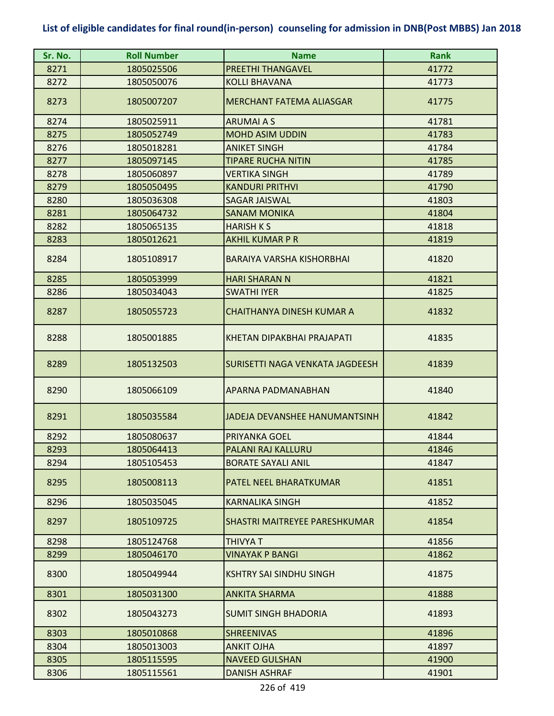| Sr. No. | <b>Roll Number</b> | <b>Name</b>                      | <b>Rank</b> |
|---------|--------------------|----------------------------------|-------------|
| 8271    | 1805025506         | <b>PREETHI THANGAVEL</b>         | 41772       |
| 8272    | 1805050076         | <b>KOLLI BHAVANA</b>             | 41773       |
| 8273    | 1805007207         | <b>MERCHANT FATEMA ALIASGAR</b>  | 41775       |
| 8274    | 1805025911         | <b>ARUMAI A S</b>                | 41781       |
| 8275    | 1805052749         | <b>MOHD ASIM UDDIN</b>           | 41783       |
| 8276    | 1805018281         | <b>ANIKET SINGH</b>              | 41784       |
| 8277    | 1805097145         | <b>TIPARE RUCHA NITIN</b>        | 41785       |
| 8278    | 1805060897         | <b>VERTIKA SINGH</b>             | 41789       |
| 8279    | 1805050495         | <b>KANDURI PRITHVI</b>           | 41790       |
| 8280    | 1805036308         | <b>SAGAR JAISWAL</b>             | 41803       |
| 8281    | 1805064732         | <b>SANAM MONIKA</b>              | 41804       |
| 8282    | 1805065135         | <b>HARISH K S</b>                | 41818       |
| 8283    | 1805012621         | <b>AKHIL KUMAR P R</b>           | 41819       |
| 8284    | 1805108917         | <b>BARAIYA VARSHA KISHORBHAI</b> | 41820       |
| 8285    | 1805053999         | <b>HARI SHARAN N</b>             | 41821       |
| 8286    | 1805034043         | <b>SWATHI IYER</b>               | 41825       |
| 8287    | 1805055723         | <b>CHAITHANYA DINESH KUMAR A</b> | 41832       |
| 8288    | 1805001885         | KHETAN DIPAKBHAI PRAJAPATI       | 41835       |
| 8289    | 1805132503         | SURISETTI NAGA VENKATA JAGDEESH  | 41839       |
| 8290    | 1805066109         | APARNA PADMANABHAN               | 41840       |
| 8291    | 1805035584         | JADEJA DEVANSHEE HANUMANTSINH    | 41842       |
| 8292    | 1805080637         | PRIYANKA GOEL                    | 41844       |
| 8293    | 1805064413         | PALANI RAJ KALLURU               | 41846       |
| 8294    | 1805105453         | <b>BORATE SAYALI ANIL</b>        | 41847       |
| 8295    | 1805008113         | PATEL NEEL BHARATKUMAR           | 41851       |
| 8296    | 1805035045         | <b>KARNALIKA SINGH</b>           | 41852       |
| 8297    | 1805109725         | SHASTRI MAITREYEE PARESHKUMAR    | 41854       |
| 8298    | 1805124768         | <b>THIVYA T</b>                  | 41856       |
| 8299    | 1805046170         | <b>VINAYAK P BANGI</b>           | 41862       |
| 8300    | 1805049944         | <b>KSHTRY SAI SINDHU SINGH</b>   | 41875       |
| 8301    | 1805031300         | <b>ANKITA SHARMA</b>             | 41888       |
| 8302    | 1805043273         | <b>SUMIT SINGH BHADORIA</b>      | 41893       |
| 8303    | 1805010868         | <b>SHREENIVAS</b>                | 41896       |
| 8304    | 1805013003         | <b>ANKIT OJHA</b>                | 41897       |
| 8305    | 1805115595         | <b>NAVEED GULSHAN</b>            | 41900       |
| 8306    | 1805115561         | <b>DANISH ASHRAF</b>             | 41901       |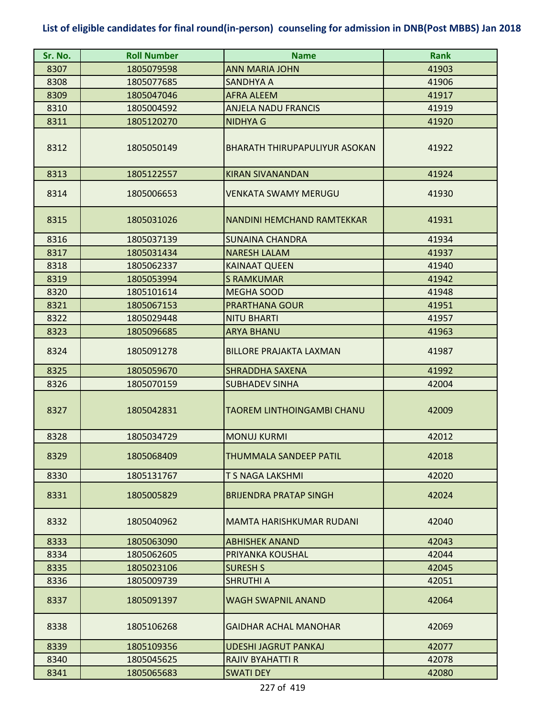| Sr. No. | <b>Roll Number</b> | <b>Name</b>                          | <b>Rank</b> |
|---------|--------------------|--------------------------------------|-------------|
| 8307    | 1805079598         | <b>ANN MARIA JOHN</b>                | 41903       |
| 8308    | 1805077685         | <b>SANDHYA A</b>                     | 41906       |
| 8309    | 1805047046         | <b>AFRA ALEEM</b>                    | 41917       |
| 8310    | 1805004592         | <b>ANJELA NADU FRANCIS</b>           | 41919       |
| 8311    | 1805120270         | <b>NIDHYA G</b>                      | 41920       |
| 8312    | 1805050149         | <b>BHARATH THIRUPAPULIYUR ASOKAN</b> | 41922       |
| 8313    | 1805122557         | <b>KIRAN SIVANANDAN</b>              | 41924       |
| 8314    | 1805006653         | VENKATA SWAMY MERUGU                 | 41930       |
| 8315    | 1805031026         | <b>NANDINI HEMCHAND RAMTEKKAR</b>    | 41931       |
| 8316    | 1805037139         | <b>SUNAINA CHANDRA</b>               | 41934       |
| 8317    | 1805031434         | <b>NARESH LALAM</b>                  | 41937       |
| 8318    | 1805062337         | <b>KAINAAT QUEEN</b>                 | 41940       |
| 8319    | 1805053994         | <b>S RAMKUMAR</b>                    | 41942       |
| 8320    | 1805101614         | <b>MEGHA SOOD</b>                    | 41948       |
| 8321    | 1805067153         | <b>PRARTHANA GOUR</b>                | 41951       |
| 8322    | 1805029448         | <b>NITU BHARTI</b>                   | 41957       |
| 8323    | 1805096685         | <b>ARYA BHANU</b>                    | 41963       |
| 8324    | 1805091278         | <b>BILLORE PRAJAKTA LAXMAN</b>       | 41987       |
| 8325    | 1805059670         | <b>SHRADDHA SAXENA</b>               | 41992       |
| 8326    | 1805070159         | <b>SUBHADEV SINHA</b>                | 42004       |
| 8327    | 1805042831         | TAOREM LINTHOINGAMBI CHANU           | 42009       |
| 8328    | 1805034729         | <b>MONUJ KURMI</b>                   | 42012       |
| 8329    | 1805068409         | THUMMALA SANDEEP PATIL               | 42018       |
| 8330    | 1805131767         | T S NAGA LAKSHMI                     | 42020       |
| 8331    | 1805005829         | <b>BRIJENDRA PRATAP SINGH</b>        | 42024       |
| 8332    | 1805040962         | <b>MAMTA HARISHKUMAR RUDANI</b>      | 42040       |
| 8333    | 1805063090         | <b>ABHISHEK ANAND</b>                | 42043       |
| 8334    | 1805062605         | PRIYANKA KOUSHAL                     | 42044       |
| 8335    | 1805023106         | <b>SURESH S</b>                      | 42045       |
| 8336    | 1805009739         | <b>SHRUTHI A</b>                     | 42051       |
| 8337    | 1805091397         | WAGH SWAPNIL ANAND                   | 42064       |
| 8338    | 1805106268         | <b>GAIDHAR ACHAL MANOHAR</b>         | 42069       |
| 8339    | 1805109356         | <b>UDESHI JAGRUT PANKAJ</b>          | 42077       |
| 8340    | 1805045625         | RAJIV BYAHATTI R                     | 42078       |
| 8341    | 1805065683         | <b>SWATI DEY</b>                     | 42080       |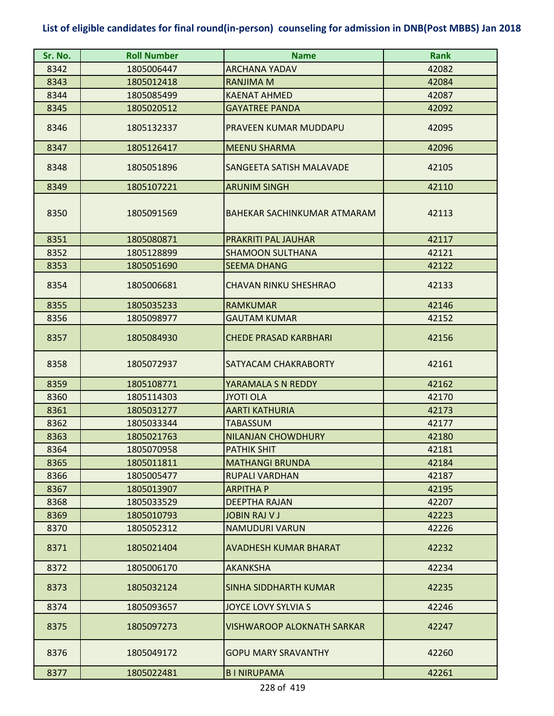| Sr. No. | <b>Roll Number</b> | <b>Name</b>                       | <b>Rank</b> |
|---------|--------------------|-----------------------------------|-------------|
| 8342    | 1805006447         | <b>ARCHANA YADAV</b>              | 42082       |
| 8343    | 1805012418         | <b>RANJIMA M</b>                  | 42084       |
| 8344    | 1805085499         | <b>KAENAT AHMED</b>               | 42087       |
| 8345    | 1805020512         | <b>GAYATREE PANDA</b>             | 42092       |
| 8346    | 1805132337         | PRAVEEN KUMAR MUDDAPU             | 42095       |
| 8347    | 1805126417         | <b>MEENU SHARMA</b>               | 42096       |
| 8348    | 1805051896         | SANGEETA SATISH MALAVADE          | 42105       |
| 8349    | 1805107221         | <b>ARUNIM SINGH</b>               | 42110       |
| 8350    | 1805091569         | BAHEKAR SACHINKUMAR ATMARAM       | 42113       |
| 8351    | 1805080871         | PRAKRITI PAL JAUHAR               | 42117       |
| 8352    | 1805128899         | <b>SHAMOON SULTHANA</b>           | 42121       |
| 8353    | 1805051690         | <b>SEEMA DHANG</b>                | 42122       |
| 8354    | 1805006681         | <b>CHAVAN RINKU SHESHRAO</b>      | 42133       |
| 8355    | 1805035233         | <b>RAMKUMAR</b>                   | 42146       |
| 8356    | 1805098977         | <b>GAUTAM KUMAR</b>               | 42152       |
| 8357    | 1805084930         | <b>CHEDE PRASAD KARBHARI</b>      | 42156       |
| 8358    | 1805072937         | SATYACAM CHAKRABORTY              | 42161       |
| 8359    | 1805108771         | YARAMALA S N REDDY                | 42162       |
| 8360    | 1805114303         | <b>JYOTI OLA</b>                  | 42170       |
| 8361    | 1805031277         | <b>AARTI KATHURIA</b>             | 42173       |
| 8362    | 1805033344         | <b>TABASSUM</b>                   | 42177       |
| 8363    | 1805021763         | <b>NILANJAN CHOWDHURY</b>         | 42180       |
| 8364    | 1805070958         | PATHIK SHIT                       | 42181       |
| 8365    | 1805011811         | <b>MATHANGI BRUNDA</b>            | 42184       |
| 8366    | 1805005477         | <b>RUPALI VARDHAN</b>             | 42187       |
| 8367    | 1805013907         | <b>ARPITHAP</b>                   | 42195       |
| 8368    | 1805033529         | <b>DEEPTHA RAJAN</b>              | 42207       |
| 8369    | 1805010793         | <b>JOBIN RAJ V J</b>              | 42223       |
| 8370    | 1805052312         | <b>NAMUDURI VARUN</b>             | 42226       |
| 8371    | 1805021404         | <b>AVADHESH KUMAR BHARAT</b>      | 42232       |
| 8372    | 1805006170         | <b>AKANKSHA</b>                   | 42234       |
| 8373    | 1805032124         | SINHA SIDDHARTH KUMAR             | 42235       |
| 8374    | 1805093657         | JOYCE LOVY SYLVIA S               | 42246       |
| 8375    | 1805097273         | <b>VISHWAROOP ALOKNATH SARKAR</b> | 42247       |
| 8376    | 1805049172         | <b>GOPU MARY SRAVANTHY</b>        | 42260       |
| 8377    | 1805022481         | <b>BINIRUPAMA</b>                 | 42261       |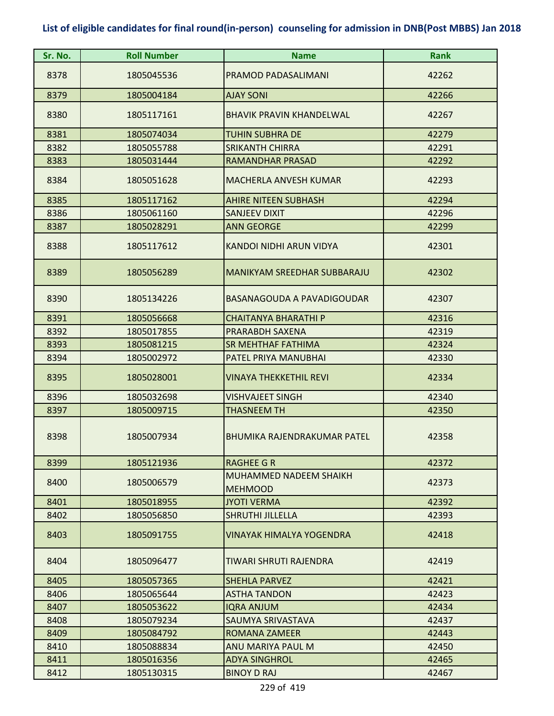| Sr. No. | <b>Roll Number</b> | <b>Name</b>                                     | <b>Rank</b> |
|---------|--------------------|-------------------------------------------------|-------------|
| 8378    | 1805045536         | PRAMOD PADASALIMANI                             | 42262       |
| 8379    | 1805004184         | <b>AJAY SONI</b>                                | 42266       |
| 8380    | 1805117161         | <b>BHAVIK PRAVIN KHANDELWAL</b>                 | 42267       |
| 8381    | 1805074034         | <b>TUHIN SUBHRA DE</b>                          | 42279       |
| 8382    | 1805055788         | <b>SRIKANTH CHIRRA</b>                          | 42291       |
| 8383    | 1805031444         | <b>RAMANDHAR PRASAD</b>                         | 42292       |
| 8384    | 1805051628         | <b>MACHERLA ANVESH KUMAR</b>                    | 42293       |
| 8385    | 1805117162         | <b>AHIRE NITEEN SUBHASH</b>                     | 42294       |
| 8386    | 1805061160         | <b>SANJEEV DIXIT</b>                            | 42296       |
| 8387    | 1805028291         | <b>ANN GEORGE</b>                               | 42299       |
| 8388    | 1805117612         | KANDOI NIDHI ARUN VIDYA                         | 42301       |
| 8389    | 1805056289         | <b>MANIKYAM SREEDHAR SUBBARAJU</b>              | 42302       |
| 8390    | 1805134226         | <b>BASANAGOUDA A PAVADIGOUDAR</b>               | 42307       |
| 8391    | 1805056668         | <b>CHAITANYA BHARATHI P</b>                     | 42316       |
| 8392    | 1805017855         | PRARABDH SAXENA                                 | 42319       |
| 8393    | 1805081215         | <b>SR MEHTHAF FATHIMA</b>                       | 42324       |
| 8394    | 1805002972         | PATEL PRIYA MANUBHAI                            | 42330       |
| 8395    | 1805028001         | <b>VINAYA THEKKETHIL REVI</b>                   | 42334       |
| 8396    | 1805032698         | VISHVAJEET SINGH                                | 42340       |
| 8397    | 1805009715         | <b>THASNEEM TH</b>                              | 42350       |
| 8398    | 1805007934         | <b>BHUMIKA RAJENDRAKUMAR PATEL</b>              | 42358       |
| 8399    | 1805121936         | RAGHEE G R                                      | 42372       |
| 8400    | 1805006579         | <b>MUHAMMED NADEEM SHAIKH</b><br><b>MEHMOOD</b> | 42373       |
| 8401    | 1805018955         | <b>JYOTI VERMA</b>                              | 42392       |
| 8402    | 1805056850         | <b>SHRUTHI JILLELLA</b>                         | 42393       |
| 8403    | 1805091755         | <b>VINAYAK HIMALYA YOGENDRA</b>                 | 42418       |
| 8404    | 1805096477         | TIWARI SHRUTI RAJENDRA                          | 42419       |
| 8405    | 1805057365         | <b>SHEHLA PARVEZ</b>                            | 42421       |
| 8406    | 1805065644         | <b>ASTHA TANDON</b>                             | 42423       |
| 8407    | 1805053622         | <b>IQRA ANJUM</b>                               | 42434       |
| 8408    | 1805079234         | SAUMYA SRIVASTAVA                               | 42437       |
| 8409    | 1805084792         | <b>ROMANA ZAMEER</b>                            | 42443       |
| 8410    | 1805088834         | ANU MARIYA PAUL M                               | 42450       |
| 8411    | 1805016356         | <b>ADYA SINGHROL</b>                            | 42465       |
| 8412    | 1805130315         | <b>BINOY D RAJ</b>                              | 42467       |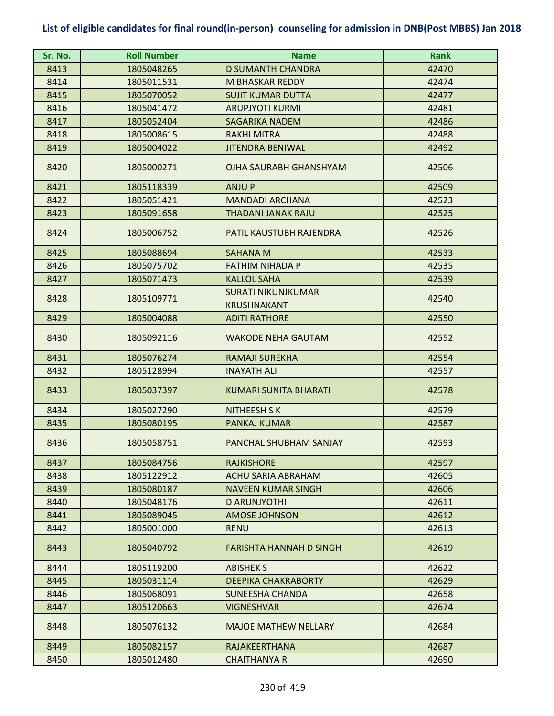| Sr. No. | <b>Roll Number</b> | <b>Name</b>                    | <b>Rank</b> |
|---------|--------------------|--------------------------------|-------------|
| 8413    | 1805048265         | <b>D SUMANTH CHANDRA</b>       | 42470       |
| 8414    | 1805011531         | <b>M BHASKAR REDDY</b>         | 42474       |
| 8415    | 1805070052         | <b>SUJIT KUMAR DUTTA</b>       | 42477       |
| 8416    | 1805041472         | <b>ARUPJYOTI KURMI</b>         | 42481       |
| 8417    | 1805052404         | <b>SAGARIKA NADEM</b>          | 42486       |
| 8418    | 1805008615         | <b>RAKHI MITRA</b>             | 42488       |
| 8419    | 1805004022         | <b>JITENDRA BENIWAL</b>        | 42492       |
| 8420    | 1805000271         | OJHA SAURABH GHANSHYAM         | 42506       |
| 8421    | 1805118339         | <b>ANJUP</b>                   | 42509       |
| 8422    | 1805051421         | <b>MANDADI ARCHANA</b>         | 42523       |
| 8423    | 1805091658         | THADANI JANAK RAJU             | 42525       |
| 8424    | 1805006752         | PATIL KAUSTUBH RAJENDRA        | 42526       |
| 8425    | 1805088694         | <b>SAHANA M</b>                | 42533       |
| 8426    | 1805075702         | <b>FATHIM NIHADA P</b>         | 42535       |
| 8427    | 1805071473         | <b>KALLOL SAHA</b>             | 42539       |
| 8428    | 1805109771         | <b>SURATI NIKUNJKUMAR</b>      | 42540       |
|         |                    | <b>KRUSHNAKANT</b>             |             |
| 8429    | 1805004088         | <b>ADITI RATHORE</b>           | 42550       |
| 8430    | 1805092116         | <b>WAKODE NEHA GAUTAM</b>      | 42552       |
| 8431    | 1805076274         | <b>RAMAJI SUREKHA</b>          | 42554       |
| 8432    | 1805128994         | <b>INAYATH ALI</b>             | 42557       |
| 8433    | 1805037397         | <b>KUMARI SUNITA BHARATI</b>   | 42578       |
| 8434    | 1805027290         | <b>NITHEESH S K</b>            | 42579       |
| 8435    | 1805080195         | <b>PANKAJ KUMAR</b>            | 42587       |
| 8436    | 1805058751         | PANCHAL SHUBHAM SANJAY         | 42593       |
| 8437    | 1805084756         | <b>RAJKISHORE</b>              | 42597       |
| 8438    | 1805122912         | <b>ACHU SARIA ABRAHAM</b>      | 42605       |
| 8439    | 1805080187         | <b>NAVEEN KUMAR SINGH</b>      | 42606       |
| 8440    | 1805048176         | D ARUNJYOTHI                   | 42611       |
| 8441    | 1805089045         | <b>AMOSE JOHNSON</b>           | 42612       |
| 8442    | 1805001000         | <b>RENU</b>                    | 42613       |
| 8443    | 1805040792         | <b>FARISHTA HANNAH D SINGH</b> | 42619       |
| 8444    | 1805119200         | <b>ABISHEK S</b>               | 42622       |
| 8445    | 1805031114         | <b>DEEPIKA CHAKRABORTY</b>     | 42629       |
| 8446    | 1805068091         | SUNEESHA CHANDA                | 42658       |
| 8447    | 1805120663         | VIGNESHVAR                     | 42674       |
| 8448    | 1805076132         | <b>MAJOE MATHEW NELLARY</b>    | 42684       |
| 8449    | 1805082157         | RAJAKEERTHANA                  | 42687       |
| 8450    | 1805012480         | <b>CHAITHANYA R</b>            | 42690       |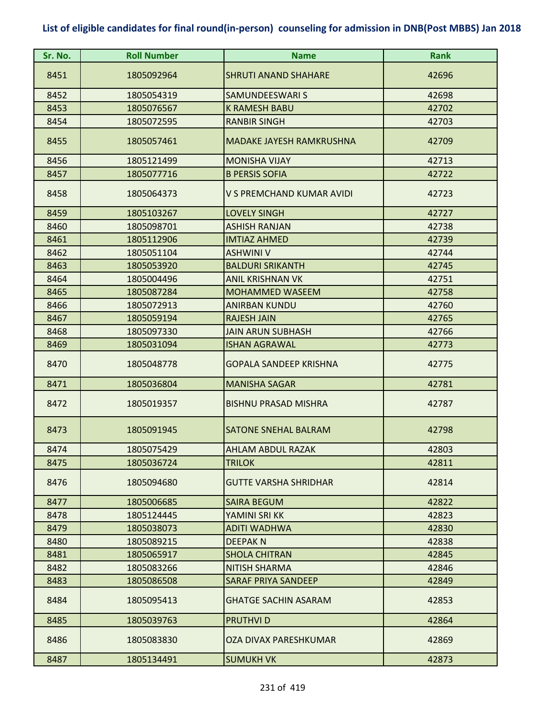| Sr. No. | <b>Roll Number</b> | <b>Name</b>                     | <b>Rank</b> |
|---------|--------------------|---------------------------------|-------------|
| 8451    | 1805092964         | <b>SHRUTI ANAND SHAHARE</b>     | 42696       |
| 8452    | 1805054319         | <b>SAMUNDEESWARI S</b>          | 42698       |
| 8453    | 1805076567         | <b>K RAMESH BABU</b>            | 42702       |
| 8454    | 1805072595         | <b>RANBIR SINGH</b>             | 42703       |
| 8455    | 1805057461         | <b>MADAKE JAYESH RAMKRUSHNA</b> | 42709       |
| 8456    | 1805121499         | <b>MONISHA VIJAY</b>            | 42713       |
| 8457    | 1805077716         | <b>B PERSIS SOFIA</b>           | 42722       |
| 8458    | 1805064373         | V S PREMCHAND KUMAR AVIDI       | 42723       |
| 8459    | 1805103267         | <b>LOVELY SINGH</b>             | 42727       |
| 8460    | 1805098701         | <b>ASHISH RANJAN</b>            | 42738       |
| 8461    | 1805112906         | <b>IMTIAZ AHMED</b>             | 42739       |
| 8462    | 1805051104         | <b>ASHWINI V</b>                | 42744       |
| 8463    | 1805053920         | <b>BALDURI SRIKANTH</b>         | 42745       |
| 8464    | 1805004496         | <b>ANIL KRISHNAN VK</b>         | 42751       |
| 8465    | 1805087284         | <b>MOHAMMED WASEEM</b>          | 42758       |
| 8466    | 1805072913         | <b>ANIRBAN KUNDU</b>            | 42760       |
| 8467    | 1805059194         | <b>RAJESH JAIN</b>              | 42765       |
| 8468    | 1805097330         | <b>JAIN ARUN SUBHASH</b>        | 42766       |
| 8469    | 1805031094         | <b>ISHAN AGRAWAL</b>            | 42773       |
| 8470    | 1805048778         | <b>GOPALA SANDEEP KRISHNA</b>   | 42775       |
| 8471    | 1805036804         | <b>MANISHA SAGAR</b>            | 42781       |
| 8472    | 1805019357         | <b>BISHNU PRASAD MISHRA</b>     | 42787       |
| 8473    | 1805091945         | <b>SATONE SNEHAL BALRAM</b>     | 42798       |
| 8474    | 1805075429         | AHLAM ABDUL RAZAK               | 42803       |
| 8475    | 1805036724         | <b>TRILOK</b>                   | 42811       |
| 8476    | 1805094680         | <b>GUTTE VARSHA SHRIDHAR</b>    | 42814       |
| 8477    | 1805006685         | <b>SAIRA BEGUM</b>              | 42822       |
| 8478    | 1805124445         | YAMINI SRI KK                   | 42823       |
| 8479    | 1805038073         | ADITI WADHWA                    | 42830       |
| 8480    | 1805089215         | <b>DEEPAKN</b>                  | 42838       |
| 8481    | 1805065917         | <b>SHOLA CHITRAN</b>            | 42845       |
| 8482    | 1805083266         | <b>NITISH SHARMA</b>            | 42846       |
| 8483    | 1805086508         | <b>SARAF PRIYA SANDEEP</b>      | 42849       |
| 8484    | 1805095413         | <b>GHATGE SACHIN ASARAM</b>     | 42853       |
| 8485    | 1805039763         | <b>PRUTHVID</b>                 | 42864       |
| 8486    | 1805083830         | <b>OZA DIVAX PARESHKUMAR</b>    | 42869       |
| 8487    | 1805134491         | <b>SUMUKH VK</b>                | 42873       |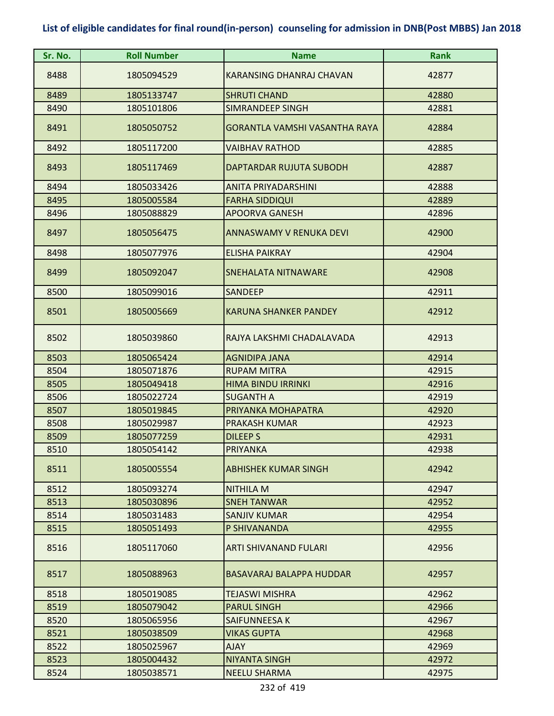| Sr. No. | <b>Roll Number</b> | <b>Name</b>                          | <b>Rank</b> |
|---------|--------------------|--------------------------------------|-------------|
| 8488    | 1805094529         | KARANSING DHANRAJ CHAVAN             | 42877       |
| 8489    | 1805133747         | <b>SHRUTI CHAND</b>                  | 42880       |
| 8490    | 1805101806         | <b>SIMRANDEEP SINGH</b>              | 42881       |
| 8491    | 1805050752         | <b>GORANTLA VAMSHI VASANTHA RAYA</b> | 42884       |
| 8492    | 1805117200         | <b>VAIBHAV RATHOD</b>                | 42885       |
| 8493    | 1805117469         | DAPTARDAR RUJUTA SUBODH              | 42887       |
| 8494    | 1805033426         | <b>ANITA PRIYADARSHINI</b>           | 42888       |
| 8495    | 1805005584         | <b>FARHA SIDDIQUI</b>                | 42889       |
| 8496    | 1805088829         | <b>APOORVA GANESH</b>                | 42896       |
| 8497    | 1805056475         | <b>ANNASWAMY V RENUKA DEVI</b>       | 42900       |
| 8498    | 1805077976         | <b>ELISHA PAIKRAY</b>                | 42904       |
| 8499    | 1805092047         | <b>SNEHALATA NITNAWARE</b>           | 42908       |
| 8500    | 1805099016         | <b>SANDEEP</b>                       | 42911       |
| 8501    | 1805005669         | <b>KARUNA SHANKER PANDEY</b>         | 42912       |
| 8502    | 1805039860         | RAJYA LAKSHMI CHADALAVADA            | 42913       |
| 8503    | 1805065424         | <b>AGNIDIPA JANA</b>                 | 42914       |
| 8504    | 1805071876         | <b>RUPAM MITRA</b>                   | 42915       |
| 8505    | 1805049418         | <b>HIMA BINDU IRRINKI</b>            | 42916       |
| 8506    | 1805022724         | <b>SUGANTH A</b>                     | 42919       |
| 8507    | 1805019845         | PRIYANKA MOHAPATRA                   | 42920       |
| 8508    | 1805029987         | <b>PRAKASH KUMAR</b>                 | 42923       |
| 8509    | 1805077259         | <b>DILEEP S</b>                      | 42931       |
| 8510    | 1805054142         | PRIYANKA                             | 42938       |
| 8511    | 1805005554         | <b>ABHISHEK KUMAR SINGH</b>          | 42942       |
| 8512    | 1805093274         | <b>NITHILA M</b>                     | 42947       |
| 8513    | 1805030896         | <b>SNEH TANWAR</b>                   | 42952       |
| 8514    | 1805031483         | <b>SANJIV KUMAR</b>                  | 42954       |
| 8515    | 1805051493         | P SHIVANANDA                         | 42955       |
| 8516    | 1805117060         | ARTI SHIVANAND FULARI                | 42956       |
| 8517    | 1805088963         | BASAVARAJ BALAPPA HUDDAR             | 42957       |
| 8518    | 1805019085         | <b>TEJASWI MISHRA</b>                | 42962       |
| 8519    | 1805079042         | <b>PARUL SINGH</b>                   | 42966       |
| 8520    | 1805065956         | SAIFUNNEESA K                        | 42967       |
| 8521    | 1805038509         | <b>VIKAS GUPTA</b>                   | 42968       |
| 8522    | 1805025967         | <b>AJAY</b>                          | 42969       |
| 8523    | 1805004432         | <b>NIYANTA SINGH</b>                 | 42972       |
| 8524    | 1805038571         | <b>NEELU SHARMA</b>                  | 42975       |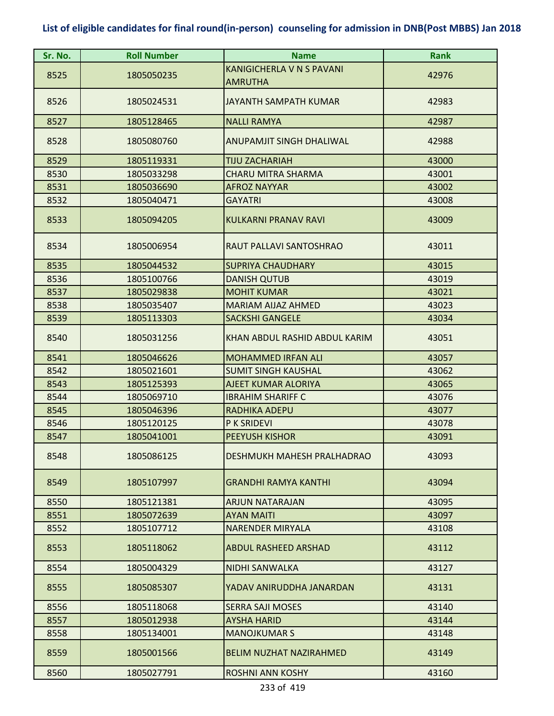| Sr. No.      | <b>Roll Number</b>       | <b>Name</b>                      | <b>Rank</b>    |
|--------------|--------------------------|----------------------------------|----------------|
|              |                          | <b>KANIGICHERLA V N S PAVANI</b> |                |
| 8525         | 1805050235               | <b>AMRUTHA</b>                   | 42976          |
| 8526         | 1805024531               | <b>JAYANTH SAMPATH KUMAR</b>     | 42983          |
|              |                          |                                  |                |
| 8527         | 1805128465               | <b>NALLI RAMYA</b>               | 42987          |
| 8528         | 1805080760               | ANUPAMJIT SINGH DHALIWAL         | 42988          |
| 8529         |                          | <b>TIJU ZACHARIAH</b>            | 43000          |
|              | 1805119331<br>1805033298 | <b>CHARU MITRA SHARMA</b>        |                |
| 8530<br>8531 | 1805036690               | <b>AFROZ NAYYAR</b>              | 43001<br>43002 |
|              |                          |                                  |                |
| 8532         | 1805040471               | <b>GAYATRI</b>                   | 43008          |
| 8533         | 1805094205               | <b>KULKARNI PRANAV RAVI</b>      | 43009          |
| 8534         | 1805006954               | RAUT PALLAVI SANTOSHRAO          | 43011          |
| 8535         | 1805044532               | <b>SUPRIYA CHAUDHARY</b>         | 43015          |
| 8536         | 1805100766               | <b>DANISH QUTUB</b>              | 43019          |
| 8537         | 1805029838               | <b>MOHIT KUMAR</b>               | 43021          |
| 8538         | 1805035407               | <b>MARIAM AIJAZ AHMED</b>        | 43023          |
| 8539         | 1805113303               | <b>SACKSHI GANGELE</b>           | 43034          |
| 8540         | 1805031256               | KHAN ABDUL RASHID ABDUL KARIM    | 43051          |
| 8541         | 1805046626               | <b>MOHAMMED IRFAN ALI</b>        | 43057          |
| 8542         | 1805021601               | <b>SUMIT SINGH KAUSHAL</b>       | 43062          |
| 8543         | 1805125393               | AJEET KUMAR ALORIYA              | 43065          |
| 8544         | 1805069710               | <b>IBRAHIM SHARIFF C</b>         | 43076          |
| 8545         | 1805046396               | <b>RADHIKA ADEPU</b>             | 43077          |
| 8546         | 1805120125               | P K SRIDEVI                      | 43078          |
| 8547         | 1805041001               | <b>PEEYUSH KISHOR</b>            | 43091          |
| 8548         | 1805086125               | DESHMUKH MAHESH PRALHADRAO       | 43093          |
| 8549         | 1805107997               | <b>GRANDHI RAMYA KANTHI</b>      | 43094          |
| 8550         | 1805121381               | <b>ARJUN NATARAJAN</b>           | 43095          |
| 8551         | 1805072639               | <b>AYAN MAITI</b>                | 43097          |
| 8552         | 1805107712               | <b>NARENDER MIRYALA</b>          | 43108          |
| 8553         | 1805118062               | <b>ABDUL RASHEED ARSHAD</b>      | 43112          |
| 8554         | 1805004329               | <b>NIDHI SANWALKA</b>            | 43127          |
| 8555         | 1805085307               | YADAV ANIRUDDHA JANARDAN         | 43131          |
| 8556         | 1805118068               | <b>SERRA SAJI MOSES</b>          | 43140          |
| 8557         | 1805012938               | <b>AYSHA HARID</b>               | 43144          |
| 8558         | 1805134001               | <b>MANOJKUMAR S</b>              | 43148          |
| 8559         | 1805001566               | <b>BELIM NUZHAT NAZIRAHMED</b>   | 43149          |
| 8560         | 1805027791               | <b>ROSHNI ANN KOSHY</b>          | 43160          |
|              |                          |                                  |                |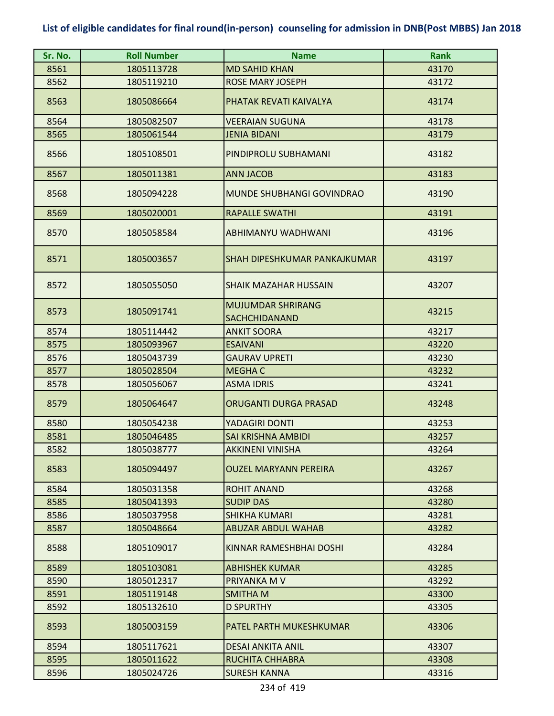| Sr. No. | <b>Roll Number</b> | <b>Name</b>                                      | <b>Rank</b> |
|---------|--------------------|--------------------------------------------------|-------------|
| 8561    | 1805113728         | <b>MD SAHID KHAN</b>                             | 43170       |
| 8562    | 1805119210         | <b>ROSE MARY JOSEPH</b>                          | 43172       |
| 8563    | 1805086664         | PHATAK REVATI KAIVALYA                           | 43174       |
| 8564    | 1805082507         | <b>VEERAIAN SUGUNA</b>                           | 43178       |
| 8565    | 1805061544         | <b>JENIA BIDANI</b>                              | 43179       |
| 8566    | 1805108501         | PINDIPROLU SUBHAMANI                             | 43182       |
| 8567    | 1805011381         | <b>ANN JACOB</b>                                 | 43183       |
| 8568    | 1805094228         | <b>MUNDE SHUBHANGI GOVINDRAO</b>                 | 43190       |
| 8569    | 1805020001         | <b>RAPALLE SWATHI</b>                            | 43191       |
| 8570    | 1805058584         | ABHIMANYU WADHWANI                               | 43196       |
| 8571    | 1805003657         | SHAH DIPESHKUMAR PANKAJKUMAR                     | 43197       |
| 8572    | 1805055050         | <b>SHAIK MAZAHAR HUSSAIN</b>                     | 43207       |
| 8573    | 1805091741         | <b>MUJUMDAR SHRIRANG</b><br><b>SACHCHIDANAND</b> | 43215       |
| 8574    | 1805114442         | <b>ANKIT SOORA</b>                               | 43217       |
| 8575    | 1805093967         | <b>ESAIVANI</b>                                  | 43220       |
| 8576    | 1805043739         | <b>GAURAV UPRETI</b>                             | 43230       |
| 8577    | 1805028504         | <b>MEGHAC</b>                                    | 43232       |
| 8578    | 1805056067         | <b>ASMA IDRIS</b>                                | 43241       |
| 8579    | 1805064647         | <b>ORUGANTI DURGA PRASAD</b>                     | 43248       |
| 8580    | 1805054238         | YADAGIRI DONTI                                   | 43253       |
| 8581    | 1805046485         | SAI KRISHNA AMBIDI                               | 43257       |
| 8582    | 1805038777         | <b>AKKINENI VINISHA</b>                          | 43264       |
| 8583    | 1805094497         | <b>OUZEL MARYANN PEREIRA</b>                     | 43267       |
| 8584    | 1805031358         | <b>ROHIT ANAND</b>                               | 43268       |
| 8585    | 1805041393         | <b>SUDIP DAS</b>                                 | 43280       |
| 8586    | 1805037958         | <b>SHIKHA KUMARI</b>                             | 43281       |
| 8587    | 1805048664         | <b>ABUZAR ABDUL WAHAB</b>                        | 43282       |
| 8588    | 1805109017         | KINNAR RAMESHBHAI DOSHI                          | 43284       |
| 8589    | 1805103081         | <b>ABHISHEK KUMAR</b>                            | 43285       |
| 8590    | 1805012317         | PRIYANKA M V                                     | 43292       |
| 8591    | 1805119148         | SMITHA M                                         | 43300       |
| 8592    | 1805132610         | <b>D SPURTHY</b>                                 | 43305       |
| 8593    | 1805003159         | PATEL PARTH MUKESHKUMAR                          | 43306       |
| 8594    | 1805117621         | <b>DESAI ANKITA ANIL</b>                         | 43307       |
| 8595    | 1805011622         | <b>RUCHITA CHHABRA</b>                           | 43308       |
| 8596    | 1805024726         | <b>SURESH KANNA</b>                              | 43316       |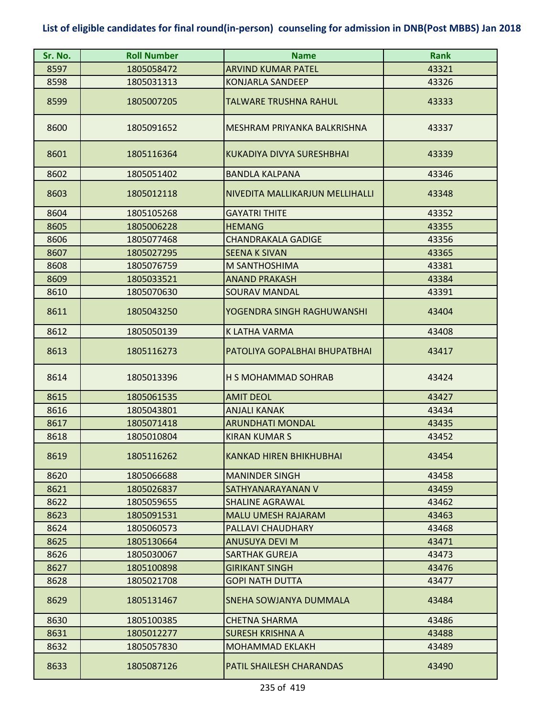| Sr. No. | <b>Roll Number</b> | <b>Name</b>                      | <b>Rank</b> |
|---------|--------------------|----------------------------------|-------------|
| 8597    | 1805058472         | <b>ARVIND KUMAR PATEL</b>        | 43321       |
| 8598    | 1805031313         | <b>KONJARLA SANDEEP</b>          | 43326       |
| 8599    | 1805007205         | TALWARE TRUSHNA RAHUL            | 43333       |
| 8600    | 1805091652         | MESHRAM PRIYANKA BALKRISHNA      | 43337       |
| 8601    | 1805116364         | <b>KUKADIYA DIVYA SURESHBHAI</b> | 43339       |
| 8602    | 1805051402         | <b>BANDLA KALPANA</b>            | 43346       |
| 8603    | 1805012118         | NIVEDITA MALLIKARJUN MELLIHALLI  | 43348       |
| 8604    | 1805105268         | <b>GAYATRI THITE</b>             | 43352       |
| 8605    | 1805006228         | <b>HEMANG</b>                    | 43355       |
| 8606    | 1805077468         | <b>CHANDRAKALA GADIGE</b>        | 43356       |
| 8607    | 1805027295         | <b>SEENA K SIVAN</b>             | 43365       |
| 8608    | 1805076759         | M SANTHOSHIMA                    | 43381       |
| 8609    | 1805033521         | <b>ANAND PRAKASH</b>             | 43384       |
| 8610    | 1805070630         | <b>SOURAV MANDAL</b>             | 43391       |
| 8611    | 1805043250         | YOGENDRA SINGH RAGHUWANSHI       | 43404       |
| 8612    | 1805050139         | K LATHA VARMA                    | 43408       |
| 8613    | 1805116273         | PATOLIYA GOPALBHAI BHUPATBHAI    | 43417       |
| 8614    | 1805013396         | H S MOHAMMAD SOHRAB              | 43424       |
| 8615    | 1805061535         | <b>AMIT DEOL</b>                 | 43427       |
| 8616    | 1805043801         | <b>ANJALI KANAK</b>              | 43434       |
| 8617    | 1805071418         | <b>ARUNDHATI MONDAL</b>          | 43435       |
| 8618    | 1805010804         | <b>KIRAN KUMAR S</b>             | 43452       |
| 8619    | 1805116262         | <b>KANKAD HIREN BHIKHUBHAI</b>   | 43454       |
| 8620    | 1805066688         | <b>MANINDER SINGH</b>            | 43458       |
| 8621    | 1805026837         | SATHYANARAYANAN V                | 43459       |
| 8622    | 1805059655         | <b>SHALINE AGRAWAL</b>           | 43462       |
| 8623    | 1805091531         | <b>MALU UMESH RAJARAM</b>        | 43463       |
| 8624    | 1805060573         | PALLAVI CHAUDHARY                | 43468       |
| 8625    | 1805130664         | <b>ANUSUYA DEVI M</b>            | 43471       |
| 8626    | 1805030067         | <b>SARTHAK GUREJA</b>            | 43473       |
| 8627    | 1805100898         | <b>GIRIKANT SINGH</b>            | 43476       |
| 8628    | 1805021708         | <b>GOPI NATH DUTTA</b>           | 43477       |
| 8629    | 1805131467         | SNEHA SOWJANYA DUMMALA           | 43484       |
| 8630    | 1805100385         | <b>CHETNA SHARMA</b>             | 43486       |
| 8631    | 1805012277         | <b>SURESH KRISHNA A</b>          | 43488       |
| 8632    | 1805057830         | <b>MOHAMMAD EKLAKH</b>           | 43489       |
| 8633    | 1805087126         | PATIL SHAILESH CHARANDAS         | 43490       |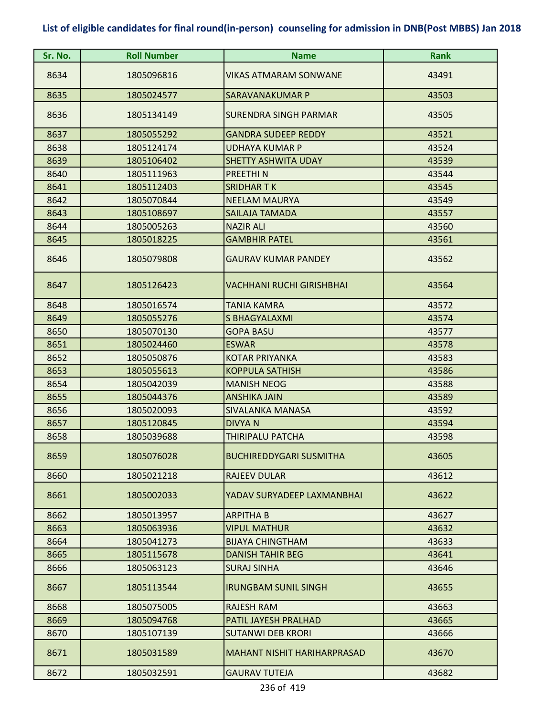| Sr. No. | <b>Roll Number</b> | <b>Name</b>                        | <b>Rank</b> |
|---------|--------------------|------------------------------------|-------------|
| 8634    | 1805096816         | <b>VIKAS ATMARAM SONWANE</b>       | 43491       |
| 8635    | 1805024577         | SARAVANAKUMAR P                    | 43503       |
| 8636    | 1805134149         | <b>SURENDRA SINGH PARMAR</b>       | 43505       |
| 8637    | 1805055292         | <b>GANDRA SUDEEP REDDY</b>         | 43521       |
| 8638    | 1805124174         | <b>UDHAYA KUMAR P</b>              | 43524       |
| 8639    | 1805106402         | <b>SHETTY ASHWITA UDAY</b>         | 43539       |
| 8640    | 1805111963         | <b>PREETHIN</b>                    | 43544       |
| 8641    | 1805112403         | <b>SRIDHARTK</b>                   | 43545       |
| 8642    | 1805070844         | <b>NEELAM MAURYA</b>               | 43549       |
| 8643    | 1805108697         | SAILAJA TAMADA                     | 43557       |
| 8644    | 1805005263         | <b>NAZIR ALI</b>                   | 43560       |
| 8645    | 1805018225         | <b>GAMBHIR PATEL</b>               | 43561       |
| 8646    | 1805079808         | <b>GAURAV KUMAR PANDEY</b>         | 43562       |
| 8647    | 1805126423         | <b>VACHHANI RUCHI GIRISHBHAI</b>   | 43564       |
| 8648    | 1805016574         | <b>TANIA KAMRA</b>                 | 43572       |
| 8649    | 1805055276         | S BHAGYALAXMI                      | 43574       |
| 8650    | 1805070130         | <b>GOPA BASU</b>                   | 43577       |
| 8651    | 1805024460         | <b>ESWAR</b>                       | 43578       |
| 8652    | 1805050876         | <b>KOTAR PRIYANKA</b>              | 43583       |
| 8653    | 1805055613         | <b>KOPPULA SATHISH</b>             | 43586       |
| 8654    | 1805042039         | <b>MANISH NEOG</b>                 | 43588       |
| 8655    | 1805044376         | <b>ANSHIKA JAIN</b>                | 43589       |
| 8656    | 1805020093         | <b>SIVALANKA MANASA</b>            | 43592       |
| 8657    | 1805120845         | <b>DIVYAN</b>                      | 43594       |
| 8658    | 1805039688         | THIRIPALU PATCHA                   | 43598       |
| 8659    | 1805076028         | <b>BUCHIREDDYGARI SUSMITHA</b>     | 43605       |
| 8660    | 1805021218         | <b>RAJEEV DULAR</b>                | 43612       |
| 8661    | 1805002033         | YADAV SURYADEEP LAXMANBHAI         | 43622       |
| 8662    | 1805013957         | <b>ARPITHA B</b>                   | 43627       |
| 8663    | 1805063936         | <b>VIPUL MATHUR</b>                | 43632       |
| 8664    | 1805041273         | <b>BIJAYA CHINGTHAM</b>            | 43633       |
| 8665    | 1805115678         | <b>DANISH TAHIR BEG</b>            | 43641       |
| 8666    | 1805063123         | <b>SURAJ SINHA</b>                 | 43646       |
| 8667    | 1805113544         | <b>IRUNGBAM SUNIL SINGH</b>        | 43655       |
| 8668    | 1805075005         | <b>RAJESH RAM</b>                  | 43663       |
| 8669    | 1805094768         | PATIL JAYESH PRALHAD               | 43665       |
| 8670    | 1805107139         | <b>SUTANWI DEB KRORI</b>           | 43666       |
| 8671    | 1805031589         | <b>MAHANT NISHIT HARIHARPRASAD</b> | 43670       |
| 8672    | 1805032591         | <b>GAURAV TUTEJA</b>               | 43682       |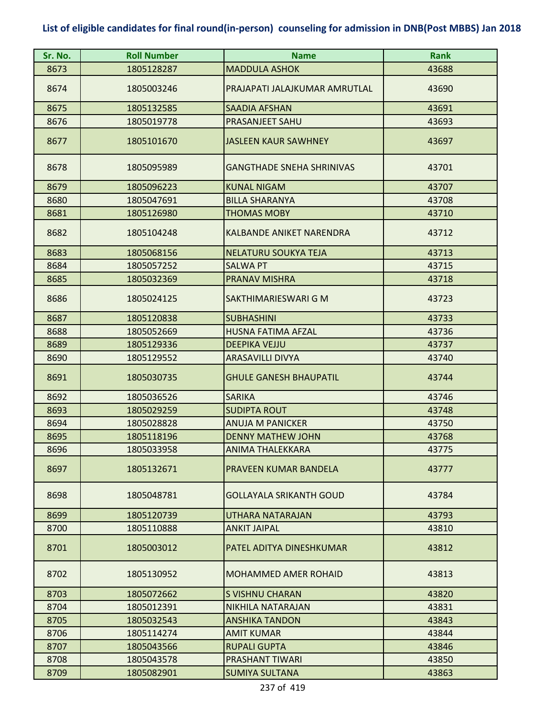| Sr. No. | <b>Roll Number</b> | <b>Name</b>                      | <b>Rank</b> |
|---------|--------------------|----------------------------------|-------------|
| 8673    | 1805128287         | <b>MADDULA ASHOK</b>             | 43688       |
| 8674    | 1805003246         | PRAJAPATI JALAJKUMAR AMRUTLAL    | 43690       |
| 8675    | 1805132585         | <b>SAADIA AFSHAN</b>             | 43691       |
| 8676    | 1805019778         | PRASANJEET SAHU                  | 43693       |
| 8677    | 1805101670         | <b>JASLEEN KAUR SAWHNEY</b>      | 43697       |
| 8678    | 1805095989         | <b>GANGTHADE SNEHA SHRINIVAS</b> | 43701       |
| 8679    | 1805096223         | <b>KUNAL NIGAM</b>               | 43707       |
| 8680    | 1805047691         | <b>BILLA SHARANYA</b>            | 43708       |
| 8681    | 1805126980         | <b>THOMAS MOBY</b>               | 43710       |
| 8682    | 1805104248         | KALBANDE ANIKET NARENDRA         | 43712       |
| 8683    | 1805068156         | NELATURU SOUKYA TEJA             | 43713       |
| 8684    | 1805057252         | <b>SALWA PT</b>                  | 43715       |
| 8685    | 1805032369         | PRANAV MISHRA                    | 43718       |
| 8686    | 1805024125         | SAKTHIMARIESWARI G M             | 43723       |
| 8687    | 1805120838         | <b>SUBHASHINI</b>                | 43733       |
| 8688    | 1805052669         | <b>HUSNA FATIMA AFZAL</b>        | 43736       |
| 8689    | 1805129336         | <b>DEEPIKA VEJJU</b>             | 43737       |
| 8690    | 1805129552         | <b>ARASAVILLI DIVYA</b>          | 43740       |
| 8691    | 1805030735         | <b>GHULE GANESH BHAUPATIL</b>    | 43744       |
| 8692    | 1805036526         | <b>SARIKA</b>                    | 43746       |
| 8693    | 1805029259         | <b>SUDIPTA ROUT</b>              | 43748       |
| 8694    | 1805028828         | <b>ANUJA M PANICKER</b>          | 43750       |
| 8695    | 1805118196         | <b>DENNY MATHEW JOHN</b>         | 43768       |
| 8696    | 1805033958         | ANIMA THALEKKARA                 | 43775       |
| 8697    | 1805132671         | PRAVEEN KUMAR BANDELA            | 43777       |
| 8698    | 1805048781         | <b>GOLLAYALA SRIKANTH GOUD</b>   | 43784       |
| 8699    | 1805120739         | UTHARA NATARAJAN                 | 43793       |
| 8700    | 1805110888         | <b>ANKIT JAIPAL</b>              | 43810       |
| 8701    | 1805003012         | PATEL ADITYA DINESHKUMAR         | 43812       |
| 8702    | 1805130952         | <b>MOHAMMED AMER ROHAID</b>      | 43813       |
| 8703    | 1805072662         | <b>S VISHNU CHARAN</b>           | 43820       |
| 8704    | 1805012391         | NIKHILA NATARAJAN                | 43831       |
| 8705    | 1805032543         | <b>ANSHIKA TANDON</b>            | 43843       |
| 8706    | 1805114274         | <b>AMIT KUMAR</b>                | 43844       |
| 8707    | 1805043566         | <b>RUPALI GUPTA</b>              | 43846       |
| 8708    | 1805043578         | PRASHANT TIWARI                  | 43850       |
| 8709    | 1805082901         | <b>SUMIYA SULTANA</b>            | 43863       |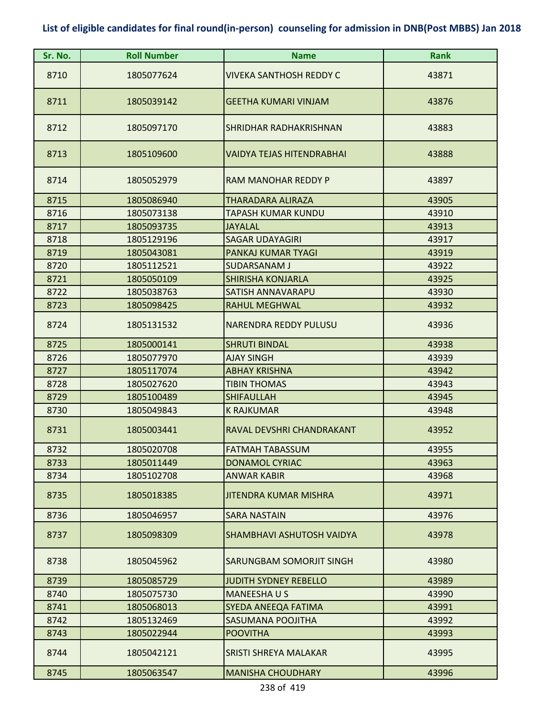| Sr. No. | <b>Roll Number</b> | <b>Name</b>                      | <b>Rank</b> |
|---------|--------------------|----------------------------------|-------------|
| 8710    | 1805077624         | <b>VIVEKA SANTHOSH REDDY C</b>   | 43871       |
| 8711    | 1805039142         | <b>GEETHA KUMARI VINJAM</b>      | 43876       |
| 8712    | 1805097170         | SHRIDHAR RADHAKRISHNAN           | 43883       |
| 8713    | 1805109600         | <b>VAIDYA TEJAS HITENDRABHAI</b> | 43888       |
| 8714    | 1805052979         | RAM MANOHAR REDDY P              | 43897       |
| 8715    | 1805086940         | <b>THARADARA ALIRAZA</b>         | 43905       |
| 8716    | 1805073138         | TAPASH KUMAR KUNDU               | 43910       |
| 8717    | 1805093735         | <b>JAYALAL</b>                   | 43913       |
| 8718    | 1805129196         | <b>SAGAR UDAYAGIRI</b>           | 43917       |
| 8719    | 1805043081         | PANKAJ KUMAR TYAGI               | 43919       |
| 8720    | 1805112521         | <b>SUDARSANAM J</b>              | 43922       |
| 8721    | 1805050109         | <b>SHIRISHA KONJARLA</b>         | 43925       |
| 8722    | 1805038763         | SATISH ANNAVARAPU                | 43930       |
| 8723    | 1805098425         | <b>RAHUL MEGHWAL</b>             | 43932       |
| 8724    | 1805131532         | <b>NARENDRA REDDY PULUSU</b>     | 43936       |
| 8725    | 1805000141         | <b>SHRUTI BINDAL</b>             | 43938       |
| 8726    | 1805077970         | <b>AJAY SINGH</b>                | 43939       |
| 8727    | 1805117074         | <b>ABHAY KRISHNA</b>             | 43942       |
| 8728    | 1805027620         | <b>TIBIN THOMAS</b>              | 43943       |
| 8729    | 1805100489         | <b>SHIFAULLAH</b>                | 43945       |
| 8730    | 1805049843         | <b>K RAJKUMAR</b>                | 43948       |
| 8731    | 1805003441         | RAVAL DEVSHRI CHANDRAKANT        | 43952       |
| 8732    | 1805020708         | FATMAH TABASSUM                  | 43955       |
| 8733    | 1805011449         | <b>DONAMOL CYRIAC</b>            | 43963       |
| 8734    | 1805102708         | <b>ANWAR KABIR</b>               | 43968       |
| 8735    | 1805018385         | <b>JITENDRA KUMAR MISHRA</b>     | 43971       |
| 8736    | 1805046957         | <b>SARA NASTAIN</b>              | 43976       |
| 8737    | 1805098309         | SHAMBHAVI ASHUTOSH VAIDYA        | 43978       |
| 8738    | 1805045962         | SARUNGBAM SOMORJIT SINGH         | 43980       |
| 8739    | 1805085729         | <b>JUDITH SYDNEY REBELLO</b>     | 43989       |
| 8740    | 1805075730         | <b>MANEESHAUS</b>                | 43990       |
| 8741    | 1805068013         | SYEDA ANEEQA FATIMA              | 43991       |
| 8742    | 1805132469         | SASUMANA POOJITHA                | 43992       |
| 8743    | 1805022944         | <b>POOVITHA</b>                  | 43993       |
| 8744    | 1805042121         | SRISTI SHREYA MALAKAR            | 43995       |
| 8745    | 1805063547         | <b>MANISHA CHOUDHARY</b>         | 43996       |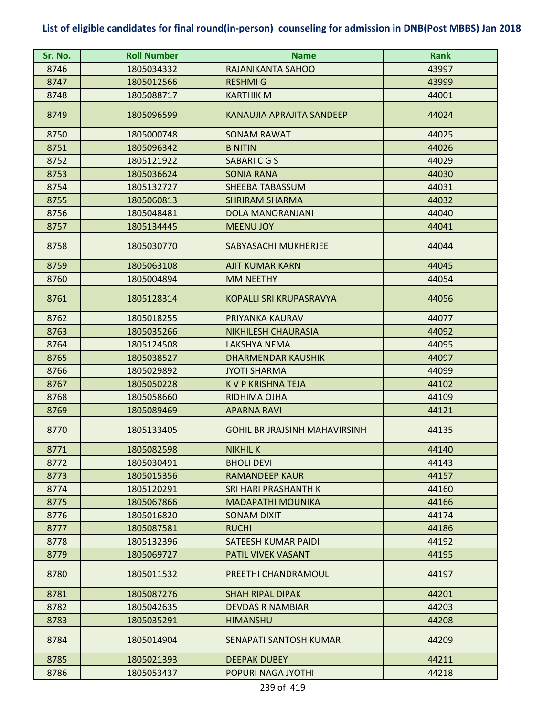| Sr. No. | <b>Roll Number</b> | <b>Name</b>                          | <b>Rank</b> |
|---------|--------------------|--------------------------------------|-------------|
| 8746    | 1805034332         | RAJANIKANTA SAHOO                    | 43997       |
| 8747    | 1805012566         | <b>RESHMIG</b>                       | 43999       |
| 8748    | 1805088717         | <b>KARTHIK M</b>                     | 44001       |
| 8749    | 1805096599         | KANAUJIA APRAJITA SANDEEP            | 44024       |
| 8750    | 1805000748         | <b>SONAM RAWAT</b>                   | 44025       |
| 8751    | 1805096342         | <b>B NITIN</b>                       | 44026       |
| 8752    | 1805121922         | SABARICGS                            | 44029       |
| 8753    | 1805036624         | <b>SONIA RANA</b>                    | 44030       |
| 8754    | 1805132727         | SHEEBA TABASSUM                      | 44031       |
| 8755    | 1805060813         | <b>SHRIRAM SHARMA</b>                | 44032       |
| 8756    | 1805048481         | DOLA MANORANJANI                     | 44040       |
| 8757    | 1805134445         | <b>MEENU JOY</b>                     | 44041       |
| 8758    | 1805030770         | SABYASACHI MUKHERJEE                 | 44044       |
| 8759    | 1805063108         | <b>AJIT KUMAR KARN</b>               | 44045       |
| 8760    | 1805004894         | <b>MM NEETHY</b>                     | 44054       |
| 8761    | 1805128314         | <b>KOPALLI SRI KRUPASRAVYA</b>       | 44056       |
| 8762    | 1805018255         | PRIYANKA KAURAV                      | 44077       |
| 8763    | 1805035266         | <b>NIKHILESH CHAURASIA</b>           | 44092       |
| 8764    | 1805124508         | LAKSHYA NEMA                         | 44095       |
| 8765    | 1805038527         | <b>DHARMENDAR KAUSHIK</b>            | 44097       |
| 8766    | 1805029892         | <b>JYOTI SHARMA</b>                  | 44099       |
| 8767    | 1805050228         | K V P KRISHNA TEJA                   | 44102       |
| 8768    | 1805058660         | RIDHIMA OJHA                         | 44109       |
| 8769    | 1805089469         | <b>APARNA RAVI</b>                   | 44121       |
| 8770    | 1805133405         | <b>GOHIL BRIJRAJSINH MAHAVIRSINH</b> | 44135       |
| 8771    | 1805082598         | <b>NIKHIL K</b>                      | 44140       |
| 8772    | 1805030491         | <b>BHOLI DEVI</b>                    | 44143       |
| 8773    | 1805015356         | <b>RAMANDEEP KAUR</b>                | 44157       |
| 8774    | 1805120291         | <b>SRI HARI PRASHANTH K</b>          | 44160       |
| 8775    | 1805067866         | <b>MADAPATHI MOUNIKA</b>             | 44166       |
| 8776    | 1805016820         | <b>SONAM DIXIT</b>                   | 44174       |
| 8777    | 1805087581         | <b>RUCHI</b>                         | 44186       |
| 8778    | 1805132396         | SATEESH KUMAR PAIDI                  | 44192       |
| 8779    | 1805069727         | PATIL VIVEK VASANT                   | 44195       |
| 8780    | 1805011532         | PREETHI CHANDRAMOULI                 | 44197       |
| 8781    | 1805087276         | <b>SHAH RIPAL DIPAK</b>              | 44201       |
| 8782    | 1805042635         | DEVDAS R NAMBIAR                     | 44203       |
| 8783    | 1805035291         | <b>HIMANSHU</b>                      | 44208       |
| 8784    | 1805014904         | SENAPATI SANTOSH KUMAR               | 44209       |
| 8785    | 1805021393         | <b>DEEPAK DUBEY</b>                  | 44211       |
| 8786    | 1805053437         | POPURI NAGA JYOTHI                   | 44218       |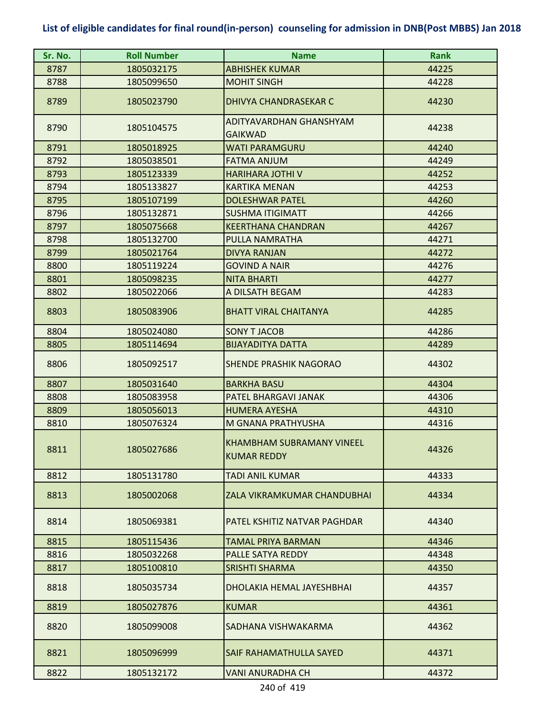| Sr. No. | <b>Roll Number</b> | <b>Name</b>                                            | <b>Rank</b> |
|---------|--------------------|--------------------------------------------------------|-------------|
| 8787    | 1805032175         | <b>ABHISHEK KUMAR</b>                                  | 44225       |
| 8788    | 1805099650         | <b>MOHIT SINGH</b>                                     | 44228       |
| 8789    | 1805023790         | <b>DHIVYA CHANDRASEKAR C</b>                           | 44230       |
| 8790    | 1805104575         | ADITYAVARDHAN GHANSHYAM<br><b>GAIKWAD</b>              | 44238       |
| 8791    | 1805018925         | <b>WATI PARAMGURU</b>                                  | 44240       |
| 8792    | 1805038501         | <b>FATMA ANJUM</b>                                     | 44249       |
| 8793    | 1805123339         | <b>HARIHARA JOTHI V</b>                                | 44252       |
| 8794    | 1805133827         | <b>KARTIKA MENAN</b>                                   | 44253       |
| 8795    | 1805107199         | <b>DOLESHWAR PATEL</b>                                 | 44260       |
| 8796    | 1805132871         | <b>SUSHMA ITIGIMATT</b>                                | 44266       |
| 8797    | 1805075668         | <b>KEERTHANA CHANDRAN</b>                              | 44267       |
| 8798    | 1805132700         | PULLA NAMRATHA                                         | 44271       |
| 8799    | 1805021764         | <b>DIVYA RANJAN</b>                                    | 44272       |
| 8800    | 1805119224         | <b>GOVIND A NAIR</b>                                   | 44276       |
| 8801    | 1805098235         | <b>NITA BHARTI</b>                                     | 44277       |
| 8802    | 1805022066         | A DILSATH BEGAM                                        | 44283       |
| 8803    | 1805083906         | <b>BHATT VIRAL CHAITANYA</b>                           | 44285       |
| 8804    | 1805024080         | <b>SONY T JACOB</b>                                    | 44286       |
| 8805    | 1805114694         | <b>BIJAYADITYA DATTA</b>                               | 44289       |
| 8806    | 1805092517         | <b>SHENDE PRASHIK NAGORAO</b>                          | 44302       |
| 8807    | 1805031640         | <b>BARKHA BASU</b>                                     | 44304       |
| 8808    | 1805083958         | PATEL BHARGAVI JANAK                                   | 44306       |
| 8809    | 1805056013         | HUMERA AYESHA                                          | 44310       |
| 8810    | 1805076324         | M GNANA PRATHYUSHA                                     | 44316       |
| 8811    | 1805027686         | <b>KHAMBHAM SUBRAMANY VINEEL</b><br><b>KUMAR REDDY</b> | 44326       |
| 8812    | 1805131780         | TADI ANIL KUMAR                                        | 44333       |
| 8813    | 1805002068         | ZALA VIKRAMKUMAR CHANDUBHAI                            | 44334       |
| 8814    | 1805069381         | PATEL KSHITIZ NATVAR PAGHDAR                           | 44340       |
| 8815    | 1805115436         | <b>TAMAL PRIYA BARMAN</b>                              | 44346       |
| 8816    | 1805032268         | PALLE SATYA REDDY                                      | 44348       |
| 8817    | 1805100810         | <b>SRISHTI SHARMA</b>                                  | 44350       |
| 8818    | 1805035734         | DHOLAKIA HEMAL JAYESHBHAI                              | 44357       |
| 8819    | 1805027876         | <b>KUMAR</b>                                           | 44361       |
| 8820    | 1805099008         | SADHANA VISHWAKARMA                                    | 44362       |
| 8821    | 1805096999         | SAIF RAHAMATHULLA SAYED                                | 44371       |
| 8822    | 1805132172         | <b>VANI ANURADHA CH</b>                                | 44372       |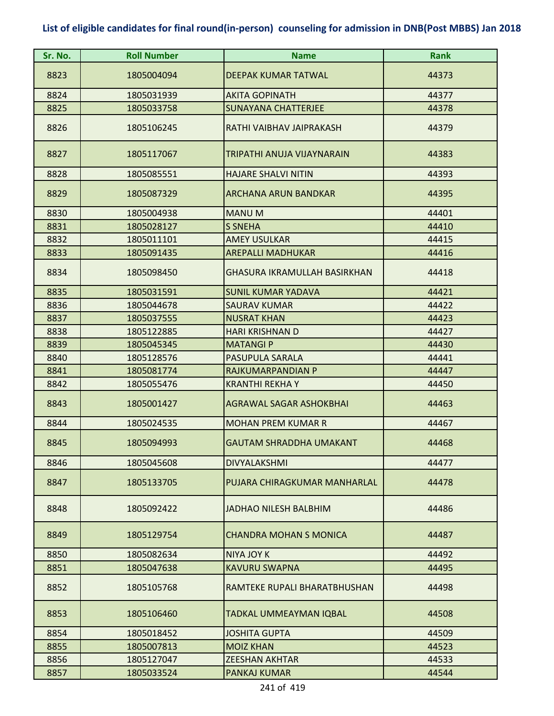| Sr. No. | <b>Roll Number</b> | <b>Name</b>                    | Rank  |
|---------|--------------------|--------------------------------|-------|
| 8823    | 1805004094         | <b>DEEPAK KUMAR TATWAL</b>     | 44373 |
| 8824    | 1805031939         | <b>AKITA GOPINATH</b>          | 44377 |
| 8825    | 1805033758         | <b>SUNAYANA CHATTERJEE</b>     | 44378 |
| 8826    | 1805106245         | RATHI VAIBHAV JAIPRAKASH       | 44379 |
| 8827    | 1805117067         | TRIPATHI ANUJA VIJAYNARAIN     | 44383 |
| 8828    | 1805085551         | <b>HAJARE SHALVI NITIN</b>     | 44393 |
| 8829    | 1805087329         | ARCHANA ARUN BANDKAR           | 44395 |
| 8830    | 1805004938         | <b>MANU M</b>                  | 44401 |
| 8831    | 1805028127         | <b>S SNEHA</b>                 | 44410 |
| 8832    | 1805011101         | <b>AMEY USULKAR</b>            | 44415 |
| 8833    | 1805091435         | <b>AREPALLI MADHUKAR</b>       | 44416 |
| 8834    | 1805098450         | GHASURA IKRAMULLAH BASIRKHAN   | 44418 |
| 8835    | 1805031591         | <b>SUNIL KUMAR YADAVA</b>      | 44421 |
| 8836    | 1805044678         | <b>SAURAV KUMAR</b>            | 44422 |
| 8837    | 1805037555         | <b>NUSRAT KHAN</b>             | 44423 |
| 8838    | 1805122885         | <b>HARI KRISHNAN D</b>         | 44427 |
| 8839    | 1805045345         | <b>MATANGIP</b>                | 44430 |
| 8840    | 1805128576         | PASUPULA SARALA                | 44441 |
| 8841    | 1805081774         | RAJKUMARPANDIAN P              | 44447 |
| 8842    | 1805055476         | <b>KRANTHI REKHA Y</b>         | 44450 |
| 8843    | 1805001427         | <b>AGRAWAL SAGAR ASHOKBHAI</b> | 44463 |
| 8844    | 1805024535         | <b>MOHAN PREM KUMAR R</b>      | 44467 |
| 8845    | 1805094993         | <b>GAUTAM SHRADDHA UMAKANT</b> | 44468 |
| 8846    | 1805045608         | <b>DIVYALAKSHMI</b>            | 44477 |
| 8847    | 1805133705         | PUJARA CHIRAGKUMAR MANHARLAL   | 44478 |
| 8848    | 1805092422         | <b>JADHAO NILESH BALBHIM</b>   | 44486 |
| 8849    | 1805129754         | <b>CHANDRA MOHAN S MONICA</b>  | 44487 |
| 8850    | 1805082634         | <b>NIYA JOY K</b>              | 44492 |
| 8851    | 1805047638         | <b>KAVURU SWAPNA</b>           | 44495 |
| 8852    | 1805105768         | RAMTEKE RUPALI BHARATBHUSHAN   | 44498 |
| 8853    | 1805106460         | TADKAL UMMEAYMAN IQBAL         | 44508 |
| 8854    | 1805018452         | <b>JOSHITA GUPTA</b>           | 44509 |
| 8855    | 1805007813         | <b>MOIZ KHAN</b>               | 44523 |
| 8856    | 1805127047         | <b>ZEESHAN AKHTAR</b>          | 44533 |
| 8857    | 1805033524         | PANKAJ KUMAR                   | 44544 |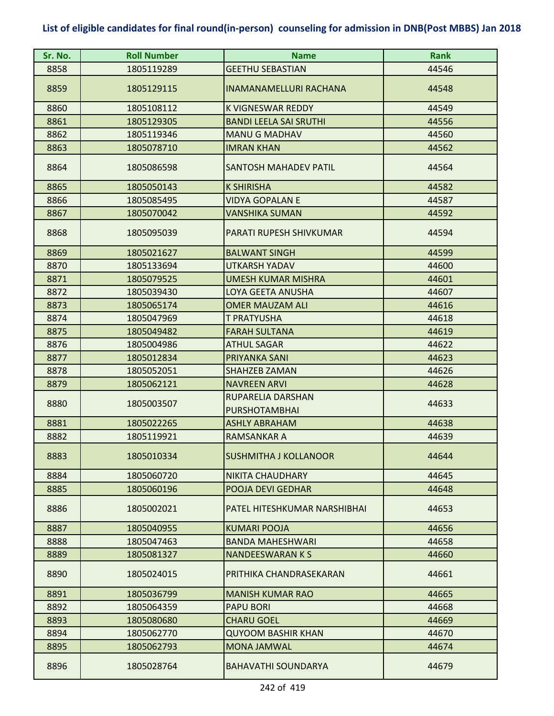| Sr. No. | <b>Roll Number</b> | <b>Name</b>                               | <b>Rank</b> |
|---------|--------------------|-------------------------------------------|-------------|
| 8858    | 1805119289         | <b>GEETHU SEBASTIAN</b>                   | 44546       |
| 8859    | 1805129115         | <b>INAMANAMELLURI RACHANA</b>             | 44548       |
| 8860    | 1805108112         | <b>K VIGNESWAR REDDY</b>                  | 44549       |
| 8861    | 1805129305         | <b>BANDI LEELA SAI SRUTHI</b>             | 44556       |
| 8862    | 1805119346         | <b>MANU G MADHAV</b>                      | 44560       |
| 8863    | 1805078710         | <b>IMRAN KHAN</b>                         | 44562       |
| 8864    | 1805086598         | <b>SANTOSH MAHADEV PATIL</b>              | 44564       |
| 8865    | 1805050143         | <b>K SHIRISHA</b>                         | 44582       |
| 8866    | 1805085495         | <b>VIDYA GOPALAN E</b>                    | 44587       |
| 8867    | 1805070042         | VANSHIKA SUMAN                            | 44592       |
| 8868    | 1805095039         | PARATI RUPESH SHIVKUMAR                   | 44594       |
| 8869    | 1805021627         | <b>BALWANT SINGH</b>                      | 44599       |
| 8870    | 1805133694         | <b>UTKARSH YADAV</b>                      | 44600       |
| 8871    | 1805079525         | <b>UMESH KUMAR MISHRA</b>                 | 44601       |
| 8872    | 1805039430         | LOYA GEETA ANUSHA                         | 44607       |
| 8873    | 1805065174         | <b>OMER MAUZAM ALI</b>                    | 44616       |
| 8874    | 1805047969         | T PRATYUSHA                               | 44618       |
| 8875    | 1805049482         | <b>FARAH SULTANA</b>                      | 44619       |
| 8876    | 1805004986         | <b>ATHUL SAGAR</b>                        | 44622       |
| 8877    | 1805012834         | PRIYANKA SANI                             | 44623       |
| 8878    | 1805052051         | <b>SHAHZEB ZAMAN</b>                      | 44626       |
| 8879    | 1805062121         | <b>NAVREEN ARVI</b>                       | 44628       |
| 8880    | 1805003507         | RUPARELIA DARSHAN<br><b>PURSHOTAMBHAI</b> | 44633       |
| 8881    | 1805022265         | <b>ASHLY ABRAHAM</b>                      | 44638       |
| 8882    | 1805119921         | <b>RAMSANKAR A</b>                        | 44639       |
| 8883    | 1805010334         | <b>SUSHMITHA J KOLLANOOR</b>              | 44644       |
| 8884    | 1805060720         | NIKITA CHAUDHARY                          | 44645       |
| 8885    | 1805060196         | POOJA DEVI GEDHAR                         | 44648       |
| 8886    | 1805002021         | PATEL HITESHKUMAR NARSHIBHAI              | 44653       |
| 8887    | 1805040955         | <b>KUMARI POOJA</b>                       | 44656       |
| 8888    | 1805047463         | <b>BANDA MAHESHWARI</b>                   | 44658       |
| 8889    | 1805081327         | <b>NANDEESWARAN K S</b>                   | 44660       |
| 8890    | 1805024015         | PRITHIKA CHANDRASEKARAN                   | 44661       |
| 8891    | 1805036799         | <b>MANISH KUMAR RAO</b>                   | 44665       |
| 8892    | 1805064359         | <b>PAPU BORI</b>                          | 44668       |
| 8893    | 1805080680         | <b>CHARU GOEL</b>                         | 44669       |
| 8894    | 1805062770         | <b>QUYOOM BASHIR KHAN</b>                 | 44670       |
| 8895    | 1805062793         | <b>MONA JAMWAL</b>                        | 44674       |
| 8896    | 1805028764         | <b>BAHAVATHI SOUNDARYA</b>                | 44679       |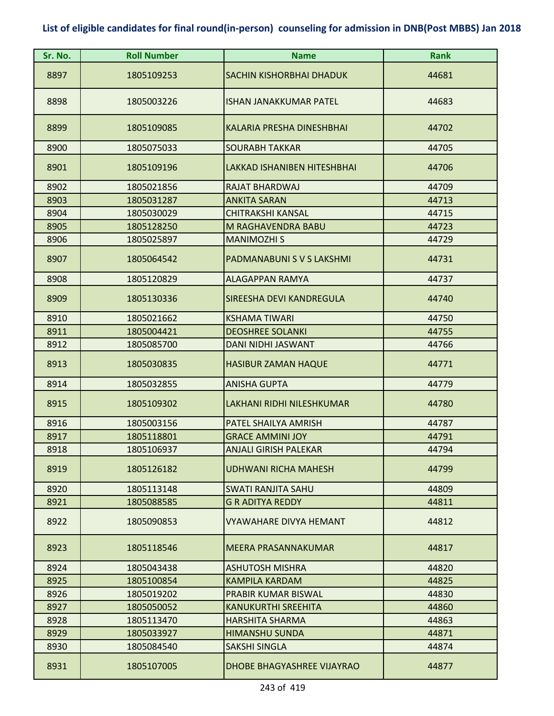| Sr. No. | <b>Roll Number</b> | <b>Name</b>                   | <b>Rank</b> |
|---------|--------------------|-------------------------------|-------------|
| 8897    | 1805109253         | SACHIN KISHORBHAI DHADUK      | 44681       |
| 8898    | 1805003226         | ISHAN JANAKKUMAR PATEL        | 44683       |
| 8899    | 1805109085         | KALARIA PRESHA DINESHBHAI     | 44702       |
| 8900    | 1805075033         | <b>SOURABH TAKKAR</b>         | 44705       |
| 8901    | 1805109196         | LAKKAD ISHANIBEN HITESHBHAI   | 44706       |
| 8902    | 1805021856         | <b>RAJAT BHARDWAJ</b>         | 44709       |
| 8903    | 1805031287         | <b>ANKITA SARAN</b>           | 44713       |
| 8904    | 1805030029         | <b>CHITRAKSHI KANSAL</b>      | 44715       |
| 8905    | 1805128250         | <b>M RAGHAVENDRA BABU</b>     | 44723       |
| 8906    | 1805025897         | <b>MANIMOZHI S</b>            | 44729       |
| 8907    | 1805064542         | PADMANABUNI S V S LAKSHMI     | 44731       |
| 8908    | 1805120829         | <b>ALAGAPPAN RAMYA</b>        | 44737       |
| 8909    | 1805130336         | SIREESHA DEVI KANDREGULA      | 44740       |
| 8910    | 1805021662         | <b>KSHAMA TIWARI</b>          | 44750       |
| 8911    | 1805004421         | <b>DEOSHREE SOLANKI</b>       | 44755       |
| 8912    | 1805085700         | DANI NIDHI JASWANT            | 44766       |
| 8913    | 1805030835         | <b>HASIBUR ZAMAN HAQUE</b>    | 44771       |
| 8914    | 1805032855         | <b>ANISHA GUPTA</b>           | 44779       |
| 8915    | 1805109302         | LAKHANI RIDHI NILESHKUMAR     | 44780       |
| 8916    | 1805003156         | PATEL SHAILYA AMRISH          | 44787       |
| 8917    | 1805118801         | <b>GRACE AMMINI JOY</b>       | 44791       |
| 8918    | 1805106937         | <b>ANJALI GIRISH PALEKAR</b>  | 44794       |
| 8919    | 1805126182         | <b>UDHWANI RICHA MAHESH</b>   | 44799       |
| 8920    | 1805113148         | <b>SWATI RANJITA SAHU</b>     | 44809       |
| 8921    | 1805088585         | <b>G R ADITYA REDDY</b>       | 44811       |
| 8922    | 1805090853         | <b>VYAWAHARE DIVYA HEMANT</b> | 44812       |
| 8923    | 1805118546         | MEERA PRASANNAKUMAR           | 44817       |
| 8924    | 1805043438         | <b>ASHUTOSH MISHRA</b>        | 44820       |
| 8925    | 1805100854         | <b>KAMPILA KARDAM</b>         | 44825       |
| 8926    | 1805019202         | PRABIR KUMAR BISWAL           | 44830       |
| 8927    | 1805050052         | <b>KANUKURTHI SREEHITA</b>    | 44860       |
| 8928    | 1805113470         | <b>HARSHITA SHARMA</b>        | 44863       |
| 8929    | 1805033927         | <b>HIMANSHU SUNDA</b>         | 44871       |
| 8930    | 1805084540         | <b>SAKSHI SINGLA</b>          | 44874       |
| 8931    | 1805107005         | DHOBE BHAGYASHREE VIJAYRAO    | 44877       |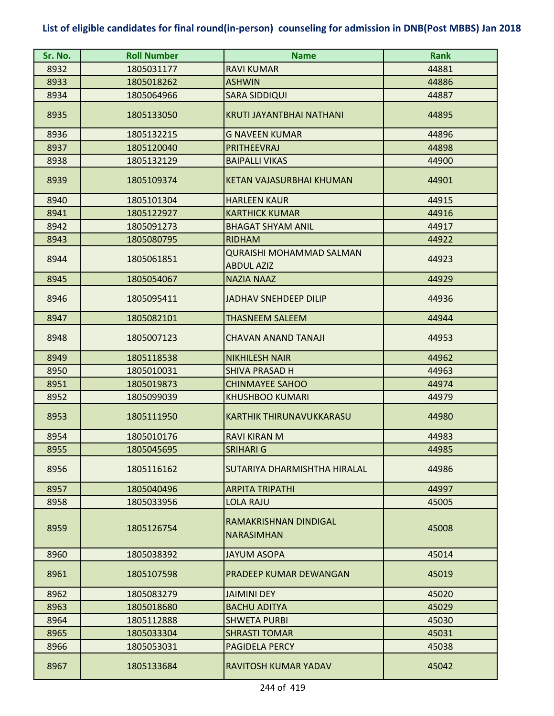| Sr. No. | <b>Roll Number</b> | <b>Name</b>                                          | <b>Rank</b> |
|---------|--------------------|------------------------------------------------------|-------------|
| 8932    | 1805031177         | <b>RAVI KUMAR</b>                                    | 44881       |
| 8933    | 1805018262         | <b>ASHWIN</b>                                        | 44886       |
| 8934    | 1805064966         | <b>SARA SIDDIQUI</b>                                 | 44887       |
| 8935    | 1805133050         | <b>KRUTI JAYANTBHAI NATHANI</b>                      | 44895       |
| 8936    | 1805132215         | <b>G NAVEEN KUMAR</b>                                | 44896       |
| 8937    | 1805120040         | <b>PRITHEEVRAJ</b>                                   | 44898       |
| 8938    | 1805132129         | <b>BAIPALLI VIKAS</b>                                | 44900       |
| 8939    | 1805109374         | <b>KETAN VAJASURBHAI KHUMAN</b>                      | 44901       |
| 8940    | 1805101304         | <b>HARLEEN KAUR</b>                                  | 44915       |
| 8941    | 1805122927         | <b>KARTHICK KUMAR</b>                                | 44916       |
| 8942    | 1805091273         | <b>BHAGAT SHYAM ANIL</b>                             | 44917       |
| 8943    | 1805080795         | <b>RIDHAM</b>                                        | 44922       |
| 8944    | 1805061851         | <b>QURAISHI MOHAMMAD SALMAN</b><br><b>ABDUL AZIZ</b> | 44923       |
| 8945    | 1805054067         | <b>NAZIA NAAZ</b>                                    | 44929       |
| 8946    | 1805095411         | <b>JADHAV SNEHDEEP DILIP</b>                         | 44936       |
| 8947    | 1805082101         | <b>THASNEEM SALEEM</b>                               | 44944       |
| 8948    | 1805007123         | <b>CHAVAN ANAND TANAJI</b>                           | 44953       |
| 8949    | 1805118538         | <b>NIKHILESH NAIR</b>                                | 44962       |
| 8950    | 1805010031         | <b>SHIVA PRASAD H</b>                                | 44963       |
| 8951    | 1805019873         | <b>CHINMAYEE SAHOO</b>                               | 44974       |
| 8952    | 1805099039         | <b>KHUSHBOO KUMARI</b>                               | 44979       |
| 8953    | 1805111950         | <b>KARTHIK THIRUNAVUKKARASU</b>                      | 44980       |
| 8954    | 1805010176         | <b>RAVI KIRAN M</b>                                  | 44983       |
| 8955    | 1805045695         | SRIHARI G                                            | 44985       |
| 8956    | 1805116162         | SUTARIYA DHARMISHTHA HIRALAL                         | 44986       |
| 8957    | 1805040496         | <b>ARPITA TRIPATHI</b>                               | 44997       |
| 8958    | 1805033956         | <b>LOLA RAJU</b>                                     | 45005       |
| 8959    | 1805126754         | RAMAKRISHNAN DINDIGAL<br><b>NARASIMHAN</b>           | 45008       |
| 8960    | 1805038392         | <b>JAYUM ASOPA</b>                                   | 45014       |
| 8961    | 1805107598         | PRADEEP KUMAR DEWANGAN                               | 45019       |
| 8962    | 1805083279         | <b>JAIMINI DEY</b>                                   | 45020       |
| 8963    | 1805018680         | <b>BACHU ADITYA</b>                                  | 45029       |
| 8964    | 1805112888         | <b>SHWETA PURBI</b>                                  | 45030       |
| 8965    | 1805033304         | <b>SHRASTI TOMAR</b>                                 | 45031       |
| 8966    | 1805053031         | PAGIDELA PERCY                                       | 45038       |
| 8967    | 1805133684         | RAVITOSH KUMAR YADAV                                 | 45042       |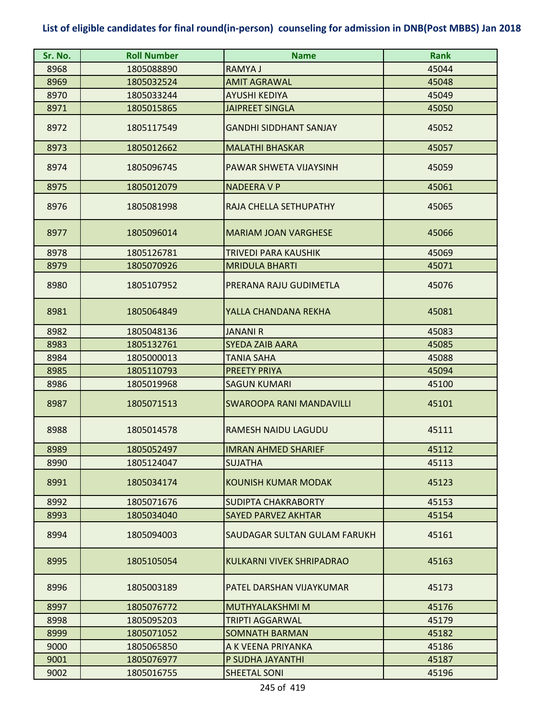| Sr. No. | <b>Roll Number</b> | <b>Name</b>                     | <b>Rank</b> |
|---------|--------------------|---------------------------------|-------------|
| 8968    | 1805088890         | RAMYA J                         | 45044       |
| 8969    | 1805032524         | <b>AMIT AGRAWAL</b>             | 45048       |
| 8970    | 1805033244         | <b>AYUSHI KEDIYA</b>            | 45049       |
| 8971    | 1805015865         | <b>JAIPREET SINGLA</b>          | 45050       |
| 8972    | 1805117549         | <b>GANDHI SIDDHANT SANJAY</b>   | 45052       |
| 8973    | 1805012662         | <b>MALATHI BHASKAR</b>          | 45057       |
| 8974    | 1805096745         | PAWAR SHWETA VIJAYSINH          | 45059       |
| 8975    | 1805012079         | <b>NADEERA V P</b>              | 45061       |
| 8976    | 1805081998         | RAJA CHELLA SETHUPATHY          | 45065       |
| 8977    | 1805096014         | <b>MARIAM JOAN VARGHESE</b>     | 45066       |
| 8978    | 1805126781         | <b>TRIVEDI PARA KAUSHIK</b>     | 45069       |
| 8979    | 1805070926         | <b>MRIDULA BHARTI</b>           | 45071       |
| 8980    | 1805107952         | PRERANA RAJU GUDIMETLA          | 45076       |
| 8981    | 1805064849         | YALLA CHANDANA REKHA            | 45081       |
| 8982    | 1805048136         | <b>JANANI R</b>                 | 45083       |
| 8983    | 1805132761         | <b>SYEDA ZAIB AARA</b>          | 45085       |
| 8984    | 1805000013         | <b>TANIA SAHA</b>               | 45088       |
| 8985    | 1805110793         | <b>PREETY PRIYA</b>             | 45094       |
| 8986    | 1805019968         | <b>SAGUN KUMARI</b>             | 45100       |
| 8987    | 1805071513         | <b>SWAROOPA RANI MANDAVILLI</b> | 45101       |
| 8988    | 1805014578         | RAMESH NAIDU LAGUDU             | 45111       |
| 8989    | 1805052497         | <b>IMRAN AHMED SHARIEF</b>      | 45112       |
| 8990    | 1805124047         | <b>SUJATHA</b>                  | 45113       |
| 8991    | 1805034174         | KOUNISH KUMAR MODAK             | 45123       |
| 8992    | 1805071676         | <b>SUDIPTA CHAKRABORTY</b>      | 45153       |
| 8993    | 1805034040         | <b>SAYED PARVEZ AKHTAR</b>      | 45154       |
| 8994    | 1805094003         | SAUDAGAR SULTAN GULAM FARUKH    | 45161       |
| 8995    | 1805105054         | KULKARNI VIVEK SHRIPADRAO       | 45163       |
| 8996    | 1805003189         | PATEL DARSHAN VIJAYKUMAR        | 45173       |
| 8997    | 1805076772         | <b>MUTHYALAKSHMI M</b>          | 45176       |
| 8998    | 1805095203         | <b>TRIPTI AGGARWAL</b>          | 45179       |
| 8999    | 1805071052         | <b>SOMNATH BARMAN</b>           | 45182       |
| 9000    | 1805065850         | A K VEENA PRIYANKA              | 45186       |
| 9001    | 1805076977         | P SUDHA JAYANTHI                | 45187       |
| 9002    | 1805016755         | <b>SHEETAL SONI</b>             | 45196       |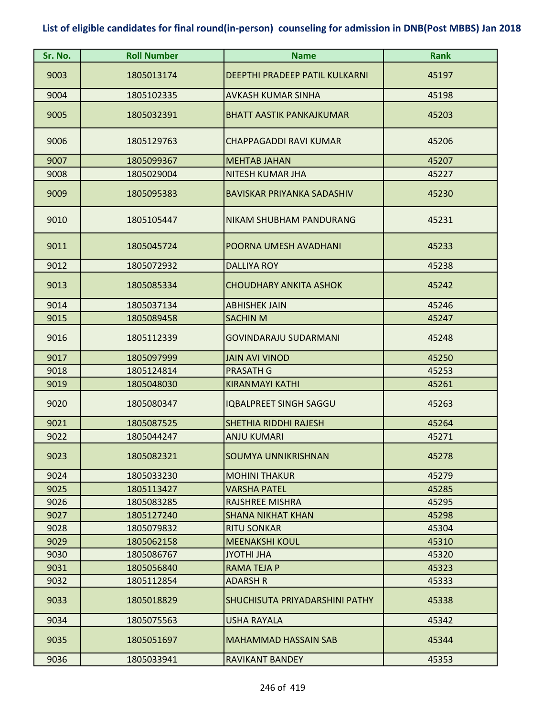| Sr. No.      | <b>Roll Number</b>       | <b>Name</b>                             | <b>Rank</b>    |
|--------------|--------------------------|-----------------------------------------|----------------|
| 9003         | 1805013174               | <b>DEEPTHI PRADEEP PATIL KULKARNI</b>   | 45197          |
| 9004         | 1805102335               | <b>AVKASH KUMAR SINHA</b>               | 45198          |
| 9005         | 1805032391               | <b>BHATT AASTIK PANKAJKUMAR</b>         | 45203          |
| 9006         | 1805129763               | CHAPPAGADDI RAVI KUMAR                  | 45206          |
| 9007         | 1805099367               | <b>MEHTAB JAHAN</b>                     | 45207          |
| 9008         | 1805029004               | <b>NITESH KUMAR JHA</b>                 | 45227          |
| 9009         | 1805095383               | <b>BAVISKAR PRIYANKA SADASHIV</b>       | 45230          |
| 9010         | 1805105447               | NIKAM SHUBHAM PANDURANG                 | 45231          |
| 9011         | 1805045724               | POORNA UMESH AVADHANI                   | 45233          |
| 9012         | 1805072932               | <b>DALLIYA ROY</b>                      | 45238          |
| 9013         | 1805085334               | <b>CHOUDHARY ANKITA ASHOK</b>           | 45242          |
| 9014         | 1805037134               | <b>ABHISHEK JAIN</b>                    | 45246          |
| 9015         | 1805089458               | <b>SACHIN M</b>                         | 45247          |
| 9016         | 1805112339               | <b>GOVINDARAJU SUDARMANI</b>            | 45248          |
| 9017         | 1805097999               | <b>JAIN AVI VINOD</b>                   | 45250          |
| 9018         | 1805124814               | <b>PRASATH G</b>                        | 45253          |
| 9019         | 1805048030               | <b>KIRANMAYI KATHI</b>                  | 45261          |
| 9020         | 1805080347               | <b>IQBALPREET SINGH SAGGU</b>           | 45263          |
| 9021         | 1805087525               | <b>SHETHIA RIDDHI RAJESH</b>            | 45264          |
| 9022         | 1805044247               | ANJU KUMARI                             | 45271          |
| 9023         | 1805082321               | SOUMYA UNNIKRISHNAN                     | 45278          |
| 9024         | 1805033230               | <b>MOHINI THAKUR</b>                    | 45279          |
| 9025         | 1805113427               | <b>VARSHA PATEL</b>                     | 45285          |
| 9026         | 1805083285               | <b>RAJSHREE MISHRA</b>                  | 45295          |
| 9027         | 1805127240               | <b>SHANA NIKHAT KHAN</b>                | 45298          |
| 9028         | 1805079832               | <b>RITU SONKAR</b>                      | 45304          |
| 9029         | 1805062158               | <b>MEENAKSHI KOUL</b>                   | 45310          |
| 9030<br>9031 | 1805086767<br>1805056840 | <b>JYOTHI JHA</b><br><b>RAMA TEJA P</b> | 45320<br>45323 |
| 9032         | 1805112854               | <b>ADARSH R</b>                         | 45333          |
| 9033         | 1805018829               | SHUCHISUTA PRIYADARSHINI PATHY          | 45338          |
| 9034         | 1805075563               | USHA RAYALA                             | 45342          |
| 9035         | 1805051697               | <b>MAHAMMAD HASSAIN SAB</b>             | 45344          |
| 9036         | 1805033941               | <b>RAVIKANT BANDEY</b>                  | 45353          |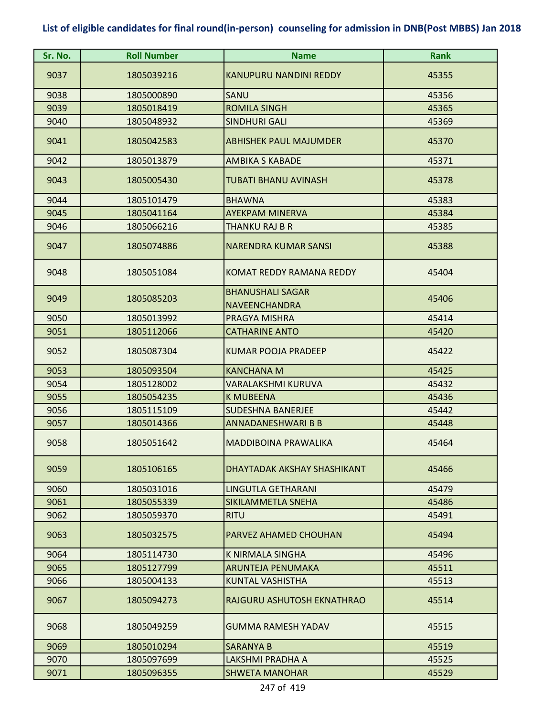| Sr. No. | <b>Roll Number</b> | <b>Name</b>                                     | Rank  |
|---------|--------------------|-------------------------------------------------|-------|
| 9037    | 1805039216         | <b>KANUPURU NANDINI REDDY</b>                   | 45355 |
| 9038    | 1805000890         | SANU                                            | 45356 |
| 9039    | 1805018419         | <b>ROMILA SINGH</b>                             | 45365 |
| 9040    | 1805048932         | SINDHURI GALI                                   | 45369 |
| 9041    | 1805042583         | <b>ABHISHEK PAUL MAJUMDER</b>                   | 45370 |
| 9042    | 1805013879         | <b>AMBIKA S KABADE</b>                          | 45371 |
| 9043    | 1805005430         | TUBATI BHANU AVINASH                            | 45378 |
| 9044    | 1805101479         | <b>BHAWNA</b>                                   | 45383 |
| 9045    | 1805041164         | <b>AYEKPAM MINERVA</b>                          | 45384 |
| 9046    | 1805066216         | THANKU RAJ B R                                  | 45385 |
| 9047    | 1805074886         | <b>NARENDRA KUMAR SANSI</b>                     | 45388 |
| 9048    | 1805051084         | KOMAT REDDY RAMANA REDDY                        | 45404 |
| 9049    | 1805085203         | <b>BHANUSHALI SAGAR</b><br><b>NAVEENCHANDRA</b> | 45406 |
| 9050    | 1805013992         | PRAGYA MISHRA                                   | 45414 |
| 9051    | 1805112066         | <b>CATHARINE ANTO</b>                           | 45420 |
| 9052    | 1805087304         | <b>KUMAR POOJA PRADEEP</b>                      | 45422 |
| 9053    | 1805093504         | <b>KANCHANA M</b>                               | 45425 |
| 9054    | 1805128002         | VARALAKSHMI KURUVA                              | 45432 |
| 9055    | 1805054235         | <b>K MUBEENA</b>                                | 45436 |
| 9056    | 1805115109         | <b>SUDESHNA BANERJEE</b>                        | 45442 |
| 9057    | 1805014366         | <b>ANNADANESHWARI B B</b>                       | 45448 |
| 9058    | 1805051642         | <b>MADDIBOINA PRAWALIKA</b>                     | 45464 |
| 9059    | 1805106165         | DHAYTADAK AKSHAY SHASHIKANT                     | 45466 |
| 9060    | 1805031016         | LINGUTLA GETHARANI                              | 45479 |
| 9061    | 1805055339         | SIKILAMMETLA SNEHA                              | 45486 |
| 9062    | 1805059370         | <b>RITU</b>                                     | 45491 |
| 9063    | 1805032575         | PARVEZ AHAMED CHOUHAN                           | 45494 |
| 9064    | 1805114730         | <b>K NIRMALA SINGHA</b>                         | 45496 |
| 9065    | 1805127799         | <b>ARUNTEJA PENUMAKA</b>                        | 45511 |
| 9066    | 1805004133         | KUNTAL VASHISTHA                                | 45513 |
| 9067    | 1805094273         | RAJGURU ASHUTOSH EKNATHRAO                      | 45514 |
| 9068    | 1805049259         | <b>GUMMA RAMESH YADAV</b>                       | 45515 |
| 9069    | 1805010294         | <b>SARANYA B</b>                                | 45519 |
| 9070    | 1805097699         | LAKSHMI PRADHA A                                | 45525 |
| 9071    | 1805096355         | <b>SHWETA MANOHAR</b>                           | 45529 |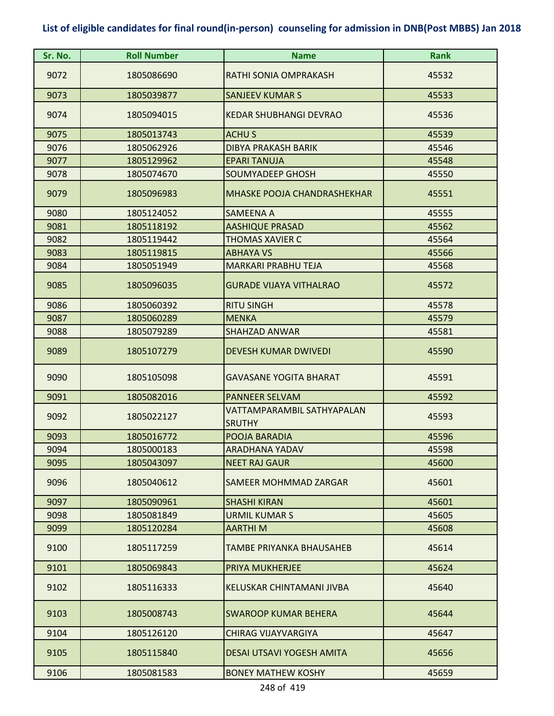| Sr. No. | <b>Roll Number</b> | <b>Name</b>                                 | <b>Rank</b> |
|---------|--------------------|---------------------------------------------|-------------|
| 9072    | 1805086690         | RATHI SONIA OMPRAKASH                       | 45532       |
| 9073    | 1805039877         | <b>SANJEEV KUMAR S</b>                      | 45533       |
| 9074    | 1805094015         | KEDAR SHUBHANGI DEVRAO                      | 45536       |
| 9075    | 1805013743         | <b>ACHUS</b>                                | 45539       |
| 9076    | 1805062926         | <b>DIBYA PRAKASH BARIK</b>                  | 45546       |
| 9077    | 1805129962         | <b>EPARI TANUJA</b>                         | 45548       |
| 9078    | 1805074670         | <b>SOUMYADEEP GHOSH</b>                     | 45550       |
| 9079    | 1805096983         | <b>MHASKE POOJA CHANDRASHEKHAR</b>          | 45551       |
| 9080    | 1805124052         | <b>SAMEENA A</b>                            | 45555       |
| 9081    | 1805118192         | <b>AASHIQUE PRASAD</b>                      | 45562       |
| 9082    | 1805119442         | <b>THOMAS XAVIER C</b>                      | 45564       |
| 9083    | 1805119815         | <b>ABHAYA VS</b>                            | 45566       |
| 9084    | 1805051949         | <b>MARKARI PRABHU TEJA</b>                  | 45568       |
| 9085    | 1805096035         | <b>GURADE VIJAYA VITHALRAO</b>              | 45572       |
| 9086    | 1805060392         | <b>RITU SINGH</b>                           | 45578       |
| 9087    | 1805060289         | <b>MENKA</b>                                | 45579       |
| 9088    | 1805079289         | <b>SHAHZAD ANWAR</b>                        | 45581       |
| 9089    | 1805107279         | <b>DEVESH KUMAR DWIVEDI</b>                 | 45590       |
| 9090    | 1805105098         | <b>GAVASANE YOGITA BHARAT</b>               | 45591       |
| 9091    | 1805082016         | <b>PANNEER SELVAM</b>                       | 45592       |
| 9092    | 1805022127         | VATTAMPARAMBIL SATHYAPALAN<br><b>SRUTHY</b> | 45593       |
| 9093    | 1805016772         | POOJA BARADIA                               | 45596       |
| 9094    | 1805000183         | <b>ARADHANA YADAV</b>                       | 45598       |
| 9095    | 1805043097         | <b>NEET RAJ GAUR</b>                        | 45600       |
| 9096    | 1805040612         | <b>SAMEER MOHMMAD ZARGAR</b>                | 45601       |
| 9097    | 1805090961         | <b>SHASHI KIRAN</b>                         | 45601       |
| 9098    | 1805081849         | <b>URMIL KUMAR S</b>                        | 45605       |
| 9099    | 1805120284         | <b>AARTHIM</b>                              | 45608       |
| 9100    | 1805117259         | TAMBE PRIYANKA BHAUSAHEB                    | 45614       |
| 9101    | 1805069843         | PRIYA MUKHERJEE                             | 45624       |
| 9102    | 1805116333         | KELUSKAR CHINTAMANI JIVBA                   | 45640       |
| 9103    | 1805008743         | <b>SWAROOP KUMAR BEHERA</b>                 | 45644       |
| 9104    | 1805126120         | <b>CHIRAG VIJAYVARGIYA</b>                  | 45647       |
| 9105    | 1805115840         | <b>DESAI UTSAVI YOGESH AMITA</b>            | 45656       |
| 9106    | 1805081583         | <b>BONEY MATHEW KOSHY</b>                   | 45659       |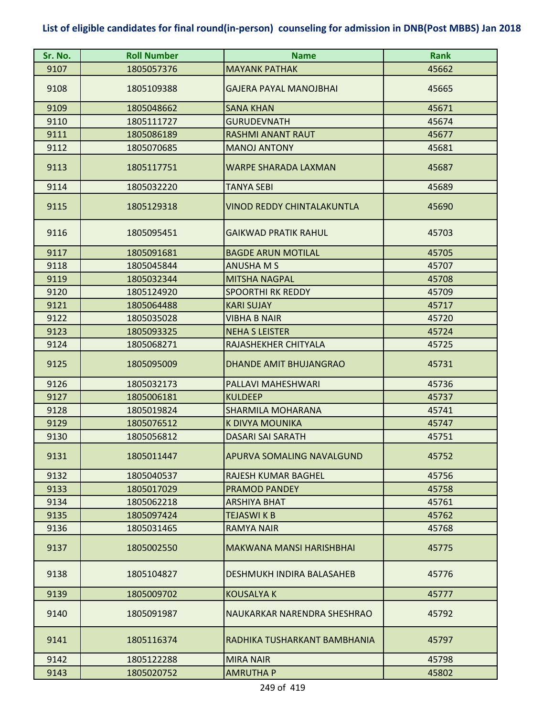| Sr. No. | <b>Roll Number</b> | <b>Name</b>                       | <b>Rank</b> |
|---------|--------------------|-----------------------------------|-------------|
| 9107    | 1805057376         | <b>MAYANK PATHAK</b>              | 45662       |
| 9108    | 1805109388         | <b>GAJERA PAYAL MANOJBHAI</b>     | 45665       |
| 9109    | 1805048662         | <b>SANA KHAN</b>                  | 45671       |
| 9110    | 1805111727         | <b>GURUDEVNATH</b>                | 45674       |
| 9111    | 1805086189         | <b>RASHMI ANANT RAUT</b>          | 45677       |
| 9112    | 1805070685         | <b>MANOJ ANTONY</b>               | 45681       |
| 9113    | 1805117751         | <b>WARPE SHARADA LAXMAN</b>       | 45687       |
| 9114    | 1805032220         | TANYA SEBI                        | 45689       |
| 9115    | 1805129318         | <b>VINOD REDDY CHINTALAKUNTLA</b> | 45690       |
| 9116    | 1805095451         | <b>GAIKWAD PRATIK RAHUL</b>       | 45703       |
| 9117    | 1805091681         | <b>BAGDE ARUN MOTILAL</b>         | 45705       |
| 9118    | 1805045844         | <b>ANUSHA M S</b>                 | 45707       |
| 9119    | 1805032344         | <b>MITSHA NAGPAL</b>              | 45708       |
| 9120    | 1805124920         | <b>SPOORTHI RK REDDY</b>          | 45709       |
| 9121    | 1805064488         | <b>KARI SUJAY</b>                 | 45717       |
| 9122    | 1805035028         | VIBHA B NAIR                      | 45720       |
| 9123    | 1805093325         | <b>NEHA S LEISTER</b>             | 45724       |
| 9124    | 1805068271         | RAJASHEKHER CHITYALA              | 45725       |
| 9125    | 1805095009         | <b>DHANDE AMIT BHUJANGRAO</b>     | 45731       |
| 9126    | 1805032173         | PALLAVI MAHESHWARI                | 45736       |
| 9127    | 1805006181         | KULDEEP                           | 45737       |
| 9128    | 1805019824         | SHARMILA MOHARANA                 | 45741       |
| 9129    | 1805076512         | K DIVYA MOUNIKA                   | 45747       |
| 9130    | 1805056812         | <b>DASARI SAI SARATH</b>          | 45751       |
| 9131    | 1805011447         | <b>APURVA SOMALING NAVALGUND</b>  | 45752       |
| 9132    | 1805040537         | RAJESH KUMAR BAGHEL               | 45756       |
| 9133    | 1805017029         | <b>PRAMOD PANDEY</b>              | 45758       |
| 9134    | 1805062218         | ARSHIYA BHAT                      | 45761       |
| 9135    | 1805097424         | <b>TEJASWIKB</b>                  | 45762       |
| 9136    | 1805031465         | RAMYA NAIR                        | 45768       |
| 9137    | 1805002550         | MAKWANA MANSI HARISHBHAI          | 45775       |
| 9138    | 1805104827         | DESHMUKH INDIRA BALASAHEB         | 45776       |
| 9139    | 1805009702         | <b>KOUSALYA K</b>                 | 45777       |
| 9140    | 1805091987         | NAUKARKAR NARENDRA SHESHRAO       | 45792       |
| 9141    | 1805116374         | RADHIKA TUSHARKANT BAMBHANIA      | 45797       |
| 9142    | 1805122288         | <b>MIRA NAIR</b>                  | 45798       |
| 9143    | 1805020752         | <b>AMRUTHA P</b>                  | 45802       |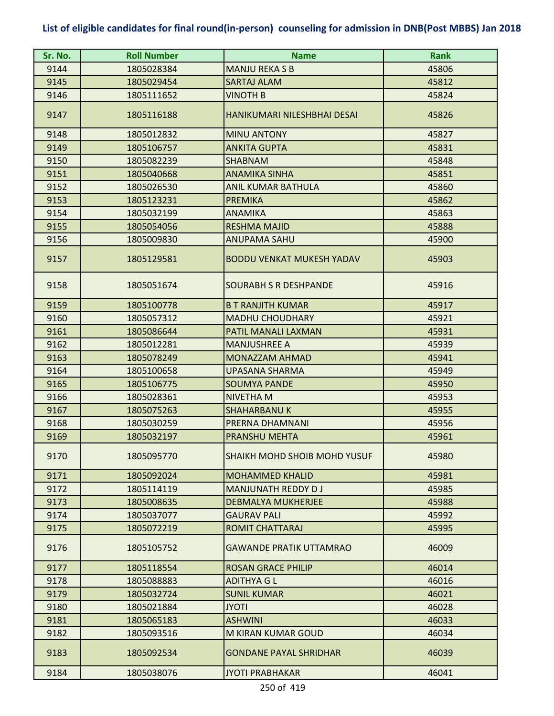| Sr. No. | <b>Roll Number</b> | <b>Name</b>                         | <b>Rank</b> |
|---------|--------------------|-------------------------------------|-------------|
| 9144    | 1805028384         | <b>MANJU REKA S B</b>               | 45806       |
| 9145    | 1805029454         | <b>SARTAJ ALAM</b>                  | 45812       |
| 9146    | 1805111652         | <b>VINOTH B</b>                     | 45824       |
| 9147    | 1805116188         | HANIKUMARI NILESHBHAI DESAI         | 45826       |
| 9148    | 1805012832         | <b>MINU ANTONY</b>                  | 45827       |
| 9149    | 1805106757         | <b>ANKITA GUPTA</b>                 | 45831       |
| 9150    | 1805082239         | <b>SHABNAM</b>                      | 45848       |
| 9151    | 1805040668         | <b>ANAMIKA SINHA</b>                | 45851       |
| 9152    | 1805026530         | <b>ANIL KUMAR BATHULA</b>           | 45860       |
| 9153    | 1805123231         | <b>PREMIKA</b>                      | 45862       |
| 9154    | 1805032199         | <b>ANAMIKA</b>                      | 45863       |
| 9155    | 1805054056         | <b>RESHMA MAJID</b>                 | 45888       |
| 9156    | 1805009830         | <b>ANUPAMA SAHU</b>                 | 45900       |
| 9157    | 1805129581         | <b>BODDU VENKAT MUKESH YADAV</b>    | 45903       |
| 9158    | 1805051674         | SOURABH S R DESHPANDE               | 45916       |
| 9159    | 1805100778         | <b>B T RANJITH KUMAR</b>            | 45917       |
| 9160    | 1805057312         | <b>MADHU CHOUDHARY</b>              | 45921       |
| 9161    | 1805086644         | PATIL MANALI LAXMAN                 | 45931       |
| 9162    | 1805012281         | <b>MANJUSHREE A</b>                 | 45939       |
| 9163    | 1805078249         | <b>MONAZZAM AHMAD</b>               | 45941       |
| 9164    | 1805100658         | <b>UPASANA SHARMA</b>               | 45949       |
| 9165    | 1805106775         | <b>SOUMYA PANDE</b>                 | 45950       |
| 9166    | 1805028361         | NIVETHA M                           | 45953       |
| 9167    | 1805075263         | <b>SHAHARBANU K</b>                 | 45955       |
| 9168    | 1805030259         | PRERNA DHAMNANI                     | 45956       |
| 9169    | 1805032197         | <b>PRANSHU MEHTA</b>                | 45961       |
| 9170    | 1805095770         | <b>SHAIKH MOHD SHOIB MOHD YUSUF</b> | 45980       |
| 9171    | 1805092024         | <b>MOHAMMED KHALID</b>              | 45981       |
| 9172    | 1805114119         | <b>MANJUNATH REDDY DJ</b>           | 45985       |
| 9173    | 1805008635         | <b>DEBMALYA MUKHERJEE</b>           | 45988       |
| 9174    | 1805037077         | <b>GAURAV PALI</b>                  | 45992       |
| 9175    | 1805072219         | <b>ROMIT CHATTARAJ</b>              | 45995       |
| 9176    | 1805105752         | <b>GAWANDE PRATIK UTTAMRAO</b>      | 46009       |
| 9177    | 1805118554         | <b>ROSAN GRACE PHILIP</b>           | 46014       |
| 9178    | 1805088883         | <b>ADITHYA G L</b>                  | 46016       |
| 9179    | 1805032724         | <b>SUNIL KUMAR</b>                  | 46021       |
| 9180    | 1805021884         | <b>JYOTI</b>                        | 46028       |
| 9181    | 1805065183         | <b>ASHWINI</b>                      | 46033       |
| 9182    | 1805093516         | M KIRAN KUMAR GOUD                  | 46034       |
| 9183    | 1805092534         | <b>GONDANE PAYAL SHRIDHAR</b>       | 46039       |
| 9184    | 1805038076         | <b>JYOTI PRABHAKAR</b>              | 46041       |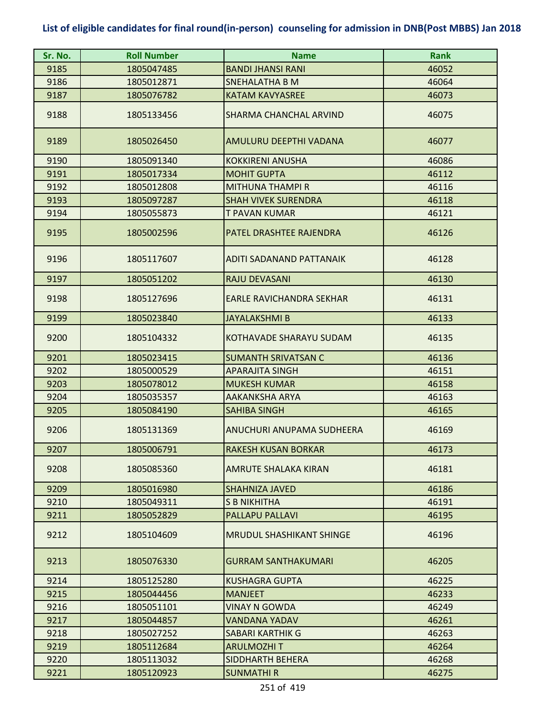| Sr. No. | <b>Roll Number</b> | <b>Name</b>                     | <b>Rank</b> |
|---------|--------------------|---------------------------------|-------------|
| 9185    | 1805047485         | <b>BANDI JHANSI RANI</b>        | 46052       |
| 9186    | 1805012871         | <b>SNEHALATHA B M</b>           | 46064       |
| 9187    | 1805076782         | KATAM KAVYASREE                 | 46073       |
| 9188    | 1805133456         | SHARMA CHANCHAL ARVIND          | 46075       |
| 9189    | 1805026450         | AMULURU DEEPTHI VADANA          | 46077       |
| 9190    | 1805091340         | <b>KOKKIRENI ANUSHA</b>         | 46086       |
| 9191    | 1805017334         | <b>MOHIT GUPTA</b>              | 46112       |
| 9192    | 1805012808         | <b>MITHUNA THAMPI R</b>         | 46116       |
| 9193    | 1805097287         | <b>SHAH VIVEK SURENDRA</b>      | 46118       |
| 9194    | 1805055873         | T PAVAN KUMAR                   | 46121       |
| 9195    | 1805002596         | PATEL DRASHTEE RAJENDRA         | 46126       |
| 9196    | 1805117607         | ADITI SADANAND PATTANAIK        | 46128       |
| 9197    | 1805051202         | <b>RAJU DEVASANI</b>            | 46130       |
| 9198    | 1805127696         | EARLE RAVICHANDRA SEKHAR        | 46131       |
| 9199    | 1805023840         | <b>JAYALAKSHMI B</b>            | 46133       |
| 9200    | 1805104332         | <b>KOTHAVADE SHARAYU SUDAM</b>  | 46135       |
| 9201    | 1805023415         | <b>SUMANTH SRIVATSAN C</b>      | 46136       |
| 9202    | 1805000529         | <b>APARAJITA SINGH</b>          | 46151       |
| 9203    | 1805078012         | <b>MUKESH KUMAR</b>             | 46158       |
| 9204    | 1805035357         | <b>AAKANKSHA ARYA</b>           | 46163       |
| 9205    | 1805084190         | <b>SAHIBA SINGH</b>             | 46165       |
| 9206    | 1805131369         | ANUCHURI ANUPAMA SUDHEERA       | 46169       |
| 9207    | 1805006791         | <b>RAKESH KUSAN BORKAR</b>      | 46173       |
| 9208    | 1805085360         | AMRUTE SHALAKA KIRAN            | 46181       |
| 9209    | 1805016980         | <b>SHAHNIZA JAVED</b>           | 46186       |
| 9210    | 1805049311         | <b>S B NIKHITHA</b>             | 46191       |
| 9211    | 1805052829         | <b>PALLAPU PALLAVI</b>          | 46195       |
| 9212    | 1805104609         | <b>MRUDUL SHASHIKANT SHINGE</b> | 46196       |
| 9213    | 1805076330         | <b>GURRAM SANTHAKUMARI</b>      | 46205       |
| 9214    | 1805125280         | <b>KUSHAGRA GUPTA</b>           | 46225       |
| 9215    | 1805044456         | <b>MANJEET</b>                  | 46233       |
| 9216    | 1805051101         | VINAY N GOWDA                   | 46249       |
| 9217    | 1805044857         | VANDANA YADAV                   | 46261       |
| 9218    | 1805027252         | <b>SABARI KARTHIK G</b>         | 46263       |
| 9219    | 1805112684         | <b>ARULMOZHIT</b>               | 46264       |
| 9220    | 1805113032         | SIDDHARTH BEHERA                | 46268       |
| 9221    | 1805120923         | <b>SUNMATHIR</b>                | 46275       |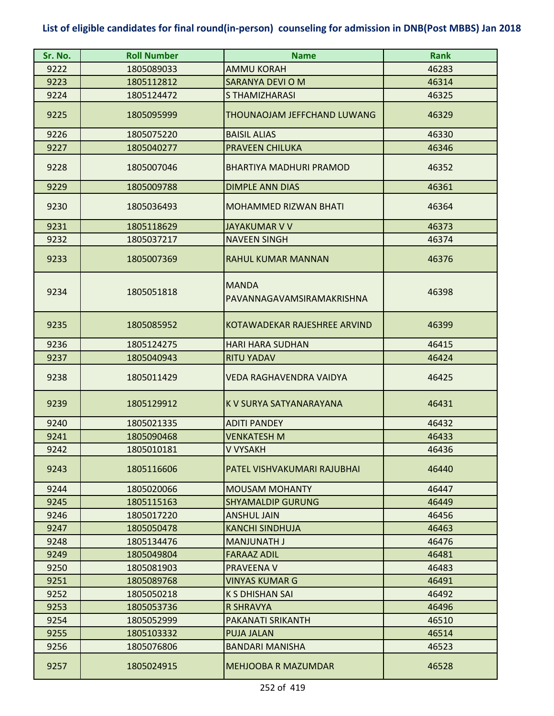| Sr. No. | <b>Roll Number</b> | <b>Name</b>                               | <b>Rank</b> |
|---------|--------------------|-------------------------------------------|-------------|
| 9222    | 1805089033         | <b>AMMU KORAH</b>                         | 46283       |
| 9223    | 1805112812         | SARANYA DEVI O M                          | 46314       |
| 9224    | 1805124472         | S THAMIZHARASI                            | 46325       |
| 9225    | 1805095999         | THOUNAOJAM JEFFCHAND LUWANG               | 46329       |
| 9226    | 1805075220         | <b>BAISIL ALIAS</b>                       | 46330       |
| 9227    | 1805040277         | <b>PRAVEEN CHILUKA</b>                    | 46346       |
| 9228    | 1805007046         | <b>BHARTIYA MADHURI PRAMOD</b>            | 46352       |
| 9229    | 1805009788         | <b>DIMPLE ANN DIAS</b>                    | 46361       |
| 9230    | 1805036493         | <b>MOHAMMED RIZWAN BHATI</b>              | 46364       |
| 9231    | 1805118629         | JAYAKUMAR V V                             | 46373       |
| 9232    | 1805037217         | <b>NAVEEN SINGH</b>                       | 46374       |
| 9233    | 1805007369         | <b>RAHUL KUMAR MANNAN</b>                 | 46376       |
| 9234    | 1805051818         | <b>MANDA</b><br>PAVANNAGAVAMSIRAMAKRISHNA | 46398       |
| 9235    | 1805085952         | KOTAWADEKAR RAJESHREE ARVIND              | 46399       |
| 9236    | 1805124275         | <b>HARI HARA SUDHAN</b>                   | 46415       |
| 9237    | 1805040943         | <b>RITU YADAV</b>                         | 46424       |
| 9238    | 1805011429         | VEDA RAGHAVENDRA VAIDYA                   | 46425       |
| 9239    | 1805129912         | K V SURYA SATYANARAYANA                   | 46431       |
| 9240    | 1805021335         | <b>ADITI PANDEY</b>                       | 46432       |
| 9241    | 1805090468         | <b>VENKATESH M</b>                        | 46433       |
| 9242    | 1805010181         | V VYSAKH                                  | 46436       |
| 9243    | 1805116606         | PATEL VISHVAKUMARI RAJUBHAI               | 46440       |
| 9244    | 1805020066         | <b>MOUSAM MOHANTY</b>                     | 46447       |
| 9245    | 1805115163         | <b>SHYAMALDIP GURUNG</b>                  | 46449       |
| 9246    | 1805017220         | <b>ANSHUL JAIN</b>                        | 46456       |
| 9247    | 1805050478         | <b>KANCHI SINDHUJA</b>                    | 46463       |
| 9248    | 1805134476         | <b>MANJUNATH J</b>                        | 46476       |
| 9249    | 1805049804         | <b>FARAAZ ADIL</b>                        | 46481       |
| 9250    | 1805081903         | PRAVEENA V                                | 46483       |
| 9251    | 1805089768         | <b>VINYAS KUMAR G</b>                     | 46491       |
| 9252    | 1805050218         | K S DHISHAN SAI                           | 46492       |
| 9253    | 1805053736         | <b>R SHRAVYA</b>                          | 46496       |
| 9254    | 1805052999         | PAKANATI SRIKANTH                         | 46510       |
| 9255    | 1805103332         | <b>PUJA JALAN</b>                         | 46514       |
| 9256    | 1805076806         | <b>BANDARI MANISHA</b>                    | 46523       |
| 9257    | 1805024915         | <b>MEHJOOBA R MAZUMDAR</b>                | 46528       |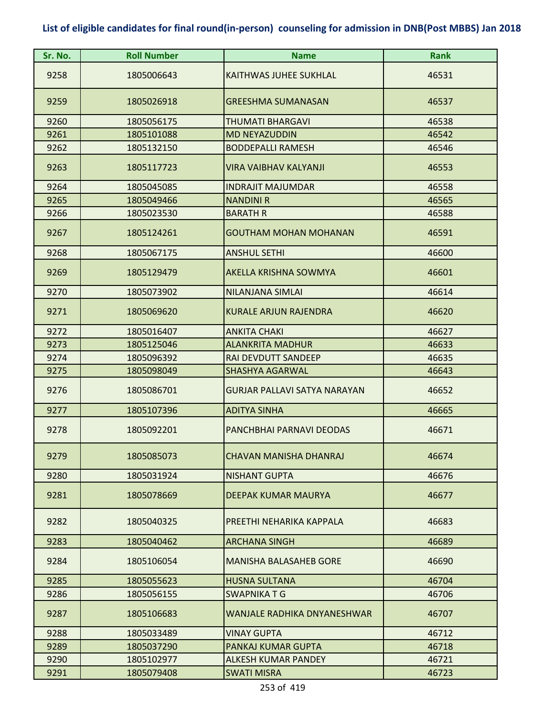| Sr. No. | <b>Roll Number</b> | <b>Name</b>                         | <b>Rank</b> |
|---------|--------------------|-------------------------------------|-------------|
| 9258    | 1805006643         | <b>KAITHWAS JUHEE SUKHLAL</b>       | 46531       |
| 9259    | 1805026918         | <b>GREESHMA SUMANASAN</b>           | 46537       |
| 9260    | 1805056175         | THUMATI BHARGAVI                    | 46538       |
| 9261    | 1805101088         | <b>MD NEYAZUDDIN</b>                | 46542       |
| 9262    | 1805132150         | <b>BODDEPALLI RAMESH</b>            | 46546       |
| 9263    | 1805117723         | <b>VIRA VAIBHAV KALYANJI</b>        | 46553       |
| 9264    | 1805045085         | <b>INDRAJIT MAJUMDAR</b>            | 46558       |
| 9265    | 1805049466         | <b>NANDINI R</b>                    | 46565       |
| 9266    | 1805023530         | <b>BARATH R</b>                     | 46588       |
| 9267    | 1805124261         | <b>GOUTHAM MOHAN MOHANAN</b>        | 46591       |
| 9268    | 1805067175         | <b>ANSHUL SETHI</b>                 | 46600       |
| 9269    | 1805129479         | <b>AKELLA KRISHNA SOWMYA</b>        | 46601       |
| 9270    | 1805073902         | NILANJANA SIMLAI                    | 46614       |
| 9271    | 1805069620         | <b>KURALE ARJUN RAJENDRA</b>        | 46620       |
| 9272    | 1805016407         | <b>ANKITA CHAKI</b>                 | 46627       |
| 9273    | 1805125046         | <b>ALANKRITA MADHUR</b>             | 46633       |
| 9274    | 1805096392         | RAI DEVDUTT SANDEEP                 | 46635       |
| 9275    | 1805098049         | <b>SHASHYA AGARWAL</b>              | 46643       |
| 9276    | 1805086701         | <b>GURJAR PALLAVI SATYA NARAYAN</b> | 46652       |
| 9277    | 1805107396         | <b>ADITYA SINHA</b>                 | 46665       |
| 9278    | 1805092201         | PANCHBHAI PARNAVI DEODAS            | 46671       |
| 9279    | 1805085073         | <b>CHAVAN MANISHA DHANRAJ</b>       | 46674       |
| 9280    | 1805031924         | <b>NISHANT GUPTA</b>                | 46676       |
| 9281    | 1805078669         | DEEPAK KUMAR MAURYA                 | 46677       |
| 9282    | 1805040325         | PREETHI NEHARIKA KAPPALA            | 46683       |
| 9283    | 1805040462         | <b>ARCHANA SINGH</b>                | 46689       |
| 9284    | 1805106054         | <b>MANISHA BALASAHEB GORE</b>       | 46690       |
| 9285    | 1805055623         | <b>HUSNA SULTANA</b>                | 46704       |
| 9286    | 1805056155         | SWAPNIKA T G                        | 46706       |
| 9287    | 1805106683         | <b>WANJALE RADHIKA DNYANESHWAR</b>  | 46707       |
| 9288    | 1805033489         | <b>VINAY GUPTA</b>                  | 46712       |
| 9289    | 1805037290         | PANKAJ KUMAR GUPTA                  | 46718       |
| 9290    | 1805102977         | ALKESH KUMAR PANDEY                 | 46721       |
| 9291    | 1805079408         | <b>SWATI MISRA</b>                  | 46723       |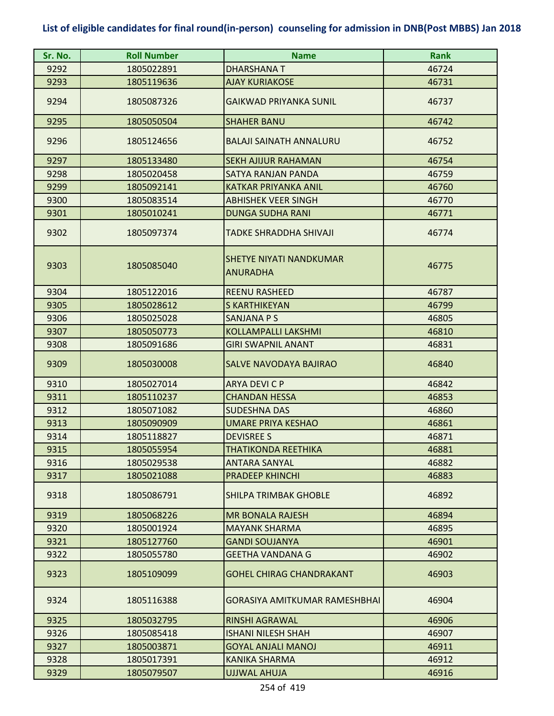| Sr. No. | <b>Roll Number</b> | <b>Name</b>                                | <b>Rank</b> |
|---------|--------------------|--------------------------------------------|-------------|
| 9292    | 1805022891         | <b>DHARSHANAT</b>                          | 46724       |
| 9293    | 1805119636         | <b>AJAY KURIAKOSE</b>                      | 46731       |
| 9294    | 1805087326         | <b>GAIKWAD PRIYANKA SUNIL</b>              | 46737       |
| 9295    | 1805050504         | <b>SHAHER BANU</b>                         | 46742       |
| 9296    | 1805124656         | <b>BALAJI SAINATH ANNALURU</b>             | 46752       |
| 9297    | 1805133480         | <b>SEKH AJIJUR RAHAMAN</b>                 | 46754       |
| 9298    | 1805020458         | SATYA RANJAN PANDA                         | 46759       |
| 9299    | 1805092141         | KATKAR PRIYANKA ANIL                       | 46760       |
| 9300    | 1805083514         | <b>ABHISHEK VEER SINGH</b>                 | 46770       |
| 9301    | 1805010241         | <b>DUNGA SUDHA RANI</b>                    | 46771       |
| 9302    | 1805097374         | TADKE SHRADDHA SHIVAJI                     | 46774       |
| 9303    | 1805085040         | SHETYE NIYATI NANDKUMAR<br><b>ANURADHA</b> | 46775       |
| 9304    | 1805122016         | <b>REENU RASHEED</b>                       | 46787       |
| 9305    | 1805028612         | <b>S KARTHIKEYAN</b>                       | 46799       |
| 9306    | 1805025028         | SANJANA P S                                | 46805       |
| 9307    | 1805050773         | <b>KOLLAMPALLI LAKSHMI</b>                 | 46810       |
| 9308    | 1805091686         | <b>GIRI SWAPNIL ANANT</b>                  | 46831       |
| 9309    | 1805030008         | SALVE NAVODAYA BAJIRAO                     | 46840       |
| 9310    | 1805027014         | ARYA DEVI C P                              | 46842       |
| 9311    | 1805110237         | <b>CHANDAN HESSA</b>                       | 46853       |
| 9312    | 1805071082         | <b>SUDESHNA DAS</b>                        | 46860       |
| 9313    | 1805090909         | <b>UMARE PRIYA KESHAO</b>                  | 46861       |
| 9314    | 1805118827         | <b>DEVISREE S</b>                          | 46871       |
| 9315    | 1805055954         | <b>THATIKONDA REETHIKA</b>                 | 46881       |
| 9316    | 1805029538         | <b>ANTARA SANYAL</b>                       | 46882       |
| 9317    | 1805021088         | <b>PRADEEP KHINCHI</b>                     | 46883       |
| 9318    | 1805086791         | SHILPA TRIMBAK GHOBLE                      | 46892       |
| 9319    | 1805068226         | <b>MR BONALA RAJESH</b>                    | 46894       |
| 9320    | 1805001924         | <b>MAYANK SHARMA</b>                       | 46895       |
| 9321    | 1805127760         | <b>GANDI SOUJANYA</b>                      | 46901       |
| 9322    | 1805055780         | <b>GEETHA VANDANA G</b>                    | 46902       |
| 9323    | 1805109099         | <b>GOHEL CHIRAG CHANDRAKANT</b>            | 46903       |
| 9324    | 1805116388         | GORASIYA AMITKUMAR RAMESHBHAI              | 46904       |
| 9325    | 1805032795         | <b>RINSHI AGRAWAL</b>                      | 46906       |
| 9326    | 1805085418         | <b>ISHANI NILESH SHAH</b>                  | 46907       |
| 9327    | 1805003871         | <b>GOYAL ANJALI MANOJ</b>                  | 46911       |
| 9328    | 1805017391         | KANIKA SHARMA                              | 46912       |
| 9329    | 1805079507         | <b>UJJWAL AHUJA</b>                        | 46916       |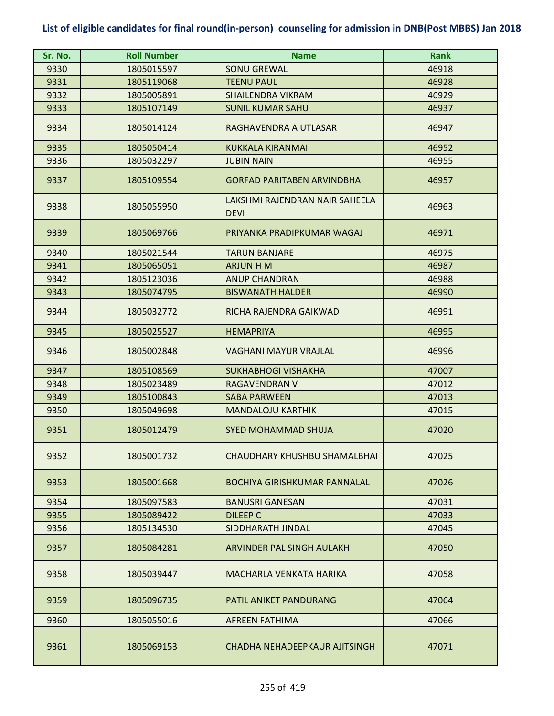| Sr. No. | <b>Roll Number</b> | <b>Name</b>                                   | <b>Rank</b> |
|---------|--------------------|-----------------------------------------------|-------------|
| 9330    | 1805015597         | <b>SONU GREWAL</b>                            | 46918       |
| 9331    | 1805119068         | <b>TEENU PAUL</b>                             | 46928       |
| 9332    | 1805005891         | <b>SHAILENDRA VIKRAM</b>                      | 46929       |
| 9333    | 1805107149         | <b>SUNIL KUMAR SAHU</b>                       | 46937       |
| 9334    | 1805014124         | RAGHAVENDRA A UTLASAR                         | 46947       |
| 9335    | 1805050414         | <b>KUKKALA KIRANMAI</b>                       | 46952       |
| 9336    | 1805032297         | <b>JUBIN NAIN</b>                             | 46955       |
| 9337    | 1805109554         | <b>GORFAD PARITABEN ARVINDBHAI</b>            | 46957       |
| 9338    | 1805055950         | LAKSHMI RAJENDRAN NAIR SAHEELA<br><b>DEVI</b> | 46963       |
| 9339    | 1805069766         | PRIYANKA PRADIPKUMAR WAGAJ                    | 46971       |
| 9340    | 1805021544         | <b>TARUN BANJARE</b>                          | 46975       |
| 9341    | 1805065051         | <b>ARJUN H M</b>                              | 46987       |
| 9342    | 1805123036         | <b>ANUP CHANDRAN</b>                          | 46988       |
| 9343    | 1805074795         | <b>BISWANATH HALDER</b>                       | 46990       |
| 9344    | 1805032772         | RICHA RAJENDRA GAIKWAD                        | 46991       |
| 9345    | 1805025527         | <b>HEMAPRIYA</b>                              | 46995       |
| 9346    | 1805002848         | <b>VAGHANI MAYUR VRAJLAL</b>                  | 46996       |
| 9347    | 1805108569         | <b>SUKHABHOGI VISHAKHA</b>                    | 47007       |
| 9348    | 1805023489         | RAGAVENDRAN V                                 | 47012       |
| 9349    | 1805100843         | <b>SABA PARWEEN</b>                           | 47013       |
| 9350    | 1805049698         | <b>MANDALOJU KARTHIK</b>                      | 47015       |
| 9351    | 1805012479         | <b>SYED MOHAMMAD SHUJA</b>                    | 47020       |
| 9352    | 1805001732         | CHAUDHARY KHUSHBU SHAMALBHAI                  | 47025       |
| 9353    | 1805001668         | <b>BOCHIYA GIRISHKUMAR PANNALAL</b>           | 47026       |
| 9354    | 1805097583         | <b>BANUSRI GANESAN</b>                        | 47031       |
| 9355    | 1805089422         | <b>DILEEP C</b>                               | 47033       |
| 9356    | 1805134530         | SIDDHARATH JINDAL                             | 47045       |
| 9357    | 1805084281         | <b>ARVINDER PAL SINGH AULAKH</b>              | 47050       |
| 9358    | 1805039447         | MACHARLA VENKATA HARIKA                       | 47058       |
| 9359    | 1805096735         | <b>PATIL ANIKET PANDURANG</b>                 | 47064       |
| 9360    | 1805055016         | <b>AFREEN FATHIMA</b>                         | 47066       |
| 9361    | 1805069153         | CHADHA NEHADEEPKAUR AJITSINGH                 | 47071       |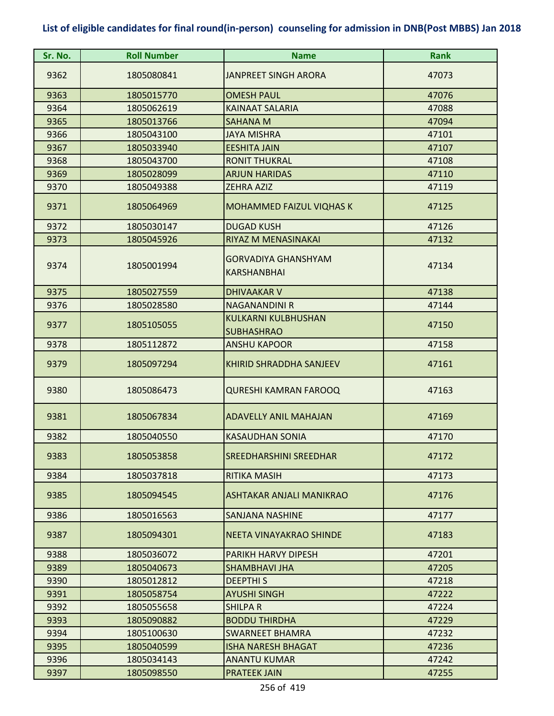| Sr. No. | <b>Roll Number</b> | <b>Name</b>                                      | <b>Rank</b> |
|---------|--------------------|--------------------------------------------------|-------------|
| 9362    | 1805080841         | <b>JANPREET SINGH ARORA</b>                      | 47073       |
| 9363    | 1805015770         | <b>OMESH PAUL</b>                                | 47076       |
| 9364    | 1805062619         | <b>KAINAAT SALARIA</b>                           | 47088       |
| 9365    | 1805013766         | <b>SAHANA M</b>                                  | 47094       |
| 9366    | 1805043100         | <b>JAYA MISHRA</b>                               | 47101       |
| 9367    | 1805033940         | <b>EESHITA JAIN</b>                              | 47107       |
| 9368    | 1805043700         | <b>RONIT THUKRAL</b>                             | 47108       |
| 9369    | 1805028099         | <b>ARJUN HARIDAS</b>                             | 47110       |
| 9370    | 1805049388         | <b>ZEHRA AZIZ</b>                                | 47119       |
| 9371    | 1805064969         | <b>MOHAMMED FAIZUL VIQHAS K</b>                  | 47125       |
| 9372    | 1805030147         | <b>DUGAD KUSH</b>                                | 47126       |
| 9373    | 1805045926         | RIYAZ M MENASINAKAI                              | 47132       |
| 9374    | 1805001994         | <b>GORVADIYA GHANSHYAM</b><br><b>KARSHANBHAI</b> | 47134       |
| 9375    | 1805027559         | <b>DHIVAAKAR V</b>                               | 47138       |
| 9376    | 1805028580         | <b>NAGANANDINI R</b>                             | 47144       |
| 9377    | 1805105055         | <b>KULKARNI KULBHUSHAN</b><br><b>SUBHASHRAO</b>  | 47150       |
| 9378    | 1805112872         | <b>ANSHU KAPOOR</b>                              | 47158       |
| 9379    | 1805097294         | <b>KHIRID SHRADDHA SANJEEV</b>                   | 47161       |
| 9380    | 1805086473         | <b>QURESHI KAMRAN FAROOQ</b>                     | 47163       |
| 9381    | 1805067834         | <b>ADAVELLY ANIL MAHAJAN</b>                     | 47169       |
| 9382    | 1805040550         | <b>KASAUDHAN SONIA</b>                           | 47170       |
| 9383    | 1805053858         | <b>SREEDHARSHINI SREEDHAR</b>                    | 47172       |
| 9384    | 1805037818         | RITIKA MASIH                                     | 47173       |
| 9385    | 1805094545         | ASHTAKAR ANJALI MANIKRAO                         | 47176       |
| 9386    | 1805016563         | <b>SANJANA NASHINE</b>                           | 47177       |
| 9387    | 1805094301         | NEETA VINAYAKRAO SHINDE                          | 47183       |
| 9388    | 1805036072         | PARIKH HARVY DIPESH                              | 47201       |
| 9389    | 1805040673         | <b>SHAMBHAVI JHA</b>                             | 47205       |
| 9390    | 1805012812         | <b>DEEPTHIS</b>                                  | 47218       |
| 9391    | 1805058754         | <b>AYUSHI SINGH</b>                              | 47222       |
| 9392    | 1805055658         | <b>SHILPAR</b>                                   | 47224       |
| 9393    | 1805090882         | <b>BODDU THIRDHA</b>                             | 47229       |
| 9394    | 1805100630         | <b>SWARNEET BHAMRA</b>                           | 47232       |
| 9395    | 1805040599         | <b>ISHA NARESH BHAGAT</b>                        | 47236       |
| 9396    | 1805034143         | <b>ANANTU KUMAR</b>                              | 47242       |
| 9397    | 1805098550         | <b>PRATEEK JAIN</b>                              | 47255       |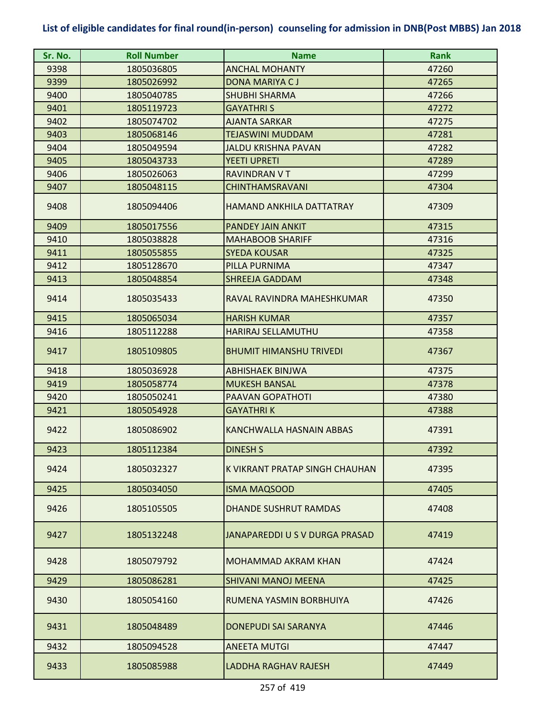| Sr. No. | <b>Roll Number</b> | <b>Name</b>                     | <b>Rank</b> |
|---------|--------------------|---------------------------------|-------------|
| 9398    | 1805036805         | <b>ANCHAL MOHANTY</b>           | 47260       |
| 9399    | 1805026992         | DONA MARIYA CJ                  | 47265       |
| 9400    | 1805040785         | <b>SHUBHI SHARMA</b>            | 47266       |
| 9401    | 1805119723         | <b>GAYATHRIS</b>                | 47272       |
| 9402    | 1805074702         | <b>AJANTA SARKAR</b>            | 47275       |
| 9403    | 1805068146         | <b>TEJASWINI MUDDAM</b>         | 47281       |
| 9404    | 1805049594         | <b>JALDU KRISHNA PAVAN</b>      | 47282       |
| 9405    | 1805043733         | <b>YEETI UPRETI</b>             | 47289       |
| 9406    | 1805026063         | <b>RAVINDRAN VT</b>             | 47299       |
| 9407    | 1805048115         | <b>CHINTHAMSRAVANI</b>          | 47304       |
| 9408    | 1805094406         | <b>HAMAND ANKHILA DATTATRAY</b> | 47309       |
| 9409    | 1805017556         | PANDEY JAIN ANKIT               | 47315       |
| 9410    | 1805038828         | <b>MAHABOOB SHARIFF</b>         | 47316       |
| 9411    | 1805055855         | <b>SYEDA KOUSAR</b>             | 47325       |
| 9412    | 1805128670         | PILLA PURNIMA                   | 47347       |
| 9413    | 1805048854         | <b>SHREEJA GADDAM</b>           | 47348       |
| 9414    | 1805035433         | RAVAL RAVINDRA MAHESHKUMAR      | 47350       |
| 9415    | 1805065034         | <b>HARISH KUMAR</b>             | 47357       |
| 9416    | 1805112288         | <b>HARIRAJ SELLAMUTHU</b>       | 47358       |
| 9417    | 1805109805         | <b>BHUMIT HIMANSHU TRIVEDI</b>  | 47367       |
| 9418    | 1805036928         | <b>ABHISHAEK BINJWA</b>         | 47375       |
| 9419    | 1805058774         | <b>MUKESH BANSAL</b>            | 47378       |
| 9420    | 1805050241         | <b>PAAVAN GOPATHOTI</b>         | 47380       |
| 9421    | 1805054928         | <b>GAYATHRIK</b>                | 47388       |
| 9422    | 1805086902         | KANCHWALLA HASNAIN ABBAS        | 47391       |
| 9423    | 1805112384         | <b>DINESH S</b>                 | 47392       |
| 9424    | 1805032327         | K VIKRANT PRATAP SINGH CHAUHAN  | 47395       |
| 9425    | 1805034050         | <b>ISMA MAQSOOD</b>             | 47405       |
| 9426    | 1805105505         | <b>DHANDE SUSHRUT RAMDAS</b>    | 47408       |
| 9427    | 1805132248         | JANAPAREDDI U S V DURGA PRASAD  | 47419       |
| 9428    | 1805079792         | MOHAMMAD AKRAM KHAN             | 47424       |
| 9429    | 1805086281         | <b>SHIVANI MANOJ MEENA</b>      | 47425       |
| 9430    | 1805054160         | RUMENA YASMIN BORBHUIYA         | 47426       |
| 9431    | 1805048489         | DONEPUDI SAI SARANYA            | 47446       |
| 9432    | 1805094528         | <b>ANEETA MUTGI</b>             | 47447       |
| 9433    | 1805085988         | LADDHA RAGHAV RAJESH            | 47449       |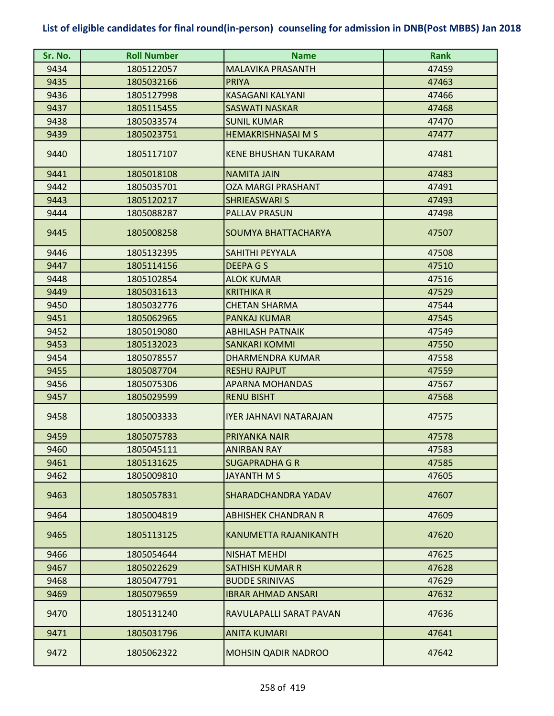| Sr. No. | <b>Roll Number</b> | <b>Name</b>                 | <b>Rank</b> |
|---------|--------------------|-----------------------------|-------------|
| 9434    | 1805122057         | <b>MALAVIKA PRASANTH</b>    | 47459       |
| 9435    | 1805032166         | <b>PRIYA</b>                | 47463       |
| 9436    | 1805127998         | <b>KASAGANI KALYANI</b>     | 47466       |
| 9437    | 1805115455         | <b>SASWATI NASKAR</b>       | 47468       |
| 9438    | 1805033574         | <b>SUNIL KUMAR</b>          | 47470       |
| 9439    | 1805023751         | <b>HEMAKRISHNASAI M S</b>   | 47477       |
| 9440    | 1805117107         | <b>KENE BHUSHAN TUKARAM</b> | 47481       |
| 9441    | 1805018108         | <b>NAMITA JAIN</b>          | 47483       |
| 9442    | 1805035701         | <b>OZA MARGI PRASHANT</b>   | 47491       |
| 9443    | 1805120217         | <b>SHRIEASWARI S</b>        | 47493       |
| 9444    | 1805088287         | <b>PALLAV PRASUN</b>        | 47498       |
| 9445    | 1805008258         | SOUMYA BHATTACHARYA         | 47507       |
| 9446    | 1805132395         | SAHITHI PEYYALA             | 47508       |
| 9447    | 1805114156         | <b>DEEPAGS</b>              | 47510       |
| 9448    | 1805102854         | <b>ALOK KUMAR</b>           | 47516       |
| 9449    | 1805031613         | <b>KRITHIKA R</b>           | 47529       |
| 9450    | 1805032776         | <b>CHETAN SHARMA</b>        | 47544       |
| 9451    | 1805062965         | <b>PANKAJ KUMAR</b>         | 47545       |
| 9452    | 1805019080         | <b>ABHILASH PATNAIK</b>     | 47549       |
| 9453    | 1805132023         | <b>SANKARI KOMMI</b>        | 47550       |
| 9454    | 1805078557         | <b>DHARMENDRA KUMAR</b>     | 47558       |
| 9455    | 1805087704         | <b>RESHU RAJPUT</b>         | 47559       |
| 9456    | 1805075306         | <b>APARNA MOHANDAS</b>      | 47567       |
| 9457    | 1805029599         | <b>RENU BISHT</b>           | 47568       |
| 9458    | 1805003333         | IYER JAHNAVI NATARAJAN      | 47575       |
| 9459    | 1805075783         | PRIYANKA NAIR               | 47578       |
| 9460    | 1805045111         | <b>ANIRBAN RAY</b>          | 47583       |
| 9461    | 1805131625         | <b>SUGAPRADHA G R</b>       | 47585       |
| 9462    | 1805009810         | JAYANTH M S                 | 47605       |
| 9463    | 1805057831         | <b>SHARADCHANDRA YADAV</b>  | 47607       |
| 9464    | 1805004819         | <b>ABHISHEK CHANDRAN R</b>  | 47609       |
| 9465    | 1805113125         | KANUMETTA RAJANIKANTH       | 47620       |
| 9466    | 1805054644         | <b>NISHAT MEHDI</b>         | 47625       |
| 9467    | 1805022629         | <b>SATHISH KUMAR R</b>      | 47628       |
| 9468    | 1805047791         | <b>BUDDE SRINIVAS</b>       | 47629       |
| 9469    | 1805079659         | <b>IBRAR AHMAD ANSARI</b>   | 47632       |
| 9470    | 1805131240         | RAVULAPALLI SARAT PAVAN     | 47636       |
| 9471    | 1805031796         | <b>ANITA KUMARI</b>         | 47641       |
| 9472    | 1805062322         | <b>MOHSIN QADIR NADROO</b>  | 47642       |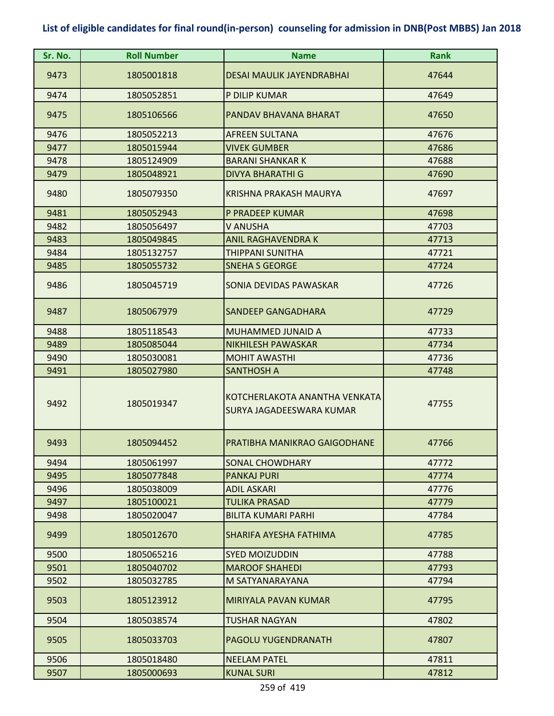| Sr. No. | <b>Roll Number</b> | <b>Name</b>                                               | <b>Rank</b> |
|---------|--------------------|-----------------------------------------------------------|-------------|
| 9473    | 1805001818         | <b>DESAI MAULIK JAYENDRABHAI</b>                          | 47644       |
| 9474    | 1805052851         | P DILIP KUMAR                                             | 47649       |
| 9475    | 1805106566         | PANDAV BHAVANA BHARAT                                     | 47650       |
| 9476    | 1805052213         | <b>AFREEN SULTANA</b>                                     | 47676       |
| 9477    | 1805015944         | <b>VIVEK GUMBER</b>                                       | 47686       |
| 9478    | 1805124909         | <b>BARANI SHANKAR K</b>                                   | 47688       |
| 9479    | 1805048921         | <b>DIVYA BHARATHI G</b>                                   | 47690       |
| 9480    | 1805079350         | KRISHNA PRAKASH MAURYA                                    | 47697       |
| 9481    | 1805052943         | P PRADEEP KUMAR                                           | 47698       |
| 9482    | 1805056497         | V ANUSHA                                                  | 47703       |
| 9483    | 1805049845         | <b>ANIL RAGHAVENDRA K</b>                                 | 47713       |
| 9484    | 1805132757         | <b>THIPPANI SUNITHA</b>                                   | 47721       |
| 9485    | 1805055732         | <b>SNEHA S GEORGE</b>                                     | 47724       |
| 9486    | 1805045719         | SONIA DEVIDAS PAWASKAR                                    | 47726       |
| 9487    | 1805067979         | SANDEEP GANGADHARA                                        | 47729       |
| 9488    | 1805118543         | <b>MUHAMMED JUNAID A</b>                                  | 47733       |
| 9489    | 1805085044         | <b>NIKHILESH PAWASKAR</b>                                 | 47734       |
| 9490    | 1805030081         | <b>MOHIT AWASTHI</b>                                      | 47736       |
| 9491    | 1805027980         | <b>SANTHOSH A</b>                                         | 47748       |
| 9492    | 1805019347         | KOTCHERLAKOTA ANANTHA VENKATA<br>SURYA JAGADEESWARA KUMAR | 47755       |
| 9493    | 1805094452         | PRATIBHA MANIKRAO GAIGODHANE                              | 47766       |
| 9494    | 1805061997         | SONAL CHOWDHARY                                           | 47772       |
| 9495    | 1805077848         | <b>PANKAJ PURI</b>                                        | 47774       |
| 9496    | 1805038009         | <b>ADIL ASKARI</b>                                        | 47776       |
| 9497    | 1805100021         | <b>TULIKA PRASAD</b>                                      | 47779       |
| 9498    | 1805020047         | <b>BILITA KUMARI PARHI</b>                                | 47784       |
| 9499    | 1805012670         | SHARIFA AYESHA FATHIMA                                    | 47785       |
| 9500    | 1805065216         | <b>SYED MOIZUDDIN</b>                                     | 47788       |
| 9501    | 1805040702         | <b>MAROOF SHAHEDI</b>                                     | 47793       |
| 9502    | 1805032785         | M SATYANARAYANA                                           | 47794       |
| 9503    | 1805123912         | MIRIYALA PAVAN KUMAR                                      | 47795       |
| 9504    | 1805038574         | <b>TUSHAR NAGYAN</b>                                      | 47802       |
| 9505    | 1805033703         | <b>PAGOLU YUGENDRANATH</b>                                | 47807       |
| 9506    | 1805018480         | <b>NEELAM PATEL</b>                                       | 47811       |
| 9507    | 1805000693         | <b>KUNAL SURI</b>                                         | 47812       |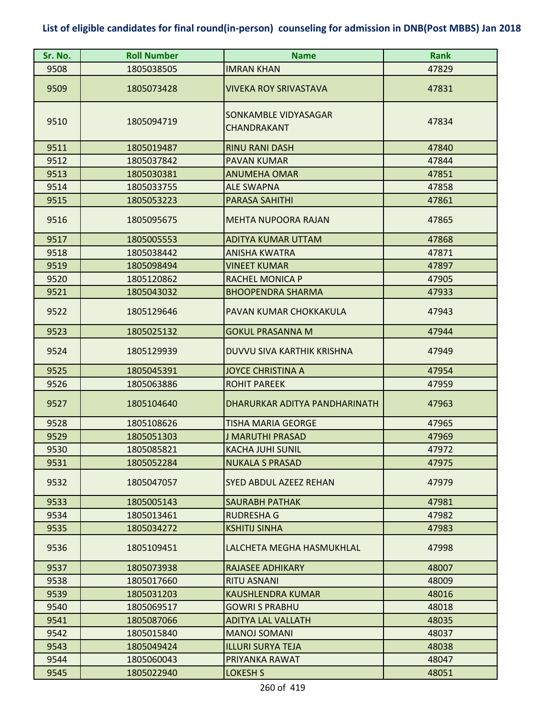| Sr. No. | <b>Roll Number</b> | <b>Name</b>                         | <b>Rank</b> |
|---------|--------------------|-------------------------------------|-------------|
| 9508    | 1805038505         | <b>IMRAN KHAN</b>                   | 47829       |
| 9509    | 1805073428         | <b>VIVEKA ROY SRIVASTAVA</b>        | 47831       |
| 9510    | 1805094719         | SONKAMBLE VIDYASAGAR<br>CHANDRAKANT | 47834       |
| 9511    | 1805019487         | <b>RINU RANI DASH</b>               | 47840       |
| 9512    | 1805037842         | <b>PAVAN KUMAR</b>                  | 47844       |
| 9513    | 1805030381         | <b>ANUMEHA OMAR</b>                 | 47851       |
| 9514    | 1805033755         | <b>ALE SWAPNA</b>                   | 47858       |
| 9515    | 1805053223         | <b>PARASA SAHITHI</b>               | 47861       |
| 9516    | 1805095675         | <b>MEHTA NUPOORA RAJAN</b>          | 47865       |
| 9517    | 1805005553         | <b>ADITYA KUMAR UTTAM</b>           | 47868       |
| 9518    | 1805038442         | <b>ANISHA KWATRA</b>                | 47871       |
| 9519    | 1805098494         | <b>VINEET KUMAR</b>                 | 47897       |
| 9520    | 1805120862         | RACHEL MONICA P                     | 47905       |
| 9521    | 1805043032         | <b>BHOOPENDRA SHARMA</b>            | 47933       |
| 9522    | 1805129646         | PAVAN KUMAR CHOKKAKULA              | 47943       |
| 9523    | 1805025132         | <b>GOKUL PRASANNA M</b>             | 47944       |
| 9524    | 1805129939         | DUVVU SIVA KARTHIK KRISHNA          | 47949       |
| 9525    | 1805045391         | <b>JOYCE CHRISTINA A</b>            | 47954       |
| 9526    | 1805063886         | <b>ROHIT PAREEK</b>                 | 47959       |
| 9527    | 1805104640         | DHARURKAR ADITYA PANDHARINATH       | 47963       |
| 9528    | 1805108626         | <b>TISHA MARIA GEORGE</b>           | 47965       |
| 9529    | 1805051303         | <b>J MARUTHI PRASAD</b>             | 47969       |
| 9530    | 1805085821         | KACHA JUHI SUNIL                    | 47972       |
| 9531    | 1805052284         | <b>NUKALA S PRASAD</b>              | 47975       |
| 9532    | 1805047057         | <b>SYED ABDUL AZEEZ REHAN</b>       | 47979       |
| 9533    | 1805005143         | <b>SAURABH PATHAK</b>               | 47981       |
| 9534    | 1805013461         | <b>RUDRESHA G</b>                   | 47982       |
| 9535    | 1805034272         | <b>KSHITIJ SINHA</b>                | 47983       |
| 9536    | 1805109451         | LALCHETA MEGHA HASMUKHLAL           | 47998       |
| 9537    | 1805073938         | <b>RAJASEE ADHIKARY</b>             | 48007       |
| 9538    | 1805017660         | <b>RITU ASNANI</b>                  | 48009       |
| 9539    | 1805031203         | KAUSHLENDRA KUMAR                   | 48016       |
| 9540    | 1805069517         | <b>GOWRI S PRABHU</b>               | 48018       |
| 9541    | 1805087066         | <b>ADITYA LAL VALLATH</b>           | 48035       |
| 9542    | 1805015840         | <b>MANOJ SOMANI</b>                 | 48037       |
| 9543    | 1805049424         | <b>ILLURI SURYA TEJA</b>            | 48038       |
| 9544    | 1805060043         | PRIYANKA RAWAT                      | 48047       |
| 9545    | 1805022940         | <b>LOKESH S</b>                     | 48051       |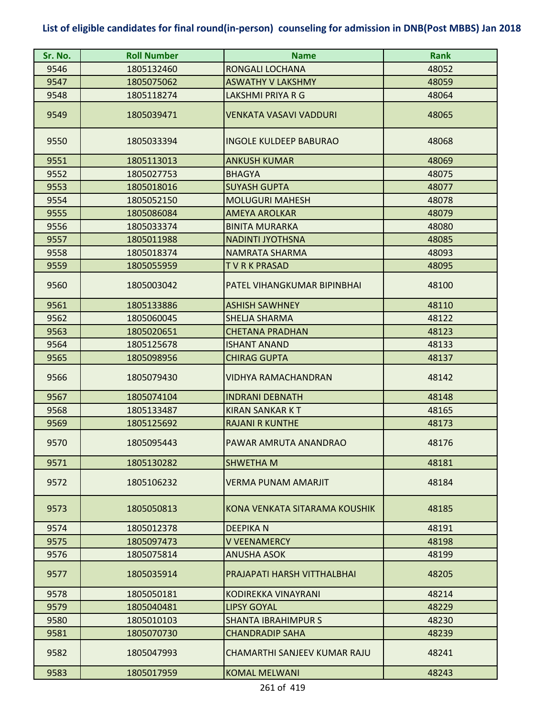| Sr. No. | <b>Roll Number</b> | <b>Name</b>                   | Rank  |
|---------|--------------------|-------------------------------|-------|
| 9546    | 1805132460         | RONGALI LOCHANA               | 48052 |
| 9547    | 1805075062         | <b>ASWATHY V LAKSHMY</b>      | 48059 |
| 9548    | 1805118274         | LAKSHMI PRIYA R G             | 48064 |
| 9549    | 1805039471         | <b>VENKATA VASAVI VADDURI</b> | 48065 |
| 9550    | 1805033394         | <b>INGOLE KULDEEP BABURAO</b> | 48068 |
| 9551    | 1805113013         | <b>ANKUSH KUMAR</b>           | 48069 |
| 9552    | 1805027753         | <b>BHAGYA</b>                 | 48075 |
| 9553    | 1805018016         | <b>SUYASH GUPTA</b>           | 48077 |
| 9554    | 1805052150         | <b>MOLUGURI MAHESH</b>        | 48078 |
| 9555    | 1805086084         | <b>AMEYA AROLKAR</b>          | 48079 |
| 9556    | 1805033374         | <b>BINITA MURARKA</b>         | 48080 |
| 9557    | 1805011988         | <b>NADINTI JYOTHSNA</b>       | 48085 |
| 9558    | 1805018374         | <b>NAMRATA SHARMA</b>         | 48093 |
| 9559    | 1805055959         | TVRKPRASAD                    | 48095 |
| 9560    | 1805003042         | PATEL VIHANGKUMAR BIPINBHAI   | 48100 |
| 9561    | 1805133886         | <b>ASHISH SAWHNEY</b>         | 48110 |
| 9562    | 1805060045         | SHELJA SHARMA                 | 48122 |
| 9563    | 1805020651         | <b>CHETANA PRADHAN</b>        | 48123 |
| 9564    | 1805125678         | <b>ISHANT ANAND</b>           | 48133 |
| 9565    | 1805098956         | <b>CHIRAG GUPTA</b>           | 48137 |
| 9566    | 1805079430         | VIDHYA RAMACHANDRAN           | 48142 |
| 9567    | 1805074104         | <b>INDRANI DEBNATH</b>        | 48148 |
| 9568    | 1805133487         | <b>KIRAN SANKAR K T</b>       | 48165 |
| 9569    | 1805125692         | <b>RAJANI R KUNTHE</b>        | 48173 |
| 9570    | 1805095443         | PAWAR AMRUTA ANANDRAO         | 48176 |
| 9571    | 1805130282         | <b>SHWETHAM</b>               | 48181 |
| 9572    | 1805106232         | VERMA PUNAM AMARJIT           | 48184 |
| 9573    | 1805050813         | KONA VENKATA SITARAMA KOUSHIK | 48185 |
| 9574    | 1805012378         | <b>DEEPIKAN</b>               | 48191 |
| 9575    | 1805097473         | <b>V VEENAMERCY</b>           | 48198 |
| 9576    | 1805075814         | <b>ANUSHA ASOK</b>            | 48199 |
| 9577    | 1805035914         | PRAJAPATI HARSH VITTHALBHAI   | 48205 |
| 9578    | 1805050181         | KODIREKKA VINAYRANI           | 48214 |
| 9579    | 1805040481         | <b>LIPSY GOYAL</b>            | 48229 |
| 9580    | 1805010103         | <b>SHANTA IBRAHIMPURS</b>     | 48230 |
| 9581    | 1805070730         | <b>CHANDRADIP SAHA</b>        | 48239 |
| 9582    | 1805047993         | CHAMARTHI SANJEEV KUMAR RAJU  | 48241 |
| 9583    | 1805017959         | <b>KOMAL MELWANI</b>          | 48243 |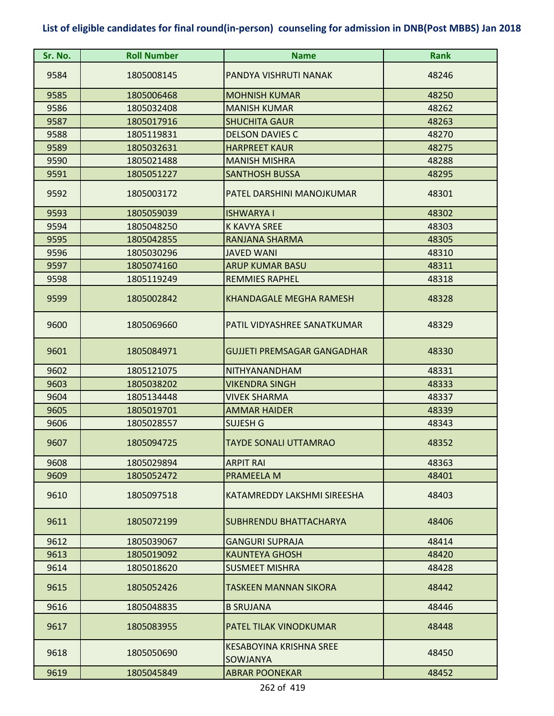| Sr. No. | <b>Roll Number</b> | <b>Name</b>                                | <b>Rank</b> |
|---------|--------------------|--------------------------------------------|-------------|
| 9584    | 1805008145         | PANDYA VISHRUTI NANAK                      | 48246       |
| 9585    | 1805006468         | <b>MOHNISH KUMAR</b>                       | 48250       |
| 9586    | 1805032408         | <b>MANISH KUMAR</b>                        | 48262       |
| 9587    | 1805017916         | <b>SHUCHITA GAUR</b>                       | 48263       |
| 9588    | 1805119831         | <b>DELSON DAVIES C</b>                     | 48270       |
| 9589    | 1805032631         | <b>HARPREET KAUR</b>                       | 48275       |
| 9590    | 1805021488         | <b>MANISH MISHRA</b>                       | 48288       |
| 9591    | 1805051227         | <b>SANTHOSH BUSSA</b>                      | 48295       |
| 9592    | 1805003172         | PATEL DARSHINI MANOJKUMAR                  | 48301       |
| 9593    | 1805059039         | <b>ISHWARYA I</b>                          | 48302       |
| 9594    | 1805048250         | <b>K KAVYA SREE</b>                        | 48303       |
| 9595    | 1805042855         | <b>RANJANA SHARMA</b>                      | 48305       |
| 9596    | 1805030296         | <b>JAVED WANI</b>                          | 48310       |
| 9597    | 1805074160         | <b>ARUP KUMAR BASU</b>                     | 48311       |
| 9598    | 1805119249         | <b>REMMIES RAPHEL</b>                      | 48318       |
| 9599    | 1805002842         | <b>KHANDAGALE MEGHA RAMESH</b>             | 48328       |
| 9600    | 1805069660         | PATIL VIDYASHREE SANATKUMAR                | 48329       |
| 9601    | 1805084971         | <b>GUJJETI PREMSAGAR GANGADHAR</b>         | 48330       |
| 9602    | 1805121075         | <b>NITHYANANDHAM</b>                       | 48331       |
| 9603    | 1805038202         | <b>VIKENDRA SINGH</b>                      | 48333       |
| 9604    | 1805134448         | <b>VIVEK SHARMA</b>                        | 48337       |
| 9605    | 1805019701         | <b>AMMAR HAIDER</b>                        | 48339       |
| 9606    | 1805028557         | <b>SUJESH G</b>                            | 48343       |
| 9607    | 1805094725         | <b>TAYDE SONALI UTTAMRAO</b>               | 48352       |
| 9608    | 1805029894         | <b>ARPIT RAI</b>                           | 48363       |
| 9609    | 1805052472         | PRAMEELA M                                 | 48401       |
| 9610    | 1805097518         | KATAMREDDY LAKSHMI SIREESHA                | 48403       |
| 9611    | 1805072199         | <b>SUBHRENDU BHATTACHARYA</b>              | 48406       |
| 9612    | 1805039067         | <b>GANGURI SUPRAJA</b>                     | 48414       |
| 9613    | 1805019092         | <b>KAUNTEYA GHOSH</b>                      | 48420       |
| 9614    | 1805018620         | <b>SUSMEET MISHRA</b>                      | 48428       |
| 9615    | 1805052426         | TASKEEN MANNAN SIKORA                      | 48442       |
| 9616    | 1805048835         | <b>B SRUJANA</b>                           | 48446       |
| 9617    | 1805083955         | PATEL TILAK VINODKUMAR                     | 48448       |
| 9618    | 1805050690         | KESABOYINA KRISHNA SREE<br><b>SOWJANYA</b> | 48450       |
| 9619    | 1805045849         | <b>ABRAR POONEKAR</b>                      | 48452       |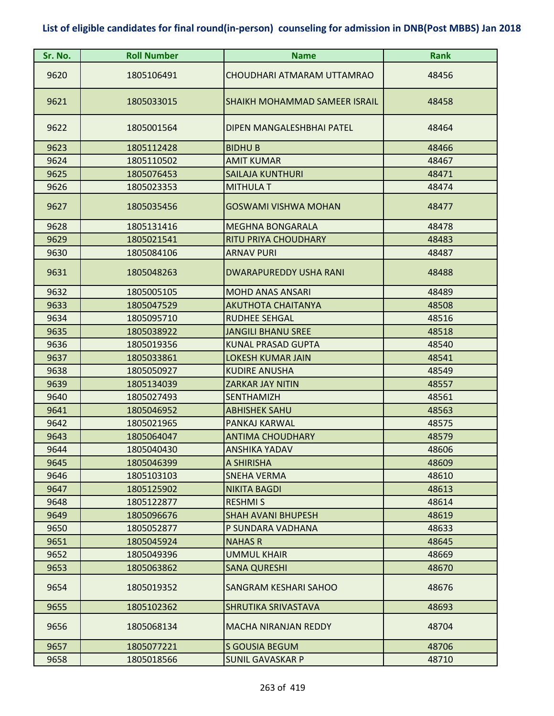| Sr. No. | <b>Roll Number</b> | <b>Name</b>                   | <b>Rank</b> |
|---------|--------------------|-------------------------------|-------------|
| 9620    | 1805106491         | CHOUDHARI ATMARAM UTTAMRAO    | 48456       |
| 9621    | 1805033015         | SHAIKH MOHAMMAD SAMEER ISRAIL | 48458       |
| 9622    | 1805001564         | DIPEN MANGALESHBHAI PATEL     | 48464       |
| 9623    | 1805112428         | <b>BIDHUB</b>                 | 48466       |
| 9624    | 1805110502         | <b>AMIT KUMAR</b>             | 48467       |
| 9625    | 1805076453         | <b>SAILAJA KUNTHURI</b>       | 48471       |
| 9626    | 1805023353         | <b>MITHULA T</b>              | 48474       |
| 9627    | 1805035456         | GOSWAMI VISHWA MOHAN          | 48477       |
| 9628    | 1805131416         | <b>MEGHNA BONGARALA</b>       | 48478       |
| 9629    | 1805021541         | <b>RITU PRIYA CHOUDHARY</b>   | 48483       |
| 9630    | 1805084106         | <b>ARNAV PURI</b>             | 48487       |
| 9631    | 1805048263         | DWARAPUREDDY USHA RANI        | 48488       |
| 9632    | 1805005105         | <b>MOHD ANAS ANSARI</b>       | 48489       |
| 9633    | 1805047529         | <b>AKUTHOTA CHAITANYA</b>     | 48508       |
| 9634    | 1805095710         | <b>RUDHEE SEHGAL</b>          | 48516       |
| 9635    | 1805038922         | <b>JANGILI BHANU SREE</b>     | 48518       |
| 9636    | 1805019356         | <b>KUNAL PRASAD GUPTA</b>     | 48540       |
| 9637    | 1805033861         | <b>LOKESH KUMAR JAIN</b>      | 48541       |
| 9638    | 1805050927         | <b>KUDIRE ANUSHA</b>          | 48549       |
| 9639    | 1805134039         | <b>ZARKAR JAY NITIN</b>       | 48557       |
| 9640    | 1805027493         | <b>SENTHAMIZH</b>             | 48561       |
| 9641    | 1805046952         | <b>ABHISHEK SAHU</b>          | 48563       |
| 9642    | 1805021965         | PANKAJ KARWAL                 | 48575       |
| 9643    | 1805064047         | <b>ANTIMA CHOUDHARY</b>       | 48579       |
| 9644    | 1805040430         | ANSHIKA YADAV                 | 48606       |
| 9645    | 1805046399         | A SHIRISHA                    | 48609       |
| 9646    | 1805103103         | <b>SNEHA VERMA</b>            | 48610       |
| 9647    | 1805125902         | <b>NIKITA BAGDI</b>           | 48613       |
| 9648    | 1805122877         | <b>RESHMIS</b>                | 48614       |
| 9649    | 1805096676         | <b>SHAH AVANI BHUPESH</b>     | 48619       |
| 9650    | 1805052877         | P SUNDARA VADHANA             | 48633       |
| 9651    | 1805045924         | <b>NAHAS R</b>                | 48645       |
| 9652    | 1805049396         | <b>UMMUL KHAIR</b>            | 48669       |
| 9653    | 1805063862         | <b>SANA QURESHI</b>           | 48670       |
| 9654    | 1805019352         | <b>SANGRAM KESHARI SAHOO</b>  | 48676       |
| 9655    | 1805102362         | SHRUTIKA SRIVASTAVA           | 48693       |
| 9656    | 1805068134         | <b>MACHA NIRANJAN REDDY</b>   | 48704       |
| 9657    | 1805077221         | <b>S GOUSIA BEGUM</b>         | 48706       |
| 9658    | 1805018566         | SUNIL GAVASKAR P              | 48710       |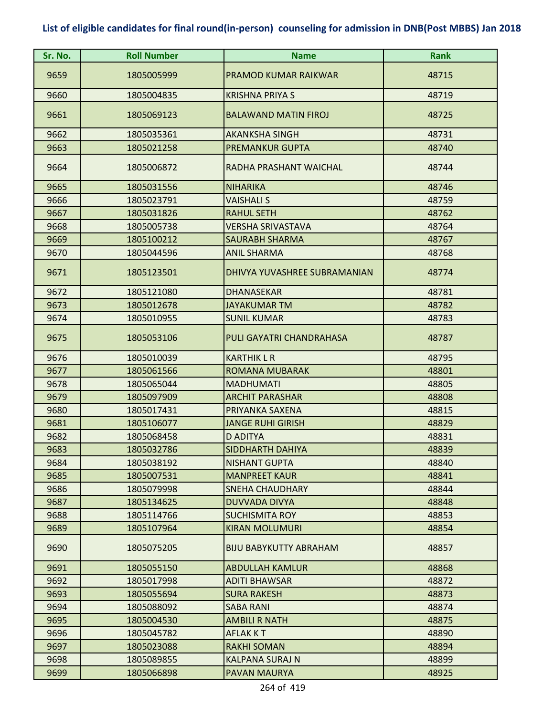| Sr. No. | <b>Roll Number</b> | <b>Name</b>                   | Rank  |
|---------|--------------------|-------------------------------|-------|
| 9659    | 1805005999         | <b>PRAMOD KUMAR RAIKWAR</b>   | 48715 |
| 9660    | 1805004835         | <b>KRISHNA PRIYA S</b>        | 48719 |
| 9661    | 1805069123         | <b>BALAWAND MATIN FIROJ</b>   | 48725 |
| 9662    | 1805035361         | <b>AKANKSHA SINGH</b>         | 48731 |
| 9663    | 1805021258         | <b>PREMANKUR GUPTA</b>        | 48740 |
| 9664    | 1805006872         | RADHA PRASHANT WAICHAL        | 48744 |
| 9665    | 1805031556         | <b>NIHARIKA</b>               | 48746 |
| 9666    | 1805023791         | <b>VAISHALI S</b>             | 48759 |
| 9667    | 1805031826         | <b>RAHUL SETH</b>             | 48762 |
| 9668    | 1805005738         | VERSHA SRIVASTAVA             | 48764 |
| 9669    | 1805100212         | <b>SAURABH SHARMA</b>         | 48767 |
| 9670    | 1805044596         | <b>ANIL SHARMA</b>            | 48768 |
| 9671    | 1805123501         | DHIVYA YUVASHREE SUBRAMANIAN  | 48774 |
| 9672    | 1805121080         | <b>DHANASEKAR</b>             | 48781 |
| 9673    | 1805012678         | JAYAKUMAR TM                  | 48782 |
| 9674    | 1805010955         | <b>SUNIL KUMAR</b>            | 48783 |
| 9675    | 1805053106         | PULI GAYATRI CHANDRAHASA      | 48787 |
| 9676    | 1805010039         | <b>KARTHIK L R</b>            | 48795 |
| 9677    | 1805061566         | ROMANA MUBARAK                | 48801 |
| 9678    | 1805065044         | <b>MADHUMATI</b>              | 48805 |
| 9679    | 1805097909         | <b>ARCHIT PARASHAR</b>        | 48808 |
| 9680    | 1805017431         | PRIYANKA SAXENA               | 48815 |
| 9681    | 1805106077         | <b>JANGE RUHI GIRISH</b>      | 48829 |
| 9682    | 1805068458         | <b>D ADITYA</b>               | 48831 |
| 9683    | 1805032786         | <b>SIDDHARTH DAHIYA</b>       | 48839 |
| 9684    | 1805038192         | <b>NISHANT GUPTA</b>          | 48840 |
| 9685    | 1805007531         | <b>MANPREET KAUR</b>          | 48841 |
| 9686    | 1805079998         | SNEHA CHAUDHARY               | 48844 |
| 9687    | 1805134625         | <b>DUVVADA DIVYA</b>          | 48848 |
| 9688    | 1805114766         | <b>SUCHISMITA ROY</b>         | 48853 |
| 9689    | 1805107964         | <b>KIRAN MOLUMURI</b>         | 48854 |
| 9690    | 1805075205         | <b>BIJU BABYKUTTY ABRAHAM</b> | 48857 |
| 9691    | 1805055150         | <b>ABDULLAH KAMLUR</b>        | 48868 |
| 9692    | 1805017998         | <b>ADITI BHAWSAR</b>          | 48872 |
| 9693    | 1805055694         | <b>SURA RAKESH</b>            | 48873 |
| 9694    | 1805088092         | <b>SABA RANI</b>              | 48874 |
| 9695    | 1805004530         | AMBILI R NATH                 | 48875 |
| 9696    | 1805045782         | <b>AFLAK KT</b>               | 48890 |
| 9697    | 1805023088         | <b>RAKHI SOMAN</b>            | 48894 |
| 9698    | 1805089855         | <b>KALPANA SURAJ N</b>        | 48899 |
| 9699    | 1805066898         | PAVAN MAURYA                  | 48925 |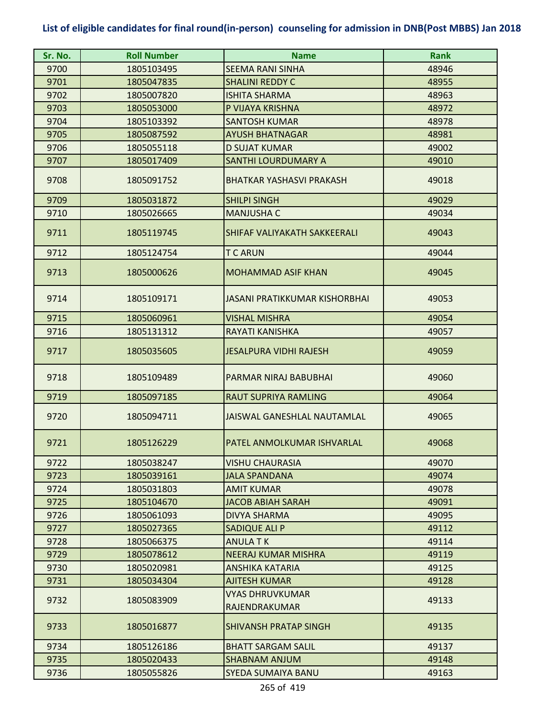| Sr. No. | <b>Roll Number</b> | <b>Name</b>                             | <b>Rank</b> |
|---------|--------------------|-----------------------------------------|-------------|
| 9700    | 1805103495         | <b>SEEMA RANI SINHA</b>                 | 48946       |
| 9701    | 1805047835         | <b>SHALINI REDDY C</b>                  | 48955       |
| 9702    | 1805007820         | <b>ISHITA SHARMA</b>                    | 48963       |
| 9703    | 1805053000         | P VIJAYA KRISHNA                        | 48972       |
| 9704    | 1805103392         | <b>SANTOSH KUMAR</b>                    | 48978       |
| 9705    | 1805087592         | <b>AYUSH BHATNAGAR</b>                  | 48981       |
| 9706    | 1805055118         | <b>D SUJAT KUMAR</b>                    | 49002       |
| 9707    | 1805017409         | <b>SANTHI LOURDUMARY A</b>              | 49010       |
| 9708    | 1805091752         | <b>BHATKAR YASHASVI PRAKASH</b>         | 49018       |
| 9709    | 1805031872         | <b>SHILPI SINGH</b>                     | 49029       |
| 9710    | 1805026665         | <b>MANJUSHA C</b>                       | 49034       |
| 9711    | 1805119745         | SHIFAF VALIYAKATH SAKKEERALI            | 49043       |
| 9712    | 1805124754         | T C ARUN                                | 49044       |
| 9713    | 1805000626         | <b>MOHAMMAD ASIF KHAN</b>               | 49045       |
| 9714    | 1805109171         | <b>JASANI PRATIKKUMAR KISHORBHAI</b>    | 49053       |
| 9715    | 1805060961         | <b>VISHAL MISHRA</b>                    | 49054       |
| 9716    | 1805131312         | RAYATI KANISHKA                         | 49057       |
| 9717    | 1805035605         | <b>JESALPURA VIDHI RAJESH</b>           | 49059       |
| 9718    | 1805109489         | PARMAR NIRAJ BABUBHAI                   | 49060       |
| 9719    | 1805097185         | <b>RAUT SUPRIYA RAMLING</b>             | 49064       |
| 9720    | 1805094711         | <b>JAISWAL GANESHLAL NAUTAMLAL</b>      | 49065       |
| 9721    | 1805126229         | PATEL ANMOLKUMAR ISHVARLAL              | 49068       |
| 9722    | 1805038247         | <b>VISHU CHAURASIA</b>                  | 49070       |
| 9723    | 1805039161         | JALA SPANDANA                           | 49074       |
| 9724    | 1805031803         | <b>AMIT KUMAR</b>                       | 49078       |
| 9725    | 1805104670         | <b>JACOB ABIAH SARAH</b>                | 49091       |
| 9726    | 1805061093         | <b>DIVYA SHARMA</b>                     | 49095       |
| 9727    | 1805027365         | SADIQUE ALI P                           | 49112       |
| 9728    | 1805066375         | <b>ANULATK</b>                          | 49114       |
| 9729    | 1805078612         | <b>NEERAJ KUMAR MISHRA</b>              | 49119       |
| 9730    | 1805020981         | ANSHIKA KATARIA                         | 49125       |
| 9731    | 1805034304         | <b>AJITESH KUMAR</b>                    | 49128       |
| 9732    | 1805083909         | <b>VYAS DHRUVKUMAR</b><br>RAJENDRAKUMAR | 49133       |
| 9733    | 1805016877         | <b>SHIVANSH PRATAP SINGH</b>            | 49135       |
| 9734    | 1805126186         | <b>BHATT SARGAM SALIL</b>               | 49137       |
| 9735    | 1805020433         | <b>SHABNAM ANJUM</b>                    | 49148       |
| 9736    | 1805055826         | SYEDA SUMAIYA BANU                      | 49163       |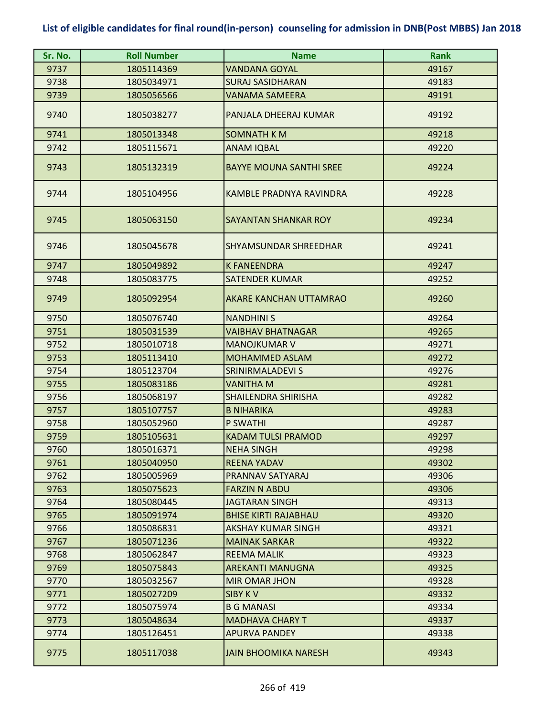| Sr. No.      | <b>Roll Number</b>       | <b>Name</b>                                    | <b>Rank</b>    |
|--------------|--------------------------|------------------------------------------------|----------------|
| 9737         | 1805114369               | <b>VANDANA GOYAL</b>                           | 49167          |
| 9738         | 1805034971               | <b>SURAJ SASIDHARAN</b>                        | 49183          |
| 9739         | 1805056566               | <b>VANAMA SAMEERA</b>                          | 49191          |
| 9740         | 1805038277               | PANJALA DHEERAJ KUMAR                          | 49192          |
| 9741         | 1805013348               | <b>SOMNATH K M</b>                             | 49218          |
| 9742         | 1805115671               | <b>ANAM IQBAL</b>                              | 49220          |
| 9743         | 1805132319               | <b>BAYYE MOUNA SANTHI SREE</b>                 | 49224          |
| 9744         | 1805104956               | KAMBLE PRADNYA RAVINDRA                        | 49228          |
| 9745         | 1805063150               | SAYANTAN SHANKAR ROY                           | 49234          |
| 9746         | 1805045678               | SHYAMSUNDAR SHREEDHAR                          | 49241          |
| 9747         | 1805049892               | <b>K FANEENDRA</b>                             | 49247          |
| 9748         | 1805083775               | <b>SATENDER KUMAR</b>                          | 49252          |
| 9749         | 1805092954               | AKARE KANCHAN UTTAMRAO                         | 49260          |
| 9750         | 1805076740               | <b>NANDHINI S</b>                              | 49264          |
| 9751         | 1805031539               | <b>VAIBHAV BHATNAGAR</b>                       | 49265          |
| 9752         | 1805010718               | <b>MANOJKUMAR V</b>                            | 49271          |
| 9753         | 1805113410               | <b>MOHAMMED ASLAM</b>                          | 49272          |
| 9754         | 1805123704               | SRINIRMALADEVI S                               | 49276          |
| 9755         | 1805083186               | <b>VANITHA M</b>                               | 49281          |
| 9756         | 1805068197               | <b>SHAILENDRA SHIRISHA</b>                     | 49282          |
| 9757         | 1805107757               | <b>B NIHARIKA</b>                              | 49283          |
| 9758         | 1805052960               | P SWATHI                                       | 49287          |
| 9759<br>9760 | 1805105631<br>1805016371 | <b>KADAM TULSI PRAMOD</b><br><b>NEHA SINGH</b> | 49297<br>49298 |
| 9761         | 1805040950               | <b>REENA YADAV</b>                             | 49302          |
| 9762         | 1805005969               | PRANNAV SATYARAJ                               | 49306          |
| 9763         | 1805075623               | <b>FARZIN N ABDU</b>                           | 49306          |
| 9764         | 1805080445               | <b>JAGTARAN SINGH</b>                          | 49313          |
| 9765         | 1805091974               | <b>BHISE KIRTI RAJABHAU</b>                    | 49320          |
| 9766         | 1805086831               | AKSHAY KUMAR SINGH                             | 49321          |
| 9767         | 1805071236               | <b>MAINAK SARKAR</b>                           | 49322          |
| 9768         | 1805062847               | <b>REEMA MALIK</b>                             | 49323          |
| 9769         | 1805075843               | <b>AREKANTI MANUGNA</b>                        | 49325          |
| 9770         | 1805032567               | <b>MIR OMAR JHON</b>                           | 49328          |
| 9771         | 1805027209               | SIBY KV                                        | 49332          |
| 9772         | 1805075974               | <b>B G MANASI</b>                              | 49334          |
| 9773         | 1805048634               | <b>MADHAVA CHARY T</b>                         | 49337          |
| 9774         | 1805126451               | APURVA PANDEY                                  | 49338          |
| 9775         | 1805117038               | <b>JAIN BHOOMIKA NARESH</b>                    | 49343          |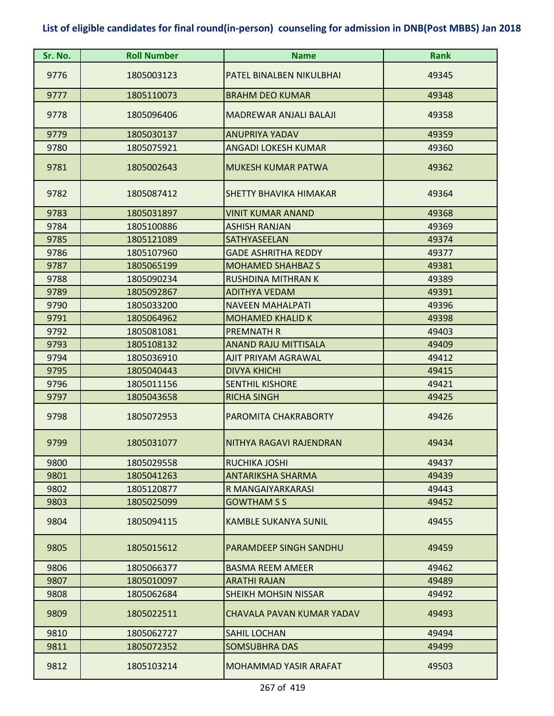| Sr. No. | <b>Roll Number</b> | <b>Name</b>                   | <b>Rank</b> |
|---------|--------------------|-------------------------------|-------------|
| 9776    | 1805003123         | PATEL BINALBEN NIKULBHAI      | 49345       |
| 9777    | 1805110073         | <b>BRAHM DEO KUMAR</b>        | 49348       |
| 9778    | 1805096406         | <b>MADREWAR ANJALI BALAJI</b> | 49358       |
| 9779    | 1805030137         | <b>ANUPRIYA YADAV</b>         | 49359       |
| 9780    | 1805075921         | <b>ANGADI LOKESH KUMAR</b>    | 49360       |
| 9781    | 1805002643         | <b>MUKESH KUMAR PATWA</b>     | 49362       |
| 9782    | 1805087412         | SHETTY BHAVIKA HIMAKAR        | 49364       |
| 9783    | 1805031897         | <b>VINIT KUMAR ANAND</b>      | 49368       |
| 9784    | 1805100886         | <b>ASHISH RANJAN</b>          | 49369       |
| 9785    | 1805121089         | SATHYASEELAN                  | 49374       |
| 9786    | 1805107960         | <b>GADE ASHRITHA REDDY</b>    | 49377       |
| 9787    | 1805065199         | <b>MOHAMED SHAHBAZ S</b>      | 49381       |
| 9788    | 1805090234         | <b>RUSHDINA MITHRAN K</b>     | 49389       |
| 9789    | 1805092867         | <b>ADITHYA VEDAM</b>          | 49391       |
| 9790    | 1805033200         | <b>NAVEEN MAHALPATI</b>       | 49396       |
| 9791    | 1805064962         | <b>MOHAMED KHALID K</b>       | 49398       |
| 9792    | 1805081081         | <b>PREMNATH R</b>             | 49403       |
| 9793    | 1805108132         | <b>ANAND RAJU MITTISALA</b>   | 49409       |
| 9794    | 1805036910         | AJIT PRIYAM AGRAWAL           | 49412       |
| 9795    | 1805040443         | <b>DIVYA KHICHI</b>           | 49415       |
| 9796    | 1805011156         | <b>SENTHIL KISHORE</b>        | 49421       |
| 9797    | 1805043658         | <b>RICHA SINGH</b>            | 49425       |
| 9798    | 1805072953         | PAROMITA CHAKRABORTY          | 49426       |
| 9799    | 1805031077         | NITHYA RAGAVI RAJENDRAN       | 49434       |
| 9800    | 1805029558         | RUCHIKA JOSHI                 | 49437       |
| 9801    | 1805041263         | <b>ANTARIKSHA SHARMA</b>      | 49439       |
| 9802    | 1805120877         | R MANGAIYARKARASI             | 49443       |
| 9803    | 1805025099         | <b>GOWTHAM S S</b>            | 49452       |
| 9804    | 1805094115         | <b>KAMBLE SUKANYA SUNIL</b>   | 49455       |
| 9805    | 1805015612         | PARAMDEEP SINGH SANDHU        | 49459       |
| 9806    | 1805066377         | <b>BASMA REEM AMEER</b>       | 49462       |
| 9807    | 1805010097         | <b>ARATHI RAJAN</b>           | 49489       |
| 9808    | 1805062684         | SHEIKH MOHSIN NISSAR          | 49492       |
| 9809    | 1805022511         | CHAVALA PAVAN KUMAR YADAV     | 49493       |
| 9810    | 1805062727         | SAHIL LOCHAN                  | 49494       |
| 9811    | 1805072352         | <b>SOMSUBHRA DAS</b>          | 49499       |
| 9812    | 1805103214         | MOHAMMAD YASIR ARAFAT         | 49503       |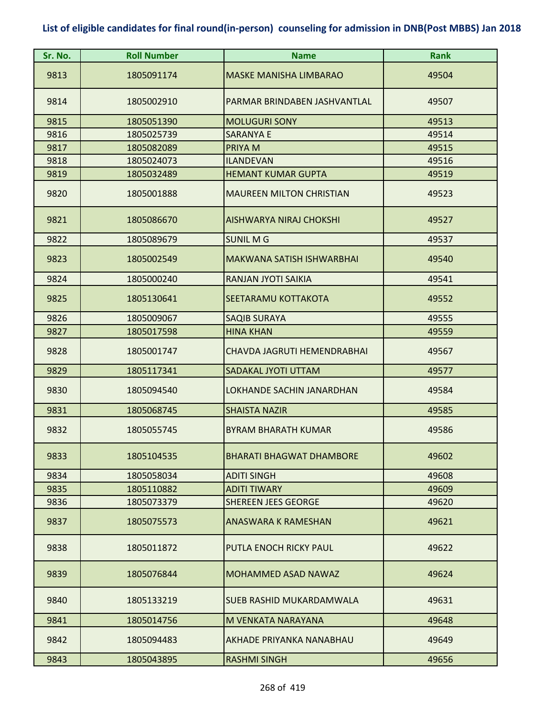| Sr. No. | <b>Roll Number</b> | <b>Name</b>                      | <b>Rank</b> |
|---------|--------------------|----------------------------------|-------------|
| 9813    | 1805091174         | <b>MASKE MANISHA LIMBARAO</b>    | 49504       |
| 9814    | 1805002910         | PARMAR BRINDABEN JASHVANTLAL     | 49507       |
| 9815    | 1805051390         | <b>MOLUGURI SONY</b>             | 49513       |
| 9816    | 1805025739         | <b>SARANYA E</b>                 | 49514       |
| 9817    | 1805082089         | PRIYA M                          | 49515       |
| 9818    | 1805024073         | <b>ILANDEVAN</b>                 | 49516       |
| 9819    | 1805032489         | <b>HEMANT KUMAR GUPTA</b>        | 49519       |
| 9820    | 1805001888         | <b>MAUREEN MILTON CHRISTIAN</b>  | 49523       |
| 9821    | 1805086670         | <b>AISHWARYA NIRAJ CHOKSHI</b>   | 49527       |
| 9822    | 1805089679         | <b>SUNIL MG</b>                  | 49537       |
| 9823    | 1805002549         | <b>MAKWANA SATISH ISHWARBHAI</b> | 49540       |
| 9824    | 1805000240         | RANJAN JYOTI SAIKIA              | 49541       |
| 9825    | 1805130641         | SEETARAMU KOTTAKOTA              | 49552       |
| 9826    | 1805009067         | <b>SAQIB SURAYA</b>              | 49555       |
| 9827    | 1805017598         | <b>HINA KHAN</b>                 | 49559       |
| 9828    | 1805001747         | CHAVDA JAGRUTI HEMENDRABHAI      | 49567       |
| 9829    | 1805117341         | SADAKAL JYOTI UTTAM              | 49577       |
| 9830    | 1805094540         | LOKHANDE SACHIN JANARDHAN        | 49584       |
| 9831    | 1805068745         | <b>SHAISTA NAZIR</b>             | 49585       |
| 9832    | 1805055745         | <b>BYRAM BHARATH KUMAR</b>       | 49586       |
| 9833    | 1805104535         | <b>BHARATI BHAGWAT DHAMBORE</b>  | 49602       |
| 9834    | 1805058034         | <b>ADITI SINGH</b>               | 49608       |
| 9835    | 1805110882         | <b>ADITI TIWARY</b>              | 49609       |
| 9836    | 1805073379         | <b>SHEREEN JEES GEORGE</b>       | 49620       |
| 9837    | 1805075573         | <b>ANASWARA K RAMESHAN</b>       | 49621       |
| 9838    | 1805011872         | PUTLA ENOCH RICKY PAUL           | 49622       |
| 9839    | 1805076844         | <b>MOHAMMED ASAD NAWAZ</b>       | 49624       |
| 9840    | 1805133219         | <b>SUEB RASHID MUKARDAMWALA</b>  | 49631       |
| 9841    | 1805014756         | M VENKATA NARAYANA               | 49648       |
| 9842    | 1805094483         | AKHADE PRIYANKA NANABHAU         | 49649       |
| 9843    | 1805043895         | <b>RASHMI SINGH</b>              | 49656       |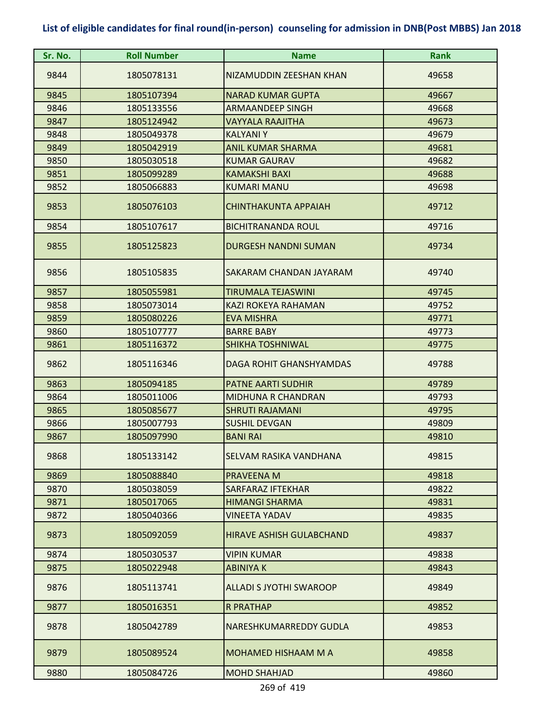| Sr. No. | <b>Roll Number</b> | <b>Name</b>                     | Rank  |
|---------|--------------------|---------------------------------|-------|
| 9844    | 1805078131         | NIZAMUDDIN ZEESHAN KHAN         | 49658 |
| 9845    | 1805107394         | <b>NARAD KUMAR GUPTA</b>        | 49667 |
| 9846    | 1805133556         | <b>ARMAANDEEP SINGH</b>         | 49668 |
| 9847    | 1805124942         | VAYYALA RAAJITHA                | 49673 |
| 9848    | 1805049378         | <b>KALYANIY</b>                 | 49679 |
| 9849    | 1805042919         | <b>ANIL KUMAR SHARMA</b>        | 49681 |
| 9850    | 1805030518         | <b>KUMAR GAURAV</b>             | 49682 |
| 9851    | 1805099289         | <b>KAMAKSHI BAXI</b>            | 49688 |
| 9852    | 1805066883         | KUMARI MANU                     | 49698 |
| 9853    | 1805076103         | <b>CHINTHAKUNTA APPAIAH</b>     | 49712 |
| 9854    | 1805107617         | <b>BICHITRANANDA ROUL</b>       | 49716 |
| 9855    | 1805125823         | <b>DURGESH NANDNI SUMAN</b>     | 49734 |
| 9856    | 1805105835         | SAKARAM CHANDAN JAYARAM         | 49740 |
| 9857    | 1805055981         | TIRUMALA TEJASWINI              | 49745 |
| 9858    | 1805073014         | KAZI ROKEYA RAHAMAN             | 49752 |
| 9859    | 1805080226         | <b>EVA MISHRA</b>               | 49771 |
| 9860    | 1805107777         | <b>BARRE BABY</b>               | 49773 |
| 9861    | 1805116372         | <b>SHIKHA TOSHNIWAL</b>         | 49775 |
| 9862    | 1805116346         | DAGA ROHIT GHANSHYAMDAS         | 49788 |
| 9863    | 1805094185         | <b>PATNE AARTI SUDHIR</b>       | 49789 |
| 9864    | 1805011006         | <b>MIDHUNA R CHANDRAN</b>       | 49793 |
| 9865    | 1805085677         | <b>SHRUTI RAJAMANI</b>          | 49795 |
| 9866    | 1805007793         | <b>SUSHIL DEVGAN</b>            | 49809 |
| 9867    | 1805097990         | <b>BANI RAI</b>                 | 49810 |
| 9868    | 1805133142         | <b>SELVAM RASIKA VANDHANA</b>   | 49815 |
| 9869    | 1805088840         | PRAVEENA M                      | 49818 |
| 9870    | 1805038059         | SARFARAZ IFTEKHAR               | 49822 |
| 9871    | 1805017065         | <b>HIMANGI SHARMA</b>           | 49831 |
| 9872    | 1805040366         | VINEETA YADAV                   | 49835 |
| 9873    | 1805092059         | <b>HIRAVE ASHISH GULABCHAND</b> | 49837 |
| 9874    | 1805030537         | <b>VIPIN KUMAR</b>              | 49838 |
| 9875    | 1805022948         | <b>ABINIYAK</b>                 | 49843 |
| 9876    | 1805113741         | <b>ALLADI S JYOTHI SWAROOP</b>  | 49849 |
| 9877    | 1805016351         | <b>R PRATHAP</b>                | 49852 |
| 9878    | 1805042789         | NARESHKUMARREDDY GUDLA          | 49853 |
| 9879    | 1805089524         | <b>MOHAMED HISHAAM M A</b>      | 49858 |
| 9880    | 1805084726         | <b>MOHD SHAHJAD</b>             | 49860 |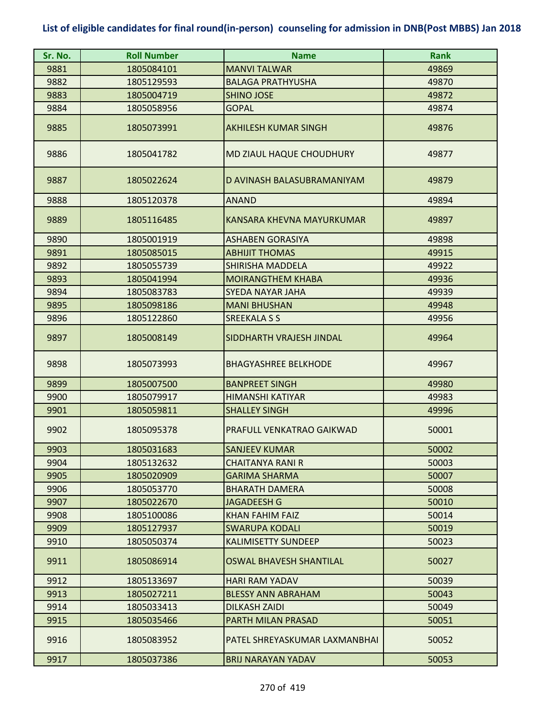| Sr. No. | <b>Roll Number</b> | <b>Name</b>                    | <b>Rank</b> |
|---------|--------------------|--------------------------------|-------------|
| 9881    | 1805084101         | <b>MANVI TALWAR</b>            | 49869       |
| 9882    | 1805129593         | <b>BALAGA PRATHYUSHA</b>       | 49870       |
| 9883    | 1805004719         | <b>SHINO JOSE</b>              | 49872       |
| 9884    | 1805058956         | <b>GOPAL</b>                   | 49874       |
| 9885    | 1805073991         | <b>AKHILESH KUMAR SINGH</b>    | 49876       |
| 9886    | 1805041782         | MD ZIAUL HAQUE CHOUDHURY       | 49877       |
| 9887    | 1805022624         | D AVINASH BALASUBRAMANIYAM     | 49879       |
| 9888    | 1805120378         | <b>ANAND</b>                   | 49894       |
| 9889    | 1805116485         | KANSARA KHEVNA MAYURKUMAR      | 49897       |
| 9890    | 1805001919         | <b>ASHABEN GORASIYA</b>        | 49898       |
| 9891    | 1805085015         | <b>ABHIJIT THOMAS</b>          | 49915       |
| 9892    | 1805055739         | <b>SHIRISHA MADDELA</b>        | 49922       |
| 9893    | 1805041994         | <b>MOIRANGTHEM KHABA</b>       | 49936       |
| 9894    | 1805083783         | SYEDA NAYAR JAHA               | 49939       |
| 9895    | 1805098186         | <b>MANI BHUSHAN</b>            | 49948       |
| 9896    | 1805122860         | <b>SREEKALA S S</b>            | 49956       |
| 9897    | 1805008149         | SIDDHARTH VRAJESH JINDAL       | 49964       |
| 9898    | 1805073993         | <b>BHAGYASHREE BELKHODE</b>    | 49967       |
| 9899    | 1805007500         | <b>BANPREET SINGH</b>          | 49980       |
| 9900    | 1805079917         | <b>HIMANSHI KATIYAR</b>        | 49983       |
| 9901    | 1805059811         | <b>SHALLEY SINGH</b>           | 49996       |
| 9902    | 1805095378         | PRAFULL VENKATRAO GAIKWAD      | 50001       |
| 9903    | 1805031683         | <b>SANJEEV KUMAR</b>           | 50002       |
| 9904    | 1805132632         | <b>CHAITANYA RANI R</b>        | 50003       |
| 9905    | 1805020909         | <b>GARIMA SHARMA</b>           | 50007       |
| 9906    | 1805053770         | <b>BHARATH DAMERA</b>          | 50008       |
| 9907    | 1805022670         | <b>JAGADEESH G</b>             | 50010       |
| 9908    | 1805100086         | <b>KHAN FAHIM FAIZ</b>         | 50014       |
| 9909    | 1805127937         | <b>SWARUPA KODALI</b>          | 50019       |
| 9910    | 1805050374         | <b>KALIMISETTY SUNDEEP</b>     | 50023       |
| 9911    | 1805086914         | <b>OSWAL BHAVESH SHANTILAL</b> | 50027       |
| 9912    | 1805133697         | <b>HARI RAM YADAV</b>          | 50039       |
| 9913    | 1805027211         | <b>BLESSY ANN ABRAHAM</b>      | 50043       |
| 9914    | 1805033413         | <b>DILKASH ZAIDI</b>           | 50049       |
| 9915    | 1805035466         | PARTH MILAN PRASAD             | 50051       |
| 9916    | 1805083952         | PATEL SHREYASKUMAR LAXMANBHAI  | 50052       |
| 9917    | 1805037386         | <b>BRIJ NARAYAN YADAV</b>      | 50053       |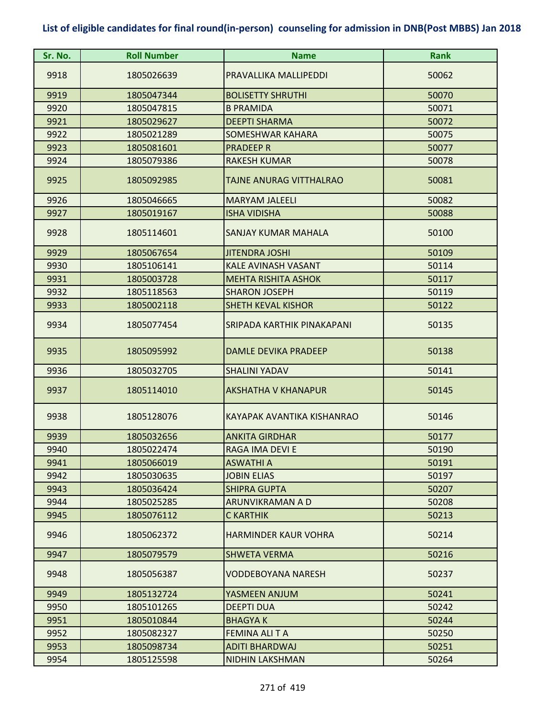| Sr. No. | <b>Roll Number</b> | <b>Name</b>                 | <b>Rank</b> |
|---------|--------------------|-----------------------------|-------------|
| 9918    | 1805026639         | PRAVALLIKA MALLIPEDDI       | 50062       |
| 9919    | 1805047344         | <b>BOLISETTY SHRUTHI</b>    | 50070       |
| 9920    | 1805047815         | <b>B PRAMIDA</b>            | 50071       |
| 9921    | 1805029627         | <b>DEEPTI SHARMA</b>        | 50072       |
| 9922    | 1805021289         | <b>SOMESHWAR KAHARA</b>     | 50075       |
| 9923    | 1805081601         | <b>PRADEEP R</b>            | 50077       |
| 9924    | 1805079386         | <b>RAKESH KUMAR</b>         | 50078       |
| 9925    | 1805092985         | TAJNE ANURAG VITTHALRAO     | 50081       |
| 9926    | 1805046665         | <b>MARYAM JALEELI</b>       | 50082       |
| 9927    | 1805019167         | <b>ISHA VIDISHA</b>         | 50088       |
| 9928    | 1805114601         | SANJAY KUMAR MAHALA         | 50100       |
| 9929    | 1805067654         | <b>JITENDRA JOSHI</b>       | 50109       |
| 9930    | 1805106141         | <b>KALE AVINASH VASANT</b>  | 50114       |
| 9931    | 1805003728         | <b>MEHTA RISHITA ASHOK</b>  | 50117       |
| 9932    | 1805118563         | <b>SHARON JOSEPH</b>        | 50119       |
| 9933    | 1805002118         | <b>SHETH KEVAL KISHOR</b>   | 50122       |
| 9934    | 1805077454         | SRIPADA KARTHIK PINAKAPANI  | 50135       |
| 9935    | 1805095992         | DAMLE DEVIKA PRADEEP        | 50138       |
| 9936    | 1805032705         | <b>SHALINI YADAV</b>        | 50141       |
| 9937    | 1805114010         | <b>AKSHATHA V KHANAPUR</b>  | 50145       |
| 9938    | 1805128076         | KAYAPAK AVANTIKA KISHANRAO  | 50146       |
| 9939    | 1805032656         | <b>ANKITA GIRDHAR</b>       | 50177       |
| 9940    | 1805022474         | RAGA IMA DEVI E             | 50190       |
| 9941    | 1805066019         | <b>ASWATHI A</b>            | 50191       |
| 9942    | 1805030635         | <b>JOBIN ELIAS</b>          | 50197       |
| 9943    | 1805036424         | <b>SHIPRA GUPTA</b>         | 50207       |
| 9944    | 1805025285         | ARUNVIKRAMAN A D            | 50208       |
| 9945    | 1805076112         | <b>C KARTHIK</b>            | 50213       |
| 9946    | 1805062372         | <b>HARMINDER KAUR VOHRA</b> | 50214       |
| 9947    | 1805079579         | <b>SHWETA VERMA</b>         | 50216       |
| 9948    | 1805056387         | <b>VODDEBOYANA NARESH</b>   | 50237       |
| 9949    | 1805132724         | YASMEEN ANJUM               | 50241       |
| 9950    | 1805101265         | <b>DEEPTI DUA</b>           | 50242       |
| 9951    | 1805010844         | <b>BHAGYAK</b>              | 50244       |
| 9952    | 1805082327         | <b>FEMINA ALI T A</b>       | 50250       |
| 9953    | 1805098734         | <b>ADITI BHARDWAJ</b>       | 50251       |
| 9954    | 1805125598         | NIDHIN LAKSHMAN             | 50264       |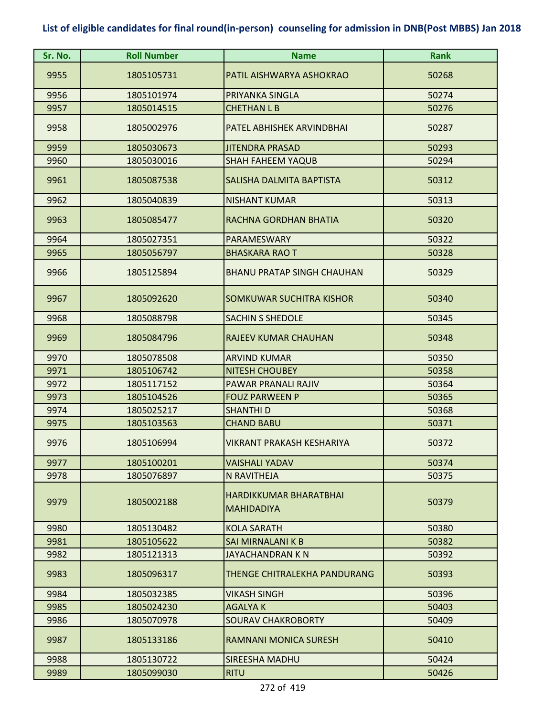| Sr. No. | <b>Roll Number</b> | <b>Name</b>                                        | <b>Rank</b> |
|---------|--------------------|----------------------------------------------------|-------------|
| 9955    | 1805105731         | PATIL AISHWARYA ASHOKRAO                           | 50268       |
| 9956    | 1805101974         | PRIYANKA SINGLA                                    | 50274       |
| 9957    | 1805014515         | <b>CHETHAN L B</b>                                 | 50276       |
| 9958    | 1805002976         | PATEL ABHISHEK ARVINDBHAI                          | 50287       |
| 9959    | 1805030673         | <b>JITENDRA PRASAD</b>                             | 50293       |
| 9960    | 1805030016         | <b>SHAH FAHEEM YAQUB</b>                           | 50294       |
| 9961    | 1805087538         | SALISHA DALMITA BAPTISTA                           | 50312       |
| 9962    | 1805040839         | <b>NISHANT KUMAR</b>                               | 50313       |
| 9963    | 1805085477         | RACHNA GORDHAN BHATIA                              | 50320       |
| 9964    | 1805027351         | <b>PARAMESWARY</b>                                 | 50322       |
| 9965    | 1805056797         | <b>BHASKARA RAO T</b>                              | 50328       |
| 9966    | 1805125894         | <b>BHANU PRATAP SINGH CHAUHAN</b>                  | 50329       |
| 9967    | 1805092620         | SOMKUWAR SUCHITRA KISHOR                           | 50340       |
| 9968    | 1805088798         | <b>SACHIN S SHEDOLE</b>                            | 50345       |
| 9969    | 1805084796         | <b>RAJEEV KUMAR CHAUHAN</b>                        | 50348       |
| 9970    | 1805078508         | <b>ARVIND KUMAR</b>                                | 50350       |
| 9971    | 1805106742         | <b>NITESH CHOUBEY</b>                              | 50358       |
| 9972    | 1805117152         | PAWAR PRANALI RAJIV                                | 50364       |
| 9973    | 1805104526         | <b>FOUZ PARWEEN P</b>                              | 50365       |
| 9974    | 1805025217         | <b>SHANTHI D</b>                                   | 50368       |
| 9975    | 1805103563         | <b>CHAND BABU</b>                                  | 50371       |
| 9976    | 1805106994         | VIKRANT PRAKASH KESHARIYA                          | 50372       |
| 9977    | 1805100201         | VAISHALI YADAV                                     | 50374       |
| 9978    | 1805076897         | N RAVITHEJA                                        | 50375       |
| 9979    | 1805002188         | <b>HARDIKKUMAR BHARATBHAI</b><br><b>MAHIDADIYA</b> | 50379       |
| 9980    | 1805130482         | <b>KOLA SARATH</b>                                 | 50380       |
| 9981    | 1805105622         | <b>SAI MIRNALANI K B</b>                           | 50382       |
| 9982    | 1805121313         | JAYACHANDRAN K N                                   | 50392       |
| 9983    | 1805096317         | THENGE CHITRALEKHA PANDURANG                       | 50393       |
| 9984    | 1805032385         | VIKASH SINGH                                       | 50396       |
| 9985    | 1805024230         | <b>AGALYAK</b>                                     | 50403       |
| 9986    | 1805070978         | <b>SOURAV CHAKROBORTY</b>                          | 50409       |
| 9987    | 1805133186         | <b>RAMNANI MONICA SURESH</b>                       | 50410       |
| 9988    | 1805130722         | SIREESHA MADHU                                     | 50424       |
| 9989    | 1805099030         | <b>RITU</b>                                        | 50426       |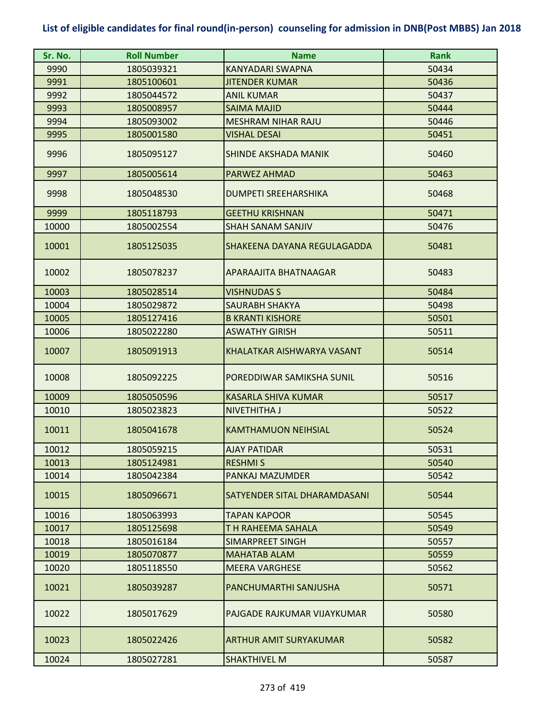| Sr. No. | <b>Roll Number</b> | <b>Name</b>                  | <b>Rank</b> |
|---------|--------------------|------------------------------|-------------|
| 9990    | 1805039321         | KANYADARI SWAPNA             | 50434       |
| 9991    | 1805100601         | <b>JITENDER KUMAR</b>        | 50436       |
| 9992    | 1805044572         | <b>ANIL KUMAR</b>            | 50437       |
| 9993    | 1805008957         | <b>SAIMA MAJID</b>           | 50444       |
| 9994    | 1805093002         | <b>MESHRAM NIHAR RAJU</b>    | 50446       |
| 9995    | 1805001580         | <b>VISHAL DESAI</b>          | 50451       |
| 9996    | 1805095127         | SHINDE AKSHADA MANIK         | 50460       |
| 9997    | 1805005614         | PARWEZ AHMAD                 | 50463       |
| 9998    | 1805048530         | <b>DUMPETI SREEHARSHIKA</b>  | 50468       |
| 9999    | 1805118793         | <b>GEETHU KRISHNAN</b>       | 50471       |
| 10000   | 1805002554         | <b>SHAH SANAM SANJIV</b>     | 50476       |
| 10001   | 1805125035         | SHAKEENA DAYANA REGULAGADDA  | 50481       |
| 10002   | 1805078237         | APARAAJITA BHATNAAGAR        | 50483       |
| 10003   | 1805028514         | <b>VISHNUDAS S</b>           | 50484       |
| 10004   | 1805029872         | <b>SAURABH SHAKYA</b>        | 50498       |
| 10005   | 1805127416         | <b>B KRANTI KISHORE</b>      | 50501       |
| 10006   | 1805022280         | <b>ASWATHY GIRISH</b>        | 50511       |
| 10007   | 1805091913         | KHALATKAR AISHWARYA VASANT   | 50514       |
| 10008   | 1805092225         | POREDDIWAR SAMIKSHA SUNIL    | 50516       |
| 10009   | 1805050596         | <b>KASARLA SHIVA KUMAR</b>   | 50517       |
| 10010   | 1805023823         | <b>NIVETHITHA J</b>          | 50522       |
| 10011   | 1805041678         | <b>KAMTHAMUON NEIHSIAL</b>   | 50524       |
| 10012   | 1805059215         | <b>AJAY PATIDAR</b>          | 50531       |
| 10013   | 1805124981         | <b>RESHMIS</b>               | 50540       |
| 10014   | 1805042384         | PANKAJ MAZUMDER              | 50542       |
| 10015   | 1805096671         | SATYENDER SITAL DHARAMDASANI | 50544       |
| 10016   | 1805063993         | <b>TAPAN KAPOOR</b>          | 50545       |
| 10017   | 1805125698         | T H RAHEEMA SAHALA           | 50549       |
| 10018   | 1805016184         | SIMARPREET SINGH             | 50557       |
| 10019   | 1805070877         | <b>MAHATAB ALAM</b>          | 50559       |
| 10020   | 1805118550         | <b>MEERA VARGHESE</b>        | 50562       |
| 10021   | 1805039287         | PANCHUMARTHI SANJUSHA        | 50571       |
| 10022   | 1805017629         | PAJGADE RAJKUMAR VIJAYKUMAR  | 50580       |
| 10023   | 1805022426         | ARTHUR AMIT SURYAKUMAR       | 50582       |
| 10024   | 1805027281         | <b>SHAKTHIVEL M</b>          | 50587       |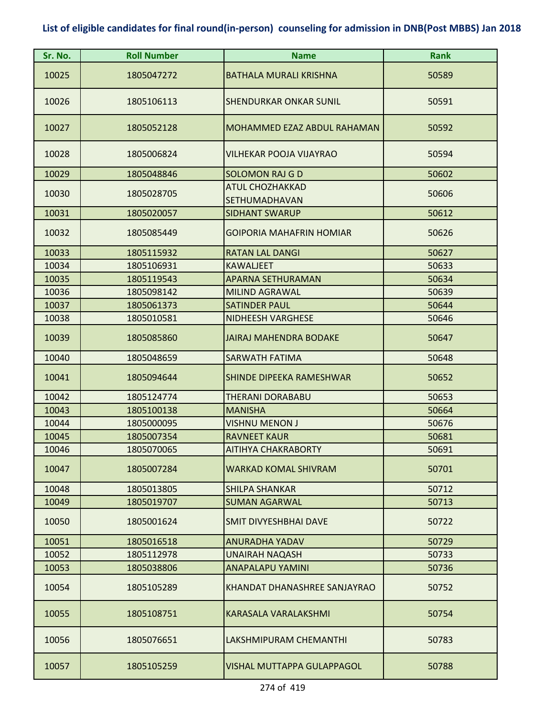| Sr. No. | <b>Roll Number</b> | <b>Name</b>                             | <b>Rank</b> |
|---------|--------------------|-----------------------------------------|-------------|
| 10025   | 1805047272         | <b>BATHALA MURALI KRISHNA</b>           | 50589       |
| 10026   | 1805106113         | <b>SHENDURKAR ONKAR SUNIL</b>           | 50591       |
| 10027   | 1805052128         | MOHAMMED EZAZ ABDUL RAHAMAN             | 50592       |
| 10028   | 1805006824         | <b>VILHEKAR POOJA VIJAYRAO</b>          | 50594       |
| 10029   | 1805048846         | <b>SOLOMON RAJ G D</b>                  | 50602       |
| 10030   | 1805028705         | <b>ATUL CHOZHAKKAD</b><br>SETHUMADHAVAN | 50606       |
| 10031   | 1805020057         | <b>SIDHANT SWARUP</b>                   | 50612       |
| 10032   | 1805085449         | <b>GOIPORIA MAHAFRIN HOMIAR</b>         | 50626       |
| 10033   | 1805115932         | <b>RATAN LAL DANGI</b>                  | 50627       |
| 10034   | 1805106931         | <b>KAWALJEET</b>                        | 50633       |
| 10035   | 1805119543         | <b>APARNA SETHURAMAN</b>                | 50634       |
| 10036   | 1805098142         | <b>MILIND AGRAWAL</b>                   | 50639       |
| 10037   | 1805061373         | <b>SATINDER PAUL</b>                    | 50644       |
| 10038   | 1805010581         | <b>NIDHEESH VARGHESE</b>                | 50646       |
| 10039   | 1805085860         | <b>JAIRAJ MAHENDRA BODAKE</b>           | 50647       |
| 10040   | 1805048659         | <b>SARWATH FATIMA</b>                   | 50648       |
| 10041   | 1805094644         | SHINDE DIPEEKA RAMESHWAR                | 50652       |
| 10042   | 1805124774         | <b>THERANI DORABABU</b>                 | 50653       |
| 10043   | 1805100138         | <b>MANISHA</b>                          | 50664       |
| 10044   | 1805000095         | <b>VISHNU MENON J</b>                   | 50676       |
| 10045   | 1805007354         | <b>RAVNEET KAUR</b>                     | 50681       |
| 10046   | 1805070065         | <b>AITIHYA CHAKRABORTY</b>              | 50691       |
| 10047   | 1805007284         | <b>WARKAD KOMAL SHIVRAM</b>             | 50701       |
| 10048   | 1805013805         | <b>SHILPA SHANKAR</b>                   | 50712       |
| 10049   | 1805019707         | <b>SUMAN AGARWAL</b>                    | 50713       |
| 10050   | 1805001624         | <b>SMIT DIVYESHBHAI DAVE</b>            | 50722       |
| 10051   | 1805016518         | <b>ANURADHA YADAV</b>                   | 50729       |
| 10052   | 1805112978         | <b>UNAIRAH NAQASH</b>                   | 50733       |
| 10053   | 1805038806         | <b>ANAPALAPU YAMINI</b>                 | 50736       |
| 10054   | 1805105289         | KHANDAT DHANASHREE SANJAYRAO            | 50752       |
| 10055   | 1805108751         | <b>KARASALA VARALAKSHMI</b>             | 50754       |
| 10056   | 1805076651         | LAKSHMIPURAM CHEMANTHI                  | 50783       |
| 10057   | 1805105259         | VISHAL MUTTAPPA GULAPPAGOL              | 50788       |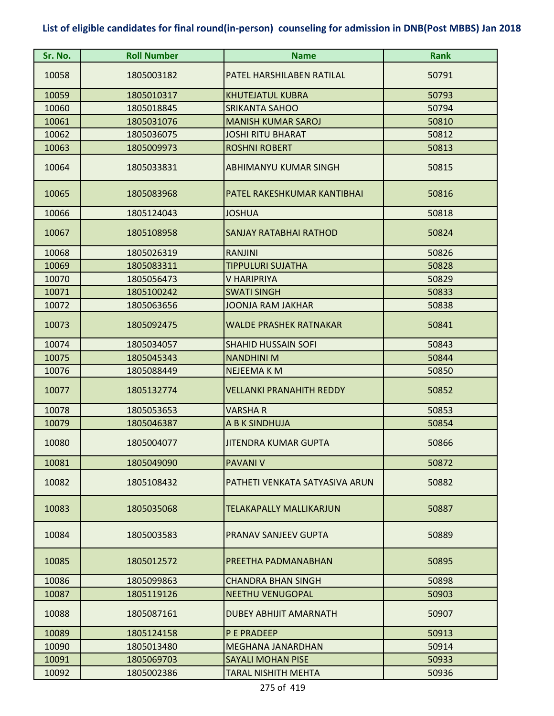| Sr. No. | <b>Roll Number</b> | <b>Name</b>                     | <b>Rank</b> |
|---------|--------------------|---------------------------------|-------------|
| 10058   | 1805003182         | PATEL HARSHILABEN RATILAL       | 50791       |
| 10059   | 1805010317         | <b>KHUTEJATUL KUBRA</b>         | 50793       |
| 10060   | 1805018845         | <b>SRIKANTA SAHOO</b>           | 50794       |
| 10061   | 1805031076         | <b>MANISH KUMAR SAROJ</b>       | 50810       |
| 10062   | 1805036075         | <b>JOSHI RITU BHARAT</b>        | 50812       |
| 10063   | 1805009973         | <b>ROSHNI ROBERT</b>            | 50813       |
| 10064   | 1805033831         | <b>ABHIMANYU KUMAR SINGH</b>    | 50815       |
| 10065   | 1805083968         | PATEL RAKESHKUMAR KANTIBHAI     | 50816       |
| 10066   | 1805124043         | <b>JOSHUA</b>                   | 50818       |
| 10067   | 1805108958         | <b>SANJAY RATABHAI RATHOD</b>   | 50824       |
| 10068   | 1805026319         | <b>RANJINI</b>                  | 50826       |
| 10069   | 1805083311         | <b>TIPPULURI SUJATHA</b>        | 50828       |
| 10070   | 1805056473         | V HARIPRIYA                     | 50829       |
| 10071   | 1805100242         | <b>SWATI SINGH</b>              | 50833       |
| 10072   | 1805063656         | <b>JOONJA RAM JAKHAR</b>        | 50838       |
| 10073   | 1805092475         | <b>WALDE PRASHEK RATNAKAR</b>   | 50841       |
| 10074   | 1805034057         | <b>SHAHID HUSSAIN SOFI</b>      | 50843       |
| 10075   | 1805045343         | <b>NANDHINI M</b>               | 50844       |
| 10076   | 1805088449         | NEJEEMA K M                     | 50850       |
| 10077   | 1805132774         | <b>VELLANKI PRANAHITH REDDY</b> | 50852       |
| 10078   | 1805053653         | <b>VARSHAR</b>                  | 50853       |
| 10079   | 1805046387         | A B K SINDHUJA                  | 50854       |
| 10080   | 1805004077         | JITENDRA KUMAR GUPTA            | 50866       |
| 10081   | 1805049090         | <b>PAVANI V</b>                 | 50872       |
| 10082   | 1805108432         | PATHETI VENKATA SATYASIVA ARUN  | 50882       |
| 10083   | 1805035068         | <b>TELAKAPALLY MALLIKARJUN</b>  | 50887       |
| 10084   | 1805003583         | PRANAV SANJEEV GUPTA            | 50889       |
| 10085   | 1805012572         | PREETHA PADMANABHAN             | 50895       |
| 10086   | 1805099863         | <b>CHANDRA BHAN SINGH</b>       | 50898       |
| 10087   | 1805119126         | <b>NEETHU VENUGOPAL</b>         | 50903       |
| 10088   | 1805087161         | <b>DUBEY ABHIJIT AMARNATH</b>   | 50907       |
| 10089   | 1805124158         | P E PRADEEP                     | 50913       |
| 10090   | 1805013480         | <b>MEGHANA JANARDHAN</b>        | 50914       |
| 10091   | 1805069703         | <b>SAYALI MOHAN PISE</b>        | 50933       |
| 10092   | 1805002386         | TARAL NISHITH MEHTA             | 50936       |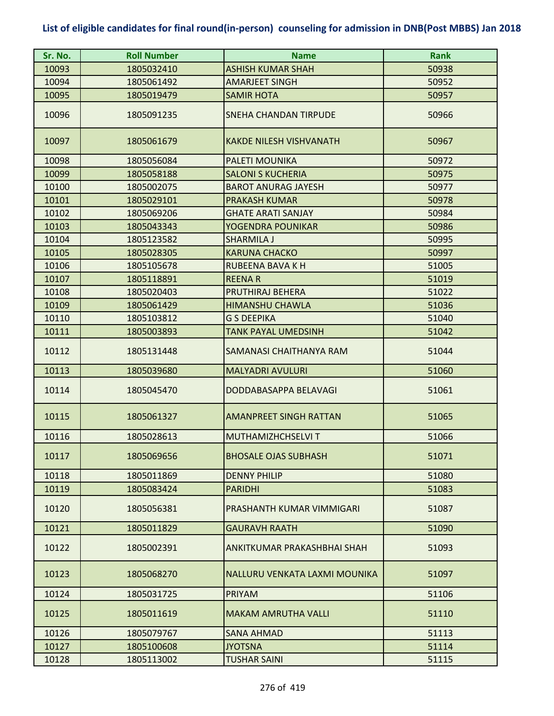| Sr. No. | <b>Roll Number</b> | <b>Name</b>                    | <b>Rank</b> |
|---------|--------------------|--------------------------------|-------------|
| 10093   | 1805032410         | <b>ASHISH KUMAR SHAH</b>       | 50938       |
| 10094   | 1805061492         | <b>AMARJEET SINGH</b>          | 50952       |
| 10095   | 1805019479         | <b>SAMIR HOTA</b>              | 50957       |
| 10096   | 1805091235         | <b>SNEHA CHANDAN TIRPUDE</b>   | 50966       |
| 10097   | 1805061679         | <b>KAKDE NILESH VISHVANATH</b> | 50967       |
| 10098   | 1805056084         | PALETI MOUNIKA                 | 50972       |
| 10099   | 1805058188         | <b>SALONI S KUCHERIA</b>       | 50975       |
| 10100   | 1805002075         | <b>BAROT ANURAG JAYESH</b>     | 50977       |
| 10101   | 1805029101         | <b>PRAKASH KUMAR</b>           | 50978       |
| 10102   | 1805069206         | <b>GHATE ARATI SANJAY</b>      | 50984       |
| 10103   | 1805043343         | YOGENDRA POUNIKAR              | 50986       |
| 10104   | 1805123582         | <b>SHARMILA J</b>              | 50995       |
| 10105   | 1805028305         | <b>KARUNA CHACKO</b>           | 50997       |
| 10106   | 1805105678         | <b>RUBEENA BAVA K H</b>        | 51005       |
| 10107   | 1805118891         | <b>REENAR</b>                  | 51019       |
| 10108   | 1805020403         | <b>PRUTHIRAJ BEHERA</b>        | 51022       |
| 10109   | 1805061429         | <b>HIMANSHU CHAWLA</b>         | 51036       |
| 10110   | 1805103812         | <b>G S DEEPIKA</b>             | 51040       |
| 10111   | 1805003893         | <b>TANK PAYAL UMEDSINH</b>     | 51042       |
| 10112   | 1805131448         | SAMANASI CHAITHANYA RAM        | 51044       |
| 10113   | 1805039680         | <b>MALYADRI AVULURI</b>        | 51060       |
| 10114   | 1805045470         | DODDABASAPPA BELAVAGI          | 51061       |
| 10115   | 1805061327         | <b>AMANPREET SINGH RATTAN</b>  | 51065       |
| 10116   | 1805028613         | <b>MUTHAMIZHCHSELVI T</b>      | 51066       |
| 10117   | 1805069656         | <b>BHOSALE OJAS SUBHASH</b>    | 51071       |
| 10118   | 1805011869         | <b>DENNY PHILIP</b>            | 51080       |
| 10119   | 1805083424         | <b>PARIDHI</b>                 | 51083       |
| 10120   | 1805056381         | PRASHANTH KUMAR VIMMIGARI      | 51087       |
| 10121   | 1805011829         | <b>GAURAVH RAATH</b>           | 51090       |
| 10122   | 1805002391         | ANKITKUMAR PRAKASHBHAI SHAH    | 51093       |
| 10123   | 1805068270         | NALLURU VENKATA LAXMI MOUNIKA  | 51097       |
| 10124   | 1805031725         | PRIYAM                         | 51106       |
| 10125   | 1805011619         | <b>MAKAM AMRUTHA VALLI</b>     | 51110       |
| 10126   | 1805079767         | <b>SANA AHMAD</b>              | 51113       |
| 10127   | 1805100608         | <b>JYOTSNA</b>                 | 51114       |
| 10128   | 1805113002         | TUSHAR SAINI                   | 51115       |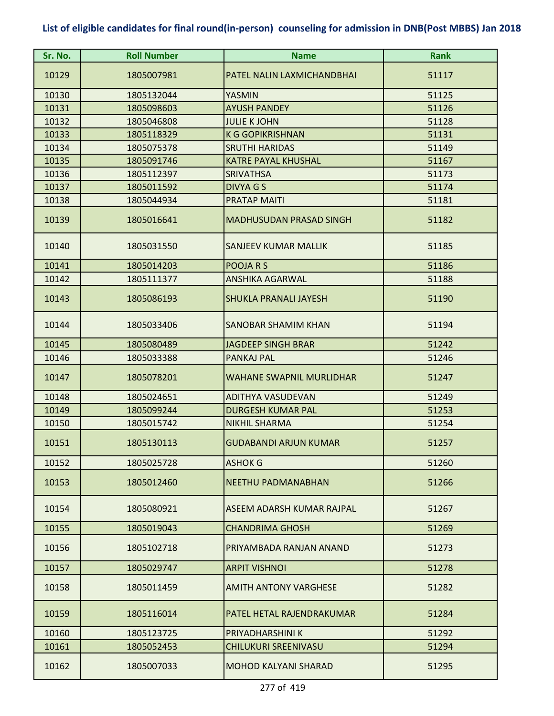| Sr. No. | <b>Roll Number</b> | <b>Name</b>                     | <b>Rank</b> |
|---------|--------------------|---------------------------------|-------------|
| 10129   | 1805007981         | PATEL NALIN LAXMICHANDBHAI      | 51117       |
| 10130   | 1805132044         | <b>YASMIN</b>                   | 51125       |
| 10131   | 1805098603         | <b>AYUSH PANDEY</b>             | 51126       |
| 10132   | 1805046808         | <b>JULIE K JOHN</b>             | 51128       |
| 10133   | 1805118329         | <b>K G GOPIKRISHNAN</b>         | 51131       |
| 10134   | 1805075378         | <b>SRUTHI HARIDAS</b>           | 51149       |
| 10135   | 1805091746         | <b>KATRE PAYAL KHUSHAL</b>      | 51167       |
| 10136   | 1805112397         | <b>SRIVATHSA</b>                | 51173       |
| 10137   | 1805011592         | DIVYA G S                       | 51174       |
| 10138   | 1805044934         | <b>PRATAP MAITI</b>             | 51181       |
| 10139   | 1805016641         | <b>MADHUSUDAN PRASAD SINGH</b>  | 51182       |
| 10140   | 1805031550         | <b>SANJEEV KUMAR MALLIK</b>     | 51185       |
| 10141   | 1805014203         | POOJA R S                       | 51186       |
| 10142   | 1805111377         | <b>ANSHIKA AGARWAL</b>          | 51188       |
| 10143   | 1805086193         | <b>SHUKLA PRANALI JAYESH</b>    | 51190       |
| 10144   | 1805033406         | SANOBAR SHAMIM KHAN             | 51194       |
| 10145   | 1805080489         | <b>JAGDEEP SINGH BRAR</b>       | 51242       |
| 10146   | 1805033388         | PANKAJ PAL                      | 51246       |
| 10147   | 1805078201         | <b>WAHANE SWAPNIL MURLIDHAR</b> | 51247       |
| 10148   | 1805024651         | <b>ADITHYA VASUDEVAN</b>        | 51249       |
| 10149   | 1805099244         | <b>DURGESH KUMAR PAL</b>        | 51253       |
| 10150   | 1805015742         | <b>NIKHIL SHARMA</b>            | 51254       |
| 10151   | 1805130113         | <b>GUDABANDI ARJUN KUMAR</b>    | 51257       |
| 10152   | 1805025728         | <b>ASHOK G</b>                  | 51260       |
| 10153   | 1805012460         | <b>NEETHU PADMANABHAN</b>       | 51266       |
| 10154   | 1805080921         | ASEEM ADARSH KUMAR RAJPAL       | 51267       |
| 10155   | 1805019043         | <b>CHANDRIMA GHOSH</b>          | 51269       |
| 10156   | 1805102718         | PRIYAMBADA RANJAN ANAND         | 51273       |
| 10157   | 1805029747         | <b>ARPIT VISHNOI</b>            | 51278       |
| 10158   | 1805011459         | <b>AMITH ANTONY VARGHESE</b>    | 51282       |
| 10159   | 1805116014         | PATEL HETAL RAJENDRAKUMAR       | 51284       |
| 10160   | 1805123725         | PRIYADHARSHINI K                | 51292       |
| 10161   | 1805052453         | <b>CHILUKURI SREENIVASU</b>     | 51294       |
| 10162   | 1805007033         | <b>MOHOD KALYANI SHARAD</b>     | 51295       |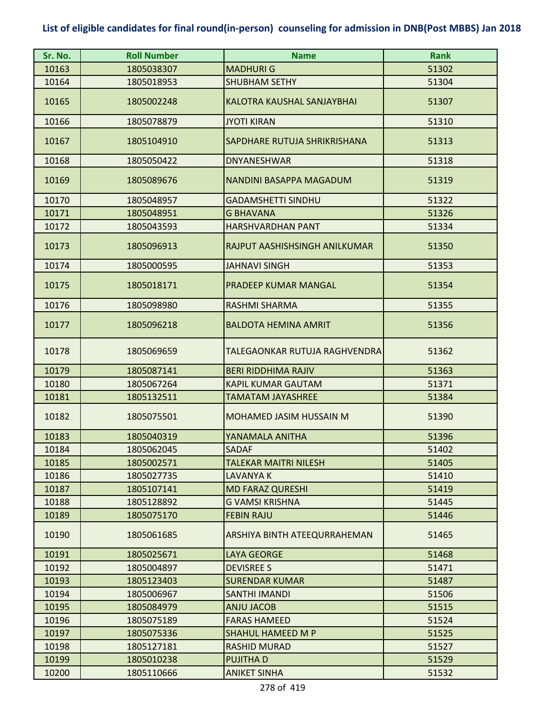| Sr. No. | <b>Roll Number</b> | <b>Name</b>                    | <b>Rank</b> |
|---------|--------------------|--------------------------------|-------------|
| 10163   | 1805038307         | <b>MADHURI G</b>               | 51302       |
| 10164   | 1805018953         | <b>SHUBHAM SETHY</b>           | 51304       |
| 10165   | 1805002248         | KALOTRA KAUSHAL SANJAYBHAI     | 51307       |
| 10166   | 1805078879         | <b>JYOTI KIRAN</b>             | 51310       |
| 10167   | 1805104910         | SAPDHARE RUTUJA SHRIKRISHANA   | 51313       |
| 10168   | 1805050422         | <b>DNYANESHWAR</b>             | 51318       |
| 10169   | 1805089676         | <b>NANDINI BASAPPA MAGADUM</b> | 51319       |
| 10170   | 1805048957         | <b>GADAMSHETTI SINDHU</b>      | 51322       |
| 10171   | 1805048951         | <b>G BHAVANA</b>               | 51326       |
| 10172   | 1805043593         | <b>HARSHVARDHAN PANT</b>       | 51334       |
| 10173   | 1805096913         | RAJPUT AASHISHSINGH ANILKUMAR  | 51350       |
| 10174   | 1805000595         | <b>JAHNAVI SINGH</b>           | 51353       |
| 10175   | 1805018171         | <b>PRADEEP KUMAR MANGAL</b>    | 51354       |
| 10176   | 1805098980         | <b>RASHMI SHARMA</b>           | 51355       |
| 10177   | 1805096218         | <b>BALDOTA HEMINA AMRIT</b>    | 51356       |
| 10178   | 1805069659         | TALEGAONKAR RUTUJA RAGHVENDRA  | 51362       |
| 10179   | 1805087141         | <b>BERI RIDDHIMA RAJIV</b>     | 51363       |
| 10180   | 1805067264         | <b>KAPIL KUMAR GAUTAM</b>      | 51371       |
| 10181   | 1805132511         | <b>TAMATAM JAYASHREE</b>       | 51384       |
| 10182   | 1805075501         | <b>MOHAMED JASIM HUSSAIN M</b> | 51390       |
| 10183   | 1805040319         | YANAMALA ANITHA                | 51396       |
| 10184   | 1805062045         | <b>SADAF</b>                   | 51402       |
| 10185   | 1805002571         | <b>TALEKAR MAITRI NILESH</b>   | 51405       |
| 10186   | 1805027735         | LAVANYA K                      | 51410       |
| 10187   | 1805107141         | <b>MD FARAZ QURESHI</b>        | 51419       |
| 10188   | 1805128892         | <b>G VAMSI KRISHNA</b>         | 51445       |
| 10189   | 1805075170         | <b>FEBIN RAJU</b>              | 51446       |
| 10190   | 1805061685         | ARSHIYA BINTH ATEEQURRAHEMAN   | 51465       |
| 10191   | 1805025671         | <b>LAYA GEORGE</b>             | 51468       |
| 10192   | 1805004897         | <b>DEVISREE S</b>              | 51471       |
| 10193   | 1805123403         | <b>SURENDAR KUMAR</b>          | 51487       |
| 10194   | 1805006967         | <b>SANTHI IMANDI</b>           | 51506       |
| 10195   | 1805084979         | <b>ANJU JACOB</b>              | 51515       |
| 10196   | 1805075189         | <b>FARAS HAMEED</b>            | 51524       |
| 10197   | 1805075336         | <b>SHAHUL HAMEED M P</b>       | 51525       |
| 10198   | 1805127181         | <b>RASHID MURAD</b>            | 51527       |
| 10199   | 1805010238         | <b>PUJITHAD</b>                | 51529       |
| 10200   | 1805110666         | <b>ANIKET SINHA</b>            | 51532       |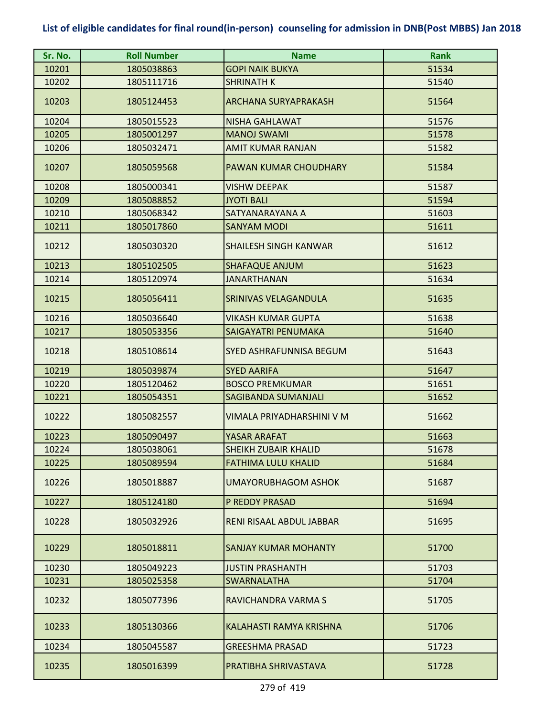| Sr. No. | <b>Roll Number</b> | <b>Name</b>                    | <b>Rank</b> |
|---------|--------------------|--------------------------------|-------------|
| 10201   | 1805038863         | <b>GOPI NAIK BUKYA</b>         | 51534       |
| 10202   | 1805111716         | <b>SHRINATH K</b>              | 51540       |
| 10203   | 1805124453         | <b>ARCHANA SURYAPRAKASH</b>    | 51564       |
| 10204   | 1805015523         | <b>NISHA GAHLAWAT</b>          | 51576       |
| 10205   | 1805001297         | <b>MANOJ SWAMI</b>             | 51578       |
| 10206   | 1805032471         | <b>AMIT KUMAR RANJAN</b>       | 51582       |
| 10207   | 1805059568         | PAWAN KUMAR CHOUDHARY          | 51584       |
| 10208   | 1805000341         | <b>VISHW DEEPAK</b>            | 51587       |
| 10209   | 1805088852         | <b>JYOTI BALI</b>              | 51594       |
| 10210   | 1805068342         | SATYANARAYANA A                | 51603       |
| 10211   | 1805017860         | <b>SANYAM MODI</b>             | 51611       |
| 10212   | 1805030320         | <b>SHAILESH SINGH KANWAR</b>   | 51612       |
| 10213   | 1805102505         | <b>SHAFAQUE ANJUM</b>          | 51623       |
| 10214   | 1805120974         | <b>JANARTHANAN</b>             | 51634       |
| 10215   | 1805056411         | SRINIVAS VELAGANDULA           | 51635       |
| 10216   | 1805036640         | VIKASH KUMAR GUPTA             | 51638       |
| 10217   | 1805053356         | SAIGAYATRI PENUMAKA            | 51640       |
| 10218   | 1805108614         | <b>SYED ASHRAFUNNISA BEGUM</b> | 51643       |
| 10219   | 1805039874         | <b>SYED AARIFA</b>             | 51647       |
| 10220   | 1805120462         | <b>BOSCO PREMKUMAR</b>         | 51651       |
| 10221   | 1805054351         | <b>SAGIBANDA SUMANJALI</b>     | 51652       |
| 10222   | 1805082557         | VIMALA PRIYADHARSHINI V M      | 51662       |
| 10223   | 1805090497         | YASAR ARAFAT                   | 51663       |
| 10224   | 1805038061         | <b>SHFIKH ZUBAIR KHALID</b>    | 51678       |
| 10225   | 1805089594         | FATHIMA LULU KHALID            | 51684       |
| 10226   | 1805018887         | UMAYORUBHAGOM ASHOK            | 51687       |
| 10227   | 1805124180         | P REDDY PRASAD                 | 51694       |
| 10228   | 1805032926         | RENI RISAAL ABDUL JABBAR       | 51695       |
| 10229   | 1805018811         | SANJAY KUMAR MOHANTY           | 51700       |
| 10230   | 1805049223         | <b>JUSTIN PRASHANTH</b>        | 51703       |
| 10231   | 1805025358         | <b>SWARNALATHA</b>             | 51704       |
| 10232   | 1805077396         | RAVICHANDRA VARMA S            | 51705       |
| 10233   | 1805130366         | KALAHASTI RAMYA KRISHNA        | 51706       |
| 10234   | 1805045587         | <b>GREESHMA PRASAD</b>         | 51723       |
| 10235   | 1805016399         | PRATIBHA SHRIVASTAVA           | 51728       |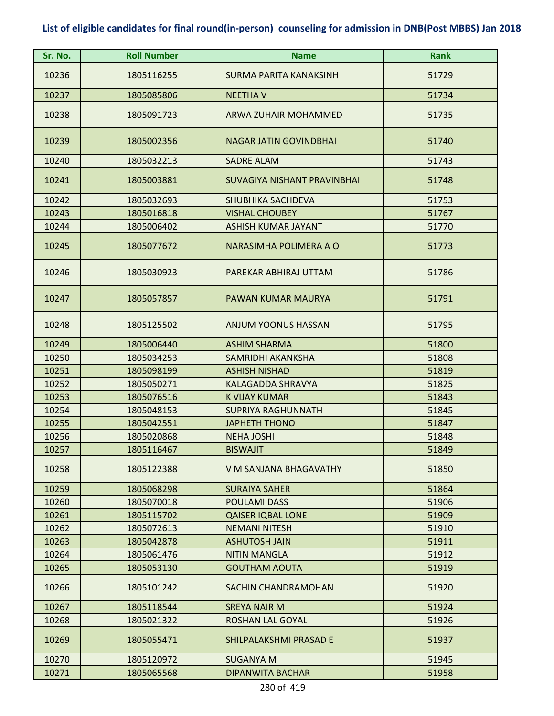| Sr. No. | <b>Roll Number</b> | <b>Name</b>                   | <b>Rank</b> |
|---------|--------------------|-------------------------------|-------------|
| 10236   | 1805116255         | <b>SURMA PARITA KANAKSINH</b> | 51729       |
| 10237   | 1805085806         | <b>NEETHAV</b>                | 51734       |
| 10238   | 1805091723         | <b>ARWA ZUHAIR MOHAMMED</b>   | 51735       |
| 10239   | 1805002356         | <b>NAGAR JATIN GOVINDBHAI</b> | 51740       |
| 10240   | 1805032213         | <b>SADRE ALAM</b>             | 51743       |
| 10241   | 1805003881         | SUVAGIYA NISHANT PRAVINBHAI   | 51748       |
| 10242   | 1805032693         | <b>SHUBHIKA SACHDEVA</b>      | 51753       |
| 10243   | 1805016818         | <b>VISHAL CHOUBEY</b>         | 51767       |
| 10244   | 1805006402         | <b>ASHISH KUMAR JAYANT</b>    | 51770       |
| 10245   | 1805077672         | NARASIMHA POLIMERA A O        | 51773       |
| 10246   | 1805030923         | PAREKAR ABHIRAJ UTTAM         | 51786       |
| 10247   | 1805057857         | PAWAN KUMAR MAURYA            | 51791       |
| 10248   | 1805125502         | <b>ANJUM YOONUS HASSAN</b>    | 51795       |
| 10249   | 1805006440         | <b>ASHIM SHARMA</b>           | 51800       |
| 10250   | 1805034253         | SAMRIDHI AKANKSHA             | 51808       |
| 10251   | 1805098199         | <b>ASHISH NISHAD</b>          | 51819       |
| 10252   | 1805050271         | KALAGADDA SHRAVYA             | 51825       |
| 10253   | 1805076516         | <b>K VIJAY KUMAR</b>          | 51843       |
| 10254   | 1805048153         | <b>SUPRIYA RAGHUNNATH</b>     | 51845       |
| 10255   | 1805042551         | <b>JAPHETH THONO</b>          | 51847       |
| 10256   | 1805020868         | <b>NEHA JOSHI</b>             | 51848       |
| 10257   | 1805116467         | <b>BISWAJIT</b>               | 51849       |
| 10258   | 1805122388         | V M SANJANA BHAGAVATHY        | 51850       |
| 10259   | 1805068298         | <b>SURAIYA SAHER</b>          | 51864       |
| 10260   | 1805070018         | <b>POULAMI DASS</b>           | 51906       |
| 10261   | 1805115702         | <b>QAISER IQBAL LONE</b>      | 51909       |
| 10262   | 1805072613         | <b>NEMANI NITESH</b>          | 51910       |
| 10263   | 1805042878         | <b>ASHUTOSH JAIN</b>          | 51911       |
| 10264   | 1805061476         | <b>NITIN MANGLA</b>           | 51912       |
| 10265   | 1805053130         | <b>GOUTHAM AOUTA</b>          | 51919       |
| 10266   | 1805101242         | SACHIN CHANDRAMOHAN           | 51920       |
| 10267   | 1805118544         | <b>SREYA NAIR M</b>           | 51924       |
| 10268   | 1805021322         | ROSHAN LAL GOYAL              | 51926       |
| 10269   | 1805055471         | SHILPALAKSHMI PRASAD E        | 51937       |
| 10270   | 1805120972         | <b>SUGANYA M</b>              | 51945       |
| 10271   | 1805065568         | <b>DIPANWITA BACHAR</b>       | 51958       |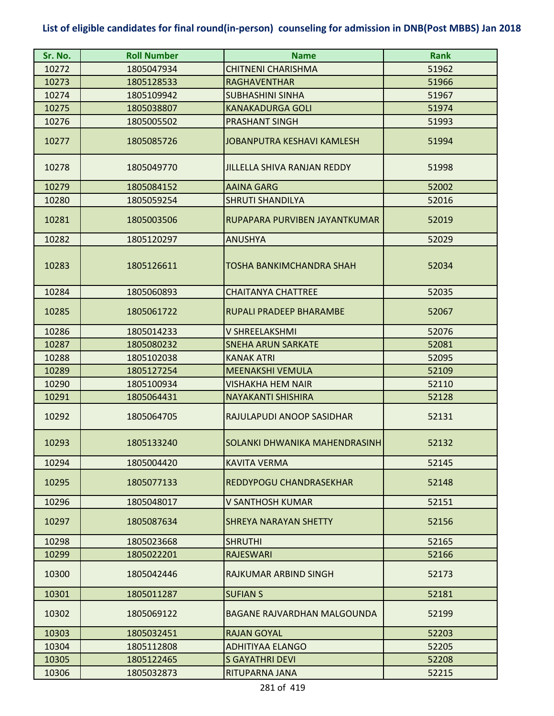| Sr. No. | <b>Roll Number</b> | <b>Name</b>                        | <b>Rank</b> |
|---------|--------------------|------------------------------------|-------------|
| 10272   | 1805047934         | CHITNENI CHARISHMA                 | 51962       |
| 10273   | 1805128533         | <b>RAGHAVENTHAR</b>                | 51966       |
| 10274   | 1805109942         | <b>SUBHASHINI SINHA</b>            | 51967       |
| 10275   | 1805038807         | <b>KANAKADURGA GOLI</b>            | 51974       |
| 10276   | 1805005502         | <b>PRASHANT SINGH</b>              | 51993       |
| 10277   | 1805085726         | <b>JOBANPUTRA KESHAVI KAMLESH</b>  | 51994       |
| 10278   | 1805049770         | <b>JILLELLA SHIVA RANJAN REDDY</b> | 51998       |
| 10279   | 1805084152         | <b>AAINA GARG</b>                  | 52002       |
| 10280   | 1805059254         | <b>SHRUTI SHANDILYA</b>            | 52016       |
| 10281   | 1805003506         | RUPAPARA PURVIBEN JAYANTKUMAR      | 52019       |
| 10282   | 1805120297         | <b>ANUSHYA</b>                     | 52029       |
| 10283   | 1805126611         | TOSHA BANKIMCHANDRA SHAH           | 52034       |
| 10284   | 1805060893         | <b>CHAITANYA CHATTREE</b>          | 52035       |
| 10285   | 1805061722         | RUPALI PRADEEP BHARAMBE            | 52067       |
| 10286   | 1805014233         | V SHREELAKSHMI                     | 52076       |
| 10287   | 1805080232         | <b>SNEHA ARUN SARKATE</b>          | 52081       |
| 10288   | 1805102038         | <b>KANAK ATRI</b>                  | 52095       |
| 10289   | 1805127254         | <b>MEENAKSHI VEMULA</b>            | 52109       |
| 10290   | 1805100934         | VISHAKHA HEM NAIR                  | 52110       |
| 10291   | 1805064431         | <b>NAYAKANTI SHISHIRA</b>          | 52128       |
| 10292   | 1805064705         | RAJULAPUDI ANOOP SASIDHAR          | 52131       |
| 10293   | 1805133240         | SOLANKI DHWANIKA MAHENDRASINH      | 52132       |
| 10294   | 1805004420         | <b>KAVITA VERMA</b>                | 52145       |
| 10295   | 1805077133         | REDDYPOGU CHANDRASEKHAR            | 52148       |
| 10296   | 1805048017         | V SANTHOSH KUMAR                   | 52151       |
| 10297   | 1805087634         | <b>SHREYA NARAYAN SHETTY</b>       | 52156       |
| 10298   | 1805023668         | <b>SHRUTHI</b>                     | 52165       |
| 10299   | 1805022201         | <b>RAJESWARI</b>                   | 52166       |
| 10300   | 1805042446         | RAJKUMAR ARBIND SINGH              | 52173       |
| 10301   | 1805011287         | <b>SUFIAN S</b>                    | 52181       |
| 10302   | 1805069122         | <b>BAGANE RAJVARDHAN MALGOUNDA</b> | 52199       |
| 10303   | 1805032451         | <b>RAJAN GOYAL</b>                 | 52203       |
| 10304   | 1805112808         | <b>ADHITIYAA ELANGO</b>            | 52205       |
| 10305   | 1805122465         | <b>S GAYATHRI DEVI</b>             | 52208       |
| 10306   | 1805032873         | RITUPARNA JANA                     | 52215       |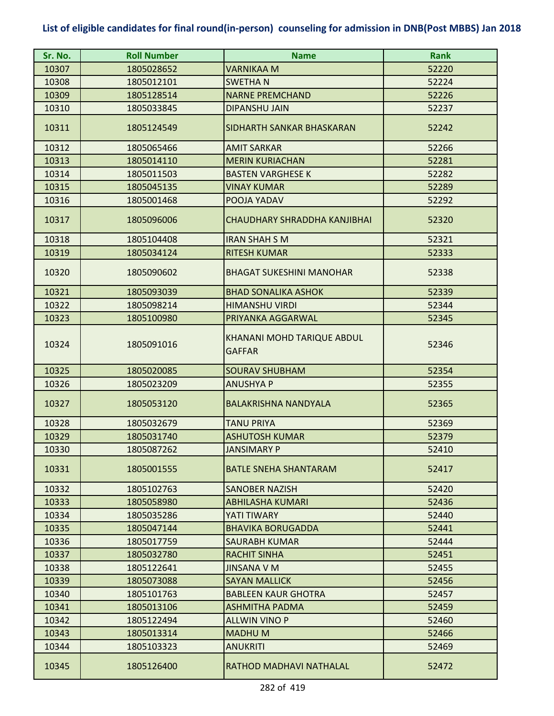| Sr. No. | <b>Roll Number</b> | <b>Name</b>                                 | <b>Rank</b> |
|---------|--------------------|---------------------------------------------|-------------|
| 10307   | 1805028652         | <b>VARNIKAA M</b>                           | 52220       |
| 10308   | 1805012101         | <b>SWETHAN</b>                              | 52224       |
| 10309   | 1805128514         | <b>NARNE PREMCHAND</b>                      | 52226       |
| 10310   | 1805033845         | <b>DIPANSHU JAIN</b>                        | 52237       |
| 10311   | 1805124549         | SIDHARTH SANKAR BHASKARAN                   | 52242       |
| 10312   | 1805065466         | <b>AMIT SARKAR</b>                          | 52266       |
| 10313   | 1805014110         | <b>MERIN KURIACHAN</b>                      | 52281       |
| 10314   | 1805011503         | <b>BASTEN VARGHESE K</b>                    | 52282       |
| 10315   | 1805045135         | <b>VINAY KUMAR</b>                          | 52289       |
| 10316   | 1805001468         | POOJA YADAV                                 | 52292       |
| 10317   | 1805096006         | CHAUDHARY SHRADDHA KANJIBHAI                | 52320       |
| 10318   | 1805104408         | <b>IRAN SHAH S M</b>                        | 52321       |
| 10319   | 1805034124         | <b>RITESH KUMAR</b>                         | 52333       |
| 10320   | 1805090602         | <b>BHAGAT SUKESHINI MANOHAR</b>             | 52338       |
| 10321   | 1805093039         | <b>BHAD SONALIKA ASHOK</b>                  | 52339       |
| 10322   | 1805098214         | <b>HIMANSHU VIRDI</b>                       | 52344       |
| 10323   | 1805100980         | PRIYANKA AGGARWAL                           | 52345       |
| 10324   | 1805091016         | KHANANI MOHD TARIQUE ABDUL<br><b>GAFFAR</b> | 52346       |
| 10325   | 1805020085         | <b>SOURAV SHUBHAM</b>                       | 52354       |
| 10326   | 1805023209         | <b>ANUSHYA P</b>                            | 52355       |
| 10327   | 1805053120         | <b>BALAKRISHNA NANDYALA</b>                 | 52365       |
| 10328   | 1805032679         | <b>TANU PRIYA</b>                           | 52369       |
| 10329   | 1805031740         | <b>ASHUTOSH KUMAR</b>                       | 52379       |
| 10330   | 1805087262         | <b>JANSIMARY P</b>                          | 52410       |
| 10331   | 1805001555         | <b>BATLE SNEHA SHANTARAM</b>                | 52417       |
| 10332   | 1805102763         | <b>SANOBER NAZISH</b>                       | 52420       |
| 10333   | 1805058980         | <b>ABHILASHA KUMARI</b>                     | 52436       |
| 10334   | 1805035286         | YATI TIWARY                                 | 52440       |
| 10335   | 1805047144         | <b>BHAVIKA BORUGADDA</b>                    | 52441       |
| 10336   | 1805017759         | SAURABH KUMAR                               | 52444       |
| 10337   | 1805032780         | <b>RACHIT SINHA</b>                         | 52451       |
| 10338   | 1805122641         | <b>JINSANA V M</b>                          | 52455       |
| 10339   | 1805073088         | <b>SAYAN MALLICK</b>                        | 52456       |
| 10340   | 1805101763         | <b>BABLEEN KAUR GHOTRA</b>                  | 52457       |
| 10341   | 1805013106         | ASHMITHA PADMA                              | 52459       |
| 10342   | 1805122494         | <b>ALLWIN VINO P</b>                        | 52460       |
| 10343   | 1805013314         | <b>MADHUM</b>                               | 52466       |
| 10344   | 1805103323         | <b>ANUKRITI</b>                             | 52469       |
| 10345   | 1805126400         | RATHOD MADHAVI NATHALAL                     | 52472       |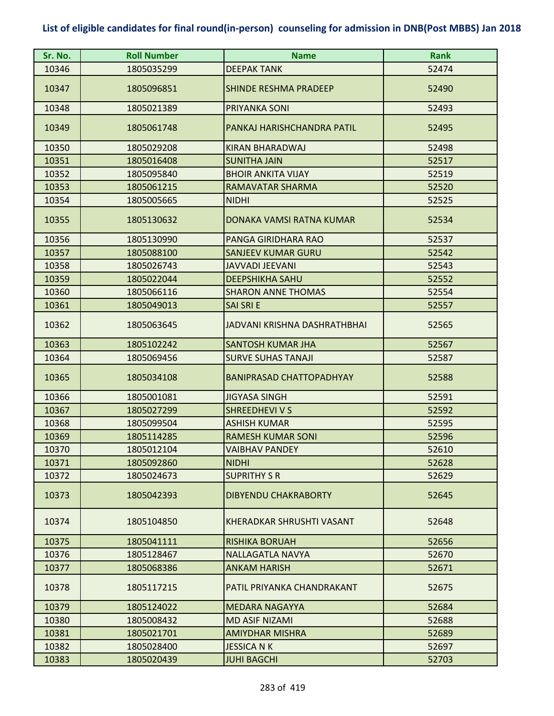| Sr. No. | <b>Roll Number</b> | <b>Name</b>                      | <b>Rank</b> |
|---------|--------------------|----------------------------------|-------------|
| 10346   | 1805035299         | <b>DEEPAK TANK</b>               | 52474       |
| 10347   | 1805096851         | <b>SHINDE RESHMA PRADEEP</b>     | 52490       |
| 10348   | 1805021389         | PRIYANKA SONI                    | 52493       |
| 10349   | 1805061748         | PANKAJ HARISHCHANDRA PATIL       | 52495       |
| 10350   | 1805029208         | KIRAN BHARADWAJ                  | 52498       |
| 10351   | 1805016408         | <b>SUNITHA JAIN</b>              | 52517       |
| 10352   | 1805095840         | <b>BHOIR ANKITA VIJAY</b>        | 52519       |
| 10353   | 1805061215         | RAMAVATAR SHARMA                 | 52520       |
| 10354   | 1805005665         | <b>NIDHI</b>                     | 52525       |
| 10355   | 1805130632         | DONAKA VAMSI RATNA KUMAR         | 52534       |
| 10356   | 1805130990         | PANGA GIRIDHARA RAO              | 52537       |
| 10357   | 1805088100         | <b>SANJEEV KUMAR GURU</b>        | 52542       |
| 10358   | 1805026743         | <b>JAVVADI JEEVANI</b>           | 52543       |
| 10359   | 1805022044         | <b>DEEPSHIKHA SAHU</b>           | 52552       |
| 10360   | 1805066116         | <b>SHARON ANNE THOMAS</b>        | 52554       |
| 10361   | 1805049013         | <b>SAI SRI E</b>                 | 52557       |
| 10362   | 1805063645         | JADVANI KRISHNA DASHRATHBHAI     | 52565       |
| 10363   | 1805102242         | <b>SANTOSH KUMAR JHA</b>         | 52567       |
| 10364   | 1805069456         | <b>SURVE SUHAS TANAJI</b>        | 52587       |
| 10365   | 1805034108         | <b>BANIPRASAD CHATTOPADHYAY</b>  | 52588       |
| 10366   | 1805001081         | <b>JIGYASA SINGH</b>             | 52591       |
| 10367   | 1805027299         | <b>SHREEDHEVI V S</b>            | 52592       |
| 10368   | 1805099504         | <b>ASHISH KUMAR</b>              | 52595       |
| 10369   | 1805114285         | <b>RAMESH KUMAR SONI</b>         | 52596       |
| 10370   | 1805012104         | <b>VAIBHAV PANDEY</b>            | 52610       |
| 10371   | 1805092860         | <b>NIDHI</b>                     | 52628       |
| 10372   | 1805024673         | <b>SUPRITHY S R</b>              | 52629       |
| 10373   | 1805042393         | <b>DIBYENDU CHAKRABORTY</b>      | 52645       |
| 10374   | 1805104850         | <b>KHERADKAR SHRUSHTI VASANT</b> | 52648       |
| 10375   | 1805041111         | <b>RISHIKA BORUAH</b>            | 52656       |
| 10376   | 1805128467         | NALLAGATLA NAVYA                 | 52670       |
| 10377   | 1805068386         | ANKAM HARISH                     | 52671       |
| 10378   | 1805117215         | PATIL PRIYANKA CHANDRAKANT       | 52675       |
| 10379   | 1805124022         | <b>MEDARA NAGAYYA</b>            | 52684       |
| 10380   | 1805008432         | <b>MD ASIF NIZAMI</b>            | 52688       |
| 10381   | 1805021701         | AMIYDHAR MISHRA                  | 52689       |
| 10382   | 1805028400         | <b>JESSICA N K</b>               | 52697       |
| 10383   | 1805020439         | <b>JUHI BAGCHI</b>               | 52703       |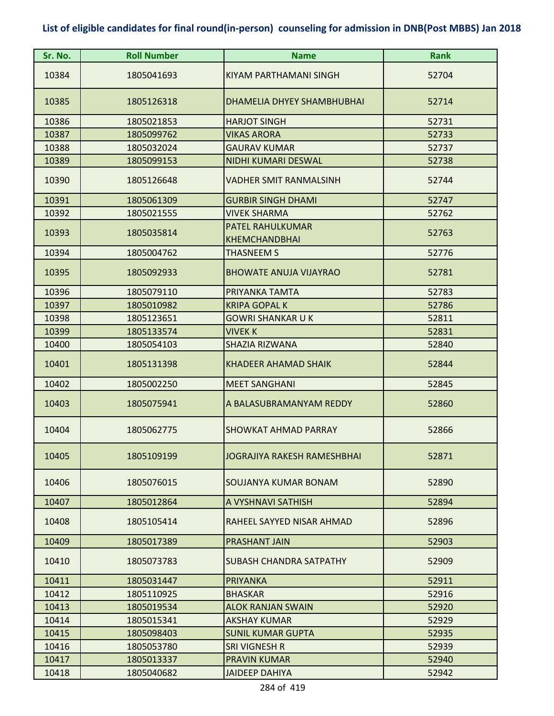| Sr. No. | <b>Roll Number</b> | <b>Name</b>                                     | <b>Rank</b> |
|---------|--------------------|-------------------------------------------------|-------------|
| 10384   | 1805041693         | KIYAM PARTHAMANI SINGH                          | 52704       |
| 10385   | 1805126318         | DHAMELIA DHYEY SHAMBHUBHAI                      | 52714       |
| 10386   | 1805021853         | <b>HARJOT SINGH</b>                             | 52731       |
| 10387   | 1805099762         | <b>VIKAS ARORA</b>                              | 52733       |
| 10388   | 1805032024         | <b>GAURAV KUMAR</b>                             | 52737       |
| 10389   | 1805099153         | NIDHI KUMARI DESWAL                             | 52738       |
| 10390   | 1805126648         | <b>VADHER SMIT RANMALSINH</b>                   | 52744       |
| 10391   | 1805061309         | <b>GURBIR SINGH DHAMI</b>                       | 52747       |
| 10392   | 1805021555         | <b>VIVEK SHARMA</b>                             | 52762       |
| 10393   | 1805035814         | <b>PATEL RAHULKUMAR</b><br><b>KHEMCHANDBHAI</b> | 52763       |
| 10394   | 1805004762         | <b>THASNEEM S</b>                               | 52776       |
| 10395   | 1805092933         | <b>BHOWATE ANUJA VIJAYRAO</b>                   | 52781       |
| 10396   | 1805079110         | PRIYANKA TAMTA                                  | 52783       |
| 10397   | 1805010982         | <b>KRIPA GOPAL K</b>                            | 52786       |
| 10398   | 1805123651         | <b>GOWRI SHANKAR U K</b>                        | 52811       |
| 10399   | 1805133574         | <b>VIVEK K</b>                                  | 52831       |
| 10400   | 1805054103         | <b>SHAZIA RIZWANA</b>                           | 52840       |
| 10401   | 1805131398         | <b>KHADEER AHAMAD SHAIK</b>                     | 52844       |
| 10402   | 1805002250         | <b>MEET SANGHANI</b>                            | 52845       |
| 10403   | 1805075941         | A BALASUBRAMANYAM REDDY                         | 52860       |
| 10404   | 1805062775         | <b>SHOWKAT AHMAD PARRAY</b>                     | 52866       |
| 10405   | 1805109199         | <b>JOGRAJIYA RAKESH RAMESHBHAI</b>              | 52871       |
| 10406   | 1805076015         | SOUJANYA KUMAR BONAM                            | 52890       |
| 10407   | 1805012864         | A VYSHNAVI SATHISH                              | 52894       |
| 10408   | 1805105414         | RAHEEL SAYYED NISAR AHMAD                       | 52896       |
| 10409   | 1805017389         | PRASHANT JAIN                                   | 52903       |
| 10410   | 1805073783         | SUBASH CHANDRA SATPATHY                         | 52909       |
| 10411   | 1805031447         | <b>PRIYANKA</b>                                 | 52911       |
| 10412   | 1805110925         | <b>BHASKAR</b>                                  | 52916       |
| 10413   | 1805019534         | <b>ALOK RANJAN SWAIN</b>                        | 52920       |
| 10414   | 1805015341         | AKSHAY KUMAR                                    | 52929       |
| 10415   | 1805098403         | <b>SUNIL KUMAR GUPTA</b>                        | 52935       |
| 10416   | 1805053780         | SRI VIGNESH R                                   | 52939       |
| 10417   | 1805013337         | <b>PRAVIN KUMAR</b>                             | 52940       |
| 10418   | 1805040682         | <b>JAIDEEP DAHIYA</b>                           | 52942       |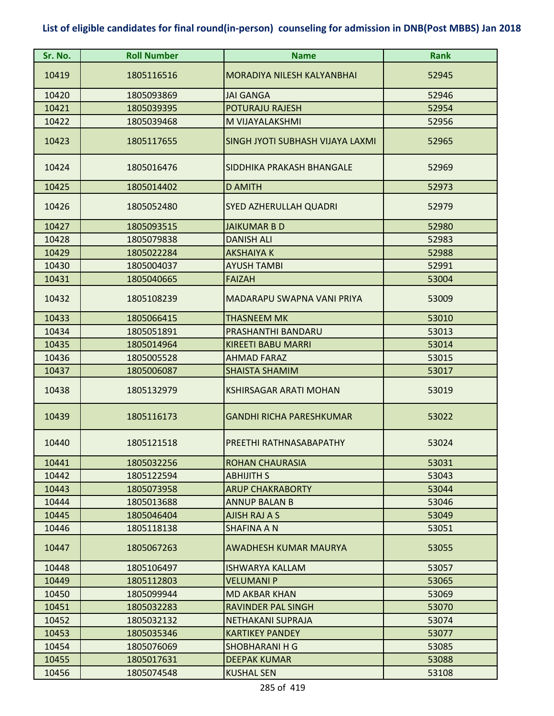| Sr. No. | <b>Roll Number</b> | <b>Name</b>                       | <b>Rank</b> |
|---------|--------------------|-----------------------------------|-------------|
| 10419   | 1805116516         | <b>MORADIYA NILESH KALYANBHAI</b> | 52945       |
| 10420   | 1805093869         | <b>JAI GANGA</b>                  | 52946       |
| 10421   | 1805039395         | <b>POTURAJU RAJESH</b>            | 52954       |
| 10422   | 1805039468         | M VIJAYALAKSHMI                   | 52956       |
| 10423   | 1805117655         | SINGH JYOTI SUBHASH VIJAYA LAXMI  | 52965       |
| 10424   | 1805016476         | SIDDHIKA PRAKASH BHANGALE         | 52969       |
| 10425   | 1805014402         | <b>D AMITH</b>                    | 52973       |
| 10426   | 1805052480         | <b>SYED AZHERULLAH QUADRI</b>     | 52979       |
| 10427   | 1805093515         | <b>JAIKUMAR B D</b>               | 52980       |
| 10428   | 1805079838         | <b>DANISH ALI</b>                 | 52983       |
| 10429   | 1805022284         | <b>AKSHAIYA K</b>                 | 52988       |
| 10430   | 1805004037         | <b>AYUSH TAMBI</b>                | 52991       |
| 10431   | 1805040665         | <b>FAIZAH</b>                     | 53004       |
| 10432   | 1805108239         | MADARAPU SWAPNA VANI PRIYA        | 53009       |
| 10433   | 1805066415         | <b>THASNEEM MK</b>                | 53010       |
| 10434   | 1805051891         | PRASHANTHI BANDARU                | 53013       |
| 10435   | 1805014964         | <b>KIREETI BABU MARRI</b>         | 53014       |
| 10436   | 1805005528         | <b>AHMAD FARAZ</b>                | 53015       |
| 10437   | 1805006087         | <b>SHAISTA SHAMIM</b>             | 53017       |
| 10438   | 1805132979         | <b>KSHIRSAGAR ARATI MOHAN</b>     | 53019       |
| 10439   | 1805116173         | <b>GANDHI RICHA PARESHKUMAR</b>   | 53022       |
| 10440   | 1805121518         | PREETHI RATHNASABAPATHY           | 53024       |
| 10441   | 1805032256         | ROHAN CHAURASIA                   | 53031       |
| 10442   | 1805122594         | <b>ABHIJITH S</b>                 | 53043       |
| 10443   | 1805073958         | <b>ARUP CHAKRABORTY</b>           | 53044       |
| 10444   | 1805013688         | <b>ANNUP BALAN B</b>              | 53046       |
| 10445   | 1805046404         | AJISH RAJ A S                     | 53049       |
| 10446   | 1805118138         | SHAFINA A N                       | 53051       |
| 10447   | 1805067263         | AWADHESH KUMAR MAURYA             | 53055       |
| 10448   | 1805106497         | <b>ISHWARYA KALLAM</b>            | 53057       |
| 10449   | 1805112803         | <b>VELUMANI P</b>                 | 53065       |
| 10450   | 1805099944         | <b>MD AKBAR KHAN</b>              | 53069       |
| 10451   | 1805032283         | <b>RAVINDER PAL SINGH</b>         | 53070       |
| 10452   | 1805032132         | NETHAKANI SUPRAJA                 | 53074       |
| 10453   | 1805035346         | <b>KARTIKEY PANDEY</b>            | 53077       |
| 10454   | 1805076069         | SHOBHARANI H G                    | 53085       |
| 10455   | 1805017631         | <b>DEEPAK KUMAR</b>               | 53088       |
| 10456   | 1805074548         | <b>KUSHAL SEN</b>                 | 53108       |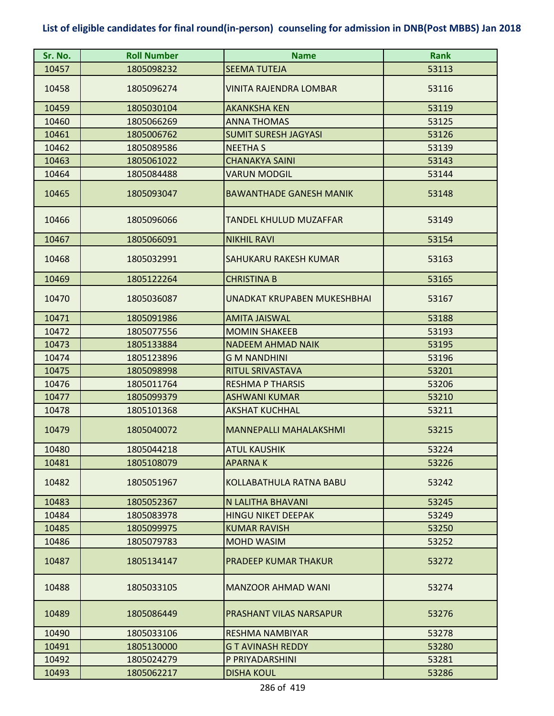| Sr. No. | <b>Roll Number</b> | <b>Name</b>                        | <b>Rank</b> |
|---------|--------------------|------------------------------------|-------------|
| 10457   | 1805098232         | <b>SEEMA TUTEJA</b>                | 53113       |
| 10458   | 1805096274         | VINITA RAJENDRA LOMBAR             | 53116       |
| 10459   | 1805030104         | <b>AKANKSHA KEN</b>                | 53119       |
| 10460   | 1805066269         | <b>ANNA THOMAS</b>                 | 53125       |
| 10461   | 1805006762         | <b>SUMIT SURESH JAGYASI</b>        | 53126       |
| 10462   | 1805089586         | <b>NEETHA S</b>                    | 53139       |
| 10463   | 1805061022         | <b>CHANAKYA SAINI</b>              | 53143       |
| 10464   | 1805084488         | <b>VARUN MODGIL</b>                | 53144       |
| 10465   | 1805093047         | <b>BAWANTHADE GANESH MANIK</b>     | 53148       |
| 10466   | 1805096066         | TANDEL KHULUD MUZAFFAR             | 53149       |
| 10467   | 1805066091         | <b>NIKHIL RAVI</b>                 | 53154       |
| 10468   | 1805032991         | SAHUKARU RAKESH KUMAR              | 53163       |
| 10469   | 1805122264         | <b>CHRISTINA B</b>                 | 53165       |
| 10470   | 1805036087         | <b>UNADKAT KRUPABEN MUKESHBHAI</b> | 53167       |
| 10471   | 1805091986         | <b>AMITA JAISWAL</b>               | 53188       |
| 10472   | 1805077556         | <b>MOMIN SHAKEEB</b>               | 53193       |
| 10473   | 1805133884         | <b>NADEEM AHMAD NAIK</b>           | 53195       |
| 10474   | 1805123896         | <b>GM NANDHINI</b>                 | 53196       |
| 10475   | 1805098998         | RITUL SRIVASTAVA                   | 53201       |
| 10476   | 1805011764         | <b>RESHMA P THARSIS</b>            | 53206       |
| 10477   | 1805099379         | <b>ASHWANI KUMAR</b>               | 53210       |
| 10478   | 1805101368         | <b>AKSHAT KUCHHAL</b>              | 53211       |
| 10479   | 1805040072         | <b>MANNEPALLI MAHALAKSHMI</b>      | 53215       |
| 10480   | 1805044218         | <b>ATUL KAUSHIK</b>                | 53224       |
| 10481   | 1805108079         | <b>APARNAK</b>                     | 53226       |
| 10482   | 1805051967         | KOLLABATHULA RATNA BABU            | 53242       |
| 10483   | 1805052367         | N LALITHA BHAVANI                  | 53245       |
| 10484   | 1805083978         | <b>HINGU NIKET DEEPAK</b>          | 53249       |
| 10485   | 1805099975         | <b>KUMAR RAVISH</b>                | 53250       |
| 10486   | 1805079783         | <b>MOHD WASIM</b>                  | 53252       |
| 10487   | 1805134147         | <b>PRADEEP KUMAR THAKUR</b>        | 53272       |
| 10488   | 1805033105         | <b>MANZOOR AHMAD WANI</b>          | 53274       |
| 10489   | 1805086449         | PRASHANT VILAS NARSAPUR            | 53276       |
| 10490   | 1805033106         | <b>RESHMA NAMBIYAR</b>             | 53278       |
| 10491   | 1805130000         | <b>GT AVINASH REDDY</b>            | 53280       |
| 10492   | 1805024279         | P PRIYADARSHINI                    | 53281       |
| 10493   | 1805062217         | <b>DISHA KOUL</b>                  | 53286       |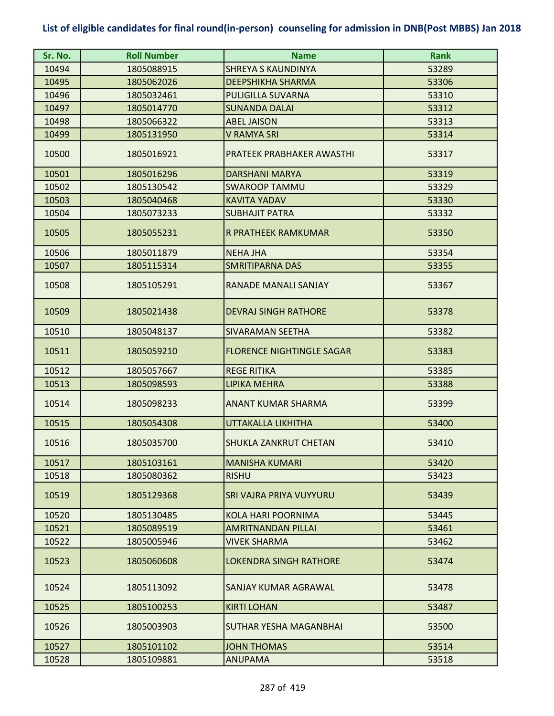| Sr. No. | <b>Roll Number</b> | <b>Name</b>                      | <b>Rank</b> |
|---------|--------------------|----------------------------------|-------------|
| 10494   | 1805088915         | <b>SHREYA S KAUNDINYA</b>        | 53289       |
| 10495   | 1805062026         | <b>DEEPSHIKHA SHARMA</b>         | 53306       |
| 10496   | 1805032461         | PULIGILLA SUVARNA                | 53310       |
| 10497   | 1805014770         | <b>SUNANDA DALAI</b>             | 53312       |
| 10498   | 1805066322         | <b>ABEL JAISON</b>               | 53313       |
| 10499   | 1805131950         | V RAMYA SRI                      | 53314       |
| 10500   | 1805016921         | PRATEEK PRABHAKER AWASTHI        | 53317       |
| 10501   | 1805016296         | <b>DARSHANI MARYA</b>            | 53319       |
| 10502   | 1805130542         | <b>SWAROOP TAMMU</b>             | 53329       |
| 10503   | 1805040468         | <b>KAVITA YADAV</b>              | 53330       |
| 10504   | 1805073233         | <b>SUBHAJIT PATRA</b>            | 53332       |
| 10505   | 1805055231         | R PRATHEEK RAMKUMAR              | 53350       |
| 10506   | 1805011879         | <b>NEHA JHA</b>                  | 53354       |
| 10507   | 1805115314         | <b>SMRITIPARNA DAS</b>           | 53355       |
| 10508   | 1805105291         | RANADE MANALI SANJAY             | 53367       |
| 10509   | 1805021438         | <b>DEVRAJ SINGH RATHORE</b>      | 53378       |
| 10510   | 1805048137         | <b>SIVARAMAN SEETHA</b>          | 53382       |
| 10511   | 1805059210         | <b>FLORENCE NIGHTINGLE SAGAR</b> | 53383       |
| 10512   | 1805057667         | <b>REGE RITIKA</b>               | 53385       |
| 10513   | 1805098593         | LIPIKA MEHRA                     | 53388       |
| 10514   | 1805098233         | <b>ANANT KUMAR SHARMA</b>        | 53399       |
| 10515   | 1805054308         | <b>UTTAKALLA LIKHITHA</b>        | 53400       |
| 10516   | 1805035700         | SHUKLA ZANKRUT CHETAN            | 53410       |
| 10517   | 1805103161         | <b>MANISHA KUMARI</b>            | 53420       |
| 10518   | 1805080362         | <b>RISHU</b>                     | 53423       |
| 10519   | 1805129368         | SRI VAJRA PRIYA VUYYURU          | 53439       |
| 10520   | 1805130485         | <b>KOLA HARI POORNIMA</b>        | 53445       |
| 10521   | 1805089519         | <b>AMRITNANDAN PILLAI</b>        | 53461       |
| 10522   | 1805005946         | VIVEK SHARMA                     | 53462       |
| 10523   | 1805060608         | <b>LOKENDRA SINGH RATHORE</b>    | 53474       |
| 10524   | 1805113092         | SANJAY KUMAR AGRAWAL             | 53478       |
| 10525   | 1805100253         | <b>KIRTI LOHAN</b>               | 53487       |
| 10526   | 1805003903         | SUTHAR YESHA MAGANBHAI           | 53500       |
| 10527   | 1805101102         | <b>JOHN THOMAS</b>               | 53514       |
| 10528   | 1805109881         | <b>ANUPAMA</b>                   | 53518       |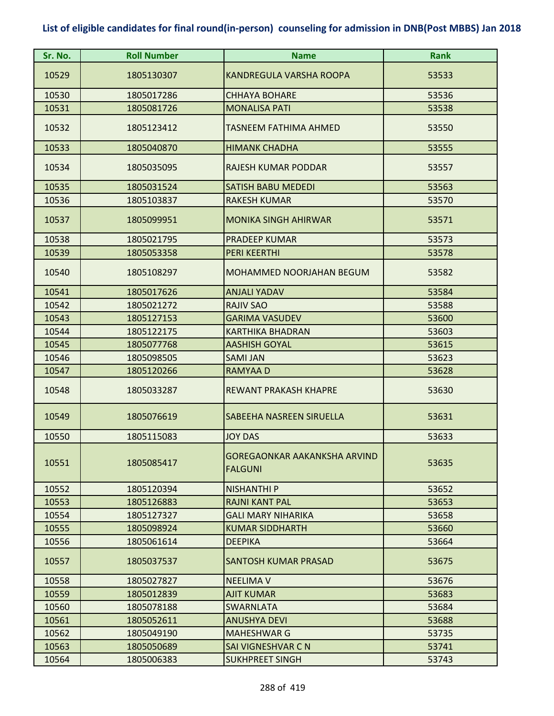| Sr. No. | <b>Roll Number</b> | <b>Name</b>                                           | <b>Rank</b> |
|---------|--------------------|-------------------------------------------------------|-------------|
| 10529   | 1805130307         | <b>KANDREGULA VARSHA ROOPA</b>                        | 53533       |
| 10530   | 1805017286         | <b>CHHAYA BOHARE</b>                                  | 53536       |
| 10531   | 1805081726         | <b>MONALISA PATI</b>                                  | 53538       |
| 10532   | 1805123412         | TASNEEM FATHIMA AHMED                                 | 53550       |
| 10533   | 1805040870         | <b>HIMANK CHADHA</b>                                  | 53555       |
| 10534   | 1805035095         | <b>RAJESH KUMAR PODDAR</b>                            | 53557       |
| 10535   | 1805031524         | <b>SATISH BABU MEDEDI</b>                             | 53563       |
| 10536   | 1805103837         | <b>RAKESH KUMAR</b>                                   | 53570       |
| 10537   | 1805099951         | <b>MONIKA SINGH AHIRWAR</b>                           | 53571       |
| 10538   | 1805021795         | <b>PRADEEP KUMAR</b>                                  | 53573       |
| 10539   | 1805053358         | <b>PERI KEERTHI</b>                                   | 53578       |
| 10540   | 1805108297         | MOHAMMED NOORJAHAN BEGUM                              | 53582       |
| 10541   | 1805017626         | <b>ANJALI YADAV</b>                                   | 53584       |
| 10542   | 1805021272         | <b>RAJIV SAO</b>                                      | 53588       |
| 10543   | 1805127153         | <b>GARIMA VASUDEV</b>                                 | 53600       |
| 10544   | 1805122175         | <b>KARTHIKA BHADRAN</b>                               | 53603       |
| 10545   | 1805077768         | <b>AASHISH GOYAL</b>                                  | 53615       |
| 10546   | 1805098505         | <b>SAMI JAN</b>                                       | 53623       |
| 10547   | 1805120266         | <b>RAMYAAD</b>                                        | 53628       |
| 10548   | 1805033287         | <b>REWANT PRAKASH KHAPRE</b>                          | 53630       |
| 10549   | 1805076619         | SABEEHA NASREEN SIRUELLA                              | 53631       |
| 10550   | 1805115083         | <b>JOY DAS</b>                                        | 53633       |
| 10551   | 1805085417         | <b>GOREGAONKAR AAKANKSHA ARVIND</b><br><b>FALGUNI</b> | 53635       |
| 10552   | 1805120394         | <b>NISHANTHI P</b>                                    | 53652       |
| 10553   | 1805126883         | <b>RAJNI KANT PAL</b>                                 | 53653       |
| 10554   | 1805127327         | <b>GALI MARY NIHARIKA</b>                             | 53658       |
| 10555   | 1805098924         | <b>KUMAR SIDDHARTH</b>                                | 53660       |
| 10556   | 1805061614         | <b>DEEPIKA</b>                                        | 53664       |
| 10557   | 1805037537         | <b>SANTOSH KUMAR PRASAD</b>                           | 53675       |
| 10558   | 1805027827         | <b>NEELIMA V</b>                                      | 53676       |
| 10559   | 1805012839         | <b>AJIT KUMAR</b>                                     | 53683       |
| 10560   | 1805078188         | <b>SWARNLATA</b>                                      | 53684       |
| 10561   | 1805052611         | ANUSHYA DEVI                                          | 53688       |
| 10562   | 1805049190         | <b>MAHESHWAR G</b>                                    | 53735       |
| 10563   | 1805050689         | SAI VIGNESHVAR C N                                    | 53741       |
| 10564   | 1805006383         | <b>SUKHPREET SINGH</b>                                | 53743       |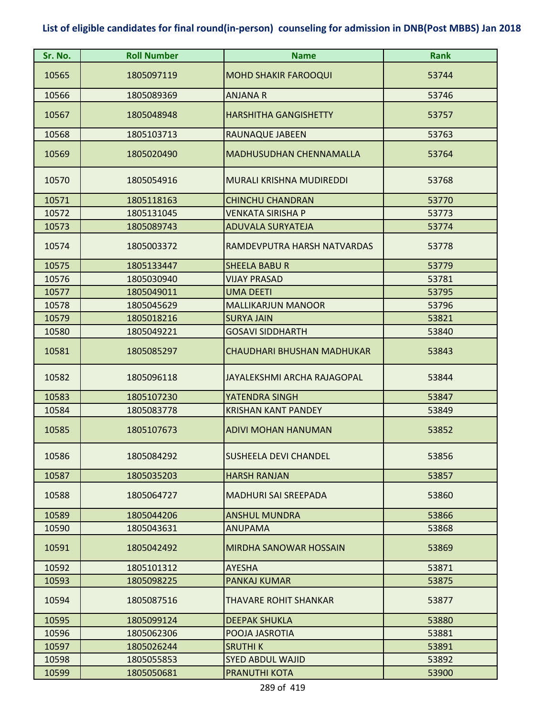| Sr. No. | <b>Roll Number</b> | <b>Name</b>                       | <b>Rank</b> |
|---------|--------------------|-----------------------------------|-------------|
| 10565   | 1805097119         | <b>MOHD SHAKIR FAROOQUI</b>       | 53744       |
| 10566   | 1805089369         | <b>ANJANA R</b>                   | 53746       |
| 10567   | 1805048948         | <b>HARSHITHA GANGISHETTY</b>      | 53757       |
| 10568   | 1805103713         | RAUNAQUE JABEEN                   | 53763       |
| 10569   | 1805020490         | <b>MADHUSUDHAN CHENNAMALLA</b>    | 53764       |
| 10570   | 1805054916         | <b>MURALI KRISHNA MUDIREDDI</b>   | 53768       |
| 10571   | 1805118163         | <b>CHINCHU CHANDRAN</b>           | 53770       |
| 10572   | 1805131045         | <b>VENKATA SIRISHA P</b>          | 53773       |
| 10573   | 1805089743         | <b>ADUVALA SURYATEJA</b>          | 53774       |
| 10574   | 1805003372         | RAMDEVPUTRA HARSH NATVARDAS       | 53778       |
| 10575   | 1805133447         | <b>SHEELA BABUR</b>               | 53779       |
| 10576   | 1805030940         | <b>VIJAY PRASAD</b>               | 53781       |
| 10577   | 1805049011         | <b>UMA DEETI</b>                  | 53795       |
| 10578   | 1805045629         | <b>MALLIKARJUN MANOOR</b>         | 53796       |
| 10579   | 1805018216         | <b>SURYA JAIN</b>                 | 53821       |
| 10580   | 1805049221         | <b>GOSAVI SIDDHARTH</b>           | 53840       |
| 10581   | 1805085297         | <b>CHAUDHARI BHUSHAN MADHUKAR</b> | 53843       |
| 10582   | 1805096118         | JAYALEKSHMI ARCHA RAJAGOPAL       | 53844       |
| 10583   | 1805107230         | YATENDRA SINGH                    | 53847       |
| 10584   | 1805083778         | <b>KRISHAN KANT PANDEY</b>        | 53849       |
| 10585   | 1805107673         | <b>ADIVI MOHAN HANUMAN</b>        | 53852       |
| 10586   | 1805084292         | <b>SUSHEELA DEVI CHANDEL</b>      | 53856       |
| 10587   | 1805035203         | <b>HARSH RANJAN</b>               | 53857       |
| 10588   | 1805064727         | <b>MADHURI SAI SREEPADA</b>       | 53860       |
| 10589   | 1805044206         | <b>ANSHUL MUNDRA</b>              | 53866       |
| 10590   | 1805043631         | <b>ANUPAMA</b>                    | 53868       |
| 10591   | 1805042492         | <b>MIRDHA SANOWAR HOSSAIN</b>     | 53869       |
| 10592   | 1805101312         | <b>AYESHA</b>                     | 53871       |
| 10593   | 1805098225         | <b>PANKAJ KUMAR</b>               | 53875       |
| 10594   | 1805087516         | THAVARE ROHIT SHANKAR             | 53877       |
| 10595   | 1805099124         | <b>DEEPAK SHUKLA</b>              | 53880       |
| 10596   | 1805062306         | POOJA JASROTIA                    | 53881       |
| 10597   | 1805026244         | <b>SRUTHIK</b>                    | 53891       |
| 10598   | 1805055853         | <b>SYED ABDUL WAJID</b>           | 53892       |
| 10599   | 1805050681         | <b>PRANUTHI KOTA</b>              | 53900       |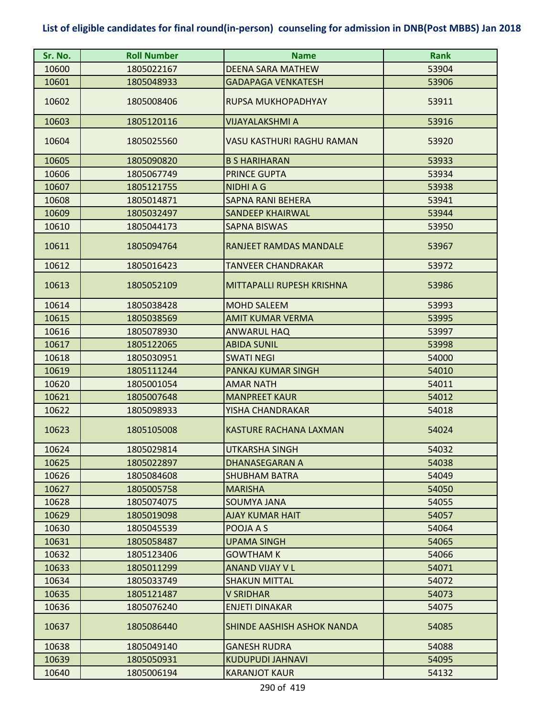| Sr. No. | <b>Roll Number</b> | <b>Name</b>                | <b>Rank</b> |
|---------|--------------------|----------------------------|-------------|
| 10600   | 1805022167         | <b>DEENA SARA MATHEW</b>   | 53904       |
| 10601   | 1805048933         | <b>GADAPAGA VENKATESH</b>  | 53906       |
| 10602   | 1805008406         | RUPSA MUKHOPADHYAY         | 53911       |
| 10603   | 1805120116         | <b>VIJAYALAKSHMI A</b>     | 53916       |
| 10604   | 1805025560         | VASU KASTHURI RAGHU RAMAN  | 53920       |
| 10605   | 1805090820         | <b>B S HARIHARAN</b>       | 53933       |
| 10606   | 1805067749         | PRINCE GUPTA               | 53934       |
| 10607   | 1805121755         | <b>NIDHIAG</b>             | 53938       |
| 10608   | 1805014871         | <b>SAPNA RANI BEHERA</b>   | 53941       |
| 10609   | 1805032497         | <b>SANDEEP KHAIRWAL</b>    | 53944       |
| 10610   | 1805044173         | <b>SAPNA BISWAS</b>        | 53950       |
| 10611   | 1805094764         | RANJEET RAMDAS MANDALE     | 53967       |
| 10612   | 1805016423         | <b>TANVEER CHANDRAKAR</b>  | 53972       |
| 10613   | 1805052109         | MITTAPALLI RUPESH KRISHNA  | 53986       |
| 10614   | 1805038428         | <b>MOHD SALEEM</b>         | 53993       |
| 10615   | 1805038569         | <b>AMIT KUMAR VERMA</b>    | 53995       |
| 10616   | 1805078930         | <b>ANWARUL HAQ</b>         | 53997       |
| 10617   | 1805122065         | <b>ABIDA SUNIL</b>         | 53998       |
| 10618   | 1805030951         | <b>SWATI NEGI</b>          | 54000       |
| 10619   | 1805111244         | PANKAJ KUMAR SINGH         | 54010       |
| 10620   | 1805001054         | <b>AMAR NATH</b>           | 54011       |
| 10621   | 1805007648         | <b>MANPREET KAUR</b>       | 54012       |
| 10622   | 1805098933         | YISHA CHANDRAKAR           | 54018       |
| 10623   | 1805105008         | KASTURE RACHANA LAXMAN     | 54024       |
| 10624   | 1805029814         | UTKARSHA SINGH             | 54032       |
| 10625   | 1805022897         | <b>DHANASEGARAN A</b>      | 54038       |
| 10626   | 1805084608         | <b>SHUBHAM BATRA</b>       | 54049       |
| 10627   | 1805005758         | <b>MARISHA</b>             | 54050       |
| 10628   | 1805074075         | <b>SOUMYA JANA</b>         | 54055       |
| 10629   | 1805019098         | <b>AJAY KUMAR HAIT</b>     | 54057       |
| 10630   | 1805045539         | POOJA A S                  | 54064       |
| 10631   | 1805058487         | UPAMA SINGH                | 54065       |
| 10632   | 1805123406         | <b>GOWTHAM K</b>           | 54066       |
| 10633   | 1805011299         | <b>ANAND VIJAY V L</b>     | 54071       |
| 10634   | 1805033749         | <b>SHAKUN MITTAL</b>       | 54072       |
| 10635   | 1805121487         | <b>V SRIDHAR</b>           | 54073       |
| 10636   | 1805076240         | <b>ENJETI DINAKAR</b>      | 54075       |
| 10637   | 1805086440         | SHINDE AASHISH ASHOK NANDA | 54085       |
| 10638   | 1805049140         | <b>GANESH RUDRA</b>        | 54088       |
| 10639   | 1805050931         | <b>KUDUPUDI JAHNAVI</b>    | 54095       |
| 10640   | 1805006194         | <b>KARANJOT KAUR</b>       | 54132       |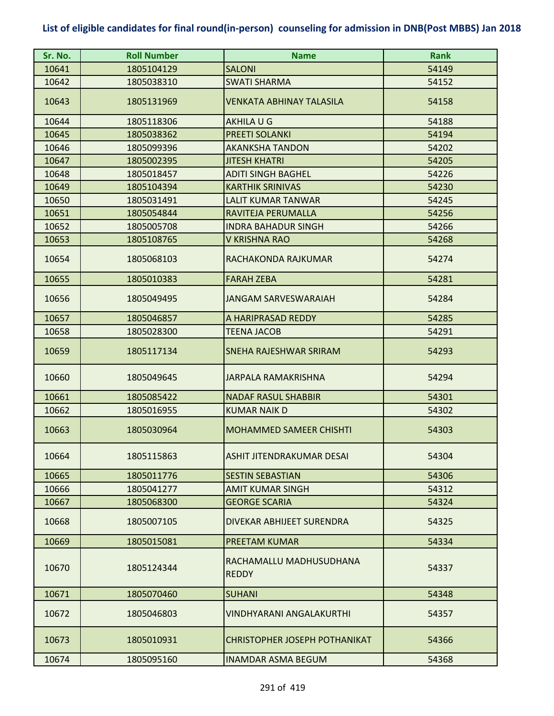| Sr. No. | <b>Roll Number</b> | <b>Name</b>                             | <b>Rank</b> |
|---------|--------------------|-----------------------------------------|-------------|
| 10641   | 1805104129         | <b>SALONI</b>                           | 54149       |
| 10642   | 1805038310         | <b>SWATI SHARMA</b>                     | 54152       |
| 10643   | 1805131969         | <b>VENKATA ABHINAY TALASILA</b>         | 54158       |
| 10644   | 1805118306         | AKHILA U G                              | 54188       |
| 10645   | 1805038362         | <b>PREETI SOLANKI</b>                   | 54194       |
| 10646   | 1805099396         | <b>AKANKSHA TANDON</b>                  | 54202       |
| 10647   | 1805002395         | <b>JITESH KHATRI</b>                    | 54205       |
| 10648   | 1805018457         | <b>ADITI SINGH BAGHEL</b>               | 54226       |
| 10649   | 1805104394         | <b>KARTHIK SRINIVAS</b>                 | 54230       |
| 10650   | 1805031491         | <b>LALIT KUMAR TANWAR</b>               | 54245       |
| 10651   | 1805054844         | RAVITEJA PERUMALLA                      | 54256       |
| 10652   | 1805005708         | <b>INDRA BAHADUR SINGH</b>              | 54266       |
| 10653   | 1805108765         | V KRISHNA RAO                           | 54268       |
| 10654   | 1805068103         | RACHAKONDA RAJKUMAR                     | 54274       |
| 10655   | 1805010383         | <b>FARAH ZEBA</b>                       | 54281       |
| 10656   | 1805049495         | <b>JANGAM SARVESWARAIAH</b>             | 54284       |
| 10657   | 1805046857         | A HARIPRASAD REDDY                      | 54285       |
| 10658   | 1805028300         | <b>TEENA JACOB</b>                      | 54291       |
| 10659   | 1805117134         | SNEHA RAJESHWAR SRIRAM                  | 54293       |
| 10660   | 1805049645         | <b>JARPALA RAMAKRISHNA</b>              | 54294       |
| 10661   | 1805085422         | <b>NADAF RASUL SHABBIR</b>              | 54301       |
| 10662   | 1805016955         | <b>KUMAR NAIK D</b>                     | 54302       |
| 10663   | 1805030964         | <b>MOHAMMED SAMEER CHISHTI</b>          | 54303       |
| 10664   | 1805115863         | ASHIT JITENDRAKUMAR DESAI               | 54304       |
| 10665   | 1805011776         | <b>SESTIN SEBASTIAN</b>                 | 54306       |
| 10666   | 1805041277         | <b>AMIT KUMAR SINGH</b>                 | 54312       |
| 10667   | 1805068300         | <b>GEORGE SCARIA</b>                    | 54324       |
| 10668   | 1805007105         | DIVEKAR ABHIJEET SURENDRA               | 54325       |
| 10669   | 1805015081         | <b>PREETAM KUMAR</b>                    | 54334       |
| 10670   | 1805124344         | RACHAMALLU MADHUSUDHANA<br><b>REDDY</b> | 54337       |
| 10671   | 1805070460         | <b>SUHANI</b>                           | 54348       |
| 10672   | 1805046803         | VINDHYARANI ANGALAKURTHI                | 54357       |
| 10673   | 1805010931         | <b>CHRISTOPHER JOSEPH POTHANIKAT</b>    | 54366       |
| 10674   | 1805095160         | INAMDAR ASMA BEGUM                      | 54368       |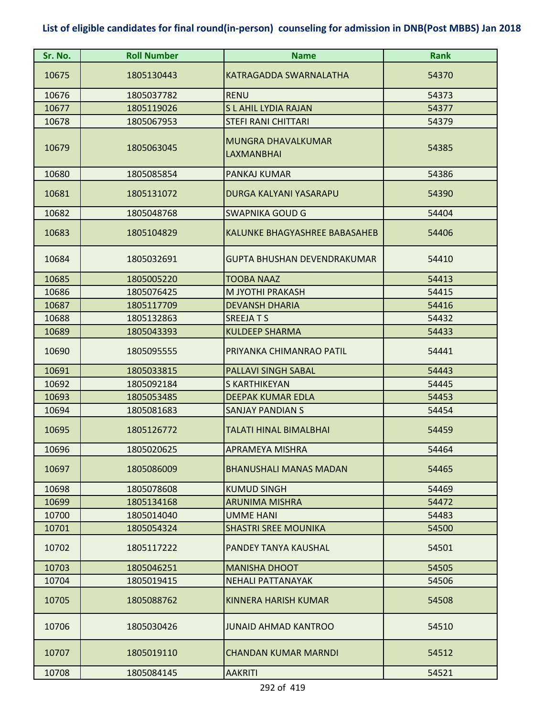| Sr. No. | <b>Roll Number</b> | <b>Name</b>                             | <b>Rank</b> |
|---------|--------------------|-----------------------------------------|-------------|
| 10675   | 1805130443         | <b>KATRAGADDA SWARNALATHA</b>           | 54370       |
| 10676   | 1805037782         | <b>RENU</b>                             | 54373       |
| 10677   | 1805119026         | <b>SLAHIL LYDIA RAJAN</b>               | 54377       |
| 10678   | 1805067953         | <b>STEFI RANI CHITTARI</b>              | 54379       |
| 10679   | 1805063045         | MUNGRA DHAVALKUMAR<br><b>LAXMANBHAI</b> | 54385       |
| 10680   | 1805085854         | <b>PANKAJ KUMAR</b>                     | 54386       |
| 10681   | 1805131072         | DURGA KALYANI YASARAPU                  | 54390       |
| 10682   | 1805048768         | <b>SWAPNIKA GOUD G</b>                  | 54404       |
| 10683   | 1805104829         | KALUNKE BHAGYASHREE BABASAHEB           | 54406       |
| 10684   | 1805032691         | <b>GUPTA BHUSHAN DEVENDRAKUMAR</b>      | 54410       |
| 10685   | 1805005220         | <b>TOOBA NAAZ</b>                       | 54413       |
| 10686   | 1805076425         | M JYOTHI PRAKASH                        | 54415       |
| 10687   | 1805117709         | <b>DEVANSH DHARIA</b>                   | 54416       |
| 10688   | 1805132863         | <b>SREEJATS</b>                         | 54432       |
| 10689   | 1805043393         | <b>KULDEEP SHARMA</b>                   | 54433       |
| 10690   | 1805095555         | PRIYANKA CHIMANRAO PATIL                | 54441       |
| 10691   | 1805033815         | <b>PALLAVI SINGH SABAL</b>              | 54443       |
| 10692   | 1805092184         | S KARTHIKEYAN                           | 54445       |
| 10693   | 1805053485         | <b>DEEPAK KUMAR EDLA</b>                | 54453       |
| 10694   | 1805081683         | <b>SANJAY PANDIAN S</b>                 | 54454       |
| 10695   | 1805126772         | TALATI HINAL BIMALBHAI                  | 54459       |
| 10696   | 1805020625         | <b>APRAMEYA MISHRA</b>                  | 54464       |
| 10697   | 1805086009         | <b>BHANUSHALI MANAS MADAN</b>           | 54465       |
| 10698   | 1805078608         | <b>KUMUD SINGH</b>                      | 54469       |
| 10699   | 1805134168         | <b>ARUNIMA MISHRA</b>                   | 54472       |
| 10700   | 1805014040         | UMME HANI                               | 54483       |
| 10701   | 1805054324         | <b>SHASTRI SREE MOUNIKA</b>             | 54500       |
| 10702   | 1805117222         | PANDEY TANYA KAUSHAL                    | 54501       |
| 10703   | 1805046251         | <b>MANISHA DHOOT</b>                    | 54505       |
| 10704   | 1805019415         | <b>NEHALI PATTANAYAK</b>                | 54506       |
| 10705   | 1805088762         | <b>KINNERA HARISH KUMAR</b>             | 54508       |
| 10706   | 1805030426         | <b>JUNAID AHMAD KANTROO</b>             | 54510       |
| 10707   | 1805019110         | <b>CHANDAN KUMAR MARNDI</b>             | 54512       |
| 10708   | 1805084145         | <b>AAKRITI</b>                          | 54521       |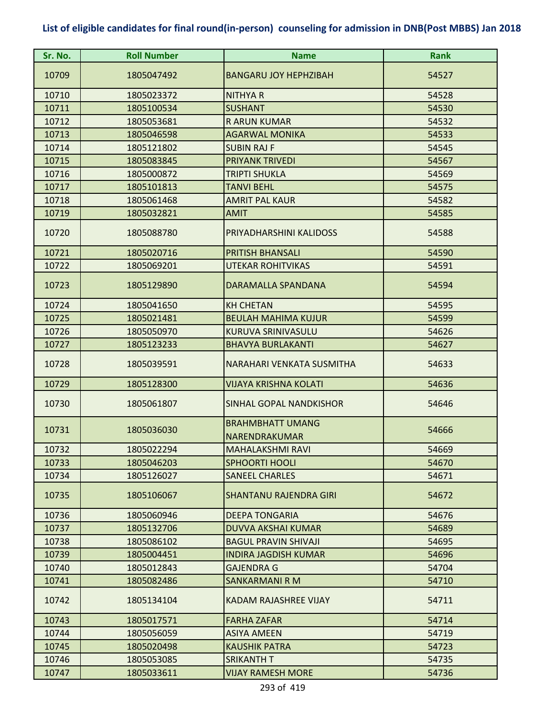| Sr. No. | <b>Roll Number</b> | <b>Name</b>                                     | <b>Rank</b> |
|---------|--------------------|-------------------------------------------------|-------------|
| 10709   | 1805047492         | <b>BANGARU JOY HEPHZIBAH</b>                    | 54527       |
| 10710   | 1805023372         | <b>NITHYA R</b>                                 | 54528       |
| 10711   | 1805100534         | <b>SUSHANT</b>                                  | 54530       |
| 10712   | 1805053681         | <b>RARUN KUMAR</b>                              | 54532       |
| 10713   | 1805046598         | <b>AGARWAL MONIKA</b>                           | 54533       |
| 10714   | 1805121802         | <b>SUBIN RAJ F</b>                              | 54545       |
| 10715   | 1805083845         | <b>PRIYANK TRIVEDI</b>                          | 54567       |
| 10716   | 1805000872         | <b>TRIPTI SHUKLA</b>                            | 54569       |
| 10717   | 1805101813         | <b>TANVI BEHL</b>                               | 54575       |
| 10718   | 1805061468         | <b>AMRIT PAL KAUR</b>                           | 54582       |
| 10719   | 1805032821         | <b>AMIT</b>                                     | 54585       |
| 10720   | 1805088780         | PRIYADHARSHINI KALIDOSS                         | 54588       |
| 10721   | 1805020716         | <b>PRITISH BHANSALI</b>                         | 54590       |
| 10722   | 1805069201         | <b>UTEKAR ROHITVIKAS</b>                        | 54591       |
| 10723   | 1805129890         | DARAMALLA SPANDANA                              | 54594       |
| 10724   | 1805041650         | <b>KH CHETAN</b>                                | 54595       |
| 10725   | 1805021481         | <b>BEULAH MAHIMA KUJUR</b>                      | 54599       |
| 10726   | 1805050970         | KURUVA SRINIVASULU                              | 54626       |
| 10727   | 1805123233         | <b>BHAVYA BURLAKANTI</b>                        | 54627       |
| 10728   | 1805039591         | NARAHARI VENKATA SUSMITHA                       | 54633       |
| 10729   | 1805128300         | <b>VIJAYA KRISHNA KOLATI</b>                    | 54636       |
| 10730   | 1805061807         | SINHAL GOPAL NANDKISHOR                         | 54646       |
| 10731   | 1805036030         | <b>BRAHMBHATT UMANG</b><br><b>NARENDRAKUMAR</b> | 54666       |
| 10732   | 1805022294         | <b>MAHALAKSHMI RAVI</b>                         | 54669       |
| 10733   | 1805046203         | <b>SPHOORTI HOOLI</b>                           | 54670       |
| 10734   | 1805126027         | <b>SANEEL CHARLES</b>                           | 54671       |
| 10735   | 1805106067         | <b>SHANTANU RAJENDRA GIRI</b>                   | 54672       |
| 10736   | 1805060946         | <b>DEEPA TONGARIA</b>                           | 54676       |
| 10737   | 1805132706         | <b>DUVVA AKSHAI KUMAR</b>                       | 54689       |
| 10738   | 1805086102         | <b>BAGUL PRAVIN SHIVAJI</b>                     | 54695       |
| 10739   | 1805004451         | <b>INDIRA JAGDISH KUMAR</b>                     | 54696       |
| 10740   | 1805012843         | <b>GAJENDRA G</b>                               | 54704       |
| 10741   | 1805082486         | <b>SANKARMANI R M</b>                           | 54710       |
| 10742   | 1805134104         | <b>KADAM RAJASHREE VIJAY</b>                    | 54711       |
| 10743   | 1805017571         | <b>FARHA ZAFAR</b>                              | 54714       |
| 10744   | 1805056059         | <b>ASIYA AMEEN</b>                              | 54719       |
| 10745   | 1805020498         | <b>KAUSHIK PATRA</b>                            | 54723       |
| 10746   | 1805053085         | <b>SRIKANTH T</b>                               | 54735       |
| 10747   | 1805033611         | <b>VIJAY RAMESH MORE</b>                        | 54736       |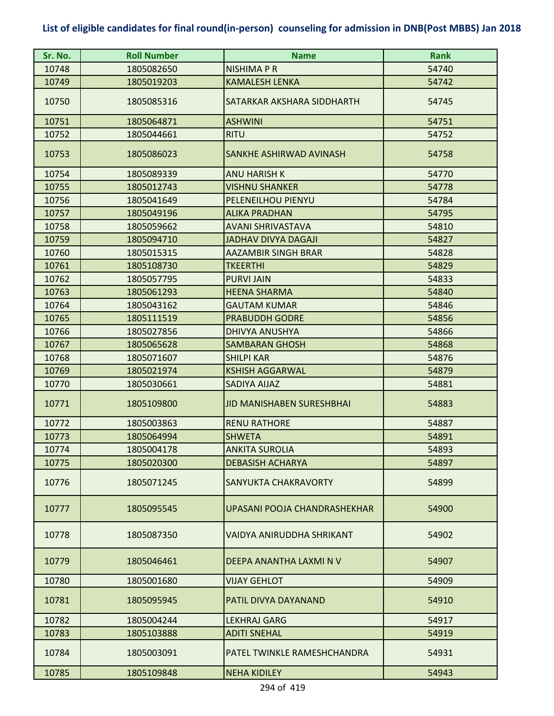| Sr. No. | <b>Roll Number</b> | <b>Name</b>                      | <b>Rank</b> |
|---------|--------------------|----------------------------------|-------------|
| 10748   | 1805082650         | NISHIMA P R                      | 54740       |
| 10749   | 1805019203         | <b>KAMALESH LENKA</b>            | 54742       |
| 10750   | 1805085316         | SATARKAR AKSHARA SIDDHARTH       | 54745       |
| 10751   | 1805064871         | <b>ASHWINI</b>                   | 54751       |
| 10752   | 1805044661         | <b>RITU</b>                      | 54752       |
| 10753   | 1805086023         | SANKHE ASHIRWAD AVINASH          | 54758       |
| 10754   | 1805089339         | <b>ANU HARISH K</b>              | 54770       |
| 10755   | 1805012743         | <b>VISHNU SHANKER</b>            | 54778       |
| 10756   | 1805041649         | PELENEILHOU PIENYU               | 54784       |
| 10757   | 1805049196         | <b>ALIKA PRADHAN</b>             | 54795       |
| 10758   | 1805059662         | AVANI SHRIVASTAVA                | 54810       |
| 10759   | 1805094710         | <b>JADHAV DIVYA DAGAJI</b>       | 54827       |
| 10760   | 1805015315         | <b>AAZAMBIR SINGH BRAR</b>       | 54828       |
| 10761   | 1805108730         | <b>TKEERTHI</b>                  | 54829       |
| 10762   | 1805057795         | <b>PURVI JAIN</b>                | 54833       |
| 10763   | 1805061293         | <b>HEENA SHARMA</b>              | 54840       |
| 10764   | 1805043162         | <b>GAUTAM KUMAR</b>              | 54846       |
| 10765   | 1805111519         | <b>PRABUDDH GODRE</b>            | 54856       |
| 10766   | 1805027856         | <b>DHIVYA ANUSHYA</b>            | 54866       |
| 10767   | 1805065628         | <b>SAMBARAN GHOSH</b>            | 54868       |
| 10768   | 1805071607         | <b>SHILPI KAR</b>                | 54876       |
| 10769   | 1805021974         | <b>KSHISH AGGARWAL</b>           | 54879       |
| 10770   | 1805030661         | SADIYA AIJAZ                     | 54881       |
| 10771   | 1805109800         | <b>JID MANISHABEN SURESHBHAI</b> | 54883       |
| 10772   | 1805003863         | <b>RENU RATHORE</b>              | 54887       |
| 10773   | 1805064994         | <b>SHWETA</b>                    | 54891       |
| 10774   | 1805004178         | <b>ANKITA SUROLIA</b>            | 54893       |
| 10775   | 1805020300         | <b>DEBASISH ACHARYA</b>          | 54897       |
| 10776   | 1805071245         | SANYUKTA CHAKRAVORTY             | 54899       |
| 10777   | 1805095545         | UPASANI POOJA CHANDRASHEKHAR     | 54900       |
| 10778   | 1805087350         | VAIDYA ANIRUDDHA SHRIKANT        | 54902       |
| 10779   | 1805046461         | DEEPA ANANTHA LAXMI N V          | 54907       |
| 10780   | 1805001680         | <b>VIJAY GEHLOT</b>              | 54909       |
| 10781   | 1805095945         | PATIL DIVYA DAYANAND             | 54910       |
| 10782   | 1805004244         | <b>LEKHRAJ GARG</b>              | 54917       |
| 10783   | 1805103888         | <b>ADITI SNEHAL</b>              | 54919       |
| 10784   | 1805003091         | PATEL TWINKLE RAMESHCHANDRA      | 54931       |
| 10785   | 1805109848         | <b>NEHA KIDILEY</b>              | 54943       |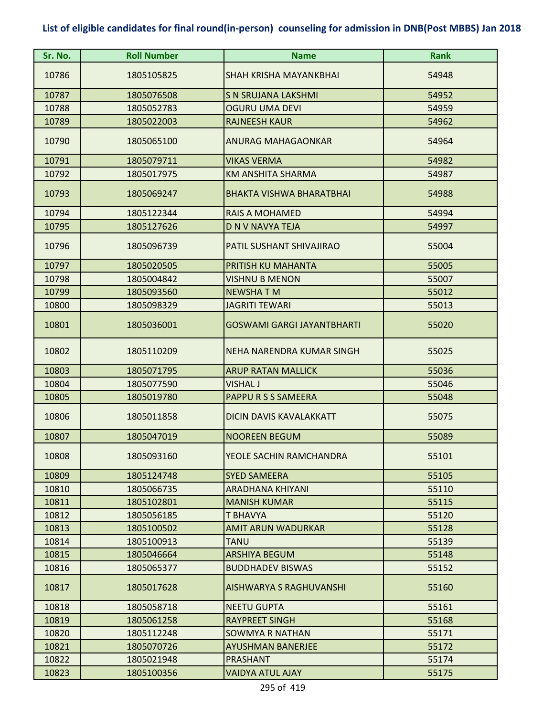| Sr. No. | <b>Roll Number</b> | <b>Name</b>                       | <b>Rank</b> |
|---------|--------------------|-----------------------------------|-------------|
| 10786   | 1805105825         | <b>SHAH KRISHA MAYANKBHAI</b>     | 54948       |
| 10787   | 1805076508         | <b>S N SRUJANA LAKSHMI</b>        | 54952       |
| 10788   | 1805052783         | <b>OGURU UMA DEVI</b>             | 54959       |
| 10789   | 1805022003         | <b>RAJNEESH KAUR</b>              | 54962       |
| 10790   | 1805065100         | ANURAG MAHAGAONKAR                | 54964       |
| 10791   | 1805079711         | <b>VIKAS VERMA</b>                | 54982       |
| 10792   | 1805017975         | <b>KM ANSHITA SHARMA</b>          | 54987       |
| 10793   | 1805069247         | <b>BHAKTA VISHWA BHARATBHAI</b>   | 54988       |
| 10794   | 1805122344         | <b>RAIS A MOHAMED</b>             | 54994       |
| 10795   | 1805127626         | <b>D N V NAVYA TEJA</b>           | 54997       |
| 10796   | 1805096739         | PATIL SUSHANT SHIVAJIRAO          | 55004       |
| 10797   | 1805020505         | PRITISH KU MAHANTA                | 55005       |
| 10798   | 1805004842         | <b>VISHNU B MENON</b>             | 55007       |
| 10799   | 1805093560         | <b>NEWSHATM</b>                   | 55012       |
| 10800   | 1805098329         | <b>JAGRITI TEWARI</b>             | 55013       |
| 10801   | 1805036001         | <b>GOSWAMI GARGI JAYANTBHARTI</b> | 55020       |
| 10802   | 1805110209         | NEHA NARENDRA KUMAR SINGH         | 55025       |
| 10803   | 1805071795         | <b>ARUP RATAN MALLICK</b>         | 55036       |
| 10804   | 1805077590         | <b>VISHAL J</b>                   | 55046       |
| 10805   | 1805019780         | PAPPU R S S SAMEERA               | 55048       |
| 10806   | 1805011858         | <b>DICIN DAVIS KAVALAKKATT</b>    | 55075       |
| 10807   | 1805047019         | <b>NOOREEN BEGUM</b>              | 55089       |
| 10808   | 1805093160         | YEOLE SACHIN RAMCHANDRA           | 55101       |
| 10809   | 1805124748         | <b>SYED SAMEERA</b>               | 55105       |
| 10810   | 1805066735         | ARADHANA KHIYANI                  | 55110       |
| 10811   | 1805102801         | <b>MANISH KUMAR</b>               | 55115       |
| 10812   | 1805056185         | T BHAVYA                          | 55120       |
| 10813   | 1805100502         | <b>AMIT ARUN WADURKAR</b>         | 55128       |
| 10814   | 1805100913         | <b>TANU</b>                       | 55139       |
| 10815   | 1805046664         | <b>ARSHIYA BEGUM</b>              | 55148       |
| 10816   | 1805065377         | <b>BUDDHADEV BISWAS</b>           | 55152       |
| 10817   | 1805017628         | <b>AISHWARYA S RAGHUVANSHI</b>    | 55160       |
| 10818   | 1805058718         | <b>NEETU GUPTA</b>                | 55161       |
| 10819   | 1805061258         | <b>RAYPREET SINGH</b>             | 55168       |
| 10820   | 1805112248         | <b>SOWMYA R NATHAN</b>            | 55171       |
| 10821   | 1805070726         | <b>AYUSHMAN BANERJEE</b>          | 55172       |
| 10822   | 1805021948         | PRASHANT                          | 55174       |
| 10823   | 1805100356         | <b>VAIDYA ATUL AJAY</b>           | 55175       |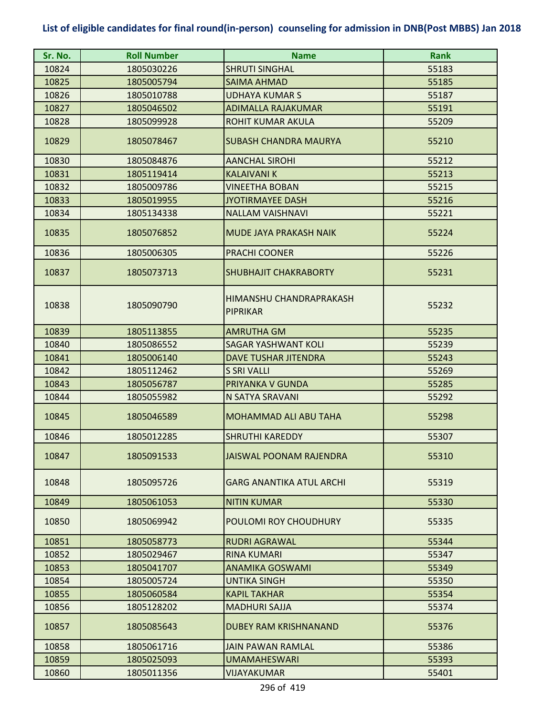| Sr. No. | <b>Roll Number</b> | <b>Name</b>                                | <b>Rank</b> |
|---------|--------------------|--------------------------------------------|-------------|
| 10824   | 1805030226         | <b>SHRUTI SINGHAL</b>                      | 55183       |
| 10825   | 1805005794         | <b>SAIMA AHMAD</b>                         | 55185       |
| 10826   | 1805010788         | <b>UDHAYA KUMAR S</b>                      | 55187       |
| 10827   | 1805046502         | <b>ADIMALLA RAJAKUMAR</b>                  | 55191       |
| 10828   | 1805099928         | <b>ROHIT KUMAR AKULA</b>                   | 55209       |
| 10829   | 1805078467         | <b>SUBASH CHANDRA MAURYA</b>               | 55210       |
| 10830   | 1805084876         | <b>AANCHAL SIROHI</b>                      | 55212       |
| 10831   | 1805119414         | <b>KALAIVANI K</b>                         | 55213       |
| 10832   | 1805009786         | <b>VINEETHA BOBAN</b>                      | 55215       |
| 10833   | 1805019955         | <b>JYOTIRMAYEE DASH</b>                    | 55216       |
| 10834   | 1805134338         | <b>NALLAM VAISHNAVI</b>                    | 55221       |
| 10835   | 1805076852         | <b>MUDE JAYA PRAKASH NAIK</b>              | 55224       |
| 10836   | 1805006305         | <b>PRACHI COONER</b>                       | 55226       |
| 10837   | 1805073713         | <b>SHUBHAJIT CHAKRABORTY</b>               | 55231       |
| 10838   | 1805090790         | HIMANSHU CHANDRAPRAKASH<br><b>PIPRIKAR</b> | 55232       |
| 10839   | 1805113855         | <b>AMRUTHA GM</b>                          | 55235       |
| 10840   | 1805086552         | SAGAR YASHWANT KOLI                        | 55239       |
| 10841   | 1805006140         | <b>DAVE TUSHAR JITENDRA</b>                | 55243       |
| 10842   | 1805112462         | <b>S SRI VALLI</b>                         | 55269       |
| 10843   | 1805056787         | PRIYANKA V GUNDA                           | 55285       |
| 10844   | 1805055982         | N SATYA SRAVANI                            | 55292       |
| 10845   | 1805046589         | <b>MOHAMMAD ALI ABU TAHA</b>               | 55298       |
| 10846   | 1805012285         | <b>SHRUTHI KAREDDY</b>                     | 55307       |
| 10847   | 1805091533         | <b>JAISWAL POONAM RAJENDRA</b>             | 55310       |
| 10848   | 1805095726         | <b>GARG ANANTIKA ATUL ARCHI</b>            | 55319       |
| 10849   | 1805061053         | <b>NITIN KUMAR</b>                         | 55330       |
| 10850   | 1805069942         | POULOMI ROY CHOUDHURY                      | 55335       |
| 10851   | 1805058773         | <b>RUDRI AGRAWAL</b>                       | 55344       |
| 10852   | 1805029467         | <b>RINA KUMARI</b>                         | 55347       |
| 10853   | 1805041707         | <b>ANAMIKA GOSWAMI</b>                     | 55349       |
| 10854   | 1805005724         | <b>UNTIKA SINGH</b>                        | 55350       |
| 10855   | 1805060584         | KAPIL TAKHAR                               | 55354       |
| 10856   | 1805128202         | <b>MADHURI SAJJA</b>                       | 55374       |
| 10857   | 1805085643         | <b>DUBEY RAM KRISHNANAND</b>               | 55376       |
| 10858   | 1805061716         | <b>JAIN PAWAN RAMLAL</b>                   | 55386       |
| 10859   | 1805025093         | <b>UMAMAHESWARI</b>                        | 55393       |
| 10860   | 1805011356         | VIJAYAKUMAR                                | 55401       |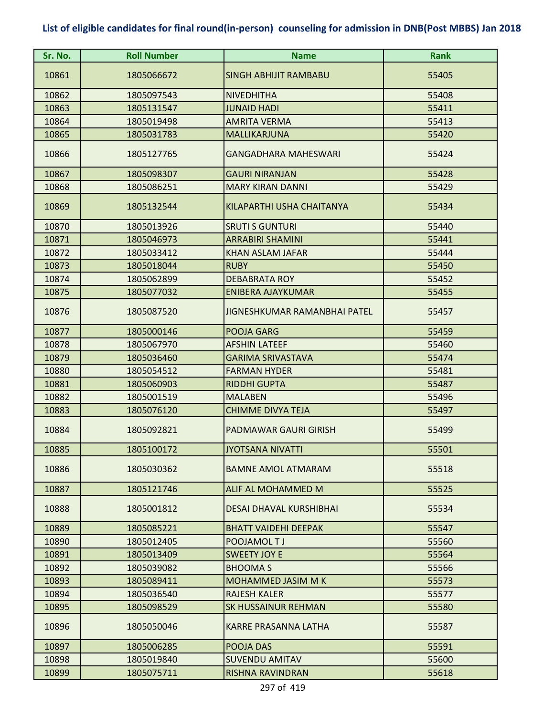| Sr. No. | <b>Roll Number</b> | <b>Name</b>                    | <b>Rank</b> |
|---------|--------------------|--------------------------------|-------------|
| 10861   | 1805066672         | <b>SINGH ABHIJIT RAMBABU</b>   | 55405       |
| 10862   | 1805097543         | <b>NIVEDHITHA</b>              | 55408       |
| 10863   | 1805131547         | <b>JUNAID HADI</b>             | 55411       |
| 10864   | 1805019498         | <b>AMRITA VERMA</b>            | 55413       |
| 10865   | 1805031783         | MALLIKARJUNA                   | 55420       |
| 10866   | 1805127765         | <b>GANGADHARA MAHESWARI</b>    | 55424       |
| 10867   | 1805098307         | <b>GAURI NIRANJAN</b>          | 55428       |
| 10868   | 1805086251         | <b>MARY KIRAN DANNI</b>        | 55429       |
| 10869   | 1805132544         | KILAPARTHI USHA CHAITANYA      | 55434       |
| 10870   | 1805013926         | <b>SRUTI S GUNTURI</b>         | 55440       |
| 10871   | 1805046973         | <b>ARRABIRI SHAMINI</b>        | 55441       |
| 10872   | 1805033412         | <b>KHAN ASLAM JAFAR</b>        | 55444       |
| 10873   | 1805018044         | <b>RUBY</b>                    | 55450       |
| 10874   | 1805062899         | <b>DEBABRATA ROY</b>           | 55452       |
| 10875   | 1805077032         | <b>ENIBERA AJAYKUMAR</b>       | 55455       |
| 10876   | 1805087520         | JIGNESHKUMAR RAMANBHAI PATEL   | 55457       |
| 10877   | 1805000146         | <b>POOJA GARG</b>              | 55459       |
| 10878   | 1805067970         | <b>AFSHIN LATEEF</b>           | 55460       |
| 10879   | 1805036460         | <b>GARIMA SRIVASTAVA</b>       | 55474       |
| 10880   | 1805054512         | <b>FARMAN HYDER</b>            | 55481       |
| 10881   | 1805060903         | <b>RIDDHI GUPTA</b>            | 55487       |
| 10882   | 1805001519         | <b>MALABEN</b>                 | 55496       |
| 10883   | 1805076120         | <b>CHIMME DIVYA TEJA</b>       | 55497       |
| 10884   | 1805092821         | PADMAWAR GAURI GIRISH          | 55499       |
| 10885   | 1805100172         | <u>JYOTSANA NIVATTI</u>        | 55501       |
| 10886   | 1805030362         | <b>BAMNE AMOL ATMARAM</b>      | 55518       |
| 10887   | 1805121746         | ALIF AL MOHAMMED M             | 55525       |
| 10888   | 1805001812         | <b>DESAI DHAVAL KURSHIBHAI</b> | 55534       |
| 10889   | 1805085221         | <b>BHATT VAIDEHI DEEPAK</b>    | 55547       |
| 10890   | 1805012405         | POOJAMOL TJ                    | 55560       |
| 10891   | 1805013409         | <b>SWEETY JOY E</b>            | 55564       |
| 10892   | 1805039082         | <b>BHOOMAS</b>                 | 55566       |
| 10893   | 1805089411         | <b>MOHAMMED JASIM M K</b>      | 55573       |
| 10894   | 1805036540         | <b>RAJESH KALER</b>            | 55577       |
| 10895   | 1805098529         | <b>SK HUSSAINUR REHMAN</b>     | 55580       |
| 10896   | 1805050046         | <b>KARRE PRASANNA LATHA</b>    | 55587       |
| 10897   | 1805006285         | POOJA DAS                      | 55591       |
| 10898   | 1805019840         | <b>SUVENDU AMITAV</b>          | 55600       |
| 10899   | 1805075711         | RISHNA RAVINDRAN               | 55618       |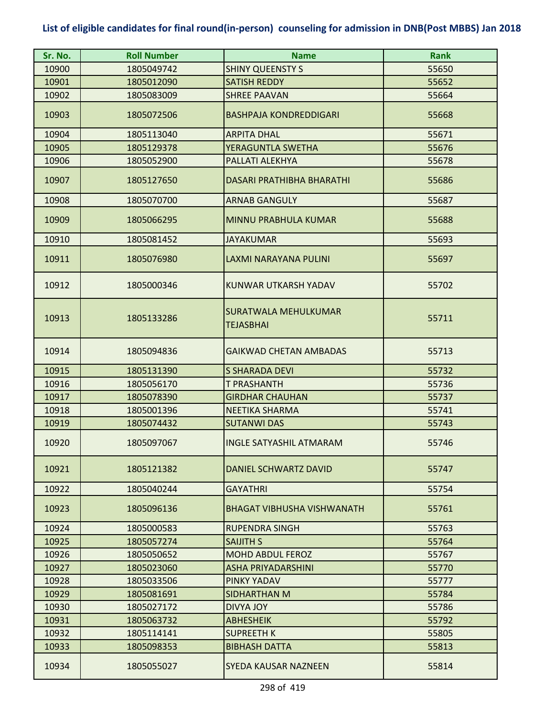| Sr. No. | <b>Roll Number</b> | <b>Name</b>                       | <b>Rank</b> |
|---------|--------------------|-----------------------------------|-------------|
| 10900   | 1805049742         | <b>SHINY QUEENSTY S</b>           | 55650       |
| 10901   | 1805012090         | <b>SATISH REDDY</b>               | 55652       |
| 10902   | 1805083009         | <b>SHREE PAAVAN</b>               | 55664       |
| 10903   | 1805072506         | <b>BASHPAJA KONDREDDIGARI</b>     | 55668       |
| 10904   | 1805113040         | <b>ARPITA DHAL</b>                | 55671       |
| 10905   | 1805129378         | YERAGUNTLA SWETHA                 | 55676       |
| 10906   | 1805052900         | PALLATI ALEKHYA                   | 55678       |
| 10907   | 1805127650         | <b>DASARI PRATHIBHA BHARATHI</b>  | 55686       |
| 10908   | 1805070700         | <b>ARNAB GANGULY</b>              | 55687       |
| 10909   | 1805066295         | <b>MINNU PRABHULA KUMAR</b>       | 55688       |
| 10910   | 1805081452         | <b>JAYAKUMAR</b>                  | 55693       |
| 10911   | 1805076980         | LAXMI NARAYANA PULINI             | 55697       |
| 10912   | 1805000346         | KUNWAR UTKARSH YADAV              | 55702       |
| 10913   | 1805133286         | SURATWALA MEHULKUMAR<br>TEJASBHAI | 55711       |
| 10914   | 1805094836         | <b>GAIKWAD CHETAN AMBADAS</b>     | 55713       |
| 10915   | 1805131390         | <b>S SHARADA DEVI</b>             | 55732       |
| 10916   | 1805056170         | T PRASHANTH                       | 55736       |
| 10917   | 1805078390         | <b>GIRDHAR CHAUHAN</b>            | 55737       |
| 10918   | 1805001396         | <b>NEETIKA SHARMA</b>             | 55741       |
| 10919   | 1805074432         | <b>SUTANWI DAS</b>                | 55743       |
| 10920   | 1805097067         | <b>INGLE SATYASHIL ATMARAM</b>    | 55746       |
| 10921   | 1805121382         | DANIEL SCHWARTZ DAVID             | 55747       |
| 10922   | 1805040244         | <b>GAYATHRI</b>                   | 55754       |
| 10923   | 1805096136         | <b>BHAGAT VIBHUSHA VISHWANATH</b> | 55761       |
| 10924   | 1805000583         | RUPENDRA SINGH                    | 55763       |
| 10925   | 1805057274         | <b>SAIJITH S</b>                  | 55764       |
| 10926   | 1805050652         | <b>MOHD ABDUL FEROZ</b>           | 55767       |
| 10927   | 1805023060         | <b>ASHA PRIYADARSHINI</b>         | 55770       |
| 10928   | 1805033506         | PINKY YADAV                       | 55777       |
| 10929   | 1805081691         | SIDHARTHAN M                      | 55784       |
| 10930   | 1805027172         | DIVYA JOY                         | 55786       |
| 10931   | 1805063732         | <b>ABHESHEIK</b>                  | 55792       |
| 10932   | 1805114141         | <b>SUPREETH K</b>                 | 55805       |
| 10933   | 1805098353         | <b>BIBHASH DATTA</b>              | 55813       |
| 10934   | 1805055027         | SYEDA KAUSAR NAZNEEN              | 55814       |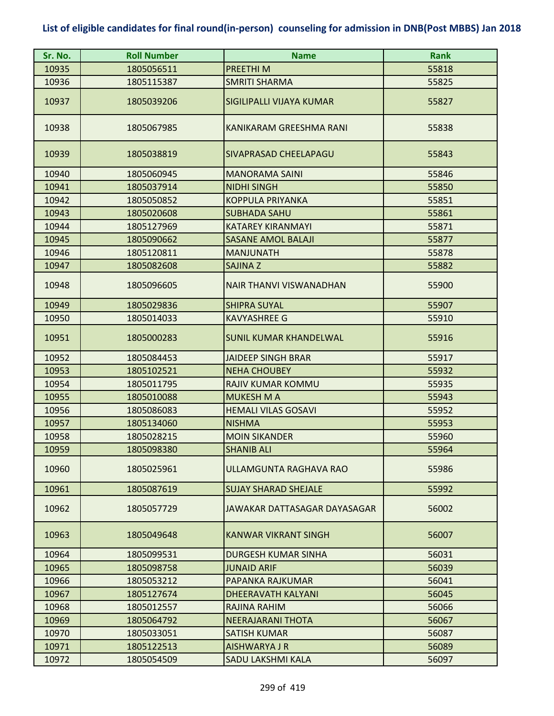| Sr. No. | <b>Roll Number</b> | <b>Name</b>                    | <b>Rank</b> |
|---------|--------------------|--------------------------------|-------------|
| 10935   | 1805056511         | PREETHI M                      | 55818       |
| 10936   | 1805115387         | <b>SMRITI SHARMA</b>           | 55825       |
| 10937   | 1805039206         | SIGILIPALLI VIJAYA KUMAR       | 55827       |
| 10938   | 1805067985         | KANIKARAM GREESHMA RANI        | 55838       |
| 10939   | 1805038819         | SIVAPRASAD CHEELAPAGU          | 55843       |
| 10940   | 1805060945         | <b>MANORAMA SAINI</b>          | 55846       |
| 10941   | 1805037914         | <b>NIDHI SINGH</b>             | 55850       |
| 10942   | 1805050852         | <b>KOPPULA PRIYANKA</b>        | 55851       |
| 10943   | 1805020608         | <b>SUBHADA SAHU</b>            | 55861       |
| 10944   | 1805127969         | <b>KATAREY KIRANMAYI</b>       | 55871       |
| 10945   | 1805090662         | <b>SASANE AMOL BALAJI</b>      | 55877       |
| 10946   | 1805120811         | <b>MANJUNATH</b>               | 55878       |
| 10947   | 1805082608         | SAJINA Z                       | 55882       |
| 10948   | 1805096605         | <b>NAIR THANVI VISWANADHAN</b> | 55900       |
| 10949   | 1805029836         | <b>SHIPRA SUYAL</b>            | 55907       |
| 10950   | 1805014033         | <b>KAVYASHREE G</b>            | 55910       |
| 10951   | 1805000283         | <b>SUNIL KUMAR KHANDELWAL</b>  | 55916       |
| 10952   | 1805084453         | <b>JAIDEEP SINGH BRAR</b>      | 55917       |
| 10953   | 1805102521         | <b>NEHA CHOUBEY</b>            | 55932       |
| 10954   | 1805011795         | RAJIV KUMAR KOMMU              | 55935       |
| 10955   | 1805010088         | <b>MUKESH M A</b>              | 55943       |
| 10956   | 1805086083         | <b>HEMALI VILAS GOSAVI</b>     | 55952       |
| 10957   | 1805134060         | <b>NISHMA</b>                  | 55953       |
| 10958   | 1805028215         | <b>MOIN SIKANDER</b>           | 55960       |
| 10959   | 1805098380         | <b>SHANIB ALI</b>              | 55964       |
| 10960   | 1805025961         | ULLAMGUNTA RAGHAVA RAO         | 55986       |
| 10961   | 1805087619         | <b>SUJAY SHARAD SHEJALE</b>    | 55992       |
| 10962   | 1805057729         | JAWAKAR DATTASAGAR DAYASAGAR   | 56002       |
| 10963   | 1805049648         | <b>KANWAR VIKRANT SINGH</b>    | 56007       |
| 10964   | 1805099531         | DURGESH KUMAR SINHA            | 56031       |
| 10965   | 1805098758         | <b>JUNAID ARIF</b>             | 56039       |
| 10966   | 1805053212         | PAPANKA RAJKUMAR               | 56041       |
| 10967   | 1805127674         | <b>DHEERAVATH KALYANI</b>      | 56045       |
| 10968   | 1805012557         | RAJINA RAHIM                   | 56066       |
| 10969   | 1805064792         | <b>NEERAJARANI THOTA</b>       | 56067       |
| 10970   | 1805033051         | SATISH KUMAR                   | 56087       |
| 10971   | 1805122513         | <b>AISHWARYA J R</b>           | 56089       |
| 10972   | 1805054509         | <b>SADU LAKSHMI KALA</b>       | 56097       |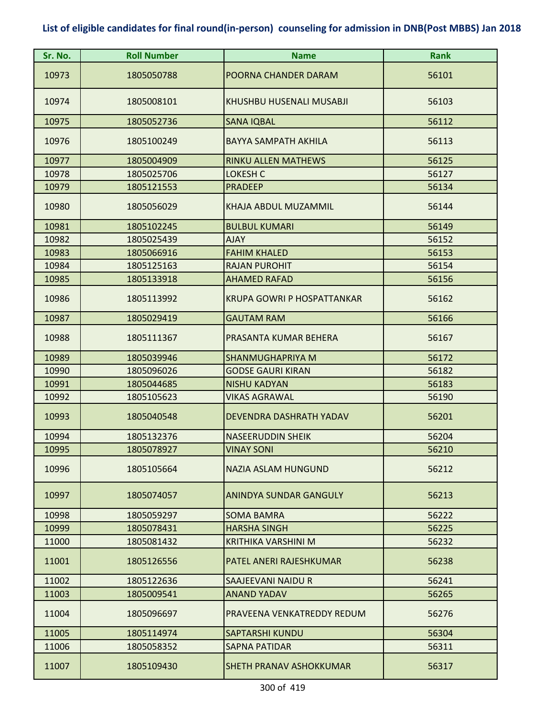| Sr. No. | <b>Roll Number</b> | <b>Name</b>                       | <b>Rank</b> |
|---------|--------------------|-----------------------------------|-------------|
| 10973   | 1805050788         | POORNA CHANDER DARAM              | 56101       |
| 10974   | 1805008101         | KHUSHBU HUSENALI MUSABJI          | 56103       |
| 10975   | 1805052736         | <b>SANA IQBAL</b>                 | 56112       |
| 10976   | 1805100249         | <b>BAYYA SAMPATH AKHILA</b>       | 56113       |
| 10977   | 1805004909         | <b>RINKU ALLEN MATHEWS</b>        | 56125       |
| 10978   | 1805025706         | <b>LOKESH C</b>                   | 56127       |
| 10979   | 1805121553         | <b>PRADEEP</b>                    | 56134       |
| 10980   | 1805056029         | KHAJA ABDUL MUZAMMIL              | 56144       |
| 10981   | 1805102245         | <b>BULBUL KUMARI</b>              | 56149       |
| 10982   | 1805025439         | <b>AJAY</b>                       | 56152       |
| 10983   | 1805066916         | <b>FAHIM KHALED</b>               | 56153       |
| 10984   | 1805125163         | <b>RAJAN PUROHIT</b>              | 56154       |
| 10985   | 1805133918         | <b>AHAMED RAFAD</b>               | 56156       |
| 10986   | 1805113992         | <b>KRUPA GOWRI P HOSPATTANKAR</b> | 56162       |
| 10987   | 1805029419         | <b>GAUTAM RAM</b>                 | 56166       |
| 10988   | 1805111367         | PRASANTA KUMAR BEHERA             | 56167       |
| 10989   | 1805039946         | <b>SHANMUGHAPRIYA M</b>           | 56172       |
| 10990   | 1805096026         | <b>GODSE GAURI KIRAN</b>          | 56182       |
| 10991   | 1805044685         | <b>NISHU KADYAN</b>               | 56183       |
| 10992   | 1805105623         | <b>VIKAS AGRAWAL</b>              | 56190       |
| 10993   | 1805040548         | <b>DEVENDRA DASHRATH YADAV</b>    | 56201       |
| 10994   | 1805132376         | <b>NASEERUDDIN SHEIK</b>          | 56204       |
| 10995   | 1805078927         | <b>VINAY SONI</b>                 | 56210       |
| 10996   | 1805105664         | NAZIA ASLAM HUNGUND               | 56212       |
| 10997   | 1805074057         | ANINDYA SUNDAR GANGULY            | 56213       |
| 10998   | 1805059297         | <b>SOMA BAMRA</b>                 | 56222       |
| 10999   | 1805078431         | <b>HARSHA SINGH</b>               | 56225       |
| 11000   | 1805081432         | <b>KRITHIKA VARSHINI M</b>        | 56232       |
| 11001   | 1805126556         | PATEL ANERI RAJESHKUMAR           | 56238       |
| 11002   | 1805122636         | SAAJEEVANI NAIDU R                | 56241       |
| 11003   | 1805009541         | ANAND YADAV                       | 56265       |
| 11004   | 1805096697         | PRAVEENA VENKATREDDY REDUM        | 56276       |
| 11005   | 1805114974         | <b>SAPTARSHI KUNDU</b>            | 56304       |
| 11006   | 1805058352         | SAPNA PATIDAR                     | 56311       |
| 11007   | 1805109430         | SHETH PRANAV ASHOKKUMAR           | 56317       |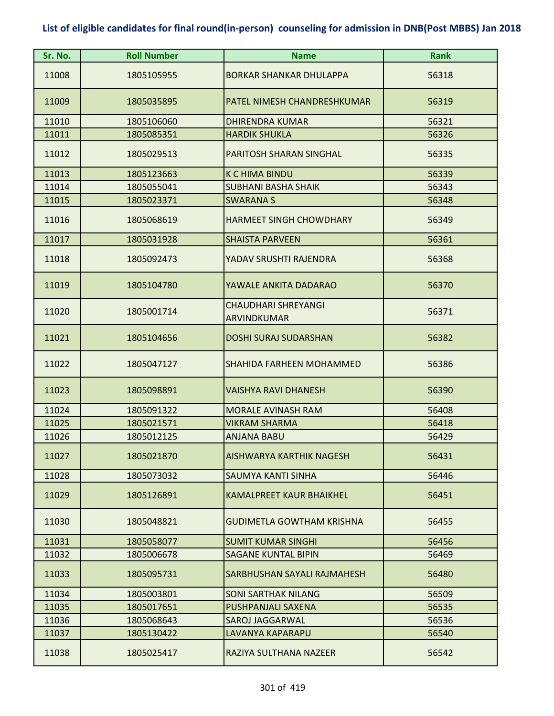| Sr. No. | <b>Roll Number</b> | <b>Name</b>                        | <b>Rank</b> |
|---------|--------------------|------------------------------------|-------------|
| 11008   | 1805105955         | <b>BORKAR SHANKAR DHULAPPA</b>     | 56318       |
| 11009   | 1805035895         | PATEL NIMESH CHANDRESHKUMAR        | 56319       |
| 11010   | 1805106060         | <b>DHIRENDRA KUMAR</b>             | 56321       |
| 11011   | 1805085351         | <b>HARDIK SHUKLA</b>               | 56326       |
| 11012   | 1805029513         | PARITOSH SHARAN SINGHAL            | 56335       |
| 11013   | 1805123663         | <b>K C HIMA BINDU</b>              | 56339       |
| 11014   | 1805055041         | <b>SUBHANI BASHA SHAIK</b>         | 56343       |
| 11015   | 1805023371         | <b>SWARANA S</b>                   | 56348       |
| 11016   | 1805068619         | <b>HARMEET SINGH CHOWDHARY</b>     | 56349       |
| 11017   | 1805031928         | <b>SHAISTA PARVEEN</b>             | 56361       |
| 11018   | 1805092473         | YADAV SRUSHTI RAJENDRA             | 56368       |
| 11019   | 1805104780         | YAWALE ANKITA DADARAO              | 56370       |
| 11020   | 1805001714         | CHAUDHARI SHREYANGI<br>ARVINDKUMAR | 56371       |
| 11021   | 1805104656         | <b>DOSHI SURAJ SUDARSHAN</b>       | 56382       |
| 11022   | 1805047127         | SHAHIDA FARHEEN MOHAMMED           | 56386       |
| 11023   | 1805098891         | <b>VAISHYA RAVI DHANESH</b>        | 56390       |
| 11024   | 1805091322         | <b>MORALE AVINASH RAM</b>          | 56408       |
| 11025   | 1805021571         | <b>VIKRAM SHARMA</b>               | 56418       |
| 11026   | 1805012125         | <b>ANJANA BABU</b>                 | 56429       |
| 11027   | 1805021870         | AISHWARYA KARTHIK NAGESH           | 56431       |
| 11028   | 1805073032         | SAUMYA KANTI SINHA                 | 56446       |
| 11029   | 1805126891         | <b>KAMALPREET KAUR BHAIKHEL</b>    | 56451       |
| 11030   | 1805048821         | <b>GUDIMETLA GOWTHAM KRISHNA</b>   | 56455       |
| 11031   | 1805058077         | <b>SUMIT KUMAR SINGHI</b>          | 56456       |
| 11032   | 1805006678         | <b>SAGANE KUNTAL BIPIN</b>         | 56469       |
| 11033   | 1805095731         | SARBHUSHAN SAYALI RAJMAHESH        | 56480       |
| 11034   | 1805003801         | <b>SONI SARTHAK NILANG</b>         | 56509       |
| 11035   | 1805017651         | <b>PUSHPANJALI SAXENA</b>          | 56535       |
| 11036   | 1805068643         | <b>SAROJ JAGGARWAL</b>             | 56536       |
| 11037   | 1805130422         | LAVANYA KAPARAPU                   | 56540       |
| 11038   | 1805025417         | RAZIYA SULTHANA NAZEER             | 56542       |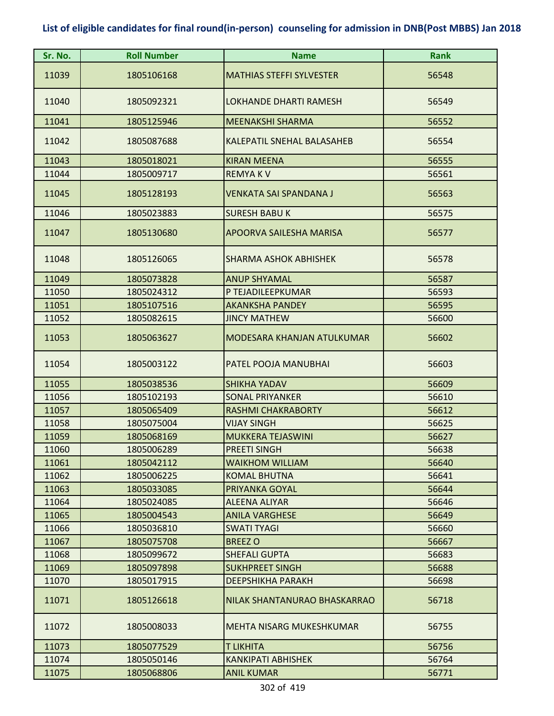| Sr. No. | <b>Roll Number</b> | <b>Name</b>                       | <b>Rank</b> |
|---------|--------------------|-----------------------------------|-------------|
| 11039   | 1805106168         | <b>MATHIAS STEFFI SYLVESTER</b>   | 56548       |
| 11040   | 1805092321         | <b>LOKHANDE DHARTI RAMESH</b>     | 56549       |
| 11041   | 1805125946         | <b>MEENAKSHI SHARMA</b>           | 56552       |
| 11042   | 1805087688         | <b>KALEPATIL SNEHAL BALASAHEB</b> | 56554       |
| 11043   | 1805018021         | <b>KIRAN MEENA</b>                | 56555       |
| 11044   | 1805009717         | <b>REMYAKV</b>                    | 56561       |
| 11045   | 1805128193         | <b>VENKATA SAI SPANDANA J</b>     | 56563       |
| 11046   | 1805023883         | <b>SURESH BABU K</b>              | 56575       |
| 11047   | 1805130680         | APOORVA SAILESHA MARISA           | 56577       |
| 11048   | 1805126065         | SHARMA ASHOK ABHISHEK             | 56578       |
| 11049   | 1805073828         | <b>ANUP SHYAMAL</b>               | 56587       |
| 11050   | 1805024312         | P TEJADILEEPKUMAR                 | 56593       |
| 11051   | 1805107516         | <b>AKANKSHA PANDEY</b>            | 56595       |
| 11052   | 1805082615         | <b>JINCY MATHEW</b>               | 56600       |
| 11053   | 1805063627         | MODESARA KHANJAN ATULKUMAR        | 56602       |
| 11054   | 1805003122         | PATEL POOJA MANUBHAI              | 56603       |
| 11055   | 1805038536         | <b>SHIKHA YADAV</b>               | 56609       |
| 11056   | 1805102193         | <b>SONAL PRIYANKER</b>            | 56610       |
| 11057   | 1805065409         | <b>RASHMI CHAKRABORTY</b>         | 56612       |
| 11058   | 1805075004         | <b>VIJAY SINGH</b>                | 56625       |
| 11059   | 1805068169         | <b>MUKKERA TEJASWINI</b>          | 56627       |
| 11060   | 1805006289         | <b>PREETI SINGH</b>               | 56638       |
| 11061   | 1805042112         | <b>WAIKHOM WILLIAM</b>            | 56640       |
| 11062   | 1805006225         | <b>KOMAL BHUTNA</b>               | 56641       |
| 11063   | 1805033085         | PRIYANKA GOYAL                    | 56644       |
| 11064   | 1805024085         | <b>ALEENA ALIYAR</b>              | 56646       |
| 11065   | 1805004543         | <b>ANILA VARGHESE</b>             | 56649       |
| 11066   | 1805036810         | <b>SWATI TYAGI</b>                | 56660       |
| 11067   | 1805075708         | <b>BREEZ O</b>                    | 56667       |
| 11068   | 1805099672         | <b>SHEFALI GUPTA</b>              | 56683       |
| 11069   | 1805097898         | <b>SUKHPREET SINGH</b>            | 56688       |
| 11070   | 1805017915         | <b>DEEPSHIKHA PARAKH</b>          | 56698       |
| 11071   | 1805126618         | NILAK SHANTANURAO BHASKARRAO      | 56718       |
| 11072   | 1805008033         | MEHTA NISARG MUKESHKUMAR          | 56755       |
| 11073   | 1805077529         | <b>T LIKHITA</b>                  | 56756       |
| 11074   | 1805050146         | KANKIPATI ABHISHEK                | 56764       |
| 11075   | 1805068806         | <b>ANIL KUMAR</b>                 | 56771       |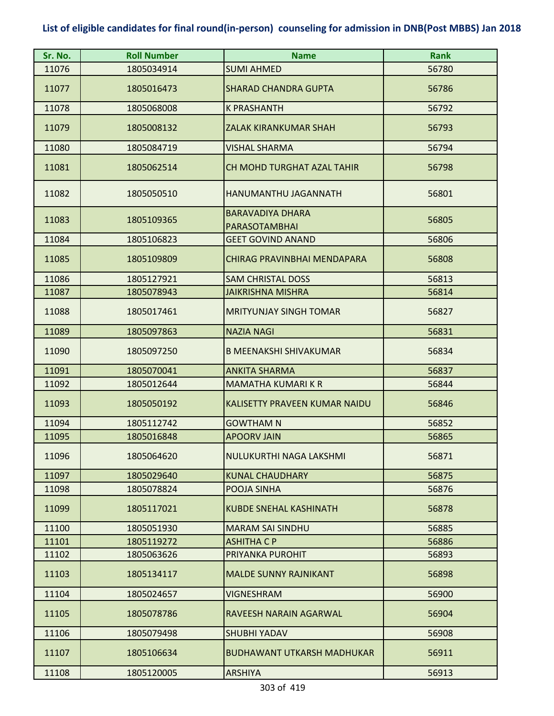| Sr. No. | <b>Roll Number</b> | <b>Name</b>                                     | <b>Rank</b> |
|---------|--------------------|-------------------------------------------------|-------------|
| 11076   | 1805034914         | <b>SUMI AHMED</b>                               | 56780       |
| 11077   | 1805016473         | <b>SHARAD CHANDRA GUPTA</b>                     | 56786       |
| 11078   | 1805068008         | <b>K PRASHANTH</b>                              | 56792       |
| 11079   | 1805008132         | ZALAK KIRANKUMAR SHAH                           | 56793       |
| 11080   | 1805084719         | <b>VISHAL SHARMA</b>                            | 56794       |
| 11081   | 1805062514         | <b>CH MOHD TURGHAT AZAL TAHIR</b>               | 56798       |
| 11082   | 1805050510         | HANUMANTHU JAGANNATH                            | 56801       |
| 11083   | 1805109365         | <b>BARAVADIYA DHARA</b><br><b>PARASOTAMBHAI</b> | 56805       |
| 11084   | 1805106823         | <b>GEET GOVIND ANAND</b>                        | 56806       |
| 11085   | 1805109809         | CHIRAG PRAVINBHAI MENDAPARA                     | 56808       |
| 11086   | 1805127921         | <b>SAM CHRISTAL DOSS</b>                        | 56813       |
| 11087   | 1805078943         | <b>JAIKRISHNA MISHRA</b>                        | 56814       |
| 11088   | 1805017461         | <b>MRITYUNJAY SINGH TOMAR</b>                   | 56827       |
| 11089   | 1805097863         | <b>NAZIA NAGI</b>                               | 56831       |
| 11090   | 1805097250         | <b>B MEENAKSHI SHIVAKUMAR</b>                   | 56834       |
| 11091   | 1805070041         | <b>ANKITA SHARMA</b>                            | 56837       |
| 11092   | 1805012644         | MAMATHA KUMARI K R                              | 56844       |
| 11093   | 1805050192         | KALISETTY PRAVEEN KUMAR NAIDU                   | 56846       |
| 11094   | 1805112742         | <b>GOWTHAM N</b>                                | 56852       |
| 11095   | 1805016848         | <b>APOORV JAIN</b>                              | 56865       |
| 11096   | 1805064620         | NULUKURTHI NAGA LAKSHMI                         | 56871       |
| 11097   | 1805029640         | <b>KUNAL CHAUDHARY</b>                          | 56875       |
| 11098   | 1805078824         | POOJA SINHA                                     | 56876       |
| 11099   | 1805117021         | <b>KUBDE SNEHAL KASHINATH</b>                   | 56878       |
| 11100   | 1805051930         | <b>MARAM SAI SINDHU</b>                         | 56885       |
| 11101   | 1805119272         | <b>ASHITHA C P</b>                              | 56886       |
| 11102   | 1805063626         | PRIYANKA PUROHIT                                | 56893       |
| 11103   | 1805134117         | <b>MALDE SUNNY RAJNIKANT</b>                    | 56898       |
| 11104   | 1805024657         | <b>VIGNESHRAM</b>                               | 56900       |
| 11105   | 1805078786         | RAVEESH NARAIN AGARWAL                          | 56904       |
| 11106   | 1805079498         | <b>SHUBHI YADAV</b>                             | 56908       |
| 11107   | 1805106634         | <b>BUDHAWANT UTKARSH MADHUKAR</b>               | 56911       |
| 11108   | 1805120005         | <b>ARSHIYA</b>                                  | 56913       |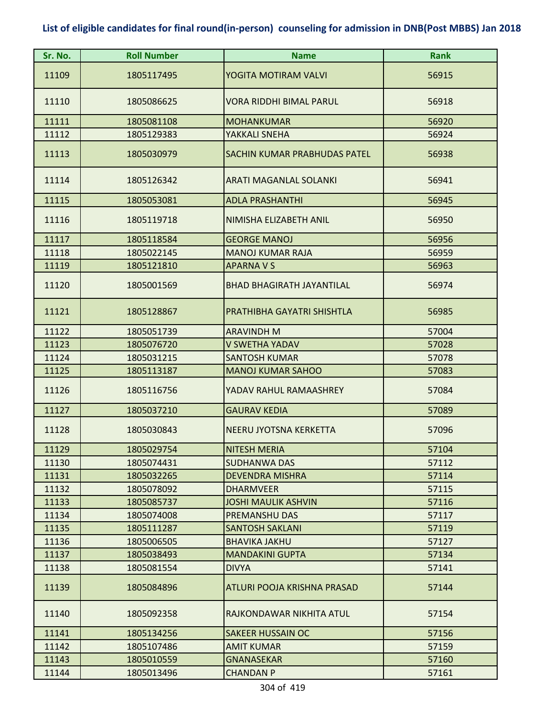| Sr. No. | <b>Roll Number</b> | <b>Name</b>                      | <b>Rank</b> |
|---------|--------------------|----------------------------------|-------------|
| 11109   | 1805117495         | YOGITA MOTIRAM VALVI             | 56915       |
| 11110   | 1805086625         | VORA RIDDHI BIMAL PARUL          | 56918       |
| 11111   | 1805081108         | <b>MOHANKUMAR</b>                | 56920       |
| 11112   | 1805129383         | YAKKALI SNEHA                    | 56924       |
| 11113   | 1805030979         | SACHIN KUMAR PRABHUDAS PATEL     | 56938       |
| 11114   | 1805126342         | ARATI MAGANLAL SOLANKI           | 56941       |
| 11115   | 1805053081         | <b>ADLA PRASHANTHI</b>           | 56945       |
| 11116   | 1805119718         | NIMISHA ELIZABETH ANIL           | 56950       |
| 11117   | 1805118584         | <b>GEORGE MANOJ</b>              | 56956       |
| 11118   | 1805022145         | <b>MANOJ KUMAR RAJA</b>          | 56959       |
| 11119   | 1805121810         | <b>APARNA V S</b>                | 56963       |
| 11120   | 1805001569         | <b>BHAD BHAGIRATH JAYANTILAL</b> | 56974       |
| 11121   | 1805128867         | PRATHIBHA GAYATRI SHISHTLA       | 56985       |
| 11122   | 1805051739         | <b>ARAVINDH M</b>                | 57004       |
| 11123   | 1805076720         | <b>V SWETHA YADAV</b>            | 57028       |
| 11124   | 1805031215         | <b>SANTOSH KUMAR</b>             | 57078       |
| 11125   | 1805113187         | <b>MANOJ KUMAR SAHOO</b>         | 57083       |
| 11126   | 1805116756         | YADAV RAHUL RAMAASHREY           | 57084       |
| 11127   | 1805037210         | <b>GAURAV KEDIA</b>              | 57089       |
| 11128   | 1805030843         | NEERU JYOTSNA KERKETTA           | 57096       |
| 11129   | 1805029754         | <b>NITESH MERIA</b>              | 57104       |
| 11130   | 1805074431         | SUDHANWA DAS                     | 57112       |
| 11131   | 1805032265         | <b>DEVENDRA MISHRA</b>           | 57114       |
| 11132   | 1805078092         | <b>DHARMVEER</b>                 | 57115       |
| 11133   | 1805085737         | <b>JOSHI MAULIK ASHVIN</b>       | 57116       |
| 11134   | 1805074008         | PREMANSHU DAS                    | 57117       |
| 11135   | 1805111287         | <b>SANTOSH SAKLANI</b>           | 57119       |
| 11136   | 1805006505         | <b>BHAVIKA JAKHU</b>             | 57127       |
| 11137   | 1805038493         | <b>MANDAKINI GUPTA</b>           | 57134       |
| 11138   | 1805081554         | <b>DIVYA</b>                     | 57141       |
| 11139   | 1805084896         | ATLURI POOJA KRISHNA PRASAD      | 57144       |
| 11140   | 1805092358         | RAJKONDAWAR NIKHITA ATUL         | 57154       |
| 11141   | 1805134256         | <b>SAKEER HUSSAIN OC</b>         | 57156       |
| 11142   | 1805107486         | <b>AMIT KUMAR</b>                | 57159       |
| 11143   | 1805010559         | <b>GNANASEKAR</b>                | 57160       |
| 11144   | 1805013496         | <b>CHANDAN P</b>                 | 57161       |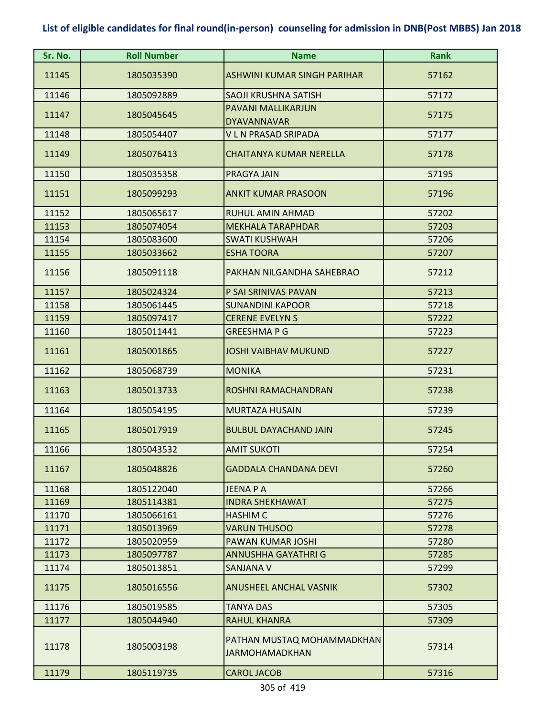| Sr. No. | <b>Roll Number</b> | <b>Name</b>                                         | <b>Rank</b> |
|---------|--------------------|-----------------------------------------------------|-------------|
| 11145   | 1805035390         | ASHWINI KUMAR SINGH PARIHAR                         | 57162       |
| 11146   | 1805092889         | SAOJI KRUSHNA SATISH                                | 57172       |
| 11147   | 1805045645         | PAVANI MALLIKARJUN<br><b>DYAVANNAVAR</b>            | 57175       |
| 11148   | 1805054407         | <b>VLN PRASAD SRIPADA</b>                           | 57177       |
| 11149   | 1805076413         | <b>CHAITANYA KUMAR NERELLA</b>                      | 57178       |
| 11150   | 1805035358         | PRAGYA JAIN                                         | 57195       |
| 11151   | 1805099293         | <b>ANKIT KUMAR PRASOON</b>                          | 57196       |
| 11152   | 1805065617         | <b>RUHUL AMIN AHMAD</b>                             | 57202       |
| 11153   | 1805074054         | <b>MEKHALA TARAPHDAR</b>                            | 57203       |
| 11154   | 1805083600         | <b>SWATI KUSHWAH</b>                                | 57206       |
| 11155   | 1805033662         | <b>ESHA TOORA</b>                                   | 57207       |
| 11156   | 1805091118         | PAKHAN NILGANDHA SAHEBRAO                           | 57212       |
| 11157   | 1805024324         | P SAI SRINIVAS PAVAN                                | 57213       |
| 11158   | 1805061445         | <b>SUNANDINI KAPOOR</b>                             | 57218       |
| 11159   | 1805097417         | <b>CERENE EVELYN S</b>                              | 57222       |
| 11160   | 1805011441         | <b>GREESHMAPG</b>                                   | 57223       |
| 11161   | 1805001865         | <b>JOSHI VAIBHAV MUKUND</b>                         | 57227       |
| 11162   | 1805068739         | <b>MONIKA</b>                                       | 57231       |
| 11163   | 1805013733         | ROSHNI RAMACHANDRAN                                 | 57238       |
| 11164   | 1805054195         | <b>MURTAZA HUSAIN</b>                               | 57239       |
| 11165   | 1805017919         | <b>BULBUL DAYACHAND JAIN</b>                        | 57245       |
| 11166   | 1805043532         | <b>AMIT SUKOTI</b>                                  | 57254       |
| 11167   | 1805048826         | <b>GADDALA CHANDANA DEVI</b>                        | 57260       |
| 11168   | 1805122040         | <b>JEENA P A</b>                                    | 57266       |
| 11169   | 1805114381         | <b>INDRA SHEKHAWAT</b>                              | 57275       |
| 11170   | 1805066161         | <b>HASHIM C</b>                                     | 57276       |
| 11171   | 1805013969         | <b>VARUN THUSOO</b>                                 | 57278       |
| 11172   | 1805020959         | PAWAN KUMAR JOSHI                                   | 57280       |
| 11173   | 1805097787         | ANNUSHHA GAYATHRI G                                 | 57285       |
| 11174   | 1805013851         | <b>SANJANA V</b>                                    | 57299       |
| 11175   | 1805016556         | <b>ANUSHEEL ANCHAL VASNIK</b>                       | 57302       |
| 11176   | 1805019585         | <b>TANYA DAS</b>                                    | 57305       |
| 11177   | 1805044940         | <b>RAHUL KHANRA</b>                                 | 57309       |
| 11178   | 1805003198         | PATHAN MUSTAQ MOHAMMADKHAN<br><b>JARMOHAMADKHAN</b> | 57314       |
| 11179   | 1805119735         | <b>CAROL JACOB</b>                                  | 57316       |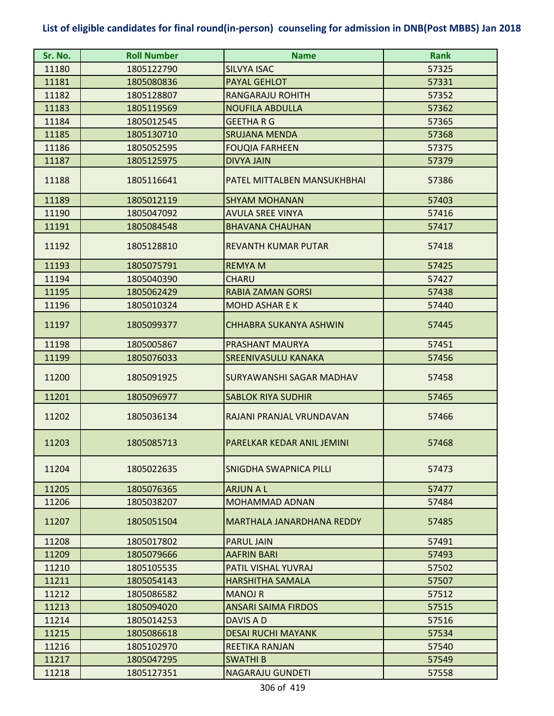| Sr. No. | <b>Roll Number</b> | <b>Name</b>                      | <b>Rank</b> |
|---------|--------------------|----------------------------------|-------------|
| 11180   | 1805122790         | <b>SILVYA ISAC</b>               | 57325       |
| 11181   | 1805080836         | <b>PAYAL GEHLOT</b>              | 57331       |
| 11182   | 1805128807         | <b>RANGARAJU ROHITH</b>          | 57352       |
| 11183   | 1805119569         | <b>NOUFILA ABDULLA</b>           | 57362       |
| 11184   | 1805012545         | <b>GEETHARG</b>                  | 57365       |
| 11185   | 1805130710         | <b>SRUJANA MENDA</b>             | 57368       |
| 11186   | 1805052595         | <b>FOUQIA FARHEEN</b>            | 57375       |
| 11187   | 1805125975         | <b>DIVYA JAIN</b>                | 57379       |
| 11188   | 1805116641         | PATEL MITTALBEN MANSUKHBHAI      | 57386       |
| 11189   | 1805012119         | <b>SHYAM MOHANAN</b>             | 57403       |
| 11190   | 1805047092         | <b>AVULA SREE VINYA</b>          | 57416       |
| 11191   | 1805084548         | <b>BHAVANA CHAUHAN</b>           | 57417       |
| 11192   | 1805128810         | <b>REVANTH KUMAR PUTAR</b>       | 57418       |
| 11193   | 1805075791         | <b>REMYAM</b>                    | 57425       |
| 11194   | 1805040390         | <b>CHARU</b>                     | 57427       |
| 11195   | 1805062429         | <b>RABIA ZAMAN GORSI</b>         | 57438       |
| 11196   | 1805010324         | <b>MOHD ASHAR E K</b>            | 57440       |
| 11197   | 1805099377         | <b>CHHABRA SUKANYA ASHWIN</b>    | 57445       |
| 11198   | 1805005867         | PRASHANT MAURYA                  | 57451       |
| 11199   | 1805076033         | <b>SREENIVASULU KANAKA</b>       | 57456       |
| 11200   | 1805091925         | SURYAWANSHI SAGAR MADHAV         | 57458       |
| 11201   | 1805096977         | <b>SABLOK RIYA SUDHIR</b>        | 57465       |
| 11202   | 1805036134         | RAJANI PRANJAL VRUNDAVAN         | 57466       |
| 11203   | 1805085713         | PARELKAR KEDAR ANIL JEMINI       | 57468       |
| 11204   | 1805022635         | SNIGDHA SWAPNICA PILLI           | 57473       |
| 11205   | 1805076365         | <b>ARJUN A L</b>                 | 57477       |
| 11206   | 1805038207         | <b>MOHAMMAD ADNAN</b>            | 57484       |
| 11207   | 1805051504         | <b>MARTHALA JANARDHANA REDDY</b> | 57485       |
| 11208   | 1805017802         | <b>PARUL JAIN</b>                | 57491       |
| 11209   | 1805079666         | <b>AAFRIN BARI</b>               | 57493       |
| 11210   | 1805105535         | <b>PATIL VISHAL YUVRAJ</b>       | 57502       |
| 11211   | 1805054143         | <b>HARSHITHA SAMALA</b>          | 57507       |
| 11212   | 1805086582         | <b>MANOJ R</b>                   | 57512       |
| 11213   | 1805094020         | <b>ANSARI SAIMA FIRDOS</b>       | 57515       |
| 11214   | 1805014253         | DAVIS A D                        | 57516       |
| 11215   | 1805086618         | <b>DESAI RUCHI MAYANK</b>        | 57534       |
| 11216   | 1805102970         | <b>REETIKA RANJAN</b>            | 57540       |
| 11217   | 1805047295         | <b>SWATHIB</b>                   | 57549       |
| 11218   | 1805127351         | <b>NAGARAJU GUNDETI</b>          | 57558       |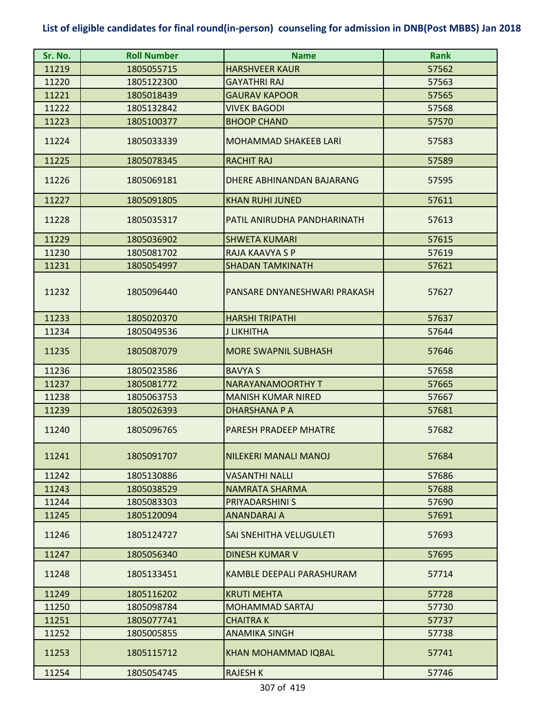| Sr. No. | <b>Roll Number</b> | <b>Name</b>                  | <b>Rank</b> |
|---------|--------------------|------------------------------|-------------|
| 11219   | 1805055715         | <b>HARSHVEER KAUR</b>        | 57562       |
| 11220   | 1805122300         | <b>GAYATHRI RAJ</b>          | 57563       |
| 11221   | 1805018439         | <b>GAURAV KAPOOR</b>         | 57565       |
| 11222   | 1805132842         | <b>VIVEK BAGODI</b>          | 57568       |
| 11223   | 1805100377         | <b>BHOOP CHAND</b>           | 57570       |
| 11224   | 1805033339         | <b>MOHAMMAD SHAKEEB LARI</b> | 57583       |
| 11225   | 1805078345         | <b>RACHIT RAJ</b>            | 57589       |
| 11226   | 1805069181         | DHERE ABHINANDAN BAJARANG    | 57595       |
| 11227   | 1805091805         | <b>KHAN RUHI JUNED</b>       | 57611       |
| 11228   | 1805035317         | PATIL ANIRUDHA PANDHARINATH  | 57613       |
| 11229   | 1805036902         | <b>SHWETA KUMARI</b>         | 57615       |
| 11230   | 1805081702         | RAJA KAAVYA S P              | 57619       |
| 11231   | 1805054997         | <b>SHADAN TAMKINATH</b>      | 57621       |
| 11232   | 1805096440         | PANSARE DNYANESHWARI PRAKASH | 57627       |
| 11233   | 1805020370         | <b>HARSHI TRIPATHI</b>       | 57637       |
| 11234   | 1805049536         | J LIKHITHA                   | 57644       |
| 11235   | 1805087079         | <b>MORE SWAPNIL SUBHASH</b>  | 57646       |
| 11236   | 1805023586         | <b>BAVYA S</b>               | 57658       |
| 11237   | 1805081772         | <b>NARAYANAMOORTHY T</b>     | 57665       |
| 11238   | 1805063753         | <b>MANISH KUMAR NIRED</b>    | 57667       |
| 11239   | 1805026393         | <b>DHARSHANA P A</b>         | 57681       |
| 11240   | 1805096765         | <b>PARESH PRADEEP MHATRE</b> | 57682       |
| 11241   | 1805091707         | NILEKERI MANALI MANOJ        | 57684       |
| 11242   | 1805130886         | <b>VASANTHI NALLI</b>        | 57686       |
| 11243   | 1805038529         | <b>NAMRATA SHARMA</b>        | 57688       |
| 11244   | 1805083303         | PRIYADARSHINI S              | 57690       |
| 11245   | 1805120094         | <b>ANANDARAJ A</b>           | 57691       |
| 11246   | 1805124727         | SAI SNEHITHA VELUGULETI      | 57693       |
| 11247   | 1805056340         | <b>DINESH KUMAR V</b>        | 57695       |
| 11248   | 1805133451         | KAMBLE DEEPALI PARASHURAM    | 57714       |
| 11249   | 1805116202         | <b>KRUTI MEHTA</b>           | 57728       |
| 11250   | 1805098784         | <b>MOHAMMAD SARTAJ</b>       | 57730       |
| 11251   | 1805077741         | <b>CHAITRAK</b>              | 57737       |
| 11252   | 1805005855         | <b>ANAMIKA SINGH</b>         | 57738       |
| 11253   | 1805115712         | <b>KHAN MOHAMMAD IQBAL</b>   | 57741       |
| 11254   | 1805054745         | <b>RAJESH K</b>              | 57746       |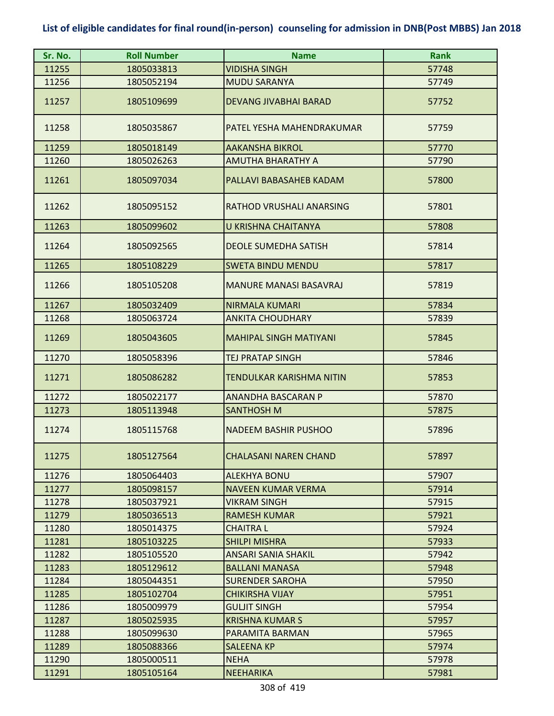| Sr. No.        | <b>Roll Number</b>       | <b>Name</b>                          | <b>Rank</b>    |
|----------------|--------------------------|--------------------------------------|----------------|
| 11255          | 1805033813               | <b>VIDISHA SINGH</b>                 | 57748          |
| 11256          | 1805052194               | <b>MUDU SARANYA</b>                  | 57749          |
| 11257          | 1805109699               | <b>DEVANG JIVABHAI BARAD</b>         | 57752          |
| 11258          | 1805035867               | PATEL YESHA MAHENDRAKUMAR            | 57759          |
| 11259          | 1805018149               | <b>AAKANSHA BIKROL</b>               | 57770          |
| 11260          | 1805026263               | AMUTHA BHARATHY A                    | 57790          |
| 11261          | 1805097034               | PALLAVI BABASAHEB KADAM              | 57800          |
| 11262          | 1805095152               | RATHOD VRUSHALI ANARSING             | 57801          |
| 11263          | 1805099602               | <b>U KRISHNA CHAITANYA</b>           | 57808          |
| 11264          | 1805092565               | <b>DEOLE SUMEDHA SATISH</b>          | 57814          |
| 11265          | 1805108229               | <b>SWETA BINDU MENDU</b>             | 57817          |
| 11266          | 1805105208               | <b>MANURE MANASI BASAVRAJ</b>        | 57819          |
| 11267          | 1805032409               | <b>NIRMALA KUMARI</b>                | 57834          |
| 11268          | 1805063724               | <b>ANKITA CHOUDHARY</b>              | 57839          |
| 11269          | 1805043605               | <b>MAHIPAL SINGH MATIYANI</b>        | 57845          |
| 11270          | 1805058396               | <b>TEJ PRATAP SINGH</b>              | 57846          |
| 11271          | 1805086282               | TENDULKAR KARISHMA NITIN             | 57853          |
| 11272          | 1805022177               | <b>ANANDHA BASCARAN P</b>            | 57870          |
| 11273          | 1805113948               | <b>SANTHOSH M</b>                    | 57875          |
| 11274          | 1805115768               | <b>NADEEM BASHIR PUSHOO</b>          | 57896          |
| 11275          | 1805127564               | <b>CHALASANI NAREN CHAND</b>         | 57897          |
| 11276          | 1805064403               | <b>ALEKHYA BONU</b>                  | 57907          |
| 11277          | 1805098157               | <b>NAVEEN KUMAR VERMA</b>            | 57914          |
| 11278          | 1805037921               | <b>VIKRAM SINGH</b>                  | 57915          |
| 11279          | 1805036513               | <b>RAMESH KUMAR</b>                  | 57921          |
| 11280          | 1805014375               | <b>CHAITRAL</b>                      | 57924          |
| 11281          | 1805103225               | <b>SHILPI MISHRA</b>                 | 57933          |
| 11282          | 1805105520               | <b>ANSARI SANIA SHAKIL</b>           | 57942          |
| 11283          | 1805129612               | <b>BALLANI MANASA</b>                | 57948          |
| 11284          | 1805044351               | <b>SURENDER SAROHA</b>               | 57950          |
| 11285          | 1805102704               | <b>CHIKIRSHA VIJAY</b>               | 57951          |
| 11286          | 1805009979               | <b>GULJIT SINGH</b>                  | 57954          |
| 11287          | 1805025935               | <b>KRISHNA KUMAR S</b>               | 57957          |
| 11288<br>11289 | 1805099630<br>1805088366 | PARAMITA BARMAN<br><b>SALEENA KP</b> | 57965<br>57974 |
| 11290          | 1805000511               | <b>NEHA</b>                          | 57978          |
| 11291          | 1805105164               | <b>NEEHARIKA</b>                     | 57981          |
|                |                          |                                      |                |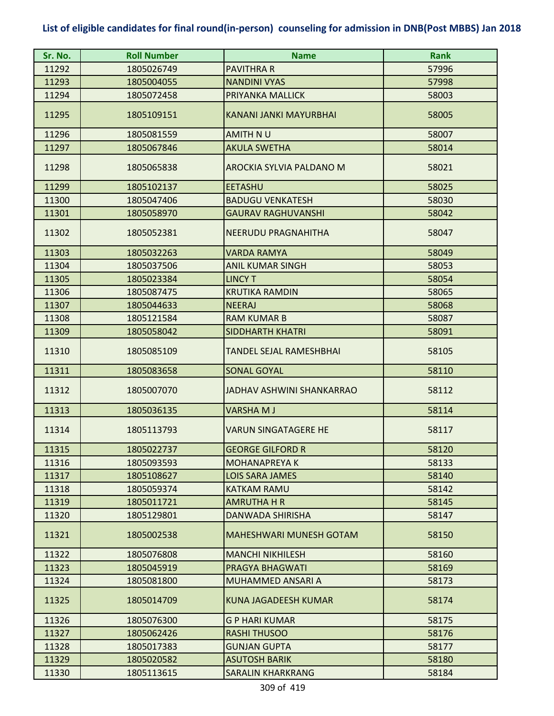| Sr. No. | <b>Roll Number</b> | <b>Name</b>                      | <b>Rank</b> |
|---------|--------------------|----------------------------------|-------------|
| 11292   | 1805026749         | <b>PAVITHRA R</b>                | 57996       |
| 11293   | 1805004055         | <b>NANDINI VYAS</b>              | 57998       |
| 11294   | 1805072458         | PRIYANKA MALLICK                 | 58003       |
| 11295   | 1805109151         | KANANI JANKI MAYURBHAI           | 58005       |
| 11296   | 1805081559         | AMITH NU                         | 58007       |
| 11297   | 1805067846         | <b>AKULA SWETHA</b>              | 58014       |
| 11298   | 1805065838         | AROCKIA SYLVIA PALDANO M         | 58021       |
| 11299   | 1805102137         | <b>EETASHU</b>                   | 58025       |
| 11300   | 1805047406         | <b>BADUGU VENKATESH</b>          | 58030       |
| 11301   | 1805058970         | <b>GAURAV RAGHUVANSHI</b>        | 58042       |
| 11302   | 1805052381         | <b>NEERUDU PRAGNAHITHA</b>       | 58047       |
| 11303   | 1805032263         | <b>VARDA RAMYA</b>               | 58049       |
| 11304   | 1805037506         | <b>ANIL KUMAR SINGH</b>          | 58053       |
| 11305   | 1805023384         | <b>LINCY T</b>                   | 58054       |
| 11306   | 1805087475         | <b>KRUTIKA RAMDIN</b>            | 58065       |
| 11307   | 1805044633         | <b>NEERAJ</b>                    | 58068       |
| 11308   | 1805121584         | <b>RAM KUMAR B</b>               | 58087       |
| 11309   | 1805058042         | <b>SIDDHARTH KHATRI</b>          | 58091       |
| 11310   | 1805085109         | TANDEL SEJAL RAMESHBHAI          | 58105       |
| 11311   | 1805083658         | <b>SONAL GOYAL</b>               | 58110       |
| 11312   | 1805007070         | <b>JADHAV ASHWINI SHANKARRAO</b> | 58112       |
| 11313   | 1805036135         | <b>VARSHAMJ</b>                  | 58114       |
| 11314   | 1805113793         | VARUN SINGATAGERE HE             | 58117       |
| 11315   | 1805022737         | <b>GEORGE GILFORD R</b>          | 58120       |
| 11316   | 1805093593         | <b>MOHANAPREYA K</b>             | 58133       |
| 11317   | 1805108627         | <b>LOIS SARA JAMES</b>           | 58140       |
| 11318   | 1805059374         | <b>KATKAM RAMU</b>               | 58142       |
| 11319   | 1805011721         | <b>AMRUTHA H R</b>               | 58145       |
| 11320   | 1805129801         | <b>DANWADA SHIRISHA</b>          | 58147       |
| 11321   | 1805002538         | <b>MAHESHWARI MUNESH GOTAM</b>   | 58150       |
| 11322   | 1805076808         | <b>MANCHI NIKHILESH</b>          | 58160       |
| 11323   | 1805045919         | PRAGYA BHAGWATI                  | 58169       |
| 11324   | 1805081800         | <b>MUHAMMED ANSARI A</b>         | 58173       |
| 11325   | 1805014709         | <b>KUNA JAGADEESH KUMAR</b>      | 58174       |
| 11326   | 1805076300         | <b>GP HARI KUMAR</b>             | 58175       |
| 11327   | 1805062426         | <b>RASHI THUSOO</b>              | 58176       |
| 11328   | 1805017383         | <b>GUNJAN GUPTA</b>              | 58177       |
| 11329   | 1805020582         | <b>ASUTOSH BARIK</b>             | 58180       |
| 11330   | 1805113615         | <b>SARALIN KHARKRANG</b>         | 58184       |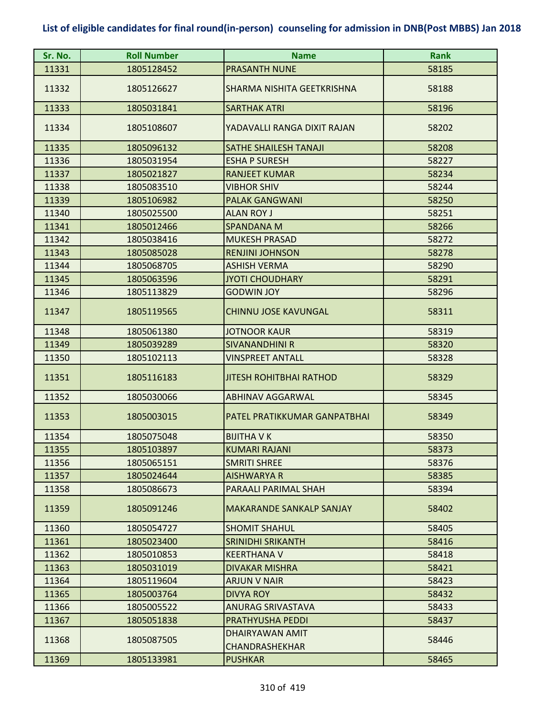| Sr. No. | <b>Roll Number</b> | <b>Name</b>                              | <b>Rank</b> |
|---------|--------------------|------------------------------------------|-------------|
| 11331   | 1805128452         | <b>PRASANTH NUNE</b>                     | 58185       |
| 11332   | 1805126627         | SHARMA NISHITA GEETKRISHNA               | 58188       |
| 11333   | 1805031841         | <b>SARTHAK ATRI</b>                      | 58196       |
| 11334   | 1805108607         | YADAVALLI RANGA DIXIT RAJAN              | 58202       |
| 11335   | 1805096132         | SATHE SHAILESH TANAJI                    | 58208       |
| 11336   | 1805031954         | <b>ESHA P SURESH</b>                     | 58227       |
| 11337   | 1805021827         | <b>RANJEET KUMAR</b>                     | 58234       |
| 11338   | 1805083510         | <b>VIBHOR SHIV</b>                       | 58244       |
| 11339   | 1805106982         | <b>PALAK GANGWANI</b>                    | 58250       |
| 11340   | 1805025500         | <b>ALAN ROY J</b>                        | 58251       |
| 11341   | 1805012466         | <b>SPANDANA M</b>                        | 58266       |
| 11342   | 1805038416         | <b>MUKESH PRASAD</b>                     | 58272       |
| 11343   | 1805085028         | <b>RENJINI JOHNSON</b>                   | 58278       |
| 11344   | 1805068705         | <b>ASHISH VERMA</b>                      | 58290       |
| 11345   | 1805063596         | <b>JYOTI CHOUDHARY</b>                   | 58291       |
| 11346   | 1805113829         | <b>GODWIN JOY</b>                        | 58296       |
| 11347   | 1805119565         | <b>CHINNU JOSE KAVUNGAL</b>              | 58311       |
| 11348   | 1805061380         | <b>JOTNOOR KAUR</b>                      | 58319       |
| 11349   | 1805039289         | <b>SIVANANDHINI R</b>                    | 58320       |
| 11350   | 1805102113         | <b>VINSPREET ANTALL</b>                  | 58328       |
| 11351   | 1805116183         | <b>JITESH ROHITBHAI RATHOD</b>           | 58329       |
| 11352   | 1805030066         | <b>ABHINAV AGGARWAL</b>                  | 58345       |
| 11353   | 1805003015         | PATEL PRATIKKUMAR GANPATBHAI             | 58349       |
| 11354   | 1805075048         | <b>BIJITHA V K</b>                       | 58350       |
| 11355   | 1805103897         | KUMARI RAJANI                            | 58373       |
| 11356   | 1805065151         | <b>SMRITI SHREE</b>                      | 58376       |
| 11357   | 1805024644         | <b>AISHWARYA R</b>                       | 58385       |
| 11358   | 1805086673         | PARAALI PARIMAL SHAH                     | 58394       |
| 11359   | 1805091246         | MAKARANDE SANKALP SANJAY                 | 58402       |
| 11360   | 1805054727         | <b>SHOMIT SHAHUL</b>                     | 58405       |
| 11361   | 1805023400         | SRINIDHI SRIKANTH                        | 58416       |
| 11362   | 1805010853         | <b>KEERTHANA V</b>                       | 58418       |
| 11363   | 1805031019         | <b>DIVAKAR MISHRA</b>                    | 58421       |
| 11364   | 1805119604         | <b>ARJUN V NAIR</b>                      | 58423       |
| 11365   | 1805003764         | DIVYA ROY                                | 58432       |
| 11366   | 1805005522         | <b>ANURAG SRIVASTAVA</b>                 | 58433       |
| 11367   | 1805051838         | <b>PRATHYUSHA PEDDI</b>                  | 58437       |
| 11368   | 1805087505         | DHAIRYAWAN AMIT<br><b>CHANDRASHEKHAR</b> | 58446       |
| 11369   | 1805133981         | <b>PUSHKAR</b>                           | 58465       |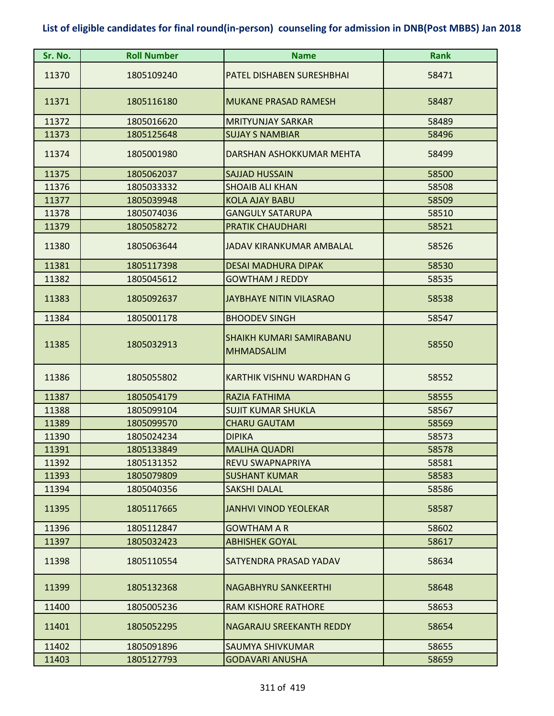| Sr. No. | <b>Roll Number</b> | <b>Name</b>                                          | <b>Rank</b> |
|---------|--------------------|------------------------------------------------------|-------------|
| 11370   | 1805109240         | PATEL DISHABEN SURESHBHAI                            | 58471       |
| 11371   | 1805116180         | <b>MUKANE PRASAD RAMESH</b>                          | 58487       |
| 11372   | 1805016620         | <b>MRITYUNJAY SARKAR</b>                             | 58489       |
| 11373   | 1805125648         | <b>SUJAY S NAMBIAR</b>                               | 58496       |
| 11374   | 1805001980         | DARSHAN ASHOKKUMAR MEHTA                             | 58499       |
| 11375   | 1805062037         | <b>SAJJAD HUSSAIN</b>                                | 58500       |
| 11376   | 1805033332         | <b>SHOAIB ALI KHAN</b>                               | 58508       |
| 11377   | 1805039948         | <b>KOLA AJAY BABU</b>                                | 58509       |
| 11378   | 1805074036         | <b>GANGULY SATARUPA</b>                              | 58510       |
| 11379   | 1805058272         | <b>PRATIK CHAUDHARI</b>                              | 58521       |
| 11380   | 1805063644         | JADAV KIRANKUMAR AMBALAL                             | 58526       |
| 11381   | 1805117398         | <b>DESAI MADHURA DIPAK</b>                           | 58530       |
| 11382   | 1805045612         | <b>GOWTHAM J REDDY</b>                               | 58535       |
| 11383   | 1805092637         | <b>JAYBHAYE NITIN VILASRAO</b>                       | 58538       |
| 11384   | 1805001178         | <b>BHOODEV SINGH</b>                                 | 58547       |
| 11385   | 1805032913         | <b>SHAIKH KUMARI SAMIRABANU</b><br><b>MHMADSALIM</b> | 58550       |
| 11386   | 1805055802         | <b>KARTHIK VISHNU WARDHAN G</b>                      | 58552       |
| 11387   | 1805054179         | RAZIA FATHIMA                                        | 58555       |
| 11388   | 1805099104         | <b>SUJIT KUMAR SHUKLA</b>                            | 58567       |
| 11389   | 1805099570         | <b>CHARU GAUTAM</b>                                  | 58569       |
| 11390   | 1805024234         | <b>DIPIKA</b>                                        | 58573       |
| 11391   | 1805133849         | <b>MALIHA QUADRI</b>                                 | 58578       |
| 11392   | 1805131352         | REVU SWAPNAPRIYA                                     | 58581       |
| 11393   | 1805079809         | <b>SUSHANT KUMAR</b>                                 | 58583       |
| 11394   | 1805040356         | <b>SAKSHI DALAL</b>                                  | 58586       |
| 11395   | 1805117665         | <b>JANHVI VINOD YEOLEKAR</b>                         | 58587       |
| 11396   | 1805112847         | <b>GOWTHAM A R</b>                                   | 58602       |
| 11397   | 1805032423         | <b>ABHISHEK GOYAL</b>                                | 58617       |
| 11398   | 1805110554         | SATYENDRA PRASAD YADAV                               | 58634       |
| 11399   | 1805132368         | <b>NAGABHYRU SANKEERTHI</b>                          | 58648       |
| 11400   | 1805005236         | <b>RAM KISHORE RATHORE</b>                           | 58653       |
| 11401   | 1805052295         | <b>NAGARAJU SREEKANTH REDDY</b>                      | 58654       |
| 11402   | 1805091896         | SAUMYA SHIVKUMAR                                     | 58655       |
| 11403   | 1805127793         | <b>GODAVARI ANUSHA</b>                               | 58659       |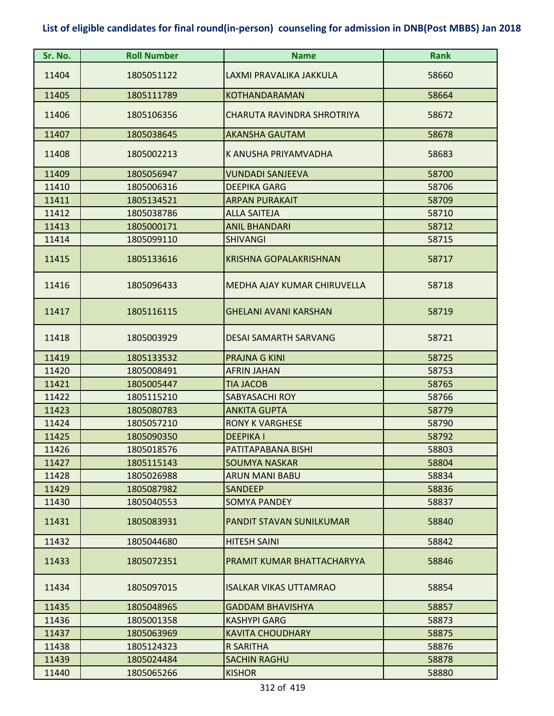| Sr. No. | <b>Roll Number</b> | <b>Name</b>                   | <b>Rank</b> |
|---------|--------------------|-------------------------------|-------------|
| 11404   | 1805051122         | LAXMI PRAVALIKA JAKKULA       | 58660       |
| 11405   | 1805111789         | <b>KOTHANDARAMAN</b>          | 58664       |
| 11406   | 1805106356         | CHARUTA RAVINDRA SHROTRIYA    | 58672       |
| 11407   | 1805038645         | <b>AKANSHA GAUTAM</b>         | 58678       |
| 11408   | 1805002213         | K ANUSHA PRIYAMVADHA          | 58683       |
| 11409   | 1805056947         | <b>VUNDADI SANJEEVA</b>       | 58700       |
| 11410   | 1805006316         | <b>DEEPIKA GARG</b>           | 58706       |
| 11411   | 1805134521         | <b>ARPAN PURAKAIT</b>         | 58709       |
| 11412   | 1805038786         | <b>ALLA SAITEJA</b>           | 58710       |
| 11413   | 1805000171         | <b>ANIL BHANDARI</b>          | 58712       |
| 11414   | 1805099110         | <b>SHIVANGI</b>               | 58715       |
| 11415   | 1805133616         | <b>KRISHNA GOPALAKRISHNAN</b> | 58717       |
| 11416   | 1805096433         | MEDHA AJAY KUMAR CHIRUVELLA   | 58718       |
| 11417   | 1805116115         | <b>GHELANI AVANI KARSHAN</b>  | 58719       |
| 11418   | 1805003929         | <b>DESAI SAMARTH SARVANG</b>  | 58721       |
| 11419   | 1805133532         | <b>PRAJNA G KINI</b>          | 58725       |
| 11420   | 1805008491         | <b>AFRIN JAHAN</b>            | 58753       |
| 11421   | 1805005447         | <b>TIA JACOB</b>              | 58765       |
| 11422   | 1805115210         | <b>SABYASACHI ROY</b>         | 58766       |
| 11423   | 1805080783         | <b>ANKITA GUPTA</b>           | 58779       |
| 11424   | 1805057210         | <b>RONY K VARGHESE</b>        | 58790       |
| 11425   | 1805090350         | <b>DEEPIKA I</b>              | 58792       |
| 11426   | 1805018576         | PATITAPABANA BISHI            | 58803       |
| 11427   | 1805115143         | <b>SOUMYA NASKAR</b>          | 58804       |
| 11428   | 1805026988         | <b>ARUN MANI BABU</b>         | 58834       |
| 11429   | 1805087982         | <b>SANDEEP</b>                | 58836       |
| 11430   | 1805040553         | <b>SOMYA PANDEY</b>           | 58837       |
| 11431   | 1805083931         | PANDIT STAVAN SUNILKUMAR      | 58840       |
| 11432   | 1805044680         | <b>HITESH SAINI</b>           | 58842       |
| 11433   | 1805072351         | PRAMIT KUMAR BHATTACHARYYA    | 58846       |
| 11434   | 1805097015         | <b>ISALKAR VIKAS UTTAMRAO</b> | 58854       |
| 11435   | 1805048965         | <b>GADDAM BHAVISHYA</b>       | 58857       |
| 11436   | 1805001358         | <b>KASHYPI GARG</b>           | 58873       |
| 11437   | 1805063969         | <b>KAVITA CHOUDHARY</b>       | 58875       |
| 11438   | 1805124323         | R SARITHA                     | 58876       |
| 11439   | 1805024484         | <b>SACHIN RAGHU</b>           | 58878       |
| 11440   | 1805065266         | <b>KISHOR</b>                 | 58880       |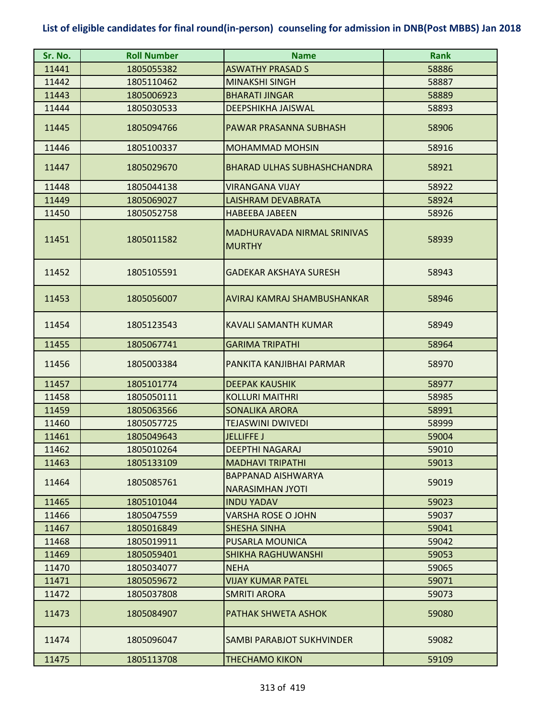| Sr. No. | <b>Roll Number</b> | <b>Name</b>                                          | <b>Rank</b> |
|---------|--------------------|------------------------------------------------------|-------------|
| 11441   | 1805055382         | <b>ASWATHY PRASAD S</b>                              | 58886       |
| 11442   | 1805110462         | <b>MINAKSHI SINGH</b>                                | 58887       |
| 11443   | 1805006923         | <b>BHARATI JINGAR</b>                                | 58889       |
| 11444   | 1805030533         | <b>DEEPSHIKHA JAISWAL</b>                            | 58893       |
| 11445   | 1805094766         | PAWAR PRASANNA SUBHASH                               | 58906       |
| 11446   | 1805100337         | <b>MOHAMMAD MOHSIN</b>                               | 58916       |
| 11447   | 1805029670         | <b>BHARAD ULHAS SUBHASHCHANDRA</b>                   | 58921       |
| 11448   | 1805044138         | <b>VIRANGANA VIJAY</b>                               | 58922       |
| 11449   | 1805069027         | LAISHRAM DEVABRATA                                   | 58924       |
| 11450   | 1805052758         | <b>HABEEBA JABEEN</b>                                | 58926       |
| 11451   | 1805011582         | MADHURAVADA NIRMAL SRINIVAS<br><b>MURTHY</b>         | 58939       |
| 11452   | 1805105591         | <b>GADEKAR AKSHAYA SURESH</b>                        | 58943       |
| 11453   | 1805056007         | AVIRAJ KAMRAJ SHAMBUSHANKAR                          | 58946       |
| 11454   | 1805123543         | <b>KAVALI SAMANTH KUMAR</b>                          | 58949       |
| 11455   | 1805067741         | <b>GARIMA TRIPATHI</b>                               | 58964       |
| 11456   | 1805003384         | PANKITA KANJIBHAI PARMAR                             | 58970       |
| 11457   | 1805101774         | <b>DEEPAK KAUSHIK</b>                                | 58977       |
| 11458   | 1805050111         | <b>KOLLURI MAITHRI</b>                               | 58985       |
| 11459   | 1805063566         | <b>SONALIKA ARORA</b>                                | 58991       |
| 11460   | 1805057725         | <b>TEJASWINI DWIVEDI</b>                             | 58999       |
| 11461   | 1805049643         | <b>JELLIFFE J</b>                                    | 59004       |
| 11462   | 1805010264         | <b>DEEPTHI NAGARAJ</b>                               | 59010       |
| 11463   | 1805133109         | <b>MADHAVI TRIPATHI</b>                              | 59013       |
| 11464   | 1805085761         | <b>BAPPANAD AISHWARYA</b><br><b>NARASIMHAN JYOTI</b> | 59019       |
| 11465   | 1805101044         | <b>INDU YADAV</b>                                    | 59023       |
| 11466   | 1805047559         | <b>VARSHA ROSE O JOHN</b>                            | 59037       |
| 11467   | 1805016849         | <b>SHESHA SINHA</b>                                  | 59041       |
| 11468   | 1805019911         | PUSARLA MOUNICA                                      | 59042       |
| 11469   | 1805059401         | <b>SHIKHA RAGHUWANSHI</b>                            | 59053       |
| 11470   | 1805034077         | <b>NEHA</b>                                          | 59065       |
| 11471   | 1805059672         | <b>VIJAY KUMAR PATEL</b>                             | 59071       |
| 11472   | 1805037808         | <b>SMRITI ARORA</b>                                  | 59073       |
| 11473   | 1805084907         | PATHAK SHWETA ASHOK                                  | 59080       |
| 11474   | 1805096047         | SAMBI PARABJOT SUKHVINDER                            | 59082       |
| 11475   | 1805113708         | <b>THECHAMO KIKON</b>                                | 59109       |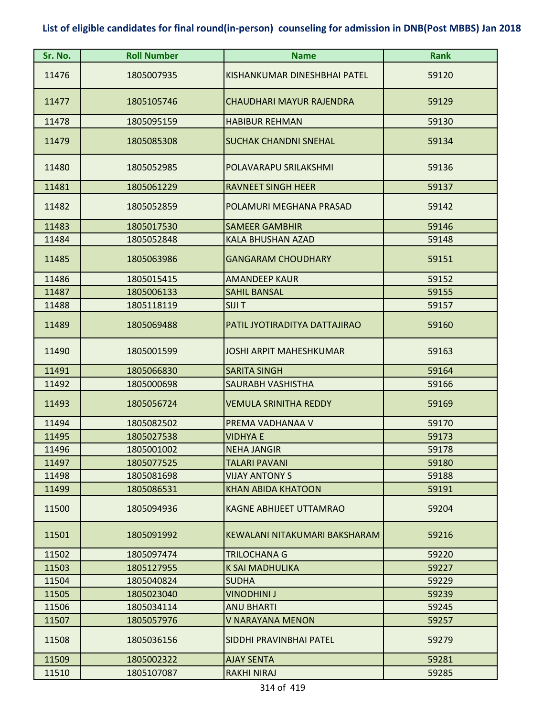| Sr. No. | <b>Roll Number</b> | <b>Name</b>                    | <b>Rank</b> |
|---------|--------------------|--------------------------------|-------------|
| 11476   | 1805007935         | KISHANKUMAR DINESHBHAI PATEL   | 59120       |
| 11477   | 1805105746         | CHAUDHARI MAYUR RAJENDRA       | 59129       |
| 11478   | 1805095159         | <b>HABIBUR REHMAN</b>          | 59130       |
| 11479   | 1805085308         | <b>SUCHAK CHANDNI SNEHAL</b>   | 59134       |
| 11480   | 1805052985         | POLAVARAPU SRILAKSHMI          | 59136       |
| 11481   | 1805061229         | <b>RAVNEET SINGH HEER</b>      | 59137       |
| 11482   | 1805052859         | POLAMURI MEGHANA PRASAD        | 59142       |
| 11483   | 1805017530         | <b>SAMEER GAMBHIR</b>          | 59146       |
| 11484   | 1805052848         | <b>KALA BHUSHAN AZAD</b>       | 59148       |
| 11485   | 1805063986         | <b>GANGARAM CHOUDHARY</b>      | 59151       |
| 11486   | 1805015415         | <b>AMANDEEP KAUR</b>           | 59152       |
| 11487   | 1805006133         | <b>SAHIL BANSAL</b>            | 59155       |
| 11488   | 1805118119         | <b>SIJIT</b>                   | 59157       |
| 11489   | 1805069488         | PATIL JYOTIRADITYA DATTAJIRAO  | 59160       |
| 11490   | 1805001599         | <b>JOSHI ARPIT MAHESHKUMAR</b> | 59163       |
| 11491   | 1805066830         | <b>SARITA SINGH</b>            | 59164       |
| 11492   | 1805000698         | <b>SAURABH VASHISTHA</b>       | 59166       |
| 11493   | 1805056724         | <b>VEMULA SRINITHA REDDY</b>   | 59169       |
| 11494   | 1805082502         | PREMA VADHANAA V               | 59170       |
| 11495   | 1805027538         | <b>VIDHYA E</b>                | 59173       |
| 11496   | 1805001002         | <b>NEHA JANGIR</b>             | 59178       |
| 11497   | 1805077525         | TALARI PAVANI                  | 59180       |
| 11498   | 1805081698         | <b>VIJAY ANTONY S</b>          | 59188       |
| 11499   | 1805086531         | <b>KHAN ABIDA KHATOON</b>      | 59191       |
| 11500   | 1805094936         | <b>KAGNE ABHIJEET UTTAMRAO</b> | 59204       |
| 11501   | 1805091992         | KEWALANI NITAKUMARI BAKSHARAM  | 59216       |
| 11502   | 1805097474         | <b>TRILOCHANA G</b>            | 59220       |
| 11503   | 1805127955         | <b>K SAI MADHULIKA</b>         | 59227       |
| 11504   | 1805040824         | <b>SUDHA</b>                   | 59229       |
| 11505   | 1805023040         | <b>VINODHINI J</b>             | 59239       |
| 11506   | 1805034114         | <b>ANU BHARTI</b>              | 59245       |
| 11507   | 1805057976         | V NARAYANA MENON               | 59257       |
| 11508   | 1805036156         | SIDDHI PRAVINBHAI PATEL        | 59279       |
| 11509   | 1805002322         | <b>AJAY SENTA</b>              | 59281       |
| 11510   | 1805107087         | RAKHI NIRAJ                    | 59285       |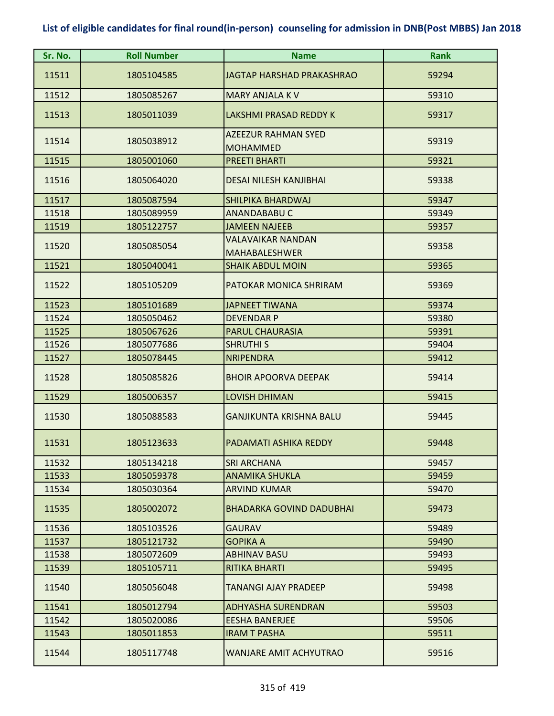| Sr. No. | <b>Roll Number</b> | <b>Name</b>                                      | <b>Rank</b> |
|---------|--------------------|--------------------------------------------------|-------------|
| 11511   | 1805104585         | <b>JAGTAP HARSHAD PRAKASHRAO</b>                 | 59294       |
| 11512   | 1805085267         | <b>MARY ANJALA KV</b>                            | 59310       |
| 11513   | 1805011039         | <b>LAKSHMI PRASAD REDDY K</b>                    | 59317       |
| 11514   | 1805038912         | <b>AZEEZUR RAHMAN SYED</b><br><b>MOHAMMED</b>    | 59319       |
| 11515   | 1805001060         | <b>PREETI BHARTI</b>                             | 59321       |
| 11516   | 1805064020         | <b>DESAI NILESH KANJIBHAI</b>                    | 59338       |
| 11517   | 1805087594         | <b>SHILPIKA BHARDWAJ</b>                         | 59347       |
| 11518   | 1805089959         | <b>ANANDABABU C</b>                              | 59349       |
| 11519   | 1805122757         | <b>JAMEEN NAJEEB</b>                             | 59357       |
| 11520   | 1805085054         | <b>VALAVAIKAR NANDAN</b><br><b>MAHABALESHWER</b> | 59358       |
| 11521   | 1805040041         | <b>SHAIK ABDUL MOIN</b>                          | 59365       |
| 11522   | 1805105209         | PATOKAR MONICA SHRIRAM                           | 59369       |
| 11523   | 1805101689         | <b>JAPNEET TIWANA</b>                            | 59374       |
| 11524   | 1805050462         | <b>DEVENDAR P</b>                                | 59380       |
| 11525   | 1805067626         | <b>PARUL CHAURASIA</b>                           | 59391       |
| 11526   | 1805077686         | <b>SHRUTHI S</b>                                 | 59404       |
| 11527   | 1805078445         | <b>NRIPENDRA</b>                                 | 59412       |
| 11528   | 1805085826         | <b>BHOIR APOORVA DEEPAK</b>                      | 59414       |
| 11529   | 1805006357         | <b>LOVISH DHIMAN</b>                             | 59415       |
| 11530   | 1805088583         | <b>GANJIKUNTA KRISHNA BALU</b>                   | 59445       |
| 11531   | 1805123633         | PADAMATI ASHIKA REDDY                            | 59448       |
| 11532   | 1805134218         | <b>SRI ARCHANA</b>                               | 59457       |
| 11533   | 1805059378         | <b>ANAMIKA SHUKLA</b>                            | 59459       |
| 11534   | 1805030364         | <b>ARVIND KUMAR</b>                              | 59470       |
| 11535   | 1805002072         | <b>BHADARKA GOVIND DADUBHAI</b>                  | 59473       |
| 11536   | 1805103526         | <b>GAURAV</b>                                    | 59489       |
| 11537   | 1805121732         | <b>GOPIKA A</b>                                  | 59490       |
| 11538   | 1805072609         | <b>ABHINAV BASU</b>                              | 59493       |
| 11539   | 1805105711         | <b>RITIKA BHARTI</b>                             | 59495       |
| 11540   | 1805056048         | TANANGI AJAY PRADEEP                             | 59498       |
| 11541   | 1805012794         | <b>ADHYASHA SURENDRAN</b>                        | 59503       |
| 11542   | 1805020086         | <b>EESHA BANERJEE</b>                            | 59506       |
| 11543   | 1805011853         | <b>IRAM T PASHA</b>                              | 59511       |
| 11544   | 1805117748         | WANJARE AMIT ACHYUTRAO                           | 59516       |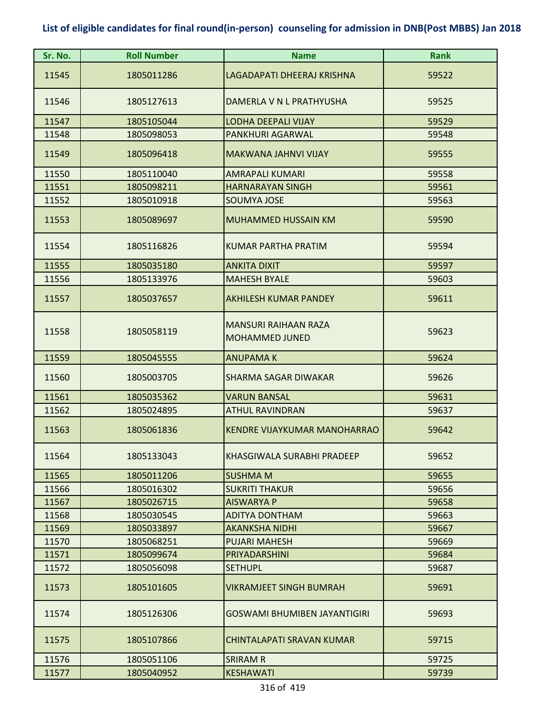| Sr. No. | <b>Roll Number</b> | <b>Name</b>                                          | <b>Rank</b> |
|---------|--------------------|------------------------------------------------------|-------------|
| 11545   | 1805011286         | LAGADAPATI DHEERAJ KRISHNA                           | 59522       |
| 11546   | 1805127613         | DAMERLA V N L PRATHYUSHA                             | 59525       |
| 11547   | 1805105044         | <b>LODHA DEEPALI VIJAY</b>                           | 59529       |
| 11548   | 1805098053         | PANKHURI AGARWAL                                     | 59548       |
| 11549   | 1805096418         | <b>MAKWANA JAHNVI VIJAY</b>                          | 59555       |
| 11550   | 1805110040         | <b>AMRAPALI KUMARI</b>                               | 59558       |
| 11551   | 1805098211         | <b>HARNARAYAN SINGH</b>                              | 59561       |
| 11552   | 1805010918         | <b>SOUMYA JOSE</b>                                   | 59563       |
| 11553   | 1805089697         | <b>MUHAMMED HUSSAIN KM</b>                           | 59590       |
| 11554   | 1805116826         | KUMAR PARTHA PRATIM                                  | 59594       |
| 11555   | 1805035180         | <b>ANKITA DIXIT</b>                                  | 59597       |
| 11556   | 1805133976         | <b>MAHESH BYALE</b>                                  | 59603       |
| 11557   | 1805037657         | <b>AKHILESH KUMAR PANDEY</b>                         | 59611       |
| 11558   | 1805058119         | <b>MANSURI RAIHAAN RAZA</b><br><b>MOHAMMED JUNED</b> | 59623       |
| 11559   | 1805045555         | <b>ANUPAMAK</b>                                      | 59624       |
| 11560   | 1805003705         | <b>SHARMA SAGAR DIWAKAR</b>                          | 59626       |
| 11561   | 1805035362         | <b>VARUN BANSAL</b>                                  | 59631       |
| 11562   | 1805024895         | <b>ATHUL RAVINDRAN</b>                               | 59637       |
| 11563   | 1805061836         | <b>KENDRE VIJAYKUMAR MANOHARRAO</b>                  | 59642       |
| 11564   | 1805133043         | KHASGIWALA SURABHI PRADEEP                           | 59652       |
| 11565   | 1805011206         | <b>SUSHMA M</b>                                      | 59655       |
| 11566   | 1805016302         | <b>SUKRITI THAKUR</b>                                | 59656       |
| 11567   | 1805026715         | <b>AISWARYA P</b>                                    | 59658       |
| 11568   | 1805030545         | <b>ADITYA DONTHAM</b>                                | 59663       |
| 11569   | 1805033897         | <b>AKANKSHA NIDHI</b>                                | 59667       |
| 11570   | 1805068251         | <b>PUJARI MAHESH</b>                                 | 59669       |
| 11571   | 1805099674         | PRIYADARSHINI                                        | 59684       |
| 11572   | 1805056098         | <b>SETHUPL</b>                                       | 59687       |
| 11573   | 1805101605         | <b>VIKRAMJEET SINGH BUMRAH</b>                       | 59691       |
| 11574   | 1805126306         | <b>GOSWAMI BHUMIBEN JAYANTIGIRI</b>                  | 59693       |
| 11575   | 1805107866         | <b>CHINTALAPATI SRAVAN KUMAR</b>                     | 59715       |
| 11576   | 1805051106         | <b>SRIRAM R</b>                                      | 59725       |
| 11577   | 1805040952         | <b>KESHAWATI</b>                                     | 59739       |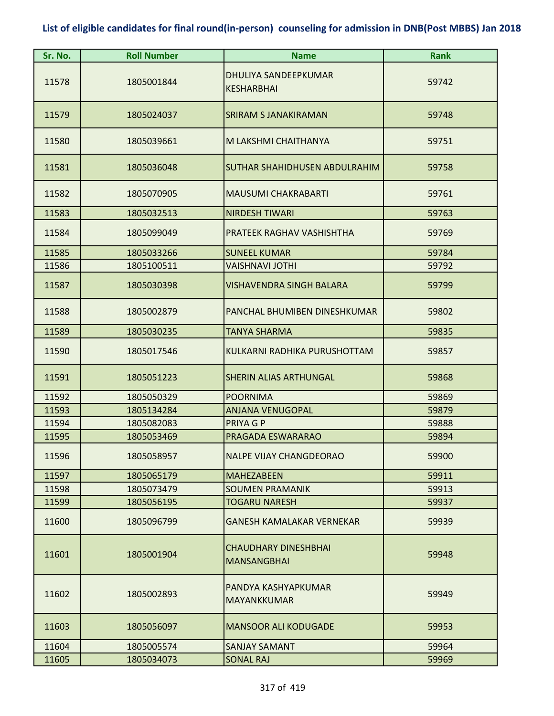| Sr. No. | <b>Roll Number</b> | <b>Name</b>                                       | <b>Rank</b> |
|---------|--------------------|---------------------------------------------------|-------------|
| 11578   | 1805001844         | DHULIYA SANDEEPKUMAR<br><b>KESHARBHAI</b>         | 59742       |
| 11579   | 1805024037         | <b>SRIRAM S JANAKIRAMAN</b>                       | 59748       |
| 11580   | 1805039661         | M LAKSHMI CHAITHANYA                              | 59751       |
| 11581   | 1805036048         | SUTHAR SHAHIDHUSEN ABDULRAHIM                     | 59758       |
| 11582   | 1805070905         | <b>MAUSUMI CHAKRABARTI</b>                        | 59761       |
| 11583   | 1805032513         | <b>NIRDESH TIWARI</b>                             | 59763       |
| 11584   | 1805099049         | PRATEEK RAGHAV VASHISHTHA                         | 59769       |
| 11585   | 1805033266         | <b>SUNEEL KUMAR</b>                               | 59784       |
| 11586   | 1805100511         | <b>VAISHNAVI JOTHI</b>                            | 59792       |
| 11587   | 1805030398         | <b>VISHAVENDRA SINGH BALARA</b>                   | 59799       |
| 11588   | 1805002879         | PANCHAL BHUMIBEN DINESHKUMAR                      | 59802       |
| 11589   | 1805030235         | <b>TANYA SHARMA</b>                               | 59835       |
| 11590   | 1805017546         | KULKARNI RADHIKA PURUSHOTTAM                      | 59857       |
| 11591   | 1805051223         | <b>SHERIN ALIAS ARTHUNGAL</b>                     | 59868       |
| 11592   | 1805050329         | <b>POORNIMA</b>                                   | 59869       |
| 11593   | 1805134284         | <b>ANJANA VENUGOPAL</b>                           | 59879       |
| 11594   | 1805082083         | PRIYA G P                                         | 59888       |
| 11595   | 1805053469         | PRAGADA ESWARARAO                                 | 59894       |
| 11596   | 1805058957         | <b>NALPE VIJAY CHANGDEORAO</b>                    | 59900       |
| 11597   | 1805065179         | <b>MAHEZABEEN</b>                                 | 59911       |
| 11598   | 1805073479         | <b>SOUMEN PRAMANIK</b>                            | 59913       |
| 11599   | 1805056195         | <b>TOGARU NARESH</b>                              | 59937       |
| 11600   | 1805096799         | <b>GANESH KAMALAKAR VERNEKAR</b>                  | 59939       |
| 11601   | 1805001904         | <b>CHAUDHARY DINESHBHAI</b><br><b>MANSANGBHAI</b> | 59948       |
| 11602   | 1805002893         | PANDYA KASHYAPKUMAR<br><b>MAYANKKUMAR</b>         | 59949       |
| 11603   | 1805056097         | <b>MANSOOR ALI KODUGADE</b>                       | 59953       |
| 11604   | 1805005574         | <b>SANJAY SAMANT</b>                              | 59964       |
| 11605   | 1805034073         | <b>SONAL RAJ</b>                                  | 59969       |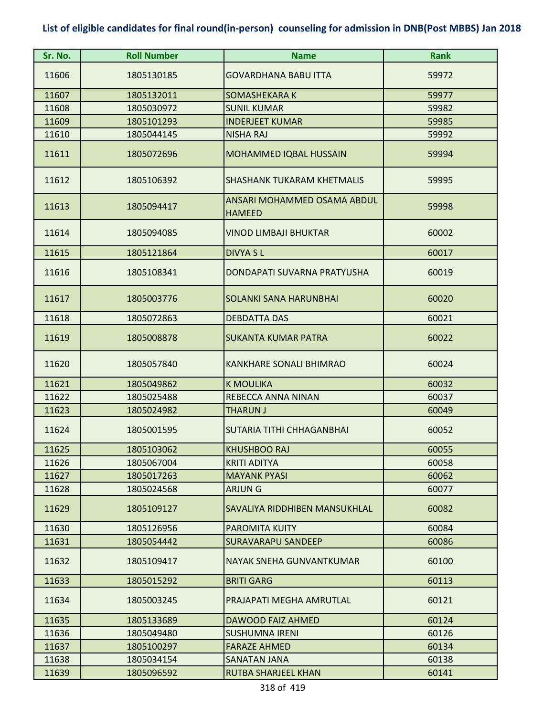| Sr. No. | <b>Roll Number</b> | <b>Name</b>                                  | <b>Rank</b> |
|---------|--------------------|----------------------------------------------|-------------|
| 11606   | 1805130185         | <b>GOVARDHANA BABU ITTA</b>                  | 59972       |
| 11607   | 1805132011         | <b>SOMASHEKARA K</b>                         | 59977       |
| 11608   | 1805030972         | <b>SUNIL KUMAR</b>                           | 59982       |
| 11609   | 1805101293         | <b>INDERJEET KUMAR</b>                       | 59985       |
| 11610   | 1805044145         | <b>NISHA RAJ</b>                             | 59992       |
| 11611   | 1805072696         | MOHAMMED IQBAL HUSSAIN                       | 59994       |
| 11612   | 1805106392         | <b>SHASHANK TUKARAM KHETMALIS</b>            | 59995       |
| 11613   | 1805094417         | ANSARI MOHAMMED OSAMA ABDUL<br><b>HAMEED</b> | 59998       |
| 11614   | 1805094085         | VINOD LIMBAJI BHUKTAR                        | 60002       |
| 11615   | 1805121864         | <b>DIVYA SL</b>                              | 60017       |
| 11616   | 1805108341         | DONDAPATI SUVARNA PRATYUSHA                  | 60019       |
| 11617   | 1805003776         | SOLANKI SANA HARUNBHAI                       | 60020       |
| 11618   | 1805072863         | <b>DEBDATTA DAS</b>                          | 60021       |
| 11619   | 1805008878         | <b>SUKANTA KUMAR PATRA</b>                   | 60022       |
| 11620   | 1805057840         | <b>KANKHARE SONALI BHIMRAO</b>               | 60024       |
| 11621   | 1805049862         | <b>K MOULIKA</b>                             | 60032       |
| 11622   | 1805025488         | REBECCA ANNA NINAN                           | 60037       |
| 11623   | 1805024982         | <b>THARUN J</b>                              | 60049       |
| 11624   | 1805001595         | SUTARIA TITHI CHHAGANBHAI                    | 60052       |
| 11625   | 1805103062         | KHUSHBOO RAJ                                 | 60055       |
| 11626   | 1805067004         | <b>KRITI ADITYA</b>                          | 60058       |
| 11627   | 1805017263         | <b>MAYANK PYASI</b>                          | 60062       |
| 11628   | 1805024568         | <b>ARJUNG</b>                                | 60077       |
| 11629   | 1805109127         | SAVALIYA RIDDHIBEN MANSUKHLAL                | 60082       |
| 11630   | 1805126956         | <b>PAROMITA KUITY</b>                        | 60084       |
| 11631   | 1805054442         | <b>SURAVARAPU SANDEEP</b>                    | 60086       |
| 11632   | 1805109417         | NAYAK SNEHA GUNVANTKUMAR                     | 60100       |
| 11633   | 1805015292         | <b>BRITI GARG</b>                            | 60113       |
| 11634   | 1805003245         | PRAJAPATI MEGHA AMRUTLAL                     | 60121       |
| 11635   | 1805133689         | <b>DAWOOD FAIZ AHMED</b>                     | 60124       |
| 11636   | 1805049480         | <b>SUSHUMNA IRENI</b>                        | 60126       |
| 11637   | 1805100297         | <b>FARAZE AHMED</b>                          | 60134       |
| 11638   | 1805034154         | SANATAN JANA                                 | 60138       |
| 11639   | 1805096592         | <b>RUTBA SHARJEEL KHAN</b>                   | 60141       |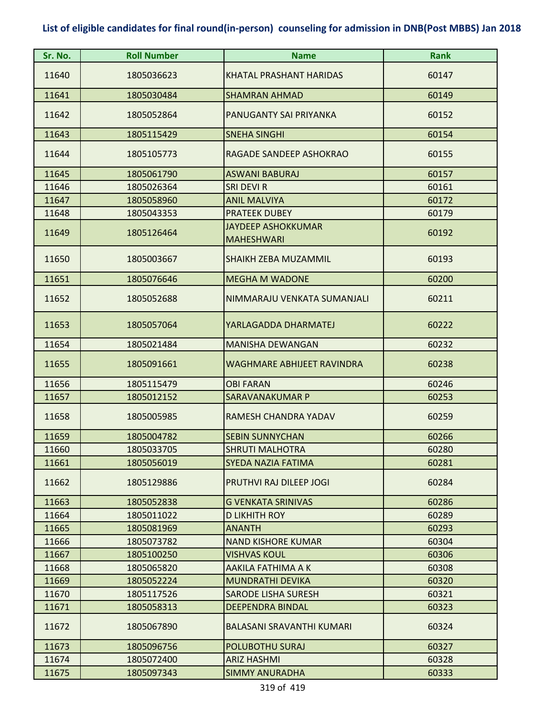| Sr. No. | <b>Roll Number</b> | <b>Name</b>                                    | <b>Rank</b> |
|---------|--------------------|------------------------------------------------|-------------|
| 11640   | 1805036623         | <b>KHATAL PRASHANT HARIDAS</b>                 | 60147       |
| 11641   | 1805030484         | <b>SHAMRAN AHMAD</b>                           | 60149       |
| 11642   | 1805052864         | PANUGANTY SAI PRIYANKA                         | 60152       |
| 11643   | 1805115429         | <b>SNEHA SINGHI</b>                            | 60154       |
| 11644   | 1805105773         | RAGADE SANDEEP ASHOKRAO                        | 60155       |
| 11645   | 1805061790         | <b>ASWANI BABURAJ</b>                          | 60157       |
| 11646   | 1805026364         | <b>SRI DEVI R</b>                              | 60161       |
| 11647   | 1805058960         | <b>ANIL MALVIYA</b>                            | 60172       |
| 11648   | 1805043353         | <b>PRATEEK DUBEY</b>                           | 60179       |
| 11649   | 1805126464         | <b>JAYDEEP ASHOKKUMAR</b><br><b>MAHESHWARI</b> | 60192       |
| 11650   | 1805003667         | <b>SHAIKH ZEBA MUZAMMIL</b>                    | 60193       |
| 11651   | 1805076646         | <b>MEGHA M WADONE</b>                          | 60200       |
| 11652   | 1805052688         | NIMMARAJU VENKATA SUMANJALI                    | 60211       |
| 11653   | 1805057064         | YARLAGADDA DHARMATEJ                           | 60222       |
| 11654   | 1805021484         | <b>MANISHA DEWANGAN</b>                        | 60232       |
| 11655   | 1805091661         | <b>WAGHMARE ABHIJEET RAVINDRA</b>              | 60238       |
| 11656   | 1805115479         | <b>OBI FARAN</b>                               | 60246       |
| 11657   | 1805012152         | <b>SARAVANAKUMAR P</b>                         | 60253       |
| 11658   | 1805005985         | RAMESH CHANDRA YADAV                           | 60259       |
| 11659   | 1805004782         | <b>SEBIN SUNNYCHAN</b>                         | 60266       |
| 11660   | 1805033705         | <b>SHRUTI MALHOTRA</b>                         | 60280       |
| 11661   | 1805056019         | SYEDA NAZIA FATIMA                             | 60281       |
| 11662   | 1805129886         | PRUTHVI RAJ DILEEP JOGI                        | 60284       |
| 11663   | 1805052838         | <b>G VENKATA SRINIVAS</b>                      | 60286       |
| 11664   | 1805011022         | <b>D LIKHITH ROY</b>                           | 60289       |
| 11665   | 1805081969         | <b>ANANTH</b>                                  | 60293       |
| 11666   | 1805073782         | <b>NAND KISHORE KUMAR</b>                      | 60304       |
| 11667   | 1805100250         | <b>VISHVAS KOUL</b>                            | 60306       |
| 11668   | 1805065820         | AAKILA FATHIMA A K                             | 60308       |
| 11669   | 1805052224         | <b>MUNDRATHI DEVIKA</b>                        | 60320       |
| 11670   | 1805117526         | <b>SARODE LISHA SURESH</b>                     | 60321       |
| 11671   | 1805058313         | <b>DEEPENDRA BINDAL</b>                        | 60323       |
| 11672   | 1805067890         | <b>BALASANI SRAVANTHI KUMARI</b>               | 60324       |
| 11673   | 1805096756         | POLUBOTHU SURAJ                                | 60327       |
| 11674   | 1805072400         | <b>ARIZ HASHMI</b>                             | 60328       |
| 11675   | 1805097343         | <b>SIMMY ANURADHA</b>                          | 60333       |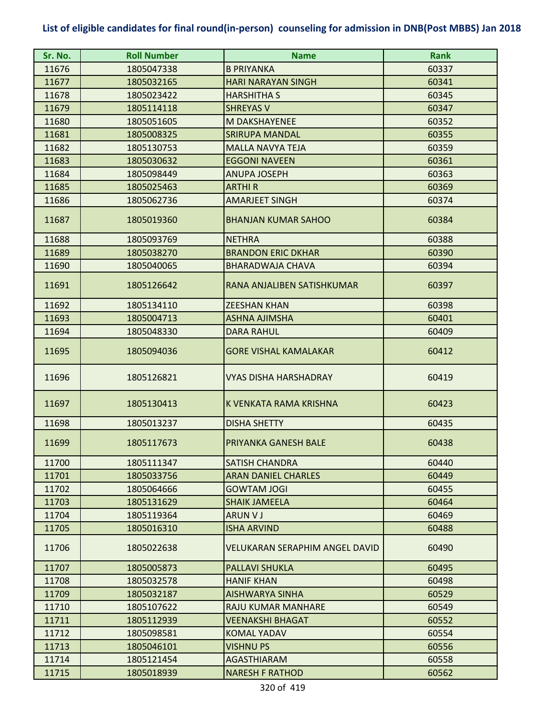| Sr. No. | <b>Roll Number</b> | <b>Name</b>                           | <b>Rank</b> |
|---------|--------------------|---------------------------------------|-------------|
| 11676   | 1805047338         | <b>B PRIYANKA</b>                     | 60337       |
| 11677   | 1805032165         | <b>HARI NARAYAN SINGH</b>             | 60341       |
| 11678   | 1805023422         | <b>HARSHITHA S</b>                    | 60345       |
| 11679   | 1805114118         | <b>SHREYAS V</b>                      | 60347       |
| 11680   | 1805051605         | M DAKSHAYENEE                         | 60352       |
| 11681   | 1805008325         | <b>SRIRUPA MANDAL</b>                 | 60355       |
| 11682   | 1805130753         | <b>MALLA NAVYA TEJA</b>               | 60359       |
| 11683   | 1805030632         | <b>EGGONI NAVEEN</b>                  | 60361       |
| 11684   | 1805098449         | <b>ANUPA JOSEPH</b>                   | 60363       |
| 11685   | 1805025463         | <b>ARTHIR</b>                         | 60369       |
| 11686   | 1805062736         | <b>AMARJEET SINGH</b>                 | 60374       |
| 11687   | 1805019360         | <b>BHANJAN KUMAR SAHOO</b>            | 60384       |
| 11688   | 1805093769         | <b>NETHRA</b>                         | 60388       |
| 11689   | 1805038270         | <b>BRANDON ERIC DKHAR</b>             | 60390       |
| 11690   | 1805040065         | <b>BHARADWAJA CHAVA</b>               | 60394       |
| 11691   | 1805126642         | RANA ANJALIBEN SATISHKUMAR            | 60397       |
| 11692   | 1805134110         | <b>ZEESHAN KHAN</b>                   | 60398       |
| 11693   | 1805004713         | ASHNA AJIMSHA                         | 60401       |
| 11694   | 1805048330         | <b>DARA RAHUL</b>                     | 60409       |
| 11695   | 1805094036         | <b>GORE VISHAL KAMALAKAR</b>          | 60412       |
| 11696   | 1805126821         | VYAS DISHA HARSHADRAY                 | 60419       |
| 11697   | 1805130413         | K VENKATA RAMA KRISHNA                | 60423       |
| 11698   | 1805013237         | <b>DISHA SHETTY</b>                   | 60435       |
| 11699   | 1805117673         | PRIYANKA GANESH BALE                  | 60438       |
| 11700   | 1805111347         | <b>SATISH CHANDRA</b>                 | 60440       |
| 11701   | 1805033756         | <b>ARAN DANIEL CHARLES</b>            | 60449       |
| 11702   | 1805064666         | <b>GOWTAM JOGI</b>                    | 60455       |
| 11703   | 1805131629         | <b>SHAIK JAMEELA</b>                  | 60464       |
| 11704   | 1805119364         | <b>ARUN V J</b>                       | 60469       |
| 11705   | 1805016310         | <b>ISHA ARVIND</b>                    | 60488       |
| 11706   | 1805022638         | <b>VELUKARAN SERAPHIM ANGEL DAVID</b> | 60490       |
| 11707   | 1805005873         | <b>PALLAVI SHUKLA</b>                 | 60495       |
| 11708   | 1805032578         | <b>HANIF KHAN</b>                     | 60498       |
| 11709   | 1805032187         | <b>AISHWARYA SINHA</b>                | 60529       |
| 11710   | 1805107622         | <b>RAJU KUMAR MANHARE</b>             | 60549       |
| 11711   | 1805112939         | <b>VEENAKSHI BHAGAT</b>               | 60552       |
| 11712   | 1805098581         | <b>KOMAL YADAV</b>                    | 60554       |
| 11713   | 1805046101         | <b>VISHNU PS</b>                      | 60556       |
| 11714   | 1805121454         | <b>AGASTHIARAM</b>                    | 60558       |
| 11715   | 1805018939         | <b>NARESH F RATHOD</b>                | 60562       |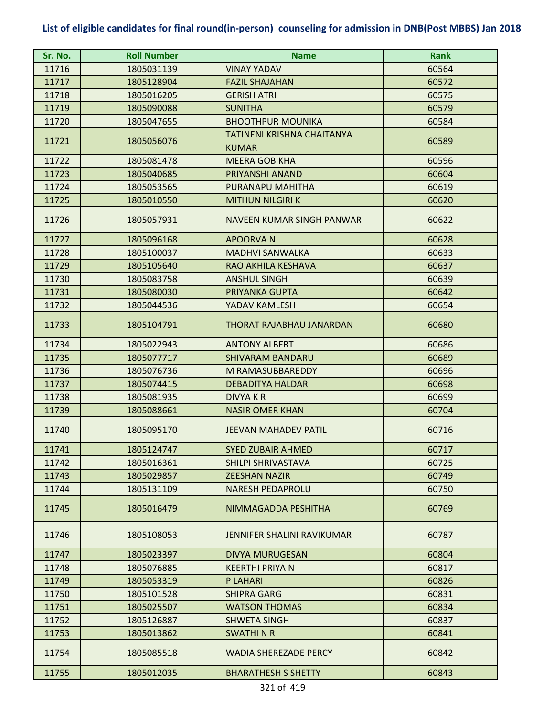| Sr. No. | <b>Roll Number</b> | <b>Name</b>                                | <b>Rank</b> |
|---------|--------------------|--------------------------------------------|-------------|
| 11716   | 1805031139         | <b>VINAY YADAV</b>                         | 60564       |
| 11717   | 1805128904         | <b>FAZIL SHAJAHAN</b>                      | 60572       |
| 11718   | 1805016205         | <b>GERISH ATRI</b>                         | 60575       |
| 11719   | 1805090088         | <b>SUNITHA</b>                             | 60579       |
| 11720   | 1805047655         | <b>BHOOTHPUR MOUNIKA</b>                   | 60584       |
| 11721   | 1805056076         | TATINENI KRISHNA CHAITANYA<br><b>KUMAR</b> | 60589       |
| 11722   | 1805081478         | <b>MEERA GOBIKHA</b>                       | 60596       |
| 11723   | 1805040685         | PRIYANSHI ANAND                            | 60604       |
| 11724   | 1805053565         | PURANAPU MAHITHA                           | 60619       |
| 11725   | 1805010550         | <b>MITHUN NILGIRI K</b>                    | 60620       |
| 11726   | 1805057931         | NAVEEN KUMAR SINGH PANWAR                  | 60622       |
| 11727   | 1805096168         | <b>APOORVAN</b>                            | 60628       |
| 11728   | 1805100037         | <b>MADHVI SANWALKA</b>                     | 60633       |
| 11729   | 1805105640         | RAO AKHILA KESHAVA                         | 60637       |
| 11730   | 1805083758         | <b>ANSHUL SINGH</b>                        | 60639       |
| 11731   | 1805080030         | PRIYANKA GUPTA                             | 60642       |
| 11732   | 1805044536         | YADAV KAMLESH                              | 60654       |
| 11733   | 1805104791         | THORAT RAJABHAU JANARDAN                   | 60680       |
| 11734   | 1805022943         | <b>ANTONY ALBERT</b>                       | 60686       |
| 11735   | 1805077717         | <b>SHIVARAM BANDARU</b>                    | 60689       |
| 11736   | 1805076736         | M RAMASUBBAREDDY                           | 60696       |
| 11737   | 1805074415         | <b>DEBADITYA HALDAR</b>                    | 60698       |
| 11738   | 1805081935         | <b>DIVYAKR</b>                             | 60699       |
| 11739   | 1805088661         | <b>NASIR OMER KHAN</b>                     | 60704       |
| 11740   | 1805095170         | JEEVAN MAHADEV PATIL                       | 60716       |
| 11741   | 1805124747         | <b>SYED ZUBAIR AHMED</b>                   | 60717       |
| 11742   | 1805016361         | <b>SHILPI SHRIVASTAVA</b>                  | 60725       |
| 11743   | 1805029857         | <b>ZEESHAN NAZIR</b>                       | 60749       |
| 11744   | 1805131109         | <b>NARESH PEDAPROLU</b>                    | 60750       |
| 11745   | 1805016479         | NIMMAGADDA PESHITHA                        | 60769       |
| 11746   | 1805108053         | <b>JENNIFER SHALINI RAVIKUMAR</b>          | 60787       |
| 11747   | 1805023397         | <b>DIVYA MURUGESAN</b>                     | 60804       |
| 11748   | 1805076885         | <b>KEERTHI PRIYA N</b>                     | 60817       |
| 11749   | 1805053319         | P LAHARI                                   | 60826       |
| 11750   | 1805101528         | <b>SHIPRA GARG</b>                         | 60831       |
| 11751   | 1805025507         | <b>WATSON THOMAS</b>                       | 60834       |
| 11752   | 1805126887         | <b>SHWETA SINGH</b>                        | 60837       |
| 11753   | 1805013862         | <b>SWATHINR</b>                            | 60841       |
| 11754   | 1805085518         | WADIA SHEREZADE PERCY                      | 60842       |
| 11755   | 1805012035         | <b>BHARATHESH S SHETTY</b>                 | 60843       |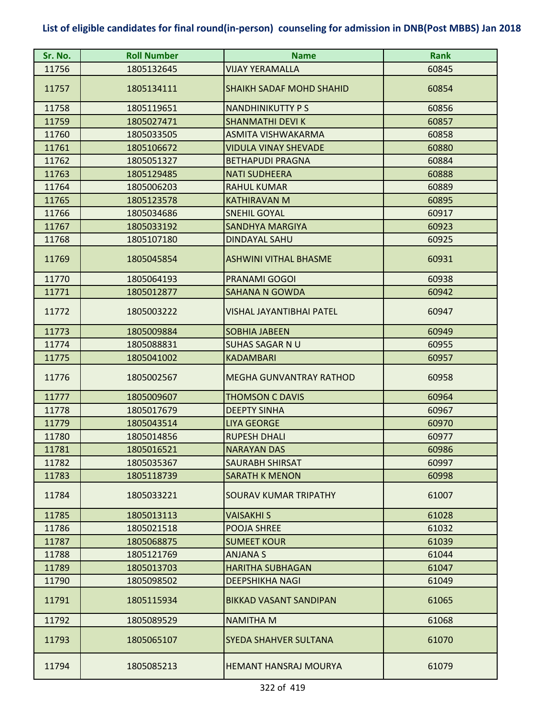| Sr. No. | <b>Roll Number</b> | <b>Name</b>                     | <b>Rank</b> |
|---------|--------------------|---------------------------------|-------------|
| 11756   | 1805132645         | VIJAY YERAMALLA                 | 60845       |
| 11757   | 1805134111         | <b>SHAIKH SADAF MOHD SHAHID</b> | 60854       |
| 11758   | 1805119651         | <b>NANDHINIKUTTY PS</b>         | 60856       |
| 11759   | 1805027471         | <b>SHANMATHI DEVI K</b>         | 60857       |
| 11760   | 1805033505         | ASMITA VISHWAKARMA              | 60858       |
| 11761   | 1805106672         | <b>VIDULA VINAY SHEVADE</b>     | 60880       |
| 11762   | 1805051327         | <b>BETHAPUDI PRAGNA</b>         | 60884       |
| 11763   | 1805129485         | <b>NATI SUDHEERA</b>            | 60888       |
| 11764   | 1805006203         | <b>RAHUL KUMAR</b>              | 60889       |
| 11765   | 1805123578         | <b>KATHIRAVAN M</b>             | 60895       |
| 11766   | 1805034686         | <b>SNEHIL GOYAL</b>             | 60917       |
| 11767   | 1805033192         | <b>SANDHYA MARGIYA</b>          | 60923       |
| 11768   | 1805107180         | <b>DINDAYAL SAHU</b>            | 60925       |
| 11769   | 1805045854         | <b>ASHWINI VITHAL BHASME</b>    | 60931       |
| 11770   | 1805064193         | PRANAMI GOGOI                   | 60938       |
| 11771   | 1805012877         | <b>SAHANA N GOWDA</b>           | 60942       |
| 11772   | 1805003222         | <b>VISHAL JAYANTIBHAI PATEL</b> | 60947       |
| 11773   | 1805009884         | <b>SOBHIA JABEEN</b>            | 60949       |
| 11774   | 1805088831         | <b>SUHAS SAGAR N U</b>          | 60955       |
| 11775   | 1805041002         | <b>KADAMBARI</b>                | 60957       |
| 11776   | 1805002567         | <b>MEGHA GUNVANTRAY RATHOD</b>  | 60958       |
| 11777   | 1805009607         | <b>THOMSON C DAVIS</b>          | 60964       |
| 11778   | 1805017679         | <b>DEEPTY SINHA</b>             | 60967       |
| 11779   | 1805043514         | <b>LIYA GEORGE</b>              | 60970       |
| 11780   | 1805014856         | <b>RUPESH DHALI</b>             | 60977       |
| 11781   | 1805016521         | <b>NARAYAN DAS</b>              | 60986       |
| 11782   | 1805035367         | <b>SAURABH SHIRSAT</b>          | 60997       |
| 11783   | 1805118739         | <b>SARATH K MENON</b>           | 60998       |
| 11784   | 1805033221         | SOURAV KUMAR TRIPATHY           | 61007       |
| 11785   | 1805013113         | <b>VAISAKHI S</b>               | 61028       |
| 11786   | 1805021518         | <b>POOJA SHREE</b>              | 61032       |
| 11787   | 1805068875         | <b>SUMEET KOUR</b>              | 61039       |
| 11788   | 1805121769         | <b>ANJANA S</b>                 | 61044       |
| 11789   | 1805013703         | <b>HARITHA SUBHAGAN</b>         | 61047       |
| 11790   | 1805098502         | <b>DEEPSHIKHA NAGI</b>          | 61049       |
| 11791   | 1805115934         | <b>BIKKAD VASANT SANDIPAN</b>   | 61065       |
| 11792   | 1805089529         | <b>NAMITHA M</b>                | 61068       |
| 11793   | 1805065107         | <b>SYEDA SHAHVER SULTANA</b>    | 61070       |
| 11794   | 1805085213         | <b>HEMANT HANSRAJ MOURYA</b>    | 61079       |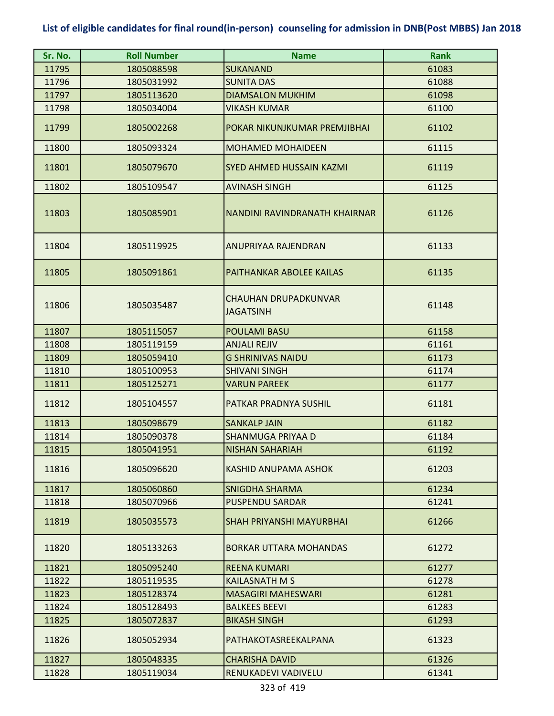| Sr. No. | <b>Roll Number</b> | <b>Name</b>                                     | <b>Rank</b> |
|---------|--------------------|-------------------------------------------------|-------------|
| 11795   | 1805088598         | <b>SUKANAND</b>                                 | 61083       |
| 11796   | 1805031992         | <b>SUNITA DAS</b>                               | 61088       |
| 11797   | 1805113620         | <b>DIAMSALON MUKHIM</b>                         | 61098       |
| 11798   | 1805034004         | <b>VIKASH KUMAR</b>                             | 61100       |
| 11799   | 1805002268         | POKAR NIKUNJKUMAR PREMJIBHAI                    | 61102       |
| 11800   | 1805093324         | <b>MOHAMED MOHAIDEEN</b>                        | 61115       |
| 11801   | 1805079670         | <b>SYED AHMED HUSSAIN KAZMI</b>                 | 61119       |
| 11802   | 1805109547         | <b>AVINASH SINGH</b>                            | 61125       |
| 11803   | 1805085901         | NANDINI RAVINDRANATH KHAIRNAR                   | 61126       |
| 11804   | 1805119925         | <b>ANUPRIYAA RAJENDRAN</b>                      | 61133       |
| 11805   | 1805091861         | PAITHANKAR ABOLEE KAILAS                        | 61135       |
| 11806   | 1805035487         | <b>CHAUHAN DRUPADKUNVAR</b><br><b>JAGATSINH</b> | 61148       |
| 11807   | 1805115057         | <b>POULAMI BASU</b>                             | 61158       |
| 11808   | 1805119159         | <b>ANJALI REJIV</b>                             | 61161       |
| 11809   | 1805059410         | <b>G SHRINIVAS NAIDU</b>                        | 61173       |
| 11810   | 1805100953         | <b>SHIVANI SINGH</b>                            | 61174       |
| 11811   | 1805125271         | <b>VARUN PAREEK</b>                             | 61177       |
| 11812   | 1805104557         | PATKAR PRADNYA SUSHIL                           | 61181       |
| 11813   | 1805098679         | <b>SANKALP JAIN</b>                             | 61182       |
| 11814   | 1805090378         | <b>SHANMUGA PRIYAA D</b>                        | 61184       |
| 11815   | 1805041951         | <b>NISHAN SAHARIAH</b>                          | 61192       |
| 11816   | 1805096620         | KASHID ANUPAMA ASHOK                            | 61203       |
| 11817   | 1805060860         | <b>SNIGDHA SHARMA</b>                           | 61234       |
| 11818   | 1805070966         | <b>PUSPENDU SARDAR</b>                          | 61241       |
| 11819   | 1805035573         | <b>SHAH PRIYANSHI MAYURBHAI</b>                 | 61266       |
| 11820   | 1805133263         | <b>BORKAR UTTARA MOHANDAS</b>                   | 61272       |
| 11821   | 1805095240         | <b>REENA KUMARI</b>                             | 61277       |
| 11822   | 1805119535         | <b>KAILASNATH M S</b>                           | 61278       |
| 11823   | 1805128374         | <b>MASAGIRI MAHESWARI</b>                       | 61281       |
| 11824   | 1805128493         | <b>BALKEES BEEVI</b>                            | 61283       |
| 11825   | 1805072837         | <b>BIKASH SINGH</b>                             | 61293       |
| 11826   | 1805052934         | PATHAKOTASREEKALPANA                            | 61323       |
| 11827   | 1805048335         | <b>CHARISHA DAVID</b>                           | 61326       |
| 11828   | 1805119034         | RENUKADEVI VADIVELU                             | 61341       |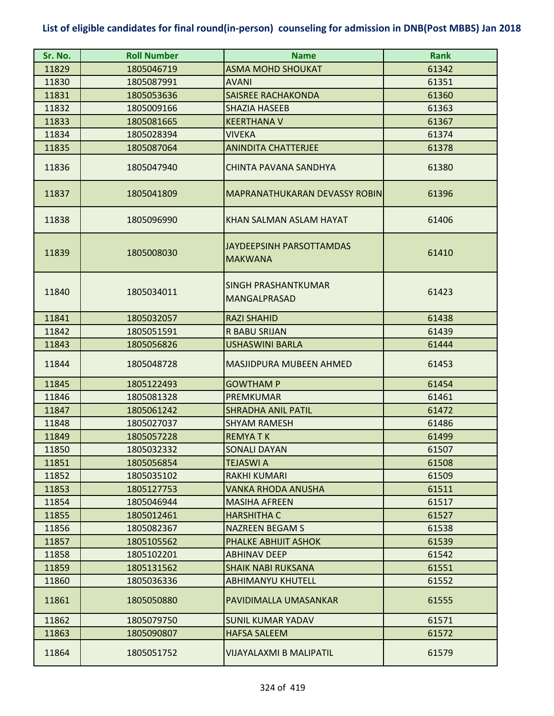| Sr. No. | <b>Roll Number</b> | <b>Name</b>                                       | <b>Rank</b> |
|---------|--------------------|---------------------------------------------------|-------------|
| 11829   | 1805046719         | <b>ASMA MOHD SHOUKAT</b>                          | 61342       |
| 11830   | 1805087991         | AVANI                                             | 61351       |
| 11831   | 1805053636         | <b>SAISREE RACHAKONDA</b>                         | 61360       |
| 11832   | 1805009166         | <b>SHAZIA HASEEB</b>                              | 61363       |
| 11833   | 1805081665         | <b>KEERTHANA V</b>                                | 61367       |
| 11834   | 1805028394         | <b>VIVEKA</b>                                     | 61374       |
| 11835   | 1805087064         | <b>ANINDITA CHATTERJEE</b>                        | 61378       |
| 11836   | 1805047940         | CHINTA PAVANA SANDHYA                             | 61380       |
| 11837   | 1805041809         | MAPRANATHUKARAN DEVASSY ROBIN                     | 61396       |
| 11838   | 1805096990         | KHAN SALMAN ASLAM HAYAT                           | 61406       |
| 11839   | 1805008030         | <b>JAYDEEPSINH PARSOTTAMDAS</b><br><b>MAKWANA</b> | 61410       |
| 11840   | 1805034011         | <b>SINGH PRASHANTKUMAR</b><br><b>MANGALPRASAD</b> | 61423       |
| 11841   | 1805032057         | <b>RAZI SHAHID</b>                                | 61438       |
| 11842   | 1805051591         | <b>R BABU SRIJAN</b>                              | 61439       |
| 11843   | 1805056826         | <b>USHASWINI BARLA</b>                            | 61444       |
| 11844   | 1805048728         | <b>MASJIDPURA MUBEEN AHMED</b>                    | 61453       |
| 11845   | 1805122493         | <b>GOWTHAM P</b>                                  | 61454       |
| 11846   | 1805081328         | <b>PREMKUMAR</b>                                  | 61461       |
| 11847   | 1805061242         | <b>SHRADHA ANIL PATIL</b>                         | 61472       |
| 11848   | 1805027037         | <b>SHYAM RAMESH</b>                               | 61486       |
| 11849   | 1805057228         | <b>REMYATK</b>                                    | 61499       |
| 11850   | 1805032332         | <b>SONALI DAYAN</b>                               | 61507       |
| 11851   | 1805056854         | TEJASWI A                                         | 61508       |
| 11852   | 1805035102         | <b>RAKHI KUMARI</b>                               | 61509       |
| 11853   | 1805127753         | VANKA RHODA ANUSHA                                | 61511       |
| 11854   | 1805046944         | <b>MASIHA AFREEN</b>                              | 61517       |
| 11855   | 1805012461         | <b>HARSHITHA C</b>                                | 61527       |
| 11856   | 1805082367         | <b>NAZREEN BEGAM S</b>                            | 61538       |
| 11857   | 1805105562         | PHALKE ABHIJIT ASHOK                              | 61539       |
| 11858   | 1805102201         | <b>ABHINAV DEEP</b>                               | 61542       |
| 11859   | 1805131562         | <b>SHAIK NABI RUKSANA</b>                         | 61551       |
| 11860   | 1805036336         | <b>ABHIMANYU KHUTELL</b>                          | 61552       |
| 11861   | 1805050880         | PAVIDIMALLA UMASANKAR                             | 61555       |
| 11862   | 1805079750         | <b>SUNIL KUMAR YADAV</b>                          | 61571       |
| 11863   | 1805090807         | <b>HAFSA SALEEM</b>                               | 61572       |
| 11864   | 1805051752         | VIJAYALAXMI B MALIPATIL                           | 61579       |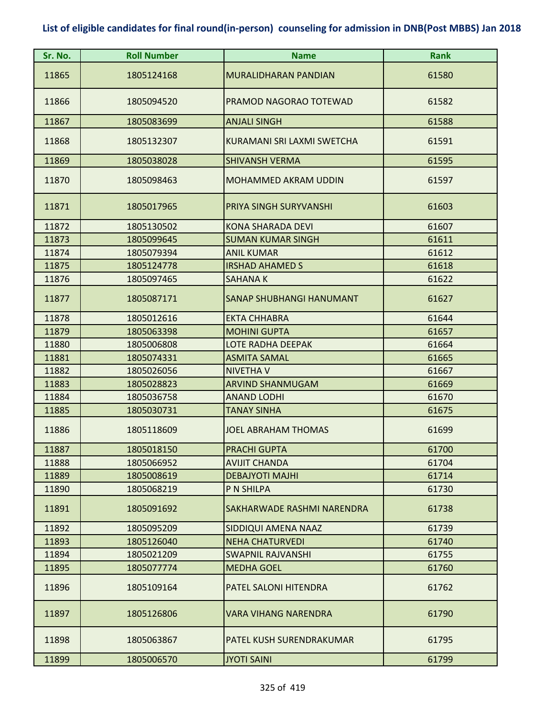| Sr. No. | <b>Roll Number</b> | <b>Name</b>                 | <b>Rank</b> |
|---------|--------------------|-----------------------------|-------------|
| 11865   | 1805124168         | MURALIDHARAN PANDIAN        | 61580       |
| 11866   | 1805094520         | PRAMOD NAGORAO TOTEWAD      | 61582       |
| 11867   | 1805083699         | <b>ANJALI SINGH</b>         | 61588       |
| 11868   | 1805132307         | KURAMANI SRI LAXMI SWETCHA  | 61591       |
| 11869   | 1805038028         | <b>SHIVANSH VERMA</b>       | 61595       |
| 11870   | 1805098463         | <b>MOHAMMED AKRAM UDDIN</b> | 61597       |
| 11871   | 1805017965         | PRIYA SINGH SURYVANSHI      | 61603       |
| 11872   | 1805130502         | <b>KONA SHARADA DEVI</b>    | 61607       |
| 11873   | 1805099645         | <b>SUMAN KUMAR SINGH</b>    | 61611       |
| 11874   | 1805079394         | <b>ANIL KUMAR</b>           | 61612       |
| 11875   | 1805124778         | <b>IRSHAD AHAMED S</b>      | 61618       |
| 11876   | 1805097465         | <b>SAHANAK</b>              | 61622       |
| 11877   | 1805087171         | SANAP SHUBHANGI HANUMANT    | 61627       |
| 11878   | 1805012616         | <b>EKTA CHHABRA</b>         | 61644       |
| 11879   | 1805063398         | <b>MOHINI GUPTA</b>         | 61657       |
| 11880   | 1805006808         | <b>LOTE RADHA DEEPAK</b>    | 61664       |
| 11881   | 1805074331         | <b>ASMITA SAMAL</b>         | 61665       |
| 11882   | 1805026056         | <b>NIVETHA V</b>            | 61667       |
| 11883   | 1805028823         | ARVIND SHANMUGAM            | 61669       |
| 11884   | 1805036758         | <b>ANAND LODHI</b>          | 61670       |
| 11885   | 1805030731         | <b>TANAY SINHA</b>          | 61675       |
| 11886   | 1805118609         | <b>JOEL ABRAHAM THOMAS</b>  | 61699       |
| 11887   | 1805018150         | <b>PRACHI GUPTA</b>         | 61700       |
| 11888   | 1805066952         | <b>AVIJIT CHANDA</b>        | 61704       |
| 11889   | 1805008619         | <b>DEBAJYOTI MAJHI</b>      | 61714       |
| 11890   | 1805068219         | P N SHILPA                  | 61730       |
| 11891   | 1805091692         | SAKHARWADE RASHMI NARENDRA  | 61738       |
| 11892   | 1805095209         | SIDDIQUI AMENA NAAZ         | 61739       |
| 11893   | 1805126040         | <b>NEHA CHATURVEDI</b>      | 61740       |
| 11894   | 1805021209         | SWAPNIL RAJVANSHI           | 61755       |
| 11895   | 1805077774         | <b>MEDHA GOEL</b>           | 61760       |
| 11896   | 1805109164         | PATEL SALONI HITENDRA       | 61762       |
| 11897   | 1805126806         | <b>VARA VIHANG NARENDRA</b> | 61790       |
| 11898   | 1805063867         | PATEL KUSH SURENDRAKUMAR    | 61795       |
| 11899   | 1805006570         | <b>JYOTI SAINI</b>          | 61799       |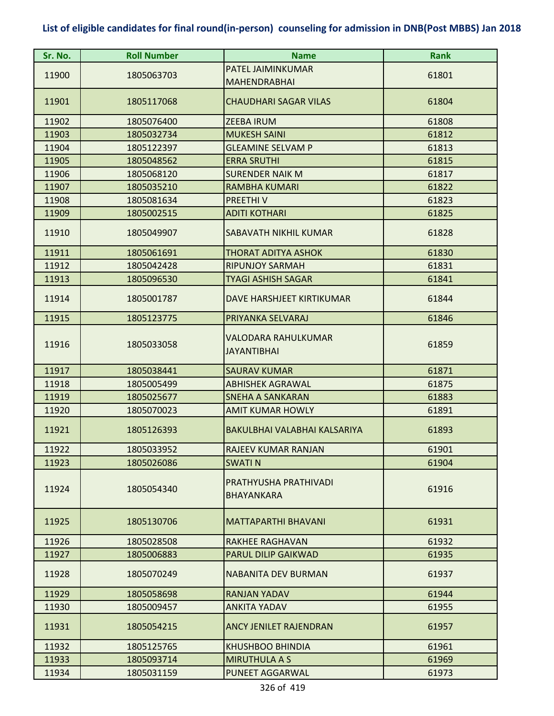| Sr. No. | <b>Roll Number</b> | <b>Name</b>                                | <b>Rank</b> |
|---------|--------------------|--------------------------------------------|-------------|
|         |                    | PATEL JAIMINKUMAR                          |             |
| 11900   | 1805063703         | <b>MAHENDRABHAI</b>                        | 61801       |
| 11901   | 1805117068         | <b>CHAUDHARI SAGAR VILAS</b>               | 61804       |
| 11902   | 1805076400         | <b>ZEEBA IRUM</b>                          | 61808       |
| 11903   | 1805032734         | <b>MUKESH SAINI</b>                        | 61812       |
| 11904   | 1805122397         | <b>GLEAMINE SELVAM P</b>                   | 61813       |
| 11905   | 1805048562         | <b>ERRA SRUTHI</b>                         | 61815       |
| 11906   | 1805068120         | <b>SURENDER NAIK M</b>                     | 61817       |
| 11907   | 1805035210         | <b>RAMBHA KUMARI</b>                       | 61822       |
| 11908   | 1805081634         | PREETHIV                                   | 61823       |
| 11909   | 1805002515         | <b>ADITI KOTHARI</b>                       | 61825       |
| 11910   | 1805049907         | SABAVATH NIKHIL KUMAR                      | 61828       |
| 11911   | 1805061691         | <b>THORAT ADITYA ASHOK</b>                 | 61830       |
| 11912   | 1805042428         | <b>RIPUNJOY SARMAH</b>                     | 61831       |
| 11913   | 1805096530         | <b>TYAGI ASHISH SAGAR</b>                  | 61841       |
| 11914   | 1805001787         | DAVE HARSHJEET KIRTIKUMAR                  | 61844       |
| 11915   | 1805123775         | PRIYANKA SELVARAJ                          | 61846       |
| 11916   | 1805033058         | VALODARA RAHULKUMAR<br><b>JAYANTIBHAI</b>  | 61859       |
| 11917   | 1805038441         | <b>SAURAV KUMAR</b>                        | 61871       |
| 11918   | 1805005499         | <b>ABHISHEK AGRAWAL</b>                    | 61875       |
| 11919   | 1805025677         | <b>SNEHA A SANKARAN</b>                    | 61883       |
| 11920   | 1805070023         | AMIT KUMAR HOWLY                           | 61891       |
| 11921   | 1805126393         | BAKULBHAI VALABHAI KALSARIYA               | 61893       |
| 11922   | 1805033952         | RAJEEV KUMAR RANJAN                        | 61901       |
| 11923   | 1805026086         | <b>SWATIN</b>                              | 61904       |
| 11924   | 1805054340         | PRATHYUSHA PRATHIVADI<br><b>BHAYANKARA</b> | 61916       |
| 11925   | 1805130706         | <b>MATTAPARTHI BHAVANI</b>                 | 61931       |
| 11926   | 1805028508         | <b>RAKHEE RAGHAVAN</b>                     | 61932       |
| 11927   | 1805006883         | <b>PARUL DILIP GAIKWAD</b>                 | 61935       |
| 11928   | 1805070249         | <b>NABANITA DEV BURMAN</b>                 | 61937       |
| 11929   | 1805058698         | <b>RANJAN YADAV</b>                        | 61944       |
| 11930   | 1805009457         | <b>ANKITA YADAV</b>                        | 61955       |
| 11931   | 1805054215         | <b>ANCY JENILET RAJENDRAN</b>              | 61957       |
| 11932   | 1805125765         | <b>KHUSHBOO BHINDIA</b>                    | 61961       |
| 11933   | 1805093714         | <b>MIRUTHULA A S</b>                       | 61969       |
| 11934   | 1805031159         | PUNEET AGGARWAL                            | 61973       |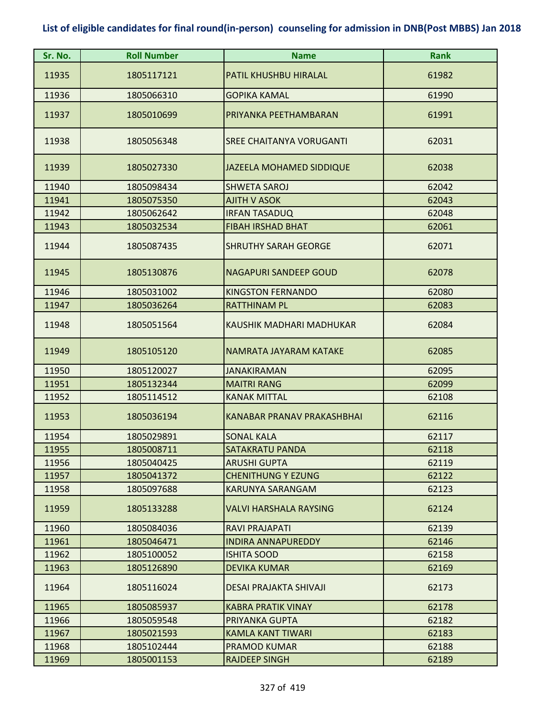| Sr. No. | <b>Roll Number</b> | <b>Name</b>                       | <b>Rank</b> |
|---------|--------------------|-----------------------------------|-------------|
| 11935   | 1805117121         | PATIL KHUSHBU HIRALAL             | 61982       |
| 11936   | 1805066310         | <b>GOPIKA KAMAL</b>               | 61990       |
| 11937   | 1805010699         | PRIYANKA PEETHAMBARAN             | 61991       |
| 11938   | 1805056348         | <b>SREE CHAITANYA VORUGANTI</b>   | 62031       |
| 11939   | 1805027330         | <b>JAZEELA MOHAMED SIDDIQUE</b>   | 62038       |
| 11940   | 1805098434         | <b>SHWETA SAROJ</b>               | 62042       |
| 11941   | 1805075350         | <b>AJITH V ASOK</b>               | 62043       |
| 11942   | 1805062642         | <b>IRFAN TASADUQ</b>              | 62048       |
| 11943   | 1805032534         | <b>FIBAH IRSHAD BHAT</b>          | 62061       |
| 11944   | 1805087435         | <b>SHRUTHY SARAH GEORGE</b>       | 62071       |
| 11945   | 1805130876         | <b>NAGAPURI SANDEEP GOUD</b>      | 62078       |
| 11946   | 1805031002         | <b>KINGSTON FERNANDO</b>          | 62080       |
| 11947   | 1805036264         | <b>RATTHINAM PL</b>               | 62083       |
| 11948   | 1805051564         | KAUSHIK MADHARI MADHUKAR          | 62084       |
| 11949   | 1805105120         | NAMRATA JAYARAM KATAKE            | 62085       |
| 11950   | 1805120027         | <b>JANAKIRAMAN</b>                | 62095       |
| 11951   | 1805132344         | <b>MAITRI RANG</b>                | 62099       |
| 11952   | 1805114512         | <b>KANAK MITTAL</b>               | 62108       |
| 11953   | 1805036194         | <b>KANABAR PRANAV PRAKASHBHAI</b> | 62116       |
| 11954   | 1805029891         | <b>SONAL KALA</b>                 | 62117       |
| 11955   | 1805008711         | <b>SATAKRATU PANDA</b>            | 62118       |
| 11956   | 1805040425         | <b>ARUSHI GUPTA</b>               | 62119       |
| 11957   | 1805041372         | <b>CHENITHUNG Y EZUNG</b>         | 62122       |
| 11958   | 1805097688         | <b>KARUNYA SARANGAM</b>           | 62123       |
| 11959   | 1805133288         | <b>VALVI HARSHALA RAYSING</b>     | 62124       |
| 11960   | 1805084036         | RAVI PRAJAPATI                    | 62139       |
| 11961   | 1805046471         | <b>INDIRA ANNAPUREDDY</b>         | 62146       |
| 11962   | 1805100052         | <b>ISHITA SOOD</b>                | 62158       |
| 11963   | 1805126890         | <b>DEVIKA KUMAR</b>               | 62169       |
| 11964   | 1805116024         | <b>DESAI PRAJAKTA SHIVAJI</b>     | 62173       |
| 11965   | 1805085937         | KABRA PRATIK VINAY                | 62178       |
| 11966   | 1805059548         | PRIYANKA GUPTA                    | 62182       |
| 11967   | 1805021593         | <b>KAMLA KANT TIWARI</b>          | 62183       |
| 11968   | 1805102444         | <b>PRAMOD KUMAR</b>               | 62188       |
| 11969   | 1805001153         | <b>RAJDEEP SINGH</b>              | 62189       |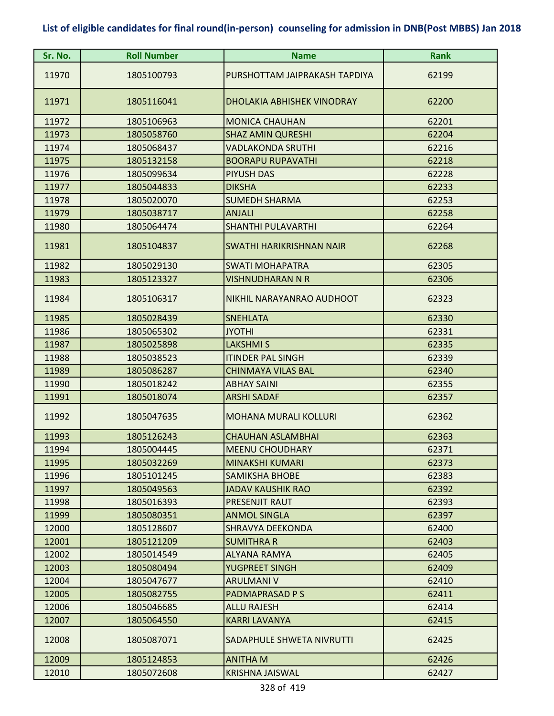| Sr. No. | <b>Roll Number</b> | <b>Name</b>                   | <b>Rank</b> |
|---------|--------------------|-------------------------------|-------------|
| 11970   | 1805100793         | PURSHOTTAM JAIPRAKASH TAPDIYA | 62199       |
| 11971   | 1805116041         | DHOLAKIA ABHISHEK VINODRAY    | 62200       |
| 11972   | 1805106963         | <b>MONICA CHAUHAN</b>         | 62201       |
| 11973   | 1805058760         | <b>SHAZ AMIN QURESHI</b>      | 62204       |
| 11974   | 1805068437         | <b>VADLAKONDA SRUTHI</b>      | 62216       |
| 11975   | 1805132158         | <b>BOORAPU RUPAVATHI</b>      | 62218       |
| 11976   | 1805099634         | <b>PIYUSH DAS</b>             | 62228       |
| 11977   | 1805044833         | <b>DIKSHA</b>                 | 62233       |
| 11978   | 1805020070         | <b>SUMEDH SHARMA</b>          | 62253       |
| 11979   | 1805038717         | <b>ANJALI</b>                 | 62258       |
| 11980   | 1805064474         | <b>SHANTHI PULAVARTHI</b>     | 62264       |
| 11981   | 1805104837         | SWATHI HARIKRISHNAN NAIR      | 62268       |
| 11982   | 1805029130         | <b>SWATI MOHAPATRA</b>        | 62305       |
| 11983   | 1805123327         | VISHNUDHARAN N R              | 62306       |
| 11984   | 1805106317         | NIKHIL NARAYANRAO AUDHOOT     | 62323       |
| 11985   | 1805028439         | <b>SNEHLATA</b>               | 62330       |
| 11986   | 1805065302         | <b>JYOTHI</b>                 | 62331       |
| 11987   | 1805025898         | <b>LAKSHMI S</b>              | 62335       |
| 11988   | 1805038523         | <b>ITINDER PAL SINGH</b>      | 62339       |
| 11989   | 1805086287         | <b>CHINMAYA VILAS BAL</b>     | 62340       |
| 11990   | 1805018242         | <b>ABHAY SAINI</b>            | 62355       |
| 11991   | 1805018074         | <b>ARSHI SADAF</b>            | 62357       |
| 11992   | 1805047635         | <b>MOHANA MURALI KOLLURI</b>  | 62362       |
| 11993   | 1805126243         | CHAUHAN ASLAMBHAI             | 62363       |
| 11994   | 1805004445         | <b>MEENU CHOUDHARY</b>        | 62371       |
| 11995   | 1805032269         | <b>MINAKSHI KUMARI</b>        | 62373       |
| 11996   | 1805101245         | <b>SAMIKSHA BHOBE</b>         | 62383       |
| 11997   | 1805049563         | <b>JADAV KAUSHIK RAO</b>      | 62392       |
| 11998   | 1805016393         | <b>PRESENJIT RAUT</b>         | 62393       |
| 11999   | 1805080351         | <b>ANMOL SINGLA</b>           | 62397       |
| 12000   | 1805128607         | <b>SHRAVYA DEEKONDA</b>       | 62400       |
| 12001   | 1805121209         | <b>SUMITHRA R</b>             | 62403       |
| 12002   | 1805014549         | <b>ALYANA RAMYA</b>           | 62405       |
| 12003   | 1805080494         | YUGPREET SINGH                | 62409       |
| 12004   | 1805047677         | <b>ARULMANI V</b>             | 62410       |
| 12005   | 1805082755         | PADMAPRASAD P S               | 62411       |
| 12006   | 1805046685         | <b>ALLU RAJESH</b>            | 62414       |
| 12007   | 1805064550         | <b>KARRI LAVANYA</b>          | 62415       |
| 12008   | 1805087071         | SADAPHULE SHWETA NIVRUTTI     | 62425       |
| 12009   | 1805124853         | <b>ANITHA M</b>               | 62426       |
| 12010   | 1805072608         | <b>KRISHNA JAISWAL</b>        | 62427       |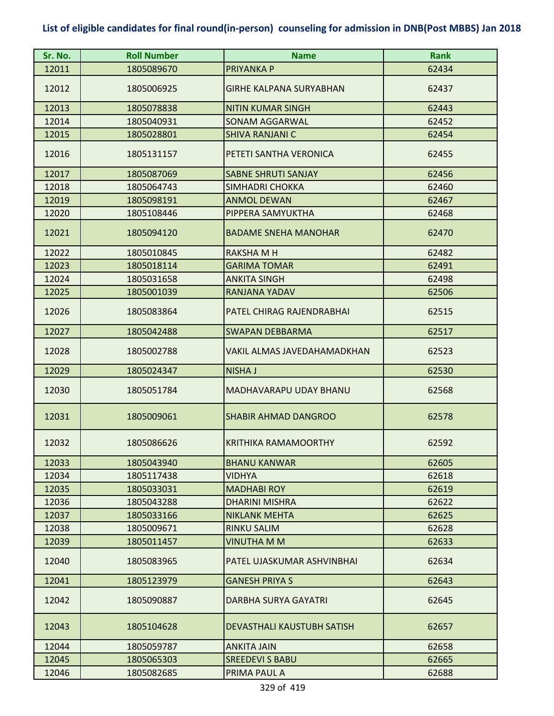| Sr. No. | <b>Roll Number</b> | <b>Name</b>                    | <b>Rank</b> |
|---------|--------------------|--------------------------------|-------------|
| 12011   | 1805089670         | <b>PRIYANKA P</b>              | 62434       |
| 12012   | 1805006925         | <b>GIRHE KALPANA SURYABHAN</b> | 62437       |
| 12013   | 1805078838         | <b>NITIN KUMAR SINGH</b>       | 62443       |
| 12014   | 1805040931         | <b>SONAM AGGARWAL</b>          | 62452       |
| 12015   | 1805028801         | <b>SHIVA RANJANI C</b>         | 62454       |
| 12016   | 1805131157         | PETETI SANTHA VERONICA         | 62455       |
| 12017   | 1805087069         | <b>SABNE SHRUTI SANJAY</b>     | 62456       |
| 12018   | 1805064743         | <b>SIMHADRI CHOKKA</b>         | 62460       |
| 12019   | 1805098191         | <b>ANMOL DEWAN</b>             | 62467       |
| 12020   | 1805108446         | PIPPERA SAMYUKTHA              | 62468       |
| 12021   | 1805094120         | <b>BADAME SNEHA MANOHAR</b>    | 62470       |
| 12022   | 1805010845         | <b>RAKSHAMH</b>                | 62482       |
| 12023   | 1805018114         | <b>GARIMA TOMAR</b>            | 62491       |
| 12024   | 1805031658         | <b>ANKITA SINGH</b>            | 62498       |
| 12025   | 1805001039         | RANJANA YADAV                  | 62506       |
| 12026   | 1805083864         | PATEL CHIRAG RAJENDRABHAI      | 62515       |
| 12027   | 1805042488         | <b>SWAPAN DEBBARMA</b>         | 62517       |
| 12028   | 1805002788         | VAKIL ALMAS JAVEDAHAMADKHAN    | 62523       |
|         |                    |                                |             |
| 12029   | 1805024347         | <b>NISHA J</b>                 | 62530       |
| 12030   | 1805051784         | MADHAVARAPU UDAY BHANU         | 62568       |
| 12031   | 1805009061         | <b>SHABIR AHMAD DANGROO</b>    | 62578       |
| 12032   | 1805086626         | <b>KRITHIKA RAMAMOORTHY</b>    | 62592       |
| 12033   | 1805043940         | <b>BHANU KANWAR</b>            | 62605       |
| 12034   | 1805117438         | <b>VIDHYA</b>                  | 62618       |
| 12035   | 1805033031         | <b>MADHABI ROY</b>             | 62619       |
| 12036   | 1805043288         | <b>DHARINI MISHRA</b>          | 62622       |
| 12037   | 1805033166         | <b>NIKLANK MEHTA</b>           | 62625       |
| 12038   | 1805009671         | <b>RINKU SALIM</b>             | 62628       |
| 12039   | 1805011457         | <b>VINUTHA M M</b>             | 62633       |
| 12040   | 1805083965         | PATEL UJASKUMAR ASHVINBHAI     | 62634       |
| 12041   | 1805123979         | <b>GANESH PRIYA S</b>          | 62643       |
| 12042   | 1805090887         | <b>DARBHA SURYA GAYATRI</b>    | 62645       |
| 12043   | 1805104628         | DEVASTHALI KAUSTUBH SATISH     | 62657       |
| 12044   | 1805059787         | <b>ANKITA JAIN</b>             | 62658       |
| 12045   | 1805065303         | <b>SREEDEVI S BABU</b>         | 62665       |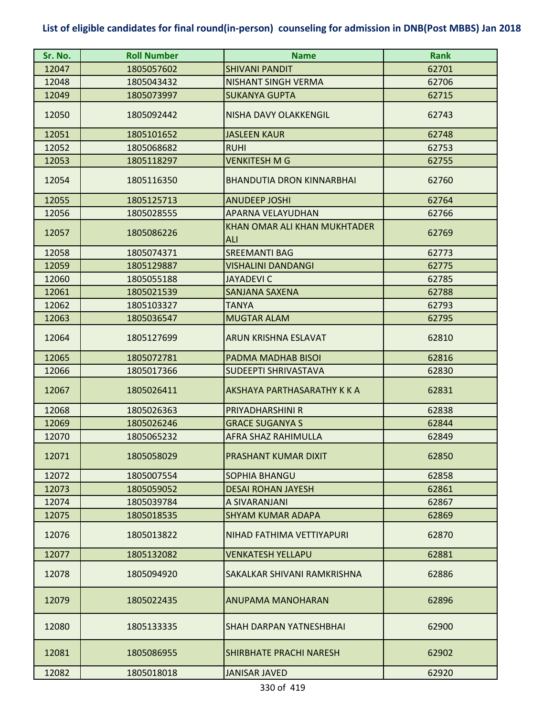| Sr. No. | <b>Roll Number</b> | <b>Name</b>                                | <b>Rank</b> |
|---------|--------------------|--------------------------------------------|-------------|
| 12047   | 1805057602         | <b>SHIVANI PANDIT</b>                      | 62701       |
| 12048   | 1805043432         | <b>NISHANT SINGH VERMA</b>                 | 62706       |
| 12049   | 1805073997         | <b>SUKANYA GUPTA</b>                       | 62715       |
| 12050   | 1805092442         | NISHA DAVY OLAKKENGIL                      | 62743       |
| 12051   | 1805101652         | <b>JASLEEN KAUR</b>                        | 62748       |
| 12052   | 1805068682         | <b>RUHI</b>                                | 62753       |
| 12053   | 1805118297         | <b>VENKITESH M G</b>                       | 62755       |
| 12054   | 1805116350         | <b>BHANDUTIA DRON KINNARBHAI</b>           | 62760       |
| 12055   | 1805125713         | <b>ANUDEEP JOSHI</b>                       | 62764       |
| 12056   | 1805028555         | APARNA VELAYUDHAN                          | 62766       |
| 12057   | 1805086226         | KHAN OMAR ALI KHAN MUKHTADER<br><b>ALI</b> | 62769       |
| 12058   | 1805074371         | <b>SREEMANTI BAG</b>                       | 62773       |
| 12059   | 1805129887         | <b>VISHALINI DANDANGI</b>                  | 62775       |
| 12060   | 1805055188         | <b>JAYADEVI C</b>                          | 62785       |
| 12061   | 1805021539         | <b>SANJANA SAXENA</b>                      | 62788       |
| 12062   | 1805103327         | <b>TANYA</b>                               | 62793       |
| 12063   | 1805036547         | <b>MUGTAR ALAM</b>                         | 62795       |
| 12064   | 1805127699         | ARUN KRISHNA ESLAVAT                       | 62810       |
| 12065   | 1805072781         | PADMA MADHAB BISOI                         | 62816       |
| 12066   | 1805017366         | SUDEEPTI SHRIVASTAVA                       | 62830       |
| 12067   | 1805026411         | AKSHAYA PARTHASARATHY K K A                | 62831       |
| 12068   | 1805026363         | PRIYADHARSHINI R                           | 62838       |
| 12069   | 1805026246         | <b>GRACE SUGANYA S</b>                     | 62844       |
| 12070   | 1805065232         | AFRA SHAZ RAHIMULLA                        | 62849       |
| 12071   | 1805058029         | PRASHANT KUMAR DIXIT                       | 62850       |
| 12072   | 1805007554         | <b>SOPHIA BHANGU</b>                       | 62858       |
| 12073   | 1805059052         | <b>DESAI ROHAN JAYESH</b>                  | 62861       |
| 12074   | 1805039784         | A SIVARANJANI                              | 62867       |
| 12075   | 1805018535         | <b>SHYAM KUMAR ADAPA</b>                   | 62869       |
| 12076   | 1805013822         | NIHAD FATHIMA VETTIYAPURI                  | 62870       |
| 12077   | 1805132082         | <b>VENKATESH YELLAPU</b>                   | 62881       |
| 12078   | 1805094920         | SAKALKAR SHIVANI RAMKRISHNA                | 62886       |
| 12079   | 1805022435         | ANUPAMA MANOHARAN                          | 62896       |
| 12080   | 1805133335         | SHAH DARPAN YATNESHBHAI                    | 62900       |
| 12081   | 1805086955         | <b>SHIRBHATE PRACHI NARESH</b>             | 62902       |
| 12082   | 1805018018         | <b>JANISAR JAVED</b>                       | 62920       |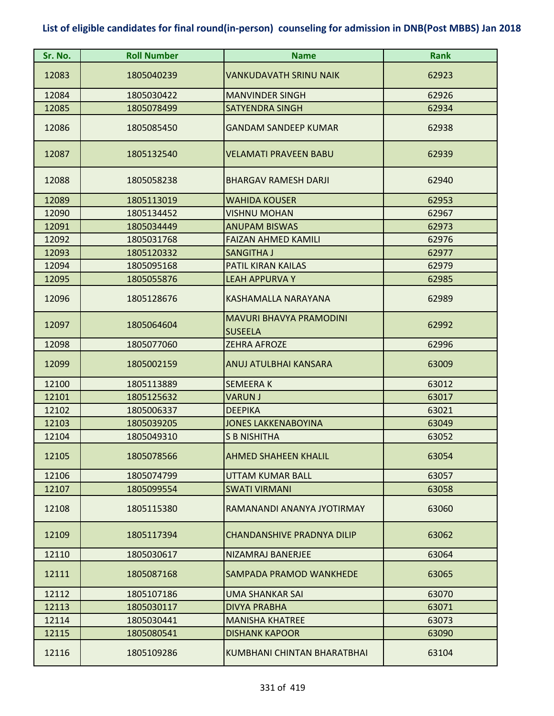| Sr. No. | <b>Roll Number</b> | <b>Name</b>                                      | <b>Rank</b> |
|---------|--------------------|--------------------------------------------------|-------------|
| 12083   | 1805040239         | <b>VANKUDAVATH SRINU NAIK</b>                    | 62923       |
| 12084   | 1805030422         | <b>MANVINDER SINGH</b>                           | 62926       |
| 12085   | 1805078499         | <b>SATYENDRA SINGH</b>                           | 62934       |
| 12086   | 1805085450         | <b>GANDAM SANDEEP KUMAR</b>                      | 62938       |
| 12087   | 1805132540         | <b>VELAMATI PRAVEEN BABU</b>                     | 62939       |
| 12088   | 1805058238         | <b>BHARGAV RAMESH DARJI</b>                      | 62940       |
| 12089   | 1805113019         | <b>WAHIDA KOUSER</b>                             | 62953       |
| 12090   | 1805134452         | <b>VISHNU MOHAN</b>                              | 62967       |
| 12091   | 1805034449         | <b>ANUPAM BISWAS</b>                             | 62973       |
| 12092   | 1805031768         | <b>FAIZAN AHMED KAMILI</b>                       | 62976       |
| 12093   | 1805120332         | SANGITHA J                                       | 62977       |
| 12094   | 1805095168         | PATIL KIRAN KAILAS                               | 62979       |
| 12095   | 1805055876         | <b>LEAH APPURVA Y</b>                            | 62985       |
| 12096   | 1805128676         | KASHAMALLA NARAYANA                              | 62989       |
| 12097   | 1805064604         | <b>MAVURI BHAVYA PRAMODINI</b><br><b>SUSEELA</b> | 62992       |
| 12098   | 1805077060         | <b>ZEHRA AFROZE</b>                              | 62996       |
| 12099   | 1805002159         | ANUJ ATULBHAI KANSARA                            | 63009       |
| 12100   | 1805113889         | <b>SEMEERAK</b>                                  | 63012       |
| 12101   | 1805125632         | <b>VARUN J</b>                                   | 63017       |
| 12102   | 1805006337         | <b>DEEPIKA</b>                                   | 63021       |
| 12103   | 1805039205         | <b>JONES LAKKENABOYINA</b>                       | 63049       |
| 12104   | 1805049310         | <b>S B NISHITHA</b>                              | 63052       |
| 12105   | 1805078566         | <b>AHMED SHAHEEN KHALIL</b>                      | 63054       |
| 12106   | 1805074799         | <b>UTTAM KUMAR BALL</b>                          | 63057       |
| 12107   | 1805099554         | <b>SWATI VIRMANI</b>                             | 63058       |
| 12108   | 1805115380         | RAMANANDI ANANYA JYOTIRMAY                       | 63060       |
| 12109   | 1805117394         | CHANDANSHIVE PRADNYA DILIP                       | 63062       |
| 12110   | 1805030617         | NIZAMRAJ BANERJEE                                | 63064       |
| 12111   | 1805087168         | SAMPADA PRAMOD WANKHEDE                          | 63065       |
| 12112   | 1805107186         | UMA SHANKAR SAI                                  | 63070       |
| 12113   | 1805030117         | <b>DIVYA PRABHA</b>                              | 63071       |
| 12114   | 1805030441         | <b>MANISHA KHATREE</b>                           | 63073       |
| 12115   | 1805080541         | <b>DISHANK KAPOOR</b>                            | 63090       |
| 12116   | 1805109286         | KUMBHANI CHINTAN BHARATBHAI                      | 63104       |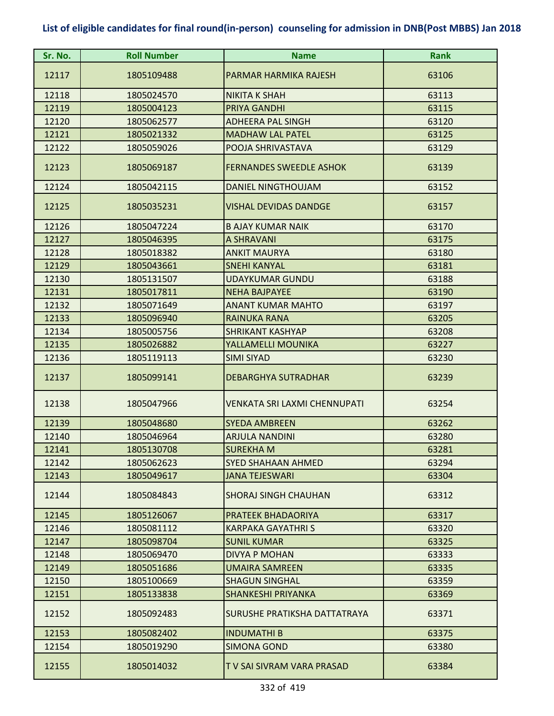| Sr. No. | <b>Roll Number</b> | <b>Name</b>                         | <b>Rank</b> |
|---------|--------------------|-------------------------------------|-------------|
| 12117   | 1805109488         | PARMAR HARMIKA RAJESH               | 63106       |
| 12118   | 1805024570         | <b>NIKITA K SHAH</b>                | 63113       |
| 12119   | 1805004123         | PRIYA GANDHI                        | 63115       |
| 12120   | 1805062577         | <b>ADHEERA PAL SINGH</b>            | 63120       |
| 12121   | 1805021332         | <b>MADHAW LAL PATEL</b>             | 63125       |
| 12122   | 1805059026         | POOJA SHRIVASTAVA                   | 63129       |
| 12123   | 1805069187         | <b>FERNANDES SWEEDLE ASHOK</b>      | 63139       |
| 12124   | 1805042115         | DANIEL NINGTHOUJAM                  | 63152       |
| 12125   | 1805035231         | <b>VISHAL DEVIDAS DANDGE</b>        | 63157       |
| 12126   | 1805047224         | <b>B AJAY KUMAR NAIK</b>            | 63170       |
| 12127   | 1805046395         | A SHRAVANI                          | 63175       |
| 12128   | 1805018382         | <b>ANKIT MAURYA</b>                 | 63180       |
| 12129   | 1805043661         | <b>SNEHI KANYAL</b>                 | 63181       |
| 12130   | 1805131507         | <b>UDAYKUMAR GUNDU</b>              | 63188       |
| 12131   | 1805017811         | <b>NEHA BAJPAYEE</b>                | 63190       |
| 12132   | 1805071649         | <b>ANANT KUMAR MAHTO</b>            | 63197       |
| 12133   | 1805096940         | <b>RAINUKA RANA</b>                 | 63205       |
| 12134   | 1805005756         | <b>SHRIKANT KASHYAP</b>             | 63208       |
| 12135   | 1805026882         | YALLAMELLI MOUNIKA                  | 63227       |
| 12136   | 1805119113         | <b>SIMI SIYAD</b>                   | 63230       |
| 12137   | 1805099141         | <b>DEBARGHYA SUTRADHAR</b>          | 63239       |
| 12138   | 1805047966         | <b>VENKATA SRI LAXMI CHENNUPATI</b> | 63254       |
| 12139   | 1805048680         | <b>SYEDA AMBREEN</b>                | 63262       |
| 12140   | 1805046964         | ARJULA NANDINI                      | 63280       |
| 12141   | 1805130708         | <b>SUREKHAM</b>                     | 63281       |
| 12142   | 1805062623         | SYED SHAHAAN AHMED                  | 63294       |
| 12143   | 1805049617         | <b>JANA TEJESWARI</b>               | 63304       |
| 12144   | 1805084843         | <b>SHORAJ SINGH CHAUHAN</b>         | 63312       |
| 12145   | 1805126067         | PRATEEK BHADAORIYA                  | 63317       |
| 12146   | 1805081112         | KARPAKA GAYATHRI S                  | 63320       |
| 12147   | 1805098704         | <b>SUNIL KUMAR</b>                  | 63325       |
| 12148   | 1805069470         | <b>DIVYA P MOHAN</b>                | 63333       |
| 12149   | 1805051686         | <b>UMAIRA SAMREEN</b>               | 63335       |
| 12150   | 1805100669         | <b>SHAGUN SINGHAL</b>               | 63359       |
| 12151   | 1805133838         | SHANKESHI PRIYANKA                  | 63369       |
| 12152   | 1805092483         | SURUSHE PRATIKSHA DATTATRAYA        | 63371       |
| 12153   | 1805082402         | <b>INDUMATHI B</b>                  | 63375       |
| 12154   | 1805019290         | <b>SIMONA GOND</b>                  | 63380       |
| 12155   | 1805014032         | T V SAI SIVRAM VARA PRASAD          | 63384       |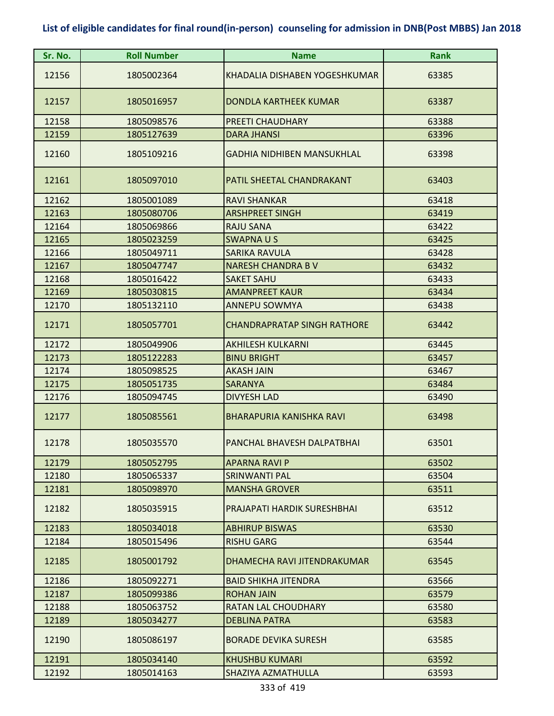| Sr. No. | <b>Roll Number</b> | <b>Name</b>                        | <b>Rank</b> |
|---------|--------------------|------------------------------------|-------------|
| 12156   | 1805002364         | KHADALIA DISHABEN YOGESHKUMAR      | 63385       |
| 12157   | 1805016957         | DONDLA KARTHEEK KUMAR              | 63387       |
| 12158   | 1805098576         | PREETI CHAUDHARY                   | 63388       |
| 12159   | 1805127639         | <b>DARA JHANSI</b>                 | 63396       |
| 12160   | 1805109216         | <b>GADHIA NIDHIBEN MANSUKHLAL</b>  | 63398       |
| 12161   | 1805097010         | PATIL SHEETAL CHANDRAKANT          | 63403       |
| 12162   | 1805001089         | <b>RAVI SHANKAR</b>                | 63418       |
| 12163   | 1805080706         | <b>ARSHPREET SINGH</b>             | 63419       |
| 12164   | 1805069866         | <b>RAJU SANA</b>                   | 63422       |
| 12165   | 1805023259         | <b>SWAPNAUS</b>                    | 63425       |
| 12166   | 1805049711         | <b>SARIKA RAVULA</b>               | 63428       |
| 12167   | 1805047747         | <b>NARESH CHANDRA B V</b>          | 63432       |
| 12168   | 1805016422         | <b>SAKET SAHU</b>                  | 63433       |
| 12169   | 1805030815         | <b>AMANPREET KAUR</b>              | 63434       |
| 12170   | 1805132110         | <b>ANNEPU SOWMYA</b>               | 63438       |
| 12171   | 1805057701         | <b>CHANDRAPRATAP SINGH RATHORE</b> | 63442       |
| 12172   | 1805049906         | <b>AKHILESH KULKARNI</b>           | 63445       |
| 12173   | 1805122283         | <b>BINU BRIGHT</b>                 | 63457       |
| 12174   | 1805098525         | <b>AKASH JAIN</b>                  | 63467       |
| 12175   | 1805051735         | <b>SARANYA</b>                     | 63484       |
| 12176   | 1805094745         | <b>DIVYESH LAD</b>                 | 63490       |
| 12177   | 1805085561         | <b>BHARAPURIA KANISHKA RAVI</b>    | 63498       |
| 12178   | 1805035570         | PANCHAL BHAVESH DALPATBHAI         | 63501       |
| 12179   | 1805052795         | <b>APARNA RAVI P</b>               | 63502       |
| 12180   | 1805065337         | <b>SRINWANTI PAL</b>               | 63504       |
| 12181   | 1805098970         | <b>MANSHA GROVER</b>               | 63511       |
| 12182   | 1805035915         | PRAJAPATI HARDIK SURESHBHAI        | 63512       |
| 12183   | 1805034018         | <b>ABHIRUP BISWAS</b>              | 63530       |
| 12184   | 1805015496         | <b>RISHU GARG</b>                  | 63544       |
| 12185   | 1805001792         | DHAMECHA RAVI JITENDRAKUMAR        | 63545       |
| 12186   | 1805092271         | <b>BAID SHIKHA JITENDRA</b>        | 63566       |
| 12187   | 1805099386         | <b>ROHAN JAIN</b>                  | 63579       |
| 12188   | 1805063752         | RATAN LAL CHOUDHARY                | 63580       |
| 12189   | 1805034277         | <b>DEBLINA PATRA</b>               | 63583       |
| 12190   | 1805086197         | <b>BORADE DEVIKA SURESH</b>        | 63585       |
| 12191   | 1805034140         | KHUSHBU KUMARI                     | 63592       |
| 12192   | 1805014163         | SHAZIYA AZMATHULLA                 | 63593       |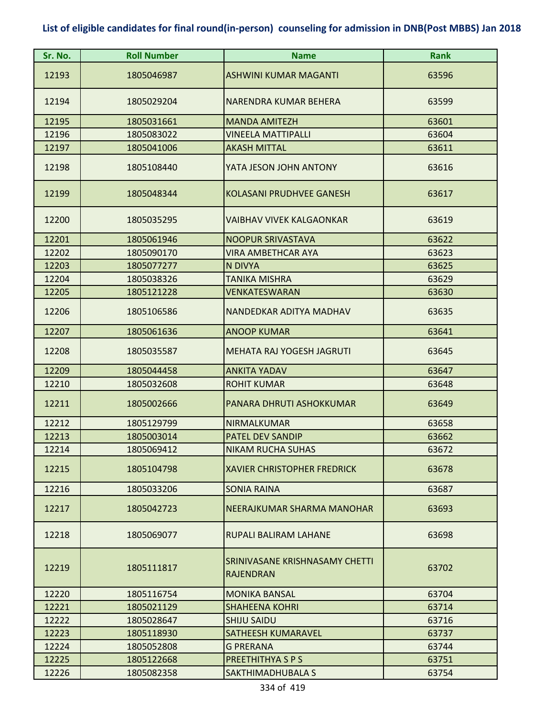| Sr. No. | <b>Roll Number</b> | <b>Name</b>                                        | <b>Rank</b> |
|---------|--------------------|----------------------------------------------------|-------------|
| 12193   | 1805046987         | <b>ASHWINI KUMAR MAGANTI</b>                       | 63596       |
| 12194   | 1805029204         | NARENDRA KUMAR BEHERA                              | 63599       |
| 12195   | 1805031661         | <b>MANDA AMITEZH</b>                               | 63601       |
| 12196   | 1805083022         | <b>VINEELA MATTIPALLI</b>                          | 63604       |
| 12197   | 1805041006         | <b>AKASH MITTAL</b>                                | 63611       |
| 12198   | 1805108440         | YATA JESON JOHN ANTONY                             | 63616       |
| 12199   | 1805048344         | <b>KOLASANI PRUDHVEE GANESH</b>                    | 63617       |
| 12200   | 1805035295         | VAIBHAV VIVEK KALGAONKAR                           | 63619       |
| 12201   | 1805061946         | <b>NOOPUR SRIVASTAVA</b>                           | 63622       |
| 12202   | 1805090170         | <b>VIRA AMBETHCAR AYA</b>                          | 63623       |
| 12203   | 1805077277         | N DIVYA                                            | 63625       |
| 12204   | 1805038326         | <b>TANIKA MISHRA</b>                               | 63629       |
| 12205   | 1805121228         | <b>VENKATESWARAN</b>                               | 63630       |
| 12206   | 1805106586         | NANDEDKAR ADITYA MADHAV                            | 63635       |
| 12207   | 1805061636         | <b>ANOOP KUMAR</b>                                 | 63641       |
| 12208   | 1805035587         | MEHATA RAJ YOGESH JAGRUTI                          | 63645       |
| 12209   | 1805044458         | <b>ANKITA YADAV</b>                                | 63647       |
| 12210   | 1805032608         | <b>ROHIT KUMAR</b>                                 | 63648       |
| 12211   | 1805002666         | PANARA DHRUTI ASHOKKUMAR                           | 63649       |
| 12212   | 1805129799         | NIRMALKUMAR                                        | 63658       |
| 12213   | 1805003014         | <b>PATEL DEV SANDIP</b>                            | 63662       |
| 12214   | 1805069412         | <b>NIKAM RUCHA SUHAS</b>                           | 63672       |
| 12215   | 1805104798         | <b>XAVIER CHRISTOPHER FREDRICK</b>                 | 63678       |
| 12216   | 1805033206         | <b>SONIA RAINA</b>                                 | 63687       |
| 12217   | 1805042723         | NEERAJKUMAR SHARMA MANOHAR                         | 63693       |
| 12218   | 1805069077         | RUPALI BALIRAM LAHANE                              | 63698       |
| 12219   | 1805111817         | SRINIVASANE KRISHNASAMY CHETTI<br><b>RAJENDRAN</b> | 63702       |
| 12220   | 1805116754         | <b>MONIKA BANSAL</b>                               | 63704       |
| 12221   | 1805021129         | <b>SHAHEENA KOHRI</b>                              | 63714       |
| 12222   | 1805028647         | <b>SHIJU SAIDU</b>                                 | 63716       |
| 12223   | 1805118930         | SATHEESH KUMARAVEL                                 | 63737       |
| 12224   | 1805052808         | <b>G PRERANA</b>                                   | 63744       |
| 12225   | 1805122668         | PREETHITHYA S P S                                  | 63751       |
| 12226   | 1805082358         | SAKTHIMADHUBALA S                                  | 63754       |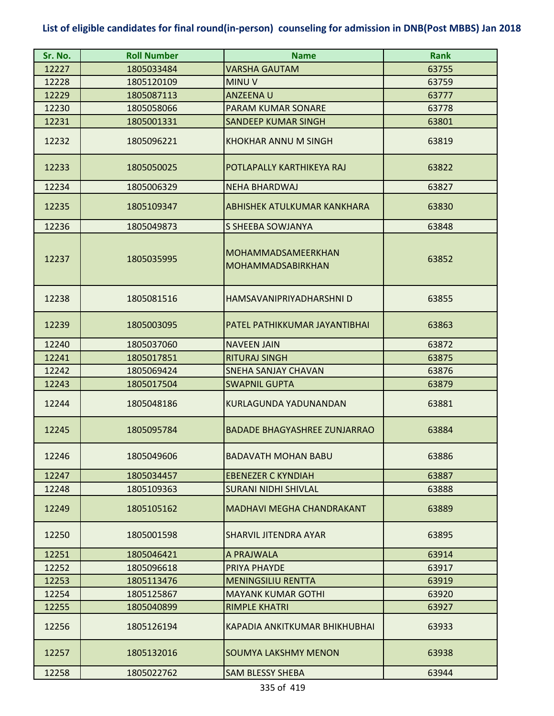| Sr. No. | <b>Roll Number</b> | <b>Name</b>                                    | <b>Rank</b> |
|---------|--------------------|------------------------------------------------|-------------|
| 12227   | 1805033484         | VARSHA GAUTAM                                  | 63755       |
| 12228   | 1805120109         | <b>MINUV</b>                                   | 63759       |
| 12229   | 1805087113         | ANZEENA U                                      | 63777       |
| 12230   | 1805058066         | PARAM KUMAR SONARE                             | 63778       |
| 12231   | 1805001331         | <b>SANDEEP KUMAR SINGH</b>                     | 63801       |
| 12232   | 1805096221         | <b>KHOKHAR ANNU M SINGH</b>                    | 63819       |
| 12233   | 1805050025         | POTLAPALLY KARTHIKEYA RAJ                      | 63822       |
| 12234   | 1805006329         | <b>NEHA BHARDWAJ</b>                           | 63827       |
| 12235   | 1805109347         | ABHISHEK ATULKUMAR KANKHARA                    | 63830       |
| 12236   | 1805049873         | S SHEEBA SOWJANYA                              | 63848       |
| 12237   | 1805035995         | MOHAMMADSAMEERKHAN<br><b>MOHAMMADSABIRKHAN</b> | 63852       |
| 12238   | 1805081516         | HAMSAVANIPRIYADHARSHNI D                       | 63855       |
| 12239   | 1805003095         | PATEL PATHIKKUMAR JAYANTIBHAI                  | 63863       |
| 12240   | 1805037060         | <b>NAVEEN JAIN</b>                             | 63872       |
| 12241   | 1805017851         | <b>RITURAJ SINGH</b>                           | 63875       |
| 12242   | 1805069424         | <b>SNEHA SANJAY CHAVAN</b>                     | 63876       |
| 12243   | 1805017504         | <b>SWAPNIL GUPTA</b>                           | 63879       |
| 12244   | 1805048186         | KURLAGUNDA YADUNANDAN                          | 63881       |
| 12245   | 1805095784         | <b>BADADE BHAGYASHREE ZUNJARRAO</b>            | 63884       |
| 12246   | 1805049606         | <b>BADAVATH MOHAN BABU</b>                     | 63886       |
| 12247   | 1805034457         | <b>EBENEZER C KYNDIAH</b>                      | 63887       |
| 12248   | 1805109363         | <b>SURANI NIDHI SHIVLAL</b>                    | 63888       |
| 12249   | 1805105162         | <b>MADHAVI MEGHA CHANDRAKANT</b>               | 63889       |
| 12250   | 1805001598         | SHARVIL JITENDRA AYAR                          | 63895       |
| 12251   | 1805046421         | A PRAJWALA                                     | 63914       |
| 12252   | 1805096618         | PRIYA PHAYDE                                   | 63917       |
| 12253   | 1805113476         | <b>MENINGSILIU RENTTA</b>                      | 63919       |
| 12254   | 1805125867         | <b>MAYANK KUMAR GOTHI</b>                      | 63920       |
| 12255   | 1805040899         | <b>RIMPLE KHATRI</b>                           | 63927       |
| 12256   | 1805126194         | KAPADIA ANKITKUMAR BHIKHUBHAI                  | 63933       |
| 12257   | 1805132016         | SOUMYA LAKSHMY MENON                           | 63938       |
| 12258   | 1805022762         | <b>SAM BLESSY SHEBA</b>                        | 63944       |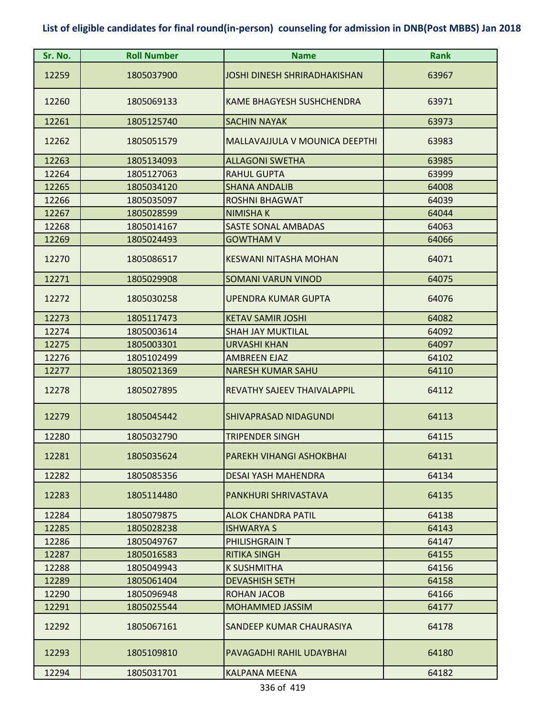| Sr. No. | <b>Roll Number</b> | <b>Name</b>                         | <b>Rank</b> |
|---------|--------------------|-------------------------------------|-------------|
| 12259   | 1805037900         | <b>JOSHI DINESH SHRIRADHAKISHAN</b> | 63967       |
| 12260   | 1805069133         | KAME BHAGYESH SUSHCHENDRA           | 63971       |
| 12261   | 1805125740         | <b>SACHIN NAYAK</b>                 | 63973       |
| 12262   | 1805051579         | MALLAVAJJULA V MOUNICA DEEPTHI      | 63983       |
| 12263   | 1805134093         | <b>ALLAGONI SWETHA</b>              | 63985       |
| 12264   | 1805127063         | <b>RAHUL GUPTA</b>                  | 63999       |
| 12265   | 1805034120         | <b>SHANA ANDALIB</b>                | 64008       |
| 12266   | 1805035097         | <b>ROSHNI BHAGWAT</b>               | 64039       |
| 12267   | 1805028599         | <b>NIMISHAK</b>                     | 64044       |
| 12268   | 1805014167         | SASTE SONAL AMBADAS                 | 64063       |
| 12269   | 1805024493         | <b>GOWTHAM V</b>                    | 64066       |
| 12270   | 1805086517         | <b>KESWANI NITASHA MOHAN</b>        | 64071       |
| 12271   | 1805029908         | <b>SOMANI VARUN VINOD</b>           | 64075       |
| 12272   | 1805030258         | <b>UPENDRA KUMAR GUPTA</b>          | 64076       |
| 12273   | 1805117473         | <b>KETAV SAMIR JOSHI</b>            | 64082       |
| 12274   | 1805003614         | <b>SHAH JAY MUKTILAL</b>            | 64092       |
| 12275   | 1805003301         | <b>URVASHI KHAN</b>                 | 64097       |
| 12276   | 1805102499         | <b>AMBREEN EJAZ</b>                 | 64102       |
| 12277   | 1805021369         | <b>NARESH KUMAR SAHU</b>            | 64110       |
| 12278   | 1805027895         | REVATHY SAJEEV THAIVALAPPIL         | 64112       |
| 12279   | 1805045442         | <b>SHIVAPRASAD NIDAGUNDI</b>        | 64113       |
| 12280   | 1805032790         | <b>TRIPENDER SINGH</b>              | 64115       |
| 12281   | 1805035624         | PAREKH VIHANGI ASHOKBHAI            | 64131       |
| 12282   | 1805085356         | DESAI YASH MAHENDRA                 | 64134       |
| 12283   | 1805114480         | PANKHURI SHRIVASTAVA                | 64135       |
| 12284   | 1805079875         | <b>ALOK CHANDRA PATIL</b>           | 64138       |
| 12285   | 1805028238         | <b>ISHWARYA S</b>                   | 64143       |
| 12286   | 1805049767         | PHILISHGRAIN T                      | 64147       |
| 12287   | 1805016583         | <b>RITIKA SINGH</b>                 | 64155       |
| 12288   | 1805049943         | K SUSHMITHA                         | 64156       |
| 12289   | 1805061404         | <b>DEVASHISH SETH</b>               | 64158       |
| 12290   | 1805096948         | ROHAN JACOB                         | 64166       |
| 12291   | 1805025544         | <b>MOHAMMED JASSIM</b>              | 64177       |
| 12292   | 1805067161         | SANDEEP KUMAR CHAURASIYA            | 64178       |
| 12293   | 1805109810         | PAVAGADHI RAHIL UDAYBHAI            | 64180       |
| 12294   | 1805031701         | <b>KALPANA MEENA</b>                | 64182       |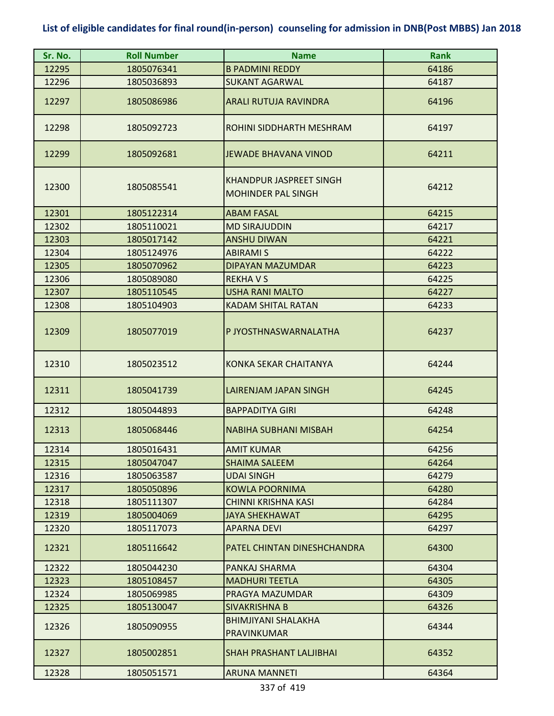| Sr. No. | <b>Roll Number</b> | <b>Name</b>                                                 | <b>Rank</b> |
|---------|--------------------|-------------------------------------------------------------|-------------|
| 12295   | 1805076341         | <b>B PADMINI REDDY</b>                                      | 64186       |
| 12296   | 1805036893         | <b>SUKANT AGARWAL</b>                                       | 64187       |
| 12297   | 1805086986         | <b>ARALI RUTUJA RAVINDRA</b>                                | 64196       |
| 12298   | 1805092723         | ROHINI SIDDHARTH MESHRAM                                    | 64197       |
| 12299   | 1805092681         | <b>JEWADE BHAVANA VINOD</b>                                 | 64211       |
| 12300   | 1805085541         | <b>KHANDPUR JASPREET SINGH</b><br><b>MOHINDER PAL SINGH</b> | 64212       |
| 12301   | 1805122314         | <b>ABAM FASAL</b>                                           | 64215       |
| 12302   | 1805110021         | <b>MD SIRAJUDDIN</b>                                        | 64217       |
| 12303   | 1805017142         | <b>ANSHU DIWAN</b>                                          | 64221       |
| 12304   | 1805124976         | <b>ABIRAMI S</b>                                            | 64222       |
| 12305   | 1805070962         | <b>DIPAYAN MAZUMDAR</b>                                     | 64223       |
| 12306   | 1805089080         | <b>REKHAVS</b>                                              | 64225       |
| 12307   | 1805110545         | <b>USHA RANI MALTO</b>                                      | 64227       |
| 12308   | 1805104903         | <b>KADAM SHITAL RATAN</b>                                   | 64233       |
| 12309   | 1805077019         | P JYOSTHNASWARNALATHA                                       | 64237       |
| 12310   | 1805023512         | KONKA SEKAR CHAITANYA                                       | 64244       |
| 12311   | 1805041739         | LAIRENJAM JAPAN SINGH                                       | 64245       |
| 12312   | 1805044893         | <b>BAPPADITYA GIRI</b>                                      | 64248       |
| 12313   | 1805068446         | <b>NABIHA SUBHANI MISBAH</b>                                | 64254       |
| 12314   | 1805016431         | <b>AMIT KUMAR</b>                                           | 64256       |
| 12315   | 1805047047         | <b>SHAIMA SALEEM</b>                                        | 64264       |
| 12316   | 1805063587         | <b>UDAI SINGH</b>                                           | 64279       |
| 12317   | 1805050896         | <b>KOWLA POORNIMA</b>                                       | 64280       |
| 12318   | 1805111307         | CHINNI KRISHNA KASI                                         | 64284       |
| 12319   | 1805004069         | <b>JAYA SHEKHAWAT</b>                                       | 64295       |
| 12320   | 1805117073         | <b>APARNA DEVI</b>                                          | 64297       |
| 12321   | 1805116642         | PATEL CHINTAN DINESHCHANDRA                                 | 64300       |
| 12322   | 1805044230         | PANKAJ SHARMA                                               | 64304       |
| 12323   | 1805108457         | <b>MADHURI TEETLA</b>                                       | 64305       |
| 12324   | 1805069985         | PRAGYA MAZUMDAR                                             | 64309       |
| 12325   | 1805130047         | SIVAKRISHNA B                                               | 64326       |
| 12326   | 1805090955         | BHIMJIYANI SHALAKHA<br><b>PRAVINKUMAR</b>                   | 64344       |
| 12327   | 1805002851         | <b>SHAH PRASHANT LALJIBHAI</b>                              | 64352       |
| 12328   | 1805051571         | <b>ARUNA MANNETI</b>                                        | 64364       |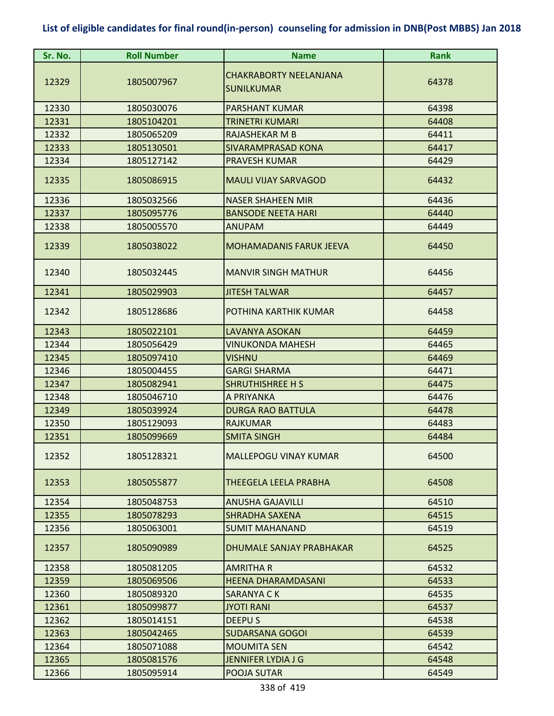| Sr. No. | <b>Roll Number</b> | <b>Name</b>                                        | <b>Rank</b> |
|---------|--------------------|----------------------------------------------------|-------------|
| 12329   | 1805007967         | <b>CHAKRABORTY NEELANJANA</b><br><b>SUNILKUMAR</b> | 64378       |
| 12330   | 1805030076         | <b>PARSHANT KUMAR</b>                              | 64398       |
| 12331   | 1805104201         | TRINETRI KUMARI                                    | 64408       |
| 12332   | 1805065209         | RAJASHEKAR M B                                     | 64411       |
| 12333   | 1805130501         | <b>SIVARAMPRASAD KONA</b>                          | 64417       |
| 12334   | 1805127142         | <b>PRAVESH KUMAR</b>                               | 64429       |
| 12335   | 1805086915         | <b>MAULI VIJAY SARVAGOD</b>                        | 64432       |
| 12336   | 1805032566         | <b>NASER SHAHEEN MIR</b>                           | 64436       |
| 12337   | 1805095776         | <b>BANSODE NEETA HARI</b>                          | 64440       |
| 12338   | 1805005570         | <b>ANUPAM</b>                                      | 64449       |
| 12339   | 1805038022         | <b>MOHAMADANIS FARUK JEEVA</b>                     | 64450       |
| 12340   | 1805032445         | <b>MANVIR SINGH MATHUR</b>                         | 64456       |
| 12341   | 1805029903         | <b>JITESH TALWAR</b>                               | 64457       |
| 12342   | 1805128686         | POTHINA KARTHIK KUMAR                              | 64458       |
| 12343   | 1805022101         | <b>LAVANYA ASOKAN</b>                              | 64459       |
| 12344   | 1805056429         | VINUKONDA MAHESH                                   | 64465       |
| 12345   | 1805097410         | <b>VISHNU</b>                                      | 64469       |
| 12346   | 1805004455         | <b>GARGI SHARMA</b>                                | 64471       |
| 12347   | 1805082941         | <b>SHRUTHISHREE H S</b>                            | 64475       |
| 12348   | 1805046710         | A PRIYANKA                                         | 64476       |
| 12349   | 1805039924         | <b>DURGA RAO BATTULA</b>                           | 64478       |
| 12350   | 1805129093         | <b>RAJKUMAR</b>                                    | 64483       |
| 12351   | 1805099669         | <b>SMITA SINGH</b>                                 | 64484       |
| 12352   | 1805128321         | <b>MALLEPOGU VINAY KUMAR</b>                       | 64500       |
| 12353   | 1805055877         | THEEGELA LEELA PRABHA                              | 64508       |
| 12354   | 1805048753         | <b>ANUSHA GAJAVILLI</b>                            | 64510       |
| 12355   | 1805078293         | <b>SHRADHA SAXENA</b>                              | 64515       |
| 12356   | 1805063001         | <b>SUMIT MAHANAND</b>                              | 64519       |
| 12357   | 1805090989         | DHUMALE SANJAY PRABHAKAR                           | 64525       |
| 12358   | 1805081205         | <b>AMRITHA R</b>                                   | 64532       |
| 12359   | 1805069506         | <b>HEENA DHARAMDASANI</b>                          | 64533       |
| 12360   | 1805089320         | SARANYA C K                                        | 64535       |
| 12361   | 1805099877         | <b>JYOTI RANI</b>                                  | 64537       |
| 12362   | 1805014151         | <b>DEEPUS</b>                                      | 64538       |
| 12363   | 1805042465         | <b>SUDARSANA GOGOI</b>                             | 64539       |
| 12364   | 1805071088         | <b>MOUMITA SEN</b>                                 | 64542       |
| 12365   | 1805081576         | <b>JENNIFER LYDIA J G</b>                          | 64548       |
| 12366   | 1805095914         | POOJA SUTAR                                        | 64549       |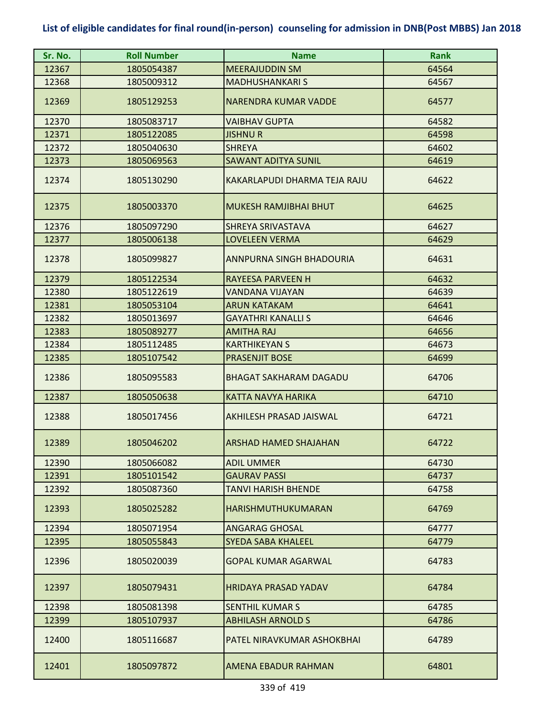| Sr. No. | <b>Roll Number</b> | <b>Name</b>                     | <b>Rank</b> |
|---------|--------------------|---------------------------------|-------------|
| 12367   | 1805054387         | <b>MEERAJUDDIN SM</b>           | 64564       |
| 12368   | 1805009312         | <b>MADHUSHANKARI S</b>          | 64567       |
| 12369   | 1805129253         | <b>NARENDRA KUMAR VADDE</b>     | 64577       |
| 12370   | 1805083717         | <b>VAIBHAV GUPTA</b>            | 64582       |
| 12371   | 1805122085         | <b>JISHNU R</b>                 | 64598       |
| 12372   | 1805040630         | <b>SHREYA</b>                   | 64602       |
| 12373   | 1805069563         | <b>SAWANT ADITYA SUNIL</b>      | 64619       |
| 12374   | 1805130290         | KAKARLAPUDI DHARMA TEJA RAJU    | 64622       |
| 12375   | 1805003370         | <b>MUKESH RAMJIBHAI BHUT</b>    | 64625       |
| 12376   | 1805097290         | SHREYA SRIVASTAVA               | 64627       |
| 12377   | 1805006138         | <b>LOVELEEN VERMA</b>           | 64629       |
| 12378   | 1805099827         | <b>ANNPURNA SINGH BHADOURIA</b> | 64631       |
| 12379   | 1805122534         | <b>RAYEESA PARVEEN H</b>        | 64632       |
| 12380   | 1805122619         | <b>VANDANA VIJAYAN</b>          | 64639       |
| 12381   | 1805053104         | <b>ARUN KATAKAM</b>             | 64641       |
| 12382   | 1805013697         | <b>GAYATHRI KANALLI S</b>       | 64646       |
| 12383   | 1805089277         | <b>AMITHA RAJ</b>               | 64656       |
| 12384   | 1805112485         | <b>KARTHIKEYAN S</b>            | 64673       |
| 12385   | 1805107542         | <b>PRASENJIT BOSE</b>           | 64699       |
| 12386   | 1805095583         | <b>BHAGAT SAKHARAM DAGADU</b>   | 64706       |
| 12387   | 1805050638         | KATTA NAVYA HARIKA              | 64710       |
| 12388   | 1805017456         | AKHILESH PRASAD JAISWAL         | 64721       |
| 12389   | 1805046202         | <b>ARSHAD HAMED SHAJAHAN</b>    | 64722       |
| 12390   | 1805066082         | <b>ADIL UMMER</b>               | 64730       |
| 12391   | 1805101542         | <b>GAURAV PASSI</b>             | 64737       |
| 12392   | 1805087360         | <b>TANVI HARISH BHENDE</b>      | 64758       |
| 12393   | 1805025282         | <b>HARISHMUTHUKUMARAN</b>       | 64769       |
| 12394   | 1805071954         | ANGARAG GHOSAL                  | 64777       |
| 12395   | 1805055843         | <b>SYEDA SABA KHALEEL</b>       | 64779       |
| 12396   | 1805020039         | <b>GOPAL KUMAR AGARWAL</b>      | 64783       |
| 12397   | 1805079431         | <b>HRIDAYA PRASAD YADAV</b>     | 64784       |
| 12398   | 1805081398         | <b>SENTHIL KUMAR S</b>          | 64785       |
| 12399   | 1805107937         | <b>ABHILASH ARNOLD S</b>        | 64786       |
| 12400   | 1805116687         | PATEL NIRAVKUMAR ASHOKBHAI      | 64789       |
| 12401   | 1805097872         | AMENA EBADUR RAHMAN             | 64801       |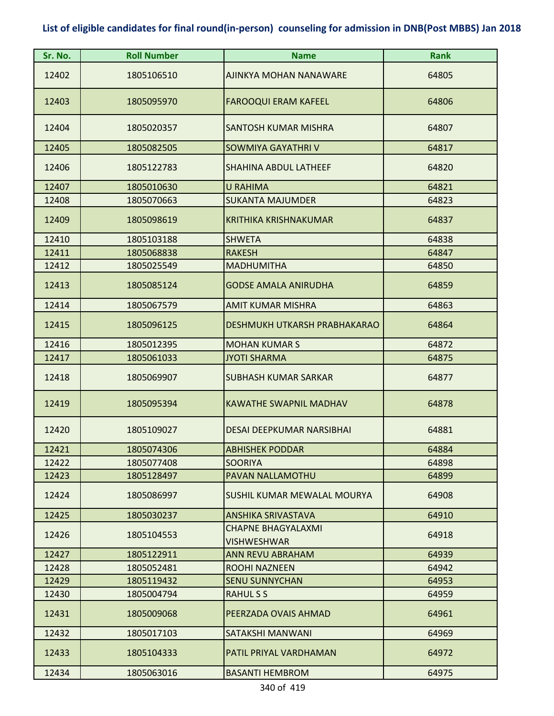| Sr. No. | <b>Roll Number</b> | <b>Name</b>                                     | <b>Rank</b> |
|---------|--------------------|-------------------------------------------------|-------------|
| 12402   | 1805106510         | AJINKYA MOHAN NANAWARE                          | 64805       |
| 12403   | 1805095970         | <b>FAROOQUI ERAM KAFEEL</b>                     | 64806       |
| 12404   | 1805020357         | <b>SANTOSH KUMAR MISHRA</b>                     | 64807       |
| 12405   | 1805082505         | <b>SOWMIYA GAYATHRI V</b>                       | 64817       |
| 12406   | 1805122783         | <b>SHAHINA ABDUL LATHEEF</b>                    | 64820       |
| 12407   | 1805010630         | <b>U RAHIMA</b>                                 | 64821       |
| 12408   | 1805070663         | <b>SUKANTA MAJUMDER</b>                         | 64823       |
| 12409   | 1805098619         | <b>KRITHIKA KRISHNAKUMAR</b>                    | 64837       |
| 12410   | 1805103188         | <b>SHWETA</b>                                   | 64838       |
| 12411   | 1805068838         | <b>RAKESH</b>                                   | 64847       |
| 12412   | 1805025549         | <b>MADHUMITHA</b>                               | 64850       |
| 12413   | 1805085124         | <b>GODSE AMALA ANIRUDHA</b>                     | 64859       |
| 12414   | 1805067579         | <b>AMIT KUMAR MISHRA</b>                        | 64863       |
| 12415   | 1805096125         | DESHMUKH UTKARSH PRABHAKARAO                    | 64864       |
| 12416   | 1805012395         | <b>MOHAN KUMAR S</b>                            | 64872       |
| 12417   | 1805061033         | <b>JYOTI SHARMA</b>                             | 64875       |
| 12418   | 1805069907         | <b>SUBHASH KUMAR SARKAR</b>                     | 64877       |
| 12419   | 1805095394         | <b>KAWATHE SWAPNIL MADHAV</b>                   | 64878       |
| 12420   | 1805109027         | <b>DESAI DEEPKUMAR NARSIBHAI</b>                | 64881       |
| 12421   | 1805074306         | <b>ABHISHEK PODDAR</b>                          | 64884       |
| 12422   | 1805077408         | <b>SOORIYA</b>                                  | 64898       |
| 12423   | 1805128497         | PAVAN NALLAMOTHU                                | 64899       |
| 12424   | 1805086997         | <b>SUSHIL KUMAR MEWALAL MOURYA</b>              | 64908       |
| 12425   | 1805030237         | <b>ANSHIKA SRIVASTAVA</b>                       | 64910       |
| 12426   | 1805104553         | <b>CHAPNE BHAGYALAXMI</b><br><b>VISHWESHWAR</b> | 64918       |
| 12427   | 1805122911         | <b>ANN REVU ABRAHAM</b>                         | 64939       |
| 12428   | 1805052481         | ROOHI NAZNEEN                                   | 64942       |
| 12429   | 1805119432         | <b>SENU SUNNYCHAN</b>                           | 64953       |
| 12430   | 1805004794         | <b>RAHULSS</b>                                  | 64959       |
| 12431   | 1805009068         | PEERZADA OVAIS AHMAD                            | 64961       |
| 12432   | 1805017103         | SATAKSHI MANWANI                                | 64969       |
| 12433   | 1805104333         | PATIL PRIYAL VARDHAMAN                          | 64972       |
| 12434   | 1805063016         | <b>BASANTI HEMBROM</b>                          | 64975       |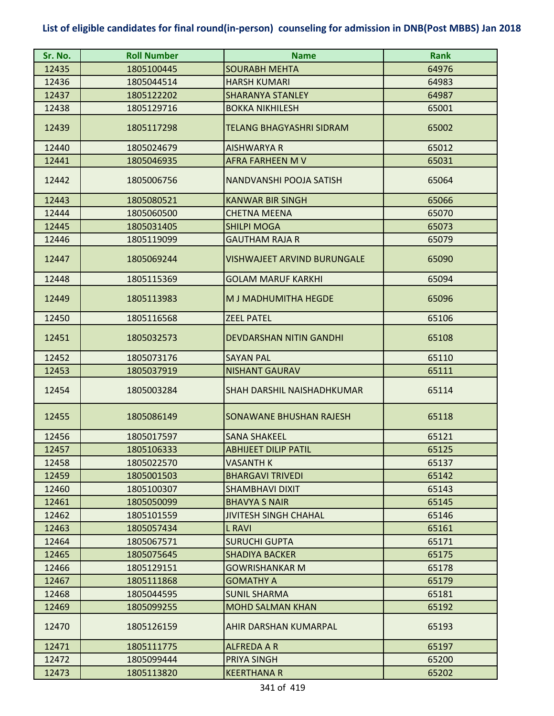| Sr. No. | <b>Roll Number</b> | <b>Name</b>                        | <b>Rank</b> |
|---------|--------------------|------------------------------------|-------------|
| 12435   | 1805100445         | <b>SOURABH MEHTA</b>               | 64976       |
| 12436   | 1805044514         | <b>HARSH KUMARI</b>                | 64983       |
| 12437   | 1805122202         | <b>SHARANYA STANLEY</b>            | 64987       |
| 12438   | 1805129716         | <b>BOKKA NIKHILESH</b>             | 65001       |
| 12439   | 1805117298         | TELANG BHAGYASHRI SIDRAM           | 65002       |
| 12440   | 1805024679         | <b>AISHWARYA R</b>                 | 65012       |
| 12441   | 1805046935         | <b>AFRA FARHEEN M V</b>            | 65031       |
| 12442   | 1805006756         | NANDVANSHI POOJA SATISH            | 65064       |
| 12443   | 1805080521         | <b>KANWAR BIR SINGH</b>            | 65066       |
| 12444   | 1805060500         | <b>CHETNA MEENA</b>                | 65070       |
| 12445   | 1805031405         | <b>SHILPI MOGA</b>                 | 65073       |
| 12446   | 1805119099         | <b>GAUTHAM RAJA R</b>              | 65079       |
| 12447   | 1805069244         | <b>VISHWAJEET ARVIND BURUNGALE</b> | 65090       |
| 12448   | 1805115369         | <b>GOLAM MARUF KARKHI</b>          | 65094       |
| 12449   | 1805113983         | M J MADHUMITHA HEGDE               | 65096       |
| 12450   | 1805116568         | <b>ZEEL PATEL</b>                  | 65106       |
| 12451   | 1805032573         | <b>DEVDARSHAN NITIN GANDHI</b>     | 65108       |
| 12452   | 1805073176         | <b>SAYAN PAL</b>                   | 65110       |
| 12453   | 1805037919         | <b>NISHANT GAURAV</b>              | 65111       |
| 12454   | 1805003284         | SHAH DARSHIL NAISHADHKUMAR         | 65114       |
| 12455   | 1805086149         | SONAWANE BHUSHAN RAJESH            | 65118       |
| 12456   | 1805017597         | <b>SANA SHAKEEL</b>                | 65121       |
| 12457   | 1805106333         | <b>ABHIJEET DILIP PATIL</b>        | 65125       |
| 12458   | 1805022570         | VASANTH K                          | 65137       |
| 12459   | 1805001503         | <b>BHARGAVI TRIVEDI</b>            | 65142       |
| 12460   | 1805100307         | SHAMBHAVI DIXIT                    | 65143       |
| 12461   | 1805050099         | <b>BHAVYA S NAIR</b>               | 65145       |
| 12462   | 1805101559         | <b>JIVITESH SINGH CHAHAL</b>       | 65146       |
| 12463   | 1805057434         | L RAVI                             | 65161       |
| 12464   | 1805067571         | <b>SURUCHI GUPTA</b>               | 65171       |
| 12465   | 1805075645         | <b>SHADIYA BACKER</b>              | 65175       |
| 12466   | 1805129151         | <b>GOWRISHANKAR M</b>              | 65178       |
| 12467   | 1805111868         | <b>GOMATHY A</b>                   | 65179       |
| 12468   | 1805044595         | <b>SUNIL SHARMA</b>                | 65181       |
| 12469   | 1805099255         | <b>MOHD SALMAN KHAN</b>            | 65192       |
| 12470   | 1805126159         | AHIR DARSHAN KUMARPAL              | 65193       |
| 12471   | 1805111775         | <b>ALFREDA A R</b>                 | 65197       |
| 12472   | 1805099444         | PRIYA SINGH                        | 65200       |
| 12473   | 1805113820         | <b>KEERTHANA R</b>                 | 65202       |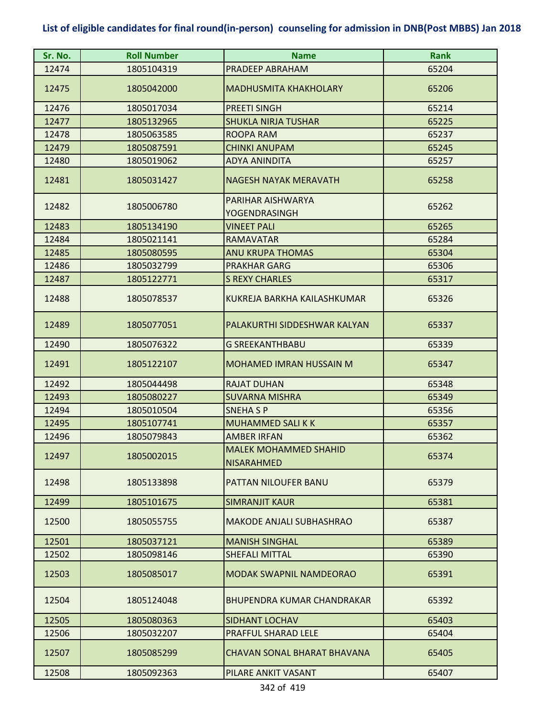| Sr. No. | <b>Roll Number</b> | <b>Name</b>                                       | <b>Rank</b> |
|---------|--------------------|---------------------------------------------------|-------------|
| 12474   | 1805104319         | PRADEEP ABRAHAM                                   | 65204       |
| 12475   | 1805042000         | <b>MADHUSMITA KHAKHOLARY</b>                      | 65206       |
| 12476   | 1805017034         | <b>PREETI SINGH</b>                               | 65214       |
| 12477   | 1805132965         | <b>SHUKLA NIRJA TUSHAR</b>                        | 65225       |
| 12478   | 1805063585         | ROOPA RAM                                         | 65237       |
| 12479   | 1805087591         | <b>CHINKI ANUPAM</b>                              | 65245       |
| 12480   | 1805019062         | ADYA ANINDITA                                     | 65257       |
| 12481   | 1805031427         | <b>NAGESH NAYAK MERAVATH</b>                      | 65258       |
| 12482   | 1805006780         | PARIHAR AISHWARYA<br>YOGENDRASINGH                | 65262       |
| 12483   | 1805134190         | <b>VINEET PALI</b>                                | 65265       |
| 12484   | 1805021141         | <b>RAMAVATAR</b>                                  | 65284       |
| 12485   | 1805080595         | <b>ANU KRUPA THOMAS</b>                           | 65304       |
| 12486   | 1805032799         | <b>PRAKHAR GARG</b>                               | 65306       |
| 12487   | 1805122771         | <b>S REXY CHARLES</b>                             | 65317       |
| 12488   | 1805078537         | KUKREJA BARKHA KAILASHKUMAR                       | 65326       |
| 12489   | 1805077051         | PALAKURTHI SIDDESHWAR KALYAN                      | 65337       |
| 12490   | 1805076322         | <b>G SREEKANTHBABU</b>                            | 65339       |
| 12491   | 1805122107         | <b>MOHAMED IMRAN HUSSAIN M</b>                    | 65347       |
| 12492   | 1805044498         | <b>RAJAT DUHAN</b>                                | 65348       |
| 12493   | 1805080227         | <b>SUVARNA MISHRA</b>                             | 65349       |
| 12494   | 1805010504         | <b>SNEHA SP</b>                                   | 65356       |
| 12495   | 1805107741         | <b>MUHAMMED SALI K K</b>                          | 65357       |
| 12496   | 1805079843         | <b>AMBER IRFAN</b>                                | 65362       |
| 12497   | 1805002015         | <b>MALFK MOHAMMFD SHAHID</b><br><b>NISARAHMED</b> | 65374       |
| 12498   | 1805133898         | PATTAN NILOUFER BANU                              | 65379       |
| 12499   | 1805101675         | <b>SIMRANJIT KAUR</b>                             | 65381       |
| 12500   | 1805055755         | <b>MAKODE ANJALI SUBHASHRAO</b>                   | 65387       |
| 12501   | 1805037121         | <b>MANISH SINGHAL</b>                             | 65389       |
| 12502   | 1805098146         | <b>SHEFALI MITTAL</b>                             | 65390       |
| 12503   | 1805085017         | <b>MODAK SWAPNIL NAMDEORAO</b>                    | 65391       |
| 12504   | 1805124048         | BHUPENDRA KUMAR CHANDRAKAR                        | 65392       |
| 12505   | 1805080363         | <b>SIDHANT LOCHAV</b>                             | 65403       |
| 12506   | 1805032207         | PRAFFUL SHARAD LELE                               | 65404       |
| 12507   | 1805085299         | CHAVAN SONAL BHARAT BHAVANA                       | 65405       |
| 12508   | 1805092363         | PILARE ANKIT VASANT                               | 65407       |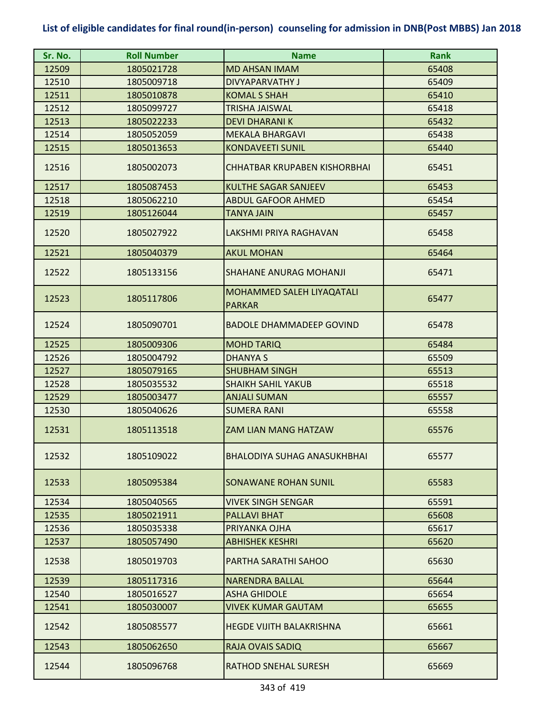| Sr. No. | <b>Roll Number</b> | <b>Name</b>                                | <b>Rank</b> |
|---------|--------------------|--------------------------------------------|-------------|
| 12509   | 1805021728         | <b>MD AHSAN IMAM</b>                       | 65408       |
| 12510   | 1805009718         | DIVYAPARVATHY J                            | 65409       |
| 12511   | 1805010878         | <b>KOMAL S SHAH</b>                        | 65410       |
| 12512   | 1805099727         | <b>TRISHA JAISWAL</b>                      | 65418       |
| 12513   | 1805022233         | <b>DEVI DHARANIK</b>                       | 65432       |
| 12514   | 1805052059         | <b>MEKALA BHARGAVI</b>                     | 65438       |
| 12515   | 1805013653         | <b>KONDAVEETI SUNIL</b>                    | 65440       |
| 12516   | 1805002073         | <b>CHHATBAR KRUPABEN KISHORBHAI</b>        | 65451       |
| 12517   | 1805087453         | <b>KULTHE SAGAR SANJEEV</b>                | 65453       |
| 12518   | 1805062210         | <b>ABDUL GAFOOR AHMED</b>                  | 65454       |
| 12519   | 1805126044         | <b>TANYA JAIN</b>                          | 65457       |
| 12520   | 1805027922         | LAKSHMI PRIYA RAGHAVAN                     | 65458       |
| 12521   | 1805040379         | <b>AKUL MOHAN</b>                          | 65464       |
| 12522   | 1805133156         | <b>SHAHANE ANURAG MOHANJI</b>              | 65471       |
| 12523   | 1805117806         | MOHAMMED SALEH LIYAQATALI<br><b>PARKAR</b> | 65477       |
| 12524   | 1805090701         | <b>BADOLE DHAMMADEEP GOVIND</b>            | 65478       |
| 12525   | 1805009306         | <b>MOHD TARIQ</b>                          | 65484       |
| 12526   | 1805004792         | <b>DHANYA S</b>                            | 65509       |
| 12527   | 1805079165         | <b>SHUBHAM SINGH</b>                       | 65513       |
| 12528   | 1805035532         | <b>SHAIKH SAHIL YAKUB</b>                  | 65518       |
| 12529   | 1805003477         | <b>ANJALI SUMAN</b>                        | 65557       |
| 12530   | 1805040626         | <b>SUMERA RANI</b>                         | 65558       |
| 12531   | 1805113518         | ZAM LIAN MANG HATZAW                       | 65576       |
| 12532   | 1805109022         | <b>BHALODIYA SUHAG ANASUKHBHAI</b>         | 65577       |
| 12533   | 1805095384         | <b>SONAWANE ROHAN SUNIL</b>                | 65583       |
| 12534   | 1805040565         | <b>VIVEK SINGH SENGAR</b>                  | 65591       |
| 12535   | 1805021911         | <b>PALLAVI BHAT</b>                        | 65608       |
| 12536   | 1805035338         | PRIYANKA OJHA                              | 65617       |
| 12537   | 1805057490         | <b>ABHISHEK KESHRI</b>                     | 65620       |
| 12538   | 1805019703         | PARTHA SARATHI SAHOO                       | 65630       |
| 12539   | 1805117316         | <b>NARENDRA BALLAL</b>                     | 65644       |
| 12540   | 1805016527         | <b>ASHA GHIDOLE</b>                        | 65654       |
| 12541   | 1805030007         | <b>VIVEK KUMAR GAUTAM</b>                  | 65655       |
| 12542   | 1805085577         | <b>HEGDE VIJITH BALAKRISHNA</b>            | 65661       |
| 12543   | 1805062650         | RAJA OVAIS SADIQ                           | 65667       |
| 12544   | 1805096768         | <b>RATHOD SNEHAL SURESH</b>                | 65669       |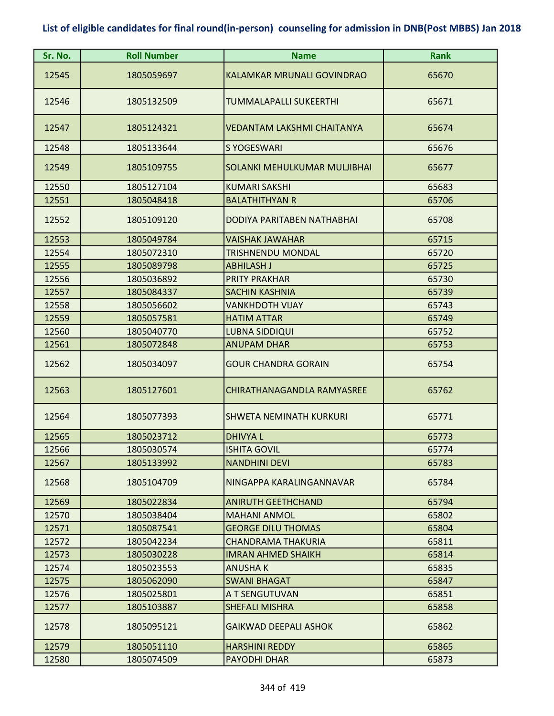| Sr. No. | <b>Roll Number</b> | <b>Name</b>                       | <b>Rank</b> |
|---------|--------------------|-----------------------------------|-------------|
| 12545   | 1805059697         | <b>KALAMKAR MRUNALI GOVINDRAO</b> | 65670       |
| 12546   | 1805132509         | TUMMALAPALLI SUKEERTHI            | 65671       |
| 12547   | 1805124321         | VEDANTAM LAKSHMI CHAITANYA        | 65674       |
| 12548   | 1805133644         | <b>S YOGESWARI</b>                | 65676       |
| 12549   | 1805109755         | SOLANKI MEHULKUMAR MULJIBHAI      | 65677       |
| 12550   | 1805127104         | <b>KUMARI SAKSHI</b>              | 65683       |
| 12551   | 1805048418         | <b>BALATHITHYAN R</b>             | 65706       |
| 12552   | 1805109120         | DODIYA PARITABEN NATHABHAI        | 65708       |
| 12553   | 1805049784         | <b>VAISHAK JAWAHAR</b>            | 65715       |
| 12554   | 1805072310         | TRISHNENDU MONDAL                 | 65720       |
| 12555   | 1805089798         | <b>ABHILASH J</b>                 | 65725       |
| 12556   | 1805036892         | <b>PRITY PRAKHAR</b>              | 65730       |
| 12557   | 1805084337         | <b>SACHIN KASHNIA</b>             | 65739       |
| 12558   | 1805056602         | <b>VANKHDOTH VIJAY</b>            | 65743       |
| 12559   | 1805057581         | <b>HATIM ATTAR</b>                | 65749       |
| 12560   | 1805040770         | <b>LUBNA SIDDIQUI</b>             | 65752       |
| 12561   | 1805072848         | <b>ANUPAM DHAR</b>                | 65753       |
| 12562   | 1805034097         | <b>GOUR CHANDRA GORAIN</b>        | 65754       |
| 12563   | 1805127601         | <b>CHIRATHANAGANDLA RAMYASREE</b> | 65762       |
| 12564   | 1805077393         | <b>SHWETA NEMINATH KURKURI</b>    | 65771       |
| 12565   | 1805023712         | <b>DHIVYAL</b>                    | 65773       |
| 12566   | 1805030574         | <b>ISHITA GOVIL</b>               | 65774       |
| 12567   | 1805133992         | <b>NANDHINI DEVI</b>              | 65783       |
| 12568   | 1805104709         | NINGAPPA KARALINGANNAVAR          | 65784       |
| 12569   | 1805022834         | <b>ANIRUTH GEETHCHAND</b>         | 65794       |
| 12570   | 1805038404         | <b>MAHANI ANMOL</b>               | 65802       |
| 12571   | 1805087541         | <b>GEORGE DILU THOMAS</b>         | 65804       |
| 12572   | 1805042234         | <b>CHANDRAMA THAKURIA</b>         | 65811       |
| 12573   | 1805030228         | <b>IMRAN AHMED SHAIKH</b>         | 65814       |
| 12574   | 1805023553         | <b>ANUSHAK</b>                    | 65835       |
| 12575   | 1805062090         | <b>SWANI BHAGAT</b>               | 65847       |
| 12576   | 1805025801         | A T SENGUTUVAN                    | 65851       |
| 12577   | 1805103887         | <b>SHEFALI MISHRA</b>             | 65858       |
| 12578   | 1805095121         | <b>GAIKWAD DEEPALI ASHOK</b>      | 65862       |
| 12579   | 1805051110         | <b>HARSHINI REDDY</b>             | 65865       |
| 12580   | 1805074509         | <b>PAYODHI DHAR</b>               | 65873       |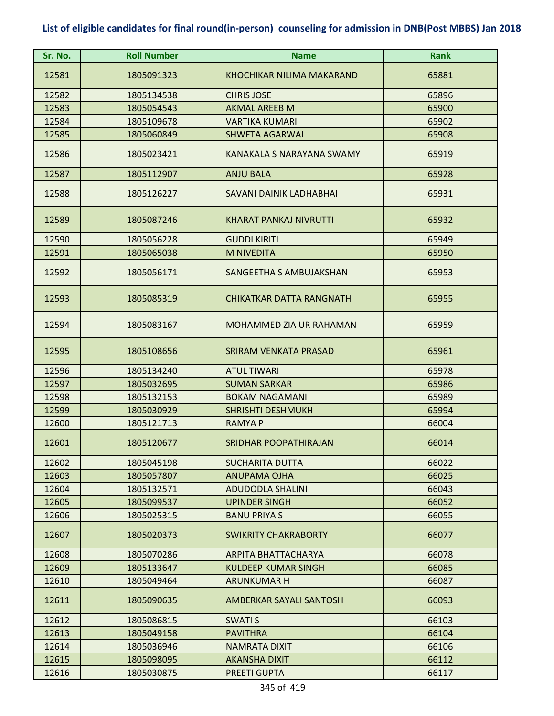| Sr. No. | <b>Roll Number</b> | <b>Name</b>                      | <b>Rank</b> |
|---------|--------------------|----------------------------------|-------------|
| 12581   | 1805091323         | <b>KHOCHIKAR NILIMA MAKARAND</b> | 65881       |
| 12582   | 1805134538         | <b>CHRIS JOSE</b>                | 65896       |
| 12583   | 1805054543         | <b>AKMAL AREEB M</b>             | 65900       |
| 12584   | 1805109678         | VARTIKA KUMARI                   | 65902       |
| 12585   | 1805060849         | <b>SHWETA AGARWAL</b>            | 65908       |
| 12586   | 1805023421         | KANAKALA S NARAYANA SWAMY        | 65919       |
| 12587   | 1805112907         | <b>ANJU BALA</b>                 | 65928       |
| 12588   | 1805126227         | SAVANI DAINIK LADHABHAI          | 65931       |
| 12589   | 1805087246         | KHARAT PANKAJ NIVRUTTI           | 65932       |
| 12590   | 1805056228         | <b>GUDDI KIRITI</b>              | 65949       |
| 12591   | 1805065038         | <b>M NIVEDITA</b>                | 65950       |
| 12592   | 1805056171         | SANGEETHA S AMBUJAKSHAN          | 65953       |
| 12593   | 1805085319         | <b>CHIKATKAR DATTA RANGNATH</b>  | 65955       |
| 12594   | 1805083167         | MOHAMMED ZIA UR RAHAMAN          | 65959       |
| 12595   | 1805108656         | <b>SRIRAM VENKATA PRASAD</b>     | 65961       |
| 12596   | 1805134240         | <b>ATUL TIWARI</b>               | 65978       |
| 12597   | 1805032695         | <b>SUMAN SARKAR</b>              | 65986       |
| 12598   | 1805132153         | <b>BOKAM NAGAMANI</b>            | 65989       |
| 12599   | 1805030929         | <b>SHRISHTI DESHMUKH</b>         | 65994       |
| 12600   | 1805121713         | <b>RAMYAP</b>                    | 66004       |
| 12601   | 1805120677         | SRIDHAR POOPATHIRAJAN            | 66014       |
| 12602   | 1805045198         | <b>SUCHARITA DUTTA</b>           | 66022       |
| 12603   | 1805057807         | <b>ANUPAMA OJHA</b>              | 66025       |
| 12604   | 1805132571         | <b>ADUDODLA SHALINI</b>          | 66043       |
| 12605   | 1805099537         | <b>UPINDER SINGH</b>             | 66052       |
| 12606   | 1805025315         | <b>BANU PRIYA S</b>              | 66055       |
| 12607   | 1805020373         | <b>SWIKRITY CHAKRABORTY</b>      | 66077       |
| 12608   | 1805070286         | <b>ARPITA BHATTACHARYA</b>       | 66078       |
| 12609   | 1805133647         | <b>KULDEEP KUMAR SINGH</b>       | 66085       |
| 12610   | 1805049464         | <b>ARUNKUMAR H</b>               | 66087       |
| 12611   | 1805090635         | AMBERKAR SAYALI SANTOSH          | 66093       |
| 12612   | 1805086815         | <b>SWATIS</b>                    | 66103       |
| 12613   | 1805049158         | <b>PAVITHRA</b>                  | 66104       |
| 12614   | 1805036946         | <b>NAMRATA DIXIT</b>             | 66106       |
| 12615   | 1805098095         | <b>AKANSHA DIXIT</b>             | 66112       |
| 12616   | 1805030875         | PREETI GUPTA                     | 66117       |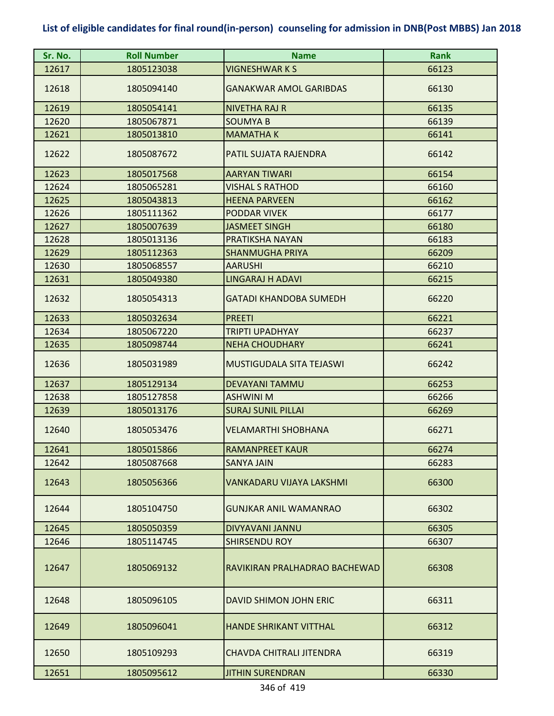| Sr. No. | <b>Roll Number</b> | <b>Name</b>                   | <b>Rank</b> |
|---------|--------------------|-------------------------------|-------------|
| 12617   | 1805123038         | <b>VIGNESHWAR K S</b>         | 66123       |
| 12618   | 1805094140         | <b>GANAKWAR AMOL GARIBDAS</b> | 66130       |
| 12619   | 1805054141         | <b>NIVETHA RAJ R</b>          | 66135       |
| 12620   | 1805067871         | <b>SOUMYA B</b>               | 66139       |
| 12621   | 1805013810         | <b>MAMATHAK</b>               | 66141       |
| 12622   | 1805087672         | PATIL SUJATA RAJENDRA         | 66142       |
| 12623   | 1805017568         | <b>AARYAN TIWARI</b>          | 66154       |
| 12624   | 1805065281         | <b>VISHAL S RATHOD</b>        | 66160       |
| 12625   | 1805043813         | <b>HEENA PARVEEN</b>          | 66162       |
| 12626   | 1805111362         | <b>PODDAR VIVEK</b>           | 66177       |
| 12627   | 1805007639         | <b>JASMEET SINGH</b>          | 66180       |
| 12628   | 1805013136         | PRATIKSHA NAYAN               | 66183       |
| 12629   | 1805112363         | <b>SHANMUGHA PRIYA</b>        | 66209       |
| 12630   | 1805068557         | <b>AARUSHI</b>                | 66210       |
| 12631   | 1805049380         | <b>LINGARAJ H ADAVI</b>       | 66215       |
| 12632   | 1805054313         | <b>GATADI KHANDOBA SUMEDH</b> | 66220       |
| 12633   | 1805032634         | <b>PREETI</b>                 | 66221       |
| 12634   | 1805067220         | <b>TRIPTI UPADHYAY</b>        | 66237       |
| 12635   | 1805098744         | <b>NEHA CHOUDHARY</b>         | 66241       |
| 12636   | 1805031989         | MUSTIGUDALA SITA TEJASWI      | 66242       |
| 12637   | 1805129134         | <b>DEVAYANI TAMMU</b>         | 66253       |
| 12638   | 1805127858         | <b>ASHWINI M</b>              | 66266       |
| 12639   | 1805013176         | <b>SURAJ SUNIL PILLAI</b>     | 66269       |
| 12640   | 1805053476         | <b>VELAMARTHI SHOBHANA</b>    | 66271       |
| 12641   | 1805015866         | <b>RAMANPREET KAUR</b>        | 66274       |
| 12642   | 1805087668         | <b>SANYA JAIN</b>             | 66283       |
| 12643   | 1805056366         | VANKADARU VIJAYA LAKSHMI      | 66300       |
| 12644   | 1805104750         | <b>GUNJKAR ANIL WAMANRAO</b>  | 66302       |
| 12645   | 1805050359         | DIVYAVANI JANNU               | 66305       |
| 12646   | 1805114745         | <b>SHIRSENDU ROY</b>          | 66307       |
| 12647   | 1805069132         | RAVIKIRAN PRALHADRAO BACHEWAD | 66308       |
| 12648   | 1805096105         | DAVID SHIMON JOHN ERIC        | 66311       |
| 12649   | 1805096041         | <b>HANDE SHRIKANT VITTHAL</b> | 66312       |
| 12650   | 1805109293         | CHAVDA CHITRALI JITENDRA      | 66319       |
| 12651   | 1805095612         | <b>JITHIN SURENDRAN</b>       | 66330       |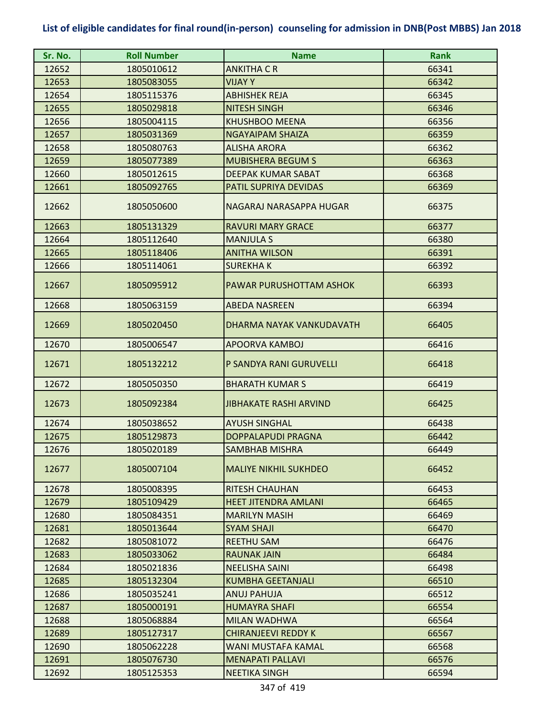| Sr. No. | <b>Roll Number</b> | <b>Name</b>                   | <b>Rank</b> |
|---------|--------------------|-------------------------------|-------------|
| 12652   | 1805010612         | <b>ANKITHA C R</b>            | 66341       |
| 12653   | 1805083055         | <b>VIJAYY</b>                 | 66342       |
| 12654   | 1805115376         | <b>ABHISHEK REJA</b>          | 66345       |
| 12655   | 1805029818         | <b>NITESH SINGH</b>           | 66346       |
| 12656   | 1805004115         | <b>KHUSHBOO MEENA</b>         | 66356       |
| 12657   | 1805031369         | <b>NGAYAIPAM SHAIZA</b>       | 66359       |
| 12658   | 1805080763         | <b>ALISHA ARORA</b>           | 66362       |
| 12659   | 1805077389         | <b>MUBISHERA BEGUM S</b>      | 66363       |
| 12660   | 1805012615         | DEEPAK KUMAR SABAT            | 66368       |
| 12661   | 1805092765         | PATIL SUPRIYA DEVIDAS         | 66369       |
| 12662   | 1805050600         | NAGARAJ NARASAPPA HUGAR       | 66375       |
| 12663   | 1805131329         | <b>RAVURI MARY GRACE</b>      | 66377       |
| 12664   | 1805112640         | <b>MANJULA S</b>              | 66380       |
| 12665   | 1805118406         | <b>ANITHA WILSON</b>          | 66391       |
| 12666   | 1805114061         | <b>SUREKHAK</b>               | 66392       |
| 12667   | 1805095912         | PAWAR PURUSHOTTAM ASHOK       | 66393       |
| 12668   | 1805063159         | <b>ABEDA NASREEN</b>          | 66394       |
| 12669   | 1805020450         | DHARMA NAYAK VANKUDAVATH      | 66405       |
| 12670   | 1805006547         | <b>APOORVA KAMBOJ</b>         | 66416       |
| 12671   | 1805132212         | P SANDYA RANI GURUVELLI       | 66418       |
| 12672   | 1805050350         | <b>BHARATH KUMAR S</b>        | 66419       |
| 12673   | 1805092384         | <b>JIBHAKATE RASHI ARVIND</b> | 66425       |
| 12674   | 1805038652         | <b>AYUSH SINGHAL</b>          | 66438       |
| 12675   | 1805129873         | DOPPALAPUDI PRAGNA            | 66442       |
| 12676   | 1805020189         | <b>SAMBHAB MISHRA</b>         | 66449       |
| 12677   | 1805007104         | <b>MALIYE NIKHIL SUKHDEO</b>  | 66452       |
| 12678   | 1805008395         | <b>RITESH CHAUHAN</b>         | 66453       |
| 12679   | 1805109429         | <b>HEET JITENDRA AMLANI</b>   | 66465       |
| 12680   | 1805084351         | <b>MARILYN MASIH</b>          | 66469       |
| 12681   | 1805013644         | <b>SYAM SHAJI</b>             | 66470       |
| 12682   | 1805081072         | <b>REETHU SAM</b>             | 66476       |
| 12683   | 1805033062         | <b>RAUNAK JAIN</b>            | 66484       |
| 12684   | 1805021836         | <b>NEELISHA SAINI</b>         | 66498       |
| 12685   | 1805132304         | <b>KUMBHA GEETANJALI</b>      | 66510       |
| 12686   | 1805035241         | ANUJ PAHUJA                   | 66512       |
| 12687   | 1805000191         | <b>HUMAYRA SHAFI</b>          | 66554       |
| 12688   | 1805068884         | <b>MILAN WADHWA</b>           | 66564       |
| 12689   | 1805127317         | <b>CHIRANJEEVI REDDY K</b>    | 66567       |
| 12690   | 1805062228         | WANI MUSTAFA KAMAL            | 66568       |
| 12691   | 1805076730         | <b>MENAPATI PALLAVI</b>       | 66576       |
| 12692   | 1805125353         | <b>NEETIKA SINGH</b>          | 66594       |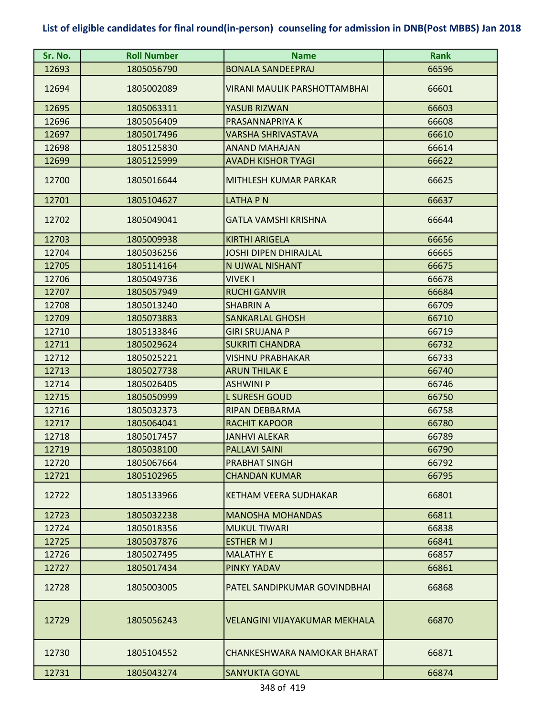| Sr. No. | <b>Roll Number</b> | <b>Name</b>                          | <b>Rank</b> |
|---------|--------------------|--------------------------------------|-------------|
| 12693   | 1805056790         | <b>BONALA SANDEEPRAJ</b>             | 66596       |
| 12694   | 1805002089         | <b>VIRANI MAULIK PARSHOTTAMBHAI</b>  | 66601       |
| 12695   | 1805063311         | YASUB RIZWAN                         | 66603       |
| 12696   | 1805056409         | PRASANNAPRIYA K                      | 66608       |
| 12697   | 1805017496         | VARSHA SHRIVASTAVA                   | 66610       |
| 12698   | 1805125830         | <b>ANAND MAHAJAN</b>                 | 66614       |
| 12699   | 1805125999         | <b>AVADH KISHOR TYAGI</b>            | 66622       |
| 12700   | 1805016644         | MITHLESH KUMAR PARKAR                | 66625       |
| 12701   | 1805104627         | LATHA P N                            | 66637       |
| 12702   | 1805049041         | GATLA VAMSHI KRISHNA                 | 66644       |
| 12703   | 1805009938         | <b>KIRTHI ARIGELA</b>                | 66656       |
| 12704   | 1805036256         | <b>JOSHI DIPEN DHIRAJLAL</b>         | 66665       |
| 12705   | 1805114164         | N UJWAL NISHANT                      | 66675       |
| 12706   | 1805049736         | <b>VIVEK I</b>                       | 66678       |
| 12707   | 1805057949         | <b>RUCHI GANVIR</b>                  | 66684       |
| 12708   | 1805013240         | <b>SHABRIN A</b>                     | 66709       |
| 12709   | 1805073883         | <b>SANKARLAL GHOSH</b>               | 66710       |
| 12710   | 1805133846         | <b>GIRI SRUJANA P</b>                | 66719       |
| 12711   | 1805029624         | <b>SUKRITI CHANDRA</b>               | 66732       |
| 12712   | 1805025221         | <b>VISHNU PRABHAKAR</b>              | 66733       |
| 12713   | 1805027738         | <b>ARUN THILAK E</b>                 | 66740       |
| 12714   | 1805026405         | <b>ASHWINI P</b>                     | 66746       |
| 12715   | 1805050999         | <b>L SURESH GOUD</b>                 | 66750       |
| 12716   | 1805032373         | <b>RIPAN DEBBARMA</b>                | 66758       |
| 12717   | 1805064041         | <b>RACHIT KAPOOR</b>                 | 66780       |
| 12718   | 1805017457         | <b>JANHVI ALEKAR</b>                 | 66789       |
| 12719   | 1805038100         | <b>PALLAVI SAINI</b>                 | 66790       |
| 12720   | 1805067664         | <b>PRABHAT SINGH</b>                 | 66792       |
| 12721   | 1805102965         | <b>CHANDAN KUMAR</b>                 | 66795       |
| 12722   | 1805133966         | <b>KETHAM VEERA SUDHAKAR</b>         | 66801       |
| 12723   | 1805032238         | <b>MANOSHA MOHANDAS</b>              | 66811       |
| 12724   | 1805018356         | <b>MUKUL TIWARI</b>                  | 66838       |
| 12725   | 1805037876         | <b>ESTHER MJ</b>                     | 66841       |
| 12726   | 1805027495         | <b>MALATHY E</b>                     | 66857       |
| 12727   | 1805017434         | PINKY YADAV                          | 66861       |
| 12728   | 1805003005         | PATEL SANDIPKUMAR GOVINDBHAI         | 66868       |
| 12729   | 1805056243         | <b>VELANGINI VIJAYAKUMAR MEKHALA</b> | 66870       |
| 12730   | 1805104552         | CHANKESHWARA NAMOKAR BHARAT          | 66871       |
| 12731   | 1805043274         | <b>SANYUKTA GOYAL</b>                | 66874       |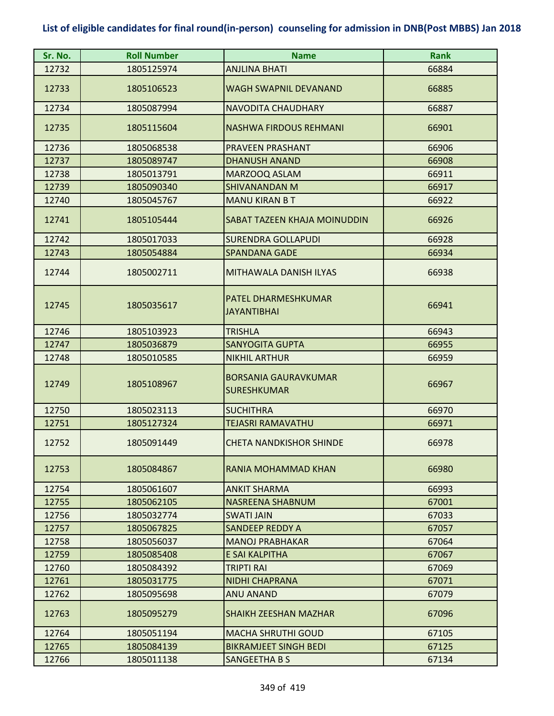| Sr. No. | <b>Roll Number</b> | <b>Name</b>                                       | <b>Rank</b> |
|---------|--------------------|---------------------------------------------------|-------------|
| 12732   | 1805125974         | <b>ANJLINA BHATI</b>                              | 66884       |
| 12733   | 1805106523         | <b>WAGH SWAPNIL DEVANAND</b>                      | 66885       |
| 12734   | 1805087994         | <b>NAVODITA CHAUDHARY</b>                         | 66887       |
| 12735   | 1805115604         | <b>NASHWA FIRDOUS REHMANI</b>                     | 66901       |
| 12736   | 1805068538         | PRAVEEN PRASHANT                                  | 66906       |
| 12737   | 1805089747         | <b>DHANUSH ANAND</b>                              | 66908       |
| 12738   | 1805013791         | MARZOOQ ASLAM                                     | 66911       |
| 12739   | 1805090340         | <b>SHIVANANDAN M</b>                              | 66917       |
| 12740   | 1805045767         | <b>MANU KIRAN B T</b>                             | 66922       |
| 12741   | 1805105444         | SABAT TAZEEN KHAJA MOINUDDIN                      | 66926       |
| 12742   | 1805017033         | <b>SURENDRA GOLLAPUDI</b>                         | 66928       |
| 12743   | 1805054884         | <b>SPANDANA GADE</b>                              | 66934       |
| 12744   | 1805002711         | MITHAWALA DANISH ILYAS                            | 66938       |
| 12745   | 1805035617         | PATEL DHARMESHKUMAR<br><b>JAYANTIBHAI</b>         | 66941       |
| 12746   | 1805103923         | <b>TRISHLA</b>                                    | 66943       |
| 12747   | 1805036879         | <b>SANYOGITA GUPTA</b>                            | 66955       |
| 12748   | 1805010585         | <b>NIKHIL ARTHUR</b>                              | 66959       |
| 12749   | 1805108967         | <b>BORSANIA GAURAVKUMAR</b><br><b>SURESHKUMAR</b> | 66967       |
| 12750   | 1805023113         | <b>SUCHITHRA</b>                                  | 66970       |
| 12751   | 1805127324         | <b>TEJASRI RAMAVATHU</b>                          | 66971       |
| 12752   | 1805091449         | <b>CHETA NANDKISHOR SHINDE</b>                    | 66978       |
| 12753   | 1805084867         | RANIA MOHAMMAD KHAN                               | 66980       |
| 12754   | 1805061607         | <b>ANKIT SHARMA</b>                               | 66993       |
| 12755   | 1805062105         | <b>NASREENA SHABNUM</b>                           | 67001       |
| 12756   | 1805032774         | <b>SWATI JAIN</b>                                 | 67033       |
| 12757   | 1805067825         | <b>SANDEEP REDDY A</b>                            | 67057       |
| 12758   | 1805056037         | <b>MANOJ PRABHAKAR</b>                            | 67064       |
| 12759   | 1805085408         | E SAI KALPITHA                                    | 67067       |
| 12760   | 1805084392         | <b>TRIPTI RAI</b>                                 | 67069       |
| 12761   | 1805031775         | <b>NIDHI CHAPRANA</b>                             | 67071       |
| 12762   | 1805095698         | <b>ANU ANAND</b>                                  | 67079       |
| 12763   | 1805095279         | <b>SHAIKH ZEESHAN MAZHAR</b>                      | 67096       |
| 12764   | 1805051194         | <b>MACHA SHRUTHI GOUD</b>                         | 67105       |
| 12765   | 1805084139         | <b>BIKRAMJEET SINGH BEDI</b>                      | 67125       |
| 12766   | 1805011138         | SANGEETHA B S                                     | 67134       |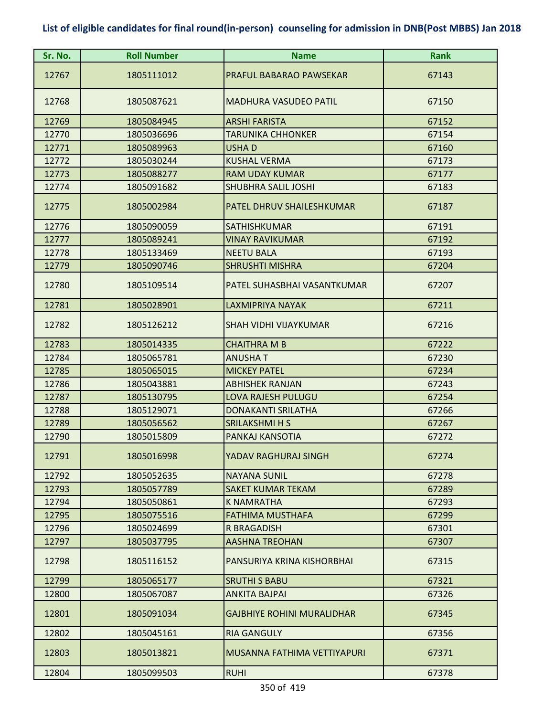| Sr. No. | <b>Roll Number</b> | <b>Name</b>                       | <b>Rank</b> |
|---------|--------------------|-----------------------------------|-------------|
| 12767   | 1805111012         | PRAFUL BABARAO PAWSEKAR           | 67143       |
| 12768   | 1805087621         | <b>MADHURA VASUDEO PATIL</b>      | 67150       |
| 12769   | 1805084945         | <b>ARSHI FARISTA</b>              | 67152       |
| 12770   | 1805036696         | TARUNIKA CHHONKER                 | 67154       |
| 12771   | 1805089963         | <b>USHAD</b>                      | 67160       |
| 12772   | 1805030244         | <b>KUSHAL VERMA</b>               | 67173       |
| 12773   | 1805088277         | <b>RAM UDAY KUMAR</b>             | 67177       |
| 12774   | 1805091682         | <b>SHUBHRA SALIL JOSHI</b>        | 67183       |
| 12775   | 1805002984         | PATEL DHRUV SHAILESHKUMAR         | 67187       |
| 12776   | 1805090059         | <b>SATHISHKUMAR</b>               | 67191       |
| 12777   | 1805089241         | <b>VINAY RAVIKUMAR</b>            | 67192       |
| 12778   | 1805133469         | <b>NEETU BALA</b>                 | 67193       |
| 12779   | 1805090746         | <b>SHRUSHTI MISHRA</b>            | 67204       |
| 12780   | 1805109514         | PATEL SUHASBHAI VASANTKUMAR       | 67207       |
| 12781   | 1805028901         | <b>LAXMIPRIYA NAYAK</b>           | 67211       |
| 12782   | 1805126212         | <b>SHAH VIDHI VIJAYKUMAR</b>      | 67216       |
| 12783   | 1805014335         | <b>CHAITHRA M B</b>               | 67222       |
| 12784   | 1805065781         | <b>ANUSHAT</b>                    | 67230       |
| 12785   | 1805065015         | <b>MICKEY PATEL</b>               | 67234       |
| 12786   | 1805043881         | <b>ABHISHEK RANJAN</b>            | 67243       |
| 12787   | 1805130795         | <b>LOVA RAJESH PULUGU</b>         | 67254       |
| 12788   | 1805129071         | <b>DONAKANTI SRILATHA</b>         | 67266       |
| 12789   | 1805056562         | <b>SRILAKSHMI H S</b>             | 67267       |
| 12790   | 1805015809         | PANKAJ KANSOTIA                   | 67272       |
| 12791   | 1805016998         | YADAV RAGHURAJ SINGH              | 67274       |
| 12792   | 1805052635         | <b>NAYANA SUNIL</b>               | 67278       |
| 12793   | 1805057789         | <b>SAKET KUMAR TEKAM</b>          | 67289       |
| 12794   | 1805050861         | <b>K NAMRATHA</b>                 | 67293       |
| 12795   | 1805075516         | <b>FATHIMA MUSTHAFA</b>           | 67299       |
| 12796   | 1805024699         | R BRAGADISH                       | 67301       |
| 12797   | 1805037795         | <b>AASHNA TREOHAN</b>             | 67307       |
| 12798   | 1805116152         | PANSURIYA KRINA KISHORBHAI        | 67315       |
| 12799   | 1805065177         | <b>SRUTHI S BABU</b>              | 67321       |
| 12800   | 1805067087         | ANKITA BAJPAI                     | 67326       |
| 12801   | 1805091034         | <b>GAJBHIYE ROHINI MURALIDHAR</b> | 67345       |
| 12802   | 1805045161         | <b>RIA GANGULY</b>                | 67356       |
| 12803   | 1805013821         | MUSANNA FATHIMA VETTIYAPURI       | 67371       |
| 12804   | 1805099503         | <b>RUHI</b>                       | 67378       |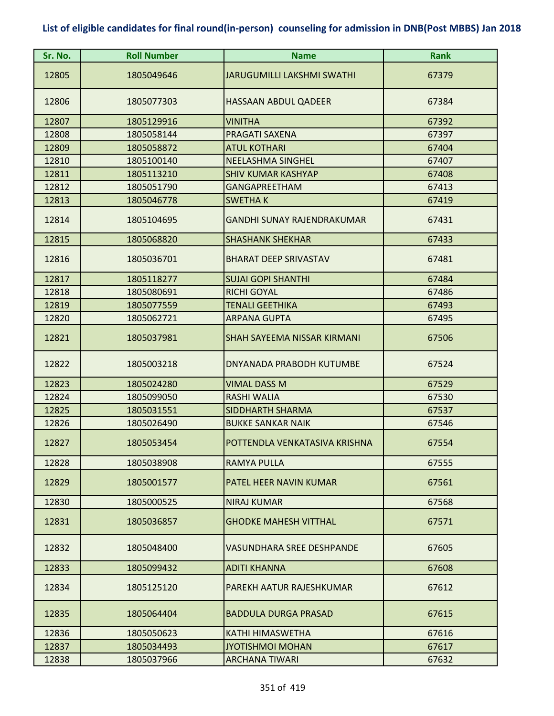| Sr. No. | <b>Roll Number</b> | <b>Name</b>                        | <b>Rank</b> |
|---------|--------------------|------------------------------------|-------------|
| 12805   | 1805049646         | JARUGUMILLI LAKSHMI SWATHI         | 67379       |
| 12806   | 1805077303         | <b>HASSAAN ABDUL QADEER</b>        | 67384       |
| 12807   | 1805129916         | <b>VINITHA</b>                     | 67392       |
| 12808   | 1805058144         | PRAGATI SAXENA                     | 67397       |
| 12809   | 1805058872         | <b>ATUL KOTHARI</b>                | 67404       |
| 12810   | 1805100140         | <b>NEELASHMA SINGHEL</b>           | 67407       |
| 12811   | 1805113210         | <b>SHIV KUMAR KASHYAP</b>          | 67408       |
| 12812   | 1805051790         | <b>GANGAPREETHAM</b>               | 67413       |
| 12813   | 1805046778         | <b>SWETHAK</b>                     | 67419       |
| 12814   | 1805104695         | <b>GANDHI SUNAY RAJENDRAKUMAR</b>  | 67431       |
| 12815   | 1805068820         | <b>SHASHANK SHEKHAR</b>            | 67433       |
| 12816   | 1805036701         | <b>BHARAT DEEP SRIVASTAV</b>       | 67481       |
| 12817   | 1805118277         | <b>SUJAI GOPI SHANTHI</b>          | 67484       |
| 12818   | 1805080691         | <b>RICHI GOYAL</b>                 | 67486       |
| 12819   | 1805077559         | <b>TENALI GEETHIKA</b>             | 67493       |
| 12820   | 1805062721         | <b>ARPANA GUPTA</b>                | 67495       |
| 12821   | 1805037981         | <b>SHAH SAYEEMA NISSAR KIRMANI</b> | 67506       |
| 12822   | 1805003218         | DNYANADA PRABODH KUTUMBE           | 67524       |
| 12823   | 1805024280         | <b>VIMAL DASS M</b>                | 67529       |
| 12824   | 1805099050         | <b>RASHI WALIA</b>                 | 67530       |
| 12825   | 1805031551         | <b>SIDDHARTH SHARMA</b>            | 67537       |
| 12826   | 1805026490         | <b>BUKKE SANKAR NAIK</b>           | 67546       |
| 12827   | 1805053454         | POTTENDLA VENKATASIVA KRISHNA      | 67554       |
| 12828   | 1805038908         | <b>RAMYA PULLA</b>                 | 67555       |
| 12829   | 1805001577         | PATEL HEER NAVIN KUMAR             | 67561       |
| 12830   | 1805000525         | <b>NIRAJ KUMAR</b>                 | 67568       |
| 12831   | 1805036857         | <b>GHODKE MAHESH VITTHAL</b>       | 67571       |
| 12832   | 1805048400         | <b>VASUNDHARA SREE DESHPANDE</b>   | 67605       |
| 12833   | 1805099432         | <b>ADITI KHANNA</b>                | 67608       |
| 12834   | 1805125120         | PAREKH AATUR RAJESHKUMAR           | 67612       |
| 12835   | 1805064404         | <b>BADDULA DURGA PRASAD</b>        | 67615       |
| 12836   | 1805050623         | KATHI HIMASWETHA                   | 67616       |
| 12837   | 1805034493         | JYOTISHMOI MOHAN                   | 67617       |
| 12838   | 1805037966         | <b>ARCHANA TIWARI</b>              | 67632       |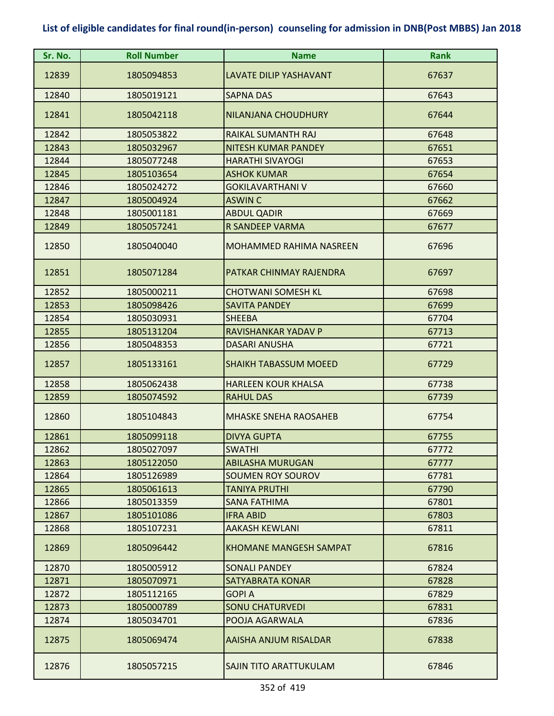| Sr. No. | <b>Roll Number</b> | <b>Name</b>                   | <b>Rank</b> |
|---------|--------------------|-------------------------------|-------------|
| 12839   | 1805094853         | <b>LAVATE DILIP YASHAVANT</b> | 67637       |
| 12840   | 1805019121         | <b>SAPNA DAS</b>              | 67643       |
| 12841   | 1805042118         | NILANJANA CHOUDHURY           | 67644       |
| 12842   | 1805053822         | <b>RAIKAL SUMANTH RAJ</b>     | 67648       |
| 12843   | 1805032967         | NITESH KUMAR PANDEY           | 67651       |
| 12844   | 1805077248         | <b>HARATHI SIVAYOGI</b>       | 67653       |
| 12845   | 1805103654         | <b>ASHOK KUMAR</b>            | 67654       |
| 12846   | 1805024272         | <b>GOKILAVARTHANI V</b>       | 67660       |
| 12847   | 1805004924         | <b>ASWIN C</b>                | 67662       |
| 12848   | 1805001181         | <b>ABDUL QADIR</b>            | 67669       |
| 12849   | 1805057241         | <b>R SANDEEP VARMA</b>        | 67677       |
| 12850   | 1805040040         | MOHAMMED RAHIMA NASREEN       | 67696       |
| 12851   | 1805071284         | PATKAR CHINMAY RAJENDRA       | 67697       |
| 12852   | 1805000211         | <b>CHOTWANI SOMESH KL</b>     | 67698       |
| 12853   | 1805098426         | <b>SAVITA PANDEY</b>          | 67699       |
| 12854   | 1805030931         | <b>SHEEBA</b>                 | 67704       |
| 12855   | 1805131204         | RAVISHANKAR YADAV P           | 67713       |
| 12856   | 1805048353         | <b>DASARI ANUSHA</b>          | 67721       |
| 12857   | 1805133161         | <b>SHAIKH TABASSUM MOEED</b>  | 67729       |
| 12858   | 1805062438         | <b>HARLEEN KOUR KHALSA</b>    | 67738       |
| 12859   | 1805074592         | <b>RAHUL DAS</b>              | 67739       |
| 12860   | 1805104843         | <b>MHASKE SNEHA RAOSAHEB</b>  | 67754       |
| 12861   | 1805099118         | <b>DIVYA GUPTA</b>            | 67755       |
| 12862   | 1805027097         | <b>SWATHI</b>                 | 67772       |
| 12863   | 1805122050         | <b>ABILASHA MURUGAN</b>       | 67777       |
| 12864   | 1805126989         | <b>SOUMEN ROY SOUROV</b>      | 67781       |
| 12865   | 1805061613         | <b>TANIYA PRUTHI</b>          | 67790       |
| 12866   | 1805013359         | <b>SANA FATHIMA</b>           | 67801       |
| 12867   | 1805101086         | <b>IFRA ABID</b>              | 67803       |
| 12868   | 1805107231         | <b>AAKASH KEWLANI</b>         | 67811       |
| 12869   | 1805096442         | <b>KHOMANE MANGESH SAMPAT</b> | 67816       |
| 12870   | 1805005912         | <b>SONALI PANDEY</b>          | 67824       |
| 12871   | 1805070971         | SATYABRATA KONAR              | 67828       |
| 12872   | 1805112165         | <b>GOPIA</b>                  | 67829       |
| 12873   | 1805000789         | <b>SONU CHATURVEDI</b>        | 67831       |
| 12874   | 1805034701         | POOJA AGARWALA                | 67836       |
| 12875   | 1805069474         | AAISHA ANJUM RISALDAR         | 67838       |
| 12876   | 1805057215         | <b>SAJIN TITO ARATTUKULAM</b> | 67846       |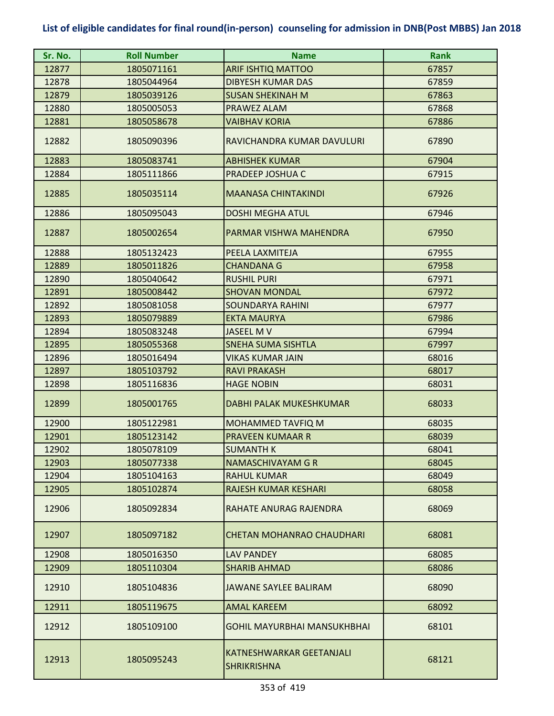| Sr. No. | <b>Roll Number</b> | <b>Name</b>                                    | <b>Rank</b> |
|---------|--------------------|------------------------------------------------|-------------|
| 12877   | 1805071161         | <b>ARIF ISHTIQ MATTOO</b>                      | 67857       |
| 12878   | 1805044964         | <b>DIBYESH KUMAR DAS</b>                       | 67859       |
| 12879   | 1805039126         | <b>SUSAN SHEKINAH M</b>                        | 67863       |
| 12880   | 1805005053         | PRAWEZ ALAM                                    | 67868       |
| 12881   | 1805058678         | <b>VAIBHAV KORIA</b>                           | 67886       |
| 12882   | 1805090396         | RAVICHANDRA KUMAR DAVULURI                     | 67890       |
| 12883   | 1805083741         | <b>ABHISHEK KUMAR</b>                          | 67904       |
| 12884   | 1805111866         | PRADEEP JOSHUA C                               | 67915       |
| 12885   | 1805035114         | <b>MAANASA CHINTAKINDI</b>                     | 67926       |
| 12886   | 1805095043         | <b>DOSHI MEGHA ATUL</b>                        | 67946       |
| 12887   | 1805002654         | PARMAR VISHWA MAHENDRA                         | 67950       |
| 12888   | 1805132423         | PEELA LAXMITEJA                                | 67955       |
| 12889   | 1805011826         | <b>CHANDANA G</b>                              | 67958       |
| 12890   | 1805040642         | <b>RUSHIL PURI</b>                             | 67971       |
| 12891   | 1805008442         | <b>SHOVAN MONDAL</b>                           | 67972       |
| 12892   | 1805081058         | <b>SOUNDARYA RAHINI</b>                        | 67977       |
| 12893   | 1805079889         | <b>EKTA MAURYA</b>                             | 67986       |
| 12894   | 1805083248         | <b>JASEEL MV</b>                               | 67994       |
| 12895   | 1805055368         | SNEHA SUMA SISHTLA                             | 67997       |
| 12896   | 1805016494         | <b>VIKAS KUMAR JAIN</b>                        | 68016       |
| 12897   | 1805103792         | <b>RAVI PRAKASH</b>                            | 68017       |
| 12898   | 1805116836         | <b>HAGE NOBIN</b>                              | 68031       |
| 12899   | 1805001765         | <b>DABHI PALAK MUKESHKUMAR</b>                 | 68033       |
| 12900   | 1805122981         | MOHAMMED TAVFIQ M                              | 68035       |
| 12901   | 1805123142         | <b>PRAVEEN KUMAAR R</b>                        | 68039       |
| 12902   | 1805078109         | <b>SUMANTH K</b>                               | 68041       |
| 12903   | 1805077338         | NAMASCHIVAYAM G R                              | 68045       |
| 12904   | 1805104163         | <b>RAHUL KUMAR</b>                             | 68049       |
| 12905   | 1805102874         | RAJESH KUMAR KESHARI                           | 68058       |
| 12906   | 1805092834         | RAHATE ANURAG RAJENDRA                         | 68069       |
| 12907   | 1805097182         | CHETAN MOHANRAO CHAUDHARI                      | 68081       |
| 12908   | 1805016350         | <b>LAV PANDEY</b>                              | 68085       |
| 12909   | 1805110304         | <b>SHARIB AHMAD</b>                            | 68086       |
| 12910   | 1805104836         | JAWANE SAYLEE BALIRAM                          | 68090       |
| 12911   | 1805119675         | <b>AMAL KAREEM</b>                             | 68092       |
| 12912   | 1805109100         | <b>GOHIL MAYURBHAI MANSUKHBHAI</b>             | 68101       |
| 12913   | 1805095243         | KATNESHWARKAR GEETANJALI<br><b>SHRIKRISHNA</b> | 68121       |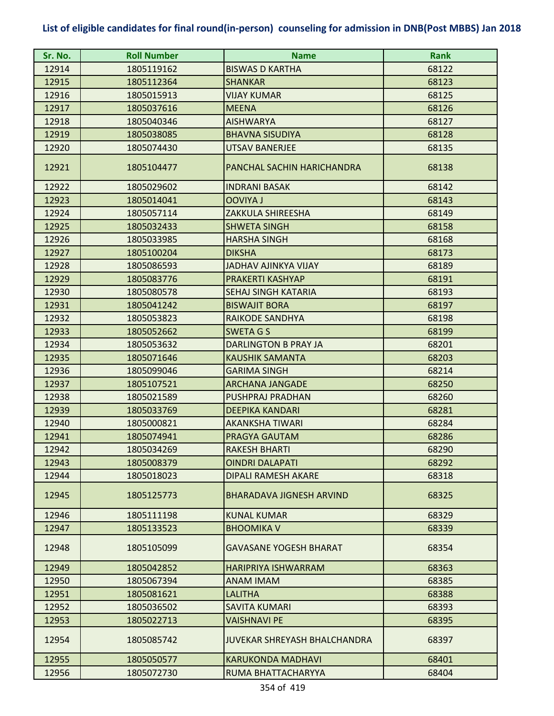| Sr. No. | <b>Roll Number</b> | <b>Name</b>                         | <b>Rank</b> |
|---------|--------------------|-------------------------------------|-------------|
| 12914   | 1805119162         | <b>BISWAS D KARTHA</b>              | 68122       |
| 12915   | 1805112364         | <b>SHANKAR</b>                      | 68123       |
| 12916   | 1805015913         | <b>VIJAY KUMAR</b>                  | 68125       |
| 12917   | 1805037616         | <b>MEENA</b>                        | 68126       |
| 12918   | 1805040346         | <b>AISHWARYA</b>                    | 68127       |
| 12919   | 1805038085         | <b>BHAVNA SISUDIYA</b>              | 68128       |
| 12920   | 1805074430         | UTSAV BANERJEE                      | 68135       |
| 12921   | 1805104477         | PANCHAL SACHIN HARICHANDRA          | 68138       |
| 12922   | 1805029602         | <b>INDRANI BASAK</b>                | 68142       |
| 12923   | 1805014041         | <b>OOVIYA J</b>                     | 68143       |
| 12924   | 1805057114         | ZAKKULA SHIREESHA                   | 68149       |
| 12925   | 1805032433         | <b>SHWETA SINGH</b>                 | 68158       |
| 12926   | 1805033985         | <b>HARSHA SINGH</b>                 | 68168       |
| 12927   | 1805100204         | <b>DIKSHA</b>                       | 68173       |
| 12928   | 1805086593         | <b>JADHAV AJINKYA VIJAY</b>         | 68189       |
| 12929   | 1805083776         | <b>PRAKERTI KASHYAP</b>             | 68191       |
| 12930   | 1805080578         | <b>SEHAJ SINGH KATARIA</b>          | 68193       |
| 12931   | 1805041242         | <b>BISWAJIT BORA</b>                | 68197       |
| 12932   | 1805053823         | RAIKODE SANDHYA                     | 68198       |
| 12933   | 1805052662         | <b>SWETA G S</b>                    | 68199       |
| 12934   | 1805053632         | DARLINGTON B PRAY JA                | 68201       |
| 12935   | 1805071646         | <b>KAUSHIK SAMANTA</b>              | 68203       |
| 12936   | 1805099046         | <b>GARIMA SINGH</b>                 | 68214       |
| 12937   | 1805107521         | <b>ARCHANA JANGADE</b>              | 68250       |
| 12938   | 1805021589         | PUSHPRAJ PRADHAN                    | 68260       |
| 12939   | 1805033769         | <b>DEEPIKA KANDARI</b>              | 68281       |
| 12940   | 1805000821         | <b>AKANKSHA TIWARI</b>              | 68284       |
| 12941   | 1805074941         | PRAGYA GAUTAM                       | 68286       |
| 12942   | 1805034269         | <b>RAKESH BHARTI</b>                | 68290       |
| 12943   | 1805008379         | <b>OINDRI DALAPATI</b>              | 68292       |
| 12944   | 1805018023         | DIPALI RAMESH AKARE                 | 68318       |
| 12945   | 1805125773         | <b>BHARADAVA JIGNESH ARVIND</b>     | 68325       |
| 12946   | 1805111198         | <b>KUNAL KUMAR</b>                  | 68329       |
| 12947   | 1805133523         | <b>BHOOMIKA V</b>                   | 68339       |
| 12948   | 1805105099         | <b>GAVASANE YOGESH BHARAT</b>       | 68354       |
| 12949   | 1805042852         | <b>HARIPRIYA ISHWARRAM</b>          | 68363       |
| 12950   | 1805067394         | <b>ANAM IMAM</b>                    | 68385       |
| 12951   | 1805081621         | LALITHA                             | 68388       |
| 12952   | 1805036502         | SAVITA KUMARI                       | 68393       |
| 12953   | 1805022713         | VAISHNAVI PE                        | 68395       |
| 12954   | 1805085742         | <b>JUVEKAR SHREYASH BHALCHANDRA</b> | 68397       |
| 12955   | 1805050577         | <b>KARUKONDA MADHAVI</b>            | 68401       |
| 12956   | 1805072730         | RUMA BHATTACHARYYA                  | 68404       |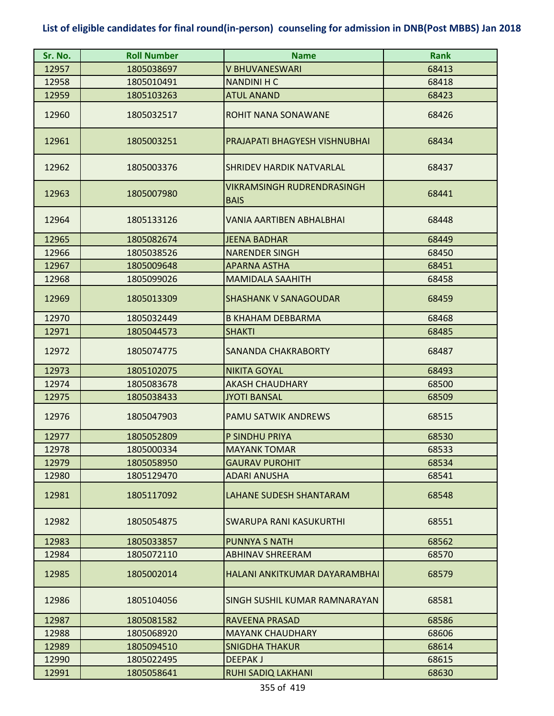| Sr. No. | <b>Roll Number</b> | <b>Name</b>                               | <b>Rank</b> |
|---------|--------------------|-------------------------------------------|-------------|
| 12957   | 1805038697         | V BHUVANESWARI                            | 68413       |
| 12958   | 1805010491         | <b>NANDINI H C</b>                        | 68418       |
| 12959   | 1805103263         | <b>ATUL ANAND</b>                         | 68423       |
| 12960   | 1805032517         | ROHIT NANA SONAWANE                       | 68426       |
| 12961   | 1805003251         | PRAJAPATI BHAGYESH VISHNUBHAI             | 68434       |
| 12962   | 1805003376         | <b>SHRIDEV HARDIK NATVARLAL</b>           | 68437       |
| 12963   | 1805007980         | VIKRAMSINGH RUDRENDRASINGH<br><b>BAIS</b> | 68441       |
| 12964   | 1805133126         | VANIA AARTIBEN ABHALBHAI                  | 68448       |
| 12965   | 1805082674         | <b>JEENA BADHAR</b>                       | 68449       |
| 12966   | 1805038526         | <b>NARENDER SINGH</b>                     | 68450       |
| 12967   | 1805009648         | <b>APARNA ASTHA</b>                       | 68451       |
| 12968   | 1805099026         | <b>MAMIDALA SAAHITH</b>                   | 68458       |
| 12969   | 1805013309         | <b>SHASHANK V SANAGOUDAR</b>              | 68459       |
| 12970   | 1805032449         | <b>B KHAHAM DEBBARMA</b>                  | 68468       |
| 12971   | 1805044573         | <b>SHAKTI</b>                             | 68485       |
| 12972   | 1805074775         | <b>SANANDA CHAKRABORTY</b>                | 68487       |
| 12973   | 1805102075         | <b>NIKITA GOYAL</b>                       | 68493       |
| 12974   | 1805083678         | <b>AKASH CHAUDHARY</b>                    | 68500       |
| 12975   | 1805038433         | <b>JYOTI BANSAL</b>                       | 68509       |
| 12976   | 1805047903         | <b>PAMU SATWIK ANDREWS</b>                | 68515       |
| 12977   | 1805052809         | P SINDHU PRIYA                            | 68530       |
| 12978   | 1805000334         | <b>MAYANK TOMAR</b>                       | 68533       |
| 12979   | 1805058950         | <b>GAURAV PUROHIT</b>                     | 68534       |
| 12980   | 1805129470         | <b>ADARI ANUSHA</b>                       | 68541       |
| 12981   | 1805117092         | <b>LAHANE SUDESH SHANTARAM</b>            | 68548       |
| 12982   | 1805054875         | SWARUPA RANI KASUKURTHI                   | 68551       |
| 12983   | 1805033857         | <b>PUNNYA S NATH</b>                      | 68562       |
| 12984   | 1805072110         | <b>ABHINAV SHREERAM</b>                   | 68570       |
| 12985   | 1805002014         | HALANI ANKITKUMAR DAYARAMBHAI             | 68579       |
| 12986   | 1805104056         | SINGH SUSHIL KUMAR RAMNARAYAN             | 68581       |
| 12987   | 1805081582         | RAVEENA PRASAD                            | 68586       |
| 12988   | 1805068920         | <b>MAYANK CHAUDHARY</b>                   | 68606       |
| 12989   | 1805094510         | <b>SNIGDHA THAKUR</b>                     | 68614       |
| 12990   | 1805022495         | <b>DEEPAKJ</b>                            | 68615       |
| 12991   | 1805058641         | <b>RUHI SADIQ LAKHANI</b>                 | 68630       |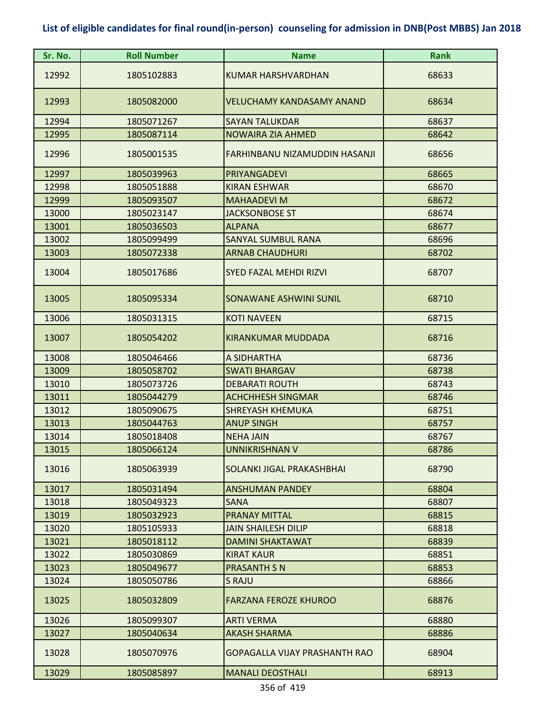| Sr. No. | <b>Roll Number</b> | <b>Name</b>                      | <b>Rank</b> |
|---------|--------------------|----------------------------------|-------------|
| 12992   | 1805102883         | <b>KUMAR HARSHVARDHAN</b>        | 68633       |
| 12993   | 1805082000         | <b>VELUCHAMY KANDASAMY ANAND</b> | 68634       |
| 12994   | 1805071267         | <b>SAYAN TALUKDAR</b>            | 68637       |
| 12995   | 1805087114         | <b>NOWAIRA ZIA AHMED</b>         | 68642       |
| 12996   | 1805001535         | FARHINBANU NIZAMUDDIN HASANJI    | 68656       |
| 12997   | 1805039963         | PRIYANGADEVI                     | 68665       |
| 12998   | 1805051888         | <b>KIRAN ESHWAR</b>              | 68670       |
| 12999   | 1805093507         | <b>MAHAADEVI M</b>               | 68672       |
| 13000   | 1805023147         | <b>JACKSONBOSE ST</b>            | 68674       |
| 13001   | 1805036503         | <b>ALPANA</b>                    | 68677       |
| 13002   | 1805099499         | <b>SANYAL SUMBUL RANA</b>        | 68696       |
| 13003   | 1805072338         | <b>ARNAB CHAUDHURI</b>           | 68702       |
| 13004   | 1805017686         | <b>SYED FAZAL MEHDI RIZVI</b>    | 68707       |
| 13005   | 1805095334         | SONAWANE ASHWINI SUNIL           | 68710       |
| 13006   | 1805031315         | <b>KOTI NAVEEN</b>               | 68715       |
| 13007   | 1805054202         | <b>KIRANKUMAR MUDDADA</b>        | 68716       |
| 13008   | 1805046466         | A SIDHARTHA                      | 68736       |
| 13009   | 1805058702         | <b>SWATI BHARGAV</b>             | 68738       |
| 13010   | 1805073726         | <b>DEBARATI ROUTH</b>            | 68743       |
| 13011   | 1805044279         | <b>ACHCHHESH SINGMAR</b>         | 68746       |
| 13012   | 1805090675         | <b>SHREYASH KHEMUKA</b>          | 68751       |
| 13013   | 1805044763         | <b>ANUP SINGH</b>                | 68757       |
| 13014   | 1805018408         | <b>NEHA JAIN</b>                 | 68767       |
| 13015   | 1805066124         | <b>UNNIKRISHNAN V</b>            | 68786       |
| 13016   | 1805063939         | SOLANKI JIGAL PRAKASHBHAI        | 68790       |
| 13017   | 1805031494         | <b>ANSHUMAN PANDEY</b>           | 68804       |
| 13018   | 1805049323         | <b>SANA</b>                      | 68807       |
| 13019   | 1805032923         | <b>PRANAY MITTAL</b>             | 68815       |
| 13020   | 1805105933         | <b>JAIN SHAILESH DILIP</b>       | 68818       |
| 13021   | 1805018112         | <b>DAMINI SHAKTAWAT</b>          | 68839       |
| 13022   | 1805030869         | <b>KIRAT KAUR</b>                | 68851       |
| 13023   | 1805049677         | <b>PRASANTH S N</b>              | 68853       |
| 13024   | 1805050786         | S RAJU                           | 68866       |
| 13025   | 1805032809         | <b>FARZANA FEROZE KHUROO</b>     | 68876       |
| 13026   | 1805099307         | <b>ARTI VERMA</b>                | 68880       |
| 13027   | 1805040634         | <b>AKASH SHARMA</b>              | 68886       |
| 13028   | 1805070976         | GOPAGALLA VIJAY PRASHANTH RAO    | 68904       |
| 13029   | 1805085897         | <b>MANALI DEOSTHALI</b>          | 68913       |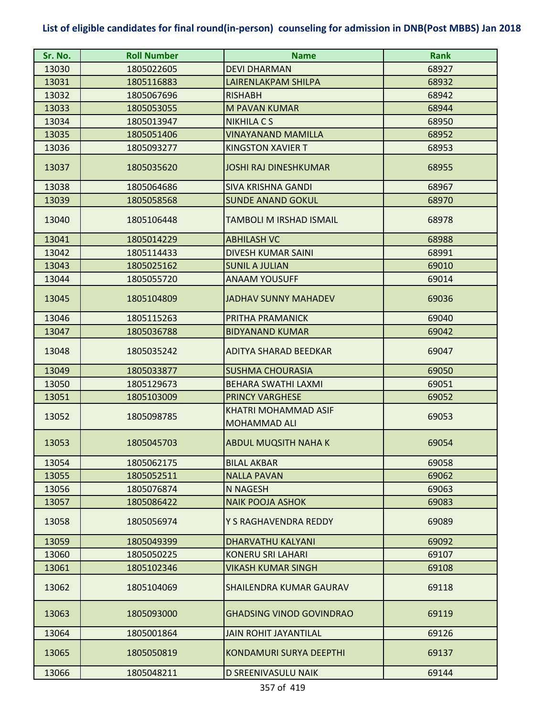| Sr. No. | <b>Roll Number</b> | <b>Name</b>                                 | <b>Rank</b> |
|---------|--------------------|---------------------------------------------|-------------|
| 13030   | 1805022605         | <b>DEVI DHARMAN</b>                         | 68927       |
| 13031   | 1805116883         | LAIRENLAKPAM SHILPA                         | 68932       |
| 13032   | 1805067696         | <b>RISHABH</b>                              | 68942       |
| 13033   | 1805053055         | <b>M PAVAN KUMAR</b>                        | 68944       |
| 13034   | 1805013947         | <b>NIKHILA C S</b>                          | 68950       |
| 13035   | 1805051406         | <b>VINAYANAND MAMILLA</b>                   | 68952       |
| 13036   | 1805093277         | <b>KINGSTON XAVIER T</b>                    | 68953       |
| 13037   | 1805035620         | <b>JOSHI RAJ DINESHKUMAR</b>                | 68955       |
| 13038   | 1805064686         | <b>SIVA KRISHNA GANDI</b>                   | 68967       |
| 13039   | 1805058568         | <b>SUNDE ANAND GOKUL</b>                    | 68970       |
| 13040   | 1805106448         | TAMBOLI M IRSHAD ISMAIL                     | 68978       |
| 13041   | 1805014229         | <b>ABHILASH VC</b>                          | 68988       |
| 13042   | 1805114433         | <b>DIVESH KUMAR SAINI</b>                   | 68991       |
| 13043   | 1805025162         | <b>SUNIL A JULIAN</b>                       | 69010       |
| 13044   | 1805055720         | <b>ANAAM YOUSUFF</b>                        | 69014       |
| 13045   | 1805104809         | <b>JADHAV SUNNY MAHADEV</b>                 | 69036       |
| 13046   | 1805115263         | PRITHA PRAMANICK                            | 69040       |
| 13047   | 1805036788         | <b>BIDYANAND KUMAR</b>                      | 69042       |
| 13048   | 1805035242         | <b>ADITYA SHARAD BEEDKAR</b>                | 69047       |
| 13049   | 1805033877         | <b>SUSHMA CHOURASIA</b>                     | 69050       |
| 13050   | 1805129673         | BEHARA SWATHI LAXMI                         | 69051       |
| 13051   | 1805103009         | <b>PRINCY VARGHESE</b>                      | 69052       |
| 13052   | 1805098785         | KHATRI MOHAMMAD ASIF<br><b>MOHAMMAD ALI</b> | 69053       |
| 13053   | 1805045703         | <b>ABDUL MUQSITH NAHA K</b>                 | 69054       |
| 13054   | 1805062175         | <b>BILAL AKBAR</b>                          | 69058       |
| 13055   | 1805052511         | <b>NALLA PAVAN</b>                          | 69062       |
| 13056   | 1805076874         | <b>N NAGESH</b>                             | 69063       |
| 13057   | 1805086422         | <b>NAIK POOJA ASHOK</b>                     | 69083       |
| 13058   | 1805056974         | Y S RAGHAVENDRA REDDY                       | 69089       |
| 13059   | 1805049399         | DHARVATHU KALYANI                           | 69092       |
| 13060   | 1805050225         | <b>KONERU SRI LAHARI</b>                    | 69107       |
| 13061   | 1805102346         | <b>VIKASH KUMAR SINGH</b>                   | 69108       |
| 13062   | 1805104069         | SHAILENDRA KUMAR GAURAV                     | 69118       |
| 13063   | 1805093000         | <b>GHADSING VINOD GOVINDRAO</b>             | 69119       |
| 13064   | 1805001864         | <b>JAIN ROHIT JAYANTILAL</b>                | 69126       |
| 13065   | 1805050819         | <b>KONDAMURI SURYA DEEPTHI</b>              | 69137       |
| 13066   | 1805048211         | D SREENIVASULU NAIK                         | 69144       |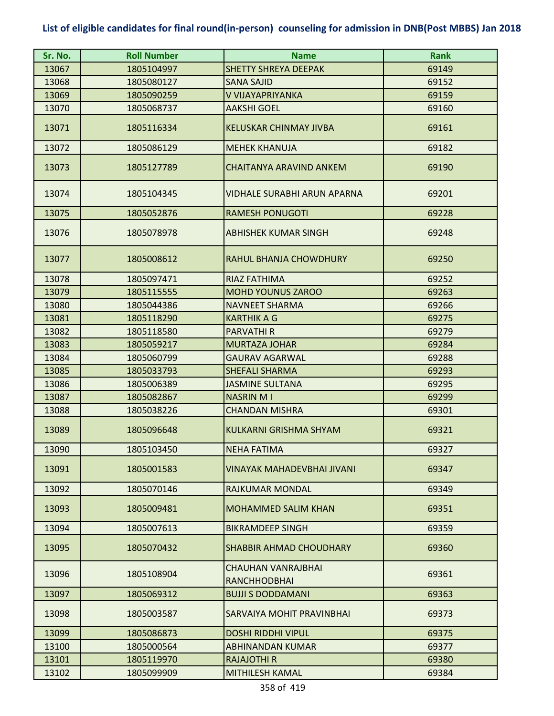| Sr. No. | <b>Roll Number</b> | <b>Name</b>                               | <b>Rank</b> |
|---------|--------------------|-------------------------------------------|-------------|
| 13067   | 1805104997         | <b>SHETTY SHREYA DEEPAK</b>               | 69149       |
| 13068   | 1805080127         | <b>SANA SAJID</b>                         | 69152       |
| 13069   | 1805090259         | V VIJAYAPRIYANKA                          | 69159       |
| 13070   | 1805068737         | <b>AAKSHI GOEL</b>                        | 69160       |
| 13071   | 1805116334         | <b>KELUSKAR CHINMAY JIVBA</b>             | 69161       |
| 13072   | 1805086129         | <b>MEHEK KHANUJA</b>                      | 69182       |
| 13073   | 1805127789         | <b>CHAITANYA ARAVIND ANKEM</b>            | 69190       |
| 13074   | 1805104345         | VIDHALE SURABHI ARUN APARNA               | 69201       |
| 13075   | 1805052876         | <b>RAMESH PONUGOTI</b>                    | 69228       |
| 13076   | 1805078978         | ABHISHEK KUMAR SINGH                      | 69248       |
| 13077   | 1805008612         | RAHUL BHANJA CHOWDHURY                    | 69250       |
| 13078   | 1805097471         | RIAZ FATHIMA                              | 69252       |
| 13079   | 1805115555         | <b>MOHD YOUNUS ZAROO</b>                  | 69263       |
| 13080   | 1805044386         | <b>NAVNEET SHARMA</b>                     | 69266       |
| 13081   | 1805118290         | <b>KARTHIK A G</b>                        | 69275       |
| 13082   | 1805118580         | <b>PARVATHIR</b>                          | 69279       |
| 13083   | 1805059217         | <b>MURTAZA JOHAR</b>                      | 69284       |
| 13084   | 1805060799         | <b>GAURAV AGARWAL</b>                     | 69288       |
| 13085   | 1805033793         | <b>SHEFALI SHARMA</b>                     | 69293       |
| 13086   | 1805006389         | <b>JASMINE SULTANA</b>                    | 69295       |
| 13087   | 1805082867         | <b>NASRIN MI</b>                          | 69299       |
| 13088   | 1805038226         | <b>CHANDAN MISHRA</b>                     | 69301       |
| 13089   | 1805096648         | <b>KULKARNI GRISHMA SHYAM</b>             | 69321       |
| 13090   | 1805103450         | <b>NEHA FATIMA</b>                        | 69327       |
| 13091   | 1805001583         | VINAYAK MAHADEVBHAI JIVANI                | 69347       |
| 13092   | 1805070146         | RAJKUMAR MONDAL                           | 69349       |
| 13093   | 1805009481         | <b>MOHAMMED SALIM KHAN</b>                | 69351       |
| 13094   | 1805007613         | <b>BIKRAMDEEP SINGH</b>                   | 69359       |
| 13095   | 1805070432         | SHABBIR AHMAD CHOUDHARY                   | 69360       |
| 13096   | 1805108904         | CHAUHAN VANRAJBHAI<br><b>RANCHHODBHAI</b> | 69361       |
| 13097   | 1805069312         | <b>BUJJI S DODDAMANI</b>                  | 69363       |
| 13098   | 1805003587         | SARVAIYA MOHIT PRAVINBHAI                 | 69373       |
| 13099   | 1805086873         | <b>DOSHI RIDDHI VIPUL</b>                 | 69375       |
| 13100   | 1805000564         | <b>ABHINANDAN KUMAR</b>                   | 69377       |
| 13101   | 1805119970         | <b>RAJAJOTHI R</b>                        | 69380       |
| 13102   | 1805099909         | MITHILESH KAMAL                           | 69384       |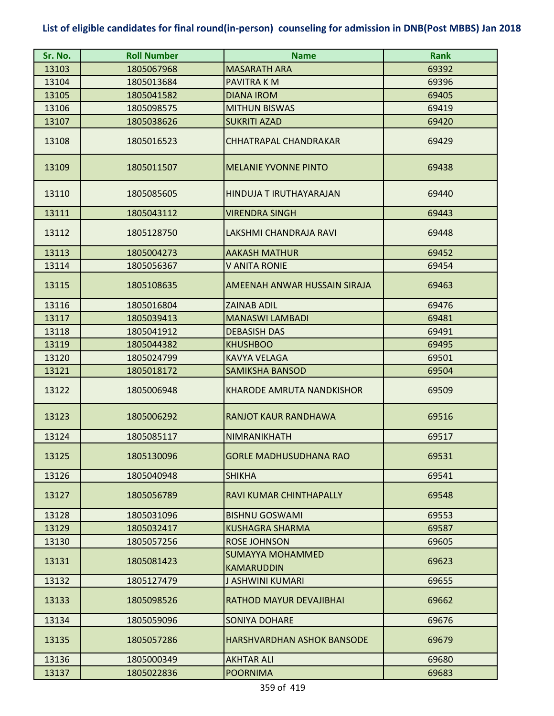| Sr. No. | <b>Roll Number</b> | <b>Name</b>                                  | <b>Rank</b> |
|---------|--------------------|----------------------------------------------|-------------|
| 13103   | 1805067968         | <b>MASARATH ARA</b>                          | 69392       |
| 13104   | 1805013684         | PAVITRA K M                                  | 69396       |
| 13105   | 1805041582         | <b>DIANA IROM</b>                            | 69405       |
| 13106   | 1805098575         | <b>MITHUN BISWAS</b>                         | 69419       |
| 13107   | 1805038626         | <b>SUKRITI AZAD</b>                          | 69420       |
| 13108   | 1805016523         | <b>CHHATRAPAL CHANDRAKAR</b>                 | 69429       |
| 13109   | 1805011507         | <b>MELANIE YVONNE PINTO</b>                  | 69438       |
| 13110   | 1805085605         | HINDUJA T IRUTHAYARAJAN                      | 69440       |
| 13111   | 1805043112         | <b>VIRENDRA SINGH</b>                        | 69443       |
| 13112   | 1805128750         | LAKSHMI CHANDRAJA RAVI                       | 69448       |
| 13113   | 1805004273         | <b>AAKASH MATHUR</b>                         | 69452       |
| 13114   | 1805056367         | <b>V ANITA RONIE</b>                         | 69454       |
| 13115   | 1805108635         | AMEENAH ANWAR HUSSAIN SIRAJA                 | 69463       |
| 13116   | 1805016804         | <b>ZAINAB ADIL</b>                           | 69476       |
| 13117   | 1805039413         | <b>MANASWI LAMBADI</b>                       | 69481       |
| 13118   | 1805041912         | <b>DEBASISH DAS</b>                          | 69491       |
| 13119   | 1805044382         | <b>KHUSHBOO</b>                              | 69495       |
| 13120   | 1805024799         | <b>KAVYA VELAGA</b>                          | 69501       |
| 13121   | 1805018172         | <b>SAMIKSHA BANSOD</b>                       | 69504       |
| 13122   | 1805006948         | <b>KHARODE AMRUTA NANDKISHOR</b>             | 69509       |
| 13123   | 1805006292         | <b>RANJOT KAUR RANDHAWA</b>                  | 69516       |
| 13124   | 1805085117         | NIMRANIKHATH                                 | 69517       |
| 13125   | 1805130096         | <b>GORLE MADHUSUDHANA RAO</b>                | 69531       |
| 13126   | 1805040948         | <b>SHIKHA</b>                                | 69541       |
| 13127   | 1805056789         | RAVI KUMAR CHINTHAPALLY                      | 69548       |
| 13128   | 1805031096         | <b>BISHNU GOSWAMI</b>                        | 69553       |
| 13129   | 1805032417         | KUSHAGRA SHARMA                              | 69587       |
| 13130   | 1805057256         | <b>ROSE JOHNSON</b>                          | 69605       |
| 13131   | 1805081423         | <b>SUMAYYA MOHAMMED</b><br><b>KAMARUDDIN</b> | 69623       |
| 13132   | 1805127479         | J ASHWINI KUMARI                             | 69655       |
| 13133   | 1805098526         | RATHOD MAYUR DEVAJIBHAI                      | 69662       |
| 13134   | 1805059096         | <b>SONIYA DOHARE</b>                         | 69676       |
| 13135   | 1805057286         | HARSHVARDHAN ASHOK BANSODE                   | 69679       |
| 13136   | 1805000349         | <b>AKHTAR ALI</b>                            | 69680       |
| 13137   | 1805022836         | <b>POORNIMA</b>                              | 69683       |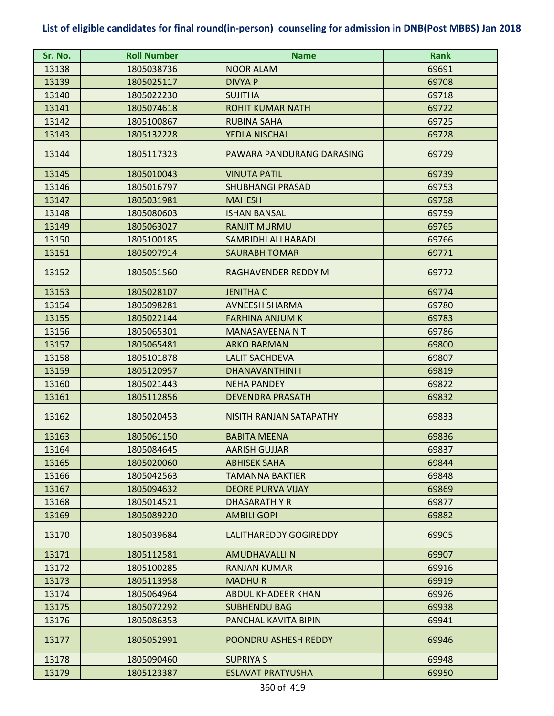| Sr. No. | <b>Roll Number</b> | <b>Name</b>               | <b>Rank</b> |
|---------|--------------------|---------------------------|-------------|
| 13138   | 1805038736         | <b>NOOR ALAM</b>          | 69691       |
| 13139   | 1805025117         | <b>DIVYA P</b>            | 69708       |
| 13140   | 1805022230         | <b>SUJITHA</b>            | 69718       |
| 13141   | 1805074618         | <b>ROHIT KUMAR NATH</b>   | 69722       |
| 13142   | 1805100867         | <b>RUBINA SAHA</b>        | 69725       |
| 13143   | 1805132228         | YEDLA NISCHAL             | 69728       |
| 13144   | 1805117323         | PAWARA PANDURANG DARASING | 69729       |
| 13145   | 1805010043         | <b>VINUTA PATIL</b>       | 69739       |
| 13146   | 1805016797         | <b>SHUBHANGI PRASAD</b>   | 69753       |
| 13147   | 1805031981         | <b>MAHESH</b>             | 69758       |
| 13148   | 1805080603         | <b>ISHAN BANSAL</b>       | 69759       |
| 13149   | 1805063027         | <b>RANJIT MURMU</b>       | 69765       |
| 13150   | 1805100185         | SAMRIDHI ALLHABADI        | 69766       |
| 13151   | 1805097914         | <b>SAURABH TOMAR</b>      | 69771       |
| 13152   | 1805051560         | RAGHAVENDER REDDY M       | 69772       |
| 13153   | 1805028107         | <b>JENITHA C</b>          | 69774       |
| 13154   | 1805098281         | <b>AVNEESH SHARMA</b>     | 69780       |
| 13155   | 1805022144         | <b>FARHINA ANJUM K</b>    | 69783       |
| 13156   | 1805065301         | <b>MANASAVEENA N T</b>    | 69786       |
| 13157   | 1805065481         | <b>ARKO BARMAN</b>        | 69800       |
| 13158   | 1805101878         | <b>LALIT SACHDEVA</b>     | 69807       |
| 13159   | 1805120957         | <b>DHANAVANTHINI I</b>    | 69819       |
| 13160   | 1805021443         | <b>NEHA PANDEY</b>        | 69822       |
| 13161   | 1805112856         | <b>DEVENDRA PRASATH</b>   | 69832       |
| 13162   | 1805020453         | NISITH RANJAN SATAPATHY   | 69833       |
| 13163   | 1805061150         | <b>BABITA MEENA</b>       | 69836       |
| 13164   | 1805084645         | <b>AARISH GUJJAR</b>      | 69837       |
| 13165   | 1805020060         | <b>ABHISEK SAHA</b>       | 69844       |
| 13166   | 1805042563         | TAMANNA BAKTIER           | 69848       |
| 13167   | 1805094632         | <b>DEORE PURVA VIJAY</b>  | 69869       |
| 13168   | 1805014521         | DHASARATH Y R             | 69877       |
| 13169   | 1805089220         | <b>AMBILI GOPI</b>        | 69882       |
| 13170   | 1805039684         | LALITHAREDDY GOGIREDDY    | 69905       |
| 13171   | 1805112581         | <b>AMUDHAVALLIN</b>       | 69907       |
| 13172   | 1805100285         | <b>RANJAN KUMAR</b>       | 69916       |
| 13173   | 1805113958         | <b>MADHUR</b>             | 69919       |
| 13174   | 1805064964         | <b>ABDUL KHADEER KHAN</b> | 69926       |
| 13175   | 1805072292         | <b>SUBHENDU BAG</b>       | 69938       |
| 13176   | 1805086353         | PANCHAL KAVITA BIPIN      | 69941       |
| 13177   | 1805052991         | POONDRU ASHESH REDDY      | 69946       |
| 13178   | 1805090460         | <b>SUPRIYA S</b>          | 69948       |
| 13179   | 1805123387         | <b>ESLAVAT PRATYUSHA</b>  | 69950       |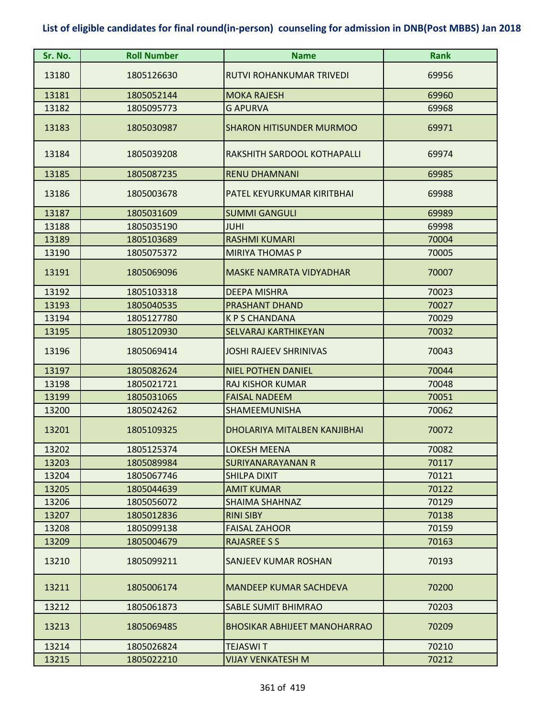| Sr. No. | <b>Roll Number</b> | <b>Name</b>                         | <b>Rank</b> |
|---------|--------------------|-------------------------------------|-------------|
| 13180   | 1805126630         | RUTVI ROHANKUMAR TRIVEDI            | 69956       |
| 13181   | 1805052144         | <b>MOKA RAJESH</b>                  | 69960       |
| 13182   | 1805095773         | <b>G APURVA</b>                     | 69968       |
| 13183   | 1805030987         | <b>SHARON HITISUNDER MURMOO</b>     | 69971       |
| 13184   | 1805039208         | RAKSHITH SARDOOL KOTHAPALLI         | 69974       |
| 13185   | 1805087235         | <b>RENU DHAMNANI</b>                | 69985       |
| 13186   | 1805003678         | PATEL KEYURKUMAR KIRITBHAI          | 69988       |
| 13187   | 1805031609         | <b>SUMMI GANGULI</b>                | 69989       |
| 13188   | 1805035190         | <b>JUHI</b>                         | 69998       |
| 13189   | 1805103689         | <b>RASHMI KUMARI</b>                | 70004       |
| 13190   | 1805075372         | <b>MIRIYA THOMAS P</b>              | 70005       |
| 13191   | 1805069096         | <b>MASKE NAMRATA VIDYADHAR</b>      | 70007       |
| 13192   | 1805103318         | <b>DEEPA MISHRA</b>                 | 70023       |
| 13193   | 1805040535         | <b>PRASHANT DHAND</b>               | 70027       |
| 13194   | 1805127780         | <b>KPS CHANDANA</b>                 | 70029       |
| 13195   | 1805120930         | SELVARAJ KARTHIKEYAN                | 70032       |
| 13196   | 1805069414         | <b>JOSHI RAJEEV SHRINIVAS</b>       | 70043       |
| 13197   | 1805082624         | <b>NIEL POTHEN DANIEL</b>           | 70044       |
| 13198   | 1805021721         | <b>RAJ KISHOR KUMAR</b>             | 70048       |
| 13199   | 1805031065         | <b>FAISAL NADEEM</b>                | 70051       |
| 13200   | 1805024262         | SHAMEEMUNISHA                       | 70062       |
| 13201   | 1805109325         | DHOLARIYA MITALBEN KANJIBHAI        | 70072       |
| 13202   | 1805125374         | <b>LOKESH MEENA</b>                 | 70082       |
| 13203   | 1805089984         | SURIYANARAYANAN R                   | 70117       |
| 13204   | 1805067746         | <b>SHILPA DIXIT</b>                 | 70121       |
| 13205   | 1805044639         | <b>AMIT KUMAR</b>                   | 70122       |
| 13206   | 1805056072         | <b>SHAIMA SHAHNAZ</b>               | 70129       |
| 13207   | 1805012836         | <b>RINI SIBY</b>                    | 70138       |
| 13208   | 1805099138         | <b>FAISAL ZAHOOR</b>                | 70159       |
| 13209   | 1805004679         | <b>RAJASREE S S</b>                 | 70163       |
| 13210   | 1805099211         | <b>SANJEEV KUMAR ROSHAN</b>         | 70193       |
| 13211   | 1805006174         | <b>MANDEEP KUMAR SACHDEVA</b>       | 70200       |
| 13212   | 1805061873         | <b>SABLE SUMIT BHIMRAO</b>          | 70203       |
| 13213   | 1805069485         | <b>BHOSIKAR ABHIJEET MANOHARRAO</b> | 70209       |
| 13214   | 1805026824         | <b>TEJASWIT</b>                     | 70210       |
| 13215   | 1805022210         | VIJAY VENKATESH M                   | 70212       |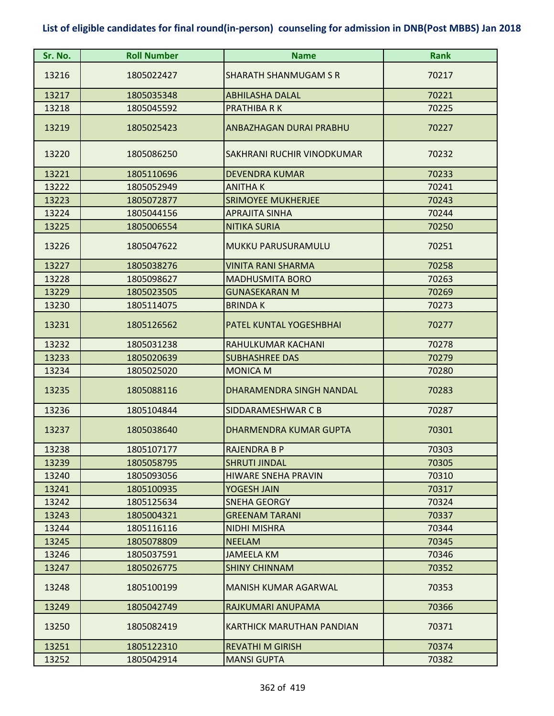| Sr. No. | <b>Roll Number</b> | <b>Name</b>                      | <b>Rank</b> |
|---------|--------------------|----------------------------------|-------------|
| 13216   | 1805022427         | <b>SHARATH SHANMUGAM S R</b>     | 70217       |
| 13217   | 1805035348         | <b>ABHILASHA DALAL</b>           | 70221       |
| 13218   | 1805045592         | <b>PRATHIBA RK</b>               | 70225       |
| 13219   | 1805025423         | ANBAZHAGAN DURAI PRABHU          | 70227       |
| 13220   | 1805086250         | SAKHRANI RUCHIR VINODKUMAR       | 70232       |
| 13221   | 1805110696         | <b>DEVENDRA KUMAR</b>            | 70233       |
| 13222   | 1805052949         | <b>ANITHAK</b>                   | 70241       |
| 13223   | 1805072877         | <b>SRIMOYEE MUKHERJEE</b>        | 70243       |
| 13224   | 1805044156         | <b>APRAJITA SINHA</b>            | 70244       |
| 13225   | 1805006554         | <b>NITIKA SURIA</b>              | 70250       |
| 13226   | 1805047622         | <b>MUKKU PARUSURAMULU</b>        | 70251       |
| 13227   | 1805038276         | <b>VINITA RANI SHARMA</b>        | 70258       |
| 13228   | 1805098627         | <b>MADHUSMITA BORO</b>           | 70263       |
| 13229   | 1805023505         | <b>GUNASEKARAN M</b>             | 70269       |
| 13230   | 1805114075         | <b>BRINDAK</b>                   | 70273       |
| 13231   | 1805126562         | PATEL KUNTAL YOGESHBHAI          | 70277       |
| 13232   | 1805031238         | RAHULKUMAR KACHANI               | 70278       |
| 13233   | 1805020639         | <b>SUBHASHREE DAS</b>            | 70279       |
| 13234   | 1805025020         | <b>MONICA M</b>                  | 70280       |
| 13235   | 1805088116         | DHARAMENDRA SINGH NANDAL         | 70283       |
| 13236   | 1805104844         | SIDDARAMESHWAR C B               | 70287       |
| 13237   | 1805038640         | <b>DHARMENDRA KUMAR GUPTA</b>    | 70301       |
| 13238   | 1805107177         | <b>RAJENDRA B P</b>              | 70303       |
| 13239   | 1805058795         | <b>SHRUTI JINDAL</b>             | 70305       |
| 13240   | 1805093056         | <b>HIWARE SNEHA PRAVIN</b>       | 70310       |
| 13241   | 1805100935         | YOGESH JAIN                      | 70317       |
| 13242   | 1805125634         | <b>SNEHA GEORGY</b>              | 70324       |
| 13243   | 1805004321         | <b>GREENAM TARANI</b>            | 70337       |
| 13244   | 1805116116         | <b>NIDHI MISHRA</b>              | 70344       |
| 13245   | 1805078809         | <b>NEELAM</b>                    | 70345       |
| 13246   | 1805037591         | <b>JAMEELA KM</b>                | 70346       |
| 13247   | 1805026775         | <b>SHINY CHINNAM</b>             | 70352       |
| 13248   | 1805100199         | <b>MANISH KUMAR AGARWAL</b>      | 70353       |
| 13249   | 1805042749         | RAJKUMARI ANUPAMA                | 70366       |
| 13250   | 1805082419         | <b>KARTHICK MARUTHAN PANDIAN</b> | 70371       |
| 13251   | 1805122310         | <b>REVATHI M GIRISH</b>          | 70374       |
| 13252   | 1805042914         | <b>MANSI GUPTA</b>               | 70382       |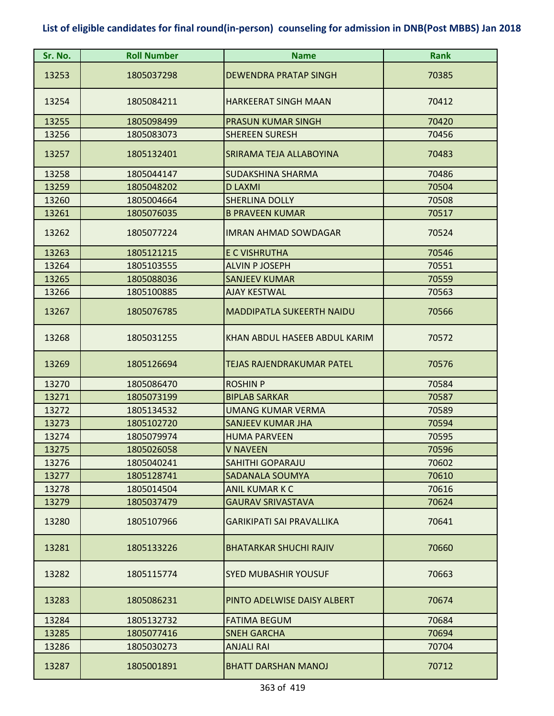| Sr. No. | <b>Roll Number</b> | <b>Name</b>                      | <b>Rank</b> |
|---------|--------------------|----------------------------------|-------------|
| 13253   | 1805037298         | <b>DEWENDRA PRATAP SINGH</b>     | 70385       |
|         |                    |                                  |             |
| 13254   | 1805084211         | <b>HARKEERAT SINGH MAAN</b>      | 70412       |
| 13255   | 1805098499         | <b>PRASUN KUMAR SINGH</b>        | 70420       |
| 13256   | 1805083073         | <b>SHEREEN SURESH</b>            | 70456       |
| 13257   | 1805132401         | SRIRAMA TEJA ALLABOYINA          | 70483       |
| 13258   | 1805044147         | SUDAKSHINA SHARMA                | 70486       |
| 13259   | 1805048202         | <b>D LAXMI</b>                   | 70504       |
| 13260   | 1805004664         | <b>SHERLINA DOLLY</b>            | 70508       |
| 13261   | 1805076035         | <b>B PRAVEEN KUMAR</b>           | 70517       |
| 13262   | 1805077224         | <b>IMRAN AHMAD SOWDAGAR</b>      | 70524       |
| 13263   | 1805121215         | E C VISHRUTHA                    | 70546       |
| 13264   | 1805103555         | <b>ALVIN P JOSEPH</b>            | 70551       |
| 13265   | 1805088036         | <b>SANJEEV KUMAR</b>             | 70559       |
| 13266   | 1805100885         | <b>AJAY KESTWAL</b>              | 70563       |
| 13267   | 1805076785         | <b>MADDIPATLA SUKEERTH NAIDU</b> | 70566       |
| 13268   | 1805031255         | KHAN ABDUL HASEEB ABDUL KARIM    | 70572       |
| 13269   | 1805126694         | TEJAS RAJENDRAKUMAR PATEL        | 70576       |
| 13270   | 1805086470         | <b>ROSHIN P</b>                  | 70584       |
| 13271   | 1805073199         | <b>BIPLAB SARKAR</b>             | 70587       |
| 13272   | 1805134532         | <b>UMANG KUMAR VERMA</b>         | 70589       |
| 13273   | 1805102720         | <b>SANJEEV KUMAR JHA</b>         | 70594       |
| 13274   | 1805079974         | <b>HUMA PARVEEN</b>              | 70595       |
| 13275   | 1805026058         | <b>V NAVEEN</b>                  | 70596       |
| 13276   | 1805040241         | SAHITHI GOPARAJU                 | 70602       |
| 13277   | 1805128741         | <b>SADANALA SOUMYA</b>           | 70610       |
| 13278   | 1805014504         | <b>ANIL KUMAR K C</b>            | 70616       |
| 13279   | 1805037479         | <b>GAURAV SRIVASTAVA</b>         | 70624       |
| 13280   | 1805107966         | <b>GARIKIPATI SAI PRAVALLIKA</b> | 70641       |
| 13281   | 1805133226         | <b>BHATARKAR SHUCHI RAJIV</b>    | 70660       |
| 13282   | 1805115774         | <b>SYED MUBASHIR YOUSUF</b>      | 70663       |
| 13283   | 1805086231         | PINTO ADELWISE DAISY ALBERT      | 70674       |
| 13284   | 1805132732         | <b>FATIMA BEGUM</b>              | 70684       |
| 13285   | 1805077416         | <b>SNEH GARCHA</b>               | 70694       |
| 13286   | 1805030273         | <b>ANJALI RAI</b>                | 70704       |
| 13287   | 1805001891         | <b>BHATT DARSHAN MANOJ</b>       | 70712       |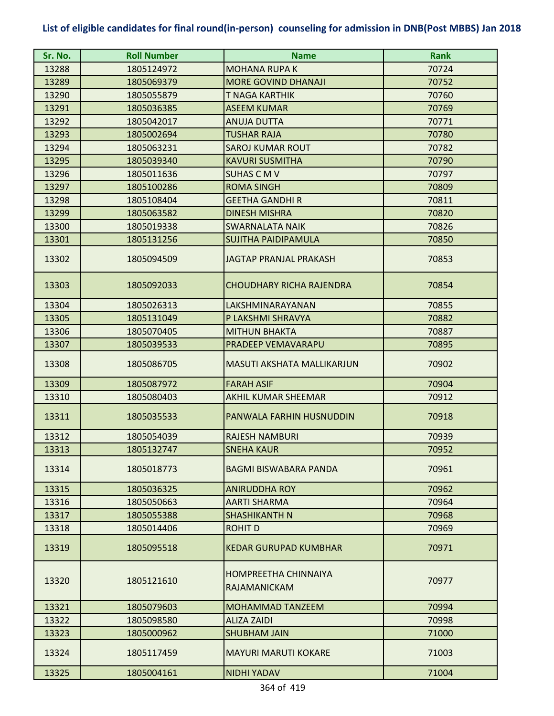| Sr. No. | <b>Roll Number</b> | <b>Name</b>                          | <b>Rank</b> |
|---------|--------------------|--------------------------------------|-------------|
| 13288   | 1805124972         | <b>MOHANA RUPA K</b>                 | 70724       |
| 13289   | 1805069379         | <b>MORE GOVIND DHANAJI</b>           | 70752       |
| 13290   | 1805055879         | T NAGA KARTHIK                       | 70760       |
| 13291   | 1805036385         | <b>ASEEM KUMAR</b>                   | 70769       |
| 13292   | 1805042017         | <b>ANUJA DUTTA</b>                   | 70771       |
| 13293   | 1805002694         | <b>TUSHAR RAJA</b>                   | 70780       |
| 13294   | 1805063231         | <b>SAROJ KUMAR ROUT</b>              | 70782       |
| 13295   | 1805039340         | <b>KAVURI SUSMITHA</b>               | 70790       |
| 13296   | 1805011636         | <b>SUHAS CMV</b>                     | 70797       |
| 13297   | 1805100286         | <b>ROMA SINGH</b>                    | 70809       |
| 13298   | 1805108404         | <b>GEETHA GANDHI R</b>               | 70811       |
| 13299   | 1805063582         | <b>DINESH MISHRA</b>                 | 70820       |
| 13300   | 1805019338         | <b>SWARNALATA NAIK</b>               | 70826       |
| 13301   | 1805131256         | <b>SUJITHA PAIDIPAMULA</b>           | 70850       |
| 13302   | 1805094509         | <b>JAGTAP PRANJAL PRAKASH</b>        | 70853       |
| 13303   | 1805092033         | <b>CHOUDHARY RICHA RAJENDRA</b>      | 70854       |
| 13304   | 1805026313         | LAKSHMINARAYANAN                     | 70855       |
| 13305   | 1805131049         | P LAKSHMI SHRAVYA                    | 70882       |
| 13306   | 1805070405         | <b>MITHUN BHAKTA</b>                 | 70887       |
| 13307   | 1805039533         | PRADEEP VEMAVARAPU                   | 70895       |
| 13308   | 1805086705         | <b>MASUTI AKSHATA MALLIKARJUN</b>    | 70902       |
| 13309   | 1805087972         | <b>FARAH ASIF</b>                    | 70904       |
| 13310   | 1805080403         | <b>AKHIL KUMAR SHEEMAR</b>           | 70912       |
| 13311   | 1805035533         | PANWALA FARHIN HUSNUDDIN             | 70918       |
| 13312   | 1805054039         | <b>RAJESH NAMBURI</b>                | 70939       |
| 13313   | 1805132747         | <b>SNEHA KAUR</b>                    | 70952       |
| 13314   | 1805018773         | <b>BAGMI BISWABARA PANDA</b>         | 70961       |
| 13315   | 1805036325         | <b>ANIRUDDHA ROY</b>                 | 70962       |
| 13316   | 1805050663         | AARTI SHARMA                         | 70964       |
| 13317   | 1805055388         | <b>SHASHIKANTH N</b>                 | 70968       |
| 13318   | 1805014406         | <b>ROHIT D</b>                       | 70969       |
| 13319   | 1805095518         | <b>KEDAR GURUPAD KUMBHAR</b>         | 70971       |
| 13320   | 1805121610         | HOMPREETHA CHINNAIYA<br>RAJAMANICKAM | 70977       |
| 13321   | 1805079603         | <b>MOHAMMAD TANZEEM</b>              | 70994       |
| 13322   | 1805098580         | <b>ALIZA ZAIDI</b>                   | 70998       |
| 13323   | 1805000962         | <b>SHUBHAM JAIN</b>                  | 71000       |
| 13324   | 1805117459         | <b>MAYURI MARUTI KOKARE</b>          | 71003       |
| 13325   | 1805004161         | <b>NIDHI YADAV</b>                   | 71004       |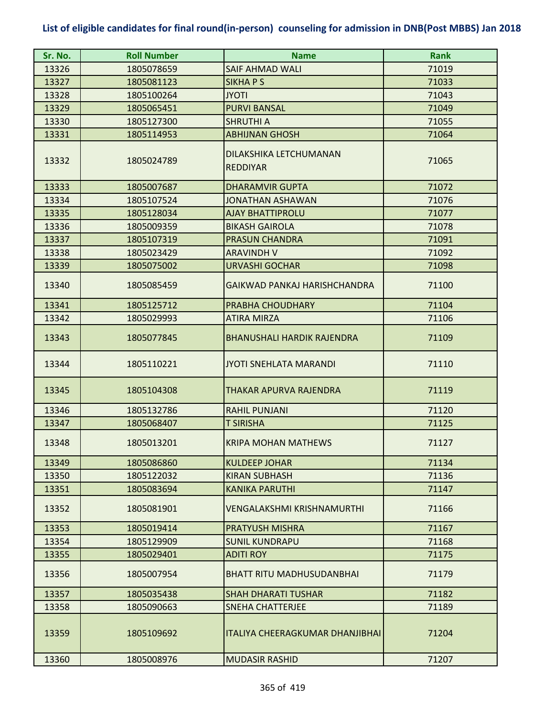| Sr. No. | <b>Roll Number</b> | <b>Name</b>                               | <b>Rank</b> |
|---------|--------------------|-------------------------------------------|-------------|
| 13326   | 1805078659         | SAIF AHMAD WALI                           | 71019       |
| 13327   | 1805081123         | <b>SIKHAPS</b>                            | 71033       |
| 13328   | 1805100264         | <b>JYOTI</b>                              | 71043       |
| 13329   | 1805065451         | <b>PURVI BANSAL</b>                       | 71049       |
| 13330   | 1805127300         | <b>SHRUTHI A</b>                          | 71055       |
| 13331   | 1805114953         | <b>ABHIJNAN GHOSH</b>                     | 71064       |
| 13332   | 1805024789         | DILAKSHIKA LETCHUMANAN<br><b>REDDIYAR</b> | 71065       |
| 13333   | 1805007687         | <b>DHARAMVIR GUPTA</b>                    | 71072       |
| 13334   | 1805107524         | <b>JONATHAN ASHAWAN</b>                   | 71076       |
| 13335   | 1805128034         | <b>AJAY BHATTIPROLU</b>                   | 71077       |
| 13336   | 1805009359         | <b>BIKASH GAIROLA</b>                     | 71078       |
| 13337   | 1805107319         | <b>PRASUN CHANDRA</b>                     | 71091       |
| 13338   | 1805023429         | <b>ARAVINDH V</b>                         | 71092       |
| 13339   | 1805075002         | <b>URVASHI GOCHAR</b>                     | 71098       |
| 13340   | 1805085459         | GAIKWAD PANKAJ HARISHCHANDRA              | 71100       |
| 13341   | 1805125712         | PRABHA CHOUDHARY                          | 71104       |
| 13342   | 1805029993         | <b>ATIRA MIRZA</b>                        | 71106       |
| 13343   | 1805077845         | <b>BHANUSHALI HARDIK RAJENDRA</b>         | 71109       |
| 13344   | 1805110221         | <b>JYOTI SNEHLATA MARANDI</b>             | 71110       |
| 13345   | 1805104308         | THAKAR APURVA RAJENDRA                    | 71119       |
| 13346   | 1805132786         | <b>RAHIL PUNJANI</b>                      | 71120       |
| 13347   | 1805068407         | <b>T SIRISHA</b>                          | 71125       |
| 13348   | 1805013201         | <b>KRIPA MOHAN MATHEWS</b>                | 71127       |
| 13349   | 1805086860         | <b>KULDEEP JOHAR</b>                      | 71134       |
| 13350   | 1805122032         | <b>KIRAN SUBHASH</b>                      | 71136       |
| 13351   | 1805083694         | <b>KANIKA PARUTHI</b>                     | 71147       |
| 13352   | 1805081901         | VENGALAKSHMI KRISHNAMURTHI                | 71166       |
| 13353   | 1805019414         | <b>PRATYUSH MISHRA</b>                    | 71167       |
| 13354   | 1805129909         | <b>SUNIL KUNDRAPU</b>                     | 71168       |
| 13355   | 1805029401         | <b>ADITI ROY</b>                          | 71175       |
| 13356   | 1805007954         | <b>BHATT RITU MADHUSUDANBHAI</b>          | 71179       |
| 13357   | 1805035438         | <b>SHAH DHARATI TUSHAR</b>                | 71182       |
| 13358   | 1805090663         | <b>SNEHA CHATTERJEE</b>                   | 71189       |
| 13359   | 1805109692         | <b>ITALIYA CHEERAGKUMAR DHANJIBHAI</b>    | 71204       |
| 13360   | 1805008976         | <b>MUDASIR RASHID</b>                     | 71207       |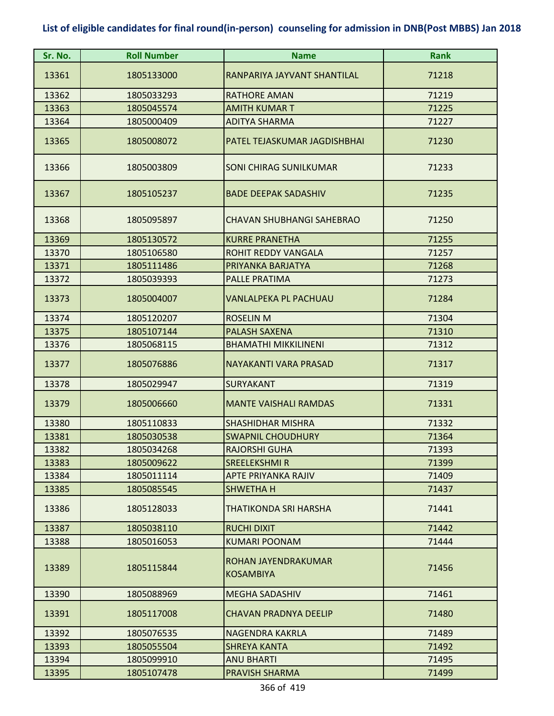| Sr. No. | <b>Roll Number</b> | <b>Name</b>                             | <b>Rank</b> |
|---------|--------------------|-----------------------------------------|-------------|
| 13361   | 1805133000         | RANPARIYA JAYVANT SHANTILAL             | 71218       |
| 13362   | 1805033293         | <b>RATHORE AMAN</b>                     | 71219       |
| 13363   | 1805045574         | <b>AMITH KUMAR T</b>                    | 71225       |
| 13364   | 1805000409         | <b>ADITYA SHARMA</b>                    | 71227       |
| 13365   | 1805008072         | PATEL TEJASKUMAR JAGDISHBHAI            | 71230       |
| 13366   | 1805003809         | <b>SONI CHIRAG SUNILKUMAR</b>           | 71233       |
| 13367   | 1805105237         | <b>BADE DEEPAK SADASHIV</b>             | 71235       |
| 13368   | 1805095897         | <b>CHAVAN SHUBHANGI SAHEBRAO</b>        | 71250       |
| 13369   | 1805130572         | <b>KURRE PRANETHA</b>                   | 71255       |
| 13370   | 1805106580         | ROHIT REDDY VANGALA                     | 71257       |
| 13371   | 1805111486         | PRIYANKA BARJATYA                       | 71268       |
| 13372   | 1805039393         | <b>PALLE PRATIMA</b>                    | 71273       |
| 13373   | 1805004007         | VANLALPEKA PL PACHUAU                   | 71284       |
| 13374   | 1805120207         | <b>ROSELIN M</b>                        | 71304       |
| 13375   | 1805107144         | <b>PALASH SAXENA</b>                    | 71310       |
| 13376   | 1805068115         | <b>BHAMATHI MIKKILINENI</b>             | 71312       |
| 13377   | 1805076886         | <b>NAYAKANTI VARA PRASAD</b>            | 71317       |
| 13378   | 1805029947         | <b>SURYAKANT</b>                        | 71319       |
| 13379   | 1805006660         | <b>MANTE VAISHALI RAMDAS</b>            | 71331       |
| 13380   | 1805110833         | <b>SHASHIDHAR MISHRA</b>                | 71332       |
| 13381   | 1805030538         | <b>SWAPNIL CHOUDHURY</b>                | 71364       |
| 13382   | 1805034268         | <b>RAJORSHI GUHA</b>                    | 71393       |
| 13383   | 1805009622         | SREELEKSHMI R                           | 71399       |
| 13384   | 1805011114         | APTE PRIYANKA RAJIV                     | 71409       |
| 13385   | 1805085545         | <b>SHWETHAH</b>                         | 71437       |
| 13386   | 1805128033         | THATIKONDA SRI HARSHA                   | 71441       |
| 13387   | 1805038110         | <b>RUCHI DIXIT</b>                      | 71442       |
| 13388   | 1805016053         | <b>KUMARI POONAM</b>                    | 71444       |
| 13389   | 1805115844         | ROHAN JAYENDRAKUMAR<br><b>KOSAMBIYA</b> | 71456       |
| 13390   | 1805088969         | <b>MEGHA SADASHIV</b>                   | 71461       |
| 13391   | 1805117008         | <b>CHAVAN PRADNYA DEELIP</b>            | 71480       |
| 13392   | 1805076535         | <b>NAGENDRA KAKRLA</b>                  | 71489       |
| 13393   | 1805055504         | <b>SHREYA KANTA</b>                     | 71492       |
| 13394   | 1805099910         | <b>ANU BHARTI</b>                       | 71495       |
| 13395   | 1805107478         | PRAVISH SHARMA                          | 71499       |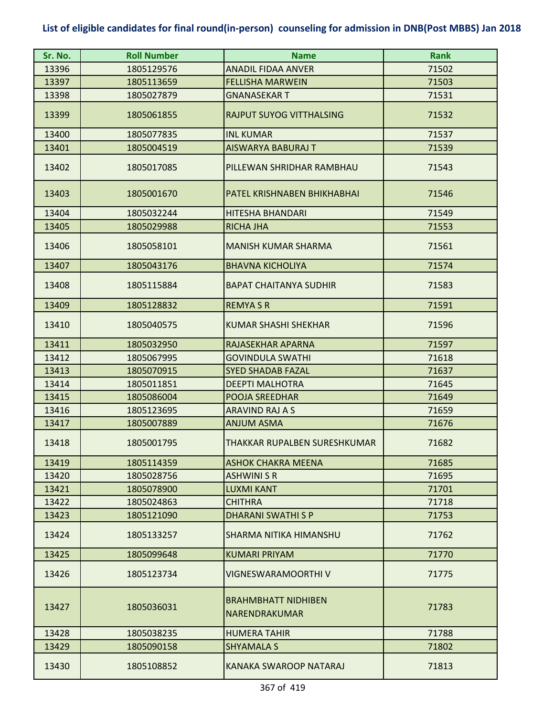| Sr. No. | <b>Roll Number</b> | <b>Name</b>                                 | <b>Rank</b> |
|---------|--------------------|---------------------------------------------|-------------|
| 13396   | 1805129576         | <b>ANADIL FIDAA ANVER</b>                   | 71502       |
| 13397   | 1805113659         | <b>FELLISHA MARWEIN</b>                     | 71503       |
| 13398   | 1805027879         | <b>GNANASEKART</b>                          | 71531       |
| 13399   | 1805061855         | <b>RAJPUT SUYOG VITTHALSING</b>             | 71532       |
| 13400   | 1805077835         | <b>INL KUMAR</b>                            | 71537       |
| 13401   | 1805004519         | <b>AISWARYA BABURAJ T</b>                   | 71539       |
| 13402   | 1805017085         | PILLEWAN SHRIDHAR RAMBHAU                   | 71543       |
| 13403   | 1805001670         | PATEL KRISHNABEN BHIKHABHAI                 | 71546       |
| 13404   | 1805032244         | <b>HITESHA BHANDARI</b>                     | 71549       |
| 13405   | 1805029988         | <b>RICHA JHA</b>                            | 71553       |
| 13406   | 1805058101         | <b>MANISH KUMAR SHARMA</b>                  | 71561       |
| 13407   | 1805043176         | <b>BHAVNA KICHOLIYA</b>                     | 71574       |
| 13408   | 1805115884         | <b>BAPAT CHAITANYA SUDHIR</b>               | 71583       |
| 13409   | 1805128832         | <b>REMYASR</b>                              | 71591       |
| 13410   | 1805040575         | <b>KUMAR SHASHI SHEKHAR</b>                 | 71596       |
| 13411   | 1805032950         | RAJASEKHAR APARNA                           | 71597       |
| 13412   | 1805067995         | <b>GOVINDULA SWATHI</b>                     | 71618       |
| 13413   | 1805070915         | <b>SYED SHADAB FAZAL</b>                    | 71637       |
| 13414   | 1805011851         | <b>DEEPTI MALHOTRA</b>                      | 71645       |
| 13415   | 1805086004         | <b>POOJA SREEDHAR</b>                       | 71649       |
| 13416   | 1805123695         | ARAVIND RAJ A S                             | 71659       |
| 13417   | 1805007889         | <b>ANJUM ASMA</b>                           | 71676       |
| 13418   | 1805001795         | THAKKAR RUPALBEN SURESHKUMAR                | 71682       |
| 13419   | 1805114359         | ASHOK CHAKRA MEENA                          | 71685       |
| 13420   | 1805028756         | <b>ASHWINI S R</b>                          | 71695       |
| 13421   | 1805078900         | <b>LUXMI KANT</b>                           | 71701       |
| 13422   | 1805024863         | <b>CHITHRA</b>                              | 71718       |
| 13423   | 1805121090         | <b>DHARANI SWATHI S P</b>                   | 71753       |
| 13424   | 1805133257         | SHARMA NITIKA HIMANSHU                      | 71762       |
| 13425   | 1805099648         | <b>KUMARI PRIYAM</b>                        | 71770       |
| 13426   | 1805123734         | VIGNESWARAMOORTHI V                         | 71775       |
| 13427   | 1805036031         | <b>BRAHMBHATT NIDHIBEN</b><br>NARENDRAKUMAR | 71783       |
| 13428   | 1805038235         | <b>HUMERA TAHIR</b>                         | 71788       |
| 13429   | 1805090158         | <b>SHYAMALA S</b>                           | 71802       |
| 13430   | 1805108852         | KANAKA SWAROOP NATARAJ                      | 71813       |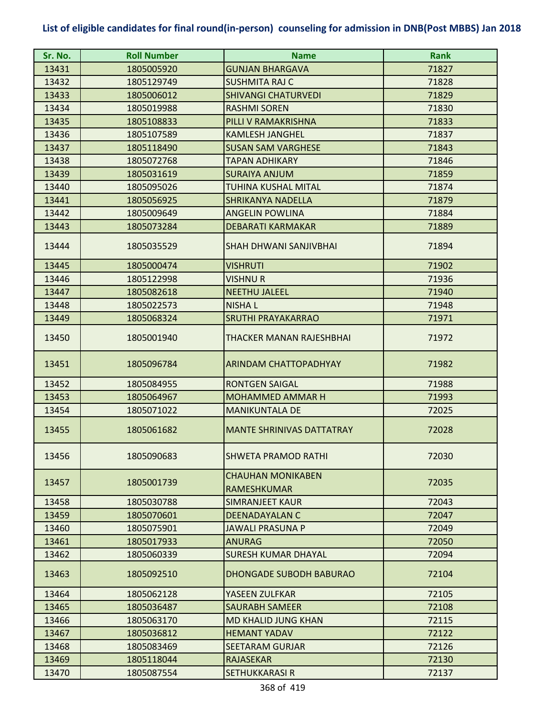| Sr. No. | <b>Roll Number</b> | <b>Name</b>                      | <b>Rank</b> |
|---------|--------------------|----------------------------------|-------------|
| 13431   | 1805005920         | <b>GUNJAN BHARGAVA</b>           | 71827       |
| 13432   | 1805129749         | <b>SUSHMITA RAJ C</b>            | 71828       |
| 13433   | 1805006012         | <b>SHIVANGI CHATURVEDI</b>       | 71829       |
| 13434   | 1805019988         | <b>RASHMI SOREN</b>              | 71830       |
| 13435   | 1805108833         | PILLI V RAMAKRISHNA              | 71833       |
| 13436   | 1805107589         | <b>KAMLESH JANGHEL</b>           | 71837       |
| 13437   | 1805118490         | <b>SUSAN SAM VARGHESE</b>        | 71843       |
| 13438   | 1805072768         | <b>TAPAN ADHIKARY</b>            | 71846       |
| 13439   | 1805031619         | <b>SURAIYA ANJUM</b>             | 71859       |
| 13440   | 1805095026         | TUHINA KUSHAL MITAL              | 71874       |
| 13441   | 1805056925         | <b>SHRIKANYA NADELLA</b>         | 71879       |
| 13442   | 1805009649         | <b>ANGELIN POWLINA</b>           | 71884       |
| 13443   | 1805073284         | <b>DEBARATI KARMAKAR</b>         | 71889       |
| 13444   | 1805035529         | SHAH DHWANI SANJIVBHAI           | 71894       |
| 13445   | 1805000474         | <b>VISHRUTI</b>                  | 71902       |
| 13446   | 1805122998         | VISHNU R                         | 71936       |
| 13447   | 1805082618         | <b>NEETHU JALEEL</b>             | 71940       |
| 13448   | 1805022573         | <b>NISHAL</b>                    | 71948       |
| 13449   | 1805068324         | <b>SRUTHI PRAYAKARRAO</b>        | 71971       |
| 13450   | 1805001940         | THACKER MANAN RAJESHBHAI         | 71972       |
| 13451   | 1805096784         | <b>ARINDAM CHATTOPADHYAY</b>     | 71982       |
| 13452   | 1805084955         | <b>RONTGEN SAIGAL</b>            | 71988       |
| 13453   | 1805064967         | <b>MOHAMMED AMMAR H</b>          | 71993       |
| 13454   | 1805071022         | <b>MANIKUNTALA DE</b>            | 72025       |
| 13455   | 1805061682         | <b>MANTE SHRINIVAS DATTATRAY</b> | 72028       |
| 13456   | 1805090683         | <b>SHWETA PRAMOD RATHI</b>       | 72030       |
|         |                    | <b>CHAUHAN MONIKABEN</b>         | 72035       |
| 13457   | 1805001739         | <b>RAMESHKUMAR</b>               |             |
| 13458   | 1805030788         | SIMRANJEET KAUR                  | 72043       |
| 13459   | 1805070601         | <b>DEENADAYALAN C</b>            | 72047       |
| 13460   | 1805075901         | <b>JAWALI PRASUNA P</b>          | 72049       |
| 13461   | 1805017933         | <b>ANURAG</b>                    | 72050       |
| 13462   | 1805060339         | <b>SURESH KUMAR DHAYAL</b>       | 72094       |
| 13463   | 1805092510         | <b>DHONGADE SUBODH BABURAO</b>   | 72104       |
| 13464   | 1805062128         | YASEEN ZULFKAR                   | 72105       |
| 13465   | 1805036487         | <b>SAURABH SAMEER</b>            | 72108       |
| 13466   | 1805063170         | <b>MD KHALID JUNG KHAN</b>       | 72115       |
| 13467   | 1805036812         | <b>HEMANT YADAV</b>              | 72122       |
| 13468   | 1805083469         | <b>SEETARAM GURJAR</b>           | 72126       |
| 13469   | 1805118044         | <b>RAJASEKAR</b>                 | 72130       |
| 13470   | 1805087554         | <b>SETHUKKARASI R</b>            | 72137       |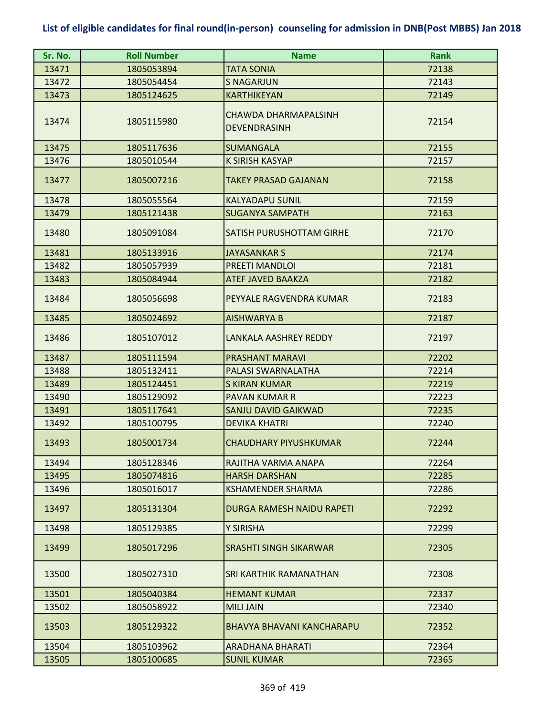| Sr. No. | <b>Roll Number</b> | <b>Name</b>                                 | <b>Rank</b> |
|---------|--------------------|---------------------------------------------|-------------|
| 13471   | 1805053894         | <b>TATA SONIA</b>                           | 72138       |
| 13472   | 1805054454         | <b>S NAGARJUN</b>                           | 72143       |
| 13473   | 1805124625         | KARTHIKEYAN                                 | 72149       |
| 13474   | 1805115980         | CHAWDA DHARMAPALSINH<br><b>DEVENDRASINH</b> | 72154       |
| 13475   | 1805117636         | <b>SUMANGALA</b>                            | 72155       |
| 13476   | 1805010544         | <b>K SIRISH KASYAP</b>                      | 72157       |
| 13477   | 1805007216         | <b>TAKEY PRASAD GAJANAN</b>                 | 72158       |
| 13478   | 1805055564         | <b>KALYADAPU SUNIL</b>                      | 72159       |
| 13479   | 1805121438         | <b>SUGANYA SAMPATH</b>                      | 72163       |
| 13480   | 1805091084         | SATISH PURUSHOTTAM GIRHE                    | 72170       |
| 13481   | 1805133916         | <b>JAYASANKAR S</b>                         | 72174       |
| 13482   | 1805057939         | PREETI MANDLOI                              | 72181       |
| 13483   | 1805084944         | <b>ATEF JAVED BAAKZA</b>                    | 72182       |
| 13484   | 1805056698         | PEYYALE RAGVENDRA KUMAR                     | 72183       |
| 13485   | 1805024692         | <b>AISHWARYA B</b>                          | 72187       |
| 13486   | 1805107012         | LANKALA AASHREY REDDY                       | 72197       |
| 13487   | 1805111594         | <b>PRASHANT MARAVI</b>                      | 72202       |
| 13488   | 1805132411         | PALASI SWARNALATHA                          | 72214       |
| 13489   | 1805124451         | <b>S KIRAN KUMAR</b>                        | 72219       |
| 13490   | 1805129092         | <b>PAVAN KUMAR R</b>                        | 72223       |
| 13491   | 1805117641         | <b>SANJU DAVID GAIKWAD</b>                  | 72235       |
| 13492   | 1805100795         | <b>DEVIKA KHATRI</b>                        | 72240       |
| 13493   | 1805001734         | <b>CHAUDHARY PIYUSHKUMAR</b>                | 72244       |
| 13494   | 1805128346         | RAJITHA VARMA ANAPA                         | 72264       |
| 13495   | 1805074816         | <b>HARSH DARSHAN</b>                        | 72285       |
| 13496   | 1805016017         | <b>KSHAMENDER SHARMA</b>                    | 72286       |
| 13497   | 1805131304         | <b>DURGA RAMESH NAIDU RAPETI</b>            | 72292       |
| 13498   | 1805129385         | Y SIRISHA                                   | 72299       |
| 13499   | 1805017296         | SRASHTI SINGH SIKARWAR                      | 72305       |
| 13500   | 1805027310         | SRI KARTHIK RAMANATHAN                      | 72308       |
| 13501   | 1805040384         | <b>HEMANT KUMAR</b>                         | 72337       |
| 13502   | 1805058922         | <b>MILI JAIN</b>                            | 72340       |
| 13503   | 1805129322         | <b>BHAVYA BHAVANI KANCHARAPU</b>            | 72352       |
| 13504   | 1805103962         | ARADHANA BHARATI                            | 72364       |
| 13505   | 1805100685         | <b>SUNIL KUMAR</b>                          | 72365       |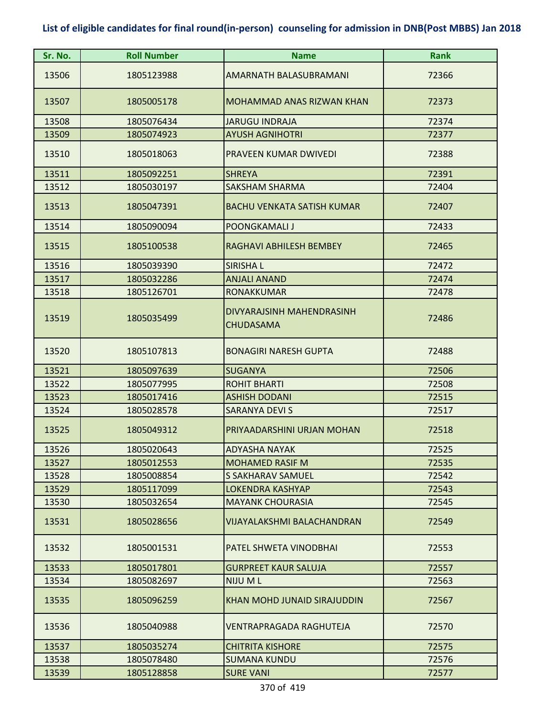| Sr. No. | <b>Roll Number</b> | <b>Name</b>                                   | <b>Rank</b> |
|---------|--------------------|-----------------------------------------------|-------------|
| 13506   | 1805123988         | AMARNATH BALASUBRAMANI                        | 72366       |
| 13507   | 1805005178         | <b>MOHAMMAD ANAS RIZWAN KHAN</b>              | 72373       |
| 13508   | 1805076434         | <b>JARUGU INDRAJA</b>                         | 72374       |
| 13509   | 1805074923         | <b>AYUSH AGNIHOTRI</b>                        | 72377       |
| 13510   | 1805018063         | PRAVEEN KUMAR DWIVEDI                         | 72388       |
| 13511   | 1805092251         | <b>SHREYA</b>                                 | 72391       |
| 13512   | 1805030197         | <b>SAKSHAM SHARMA</b>                         | 72404       |
| 13513   | 1805047391         | <b>BACHU VENKATA SATISH KUMAR</b>             | 72407       |
| 13514   | 1805090094         | <b>POONGKAMALI J</b>                          | 72433       |
| 13515   | 1805100538         | RAGHAVI ABHILESH BEMBEY                       | 72465       |
| 13516   | 1805039390         | <b>SIRISHAL</b>                               | 72472       |
| 13517   | 1805032286         | <b>ANJALI ANAND</b>                           | 72474       |
| 13518   | 1805126701         | <b>RONAKKUMAR</b>                             | 72478       |
| 13519   | 1805035499         | DIVYARAJSINH MAHENDRASINH<br><b>CHUDASAMA</b> | 72486       |
| 13520   | 1805107813         | <b>BONAGIRI NARESH GUPTA</b>                  | 72488       |
| 13521   | 1805097639         | <b>SUGANYA</b>                                | 72506       |
| 13522   | 1805077995         | <b>ROHIT BHARTI</b>                           | 72508       |
| 13523   | 1805017416         | <b>ASHISH DODANI</b>                          | 72515       |
| 13524   | 1805028578         | <b>SARANYA DEVI S</b>                         | 72517       |
| 13525   | 1805049312         | PRIYAADARSHINI URJAN MOHAN                    | 72518       |
| 13526   | 1805020643         | <b>ADYASHA NAYAK</b>                          | 72525       |
| 13527   | 1805012553         | <b>MOHAMED RASIF M</b>                        | 72535       |
| 13528   | 1805008854         | <b>S SAKHARAV SAMUEL</b>                      | 72542       |
| 13529   | 1805117099         | <b>LOKENDRA KASHYAP</b>                       | 72543       |
| 13530   | 1805032654         | <b>MAYANK CHOURASIA</b>                       | 72545       |
| 13531   | 1805028656         | <b>VIJAYALAKSHMI BALACHANDRAN</b>             | 72549       |
| 13532   | 1805001531         | PATEL SHWETA VINODBHAI                        | 72553       |
| 13533   | 1805017801         | <b>GURPREET KAUR SALUJA</b>                   | 72557       |
| 13534   | 1805082697         | NIJU ML                                       | 72563       |
| 13535   | 1805096259         | KHAN MOHD JUNAID SIRAJUDDIN                   | 72567       |
| 13536   | 1805040988         | <b>VENTRAPRAGADA RAGHUTEJA</b>                | 72570       |
| 13537   | 1805035274         | <b>CHITRITA KISHORE</b>                       | 72575       |
| 13538   | 1805078480         | <b>SUMANA KUNDU</b>                           | 72576       |
| 13539   | 1805128858         | <b>SURE VANI</b>                              | 72577       |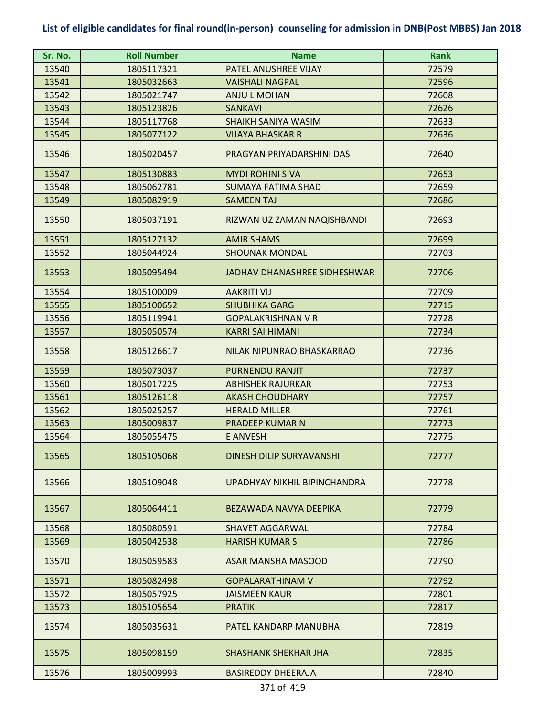| Sr. No. | <b>Roll Number</b> | <b>Name</b>                  | <b>Rank</b> |
|---------|--------------------|------------------------------|-------------|
| 13540   | 1805117321         | PATEL ANUSHREE VIJAY         | 72579       |
| 13541   | 1805032663         | <b>VAISHALI NAGPAL</b>       | 72596       |
| 13542   | 1805021747         | <b>ANJU L MOHAN</b>          | 72608       |
| 13543   | 1805123826         | <b>SANKAVI</b>               | 72626       |
| 13544   | 1805117768         | <b>SHAIKH SANIYA WASIM</b>   | 72633       |
| 13545   | 1805077122         | VIJAYA BHASKAR R             | 72636       |
| 13546   | 1805020457         | PRAGYAN PRIYADARSHINI DAS    | 72640       |
| 13547   | 1805130883         | <b>MYDI ROHINI SIVA</b>      | 72653       |
| 13548   | 1805062781         | <b>SUMAYA FATIMA SHAD</b>    | 72659       |
| 13549   | 1805082919         | <b>SAMEEN TAJ</b>            | 72686       |
| 13550   | 1805037191         | RIZWAN UZ ZAMAN NAQISHBANDI  | 72693       |
| 13551   | 1805127132         | <b>AMIR SHAMS</b>            | 72699       |
| 13552   | 1805044924         | <b>SHOUNAK MONDAL</b>        | 72703       |
| 13553   | 1805095494         | JADHAV DHANASHREE SIDHESHWAR | 72706       |
| 13554   | 1805100009         | <b>AAKRITI VIJ</b>           | 72709       |
| 13555   | 1805100652         | <b>SHUBHIKA GARG</b>         | 72715       |
| 13556   | 1805119941         | <b>GOPALAKRISHNAN V R</b>    | 72728       |
| 13557   | 1805050574         | <b>KARRI SAI HIMANI</b>      | 72734       |
| 13558   | 1805126617         | NILAK NIPUNRAO BHASKARRAO    | 72736       |
| 13559   | 1805073037         | <b>PURNENDU RANJIT</b>       | 72737       |
| 13560   | 1805017225         | <b>ABHISHEK RAJURKAR</b>     | 72753       |
| 13561   | 1805126118         | <b>AKASH CHOUDHARY</b>       | 72757       |
| 13562   | 1805025257         | <b>HERALD MILLER</b>         | 72761       |
| 13563   | 1805009837         | <b>PRADEEP KUMAR N</b>       | 72773       |
| 13564   | 1805055475         | <b>E ANVESH</b>              | 72775       |
| 13565   | 1805105068         | DINESH DILIP SURYAVANSHI     | 72777       |
| 13566   | 1805109048         | UPADHYAY NIKHIL BIPINCHANDRA | 72778       |
| 13567   | 1805064411         | BEZAWADA NAVYA DEEPIKA       | 72779       |
| 13568   | 1805080591         | <b>SHAVET AGGARWAL</b>       | 72784       |
| 13569   | 1805042538         | <b>HARISH KUMAR S</b>        | 72786       |
| 13570   | 1805059583         | ASAR MANSHA MASOOD           | 72790       |
| 13571   | 1805082498         | <b>GOPALARATHINAM V</b>      | 72792       |
| 13572   | 1805057925         | <b>JAISMEEN KAUR</b>         | 72801       |
| 13573   | 1805105654         | <b>PRATIK</b>                | 72817       |
| 13574   | 1805035631         | PATEL KANDARP MANUBHAI       | 72819       |
| 13575   | 1805098159         | <b>SHASHANK SHEKHAR JHA</b>  | 72835       |
| 13576   | 1805009993         | <b>BASIREDDY DHEERAJA</b>    | 72840       |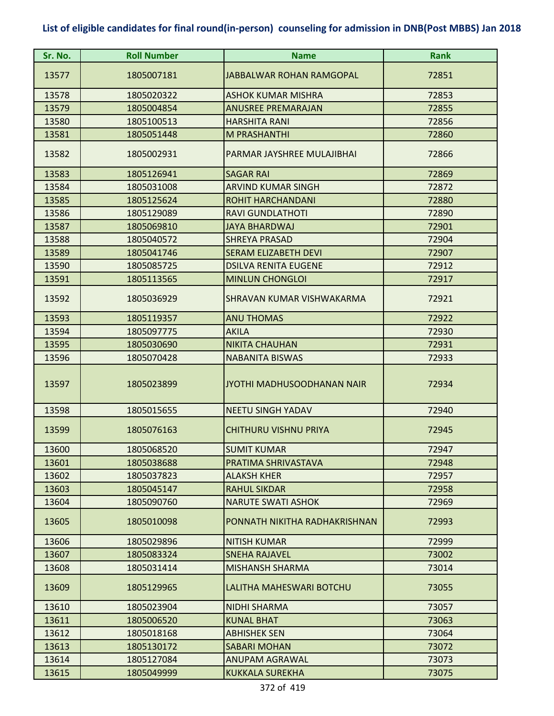| Sr. No. | <b>Roll Number</b> | <b>Name</b>                     | <b>Rank</b> |
|---------|--------------------|---------------------------------|-------------|
| 13577   | 1805007181         | <b>JABBALWAR ROHAN RAMGOPAL</b> | 72851       |
| 13578   | 1805020322         | <b>ASHOK KUMAR MISHRA</b>       | 72853       |
| 13579   | 1805004854         | <b>ANUSREE PREMARAJAN</b>       | 72855       |
| 13580   | 1805100513         | <b>HARSHITA RANI</b>            | 72856       |
| 13581   | 1805051448         | <b>M PRASHANTHI</b>             | 72860       |
| 13582   | 1805002931         | PARMAR JAYSHREE MULAJIBHAI      | 72866       |
| 13583   | 1805126941         | <b>SAGAR RAI</b>                | 72869       |
| 13584   | 1805031008         | <b>ARVIND KUMAR SINGH</b>       | 72872       |
| 13585   | 1805125624         | <b>ROHIT HARCHANDANI</b>        | 72880       |
| 13586   | 1805129089         | <b>RAVI GUNDLATHOTI</b>         | 72890       |
| 13587   | 1805069810         | <b>JAYA BHARDWAJ</b>            | 72901       |
| 13588   | 1805040572         | <b>SHREYA PRASAD</b>            | 72904       |
| 13589   | 1805041746         | <b>SERAM ELIZABETH DEVI</b>     | 72907       |
| 13590   | 1805085725         | <b>DSILVA RENITA EUGENE</b>     | 72912       |
| 13591   | 1805113565         | <b>MINLUN CHONGLOI</b>          | 72917       |
| 13592   | 1805036929         | SHRAVAN KUMAR VISHWAKARMA       | 72921       |
| 13593   | 1805119357         | <b>ANU THOMAS</b>               | 72922       |
| 13594   | 1805097775         | <b>AKILA</b>                    | 72930       |
| 13595   | 1805030690         | <b>NIKITA CHAUHAN</b>           | 72931       |
| 13596   | 1805070428         | <b>NABANITA BISWAS</b>          | 72933       |
| 13597   | 1805023899         | JYOTHI MADHUSOODHANAN NAIR      | 72934       |
| 13598   | 1805015655         | <b>NEETU SINGH YADAV</b>        | 72940       |
| 13599   | 1805076163         | <b>CHITHURU VISHNU PRIYA</b>    | 72945       |
| 13600   | 1805068520         | <b>SUMIT KUMAR</b>              | 72947       |
| 13601   | 1805038688         | PRATIMA SHRIVASTAVA             | 72948       |
| 13602   | 1805037823         | <b>ALAKSH KHER</b>              | 72957       |
| 13603   | 1805045147         | <b>RAHUL SIKDAR</b>             | 72958       |
| 13604   | 1805090760         | <b>NARUTE SWATI ASHOK</b>       | 72969       |
| 13605   | 1805010098         | PONNATH NIKITHA RADHAKRISHNAN   | 72993       |
| 13606   | 1805029896         | <b>NITISH KUMAR</b>             | 72999       |
| 13607   | 1805083324         | <b>SNEHA RAJAVEL</b>            | 73002       |
| 13608   | 1805031414         | <b>MISHANSH SHARMA</b>          | 73014       |
| 13609   | 1805129965         | LALITHA MAHESWARI BOTCHU        | 73055       |
| 13610   | 1805023904         | <b>NIDHI SHARMA</b>             | 73057       |
| 13611   | 1805006520         | <b>KUNAL BHAT</b>               | 73063       |
| 13612   | 1805018168         | <b>ABHISHEK SEN</b>             | 73064       |
| 13613   | 1805130172         | <b>SABARI MOHAN</b>             | 73072       |
| 13614   | 1805127084         | <b>ANUPAM AGRAWAL</b>           | 73073       |
| 13615   | 1805049999         | <b>KUKKALA SUREKHA</b>          | 73075       |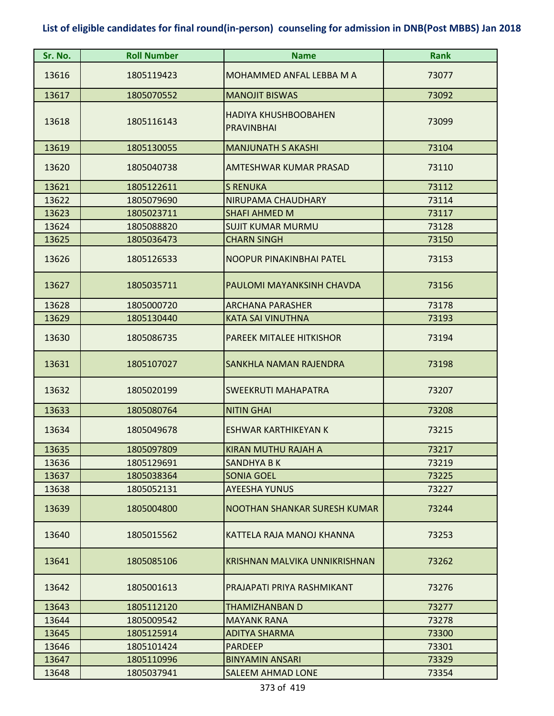| Sr. No. | <b>Roll Number</b> | <b>Name</b>                                      | <b>Rank</b> |
|---------|--------------------|--------------------------------------------------|-------------|
| 13616   | 1805119423         | MOHAMMED ANFAL LEBBA M A                         | 73077       |
| 13617   | 1805070552         | <b>MANOJIT BISWAS</b>                            | 73092       |
| 13618   | 1805116143         | <b>HADIYA KHUSHBOOBAHEN</b><br><b>PRAVINBHAI</b> | 73099       |
| 13619   | 1805130055         | <b>MANJUNATH S AKASHI</b>                        | 73104       |
| 13620   | 1805040738         | AMTESHWAR KUMAR PRASAD                           | 73110       |
| 13621   | 1805122611         | <b>S RENUKA</b>                                  | 73112       |
| 13622   | 1805079690         | NIRUPAMA CHAUDHARY                               | 73114       |
| 13623   | 1805023711         | <b>SHAFI AHMED M</b>                             | 73117       |
| 13624   | 1805088820         | <b>SUJIT KUMAR MURMU</b>                         | 73128       |
| 13625   | 1805036473         | <b>CHARN SINGH</b>                               | 73150       |
| 13626   | 1805126533         | NOOPUR PINAKINBHAI PATEL                         | 73153       |
| 13627   | 1805035711         | PAULOMI MAYANKSINH CHAVDA                        | 73156       |
| 13628   | 1805000720         | <b>ARCHANA PARASHER</b>                          | 73178       |
| 13629   | 1805130440         | <b>KATA SAI VINUTHNA</b>                         | 73193       |
| 13630   | 1805086735         | PAREEK MITALEE HITKISHOR                         | 73194       |
| 13631   | 1805107027         | SANKHLA NAMAN RAJENDRA                           | 73198       |
| 13632   | 1805020199         | <b>SWEEKRUTI MAHAPATRA</b>                       | 73207       |
| 13633   | 1805080764         | <b>NITIN GHAI</b>                                | 73208       |
| 13634   | 1805049678         | ESHWAR KARTHIKEYAN K                             | 73215       |
| 13635   | 1805097809         | KIRAN MUTHU RAJAH A                              | 73217       |
| 13636   | 1805129691         | <b>SANDHYA B K</b>                               | 73219       |
| 13637   | 1805038364         | <b>SONIA GOEL</b>                                | 73225       |
| 13638   | 1805052131         | <b>AYEESHA YUNUS</b>                             | 73227       |
| 13639   | 1805004800         | NOOTHAN SHANKAR SURESH KUMAR                     | 73244       |
| 13640   | 1805015562         | KATTELA RAJA MANOJ KHANNA                        | 73253       |
| 13641   | 1805085106         | KRISHNAN MALVIKA UNNIKRISHNAN                    | 73262       |
| 13642   | 1805001613         | PRAJAPATI PRIYA RASHMIKANT                       | 73276       |
| 13643   | 1805112120         | THAMIZHANBAN D                                   | 73277       |
| 13644   | 1805009542         | <b>MAYANK RANA</b>                               | 73278       |
| 13645   | 1805125914         | <b>ADITYA SHARMA</b>                             | 73300       |
| 13646   | 1805101424         | <b>PARDEEP</b>                                   | 73301       |
| 13647   | 1805110996         | <b>BINYAMIN ANSARI</b>                           | 73329       |
| 13648   | 1805037941         | <b>SALEEM AHMAD LONE</b>                         | 73354       |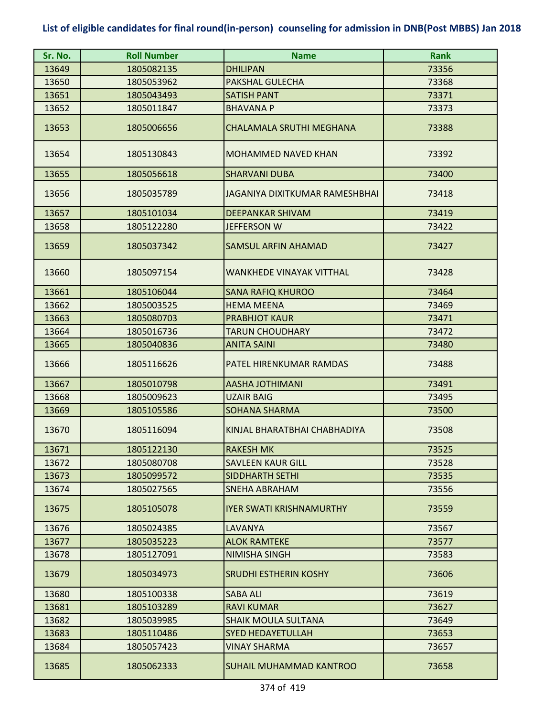| Sr. No. | <b>Roll Number</b> | <b>Name</b>                     | <b>Rank</b> |
|---------|--------------------|---------------------------------|-------------|
| 13649   | 1805082135         | <b>DHILIPAN</b>                 | 73356       |
| 13650   | 1805053962         | PAKSHAL GULECHA                 | 73368       |
| 13651   | 1805043493         | <b>SATISH PANT</b>              | 73371       |
| 13652   | 1805011847         | <b>BHAVANA P</b>                | 73373       |
| 13653   | 1805006656         | CHALAMALA SRUTHI MEGHANA        | 73388       |
| 13654   | 1805130843         | <b>MOHAMMED NAVED KHAN</b>      | 73392       |
| 13655   | 1805056618         | <b>SHARVANI DUBA</b>            | 73400       |
| 13656   | 1805035789         | JAGANIYA DIXITKUMAR RAMESHBHAI  | 73418       |
| 13657   | 1805101034         | <b>DEEPANKAR SHIVAM</b>         | 73419       |
| 13658   | 1805122280         | JEFFERSON W                     | 73422       |
| 13659   | 1805037342         | <b>SAMSUL ARFIN AHAMAD</b>      | 73427       |
| 13660   | 1805097154         | <b>WANKHEDE VINAYAK VITTHAL</b> | 73428       |
| 13661   | 1805106044         | <b>SANA RAFIQ KHUROO</b>        | 73464       |
| 13662   | 1805003525         | <b>HEMA MEENA</b>               | 73469       |
| 13663   | 1805080703         | <b>PRABHJOT KAUR</b>            | 73471       |
| 13664   | 1805016736         | <b>TARUN CHOUDHARY</b>          | 73472       |
| 13665   | 1805040836         | <b>ANITA SAINI</b>              | 73480       |
| 13666   | 1805116626         | PATEL HIRENKUMAR RAMDAS         | 73488       |
| 13667   | 1805010798         | <b>AASHA JOTHIMANI</b>          | 73491       |
| 13668   | 1805009623         | <b>UZAIR BAIG</b>               | 73495       |
| 13669   | 1805105586         | <b>SOHANA SHARMA</b>            | 73500       |
| 13670   | 1805116094         | KINJAL BHARATBHAI CHABHADIYA    | 73508       |
| 13671   | 1805122130         | <b>RAKESH MK</b>                | 73525       |
| 13672   | 1805080708         | <b>SAVLEEN KAUR GILL</b>        | 73528       |
| 13673   | 1805099572         | <b>SIDDHARTH SETHI</b>          | 73535       |
| 13674   | 1805027565         | <b>SNEHA ABRAHAM</b>            | 73556       |
| 13675   | 1805105078         | <b>IYER SWATI KRISHNAMURTHY</b> | 73559       |
| 13676   | 1805024385         | LAVANYA                         | 73567       |
| 13677   | 1805035223         | <b>ALOK RAMTEKE</b>             | 73577       |
| 13678   | 1805127091         | <b>NIMISHA SINGH</b>            | 73583       |
| 13679   | 1805034973         | <b>SRUDHI ESTHERIN KOSHY</b>    | 73606       |
| 13680   | 1805100338         | SABA ALI                        | 73619       |
| 13681   | 1805103289         | <b>RAVI KUMAR</b>               | 73627       |
| 13682   | 1805039985         | SHAIK MOULA SULTANA             | 73649       |
| 13683   | 1805110486         | <b>SYED HEDAYETULLAH</b>        | 73653       |
| 13684   | 1805057423         | <b>VINAY SHARMA</b>             | 73657       |
| 13685   | 1805062333         | <b>SUHAIL MUHAMMAD KANTROO</b>  | 73658       |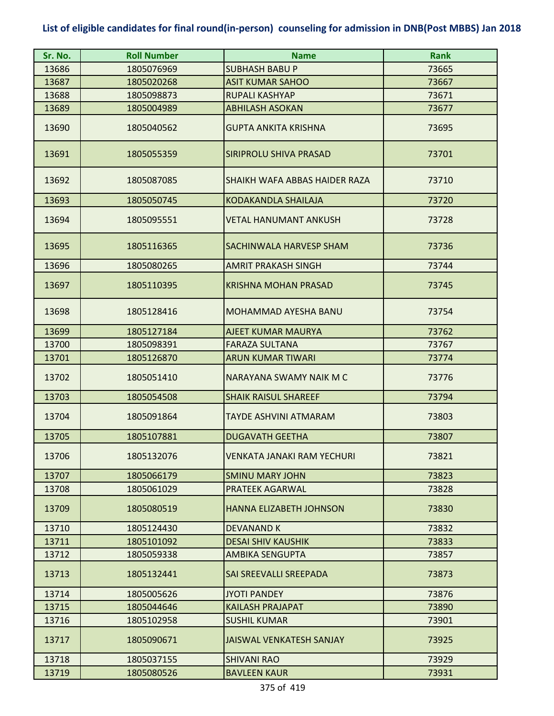| Sr. No. | <b>Roll Number</b> | <b>Name</b>                       | <b>Rank</b> |
|---------|--------------------|-----------------------------------|-------------|
| 13686   | 1805076969         | <b>SUBHASH BABU P</b>             | 73665       |
| 13687   | 1805020268         | <b>ASIT KUMAR SAHOO</b>           | 73667       |
| 13688   | 1805098873         | RUPALI KASHYAP                    | 73671       |
| 13689   | 1805004989         | <b>ABHILASH ASOKAN</b>            | 73677       |
| 13690   | 1805040562         | <b>GUPTA ANKITA KRISHNA</b>       | 73695       |
| 13691   | 1805055359         | SIRIPROLU SHIVA PRASAD            | 73701       |
| 13692   | 1805087085         | SHAIKH WAFA ABBAS HAIDER RAZA     | 73710       |
| 13693   | 1805050745         | <b>KODAKANDLA SHAILAJA</b>        | 73720       |
| 13694   | 1805095551         | <b>VETAL HANUMANT ANKUSH</b>      | 73728       |
| 13695   | 1805116365         | SACHINWALA HARVESP SHAM           | 73736       |
| 13696   | 1805080265         | <b>AMRIT PRAKASH SINGH</b>        | 73744       |
| 13697   | 1805110395         | <b>KRISHNA MOHAN PRASAD</b>       | 73745       |
| 13698   | 1805128416         | MOHAMMAD AYESHA BANU              | 73754       |
| 13699   | 1805127184         | AJEET KUMAR MAURYA                | 73762       |
| 13700   | 1805098391         | <b>FARAZA SULTANA</b>             | 73767       |
| 13701   | 1805126870         | <b>ARUN KUMAR TIWARI</b>          | 73774       |
| 13702   | 1805051410         | NARAYANA SWAMY NAIK M C           | 73776       |
| 13703   | 1805054508         | <b>SHAIK RAISUL SHAREEF</b>       | 73794       |
| 13704   | 1805091864         | TAYDE ASHVINI ATMARAM             | 73803       |
| 13705   | 1805107881         | <b>DUGAVATH GEETHA</b>            | 73807       |
| 13706   | 1805132076         | <b>VENKATA JANAKI RAM YECHURI</b> | 73821       |
| 13707   | 1805066179         | <b>SMINU MARY JOHN</b>            | 73823       |
| 13708   | 1805061029         | <b>PRATEEK AGARWAL</b>            | 73828       |
| 13709   | 1805080519         | <b>HANNA ELIZABETH JOHNSON</b>    | 73830       |
| 13710   | 1805124430         | DEVANAND K                        | 73832       |
| 13711   | 1805101092         | <b>DESAI SHIV KAUSHIK</b>         | 73833       |
| 13712   | 1805059338         | <b>AMBIKA SENGUPTA</b>            | 73857       |
| 13713   | 1805132441         | SAI SREEVALLI SREEPADA            | 73873       |
| 13714   | 1805005626         | <b>JYOTI PANDEY</b>               | 73876       |
| 13715   | 1805044646         | <b>KAILASH PRAJAPAT</b>           | 73890       |
| 13716   | 1805102958         | <b>SUSHIL KUMAR</b>               | 73901       |
| 13717   | 1805090671         | JAISWAL VENKATESH SANJAY          | 73925       |
| 13718   | 1805037155         | <b>SHIVANI RAO</b>                | 73929       |
| 13719   | 1805080526         | <b>BAVLEEN KAUR</b>               | 73931       |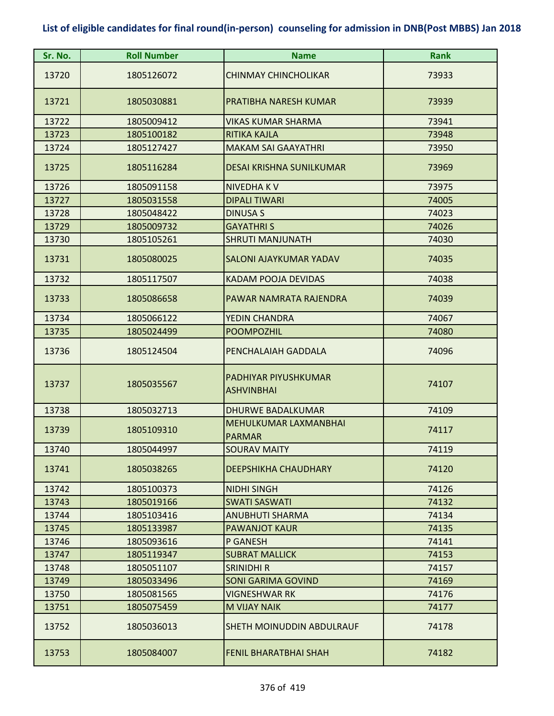| Sr. No. | <b>Roll Number</b> | <b>Name</b>                               | <b>Rank</b> |
|---------|--------------------|-------------------------------------------|-------------|
| 13720   | 1805126072         | <b>CHINMAY CHINCHOLIKAR</b>               | 73933       |
| 13721   | 1805030881         | PRATIBHA NARESH KUMAR                     | 73939       |
| 13722   | 1805009412         | VIKAS KUMAR SHARMA                        | 73941       |
| 13723   | 1805100182         | <b>RITIKA KAJLA</b>                       | 73948       |
| 13724   | 1805127427         | <b>MAKAM SAI GAAYATHRI</b>                | 73950       |
| 13725   | 1805116284         | <b>DESAI KRISHNA SUNILKUMAR</b>           | 73969       |
| 13726   | 1805091158         | <b>NIVEDHAKV</b>                          | 73975       |
| 13727   | 1805031558         | <b>DIPALI TIWARI</b>                      | 74005       |
| 13728   | 1805048422         | <b>DINUSA S</b>                           | 74023       |
| 13729   | 1805009732         | <b>GAYATHRIS</b>                          | 74026       |
| 13730   | 1805105261         | <b>SHRUTI MANJUNATH</b>                   | 74030       |
| 13731   | 1805080025         | <b>SALONI AJAYKUMAR YADAV</b>             | 74035       |
| 13732   | 1805117507         | <b>KADAM POOJA DEVIDAS</b>                | 74038       |
| 13733   | 1805086658         | PAWAR NAMRATA RAJENDRA                    | 74039       |
| 13734   | 1805066122         | YEDIN CHANDRA                             | 74067       |
| 13735   | 1805024499         | <b>POOMPOZHIL</b>                         | 74080       |
| 13736   | 1805124504         | PENCHALAIAH GADDALA                       | 74096       |
| 13737   | 1805035567         | PADHIYAR PIYUSHKUMAR<br><b>ASHVINBHAI</b> | 74107       |
| 13738   | 1805032713         | <b>DHURWE BADALKUMAR</b>                  | 74109       |
| 13739   | 1805109310         | MEHULKUMAR LAXMANBHAI<br><b>PARMAR</b>    | 74117       |
| 13740   | 1805044997         | <b>SOURAV MAITY</b>                       | 74119       |
| 13741   | 1805038265         | DEEPSHIKHA CHAUDHARY                      | 74120       |
| 13742   | 1805100373         | <b>NIDHI SINGH</b>                        | 74126       |
| 13743   | 1805019166         | <b>SWATI SASWATI</b>                      | 74132       |
| 13744   | 1805103416         | <b>ANUBHUTI SHARMA</b>                    | 74134       |
| 13745   | 1805133987         | <b>PAWANJOT KAUR</b>                      | 74135       |
| 13746   | 1805093616         | P GANESH                                  | 74141       |
| 13747   | 1805119347         | <b>SUBRAT MALLICK</b>                     | 74153       |
| 13748   | 1805051107         | <b>SRINIDHI R</b>                         | 74157       |
| 13749   | 1805033496         | <b>SONI GARIMA GOVIND</b>                 | 74169       |
| 13750   | 1805081565         | VIGNESHWAR RK                             | 74176       |
| 13751   | 1805075459         | <b>M VIJAY NAIK</b>                       | 74177       |
| 13752   | 1805036013         | <b>SHETH MOINUDDIN ABDULRAUF</b>          | 74178       |
| 13753   | 1805084007         | <b>FENIL BHARATBHAI SHAH</b>              | 74182       |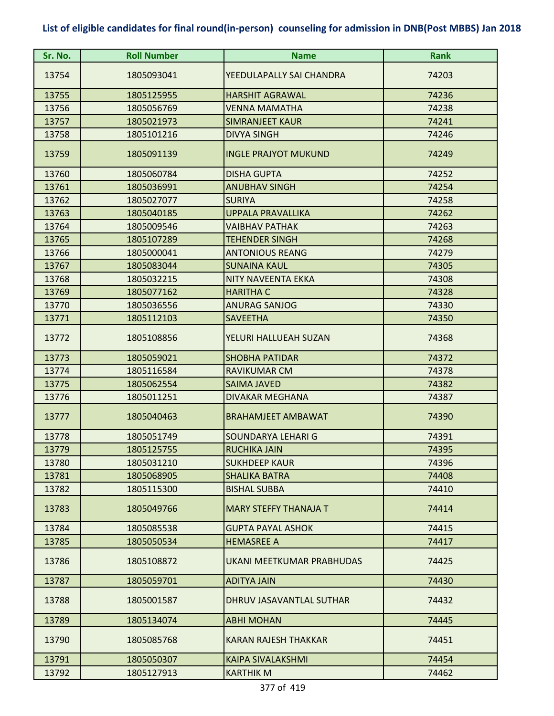| Sr. No. | <b>Roll Number</b> | <b>Name</b>                  | <b>Rank</b> |
|---------|--------------------|------------------------------|-------------|
| 13754   | 1805093041         | YEEDULAPALLY SAI CHANDRA     | 74203       |
| 13755   | 1805125955         | <b>HARSHIT AGRAWAL</b>       | 74236       |
| 13756   | 1805056769         | <b>VENNA MAMATHA</b>         | 74238       |
| 13757   | 1805021973         | <b>SIMRANJEET KAUR</b>       | 74241       |
| 13758   | 1805101216         | <b>DIVYA SINGH</b>           | 74246       |
| 13759   | 1805091139         | <b>INGLE PRAJYOT MUKUND</b>  | 74249       |
| 13760   | 1805060784         | <b>DISHA GUPTA</b>           | 74252       |
| 13761   | 1805036991         | <b>ANUBHAV SINGH</b>         | 74254       |
| 13762   | 1805027077         | <b>SURIYA</b>                | 74258       |
| 13763   | 1805040185         | <b>UPPALA PRAVALLIKA</b>     | 74262       |
| 13764   | 1805009546         | <b>VAIBHAV PATHAK</b>        | 74263       |
| 13765   | 1805107289         | <b>TEHENDER SINGH</b>        | 74268       |
| 13766   | 1805000041         | <b>ANTONIOUS REANG</b>       | 74279       |
| 13767   | 1805083044         | <b>SUNAINA KAUL</b>          | 74305       |
| 13768   | 1805032215         | <b>NITY NAVEENTA EKKA</b>    | 74308       |
| 13769   | 1805077162         | <b>HARITHA C</b>             | 74328       |
| 13770   | 1805036556         | <b>ANURAG SANJOG</b>         | 74330       |
| 13771   | 1805112103         | <b>SAVEETHA</b>              | 74350       |
| 13772   | 1805108856         | YELURI HALLUEAH SUZAN        | 74368       |
| 13773   | 1805059021         | <b>SHOBHA PATIDAR</b>        | 74372       |
| 13774   | 1805116584         | <b>RAVIKUMAR CM</b>          | 74378       |
| 13775   | 1805062554         | <b>SAIMA JAVED</b>           | 74382       |
| 13776   | 1805011251         | <b>DIVAKAR MEGHANA</b>       | 74387       |
| 13777   | 1805040463         | <b>BRAHAMJEET AMBAWAT</b>    | 74390       |
| 13778   | 1805051749         | SOUNDARYA LEHARI G           | 74391       |
| 13779   | 1805125755         | <b>RUCHIKA JAIN</b>          | 74395       |
| 13780   | 1805031210         | <b>SUKHDEEP KAUR</b>         | 74396       |
| 13781   | 1805068905         | <b>SHALIKA BATRA</b>         | 74408       |
| 13782   | 1805115300         | <b>BISHAL SUBBA</b>          | 74410       |
| 13783   | 1805049766         | <b>MARY STEFFY THANAJA T</b> | 74414       |
| 13784   | 1805085538         | <b>GUPTA PAYAL ASHOK</b>     | 74415       |
| 13785   | 1805050534         | <b>HEMASREE A</b>            | 74417       |
| 13786   | 1805108872         | UKANI MEETKUMAR PRABHUDAS    | 74425       |
| 13787   | 1805059701         | <b>ADITYA JAIN</b>           | 74430       |
| 13788   | 1805001587         | DHRUV JASAVANTLAL SUTHAR     | 74432       |
| 13789   | 1805134074         | <b>ABHI MOHAN</b>            | 74445       |
| 13790   | 1805085768         | <b>KARAN RAJESH THAKKAR</b>  | 74451       |
| 13791   | 1805050307         | <b>KAIPA SIVALAKSHMI</b>     | 74454       |
| 13792   | 1805127913         | <b>KARTHIK M</b>             | 74462       |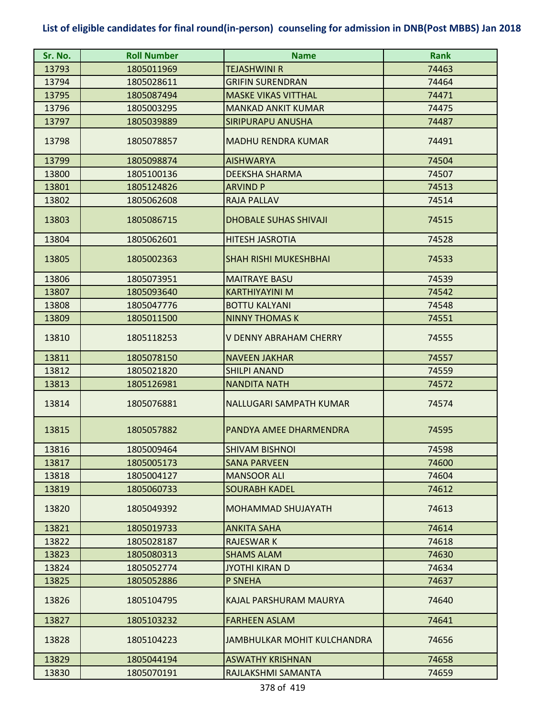| Sr. No. | <b>Roll Number</b> | <b>Name</b>                  | <b>Rank</b> |
|---------|--------------------|------------------------------|-------------|
| 13793   | 1805011969         | TEJASHWINI R                 | 74463       |
| 13794   | 1805028611         | <b>GRIFIN SURENDRAN</b>      | 74464       |
| 13795   | 1805087494         | <b>MASKE VIKAS VITTHAL</b>   | 74471       |
| 13796   | 1805003295         | <b>MANKAD ANKIT KUMAR</b>    | 74475       |
| 13797   | 1805039889         | <b>SIRIPURAPU ANUSHA</b>     | 74487       |
| 13798   | 1805078857         | <b>MADHU RENDRA KUMAR</b>    | 74491       |
| 13799   | 1805098874         | <b>AISHWARYA</b>             | 74504       |
| 13800   | 1805100136         | <b>DEEKSHA SHARMA</b>        | 74507       |
| 13801   | 1805124826         | <b>ARVIND P</b>              | 74513       |
| 13802   | 1805062608         | <b>RAJA PALLAV</b>           | 74514       |
| 13803   | 1805086715         | <b>DHOBALE SUHAS SHIVAJI</b> | 74515       |
| 13804   | 1805062601         | <b>HITESH JASROTIA</b>       | 74528       |
| 13805   | 1805002363         | <b>SHAH RISHI MUKESHBHAI</b> | 74533       |
| 13806   | 1805073951         | <b>MAITRAYE BASU</b>         | 74539       |
| 13807   | 1805093640         | <b>KARTHIYAYINI M</b>        | 74542       |
| 13808   | 1805047776         | <b>BOTTU KALYANI</b>         | 74548       |
| 13809   | 1805011500         | <b>NINNY THOMAS K</b>        | 74551       |
| 13810   | 1805118253         | V DENNY ABRAHAM CHERRY       | 74555       |
| 13811   | 1805078150         | <b>NAVEEN JAKHAR</b>         | 74557       |
| 13812   | 1805021820         | <b>SHILPI ANAND</b>          | 74559       |
| 13813   | 1805126981         | <b>NANDITA NATH</b>          | 74572       |
| 13814   | 1805076881         | NALLUGARI SAMPATH KUMAR      | 74574       |
| 13815   | 1805057882         | PANDYA AMEE DHARMENDRA       | 74595       |
| 13816   | 1805009464         | ISHIVAM BISHNOI              | 74598       |
| 13817   | 1805005173         | <b>SANA PARVEEN</b>          | 74600       |
| 13818   | 1805004127         | <b>MANSOOR ALI</b>           | 74604       |
| 13819   | 1805060733         | <b>SOURABH KADEL</b>         | 74612       |
| 13820   | 1805049392         | <b>MOHAMMAD SHUJAYATH</b>    | 74613       |
| 13821   | 1805019733         | <b>ANKITA SAHA</b>           | 74614       |
| 13822   | 1805028187         | <b>RAJESWARK</b>             | 74618       |
| 13823   | 1805080313         | <b>SHAMS ALAM</b>            | 74630       |
| 13824   | 1805052774         | JYOTHI KIRAN D               | 74634       |
| 13825   | 1805052886         | P SNEHA                      | 74637       |
| 13826   | 1805104795         | KAJAL PARSHURAM MAURYA       | 74640       |
| 13827   | 1805103232         | <b>FARHEEN ASLAM</b>         | 74641       |
| 13828   | 1805104223         | JAMBHULKAR MOHIT KULCHANDRA  | 74656       |
| 13829   | 1805044194         | <b>ASWATHY KRISHNAN</b>      | 74658       |
| 13830   | 1805070191         | RAJLAKSHMI SAMANTA           | 74659       |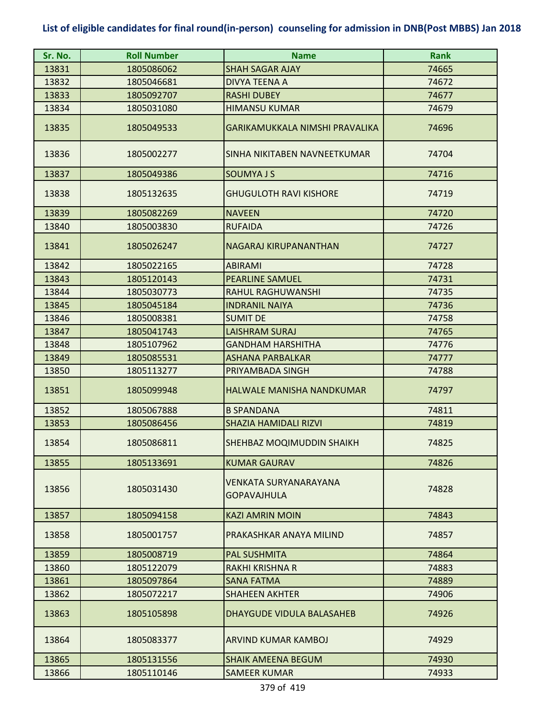| Sr. No. | <b>Roll Number</b> | <b>Name</b>                                 | <b>Rank</b> |
|---------|--------------------|---------------------------------------------|-------------|
| 13831   | 1805086062         | <b>SHAH SAGAR AJAY</b>                      | 74665       |
| 13832   | 1805046681         | <b>DIVYA TEENA A</b>                        | 74672       |
| 13833   | 1805092707         | <b>RASHI DUBEY</b>                          | 74677       |
| 13834   | 1805031080         | <b>HIMANSU KUMAR</b>                        | 74679       |
| 13835   | 1805049533         | GARIKAMUKKALA NIMSHI PRAVALIKA              | 74696       |
| 13836   | 1805002277         | SINHA NIKITABEN NAVNEETKUMAR                | 74704       |
| 13837   | 1805049386         | <b>SOUMYAJS</b>                             | 74716       |
| 13838   | 1805132635         | <b>GHUGULOTH RAVI KISHORE</b>               | 74719       |
| 13839   | 1805082269         | <b>NAVEEN</b>                               | 74720       |
| 13840   | 1805003830         | <b>RUFAIDA</b>                              | 74726       |
| 13841   | 1805026247         | <b>NAGARAJ KIRUPANANTHAN</b>                | 74727       |
| 13842   | 1805022165         | <b>ABIRAMI</b>                              | 74728       |
| 13843   | 1805120143         | <b>PEARLINE SAMUEL</b>                      | 74731       |
| 13844   | 1805030773         | RAHUL RAGHUWANSHI                           | 74735       |
| 13845   | 1805045184         | <b>INDRANIL NAIYA</b>                       | 74736       |
| 13846   | 1805008381         | <b>SUMIT DE</b>                             | 74758       |
| 13847   | 1805041743         | <b>LAISHRAM SURAJ</b>                       | 74765       |
| 13848   | 1805107962         | <b>GANDHAM HARSHITHA</b>                    | 74776       |
| 13849   | 1805085531         | <b>ASHANA PARBALKAR</b>                     | 74777       |
| 13850   | 1805113277         | PRIYAMBADA SINGH                            | 74788       |
| 13851   | 1805099948         | <b>HALWALE MANISHA NANDKUMAR</b>            | 74797       |
| 13852   | 1805067888         | <b>B SPANDANA</b>                           | 74811       |
| 13853   | 1805086456         | <b>SHAZIA HAMIDALI RIZVI</b>                | 74819       |
| 13854   | 1805086811         | SHEHBAZ MOQIMUDDIN SHAIKH                   | 74825       |
| 13855   | 1805133691         | <b>KUMAR GAURAV</b>                         | 74826       |
| 13856   | 1805031430         | VENKATA SURYANARAYANA<br><b>GOPAVAJHULA</b> | 74828       |
| 13857   | 1805094158         | <b>KAZI AMRIN MOIN</b>                      | 74843       |
| 13858   | 1805001757         | PRAKASHKAR ANAYA MILIND                     | 74857       |
| 13859   | 1805008719         | <b>PAL SUSHMITA</b>                         | 74864       |
| 13860   | 1805122079         | <b>RAKHI KRISHNA R</b>                      | 74883       |
| 13861   | 1805097864         | <b>SANA FATMA</b>                           | 74889       |
| 13862   | 1805072217         | <b>SHAHEEN AKHTER</b>                       | 74906       |
| 13863   | 1805105898         | <b>DHAYGUDE VIDULA BALASAHEB</b>            | 74926       |
| 13864   | 1805083377         | ARVIND KUMAR KAMBOJ                         | 74929       |
| 13865   | 1805131556         | <b>SHAIK AMEENA BEGUM</b>                   | 74930       |
| 13866   | 1805110146         | <b>SAMEER KUMAR</b>                         | 74933       |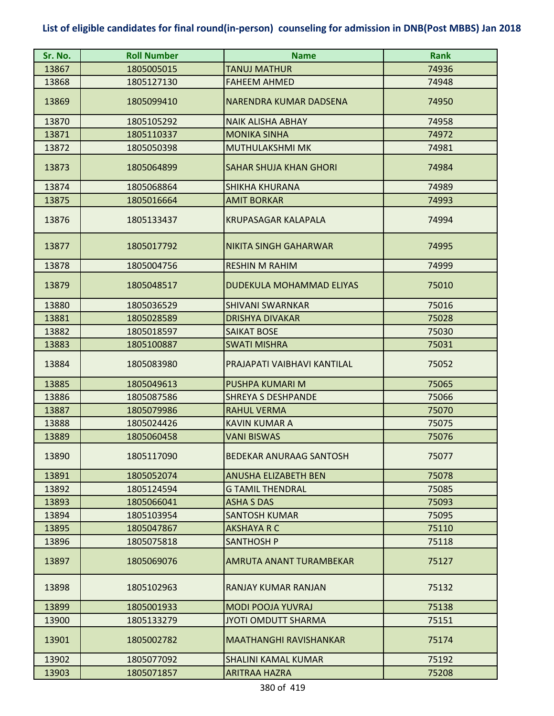| Sr. No. | <b>Roll Number</b> | <b>Name</b>                     | <b>Rank</b> |
|---------|--------------------|---------------------------------|-------------|
| 13867   | 1805005015         | TANUJ MATHUR                    | 74936       |
| 13868   | 1805127130         | <b>FAHEEM AHMED</b>             | 74948       |
| 13869   | 1805099410         | <b>NARENDRA KUMAR DADSENA</b>   | 74950       |
| 13870   | 1805105292         | <b>NAIK ALISHA ABHAY</b>        | 74958       |
| 13871   | 1805110337         | <b>MONIKA SINHA</b>             | 74972       |
| 13872   | 1805050398         | <b>MUTHULAKSHMI MK</b>          | 74981       |
| 13873   | 1805064899         | <b>SAHAR SHUJA KHAN GHORI</b>   | 74984       |
| 13874   | 1805068864         | <b>SHIKHA KHURANA</b>           | 74989       |
| 13875   | 1805016664         | <b>AMIT BORKAR</b>              | 74993       |
| 13876   | 1805133437         | <b>KRUPASAGAR KALAPALA</b>      | 74994       |
| 13877   | 1805017792         | <b>NIKITA SINGH GAHARWAR</b>    | 74995       |
| 13878   | 1805004756         | <b>RESHIN M RAHIM</b>           | 74999       |
| 13879   | 1805048517         | <b>DUDEKULA MOHAMMAD ELIYAS</b> | 75010       |
| 13880   | 1805036529         | <b>SHIVANI SWARNKAR</b>         | 75016       |
| 13881   | 1805028589         | <b>DRISHYA DIVAKAR</b>          | 75028       |
| 13882   | 1805018597         | <b>SAIKAT BOSE</b>              | 75030       |
| 13883   | 1805100887         | <b>SWATI MISHRA</b>             | 75031       |
| 13884   | 1805083980         | PRAJAPATI VAIBHAVI KANTILAL     | 75052       |
| 13885   | 1805049613         | PUSHPA KUMARI M                 | 75065       |
| 13886   | 1805087586         | <b>SHREYA S DESHPANDE</b>       | 75066       |
| 13887   | 1805079986         | <b>RAHUL VERMA</b>              | 75070       |
| 13888   | 1805024426         | <b>KAVIN KUMAR A</b>            | 75075       |
| 13889   | 1805060458         | <b>VANI BISWAS</b>              | 75076       |
| 13890   | 1805117090         | <b>BEDEKAR ANURAAG SANTOSH</b>  | 75077       |
| 13891   | 1805052074         | <b>ANUSHA ELIZABETH BEN</b>     | 75078       |
| 13892   | 1805124594         | <b>G TAMIL THENDRAL</b>         | 75085       |
| 13893   | 1805066041         | <b>ASHA S DAS</b>               | 75093       |
| 13894   | 1805103954         | <b>SANTOSH KUMAR</b>            | 75095       |
| 13895   | 1805047867         | <b>AKSHAYA R C</b>              | 75110       |
| 13896   | 1805075818         | <b>SANTHOSH P</b>               | 75118       |
| 13897   | 1805069076         | AMRUTA ANANT TURAMBEKAR         | 75127       |
| 13898   | 1805102963         | RANJAY KUMAR RANJAN             | 75132       |
| 13899   | 1805001933         | <b>MODI POOJA YUVRAJ</b>        | 75138       |
| 13900   | 1805133279         | JYOTI OMDUTT SHARMA             | 75151       |
| 13901   | 1805002782         | <b>MAATHANGHI RAVISHANKAR</b>   | 75174       |
| 13902   | 1805077092         | <b>SHALINI KAMAL KUMAR</b>      | 75192       |
| 13903   | 1805071857         | <b>ARITRAA HAZRA</b>            | 75208       |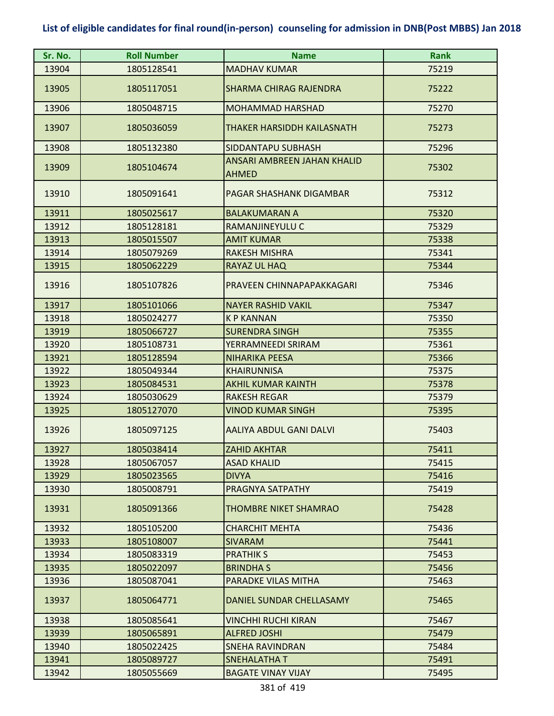| Sr. No. | <b>Roll Number</b> | <b>Name</b>                                        | <b>Rank</b> |
|---------|--------------------|----------------------------------------------------|-------------|
| 13904   | 1805128541         | <b>MADHAV KUMAR</b>                                | 75219       |
| 13905   | 1805117051         | <b>SHARMA CHIRAG RAJENDRA</b>                      | 75222       |
| 13906   | 1805048715         | <b>MOHAMMAD HARSHAD</b>                            | 75270       |
| 13907   | 1805036059         | THAKER HARSIDDH KAILASNATH                         | 75273       |
| 13908   | 1805132380         | SIDDANTAPU SUBHASH                                 | 75296       |
| 13909   | 1805104674         | <b>ANSARI AMBREEN JAHAN KHALID</b><br><b>AHMED</b> | 75302       |
| 13910   | 1805091641         | PAGAR SHASHANK DIGAMBAR                            | 75312       |
| 13911   | 1805025617         | <b>BALAKUMARAN A</b>                               | 75320       |
| 13912   | 1805128181         | RAMANJINEYULU C                                    | 75329       |
| 13913   | 1805015507         | <b>AMIT KUMAR</b>                                  | 75338       |
| 13914   | 1805079269         | <b>RAKESH MISHRA</b>                               | 75341       |
| 13915   | 1805062229         | <b>RAYAZ UL HAQ</b>                                | 75344       |
| 13916   | 1805107826         | PRAVEEN CHINNAPAPAKKAGARI                          | 75346       |
| 13917   | 1805101066         | <b>NAYER RASHID VAKIL</b>                          | 75347       |
| 13918   | 1805024277         | <b>KP KANNAN</b>                                   | 75350       |
| 13919   | 1805066727         | <b>SURENDRA SINGH</b>                              | 75355       |
| 13920   | 1805108731         | YERRAMNEEDI SRIRAM                                 | 75361       |
| 13921   | 1805128594         | <b>NIHARIKA PEESA</b>                              | 75366       |
| 13922   | 1805049344         | <b>KHAIRUNNISA</b>                                 | 75375       |
| 13923   | 1805084531         | <b>AKHIL KUMAR KAINTH</b>                          | 75378       |
| 13924   | 1805030629         | <b>RAKESH REGAR</b>                                | 75379       |
| 13925   | 1805127070         | <b>VINOD KUMAR SINGH</b>                           | 75395       |
| 13926   | 1805097125         | AALIYA ABDUL GANI DALVI                            | 75403       |
| 13927   | 1805038414         | <b>ZAHID AKHTAR</b>                                | 75411       |
| 13928   | 1805067057         | <b>ASAD KHALID</b>                                 | 75415       |
| 13929   | 1805023565         | <b>DIVYA</b>                                       | 75416       |
| 13930   | 1805008791         | PRAGNYA SATPATHY                                   | 75419       |
| 13931   | 1805091366         | <b>THOMBRE NIKET SHAMRAO</b>                       | 75428       |
| 13932   | 1805105200         | <b>CHARCHIT MEHTA</b>                              | 75436       |
| 13933   | 1805108007         | <b>SIVARAM</b>                                     | 75441       |
| 13934   | 1805083319         | <b>PRATHIK S</b>                                   | 75453       |
| 13935   | 1805022097         | <b>BRINDHAS</b>                                    | 75456       |
| 13936   | 1805087041         | PARADKE VILAS MITHA                                | 75463       |
| 13937   | 1805064771         | DANIEL SUNDAR CHELLASAMY                           | 75465       |
| 13938   | 1805085641         | VINCHHI RUCHI KIRAN                                | 75467       |
| 13939   | 1805065891         | <b>ALFRED JOSHI</b>                                | 75479       |
| 13940   | 1805022425         | <b>SNEHA RAVINDRAN</b>                             | 75484       |
| 13941   | 1805089727         | <b>SNEHALATHAT</b>                                 | 75491       |
| 13942   | 1805055669         | <b>BAGATE VINAY VIJAY</b>                          | 75495       |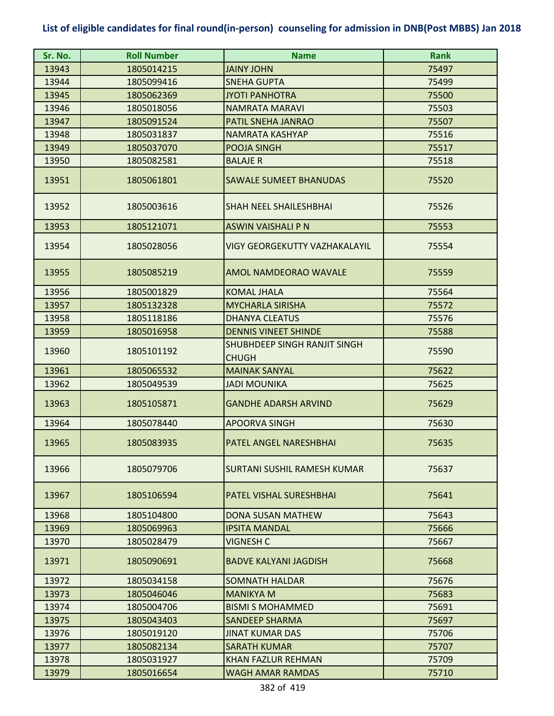| Sr. No. | <b>Roll Number</b> | <b>Name</b>                                  | <b>Rank</b> |
|---------|--------------------|----------------------------------------------|-------------|
| 13943   | 1805014215         | <b>JAINY JOHN</b>                            | 75497       |
| 13944   | 1805099416         | <b>SNEHA GUPTA</b>                           | 75499       |
| 13945   | 1805062369         | <b>JYOTI PANHOTRA</b>                        | 75500       |
| 13946   | 1805018056         | <b>NAMRATA MARAVI</b>                        | 75503       |
| 13947   | 1805091524         | PATIL SNEHA JANRAO                           | 75507       |
| 13948   | 1805031837         | NAMRATA KASHYAP                              | 75516       |
| 13949   | 1805037070         | POOJA SINGH                                  | 75517       |
| 13950   | 1805082581         | <b>BALAJE R</b>                              | 75518       |
| 13951   | 1805061801         | <b>SAWALE SUMEET BHANUDAS</b>                | 75520       |
| 13952   | 1805003616         | <b>SHAH NEEL SHAILESHBHAI</b>                | 75526       |
| 13953   | 1805121071         | <b>ASWIN VAISHALI P N</b>                    | 75553       |
| 13954   | 1805028056         | <b>VIGY GEORGEKUTTY VAZHAKALAYIL</b>         | 75554       |
| 13955   | 1805085219         | AMOL NAMDEORAO WAVALE                        | 75559       |
| 13956   | 1805001829         | <b>KOMAL JHALA</b>                           | 75564       |
| 13957   | 1805132328         | <b>MYCHARLA SIRISHA</b>                      | 75572       |
| 13958   | 1805118186         | <b>DHANYA CLEATUS</b>                        | 75576       |
| 13959   | 1805016958         | <b>DENNIS VINEET SHINDE</b>                  | 75588       |
| 13960   | 1805101192         | SHUBHDEEP SINGH RANJIT SINGH<br><b>CHUGH</b> | 75590       |
| 13961   | 1805065532         | <b>MAINAK SANYAL</b>                         | 75622       |
| 13962   | 1805049539         | <b>JADI MOUNIKA</b>                          | 75625       |
| 13963   | 1805105871         | <b>GANDHE ADARSH ARVIND</b>                  | 75629       |
| 13964   | 1805078440         | <b>APOORVA SINGH</b>                         | 75630       |
| 13965   | 1805083935         | <b>PATEL ANGEL NARESHBHAI</b>                | 75635       |
| 13966   | 1805079706         | SURTANI SUSHIL RAMESH KUMAR                  | 75637       |
| 13967   | 1805106594         | PATEL VISHAL SURESHBHAI                      | 75641       |
| 13968   | 1805104800         | <b>DONA SUSAN MATHEW</b>                     | 75643       |
| 13969   | 1805069963         | <b>IPSITA MANDAL</b>                         | 75666       |
| 13970   | 1805028479         | <b>VIGNESH C</b>                             | 75667       |
| 13971   | 1805090691         | <b>BADVE KALYANI JAGDISH</b>                 | 75668       |
| 13972   | 1805034158         | <b>SOMNATH HALDAR</b>                        | 75676       |
| 13973   | 1805046046         | <b>MANIKYA M</b>                             | 75683       |
| 13974   | 1805004706         | <b>BISMI S MOHAMMED</b>                      | 75691       |
| 13975   | 1805043403         | <b>SANDEEP SHARMA</b>                        | 75697       |
| 13976   | 1805019120         | <b>JINAT KUMAR DAS</b>                       | 75706       |
| 13977   | 1805082134         | <b>SARATH KUMAR</b>                          | 75707       |
| 13978   | 1805031927         | KHAN FAZLUR REHMAN                           | 75709       |
| 13979   | 1805016654         | <b>WAGH AMAR RAMDAS</b>                      | 75710       |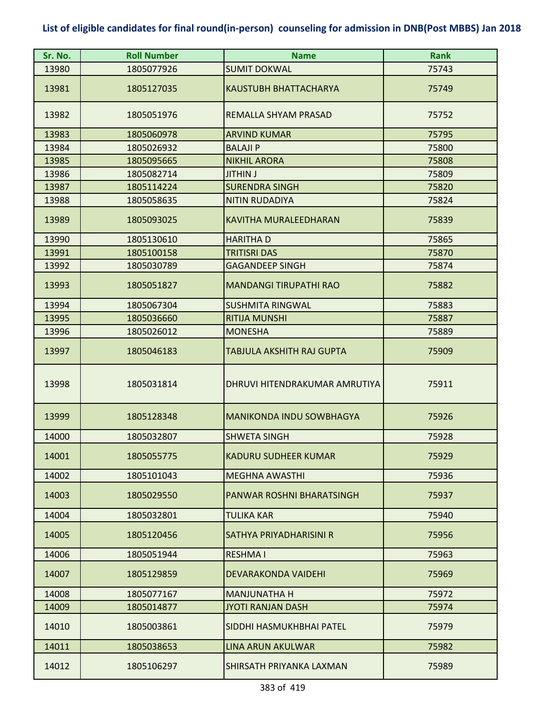| Sr. No. | <b>Roll Number</b> | <b>Name</b>                     | <b>Rank</b> |
|---------|--------------------|---------------------------------|-------------|
| 13980   | 1805077926         | <b>SUMIT DOKWAL</b>             | 75743       |
| 13981   | 1805127035         | <b>KAUSTUBH BHATTACHARYA</b>    | 75749       |
| 13982   | 1805051976         | REMALLA SHYAM PRASAD            | 75752       |
| 13983   | 1805060978         | <b>ARVIND KUMAR</b>             | 75795       |
| 13984   | 1805026932         | <b>BALAJI P</b>                 | 75800       |
| 13985   | 1805095665         | <b>NIKHIL ARORA</b>             | 75808       |
| 13986   | 1805082714         | <b>JITHIN J</b>                 | 75809       |
| 13987   | 1805114224         | <b>SURENDRA SINGH</b>           | 75820       |
| 13988   | 1805058635         | <b>NITIN RUDADIYA</b>           | 75824       |
| 13989   | 1805093025         | <b>KAVITHA MURALEEDHARAN</b>    | 75839       |
| 13990   | 1805130610         | <b>HARITHAD</b>                 | 75865       |
| 13991   | 1805100158         | <b>TRITISRI DAS</b>             | 75870       |
| 13992   | 1805030789         | <b>GAGANDEEP SINGH</b>          | 75874       |
| 13993   | 1805051827         | <b>MANDANGI TIRUPATHI RAO</b>   | 75882       |
| 13994   | 1805067304         | <b>SUSHMITA RINGWAL</b>         | 75883       |
| 13995   | 1805036660         | <b>RITIJA MUNSHI</b>            | 75887       |
| 13996   | 1805026012         | <b>MONESHA</b>                  | 75889       |
| 13997   | 1805046183         | TABJULA AKSHITH RAJ GUPTA       | 75909       |
| 13998   | 1805031814         | DHRUVI HITENDRAKUMAR AMRUTIYA   | 75911       |
| 13999   | 1805128348         | <b>MANIKONDA INDU SOWBHAGYA</b> | 75926       |
| 14000   | 1805032807         | <b>SHWETA SINGH</b>             | 75928       |
| 14001   | 1805055775         | <b>KADURU SUDHEER KUMAR</b>     | 75929       |
| 14002   | 1805101043         | <b>MEGHNA AWASTHI</b>           | 75936       |
| 14003   | 1805029550         | PANWAR ROSHNI BHARATSINGH       | 75937       |
| 14004   | 1805032801         | <b>TULIKA KAR</b>               | 75940       |
| 14005   | 1805120456         | SATHYA PRIYADHARISINI R         | 75956       |
| 14006   | 1805051944         | <b>RESHMA I</b>                 | 75963       |
| 14007   | 1805129859         | <b>DEVARAKONDA VAIDEHI</b>      | 75969       |
| 14008   | 1805077167         | <b>MANJUNATHA H</b>             | 75972       |
| 14009   | 1805014877         | <b>JYOTI RANJAN DASH</b>        | 75974       |
| 14010   | 1805003861         | SIDDHI HASMUKHBHAI PATEL        | 75979       |
| 14011   | 1805038653         | <b>LINA ARUN AKULWAR</b>        | 75982       |
| 14012   | 1805106297         | SHIRSATH PRIYANKA LAXMAN        | 75989       |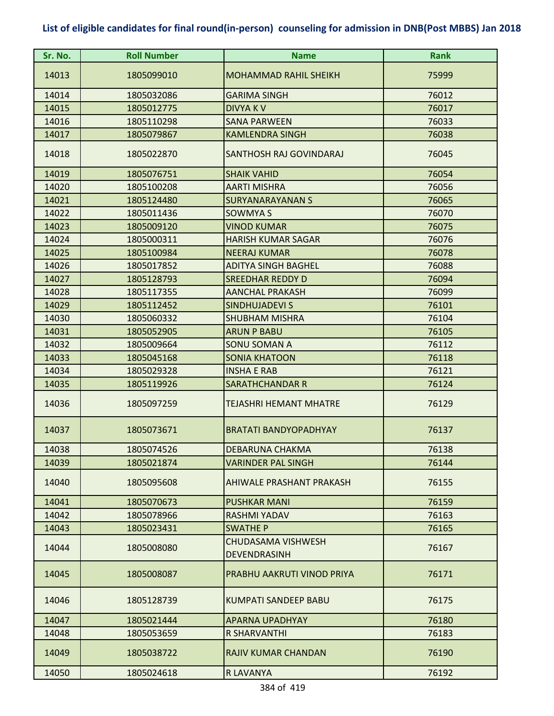| Sr. No. | <b>Roll Number</b> | <b>Name</b>                                      | <b>Rank</b> |
|---------|--------------------|--------------------------------------------------|-------------|
| 14013   | 1805099010         | <b>MOHAMMAD RAHIL SHEIKH</b>                     | 75999       |
| 14014   | 1805032086         | <b>GARIMA SINGH</b>                              | 76012       |
| 14015   | 1805012775         | <b>DIVYAKV</b>                                   | 76017       |
| 14016   | 1805110298         | <b>SANA PARWEEN</b>                              | 76033       |
| 14017   | 1805079867         | <b>KAMLENDRA SINGH</b>                           | 76038       |
| 14018   | 1805022870         | SANTHOSH RAJ GOVINDARAJ                          | 76045       |
| 14019   | 1805076751         | <b>SHAIK VAHID</b>                               | 76054       |
| 14020   | 1805100208         | <b>AARTI MISHRA</b>                              | 76056       |
| 14021   | 1805124480         | <b>SURYANARAYANAN S</b>                          | 76065       |
| 14022   | 1805011436         | <b>SOWMYA S</b>                                  | 76070       |
| 14023   | 1805009120         | <b>VINOD KUMAR</b>                               | 76075       |
| 14024   | 1805000311         | <b>HARISH KUMAR SAGAR</b>                        | 76076       |
| 14025   | 1805100984         | <b>NEERAJ KUMAR</b>                              | 76078       |
| 14026   | 1805017852         | <b>ADITYA SINGH BAGHEL</b>                       | 76088       |
| 14027   | 1805128793         | <b>SREEDHAR REDDY D</b>                          | 76094       |
| 14028   | 1805117355         | <b>AANCHAL PRAKASH</b>                           | 76099       |
| 14029   | 1805112452         | <b>SINDHUJADEVI S</b>                            | 76101       |
| 14030   | 1805060332         | <b>SHUBHAM MISHRA</b>                            | 76104       |
| 14031   | 1805052905         | <b>ARUN P BABU</b>                               | 76105       |
| 14032   | 1805009664         | <b>SONU SOMAN A</b>                              | 76112       |
| 14033   | 1805045168         | <b>SONIA KHATOON</b>                             | 76118       |
| 14034   | 1805029328         | <b>INSHA E RAB</b>                               | 76121       |
| 14035   | 1805119926         | <b>SARATHCHANDAR R</b>                           | 76124       |
| 14036   | 1805097259         | <b>TEJASHRI HEMANT MHATRE</b>                    | 76129       |
| 14037   | 1805073671         | <b>BRATATI BANDYOPADHYAY</b>                     | 76137       |
| 14038   | 1805074526         | <b>DEBARUNA CHAKMA</b>                           | 76138       |
| 14039   | 1805021874         | <b>VARINDER PAL SINGH</b>                        | 76144       |
| 14040   | 1805095608         | AHIWALE PRASHANT PRAKASH                         | 76155       |
| 14041   | 1805070673         | <b>PUSHKAR MANI</b>                              | 76159       |
| 14042   | 1805078966         | <b>RASHMI YADAV</b>                              | 76163       |
| 14043   | 1805023431         | <b>SWATHE P</b>                                  | 76165       |
| 14044   | 1805008080         | <b>CHUDASAMA VISHWESH</b><br><b>DEVENDRASINH</b> | 76167       |
| 14045   | 1805008087         | PRABHU AAKRUTI VINOD PRIYA                       | 76171       |
| 14046   | 1805128739         | KUMPATI SANDEEP BABU                             | 76175       |
| 14047   | 1805021444         | <b>APARNA UPADHYAY</b>                           | 76180       |
| 14048   | 1805053659         | <b>R SHARVANTHI</b>                              | 76183       |
| 14049   | 1805038722         | <b>RAJIV KUMAR CHANDAN</b>                       | 76190       |
| 14050   | 1805024618         | R LAVANYA                                        | 76192       |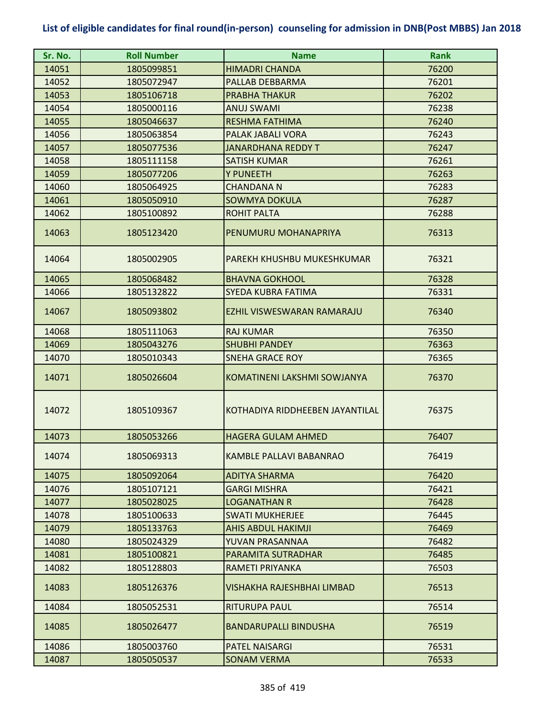| Sr. No. | <b>Roll Number</b> | <b>Name</b>                     | <b>Rank</b> |
|---------|--------------------|---------------------------------|-------------|
| 14051   | 1805099851         | <b>HIMADRI CHANDA</b>           | 76200       |
| 14052   | 1805072947         | PALLAB DEBBARMA                 | 76201       |
| 14053   | 1805106718         | <b>PRABHA THAKUR</b>            | 76202       |
| 14054   | 1805000116         | <b>ANUJ SWAMI</b>               | 76238       |
| 14055   | 1805046637         | <b>RESHMA FATHIMA</b>           | 76240       |
| 14056   | 1805063854         | PALAK JABALI VORA               | 76243       |
| 14057   | 1805077536         | <b>JANARDHANA REDDY T</b>       | 76247       |
| 14058   | 1805111158         | <b>SATISH KUMAR</b>             | 76261       |
| 14059   | 1805077206         | Y PUNEETH                       | 76263       |
| 14060   | 1805064925         | <b>CHANDANA N</b>               | 76283       |
| 14061   | 1805050910         | <b>SOWMYA DOKULA</b>            | 76287       |
| 14062   | 1805100892         | <b>ROHIT PALTA</b>              | 76288       |
| 14063   | 1805123420         | PENUMURU MOHANAPRIYA            | 76313       |
| 14064   | 1805002905         | PAREKH KHUSHBU MUKESHKUMAR      | 76321       |
| 14065   | 1805068482         | <b>BHAVNA GOKHOOL</b>           | 76328       |
| 14066   | 1805132822         | SYEDA KUBRA FATIMA              | 76331       |
| 14067   | 1805093802         | EZHIL VISWESWARAN RAMARAJU      | 76340       |
| 14068   | 1805111063         | <b>RAJ KUMAR</b>                | 76350       |
| 14069   | 1805043276         | <b>SHUBHI PANDEY</b>            | 76363       |
| 14070   | 1805010343         | <b>SNEHA GRACE ROY</b>          | 76365       |
| 14071   | 1805026604         | KOMATINENI LAKSHMI SOWJANYA     | 76370       |
| 14072   | 1805109367         | KOTHADIYA RIDDHEEBEN JAYANTILAL | 76375       |
| 14073   | 1805053266         | <b>HAGERA GULAM AHMED</b>       | 76407       |
| 14074   | 1805069313         | KAMBLE PALLAVI BABANRAO         | 76419       |
| 14075   | 1805092064         | <b>ADITYA SHARMA</b>            | 76420       |
| 14076   | 1805107121         | <b>GARGI MISHRA</b>             | 76421       |
| 14077   | 1805028025         | <b>LOGANATHAN R</b>             | 76428       |
| 14078   | 1805100633         | <b>SWATI MUKHERJEE</b>          | 76445       |
| 14079   | 1805133763         | <b>AHIS ABDUL HAKIMJI</b>       | 76469       |
| 14080   | 1805024329         | YUVAN PRASANNAA                 | 76482       |
| 14081   | 1805100821         | PARAMITA SUTRADHAR              | 76485       |
| 14082   | 1805128803         | RAMETI PRIYANKA                 | 76503       |
| 14083   | 1805126376         | VISHAKHA RAJESHBHAI LIMBAD      | 76513       |
| 14084   | 1805052531         | <b>RITURUPA PAUL</b>            | 76514       |
| 14085   | 1805026477         | <b>BANDARUPALLI BINDUSHA</b>    | 76519       |
| 14086   | 1805003760         | <b>PATEL NAISARGI</b>           | 76531       |
| 14087   | 1805050537         | <b>SONAM VERMA</b>              | 76533       |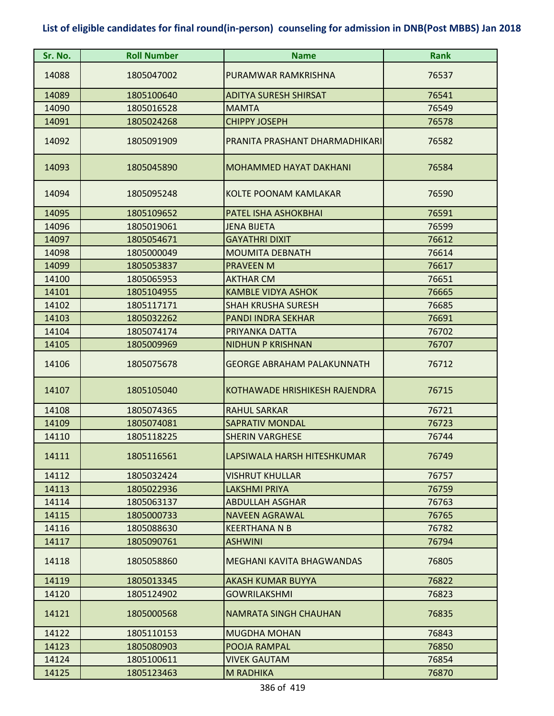| Sr. No. | <b>Roll Number</b> | <b>Name</b>                    | <b>Rank</b> |
|---------|--------------------|--------------------------------|-------------|
| 14088   | 1805047002         | PURAMWAR RAMKRISHNA            | 76537       |
| 14089   | 1805100640         | <b>ADITYA SURESH SHIRSAT</b>   | 76541       |
| 14090   | 1805016528         | <b>MAMTA</b>                   | 76549       |
| 14091   | 1805024268         | <b>CHIPPY JOSEPH</b>           | 76578       |
| 14092   | 1805091909         | PRANITA PRASHANT DHARMADHIKARI | 76582       |
| 14093   | 1805045890         | <b>MOHAMMED HAYAT DAKHANI</b>  | 76584       |
| 14094   | 1805095248         | KOLTE POONAM KAMLAKAR          | 76590       |
| 14095   | 1805109652         | PATEL ISHA ASHOKBHAI           | 76591       |
| 14096   | 1805019061         | <b>JENA BIJETA</b>             | 76599       |
| 14097   | 1805054671         | <b>GAYATHRI DIXIT</b>          | 76612       |
| 14098   | 1805000049         | <b>MOUMITA DEBNATH</b>         | 76614       |
| 14099   | 1805053837         | <b>PRAVEEN M</b>               | 76617       |
| 14100   | 1805065953         | <b>AKTHAR CM</b>               | 76651       |
| 14101   | 1805104955         | <b>KAMBLE VIDYA ASHOK</b>      | 76665       |
| 14102   | 1805117171         | <b>SHAH KRUSHA SURESH</b>      | 76685       |
| 14103   | 1805032262         | <b>PANDI INDRA SEKHAR</b>      | 76691       |
| 14104   | 1805074174         | PRIYANKA DATTA                 | 76702       |
| 14105   | 1805009969         | <b>NIDHUN P KRISHNAN</b>       | 76707       |
| 14106   | 1805075678         | GEORGE ABRAHAM PALAKUNNATH     | 76712       |
| 14107   | 1805105040         | KOTHAWADE HRISHIKESH RAJENDRA  | 76715       |
| 14108   | 1805074365         | <b>RAHUL SARKAR</b>            | 76721       |
| 14109   | 1805074081         | <b>SAPRATIV MONDAL</b>         | 76723       |
| 14110   | 1805118225         | <b>SHERIN VARGHESE</b>         | 76744       |
| 14111   | 1805116561         | LAPSIWALA HARSH HITESHKUMAR    | 76749       |
| 14112   | 1805032424         | VISHRUT KHULLAR                | 76757       |
| 14113   | 1805022936         | <b>LAKSHMI PRIYA</b>           | 76759       |
| 14114   | 1805063137         | <b>ABDULLAH ASGHAR</b>         | 76763       |
| 14115   | 1805000733         | <b>NAVEEN AGRAWAL</b>          | 76765       |
| 14116   | 1805088630         | <b>KEERTHANA N B</b>           | 76782       |
| 14117   | 1805090761         | <b>ASHWINI</b>                 | 76794       |
| 14118   | 1805058860         | MEGHANI KAVITA BHAGWANDAS      | 76805       |
| 14119   | 1805013345         | <b>AKASH KUMAR BUYYA</b>       | 76822       |
| 14120   | 1805124902         | <b>GOWRILAKSHMI</b>            | 76823       |
| 14121   | 1805000568         | <b>NAMRATA SINGH CHAUHAN</b>   | 76835       |
| 14122   | 1805110153         | <b>MUGDHA MOHAN</b>            | 76843       |
| 14123   | 1805080903         | POOJA RAMPAL                   | 76850       |
| 14124   | 1805100611         | <b>VIVEK GAUTAM</b>            | 76854       |
| 14125   | 1805123463         | M RADHIKA                      | 76870       |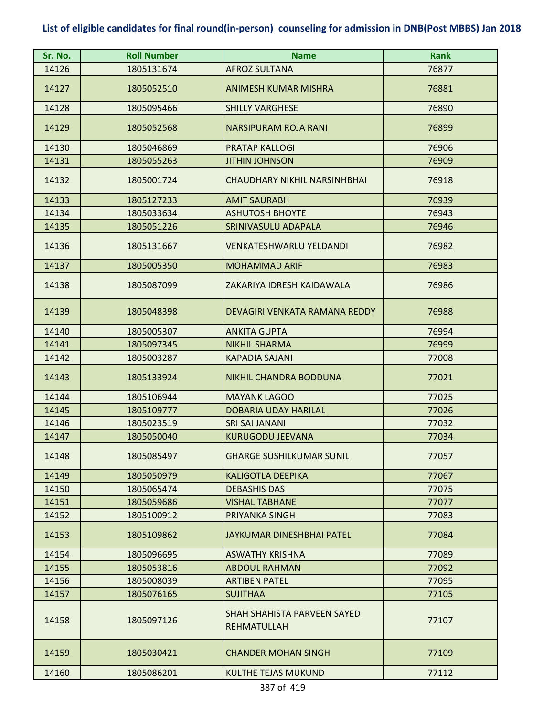| Sr. No. | <b>Roll Number</b> | <b>Name</b>                                       | <b>Rank</b> |
|---------|--------------------|---------------------------------------------------|-------------|
| 14126   | 1805131674         | <b>AFROZ SULTANA</b>                              | 76877       |
| 14127   | 1805052510         | <b>ANIMESH KUMAR MISHRA</b>                       | 76881       |
| 14128   | 1805095466         | <b>SHILLY VARGHESE</b>                            | 76890       |
| 14129   | 1805052568         | NARSIPURAM ROJA RANI                              | 76899       |
| 14130   | 1805046869         | <b>PRATAP KALLOGI</b>                             | 76906       |
| 14131   | 1805055263         | <b>JITHIN JOHNSON</b>                             | 76909       |
| 14132   | 1805001724         | <b>CHAUDHARY NIKHIL NARSINHBHAI</b>               | 76918       |
| 14133   | 1805127233         | <b>AMIT SAURABH</b>                               | 76939       |
| 14134   | 1805033634         | <b>ASHUTOSH BHOYTE</b>                            | 76943       |
| 14135   | 1805051226         | SRINIVASULU ADAPALA                               | 76946       |
| 14136   | 1805131667         | <b>VENKATESHWARLU YELDANDI</b>                    | 76982       |
| 14137   | 1805005350         | <b>MOHAMMAD ARIF</b>                              | 76983       |
| 14138   | 1805087099         | ZAKARIYA IDRESH KAIDAWALA                         | 76986       |
| 14139   | 1805048398         | DEVAGIRI VENKATA RAMANA REDDY                     | 76988       |
| 14140   | 1805005307         | <b>ANKITA GUPTA</b>                               | 76994       |
| 14141   | 1805097345         | <b>NIKHIL SHARMA</b>                              | 76999       |
| 14142   | 1805003287         | <b>KAPADIA SAJANI</b>                             | 77008       |
| 14143   | 1805133924         | <b>NIKHIL CHANDRA BODDUNA</b>                     | 77021       |
| 14144   | 1805106944         | <b>MAYANK LAGOO</b>                               | 77025       |
| 14145   | 1805109777         | <b>DOBARIA UDAY HARILAL</b>                       | 77026       |
| 14146   | 1805023519         | <b>SRI SAI JANANI</b>                             | 77032       |
| 14147   | 1805050040         | <b>KURUGODU JEEVANA</b>                           | 77034       |
| 14148   | 1805085497         | <b>GHARGE SUSHILKUMAR SUNIL</b>                   | 77057       |
| 14149   | 1805050979         | <b>KALIGOTLA DEEPIKA</b>                          | 77067       |
| 14150   | 1805065474         | <b>DEBASHIS DAS</b>                               | 77075       |
| 14151   | 1805059686         | <b>VISHAL TABHANE</b>                             | 77077       |
| 14152   | 1805100912         | PRIYANKA SINGH                                    | 77083       |
| 14153   | 1805109862         | JAYKUMAR DINESHBHAI PATEL                         | 77084       |
| 14154   | 1805096695         | <b>ASWATHY KRISHNA</b>                            | 77089       |
| 14155   | 1805053816         | <b>ABDOUL RAHMAN</b>                              | 77092       |
| 14156   | 1805008039         | <b>ARTIBEN PATEL</b>                              | 77095       |
| 14157   | 1805076165         | <b>SUJITHAA</b>                                   | 77105       |
| 14158   | 1805097126         | SHAH SHAHISTA PARVEEN SAYED<br><b>REHMATULLAH</b> | 77107       |
| 14159   | 1805030421         | <b>CHANDER MOHAN SINGH</b>                        | 77109       |
| 14160   | 1805086201         | <b>KULTHE TEJAS MUKUND</b>                        | 77112       |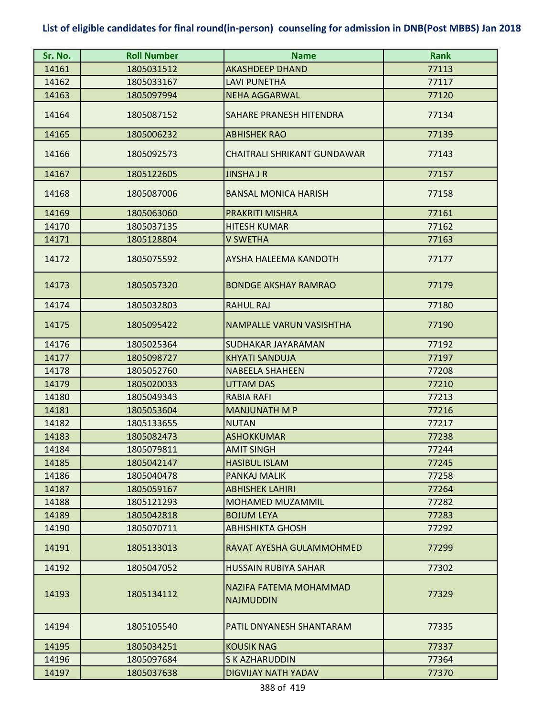| Sr. No. | <b>Roll Number</b> | <b>Name</b>                                | <b>Rank</b> |
|---------|--------------------|--------------------------------------------|-------------|
| 14161   | 1805031512         | <b>AKASHDEEP DHAND</b>                     | 77113       |
| 14162   | 1805033167         | <b>LAVI PUNETHA</b>                        | 77117       |
| 14163   | 1805097994         | <b>NEHA AGGARWAL</b>                       | 77120       |
| 14164   | 1805087152         | SAHARE PRANESH HITENDRA                    | 77134       |
| 14165   | 1805006232         | <b>ABHISHEK RAO</b>                        | 77139       |
| 14166   | 1805092573         | <b>CHAITRALI SHRIKANT GUNDAWAR</b>         | 77143       |
| 14167   | 1805122605         | <b>JINSHA J R</b>                          | 77157       |
| 14168   | 1805087006         | <b>BANSAL MONICA HARISH</b>                | 77158       |
| 14169   | 1805063060         | <b>PRAKRITI MISHRA</b>                     | 77161       |
| 14170   | 1805037135         | <b>HITESH KUMAR</b>                        | 77162       |
| 14171   | 1805128804         | <b>V SWETHA</b>                            | 77163       |
| 14172   | 1805075592         | AYSHA HALEEMA KANDOTH                      | 77177       |
| 14173   | 1805057320         | <b>BONDGE AKSHAY RAMRAO</b>                | 77179       |
| 14174   | 1805032803         | <b>RAHUL RAJ</b>                           | 77180       |
| 14175   | 1805095422         | NAMPALLE VARUN VASISHTHA                   | 77190       |
| 14176   | 1805025364         | SUDHAKAR JAYARAMAN                         | 77192       |
| 14177   | 1805098727         | <b>KHYATI SANDUJA</b>                      | 77197       |
| 14178   | 1805052760         | <b>NABEELA SHAHEEN</b>                     | 77208       |
| 14179   | 1805020033         | <b>UTTAM DAS</b>                           | 77210       |
| 14180   | 1805049343         | <b>RABIA RAFI</b>                          | 77213       |
| 14181   | 1805053604         | <b>MANJUNATH M P</b>                       | 77216       |
| 14182   | 1805133655         | <b>NUTAN</b>                               | 77217       |
| 14183   | 1805082473         | <b>ASHOKKUMAR</b>                          | 77238       |
| 14184   | 1805079811         | <b>AMIT SINGH</b>                          | 77244       |
| 14185   | 1805042147         | <b>HASIBUL ISLAM</b>                       | 77245       |
| 14186   | 1805040478         | PANKAJ MALIK                               | 77258       |
| 14187   | 1805059167         | <b>ABHISHEK LAHIRI</b>                     | 77264       |
| 14188   | 1805121293         | <b>MOHAMED MUZAMMIL</b>                    | 77282       |
| 14189   | 1805042818         | <b>BOJUM LEYA</b>                          | 77283       |
| 14190   | 1805070711         | <b>ABHISHIKTA GHOSH</b>                    | 77292       |
| 14191   | 1805133013         | RAVAT AYESHA GULAMMOHMED                   | 77299       |
| 14192   | 1805047052         | HUSSAIN RUBIYA SAHAR                       | 77302       |
| 14193   | 1805134112         | NAZIFA FATEMA MOHAMMAD<br><b>NAJMUDDIN</b> | 77329       |
| 14194   | 1805105540         | PATIL DNYANESH SHANTARAM                   | 77335       |
| 14195   | 1805034251         | <b>KOUSIK NAG</b>                          | 77337       |
| 14196   | 1805097684         | <b>S K AZHARUDDIN</b>                      | 77364       |
| 14197   | 1805037638         | <b>DIGVIJAY NATH YADAV</b>                 | 77370       |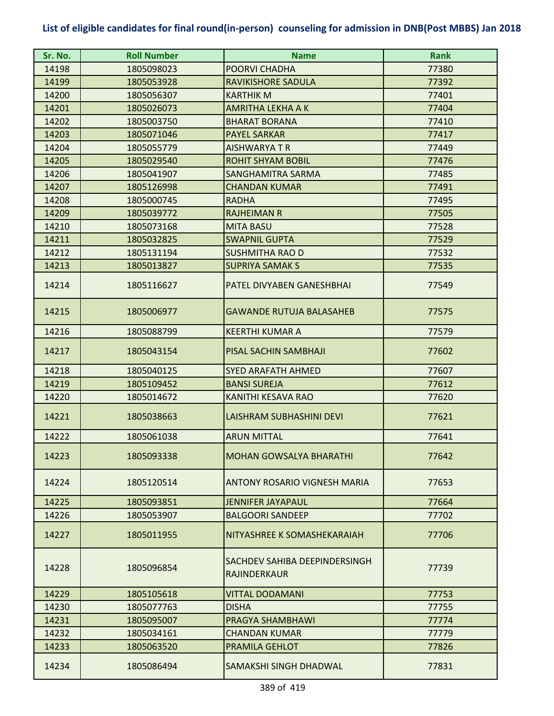| Sr. No. | <b>Roll Number</b> | <b>Name</b>                                   | <b>Rank</b> |
|---------|--------------------|-----------------------------------------------|-------------|
| 14198   | 1805098023         | POORVI CHADHA                                 | 77380       |
| 14199   | 1805053928         | RAVIKISHORE SADULA                            | 77392       |
| 14200   | 1805056307         | <b>KARTHIK M</b>                              | 77401       |
| 14201   | 1805026073         | <b>AMRITHA LEKHA A K</b>                      | 77404       |
| 14202   | 1805003750         | <b>BHARAT BORANA</b>                          | 77410       |
| 14203   | 1805071046         | <b>PAYEL SARKAR</b>                           | 77417       |
| 14204   | 1805055779         | <b>AISHWARYATR</b>                            | 77449       |
| 14205   | 1805029540         | <b>ROHIT SHYAM BOBIL</b>                      | 77476       |
| 14206   | 1805041907         | SANGHAMITRA SARMA                             | 77485       |
| 14207   | 1805126998         | <b>CHANDAN KUMAR</b>                          | 77491       |
| 14208   | 1805000745         | <b>RADHA</b>                                  | 77495       |
| 14209   | 1805039772         | <b>RAJHEIMAN R</b>                            | 77505       |
| 14210   | 1805073168         | <b>MITA BASU</b>                              | 77528       |
| 14211   | 1805032825         | <b>SWAPNIL GUPTA</b>                          | 77529       |
| 14212   | 1805131194         | <b>SUSHMITHA RAO D</b>                        | 77532       |
| 14213   | 1805013827         | <b>SUPRIYA SAMAK S</b>                        | 77535       |
| 14214   | 1805116627         | PATEL DIVYABEN GANESHBHAI                     | 77549       |
| 14215   | 1805006977         | <b>GAWANDE RUTUJA BALASAHEB</b>               | 77575       |
| 14216   | 1805088799         | <b>KEERTHI KUMAR A</b>                        | 77579       |
| 14217   | 1805043154         | PISAL SACHIN SAMBHAJI                         | 77602       |
| 14218   | 1805040125         | <b>SYED ARAFATH AHMED</b>                     | 77607       |
| 14219   | 1805109452         | <b>BANSI SUREJA</b>                           | 77612       |
| 14220   | 1805014672         | KANITHI KESAVA RAO                            | 77620       |
| 14221   | 1805038663         | LAISHRAM SUBHASHINI DEVI                      | 77621       |
| 14222   | 1805061038         | <b>ARUN MITTAL</b>                            | 77641       |
| 14223   | 1805093338         | <b>MOHAN GOWSALYA BHARATHI</b>                | 77642       |
| 14224   | 1805120514         | ANTONY ROSARIO VIGNESH MARIA                  | 77653       |
| 14225   | 1805093851         | <b>JENNIFER JAYAPAUL</b>                      | 77664       |
| 14226   | 1805053907         | <b>BALGOORI SANDEEP</b>                       | 77702       |
| 14227   | 1805011955         | NITYASHREE K SOMASHEKARAIAH                   | 77706       |
| 14228   | 1805096854         | SACHDEV SAHIBA DEEPINDERSINGH<br>RAJINDERKAUR | 77739       |
| 14229   | 1805105618         | <b>VITTAL DODAMANI</b>                        | 77753       |
| 14230   | 1805077763         | <b>DISHA</b>                                  | 77755       |
| 14231   | 1805095007         | PRAGYA SHAMBHAWI                              | 77774       |
| 14232   | 1805034161         | <b>CHANDAN KUMAR</b>                          | 77779       |
| 14233   | 1805063520         | PRAMILA GEHLOT                                | 77826       |
| 14234   | 1805086494         | SAMAKSHI SINGH DHADWAL                        | 77831       |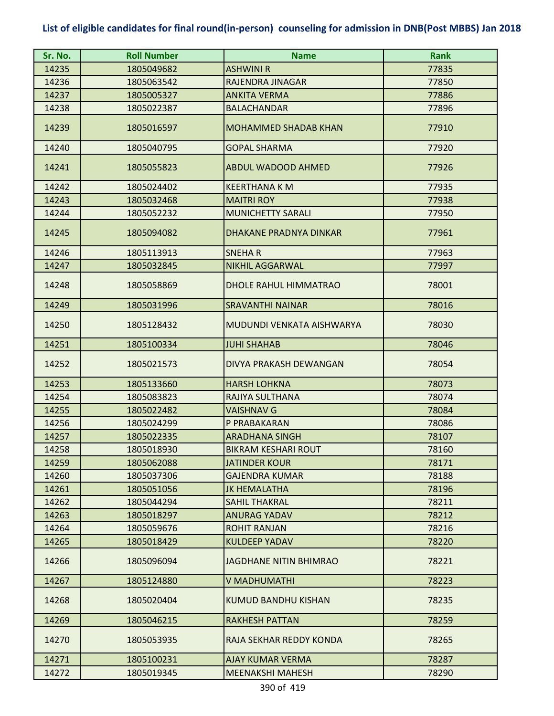| Sr. No. | <b>Roll Number</b> | <b>Name</b>                   | <b>Rank</b> |
|---------|--------------------|-------------------------------|-------------|
| 14235   | 1805049682         | <b>ASHWINI R</b>              | 77835       |
| 14236   | 1805063542         | RAJENDRA JINAGAR              | 77850       |
| 14237   | 1805005327         | <b>ANKITA VERMA</b>           | 77886       |
| 14238   | 1805022387         | <b>BALACHANDAR</b>            | 77896       |
| 14239   | 1805016597         | <b>MOHAMMED SHADAB KHAN</b>   | 77910       |
| 14240   | 1805040795         | <b>GOPAL SHARMA</b>           | 77920       |
| 14241   | 1805055823         | <b>ABDUL WADOOD AHMED</b>     | 77926       |
| 14242   | 1805024402         | <b>KEERTHANA K M</b>          | 77935       |
| 14243   | 1805032468         | <b>MAITRI ROY</b>             | 77938       |
| 14244   | 1805052232         | <b>MUNICHETTY SARALI</b>      | 77950       |
| 14245   | 1805094082         | DHAKANE PRADNYA DINKAR        | 77961       |
| 14246   | 1805113913         | <b>SNEHAR</b>                 | 77963       |
| 14247   | 1805032845         | <b>NIKHIL AGGARWAL</b>        | 77997       |
| 14248   | 1805058869         | <b>DHOLE RAHUL HIMMATRAO</b>  | 78001       |
| 14249   | 1805031996         | <b>SRAVANTHI NAINAR</b>       | 78016       |
| 14250   | 1805128432         | MUDUNDI VENKATA AISHWARYA     | 78030       |
| 14251   | 1805100334         | <b>JUHI SHAHAB</b>            | 78046       |
| 14252   | 1805021573         | DIVYA PRAKASH DEWANGAN        | 78054       |
| 14253   | 1805133660         | <b>HARSH LOHKNA</b>           | 78073       |
| 14254   | 1805083823         | RAJIYA SULTHANA               | 78074       |
| 14255   | 1805022482         | <b>VAISHNAV G</b>             | 78084       |
| 14256   | 1805024299         | P PRABAKARAN                  | 78086       |
| 14257   | 1805022335         | <b>ARADHANA SINGH</b>         | 78107       |
| 14258   | 1805018930         | <b>BIKRAM KESHARI ROUT</b>    | 78160       |
| 14259   | 1805062088         | JATINDER KOUR                 | 78171       |
| 14260   | 1805037306         | <b>GAJENDRA KUMAR</b>         | 78188       |
| 14261   | 1805051056         | <b>JK HEMALATHA</b>           | 78196       |
| 14262   | 1805044294         | <b>SAHIL THAKRAL</b>          | 78211       |
| 14263   | 1805018297         | <b>ANURAG YADAV</b>           | 78212       |
| 14264   | 1805059676         | <b>ROHIT RANJAN</b>           | 78216       |
| 14265   | 1805018429         | <b>KULDEEP YADAV</b>          | 78220       |
| 14266   | 1805096094         | <b>JAGDHANE NITIN BHIMRAO</b> | 78221       |
| 14267   | 1805124880         | V MADHUMATHI                  | 78223       |
| 14268   | 1805020404         | KUMUD BANDHU KISHAN           | 78235       |
| 14269   | 1805046215         | <b>RAKHESH PATTAN</b>         | 78259       |
| 14270   | 1805053935         | RAJA SEKHAR REDDY KONDA       | 78265       |
| 14271   | 1805100231         | <b>AJAY KUMAR VERMA</b>       | 78287       |
| 14272   | 1805019345         | <b>MEENAKSHI MAHESH</b>       | 78290       |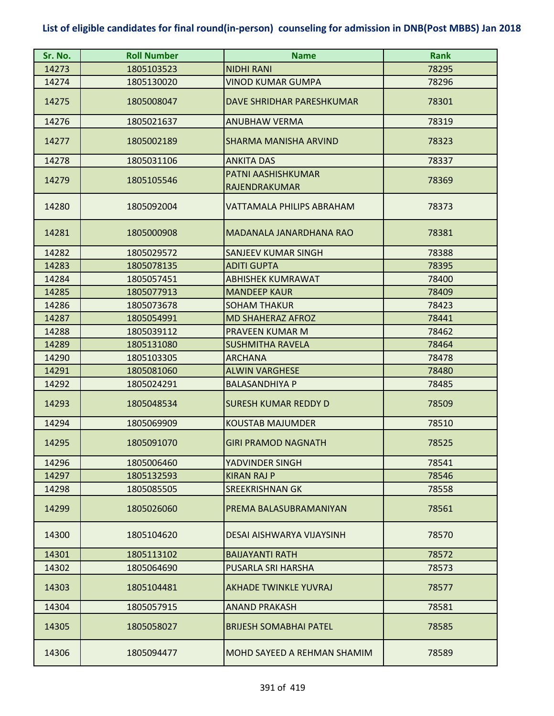| Sr. No. | <b>Roll Number</b> | <b>Name</b>                         | <b>Rank</b> |
|---------|--------------------|-------------------------------------|-------------|
| 14273   | 1805103523         | <b>NIDHI RANI</b>                   | 78295       |
| 14274   | 1805130020         | VINOD KUMAR GUMPA                   | 78296       |
| 14275   | 1805008047         | DAVE SHRIDHAR PARESHKUMAR           | 78301       |
| 14276   | 1805021637         | <b>ANUBHAW VERMA</b>                | 78319       |
| 14277   | 1805002189         | SHARMA MANISHA ARVIND               | 78323       |
| 14278   | 1805031106         | <b>ANKITA DAS</b>                   | 78337       |
| 14279   | 1805105546         | PATNI AASHISHKUMAR<br>RAJENDRAKUMAR | 78369       |
| 14280   | 1805092004         | VATTAMALA PHILIPS ABRAHAM           | 78373       |
| 14281   | 1805000908         | MADANALA JANARDHANA RAO             | 78381       |
| 14282   | 1805029572         | SANJEEV KUMAR SINGH                 | 78388       |
| 14283   | 1805078135         | <b>ADITI GUPTA</b>                  | 78395       |
| 14284   | 1805057451         | <b>ABHISHEK KUMRAWAT</b>            | 78400       |
| 14285   | 1805077913         | <b>MANDEEP KAUR</b>                 | 78409       |
| 14286   | 1805073678         | <b>SOHAM THAKUR</b>                 | 78423       |
| 14287   | 1805054991         | <b>MD SHAHERAZ AFROZ</b>            | 78441       |
| 14288   | 1805039112         | <b>PRAVEEN KUMAR M</b>              | 78462       |
| 14289   | 1805131080         | <b>SUSHMITHA RAVELA</b>             | 78464       |
| 14290   | 1805103305         | <b>ARCHANA</b>                      | 78478       |
| 14291   | 1805081060         | <b>ALWIN VARGHESE</b>               | 78480       |
| 14292   | 1805024291         | <b>BALASANDHIYA P</b>               | 78485       |
| 14293   | 1805048534         | <b>SURESH KUMAR REDDY D</b>         | 78509       |
| 14294   | 1805069909         | <b>KOUSTAB MAJUMDER</b>             | 78510       |
| 14295   | 1805091070         | <b>GIRI PRAMOD NAGNATH</b>          | 78525       |
| 14296   | 1805006460         | YADVINDER SINGH                     | 78541       |
| 14297   | 1805132593         | <b>KIRAN RAJ P</b>                  | 78546       |
| 14298   | 1805085505         | <b>SREEKRISHNAN GK</b>              | 78558       |
| 14299   | 1805026060         | PREMA BALASUBRAMANIYAN              | 78561       |
| 14300   | 1805104620         | DESAI AISHWARYA VIJAYSINH           | 78570       |
| 14301   | 1805113102         | <b>BAIJAYANTI RATH</b>              | 78572       |
| 14302   | 1805064690         | PUSARLA SRI HARSHA                  | 78573       |
| 14303   | 1805104481         | <b>AKHADE TWINKLE YUVRAJ</b>        | 78577       |
| 14304   | 1805057915         | <b>ANAND PRAKASH</b>                | 78581       |
| 14305   | 1805058027         | <b>BRIJESH SOMABHAI PATEL</b>       | 78585       |
| 14306   | 1805094477         | MOHD SAYEED A REHMAN SHAMIM         | 78589       |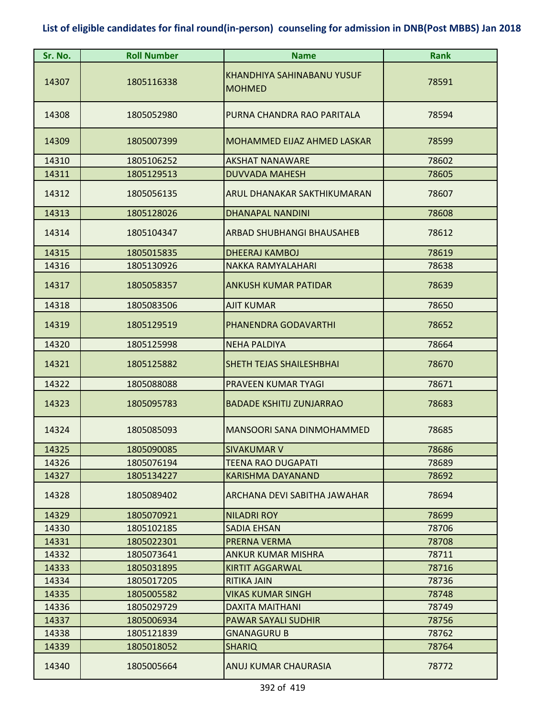| Sr. No. | <b>Roll Number</b> | <b>Name</b>                                 | <b>Rank</b> |
|---------|--------------------|---------------------------------------------|-------------|
| 14307   | 1805116338         | KHANDHIYA SAHINABANU YUSUF<br><b>MOHMED</b> | 78591       |
| 14308   | 1805052980         | PURNA CHANDRA RAO PARITALA                  | 78594       |
| 14309   | 1805007399         | <b>MOHAMMED EIJAZ AHMED LASKAR</b>          | 78599       |
| 14310   | 1805106252         | <b>AKSHAT NANAWARE</b>                      | 78602       |
| 14311   | 1805129513         | <b>DUVVADA MAHESH</b>                       | 78605       |
| 14312   | 1805056135         | ARUL DHANAKAR SAKTHIKUMARAN                 | 78607       |
| 14313   | 1805128026         | <b>DHANAPAL NANDINI</b>                     | 78608       |
| 14314   | 1805104347         | <b>ARBAD SHUBHANGI BHAUSAHEB</b>            | 78612       |
| 14315   | 1805015835         | <b>DHEERAJ KAMBOJ</b>                       | 78619       |
| 14316   | 1805130926         | NAKKA RAMYALAHARI                           | 78638       |
| 14317   | 1805058357         | <b>ANKUSH KUMAR PATIDAR</b>                 | 78639       |
| 14318   | 1805083506         | <b>AJIT KUMAR</b>                           | 78650       |
| 14319   | 1805129519         | PHANENDRA GODAVARTHI                        | 78652       |
| 14320   | 1805125998         | <b>NEHA PALDIYA</b>                         | 78664       |
| 14321   | 1805125882         | SHETH TEJAS SHAILESHBHAI                    | 78670       |
| 14322   | 1805088088         | PRAVEEN KUMAR TYAGI                         | 78671       |
| 14323   | 1805095783         | <b>BADADE KSHITIJ ZUNJARRAO</b>             | 78683       |
| 14324   | 1805085093         | MANSOORI SANA DINMOHAMMED                   | 78685       |
| 14325   | 1805090085         | <b>SIVAKUMAR V</b>                          | 78686       |
| 14326   | 1805076194         | TEENA RAO DUGAPATI                          | 78689       |
| 14327   | 1805134227         | <b>KARISHMA DAYANAND</b>                    | 78692       |
| 14328   | 1805089402         | ARCHANA DEVI SABITHA JAWAHAR                | 78694       |
| 14329   | 1805070921         | <b>NILADRI ROY</b>                          | 78699       |
| 14330   | 1805102185         | <b>SADIA EHSAN</b>                          | 78706       |
| 14331   | 1805022301         | PRERNA VERMA                                | 78708       |
| 14332   | 1805073641         | <b>ANKUR KUMAR MISHRA</b>                   | 78711       |
| 14333   | 1805031895         | <b>KIRTIT AGGARWAL</b>                      | 78716       |
| 14334   | 1805017205         | <b>RITIKA JAIN</b>                          | 78736       |
| 14335   | 1805005582         | VIKAS KUMAR SINGH                           | 78748       |
| 14336   | 1805029729         | <b>DAXITA MAITHANI</b>                      | 78749       |
| 14337   | 1805006934         | <b>PAWAR SAYALI SUDHIR</b>                  | 78756       |
| 14338   | 1805121839         | <b>GNANAGURU B</b>                          | 78762       |
| 14339   | 1805018052         | <b>SHARIQ</b>                               | 78764       |
| 14340   | 1805005664         | ANUJ KUMAR CHAURASIA                        | 78772       |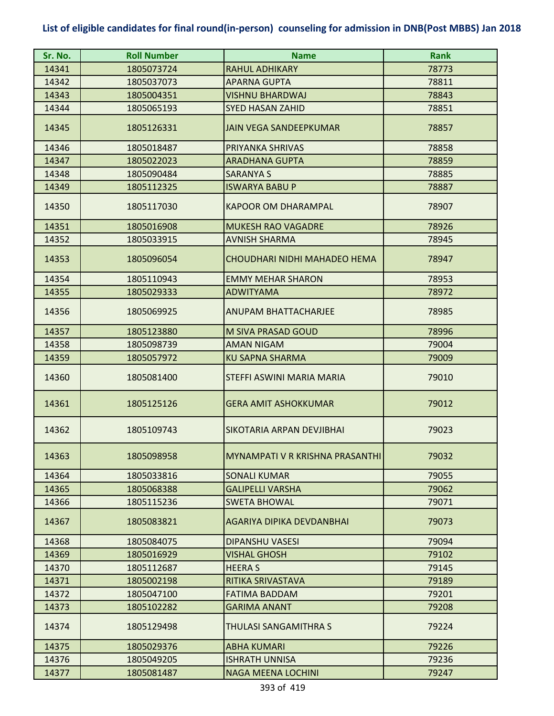| Sr. No. | <b>Roll Number</b> | <b>Name</b>                     | <b>Rank</b> |
|---------|--------------------|---------------------------------|-------------|
| 14341   | 1805073724         | <b>RAHUL ADHIKARY</b>           | 78773       |
| 14342   | 1805037073         | <b>APARNA GUPTA</b>             | 78811       |
| 14343   | 1805004351         | <b>VISHNU BHARDWAJ</b>          | 78843       |
| 14344   | 1805065193         | <b>SYED HASAN ZAHID</b>         | 78851       |
| 14345   | 1805126331         | <b>JAIN VEGA SANDEEPKUMAR</b>   | 78857       |
| 14346   | 1805018487         | PRIYANKA SHRIVAS                | 78858       |
| 14347   | 1805022023         | <b>ARADHANA GUPTA</b>           | 78859       |
| 14348   | 1805090484         | <b>SARANYA S</b>                | 78885       |
| 14349   | 1805112325         | <b>ISWARYA BABU P</b>           | 78887       |
| 14350   | 1805117030         | <b>KAPOOR OM DHARAMPAL</b>      | 78907       |
| 14351   | 1805016908         | <b>MUKESH RAO VAGADRE</b>       | 78926       |
| 14352   | 1805033915         | <b>AVNISH SHARMA</b>            | 78945       |
| 14353   | 1805096054         | CHOUDHARI NIDHI MAHADEO HEMA    | 78947       |
| 14354   | 1805110943         | <b>EMMY MEHAR SHARON</b>        | 78953       |
| 14355   | 1805029333         | <b>ADWITYAMA</b>                | 78972       |
| 14356   | 1805069925         | <b>ANUPAM BHATTACHARJEE</b>     | 78985       |
| 14357   | 1805123880         | M SIVA PRASAD GOUD              | 78996       |
| 14358   | 1805098739         | <b>AMAN NIGAM</b>               | 79004       |
| 14359   | 1805057972         | <b>KU SAPNA SHARMA</b>          | 79009       |
| 14360   | 1805081400         | STEFFI ASWINI MARIA MARIA       | 79010       |
| 14361   | 1805125126         | <b>GERA AMIT ASHOKKUMAR</b>     | 79012       |
| 14362   | 1805109743         | SIKOTARIA ARPAN DEVJIBHAI       | 79023       |
| 14363   | 1805098958         | MYNAMPATI V R KRISHNA PRASANTHI | 79032       |
| 14364   | 1805033816         | <b>SONALI KUMAR</b>             | 79055       |
| 14365   | 1805068388         | <b>GALIPELLI VARSHA</b>         | 79062       |
| 14366   | 1805115236         | <b>SWETA BHOWAL</b>             | 79071       |
| 14367   | 1805083821         | AGARIYA DIPIKA DEVDANBHAI       | 79073       |
| 14368   | 1805084075         | <b>DIPANSHU VASESI</b>          | 79094       |
| 14369   | 1805016929         | <b>VISHAL GHOSH</b>             | 79102       |
| 14370   | 1805112687         | <b>HEERA S</b>                  | 79145       |
| 14371   | 1805002198         | RITIKA SRIVASTAVA               | 79189       |
| 14372   | 1805047100         | <b>FATIMA BADDAM</b>            | 79201       |
| 14373   | 1805102282         | <b>GARIMA ANANT</b>             | 79208       |
| 14374   | 1805129498         | THULASI SANGAMITHRA S           | 79224       |
| 14375   | 1805029376         | <b>ABHA KUMARI</b>              | 79226       |
| 14376   | 1805049205         | <b>ISHRATH UNNISA</b>           | 79236       |
| 14377   | 1805081487         | <b>NAGA MEENA LOCHINI</b>       | 79247       |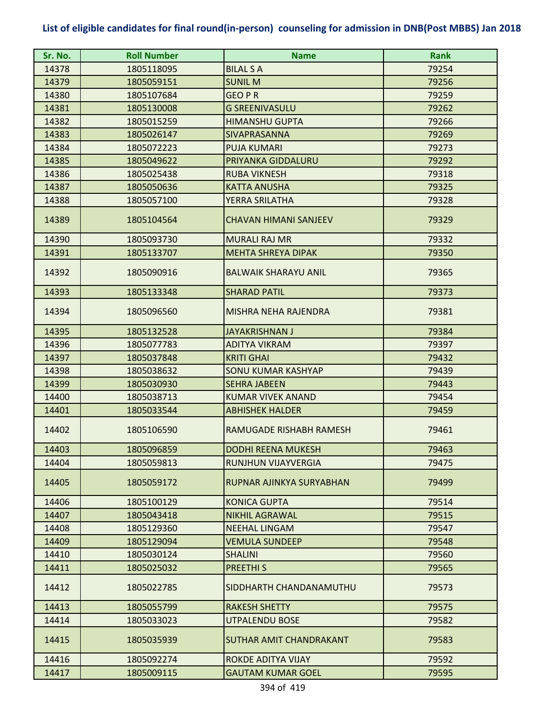| Sr. No. | <b>Roll Number</b> | <b>Name</b>                  | <b>Rank</b> |
|---------|--------------------|------------------------------|-------------|
| 14378   | 1805118095         | <b>BILAL S A</b>             | 79254       |
| 14379   | 1805059151         | <b>SUNIL M</b>               | 79256       |
| 14380   | 1805107684         | <b>GEO P R</b>               | 79259       |
| 14381   | 1805130008         | <b>G SREENIVASULU</b>        | 79262       |
| 14382   | 1805015259         | <b>HIMANSHU GUPTA</b>        | 79266       |
| 14383   | 1805026147         | SIVAPRASANNA                 | 79269       |
| 14384   | 1805072223         | <b>PUJA KUMARI</b>           | 79273       |
| 14385   | 1805049622         | PRIYANKA GIDDALURU           | 79292       |
| 14386   | 1805025438         | <b>RUBA VIKNESH</b>          | 79318       |
| 14387   | 1805050636         | <b>KATTA ANUSHA</b>          | 79325       |
| 14388   | 1805057100         | YERRA SRILATHA               | 79328       |
| 14389   | 1805104564         | <b>CHAVAN HIMANI SANJEEV</b> | 79329       |
| 14390   | 1805093730         | <b>MURALI RAJ MR</b>         | 79332       |
| 14391   | 1805133707         | <b>MEHTA SHREYA DIPAK</b>    | 79350       |
| 14392   | 1805090916         | <b>BALWAIK SHARAYU ANIL</b>  | 79365       |
| 14393   | 1805133348         | <b>SHARAD PATIL</b>          | 79373       |
| 14394   | 1805096560         | MISHRA NEHA RAJENDRA         | 79381       |
| 14395   | 1805132528         | JAYAKRISHNAN J               | 79384       |
| 14396   | 1805077783         | <b>ADITYA VIKRAM</b>         | 79397       |
| 14397   | 1805037848         | <b>KRITI GHAI</b>            | 79432       |
| 14398   | 1805038632         | <b>SONU KUMAR KASHYAP</b>    | 79439       |
| 14399   | 1805030930         | <b>SEHRA JABEEN</b>          | 79443       |
| 14400   | 1805038713         | <b>KUMAR VIVEK ANAND</b>     | 79454       |
| 14401   | 1805033544         | <b>ABHISHEK HALDER</b>       | 79459       |
| 14402   | 1805106590         | RAMUGADE RISHABH RAMESH      | 79461       |
| 14403   | 1805096859         | DODHI REFNA MUKESH           | 79463       |
| 14404   | 1805059813         | <b>RUNJHUN VIJAYVERGIA</b>   | 79475       |
| 14405   | 1805059172         | RUPNAR AJINKYA SURYABHAN     | 79499       |
| 14406   | 1805100129         | <b>KONICA GUPTA</b>          | 79514       |
| 14407   | 1805043418         | <b>NIKHIL AGRAWAL</b>        | 79515       |
| 14408   | 1805129360         | <b>NEEHAL LINGAM</b>         | 79547       |
| 14409   | 1805129094         | <b>VEMULA SUNDEEP</b>        | 79548       |
| 14410   | 1805030124         | <b>SHALINI</b>               | 79560       |
| 14411   | 1805025032         | <b>PREETHIS</b>              | 79565       |
| 14412   | 1805022785         | SIDDHARTH CHANDANAMUTHU      | 79573       |
| 14413   | 1805055799         | <b>RAKESH SHETTY</b>         | 79575       |
| 14414   | 1805033023         | <b>UTPALENDU BOSE</b>        | 79582       |
| 14415   | 1805035939         | SUTHAR AMIT CHANDRAKANT      | 79583       |
| 14416   | 1805092274         | ROKDE ADITYA VIJAY           | 79592       |
| 14417   | 1805009115         | <b>GAUTAM KUMAR GOEL</b>     | 79595       |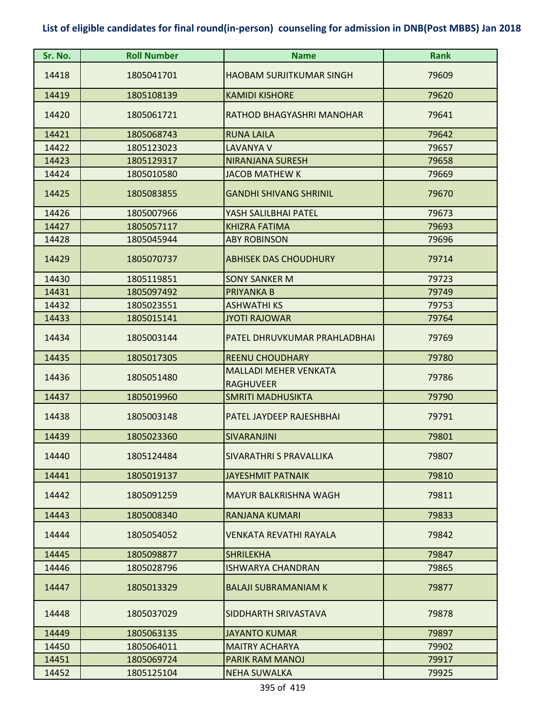| Sr. No. | <b>Roll Number</b> | <b>Name</b>                                      | <b>Rank</b> |
|---------|--------------------|--------------------------------------------------|-------------|
| 14418   | 1805041701         | <b>HAOBAM SURJITKUMAR SINGH</b>                  | 79609       |
| 14419   | 1805108139         | <b>KAMIDI KISHORE</b>                            | 79620       |
| 14420   | 1805061721         | RATHOD BHAGYASHRI MANOHAR                        | 79641       |
| 14421   | 1805068743         | <b>RUNA LAILA</b>                                | 79642       |
| 14422   | 1805123023         | <b>LAVANYA V</b>                                 | 79657       |
| 14423   | 1805129317         | <b>NIRANJANA SURESH</b>                          | 79658       |
| 14424   | 1805010580         | <b>JACOB MATHEW K</b>                            | 79669       |
| 14425   | 1805083855         | <b>GANDHI SHIVANG SHRINIL</b>                    | 79670       |
| 14426   | 1805007966         | YASH SALILBHAI PATEL                             | 79673       |
| 14427   | 1805057117         | <b>KHIZRA FATIMA</b>                             | 79693       |
| 14428   | 1805045944         | <b>ABY ROBINSON</b>                              | 79696       |
| 14429   | 1805070737         | <b>ABHISEK DAS CHOUDHURY</b>                     | 79714       |
| 14430   | 1805119851         | <b>SONY SANKER M</b>                             | 79723       |
| 14431   | 1805097492         | <b>PRIYANKA B</b>                                | 79749       |
| 14432   | 1805023551         | <b>ASHWATHI KS</b>                               | 79753       |
| 14433   | 1805015141         | <b>JYOTI RAJOWAR</b>                             | 79764       |
| 14434   | 1805003144         | PATEL DHRUVKUMAR PRAHLADBHAI                     | 79769       |
| 14435   | 1805017305         | <b>REENU CHOUDHARY</b>                           | 79780       |
| 14436   | 1805051480         | <b>MALLADI MEHER VENKATA</b><br><b>RAGHUVEER</b> | 79786       |
| 14437   | 1805019960         | <b>SMRITI MADHUSIKTA</b>                         | 79790       |
| 14438   | 1805003148         | PATEL JAYDEEP RAJESHBHAI                         | 79791       |
| 14439   | 1805023360         | <b>SIVARANJINI</b>                               | 79801       |
| 14440   | 1805124484         | <b>SIVARATHRI S PRAVALLIKA</b>                   | 79807       |
| 14441   | 1805019137         | <b>JAYESHMIT PATNAIK</b>                         | 79810       |
| 14442   | 1805091259         | <b>MAYUR BALKRISHNA WAGH</b>                     | 79811       |
| 14443   | 1805008340         | <b>RANJANA KUMARI</b>                            | 79833       |
| 14444   | 1805054052         | VENKATA REVATHI RAYALA                           | 79842       |
| 14445   | 1805098877         | <b>SHRILEKHA</b>                                 | 79847       |
| 14446   | 1805028796         | <b>ISHWARYA CHANDRAN</b>                         | 79865       |
| 14447   | 1805013329         | <b>BALAJI SUBRAMANIAM K</b>                      | 79877       |
| 14448   | 1805037029         | SIDDHARTH SRIVASTAVA                             | 79878       |
| 14449   | 1805063135         | <b>JAYANTO KUMAR</b>                             | 79897       |
| 14450   | 1805064011         | <b>MAITRY ACHARYA</b>                            | 79902       |
| 14451   | 1805069724         | PARIK RAM MANOJ                                  | 79917       |
| 14452   | 1805125104         | <b>NEHA SUWALKA</b>                              | 79925       |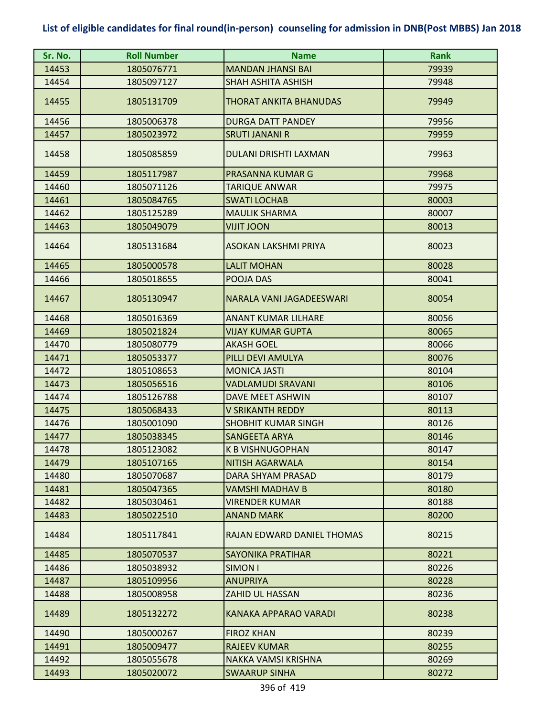| Sr. No. | <b>Roll Number</b> | <b>Name</b>                   | <b>Rank</b> |
|---------|--------------------|-------------------------------|-------------|
| 14453   | 1805076771         | <b>MANDAN JHANSI BAI</b>      | 79939       |
| 14454   | 1805097127         | <b>SHAH ASHITA ASHISH</b>     | 79948       |
| 14455   | 1805131709         | <b>THORAT ANKITA BHANUDAS</b> | 79949       |
| 14456   | 1805006378         | <b>DURGA DATT PANDEY</b>      | 79956       |
| 14457   | 1805023972         | <b>SRUTI JANANI R</b>         | 79959       |
| 14458   | 1805085859         | <b>DULANI DRISHTI LAXMAN</b>  | 79963       |
| 14459   | 1805117987         | PRASANNA KUMAR G              | 79968       |
| 14460   | 1805071126         | <b>TARIQUE ANWAR</b>          | 79975       |
| 14461   | 1805084765         | <b>SWATI LOCHAB</b>           | 80003       |
| 14462   | 1805125289         | <b>MAULIK SHARMA</b>          | 80007       |
| 14463   | 1805049079         | <b>NOOL TILIV</b>             | 80013       |
| 14464   | 1805131684         | <b>ASOKAN LAKSHMI PRIYA</b>   | 80023       |
| 14465   | 1805000578         | <b>LALIT MOHAN</b>            | 80028       |
| 14466   | 1805018655         | POOJA DAS                     | 80041       |
| 14467   | 1805130947         | NARALA VANI JAGADEESWARI      | 80054       |
| 14468   | 1805016369         | <b>ANANT KUMAR LILHARE</b>    | 80056       |
| 14469   | 1805021824         | <b>VIJAY KUMAR GUPTA</b>      | 80065       |
| 14470   | 1805080779         | <b>AKASH GOEL</b>             | 80066       |
| 14471   | 1805053377         | PILLI DEVI AMULYA             | 80076       |
| 14472   | 1805108653         | <b>MONICA JASTI</b>           | 80104       |
| 14473   | 1805056516         | <b>VADLAMUDI SRAVANI</b>      | 80106       |
| 14474   | 1805126788         | DAVE MEET ASHWIN              | 80107       |
| 14475   | 1805068433         | <b>V SRIKANTH REDDY</b>       | 80113       |
| 14476   | 1805001090         | <b>SHOBHIT KUMAR SINGH</b>    | 80126       |
| 14477   | 1805038345         | <b>SANGEETA ARYA</b>          | 80146       |
| 14478   | 1805123082         | <b>K B VISHNUGOPHAN</b>       | 80147       |
| 14479   | 1805107165         | <b>NITISH AGARWALA</b>        | 80154       |
| 14480   | 1805070687         | <b>DARA SHYAM PRASAD</b>      | 80179       |
| 14481   | 1805047365         | VAMSHI MADHAV B               | 80180       |
| 14482   | 1805030461         | <b>VIRENDER KUMAR</b>         | 80188       |
| 14483   | 1805022510         | <b>ANAND MARK</b>             | 80200       |
| 14484   | 1805117841         | RAJAN EDWARD DANIEL THOMAS    | 80215       |
| 14485   | 1805070537         | <b>SAYONIKA PRATIHAR</b>      | 80221       |
| 14486   | 1805038932         | <b>SIMON I</b>                | 80226       |
| 14487   | 1805109956         | <b>ANUPRIYA</b>               | 80228       |
| 14488   | 1805008958         | ZAHID UL HASSAN               | 80236       |
| 14489   | 1805132272         | KANAKA APPARAO VARADI         | 80238       |
| 14490   | 1805000267         | <b>FIROZ KHAN</b>             | 80239       |
| 14491   | 1805009477         | <b>RAJEEV KUMAR</b>           | 80255       |
| 14492   | 1805055678         | NAKKA VAMSI KRISHNA           | 80269       |
| 14493   | 1805020072         | <b>SWAARUP SINHA</b>          | 80272       |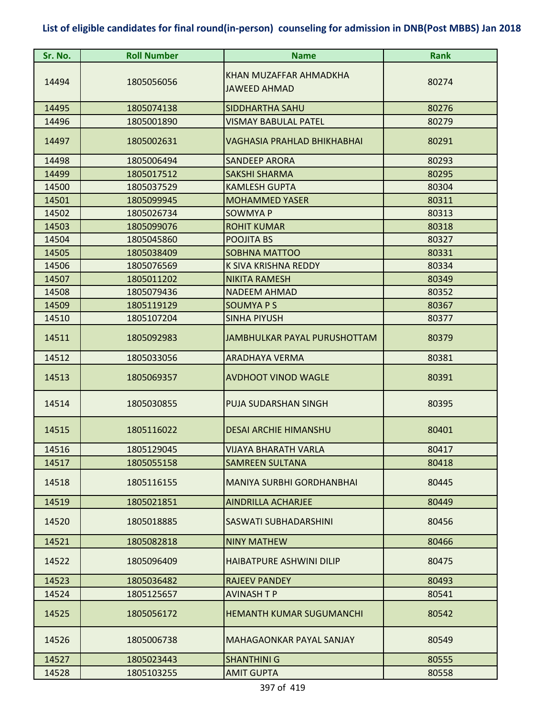| Sr. No. | <b>Roll Number</b> | <b>Name</b>                                   | <b>Rank</b> |
|---------|--------------------|-----------------------------------------------|-------------|
| 14494   | 1805056056         | KHAN MUZAFFAR AHMADKHA<br><b>JAWEED AHMAD</b> | 80274       |
| 14495   | 1805074138         | <b>SIDDHARTHA SAHU</b>                        | 80276       |
| 14496   | 1805001890         | <b>VISMAY BABULAL PATEL</b>                   | 80279       |
| 14497   | 1805002631         | VAGHASIA PRAHLAD BHIKHABHAI                   | 80291       |
| 14498   | 1805006494         | <b>SANDEEP ARORA</b>                          | 80293       |
| 14499   | 1805017512         | <b>SAKSHI SHARMA</b>                          | 80295       |
| 14500   | 1805037529         | <b>KAMLESH GUPTA</b>                          | 80304       |
| 14501   | 1805099945         | <b>MOHAMMED YASER</b>                         | 80311       |
| 14502   | 1805026734         | <b>SOWMYA P</b>                               | 80313       |
| 14503   | 1805099076         | <b>ROHIT KUMAR</b>                            | 80318       |
| 14504   | 1805045860         | POOJITA BS                                    | 80327       |
| 14505   | 1805038409         | <b>SOBHNA MATTOO</b>                          | 80331       |
| 14506   | 1805076569         | K SIVA KRISHNA REDDY                          | 80334       |
| 14507   | 1805011202         | <b>NIKITA RAMESH</b>                          | 80349       |
| 14508   | 1805079436         | <b>NADEEM AHMAD</b>                           | 80352       |
| 14509   | 1805119129         | <b>SOUMYAPS</b>                               | 80367       |
| 14510   | 1805107204         | <b>SINHA PIYUSH</b>                           | 80377       |
| 14511   | 1805092983         | JAMBHULKAR PAYAL PURUSHOTTAM                  | 80379       |
| 14512   | 1805033056         | <b>ARADHAYA VERMA</b>                         | 80381       |
| 14513   | 1805069357         | <b>AVDHOOT VINOD WAGLE</b>                    | 80391       |
| 14514   | 1805030855         | PUJA SUDARSHAN SINGH                          | 80395       |
| 14515   | 1805116022         | <b>DESAI ARCHIE HIMANSHU</b>                  | 80401       |
| 14516   | 1805129045         | <b>VIJAYA BHARATH VARLA</b>                   | 80417       |
| 14517   | 1805055158         | <b>SAMREEN SULTANA</b>                        | 80418       |
| 14518   | 1805116155         | <b>MANIYA SURBHI GORDHANBHAI</b>              | 80445       |
| 14519   | 1805021851         | <b>AINDRILLA ACHARJEE</b>                     | 80449       |
| 14520   | 1805018885         | SASWATI SUBHADARSHINI                         | 80456       |
| 14521   | 1805082818         | <b>NINY MATHEW</b>                            | 80466       |
| 14522   | 1805096409         | <b>HAIBATPURE ASHWINI DILIP</b>               | 80475       |
| 14523   | 1805036482         | <b>RAJEEV PANDEY</b>                          | 80493       |
| 14524   | 1805125657         | <b>AVINASH T P</b>                            | 80541       |
| 14525   | 1805056172         | <b>HEMANTH KUMAR SUGUMANCHI</b>               | 80542       |
| 14526   | 1805006738         | MAHAGAONKAR PAYAL SANJAY                      | 80549       |
| 14527   | 1805023443         | <b>SHANTHINI G</b>                            | 80555       |
| 14528   | 1805103255         | <b>AMIT GUPTA</b>                             | 80558       |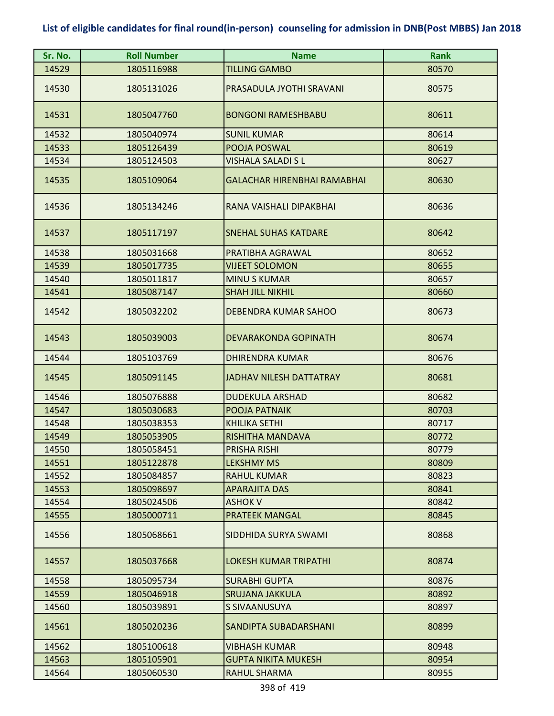| Sr. No. | <b>Roll Number</b> | <b>Name</b>                        | <b>Rank</b> |
|---------|--------------------|------------------------------------|-------------|
| 14529   | 1805116988         | <b>TILLING GAMBO</b>               | 80570       |
| 14530   | 1805131026         | PRASADULA JYOTHI SRAVANI           | 80575       |
| 14531   | 1805047760         | <b>BONGONI RAMESHBABU</b>          | 80611       |
| 14532   | 1805040974         | <b>SUNIL KUMAR</b>                 | 80614       |
| 14533   | 1805126439         | POOJA POSWAL                       | 80619       |
| 14534   | 1805124503         | VISHALA SALADI S L                 | 80627       |
| 14535   | 1805109064         | <b>GALACHAR HIRENBHAI RAMABHAI</b> | 80630       |
| 14536   | 1805134246         | RANA VAISHALI DIPAKBHAI            | 80636       |
| 14537   | 1805117197         | <b>SNEHAL SUHAS KATDARE</b>        | 80642       |
| 14538   | 1805031668         | PRATIBHA AGRAWAL                   | 80652       |
| 14539   | 1805017735         | <b>VIJEET SOLOMON</b>              | 80655       |
| 14540   | 1805011817         | <b>MINU S KUMAR</b>                | 80657       |
| 14541   | 1805087147         | <b>SHAH JILL NIKHIL</b>            | 80660       |
| 14542   | 1805032202         | DEBENDRA KUMAR SAHOO               | 80673       |
| 14543   | 1805039003         | <b>DEVARAKONDA GOPINATH</b>        | 80674       |
| 14544   | 1805103769         | <b>DHIRENDRA KUMAR</b>             | 80676       |
| 14545   | 1805091145         | JADHAV NILESH DATTATRAY            | 80681       |
| 14546   | 1805076888         | <b>DUDEKULA ARSHAD</b>             | 80682       |
| 14547   | 1805030683         | POOJA PATNAIK                      | 80703       |
| 14548   | 1805038353         | <b>KHILIKA SETHI</b>               | 80717       |
| 14549   | 1805053905         | RISHITHA MANDAVA                   | 80772       |
| 14550   | 1805058451         | PRISHA RISHI                       | 80779       |
| 14551   | 1805122878         | <b>LEKSHMY MS</b>                  | 80809       |
| 14552   | 1805084857         | <b>RAHUL KUMAR</b>                 | 80823       |
| 14553   | 1805098697         | <b>APARAJITA DAS</b>               | 80841       |
| 14554   | 1805024506         | ASHOK V                            | 80842       |
| 14555   | 1805000711         | <b>PRATEEK MANGAL</b>              | 80845       |
| 14556   | 1805068661         | SIDDHIDA SURYA SWAMI               | 80868       |
| 14557   | 1805037668         | <b>LOKESH KUMAR TRIPATHI</b>       | 80874       |
| 14558   | 1805095734         | <b>SURABHI GUPTA</b>               | 80876       |
| 14559   | 1805046918         | SRUJANA JAKKULA                    | 80892       |
| 14560   | 1805039891         | S SIVAANUSUYA                      | 80897       |
| 14561   | 1805020236         | SANDIPTA SUBADARSHANI              | 80899       |
| 14562   | 1805100618         | VIBHASH KUMAR                      | 80948       |
| 14563   | 1805105901         | <b>GUPTA NIKITA MUKESH</b>         | 80954       |
| 14564   | 1805060530         | RAHUL SHARMA                       | 80955       |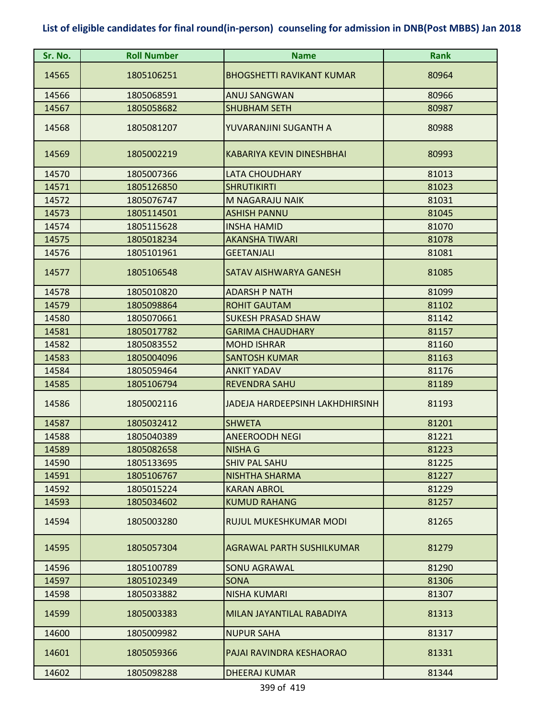| Sr. No. | <b>Roll Number</b> | <b>Name</b>                      | <b>Rank</b> |
|---------|--------------------|----------------------------------|-------------|
| 14565   | 1805106251         | <b>BHOGSHETTI RAVIKANT KUMAR</b> | 80964       |
| 14566   | 1805068591         | <b>ANUJ SANGWAN</b>              | 80966       |
| 14567   | 1805058682         | <b>SHUBHAM SETH</b>              | 80987       |
| 14568   | 1805081207         | YUVARANJINI SUGANTH A            | 80988       |
| 14569   | 1805002219         | KABARIYA KEVIN DINESHBHAI        | 80993       |
| 14570   | 1805007366         | <b>LATA CHOUDHARY</b>            | 81013       |
| 14571   | 1805126850         | <b>SHRUTIKIRTI</b>               | 81023       |
| 14572   | 1805076747         | M NAGARAJU NAIK                  | 81031       |
| 14573   | 1805114501         | <b>ASHISH PANNU</b>              | 81045       |
| 14574   | 1805115628         | <b>INSHA HAMID</b>               | 81070       |
| 14575   | 1805018234         | <b>AKANSHA TIWARI</b>            | 81078       |
| 14576   | 1805101961         | <b>GEETANJALI</b>                | 81081       |
| 14577   | 1805106548         | SATAV AISHWARYA GANESH           | 81085       |
| 14578   | 1805010820         | <b>ADARSH P NATH</b>             | 81099       |
| 14579   | 1805098864         | <b>ROHIT GAUTAM</b>              | 81102       |
| 14580   | 1805070661         | <b>SUKESH PRASAD SHAW</b>        | 81142       |
| 14581   | 1805017782         | <b>GARIMA CHAUDHARY</b>          | 81157       |
| 14582   | 1805083552         | <b>MOHD ISHRAR</b>               | 81160       |
| 14583   | 1805004096         | <b>SANTOSH KUMAR</b>             | 81163       |
| 14584   | 1805059464         | <b>ANKIT YADAV</b>               | 81176       |
| 14585   | 1805106794         | <b>REVENDRA SAHU</b>             | 81189       |
| 14586   | 1805002116         | JADEJA HARDEEPSINH LAKHDHIRSINH  | 81193       |
| 14587   | 1805032412         | <b>SHWETA</b>                    | 81201       |
| 14588   | 1805040389         | <b>ANEEROODH NEGI</b>            | 81221       |
| 14589   | 1805082658         | <b>NISHA G</b>                   | 81223       |
| 14590   | 1805133695         | <b>SHIV PAL SAHU</b>             | 81225       |
| 14591   | 1805106767         | <b>NISHTHA SHARMA</b>            | 81227       |
| 14592   | 1805015224         | <b>KARAN ABROL</b>               | 81229       |
| 14593   | 1805034602         | <b>KUMUD RAHANG</b>              | 81257       |
| 14594   | 1805003280         | RUJUL MUKESHKUMAR MODI           | 81265       |
| 14595   | 1805057304         | <b>AGRAWAL PARTH SUSHILKUMAR</b> | 81279       |
| 14596   | 1805100789         | <b>SONU AGRAWAL</b>              | 81290       |
| 14597   | 1805102349         | <b>SONA</b>                      | 81306       |
| 14598   | 1805033882         | <b>NISHA KUMARI</b>              | 81307       |
| 14599   | 1805003383         | MILAN JAYANTILAL RABADIYA        | 81313       |
| 14600   | 1805009982         | <b>NUPUR SAHA</b>                | 81317       |
| 14601   | 1805059366         | PAJAI RAVINDRA KESHAORAO         | 81331       |
| 14602   | 1805098288         | <b>DHEERAJ KUMAR</b>             | 81344       |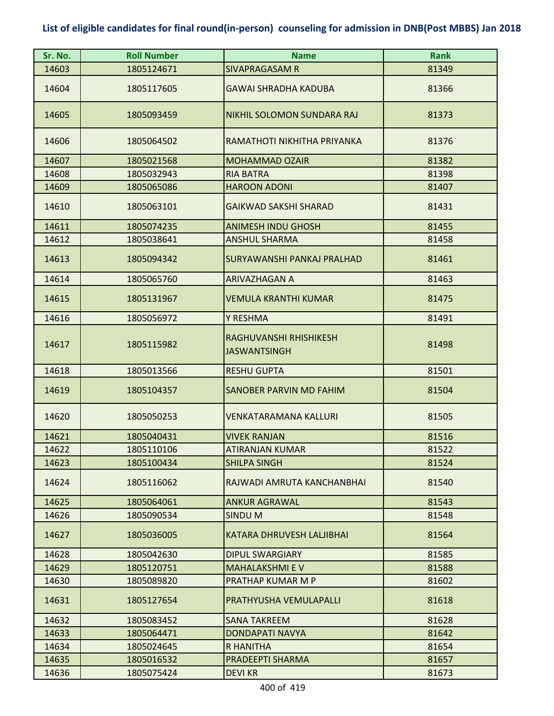| Sr. No. | <b>Roll Number</b> | <b>Name</b>                                   | <b>Rank</b> |
|---------|--------------------|-----------------------------------------------|-------------|
| 14603   | 1805124671         | <b>SIVAPRAGASAM R</b>                         | 81349       |
| 14604   | 1805117605         | <b>GAWAI SHRADHA KADUBA</b>                   | 81366       |
| 14605   | 1805093459         | NIKHIL SOLOMON SUNDARA RAJ                    | 81373       |
| 14606   | 1805064502         | RAMATHOTI NIKHITHA PRIYANKA                   | 81376       |
| 14607   | 1805021568         | <b>MOHAMMAD OZAIR</b>                         | 81382       |
| 14608   | 1805032943         | <b>RIA BATRA</b>                              | 81398       |
| 14609   | 1805065086         | <b>HAROON ADONI</b>                           | 81407       |
| 14610   | 1805063101         | <b>GAIKWAD SAKSHI SHARAD</b>                  | 81431       |
| 14611   | 1805074235         | <b>ANIMESH INDU GHOSH</b>                     | 81455       |
| 14612   | 1805038641         | <b>ANSHUL SHARMA</b>                          | 81458       |
| 14613   | 1805094342         | SURYAWANSHI PANKAJ PRALHAD                    | 81461       |
| 14614   | 1805065760         | <b>ARIVAZHAGAN A</b>                          | 81463       |
| 14615   | 1805131967         | VEMULA KRANTHI KUMAR                          | 81475       |
| 14616   | 1805056972         | Y RESHMA                                      | 81491       |
| 14617   | 1805115982         | RAGHUVANSHI RHISHIKESH<br><b>JASWANTSINGH</b> | 81498       |
| 14618   | 1805013566         | <b>RESHU GUPTA</b>                            | 81501       |
| 14619   | 1805104357         | SANOBER PARVIN MD FAHIM                       | 81504       |
| 14620   | 1805050253         | <b>VENKATARAMANA KALLURI</b>                  | 81505       |
| 14621   | 1805040431         | <b>VIVEK RANJAN</b>                           | 81516       |
| 14622   | 1805110106         | ATIRANJAN KUMAR                               | 81522       |
| 14623   | 1805100434         | <b>SHILPA SINGH</b>                           | 81524       |
| 14624   | 1805116062         | RAJWADI AMRUTA KANCHANBHAI                    | 81540       |
| 14625   | 1805064061         | <b>ANKUR AGRAWAL</b>                          | 81543       |
| 14626   | 1805090534         | <b>SINDUM</b>                                 | 81548       |
| 14627   | 1805036005         | KATARA DHRUVESH LALJIBHAI                     | 81564       |
| 14628   | 1805042630         | <b>DIPUL SWARGIARY</b>                        | 81585       |
| 14629   | 1805120751         | <b>MAHALAKSHMI E V</b>                        | 81588       |
| 14630   | 1805089820         | PRATHAP KUMAR M P                             | 81602       |
| 14631   | 1805127654         | PRATHYUSHA VEMULAPALLI                        | 81618       |
| 14632   | 1805083452         | <b>SANA TAKREEM</b>                           | 81628       |
| 14633   | 1805064471         | <b>DONDAPATI NAVYA</b>                        | 81642       |
| 14634   | 1805024645         | R HANITHA                                     | 81654       |
| 14635   | 1805016532         | PRADEEPTI SHARMA                              | 81657       |
| 14636   | 1805075424         | <b>DEVI KR</b>                                | 81673       |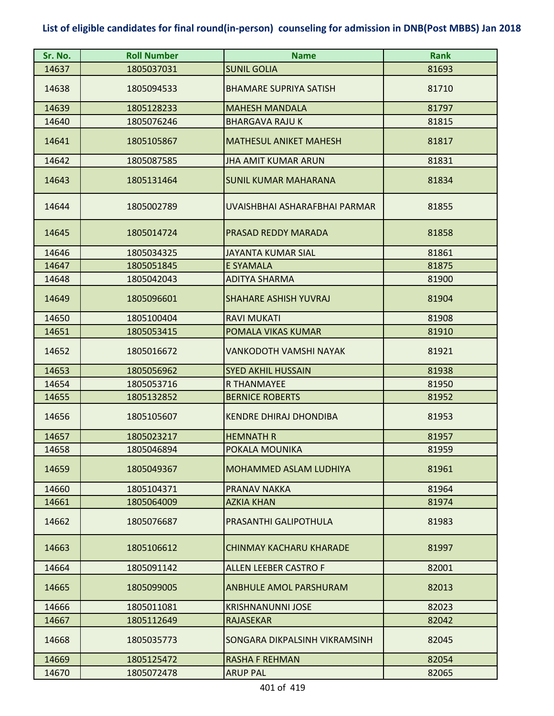| Sr. No. | <b>Roll Number</b> | <b>Name</b>                   | <b>Rank</b> |
|---------|--------------------|-------------------------------|-------------|
| 14637   | 1805037031         | <b>SUNIL GOLIA</b>            | 81693       |
| 14638   | 1805094533         | <b>BHAMARE SUPRIYA SATISH</b> | 81710       |
| 14639   | 1805128233         | <b>MAHESH MANDALA</b>         | 81797       |
| 14640   | 1805076246         | <b>BHARGAVA RAJU K</b>        | 81815       |
| 14641   | 1805105867         | <b>MATHESUL ANIKET MAHESH</b> | 81817       |
| 14642   | 1805087585         | <b>JHA AMIT KUMAR ARUN</b>    | 81831       |
| 14643   | 1805131464         | <b>SUNIL KUMAR MAHARANA</b>   | 81834       |
| 14644   | 1805002789         | UVAISHBHAI ASHARAFBHAI PARMAR | 81855       |
| 14645   | 1805014724         | PRASAD REDDY MARADA           | 81858       |
| 14646   | 1805034325         | <b>JAYANTA KUMAR SIAL</b>     | 81861       |
| 14647   | 1805051845         | <b>E SYAMALA</b>              | 81875       |
| 14648   | 1805042043         | <b>ADITYA SHARMA</b>          | 81900       |
| 14649   | 1805096601         | <b>SHAHARE ASHISH YUVRAJ</b>  | 81904       |
| 14650   | 1805100404         | <b>RAVI MUKATI</b>            | 81908       |
| 14651   | 1805053415         | POMALA VIKAS KUMAR            | 81910       |
| 14652   | 1805016672         | VANKODOTH VAMSHI NAYAK        | 81921       |
| 14653   | 1805056962         | <b>SYED AKHIL HUSSAIN</b>     | 81938       |
| 14654   | 1805053716         | <b>R THANMAYEE</b>            | 81950       |
| 14655   | 1805132852         | <b>BERNICE ROBERTS</b>        | 81952       |
| 14656   | 1805105607         | <b>KENDRE DHIRAJ DHONDIBA</b> | 81953       |
| 14657   | 1805023217         | <b>HEMNATH R</b>              | 81957       |
| 14658   | 1805046894         | POKALA MOUNIKA                | 81959       |
| 14659   | 1805049367         | <b>MOHAMMED ASLAM LUDHIYA</b> | 81961       |
| 14660   | 1805104371         | <b>PRANAV NAKKA</b>           | 81964       |
| 14661   | 1805064009         | <b>AZKIA KHAN</b>             | 81974       |
| 14662   | 1805076687         | PRASANTHI GALIPOTHULA         | 81983       |
| 14663   | 1805106612         | CHINMAY KACHARU KHARADE       | 81997       |
| 14664   | 1805091142         | <b>ALLEN LEEBER CASTRO F</b>  | 82001       |
| 14665   | 1805099005         | <b>ANBHULE AMOL PARSHURAM</b> | 82013       |
| 14666   | 1805011081         | <b>KRISHNANUNNI JOSE</b>      | 82023       |
| 14667   | 1805112649         | <b>RAJASEKAR</b>              | 82042       |
| 14668   | 1805035773         | SONGARA DIKPALSINH VIKRAMSINH | 82045       |
| 14669   | 1805125472         | <b>RASHA F REHMAN</b>         | 82054       |
| 14670   | 1805072478         | <b>ARUP PAL</b>               | 82065       |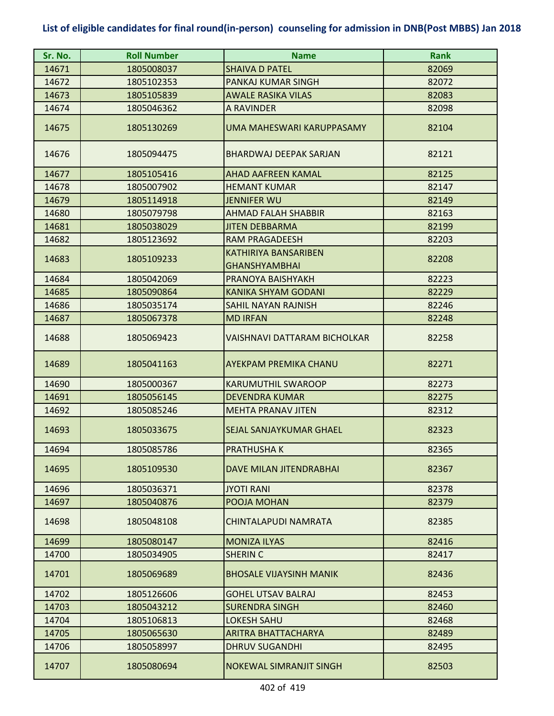| Sr. No. | <b>Roll Number</b> | <b>Name</b>                    | <b>Rank</b> |
|---------|--------------------|--------------------------------|-------------|
| 14671   | 1805008037         | <b>SHAIVA D PATEL</b>          | 82069       |
| 14672   | 1805102353         | <b>PANKAJ KUMAR SINGH</b>      | 82072       |
| 14673   | 1805105839         | <b>AWALE RASIKA VILAS</b>      | 82083       |
| 14674   | 1805046362         | A RAVINDER                     | 82098       |
| 14675   | 1805130269         | UMA MAHESWARI KARUPPASAMY      | 82104       |
| 14676   | 1805094475         | <b>BHARDWAJ DEEPAK SARJAN</b>  | 82121       |
| 14677   | 1805105416         | <b>AHAD AAFREEN KAMAL</b>      | 82125       |
| 14678   | 1805007902         | <b>HEMANT KUMAR</b>            | 82147       |
| 14679   | 1805114918         | <b>JENNIFER WU</b>             | 82149       |
| 14680   | 1805079798         | <b>AHMAD FALAH SHABBIR</b>     | 82163       |
| 14681   | 1805038029         | <b>JITEN DEBBARMA</b>          | 82199       |
| 14682   | 1805123692         | <b>RAM PRAGADEESH</b>          | 82203       |
| 14683   | 1805109233         | <b>KATHIRIYA BANSARIBEN</b>    | 82208       |
|         |                    | <b>GHANSHYAMBHAI</b>           |             |
| 14684   | 1805042069         | PRANOYA BAISHYAKH              | 82223       |
| 14685   | 1805090864         | KANIKA SHYAM GODANI            | 82229       |
| 14686   | 1805035174         | <b>SAHIL NAYAN RAJNISH</b>     | 82246       |
| 14687   | 1805067378         | <b>MD IRFAN</b>                | 82248       |
| 14688   | 1805069423         | VAISHNAVI DATTARAM BICHOLKAR   | 82258       |
| 14689   | 1805041163         | <b>AYEKPAM PREMIKA CHANU</b>   | 82271       |
| 14690   | 1805000367         | <b>KARUMUTHIL SWAROOP</b>      | 82273       |
| 14691   | 1805056145         | <b>DEVENDRA KUMAR</b>          | 82275       |
| 14692   | 1805085246         | <b>MEHTA PRANAV JITEN</b>      | 82312       |
| 14693   | 1805033675         | <b>SEJAL SANJAYKUMAR GHAEL</b> | 82323       |
| 14694   | 1805085786         | <b>PRATHUSHAK</b>              | 82365       |
| 14695   | 1805109530         | DAVE MILAN JITENDRABHAI        | 82367       |
| 14696   | 1805036371         | <b>JYOTI RANI</b>              | 82378       |
| 14697   | 1805040876         | POOJA MOHAN                    | 82379       |
| 14698   | 1805048108         | CHINTALAPUDI NAMRATA           | 82385       |
| 14699   | 1805080147         | <b>MONIZA ILYAS</b>            | 82416       |
| 14700   | 1805034905         | <b>SHERIN C</b>                | 82417       |
| 14701   | 1805069689         | <b>BHOSALE VIJAYSINH MANIK</b> | 82436       |
| 14702   | 1805126606         | <b>GOHEL UTSAV BALRAJ</b>      | 82453       |
| 14703   | 1805043212         | <b>SURENDRA SINGH</b>          | 82460       |
| 14704   | 1805106813         | <b>LOKESH SAHU</b>             | 82468       |
| 14705   | 1805065630         | ARITRA BHATTACHARYA            | 82489       |
| 14706   | 1805058997         | <b>DHRUV SUGANDHI</b>          | 82495       |
| 14707   | 1805080694         | <b>NOKEWAL SIMRANJIT SINGH</b> | 82503       |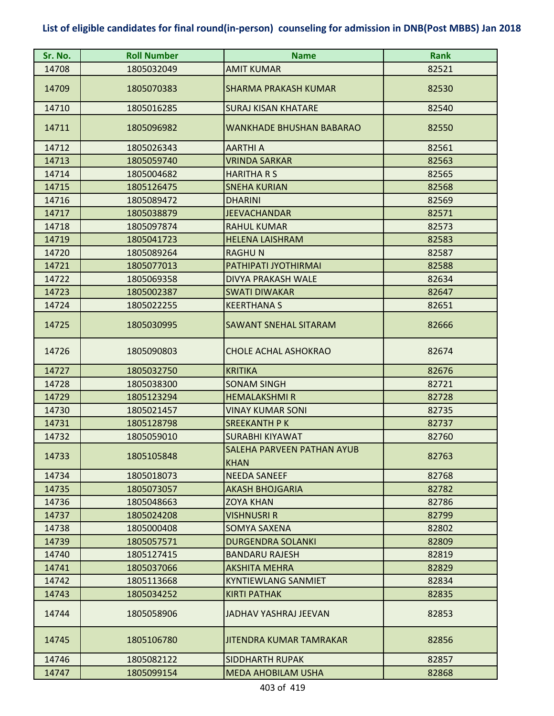| Sr. No. | <b>Roll Number</b> | <b>Name</b>                                      | <b>Rank</b> |
|---------|--------------------|--------------------------------------------------|-------------|
| 14708   | 1805032049         | <b>AMIT KUMAR</b>                                | 82521       |
| 14709   | 1805070383         | <b>SHARMA PRAKASH KUMAR</b>                      | 82530       |
| 14710   | 1805016285         | <b>SURAJ KISAN KHATARE</b>                       | 82540       |
| 14711   | 1805096982         | <b>WANKHADE BHUSHAN BABARAO</b>                  | 82550       |
| 14712   | 1805026343         | <b>AARTHI A</b>                                  | 82561       |
| 14713   | 1805059740         | <b>VRINDA SARKAR</b>                             | 82563       |
| 14714   | 1805004682         | <b>HARITHARS</b>                                 | 82565       |
| 14715   | 1805126475         | <b>SNEHA KURIAN</b>                              | 82568       |
| 14716   | 1805089472         | <b>DHARINI</b>                                   | 82569       |
| 14717   | 1805038879         | <b>JEEVACHANDAR</b>                              | 82571       |
| 14718   | 1805097874         | <b>RAHUL KUMAR</b>                               | 82573       |
| 14719   | 1805041723         | <b>HELENA LAISHRAM</b>                           | 82583       |
| 14720   | 1805089264         | <b>RAGHUN</b>                                    | 82587       |
| 14721   | 1805077013         | PATHIPATI JYOTHIRMAI                             | 82588       |
| 14722   | 1805069358         | <b>DIVYA PRAKASH WALE</b>                        | 82634       |
| 14723   | 1805002387         | <b>SWATI DIWAKAR</b>                             | 82647       |
| 14724   | 1805022255         | <b>KEERTHANA S</b>                               | 82651       |
| 14725   | 1805030995         | <b>SAWANT SNEHAL SITARAM</b>                     | 82666       |
| 14726   | 1805090803         | <b>CHOLE ACHAL ASHOKRAO</b>                      | 82674       |
| 14727   | 1805032750         | <b>KRITIKA</b>                                   | 82676       |
| 14728   | 1805038300         | <b>SONAM SINGH</b>                               | 82721       |
| 14729   | 1805123294         | <b>HEMALAKSHMIR</b>                              | 82728       |
| 14730   | 1805021457         | <b>VINAY KUMAR SONI</b>                          | 82735       |
| 14731   | 1805128798         | <b>SREEKANTH PK</b>                              | 82737       |
| 14732   | 1805059010         | <b>SURABHI KIYAWAT</b>                           | 82760       |
| 14733   | 1805105848         | <b>SALEHA PARVEEN PATHAN AYUB</b><br><b>KHAN</b> | 82763       |
| 14734   | 1805018073         | <b>NEEDA SANEEF</b>                              | 82768       |
| 14735   | 1805073057         | <b>AKASH BHOJGARIA</b>                           | 82782       |
| 14736   | 1805048663         | <b>ZOYA KHAN</b>                                 | 82786       |
| 14737   | 1805024208         | VISHNUSRI R                                      | 82799       |
| 14738   | 1805000408         | <b>SOMYA SAXENA</b>                              | 82802       |
| 14739   | 1805057571         | <b>DURGENDRA SOLANKI</b>                         | 82809       |
| 14740   | 1805127415         | <b>BANDARU RAJESH</b>                            | 82819       |
| 14741   | 1805037066         | <b>AKSHITA MEHRA</b>                             | 82829       |
| 14742   | 1805113668         | <b>KYNTIEWLANG SANMIET</b>                       | 82834       |
| 14743   | 1805034252         | <b>KIRTI PATHAK</b>                              | 82835       |
| 14744   | 1805058906         | JADHAV YASHRAJ JEEVAN                            | 82853       |
| 14745   | 1805106780         | JITENDRA KUMAR TAMRAKAR                          | 82856       |
| 14746   | 1805082122         | <b>SIDDHARTH RUPAK</b>                           | 82857       |
| 14747   | 1805099154         | <b>MEDA AHOBILAM USHA</b>                        | 82868       |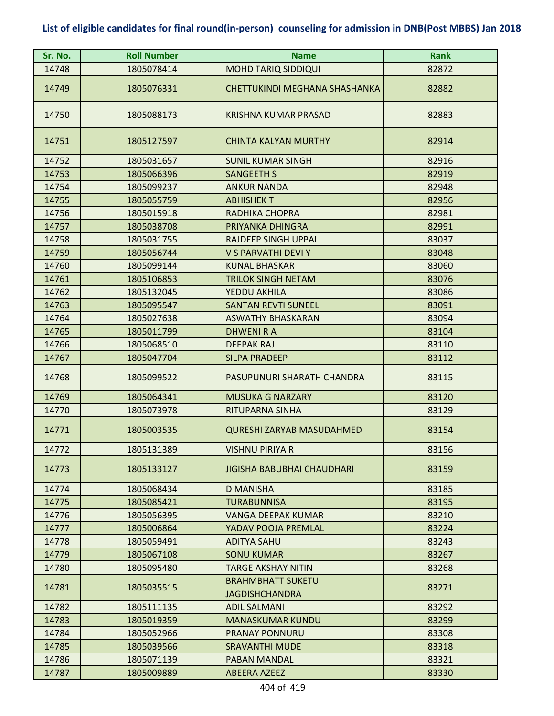| Sr. No. | <b>Roll Number</b> | <b>Name</b>                                | <b>Rank</b> |
|---------|--------------------|--------------------------------------------|-------------|
| 14748   | 1805078414         | <b>MOHD TARIQ SIDDIQUI</b>                 | 82872       |
| 14749   | 1805076331         | CHETTUKINDI MEGHANA SHASHANKA              | 82882       |
| 14750   | 1805088173         | KRISHNA KUMAR PRASAD                       | 82883       |
| 14751   | 1805127597         | <b>CHINTA KALYAN MURTHY</b>                | 82914       |
| 14752   | 1805031657         | <b>SUNIL KUMAR SINGH</b>                   | 82916       |
| 14753   | 1805066396         | <b>SANGEETH S</b>                          | 82919       |
| 14754   | 1805099237         | <b>ANKUR NANDA</b>                         | 82948       |
| 14755   | 1805055759         | <b>ABHISHEKT</b>                           | 82956       |
| 14756   | 1805015918         | RADHIKA CHOPRA                             | 82981       |
| 14757   | 1805038708         | PRIYANKA DHINGRA                           | 82991       |
| 14758   | 1805031755         | <b>RAJDEEP SINGH UPPAL</b>                 | 83037       |
| 14759   | 1805056744         | V S PARVATHI DEVI Y                        | 83048       |
| 14760   | 1805099144         | <b>KUNAL BHASKAR</b>                       | 83060       |
| 14761   | 1805106853         | <b>TRILOK SINGH NETAM</b>                  | 83076       |
| 14762   | 1805132045         | YEDDU AKHILA                               | 83086       |
| 14763   | 1805095547         | <b>SANTAN REVTI SUNEEL</b>                 | 83091       |
| 14764   | 1805027638         | <b>ASWATHY BHASKARAN</b>                   | 83094       |
| 14765   | 1805011799         | <b>DHWENIRA</b>                            | 83104       |
| 14766   | 1805068510         | <b>DEEPAK RAJ</b>                          | 83110       |
| 14767   | 1805047704         | <b>SILPA PRADEEP</b>                       | 83112       |
| 14768   | 1805099522         | PASUPUNURI SHARATH CHANDRA                 | 83115       |
| 14769   | 1805064341         | <b>MUSUKA G NARZARY</b>                    | 83120       |
| 14770   | 1805073978         | RITUPARNA SINHA                            | 83129       |
| 14771   | 1805003535         | <b>QURESHI ZARYAB MASUDAHMED</b>           | 83154       |
| 14772   | 1805131389         | <b>VISHNU PIRIYA R</b>                     | 83156       |
| 14773   | 1805133127         | JIGISHA BABUBHAI CHAUDHARI                 | 83159       |
| 14774   | 1805068434         | <b>D MANISHA</b>                           | 83185       |
| 14775   | 1805085421         | <b>TURABUNNISA</b>                         | 83195       |
| 14776   | 1805056395         | <b>VANGA DEEPAK KUMAR</b>                  | 83210       |
| 14777   | 1805006864         | YADAV POOJA PREMLAL                        | 83224       |
| 14778   | 1805059491         | <b>ADITYA SAHU</b>                         | 83243       |
| 14779   | 1805067108         | <b>SONU KUMAR</b>                          | 83267       |
| 14780   | 1805095480         | <b>TARGE AKSHAY NITIN</b>                  | 83268       |
| 14781   | 1805035515         | <b>BRAHMBHATT SUKETU</b><br>JAGDISHCHANDRA | 83271       |
| 14782   | 1805111135         | <b>ADIL SALMANI</b>                        | 83292       |
| 14783   | 1805019359         | <b>MANASKUMAR KUNDU</b>                    | 83299       |
| 14784   | 1805052966         | <b>PRANAY PONNURU</b>                      | 83308       |
| 14785   | 1805039566         | <b>SRAVANTHI MUDE</b>                      | 83318       |
| 14786   | 1805071139         | <b>PABAN MANDAL</b>                        | 83321       |
| 14787   | 1805009889         | <b>ABEERA AZEEZ</b>                        | 83330       |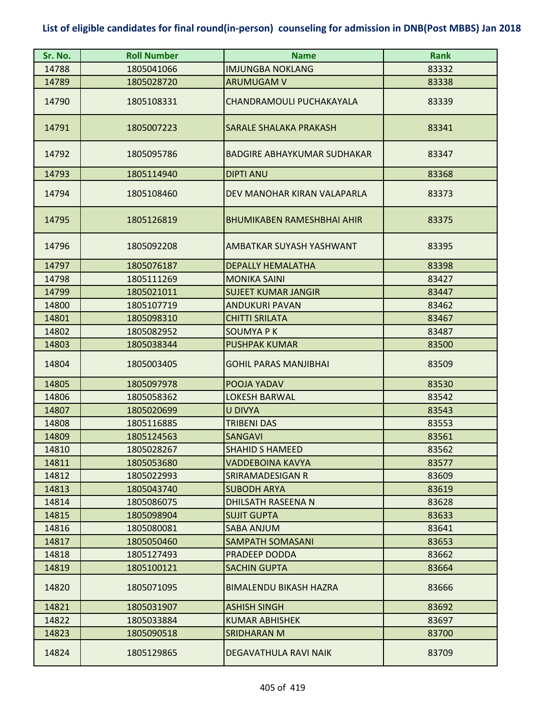| Sr. No. | <b>Roll Number</b> | <b>Name</b>                       | <b>Rank</b> |
|---------|--------------------|-----------------------------------|-------------|
| 14788   | 1805041066         | <b>IMJUNGBA NOKLANG</b>           | 83332       |
| 14789   | 1805028720         | <b>ARUMUGAM V</b>                 | 83338       |
| 14790   | 1805108331         | CHANDRAMOULI PUCHAKAYALA          | 83339       |
| 14791   | 1805007223         | <b>SARALE SHALAKA PRAKASH</b>     | 83341       |
| 14792   | 1805095786         | BADGIRE ABHAYKUMAR SUDHAKAR       | 83347       |
| 14793   | 1805114940         | <b>DIPTI ANU</b>                  | 83368       |
| 14794   | 1805108460         | DEV MANOHAR KIRAN VALAPARLA       | 83373       |
| 14795   | 1805126819         | <b>BHUMIKABEN RAMESHBHAI AHIR</b> | 83375       |
| 14796   | 1805092208         | AMBATKAR SUYASH YASHWANT          | 83395       |
| 14797   | 1805076187         | <b>DEPALLY HEMALATHA</b>          | 83398       |
| 14798   | 1805111269         | <b>MONIKA SAINI</b>               | 83427       |
| 14799   | 1805021011         | <b>SUJEET KUMAR JANGIR</b>        | 83447       |
| 14800   | 1805107719         | <b>ANDUKURI PAVAN</b>             | 83462       |
| 14801   | 1805098310         | <b>CHITTI SRILATA</b>             | 83467       |
| 14802   | 1805082952         | <b>SOUMYAPK</b>                   | 83487       |
| 14803   | 1805038344         | <b>PUSHPAK KUMAR</b>              | 83500       |
| 14804   | 1805003405         | <b>GOHIL PARAS MANJIBHAI</b>      | 83509       |
| 14805   | 1805097978         | POOJA YADAV                       | 83530       |
| 14806   | 1805058362         | <b>LOKESH BARWAL</b>              | 83542       |
| 14807   | 1805020699         | <b>U DIVYA</b>                    | 83543       |
| 14808   | 1805116885         | <b>TRIBENI DAS</b>                | 83553       |
| 14809   | 1805124563         | <b>SANGAVI</b>                    | 83561       |
| 14810   | 1805028267         | <b>SHAHID S HAMEED</b>            | 83562       |
| 14811   | 1805053680         | <b>VADDEBOINA KAVYA</b>           | 83577       |
| 14812   | 1805022993         | SRIRAMADESIGAN R                  | 83609       |
| 14813   | 1805043740         | <b>SUBODH ARYA</b>                | 83619       |
| 14814   | 1805086075         | <b>DHILSATH RASEENA N</b>         | 83628       |
| 14815   | 1805098904         | <b>SUJIT GUPTA</b>                | 83633       |
| 14816   | 1805080081         | SABA ANJUM                        | 83641       |
| 14817   | 1805050460         | <b>SAMPATH SOMASANI</b>           | 83653       |
| 14818   | 1805127493         | PRADEEP DODDA                     | 83662       |
| 14819   | 1805100121         | <b>SACHIN GUPTA</b>               | 83664       |
| 14820   | 1805071095         | <b>BIMALENDU BIKASH HAZRA</b>     | 83666       |
| 14821   | 1805031907         | <b>ASHISH SINGH</b>               | 83692       |
| 14822   | 1805033884         | <b>KUMAR ABHISHEK</b>             | 83697       |
| 14823   | 1805090518         | <b>SRIDHARAN M</b>                | 83700       |
| 14824   | 1805129865         | DEGAVATHULA RAVI NAIK             | 83709       |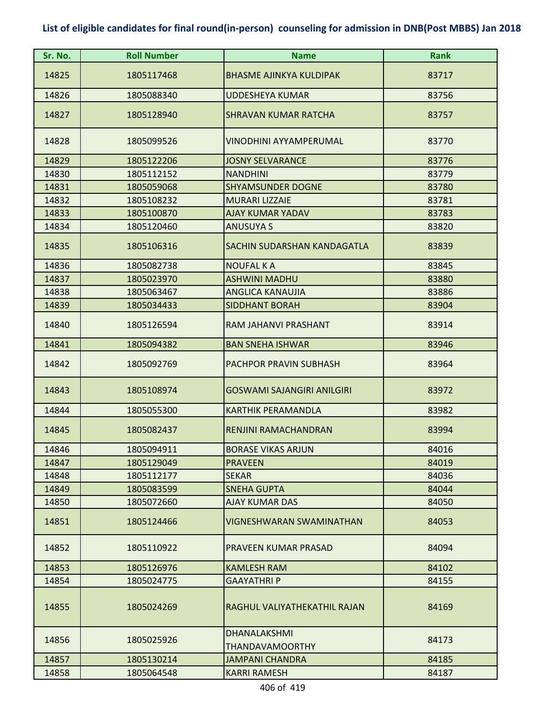| Sr. No. | <b>Roll Number</b> | <b>Name</b>                                   | <b>Rank</b> |
|---------|--------------------|-----------------------------------------------|-------------|
| 14825   | 1805117468         | <b>BHASME AJINKYA KULDIPAK</b>                | 83717       |
| 14826   | 1805088340         | <b>UDDESHEYA KUMAR</b>                        | 83756       |
| 14827   | 1805128940         | <b>SHRAVAN KUMAR RATCHA</b>                   | 83757       |
| 14828   | 1805099526         | VINODHINI AYYAMPERUMAL                        | 83770       |
| 14829   | 1805122206         | <b>JOSNY SELVARANCE</b>                       | 83776       |
| 14830   | 1805112152         | <b>NANDHINI</b>                               | 83779       |
| 14831   | 1805059068         | <b>SHYAMSUNDER DOGNE</b>                      | 83780       |
| 14832   | 1805108232         | <b>MURARI LIZZAIE</b>                         | 83781       |
| 14833   | 1805100870         | <b>AJAY KUMAR YADAV</b>                       | 83783       |
| 14834   | 1805120460         | <b>ANUSUYA S</b>                              | 83820       |
| 14835   | 1805106316         | SACHIN SUDARSHAN KANDAGATLA                   | 83839       |
| 14836   | 1805082738         | <b>NOUFAL K A</b>                             | 83845       |
| 14837   | 1805023970         | <b>ASHWINI MADHU</b>                          | 83880       |
| 14838   | 1805063467         | <b>ANGLICA KANAUJIA</b>                       | 83886       |
| 14839   | 1805034433         | <b>SIDDHANT BORAH</b>                         | 83904       |
| 14840   | 1805126594         | RAM JAHANVI PRASHANT                          | 83914       |
| 14841   | 1805094382         | <b>BAN SNEHA ISHWAR</b>                       | 83946       |
| 14842   | 1805092769         | PACHPOR PRAVIN SUBHASH                        | 83964       |
| 14843   | 1805108974         | <b>GOSWAMI SAJANGIRI ANILGIRI</b>             | 83972       |
| 14844   | 1805055300         | <b>KARTHIK PERAMANDLA</b>                     | 83982       |
| 14845   | 1805082437         | RENJINI RAMACHANDRAN                          | 83994       |
| 14846   | 1805094911         | <b>BORASE VIKAS ARJUN</b>                     | 84016       |
| 14847   | 1805129049         | <b>PRAVEEN</b>                                | 84019       |
| 14848   | 1805112177         | <b>SEKAR</b>                                  | 84036       |
| 14849   | 1805083599         | <b>SNEHA GUPTA</b>                            | 84044       |
| 14850   | 1805072660         | <b>AJAY KUMAR DAS</b>                         | 84050       |
| 14851   | 1805124466         | VIGNESHWARAN SWAMINATHAN                      | 84053       |
| 14852   | 1805110922         | PRAVEEN KUMAR PRASAD                          | 84094       |
| 14853   | 1805126976         | <b>KAMLESH RAM</b>                            | 84102       |
| 14854   | 1805024775         | <b>GAAYATHRIP</b>                             | 84155       |
| 14855   | 1805024269         | RAGHUL VALIYATHEKATHIL RAJAN                  | 84169       |
| 14856   | 1805025926         | <b>DHANALAKSHMI</b><br><b>THANDAVAMOORTHY</b> | 84173       |
| 14857   | 1805130214         | <b>JAMPANI CHANDRA</b>                        | 84185       |
| 14858   | 1805064548         | <b>KARRI RAMESH</b>                           | 84187       |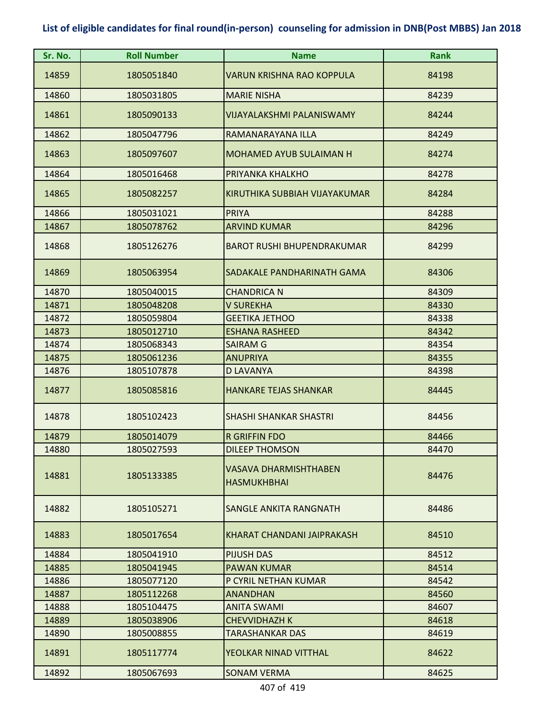| Sr. No. | <b>Roll Number</b> | <b>Name</b>                                 | <b>Rank</b> |
|---------|--------------------|---------------------------------------------|-------------|
| 14859   | 1805051840         | <b>VARUN KRISHNA RAO KOPPULA</b>            | 84198       |
| 14860   | 1805031805         | <b>MARIE NISHA</b>                          | 84239       |
| 14861   | 1805090133         | VIJAYALAKSHMI PALANISWAMY                   | 84244       |
| 14862   | 1805047796         | RAMANARAYANA ILLA                           | 84249       |
| 14863   | 1805097607         | <b>MOHAMED AYUB SULAIMAN H</b>              | 84274       |
| 14864   | 1805016468         | PRIYANKA KHALKHO                            | 84278       |
| 14865   | 1805082257         | KIRUTHIKA SUBBIAH VIJAYAKUMAR               | 84284       |
| 14866   | 1805031021         | <b>PRIYA</b>                                | 84288       |
| 14867   | 1805078762         | <b>ARVIND KUMAR</b>                         | 84296       |
| 14868   | 1805126276         | <b>BAROT RUSHI BHUPENDRAKUMAR</b>           | 84299       |
| 14869   | 1805063954         | SADAKALE PANDHARINATH GAMA                  | 84306       |
| 14870   | 1805040015         | <b>CHANDRICA N</b>                          | 84309       |
| 14871   | 1805048208         | <b>V SUREKHA</b>                            | 84330       |
| 14872   | 1805059804         | <b>GEETIKA JETHOO</b>                       | 84338       |
| 14873   | 1805012710         | <b>ESHANA RASHEED</b>                       | 84342       |
| 14874   | 1805068343         | <b>SAIRAM G</b>                             | 84354       |
| 14875   | 1805061236         | <b>ANUPRIYA</b>                             | 84355       |
| 14876   | 1805107878         | <b>D LAVANYA</b>                            | 84398       |
| 14877   | 1805085816         | <b>HANKARE TEJAS SHANKAR</b>                | 84445       |
| 14878   | 1805102423         | <b>SHASHI SHANKAR SHASTRI</b>               | 84456       |
| 14879   | 1805014079         | <b>R GRIFFIN FDO</b>                        | 84466       |
| 14880   | 1805027593         | <b>DILEEP THOMSON</b>                       | 84470       |
| 14881   | 1805133385         | VASAVA DHARMISHTHABEN<br><b>HASMUKHBHAI</b> | 84476       |
| 14882   | 1805105271         | SANGLE ANKITA RANGNATH                      | 84486       |
| 14883   | 1805017654         | KHARAT CHANDANI JAIPRAKASH                  | 84510       |
| 14884   | 1805041910         | <b>PIJUSH DAS</b>                           | 84512       |
| 14885   | 1805041945         | <b>PAWAN KUMAR</b>                          | 84514       |
| 14886   | 1805077120         | P CYRIL NETHAN KUMAR                        | 84542       |
| 14887   | 1805112268         | <b>ANANDHAN</b>                             | 84560       |
| 14888   | 1805104475         | <b>ANITA SWAMI</b>                          | 84607       |
| 14889   | 1805038906         | <b>CHEVVIDHAZH K</b>                        | 84618       |
| 14890   | 1805008855         | <b>TARASHANKAR DAS</b>                      | 84619       |
| 14891   | 1805117774         | YEOLKAR NINAD VITTHAL                       | 84622       |
| 14892   | 1805067693         | <b>SONAM VERMA</b>                          | 84625       |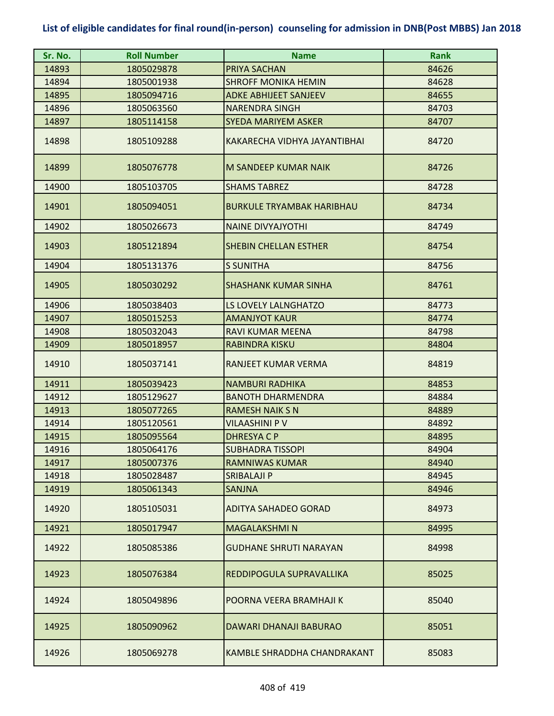| Sr. No. | <b>Roll Number</b> | <b>Name</b>                      | <b>Rank</b> |
|---------|--------------------|----------------------------------|-------------|
| 14893   | 1805029878         | PRIYA SACHAN                     | 84626       |
| 14894   | 1805001938         | <b>SHROFF MONIKA HEMIN</b>       | 84628       |
| 14895   | 1805094716         | <b>ADKE ABHIJEET SANJEEV</b>     | 84655       |
| 14896   | 1805063560         | <b>NARENDRA SINGH</b>            | 84703       |
| 14897   | 1805114158         | <b>SYEDA MARIYEM ASKER</b>       | 84707       |
| 14898   | 1805109288         | KAKARECHA VIDHYA JAYANTIBHAI     | 84720       |
| 14899   | 1805076778         | <b>M SANDEEP KUMAR NAIK</b>      | 84726       |
| 14900   | 1805103705         | <b>SHAMS TABREZ</b>              | 84728       |
| 14901   | 1805094051         | <b>BURKULE TRYAMBAK HARIBHAU</b> | 84734       |
| 14902   | 1805026673         | <b>NAINE DIVYAJYOTHI</b>         | 84749       |
| 14903   | 1805121894         | <b>SHEBIN CHELLAN ESTHER</b>     | 84754       |
| 14904   | 1805131376         | <b>S SUNITHA</b>                 | 84756       |
| 14905   | 1805030292         | <b>SHASHANK KUMAR SINHA</b>      | 84761       |
| 14906   | 1805038403         | <b>LS LOVELY LALNGHATZO</b>      | 84773       |
| 14907   | 1805015253         | <b>AMANJYOT KAUR</b>             | 84774       |
| 14908   | 1805032043         | RAVI KUMAR MEENA                 | 84798       |
| 14909   | 1805018957         | <b>RABINDRA KISKU</b>            | 84804       |
| 14910   | 1805037141         | RANJEET KUMAR VERMA              | 84819       |
| 14911   | 1805039423         | <b>NAMBURI RADHIKA</b>           | 84853       |
| 14912   | 1805129627         | <b>BANOTH DHARMENDRA</b>         | 84884       |
| 14913   | 1805077265         | <b>RAMESH NAIK S N</b>           | 84889       |
| 14914   | 1805120561         | <b>VILAASHINI P V</b>            | 84892       |
| 14915   | 1805095564         | <b>DHRESYACP</b>                 | 84895       |
| 14916   | 1805064176         | <b>SUBHADRA TISSOPI</b>          | 84904       |
| 14917   | 1805007376         | <b>RAMNIWAS KUMAR</b>            | 84940       |
| 14918   | 1805028487         | <b>SRIBALAJI P</b>               | 84945       |
| 14919   | 1805061343         | <b>SANJNA</b>                    | 84946       |
| 14920   | 1805105031         | ADITYA SAHADEO GORAD             | 84973       |
| 14921   | 1805017947         | <b>MAGALAKSHMIN</b>              | 84995       |
| 14922   | 1805085386         | <b>GUDHANE SHRUTI NARAYAN</b>    | 84998       |
| 14923   | 1805076384         | REDDIPOGULA SUPRAVALLIKA         | 85025       |
| 14924   | 1805049896         | POORNA VEERA BRAMHAJI K          | 85040       |
| 14925   | 1805090962         | DAWARI DHANAJI BABURAO           | 85051       |
| 14926   | 1805069278         | KAMBLE SHRADDHA CHANDRAKANT      | 85083       |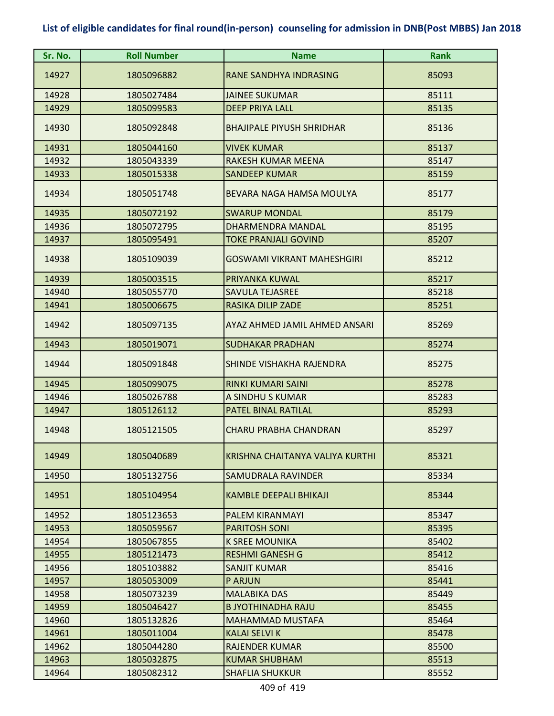| Sr. No. | <b>Roll Number</b> | <b>Name</b>                       | <b>Rank</b> |
|---------|--------------------|-----------------------------------|-------------|
| 14927   | 1805096882         | RANE SANDHYA INDRASING            | 85093       |
| 14928   | 1805027484         | <b>JAINEE SUKUMAR</b>             | 85111       |
| 14929   | 1805099583         | <b>DEEP PRIYA LALL</b>            | 85135       |
| 14930   | 1805092848         | <b>BHAJIPALE PIYUSH SHRIDHAR</b>  | 85136       |
| 14931   | 1805044160         | <b>VIVEK KUMAR</b>                | 85137       |
| 14932   | 1805043339         | RAKESH KUMAR MEENA                | 85147       |
| 14933   | 1805015338         | <b>SANDEEP KUMAR</b>              | 85159       |
| 14934   | 1805051748         | BEVARA NAGA HAMSA MOULYA          | 85177       |
| 14935   | 1805072192         | <b>SWARUP MONDAL</b>              | 85179       |
| 14936   | 1805072795         | DHARMENDRA MANDAL                 | 85195       |
| 14937   | 1805095491         | <b>TOKE PRANJALI GOVIND</b>       | 85207       |
| 14938   | 1805109039         | <b>GOSWAMI VIKRANT MAHESHGIRI</b> | 85212       |
| 14939   | 1805003515         | PRIYANKA KUWAL                    | 85217       |
| 14940   | 1805055770         | <b>SAVULA TEJASREE</b>            | 85218       |
| 14941   | 1805006675         | <b>RASIKA DILIP ZADE</b>          | 85251       |
| 14942   | 1805097135         | AYAZ AHMED JAMIL AHMED ANSARI     | 85269       |
| 14943   | 1805019071         | <b>SUDHAKAR PRADHAN</b>           | 85274       |
| 14944   | 1805091848         | SHINDE VISHAKHA RAJENDRA          | 85275       |
| 14945   | 1805099075         | <b>RINKI KUMARI SAINI</b>         | 85278       |
| 14946   | 1805026788         | A SINDHU S KUMAR                  | 85283       |
| 14947   | 1805126112         | PATEL BINAL RATILAL               | 85293       |
| 14948   | 1805121505         | <b>CHARU PRABHA CHANDRAN</b>      | 85297       |
| 14949   | 1805040689         | KRISHNA CHAITANYA VALIYA KURTHI   | 85321       |
| 14950   | 1805132756         | <b>SAMUDRALA RAVINDER</b>         | 85334       |
| 14951   | 1805104954         | <b>KAMBLE DEEPALI BHIKAJI</b>     | 85344       |
| 14952   | 1805123653         | PALEM KIRANMAYI                   | 85347       |
| 14953   | 1805059567         | <b>PARITOSH SONI</b>              | 85395       |
| 14954   | 1805067855         | <b>K SREE MOUNIKA</b>             | 85402       |
| 14955   | 1805121473         | <b>RESHMI GANESH G</b>            | 85412       |
| 14956   | 1805103882         | <b>SANJIT KUMAR</b>               | 85416       |
| 14957   | 1805053009         | P ARJUN                           | 85441       |
| 14958   | 1805073239         | MALABIKA DAS                      | 85449       |
| 14959   | 1805046427         | <b>B JYOTHINADHA RAJU</b>         | 85455       |
| 14960   | 1805132826         | MAHAMMAD MUSTAFA                  | 85464       |
| 14961   | 1805011004         | <b>KALAI SELVI K</b>              | 85478       |
| 14962   | 1805044280         | <b>RAJENDER KUMAR</b>             | 85500       |
| 14963   | 1805032875         | KUMAR SHUBHAM                     | 85513       |
| 14964   | 1805082312         | <b>SHAFLIA SHUKKUR</b>            | 85552       |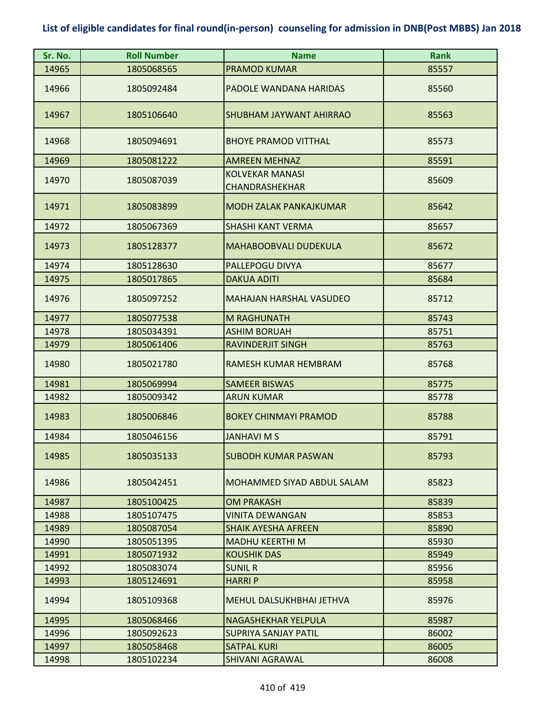| Sr. No. | <b>Roll Number</b> | <b>Name</b>                              | <b>Rank</b> |
|---------|--------------------|------------------------------------------|-------------|
| 14965   | 1805068565         | <b>PRAMOD KUMAR</b>                      | 85557       |
| 14966   | 1805092484         | PADOLE WANDANA HARIDAS                   | 85560       |
| 14967   | 1805106640         | SHUBHAM JAYWANT AHIRRAO                  | 85563       |
| 14968   | 1805094691         | <b>BHOYE PRAMOD VITTHAL</b>              | 85573       |
| 14969   | 1805081222         | <b>AMREEN MEHNAZ</b>                     | 85591       |
| 14970   | 1805087039         | <b>KOLVEKAR MANASI</b><br>CHANDRASHEKHAR | 85609       |
| 14971   | 1805083899         | <b>MODH ZALAK PANKAJKUMAR</b>            | 85642       |
| 14972   | 1805067369         | <b>SHASHI KANT VERMA</b>                 | 85657       |
| 14973   | 1805128377         | <b>MAHABOOBVALI DUDEKULA</b>             | 85672       |
| 14974   | 1805128630         | PALLEPOGU DIVYA                          | 85677       |
| 14975   | 1805017865         | <b>DAKUA ADITI</b>                       | 85684       |
| 14976   | 1805097252         | <b>MAHAJAN HARSHAL VASUDEO</b>           | 85712       |
| 14977   | 1805077538         | <b>M RAGHUNATH</b>                       | 85743       |
| 14978   | 1805034391         | <b>ASHIM BORUAH</b>                      | 85751       |
| 14979   | 1805061406         | <b>RAVINDERJIT SINGH</b>                 | 85763       |
| 14980   | 1805021780         | RAMESH KUMAR HEMBRAM                     | 85768       |
| 14981   | 1805069994         | <b>SAMEER BISWAS</b>                     | 85775       |
| 14982   | 1805009342         | <b>ARUN KUMAR</b>                        | 85778       |
| 14983   | 1805006846         | <b>BOKEY CHINMAYI PRAMOD</b>             | 85788       |
| 14984   | 1805046156         | <b>JANHAVIMS</b>                         | 85791       |
| 14985   | 1805035133         | <b>SUBODH KUMAR PASWAN</b>               | 85793       |
| 14986   | 1805042451         | MOHAMMED SIYAD ABDUL SALAM               | 85823       |
| 14987   | 1805100425         | <b>OM PRAKASH</b>                        | 85839       |
| 14988   | 1805107475         | <b>VINITA DEWANGAN</b>                   | 85853       |
| 14989   | 1805087054         | <b>SHAIK AYESHA AFREEN</b>               | 85890       |
| 14990   | 1805051395         | <b>MADHU KEERTHI M</b>                   | 85930       |
| 14991   | 1805071932         | <b>KOUSHIK DAS</b>                       | 85949       |
| 14992   | 1805083074         | <b>SUNIL R</b>                           | 85956       |
| 14993   | 1805124691         | <b>HARRIP</b>                            | 85958       |
| 14994   | 1805109368         | MEHUL DALSUKHBHAI JETHVA                 | 85976       |
| 14995   | 1805068466         | NAGASHEKHAR YELPULA                      | 85987       |
| 14996   | 1805092623         | SUPRIYA SANJAY PATIL                     | 86002       |
| 14997   | 1805058468         | <b>SATPAL KURI</b>                       | 86005       |
| 14998   | 1805102234         | <b>SHIVANI AGRAWAL</b>                   | 86008       |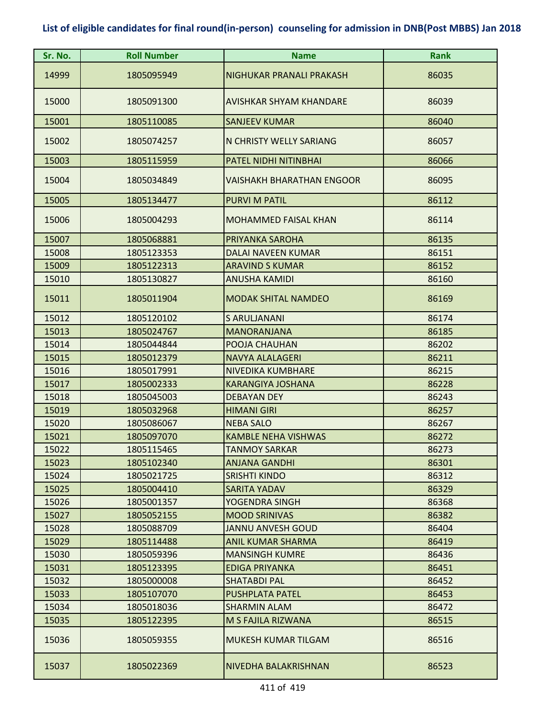| Sr. No. | <b>Roll Number</b> | <b>Name</b>                 | <b>Rank</b> |
|---------|--------------------|-----------------------------|-------------|
| 14999   | 1805095949         | NIGHUKAR PRANALI PRAKASH    | 86035       |
| 15000   | 1805091300         | AVISHKAR SHYAM KHANDARE     | 86039       |
| 15001   | 1805110085         | <b>SANJEEV KUMAR</b>        | 86040       |
| 15002   | 1805074257         | N CHRISTY WELLY SARIANG     | 86057       |
| 15003   | 1805115959         | PATEL NIDHI NITINBHAI       | 86066       |
| 15004   | 1805034849         | VAISHAKH BHARATHAN ENGOOR   | 86095       |
| 15005   | 1805134477         | <b>PURVI M PATIL</b>        | 86112       |
| 15006   | 1805004293         | <b>MOHAMMED FAISAL KHAN</b> | 86114       |
| 15007   | 1805068881         | PRIYANKA SAROHA             | 86135       |
| 15008   | 1805123353         | DALAI NAVEEN KUMAR          | 86151       |
| 15009   | 1805122313         | <b>ARAVIND S KUMAR</b>      | 86152       |
| 15010   | 1805130827         | <b>ANUSHA KAMIDI</b>        | 86160       |
| 15011   | 1805011904         | <b>MODAK SHITAL NAMDEO</b>  | 86169       |
| 15012   | 1805120102         | S ARULJANANI                | 86174       |
| 15013   | 1805024767         | <b>MANORANJANA</b>          | 86185       |
| 15014   | 1805044844         | POOJA CHAUHAN               | 86202       |
| 15015   | 1805012379         | <b>NAVYA ALALAGERI</b>      | 86211       |
| 15016   | 1805017991         | NIVEDIKA KUMBHARE           | 86215       |
| 15017   | 1805002333         | <b>KARANGIYA JOSHANA</b>    | 86228       |
| 15018   | 1805045003         | <b>DEBAYAN DEY</b>          | 86243       |
| 15019   | 1805032968         | <b>HIMANI GIRI</b>          | 86257       |
| 15020   | 1805086067         | <b>NEBA SALO</b>            | 86267       |
| 15021   | 1805097070         | <b>KAMBLE NEHA VISHWAS</b>  | 86272       |
| 15022   | 1805115465         | <b>TANMOY SARKAR</b>        | 86273       |
| 15023   | 1805102340         | <b>ANJANA GANDHI</b>        | 86301       |
| 15024   | 1805021725         | <b>SRISHTI KINDO</b>        | 86312       |
| 15025   | 1805004410         | <b>SARITA YADAV</b>         | 86329       |
| 15026   | 1805001357         | YOGENDRA SINGH              | 86368       |
| 15027   | 1805052155         | <b>MOOD SRINIVAS</b>        | 86382       |
| 15028   | 1805088709         | JANNU ANVESH GOUD           | 86404       |
| 15029   | 1805114488         | <b>ANIL KUMAR SHARMA</b>    | 86419       |
| 15030   | 1805059396         | <b>MANSINGH KUMRE</b>       | 86436       |
| 15031   | 1805123395         | <b>EDIGA PRIYANKA</b>       | 86451       |
| 15032   | 1805000008         | <b>SHATABDI PAL</b>         | 86452       |
| 15033   | 1805107070         | <b>PUSHPLATA PATEL</b>      | 86453       |
| 15034   | 1805018036         | <b>SHARMIN ALAM</b>         | 86472       |
| 15035   | 1805122395         | M S FAJILA RIZWANA          | 86515       |
| 15036   | 1805059355         | MUKESH KUMAR TILGAM         | 86516       |
| 15037   | 1805022369         | NIVEDHA BALAKRISHNAN        | 86523       |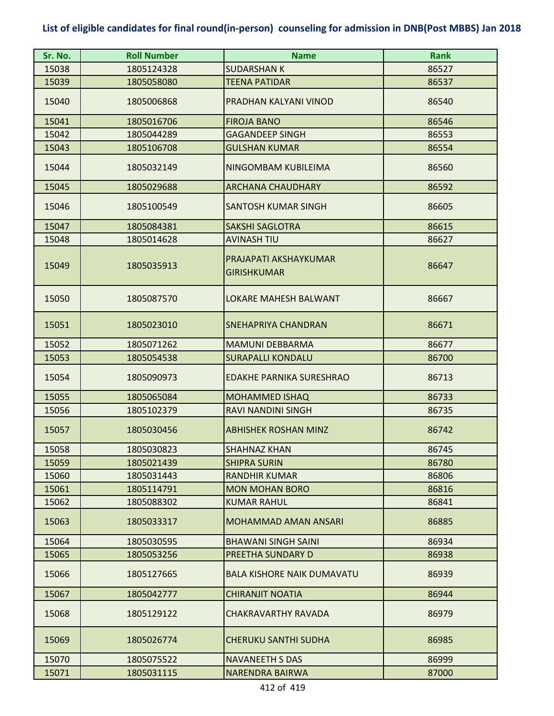| Sr. No. | <b>Roll Number</b> | <b>Name</b>                                 | <b>Rank</b> |
|---------|--------------------|---------------------------------------------|-------------|
| 15038   | 1805124328         | <b>SUDARSHAN K</b>                          | 86527       |
| 15039   | 1805058080         | <b>TEENA PATIDAR</b>                        | 86537       |
| 15040   | 1805006868         | PRADHAN KALYANI VINOD                       | 86540       |
| 15041   | 1805016706         | <b>FIROJA BANO</b>                          | 86546       |
| 15042   | 1805044289         | <b>GAGANDEEP SINGH</b>                      | 86553       |
| 15043   | 1805106708         | <b>GULSHAN KUMAR</b>                        | 86554       |
| 15044   | 1805032149         | NINGOMBAM KUBILEIMA                         | 86560       |
| 15045   | 1805029688         | <b>ARCHANA CHAUDHARY</b>                    | 86592       |
| 15046   | 1805100549         | <b>SANTOSH KUMAR SINGH</b>                  | 86605       |
| 15047   | 1805084381         | <b>SAKSHI SAGLOTRA</b>                      | 86615       |
| 15048   | 1805014628         | <b>AVINASH TIU</b>                          | 86627       |
| 15049   | 1805035913         | PRAJAPATI AKSHAYKUMAR<br><b>GIRISHKUMAR</b> | 86647       |
| 15050   | 1805087570         | LOKARE MAHESH BALWANT                       | 86667       |
| 15051   | 1805023010         | <b>SNEHAPRIYA CHANDRAN</b>                  | 86671       |
| 15052   | 1805071262         | <b>MAMUNI DEBBARMA</b>                      | 86677       |
| 15053   | 1805054538         | <b>SURAPALLI KONDALU</b>                    | 86700       |
| 15054   | 1805090973         | <b>EDAKHE PARNIKA SURESHRAO</b>             | 86713       |
| 15055   | 1805065084         | <b>MOHAMMED ISHAQ</b>                       | 86733       |
| 15056   | 1805102379         | RAVI NANDINI SINGH                          | 86735       |
| 15057   | 1805030456         | <b>ABHISHEK ROSHAN MINZ</b>                 | 86742       |
| 15058   | 1805030823         | <b>SHAHNAZ KHAN</b>                         | 86745       |
| 15059   | 1805021439         | <b>SHIPRA SURIN</b>                         | 86780       |
| 15060   | 1805031443         | <b>RANDHIR KUMAR</b>                        | 86806       |
| 15061   | 1805114791         | <b>MON MOHAN BORO</b>                       | 86816       |
| 15062   | 1805088302         | <b>KUMAR RAHUL</b>                          | 86841       |
| 15063   | 1805033317         | <b>MOHAMMAD AMAN ANSARI</b>                 | 86885       |
| 15064   | 1805030595         | <b>BHAWANI SINGH SAINI</b>                  | 86934       |
| 15065   | 1805053256         | PREETHA SUNDARY D                           | 86938       |
| 15066   | 1805127665         | <b>BALA KISHORE NAIK DUMAVATU</b>           | 86939       |
| 15067   | 1805042777         | <b>CHIRANJIT NOATIA</b>                     | 86944       |
| 15068   | 1805129122         | CHAKRAVARTHY RAVADA                         | 86979       |
| 15069   | 1805026774         | <b>CHERUKU SANTHI SUDHA</b>                 | 86985       |
| 15070   | 1805075522         | <b>NAVANEETH S DAS</b>                      | 86999       |
| 15071   | 1805031115         | NARENDRA BAIRWA                             | 87000       |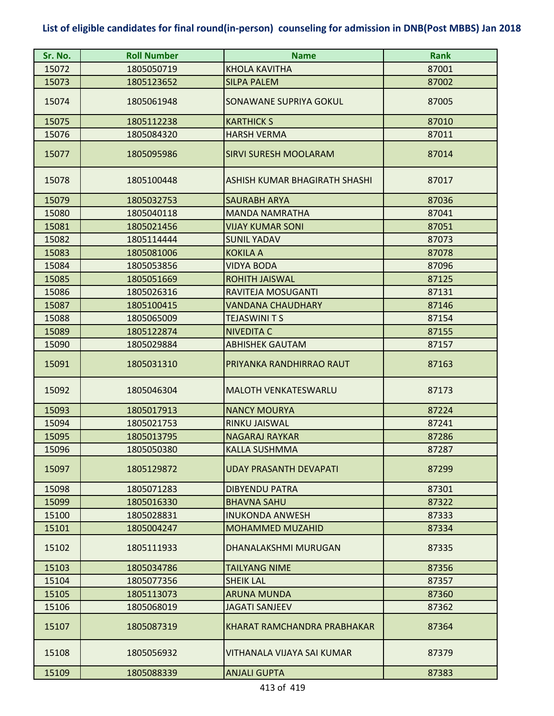| Sr. No. | <b>Roll Number</b> | <b>Name</b>                   | <b>Rank</b> |
|---------|--------------------|-------------------------------|-------------|
| 15072   | 1805050719         | <b>KHOLA KAVITHA</b>          | 87001       |
| 15073   | 1805123652         | <b>SILPA PALEM</b>            | 87002       |
| 15074   | 1805061948         | SONAWANE SUPRIYA GOKUL        | 87005       |
| 15075   | 1805112238         | <b>KARTHICK S</b>             | 87010       |
| 15076   | 1805084320         | <b>HARSH VERMA</b>            | 87011       |
| 15077   | 1805095986         | <b>SIRVI SURESH MOOLARAM</b>  | 87014       |
| 15078   | 1805100448         | ASHISH KUMAR BHAGIRATH SHASHI | 87017       |
| 15079   | 1805032753         | <b>SAURABH ARYA</b>           | 87036       |
| 15080   | 1805040118         | <b>MANDA NAMRATHA</b>         | 87041       |
| 15081   | 1805021456         | <b>VIJAY KUMAR SONI</b>       | 87051       |
| 15082   | 1805114444         | <b>SUNIL YADAV</b>            | 87073       |
| 15083   | 1805081006         | <b>KOKILA A</b>               | 87078       |
| 15084   | 1805053856         | <b>VIDYA BODA</b>             | 87096       |
| 15085   | 1805051669         | <b>ROHITH JAISWAL</b>         | 87125       |
| 15086   | 1805026316         | RAVITEJA MOSUGANTI            | 87131       |
| 15087   | 1805100415         | <b>VANDANA CHAUDHARY</b>      | 87146       |
| 15088   | 1805065009         | <b>TEJASWINI T S</b>          | 87154       |
| 15089   | 1805122874         | <b>NIVEDITA C</b>             | 87155       |
| 15090   | 1805029884         | <b>ABHISHEK GAUTAM</b>        | 87157       |
| 15091   | 1805031310         | PRIYANKA RANDHIRRAO RAUT      | 87163       |
| 15092   | 1805046304         | <b>MALOTH VENKATESWARLU</b>   | 87173       |
| 15093   | 1805017913         | <b>NANCY MOURYA</b>           | 87224       |
| 15094   | 1805021753         | <b>RINKU JAISWAL</b>          | 87241       |
| 15095   | 1805013795         | <b>NAGARAJ RAYKAR</b>         | 87286       |
| 15096   | 1805050380         | <b>KALLA SUSHMMA</b>          | 87287       |
| 15097   | 1805129872         | UDAY PRASANTH DEVAPATI        | 87299       |
| 15098   | 1805071283         | <b>DIBYENDU PATRA</b>         | 87301       |
| 15099   | 1805016330         | <b>BHAVNA SAHU</b>            | 87322       |
| 15100   | 1805028831         | <b>INUKONDA ANWESH</b>        | 87333       |
| 15101   | 1805004247         | <b>MOHAMMED MUZAHID</b>       | 87334       |
| 15102   | 1805111933         | <b>DHANALAKSHMI MURUGAN</b>   | 87335       |
| 15103   | 1805034786         | <b>TAILYANG NIME</b>          | 87356       |
| 15104   | 1805077356         | <b>SHEIK LAL</b>              | 87357       |
| 15105   | 1805113073         | <b>ARUNA MUNDA</b>            | 87360       |
| 15106   | 1805068019         | <b>JAGATI SANJEEV</b>         | 87362       |
| 15107   | 1805087319         | KHARAT RAMCHANDRA PRABHAKAR   | 87364       |
| 15108   | 1805056932         | VITHANALA VIJAYA SAI KUMAR    | 87379       |
| 15109   | 1805088339         | <b>ANJALI GUPTA</b>           | 87383       |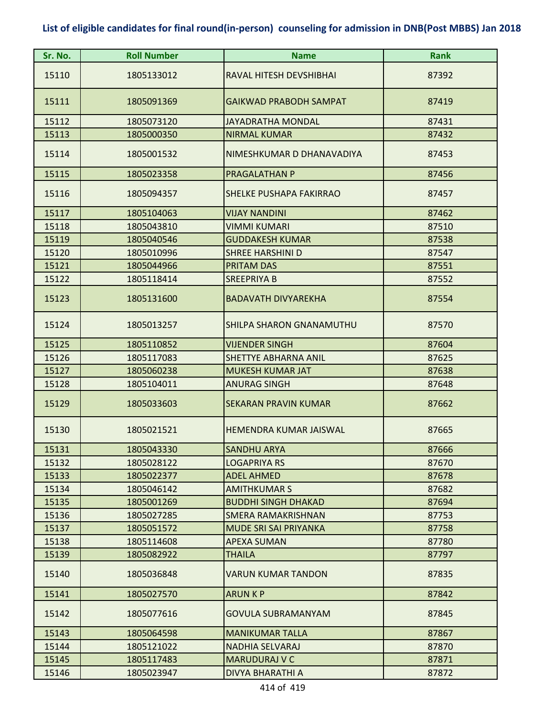| Sr. No. | <b>Roll Number</b> | <b>Name</b>                    | <b>Rank</b> |
|---------|--------------------|--------------------------------|-------------|
| 15110   | 1805133012         | RAVAL HITESH DEVSHIBHAI        | 87392       |
| 15111   | 1805091369         | <b>GAIKWAD PRABODH SAMPAT</b>  | 87419       |
| 15112   | 1805073120         | <b>JAYADRATHA MONDAL</b>       | 87431       |
| 15113   | 1805000350         | <b>NIRMAL KUMAR</b>            | 87432       |
| 15114   | 1805001532         | NIMESHKUMAR D DHANAVADIYA      | 87453       |
| 15115   | 1805023358         | <b>PRAGALATHAN P</b>           | 87456       |
| 15116   | 1805094357         | <b>SHELKE PUSHAPA FAKIRRAO</b> | 87457       |
| 15117   | 1805104063         | <b>VIJAY NANDINI</b>           | 87462       |
| 15118   | 1805043810         | <b>VIMMI KUMARI</b>            | 87510       |
| 15119   | 1805040546         | <b>GUDDAKESH KUMAR</b>         | 87538       |
| 15120   | 1805010996         | <b>SHREE HARSHINI D</b>        | 87547       |
| 15121   | 1805044966         | <b>PRITAM DAS</b>              | 87551       |
| 15122   | 1805118414         | <b>SREEPRIYA B</b>             | 87552       |
| 15123   | 1805131600         | <b>BADAVATH DIVYAREKHA</b>     | 87554       |
| 15124   | 1805013257         | SHILPA SHARON GNANAMUTHU       | 87570       |
| 15125   | 1805110852         | <b>VIJENDER SINGH</b>          | 87604       |
| 15126   | 1805117083         | <b>SHETTYE ABHARNA ANIL</b>    | 87625       |
| 15127   | 1805060238         | <b>MUKESH KUMAR JAT</b>        | 87638       |
| 15128   | 1805104011         | <b>ANURAG SINGH</b>            | 87648       |
| 15129   | 1805033603         | <b>SEKARAN PRAVIN KUMAR</b>    | 87662       |
| 15130   | 1805021521         | <b>HEMENDRA KUMAR JAISWAL</b>  | 87665       |
| 15131   | 1805043330         | <b>SANDHU ARYA</b>             | 87666       |
| 15132   | 1805028122         | <b>LOGAPRIYA RS</b>            | 87670       |
| 15133   | 1805022377         | <b>ADEL AHMED</b>              | 87678       |
| 15134   | 1805046142         | <b>AMITHKUMAR S</b>            | 87682       |
| 15135   | 1805001269         | <b>BUDDHI SINGH DHAKAD</b>     | 87694       |
| 15136   | 1805027285         | <b>SMERA RAMAKRISHNAN</b>      | 87753       |
| 15137   | 1805051572         | <b>MUDE SRI SAI PRIYANKA</b>   | 87758       |
| 15138   | 1805114608         | <b>APEXA SUMAN</b>             | 87780       |
| 15139   | 1805082922         | <b>THAILA</b>                  | 87797       |
| 15140   | 1805036848         | <b>VARUN KUMAR TANDON</b>      | 87835       |
| 15141   | 1805027570         | <b>ARUN K P</b>                | 87842       |
| 15142   | 1805077616         | <b>GOVULA SUBRAMANYAM</b>      | 87845       |
| 15143   | 1805064598         | <b>MANIKUMAR TALLA</b>         | 87867       |
| 15144   | 1805121022         | <b>NADHIA SELVARAJ</b>         | 87870       |
| 15145   | 1805117483         | <b>MARUDURAJ V C</b>           | 87871       |
| 15146   | 1805023947         | <b>DIVYA BHARATHI A</b>        | 87872       |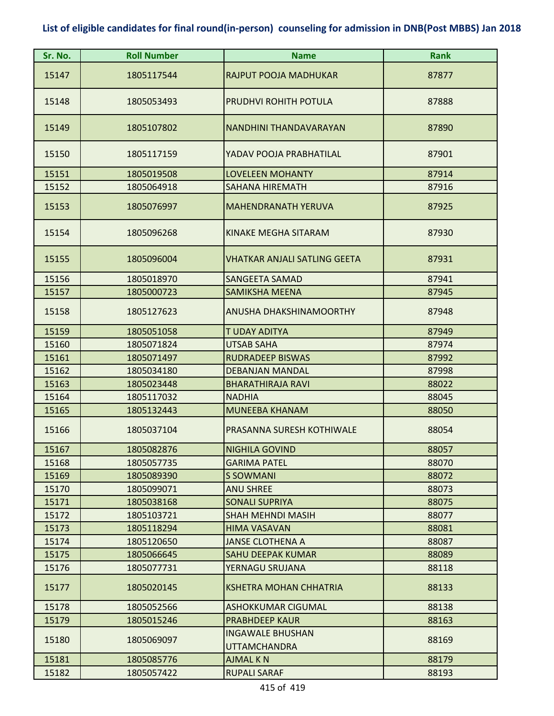| Sr. No. | <b>Roll Number</b> | <b>Name</b>                                    | <b>Rank</b> |
|---------|--------------------|------------------------------------------------|-------------|
| 15147   | 1805117544         | RAJPUT POOJA MADHUKAR                          | 87877       |
| 15148   | 1805053493         | PRUDHVI ROHITH POTULA                          | 87888       |
| 15149   | 1805107802         | NANDHINI THANDAVARAYAN                         | 87890       |
| 15150   | 1805117159         | YADAV POOJA PRABHATILAL                        | 87901       |
| 15151   | 1805019508         | <b>LOVELEEN MOHANTY</b>                        | 87914       |
| 15152   | 1805064918         | SAHANA HIREMATH                                | 87916       |
| 15153   | 1805076997         | <b>MAHENDRANATH YERUVA</b>                     | 87925       |
| 15154   | 1805096268         | <b>KINAKE MEGHA SITARAM</b>                    | 87930       |
| 15155   | 1805096004         | <b>VHATKAR ANJALI SATLING GEETA</b>            | 87931       |
| 15156   | 1805018970         | <b>SANGEETA SAMAD</b>                          | 87941       |
| 15157   | 1805000723         | <b>SAMIKSHA MEENA</b>                          | 87945       |
| 15158   | 1805127623         | ANUSHA DHAKSHINAMOORTHY                        | 87948       |
| 15159   | 1805051058         | T UDAY ADITYA                                  | 87949       |
| 15160   | 1805071824         | <b>UTSAB SAHA</b>                              | 87974       |
| 15161   | 1805071497         | <b>RUDRADEEP BISWAS</b>                        | 87992       |
| 15162   | 1805034180         | <b>DEBANJAN MANDAL</b>                         | 87998       |
| 15163   | 1805023448         | <b>BHARATHIRAJA RAVI</b>                       | 88022       |
| 15164   | 1805117032         | <b>NADHIA</b>                                  | 88045       |
| 15165   | 1805132443         | <b>MUNEEBA KHANAM</b>                          | 88050       |
| 15166   | 1805037104         | PRASANNA SURESH KOTHIWALE                      | 88054       |
| 15167   | 1805082876         | <b>NIGHILA GOVIND</b>                          | 88057       |
| 15168   | 1805057735         | <b>GARIMA PATEL</b>                            | 88070       |
| 15169   | 1805089390         | <b>S SOWMANI</b>                               | 88072       |
| 15170   | 1805099071         | <b>ANU SHREE</b>                               | 88073       |
| 15171   | 1805038168         | <b>SONALI SUPRIYA</b>                          | 88075       |
| 15172   | 1805103721         | <b>SHAH MEHNDI MASIH</b>                       | 88077       |
| 15173   | 1805118294         | <b>HIMA VASAVAN</b>                            | 88081       |
| 15174   | 1805120650         | <b>JANSE CLOTHENA A</b>                        | 88087       |
| 15175   | 1805066645         | <b>SAHU DEEPAK KUMAR</b>                       | 88089       |
| 15176   | 1805077731         | YERNAGU SRUJANA                                | 88118       |
| 15177   | 1805020145         | <b>KSHETRA MOHAN CHHATRIA</b>                  | 88133       |
| 15178   | 1805052566         | <b>ASHOKKUMAR CIGUMAL</b>                      | 88138       |
| 15179   | 1805015246         | <b>PRABHDEEP KAUR</b>                          | 88163       |
| 15180   | 1805069097         | <b>INGAWALE BHUSHAN</b><br><b>UTTAMCHANDRA</b> | 88169       |
| 15181   | 1805085776         | <b>AJMAL KN</b>                                | 88179       |
| 15182   | 1805057422         | <b>RUPALI SARAF</b>                            | 88193       |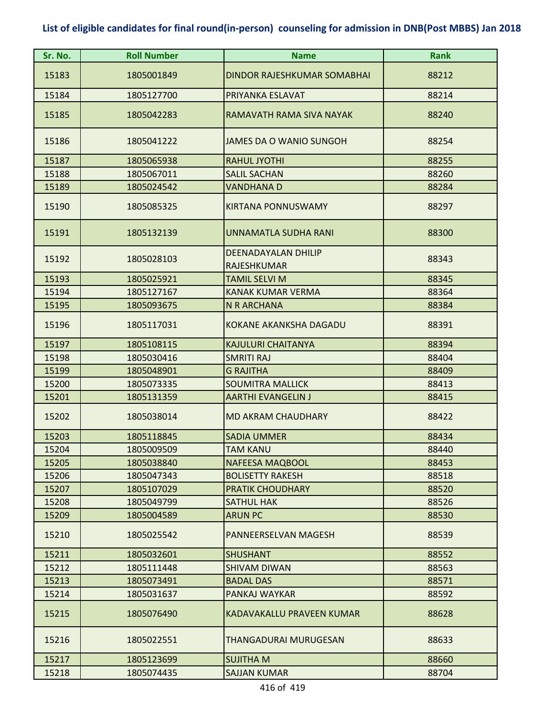| Sr. No. | <b>Roll Number</b> | <b>Name</b>                        | <b>Rank</b> |
|---------|--------------------|------------------------------------|-------------|
| 15183   | 1805001849         | <b>DINDOR RAJESHKUMAR SOMABHAI</b> | 88212       |
| 15184   | 1805127700         | PRIYANKA ESLAVAT                   | 88214       |
| 15185   | 1805042283         | RAMAVATH RAMA SIVA NAYAK           | 88240       |
| 15186   | 1805041222         | <b>JAMES DA O WANIO SUNGOH</b>     | 88254       |
| 15187   | 1805065938         | <b>RAHUL JYOTHI</b>                | 88255       |
| 15188   | 1805067011         | <b>SALIL SACHAN</b>                | 88260       |
| 15189   | 1805024542         | <b>VANDHANA D</b>                  | 88284       |
| 15190   | 1805085325         | <b>KIRTANA PONNUSWAMY</b>          | 88297       |
| 15191   | 1805132139         | UNNAMATLA SUDHA RANI               | 88300       |
| 15192   | 1805028103         | <b>DEENADAYALAN DHILIP</b>         | 88343       |
|         |                    | <b>RAJESHKUMAR</b>                 |             |
| 15193   | 1805025921         | <b>TAMIL SELVI M</b>               | 88345       |
| 15194   | 1805127167         | <b>KANAK KUMAR VERMA</b>           | 88364       |
| 15195   | 1805093675         | N R ARCHANA                        | 88384       |
| 15196   | 1805117031         | <b>KOKANE AKANKSHA DAGADU</b>      | 88391       |
| 15197   | 1805108115         | <b>KAJULURI CHAITANYA</b>          | 88394       |
| 15198   | 1805030416         | <b>SMRITI RAJ</b>                  | 88404       |
| 15199   | 1805048901         | <b>G RAJITHA</b>                   | 88409       |
| 15200   | 1805073335         | <b>SOUMITRA MALLICK</b>            | 88413       |
| 15201   | 1805131359         | <b>AARTHI EVANGELIN J</b>          | 88415       |
| 15202   | 1805038014         | <b>MD AKRAM CHAUDHARY</b>          | 88422       |
| 15203   | 1805118845         | <b>SADIA UMMER</b>                 | 88434       |
| 15204   | 1805009509         | <b>TAM KANU</b>                    | 88440       |
| 15205   | 1805038840         | <b>NAFEESA MAQBOOL</b>             | 88453       |
| 15206   | 1805047343         | <b>BOLISETTY RAKESH</b>            | 88518       |
| 15207   | 1805107029         | PRATIK CHOUDHARY                   | 88520       |
| 15208   | 1805049799         | <b>SATHUL HAK</b>                  | 88526       |
| 15209   | 1805004589         | <b>ARUN PC</b>                     | 88530       |
| 15210   | 1805025542         | PANNEERSELVAN MAGESH               | 88539       |
| 15211   | 1805032601         | <b>SHUSHANT</b>                    | 88552       |
| 15212   | 1805111448         | <b>SHIVAM DIWAN</b>                | 88563       |
| 15213   | 1805073491         | <b>BADAL DAS</b>                   | 88571       |
| 15214   | 1805031637         | PANKAJ WAYKAR                      | 88592       |
| 15215   | 1805076490         | KADAVAKALLU PRAVEEN KUMAR          | 88628       |
| 15216   | 1805022551         | THANGADURAI MURUGESAN              | 88633       |
| 15217   | 1805123699         | <b>SUJITHA M</b>                   | 88660       |
| 15218   | 1805074435         | <b>SAJJAN KUMAR</b>                | 88704       |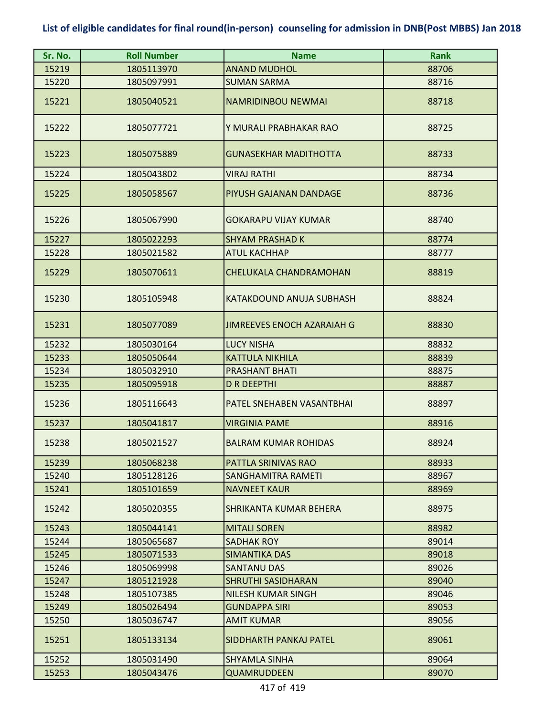| Sr. No. | <b>Roll Number</b> | <b>Name</b>                  | <b>Rank</b> |
|---------|--------------------|------------------------------|-------------|
| 15219   | 1805113970         | <b>ANAND MUDHOL</b>          | 88706       |
| 15220   | 1805097991         | <b>SUMAN SARMA</b>           | 88716       |
| 15221   | 1805040521         | <b>NAMRIDINBOU NEWMAI</b>    | 88718       |
| 15222   | 1805077721         | Y MURALI PRABHAKAR RAO       | 88725       |
| 15223   | 1805075889         | <b>GUNASEKHAR MADITHOTTA</b> | 88733       |
| 15224   | 1805043802         | <b>VIRAJ RATHI</b>           | 88734       |
| 15225   | 1805058567         | PIYUSH GAJANAN DANDAGE       | 88736       |
| 15226   | 1805067990         | <b>GOKARAPU VIJAY KUMAR</b>  | 88740       |
| 15227   | 1805022293         | <b>SHYAM PRASHAD K</b>       | 88774       |
| 15228   | 1805021582         | <b>ATUL KACHHAP</b>          | 88777       |
| 15229   | 1805070611         | CHELUKALA CHANDRAMOHAN       | 88819       |
| 15230   | 1805105948         | KATAKDOUND ANUJA SUBHASH     | 88824       |
| 15231   | 1805077089         | JIMREEVES ENOCH AZARAIAH G   | 88830       |
| 15232   | 1805030164         | <b>LUCY NISHA</b>            | 88832       |
| 15233   | 1805050644         | <b>KATTULA NIKHILA</b>       | 88839       |
| 15234   | 1805032910         | <b>PRASHANT BHATI</b>        | 88875       |
| 15235   | 1805095918         | <b>D R DEEPTHI</b>           | 88887       |
| 15236   | 1805116643         | PATEL SNEHABEN VASANTBHAI    | 88897       |
| 15237   | 1805041817         | <b>VIRGINIA PAME</b>         | 88916       |
| 15238   | 1805021527         | <b>BALRAM KUMAR ROHIDAS</b>  | 88924       |
| 15239   | 1805068238         | <b>PATTLA SRINIVAS RAO</b>   | 88933       |
| 15240   | 1805128126         | SANGHAMITRA RAMETI           | 88967       |
| 15241   | 1805101659         | <b>NAVNEET KAUR</b>          | 88969       |
| 15242   | 1805020355         | SHRIKANTA KUMAR BEHERA       | 88975       |
| 15243   | 1805044141         | <b>MITALI SOREN</b>          | 88982       |
| 15244   | 1805065687         | <b>SADHAK ROY</b>            | 89014       |
| 15245   | 1805071533         | <b>SIMANTIKA DAS</b>         | 89018       |
| 15246   | 1805069998         | <b>SANTANU DAS</b>           | 89026       |
| 15247   | 1805121928         | <b>SHRUTHI SASIDHARAN</b>    | 89040       |
| 15248   | 1805107385         | <b>NILESH KUMAR SINGH</b>    | 89046       |
| 15249   | 1805026494         | <b>GUNDAPPA SIRI</b>         | 89053       |
| 15250   | 1805036747         | <b>AMIT KUMAR</b>            | 89056       |
| 15251   | 1805133134         | SIDDHARTH PANKAJ PATEL       | 89061       |
| 15252   | 1805031490         | <b>SHYAMLA SINHA</b>         | 89064       |
| 15253   | 1805043476         | <b>QUAMRUDDEEN</b>           | 89070       |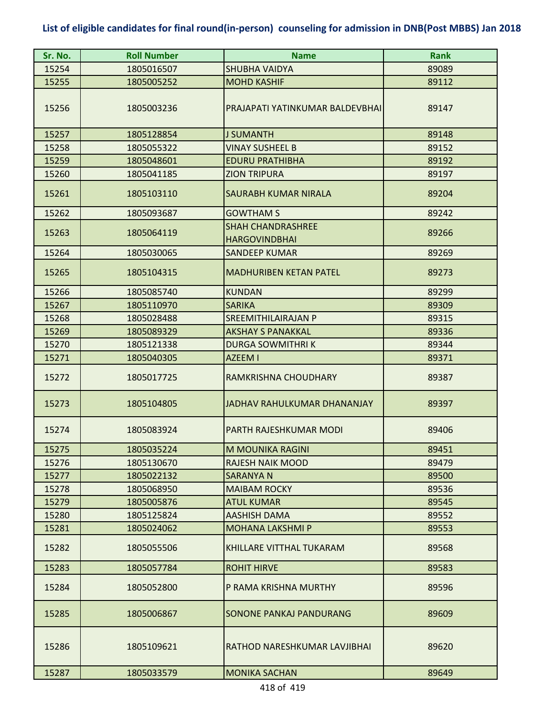| Sr. No. | <b>Roll Number</b> | <b>Name</b>                                      | <b>Rank</b> |
|---------|--------------------|--------------------------------------------------|-------------|
| 15254   | 1805016507         | <b>SHUBHA VAIDYA</b>                             | 89089       |
| 15255   | 1805005252         | <b>MOHD KASHIF</b>                               | 89112       |
| 15256   | 1805003236         | PRAJAPATI YATINKUMAR BALDEVBHAI                  | 89147       |
| 15257   | 1805128854         | <b>J SUMANTH</b>                                 | 89148       |
| 15258   | 1805055322         | <b>VINAY SUSHEEL B</b>                           | 89152       |
| 15259   | 1805048601         | <b>EDURU PRATHIBHA</b>                           | 89192       |
| 15260   | 1805041185         | <b>ZION TRIPURA</b>                              | 89197       |
| 15261   | 1805103110         | <b>SAURABH KUMAR NIRALA</b>                      | 89204       |
| 15262   | 1805093687         | <b>GOWTHAM S</b>                                 | 89242       |
| 15263   | 1805064119         | <b>SHAH CHANDRASHREE</b><br><b>HARGOVINDBHAI</b> | 89266       |
| 15264   | 1805030065         | <b>SANDEEP KUMAR</b>                             | 89269       |
| 15265   | 1805104315         | <b>MADHURIBEN KETAN PATEL</b>                    | 89273       |
| 15266   | 1805085740         | <b>KUNDAN</b>                                    | 89299       |
| 15267   | 1805110970         | <b>SARIKA</b>                                    | 89309       |
| 15268   | 1805028488         | SREEMITHILAIRAJAN P                              | 89315       |
| 15269   | 1805089329         | <b>AKSHAY S PANAKKAL</b>                         | 89336       |
| 15270   | 1805121338         | <b>DURGA SOWMITHRIK</b>                          | 89344       |
| 15271   | 1805040305         | <b>AZEEM I</b>                                   | 89371       |
| 15272   | 1805017725         | RAMKRISHNA CHOUDHARY                             | 89387       |
| 15273   | 1805104805         | <b>JADHAV RAHULKUMAR DHANANJAY</b>               | 89397       |
| 15274   | 1805083924         | PARTH RAJESHKUMAR MODI                           | 89406       |
| 15275   | 1805035224         | M MOUNIKA RAGINI                                 | 89451       |
| 15276   | 1805130670         | RAJESH NAIK MOOD                                 | 89479       |
| 15277   | 1805022132         | SARANYA N                                        | 89500       |
| 15278   | 1805068950         | <b>MAIBAM ROCKY</b>                              | 89536       |
| 15279   | 1805005876         | <b>ATUL KUMAR</b>                                | 89545       |
| 15280   | 1805125824         | <b>AASHISH DAMA</b>                              | 89552       |
| 15281   | 1805024062         | <b>MOHANA LAKSHMI P</b>                          | 89553       |
| 15282   | 1805055506         | KHILLARE VITTHAL TUKARAM                         | 89568       |
| 15283   | 1805057784         | <b>ROHIT HIRVE</b>                               | 89583       |
| 15284   | 1805052800         | P RAMA KRISHNA MURTHY                            | 89596       |
| 15285   | 1805006867         | <b>SONONE PANKAJ PANDURANG</b>                   | 89609       |
| 15286   | 1805109621         | RATHOD NARESHKUMAR LAVJIBHAI                     | 89620       |
| 15287   | 1805033579         | <b>MONIKA SACHAN</b>                             | 89649       |